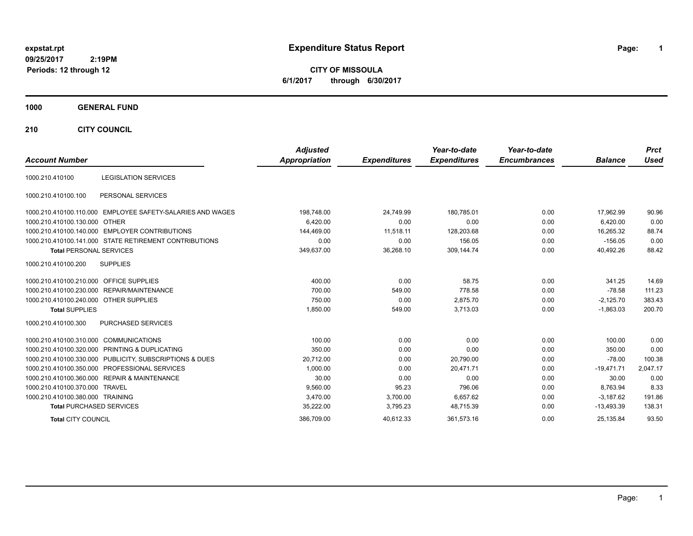# **expstat.rpt Expenditure Status Report Page:**

**1**

**CITY OF MISSOULA 6/1/2017 through 6/30/2017**

### **1000 GENERAL FUND**

**210 CITY COUNCIL**

| <b>Account Number</b>                   |                                                            | <b>Adjusted</b><br>Appropriation | <b>Expenditures</b> | Year-to-date<br><b>Expenditures</b> | Year-to-date<br><b>Encumbrances</b> | <b>Balance</b> | <b>Prct</b><br><b>Used</b> |
|-----------------------------------------|------------------------------------------------------------|----------------------------------|---------------------|-------------------------------------|-------------------------------------|----------------|----------------------------|
| 1000.210.410100                         | <b>LEGISLATION SERVICES</b>                                |                                  |                     |                                     |                                     |                |                            |
| 1000.210.410100.100                     | PERSONAL SERVICES                                          |                                  |                     |                                     |                                     |                |                            |
|                                         | 1000.210.410100.110.000 EMPLOYEE SAFETY-SALARIES AND WAGES | 198,748.00                       | 24,749.99           | 180,785.01                          | 0.00                                | 17,962.99      | 90.96                      |
| 1000.210.410100.130.000 OTHER           |                                                            | 6,420.00                         | 0.00                | 0.00                                | 0.00                                | 6,420.00       | 0.00                       |
|                                         | 1000.210.410100.140.000 EMPLOYER CONTRIBUTIONS             | 144,469.00                       | 11.518.11           | 128,203.68                          | 0.00                                | 16,265.32      | 88.74                      |
|                                         | 1000.210.410100.141.000 STATE RETIREMENT CONTRIBUTIONS     | 0.00                             | 0.00                | 156.05                              | 0.00                                | $-156.05$      | 0.00                       |
| <b>Total PERSONAL SERVICES</b>          |                                                            | 349,637.00                       | 36,268.10           | 309,144.74                          | 0.00                                | 40,492.26      | 88.42                      |
| 1000.210.410100.200                     | <b>SUPPLIES</b>                                            |                                  |                     |                                     |                                     |                |                            |
| 1000.210.410100.210.000 OFFICE SUPPLIES |                                                            | 400.00                           | 0.00                | 58.75                               | 0.00                                | 341.25         | 14.69                      |
|                                         | 1000.210.410100.230.000 REPAIR/MAINTENANCE                 | 700.00                           | 549.00              | 778.58                              | 0.00                                | $-78.58$       | 111.23                     |
| 1000.210.410100.240.000 OTHER SUPPLIES  |                                                            | 750.00                           | 0.00                | 2.875.70                            | 0.00                                | $-2,125.70$    | 383.43                     |
| <b>Total SUPPLIES</b>                   |                                                            | 1,850.00                         | 549.00              | 3,713.03                            | 0.00                                | $-1,863.03$    | 200.70                     |
| 1000.210.410100.300                     | <b>PURCHASED SERVICES</b>                                  |                                  |                     |                                     |                                     |                |                            |
| 1000.210.410100.310.000 COMMUNICATIONS  |                                                            | 100.00                           | 0.00                | 0.00                                | 0.00                                | 100.00         | 0.00                       |
|                                         | 1000.210.410100.320.000 PRINTING & DUPLICATING             | 350.00                           | 0.00                | 0.00                                | 0.00                                | 350.00         | 0.00                       |
|                                         | 1000.210.410100.330.000 PUBLICITY, SUBSCRIPTIONS & DUES    | 20,712.00                        | 0.00                | 20,790.00                           | 0.00                                | $-78.00$       | 100.38                     |
|                                         | 1000.210.410100.350.000 PROFESSIONAL SERVICES              | 1,000.00                         | 0.00                | 20,471.71                           | 0.00                                | $-19,471.71$   | 2,047.17                   |
|                                         | 1000.210.410100.360.000 REPAIR & MAINTENANCE               | 30.00                            | 0.00                | 0.00                                | 0.00                                | 30.00          | 0.00                       |
| 1000.210.410100.370.000 TRAVEL          |                                                            | 9.560.00                         | 95.23               | 796.06                              | 0.00                                | 8.763.94       | 8.33                       |
| 1000.210.410100.380.000 TRAINING        |                                                            | 3.470.00                         | 3,700.00            | 6,657.62                            | 0.00                                | $-3.187.62$    | 191.86                     |
| <b>Total PURCHASED SERVICES</b>         |                                                            | 35,222.00                        | 3,795.23            | 48,715.39                           | 0.00                                | $-13,493.39$   | 138.31                     |
| <b>Total CITY COUNCIL</b>               |                                                            | 386,709.00                       | 40,612.33           | 361,573.16                          | 0.00                                | 25,135.84      | 93.50                      |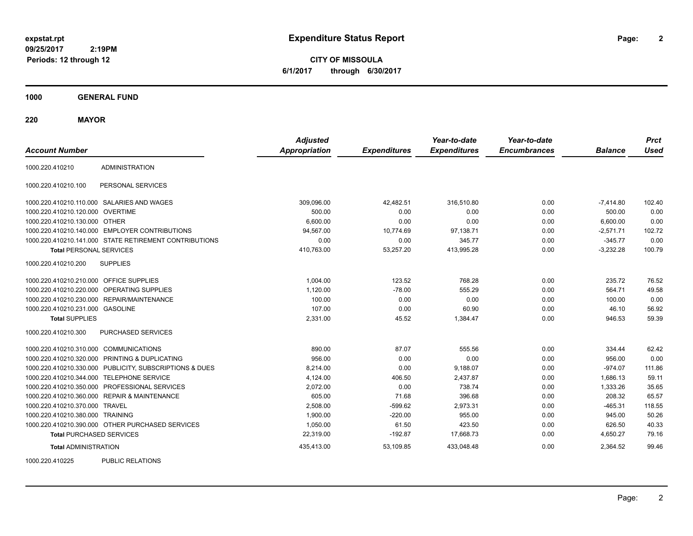**2**

**CITY OF MISSOULA 6/1/2017 through 6/30/2017**

**1000 GENERAL FUND**

**220 MAYOR**

| <b>Account Number</b>                   |                                                         | <b>Adjusted</b><br><b>Appropriation</b> | <b>Expenditures</b> | Year-to-date<br><b>Expenditures</b> | Year-to-date<br><b>Encumbrances</b> | <b>Balance</b> | <b>Prct</b><br><b>Used</b> |
|-----------------------------------------|---------------------------------------------------------|-----------------------------------------|---------------------|-------------------------------------|-------------------------------------|----------------|----------------------------|
| 1000.220.410210                         | <b>ADMINISTRATION</b>                                   |                                         |                     |                                     |                                     |                |                            |
| 1000.220.410210.100                     | PERSONAL SERVICES                                       |                                         |                     |                                     |                                     |                |                            |
|                                         | 1000.220.410210.110.000 SALARIES AND WAGES              | 309,096.00                              | 42,482.51           | 316,510.80                          | 0.00                                | $-7,414.80$    | 102.40                     |
| 1000.220.410210.120.000 OVERTIME        |                                                         | 500.00                                  | 0.00                | 0.00                                | 0.00                                | 500.00         | 0.00                       |
| 1000.220.410210.130.000 OTHER           |                                                         | 6,600.00                                | 0.00                | 0.00                                | 0.00                                | 6,600.00       | 0.00                       |
|                                         | 1000.220.410210.140.000 EMPLOYER CONTRIBUTIONS          | 94.567.00                               | 10,774.69           | 97,138.71                           | 0.00                                | $-2,571.71$    | 102.72                     |
|                                         | 1000.220.410210.141.000 STATE RETIREMENT CONTRIBUTIONS  | 0.00                                    | 0.00                | 345.77                              | 0.00                                | $-345.77$      | 0.00                       |
| <b>Total PERSONAL SERVICES</b>          |                                                         | 410,763.00                              | 53,257.20           | 413,995.28                          | 0.00                                | $-3,232.28$    | 100.79                     |
| 1000.220.410210.200                     | <b>SUPPLIES</b>                                         |                                         |                     |                                     |                                     |                |                            |
| 1000.220.410210.210.000 OFFICE SUPPLIES |                                                         | 1.004.00                                | 123.52              | 768.28                              | 0.00                                | 235.72         | 76.52                      |
|                                         | 1000.220.410210.220.000 OPERATING SUPPLIES              | 1,120.00                                | $-78.00$            | 555.29                              | 0.00                                | 564.71         | 49.58                      |
|                                         | 1000.220.410210.230.000 REPAIR/MAINTENANCE              | 100.00                                  | 0.00                | 0.00                                | 0.00                                | 100.00         | 0.00                       |
| 1000.220.410210.231.000 GASOLINE        |                                                         | 107.00                                  | 0.00                | 60.90                               | 0.00                                | 46.10          | 56.92                      |
| <b>Total SUPPLIES</b>                   |                                                         | 2,331.00                                | 45.52               | 1,384.47                            | 0.00                                | 946.53         | 59.39                      |
| 1000.220.410210.300                     | <b>PURCHASED SERVICES</b>                               |                                         |                     |                                     |                                     |                |                            |
| 1000.220.410210.310.000 COMMUNICATIONS  |                                                         | 890.00                                  | 87.07               | 555.56                              | 0.00                                | 334.44         | 62.42                      |
|                                         | 1000.220.410210.320.000 PRINTING & DUPLICATING          | 956.00                                  | 0.00                | 0.00                                | 0.00                                | 956.00         | 0.00                       |
|                                         | 1000.220.410210.330.000 PUBLICITY, SUBSCRIPTIONS & DUES | 8,214.00                                | 0.00                | 9,188.07                            | 0.00                                | $-974.07$      | 111.86                     |
|                                         | 1000.220.410210.344.000 TELEPHONE SERVICE               | 4,124.00                                | 406.50              | 2,437.87                            | 0.00                                | 1,686.13       | 59.11                      |
|                                         | 1000.220.410210.350.000 PROFESSIONAL SERVICES           | 2,072.00                                | 0.00                | 738.74                              | 0.00                                | 1,333.26       | 35.65                      |
|                                         | 1000.220.410210.360.000 REPAIR & MAINTENANCE            | 605.00                                  | 71.68               | 396.68                              | 0.00                                | 208.32         | 65.57                      |
| 1000.220.410210.370.000 TRAVEL          |                                                         | 2,508.00                                | $-599.62$           | 2,973.31                            | 0.00                                | $-465.31$      | 118.55                     |
| 1000.220.410210.380.000 TRAINING        |                                                         | 1,900.00                                | $-220.00$           | 955.00                              | 0.00                                | 945.00         | 50.26                      |
|                                         | 1000.220.410210.390.000 OTHER PURCHASED SERVICES        | 1,050.00                                | 61.50               | 423.50                              | 0.00                                | 626.50         | 40.33                      |
| <b>Total PURCHASED SERVICES</b>         |                                                         | 22,319.00                               | $-192.87$           | 17,668.73                           | 0.00                                | 4,650.27       | 79.16                      |
| <b>Total ADMINISTRATION</b>             |                                                         | 435,413.00                              | 53,109.85           | 433,048.48                          | 0.00                                | 2,364.52       | 99.46                      |
| 1000000110005                           | <b>DUDLIO DEL ATIONO</b>                                |                                         |                     |                                     |                                     |                |                            |

1000.220.410225 PUBLIC RELATIONS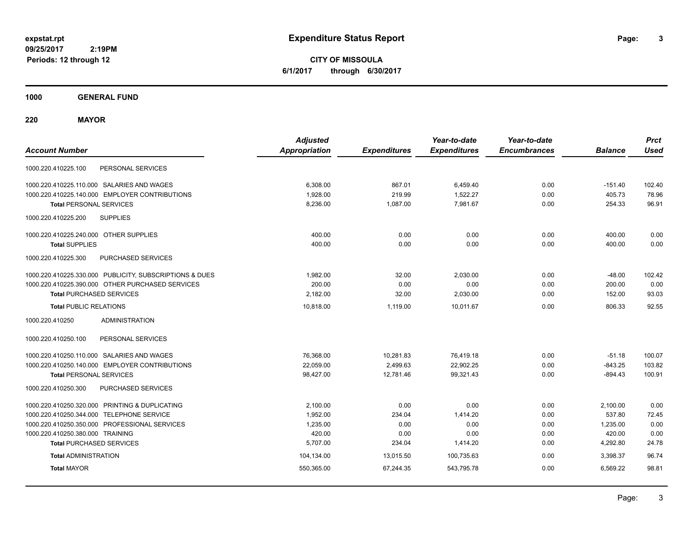**CITY OF MISSOULA 6/1/2017 through 6/30/2017**

**1000 GENERAL FUND**

**220 MAYOR**

| <b>Account Number</b>                                   | <b>Adjusted</b><br><b>Appropriation</b> | <b>Expenditures</b> | Year-to-date<br><b>Expenditures</b> | Year-to-date<br><b>Encumbrances</b> | <b>Balance</b> | <b>Prct</b><br><b>Used</b> |
|---------------------------------------------------------|-----------------------------------------|---------------------|-------------------------------------|-------------------------------------|----------------|----------------------------|
| PERSONAL SERVICES<br>1000.220.410225.100                |                                         |                     |                                     |                                     |                |                            |
| 1000.220.410225.110.000 SALARIES AND WAGES              | 6.308.00                                | 867.01              | 6.459.40                            | 0.00                                | $-151.40$      | 102.40                     |
| 1000.220.410225.140.000 EMPLOYER CONTRIBUTIONS          | 1,928.00                                | 219.99              | 1,522.27                            | 0.00                                | 405.73         | 78.96                      |
| <b>Total PERSONAL SERVICES</b>                          | 8,236.00                                | 1,087.00            | 7,981.67                            | 0.00                                | 254.33         | 96.91                      |
| 1000.220.410225.200<br><b>SUPPLIES</b>                  |                                         |                     |                                     |                                     |                |                            |
| 1000.220.410225.240.000 OTHER SUPPLIES                  | 400.00                                  | 0.00                | 0.00                                | 0.00                                | 400.00         | 0.00                       |
| <b>Total SUPPLIES</b>                                   | 400.00                                  | 0.00                | 0.00                                | 0.00                                | 400.00         | 0.00                       |
| PURCHASED SERVICES<br>1000.220.410225.300               |                                         |                     |                                     |                                     |                |                            |
| 1000.220.410225.330.000 PUBLICITY, SUBSCRIPTIONS & DUES | 1.982.00                                | 32.00               | 2,030.00                            | 0.00                                | $-48.00$       | 102.42                     |
| 1000.220.410225.390.000 OTHER PURCHASED SERVICES        | 200.00                                  | 0.00                | 0.00                                | 0.00                                | 200.00         | 0.00                       |
| <b>Total PURCHASED SERVICES</b>                         | 2,182.00                                | 32.00               | 2,030.00                            | 0.00                                | 152.00         | 93.03                      |
| <b>Total PUBLIC RELATIONS</b>                           | 10,818.00                               | 1,119.00            | 10.011.67                           | 0.00                                | 806.33         | 92.55                      |
| 1000.220.410250<br><b>ADMINISTRATION</b>                |                                         |                     |                                     |                                     |                |                            |
| 1000.220.410250.100<br>PERSONAL SERVICES                |                                         |                     |                                     |                                     |                |                            |
| 1000.220.410250.110.000 SALARIES AND WAGES              | 76,368.00                               | 10,281.83           | 76,419.18                           | 0.00                                | $-51.18$       | 100.07                     |
| 1000.220.410250.140.000 EMPLOYER CONTRIBUTIONS          | 22,059.00                               | 2,499.63            | 22,902.25                           | 0.00                                | $-843.25$      | 103.82                     |
| <b>Total PERSONAL SERVICES</b>                          | 98,427.00                               | 12,781.46           | 99,321.43                           | 0.00                                | $-894.43$      | 100.91                     |
| PURCHASED SERVICES<br>1000.220.410250.300               |                                         |                     |                                     |                                     |                |                            |
| 1000.220.410250.320.000 PRINTING & DUPLICATING          | 2,100.00                                | 0.00                | 0.00                                | 0.00                                | 2,100.00       | 0.00                       |
| 1000.220.410250.344.000 TELEPHONE SERVICE               | 1,952.00                                | 234.04              | 1,414.20                            | 0.00                                | 537.80         | 72.45                      |
| 1000.220.410250.350.000 PROFESSIONAL SERVICES           | 1,235.00                                | 0.00                | 0.00                                | 0.00                                | 1,235.00       | 0.00                       |
| 1000.220.410250.380.000 TRAINING                        | 420.00                                  | 0.00                | 0.00                                | 0.00                                | 420.00         | 0.00                       |
| <b>Total PURCHASED SERVICES</b>                         | 5,707.00                                | 234.04              | 1,414.20                            | 0.00                                | 4,292.80       | 24.78                      |
| <b>Total ADMINISTRATION</b>                             | 104,134.00                              | 13,015.50           | 100,735.63                          | 0.00                                | 3,398.37       | 96.74                      |
| <b>Total MAYOR</b>                                      | 550,365.00                              | 67,244.35           | 543,795.78                          | 0.00                                | 6,569.22       | 98.81                      |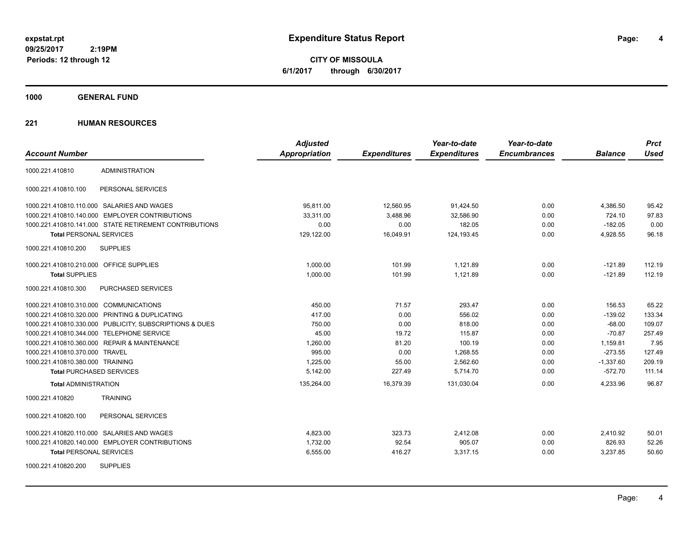**4**

**CITY OF MISSOULA 6/1/2017 through 6/30/2017**

**1000 GENERAL FUND**

|                                                         | <b>Adjusted</b>      |                     | Year-to-date        | Year-to-date        |                | <b>Prct</b> |
|---------------------------------------------------------|----------------------|---------------------|---------------------|---------------------|----------------|-------------|
| <b>Account Number</b>                                   | <b>Appropriation</b> | <b>Expenditures</b> | <b>Expenditures</b> | <b>Encumbrances</b> | <b>Balance</b> | <b>Used</b> |
| <b>ADMINISTRATION</b><br>1000.221.410810                |                      |                     |                     |                     |                |             |
| 1000.221.410810.100<br>PERSONAL SERVICES                |                      |                     |                     |                     |                |             |
| 1000.221.410810.110.000 SALARIES AND WAGES              | 95,811.00            | 12,560.95           | 91,424.50           | 0.00                | 4,386.50       | 95.42       |
| 1000.221.410810.140.000 EMPLOYER CONTRIBUTIONS          | 33.311.00            | 3,488.96            | 32,586.90           | 0.00                | 724.10         | 97.83       |
| 1000.221.410810.141.000 STATE RETIREMENT CONTRIBUTIONS  | 0.00                 | 0.00                | 182.05              | 0.00                | $-182.05$      | 0.00        |
| <b>Total PERSONAL SERVICES</b>                          | 129,122.00           | 16,049.91           | 124,193.45          | 0.00                | 4,928.55       | 96.18       |
| <b>SUPPLIES</b><br>1000.221.410810.200                  |                      |                     |                     |                     |                |             |
| 1000.221.410810.210.000 OFFICE SUPPLIES                 | 1,000.00             | 101.99              | 1,121.89            | 0.00                | $-121.89$      | 112.19      |
| <b>Total SUPPLIES</b>                                   | 1,000.00             | 101.99              | 1,121.89            | 0.00                | $-121.89$      | 112.19      |
| PURCHASED SERVICES<br>1000.221.410810.300               |                      |                     |                     |                     |                |             |
| 1000.221.410810.310.000 COMMUNICATIONS                  | 450.00               | 71.57               | 293.47              | 0.00                | 156.53         | 65.22       |
| 1000.221.410810.320.000 PRINTING & DUPLICATING          | 417.00               | 0.00                | 556.02              | 0.00                | $-139.02$      | 133.34      |
| 1000.221.410810.330.000 PUBLICITY, SUBSCRIPTIONS & DUES | 750.00               | 0.00                | 818.00              | 0.00                | $-68.00$       | 109.07      |
| 1000.221.410810.344.000 TELEPHONE SERVICE               | 45.00                | 19.72               | 115.87              | 0.00                | $-70.87$       | 257.49      |
| 1000.221.410810.360.000 REPAIR & MAINTENANCE            | 1,260.00             | 81.20               | 100.19              | 0.00                | 1,159.81       | 7.95        |
| 1000.221.410810.370.000 TRAVEL                          | 995.00               | 0.00                | 1,268.55            | 0.00                | $-273.55$      | 127.49      |
| 1000.221.410810.380.000 TRAINING                        | 1,225.00             | 55.00               | 2,562.60            | 0.00                | $-1,337.60$    | 209.19      |
| <b>Total PURCHASED SERVICES</b>                         | 5,142.00             | 227.49              | 5,714.70            | 0.00                | $-572.70$      | 111.14      |
| <b>Total ADMINISTRATION</b>                             | 135,264.00           | 16,379.39           | 131,030.04          | 0.00                | 4,233.96       | 96.87       |
| <b>TRAINING</b><br>1000.221.410820                      |                      |                     |                     |                     |                |             |
| 1000.221.410820.100<br>PERSONAL SERVICES                |                      |                     |                     |                     |                |             |
| 1000.221.410820.110.000 SALARIES AND WAGES              | 4,823.00             | 323.73              | 2,412.08            | 0.00                | 2,410.92       | 50.01       |
| 1000.221.410820.140.000 EMPLOYER CONTRIBUTIONS          | 1,732.00             | 92.54               | 905.07              | 0.00                | 826.93         | 52.26       |
| <b>Total PERSONAL SERVICES</b>                          | 6,555.00             | 416.27              | 3,317.15            | 0.00                | 3,237.85       | 50.60       |
| <b>SUPPLIES</b><br>1000.221.410820.200                  |                      |                     |                     |                     |                |             |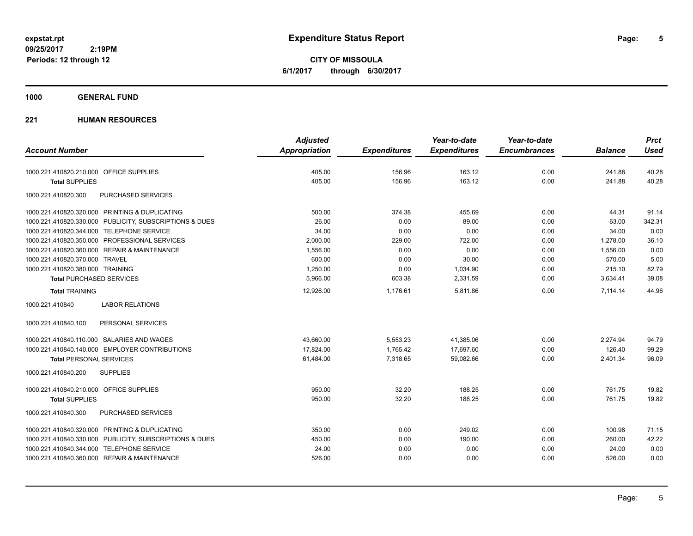**CITY OF MISSOULA 6/1/2017 through 6/30/2017**

### **1000 GENERAL FUND**

|                                                         | <b>Adjusted</b> |                     | Year-to-date        | Year-to-date        |                | <b>Prct</b> |
|---------------------------------------------------------|-----------------|---------------------|---------------------|---------------------|----------------|-------------|
| <b>Account Number</b>                                   | Appropriation   | <b>Expenditures</b> | <b>Expenditures</b> | <b>Encumbrances</b> | <b>Balance</b> | <b>Used</b> |
| 1000.221.410820.210.000 OFFICE SUPPLIES                 | 405.00          | 156.96              | 163.12              | 0.00                | 241.88         | 40.28       |
| <b>Total SUPPLIES</b>                                   | 405.00          | 156.96              | 163.12              | 0.00                | 241.88         | 40.28       |
| 1000.221.410820.300<br><b>PURCHASED SERVICES</b>        |                 |                     |                     |                     |                |             |
| 1000.221.410820.320.000 PRINTING & DUPLICATING          | 500.00          | 374.38              | 455.69              | 0.00                | 44.31          | 91.14       |
| 1000.221.410820.330.000 PUBLICITY, SUBSCRIPTIONS & DUES | 26.00           | 0.00                | 89.00               | 0.00                | $-63.00$       | 342.31      |
| 1000.221.410820.344.000 TELEPHONE SERVICE               | 34.00           | 0.00                | 0.00                | 0.00                | 34.00          | 0.00        |
| 1000.221.410820.350.000 PROFESSIONAL SERVICES           | 2,000.00        | 229.00              | 722.00              | 0.00                | 1,278.00       | 36.10       |
| 1000.221.410820.360.000 REPAIR & MAINTENANCE            | 1,556.00        | 0.00                | 0.00                | 0.00                | 1,556.00       | 0.00        |
| 1000.221.410820.370.000 TRAVEL                          | 600.00          | 0.00                | 30.00               | 0.00                | 570.00         | 5.00        |
| 1000.221.410820.380.000 TRAINING                        | 1,250.00        | 0.00                | 1,034.90            | 0.00                | 215.10         | 82.79       |
| <b>Total PURCHASED SERVICES</b>                         | 5,966.00        | 603.38              | 2,331.59            | 0.00                | 3,634.41       | 39.08       |
| <b>Total TRAINING</b>                                   | 12,926.00       | 1,176.61            | 5,811.86            | 0.00                | 7,114.14       | 44.96       |
| 1000.221.410840<br><b>LABOR RELATIONS</b>               |                 |                     |                     |                     |                |             |
| 1000.221.410840.100<br>PERSONAL SERVICES                |                 |                     |                     |                     |                |             |
| 1000.221.410840.110.000 SALARIES AND WAGES              | 43,660.00       | 5,553.23            | 41,385.06           | 0.00                | 2,274.94       | 94.79       |
| 1000.221.410840.140.000 EMPLOYER CONTRIBUTIONS          | 17.824.00       | 1.765.42            | 17,697.60           | 0.00                | 126.40         | 99.29       |
| <b>Total PERSONAL SERVICES</b>                          | 61,484.00       | 7,318.65            | 59,082.66           | 0.00                | 2,401.34       | 96.09       |
| <b>SUPPLIES</b><br>1000.221.410840.200                  |                 |                     |                     |                     |                |             |
| 1000.221.410840.210.000 OFFICE SUPPLIES                 | 950.00          | 32.20               | 188.25              | 0.00                | 761.75         | 19.82       |
| <b>Total SUPPLIES</b>                                   | 950.00          | 32.20               | 188.25              | 0.00                | 761.75         | 19.82       |
| PURCHASED SERVICES<br>1000.221.410840.300               |                 |                     |                     |                     |                |             |
| 1000.221.410840.320.000 PRINTING & DUPLICATING          | 350.00          | 0.00                | 249.02              | 0.00                | 100.98         | 71.15       |
| 1000.221.410840.330.000 PUBLICITY, SUBSCRIPTIONS & DUES | 450.00          | 0.00                | 190.00              | 0.00                | 260.00         | 42.22       |
| 1000.221.410840.344.000 TELEPHONE SERVICE               | 24.00           | 0.00                | 0.00                | 0.00                | 24.00          | 0.00        |
| 1000.221.410840.360.000 REPAIR & MAINTENANCE            | 526.00          | 0.00                | 0.00                | 0.00                | 526.00         | 0.00        |
|                                                         |                 |                     |                     |                     |                |             |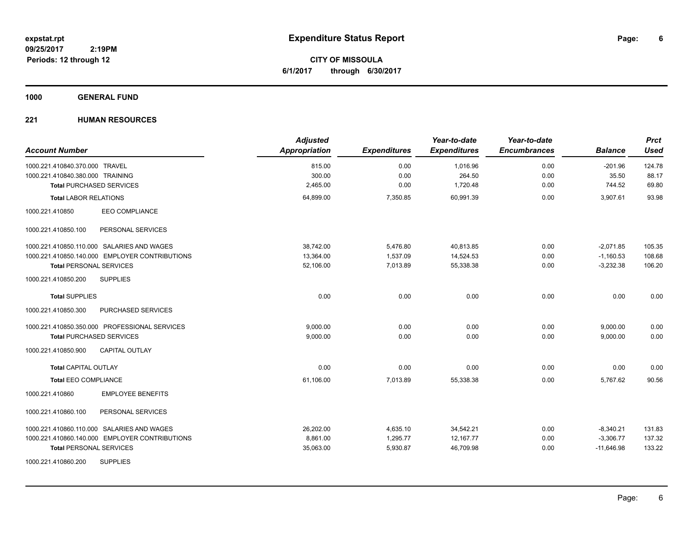**CITY OF MISSOULA 6/1/2017 through 6/30/2017**

### **1000 GENERAL FUND**

| <b>Account Number</b>                          | <b>Adjusted</b><br>Appropriation | <b>Expenditures</b> | Year-to-date<br><b>Expenditures</b> | Year-to-date<br><b>Encumbrances</b> | <b>Balance</b> | <b>Prct</b><br><b>Used</b> |
|------------------------------------------------|----------------------------------|---------------------|-------------------------------------|-------------------------------------|----------------|----------------------------|
| 1000.221.410840.370.000 TRAVEL                 | 815.00                           | 0.00                | 1,016.96                            | 0.00                                | $-201.96$      | 124.78                     |
| 1000.221.410840.380.000 TRAINING               | 300.00                           | 0.00                | 264.50                              | 0.00                                | 35.50          | 88.17                      |
| <b>Total PURCHASED SERVICES</b>                | 2,465.00                         | 0.00                | 1,720.48                            | 0.00                                | 744.52         | 69.80                      |
| <b>Total LABOR RELATIONS</b>                   | 64,899.00                        | 7,350.85            | 60.991.39                           | 0.00                                | 3,907.61       | 93.98                      |
| EEO COMPLIANCE<br>1000.221.410850              |                                  |                     |                                     |                                     |                |                            |
| 1000.221.410850.100<br>PERSONAL SERVICES       |                                  |                     |                                     |                                     |                |                            |
| 1000.221.410850.110.000 SALARIES AND WAGES     | 38,742.00                        | 5,476.80            | 40,813.85                           | 0.00                                | $-2,071.85$    | 105.35                     |
| 1000.221.410850.140.000 EMPLOYER CONTRIBUTIONS | 13,364.00                        | 1,537.09            | 14,524.53                           | 0.00                                | $-1,160.53$    | 108.68                     |
| <b>Total PERSONAL SERVICES</b>                 | 52,106.00                        | 7,013.89            | 55,338.38                           | 0.00                                | $-3,232.38$    | 106.20                     |
| 1000.221.410850.200<br><b>SUPPLIES</b>         |                                  |                     |                                     |                                     |                |                            |
| <b>Total SUPPLIES</b>                          | 0.00                             | 0.00                | 0.00                                | 0.00                                | 0.00           | 0.00                       |
| PURCHASED SERVICES<br>1000.221.410850.300      |                                  |                     |                                     |                                     |                |                            |
| 1000.221.410850.350.000 PROFESSIONAL SERVICES  | 9,000.00                         | 0.00                | 0.00                                | 0.00                                | 9,000.00       | 0.00                       |
| <b>Total PURCHASED SERVICES</b>                | 9,000.00                         | 0.00                | 0.00                                | 0.00                                | 9,000.00       | 0.00                       |
| 1000.221.410850.900<br><b>CAPITAL OUTLAY</b>   |                                  |                     |                                     |                                     |                |                            |
| <b>Total CAPITAL OUTLAY</b>                    | 0.00                             | 0.00                | 0.00                                | 0.00                                | 0.00           | 0.00                       |
| <b>Total EEO COMPLIANCE</b>                    | 61,106.00                        | 7,013.89            | 55,338.38                           | 0.00                                | 5,767.62       | 90.56                      |
| <b>EMPLOYEE BENEFITS</b><br>1000.221.410860    |                                  |                     |                                     |                                     |                |                            |
| 1000.221.410860.100<br>PERSONAL SERVICES       |                                  |                     |                                     |                                     |                |                            |
| 1000.221.410860.110.000 SALARIES AND WAGES     | 26,202.00                        | 4,635.10            | 34,542.21                           | 0.00                                | $-8,340.21$    | 131.83                     |
| 1000.221.410860.140.000 EMPLOYER CONTRIBUTIONS | 8,861.00                         | 1,295.77            | 12, 167.77                          | 0.00                                | $-3,306.77$    | 137.32                     |
| <b>Total PERSONAL SERVICES</b>                 | 35,063.00                        | 5,930.87            | 46,709.98                           | 0.00                                | $-11,646.98$   | 133.22                     |
| <b>SUPPLIES</b><br>1000.221.410860.200         |                                  |                     |                                     |                                     |                |                            |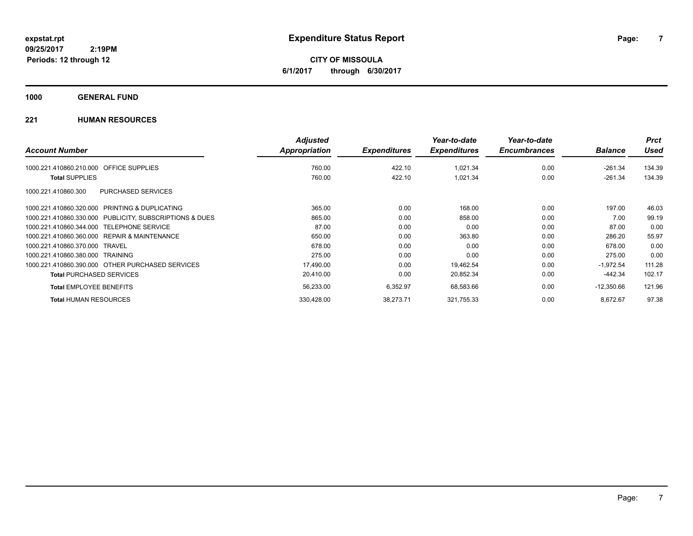**CITY OF MISSOULA 6/1/2017 through 6/30/2017**

### **1000 GENERAL FUND**

|                                                         | <b>Adjusted</b> |                     | Year-to-date        | Year-to-date        |                | <b>Prct</b> |
|---------------------------------------------------------|-----------------|---------------------|---------------------|---------------------|----------------|-------------|
| <b>Account Number</b>                                   | Appropriation   | <b>Expenditures</b> | <b>Expenditures</b> | <b>Encumbrances</b> | <b>Balance</b> | <b>Used</b> |
| <b>OFFICE SUPPLIES</b><br>1000.221.410860.210.000       | 760.00          | 422.10              | 1,021.34            | 0.00                | $-261.34$      | 134.39      |
| <b>Total SUPPLIES</b>                                   | 760.00          | 422.10              | 1,021.34            | 0.00                | $-261.34$      | 134.39      |
| PURCHASED SERVICES<br>1000.221.410860.300               |                 |                     |                     |                     |                |             |
| PRINTING & DUPLICATING<br>1000.221.410860.320.000       | 365.00          | 0.00                | 168.00              | 0.00                | 197.00         | 46.03       |
| 1000.221.410860.330.000 PUBLICITY, SUBSCRIPTIONS & DUES | 865.00          | 0.00                | 858.00              | 0.00                | 7.00           | 99.19       |
| 1000.221.410860.344.000<br><b>TELEPHONE SERVICE</b>     | 87.00           | 0.00                | 0.00                | 0.00                | 87.00          | 0.00        |
| 1000.221.410860.360.000<br>REPAIR & MAINTENANCE         | 650.00          | 0.00                | 363.80              | 0.00                | 286.20         | 55.97       |
| 1000.221.410860.370.000<br><b>TRAVEL</b>                | 678.00          | 0.00                | 0.00                | 0.00                | 678.00         | 0.00        |
| 1000.221.410860.380.000 TRAINING                        | 275.00          | 0.00                | 0.00                | 0.00                | 275.00         | 0.00        |
| 1000.221.410860.390.000 OTHER PURCHASED SERVICES        | 17,490.00       | 0.00                | 19,462.54           | 0.00                | $-1,972.54$    | 111.28      |
| <b>Total PURCHASED SERVICES</b>                         | 20,410.00       | 0.00                | 20,852.34           | 0.00                | -442.34        | 102.17      |
| <b>Total EMPLOYEE BENEFITS</b>                          | 56,233.00       | 6,352.97            | 68,583.66           | 0.00                | $-12,350.66$   | 121.96      |
| <b>Total HUMAN RESOURCES</b>                            | 330,428.00      | 38,273.71           | 321,755.33          | 0.00                | 8.672.67       | 97.38       |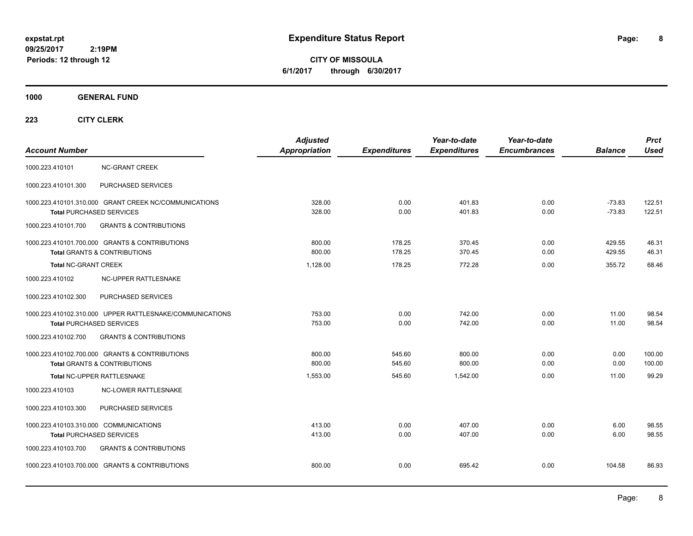**CITY OF MISSOULA 6/1/2017 through 6/30/2017**

### **1000 GENERAL FUND**

|                                                          | <b>Adjusted</b>      |                     | Year-to-date        | Year-to-date        |                | <b>Prct</b> |
|----------------------------------------------------------|----------------------|---------------------|---------------------|---------------------|----------------|-------------|
| <b>Account Number</b>                                    | <b>Appropriation</b> | <b>Expenditures</b> | <b>Expenditures</b> | <b>Encumbrances</b> | <b>Balance</b> | <b>Used</b> |
| <b>NC-GRANT CREEK</b><br>1000.223.410101                 |                      |                     |                     |                     |                |             |
| PURCHASED SERVICES<br>1000.223.410101.300                |                      |                     |                     |                     |                |             |
| 1000.223.410101.310.000 GRANT CREEK NC/COMMUNICATIONS    | 328.00               | 0.00                | 401.83              | 0.00                | $-73.83$       | 122.51      |
| <b>Total PURCHASED SERVICES</b>                          | 328.00               | 0.00                | 401.83              | 0.00                | $-73.83$       | 122.51      |
| <b>GRANTS &amp; CONTRIBUTIONS</b><br>1000.223.410101.700 |                      |                     |                     |                     |                |             |
| 1000.223.410101.700.000 GRANTS & CONTRIBUTIONS           | 800.00               | 178.25              | 370.45              | 0.00                | 429.55         | 46.31       |
| <b>Total GRANTS &amp; CONTRIBUTIONS</b>                  | 800.00               | 178.25              | 370.45              | 0.00                | 429.55         | 46.31       |
| <b>Total NC-GRANT CREEK</b>                              | 1,128.00             | 178.25              | 772.28              | 0.00                | 355.72         | 68.46       |
| 1000.223.410102<br>NC-UPPER RATTLESNAKE                  |                      |                     |                     |                     |                |             |
| PURCHASED SERVICES<br>1000.223.410102.300                |                      |                     |                     |                     |                |             |
| 1000.223.410102.310.000 UPPER RATTLESNAKE/COMMUNICATIONS | 753.00               | 0.00                | 742.00              | 0.00                | 11.00          | 98.54       |
| <b>Total PURCHASED SERVICES</b>                          | 753.00               | 0.00                | 742.00              | 0.00                | 11.00          | 98.54       |
| <b>GRANTS &amp; CONTRIBUTIONS</b><br>1000.223.410102.700 |                      |                     |                     |                     |                |             |
| 1000.223.410102.700.000 GRANTS & CONTRIBUTIONS           | 800.00               | 545.60              | 800.00              | 0.00                | 0.00           | 100.00      |
| <b>Total GRANTS &amp; CONTRIBUTIONS</b>                  | 800.00               | 545.60              | 800.00              | 0.00                | 0.00           | 100.00      |
| Total NC-UPPER RATTLESNAKE                               | 1,553.00             | 545.60              | 1,542.00            | 0.00                | 11.00          | 99.29       |
| 1000.223.410103<br><b>NC-LOWER RATTLESNAKE</b>           |                      |                     |                     |                     |                |             |
| 1000.223.410103.300<br>PURCHASED SERVICES                |                      |                     |                     |                     |                |             |
| 1000.223.410103.310.000 COMMUNICATIONS                   | 413.00               | 0.00                | 407.00              | 0.00                | 6.00           | 98.55       |
| <b>Total PURCHASED SERVICES</b>                          | 413.00               | 0.00                | 407.00              | 0.00                | 6.00           | 98.55       |
| 1000.223.410103.700<br><b>GRANTS &amp; CONTRIBUTIONS</b> |                      |                     |                     |                     |                |             |
| 1000.223.410103.700.000 GRANTS & CONTRIBUTIONS           | 800.00               | 0.00                | 695.42              | 0.00                | 104.58         | 86.93       |
|                                                          |                      |                     |                     |                     |                |             |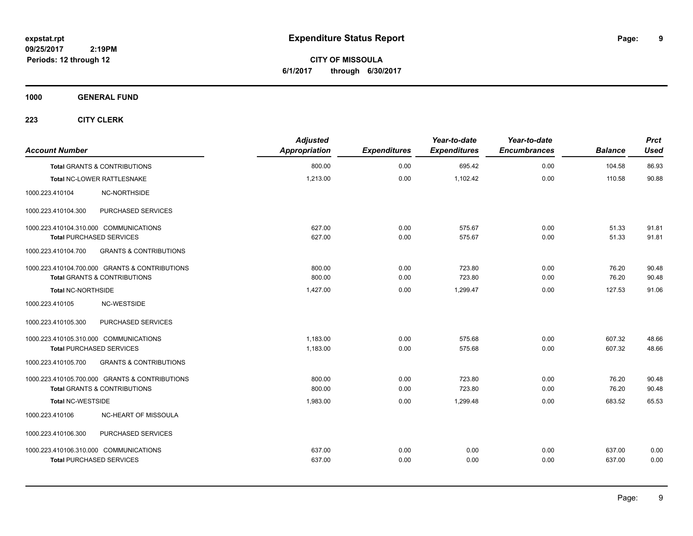**9**

**CITY OF MISSOULA 6/1/2017 through 6/30/2017**

**1000 GENERAL FUND**

| <b>Account Number</b>                                                                     |                                   | <b>Adjusted</b><br>Appropriation | <b>Expenditures</b> | Year-to-date<br><b>Expenditures</b> | Year-to-date<br><b>Encumbrances</b> | <b>Balance</b>   | <b>Prct</b><br><b>Used</b> |
|-------------------------------------------------------------------------------------------|-----------------------------------|----------------------------------|---------------------|-------------------------------------|-------------------------------------|------------------|----------------------------|
| <b>Total GRANTS &amp; CONTRIBUTIONS</b>                                                   |                                   | 800.00                           | 0.00                | 695.42                              | 0.00                                | 104.58           | 86.93                      |
| <b>Total NC-LOWER RATTLESNAKE</b>                                                         |                                   | 1,213.00                         | 0.00                | 1,102.42                            | 0.00                                | 110.58           | 90.88                      |
| 1000.223.410104                                                                           | <b>NC-NORTHSIDE</b>               |                                  |                     |                                     |                                     |                  |                            |
| 1000.223.410104.300                                                                       | PURCHASED SERVICES                |                                  |                     |                                     |                                     |                  |                            |
| 1000.223.410104.310.000 COMMUNICATIONS<br><b>Total PURCHASED SERVICES</b>                 |                                   | 627.00<br>627.00                 | 0.00<br>0.00        | 575.67<br>575.67                    | 0.00<br>0.00                        | 51.33<br>51.33   | 91.81<br>91.81             |
| 1000.223.410104.700                                                                       | <b>GRANTS &amp; CONTRIBUTIONS</b> |                                  |                     |                                     |                                     |                  |                            |
| 1000.223.410104.700.000 GRANTS & CONTRIBUTIONS<br><b>Total GRANTS &amp; CONTRIBUTIONS</b> |                                   | 800.00<br>800.00                 | 0.00<br>0.00        | 723.80<br>723.80                    | 0.00<br>0.00                        | 76.20<br>76.20   | 90.48<br>90.48             |
| Total NC-NORTHSIDE                                                                        |                                   | 1,427.00                         | 0.00                | 1,299.47                            | 0.00                                | 127.53           | 91.06                      |
| 1000.223.410105                                                                           | <b>NC-WESTSIDE</b>                |                                  |                     |                                     |                                     |                  |                            |
| 1000.223.410105.300                                                                       | PURCHASED SERVICES                |                                  |                     |                                     |                                     |                  |                            |
| 1000.223.410105.310.000 COMMUNICATIONS<br><b>Total PURCHASED SERVICES</b>                 |                                   | 1,183.00<br>1,183.00             | 0.00<br>0.00        | 575.68<br>575.68                    | 0.00<br>0.00                        | 607.32<br>607.32 | 48.66<br>48.66             |
| 1000.223.410105.700                                                                       | <b>GRANTS &amp; CONTRIBUTIONS</b> |                                  |                     |                                     |                                     |                  |                            |
| 1000.223.410105.700.000 GRANTS & CONTRIBUTIONS<br><b>Total GRANTS &amp; CONTRIBUTIONS</b> |                                   | 800.00<br>800.00                 | 0.00<br>0.00        | 723.80<br>723.80                    | 0.00<br>0.00                        | 76.20<br>76.20   | 90.48<br>90.48             |
| <b>Total NC-WESTSIDE</b>                                                                  |                                   | 1,983.00                         | 0.00                | 1,299.48                            | 0.00                                | 683.52           | 65.53                      |
| 1000.223.410106                                                                           | NC-HEART OF MISSOULA              |                                  |                     |                                     |                                     |                  |                            |
| 1000.223.410106.300                                                                       | PURCHASED SERVICES                |                                  |                     |                                     |                                     |                  |                            |
| 1000.223.410106.310.000 COMMUNICATIONS<br><b>Total PURCHASED SERVICES</b>                 |                                   | 637.00<br>637.00                 | 0.00<br>0.00        | 0.00<br>0.00                        | 0.00<br>0.00                        | 637.00<br>637.00 | 0.00<br>0.00               |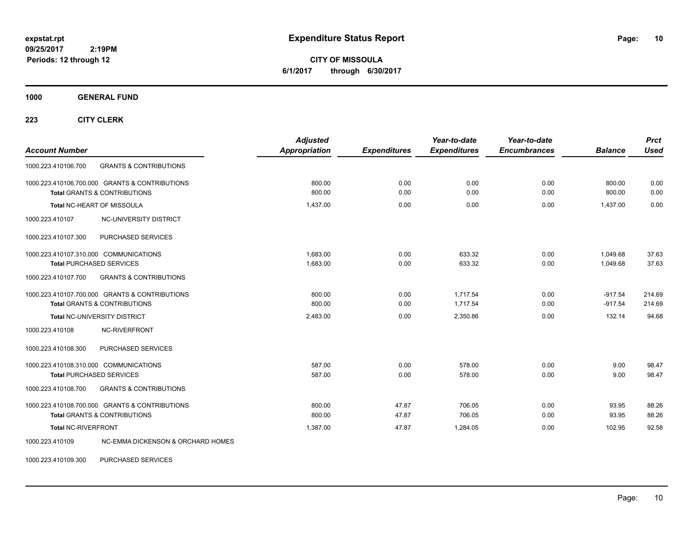**CITY OF MISSOULA 6/1/2017 through 6/30/2017**

**1000 GENERAL FUND**

**223 CITY CLERK**

| <b>Account Number</b>                                                                     | <b>Adjusted</b><br><b>Appropriation</b> | <b>Expenditures</b> | Year-to-date<br><b>Expenditures</b> | Year-to-date<br><b>Encumbrances</b> | <b>Balance</b>         | <b>Prct</b><br><b>Used</b> |
|-------------------------------------------------------------------------------------------|-----------------------------------------|---------------------|-------------------------------------|-------------------------------------|------------------------|----------------------------|
| <b>GRANTS &amp; CONTRIBUTIONS</b><br>1000.223.410106.700                                  |                                         |                     |                                     |                                     |                        |                            |
| 1000.223.410106.700.000 GRANTS & CONTRIBUTIONS<br><b>Total GRANTS &amp; CONTRIBUTIONS</b> | 800.00<br>800.00                        | 0.00<br>0.00        | 0.00<br>0.00                        | 0.00<br>0.00                        | 800.00<br>800.00       | 0.00<br>0.00               |
| Total NC-HEART OF MISSOULA                                                                | 1.437.00                                | 0.00                | 0.00                                | 0.00                                | 1,437.00               | 0.00                       |
| 1000.223.410107<br><b>NC-UNIVERSITY DISTRICT</b>                                          |                                         |                     |                                     |                                     |                        |                            |
| PURCHASED SERVICES<br>1000.223.410107.300                                                 |                                         |                     |                                     |                                     |                        |                            |
| 1000.223.410107.310.000 COMMUNICATIONS<br><b>Total PURCHASED SERVICES</b>                 | 1,683.00<br>1,683.00                    | 0.00<br>0.00        | 633.32<br>633.32                    | 0.00<br>0.00                        | 1,049.68<br>1,049.68   | 37.63<br>37.63             |
| <b>GRANTS &amp; CONTRIBUTIONS</b><br>1000.223.410107.700                                  |                                         |                     |                                     |                                     |                        |                            |
| 1000.223.410107.700.000 GRANTS & CONTRIBUTIONS<br><b>Total GRANTS &amp; CONTRIBUTIONS</b> | 800.00<br>800.00                        | 0.00<br>0.00        | 1.717.54<br>1,717.54                | 0.00<br>0.00                        | $-917.54$<br>$-917.54$ | 214.69<br>214.69           |
| Total NC-UNIVERSITY DISTRICT                                                              | 2,483.00                                | 0.00                | 2,350.86                            | 0.00                                | 132.14                 | 94.68                      |
| 1000.223.410108<br><b>NC-RIVERFRONT</b>                                                   |                                         |                     |                                     |                                     |                        |                            |
| 1000.223.410108.300<br>PURCHASED SERVICES                                                 |                                         |                     |                                     |                                     |                        |                            |
| 1000.223.410108.310.000 COMMUNICATIONS<br><b>Total PURCHASED SERVICES</b>                 | 587.00<br>587.00                        | 0.00<br>0.00        | 578.00<br>578.00                    | 0.00<br>0.00                        | 9.00<br>9.00           | 98.47<br>98.47             |
| <b>GRANTS &amp; CONTRIBUTIONS</b><br>1000.223.410108.700                                  |                                         |                     |                                     |                                     |                        |                            |
| 1000.223.410108.700.000 GRANTS & CONTRIBUTIONS<br><b>Total GRANTS &amp; CONTRIBUTIONS</b> | 800.00<br>800.00                        | 47.87<br>47.87      | 706.05<br>706.05                    | 0.00<br>0.00                        | 93.95<br>93.95         | 88.26<br>88.26             |
| <b>Total NC-RIVERFRONT</b>                                                                | 1.387.00                                | 47.87               | 1,284.05                            | 0.00                                | 102.95                 | 92.58                      |
| NC-EMMA DICKENSON & ORCHARD HOMES<br>1000.223.410109                                      |                                         |                     |                                     |                                     |                        |                            |

1000.223.410109.300 PURCHASED SERVICES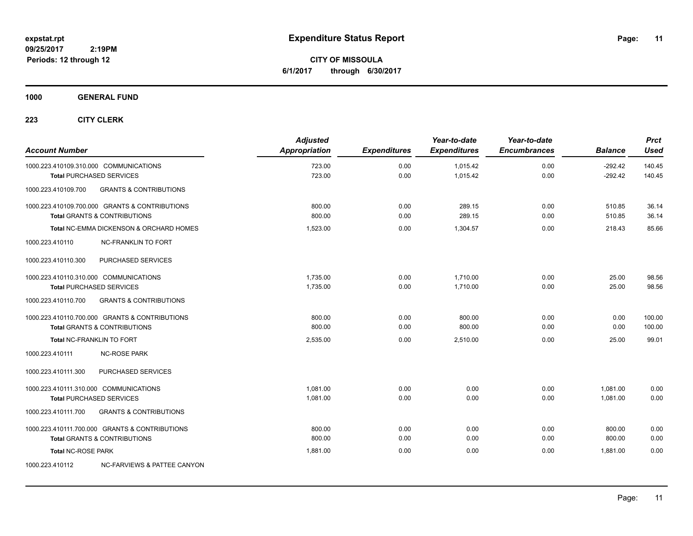**CITY OF MISSOULA 6/1/2017 through 6/30/2017**

### **1000 GENERAL FUND**

| <b>Account Number</b>                  |                                                                                           | <b>Adjusted</b><br>Appropriation | <b>Expenditures</b> | Year-to-date<br><b>Expenditures</b> | Year-to-date<br><b>Encumbrances</b> | <b>Balance</b>         | <b>Prct</b><br><b>Used</b> |
|----------------------------------------|-------------------------------------------------------------------------------------------|----------------------------------|---------------------|-------------------------------------|-------------------------------------|------------------------|----------------------------|
| 1000.223.410109.310.000 COMMUNICATIONS | <b>Total PURCHASED SERVICES</b>                                                           | 723.00<br>723.00                 | 0.00<br>0.00        | 1,015.42<br>1,015.42                | 0.00<br>0.00                        | $-292.42$<br>$-292.42$ | 140.45<br>140.45           |
| 1000.223.410109.700                    | <b>GRANTS &amp; CONTRIBUTIONS</b>                                                         |                                  |                     |                                     |                                     |                        |                            |
|                                        | 1000.223.410109.700.000 GRANTS & CONTRIBUTIONS<br><b>Total GRANTS &amp; CONTRIBUTIONS</b> | 800.00<br>800.00                 | 0.00<br>0.00        | 289.15<br>289.15                    | 0.00<br>0.00                        | 510.85<br>510.85       | 36.14<br>36.14             |
|                                        | Total NC-EMMA DICKENSON & ORCHARD HOMES                                                   | 1,523.00                         | 0.00                | 1,304.57                            | 0.00                                | 218.43                 | 85.66                      |
| 1000.223.410110                        | <b>NC-FRANKLIN TO FORT</b>                                                                |                                  |                     |                                     |                                     |                        |                            |
| 1000.223.410110.300                    | PURCHASED SERVICES                                                                        |                                  |                     |                                     |                                     |                        |                            |
| 1000.223.410110.310.000 COMMUNICATIONS | <b>Total PURCHASED SERVICES</b>                                                           | 1,735.00<br>1,735.00             | 0.00<br>0.00        | 1,710.00<br>1.710.00                | 0.00<br>0.00                        | 25.00<br>25.00         | 98.56<br>98.56             |
| 1000.223.410110.700                    | <b>GRANTS &amp; CONTRIBUTIONS</b>                                                         |                                  |                     |                                     |                                     |                        |                            |
|                                        | 1000.223.410110.700.000 GRANTS & CONTRIBUTIONS<br><b>Total GRANTS &amp; CONTRIBUTIONS</b> | 800.00<br>800.00                 | 0.00<br>0.00        | 800.00<br>800.00                    | 0.00<br>0.00                        | 0.00<br>0.00           | 100.00<br>100.00           |
| Total NC-FRANKLIN TO FORT              |                                                                                           | 2,535.00                         | 0.00                | 2,510.00                            | 0.00                                | 25.00                  | 99.01                      |
| 1000.223.410111                        | <b>NC-ROSE PARK</b>                                                                       |                                  |                     |                                     |                                     |                        |                            |
| 1000.223.410111.300                    | PURCHASED SERVICES                                                                        |                                  |                     |                                     |                                     |                        |                            |
| 1000.223.410111.310.000 COMMUNICATIONS | <b>Total PURCHASED SERVICES</b>                                                           | 1,081.00<br>1,081.00             | 0.00<br>0.00        | 0.00<br>0.00                        | 0.00<br>0.00                        | 1,081.00<br>1.081.00   | 0.00<br>0.00               |
| 1000.223.410111.700                    | <b>GRANTS &amp; CONTRIBUTIONS</b>                                                         |                                  |                     |                                     |                                     |                        |                            |
|                                        | 1000.223.410111.700.000 GRANTS & CONTRIBUTIONS<br><b>Total GRANTS &amp; CONTRIBUTIONS</b> | 800.00<br>800.00                 | 0.00<br>0.00        | 0.00<br>0.00                        | 0.00<br>0.00                        | 800.00<br>800.00       | 0.00<br>0.00               |
| <b>Total NC-ROSE PARK</b>              |                                                                                           | 1,881.00                         | 0.00                | 0.00                                | 0.00                                | 1,881.00               | 0.00                       |
| 1000.223.410112                        | NC-FARVIEWS & PATTEE CANYON                                                               |                                  |                     |                                     |                                     |                        |                            |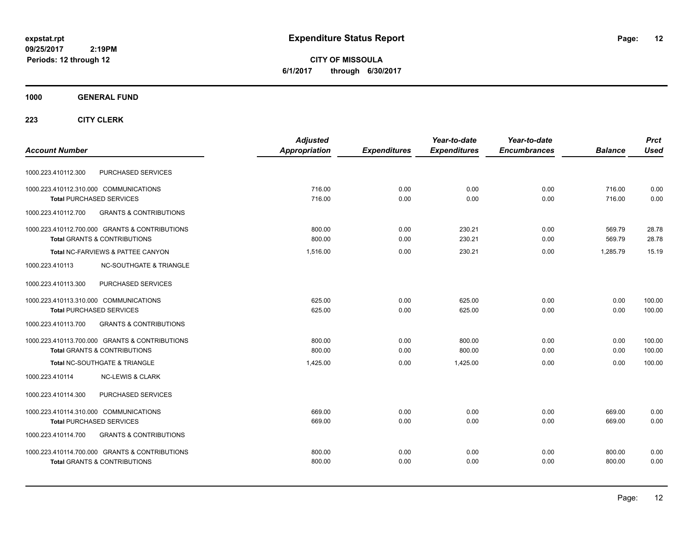**CITY OF MISSOULA 6/1/2017 through 6/30/2017**

### **1000 GENERAL FUND**

|                                                          | <b>Adjusted</b> |                     | Year-to-date        | Year-to-date        |                | <b>Prct</b> |
|----------------------------------------------------------|-----------------|---------------------|---------------------|---------------------|----------------|-------------|
| <b>Account Number</b>                                    | Appropriation   | <b>Expenditures</b> | <b>Expenditures</b> | <b>Encumbrances</b> | <b>Balance</b> | <b>Used</b> |
| PURCHASED SERVICES<br>1000.223.410112.300                |                 |                     |                     |                     |                |             |
| 1000.223.410112.310.000 COMMUNICATIONS                   | 716.00          | 0.00                | 0.00                | 0.00                | 716.00         | 0.00        |
| <b>Total PURCHASED SERVICES</b>                          | 716.00          | 0.00                | 0.00                | 0.00                | 716.00         | 0.00        |
| 1000.223.410112.700<br><b>GRANTS &amp; CONTRIBUTIONS</b> |                 |                     |                     |                     |                |             |
| 1000.223.410112.700.000 GRANTS & CONTRIBUTIONS           | 800.00          | 0.00                | 230.21              | 0.00                | 569.79         | 28.78       |
| <b>Total GRANTS &amp; CONTRIBUTIONS</b>                  | 800.00          | 0.00                | 230.21              | 0.00                | 569.79         | 28.78       |
| Total NC-FARVIEWS & PATTEE CANYON                        | 1.516.00        | 0.00                | 230.21              | 0.00                | 1.285.79       | 15.19       |
| <b>NC-SOUTHGATE &amp; TRIANGLE</b><br>1000.223.410113    |                 |                     |                     |                     |                |             |
| 1000.223.410113.300<br>PURCHASED SERVICES                |                 |                     |                     |                     |                |             |
| 1000.223.410113.310.000 COMMUNICATIONS                   | 625.00          | 0.00                | 625.00              | 0.00                | 0.00           | 100.00      |
| <b>Total PURCHASED SERVICES</b>                          | 625.00          | 0.00                | 625.00              | 0.00                | 0.00           | 100.00      |
| 1000.223.410113.700<br><b>GRANTS &amp; CONTRIBUTIONS</b> |                 |                     |                     |                     |                |             |
| 1000.223.410113.700.000 GRANTS & CONTRIBUTIONS           | 800.00          | 0.00                | 800.00              | 0.00                | 0.00           | 100.00      |
| <b>Total GRANTS &amp; CONTRIBUTIONS</b>                  | 800.00          | 0.00                | 800.00              | 0.00                | 0.00           | 100.00      |
| Total NC-SOUTHGATE & TRIANGLE                            | 1,425.00        | 0.00                | 1.425.00            | 0.00                | 0.00           | 100.00      |
| 1000.223.410114<br><b>NC-LEWIS &amp; CLARK</b>           |                 |                     |                     |                     |                |             |
| PURCHASED SERVICES<br>1000.223.410114.300                |                 |                     |                     |                     |                |             |
| 1000.223.410114.310.000 COMMUNICATIONS                   | 669.00          | 0.00                | 0.00                | 0.00                | 669.00         | 0.00        |
| <b>Total PURCHASED SERVICES</b>                          | 669.00          | 0.00                | 0.00                | 0.00                | 669.00         | 0.00        |
| <b>GRANTS &amp; CONTRIBUTIONS</b><br>1000.223.410114.700 |                 |                     |                     |                     |                |             |
| 1000.223.410114.700.000 GRANTS & CONTRIBUTIONS           | 800.00          | 0.00                | 0.00                | 0.00                | 800.00         | 0.00        |
| <b>Total GRANTS &amp; CONTRIBUTIONS</b>                  | 800.00          | 0.00                | 0.00                | 0.00                | 800.00         | 0.00        |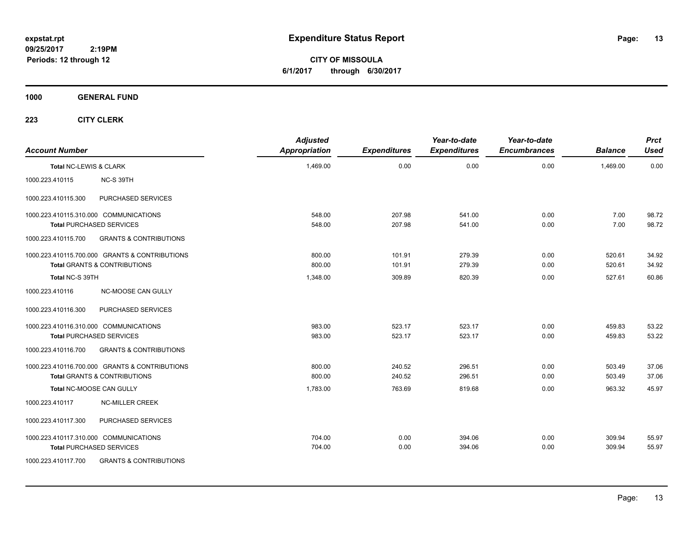**CITY OF MISSOULA 6/1/2017 through 6/30/2017**

**1000 GENERAL FUND**

| <b>Account Number</b>  |                                                | <b>Adjusted</b><br><b>Appropriation</b> | <b>Expenditures</b> | Year-to-date<br><b>Expenditures</b> | Year-to-date<br><b>Encumbrances</b> | <b>Balance</b> | <b>Prct</b><br><b>Used</b> |
|------------------------|------------------------------------------------|-----------------------------------------|---------------------|-------------------------------------|-------------------------------------|----------------|----------------------------|
| Total NC-LEWIS & CLARK |                                                | 1,469.00                                | 0.00                | 0.00                                | 0.00                                | 1,469.00       | 0.00                       |
| 1000.223.410115        | NC-S 39TH                                      |                                         |                     |                                     |                                     |                |                            |
| 1000.223.410115.300    | PURCHASED SERVICES                             |                                         |                     |                                     |                                     |                |                            |
|                        | 1000.223.410115.310.000 COMMUNICATIONS         | 548.00                                  | 207.98              | 541.00                              | 0.00                                | 7.00           | 98.72                      |
|                        | <b>Total PURCHASED SERVICES</b>                | 548.00                                  | 207.98              | 541.00                              | 0.00                                | 7.00           | 98.72                      |
| 1000.223.410115.700    | <b>GRANTS &amp; CONTRIBUTIONS</b>              |                                         |                     |                                     |                                     |                |                            |
|                        | 1000.223.410115.700.000 GRANTS & CONTRIBUTIONS | 800.00                                  | 101.91              | 279.39                              | 0.00                                | 520.61         | 34.92                      |
|                        | <b>Total GRANTS &amp; CONTRIBUTIONS</b>        | 800.00                                  | 101.91              | 279.39                              | 0.00                                | 520.61         | 34.92                      |
| Total NC-S 39TH        |                                                | 1,348.00                                | 309.89              | 820.39                              | 0.00                                | 527.61         | 60.86                      |
| 1000.223.410116        | NC-MOOSE CAN GULLY                             |                                         |                     |                                     |                                     |                |                            |
| 1000.223.410116.300    | PURCHASED SERVICES                             |                                         |                     |                                     |                                     |                |                            |
|                        | 1000.223.410116.310.000 COMMUNICATIONS         | 983.00                                  | 523.17              | 523.17                              | 0.00                                | 459.83         | 53.22                      |
|                        | <b>Total PURCHASED SERVICES</b>                | 983.00                                  | 523.17              | 523.17                              | 0.00                                | 459.83         | 53.22                      |
| 1000.223.410116.700    | <b>GRANTS &amp; CONTRIBUTIONS</b>              |                                         |                     |                                     |                                     |                |                            |
|                        | 1000.223.410116.700.000 GRANTS & CONTRIBUTIONS | 800.00                                  | 240.52              | 296.51                              | 0.00                                | 503.49         | 37.06                      |
|                        | <b>Total GRANTS &amp; CONTRIBUTIONS</b>        | 800.00                                  | 240.52              | 296.51                              | 0.00                                | 503.49         | 37.06                      |
|                        | Total NC-MOOSE CAN GULLY                       | 1,783.00                                | 763.69              | 819.68                              | 0.00                                | 963.32         | 45.97                      |
| 1000.223.410117        | <b>NC-MILLER CREEK</b>                         |                                         |                     |                                     |                                     |                |                            |
| 1000.223.410117.300    | PURCHASED SERVICES                             |                                         |                     |                                     |                                     |                |                            |
|                        | 1000.223.410117.310.000 COMMUNICATIONS         | 704.00                                  | 0.00                | 394.06                              | 0.00                                | 309.94         | 55.97                      |
|                        | <b>Total PURCHASED SERVICES</b>                | 704.00                                  | 0.00                | 394.06                              | 0.00                                | 309.94         | 55.97                      |
| 1000.223.410117.700    | <b>GRANTS &amp; CONTRIBUTIONS</b>              |                                         |                     |                                     |                                     |                |                            |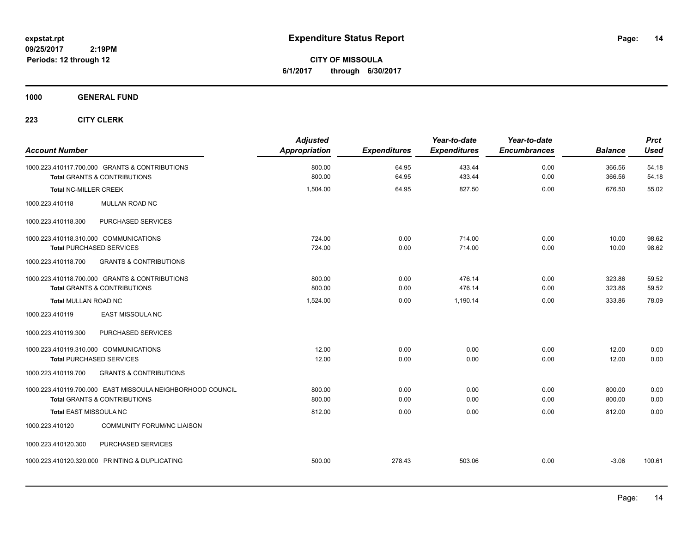**CITY OF MISSOULA 6/1/2017 through 6/30/2017**

### **1000 GENERAL FUND**

| <b>Account Number</b>                                                     |                                                                                                       | <b>Adjusted</b><br><b>Appropriation</b> | <b>Expenditures</b> | Year-to-date<br><b>Expenditures</b> | Year-to-date<br><b>Encumbrances</b> | <b>Balance</b>   | <b>Prct</b><br><b>Used</b> |
|---------------------------------------------------------------------------|-------------------------------------------------------------------------------------------------------|-----------------------------------------|---------------------|-------------------------------------|-------------------------------------|------------------|----------------------------|
|                                                                           | 1000.223.410117.700.000 GRANTS & CONTRIBUTIONS<br><b>Total GRANTS &amp; CONTRIBUTIONS</b>             | 800.00<br>800.00                        | 64.95<br>64.95      | 433.44<br>433.44                    | 0.00<br>0.00                        | 366.56<br>366.56 | 54.18<br>54.18             |
| <b>Total NC-MILLER CREEK</b>                                              |                                                                                                       | 1,504.00                                | 64.95               | 827.50                              | 0.00                                | 676.50           | 55.02                      |
| 1000.223.410118                                                           | MULLAN ROAD NC                                                                                        |                                         |                     |                                     |                                     |                  |                            |
| 1000.223.410118.300                                                       | PURCHASED SERVICES                                                                                    |                                         |                     |                                     |                                     |                  |                            |
| 1000.223.410118.310.000 COMMUNICATIONS<br><b>Total PURCHASED SERVICES</b> |                                                                                                       | 724.00<br>724.00                        | 0.00<br>0.00        | 714.00<br>714.00                    | 0.00<br>0.00                        | 10.00<br>10.00   | 98.62<br>98.62             |
| 1000.223.410118.700                                                       | <b>GRANTS &amp; CONTRIBUTIONS</b>                                                                     |                                         |                     |                                     |                                     |                  |                            |
|                                                                           | 1000.223.410118.700.000 GRANTS & CONTRIBUTIONS<br><b>Total GRANTS &amp; CONTRIBUTIONS</b>             | 800.00<br>800.00                        | 0.00<br>0.00        | 476.14<br>476.14                    | 0.00<br>0.00                        | 323.86<br>323.86 | 59.52<br>59.52             |
| <b>Total MULLAN ROAD NC</b>                                               |                                                                                                       | 1,524.00                                | 0.00                | 1,190.14                            | 0.00                                | 333.86           | 78.09                      |
| 1000.223.410119                                                           | <b>EAST MISSOULA NC</b>                                                                               |                                         |                     |                                     |                                     |                  |                            |
| 1000.223.410119.300                                                       | PURCHASED SERVICES                                                                                    |                                         |                     |                                     |                                     |                  |                            |
| 1000.223.410119.310.000 COMMUNICATIONS<br><b>Total PURCHASED SERVICES</b> |                                                                                                       | 12.00<br>12.00                          | 0.00<br>0.00        | 0.00<br>0.00                        | 0.00<br>0.00                        | 12.00<br>12.00   | 0.00<br>0.00               |
| 1000.223.410119.700                                                       | <b>GRANTS &amp; CONTRIBUTIONS</b>                                                                     |                                         |                     |                                     |                                     |                  |                            |
|                                                                           | 1000.223.410119.700.000 EAST MISSOULA NEIGHBORHOOD COUNCIL<br><b>Total GRANTS &amp; CONTRIBUTIONS</b> | 800.00<br>800.00                        | 0.00<br>0.00        | 0.00<br>0.00                        | 0.00<br>0.00                        | 800.00<br>800.00 | 0.00<br>0.00               |
| Total EAST MISSOULA NC                                                    |                                                                                                       | 812.00                                  | 0.00                | 0.00                                | 0.00                                | 812.00           | 0.00                       |
| 1000.223.410120                                                           | <b>COMMUNITY FORUM/NC LIAISON</b>                                                                     |                                         |                     |                                     |                                     |                  |                            |
| 1000.223.410120.300                                                       | PURCHASED SERVICES                                                                                    |                                         |                     |                                     |                                     |                  |                            |
|                                                                           | 1000.223.410120.320.000 PRINTING & DUPLICATING                                                        | 500.00                                  | 278.43              | 503.06                              | 0.00                                | $-3.06$          | 100.61                     |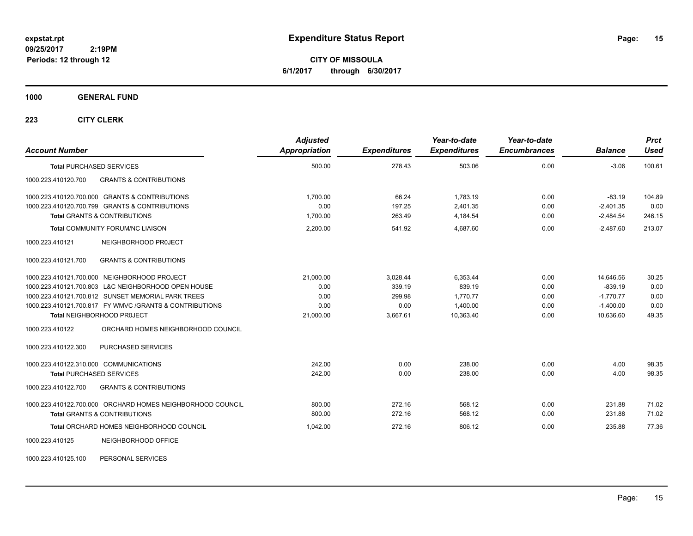**CITY OF MISSOULA 6/1/2017 through 6/30/2017**

#### **1000 GENERAL FUND**

| <b>Account Number</b>                                      | <b>Adjusted</b><br><b>Appropriation</b> | <b>Expenditures</b> | Year-to-date<br><b>Expenditures</b> | Year-to-date<br><b>Encumbrances</b> | <b>Balance</b> | <b>Prct</b><br><b>Used</b> |
|------------------------------------------------------------|-----------------------------------------|---------------------|-------------------------------------|-------------------------------------|----------------|----------------------------|
| <b>Total PURCHASED SERVICES</b>                            | 500.00                                  | 278.43              | 503.06                              | 0.00                                | $-3.06$        | 100.61                     |
| 1000.223.410120.700<br><b>GRANTS &amp; CONTRIBUTIONS</b>   |                                         |                     |                                     |                                     |                |                            |
| 1000.223.410120.700.000 GRANTS & CONTRIBUTIONS             | 1,700.00                                | 66.24               | 1,783.19                            | 0.00                                | $-83.19$       | 104.89                     |
| 1000.223.410120.700.799 GRANTS & CONTRIBUTIONS             | 0.00                                    | 197.25              | 2,401.35                            | 0.00                                | $-2,401.35$    | 0.00                       |
| <b>Total GRANTS &amp; CONTRIBUTIONS</b>                    | 1,700.00                                | 263.49              | 4,184.54                            | 0.00                                | $-2,484.54$    | 246.15                     |
| <b>Total COMMUNITY FORUM/NC LIAISON</b>                    | 2,200.00                                | 541.92              | 4,687.60                            | 0.00                                | $-2,487.60$    | 213.07                     |
| 1000.223.410121<br>NEIGHBORHOOD PROJECT                    |                                         |                     |                                     |                                     |                |                            |
| <b>GRANTS &amp; CONTRIBUTIONS</b><br>1000.223.410121.700   |                                         |                     |                                     |                                     |                |                            |
| 1000.223.410121.700.000 NEIGHBORHOOD PROJECT               | 21.000.00                               | 3.028.44            | 6.353.44                            | 0.00                                | 14,646.56      | 30.25                      |
| 1000.223.410121.700.803 L&C NEIGHBORHOOD OPEN HOUSE        | 0.00                                    | 339.19              | 839.19                              | 0.00                                | $-839.19$      | 0.00                       |
| 1000.223.410121.700.812 SUNSET MEMORIAL PARK TREES         | 0.00                                    | 299.98              | 1,770.77                            | 0.00                                | $-1,770.77$    | 0.00                       |
| 1000.223.410121.700.817 FY WMVC / GRANTS & CONTRIBUTIONS   | 0.00                                    | 0.00                | 1,400.00                            | 0.00                                | $-1,400.00$    | 0.00                       |
| <b>Total NEIGHBORHOOD PROJECT</b>                          | 21,000.00                               | 3,667.61            | 10,363.40                           | 0.00                                | 10,636.60      | 49.35                      |
| 1000.223.410122<br>ORCHARD HOMES NEIGHBORHOOD COUNCIL      |                                         |                     |                                     |                                     |                |                            |
| 1000.223.410122.300<br>PURCHASED SERVICES                  |                                         |                     |                                     |                                     |                |                            |
| 1000.223.410122.310.000 COMMUNICATIONS                     | 242.00                                  | 0.00                | 238.00                              | 0.00                                | 4.00           | 98.35                      |
| <b>Total PURCHASED SERVICES</b>                            | 242.00                                  | 0.00                | 238.00                              | 0.00                                | 4.00           | 98.35                      |
| <b>GRANTS &amp; CONTRIBUTIONS</b><br>1000.223.410122.700   |                                         |                     |                                     |                                     |                |                            |
| 1000.223.410122.700.000 ORCHARD HOMES NEIGHBORHOOD COUNCIL | 800.00                                  | 272.16              | 568.12                              | 0.00                                | 231.88         | 71.02                      |
| <b>Total GRANTS &amp; CONTRIBUTIONS</b>                    | 800.00                                  | 272.16              | 568.12                              | 0.00                                | 231.88         | 71.02                      |
| Total ORCHARD HOMES NEIGHBORHOOD COUNCIL                   | 1,042.00                                | 272.16              | 806.12                              | 0.00                                | 235.88         | 77.36                      |
| 1000.223.410125<br>NEIGHBORHOOD OFFICE                     |                                         |                     |                                     |                                     |                |                            |
| PERSONAL SERVICES<br>1000.223.410125.100                   |                                         |                     |                                     |                                     |                |                            |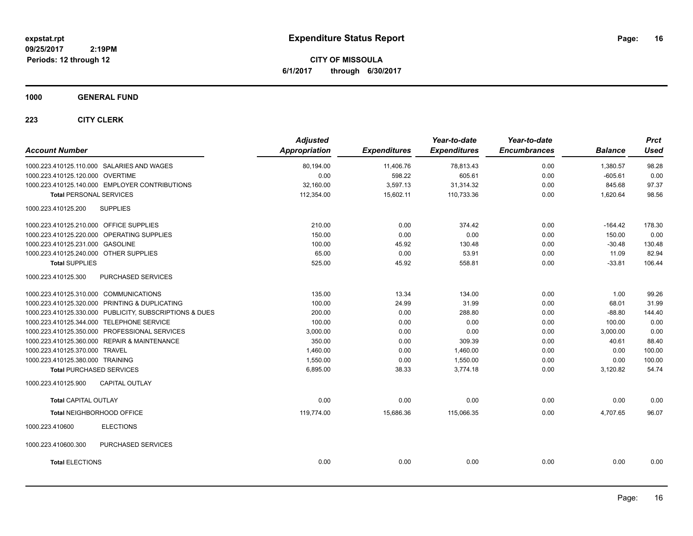**CITY OF MISSOULA 6/1/2017 through 6/30/2017**

### **1000 GENERAL FUND**

| <b>Account Number</b>                                   | <b>Adjusted</b><br><b>Appropriation</b> | <b>Expenditures</b> | Year-to-date<br><b>Expenditures</b> | Year-to-date<br><b>Encumbrances</b> | <b>Balance</b> | <b>Prct</b><br><b>Used</b> |
|---------------------------------------------------------|-----------------------------------------|---------------------|-------------------------------------|-------------------------------------|----------------|----------------------------|
| 1000.223.410125.110.000 SALARIES AND WAGES              | 80,194.00                               | 11,406.76           | 78,813.43                           | 0.00                                | 1,380.57       | 98.28                      |
| 1000.223.410125.120.000 OVERTIME                        | 0.00                                    | 598.22              | 605.61                              | 0.00                                | $-605.61$      | 0.00                       |
| 1000.223.410125.140.000 EMPLOYER CONTRIBUTIONS          | 32,160.00                               | 3,597.13            | 31,314.32                           | 0.00                                | 845.68         | 97.37                      |
| <b>Total PERSONAL SERVICES</b>                          | 112,354.00                              | 15,602.11           | 110,733.36                          | 0.00                                | 1,620.64       | 98.56                      |
|                                                         |                                         |                     |                                     |                                     |                |                            |
| 1000.223.410125.200<br><b>SUPPLIES</b>                  |                                         |                     |                                     |                                     |                |                            |
| 1000.223.410125.210.000 OFFICE SUPPLIES                 | 210.00                                  | 0.00                | 374.42                              | 0.00                                | -164.42        | 178.30                     |
| 1000.223.410125.220.000 OPERATING SUPPLIES              | 150.00                                  | 0.00                | 0.00                                | 0.00                                | 150.00         | 0.00                       |
| 1000.223.410125.231.000 GASOLINE                        | 100.00                                  | 45.92               | 130.48                              | 0.00                                | $-30.48$       | 130.48                     |
| 1000.223.410125.240.000 OTHER SUPPLIES                  | 65.00                                   | 0.00                | 53.91                               | 0.00                                | 11.09          | 82.94                      |
| <b>Total SUPPLIES</b>                                   | 525.00                                  | 45.92               | 558.81                              | 0.00                                | $-33.81$       | 106.44                     |
| PURCHASED SERVICES<br>1000.223.410125.300               |                                         |                     |                                     |                                     |                |                            |
| 1000.223.410125.310.000 COMMUNICATIONS                  | 135.00                                  | 13.34               | 134.00                              | 0.00                                | 1.00           | 99.26                      |
| 1000.223.410125.320.000 PRINTING & DUPLICATING          | 100.00                                  | 24.99               | 31.99                               | 0.00                                | 68.01          | 31.99                      |
| 1000.223.410125.330.000 PUBLICITY, SUBSCRIPTIONS & DUES | 200.00                                  | 0.00                | 288.80                              | 0.00                                | $-88.80$       | 144.40                     |
| 1000.223.410125.344.000 TELEPHONE SERVICE               | 100.00                                  | 0.00                | 0.00                                | 0.00                                | 100.00         | 0.00                       |
| 1000.223.410125.350.000 PROFESSIONAL SERVICES           | 3,000.00                                | 0.00                | 0.00                                | 0.00                                | 3,000.00       | 0.00                       |
| 1000.223.410125.360.000 REPAIR & MAINTENANCE            | 350.00                                  | 0.00                | 309.39                              | 0.00                                | 40.61          | 88.40                      |
| 1000.223.410125.370.000 TRAVEL                          | 1,460.00                                | 0.00                | 1,460.00                            | 0.00                                | 0.00           | 100.00                     |
| 1000.223.410125.380.000 TRAINING                        | 1,550.00                                | 0.00                | 1,550.00                            | 0.00                                | 0.00           | 100.00                     |
| <b>Total PURCHASED SERVICES</b>                         | 6,895.00                                | 38.33               | 3,774.18                            | 0.00                                | 3,120.82       | 54.74                      |
| 1000.223.410125.900<br><b>CAPITAL OUTLAY</b>            |                                         |                     |                                     |                                     |                |                            |
| <b>Total CAPITAL OUTLAY</b>                             | 0.00                                    | 0.00                | 0.00                                | 0.00                                | 0.00           | 0.00                       |
| Total NEIGHBORHOOD OFFICE                               | 119,774.00                              | 15,686.36           | 115,066.35                          | 0.00                                | 4.707.65       | 96.07                      |
| <b>ELECTIONS</b><br>1000.223.410600                     |                                         |                     |                                     |                                     |                |                            |
| 1000.223.410600.300<br>PURCHASED SERVICES               |                                         |                     |                                     |                                     |                |                            |
| <b>Total ELECTIONS</b>                                  | 0.00                                    | 0.00                | 0.00                                | 0.00                                | 0.00           | 0.00                       |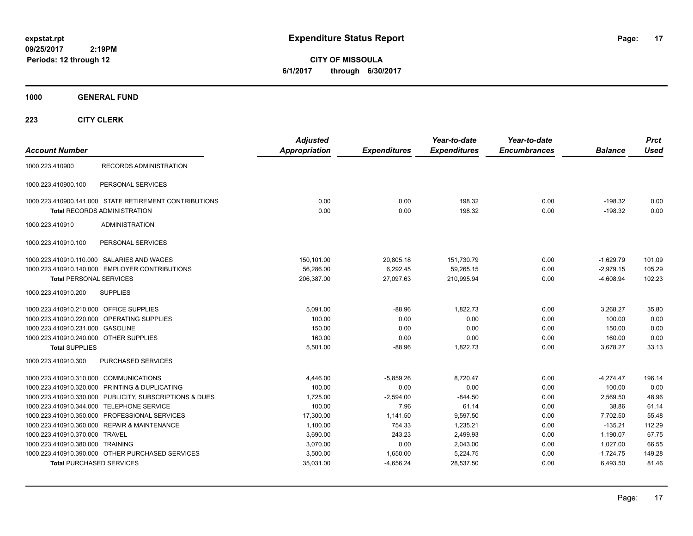**CITY OF MISSOULA 6/1/2017 through 6/30/2017**

**1000 GENERAL FUND**

| <b>Account Number</b>                                   | <b>Adjusted</b><br><b>Appropriation</b> | <b>Expenditures</b> | Year-to-date<br><b>Expenditures</b> | Year-to-date<br><b>Encumbrances</b> | <b>Balance</b> | <b>Prct</b><br><b>Used</b> |
|---------------------------------------------------------|-----------------------------------------|---------------------|-------------------------------------|-------------------------------------|----------------|----------------------------|
| <b>RECORDS ADMINISTRATION</b><br>1000.223.410900        |                                         |                     |                                     |                                     |                |                            |
| 1000.223.410900.100<br>PERSONAL SERVICES                |                                         |                     |                                     |                                     |                |                            |
| 1000.223.410900.141.000 STATE RETIREMENT CONTRIBUTIONS  | 0.00                                    | 0.00                | 198.32                              | 0.00                                | $-198.32$      | 0.00                       |
| <b>Total RECORDS ADMINISTRATION</b>                     | 0.00                                    | 0.00                | 198.32                              | 0.00                                | $-198.32$      | 0.00                       |
| <b>ADMINISTRATION</b><br>1000.223.410910                |                                         |                     |                                     |                                     |                |                            |
| 1000.223.410910.100<br>PERSONAL SERVICES                |                                         |                     |                                     |                                     |                |                            |
| 1000.223.410910.110.000 SALARIES AND WAGES              | 150,101.00                              | 20,805.18           | 151,730.79                          | 0.00                                | $-1,629.79$    | 101.09                     |
| 1000.223.410910.140.000 EMPLOYER CONTRIBUTIONS          | 56,286.00                               | 6.292.45            | 59,265.15                           | 0.00                                | $-2,979.15$    | 105.29                     |
| <b>Total PERSONAL SERVICES</b>                          | 206,387.00                              | 27,097.63           | 210,995.94                          | 0.00                                | $-4,608.94$    | 102.23                     |
| 1000.223.410910.200<br><b>SUPPLIES</b>                  |                                         |                     |                                     |                                     |                |                            |
| 1000.223.410910.210.000 OFFICE SUPPLIES                 | 5,091.00                                | $-88.96$            | 1,822.73                            | 0.00                                | 3,268.27       | 35.80                      |
| 1000.223.410910.220.000 OPERATING SUPPLIES              | 100.00                                  | 0.00                | 0.00                                | 0.00                                | 100.00         | 0.00                       |
| 1000.223.410910.231.000 GASOLINE                        | 150.00                                  | 0.00                | 0.00                                | 0.00                                | 150.00         | 0.00                       |
| 1000.223.410910.240.000 OTHER SUPPLIES                  | 160.00                                  | 0.00                | 0.00                                | 0.00                                | 160.00         | 0.00                       |
| <b>Total SUPPLIES</b>                                   | 5,501.00                                | -88.96              | 1,822.73                            | 0.00                                | 3.678.27       | 33.13                      |
| PURCHASED SERVICES<br>1000.223.410910.300               |                                         |                     |                                     |                                     |                |                            |
| 1000.223.410910.310.000 COMMUNICATIONS                  | 4,446.00                                | $-5,859.26$         | 8.720.47                            | 0.00                                | $-4.274.47$    | 196.14                     |
| 1000.223.410910.320.000 PRINTING & DUPLICATING          | 100.00                                  | 0.00                | 0.00                                | 0.00                                | 100.00         | 0.00                       |
| 1000.223.410910.330.000 PUBLICITY, SUBSCRIPTIONS & DUES | 1,725.00                                | $-2,594.00$         | $-844.50$                           | 0.00                                | 2,569.50       | 48.96                      |
| 1000.223.410910.344.000 TELEPHONE SERVICE               | 100.00                                  | 7.96                | 61.14                               | 0.00                                | 38.86          | 61.14                      |
| 1000.223.410910.350.000 PROFESSIONAL SERVICES           | 17,300.00                               | 1,141.50            | 9,597.50                            | 0.00                                | 7,702.50       | 55.48                      |
| 1000.223.410910.360.000 REPAIR & MAINTENANCE            | 1,100.00                                | 754.33              | 1,235.21                            | 0.00                                | $-135.21$      | 112.29                     |
| 1000.223.410910.370.000 TRAVEL                          | 3,690.00                                | 243.23              | 2,499.93                            | 0.00                                | 1,190.07       | 67.75                      |
| 1000.223.410910.380.000 TRAINING                        | 3,070.00                                | 0.00                | 2,043.00                            | 0.00                                | 1,027.00       | 66.55                      |
| 1000.223.410910.390.000 OTHER PURCHASED SERVICES        | 3,500.00                                | 1,650.00            | 5,224.75                            | 0.00                                | $-1,724.75$    | 149.28                     |
| <b>Total PURCHASED SERVICES</b>                         | 35,031.00                               | $-4,656.24$         | 28,537.50                           | 0.00                                | 6,493.50       | 81.46                      |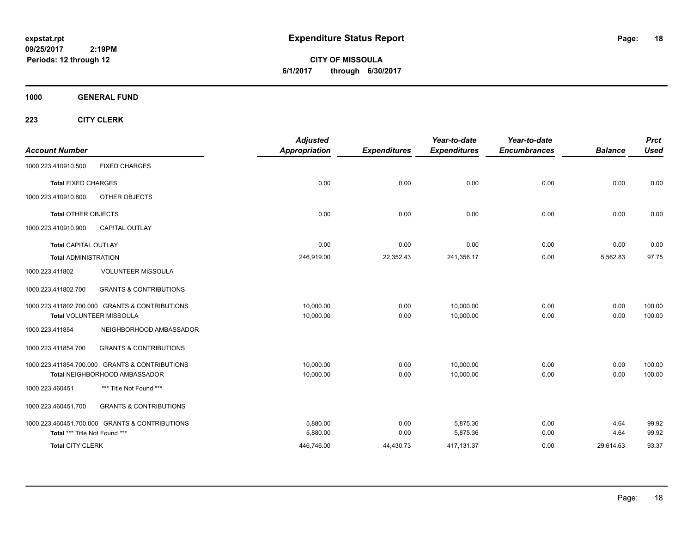**CITY OF MISSOULA 6/1/2017 through 6/30/2017**

**1000 GENERAL FUND**

| <b>Account Number</b>         |                                                | <b>Adjusted</b><br><b>Appropriation</b> | <b>Expenditures</b> | Year-to-date<br><b>Expenditures</b> | Year-to-date<br><b>Encumbrances</b> | <b>Balance</b> | <b>Prct</b><br><b>Used</b> |
|-------------------------------|------------------------------------------------|-----------------------------------------|---------------------|-------------------------------------|-------------------------------------|----------------|----------------------------|
|                               |                                                |                                         |                     |                                     |                                     |                |                            |
| 1000.223.410910.500           | <b>FIXED CHARGES</b>                           |                                         |                     |                                     |                                     |                |                            |
| <b>Total FIXED CHARGES</b>    |                                                | 0.00                                    | 0.00                | 0.00                                | 0.00                                | 0.00           | 0.00                       |
| 1000.223.410910.800           | OTHER OBJECTS                                  |                                         |                     |                                     |                                     |                |                            |
| <b>Total OTHER OBJECTS</b>    |                                                | 0.00                                    | 0.00                | 0.00                                | 0.00                                | 0.00           | 0.00                       |
| 1000.223.410910.900           | <b>CAPITAL OUTLAY</b>                          |                                         |                     |                                     |                                     |                |                            |
| <b>Total CAPITAL OUTLAY</b>   |                                                | 0.00                                    | 0.00                | 0.00                                | 0.00                                | 0.00           | 0.00                       |
| <b>Total ADMINISTRATION</b>   |                                                | 246,919.00                              | 22,352.43           | 241,356.17                          | 0.00                                | 5,562.83       | 97.75                      |
| 1000.223.411802               | <b>VOLUNTEER MISSOULA</b>                      |                                         |                     |                                     |                                     |                |                            |
| 1000.223.411802.700           | <b>GRANTS &amp; CONTRIBUTIONS</b>              |                                         |                     |                                     |                                     |                |                            |
|                               | 1000.223.411802.700.000 GRANTS & CONTRIBUTIONS | 10,000.00                               | 0.00                | 10.000.00                           | 0.00                                | 0.00           | 100.00                     |
|                               | Total VOLUNTEER MISSOULA                       | 10,000.00                               | 0.00                | 10,000.00                           | 0.00                                | 0.00           | 100.00                     |
| 1000.223.411854               | NEIGHBORHOOD AMBASSADOR                        |                                         |                     |                                     |                                     |                |                            |
| 1000.223.411854.700           | <b>GRANTS &amp; CONTRIBUTIONS</b>              |                                         |                     |                                     |                                     |                |                            |
|                               | 1000.223.411854.700.000 GRANTS & CONTRIBUTIONS | 10,000.00                               | 0.00                | 10,000.00                           | 0.00                                | 0.00           | 100.00                     |
|                               | Total NEIGHBORHOOD AMBASSADOR                  | 10,000.00                               | 0.00                | 10,000.00                           | 0.00                                | 0.00           | 100.00                     |
| 1000.223.460451               | *** Title Not Found ***                        |                                         |                     |                                     |                                     |                |                            |
| 1000.223.460451.700           | <b>GRANTS &amp; CONTRIBUTIONS</b>              |                                         |                     |                                     |                                     |                |                            |
|                               | 1000.223.460451.700.000 GRANTS & CONTRIBUTIONS | 5.880.00                                | 0.00                | 5,875.36                            | 0.00                                | 4.64           | 99.92                      |
| Total *** Title Not Found *** |                                                | 5,880.00                                | 0.00                | 5,875.36                            | 0.00                                | 4.64           | 99.92                      |
| <b>Total CITY CLERK</b>       |                                                | 446,746.00                              | 44,430.73           | 417,131.37                          | 0.00                                | 29,614.63      | 93.37                      |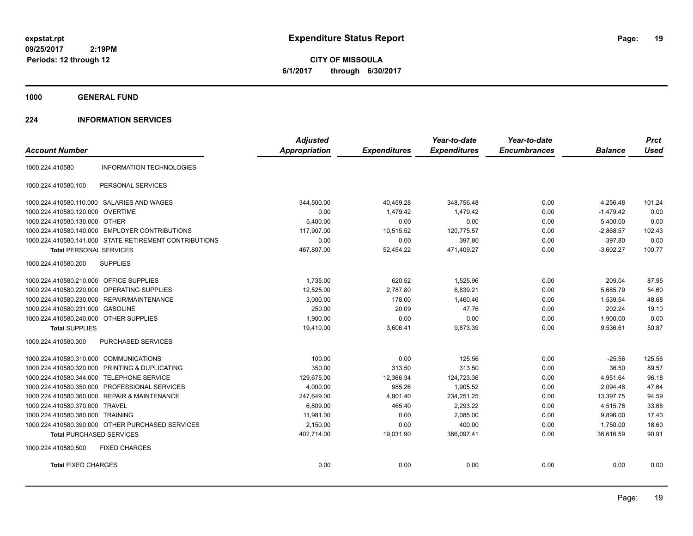**CITY OF MISSOULA 6/1/2017 through 6/30/2017**

**1000 GENERAL FUND**

### **224 INFORMATION SERVICES**

|                                                            | <b>Adjusted</b>      |                     | Year-to-date        | Year-to-date        |                | <b>Prct</b> |
|------------------------------------------------------------|----------------------|---------------------|---------------------|---------------------|----------------|-------------|
| <b>Account Number</b>                                      | <b>Appropriation</b> | <b>Expenditures</b> | <b>Expenditures</b> | <b>Encumbrances</b> | <b>Balance</b> | <b>Used</b> |
| <b>INFORMATION TECHNOLOGIES</b><br>1000.224.410580         |                      |                     |                     |                     |                |             |
| 1000.224.410580.100<br>PERSONAL SERVICES                   |                      |                     |                     |                     |                |             |
| 1000.224.410580.110.000 SALARIES AND WAGES                 | 344,500.00           | 40,459.28           | 348,756.48          | 0.00                | $-4,256.48$    | 101.24      |
| 1000.224.410580.120.000 OVERTIME                           | 0.00                 | 1,479.42            | 1,479.42            | 0.00                | $-1,479.42$    | 0.00        |
| 1000.224.410580.130.000 OTHER                              | 5,400.00             | 0.00                | 0.00                | 0.00                | 5,400.00       | 0.00        |
| 1000.224.410580.140.000 EMPLOYER CONTRIBUTIONS             | 117,907.00           | 10,515.52           | 120,775.57          | 0.00                | $-2,868.57$    | 102.43      |
| 1000.224.410580.141.000 STATE RETIREMENT CONTRIBUTIONS     | 0.00                 | 0.00                | 397.80              | 0.00                | $-397.80$      | 0.00        |
| <b>Total PERSONAL SERVICES</b>                             | 467,807.00           | 52,454.22           | 471,409.27          | 0.00                | $-3,602.27$    | 100.77      |
| 1000.224.410580.200<br><b>SUPPLIES</b>                     |                      |                     |                     |                     |                |             |
| 1000.224.410580.210.000 OFFICE SUPPLIES                    | 1,735.00             | 620.52              | 1,525.96            | 0.00                | 209.04         | 87.95       |
| 1000.224.410580.220.000 OPERATING SUPPLIES                 | 12,525.00            | 2,787.80            | 6,839.21            | 0.00                | 5,685.79       | 54.60       |
| REPAIR/MAINTENANCE<br>1000.224.410580.230.000              | 3,000.00             | 178.00              | 1,460.46            | 0.00                | 1,539.54       | 48.68       |
| 1000.224.410580.231.000<br><b>GASOLINE</b>                 | 250.00               | 20.09               | 47.76               | 0.00                | 202.24         | 19.10       |
| 1000.224.410580.240.000 OTHER SUPPLIES                     | 1,900.00             | 0.00                | 0.00                | 0.00                | 1,900.00       | 0.00        |
| <b>Total SUPPLIES</b>                                      | 19,410.00            | 3,606.41            | 9,873.39            | 0.00                | 9,536.61       | 50.87       |
| 1000.224.410580.300<br><b>PURCHASED SERVICES</b>           |                      |                     |                     |                     |                |             |
| 1000.224.410580.310.000 COMMUNICATIONS                     | 100.00               | 0.00                | 125.56              | 0.00                | $-25.56$       | 125.56      |
| 1000.224.410580.320.000 PRINTING & DUPLICATING             | 350.00               | 313.50              | 313.50              | 0.00                | 36.50          | 89.57       |
| 1000.224.410580.344.000 TELEPHONE SERVICE                  | 129,675.00           | 12,366.34           | 124,723.36          | 0.00                | 4,951.64       | 96.18       |
| 1000.224.410580.350.000 PROFESSIONAL SERVICES              | 4.000.00             | 985.26              | 1.905.52            | 0.00                | 2.094.48       | 47.64       |
| <b>REPAIR &amp; MAINTENANCE</b><br>1000.224.410580.360.000 | 247,649.00           | 4,901.40            | 234,251.25          | 0.00                | 13,397.75      | 94.59       |
| 1000.224.410580.370.000<br><b>TRAVEL</b>                   | 6.809.00             | 465.40              | 2,293.22            | 0.00                | 4,515.78       | 33.68       |
| 1000.224.410580.380.000 TRAINING                           | 11,981.00            | 0.00                | 2,085.00            | 0.00                | 9,896.00       | 17.40       |
| 1000.224.410580.390.000 OTHER PURCHASED SERVICES           | 2,150.00             | 0.00                | 400.00              | 0.00                | 1,750.00       | 18.60       |
| <b>Total PURCHASED SERVICES</b>                            | 402,714.00           | 19,031.90           | 366,097.41          | 0.00                | 36,616.59      | 90.91       |
| 1000.224.410580.500<br><b>FIXED CHARGES</b>                |                      |                     |                     |                     |                |             |
| <b>Total FIXED CHARGES</b>                                 | 0.00                 | 0.00                | 0.00                | 0.00                | 0.00           | 0.00        |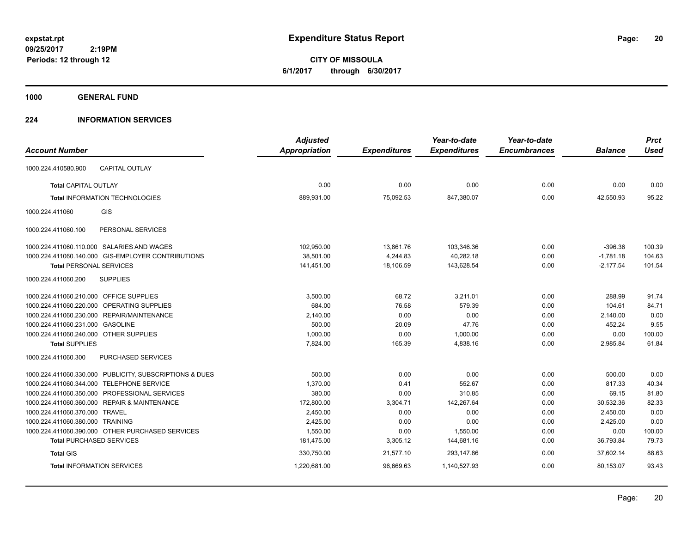**CITY OF MISSOULA 6/1/2017 through 6/30/2017**

**1000 GENERAL FUND**

### **224 INFORMATION SERVICES**

| <b>Account Number</b>                   |                                                         | <b>Adjusted</b><br>Appropriation | <b>Expenditures</b> | Year-to-date<br><b>Expenditures</b> | Year-to-date<br><b>Encumbrances</b> | <b>Balance</b> | <b>Prct</b><br><b>Used</b> |
|-----------------------------------------|---------------------------------------------------------|----------------------------------|---------------------|-------------------------------------|-------------------------------------|----------------|----------------------------|
|                                         |                                                         |                                  |                     |                                     |                                     |                |                            |
| 1000.224.410580.900                     | <b>CAPITAL OUTLAY</b>                                   |                                  |                     |                                     |                                     |                |                            |
| <b>Total CAPITAL OUTLAY</b>             |                                                         | 0.00                             | 0.00                | 0.00                                | 0.00                                | 0.00           | 0.00                       |
|                                         | <b>Total INFORMATION TECHNOLOGIES</b>                   | 889,931.00                       | 75,092.53           | 847,380.07                          | 0.00                                | 42,550.93      | 95.22                      |
| 1000.224.411060                         | <b>GIS</b>                                              |                                  |                     |                                     |                                     |                |                            |
| 1000.224.411060.100                     | PERSONAL SERVICES                                       |                                  |                     |                                     |                                     |                |                            |
|                                         | 1000.224.411060.110.000 SALARIES AND WAGES              | 102,950.00                       | 13,861.76           | 103,346.36                          | 0.00                                | $-396.36$      | 100.39                     |
|                                         | 1000.224.411060.140.000 GIS-EMPLOYER CONTRIBUTIONS      | 38,501.00                        | 4,244.83            | 40,282.18                           | 0.00                                | $-1,781.18$    | 104.63                     |
| <b>Total PERSONAL SERVICES</b>          |                                                         | 141,451.00                       | 18,106.59           | 143,628.54                          | 0.00                                | $-2,177.54$    | 101.54                     |
| 1000.224.411060.200                     | <b>SUPPLIES</b>                                         |                                  |                     |                                     |                                     |                |                            |
| 1000.224.411060.210.000 OFFICE SUPPLIES |                                                         | 3,500.00                         | 68.72               | 3,211.01                            | 0.00                                | 288.99         | 91.74                      |
|                                         | 1000.224.411060.220.000 OPERATING SUPPLIES              | 684.00                           | 76.58               | 579.39                              | 0.00                                | 104.61         | 84.71                      |
|                                         | 1000.224.411060.230.000 REPAIR/MAINTENANCE              | 2,140.00                         | 0.00                | 0.00                                | 0.00                                | 2,140.00       | 0.00                       |
| 1000.224.411060.231.000 GASOLINE        |                                                         | 500.00                           | 20.09               | 47.76                               | 0.00                                | 452.24         | 9.55                       |
| 1000.224.411060.240.000 OTHER SUPPLIES  |                                                         | 1,000.00                         | 0.00                | 1,000.00                            | 0.00                                | 0.00           | 100.00                     |
| <b>Total SUPPLIES</b>                   |                                                         | 7,824.00                         | 165.39              | 4,838.16                            | 0.00                                | 2,985.84       | 61.84                      |
| 1000.224.411060.300                     | <b>PURCHASED SERVICES</b>                               |                                  |                     |                                     |                                     |                |                            |
|                                         | 1000.224.411060.330.000 PUBLICITY, SUBSCRIPTIONS & DUES | 500.00                           | 0.00                | 0.00                                | 0.00                                | 500.00         | 0.00                       |
|                                         | 1000.224.411060.344.000 TELEPHONE SERVICE               | 1,370.00                         | 0.41                | 552.67                              | 0.00                                | 817.33         | 40.34                      |
|                                         | 1000.224.411060.350.000 PROFESSIONAL SERVICES           | 380.00                           | 0.00                | 310.85                              | 0.00                                | 69.15          | 81.80                      |
|                                         | 1000.224.411060.360.000 REPAIR & MAINTENANCE            | 172,800.00                       | 3,304.71            | 142,267.64                          | 0.00                                | 30,532.36      | 82.33                      |
| 1000.224.411060.370.000 TRAVEL          |                                                         | 2,450.00                         | 0.00                | 0.00                                | 0.00                                | 2.450.00       | 0.00                       |
| 1000.224.411060.380.000 TRAINING        |                                                         | 2,425.00                         | 0.00                | 0.00                                | 0.00                                | 2,425.00       | 0.00                       |
|                                         | 1000.224.411060.390.000 OTHER PURCHASED SERVICES        | 1,550.00                         | 0.00                | 1,550.00                            | 0.00                                | 0.00           | 100.00                     |
|                                         | <b>Total PURCHASED SERVICES</b>                         | 181,475.00                       | 3,305.12            | 144,681.16                          | 0.00                                | 36,793.84      | 79.73                      |
| <b>Total GIS</b>                        |                                                         | 330,750.00                       | 21,577.10           | 293,147.86                          | 0.00                                | 37,602.14      | 88.63                      |
|                                         | <b>Total INFORMATION SERVICES</b>                       | 1,220,681.00                     | 96,669.63           | 1,140,527.93                        | 0.00                                | 80,153.07      | 93.43                      |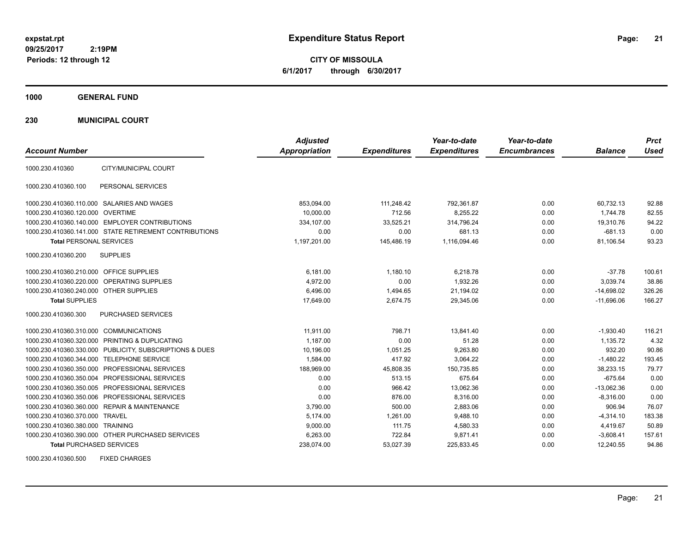**CITY OF MISSOULA 6/1/2017 through 6/30/2017**

**1000 GENERAL FUND**

**230 MUNICIPAL COURT**

| <b>Account Number</b>                   |                                                         | <b>Adjusted</b><br>Appropriation | <b>Expenditures</b> | Year-to-date<br><b>Expenditures</b> | Year-to-date<br><b>Encumbrances</b> | <b>Balance</b> | <b>Prct</b><br><b>Used</b> |
|-----------------------------------------|---------------------------------------------------------|----------------------------------|---------------------|-------------------------------------|-------------------------------------|----------------|----------------------------|
|                                         |                                                         |                                  |                     |                                     |                                     |                |                            |
| 1000.230.410360                         | CITY/MUNICIPAL COURT                                    |                                  |                     |                                     |                                     |                |                            |
| 1000.230.410360.100                     | PERSONAL SERVICES                                       |                                  |                     |                                     |                                     |                |                            |
|                                         | 1000.230.410360.110.000 SALARIES AND WAGES              | 853,094.00                       | 111,248.42          | 792,361.87                          | 0.00                                | 60,732.13      | 92.88                      |
| 1000.230.410360.120.000 OVERTIME        |                                                         | 10,000.00                        | 712.56              | 8,255.22                            | 0.00                                | 1.744.78       | 82.55                      |
|                                         | 1000.230.410360.140.000 EMPLOYER CONTRIBUTIONS          | 334,107.00                       | 33,525.21           | 314,796.24                          | 0.00                                | 19.310.76      | 94.22                      |
|                                         | 1000.230.410360.141.000 STATE RETIREMENT CONTRIBUTIONS  | 0.00                             | 0.00                | 681.13                              | 0.00                                | $-681.13$      | 0.00                       |
| <b>Total PERSONAL SERVICES</b>          |                                                         | 1,197,201.00                     | 145,486.19          | 1,116,094.46                        | 0.00                                | 81,106.54      | 93.23                      |
| 1000.230.410360.200                     | <b>SUPPLIES</b>                                         |                                  |                     |                                     |                                     |                |                            |
| 1000.230.410360.210.000 OFFICE SUPPLIES |                                                         | 6,181.00                         | 1,180.10            | 6,218.78                            | 0.00                                | $-37.78$       | 100.61                     |
| 1000.230.410360.220.000                 | OPERATING SUPPLIES                                      | 4,972.00                         | 0.00                | 1,932.26                            | 0.00                                | 3,039.74       | 38.86                      |
| 1000.230.410360.240.000                 | <b>OTHER SUPPLIES</b>                                   | 6,496.00                         | 1,494.65            | 21,194.02                           | 0.00                                | $-14,698.02$   | 326.26                     |
| <b>Total SUPPLIES</b>                   |                                                         | 17,649.00                        | 2,674.75            | 29,345.06                           | 0.00                                | $-11,696.06$   | 166.27                     |
| 1000.230.410360.300                     | PURCHASED SERVICES                                      |                                  |                     |                                     |                                     |                |                            |
| 1000.230.410360.310.000                 | <b>COMMUNICATIONS</b>                                   | 11,911.00                        | 798.71              | 13,841.40                           | 0.00                                | $-1,930.40$    | 116.21                     |
|                                         | 1000.230.410360.320.000 PRINTING & DUPLICATING          | 1,187.00                         | 0.00                | 51.28                               | 0.00                                | 1,135.72       | 4.32                       |
|                                         | 1000.230.410360.330.000 PUBLICITY, SUBSCRIPTIONS & DUES | 10,196.00                        | 1,051.25            | 9,263.80                            | 0.00                                | 932.20         | 90.86                      |
|                                         | 1000.230.410360.344.000 TELEPHONE SERVICE               | 1,584.00                         | 417.92              | 3,064.22                            | 0.00                                | $-1,480.22$    | 193.45                     |
|                                         | 1000.230.410360.350.000 PROFESSIONAL SERVICES           | 188,969.00                       | 45,808.35           | 150,735.85                          | 0.00                                | 38,233.15      | 79.77                      |
|                                         | 1000.230.410360.350.004 PROFESSIONAL SERVICES           | 0.00                             | 513.15              | 675.64                              | 0.00                                | $-675.64$      | 0.00                       |
|                                         | 1000.230.410360.350.005 PROFESSIONAL SERVICES           | 0.00                             | 966.42              | 13,062.36                           | 0.00                                | $-13.062.36$   | 0.00                       |
|                                         | 1000.230.410360.350.006 PROFESSIONAL SERVICES           | 0.00                             | 876.00              | 8,316.00                            | 0.00                                | $-8.316.00$    | 0.00                       |
|                                         | 1000.230.410360.360.000 REPAIR & MAINTENANCE            | 3,790.00                         | 500.00              | 2,883.06                            | 0.00                                | 906.94         | 76.07                      |
| 1000.230.410360.370.000 TRAVEL          |                                                         | 5.174.00                         | 1,261.00            | 9,488.10                            | 0.00                                | $-4,314.10$    | 183.38                     |
| 1000.230.410360.380.000 TRAINING        |                                                         | 9.000.00                         | 111.75              | 4.580.33                            | 0.00                                | 4,419.67       | 50.89                      |
|                                         | 1000.230.410360.390.000 OTHER PURCHASED SERVICES        | 6,263.00                         | 722.84              | 9,871.41                            | 0.00                                | $-3,608.41$    | 157.61                     |
| <b>Total PURCHASED SERVICES</b>         |                                                         | 238,074.00                       | 53,027.39           | 225,833.45                          | 0.00                                | 12,240.55      | 94.86                      |

1000.230.410360.500 FIXED CHARGES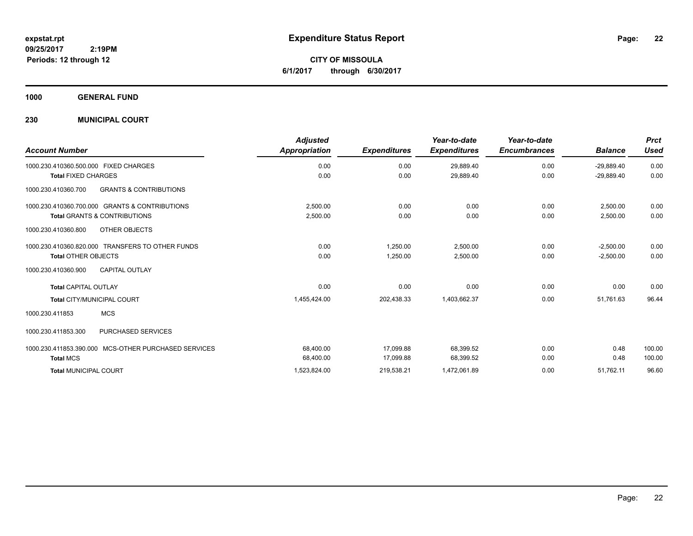**CITY OF MISSOULA 6/1/2017 through 6/30/2017**

**1000 GENERAL FUND**

### **230 MUNICIPAL COURT**

|                                                          | <b>Adjusted</b>      |                     | Year-to-date        | Year-to-date        |                | <b>Prct</b> |
|----------------------------------------------------------|----------------------|---------------------|---------------------|---------------------|----------------|-------------|
| <b>Account Number</b>                                    | <b>Appropriation</b> | <b>Expenditures</b> | <b>Expenditures</b> | <b>Encumbrances</b> | <b>Balance</b> | Used        |
| 1000.230.410360.500.000 FIXED CHARGES                    | 0.00                 | 0.00                | 29,889.40           | 0.00                | $-29,889.40$   | 0.00        |
| <b>Total FIXED CHARGES</b>                               | 0.00                 | 0.00                | 29,889.40           | 0.00                | $-29.889.40$   | 0.00        |
| <b>GRANTS &amp; CONTRIBUTIONS</b><br>1000.230.410360.700 |                      |                     |                     |                     |                |             |
| 1000.230.410360.700.000 GRANTS & CONTRIBUTIONS           | 2,500.00             | 0.00                | 0.00                | 0.00                | 2,500.00       | 0.00        |
| <b>Total GRANTS &amp; CONTRIBUTIONS</b>                  | 2,500.00             | 0.00                | 0.00                | 0.00                | 2,500.00       | 0.00        |
| OTHER OBJECTS<br>1000.230.410360.800                     |                      |                     |                     |                     |                |             |
| 1000.230.410360.820.000 TRANSFERS TO OTHER FUNDS         | 0.00                 | 1.250.00            | 2,500.00            | 0.00                | $-2,500.00$    | 0.00        |
| <b>Total OTHER OBJECTS</b>                               | 0.00                 | 1,250.00            | 2,500.00            | 0.00                | $-2,500.00$    | 0.00        |
| <b>CAPITAL OUTLAY</b><br>1000.230.410360.900             |                      |                     |                     |                     |                |             |
| <b>Total CAPITAL OUTLAY</b>                              | 0.00                 | 0.00                | 0.00                | 0.00                | 0.00           | 0.00        |
| <b>Total CITY/MUNICIPAL COURT</b>                        | 1,455,424.00         | 202,438.33          | 1,403,662.37        | 0.00                | 51,761.63      | 96.44       |
| <b>MCS</b><br>1000.230.411853                            |                      |                     |                     |                     |                |             |
| PURCHASED SERVICES<br>1000.230.411853.300                |                      |                     |                     |                     |                |             |
| MCS-OTHER PURCHASED SERVICES<br>1000.230.411853.390.000  | 68,400.00            | 17,099.88           | 68,399.52           | 0.00                | 0.48           | 100.00      |
| <b>Total MCS</b>                                         | 68,400.00            | 17,099.88           | 68,399.52           | 0.00                | 0.48           | 100.00      |
| <b>Total MUNICIPAL COURT</b>                             | 1,523,824.00         | 219,538.21          | 1,472,061.89        | 0.00                | 51,762.11      | 96.60       |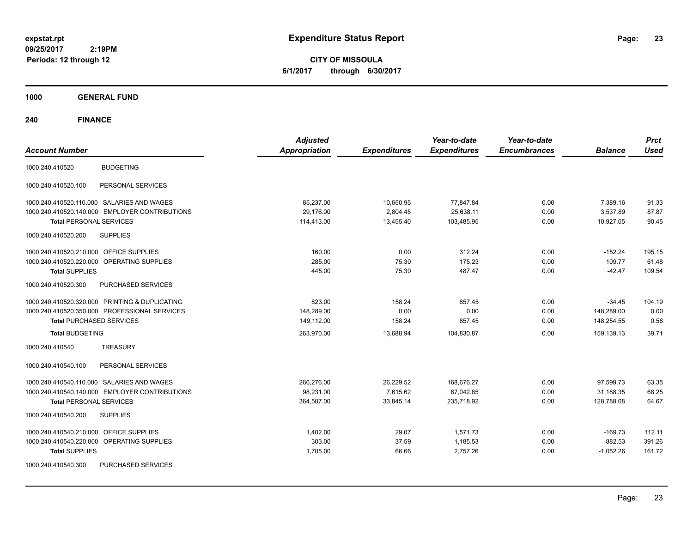**CITY OF MISSOULA 6/1/2017 through 6/30/2017**

**1000 GENERAL FUND**

| <b>Account Number</b>                                | <b>Adjusted</b><br><b>Appropriation</b> | <b>Expenditures</b> | Year-to-date<br><b>Expenditures</b> | Year-to-date<br><b>Encumbrances</b> | <b>Balance</b> | <b>Prct</b><br><b>Used</b> |
|------------------------------------------------------|-----------------------------------------|---------------------|-------------------------------------|-------------------------------------|----------------|----------------------------|
| <b>BUDGETING</b><br>1000.240.410520                  |                                         |                     |                                     |                                     |                |                            |
| 1000.240.410520.100<br>PERSONAL SERVICES             |                                         |                     |                                     |                                     |                |                            |
| 1000.240.410520.110.000 SALARIES AND WAGES           | 85,237.00                               | 10,650.95           | 77,847.84                           | 0.00                                | 7,389.16       | 91.33                      |
| 1000.240.410520.140.000 EMPLOYER CONTRIBUTIONS       | 29,176.00                               | 2,804.45            | 25,638.11                           | 0.00                                | 3,537.89       | 87.87                      |
| <b>Total PERSONAL SERVICES</b>                       | 114,413.00                              | 13,455.40           | 103,485.95                          | 0.00                                | 10,927.05      | 90.45                      |
| 1000.240.410520.200<br><b>SUPPLIES</b>               |                                         |                     |                                     |                                     |                |                            |
| OFFICE SUPPLIES<br>1000.240.410520.210.000           | 160.00                                  | 0.00                | 312.24                              | 0.00                                | $-152.24$      | 195.15                     |
| 1000.240.410520.220.000 OPERATING SUPPLIES           | 285.00                                  | 75.30               | 175.23                              | 0.00                                | 109.77         | 61.48                      |
| <b>Total SUPPLIES</b>                                | 445.00                                  | 75.30               | 487.47                              | 0.00                                | $-42.47$       | 109.54                     |
| 1000.240.410520.300<br>PURCHASED SERVICES            |                                         |                     |                                     |                                     |                |                            |
| 1000.240.410520.320.000 PRINTING & DUPLICATING       | 823.00                                  | 158.24              | 857.45                              | 0.00                                | $-34.45$       | 104.19                     |
| 1000.240.410520.350.000 PROFESSIONAL SERVICES        | 148,289.00                              | 0.00                | 0.00                                | 0.00                                | 148,289.00     | 0.00                       |
| <b>Total PURCHASED SERVICES</b>                      | 149,112.00                              | 158.24              | 857.45                              | 0.00                                | 148,254.55     | 0.58                       |
| <b>Total BUDGETING</b>                               | 263,970.00                              | 13,688.94           | 104,830.87                          | 0.00                                | 159,139.13     | 39.71                      |
| <b>TREASURY</b><br>1000.240.410540                   |                                         |                     |                                     |                                     |                |                            |
| 1000.240.410540.100<br>PERSONAL SERVICES             |                                         |                     |                                     |                                     |                |                            |
| 1000.240.410540.110.000 SALARIES AND WAGES           | 266,276.00                              | 26,229.52           | 168,676.27                          | 0.00                                | 97,599.73      | 63.35                      |
| 1000.240.410540.140.000 EMPLOYER CONTRIBUTIONS       | 98,231.00                               | 7,615.62            | 67,042.65                           | 0.00                                | 31,188.35      | 68.25                      |
| <b>Total PERSONAL SERVICES</b>                       | 364,507.00                              | 33,845.14           | 235,718.92                          | 0.00                                | 128,788.08     | 64.67                      |
| <b>SUPPLIES</b><br>1000.240.410540.200               |                                         |                     |                                     |                                     |                |                            |
| <b>OFFICE SUPPLIES</b><br>1000.240.410540.210.000    | 1,402.00                                | 29.07               | 1,571.73                            | 0.00                                | -169.73        | 112.11                     |
| <b>OPERATING SUPPLIES</b><br>1000.240.410540.220.000 | 303.00                                  | 37.59               | 1,185.53                            | 0.00                                | $-882.53$      | 391.26                     |
| <b>Total SUPPLIES</b>                                | 1,705.00                                | 66.66               | 2,757.26                            | 0.00                                | $-1,052.26$    | 161.72                     |
| PURCHASED SERVICES<br>1000.240.410540.300            |                                         |                     |                                     |                                     |                |                            |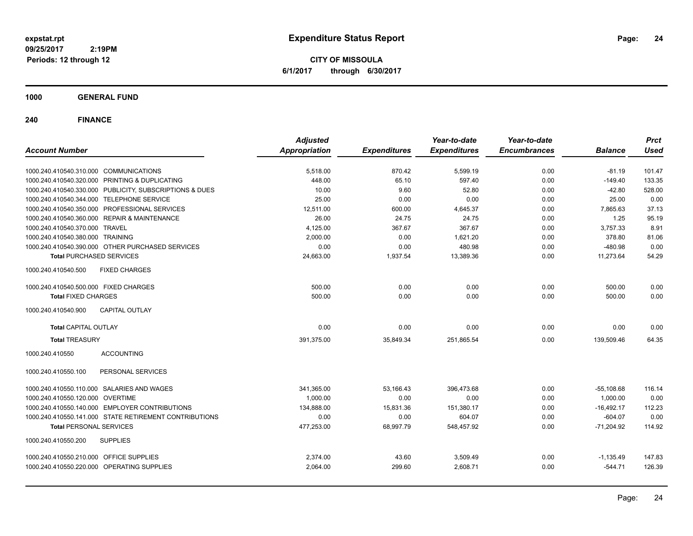**CITY OF MISSOULA 6/1/2017 through 6/30/2017**

**1000 GENERAL FUND**

| <b>Account Number</b>                                   | <b>Adjusted</b><br><b>Appropriation</b> | <b>Expenditures</b> | Year-to-date<br><b>Expenditures</b> | Year-to-date<br><b>Encumbrances</b> | <b>Balance</b> | <b>Prct</b><br><b>Used</b> |
|---------------------------------------------------------|-----------------------------------------|---------------------|-------------------------------------|-------------------------------------|----------------|----------------------------|
|                                                         |                                         |                     |                                     |                                     |                |                            |
| 1000.240.410540.310.000 COMMUNICATIONS                  | 5,518.00                                | 870.42              | 5,599.19                            | 0.00                                | $-81.19$       | 101.47                     |
| 1000.240.410540.320.000 PRINTING & DUPLICATING          | 448.00                                  | 65.10               | 597.40                              | 0.00                                | $-149.40$      | 133.35                     |
| 1000.240.410540.330.000 PUBLICITY, SUBSCRIPTIONS & DUES | 10.00                                   | 9.60                | 52.80                               | 0.00                                | $-42.80$       | 528.00                     |
| 1000.240.410540.344.000 TELEPHONE SERVICE               | 25.00                                   | 0.00                | 0.00                                | 0.00                                | 25.00          | 0.00                       |
| 1000.240.410540.350.000 PROFESSIONAL SERVICES           | 12,511.00                               | 600.00              | 4,645.37                            | 0.00                                | 7,865.63       | 37.13                      |
| 1000.240.410540.360.000 REPAIR & MAINTENANCE            | 26.00                                   | 24.75               | 24.75                               | 0.00                                | 1.25           | 95.19                      |
| 1000.240.410540.370.000 TRAVEL                          | 4,125.00                                | 367.67              | 367.67                              | 0.00                                | 3,757.33       | 8.91                       |
| 1000.240.410540.380.000 TRAINING                        | 2,000.00                                | 0.00                | 1,621.20                            | 0.00                                | 378.80         | 81.06                      |
| 1000.240.410540.390.000 OTHER PURCHASED SERVICES        | 0.00                                    | 0.00                | 480.98                              | 0.00                                | $-480.98$      | 0.00                       |
| <b>Total PURCHASED SERVICES</b>                         | 24,663.00                               | 1.937.54            | 13,389.36                           | 0.00                                | 11,273.64      | 54.29                      |
| 1000.240.410540.500<br><b>FIXED CHARGES</b>             |                                         |                     |                                     |                                     |                |                            |
| 1000.240.410540.500.000 FIXED CHARGES                   | 500.00                                  | 0.00                | 0.00                                | 0.00                                | 500.00         | 0.00                       |
| <b>Total FIXED CHARGES</b>                              | 500.00                                  | 0.00                | 0.00                                | 0.00                                | 500.00         | 0.00                       |
| 1000.240.410540.900<br><b>CAPITAL OUTLAY</b>            |                                         |                     |                                     |                                     |                |                            |
| <b>Total CAPITAL OUTLAY</b>                             | 0.00                                    | 0.00                | 0.00                                | 0.00                                | 0.00           | 0.00                       |
| <b>Total TREASURY</b>                                   | 391,375.00                              | 35,849.34           | 251,865.54                          | 0.00                                | 139,509.46     | 64.35                      |
| 1000.240.410550<br><b>ACCOUNTING</b>                    |                                         |                     |                                     |                                     |                |                            |
| 1000.240.410550.100<br>PERSONAL SERVICES                |                                         |                     |                                     |                                     |                |                            |
| 1000.240.410550.110.000 SALARIES AND WAGES              | 341,365.00                              | 53,166.43           | 396.473.68                          | 0.00                                | $-55,108.68$   | 116.14                     |
| 1000.240.410550.120.000 OVERTIME                        | 1.000.00                                | 0.00                | 0.00                                | 0.00                                | 1,000.00       | 0.00                       |
| 1000.240.410550.140.000 EMPLOYER CONTRIBUTIONS          | 134,888.00                              | 15,831.36           | 151,380.17                          | 0.00                                | $-16,492.17$   | 112.23                     |
| 1000.240.410550.141.000 STATE RETIREMENT CONTRIBUTIONS  | 0.00                                    | 0.00                | 604.07                              | 0.00                                | $-604.07$      | 0.00                       |
| <b>Total PERSONAL SERVICES</b>                          | 477,253.00                              | 68.997.79           | 548,457.92                          | 0.00                                | $-71.204.92$   | 114.92                     |
| 1000.240.410550.200<br><b>SUPPLIES</b>                  |                                         |                     |                                     |                                     |                |                            |
| 1000.240.410550.210.000 OFFICE SUPPLIES                 | 2,374.00                                | 43.60               | 3,509.49                            | 0.00                                | $-1,135.49$    | 147.83                     |
| 1000.240.410550.220.000 OPERATING SUPPLIES              | 2,064.00                                | 299.60              | 2,608.71                            | 0.00                                | $-544.71$      | 126.39                     |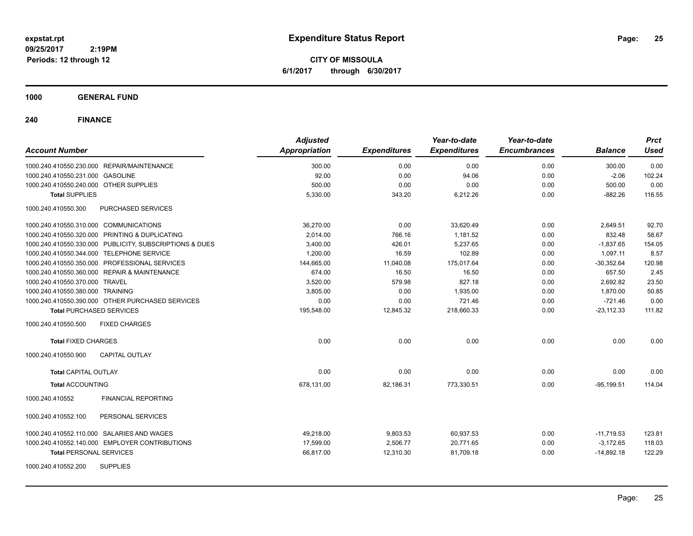**CITY OF MISSOULA 6/1/2017 through 6/30/2017**

### **1000 GENERAL FUND**

| <b>Account Number</b>                                   | <b>Adjusted</b><br><b>Appropriation</b> | <b>Expenditures</b> | Year-to-date<br><b>Expenditures</b> | Year-to-date<br><b>Encumbrances</b> | <b>Balance</b> | <b>Prct</b><br><b>Used</b> |
|---------------------------------------------------------|-----------------------------------------|---------------------|-------------------------------------|-------------------------------------|----------------|----------------------------|
|                                                         |                                         |                     |                                     |                                     |                |                            |
| 1000.240.410550.230.000 REPAIR/MAINTENANCE              | 300.00                                  | 0.00                | 0.00                                | 0.00                                | 300.00         | 0.00                       |
| 1000.240.410550.231.000 GASOLINE                        | 92.00                                   | 0.00                | 94.06                               | 0.00                                | $-2.06$        | 102.24                     |
| 1000.240.410550.240.000 OTHER SUPPLIES                  | 500.00                                  | 0.00                | 0.00                                | 0.00                                | 500.00         | 0.00                       |
| <b>Total SUPPLIES</b>                                   | 5,330.00                                | 343.20              | 6,212.26                            | 0.00                                | $-882.26$      | 116.55                     |
| 1000.240.410550.300<br>PURCHASED SERVICES               |                                         |                     |                                     |                                     |                |                            |
| 1000.240.410550.310.000 COMMUNICATIONS                  | 36,270.00                               | 0.00                | 33,620.49                           | 0.00                                | 2,649.51       | 92.70                      |
| 1000.240.410550.320.000 PRINTING & DUPLICATING          | 2,014.00                                | 766.16              | 1,181.52                            | 0.00                                | 832.48         | 58.67                      |
| 1000.240.410550.330.000 PUBLICITY, SUBSCRIPTIONS & DUES | 3,400.00                                | 426.01              | 5,237.65                            | 0.00                                | $-1,837.65$    | 154.05                     |
| 1000.240.410550.344.000 TELEPHONE SERVICE               | 1,200.00                                | 16.59               | 102.89                              | 0.00                                | 1,097.11       | 8.57                       |
| 1000.240.410550.350.000 PROFESSIONAL SERVICES           | 144,665.00                              | 11,040.08           | 175,017.64                          | 0.00                                | $-30.352.64$   | 120.98                     |
| 1000.240.410550.360.000 REPAIR & MAINTENANCE            | 674.00                                  | 16.50               | 16.50                               | 0.00                                | 657.50         | 2.45                       |
| 1000.240.410550.370.000 TRAVEL                          | 3,520.00                                | 579.98              | 827.18                              | 0.00                                | 2,692.82       | 23.50                      |
| 1000.240.410550.380.000 TRAINING                        | 3,805.00                                | 0.00                | 1,935.00                            | 0.00                                | 1,870.00       | 50.85                      |
| 1000.240.410550.390.000 OTHER PURCHASED SERVICES        | 0.00                                    | 0.00                | 721.46                              | 0.00                                | $-721.46$      | 0.00                       |
| <b>Total PURCHASED SERVICES</b>                         | 195,548.00                              | 12,845.32           | 218,660.33                          | 0.00                                | $-23,112.33$   | 111.82                     |
| 1000.240.410550.500<br><b>FIXED CHARGES</b>             |                                         |                     |                                     |                                     |                |                            |
| <b>Total FIXED CHARGES</b>                              | 0.00                                    | 0.00                | 0.00                                | 0.00                                | 0.00           | 0.00                       |
| 1000.240.410550.900<br><b>CAPITAL OUTLAY</b>            |                                         |                     |                                     |                                     |                |                            |
| <b>Total CAPITAL OUTLAY</b>                             | 0.00                                    | 0.00                | 0.00                                | 0.00                                | 0.00           | 0.00                       |
| <b>Total ACCOUNTING</b>                                 | 678,131.00                              | 82,186.31           | 773,330.51                          | 0.00                                | $-95, 199.51$  | 114.04                     |
| <b>FINANCIAL REPORTING</b><br>1000.240.410552           |                                         |                     |                                     |                                     |                |                            |
| 1000.240.410552.100<br>PERSONAL SERVICES                |                                         |                     |                                     |                                     |                |                            |
| 1000.240.410552.110.000 SALARIES AND WAGES              | 49,218.00                               | 9,803.53            | 60,937.53                           | 0.00                                | $-11,719.53$   | 123.81                     |
| 1000.240.410552.140.000 EMPLOYER CONTRIBUTIONS          | 17,599.00                               | 2,506.77            | 20,771.65                           | 0.00                                | $-3,172.65$    | 118.03                     |
| <b>Total PERSONAL SERVICES</b>                          | 66,817.00                               | 12,310.30           | 81,709.18                           | 0.00                                | $-14,892.18$   | 122.29                     |
| 1000.240.410552.200<br><b>SUPPLIES</b>                  |                                         |                     |                                     |                                     |                |                            |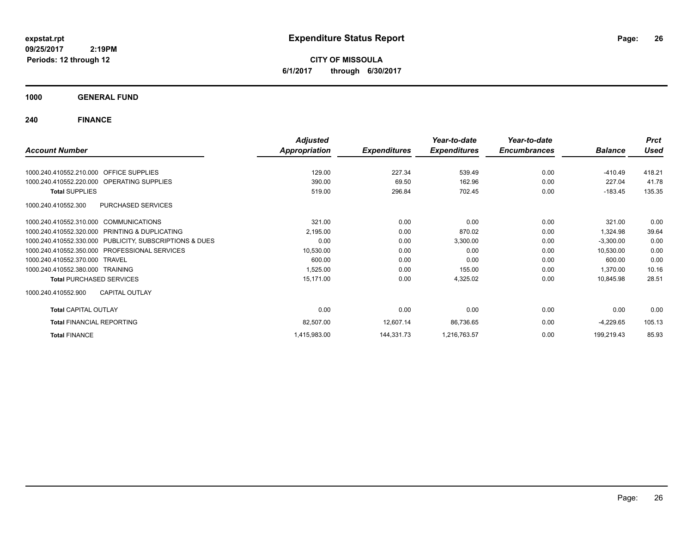**CITY OF MISSOULA 6/1/2017 through 6/30/2017**

**1000 GENERAL FUND**

|                                                         | <b>Adjusted</b>      |                     | Year-to-date        | Year-to-date        |                | <b>Prct</b> |
|---------------------------------------------------------|----------------------|---------------------|---------------------|---------------------|----------------|-------------|
| <b>Account Number</b>                                   | <b>Appropriation</b> | <b>Expenditures</b> | <b>Expenditures</b> | <b>Encumbrances</b> | <b>Balance</b> | <b>Used</b> |
| 1000.240.410552.210.000 OFFICE SUPPLIES                 | 129.00               | 227.34              | 539.49              | 0.00                | $-410.49$      | 418.21      |
|                                                         |                      |                     |                     |                     |                |             |
| 1000.240.410552.220.000 OPERATING SUPPLIES              | 390.00               | 69.50               | 162.96              | 0.00                | 227.04         | 41.78       |
| <b>Total SUPPLIES</b>                                   | 519.00               | 296.84              | 702.45              | 0.00                | $-183.45$      | 135.35      |
| <b>PURCHASED SERVICES</b><br>1000.240.410552.300        |                      |                     |                     |                     |                |             |
| 1000.240.410552.310.000 COMMUNICATIONS                  | 321.00               | 0.00                | 0.00                | 0.00                | 321.00         | 0.00        |
| 1000.240.410552.320.000 PRINTING & DUPLICATING          | 2,195.00             | 0.00                | 870.02              | 0.00                | 1,324.98       | 39.64       |
| 1000.240.410552.330.000 PUBLICITY, SUBSCRIPTIONS & DUES | 0.00                 | 0.00                | 3,300.00            | 0.00                | $-3,300.00$    | 0.00        |
| <b>PROFESSIONAL SERVICES</b><br>1000.240.410552.350.000 | 10,530.00            | 0.00                | 0.00                | 0.00                | 10,530.00      | 0.00        |
| 1000.240.410552.370.000 TRAVEL                          | 600.00               | 0.00                | 0.00                | 0.00                | 600.00         | 0.00        |
| 1000.240.410552.380.000 TRAINING                        | 1,525.00             | 0.00                | 155.00              | 0.00                | 1,370.00       | 10.16       |
| <b>Total PURCHASED SERVICES</b>                         | 15,171.00            | 0.00                | 4,325.02            | 0.00                | 10,845.98      | 28.51       |
| <b>CAPITAL OUTLAY</b><br>1000.240.410552.900            |                      |                     |                     |                     |                |             |
| <b>Total CAPITAL OUTLAY</b>                             | 0.00                 | 0.00                | 0.00                | 0.00                | 0.00           | 0.00        |
| <b>Total FINANCIAL REPORTING</b>                        | 82,507.00            | 12,607.14           | 86,736.65           | 0.00                | $-4,229.65$    | 105.13      |
| <b>Total FINANCE</b>                                    | 1,415,983.00         | 144,331.73          | 1,216,763.57        | 0.00                | 199,219.43     | 85.93       |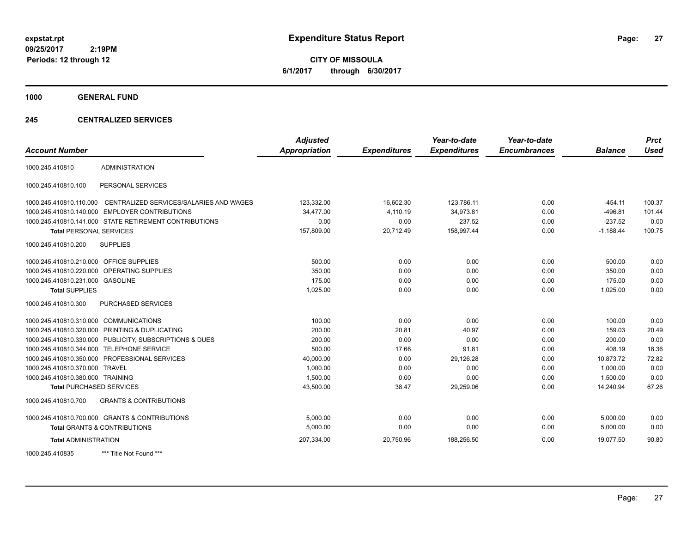**CITY OF MISSOULA 6/1/2017 through 6/30/2017**

**1000 GENERAL FUND**

### **245 CENTRALIZED SERVICES**

| <b>Account Number</b>                   |                                                        | <b>Adjusted</b><br><b>Appropriation</b> | <b>Expenditures</b> | Year-to-date<br><b>Expenditures</b> | Year-to-date<br><b>Encumbrances</b> | <b>Balance</b> | <b>Prct</b><br><b>Used</b> |
|-----------------------------------------|--------------------------------------------------------|-----------------------------------------|---------------------|-------------------------------------|-------------------------------------|----------------|----------------------------|
|                                         |                                                        |                                         |                     |                                     |                                     |                |                            |
| 1000.245.410810                         | <b>ADMINISTRATION</b>                                  |                                         |                     |                                     |                                     |                |                            |
| 1000.245.410810.100                     | PERSONAL SERVICES                                      |                                         |                     |                                     |                                     |                |                            |
| 1000.245.410810.110.000                 | CENTRALIZED SERVICES/SALARIES AND WAGES                | 123,332.00                              | 16,602.30           | 123,786.11                          | 0.00                                | $-454.11$      | 100.37                     |
| 1000.245.410810.140.000                 | <b>EMPLOYER CONTRIBUTIONS</b>                          | 34,477.00                               | 4,110.19            | 34,973.81                           | 0.00                                | $-496.81$      | 101.44                     |
|                                         | 1000.245.410810.141.000 STATE RETIREMENT CONTRIBUTIONS | 0.00                                    | 0.00                | 237.52                              | 0.00                                | $-237.52$      | 0.00                       |
| <b>Total PERSONAL SERVICES</b>          |                                                        | 157,809.00                              | 20,712.49           | 158,997.44                          | 0.00                                | $-1,188.44$    | 100.75                     |
| 1000.245.410810.200                     | <b>SUPPLIES</b>                                        |                                         |                     |                                     |                                     |                |                            |
| 1000.245.410810.210.000 OFFICE SUPPLIES |                                                        | 500.00                                  | 0.00                | 0.00                                | 0.00                                | 500.00         | 0.00                       |
| 1000.245.410810.220.000                 | OPERATING SUPPLIES                                     | 350.00                                  | 0.00                | 0.00                                | 0.00                                | 350.00         | 0.00                       |
| 1000.245.410810.231.000 GASOLINE        |                                                        | 175.00                                  | 0.00                | 0.00                                | 0.00                                | 175.00         | 0.00                       |
| <b>Total SUPPLIES</b>                   |                                                        | 1,025.00                                | 0.00                | 0.00                                | 0.00                                | 1,025.00       | 0.00                       |
| 1000.245.410810.300                     | PURCHASED SERVICES                                     |                                         |                     |                                     |                                     |                |                            |
| 1000.245.410810.310.000 COMMUNICATIONS  |                                                        | 100.00                                  | 0.00                | 0.00                                | 0.00                                | 100.00         | 0.00                       |
|                                         | 1000.245.410810.320.000 PRINTING & DUPLICATING         | 200.00                                  | 20.81               | 40.97                               | 0.00                                | 159.03         | 20.49                      |
| 1000.245.410810.330.000                 | PUBLICITY, SUBSCRIPTIONS & DUES                        | 200.00                                  | 0.00                | 0.00                                | 0.00                                | 200.00         | 0.00                       |
| 1000.245.410810.344.000                 | <b>TELEPHONE SERVICE</b>                               | 500.00                                  | 17.66               | 91.81                               | 0.00                                | 408.19         | 18.36                      |
|                                         | 1000.245.410810.350.000 PROFESSIONAL SERVICES          | 40,000.00                               | 0.00                | 29,126.28                           | 0.00                                | 10,873.72      | 72.82                      |
| 1000.245.410810.370.000                 | <b>TRAVEL</b>                                          | 1,000.00                                | 0.00                | 0.00                                | 0.00                                | 1.000.00       | 0.00                       |
| 1000.245.410810.380.000 TRAINING        |                                                        | 1,500.00                                | 0.00                | 0.00                                | 0.00                                | 1,500.00       | 0.00                       |
| <b>Total PURCHASED SERVICES</b>         |                                                        | 43,500.00                               | 38.47               | 29,259.06                           | 0.00                                | 14,240.94      | 67.26                      |
| 1000.245.410810.700                     | <b>GRANTS &amp; CONTRIBUTIONS</b>                      |                                         |                     |                                     |                                     |                |                            |
|                                         | 1000.245.410810.700.000 GRANTS & CONTRIBUTIONS         | 5.000.00                                | 0.00                | 0.00                                | 0.00                                | 5,000.00       | 0.00                       |
|                                         | <b>Total GRANTS &amp; CONTRIBUTIONS</b>                | 5,000.00                                | 0.00                | 0.00                                | 0.00                                | 5,000.00       | 0.00                       |
| <b>Total ADMINISTRATION</b>             |                                                        | 207,334.00                              | 20,750.96           | 188,256.50                          | 0.00                                | 19,077.50      | 90.80                      |
| 1000.245.410835                         | *** Title Not Found ***                                |                                         |                     |                                     |                                     |                |                            |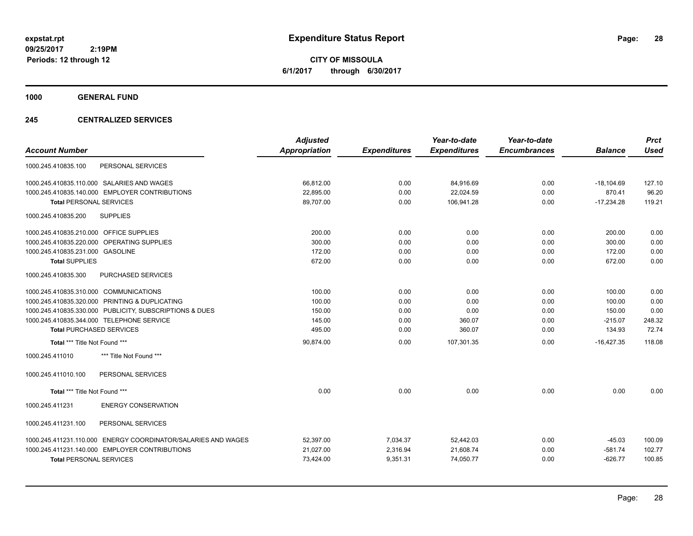**CITY OF MISSOULA 6/1/2017 through 6/30/2017**

**1000 GENERAL FUND**

### **245 CENTRALIZED SERVICES**

|                                                               | <b>Adjusted</b> |                     | Year-to-date        | Year-to-date        |                | <b>Prct</b><br><b>Used</b> |
|---------------------------------------------------------------|-----------------|---------------------|---------------------|---------------------|----------------|----------------------------|
| <b>Account Number</b>                                         | Appropriation   | <b>Expenditures</b> | <b>Expenditures</b> | <b>Encumbrances</b> | <b>Balance</b> |                            |
| PERSONAL SERVICES<br>1000.245.410835.100                      |                 |                     |                     |                     |                |                            |
| 1000.245.410835.110.000 SALARIES AND WAGES                    | 66,812.00       | 0.00                | 84,916.69           | 0.00                | $-18,104.69$   | 127.10                     |
| 1000.245.410835.140.000 EMPLOYER CONTRIBUTIONS                | 22,895.00       | 0.00                | 22,024.59           | 0.00                | 870.41         | 96.20                      |
| <b>Total PERSONAL SERVICES</b>                                | 89,707.00       | 0.00                | 106,941.28          | 0.00                | $-17,234.28$   | 119.21                     |
| <b>SUPPLIES</b><br>1000.245.410835.200                        |                 |                     |                     |                     |                |                            |
| 1000.245.410835.210.000 OFFICE SUPPLIES                       | 200.00          | 0.00                | 0.00                | 0.00                | 200.00         | 0.00                       |
| 1000.245.410835.220.000 OPERATING SUPPLIES                    | 300.00          | 0.00                | 0.00                | 0.00                | 300.00         | 0.00                       |
| 1000.245.410835.231.000 GASOLINE                              | 172.00          | 0.00                | 0.00                | 0.00                | 172.00         | 0.00                       |
| <b>Total SUPPLIES</b>                                         | 672.00          | 0.00                | 0.00                | 0.00                | 672.00         | 0.00                       |
| 1000.245.410835.300<br>PURCHASED SERVICES                     |                 |                     |                     |                     |                |                            |
| 1000.245.410835.310.000 COMMUNICATIONS                        | 100.00          | 0.00                | 0.00                | 0.00                | 100.00         | 0.00                       |
| 1000.245.410835.320.000 PRINTING & DUPLICATING                | 100.00          | 0.00                | 0.00                | 0.00                | 100.00         | 0.00                       |
| 1000.245.410835.330.000 PUBLICITY, SUBSCRIPTIONS & DUES       | 150.00          | 0.00                | 0.00                | 0.00                | 150.00         | 0.00                       |
| 1000.245.410835.344.000 TELEPHONE SERVICE                     | 145.00          | 0.00                | 360.07              | 0.00                | $-215.07$      | 248.32                     |
| <b>Total PURCHASED SERVICES</b>                               | 495.00          | 0.00                | 360.07              | 0.00                | 134.93         | 72.74                      |
| Total *** Title Not Found ***                                 | 90,874.00       | 0.00                | 107,301.35          | 0.00                | $-16,427.35$   | 118.08                     |
| *** Title Not Found ***<br>1000.245.411010                    |                 |                     |                     |                     |                |                            |
| 1000.245.411010.100<br>PERSONAL SERVICES                      |                 |                     |                     |                     |                |                            |
| Total *** Title Not Found ***                                 | 0.00            | 0.00                | 0.00                | 0.00                | 0.00           | 0.00                       |
| 1000.245.411231<br><b>ENERGY CONSERVATION</b>                 |                 |                     |                     |                     |                |                            |
| 1000.245.411231.100<br>PERSONAL SERVICES                      |                 |                     |                     |                     |                |                            |
| 1000.245.411231.110.000 ENERGY COORDINATOR/SALARIES AND WAGES | 52,397.00       | 7,034.37            | 52,442.03           | 0.00                | $-45.03$       | 100.09                     |
| 1000.245.411231.140.000 EMPLOYER CONTRIBUTIONS                | 21,027.00       | 2,316.94            | 21,608.74           | 0.00                | $-581.74$      | 102.77                     |
| <b>Total PERSONAL SERVICES</b>                                | 73,424.00       | 9,351.31            | 74,050.77           | 0.00                | $-626.77$      | 100.85                     |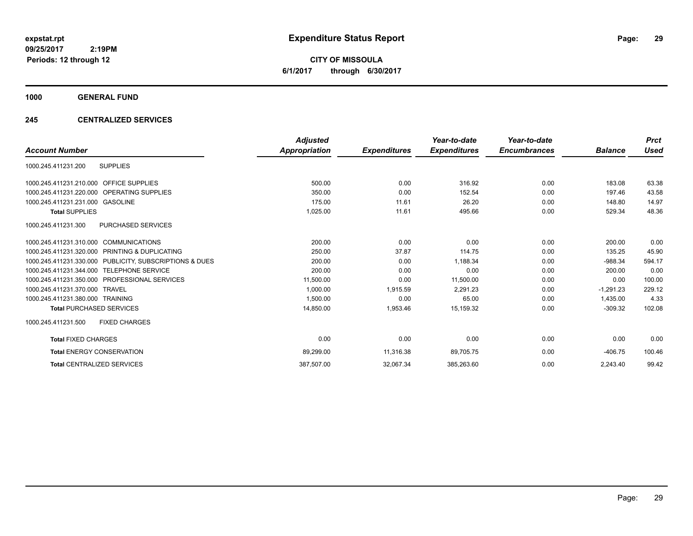**CITY OF MISSOULA 6/1/2017 through 6/30/2017**

### **1000 GENERAL FUND**

### **245 CENTRALIZED SERVICES**

|                                                         | <b>Adjusted</b> |                     | Year-to-date        | Year-to-date        |                | <b>Prct</b> |
|---------------------------------------------------------|-----------------|---------------------|---------------------|---------------------|----------------|-------------|
| <b>Account Number</b>                                   | Appropriation   | <b>Expenditures</b> | <b>Expenditures</b> | <b>Encumbrances</b> | <b>Balance</b> | <b>Used</b> |
| <b>SUPPLIES</b><br>1000.245.411231.200                  |                 |                     |                     |                     |                |             |
| 1000.245.411231.210.000 OFFICE SUPPLIES                 | 500.00          | 0.00                | 316.92              | 0.00                | 183.08         | 63.38       |
| 1000.245.411231.220.000 OPERATING SUPPLIES              | 350.00          | 0.00                | 152.54              | 0.00                | 197.46         | 43.58       |
| 1000.245.411231.231.000 GASOLINE                        | 175.00          | 11.61               | 26.20               | 0.00                | 148.80         | 14.97       |
| <b>Total SUPPLIES</b>                                   | 1,025.00        | 11.61               | 495.66              | 0.00                | 529.34         | 48.36       |
| <b>PURCHASED SERVICES</b><br>1000.245.411231.300        |                 |                     |                     |                     |                |             |
| 1000.245.411231.310.000 COMMUNICATIONS                  | 200.00          | 0.00                | 0.00                | 0.00                | 200.00         | 0.00        |
| 1000.245.411231.320.000 PRINTING & DUPLICATING          | 250.00          | 37.87               | 114.75              | 0.00                | 135.25         | 45.90       |
| 1000.245.411231.330.000 PUBLICITY, SUBSCRIPTIONS & DUES | 200.00          | 0.00                | 1,188.34            | 0.00                | $-988.34$      | 594.17      |
| 1000.245.411231.344.000 TELEPHONE SERVICE               | 200.00          | 0.00                | 0.00                | 0.00                | 200.00         | 0.00        |
| 1000.245.411231.350.000 PROFESSIONAL SERVICES           | 11,500.00       | 0.00                | 11,500.00           | 0.00                | 0.00           | 100.00      |
| 1000.245.411231.370.000 TRAVEL                          | 1,000.00        | 1,915.59            | 2,291.23            | 0.00                | $-1.291.23$    | 229.12      |
| 1000.245.411231.380.000 TRAINING                        | 1,500.00        | 0.00                | 65.00               | 0.00                | 1.435.00       | 4.33        |
| <b>Total PURCHASED SERVICES</b>                         | 14,850.00       | 1,953.46            | 15,159.32           | 0.00                | $-309.32$      | 102.08      |
| 1000.245.411231.500<br><b>FIXED CHARGES</b>             |                 |                     |                     |                     |                |             |
| <b>Total FIXED CHARGES</b>                              | 0.00            | 0.00                | 0.00                | 0.00                | 0.00           | 0.00        |
| <b>Total ENERGY CONSERVATION</b>                        | 89,299.00       | 11,316.38           | 89,705.75           | 0.00                | $-406.75$      | 100.46      |
| <b>Total CENTRALIZED SERVICES</b>                       | 387,507.00      | 32,067.34           | 385,263.60          | 0.00                | 2.243.40       | 99.42       |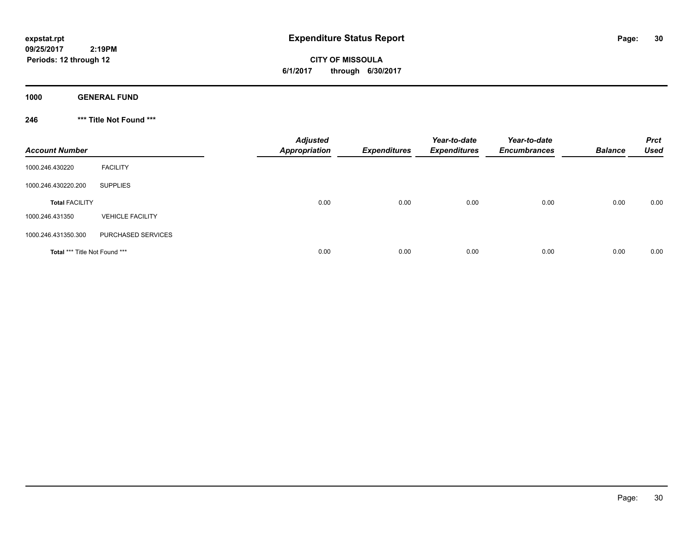**CITY OF MISSOULA 6/1/2017 through 6/30/2017**

**1000 GENERAL FUND**

**246 \*\*\* Title Not Found \*\*\***

| <b>Account Number</b>         |                         | <b>Adjusted</b><br>Appropriation | <b>Expenditures</b> | Year-to-date<br><b>Expenditures</b> | Year-to-date<br><b>Encumbrances</b> | <b>Balance</b> | <b>Prct</b><br>Used |
|-------------------------------|-------------------------|----------------------------------|---------------------|-------------------------------------|-------------------------------------|----------------|---------------------|
| 1000.246.430220               | <b>FACILITY</b>         |                                  |                     |                                     |                                     |                |                     |
| 1000.246.430220.200           | <b>SUPPLIES</b>         |                                  |                     |                                     |                                     |                |                     |
| <b>Total FACILITY</b>         |                         | 0.00                             | 0.00                | 0.00                                | 0.00                                | 0.00           | 0.00                |
| 1000.246.431350               | <b>VEHICLE FACILITY</b> |                                  |                     |                                     |                                     |                |                     |
| 1000.246.431350.300           | PURCHASED SERVICES      |                                  |                     |                                     |                                     |                |                     |
| Total *** Title Not Found *** |                         | 0.00                             | 0.00                | 0.00                                | 0.00                                | 0.00           | 0.00                |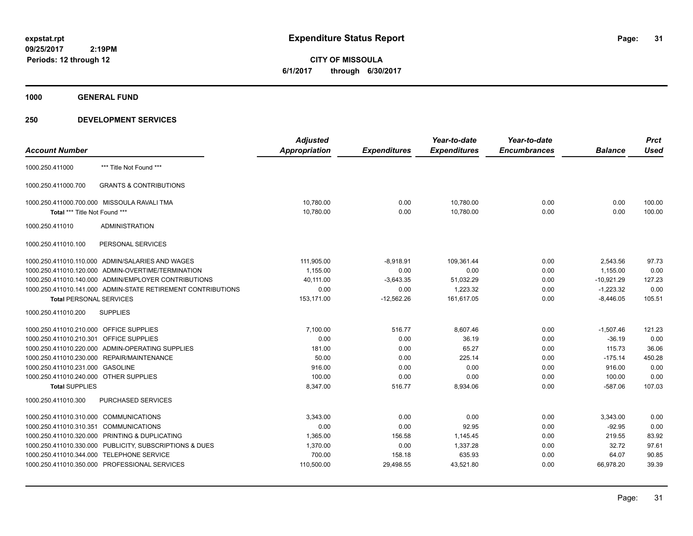**CITY OF MISSOULA 6/1/2017 through 6/30/2017**

**1000 GENERAL FUND**

| <b>Account Number</b>                   |                                                              | <b>Adjusted</b><br><b>Appropriation</b> | <b>Expenditures</b> | Year-to-date<br><b>Expenditures</b> | Year-to-date<br><b>Encumbrances</b> | <b>Balance</b> | <b>Prct</b><br><b>Used</b> |
|-----------------------------------------|--------------------------------------------------------------|-----------------------------------------|---------------------|-------------------------------------|-------------------------------------|----------------|----------------------------|
|                                         |                                                              |                                         |                     |                                     |                                     |                |                            |
| 1000.250.411000                         | *** Title Not Found ***                                      |                                         |                     |                                     |                                     |                |                            |
| 1000.250.411000.700                     | <b>GRANTS &amp; CONTRIBUTIONS</b>                            |                                         |                     |                                     |                                     |                |                            |
|                                         | 1000.250.411000.700.000 MISSOULA RAVALI TMA                  | 10,780.00                               | 0.00                | 10,780.00                           | 0.00                                | 0.00           | 100.00                     |
| Total *** Title Not Found ***           |                                                              | 10,780.00                               | 0.00                | 10,780.00                           | 0.00                                | 0.00           | 100.00                     |
| 1000.250.411010                         | <b>ADMINISTRATION</b>                                        |                                         |                     |                                     |                                     |                |                            |
| 1000.250.411010.100                     | PERSONAL SERVICES                                            |                                         |                     |                                     |                                     |                |                            |
|                                         | 1000.250.411010.110.000 ADMIN/SALARIES AND WAGES             | 111,905.00                              | $-8,918.91$         | 109,361.44                          | 0.00                                | 2,543.56       | 97.73                      |
|                                         | 1000.250.411010.120.000 ADMIN-OVERTIME/TERMINATION           | 1,155.00                                | 0.00                | 0.00                                | 0.00                                | 1,155.00       | 0.00                       |
|                                         | 1000.250.411010.140.000 ADMIN/EMPLOYER CONTRIBUTIONS         | 40,111.00                               | $-3,643.35$         | 51,032.29                           | 0.00                                | $-10,921.29$   | 127.23                     |
|                                         | 1000.250.411010.141.000 ADMIN-STATE RETIREMENT CONTRIBUTIONS | 0.00                                    | 0.00                | 1,223.32                            | 0.00                                | $-1,223.32$    | 0.00                       |
| <b>Total PERSONAL SERVICES</b>          |                                                              | 153,171.00                              | $-12,562.26$        | 161.617.05                          | 0.00                                | $-8,446.05$    | 105.51                     |
| 1000.250.411010.200                     | <b>SUPPLIES</b>                                              |                                         |                     |                                     |                                     |                |                            |
| 1000.250.411010.210.000 OFFICE SUPPLIES |                                                              | 7,100.00                                | 516.77              | 8,607.46                            | 0.00                                | $-1,507.46$    | 121.23                     |
| 1000.250.411010.210.301 OFFICE SUPPLIES |                                                              | 0.00                                    | 0.00                | 36.19                               | 0.00                                | $-36.19$       | 0.00                       |
|                                         | 1000.250.411010.220.000 ADMIN-OPERATING SUPPLIES             | 181.00                                  | 0.00                | 65.27                               | 0.00                                | 115.73         | 36.06                      |
|                                         | 1000.250.411010.230.000 REPAIR/MAINTENANCE                   | 50.00                                   | 0.00                | 225.14                              | 0.00                                | $-175.14$      | 450.28                     |
| 1000.250.411010.231.000 GASOLINE        |                                                              | 916.00                                  | 0.00                | 0.00                                | 0.00                                | 916.00         | 0.00                       |
| 1000.250.411010.240.000 OTHER SUPPLIES  |                                                              | 100.00                                  | 0.00                | 0.00                                | 0.00                                | 100.00         | 0.00                       |
| <b>Total SUPPLIES</b>                   |                                                              | 8,347.00                                | 516.77              | 8,934.06                            | 0.00                                | $-587.06$      | 107.03                     |
| 1000.250.411010.300                     | PURCHASED SERVICES                                           |                                         |                     |                                     |                                     |                |                            |
| 1000.250.411010.310.000 COMMUNICATIONS  |                                                              | 3,343.00                                | 0.00                | 0.00                                | 0.00                                | 3,343.00       | 0.00                       |
| 1000.250.411010.310.351 COMMUNICATIONS  |                                                              | 0.00                                    | 0.00                | 92.95                               | 0.00                                | $-92.95$       | 0.00                       |
|                                         | 1000.250.411010.320.000 PRINTING & DUPLICATING               | 1.365.00                                | 156.58              | 1.145.45                            | 0.00                                | 219.55         | 83.92                      |
|                                         | 1000.250.411010.330.000 PUBLICITY, SUBSCRIPTIONS & DUES      | 1,370.00                                | 0.00                | 1,337.28                            | 0.00                                | 32.72          | 97.61                      |
| 1000.250.411010.344.000                 | <b>TELEPHONE SERVICE</b>                                     | 700.00                                  | 158.18              | 635.93                              | 0.00                                | 64.07          | 90.85                      |
|                                         | 1000.250.411010.350.000 PROFESSIONAL SERVICES                | 110,500.00                              | 29,498.55           | 43,521.80                           | 0.00                                | 66,978.20      | 39.39                      |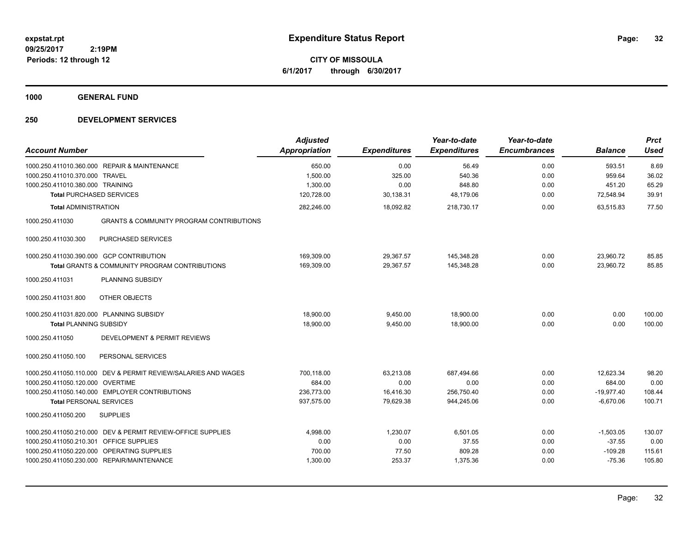**CITY OF MISSOULA 6/1/2017 through 6/30/2017**

**1000 GENERAL FUND**

| <b>Account Number</b>                                                                                 |                                                                                                                                                         | <b>Adjusted</b><br><b>Appropriation</b>          | <b>Expenditures</b>                         | Year-to-date<br><b>Expenditures</b>            | Year-to-date<br><b>Encumbrances</b> | <b>Balance</b>                                     | <b>Prct</b><br><b>Used</b>         |
|-------------------------------------------------------------------------------------------------------|---------------------------------------------------------------------------------------------------------------------------------------------------------|--------------------------------------------------|---------------------------------------------|------------------------------------------------|-------------------------------------|----------------------------------------------------|------------------------------------|
| 1000.250.411010.370.000 TRAVEL<br>1000.250.411010.380.000 TRAINING<br><b>Total PURCHASED SERVICES</b> | 1000.250.411010.360.000 REPAIR & MAINTENANCE                                                                                                            | 650.00<br>1,500.00<br>1,300.00<br>120,728.00     | 0.00<br>325.00<br>0.00<br>30,138.31         | 56.49<br>540.36<br>848.80<br>48,179.06         | 0.00<br>0.00<br>0.00<br>0.00        | 593.51<br>959.64<br>451.20<br>72,548.94            | 8.69<br>36.02<br>65.29<br>39.91    |
| <b>Total ADMINISTRATION</b>                                                                           |                                                                                                                                                         | 282,246.00                                       | 18,092.82                                   | 218,730.17                                     | 0.00                                | 63,515.83                                          | 77.50                              |
| 1000.250.411030                                                                                       | <b>GRANTS &amp; COMMUNITY PROGRAM CONTRIBUTIONS</b>                                                                                                     |                                                  |                                             |                                                |                                     |                                                    |                                    |
| 1000.250.411030.300                                                                                   | PURCHASED SERVICES                                                                                                                                      |                                                  |                                             |                                                |                                     |                                                    |                                    |
| 1000.250.411031                                                                                       | 1000.250.411030.390.000 GCP CONTRIBUTION<br><b>Total GRANTS &amp; COMMUNITY PROGRAM CONTRIBUTIONS</b><br>PLANNING SUBSIDY                               | 169,309.00<br>169,309.00                         | 29,367.57<br>29,367.57                      | 145,348.28<br>145,348.28                       | 0.00<br>0.00                        | 23,960.72<br>23.960.72                             | 85.85<br>85.85                     |
| 1000.250.411031.800                                                                                   | OTHER OBJECTS                                                                                                                                           |                                                  |                                             |                                                |                                     |                                                    |                                    |
| 1000.250.411031.820.000 PLANNING SUBSIDY<br><b>Total PLANNING SUBSIDY</b>                             |                                                                                                                                                         | 18,900.00<br>18,900.00                           | 9,450.00<br>9,450.00                        | 18,900.00<br>18,900.00                         | 0.00<br>0.00                        | 0.00<br>0.00                                       | 100.00<br>100.00                   |
| 1000.250.411050                                                                                       | DEVELOPMENT & PERMIT REVIEWS                                                                                                                            |                                                  |                                             |                                                |                                     |                                                    |                                    |
| 1000.250.411050.100                                                                                   | PERSONAL SERVICES                                                                                                                                       |                                                  |                                             |                                                |                                     |                                                    |                                    |
| 1000.250.411050.120.000 OVERTIME<br><b>Total PERSONAL SERVICES</b>                                    | 1000.250.411050.110.000 DEV & PERMIT REVIEW/SALARIES AND WAGES<br>1000.250.411050.140.000 EMPLOYER CONTRIBUTIONS                                        | 700,118.00<br>684.00<br>236,773.00<br>937,575.00 | 63,213.08<br>0.00<br>16,416.30<br>79,629.38 | 687,494.66<br>0.00<br>256,750.40<br>944,245.06 | 0.00<br>0.00<br>0.00<br>0.00        | 12,623.34<br>684.00<br>$-19,977.40$<br>$-6,670.06$ | 98.20<br>0.00<br>108.44<br>100.71  |
| 1000.250.411050.200                                                                                   | <b>SUPPLIES</b>                                                                                                                                         |                                                  |                                             |                                                |                                     |                                                    |                                    |
| 1000.250.411050.210.301 OFFICE SUPPLIES                                                               | 1000.250.411050.210.000 DEV & PERMIT REVIEW-OFFICE SUPPLIES<br>1000.250.411050.220.000 OPERATING SUPPLIES<br>1000.250.411050.230.000 REPAIR/MAINTENANCE | 4,998.00<br>0.00<br>700.00<br>1,300.00           | 1,230.07<br>0.00<br>77.50<br>253.37         | 6,501.05<br>37.55<br>809.28<br>1,375.36        | 0.00<br>0.00<br>0.00<br>0.00        | $-1,503.05$<br>$-37.55$<br>$-109.28$<br>$-75.36$   | 130.07<br>0.00<br>115.61<br>105.80 |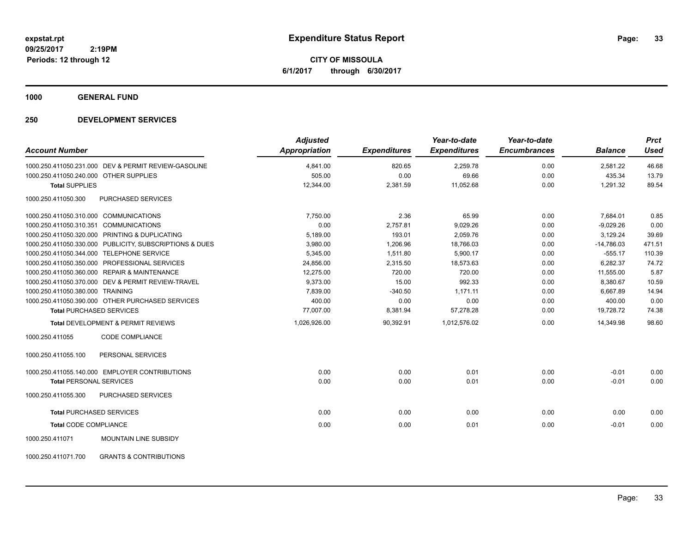**CITY OF MISSOULA 6/1/2017 through 6/30/2017**

**1000 GENERAL FUND**

| <b>Account Number</b>                              |                                                         | <b>Adjusted</b><br><b>Appropriation</b> | <b>Expenditures</b> | Year-to-date<br><b>Expenditures</b> | Year-to-date<br><b>Encumbrances</b> | <b>Balance</b> | <b>Prct</b><br><b>Used</b> |
|----------------------------------------------------|---------------------------------------------------------|-----------------------------------------|---------------------|-------------------------------------|-------------------------------------|----------------|----------------------------|
|                                                    | 1000.250.411050.231.000 DEV & PERMIT REVIEW-GASOLINE    | 4,841.00                                | 820.65              | 2,259.78                            | 0.00                                | 2,581.22       | 46.68                      |
| 1000.250.411050.240.000 OTHER SUPPLIES             |                                                         | 505.00                                  | 0.00                | 69.66                               | 0.00                                | 435.34         | 13.79                      |
| <b>Total SUPPLIES</b>                              |                                                         | 12,344.00                               | 2,381.59            | 11,052.68                           | 0.00                                | 1,291.32       | 89.54                      |
| 1000.250.411050.300                                | <b>PURCHASED SERVICES</b>                               |                                         |                     |                                     |                                     |                |                            |
| 1000.250.411050.310.000 COMMUNICATIONS             |                                                         | 7.750.00                                | 2.36                | 65.99                               | 0.00                                | 7,684.01       | 0.85                       |
| 1000.250.411050.310.351 COMMUNICATIONS             |                                                         | 0.00                                    | 2,757.81            | 9,029.26                            | 0.00                                | $-9,029.26$    | 0.00                       |
| 1000.250.411050.320.000 PRINTING & DUPLICATING     |                                                         | 5,189.00                                | 193.01              | 2,059.76                            | 0.00                                | 3,129.24       | 39.69                      |
|                                                    | 1000.250.411050.330.000 PUBLICITY, SUBSCRIPTIONS & DUES | 3,980.00                                | 1,206.96            | 18,766.03                           | 0.00                                | $-14,786.03$   | 471.51                     |
| 1000.250.411050.344.000 TELEPHONE SERVICE          |                                                         | 5,345.00                                | 1,511.80            | 5,900.17                            | 0.00                                | $-555.17$      | 110.39                     |
| 1000.250.411050.350.000 PROFESSIONAL SERVICES      |                                                         | 24,856.00                               | 2,315.50            | 18,573.63                           | 0.00                                | 6,282.37       | 74.72                      |
| 1000.250.411050.360.000 REPAIR & MAINTENANCE       |                                                         | 12,275.00                               | 720.00              | 720.00                              | 0.00                                | 11,555.00      | 5.87                       |
| 1000.250.411050.370.000 DEV & PERMIT REVIEW-TRAVEL |                                                         | 9,373.00                                | 15.00               | 992.33                              | 0.00                                | 8,380.67       | 10.59                      |
| 1000.250.411050.380.000 TRAINING                   |                                                         | 7,839.00                                | $-340.50$           | 1,171.11                            | 0.00                                | 6,667.89       | 14.94                      |
| 1000.250.411050.390.000 OTHER PURCHASED SERVICES   |                                                         | 400.00                                  | 0.00                | 0.00                                | 0.00                                | 400.00         | 0.00                       |
| <b>Total PURCHASED SERVICES</b>                    |                                                         | 77,007.00                               | 8,381.94            | 57,278.28                           | 0.00                                | 19,728.72      | 74.38                      |
| <b>Total DEVELOPMENT &amp; PERMIT REVIEWS</b>      |                                                         | 1,026,926.00                            | 90,392.91           | 1,012,576.02                        | 0.00                                | 14,349.98      | 98.60                      |
| 1000.250.411055                                    | CODE COMPLIANCE                                         |                                         |                     |                                     |                                     |                |                            |
| 1000.250.411055.100                                | PERSONAL SERVICES                                       |                                         |                     |                                     |                                     |                |                            |
| 1000.250.411055.140.000 EMPLOYER CONTRIBUTIONS     |                                                         | 0.00                                    | 0.00                | 0.01                                | 0.00                                | $-0.01$        | 0.00                       |
| <b>Total PERSONAL SERVICES</b>                     |                                                         | 0.00                                    | 0.00                | 0.01                                | 0.00                                | $-0.01$        | 0.00                       |
| 1000.250.411055.300                                | PURCHASED SERVICES                                      |                                         |                     |                                     |                                     |                |                            |
| <b>Total PURCHASED SERVICES</b>                    |                                                         | 0.00                                    | 0.00                | 0.00                                | 0.00                                | 0.00           | 0.00                       |
| <b>Total CODE COMPLIANCE</b>                       |                                                         | 0.00                                    | 0.00                | 0.01                                | 0.00                                | $-0.01$        | 0.00                       |
| 1000.250.411071                                    | MOUNTAIN LINE SUBSIDY                                   |                                         |                     |                                     |                                     |                |                            |
| 1000.250.411071.700                                | <b>GRANTS &amp; CONTRIBUTIONS</b>                       |                                         |                     |                                     |                                     |                |                            |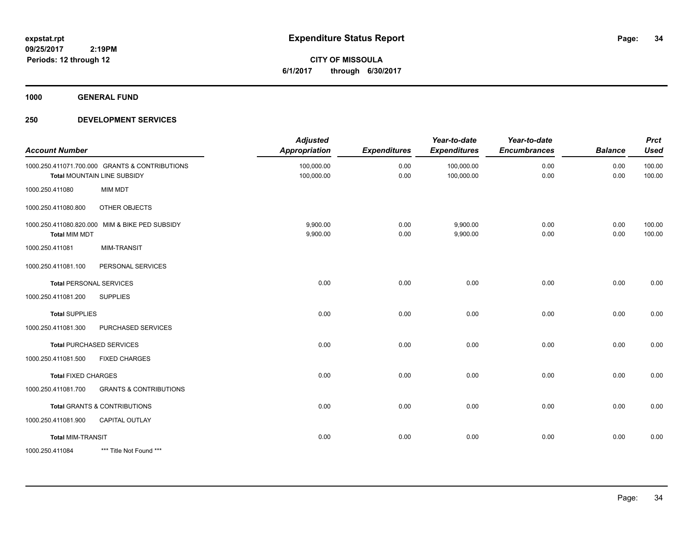**CITY OF MISSOULA 6/1/2017 through 6/30/2017**

**1000 GENERAL FUND**

| <b>Account Number</b>      |                                                                               | <b>Adjusted</b><br><b>Appropriation</b> | <b>Expenditures</b> | Year-to-date<br><b>Expenditures</b> | Year-to-date<br><b>Encumbrances</b> | <b>Balance</b> | <b>Prct</b><br><b>Used</b> |
|----------------------------|-------------------------------------------------------------------------------|-----------------------------------------|---------------------|-------------------------------------|-------------------------------------|----------------|----------------------------|
|                            | 1000.250.411071.700.000 GRANTS & CONTRIBUTIONS<br>Total MOUNTAIN LINE SUBSIDY | 100,000.00<br>100,000.00                | 0.00<br>0.00        | 100,000.00<br>100,000.00            | 0.00<br>0.00                        | 0.00<br>0.00   | 100.00<br>100.00           |
| 1000.250.411080            | <b>MIM MDT</b>                                                                |                                         |                     |                                     |                                     |                |                            |
| 1000.250.411080.800        | OTHER OBJECTS                                                                 |                                         |                     |                                     |                                     |                |                            |
| <b>Total MIM MDT</b>       | 1000.250.411080.820.000 MIM & BIKE PED SUBSIDY                                | 9,900.00<br>9,900.00                    | 0.00<br>0.00        | 9,900.00<br>9,900.00                | 0.00<br>0.00                        | 0.00<br>0.00   | 100.00<br>100.00           |
| 1000.250.411081            | <b>MIM-TRANSIT</b>                                                            |                                         |                     |                                     |                                     |                |                            |
| 1000.250.411081.100        | PERSONAL SERVICES                                                             |                                         |                     |                                     |                                     |                |                            |
|                            | <b>Total PERSONAL SERVICES</b>                                                | 0.00                                    | 0.00                | 0.00                                | 0.00                                | 0.00           | 0.00                       |
| 1000.250.411081.200        | <b>SUPPLIES</b>                                                               |                                         |                     |                                     |                                     |                |                            |
| <b>Total SUPPLIES</b>      |                                                                               | 0.00                                    | 0.00                | 0.00                                | 0.00                                | 0.00           | 0.00                       |
| 1000.250.411081.300        | PURCHASED SERVICES                                                            |                                         |                     |                                     |                                     |                |                            |
|                            | <b>Total PURCHASED SERVICES</b>                                               | 0.00                                    | 0.00                | 0.00                                | 0.00                                | 0.00           | 0.00                       |
| 1000.250.411081.500        | <b>FIXED CHARGES</b>                                                          |                                         |                     |                                     |                                     |                |                            |
| <b>Total FIXED CHARGES</b> |                                                                               | 0.00                                    | 0.00                | 0.00                                | 0.00                                | 0.00           | 0.00                       |
| 1000.250.411081.700        | <b>GRANTS &amp; CONTRIBUTIONS</b>                                             |                                         |                     |                                     |                                     |                |                            |
|                            | <b>Total GRANTS &amp; CONTRIBUTIONS</b>                                       | 0.00                                    | 0.00                | 0.00                                | 0.00                                | 0.00           | 0.00                       |
| 1000.250.411081.900        | CAPITAL OUTLAY                                                                |                                         |                     |                                     |                                     |                |                            |
| <b>Total MIM-TRANSIT</b>   |                                                                               | 0.00                                    | 0.00                | 0.00                                | 0.00                                | 0.00           | 0.00                       |
| 1000.250.411084            | *** Title Not Found ***                                                       |                                         |                     |                                     |                                     |                |                            |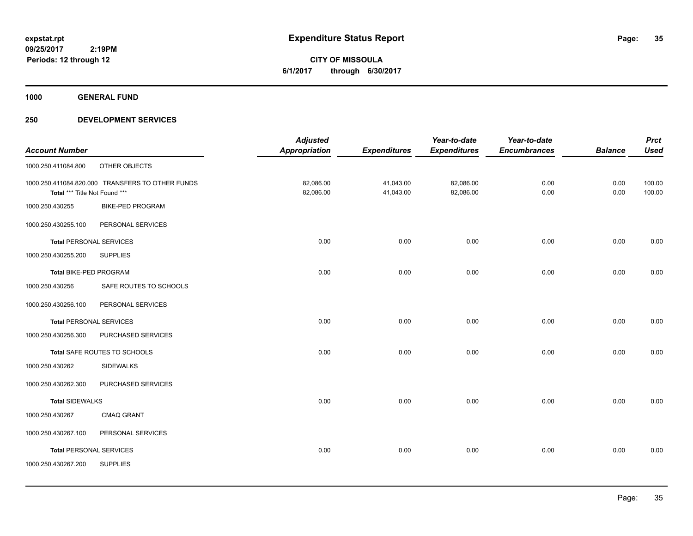**CITY OF MISSOULA 6/1/2017 through 6/30/2017**

**1000 GENERAL FUND**

|                                |                                                  | <b>Adjusted</b>      |                     | Year-to-date        | Year-to-date        |                | <b>Prct</b> |
|--------------------------------|--------------------------------------------------|----------------------|---------------------|---------------------|---------------------|----------------|-------------|
| <b>Account Number</b>          |                                                  | <b>Appropriation</b> | <b>Expenditures</b> | <b>Expenditures</b> | <b>Encumbrances</b> | <b>Balance</b> | <b>Used</b> |
| 1000.250.411084.800            | OTHER OBJECTS                                    |                      |                     |                     |                     |                |             |
|                                | 1000.250.411084.820.000 TRANSFERS TO OTHER FUNDS | 82,086.00            | 41,043.00           | 82,086.00           | 0.00                | 0.00           | 100.00      |
| Total *** Title Not Found ***  |                                                  | 82,086.00            | 41,043.00           | 82,086.00           | 0.00                | 0.00           | 100.00      |
| 1000.250.430255                | <b>BIKE-PED PROGRAM</b>                          |                      |                     |                     |                     |                |             |
| 1000.250.430255.100            | PERSONAL SERVICES                                |                      |                     |                     |                     |                |             |
| <b>Total PERSONAL SERVICES</b> |                                                  | 0.00                 | 0.00                | 0.00                | 0.00                | 0.00           | 0.00        |
| 1000.250.430255.200            | <b>SUPPLIES</b>                                  |                      |                     |                     |                     |                |             |
| Total BIKE-PED PROGRAM         |                                                  | 0.00                 | 0.00                | 0.00                | 0.00                | 0.00           | 0.00        |
| 1000.250.430256                | SAFE ROUTES TO SCHOOLS                           |                      |                     |                     |                     |                |             |
| 1000.250.430256.100            | PERSONAL SERVICES                                |                      |                     |                     |                     |                |             |
| <b>Total PERSONAL SERVICES</b> |                                                  | 0.00                 | 0.00                | 0.00                | 0.00                | 0.00           | 0.00        |
| 1000.250.430256.300            | PURCHASED SERVICES                               |                      |                     |                     |                     |                |             |
|                                | Total SAFE ROUTES TO SCHOOLS                     | 0.00                 | 0.00                | 0.00                | 0.00                | 0.00           | 0.00        |
| 1000.250.430262                | <b>SIDEWALKS</b>                                 |                      |                     |                     |                     |                |             |
| 1000.250.430262.300            | PURCHASED SERVICES                               |                      |                     |                     |                     |                |             |
| <b>Total SIDEWALKS</b>         |                                                  | 0.00                 | 0.00                | 0.00                | 0.00                | 0.00           | 0.00        |
| 1000.250.430267                | <b>CMAQ GRANT</b>                                |                      |                     |                     |                     |                |             |
| 1000.250.430267.100            | PERSONAL SERVICES                                |                      |                     |                     |                     |                |             |
| <b>Total PERSONAL SERVICES</b> |                                                  | 0.00                 | 0.00                | 0.00                | 0.00                | 0.00           | 0.00        |
| 1000.250.430267.200            | <b>SUPPLIES</b>                                  |                      |                     |                     |                     |                |             |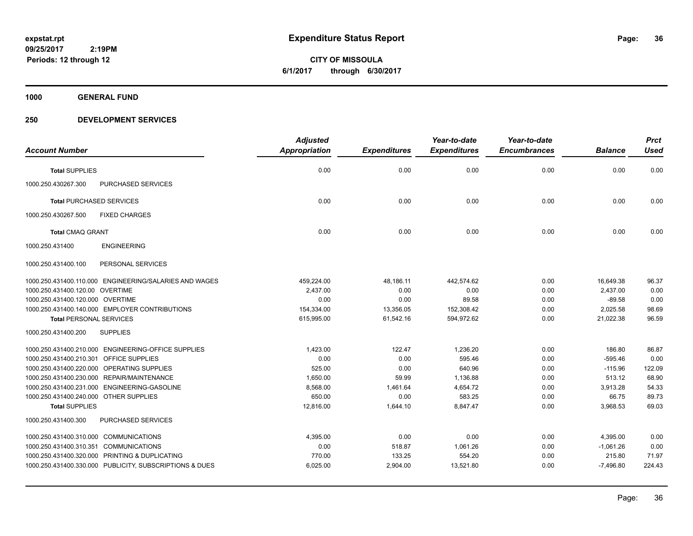**CITY OF MISSOULA 6/1/2017 through 6/30/2017**

**1000 GENERAL FUND**

|                                            |                                                         | <b>Adjusted</b>      |                     | Year-to-date        | Year-to-date        |                | <b>Prct</b> |
|--------------------------------------------|---------------------------------------------------------|----------------------|---------------------|---------------------|---------------------|----------------|-------------|
| <b>Account Number</b>                      |                                                         | <b>Appropriation</b> | <b>Expenditures</b> | <b>Expenditures</b> | <b>Encumbrances</b> | <b>Balance</b> | <b>Used</b> |
| <b>Total SUPPLIES</b>                      |                                                         | 0.00                 | 0.00                | 0.00                | 0.00                | 0.00           | 0.00        |
| 1000.250.430267.300                        | <b>PURCHASED SERVICES</b>                               |                      |                     |                     |                     |                |             |
| <b>Total PURCHASED SERVICES</b>            |                                                         | 0.00                 | 0.00                | 0.00                | 0.00                | 0.00           | 0.00        |
| 1000.250.430267.500                        | <b>FIXED CHARGES</b>                                    |                      |                     |                     |                     |                |             |
| <b>Total CMAQ GRANT</b>                    |                                                         | 0.00                 | 0.00                | 0.00                | 0.00                | 0.00           | 0.00        |
| 1000.250.431400                            | <b>ENGINEERING</b>                                      |                      |                     |                     |                     |                |             |
| 1000.250.431400.100                        | PERSONAL SERVICES                                       |                      |                     |                     |                     |                |             |
|                                            | 1000.250.431400.110.000 ENGINEERING/SALARIES AND WAGES  | 459,224.00           | 48,186.11           | 442,574.62          | 0.00                | 16,649.38      | 96.37       |
| 1000.250.431400.120.00 OVERTIME            |                                                         | 2,437.00             | 0.00                | 0.00                | 0.00                | 2,437.00       | 0.00        |
| 1000.250.431400.120.000 OVERTIME           |                                                         | 0.00                 | 0.00                | 89.58               | 0.00                | $-89.58$       | 0.00        |
|                                            | 1000.250.431400.140.000 EMPLOYER CONTRIBUTIONS          | 154,334.00           | 13,356.05           | 152.308.42          | 0.00                | 2.025.58       | 98.69       |
| <b>Total PERSONAL SERVICES</b>             |                                                         | 615,995.00           | 61,542.16           | 594,972.62          | 0.00                | 21,022.38      | 96.59       |
| 1000.250.431400.200                        | <b>SUPPLIES</b>                                         |                      |                     |                     |                     |                |             |
|                                            | 1000.250.431400.210.000 ENGINEERING-OFFICE SUPPLIES     | 1.423.00             | 122.47              | 1.236.20            | 0.00                | 186.80         | 86.87       |
| 1000.250.431400.210.301 OFFICE SUPPLIES    |                                                         | 0.00                 | 0.00                | 595.46              | 0.00                | $-595.46$      | 0.00        |
| 1000.250.431400.220.000 OPERATING SUPPLIES |                                                         | 525.00               | 0.00                | 640.96              | 0.00                | $-115.96$      | 122.09      |
|                                            | 1000.250.431400.230.000 REPAIR/MAINTENANCE              | 1.650.00             | 59.99               | 1,136.88            | 0.00                | 513.12         | 68.90       |
|                                            | 1000.250.431400.231.000 ENGINEERING-GASOLINE            | 8,568.00             | 1,461.64            | 4,654.72            | 0.00                | 3,913.28       | 54.33       |
| 1000.250.431400.240.000 OTHER SUPPLIES     |                                                         | 650.00               | 0.00                | 583.25              | 0.00                | 66.75          | 89.73       |
| <b>Total SUPPLIES</b>                      |                                                         | 12,816.00            | 1,644.10            | 8,847.47            | 0.00                | 3,968.53       | 69.03       |
| 1000.250.431400.300                        | <b>PURCHASED SERVICES</b>                               |                      |                     |                     |                     |                |             |
| 1000.250.431400.310.000 COMMUNICATIONS     |                                                         | 4,395.00             | 0.00                | 0.00                | 0.00                | 4,395.00       | 0.00        |
| 1000.250.431400.310.351 COMMUNICATIONS     |                                                         | 0.00                 | 518.87              | 1,061.26            | 0.00                | $-1,061.26$    | 0.00        |
|                                            | 1000.250.431400.320.000 PRINTING & DUPLICATING          | 770.00               | 133.25              | 554.20              | 0.00                | 215.80         | 71.97       |
|                                            | 1000.250.431400.330.000 PUBLICITY, SUBSCRIPTIONS & DUES | 6,025.00             | 2,904.00            | 13,521.80           | 0.00                | $-7,496.80$    | 224.43      |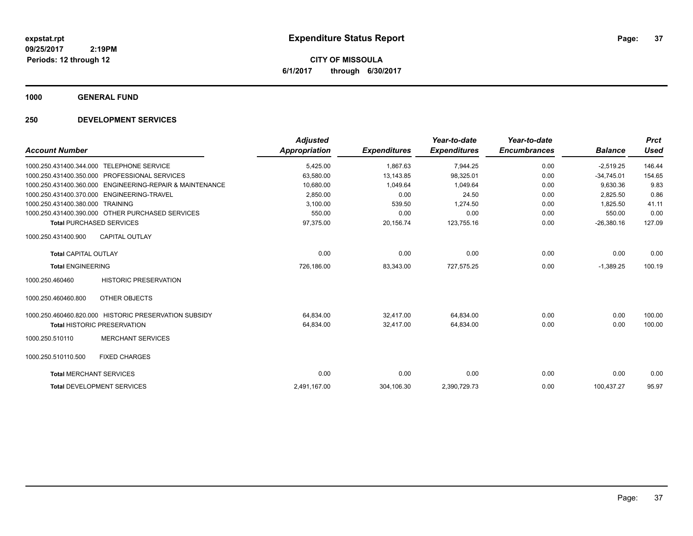**CITY OF MISSOULA 6/1/2017 through 6/30/2017**

**1000 GENERAL FUND**

### **250 DEVELOPMENT SERVICES**

| <b>Account Number</b>          |                                                       | <b>Adjusted</b><br>Appropriation | <b>Expenditures</b> | Year-to-date<br><b>Expenditures</b> | Year-to-date<br><b>Encumbrances</b> | <b>Balance</b> | <b>Prct</b><br><b>Used</b> |
|--------------------------------|-------------------------------------------------------|----------------------------------|---------------------|-------------------------------------|-------------------------------------|----------------|----------------------------|
| 1000.250.431400.344.000        | <b>TELEPHONE SERVICE</b>                              | 5,425.00                         | 1,867.63            | 7,944.25                            | 0.00                                | $-2,519.25$    | 146.44                     |
| 1000.250.431400.350.000        | PROFESSIONAL SERVICES                                 | 63,580.00                        | 13,143.85           | 98,325.01                           | 0.00                                | $-34,745.01$   | 154.65                     |
| 1000.250.431400.360.000        | <b>ENGINEERING-REPAIR &amp; MAINTENANCE</b>           | 10,680.00                        | 1.049.64            | 1.049.64                            | 0.00                                | 9,630.36       | 9.83                       |
| 1000.250.431400.370.000        | ENGINEERING-TRAVEL                                    | 2,850.00                         | 0.00                | 24.50                               | 0.00                                | 2,825.50       | 0.86                       |
| 1000.250.431400.380.000        | <b>TRAINING</b>                                       | 3,100.00                         | 539.50              | 1,274.50                            | 0.00                                | 1.825.50       | 41.11                      |
|                                | 1000.250.431400.390.000 OTHER PURCHASED SERVICES      | 550.00                           | 0.00                | 0.00                                | 0.00                                | 550.00         | 0.00                       |
|                                | <b>Total PURCHASED SERVICES</b>                       | 97,375.00                        | 20,156.74           | 123,755.16                          | 0.00                                | $-26,380.16$   | 127.09                     |
| 1000.250.431400.900            | <b>CAPITAL OUTLAY</b>                                 |                                  |                     |                                     |                                     |                |                            |
| <b>Total CAPITAL OUTLAY</b>    |                                                       | 0.00                             | 0.00                | 0.00                                | 0.00                                | 0.00           | 0.00                       |
| <b>Total ENGINEERING</b>       |                                                       | 726,186.00                       | 83,343.00           | 727,575.25                          | 0.00                                | $-1,389.25$    | 100.19                     |
| 1000.250.460460                | <b>HISTORIC PRESERVATION</b>                          |                                  |                     |                                     |                                     |                |                            |
| 1000.250.460460.800            | OTHER OBJECTS                                         |                                  |                     |                                     |                                     |                |                            |
|                                | 1000.250.460460.820.000 HISTORIC PRESERVATION SUBSIDY | 64.834.00                        | 32.417.00           | 64.834.00                           | 0.00                                | 0.00           | 100.00                     |
|                                | <b>Total HISTORIC PRESERVATION</b>                    | 64,834.00                        | 32,417.00           | 64,834.00                           | 0.00                                | 0.00           | 100.00                     |
| 1000.250.510110                | <b>MERCHANT SERVICES</b>                              |                                  |                     |                                     |                                     |                |                            |
| 1000.250.510110.500            | <b>FIXED CHARGES</b>                                  |                                  |                     |                                     |                                     |                |                            |
| <b>Total MERCHANT SERVICES</b> |                                                       | 0.00                             | 0.00                | 0.00                                | 0.00                                | 0.00           | 0.00                       |
|                                | <b>Total DEVELOPMENT SERVICES</b>                     | 2,491,167.00                     | 304,106.30          | 2,390,729.73                        | 0.00                                | 100,437.27     | 95.97                      |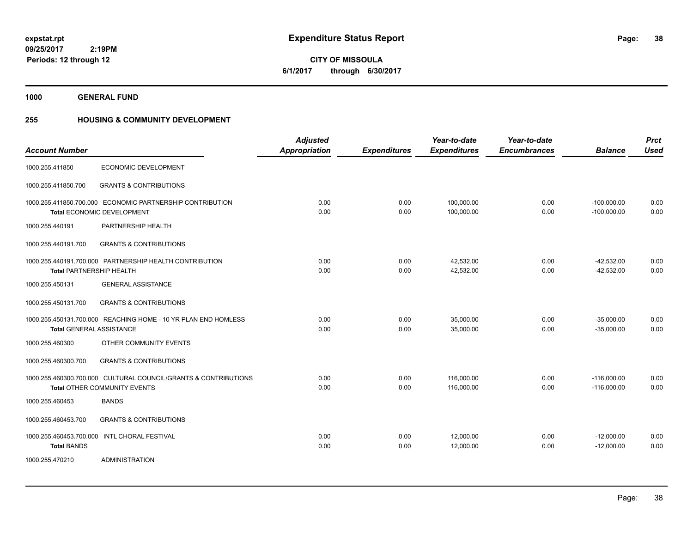**38**

**09/25/2017 2:19PM Periods: 12 through 12**

**CITY OF MISSOULA 6/1/2017 through 6/30/2017**

**1000 GENERAL FUND**

## **255 HOUSING & COMMUNITY DEVELOPMENT**

|                                 |                                                                 | <b>Adjusted</b>      |                     | Year-to-date        | Year-to-date        |                | <b>Prct</b> |
|---------------------------------|-----------------------------------------------------------------|----------------------|---------------------|---------------------|---------------------|----------------|-------------|
| <b>Account Number</b>           |                                                                 | <b>Appropriation</b> | <b>Expenditures</b> | <b>Expenditures</b> | <b>Encumbrances</b> | <b>Balance</b> | <b>Used</b> |
| 1000.255.411850                 | ECONOMIC DEVELOPMENT                                            |                      |                     |                     |                     |                |             |
| 1000.255.411850.700             | <b>GRANTS &amp; CONTRIBUTIONS</b>                               |                      |                     |                     |                     |                |             |
|                                 | 1000.255.411850.700.000 ECONOMIC PARTNERSHIP CONTRIBUTION       | 0.00                 | 0.00                | 100,000.00          | 0.00                | $-100,000.00$  | 0.00        |
|                                 | Total ECONOMIC DEVELOPMENT                                      | 0.00                 | 0.00                | 100,000.00          | 0.00                | $-100,000.00$  | 0.00        |
| 1000.255.440191                 | PARTNERSHIP HEALTH                                              |                      |                     |                     |                     |                |             |
| 1000.255.440191.700             | <b>GRANTS &amp; CONTRIBUTIONS</b>                               |                      |                     |                     |                     |                |             |
|                                 | 1000.255.440191.700.000 PARTNERSHIP HEALTH CONTRIBUTION         | 0.00                 | 0.00                | 42,532.00           | 0.00                | $-42,532.00$   | 0.00        |
| <b>Total PARTNERSHIP HEALTH</b> |                                                                 | 0.00                 | 0.00                | 42,532.00           | 0.00                | $-42,532.00$   | 0.00        |
| 1000.255.450131                 | <b>GENERAL ASSISTANCE</b>                                       |                      |                     |                     |                     |                |             |
| 1000.255.450131.700             | <b>GRANTS &amp; CONTRIBUTIONS</b>                               |                      |                     |                     |                     |                |             |
|                                 | 1000.255.450131.700.000 REACHING HOME - 10 YR PLAN END HOMLESS  | 0.00                 | 0.00                | 35,000.00           | 0.00                | $-35,000.00$   | 0.00        |
| <b>Total GENERAL ASSISTANCE</b> |                                                                 | 0.00                 | 0.00                | 35,000.00           | 0.00                | $-35,000.00$   | 0.00        |
| 1000.255.460300                 | OTHER COMMUNITY EVENTS                                          |                      |                     |                     |                     |                |             |
| 1000.255.460300.700             | <b>GRANTS &amp; CONTRIBUTIONS</b>                               |                      |                     |                     |                     |                |             |
|                                 | 1000.255.460300.700.000 CULTURAL COUNCIL/GRANTS & CONTRIBUTIONS | 0.00                 | 0.00                | 116.000.00          | 0.00                | $-116.000.00$  | 0.00        |
|                                 | Total OTHER COMMUNITY EVENTS                                    | 0.00                 | 0.00                | 116,000.00          | 0.00                | $-116,000.00$  | 0.00        |
| 1000.255.460453                 | <b>BANDS</b>                                                    |                      |                     |                     |                     |                |             |
| 1000.255.460453.700             | <b>GRANTS &amp; CONTRIBUTIONS</b>                               |                      |                     |                     |                     |                |             |
| 1000.255.460453.700.000         | <b>INTL CHORAL FESTIVAL</b>                                     | 0.00                 | 0.00                | 12,000.00           | 0.00                | $-12,000.00$   | 0.00        |
| <b>Total BANDS</b>              |                                                                 | 0.00                 | 0.00                | 12,000.00           | 0.00                | $-12,000.00$   | 0.00        |
| 1000.255.470210                 | <b>ADMINISTRATION</b>                                           |                      |                     |                     |                     |                |             |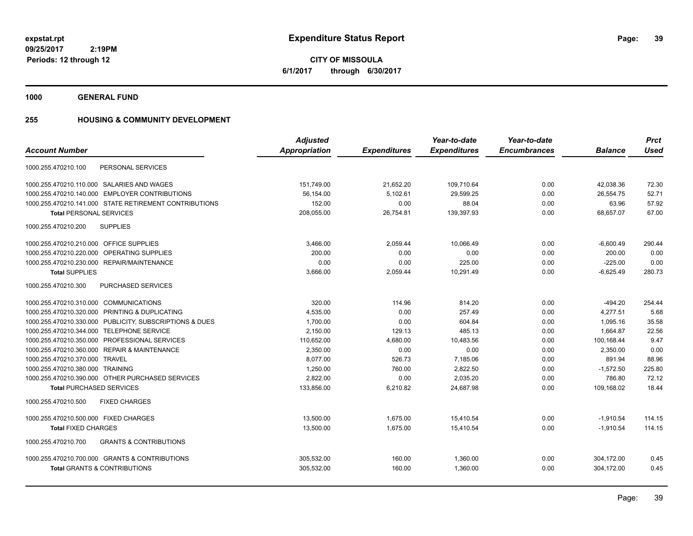**39**

**CITY OF MISSOULA 6/1/2017 through 6/30/2017**

**1000 GENERAL FUND**

## **255 HOUSING & COMMUNITY DEVELOPMENT**

| <b>Adjusted</b>      |                     | Year-to-date        | Year-to-date        |                | <b>Prct</b> |
|----------------------|---------------------|---------------------|---------------------|----------------|-------------|
| <b>Appropriation</b> | <b>Expenditures</b> | <b>Expenditures</b> | <b>Encumbrances</b> | <b>Balance</b> | <b>Used</b> |
|                      |                     |                     |                     |                |             |
| 151,749.00           | 21,652.20           | 109,710.64          | 0.00                | 42,038.36      | 72.30       |
| 56,154.00            | 5,102.61            | 29,599.25           | 0.00                | 26,554.75      | 52.71       |
| 152.00               | 0.00                | 88.04               | 0.00                | 63.96          | 57.92       |
| 208,055.00           | 26,754.81           | 139,397.93          | 0.00                | 68,657.07      | 67.00       |
|                      |                     |                     |                     |                |             |
| 3,466.00             | 2,059.44            | 10,066.49           | 0.00                | $-6,600.49$    | 290.44      |
| 200.00               | 0.00                | 0.00                | 0.00                | 200.00         | 0.00        |
| 0.00                 | 0.00                | 225.00              | 0.00                | $-225.00$      | 0.00        |
| 3,666.00             | 2,059.44            | 10,291.49           | 0.00                | $-6,625.49$    | 280.73      |
|                      |                     |                     |                     |                |             |
| 320.00               | 114.96              | 814.20              | 0.00                | $-494.20$      | 254.44      |
| 4.535.00             | 0.00                | 257.49              | 0.00                | 4.277.51       | 5.68        |
| 1,700.00             | 0.00                | 604.84              | 0.00                | 1.095.16       | 35.58       |
| 2,150.00             | 129.13              | 485.13              | 0.00                | 1,664.87       | 22.56       |
| 110,652.00           | 4,680.00            | 10,483.56           | 0.00                | 100,168.44     | 9.47        |
| 2,350.00             | 0.00                | 0.00                | 0.00                | 2,350.00       | 0.00        |
| 8,077.00             | 526.73              | 7,185.06            | 0.00                | 891.94         | 88.96       |
| 1,250.00             | 760.00              | 2,822.50            | 0.00                | $-1,572.50$    | 225.80      |
| 2,822.00             | 0.00                | 2,035.20            | 0.00                | 786.80         | 72.12       |
| 133,856.00           | 6,210.82            | 24,687.98           | 0.00                | 109,168.02     | 18.44       |
|                      |                     |                     |                     |                |             |
| 13,500.00            | 1,675.00            | 15,410.54           | 0.00                | $-1,910.54$    | 114.15      |
| 13,500.00            | 1,675.00            | 15.410.54           | 0.00                | $-1,910.54$    | 114.15      |
|                      |                     |                     |                     |                |             |
| 305,532.00           | 160.00              | 1,360.00            | 0.00                | 304,172.00     | 0.45        |
| 305,532.00           | 160.00              | 1,360.00            | 0.00                | 304,172.00     | 0.45        |
|                      |                     |                     |                     |                |             |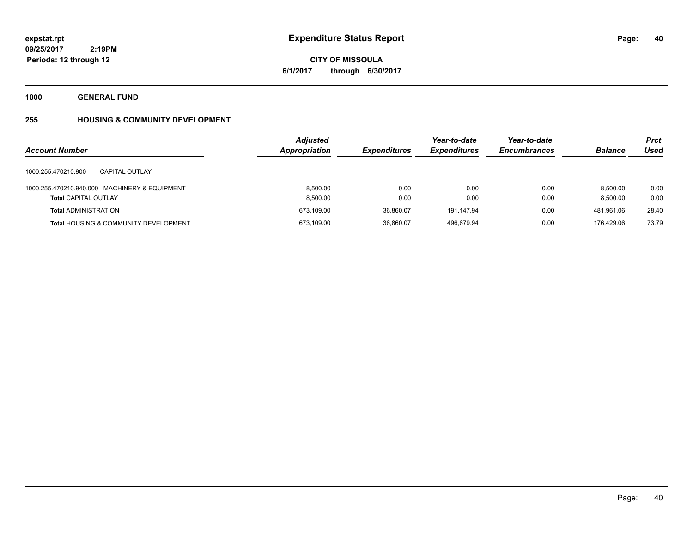**40**

**09/25/2017 2:19PM Periods: 12 through 12**

**CITY OF MISSOULA 6/1/2017 through 6/30/2017**

**1000 GENERAL FUND**

# **255 HOUSING & COMMUNITY DEVELOPMENT**

| <b>Account Number</b>                                                        | <b>Adjusted</b><br><b>Appropriation</b> | <b>Expenditures</b> | Year-to-date<br><b>Expenditures</b> | Year-to-date<br><b>Encumbrances</b> | <b>Balance</b>       | <b>Prct</b><br>Used |
|------------------------------------------------------------------------------|-----------------------------------------|---------------------|-------------------------------------|-------------------------------------|----------------------|---------------------|
| 1000.255.470210.900<br>CAPITAL OUTLAY                                        |                                         |                     |                                     |                                     |                      |                     |
| 1000.255.470210.940.000 MACHINERY & EQUIPMENT<br><b>Total CAPITAL OUTLAY</b> | 8.500.00<br>8.500.00                    | 0.00<br>0.00        | 0.00<br>0.00                        | 0.00<br>0.00                        | 8.500.00<br>8.500.00 | 0.00<br>0.00        |
| <b>Total ADMINISTRATION</b>                                                  | 673,109.00                              | 36.860.07           | 191,147.94                          | 0.00                                | 481,961.06           | 28.40               |
| <b>Total HOUSING &amp; COMMUNITY DEVELOPMENT</b>                             | 673,109.00                              | 36,860.07           | 496.679.94                          | 0.00                                | 176.429.06           | 73.79               |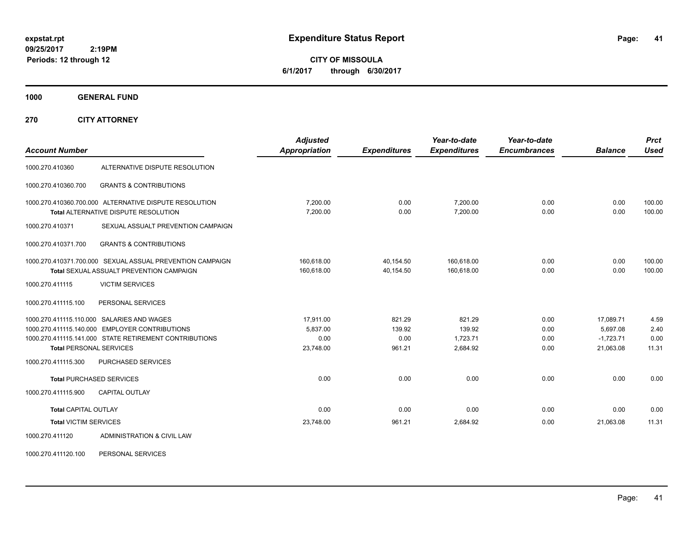**CITY OF MISSOULA 6/1/2017 through 6/30/2017**

**1000 GENERAL FUND**

**270 CITY ATTORNEY**

| <b>Account Number</b>                    |                                                           | <b>Adjusted</b><br><b>Appropriation</b> | <b>Expenditures</b> | Year-to-date<br><b>Expenditures</b> | Year-to-date<br><b>Encumbrances</b> | <b>Balance</b> | <b>Prct</b><br><b>Used</b> |
|------------------------------------------|-----------------------------------------------------------|-----------------------------------------|---------------------|-------------------------------------|-------------------------------------|----------------|----------------------------|
|                                          |                                                           |                                         |                     |                                     |                                     |                |                            |
| 1000.270.410360                          | ALTERNATIVE DISPUTE RESOLUTION                            |                                         |                     |                                     |                                     |                |                            |
| 1000.270.410360.700                      | <b>GRANTS &amp; CONTRIBUTIONS</b>                         |                                         |                     |                                     |                                     |                |                            |
|                                          | 1000.270.410360.700.000 ALTERNATIVE DISPUTE RESOLUTION    | 7,200.00                                | 0.00                | 7.200.00                            | 0.00                                | 0.00           | 100.00                     |
|                                          | <b>Total ALTERNATIVE DISPUTE RESOLUTION</b>               | 7,200.00                                | 0.00                | 7,200.00                            | 0.00                                | 0.00           | 100.00                     |
| 1000.270.410371                          | SEXUAL ASSUALT PREVENTION CAMPAIGN                        |                                         |                     |                                     |                                     |                |                            |
| 1000.270.410371.700                      | <b>GRANTS &amp; CONTRIBUTIONS</b>                         |                                         |                     |                                     |                                     |                |                            |
|                                          | 1000.270.410371.700.000 SEXUAL ASSUAL PREVENTION CAMPAIGN | 160,618.00                              | 40,154.50           | 160.618.00                          | 0.00                                | 0.00           | 100.00                     |
| Total SEXUAL ASSUALT PREVENTION CAMPAIGN |                                                           | 160,618.00                              | 40,154.50           | 160,618.00                          | 0.00                                | 0.00           | 100.00                     |
| 1000.270.411115                          | <b>VICTIM SERVICES</b>                                    |                                         |                     |                                     |                                     |                |                            |
| 1000.270.411115.100                      | PERSONAL SERVICES                                         |                                         |                     |                                     |                                     |                |                            |
|                                          | 1000.270.411115.110.000 SALARIES AND WAGES                | 17,911.00                               | 821.29              | 821.29                              | 0.00                                | 17,089.71      | 4.59                       |
|                                          | 1000.270.411115.140.000 EMPLOYER CONTRIBUTIONS            | 5,837.00                                | 139.92              | 139.92                              | 0.00                                | 5.697.08       | 2.40                       |
|                                          | 1000.270.411115.141.000 STATE RETIREMENT CONTRIBUTIONS    | 0.00                                    | 0.00                | 1,723.71                            | 0.00                                | $-1,723.71$    | 0.00                       |
| <b>Total PERSONAL SERVICES</b>           |                                                           | 23,748.00                               | 961.21              | 2,684.92                            | 0.00                                | 21,063.08      | 11.31                      |
| 1000.270.411115.300                      | <b>PURCHASED SERVICES</b>                                 |                                         |                     |                                     |                                     |                |                            |
|                                          | <b>Total PURCHASED SERVICES</b>                           | 0.00                                    | 0.00                | 0.00                                | 0.00                                | 0.00           | 0.00                       |
| 1000.270.411115.900                      | <b>CAPITAL OUTLAY</b>                                     |                                         |                     |                                     |                                     |                |                            |
| <b>Total CAPITAL OUTLAY</b>              |                                                           | 0.00                                    | 0.00                | 0.00                                | 0.00                                | 0.00           | 0.00                       |
| <b>Total VICTIM SERVICES</b>             |                                                           | 23,748.00                               | 961.21              | 2,684.92                            | 0.00                                | 21,063.08      | 11.31                      |
| 1000.270.411120                          | ADMINISTRATION & CIVIL LAW                                |                                         |                     |                                     |                                     |                |                            |

1000.270.411120.100 PERSONAL SERVICES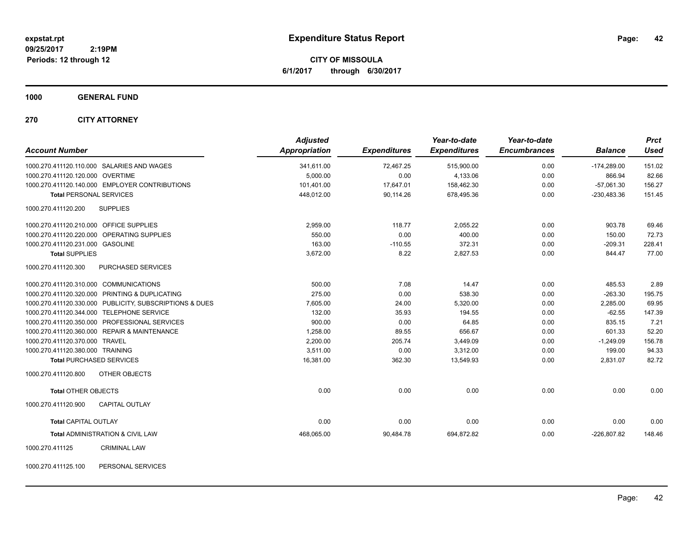**CITY OF MISSOULA 6/1/2017 through 6/30/2017**

### **1000 GENERAL FUND**

### **270 CITY ATTORNEY**

| <b>Account Number</b>                                   | <b>Adjusted</b><br>Appropriation | <b>Expenditures</b> | Year-to-date<br><b>Expenditures</b> | Year-to-date<br><b>Encumbrances</b> | <b>Balance</b> | <b>Prct</b><br><b>Used</b> |
|---------------------------------------------------------|----------------------------------|---------------------|-------------------------------------|-------------------------------------|----------------|----------------------------|
| 1000.270.411120.110.000 SALARIES AND WAGES              | 341,611.00                       | 72,467.25           | 515,900.00                          | 0.00                                | $-174,289.00$  | 151.02                     |
| 1000.270.411120.120.000 OVERTIME                        | 5,000.00                         | 0.00                | 4,133.06                            | 0.00                                | 866.94         | 82.66                      |
| 1000.270.411120.140.000 EMPLOYER CONTRIBUTIONS          | 101,401.00                       | 17,647.01           | 158,462.30                          | 0.00                                | $-57,061.30$   | 156.27                     |
| <b>Total PERSONAL SERVICES</b>                          | 448.012.00                       | 90.114.26           | 678.495.36                          | 0.00                                | $-230,483.36$  | 151.45                     |
| 1000.270.411120.200<br><b>SUPPLIES</b>                  |                                  |                     |                                     |                                     |                |                            |
| 1000.270.411120.210.000 OFFICE SUPPLIES                 | 2,959.00                         | 118.77              | 2,055.22                            | 0.00                                | 903.78         | 69.46                      |
| 1000.270.411120.220.000 OPERATING SUPPLIES              | 550.00                           | 0.00                | 400.00                              | 0.00                                | 150.00         | 72.73                      |
| 1000.270.411120.231.000 GASOLINE                        | 163.00                           | $-110.55$           | 372.31                              | 0.00                                | $-209.31$      | 228.41                     |
| <b>Total SUPPLIES</b>                                   | 3,672.00                         | 8.22                | 2,827.53                            | 0.00                                | 844.47         | 77.00                      |
| 1000.270.411120.300<br><b>PURCHASED SERVICES</b>        |                                  |                     |                                     |                                     |                |                            |
| 1000.270.411120.310.000 COMMUNICATIONS                  | 500.00                           | 7.08                | 14.47                               | 0.00                                | 485.53         | 2.89                       |
| 1000.270.411120.320.000 PRINTING & DUPLICATING          | 275.00                           | 0.00                | 538.30                              | 0.00                                | $-263.30$      | 195.75                     |
| 1000.270.411120.330.000 PUBLICITY, SUBSCRIPTIONS & DUES | 7,605.00                         | 24.00               | 5,320.00                            | 0.00                                | 2,285.00       | 69.95                      |
| 1000.270.411120.344.000 TELEPHONE SERVICE               | 132.00                           | 35.93               | 194.55                              | 0.00                                | $-62.55$       | 147.39                     |
| 1000.270.411120.350.000 PROFESSIONAL SERVICES           | 900.00                           | 0.00                | 64.85                               | 0.00                                | 835.15         | 7.21                       |
| 1000.270.411120.360.000 REPAIR & MAINTENANCE            | 1,258.00                         | 89.55               | 656.67                              | 0.00                                | 601.33         | 52.20                      |
| 1000.270.411120.370.000 TRAVEL                          | 2,200.00                         | 205.74              | 3,449.09                            | 0.00                                | $-1,249.09$    | 156.78                     |
| 1000.270.411120.380.000 TRAINING                        | 3,511.00                         | 0.00                | 3,312.00                            | 0.00                                | 199.00         | 94.33                      |
| <b>Total PURCHASED SERVICES</b>                         | 16,381.00                        | 362.30              | 13,549.93                           | 0.00                                | 2,831.07       | 82.72                      |
| 1000.270.411120.800<br>OTHER OBJECTS                    |                                  |                     |                                     |                                     |                |                            |
| <b>Total OTHER OBJECTS</b>                              | 0.00                             | 0.00                | 0.00                                | 0.00                                | 0.00           | 0.00                       |
| 1000.270.411120.900<br><b>CAPITAL OUTLAY</b>            |                                  |                     |                                     |                                     |                |                            |
| <b>Total CAPITAL OUTLAY</b>                             | 0.00                             | 0.00                | 0.00                                | 0.00                                | 0.00           | 0.00                       |
| <b>Total ADMINISTRATION &amp; CIVIL LAW</b>             | 468,065.00                       | 90,484.78           | 694,872.82                          | 0.00                                | $-226,807.82$  | 148.46                     |
| <b>CRIMINAL LAW</b><br>1000.270.411125                  |                                  |                     |                                     |                                     |                |                            |

1000.270.411125.100 PERSONAL SERVICES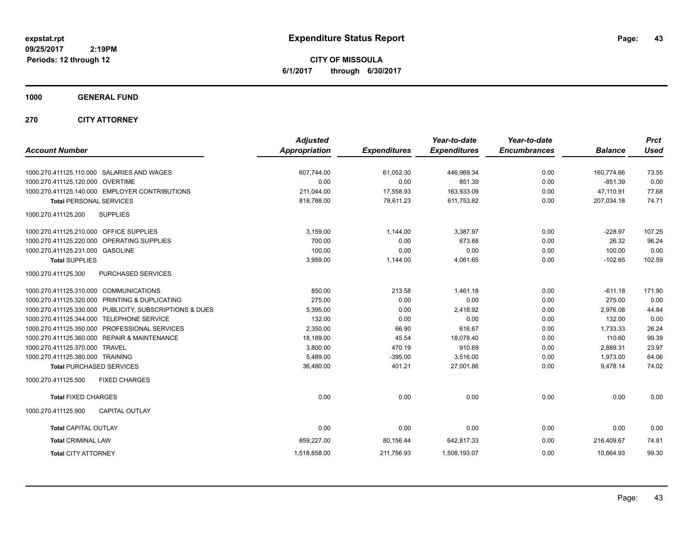**CITY OF MISSOULA 6/1/2017 through 6/30/2017**

**1000 GENERAL FUND**

**270 CITY ATTORNEY**

| <b>Account Number</b>                                      | <b>Adjusted</b><br><b>Appropriation</b> | <b>Expenditures</b> | Year-to-date<br><b>Expenditures</b> | Year-to-date<br><b>Encumbrances</b> | <b>Balance</b> | <b>Prct</b><br><b>Used</b> |
|------------------------------------------------------------|-----------------------------------------|---------------------|-------------------------------------|-------------------------------------|----------------|----------------------------|
|                                                            |                                         |                     |                                     |                                     |                |                            |
| 1000.270.411125.110.000 SALARIES AND WAGES                 | 607,744.00                              | 61,052.30           | 446,969.34                          | 0.00                                | 160,774.66     | 73.55                      |
| 1000.270.411125.120.000 OVERTIME                           | 0.00                                    | 0.00                | 851.39                              | 0.00                                | $-851.39$      | 0.00                       |
| 1000.270.411125.140.000 EMPLOYER CONTRIBUTIONS             | 211,044.00                              | 17,558.93           | 163,933.09                          | 0.00                                | 47,110.91      | 77.68                      |
| <b>Total PERSONAL SERVICES</b>                             | 818,788.00                              | 78,611.23           | 611,753.82                          | 0.00                                | 207,034.18     | 74.71                      |
| <b>SUPPLIES</b><br>1000.270.411125.200                     |                                         |                     |                                     |                                     |                |                            |
| 1000.270.411125.210.000 OFFICE SUPPLIES                    | 3,159.00                                | 1,144.00            | 3,387.97                            | 0.00                                | $-228.97$      | 107.25                     |
| 1000.270.411125.220.000 OPERATING SUPPLIES                 | 700.00                                  | 0.00                | 673.68                              | 0.00                                | 26.32          | 96.24                      |
| 1000.270.411125.231.000 GASOLINE                           | 100.00                                  | 0.00                | 0.00                                | 0.00                                | 100.00         | 0.00                       |
| <b>Total SUPPLIES</b>                                      | 3,959.00                                | 1,144.00            | 4,061.65                            | 0.00                                | $-102.65$      | 102.59                     |
| 1000.270.411125.300<br>PURCHASED SERVICES                  |                                         |                     |                                     |                                     |                |                            |
| 1000.270.411125.310.000 COMMUNICATIONS                     | 850.00                                  | 213.58              | 1,461.18                            | 0.00                                | $-611.18$      | 171.90                     |
| 1000.270.411125.320.000 PRINTING & DUPLICATING             | 275.00                                  | 0.00                | 0.00                                | 0.00                                | 275.00         | 0.00                       |
| 1000.270.411125.330.000 PUBLICITY, SUBSCRIPTIONS & DUES    | 5,395.00                                | 0.00                | 2,418.92                            | 0.00                                | 2.976.08       | 44.84                      |
| 1000.270.411125.344.000<br><b>TELEPHONE SERVICE</b>        | 132.00                                  | 0.00                | 0.00                                | 0.00                                | 132.00         | 0.00                       |
| 1000.270.411125.350.000<br><b>PROFESSIONAL SERVICES</b>    | 2,350.00                                | 66.90               | 616.67                              | 0.00                                | 1,733.33       | 26.24                      |
| <b>REPAIR &amp; MAINTENANCE</b><br>1000.270.411125.360.000 | 18,189.00                               | 45.54               | 18,078.40                           | 0.00                                | 110.60         | 99.39                      |
| 1000.270.411125.370.000 TRAVEL                             | 3,800.00                                | 470.19              | 910.69                              | 0.00                                | 2,889.31       | 23.97                      |
| 1000.270.411125.380.000 TRAINING                           | 5,489.00                                | $-395.00$           | 3,516.00                            | 0.00                                | 1,973.00       | 64.06                      |
| <b>Total PURCHASED SERVICES</b>                            | 36,480.00                               | 401.21              | 27,001.86                           | 0.00                                | 9,478.14       | 74.02                      |
| 1000.270.411125.500<br><b>FIXED CHARGES</b>                |                                         |                     |                                     |                                     |                |                            |
| <b>Total FIXED CHARGES</b>                                 | 0.00                                    | 0.00                | 0.00                                | 0.00                                | 0.00           | 0.00                       |
| 1000.270.411125.900<br><b>CAPITAL OUTLAY</b>               |                                         |                     |                                     |                                     |                |                            |
| <b>Total CAPITAL OUTLAY</b>                                | 0.00                                    | 0.00                | 0.00                                | 0.00                                | 0.00           | 0.00                       |
| <b>Total CRIMINAL LAW</b>                                  | 859,227.00                              | 80,156.44           | 642,817.33                          | 0.00                                | 216,409.67     | 74.81                      |
| <b>Total CITY ATTORNEY</b>                                 | 1,518,858.00                            | 211,756.93          | 1,508,193.07                        | 0.00                                | 10,664.93      | 99.30                      |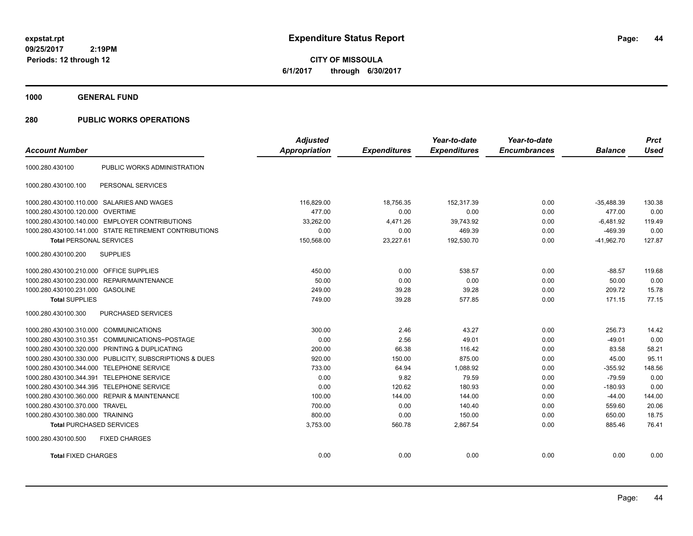**CITY OF MISSOULA 6/1/2017 through 6/30/2017**

**1000 GENERAL FUND**

## **280 PUBLIC WORKS OPERATIONS**

|                                         |                                                         | <b>Adjusted</b>      |                     | Year-to-date        | Year-to-date        |                | <b>Prct</b> |
|-----------------------------------------|---------------------------------------------------------|----------------------|---------------------|---------------------|---------------------|----------------|-------------|
| <b>Account Number</b>                   |                                                         | <b>Appropriation</b> | <b>Expenditures</b> | <b>Expenditures</b> | <b>Encumbrances</b> | <b>Balance</b> | <b>Used</b> |
| 1000.280.430100                         | PUBLIC WORKS ADMINISTRATION                             |                      |                     |                     |                     |                |             |
| 1000.280.430100.100                     | PERSONAL SERVICES                                       |                      |                     |                     |                     |                |             |
|                                         | 1000.280.430100.110.000 SALARIES AND WAGES              | 116,829.00           | 18,756.35           | 152,317.39          | 0.00                | $-35,488.39$   | 130.38      |
| 1000.280.430100.120.000 OVERTIME        |                                                         | 477.00               | 0.00                | 0.00                | 0.00                | 477.00         | 0.00        |
|                                         | 1000.280.430100.140.000 EMPLOYER CONTRIBUTIONS          | 33,262.00            | 4,471.26            | 39,743.92           | 0.00                | $-6,481.92$    | 119.49      |
|                                         | 1000.280.430100.141.000 STATE RETIREMENT CONTRIBUTIONS  | 0.00                 | 0.00                | 469.39              | 0.00                | $-469.39$      | 0.00        |
| <b>Total PERSONAL SERVICES</b>          |                                                         | 150,568.00           | 23,227.61           | 192,530.70          | 0.00                | $-41.962.70$   | 127.87      |
| 1000.280.430100.200                     | <b>SUPPLIES</b>                                         |                      |                     |                     |                     |                |             |
| 1000.280.430100.210.000 OFFICE SUPPLIES |                                                         | 450.00               | 0.00                | 538.57              | 0.00                | $-88.57$       | 119.68      |
| 1000.280.430100.230.000                 | REPAIR/MAINTENANCE                                      | 50.00                | 0.00                | 0.00                | 0.00                | 50.00          | 0.00        |
| 1000.280.430100.231.000 GASOLINE        |                                                         | 249.00               | 39.28               | 39.28               | 0.00                | 209.72         | 15.78       |
| <b>Total SUPPLIES</b>                   |                                                         | 749.00               | 39.28               | 577.85              | 0.00                | 171.15         | 77.15       |
| 1000.280.430100.300                     | PURCHASED SERVICES                                      |                      |                     |                     |                     |                |             |
| 1000.280.430100.310.000 COMMUNICATIONS  |                                                         | 300.00               | 2.46                | 43.27               | 0.00                | 256.73         | 14.42       |
| 1000.280.430100.310.351                 | COMMUNICATIONS~POSTAGE                                  | 0.00                 | 2.56                | 49.01               | 0.00                | $-49.01$       | 0.00        |
| 1000.280.430100.320.000                 | PRINTING & DUPLICATING                                  | 200.00               | 66.38               | 116.42              | 0.00                | 83.58          | 58.21       |
|                                         | 1000.280.430100.330.000 PUBLICITY, SUBSCRIPTIONS & DUES | 920.00               | 150.00              | 875.00              | 0.00                | 45.00          | 95.11       |
|                                         | 1000.280.430100.344.000 TELEPHONE SERVICE               | 733.00               | 64.94               | 1,088.92            | 0.00                | $-355.92$      | 148.56      |
| 1000.280.430100.344.391                 | <b>TELEPHONE SERVICE</b>                                | 0.00                 | 9.82                | 79.59               | 0.00                | $-79.59$       | 0.00        |
| 1000.280.430100.344.395                 | <b>TELEPHONE SERVICE</b>                                | 0.00                 | 120.62              | 180.93              | 0.00                | $-180.93$      | 0.00        |
|                                         | 1000.280.430100.360.000 REPAIR & MAINTENANCE            | 100.00               | 144.00              | 144.00              | 0.00                | $-44.00$       | 144.00      |
| 1000.280.430100.370.000 TRAVEL          |                                                         | 700.00               | 0.00                | 140.40              | 0.00                | 559.60         | 20.06       |
| 1000.280.430100.380.000 TRAINING        |                                                         | 800.00               | 0.00                | 150.00              | 0.00                | 650.00         | 18.75       |
| <b>Total PURCHASED SERVICES</b>         |                                                         | 3,753.00             | 560.78              | 2,867.54            | 0.00                | 885.46         | 76.41       |
| 1000.280.430100.500                     | <b>FIXED CHARGES</b>                                    |                      |                     |                     |                     |                |             |
| <b>Total FIXED CHARGES</b>              |                                                         | 0.00                 | 0.00                | 0.00                | 0.00                | 0.00           | 0.00        |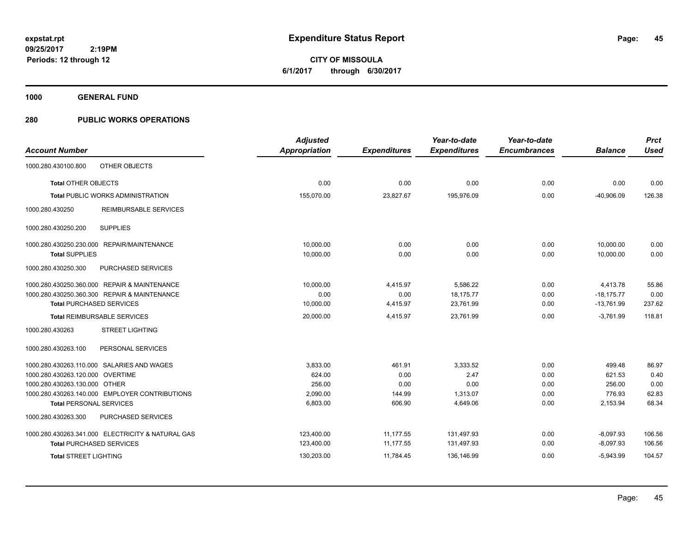**45**

**09/25/2017 2:19PM Periods: 12 through 12**

**CITY OF MISSOULA 6/1/2017 through 6/30/2017**

**1000 GENERAL FUND**

## **280 PUBLIC WORKS OPERATIONS**

| <b>Account Number</b>                             | <b>Adjusted</b><br><b>Appropriation</b> | <b>Expenditures</b> | Year-to-date<br><b>Expenditures</b> | Year-to-date<br><b>Encumbrances</b> | <b>Balance</b> | <b>Prct</b><br><b>Used</b> |
|---------------------------------------------------|-----------------------------------------|---------------------|-------------------------------------|-------------------------------------|----------------|----------------------------|
|                                                   |                                         |                     |                                     |                                     |                |                            |
| OTHER OBJECTS<br>1000.280.430100.800              |                                         |                     |                                     |                                     |                |                            |
| <b>Total OTHER OBJECTS</b>                        | 0.00                                    | 0.00                | 0.00                                | 0.00                                | 0.00           | 0.00                       |
| <b>Total PUBLIC WORKS ADMINISTRATION</b>          | 155,070.00                              | 23,827.67           | 195,976.09                          | 0.00                                | $-40,906.09$   | 126.38                     |
| <b>REIMBURSABLE SERVICES</b><br>1000.280.430250   |                                         |                     |                                     |                                     |                |                            |
| <b>SUPPLIES</b><br>1000.280.430250.200            |                                         |                     |                                     |                                     |                |                            |
| 1000.280.430250.230.000 REPAIR/MAINTENANCE        | 10,000.00                               | 0.00                | 0.00                                | 0.00                                | 10,000.00      | 0.00                       |
| <b>Total SUPPLIES</b>                             | 10,000.00                               | 0.00                | 0.00                                | 0.00                                | 10,000.00      | 0.00                       |
| 1000.280.430250.300<br>PURCHASED SERVICES         |                                         |                     |                                     |                                     |                |                            |
| 1000.280.430250.360.000 REPAIR & MAINTENANCE      | 10,000.00                               | 4,415.97            | 5,586.22                            | 0.00                                | 4,413.78       | 55.86                      |
| 1000.280.430250.360.300 REPAIR & MAINTENANCE      | 0.00                                    | 0.00                | 18,175.77                           | 0.00                                | $-18,175.77$   | 0.00                       |
| <b>Total PURCHASED SERVICES</b>                   | 10,000.00                               | 4,415.97            | 23,761.99                           | 0.00                                | $-13,761.99$   | 237.62                     |
| <b>Total REIMBURSABLE SERVICES</b>                | 20,000.00                               | 4,415.97            | 23.761.99                           | 0.00                                | $-3.761.99$    | 118.81                     |
| <b>STREET LIGHTING</b><br>1000.280.430263         |                                         |                     |                                     |                                     |                |                            |
| 1000.280.430263.100<br>PERSONAL SERVICES          |                                         |                     |                                     |                                     |                |                            |
| 1000.280.430263.110.000 SALARIES AND WAGES        | 3,833.00                                | 461.91              | 3.333.52                            | 0.00                                | 499.48         | 86.97                      |
| 1000.280.430263.120.000 OVERTIME                  | 624.00                                  | 0.00                | 2.47                                | 0.00                                | 621.53         | 0.40                       |
| 1000.280.430263.130.000 OTHER                     | 256.00                                  | 0.00                | 0.00                                | 0.00                                | 256.00         | 0.00                       |
| 1000.280.430263.140.000 EMPLOYER CONTRIBUTIONS    | 2,090.00                                | 144.99              | 1,313.07                            | 0.00                                | 776.93         | 62.83                      |
| <b>Total PERSONAL SERVICES</b>                    | 6,803.00                                | 606.90              | 4,649.06                            | 0.00                                | 2,153.94       | 68.34                      |
| 1000.280.430263.300<br>PURCHASED SERVICES         |                                         |                     |                                     |                                     |                |                            |
| 1000.280.430263.341.000 ELECTRICITY & NATURAL GAS | 123,400.00                              | 11,177.55           | 131,497.93                          | 0.00                                | $-8,097.93$    | 106.56                     |
| <b>Total PURCHASED SERVICES</b>                   | 123,400.00                              | 11,177.55           | 131,497.93                          | 0.00                                | $-8,097.93$    | 106.56                     |
| <b>Total STREET LIGHTING</b>                      | 130,203.00                              | 11,784.45           | 136,146.99                          | 0.00                                | $-5,943.99$    | 104.57                     |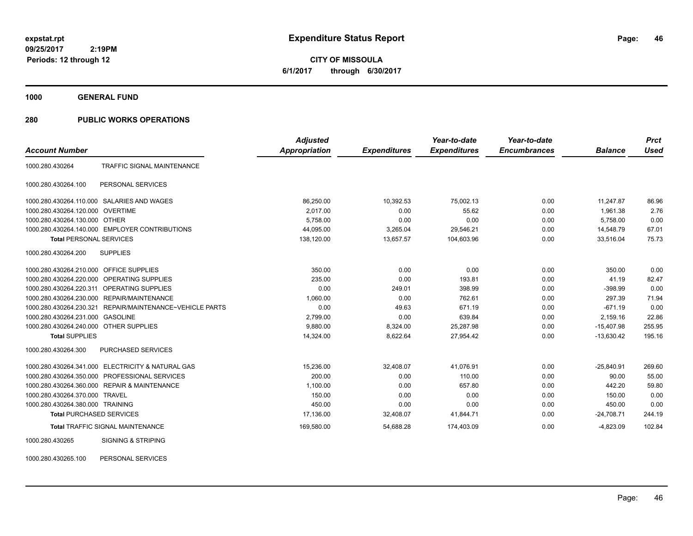**CITY OF MISSOULA 6/1/2017 through 6/30/2017**

**1000 GENERAL FUND**

### **280 PUBLIC WORKS OPERATIONS**

|                                         |                                                   | <b>Adjusted</b>      |                     | Year-to-date        | Year-to-date        |                | <b>Prct</b> |
|-----------------------------------------|---------------------------------------------------|----------------------|---------------------|---------------------|---------------------|----------------|-------------|
| <b>Account Number</b>                   |                                                   | <b>Appropriation</b> | <b>Expenditures</b> | <b>Expenditures</b> | <b>Encumbrances</b> | <b>Balance</b> | <b>Used</b> |
| 1000.280.430264                         | <b>TRAFFIC SIGNAL MAINTENANCE</b>                 |                      |                     |                     |                     |                |             |
| 1000.280.430264.100                     | PERSONAL SERVICES                                 |                      |                     |                     |                     |                |             |
|                                         | 1000.280.430264.110.000 SALARIES AND WAGES        | 86,250.00            | 10,392.53           | 75,002.13           | 0.00                | 11,247.87      | 86.96       |
| 1000.280.430264.120.000                 | <b>OVERTIME</b>                                   | 2,017.00             | 0.00                | 55.62               | 0.00                | 1,961.38       | 2.76        |
| 1000.280.430264.130.000 OTHER           |                                                   | 5,758.00             | 0.00                | 0.00                | 0.00                | 5,758.00       | 0.00        |
|                                         | 1000.280.430264.140.000 EMPLOYER CONTRIBUTIONS    | 44,095.00            | 3,265.04            | 29,546.21           | 0.00                | 14,548.79      | 67.01       |
| <b>Total PERSONAL SERVICES</b>          |                                                   | 138,120.00           | 13,657.57           | 104,603.96          | 0.00                | 33,516.04      | 75.73       |
| 1000.280.430264.200                     | <b>SUPPLIES</b>                                   |                      |                     |                     |                     |                |             |
| 1000.280.430264.210.000 OFFICE SUPPLIES |                                                   | 350.00               | 0.00                | 0.00                | 0.00                | 350.00         | 0.00        |
| 1000.280.430264.220.000                 | <b>OPERATING SUPPLIES</b>                         | 235.00               | 0.00                | 193.81              | 0.00                | 41.19          | 82.47       |
| 1000.280.430264.220.311                 | <b>OPERATING SUPPLIES</b>                         | 0.00                 | 249.01              | 398.99              | 0.00                | $-398.99$      | 0.00        |
| 1000.280.430264.230.000                 | REPAIR/MAINTENANCE                                | 1,060.00             | 0.00                | 762.61              | 0.00                | 297.39         | 71.94       |
| 1000.280.430264.230.321                 | REPAIR/MAINTENANCE~VEHICLE PARTS                  | 0.00                 | 49.63               | 671.19              | 0.00                | $-671.19$      | 0.00        |
| 1000.280.430264.231.000                 | <b>GASOLINE</b>                                   | 2,799.00             | 0.00                | 639.84              | 0.00                | 2,159.16       | 22.86       |
| 1000.280.430264.240.000 OTHER SUPPLIES  |                                                   | 9,880.00             | 8,324.00            | 25,287.98           | 0.00                | $-15,407.98$   | 255.95      |
| <b>Total SUPPLIES</b>                   |                                                   | 14,324.00            | 8,622.64            | 27,954.42           | 0.00                | $-13.630.42$   | 195.16      |
| 1000.280.430264.300                     | PURCHASED SERVICES                                |                      |                     |                     |                     |                |             |
|                                         | 1000.280.430264.341.000 ELECTRICITY & NATURAL GAS | 15,236.00            | 32,408.07           | 41,076.91           | 0.00                | $-25,840.91$   | 269.60      |
| 1000.280.430264.350.000                 | PROFESSIONAL SERVICES                             | 200.00               | 0.00                | 110.00              | 0.00                | 90.00          | 55.00       |
| 1000.280.430264.360.000                 | <b>REPAIR &amp; MAINTENANCE</b>                   | 1,100.00             | 0.00                | 657.80              | 0.00                | 442.20         | 59.80       |
| 1000.280.430264.370.000                 | <b>TRAVEL</b>                                     | 150.00               | 0.00                | 0.00                | 0.00                | 150.00         | 0.00        |
| 1000.280.430264.380.000 TRAINING        |                                                   | 450.00               | 0.00                | 0.00                | 0.00                | 450.00         | 0.00        |
| <b>Total PURCHASED SERVICES</b>         |                                                   | 17,136.00            | 32,408.07           | 41,844.71           | 0.00                | $-24,708.71$   | 244.19      |
|                                         | <b>Total TRAFFIC SIGNAL MAINTENANCE</b>           | 169,580.00           | 54,688.28           | 174,403.09          | 0.00                | $-4,823.09$    | 102.84      |
| 1000.280.430265                         | <b>SIGNING &amp; STRIPING</b>                     |                      |                     |                     |                     |                |             |

1000.280.430265.100 PERSONAL SERVICES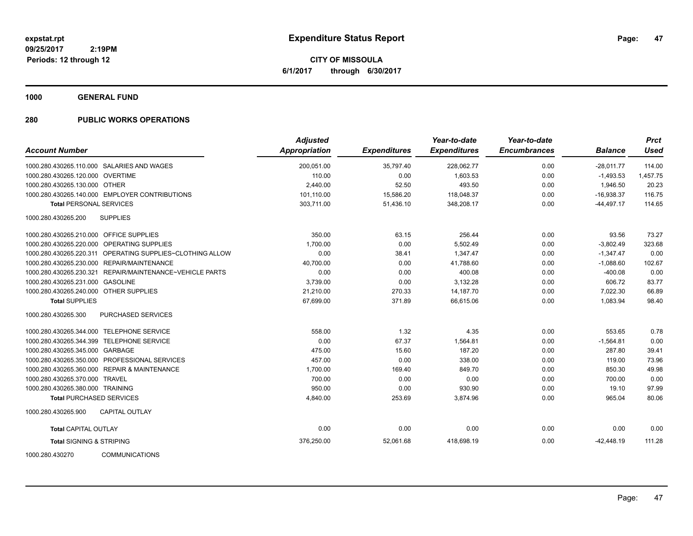**CITY OF MISSOULA 6/1/2017 through 6/30/2017**

**1000 GENERAL FUND**

### **280 PUBLIC WORKS OPERATIONS**

| <b>Account Number</b>                                     | <b>Adjusted</b><br><b>Appropriation</b> | <b>Expenditures</b> | Year-to-date<br><b>Expenditures</b> | Year-to-date<br><b>Encumbrances</b> | <b>Balance</b> | <b>Prct</b><br><b>Used</b> |
|-----------------------------------------------------------|-----------------------------------------|---------------------|-------------------------------------|-------------------------------------|----------------|----------------------------|
| 1000.280.430265.110.000 SALARIES AND WAGES                | 200,051.00                              | 35,797.40           | 228,062.77                          | 0.00                                | $-28,011.77$   | 114.00                     |
| 1000.280.430265.120.000 OVERTIME                          | 110.00                                  | 0.00                | 1,603.53                            | 0.00                                | $-1,493.53$    | 1,457.75                   |
| 1000.280.430265.130.000 OTHER                             | 2,440.00                                | 52.50               | 493.50                              | 0.00                                | 1.946.50       | 20.23                      |
| 1000.280.430265.140.000 EMPLOYER CONTRIBUTIONS            | 101,110.00                              | 15,586.20           | 118,048.37                          | 0.00                                | $-16,938.37$   | 116.75                     |
| <b>Total PERSONAL SERVICES</b>                            | 303,711.00                              | 51,436.10           | 348,208.17                          | 0.00                                | $-44,497.17$   | 114.65                     |
| 1000.280.430265.200<br><b>SUPPLIES</b>                    |                                         |                     |                                     |                                     |                |                            |
| 1000.280.430265.210.000 OFFICE SUPPLIES                   | 350.00                                  | 63.15               | 256.44                              | 0.00                                | 93.56          | 73.27                      |
| 1000.280.430265.220.000 OPERATING SUPPLIES                | 1,700.00                                | 0.00                | 5,502.49                            | 0.00                                | $-3,802.49$    | 323.68                     |
| 1000.280.430265.220.311 OPERATING SUPPLIES~CLOTHING ALLOW | 0.00                                    | 38.41               | 1,347.47                            | 0.00                                | $-1,347.47$    | 0.00                       |
| 1000.280.430265.230.000 REPAIR/MAINTENANCE                | 40,700.00                               | 0.00                | 41,788.60                           | 0.00                                | $-1,088.60$    | 102.67                     |
| 1000.280.430265.230.321 REPAIR/MAINTENANCE~VEHICLE PARTS  | 0.00                                    | 0.00                | 400.08                              | 0.00                                | $-400.08$      | 0.00                       |
| 1000.280.430265.231.000 GASOLINE                          | 3,739.00                                | 0.00                | 3,132.28                            | 0.00                                | 606.72         | 83.77                      |
| 1000.280.430265.240.000 OTHER SUPPLIES                    | 21,210.00                               | 270.33              | 14, 187. 70                         | 0.00                                | 7,022.30       | 66.89                      |
| <b>Total SUPPLIES</b>                                     | 67,699.00                               | 371.89              | 66.615.06                           | 0.00                                | 1,083.94       | 98.40                      |
| 1000.280.430265.300<br><b>PURCHASED SERVICES</b>          |                                         |                     |                                     |                                     |                |                            |
| 1000.280.430265.344.000 TELEPHONE SERVICE                 | 558.00                                  | 1.32                | 4.35                                | 0.00                                | 553.65         | 0.78                       |
| 1000.280.430265.344.399 TELEPHONE SERVICE                 | 0.00                                    | 67.37               | 1,564.81                            | 0.00                                | $-1,564.81$    | 0.00                       |
| 1000.280.430265.345.000 GARBAGE                           | 475.00                                  | 15.60               | 187.20                              | 0.00                                | 287.80         | 39.41                      |
| 1000.280.430265.350.000 PROFESSIONAL SERVICES             | 457.00                                  | 0.00                | 338.00                              | 0.00                                | 119.00         | 73.96                      |
| 1000.280.430265.360.000 REPAIR & MAINTENANCE              | 1,700.00                                | 169.40              | 849.70                              | 0.00                                | 850.30         | 49.98                      |
| 1000.280.430265.370.000 TRAVEL                            | 700.00                                  | 0.00                | 0.00                                | 0.00                                | 700.00         | 0.00                       |
| 1000.280.430265.380.000 TRAINING                          | 950.00                                  | 0.00                | 930.90                              | 0.00                                | 19.10          | 97.99                      |
| <b>Total PURCHASED SERVICES</b>                           | 4,840.00                                | 253.69              | 3,874.96                            | 0.00                                | 965.04         | 80.06                      |
| <b>CAPITAL OUTLAY</b><br>1000.280.430265.900              |                                         |                     |                                     |                                     |                |                            |
| <b>Total CAPITAL OUTLAY</b>                               | 0.00                                    | 0.00                | 0.00                                | 0.00                                | 0.00           | 0.00                       |
| <b>Total SIGNING &amp; STRIPING</b>                       | 376,250.00                              | 52,061.68           | 418,698.19                          | 0.00                                | $-42,448.19$   | 111.28                     |
| 1000.280.430270<br><b>COMMUNICATIONS</b>                  |                                         |                     |                                     |                                     |                |                            |

Page: 47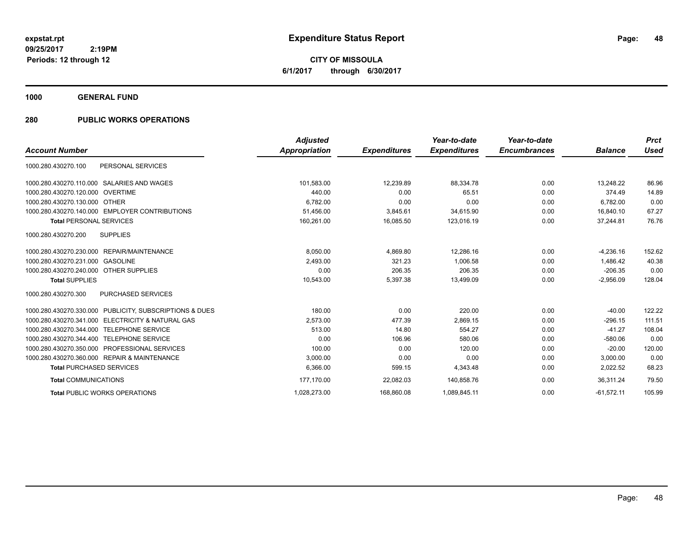**CITY OF MISSOULA 6/1/2017 through 6/30/2017**

**1000 GENERAL FUND**

### **280 PUBLIC WORKS OPERATIONS**

|                                                                 | <b>Adjusted</b>      |                     | Year-to-date        | Year-to-date        |                | <b>Prct</b> |
|-----------------------------------------------------------------|----------------------|---------------------|---------------------|---------------------|----------------|-------------|
| <b>Account Number</b>                                           | <b>Appropriation</b> | <b>Expenditures</b> | <b>Expenditures</b> | <b>Encumbrances</b> | <b>Balance</b> | <b>Used</b> |
| PERSONAL SERVICES<br>1000.280.430270.100                        |                      |                     |                     |                     |                |             |
| 1000.280.430270.110.000 SALARIES AND WAGES                      | 101,583.00           | 12.239.89           | 88,334.78           | 0.00                | 13.248.22      | 86.96       |
| 1000.280.430270.120.000 OVERTIME                                | 440.00               | 0.00                | 65.51               | 0.00                | 374.49         | 14.89       |
| 1000.280.430270.130.000 OTHER                                   | 6,782.00             | 0.00                | 0.00                | 0.00                | 6.782.00       | 0.00        |
| 1000.280.430270.140.000 EMPLOYER CONTRIBUTIONS                  | 51,456.00            | 3,845.61            | 34,615.90           | 0.00                | 16.840.10      | 67.27       |
| <b>Total PERSONAL SERVICES</b>                                  | 160.261.00           | 16,085.50           | 123.016.19          | 0.00                | 37.244.81      | 76.76       |
| 1000.280.430270.200<br><b>SUPPLIES</b>                          |                      |                     |                     |                     |                |             |
| 1000.280.430270.230.000 REPAIR/MAINTENANCE                      | 8.050.00             | 4.869.80            | 12.286.16           | 0.00                | $-4.236.16$    | 152.62      |
| 1000.280.430270.231.000<br>GASOLINE                             | 2,493.00             | 321.23              | 1,006.58            | 0.00                | 1,486.42       | 40.38       |
| 1000.280.430270.240.000 OTHER SUPPLIES                          | 0.00                 | 206.35              | 206.35              | 0.00                | $-206.35$      | 0.00        |
| <b>Total SUPPLIES</b>                                           | 10,543.00            | 5,397.38            | 13,499.09           | 0.00                | $-2,956.09$    | 128.04      |
| 1000.280.430270.300<br>PURCHASED SERVICES                       |                      |                     |                     |                     |                |             |
| PUBLICITY, SUBSCRIPTIONS & DUES<br>1000.280.430270.330.000      | 180.00               | 0.00                | 220.00              | 0.00                | $-40.00$       | 122.22      |
| <b>ELECTRICITY &amp; NATURAL GAS</b><br>1000.280.430270.341.000 | 2.573.00             | 477.39              | 2.869.15            | 0.00                | $-296.15$      | 111.51      |
| 1000.280.430270.344.000<br><b>TELEPHONE SERVICE</b>             | 513.00               | 14.80               | 554.27              | 0.00                | $-41.27$       | 108.04      |
| 1000.280.430270.344.400<br><b>TELEPHONE SERVICE</b>             | 0.00                 | 106.96              | 580.06              | 0.00                | $-580.06$      | 0.00        |
| PROFESSIONAL SERVICES<br>1000.280.430270.350.000                | 100.00               | 0.00                | 120.00              | 0.00                | $-20.00$       | 120.00      |
| 1000.280.430270.360.000 REPAIR & MAINTENANCE                    | 3,000.00             | 0.00                | 0.00                | 0.00                | 3,000.00       | 0.00        |
| <b>Total PURCHASED SERVICES</b>                                 | 6,366.00             | 599.15              | 4,343.48            | 0.00                | 2,022.52       | 68.23       |
| <b>Total COMMUNICATIONS</b>                                     | 177,170.00           | 22,082.03           | 140,858.76          | 0.00                | 36.311.24      | 79.50       |
| <b>Total PUBLIC WORKS OPERATIONS</b>                            | 1,028,273.00         | 168,860.08          | 1,089,845.11        | 0.00                | $-61,572.11$   | 105.99      |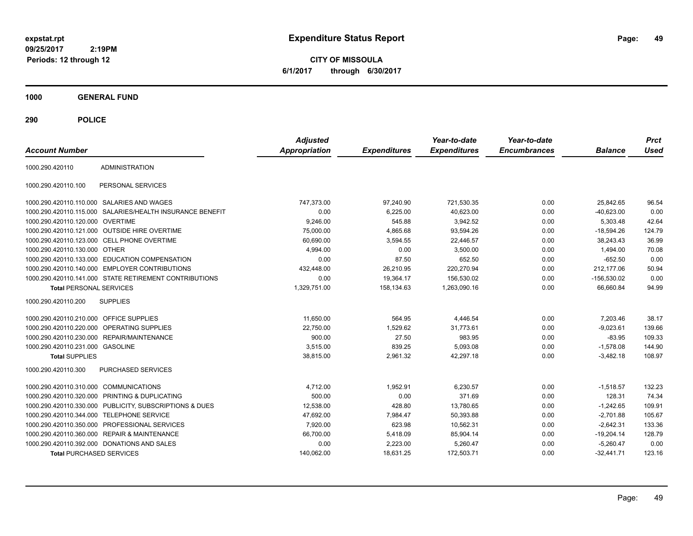**CITY OF MISSOULA 6/1/2017 through 6/30/2017**

**1000 GENERAL FUND**

| <b>Account Number</b>                   |                                                        | <b>Adjusted</b><br><b>Appropriation</b> | <b>Expenditures</b> | Year-to-date<br><b>Expenditures</b> | Year-to-date<br><b>Encumbrances</b> | <b>Balance</b> | <b>Prct</b><br><b>Used</b> |
|-----------------------------------------|--------------------------------------------------------|-----------------------------------------|---------------------|-------------------------------------|-------------------------------------|----------------|----------------------------|
| 1000.290.420110                         | <b>ADMINISTRATION</b>                                  |                                         |                     |                                     |                                     |                |                            |
| 1000.290.420110.100                     | PERSONAL SERVICES                                      |                                         |                     |                                     |                                     |                |                            |
|                                         | 1000.290.420110.110.000 SALARIES AND WAGES             | 747,373.00                              | 97,240.90           | 721,530.35                          | 0.00                                | 25,842.65      | 96.54                      |
| 1000.290.420110.115.000                 | SALARIES/HEALTH INSURANCE BENEFIT                      | 0.00                                    | 6,225.00            | 40,623.00                           | 0.00                                | $-40,623.00$   | 0.00                       |
| 1000.290.420110.120.000 OVERTIME        |                                                        | 9,246.00                                | 545.88              | 3,942.52                            | 0.00                                | 5,303.48       | 42.64                      |
|                                         | 1000.290.420110.121.000 OUTSIDE HIRE OVERTIME          | 75,000.00                               | 4,865.68            | 93,594.26                           | 0.00                                | $-18,594.26$   | 124.79                     |
|                                         | 1000.290.420110.123.000 CELL PHONE OVERTIME            | 60,690.00                               | 3,594.55            | 22,446.57                           | 0.00                                | 38,243.43      | 36.99                      |
| 1000.290.420110.130.000 OTHER           |                                                        | 4,994.00                                | 0.00                | 3,500.00                            | 0.00                                | 1,494.00       | 70.08                      |
|                                         | 1000.290.420110.133.000 EDUCATION COMPENSATION         | 0.00                                    | 87.50               | 652.50                              | 0.00                                | $-652.50$      | 0.00                       |
| 1000.290.420110.140.000                 | <b>EMPLOYER CONTRIBUTIONS</b>                          | 432,448.00                              | 26,210.95           | 220,270.94                          | 0.00                                | 212,177.06     | 50.94                      |
|                                         | 1000.290.420110.141.000 STATE RETIREMENT CONTRIBUTIONS | 0.00                                    | 19,364.17           | 156,530.02                          | 0.00                                | $-156,530.02$  | 0.00                       |
| <b>Total PERSONAL SERVICES</b>          |                                                        | 1,329,751.00                            | 158,134.63          | 1,263,090.16                        | 0.00                                | 66.660.84      | 94.99                      |
| 1000.290.420110.200                     | <b>SUPPLIES</b>                                        |                                         |                     |                                     |                                     |                |                            |
| 1000.290.420110.210.000 OFFICE SUPPLIES |                                                        | 11,650.00                               | 564.95              | 4,446.54                            | 0.00                                | 7,203.46       | 38.17                      |
| 1000.290.420110.220.000                 | <b>OPERATING SUPPLIES</b>                              | 22,750.00                               | 1,529.62            | 31,773.61                           | 0.00                                | $-9,023.61$    | 139.66                     |
| 1000.290.420110.230.000                 | <b>REPAIR/MAINTENANCE</b>                              | 900.00                                  | 27.50               | 983.95                              | 0.00                                | $-83.95$       | 109.33                     |
| 1000.290.420110.231.000 GASOLINE        |                                                        | 3,515.00                                | 839.25              | 5,093.08                            | 0.00                                | $-1,578.08$    | 144.90                     |
| <b>Total SUPPLIES</b>                   |                                                        | 38.815.00                               | 2,961.32            | 42.297.18                           | 0.00                                | $-3,482.18$    | 108.97                     |
| 1000.290.420110.300                     | <b>PURCHASED SERVICES</b>                              |                                         |                     |                                     |                                     |                |                            |
| 1000.290.420110.310.000                 | <b>COMMUNICATIONS</b>                                  | 4,712.00                                | 1,952.91            | 6.230.57                            | 0.00                                | $-1,518.57$    | 132.23                     |
| 1000.290.420110.320.000                 | PRINTING & DUPLICATING                                 | 500.00                                  | 0.00                | 371.69                              | 0.00                                | 128.31         | 74.34                      |
| 1000.290.420110.330.000                 | PUBLICITY, SUBSCRIPTIONS & DUES                        | 12,538.00                               | 428.80              | 13,780.65                           | 0.00                                | $-1,242.65$    | 109.91                     |
| 1000.290.420110.344.000                 | <b>TELEPHONE SERVICE</b>                               | 47,692.00                               | 7,984.47            | 50,393.88                           | 0.00                                | $-2,701.88$    | 105.67                     |
| 1000.290.420110.350.000                 | PROFESSIONAL SERVICES                                  | 7,920.00                                | 623.98              | 10,562.31                           | 0.00                                | $-2,642.31$    | 133.36                     |
| 1000.290.420110.360.000                 | <b>REPAIR &amp; MAINTENANCE</b>                        | 66,700.00                               | 5,418.09            | 85,904.14                           | 0.00                                | $-19.204.14$   | 128.79                     |
|                                         | 1000.290.420110.392.000 DONATIONS AND SALES            | 0.00                                    | 2,223.00            | 5,260.47                            | 0.00                                | $-5,260.47$    | 0.00                       |
| <b>Total PURCHASED SERVICES</b>         |                                                        | 140,062.00                              | 18,631.25           | 172,503.71                          | 0.00                                | $-32,441.71$   | 123.16                     |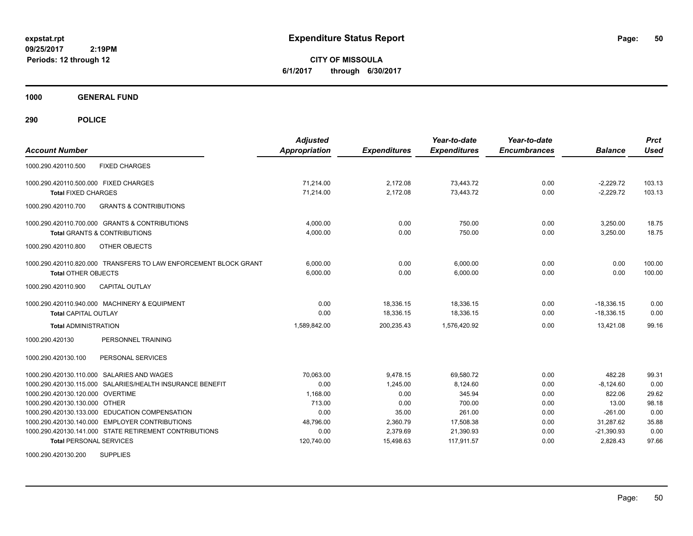**CITY OF MISSOULA 6/1/2017 through 6/30/2017**

**1000 GENERAL FUND**

**290 POLICE**

| <b>Account Number</b>                                            | <b>Adjusted</b><br><b>Appropriation</b> | <b>Expenditures</b> | Year-to-date<br><b>Expenditures</b> | Year-to-date<br><b>Encumbrances</b> | <b>Balance</b> | <b>Prct</b><br><b>Used</b> |
|------------------------------------------------------------------|-----------------------------------------|---------------------|-------------------------------------|-------------------------------------|----------------|----------------------------|
| <b>FIXED CHARGES</b><br>1000.290.420110.500                      |                                         |                     |                                     |                                     |                |                            |
| 1000.290.420110.500.000 FIXED CHARGES                            | 71.214.00                               | 2,172.08            | 73.443.72                           | 0.00                                | $-2.229.72$    | 103.13                     |
| <b>Total FIXED CHARGES</b>                                       | 71,214.00                               | 2,172.08            | 73,443.72                           | 0.00                                | $-2,229.72$    | 103.13                     |
| 1000.290.420110.700<br><b>GRANTS &amp; CONTRIBUTIONS</b>         |                                         |                     |                                     |                                     |                |                            |
| 1000.290.420110.700.000 GRANTS & CONTRIBUTIONS                   | 4,000.00                                | 0.00                | 750.00                              | 0.00                                | 3,250.00       | 18.75                      |
| <b>Total GRANTS &amp; CONTRIBUTIONS</b>                          | 4,000.00                                | 0.00                | 750.00                              | 0.00                                | 3,250.00       | 18.75                      |
| 1000.290.420110.800<br>OTHER OBJECTS                             |                                         |                     |                                     |                                     |                |                            |
| 1000.290.420110.820.000 TRANSFERS TO LAW ENFORCEMENT BLOCK GRANT | 6,000.00                                | 0.00                | 6,000.00                            | 0.00                                | 0.00           | 100.00                     |
| <b>Total OTHER OBJECTS</b>                                       | 6,000.00                                | 0.00                | 6,000.00                            | 0.00                                | 0.00           | 100.00                     |
| 1000.290.420110.900<br><b>CAPITAL OUTLAY</b>                     |                                         |                     |                                     |                                     |                |                            |
| 1000.290.420110.940.000 MACHINERY & EQUIPMENT                    | 0.00                                    | 18,336.15           | 18,336.15                           | 0.00                                | $-18.336.15$   | 0.00                       |
| <b>Total CAPITAL OUTLAY</b>                                      | 0.00                                    | 18,336.15           | 18,336.15                           | 0.00                                | $-18,336.15$   | 0.00                       |
| <b>Total ADMINISTRATION</b>                                      | 1,589,842.00                            | 200,235.43          | 1,576,420.92                        | 0.00                                | 13.421.08      | 99.16                      |
| 1000.290.420130<br>PERSONNEL TRAINING                            |                                         |                     |                                     |                                     |                |                            |
| 1000.290.420130.100<br>PERSONAL SERVICES                         |                                         |                     |                                     |                                     |                |                            |
| SALARIES AND WAGES<br>1000.290.420130.110.000                    | 70.063.00                               | 9.478.15            | 69.580.72                           | 0.00                                | 482.28         | 99.31                      |
| SALARIES/HEALTH INSURANCE BENEFIT<br>1000.290.420130.115.000     | 0.00                                    | 1,245.00            | 8,124.60                            | 0.00                                | $-8,124.60$    | 0.00                       |
| 1000.290.420130.120.000 OVERTIME                                 | 1,168.00                                | 0.00                | 345.94                              | 0.00                                | 822.06         | 29.62                      |
| 1000.290.420130.130.000 OTHER                                    | 713.00                                  | 0.00                | 700.00                              | 0.00                                | 13.00          | 98.18                      |
| 1000.290.420130.133.000 EDUCATION COMPENSATION                   | 0.00                                    | 35.00               | 261.00                              | 0.00                                | $-261.00$      | 0.00                       |
| 1000.290.420130.140.000 EMPLOYER CONTRIBUTIONS                   | 48,796.00                               | 2,360.79            | 17,508.38                           | 0.00                                | 31,287.62      | 35.88                      |
| 1000.290.420130.141.000 STATE RETIREMENT CONTRIBUTIONS           | 0.00                                    | 2,379.69            | 21,390.93                           | 0.00                                | $-21,390.93$   | 0.00                       |
| <b>Total PERSONAL SERVICES</b>                                   | 120,740.00                              | 15,498.63           | 117,911.57                          | 0.00                                | 2,828.43       | 97.66                      |

1000.290.420130.200 SUPPLIES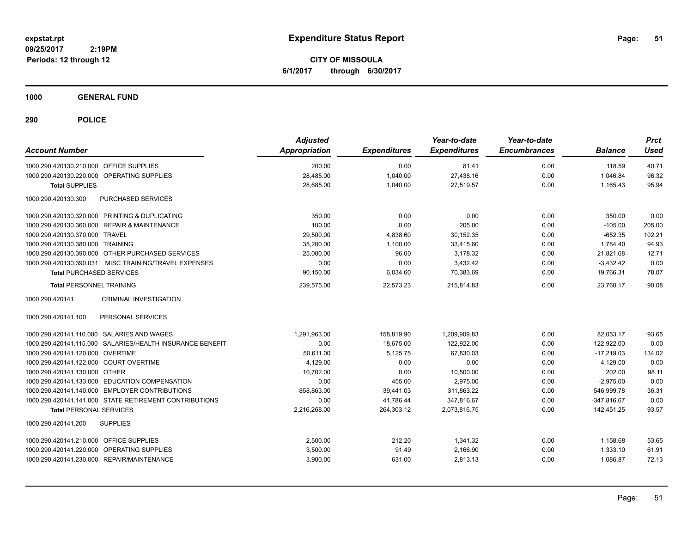**CITY OF MISSOULA 6/1/2017 through 6/30/2017**

**1000 GENERAL FUND**

| <b>Account Number</b>                                     | <b>Adjusted</b><br><b>Appropriation</b> | <b>Expenditures</b> | Year-to-date<br><b>Expenditures</b> | Year-to-date<br><b>Encumbrances</b> | <b>Balance</b> | <b>Prct</b><br><b>Used</b> |
|-----------------------------------------------------------|-----------------------------------------|---------------------|-------------------------------------|-------------------------------------|----------------|----------------------------|
| 1000.290.420130.210.000 OFFICE SUPPLIES                   | 200.00                                  | 0.00                | 81.41                               | 0.00                                | 118.59         | 40.71                      |
| 1000.290.420130.220.000 OPERATING SUPPLIES                | 28,485.00                               | 1,040.00            | 27,438.16                           | 0.00                                | 1,046.84       | 96.32                      |
| <b>Total SUPPLIES</b>                                     | 28,685.00                               | 1,040.00            | 27,519.57                           | 0.00                                | 1,165.43       | 95.94                      |
| PURCHASED SERVICES<br>1000.290.420130.300                 |                                         |                     |                                     |                                     |                |                            |
| 1000.290.420130.320.000 PRINTING & DUPLICATING            | 350.00                                  | 0.00                | 0.00                                | 0.00                                | 350.00         | 0.00                       |
| 1000.290.420130.360.000 REPAIR & MAINTENANCE              | 100.00                                  | 0.00                | 205.00                              | 0.00                                | $-105.00$      | 205.00                     |
| 1000.290.420130.370.000 TRAVEL                            | 29,500.00                               | 4,838.60            | 30,152.35                           | 0.00                                | $-652.35$      | 102.21                     |
| 1000.290.420130.380.000 TRAINING                          | 35,200.00                               | 1,100.00            | 33,415.60                           | 0.00                                | 1,784.40       | 94.93                      |
| 1000.290.420130.390.000 OTHER PURCHASED SERVICES          | 25,000.00                               | 96.00               | 3,178.32                            | 0.00                                | 21,821.68      | 12.71                      |
| 1000.290.420130.390.031 MISC TRAINING/TRAVEL EXPENSES     | 0.00                                    | 0.00                | 3,432.42                            | 0.00                                | $-3,432.42$    | 0.00                       |
| <b>Total PURCHASED SERVICES</b>                           | 90,150.00                               | 6,034.60            | 70,383.69                           | 0.00                                | 19,766.31      | 78.07                      |
| <b>Total PERSONNEL TRAINING</b>                           | 239,575.00                              | 22,573.23           | 215,814.83                          | 0.00                                | 23,760.17      | 90.08                      |
| 1000.290.420141<br><b>CRIMINAL INVESTIGATION</b>          |                                         |                     |                                     |                                     |                |                            |
| 1000.290.420141.100<br>PERSONAL SERVICES                  |                                         |                     |                                     |                                     |                |                            |
| 1000.290.420141.110.000 SALARIES AND WAGES                | 1,291,963.00                            | 158,819.90          | 1,209,909.83                        | 0.00                                | 82,053.17      | 93.65                      |
| 1000.290.420141.115.000 SALARIES/HEALTH INSURANCE BENEFIT | 0.00                                    | 18,675.00           | 122,922.00                          | 0.00                                | $-122,922.00$  | 0.00                       |
| 1000.290.420141.120.000 OVERTIME                          | 50.611.00                               | 5,125.75            | 67.830.03                           | 0.00                                | $-17.219.03$   | 134.02                     |
| 1000.290.420141.122.000 COURT OVERTIME                    | 4,129.00                                | 0.00                | 0.00                                | 0.00                                | 4,129.00       | 0.00                       |
| 1000.290.420141.130.000 OTHER                             | 10,702.00                               | 0.00                | 10,500.00                           | 0.00                                | 202.00         | 98.11                      |
| 1000.290.420141.133.000 EDUCATION COMPENSATION            | 0.00                                    | 455.00              | 2,975.00                            | 0.00                                | $-2,975.00$    | 0.00                       |
| 1000.290.420141.140.000 EMPLOYER CONTRIBUTIONS            | 858.863.00                              | 39,441.03           | 311,863.22                          | 0.00                                | 546,999.78     | 36.31                      |
| 1000.290.420141.141.000 STATE RETIREMENT CONTRIBUTIONS    | 0.00                                    | 41,786.44           | 347,816.67                          | 0.00                                | $-347,816.67$  | 0.00                       |
| <b>Total PERSONAL SERVICES</b>                            | 2,216,268.00                            | 264,303.12          | 2,073,816.75                        | 0.00                                | 142,451.25     | 93.57                      |
| <b>SUPPLIES</b><br>1000.290.420141.200                    |                                         |                     |                                     |                                     |                |                            |
| 1000.290.420141.210.000 OFFICE SUPPLIES                   | 2,500.00                                | 212.20              | 1,341.32                            | 0.00                                | 1,158.68       | 53.65                      |
| 1000.290.420141.220.000 OPERATING SUPPLIES                | 3,500.00                                | 91.49               | 2,166.90                            | 0.00                                | 1,333.10       | 61.91                      |
| 1000.290.420141.230.000 REPAIR/MAINTENANCE                | 3,900.00                                | 631.00              | 2,813.13                            | 0.00                                | 1,086.87       | 72.13                      |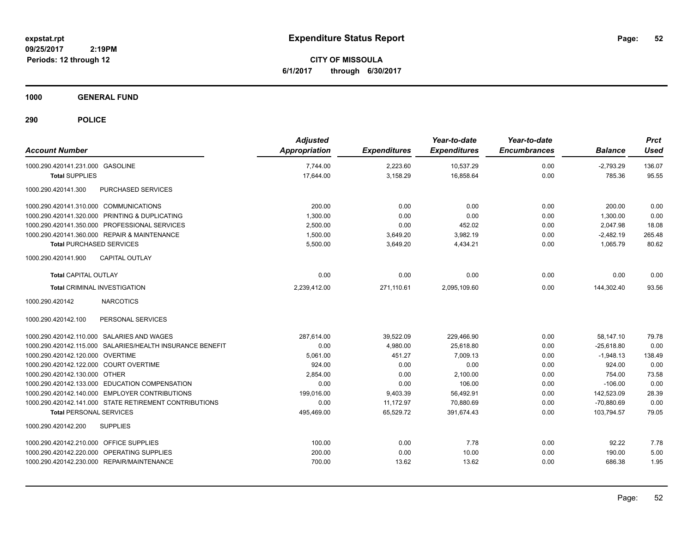**CITY OF MISSOULA 6/1/2017 through 6/30/2017**

**1000 GENERAL FUND**

| <b>Account Number</b>                                     | <b>Adjusted</b><br><b>Appropriation</b> | <b>Expenditures</b> | Year-to-date<br><b>Expenditures</b> | Year-to-date<br><b>Encumbrances</b> | <b>Balance</b> | <b>Prct</b><br><b>Used</b> |
|-----------------------------------------------------------|-----------------------------------------|---------------------|-------------------------------------|-------------------------------------|----------------|----------------------------|
| 1000.290.420141.231.000 GASOLINE                          | 7,744.00                                | 2,223.60            | 10,537.29                           | 0.00                                | $-2,793.29$    | 136.07                     |
| <b>Total SUPPLIES</b>                                     | 17,644.00                               | 3,158.29            | 16,858.64                           | 0.00                                | 785.36         | 95.55                      |
| 1000.290.420141.300<br>PURCHASED SERVICES                 |                                         |                     |                                     |                                     |                |                            |
| 1000.290.420141.310.000 COMMUNICATIONS                    | 200.00                                  | 0.00                | 0.00                                | 0.00                                | 200.00         | 0.00                       |
| 1000.290.420141.320.000 PRINTING & DUPLICATING            | 1,300.00                                | 0.00                | 0.00                                | 0.00                                | 1,300.00       | 0.00                       |
| 1000.290.420141.350.000 PROFESSIONAL SERVICES             | 2,500.00                                | 0.00                | 452.02                              | 0.00                                | 2,047.98       | 18.08                      |
| 1000.290.420141.360.000 REPAIR & MAINTENANCE              | 1,500.00                                | 3,649.20            | 3,982.19                            | 0.00                                | $-2,482.19$    | 265.48                     |
| <b>Total PURCHASED SERVICES</b>                           | 5,500.00                                | 3,649.20            | 4,434.21                            | 0.00                                | 1,065.79       | 80.62                      |
| 1000.290.420141.900<br><b>CAPITAL OUTLAY</b>              |                                         |                     |                                     |                                     |                |                            |
| <b>Total CAPITAL OUTLAY</b>                               | 0.00                                    | 0.00                | 0.00                                | 0.00                                | 0.00           | 0.00                       |
| <b>Total CRIMINAL INVESTIGATION</b>                       | 2,239,412.00                            | 271,110.61          | 2,095,109.60                        | 0.00                                | 144,302.40     | 93.56                      |
| <b>NARCOTICS</b><br>1000.290.420142                       |                                         |                     |                                     |                                     |                |                            |
| 1000.290.420142.100<br>PERSONAL SERVICES                  |                                         |                     |                                     |                                     |                |                            |
| 1000.290.420142.110.000 SALARIES AND WAGES                | 287,614.00                              | 39,522.09           | 229,466.90                          | 0.00                                | 58,147.10      | 79.78                      |
| 1000.290.420142.115.000 SALARIES/HEALTH INSURANCE BENEFIT | 0.00                                    | 4,980.00            | 25,618.80                           | 0.00                                | $-25,618.80$   | 0.00                       |
| 1000.290.420142.120.000 OVERTIME                          | 5,061.00                                | 451.27              | 7.009.13                            | 0.00                                | $-1,948.13$    | 138.49                     |
| 1000.290.420142.122.000 COURT OVERTIME                    | 924.00                                  | 0.00                | 0.00                                | 0.00                                | 924.00         | 0.00                       |
| 1000.290.420142.130.000 OTHER                             | 2.854.00                                | 0.00                | 2.100.00                            | 0.00                                | 754.00         | 73.58                      |
| 1000.290.420142.133.000 EDUCATION COMPENSATION            | 0.00                                    | 0.00                | 106.00                              | 0.00                                | $-106.00$      | 0.00                       |
| 1000.290.420142.140.000 EMPLOYER CONTRIBUTIONS            | 199,016.00                              | 9,403.39            | 56,492.91                           | 0.00                                | 142,523.09     | 28.39                      |
| 1000.290.420142.141.000 STATE RETIREMENT CONTRIBUTIONS    | 0.00                                    | 11,172.97           | 70,880.69                           | 0.00                                | $-70,880.69$   | 0.00                       |
| <b>Total PERSONAL SERVICES</b>                            | 495,469.00                              | 65,529.72           | 391,674.43                          | 0.00                                | 103,794.57     | 79.05                      |
| <b>SUPPLIES</b><br>1000.290.420142.200                    |                                         |                     |                                     |                                     |                |                            |
| 1000.290.420142.210.000 OFFICE SUPPLIES                   | 100.00                                  | 0.00                | 7.78                                | 0.00                                | 92.22          | 7.78                       |
| 1000.290.420142.220.000 OPERATING SUPPLIES                | 200.00                                  | 0.00                | 10.00                               | 0.00                                | 190.00         | 5.00                       |
| 1000.290.420142.230.000 REPAIR/MAINTENANCE                | 700.00                                  | 13.62               | 13.62                               | 0.00                                | 686.38         | 1.95                       |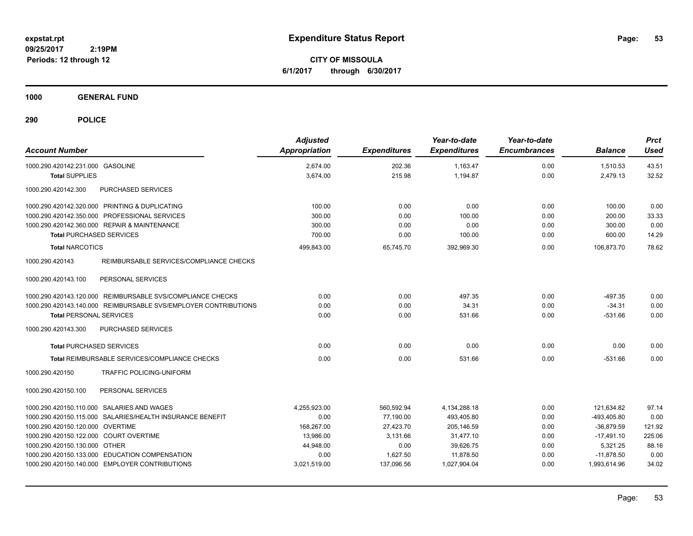**CITY OF MISSOULA 6/1/2017 through 6/30/2017**

**1000 GENERAL FUND**

| <b>Account Number</b>                                           | <b>Adjusted</b><br><b>Appropriation</b> | <b>Expenditures</b> | Year-to-date<br><b>Expenditures</b> | Year-to-date<br><b>Encumbrances</b> | <b>Balance</b> | <b>Prct</b><br>Used |
|-----------------------------------------------------------------|-----------------------------------------|---------------------|-------------------------------------|-------------------------------------|----------------|---------------------|
| 1000.290.420142.231.000 GASOLINE                                | 2,674.00                                | 202.36              | 1,163.47                            | 0.00                                | 1,510.53       | 43.51               |
| <b>Total SUPPLIES</b>                                           | 3,674.00                                | 215.98              | 1,194.87                            | 0.00                                | 2,479.13       | 32.52               |
| 1000.290.420142.300<br>PURCHASED SERVICES                       |                                         |                     |                                     |                                     |                |                     |
| 1000.290.420142.320.000 PRINTING & DUPLICATING                  | 100.00                                  | 0.00                | 0.00                                | 0.00                                | 100.00         | 0.00                |
| 1000.290.420142.350.000 PROFESSIONAL SERVICES                   | 300.00                                  | 0.00                | 100.00                              | 0.00                                | 200.00         | 33.33               |
| 1000.290.420142.360.000 REPAIR & MAINTENANCE                    | 300.00                                  | 0.00                | 0.00                                | 0.00                                | 300.00         | 0.00                |
| <b>Total PURCHASED SERVICES</b>                                 | 700.00                                  | 0.00                | 100.00                              | 0.00                                | 600.00         | 14.29               |
| <b>Total NARCOTICS</b>                                          | 499.843.00                              | 65,745.70           | 392.969.30                          | 0.00                                | 106.873.70     | 78.62               |
| 1000.290.420143<br>REIMBURSABLE SERVICES/COMPLIANCE CHECKS      |                                         |                     |                                     |                                     |                |                     |
| 1000.290.420143.100<br>PERSONAL SERVICES                        |                                         |                     |                                     |                                     |                |                     |
| 1000.290.420143.120.000 REIMBURSABLE SVS/COMPLIANCE CHECKS      | 0.00                                    | 0.00                | 497.35                              | 0.00                                | $-497.35$      | 0.00                |
| 1000.290.420143.140.000 REIMBURSABLE SVS/EMPLOYER CONTRIBUTIONS | 0.00                                    | 0.00                | 34.31                               | 0.00                                | $-34.31$       | 0.00                |
| <b>Total PERSONAL SERVICES</b>                                  | 0.00                                    | 0.00                | 531.66                              | 0.00                                | $-531.66$      | 0.00                |
| PURCHASED SERVICES<br>1000.290.420143.300                       |                                         |                     |                                     |                                     |                |                     |
| <b>Total PURCHASED SERVICES</b>                                 | 0.00                                    | 0.00                | 0.00                                | 0.00                                | 0.00           | 0.00                |
| Total REIMBURSABLE SERVICES/COMPLIANCE CHECKS                   | 0.00                                    | 0.00                | 531.66                              | 0.00                                | $-531.66$      | 0.00                |
| 1000.290.420150<br><b>TRAFFIC POLICING-UNIFORM</b>              |                                         |                     |                                     |                                     |                |                     |
| 1000.290.420150.100<br>PERSONAL SERVICES                        |                                         |                     |                                     |                                     |                |                     |
| 1000.290.420150.110.000 SALARIES AND WAGES                      | 4,255,923.00                            | 560,592.94          | 4,134,288.18                        | 0.00                                | 121,634.82     | 97.14               |
| 1000.290.420150.115.000 SALARIES/HEALTH INSURANCE BENEFIT       | 0.00                                    | 77.190.00           | 493.405.80                          | 0.00                                | -493.405.80    | 0.00                |
| 1000.290.420150.120.000 OVERTIME                                | 168.267.00                              | 27,423.70           | 205.146.59                          | 0.00                                | $-36,879.59$   | 121.92              |
| 1000.290.420150.122.000 COURT OVERTIME                          | 13.986.00                               | 3,131.66            | 31,477.10                           | 0.00                                | $-17,491.10$   | 225.06              |
| 1000.290.420150.130.000 OTHER                                   | 44,948.00                               | 0.00                | 39,626.75                           | 0.00                                | 5,321.25       | 88.16               |
| 1000.290.420150.133.000 EDUCATION COMPENSATION                  | 0.00                                    | 1,627.50            | 11,878.50                           | 0.00                                | $-11.878.50$   | 0.00                |
| 1000.290.420150.140.000 EMPLOYER CONTRIBUTIONS                  | 3,021,519.00                            | 137,096.56          | 1,027,904.04                        | 0.00                                | 1,993,614.96   | 34.02               |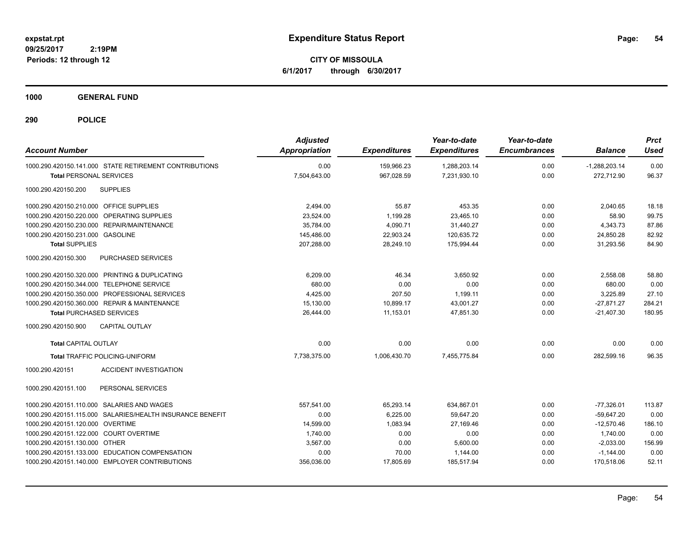**CITY OF MISSOULA 6/1/2017 through 6/30/2017**

**1000 GENERAL FUND**

| <b>Account Number</b>                     |                                                           | <b>Adjusted</b><br>Appropriation | <b>Expenditures</b> | Year-to-date<br><b>Expenditures</b> | Year-to-date<br><b>Encumbrances</b> | <b>Balance</b>  | <b>Prct</b><br><b>Used</b> |
|-------------------------------------------|-----------------------------------------------------------|----------------------------------|---------------------|-------------------------------------|-------------------------------------|-----------------|----------------------------|
|                                           | 1000.290.420150.141.000 STATE RETIREMENT CONTRIBUTIONS    | 0.00                             | 159,966.23          | 1,288,203.14                        | 0.00                                | $-1,288,203.14$ | 0.00                       |
| <b>Total PERSONAL SERVICES</b>            |                                                           | 7,504,643.00                     | 967.028.59          | 7,231,930.10                        | 0.00                                | 272.712.90      | 96.37                      |
| 1000.290.420150.200                       | <b>SUPPLIES</b>                                           |                                  |                     |                                     |                                     |                 |                            |
| 1000.290.420150.210.000 OFFICE SUPPLIES   |                                                           | 2,494.00                         | 55.87               | 453.35                              | 0.00                                | 2,040.65        | 18.18                      |
|                                           | 1000.290.420150.220.000 OPERATING SUPPLIES                | 23,524.00                        | 1,199.28            | 23,465.10                           | 0.00                                | 58.90           | 99.75                      |
|                                           | 1000.290.420150.230.000 REPAIR/MAINTENANCE                | 35,784.00                        | 4,090.71            | 31,440.27                           | 0.00                                | 4,343.73        | 87.86                      |
| 1000.290.420150.231.000 GASOLINE          |                                                           | 145,486.00                       | 22,903.24           | 120,635.72                          | 0.00                                | 24,850.28       | 82.92                      |
| <b>Total SUPPLIES</b>                     |                                                           | 207,288.00                       | 28,249.10           | 175,994.44                          | 0.00                                | 31,293.56       | 84.90                      |
| 1000.290.420150.300                       | PURCHASED SERVICES                                        |                                  |                     |                                     |                                     |                 |                            |
|                                           | 1000.290.420150.320.000 PRINTING & DUPLICATING            | 6.209.00                         | 46.34               | 3.650.92                            | 0.00                                | 2.558.08        | 58.80                      |
| 1000.290.420150.344.000 TELEPHONE SERVICE |                                                           | 680.00                           | 0.00                | 0.00                                | 0.00                                | 680.00          | 0.00                       |
|                                           | 1000.290.420150.350.000 PROFESSIONAL SERVICES             | 4,425.00                         | 207.50              | 1,199.11                            | 0.00                                | 3,225.89        | 27.10                      |
|                                           | 1000.290.420150.360.000 REPAIR & MAINTENANCE              | 15,130.00                        | 10,899.17           | 43,001.27                           | 0.00                                | $-27,871.27$    | 284.21                     |
| <b>Total PURCHASED SERVICES</b>           |                                                           | 26,444.00                        | 11,153.01           | 47,851.30                           | 0.00                                | $-21,407.30$    | 180.95                     |
| 1000.290.420150.900                       | <b>CAPITAL OUTLAY</b>                                     |                                  |                     |                                     |                                     |                 |                            |
| <b>Total CAPITAL OUTLAY</b>               |                                                           | 0.00                             | 0.00                | 0.00                                | 0.00                                | 0.00            | 0.00                       |
|                                           | Total TRAFFIC POLICING-UNIFORM                            | 7,738,375.00                     | 1,006,430.70        | 7,455,775.84                        | 0.00                                | 282,599.16      | 96.35                      |
| 1000.290.420151                           | <b>ACCIDENT INVESTIGATION</b>                             |                                  |                     |                                     |                                     |                 |                            |
| 1000.290.420151.100                       | PERSONAL SERVICES                                         |                                  |                     |                                     |                                     |                 |                            |
|                                           | 1000.290.420151.110.000 SALARIES AND WAGES                | 557,541.00                       | 65,293.14           | 634,867.01                          | 0.00                                | $-77,326.01$    | 113.87                     |
|                                           | 1000.290.420151.115.000 SALARIES/HEALTH INSURANCE BENEFIT | 0.00                             | 6,225.00            | 59,647.20                           | 0.00                                | $-59,647.20$    | 0.00                       |
| 1000.290.420151.120.000 OVERTIME          |                                                           | 14,599.00                        | 1,083.94            | 27,169.46                           | 0.00                                | $-12,570.46$    | 186.10                     |
| 1000.290.420151.122.000 COURT OVERTIME    |                                                           | 1,740.00                         | 0.00                | 0.00                                | 0.00                                | 1,740.00        | 0.00                       |
| 1000.290.420151.130.000 OTHER             |                                                           | 3,567.00                         | 0.00                | 5,600.00                            | 0.00                                | $-2,033.00$     | 156.99                     |
|                                           | 1000.290.420151.133.000 EDUCATION COMPENSATION            | 0.00                             | 70.00               | 1,144.00                            | 0.00                                | $-1,144.00$     | 0.00                       |
|                                           | 1000.290.420151.140.000 EMPLOYER CONTRIBUTIONS            | 356,036.00                       | 17,805.69           | 185,517.94                          | 0.00                                | 170,518.06      | 52.11                      |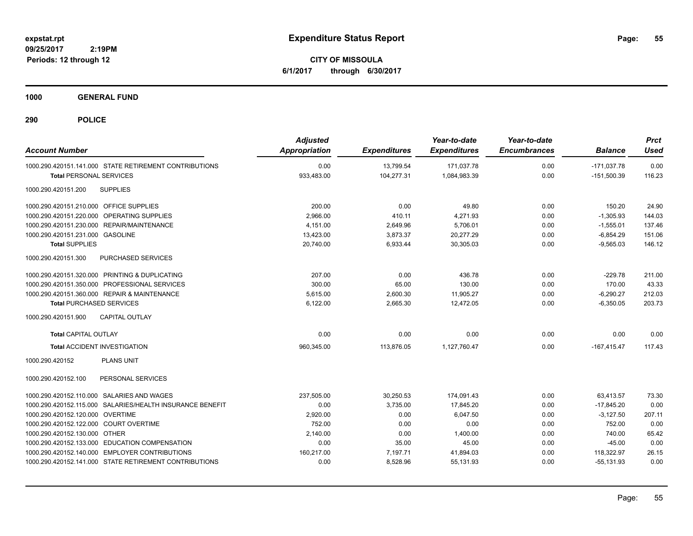**CITY OF MISSOULA 6/1/2017 through 6/30/2017**

**1000 GENERAL FUND**

| <b>Account Number</b>                      |                                                           | <b>Adjusted</b><br>Appropriation | <b>Expenditures</b> | Year-to-date<br><b>Expenditures</b> | Year-to-date<br><b>Encumbrances</b> | <b>Balance</b> | <b>Prct</b><br><b>Used</b> |
|--------------------------------------------|-----------------------------------------------------------|----------------------------------|---------------------|-------------------------------------|-------------------------------------|----------------|----------------------------|
|                                            | 1000.290.420151.141.000 STATE RETIREMENT CONTRIBUTIONS    | 0.00                             | 13,799.54           | 171,037.78                          | 0.00                                | $-171,037.78$  | 0.00                       |
| <b>Total PERSONAL SERVICES</b>             |                                                           | 933,483.00                       | 104,277.31          | 1,084,983.39                        | 0.00                                | $-151,500.39$  | 116.23                     |
| 1000.290.420151.200                        | <b>SUPPLIES</b>                                           |                                  |                     |                                     |                                     |                |                            |
| 1000.290.420151.210.000 OFFICE SUPPLIES    |                                                           | 200.00                           | 0.00                | 49.80                               | 0.00                                | 150.20         | 24.90                      |
| 1000.290.420151.220.000 OPERATING SUPPLIES |                                                           | 2,966.00                         | 410.11              | 4,271.93                            | 0.00                                | $-1,305.93$    | 144.03                     |
| 1000.290.420151.230.000 REPAIR/MAINTENANCE |                                                           | 4,151.00                         | 2,649.96            | 5,706.01                            | 0.00                                | $-1,555.01$    | 137.46                     |
| 1000.290.420151.231.000 GASOLINE           |                                                           | 13,423.00                        | 3,873.37            | 20,277.29                           | 0.00                                | $-6,854.29$    | 151.06                     |
| <b>Total SUPPLIES</b>                      |                                                           | 20.740.00                        | 6.933.44            | 30.305.03                           | 0.00                                | $-9.565.03$    | 146.12                     |
| 1000.290.420151.300                        | PURCHASED SERVICES                                        |                                  |                     |                                     |                                     |                |                            |
|                                            | 1000.290.420151.320.000 PRINTING & DUPLICATING            | 207.00                           | 0.00                | 436.78                              | 0.00                                | $-229.78$      | 211.00                     |
|                                            | 1000.290.420151.350.000 PROFESSIONAL SERVICES             | 300.00                           | 65.00               | 130.00                              | 0.00                                | 170.00         | 43.33                      |
|                                            | 1000.290.420151.360.000 REPAIR & MAINTENANCE              | 5.615.00                         | 2,600.30            | 11.905.27                           | 0.00                                | $-6,290.27$    | 212.03                     |
| <b>Total PURCHASED SERVICES</b>            |                                                           | 6,122.00                         | 2,665.30            | 12,472.05                           | 0.00                                | $-6,350.05$    | 203.73                     |
| 1000.290.420151.900                        | <b>CAPITAL OUTLAY</b>                                     |                                  |                     |                                     |                                     |                |                            |
| <b>Total CAPITAL OUTLAY</b>                |                                                           | 0.00                             | 0.00                | 0.00                                | 0.00                                | 0.00           | 0.00                       |
| <b>Total ACCIDENT INVESTIGATION</b>        |                                                           | 960,345.00                       | 113,876.05          | 1,127,760.47                        | 0.00                                | $-167,415.47$  | 117.43                     |
| 1000.290.420152                            | <b>PLANS UNIT</b>                                         |                                  |                     |                                     |                                     |                |                            |
| 1000.290.420152.100                        | PERSONAL SERVICES                                         |                                  |                     |                                     |                                     |                |                            |
| 1000.290.420152.110.000 SALARIES AND WAGES |                                                           | 237,505.00                       | 30,250.53           | 174,091.43                          | 0.00                                | 63,413.57      | 73.30                      |
|                                            | 1000.290.420152.115.000 SALARIES/HEALTH INSURANCE BENEFIT | 0.00                             | 3,735.00            | 17,845.20                           | 0.00                                | $-17,845.20$   | 0.00                       |
| 1000.290.420152.120.000 OVERTIME           |                                                           | 2,920.00                         | 0.00                | 6,047.50                            | 0.00                                | $-3,127.50$    | 207.11                     |
| 1000.290.420152.122.000 COURT OVERTIME     |                                                           | 752.00                           | 0.00                | 0.00                                | 0.00                                | 752.00         | 0.00                       |
| 1000.290.420152.130.000 OTHER              |                                                           | 2,140.00                         | 0.00                | 1,400.00                            | 0.00                                | 740.00         | 65.42                      |
|                                            | 1000.290.420152.133.000 EDUCATION COMPENSATION            | 0.00                             | 35.00               | 45.00                               | 0.00                                | $-45.00$       | 0.00                       |
|                                            | 1000.290.420152.140.000 EMPLOYER CONTRIBUTIONS            | 160,217.00                       | 7,197.71            | 41,894.03                           | 0.00                                | 118,322.97     | 26.15                      |
|                                            | 1000.290.420152.141.000 STATE RETIREMENT CONTRIBUTIONS    | 0.00                             | 8,528.96            | 55,131.93                           | 0.00                                | $-55,131.93$   | 0.00                       |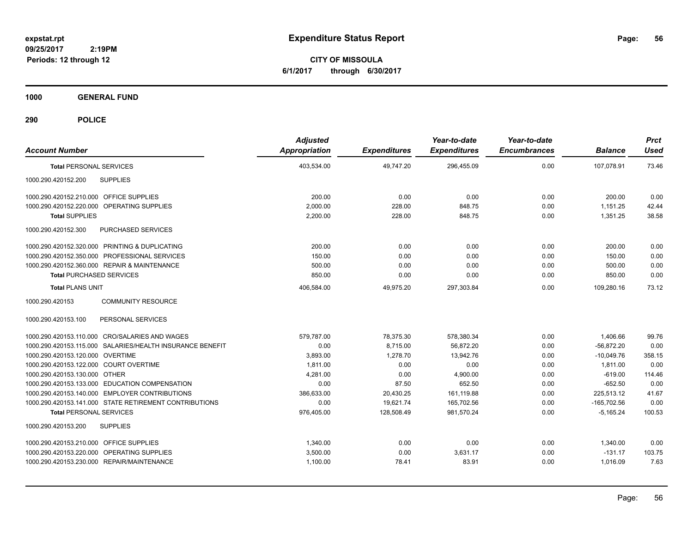**CITY OF MISSOULA 6/1/2017 through 6/30/2017**

**1000 GENERAL FUND**

| <b>Account Number</b>                                     | <b>Adjusted</b><br><b>Appropriation</b> | <b>Expenditures</b> | Year-to-date<br><b>Expenditures</b> | Year-to-date<br><b>Encumbrances</b> | <b>Balance</b> | <b>Prct</b><br><b>Used</b> |
|-----------------------------------------------------------|-----------------------------------------|---------------------|-------------------------------------|-------------------------------------|----------------|----------------------------|
| <b>Total PERSONAL SERVICES</b>                            | 403,534.00                              | 49,747.20           | 296,455.09                          | 0.00                                | 107,078.91     | 73.46                      |
| 1000.290.420152.200<br><b>SUPPLIES</b>                    |                                         |                     |                                     |                                     |                |                            |
| 1000.290.420152.210.000 OFFICE SUPPLIES                   | 200.00                                  | 0.00                | 0.00                                | 0.00                                | 200.00         | 0.00                       |
| 1000.290.420152.220.000<br>OPERATING SUPPLIES             | 2,000.00                                | 228.00              | 848.75                              | 0.00                                | 1,151.25       | 42.44                      |
| <b>Total SUPPLIES</b>                                     | 2,200.00                                | 228.00              | 848.75                              | 0.00                                | 1,351.25       | 38.58                      |
| PURCHASED SERVICES<br>1000.290.420152.300                 |                                         |                     |                                     |                                     |                |                            |
| 1000.290.420152.320.000 PRINTING & DUPLICATING            | 200.00                                  | 0.00                | 0.00                                | 0.00                                | 200.00         | 0.00                       |
| 1000.290.420152.350.000 PROFESSIONAL SERVICES             | 150.00                                  | 0.00                | 0.00                                | 0.00                                | 150.00         | 0.00                       |
| 1000.290.420152.360.000 REPAIR & MAINTENANCE              | 500.00                                  | 0.00                | 0.00                                | 0.00                                | 500.00         | 0.00                       |
| <b>Total PURCHASED SERVICES</b>                           | 850.00                                  | 0.00                | 0.00                                | 0.00                                | 850.00         | 0.00                       |
| <b>Total PLANS UNIT</b>                                   | 406,584.00                              | 49,975.20           | 297,303.84                          | 0.00                                | 109,280.16     | 73.12                      |
| 1000.290.420153<br><b>COMMUNITY RESOURCE</b>              |                                         |                     |                                     |                                     |                |                            |
| 1000.290.420153.100<br>PERSONAL SERVICES                  |                                         |                     |                                     |                                     |                |                            |
| 1000.290.420153.110.000 CRO/SALARIES AND WAGES            | 579,787.00                              | 78,375.30           | 578,380.34                          | 0.00                                | 1,406.66       | 99.76                      |
| 1000.290.420153.115.000 SALARIES/HEALTH INSURANCE BENEFIT | 0.00                                    | 8,715.00            | 56,872.20                           | 0.00                                | $-56,872.20$   | 0.00                       |
| 1000.290.420153.120.000 OVERTIME                          | 3,893.00                                | 1,278.70            | 13.942.76                           | 0.00                                | $-10,049.76$   | 358.15                     |
| 1000.290.420153.122.000 COURT OVERTIME                    | 1.811.00                                | 0.00                | 0.00                                | 0.00                                | 1,811.00       | 0.00                       |
| 1000.290.420153.130.000 OTHER                             | 4.281.00                                | 0.00                | 4.900.00                            | 0.00                                | $-619.00$      | 114.46                     |
| 1000.290.420153.133.000 EDUCATION COMPENSATION            | 0.00                                    | 87.50               | 652.50                              | 0.00                                | $-652.50$      | 0.00                       |
| 1000.290.420153.140.000 EMPLOYER CONTRIBUTIONS            | 386,633.00                              | 20,430.25           | 161,119.88                          | 0.00                                | 225,513.12     | 41.67                      |
| 1000.290.420153.141.000 STATE RETIREMENT CONTRIBUTIONS    | 0.00                                    | 19,621.74           | 165,702.56                          | 0.00                                | $-165,702.56$  | 0.00                       |
| <b>Total PERSONAL SERVICES</b>                            | 976,405.00                              | 128,508.49          | 981,570.24                          | 0.00                                | $-5,165.24$    | 100.53                     |
| <b>SUPPLIES</b><br>1000.290.420153.200                    |                                         |                     |                                     |                                     |                |                            |
| 1000.290.420153.210.000 OFFICE SUPPLIES                   | 1,340.00                                | 0.00                | 0.00                                | 0.00                                | 1,340.00       | 0.00                       |
| 1000.290.420153.220.000 OPERATING SUPPLIES                | 3,500.00                                | 0.00                | 3,631.17                            | 0.00                                | $-131.17$      | 103.75                     |
| 1000.290.420153.230.000 REPAIR/MAINTENANCE                | 1,100.00                                | 78.41               | 83.91                               | 0.00                                | 1,016.09       | 7.63                       |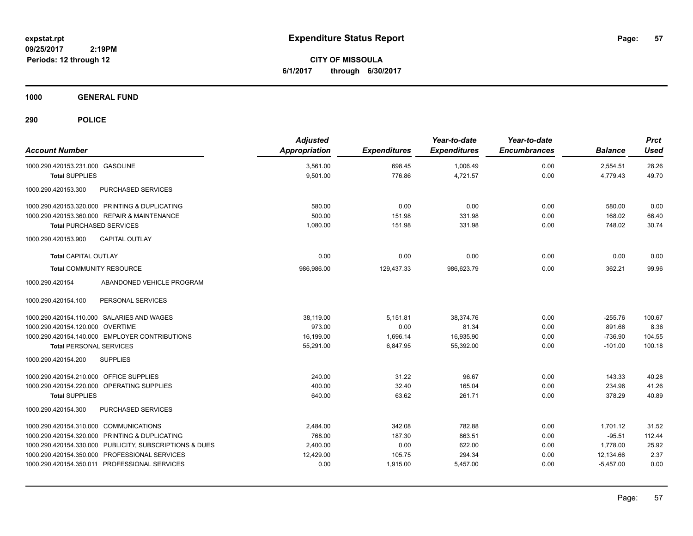**CITY OF MISSOULA 6/1/2017 through 6/30/2017**

**1000 GENERAL FUND**

| <b>Account Number</b>                                   | <b>Adjusted</b><br><b>Appropriation</b> | <b>Expenditures</b> | Year-to-date<br><b>Expenditures</b> | Year-to-date<br><b>Encumbrances</b> | <b>Balance</b> | <b>Prct</b><br><b>Used</b> |
|---------------------------------------------------------|-----------------------------------------|---------------------|-------------------------------------|-------------------------------------|----------------|----------------------------|
| 1000.290.420153.231.000 GASOLINE                        | 3.561.00                                | 698.45              | 1,006.49                            | 0.00                                | 2,554.51       | 28.26                      |
| <b>Total SUPPLIES</b>                                   | 9,501.00                                | 776.86              | 4,721.57                            | 0.00                                | 4,779.43       | 49.70                      |
| PURCHASED SERVICES<br>1000.290.420153.300               |                                         |                     |                                     |                                     |                |                            |
| 1000.290.420153.320.000 PRINTING & DUPLICATING          | 580.00                                  | 0.00                | 0.00                                | 0.00                                | 580.00         | 0.00                       |
| 1000.290.420153.360.000 REPAIR & MAINTENANCE            | 500.00                                  | 151.98              | 331.98                              | 0.00                                | 168.02         | 66.40                      |
| <b>Total PURCHASED SERVICES</b>                         | 1,080.00                                | 151.98              | 331.98                              | 0.00                                | 748.02         | 30.74                      |
| 1000.290.420153.900<br><b>CAPITAL OUTLAY</b>            |                                         |                     |                                     |                                     |                |                            |
| <b>Total CAPITAL OUTLAY</b>                             | 0.00                                    | 0.00                | 0.00                                | 0.00                                | 0.00           | 0.00                       |
| <b>Total COMMUNITY RESOURCE</b>                         | 986.986.00                              | 129,437.33          | 986,623.79                          | 0.00                                | 362.21         | 99.96                      |
| ABANDONED VEHICLE PROGRAM<br>1000.290.420154            |                                         |                     |                                     |                                     |                |                            |
| 1000.290.420154.100<br>PERSONAL SERVICES                |                                         |                     |                                     |                                     |                |                            |
| 1000.290.420154.110.000 SALARIES AND WAGES              | 38,119.00                               | 5,151.81            | 38.374.76                           | 0.00                                | $-255.76$      | 100.67                     |
| 1000.290.420154.120.000 OVERTIME                        | 973.00                                  | 0.00                | 81.34                               | 0.00                                | 891.66         | 8.36                       |
| 1000.290.420154.140.000 EMPLOYER CONTRIBUTIONS          | 16.199.00                               | 1.696.14            | 16.935.90                           | 0.00                                | $-736.90$      | 104.55                     |
| <b>Total PERSONAL SERVICES</b>                          | 55,291.00                               | 6,847.95            | 55,392.00                           | 0.00                                | $-101.00$      | 100.18                     |
| <b>SUPPLIES</b><br>1000.290.420154.200                  |                                         |                     |                                     |                                     |                |                            |
| 1000.290.420154.210.000 OFFICE SUPPLIES                 | 240.00                                  | 31.22               | 96.67                               | 0.00                                | 143.33         | 40.28                      |
| 1000.290.420154.220.000 OPERATING SUPPLIES              | 400.00                                  | 32.40               | 165.04                              | 0.00                                | 234.96         | 41.26                      |
| <b>Total SUPPLIES</b>                                   | 640.00                                  | 63.62               | 261.71                              | 0.00                                | 378.29         | 40.89                      |
| PURCHASED SERVICES<br>1000.290.420154.300               |                                         |                     |                                     |                                     |                |                            |
| 1000.290.420154.310.000 COMMUNICATIONS                  | 2,484.00                                | 342.08              | 782.88                              | 0.00                                | 1,701.12       | 31.52                      |
| 1000.290.420154.320.000 PRINTING & DUPLICATING          | 768.00                                  | 187.30              | 863.51                              | 0.00                                | $-95.51$       | 112.44                     |
| 1000.290.420154.330.000 PUBLICITY, SUBSCRIPTIONS & DUES | 2,400.00                                | 0.00                | 622.00                              | 0.00                                | 1,778.00       | 25.92                      |
| PROFESSIONAL SERVICES<br>1000.290.420154.350.000        | 12,429.00                               | 105.75              | 294.34                              | 0.00                                | 12,134.66      | 2.37                       |
| 1000.290.420154.350.011 PROFESSIONAL SERVICES           | 0.00                                    | 1,915.00            | 5,457.00                            | 0.00                                | $-5,457.00$    | 0.00                       |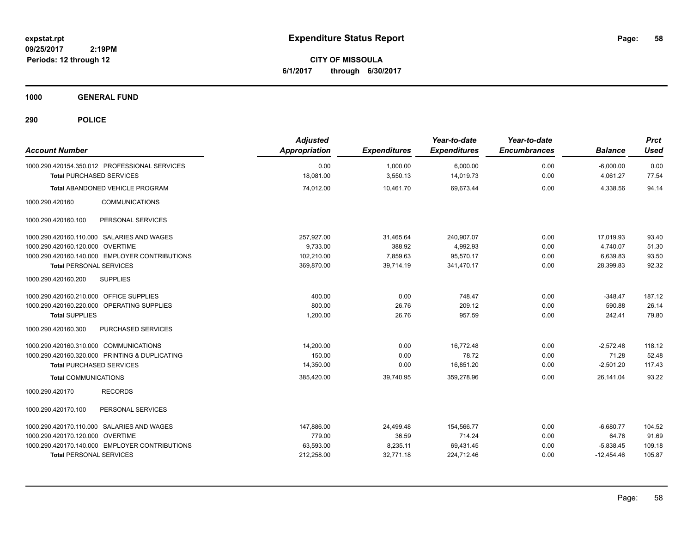**CITY OF MISSOULA 6/1/2017 through 6/30/2017**

**1000 GENERAL FUND**

| <b>Account Number</b>                                                            | <b>Adjusted</b><br>Appropriation | <b>Expenditures</b>  | Year-to-date<br><b>Expenditures</b> | Year-to-date<br><b>Encumbrances</b> | <b>Balance</b>          | <b>Prct</b><br><b>Used</b> |
|----------------------------------------------------------------------------------|----------------------------------|----------------------|-------------------------------------|-------------------------------------|-------------------------|----------------------------|
| 1000.290.420154.350.012 PROFESSIONAL SERVICES<br><b>Total PURCHASED SERVICES</b> | 0.00<br>18.081.00                | 1.000.00<br>3,550.13 | 6,000.00<br>14,019.73               | 0.00<br>0.00                        | $-6.000.00$<br>4.061.27 | 0.00<br>77.54              |
| Total ABANDONED VEHICLE PROGRAM                                                  | 74,012.00                        | 10,461.70            | 69,673.44                           | 0.00                                | 4,338.56                | 94.14                      |
| 1000.290.420160<br><b>COMMUNICATIONS</b>                                         |                                  |                      |                                     |                                     |                         |                            |
| PERSONAL SERVICES<br>1000.290.420160.100                                         |                                  |                      |                                     |                                     |                         |                            |
| 1000.290.420160.110.000 SALARIES AND WAGES                                       | 257.927.00                       | 31,465.64            | 240,907.07                          | 0.00                                | 17.019.93               | 93.40                      |
| 1000.290.420160.120.000 OVERTIME                                                 | 9.733.00                         | 388.92               | 4,992.93                            | 0.00                                | 4,740.07                | 51.30                      |
| 1000.290.420160.140.000 EMPLOYER CONTRIBUTIONS                                   | 102,210.00                       | 7,859.63             | 95,570.17                           | 0.00                                | 6,639.83                | 93.50                      |
| <b>Total PERSONAL SERVICES</b>                                                   | 369,870.00                       | 39,714.19            | 341,470.17                          | 0.00                                | 28,399.83               | 92.32                      |
| <b>SUPPLIES</b><br>1000.290.420160.200                                           |                                  |                      |                                     |                                     |                         |                            |
| 1000.290.420160.210.000 OFFICE SUPPLIES                                          | 400.00                           | 0.00                 | 748.47                              | 0.00                                | $-348.47$               | 187.12                     |
| 1000.290.420160.220.000 OPERATING SUPPLIES                                       | 800.00                           | 26.76                | 209.12                              | 0.00                                | 590.88                  | 26.14                      |
| <b>Total SUPPLIES</b>                                                            | 1,200.00                         | 26.76                | 957.59                              | 0.00                                | 242.41                  | 79.80                      |
| 1000.290.420160.300<br><b>PURCHASED SERVICES</b>                                 |                                  |                      |                                     |                                     |                         |                            |
| 1000.290.420160.310.000 COMMUNICATIONS                                           | 14,200.00                        | 0.00                 | 16.772.48                           | 0.00                                | $-2.572.48$             | 118.12                     |
| 1000.290.420160.320.000 PRINTING & DUPLICATING                                   | 150.00                           | 0.00                 | 78.72                               | 0.00                                | 71.28                   | 52.48                      |
| <b>Total PURCHASED SERVICES</b>                                                  | 14,350.00                        | 0.00                 | 16,851.20                           | 0.00                                | $-2,501.20$             | 117.43                     |
| <b>Total COMMUNICATIONS</b>                                                      | 385,420.00                       | 39.740.95            | 359,278.96                          | 0.00                                | 26.141.04               | 93.22                      |
| 1000.290.420170<br><b>RECORDS</b>                                                |                                  |                      |                                     |                                     |                         |                            |
| 1000.290.420170.100<br>PERSONAL SERVICES                                         |                                  |                      |                                     |                                     |                         |                            |
| 1000.290.420170.110.000 SALARIES AND WAGES                                       | 147.886.00                       | 24,499.48            | 154,566.77                          | 0.00                                | $-6.680.77$             | 104.52                     |
| 1000.290.420170.120.000 OVERTIME                                                 | 779.00                           | 36.59                | 714.24                              | 0.00                                | 64.76                   | 91.69                      |
| 1000.290.420170.140.000 EMPLOYER CONTRIBUTIONS                                   | 63,593.00                        | 8,235.11             | 69,431.45                           | 0.00                                | $-5,838.45$             | 109.18                     |
| <b>Total PERSONAL SERVICES</b>                                                   | 212,258.00                       | 32,771.18            | 224,712.46                          | 0.00                                | $-12,454.46$            | 105.87                     |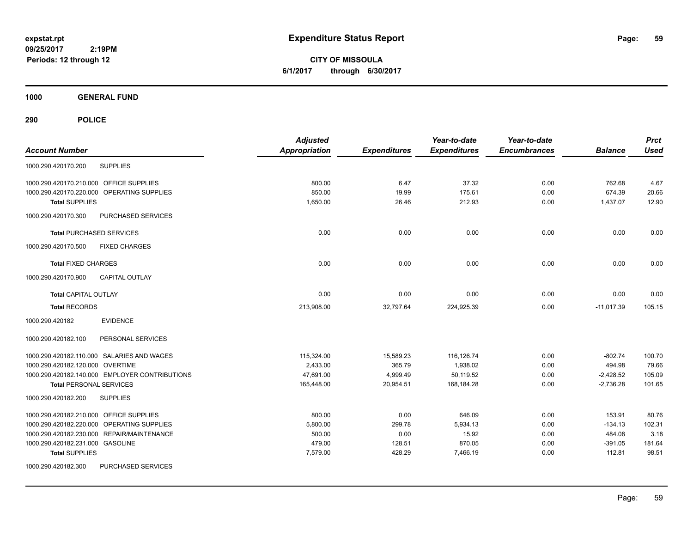**CITY OF MISSOULA 6/1/2017 through 6/30/2017**

**1000 GENERAL FUND**

| <b>Account Number</b>                          | <b>Adjusted</b><br><b>Appropriation</b> | <b>Expenditures</b> | Year-to-date<br><b>Expenditures</b> | Year-to-date<br><b>Encumbrances</b> | <b>Balance</b> | <b>Prct</b><br><b>Used</b> |
|------------------------------------------------|-----------------------------------------|---------------------|-------------------------------------|-------------------------------------|----------------|----------------------------|
| <b>SUPPLIES</b><br>1000.290.420170.200         |                                         |                     |                                     |                                     |                |                            |
| 1000.290.420170.210.000 OFFICE SUPPLIES        | 800.00                                  | 6.47                | 37.32                               | 0.00                                | 762.68         | 4.67                       |
| 1000.290.420170.220.000 OPERATING SUPPLIES     | 850.00                                  | 19.99               | 175.61                              | 0.00                                | 674.39         | 20.66                      |
| <b>Total SUPPLIES</b>                          | 1,650.00                                | 26.46               | 212.93                              | 0.00                                | 1,437.07       | 12.90                      |
| 1000.290.420170.300<br>PURCHASED SERVICES      |                                         |                     |                                     |                                     |                |                            |
| <b>Total PURCHASED SERVICES</b>                | 0.00                                    | 0.00                | 0.00                                | 0.00                                | 0.00           | 0.00                       |
| 1000.290.420170.500<br><b>FIXED CHARGES</b>    |                                         |                     |                                     |                                     |                |                            |
| <b>Total FIXED CHARGES</b>                     | 0.00                                    | 0.00                | 0.00                                | 0.00                                | 0.00           | 0.00                       |
| <b>CAPITAL OUTLAY</b><br>1000.290.420170.900   |                                         |                     |                                     |                                     |                |                            |
| <b>Total CAPITAL OUTLAY</b>                    | 0.00                                    | 0.00                | 0.00                                | 0.00                                | 0.00           | 0.00                       |
| <b>Total RECORDS</b>                           | 213,908.00                              | 32,797.64           | 224,925.39                          | 0.00                                | $-11,017.39$   | 105.15                     |
| 1000.290.420182<br><b>EVIDENCE</b>             |                                         |                     |                                     |                                     |                |                            |
| PERSONAL SERVICES<br>1000.290.420182.100       |                                         |                     |                                     |                                     |                |                            |
| 1000.290.420182.110.000 SALARIES AND WAGES     | 115,324.00                              | 15,589.23           | 116,126.74                          | 0.00                                | $-802.74$      | 100.70                     |
| 1000.290.420182.120.000 OVERTIME               | 2,433.00                                | 365.79              | 1,938.02                            | 0.00                                | 494.98         | 79.66                      |
| 1000.290.420182.140.000 EMPLOYER CONTRIBUTIONS | 47,691.00                               | 4,999.49            | 50,119.52                           | 0.00                                | $-2,428.52$    | 105.09                     |
| <b>Total PERSONAL SERVICES</b>                 | 165,448.00                              | 20,954.51           | 168.184.28                          | 0.00                                | $-2,736.28$    | 101.65                     |
| <b>SUPPLIES</b><br>1000.290.420182.200         |                                         |                     |                                     |                                     |                |                            |
| 1000.290.420182.210.000 OFFICE SUPPLIES        | 800.00                                  | 0.00                | 646.09                              | 0.00                                | 153.91         | 80.76                      |
| 1000.290.420182.220.000 OPERATING SUPPLIES     | 5,800.00                                | 299.78              | 5,934.13                            | 0.00                                | $-134.13$      | 102.31                     |
| 1000.290.420182.230.000 REPAIR/MAINTENANCE     | 500.00                                  | 0.00                | 15.92                               | 0.00                                | 484.08         | 3.18                       |
| 1000.290.420182.231.000 GASOLINE               | 479.00                                  | 128.51              | 870.05                              | 0.00                                | $-391.05$      | 181.64                     |
| <b>Total SUPPLIES</b>                          | 7,579.00                                | 428.29              | 7,466.19                            | 0.00                                | 112.81         | 98.51                      |
| 1000.290.420182.300<br>PURCHASED SERVICES      |                                         |                     |                                     |                                     |                |                            |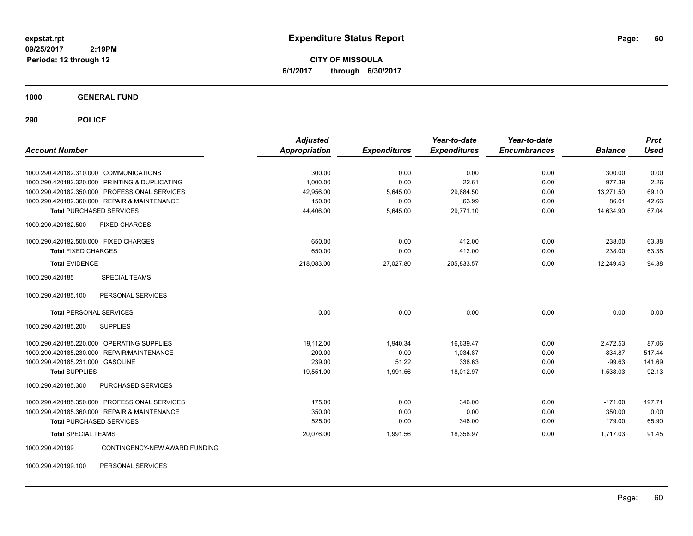**CITY OF MISSOULA 6/1/2017 through 6/30/2017**

**1000 GENERAL FUND**

| <b>Account Number</b>                            | <b>Adjusted</b> |                     | Year-to-date<br><b>Expenditures</b> | Year-to-date<br><b>Encumbrances</b> | <b>Balance</b> | <b>Prct</b><br><b>Used</b> |
|--------------------------------------------------|-----------------|---------------------|-------------------------------------|-------------------------------------|----------------|----------------------------|
|                                                  | Appropriation   | <b>Expenditures</b> |                                     |                                     |                |                            |
| 1000.290.420182.310.000 COMMUNICATIONS           | 300.00          | 0.00                | 0.00                                | 0.00                                | 300.00         | 0.00                       |
| 1000.290.420182.320.000 PRINTING & DUPLICATING   | 1,000.00        | 0.00                | 22.61                               | 0.00                                | 977.39         | 2.26                       |
| 1000.290.420182.350.000 PROFESSIONAL SERVICES    | 42,956.00       | 5,645.00            | 29,684.50                           | 0.00                                | 13,271.50      | 69.10                      |
| 1000.290.420182.360.000 REPAIR & MAINTENANCE     | 150.00          | 0.00                | 63.99                               | 0.00                                | 86.01          | 42.66                      |
| <b>Total PURCHASED SERVICES</b>                  | 44,406.00       | 5,645.00            | 29,771.10                           | 0.00                                | 14,634.90      | 67.04                      |
| <b>FIXED CHARGES</b><br>1000.290.420182.500      |                 |                     |                                     |                                     |                |                            |
| 1000.290.420182.500.000 FIXED CHARGES            | 650.00          | 0.00                | 412.00                              | 0.00                                | 238.00         | 63.38                      |
| <b>Total FIXED CHARGES</b>                       | 650.00          | 0.00                | 412.00                              | 0.00                                | 238.00         | 63.38                      |
| <b>Total EVIDENCE</b>                            | 218,083.00      | 27,027.80           | 205,833.57                          | 0.00                                | 12,249.43      | 94.38                      |
| <b>SPECIAL TEAMS</b><br>1000.290.420185          |                 |                     |                                     |                                     |                |                            |
| PERSONAL SERVICES<br>1000.290.420185.100         |                 |                     |                                     |                                     |                |                            |
| <b>Total PERSONAL SERVICES</b>                   | 0.00            | 0.00                | 0.00                                | 0.00                                | 0.00           | 0.00                       |
| 1000.290.420185.200<br><b>SUPPLIES</b>           |                 |                     |                                     |                                     |                |                            |
| 1000.290.420185.220.000 OPERATING SUPPLIES       | 19.112.00       | 1,940.34            | 16,639.47                           | 0.00                                | 2,472.53       | 87.06                      |
| 1000.290.420185.230.000 REPAIR/MAINTENANCE       | 200.00          | 0.00                | 1,034.87                            | 0.00                                | $-834.87$      | 517.44                     |
| 1000.290.420185.231.000 GASOLINE                 | 239.00          | 51.22               | 338.63                              | 0.00                                | $-99.63$       | 141.69                     |
| <b>Total SUPPLIES</b>                            | 19,551.00       | 1,991.56            | 18,012.97                           | 0.00                                | 1,538.03       | 92.13                      |
| PURCHASED SERVICES<br>1000.290.420185.300        |                 |                     |                                     |                                     |                |                            |
| 1000.290.420185.350.000 PROFESSIONAL SERVICES    | 175.00          | 0.00                | 346.00                              | 0.00                                | $-171.00$      | 197.71                     |
| 1000.290.420185.360.000 REPAIR & MAINTENANCE     | 350.00          | 0.00                | 0.00                                | 0.00                                | 350.00         | 0.00                       |
| <b>Total PURCHASED SERVICES</b>                  | 525.00          | 0.00                | 346.00                              | 0.00                                | 179.00         | 65.90                      |
| <b>Total SPECIAL TEAMS</b>                       | 20,076.00       | 1,991.56            | 18,358.97                           | 0.00                                | 1,717.03       | 91.45                      |
| CONTINGENCY-NEW AWARD FUNDING<br>1000.290.420199 |                 |                     |                                     |                                     |                |                            |
| PERSONAL SERVICES<br>1000.290.420199.100         |                 |                     |                                     |                                     |                |                            |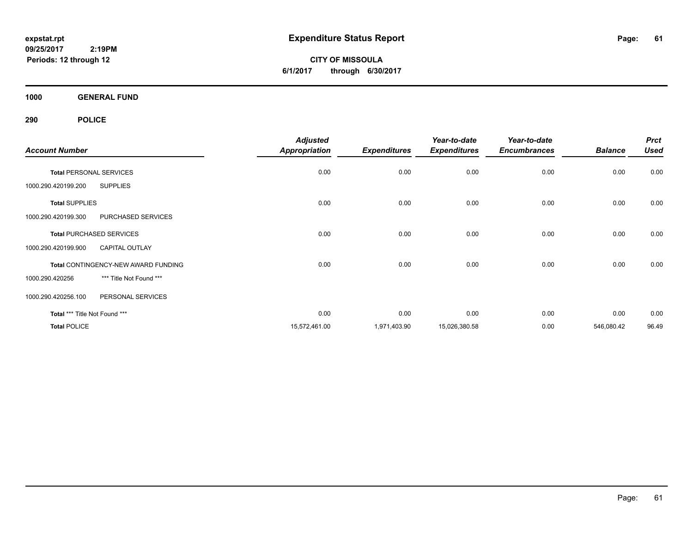**CITY OF MISSOULA 6/1/2017 through 6/30/2017**

**1000 GENERAL FUND**

| <b>Account Number</b>                        | <b>Adjusted</b><br><b>Appropriation</b> | <b>Expenditures</b> | Year-to-date<br><b>Expenditures</b> | Year-to-date<br><b>Encumbrances</b> | <b>Balance</b> | <b>Prct</b><br><b>Used</b> |
|----------------------------------------------|-----------------------------------------|---------------------|-------------------------------------|-------------------------------------|----------------|----------------------------|
| <b>Total PERSONAL SERVICES</b>               | 0.00                                    | 0.00                | 0.00                                | 0.00                                | 0.00           | 0.00                       |
| <b>SUPPLIES</b><br>1000.290.420199.200       |                                         |                     |                                     |                                     |                |                            |
| <b>Total SUPPLIES</b>                        | 0.00                                    | 0.00                | 0.00                                | 0.00                                | 0.00           | 0.00                       |
| PURCHASED SERVICES<br>1000.290.420199.300    |                                         |                     |                                     |                                     |                |                            |
| <b>Total PURCHASED SERVICES</b>              | 0.00                                    | 0.00                | 0.00                                | 0.00                                | 0.00           | 0.00                       |
| 1000.290.420199.900<br><b>CAPITAL OUTLAY</b> |                                         |                     |                                     |                                     |                |                            |
| Total CONTINGENCY-NEW AWARD FUNDING          | 0.00                                    | 0.00                | 0.00                                | 0.00                                | 0.00           | 0.00                       |
| *** Title Not Found ***<br>1000.290.420256   |                                         |                     |                                     |                                     |                |                            |
| 1000.290.420256.100<br>PERSONAL SERVICES     |                                         |                     |                                     |                                     |                |                            |
| Total *** Title Not Found ***                | 0.00                                    | 0.00                | 0.00                                | 0.00                                | 0.00           | 0.00                       |
| <b>Total POLICE</b>                          | 15,572,461.00                           | 1,971,403.90        | 15,026,380.58                       | 0.00                                | 546,080.42     | 96.49                      |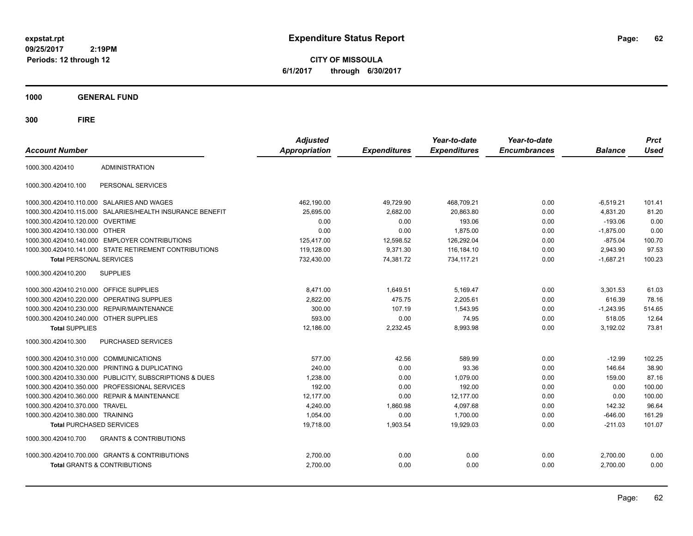**CITY OF MISSOULA 6/1/2017 through 6/30/2017**

**1000 GENERAL FUND**

| <b>Account Number</b>                   |                                                           | <b>Adjusted</b><br>Appropriation | <b>Expenditures</b> | Year-to-date<br><b>Expenditures</b> | Year-to-date<br><b>Encumbrances</b> | <b>Balance</b> | <b>Prct</b><br><b>Used</b> |
|-----------------------------------------|-----------------------------------------------------------|----------------------------------|---------------------|-------------------------------------|-------------------------------------|----------------|----------------------------|
| 1000.300.420410                         | <b>ADMINISTRATION</b>                                     |                                  |                     |                                     |                                     |                |                            |
| 1000.300.420410.100                     | PERSONAL SERVICES                                         |                                  |                     |                                     |                                     |                |                            |
|                                         | 1000.300.420410.110.000 SALARIES AND WAGES                | 462,190.00                       | 49,729.90           | 468,709.21                          | 0.00                                | $-6,519.21$    | 101.41                     |
|                                         | 1000.300.420410.115.000 SALARIES/HEALTH INSURANCE BENEFIT | 25,695.00                        | 2,682.00            | 20,863.80                           | 0.00                                | 4,831.20       | 81.20                      |
| 1000.300.420410.120.000 OVERTIME        |                                                           | 0.00                             | 0.00                | 193.06                              | 0.00                                | $-193.06$      | 0.00                       |
| 1000.300.420410.130.000 OTHER           |                                                           | 0.00                             | 0.00                | 1,875.00                            | 0.00                                | $-1,875.00$    | 0.00                       |
|                                         | 1000.300.420410.140.000 EMPLOYER CONTRIBUTIONS            | 125.417.00                       | 12,598.52           | 126.292.04                          | 0.00                                | $-875.04$      | 100.70                     |
|                                         | 1000.300.420410.141.000 STATE RETIREMENT CONTRIBUTIONS    | 119,128.00                       | 9,371.30            | 116,184.10                          | 0.00                                | 2,943.90       | 97.53                      |
| <b>Total PERSONAL SERVICES</b>          |                                                           | 732,430.00                       | 74,381.72           | 734,117.21                          | 0.00                                | $-1,687.21$    | 100.23                     |
| 1000.300.420410.200                     | <b>SUPPLIES</b>                                           |                                  |                     |                                     |                                     |                |                            |
| 1000.300.420410.210.000 OFFICE SUPPLIES |                                                           | 8,471.00                         | 1,649.51            | 5,169.47                            | 0.00                                | 3.301.53       | 61.03                      |
|                                         | 1000.300.420410.220.000 OPERATING SUPPLIES                | 2,822.00                         | 475.75              | 2,205.61                            | 0.00                                | 616.39         | 78.16                      |
| 1000.300.420410.230.000                 | <b>REPAIR/MAINTENANCE</b>                                 | 300.00                           | 107.19              | 1.543.95                            | 0.00                                | $-1.243.95$    | 514.65                     |
| 1000.300.420410.240.000                 | <b>OTHER SUPPLIES</b>                                     | 593.00                           | 0.00                | 74.95                               | 0.00                                | 518.05         | 12.64                      |
| <b>Total SUPPLIES</b>                   |                                                           | 12,186.00                        | 2,232.45            | 8,993.98                            | 0.00                                | 3,192.02       | 73.81                      |
| 1000.300.420410.300                     | <b>PURCHASED SERVICES</b>                                 |                                  |                     |                                     |                                     |                |                            |
| 1000.300.420410.310.000 COMMUNICATIONS  |                                                           | 577.00                           | 42.56               | 589.99                              | 0.00                                | $-12.99$       | 102.25                     |
| 1000.300.420410.320.000                 | PRINTING & DUPLICATING                                    | 240.00                           | 0.00                | 93.36                               | 0.00                                | 146.64         | 38.90                      |
|                                         | 1000.300.420410.330.000 PUBLICITY, SUBSCRIPTIONS & DUES   | 1,238.00                         | 0.00                | 1,079.00                            | 0.00                                | 159.00         | 87.16                      |
|                                         | 1000.300.420410.350.000 PROFESSIONAL SERVICES             | 192.00                           | 0.00                | 192.00                              | 0.00                                | 0.00           | 100.00                     |
| 1000.300.420410.360.000                 | <b>REPAIR &amp; MAINTENANCE</b>                           | 12,177.00                        | 0.00                | 12,177.00                           | 0.00                                | 0.00           | 100.00                     |
| 1000.300.420410.370.000                 | <b>TRAVEL</b>                                             | 4.240.00                         | 1,860.98            | 4,097.68                            | 0.00                                | 142.32         | 96.64                      |
| 1000.300.420410.380.000 TRAINING        |                                                           | 1,054.00                         | 0.00                | 1,700.00                            | 0.00                                | $-646.00$      | 161.29                     |
| <b>Total PURCHASED SERVICES</b>         |                                                           | 19,718.00                        | 1,903.54            | 19,929.03                           | 0.00                                | $-211.03$      | 101.07                     |
| 1000.300.420410.700                     | <b>GRANTS &amp; CONTRIBUTIONS</b>                         |                                  |                     |                                     |                                     |                |                            |
|                                         | 1000.300.420410.700.000 GRANTS & CONTRIBUTIONS            | 2,700.00                         | 0.00                | 0.00                                | 0.00                                | 2,700.00       | 0.00                       |
|                                         | <b>Total GRANTS &amp; CONTRIBUTIONS</b>                   | 2,700.00                         | 0.00                | 0.00                                | 0.00                                | 2,700.00       | 0.00                       |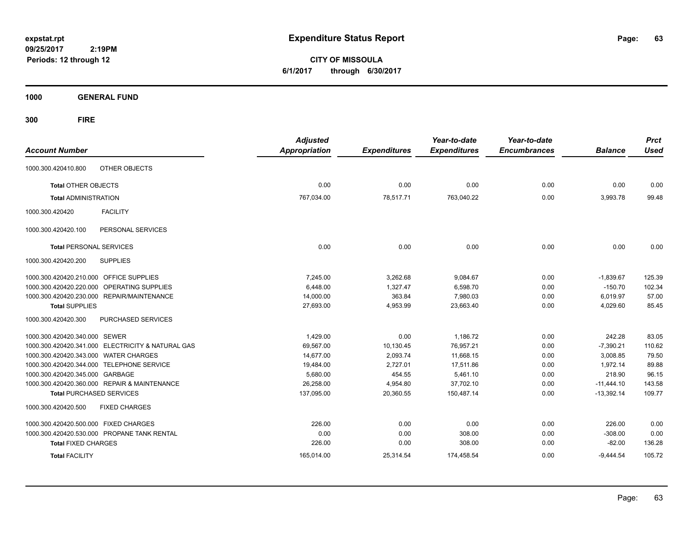**CITY OF MISSOULA 6/1/2017 through 6/30/2017**

**1000 GENERAL FUND**

| <b>Account Number</b>                                | <b>Adjusted</b><br><b>Appropriation</b> | <b>Expenditures</b> | Year-to-date<br><b>Expenditures</b> | Year-to-date<br><b>Encumbrances</b> | <b>Balance</b> | <b>Prct</b><br><b>Used</b> |
|------------------------------------------------------|-----------------------------------------|---------------------|-------------------------------------|-------------------------------------|----------------|----------------------------|
| OTHER OBJECTS<br>1000.300.420410.800                 |                                         |                     |                                     |                                     |                |                            |
| <b>Total OTHER OBJECTS</b>                           | 0.00                                    | 0.00                | 0.00                                | 0.00                                | 0.00           | 0.00                       |
| <b>Total ADMINISTRATION</b>                          | 767,034.00                              | 78,517.71           | 763,040.22                          | 0.00                                | 3,993.78       | 99.48                      |
| <b>FACILITY</b><br>1000.300.420420                   |                                         |                     |                                     |                                     |                |                            |
| PERSONAL SERVICES<br>1000.300.420420.100             |                                         |                     |                                     |                                     |                |                            |
| <b>Total PERSONAL SERVICES</b>                       | 0.00                                    | 0.00                | 0.00                                | 0.00                                | 0.00           | 0.00                       |
| 1000.300.420420.200<br><b>SUPPLIES</b>               |                                         |                     |                                     |                                     |                |                            |
| 1000.300.420420.210.000 OFFICE SUPPLIES              | 7.245.00                                | 3,262.68            | 9,084.67                            | 0.00                                | $-1,839.67$    | 125.39                     |
| <b>OPERATING SUPPLIES</b><br>1000.300.420420.220.000 | 6,448.00                                | 1,327.47            | 6,598.70                            | 0.00                                | $-150.70$      | 102.34                     |
| 1000.300.420420.230.000 REPAIR/MAINTENANCE           | 14,000.00                               | 363.84              | 7,980.03                            | 0.00                                | 6,019.97       | 57.00                      |
| <b>Total SUPPLIES</b>                                | 27,693.00                               | 4,953.99            | 23,663.40                           | 0.00                                | 4,029.60       | 85.45                      |
| PURCHASED SERVICES<br>1000.300.420420.300            |                                         |                     |                                     |                                     |                |                            |
| 1000.300.420420.340.000 SEWER                        | 1,429.00                                | 0.00                | 1,186.72                            | 0.00                                | 242.28         | 83.05                      |
| 1000.300.420420.341.000 ELECTRICITY & NATURAL GAS    | 69,567.00                               | 10,130.45           | 76,957.21                           | 0.00                                | $-7,390.21$    | 110.62                     |
| 1000.300.420420.343.000 WATER CHARGES                | 14,677.00                               | 2,093.74            | 11,668.15                           | 0.00                                | 3,008.85       | 79.50                      |
| 1000.300.420420.344.000 TELEPHONE SERVICE            | 19,484.00                               | 2,727.01            | 17,511.86                           | 0.00                                | 1,972.14       | 89.88                      |
| 1000.300.420420.345.000 GARBAGE                      | 5,680.00                                | 454.55              | 5.461.10                            | 0.00                                | 218.90         | 96.15                      |
| 1000.300.420420.360.000 REPAIR & MAINTENANCE         | 26,258.00                               | 4,954.80            | 37,702.10                           | 0.00                                | $-11,444.10$   | 143.58                     |
| <b>Total PURCHASED SERVICES</b>                      | 137,095.00                              | 20,360.55           | 150,487.14                          | 0.00                                | $-13,392.14$   | 109.77                     |
| 1000.300.420420.500<br><b>FIXED CHARGES</b>          |                                         |                     |                                     |                                     |                |                            |
| 1000.300.420420.500.000 FIXED CHARGES                | 226.00                                  | 0.00                | 0.00                                | 0.00                                | 226.00         | 0.00                       |
| 1000.300.420420.530.000 PROPANE TANK RENTAL          | 0.00                                    | 0.00                | 308.00                              | 0.00                                | $-308.00$      | 0.00                       |
| <b>Total FIXED CHARGES</b>                           | 226.00                                  | 0.00                | 308.00                              | 0.00                                | $-82.00$       | 136.28                     |
| <b>Total FACILITY</b>                                | 165,014.00                              | 25,314.54           | 174,458.54                          | 0.00                                | $-9,444.54$    | 105.72                     |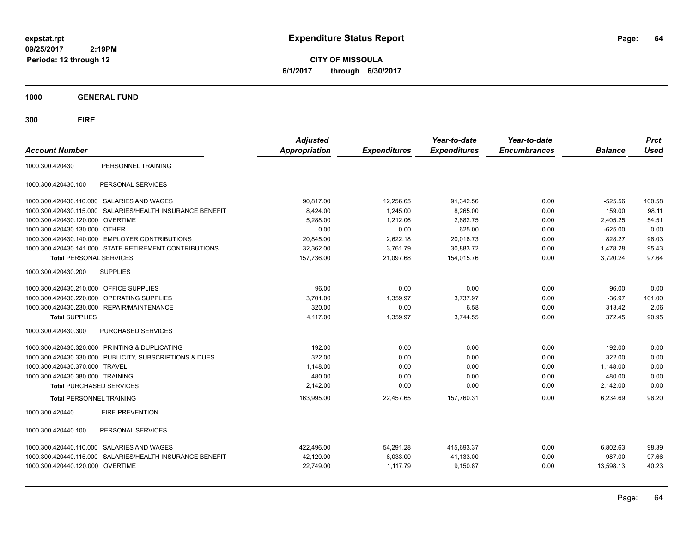**CITY OF MISSOULA 6/1/2017 through 6/30/2017**

**1000 GENERAL FUND**

| <b>Account Number</b>                   |                                                         | <b>Adjusted</b><br><b>Appropriation</b> | <b>Expenditures</b> | Year-to-date<br><b>Expenditures</b> | Year-to-date<br><b>Encumbrances</b> | <b>Balance</b> | <b>Prct</b><br><b>Used</b> |
|-----------------------------------------|---------------------------------------------------------|-----------------------------------------|---------------------|-------------------------------------|-------------------------------------|----------------|----------------------------|
| 1000.300.420430                         | PERSONNEL TRAINING                                      |                                         |                     |                                     |                                     |                |                            |
| 1000.300.420430.100                     | PERSONAL SERVICES                                       |                                         |                     |                                     |                                     |                |                            |
|                                         | 1000.300.420430.110.000 SALARIES AND WAGES              | 90.817.00                               | 12,256.65           | 91,342.56                           | 0.00                                | $-525.56$      | 100.58                     |
| 1000.300.420430.115.000                 | SALARIES/HEALTH INSURANCE BENEFIT                       | 8,424.00                                | 1,245.00            | 8,265.00                            | 0.00                                | 159.00         | 98.11                      |
| 1000.300.420430.120.000 OVERTIME        |                                                         | 5,288.00                                | 1,212.06            | 2,882.75                            | 0.00                                | 2,405.25       | 54.51                      |
| 1000.300.420430.130.000 OTHER           |                                                         | 0.00                                    | 0.00                | 625.00                              | 0.00                                | $-625.00$      | 0.00                       |
|                                         | 1000.300.420430.140.000 EMPLOYER CONTRIBUTIONS          | 20,845.00                               | 2,622.18            | 20,016.73                           | 0.00                                | 828.27         | 96.03                      |
|                                         | 1000.300.420430.141.000 STATE RETIREMENT CONTRIBUTIONS  | 32,362.00                               | 3,761.79            | 30,883.72                           | 0.00                                | 1,478.28       | 95.43                      |
| <b>Total PERSONAL SERVICES</b>          |                                                         | 157,736.00                              | 21,097.68           | 154,015.76                          | 0.00                                | 3,720.24       | 97.64                      |
| 1000.300.420430.200                     | <b>SUPPLIES</b>                                         |                                         |                     |                                     |                                     |                |                            |
| 1000.300.420430.210.000 OFFICE SUPPLIES |                                                         | 96.00                                   | 0.00                | 0.00                                | 0.00                                | 96.00          | 0.00                       |
| 1000.300.420430.220.000                 | OPERATING SUPPLIES                                      | 3,701.00                                | 1,359.97            | 3,737.97                            | 0.00                                | $-36.97$       | 101.00                     |
|                                         | 1000.300.420430.230.000 REPAIR/MAINTENANCE              | 320.00                                  | 0.00                | 6.58                                | 0.00                                | 313.42         | 2.06                       |
| <b>Total SUPPLIES</b>                   |                                                         | 4,117.00                                | 1,359.97            | 3,744.55                            | 0.00                                | 372.45         | 90.95                      |
| 1000.300.420430.300                     | PURCHASED SERVICES                                      |                                         |                     |                                     |                                     |                |                            |
|                                         | 1000.300.420430.320.000 PRINTING & DUPLICATING          | 192.00                                  | 0.00                | 0.00                                | 0.00                                | 192.00         | 0.00                       |
|                                         | 1000.300.420430.330.000 PUBLICITY, SUBSCRIPTIONS & DUES | 322.00                                  | 0.00                | 0.00                                | 0.00                                | 322.00         | 0.00                       |
| 1000.300.420430.370.000 TRAVEL          |                                                         | 1,148.00                                | 0.00                | 0.00                                | 0.00                                | 1.148.00       | 0.00                       |
| 1000.300.420430.380.000 TRAINING        |                                                         | 480.00                                  | 0.00                | 0.00                                | 0.00                                | 480.00         | 0.00                       |
| <b>Total PURCHASED SERVICES</b>         |                                                         | 2,142.00                                | 0.00                | 0.00                                | 0.00                                | 2,142.00       | 0.00                       |
| <b>Total PERSONNEL TRAINING</b>         |                                                         | 163,995.00                              | 22,457.65           | 157,760.31                          | 0.00                                | 6,234.69       | 96.20                      |
| 1000.300.420440                         | <b>FIRE PREVENTION</b>                                  |                                         |                     |                                     |                                     |                |                            |
| 1000.300.420440.100                     | PERSONAL SERVICES                                       |                                         |                     |                                     |                                     |                |                            |
|                                         | 1000.300.420440.110.000 SALARIES AND WAGES              | 422.496.00                              | 54,291.28           | 415.693.37                          | 0.00                                | 6,802.63       | 98.39                      |
| 1000.300.420440.115.000                 | SALARIES/HEALTH INSURANCE BENEFIT                       | 42,120.00                               | 6,033.00            | 41,133.00                           | 0.00                                | 987.00         | 97.66                      |
| 1000.300.420440.120.000 OVERTIME        |                                                         | 22,749.00                               | 1,117.79            | 9,150.87                            | 0.00                                | 13,598.13      | 40.23                      |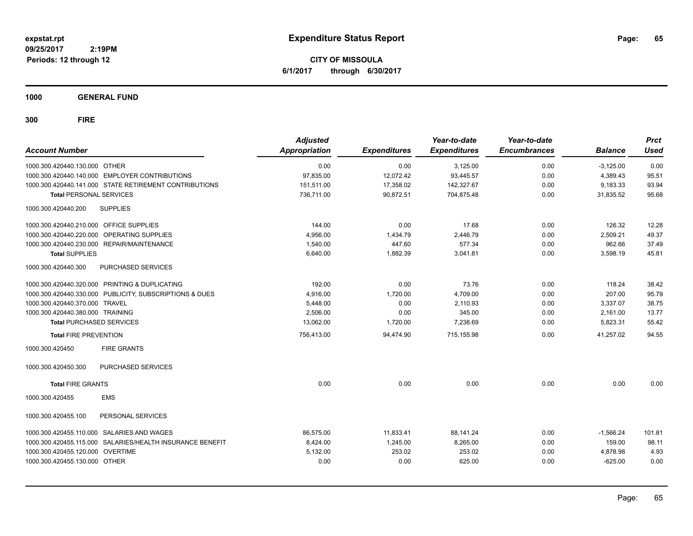**CITY OF MISSOULA 6/1/2017 through 6/30/2017**

**1000 GENERAL FUND**

| <b>Account Number</b>                   |                                                           | <b>Adjusted</b><br><b>Appropriation</b> | <b>Expenditures</b> | Year-to-date<br><b>Expenditures</b> | Year-to-date<br><b>Encumbrances</b> | <b>Balance</b> | <b>Prct</b><br><b>Used</b> |
|-----------------------------------------|-----------------------------------------------------------|-----------------------------------------|---------------------|-------------------------------------|-------------------------------------|----------------|----------------------------|
| 1000.300.420440.130.000 OTHER           |                                                           | 0.00                                    | 0.00                | 3,125.00                            | 0.00                                | $-3,125.00$    | 0.00                       |
|                                         | 1000.300.420440.140.000 EMPLOYER CONTRIBUTIONS            | 97,835.00                               | 12,072.42           | 93,445.57                           | 0.00                                | 4,389.43       | 95.51                      |
|                                         | 1000.300.420440.141.000 STATE RETIREMENT CONTRIBUTIONS    | 151,511.00                              | 17,358.02           | 142,327.67                          | 0.00                                | 9,183.33       | 93.94                      |
| <b>Total PERSONAL SERVICES</b>          |                                                           | 736.711.00                              | 90.872.51           | 704,875.48                          | 0.00                                | 31.835.52      | 95.68                      |
| 1000.300.420440.200                     | <b>SUPPLIES</b>                                           |                                         |                     |                                     |                                     |                |                            |
| 1000.300.420440.210.000 OFFICE SUPPLIES |                                                           | 144.00                                  | 0.00                | 17.68                               | 0.00                                | 126.32         | 12.28                      |
|                                         | 1000.300.420440.220.000 OPERATING SUPPLIES                | 4,956.00                                | 1,434.79            | 2,446.79                            | 0.00                                | 2,509.21       | 49.37                      |
|                                         | 1000.300.420440.230.000 REPAIR/MAINTENANCE                | 1,540.00                                | 447.60              | 577.34                              | 0.00                                | 962.66         | 37.49                      |
| <b>Total SUPPLIES</b>                   |                                                           | 6,640.00                                | 1,882.39            | 3,041.81                            | 0.00                                | 3,598.19       | 45.81                      |
| 1000.300.420440.300                     | PURCHASED SERVICES                                        |                                         |                     |                                     |                                     |                |                            |
|                                         | 1000.300.420440.320.000 PRINTING & DUPLICATING            | 192.00                                  | 0.00                | 73.76                               | 0.00                                | 118.24         | 38.42                      |
|                                         | 1000.300.420440.330.000 PUBLICITY, SUBSCRIPTIONS & DUES   | 4,916.00                                | 1,720.00            | 4,709.00                            | 0.00                                | 207.00         | 95.79                      |
| 1000.300.420440.370.000 TRAVEL          |                                                           | 5,448.00                                | 0.00                | 2,110.93                            | 0.00                                | 3,337.07       | 38.75                      |
| 1000.300.420440.380.000 TRAINING        |                                                           | 2.506.00                                | 0.00                | 345.00                              | 0.00                                | 2,161.00       | 13.77                      |
| <b>Total PURCHASED SERVICES</b>         |                                                           | 13,062.00                               | 1,720.00            | 7,238.69                            | 0.00                                | 5,823.31       | 55.42                      |
| <b>Total FIRE PREVENTION</b>            |                                                           | 756,413.00                              | 94,474.90           | 715,155.98                          | 0.00                                | 41,257.02      | 94.55                      |
| 1000.300.420450                         | <b>FIRE GRANTS</b>                                        |                                         |                     |                                     |                                     |                |                            |
| 1000.300.420450.300                     | PURCHASED SERVICES                                        |                                         |                     |                                     |                                     |                |                            |
| <b>Total FIRE GRANTS</b>                |                                                           | 0.00                                    | 0.00                | 0.00                                | 0.00                                | 0.00           | 0.00                       |
| 1000.300.420455                         | <b>EMS</b>                                                |                                         |                     |                                     |                                     |                |                            |
| 1000.300.420455.100                     | PERSONAL SERVICES                                         |                                         |                     |                                     |                                     |                |                            |
| 1000.300.420455.110.000                 | SALARIES AND WAGES                                        | 86,575.00                               | 11,833.41           | 88,141.24                           | 0.00                                | $-1,566.24$    | 101.81                     |
|                                         | 1000.300.420455.115.000 SALARIES/HEALTH INSURANCE BENEFIT | 8,424.00                                | 1,245.00            | 8,265.00                            | 0.00                                | 159.00         | 98.11                      |
| 1000.300.420455.120.000 OVERTIME        |                                                           | 5,132.00                                | 253.02              | 253.02                              | 0.00                                | 4,878.98       | 4.93                       |
| 1000.300.420455.130.000 OTHER           |                                                           | 0.00                                    | 0.00                | 625.00                              | 0.00                                | $-625.00$      | 0.00                       |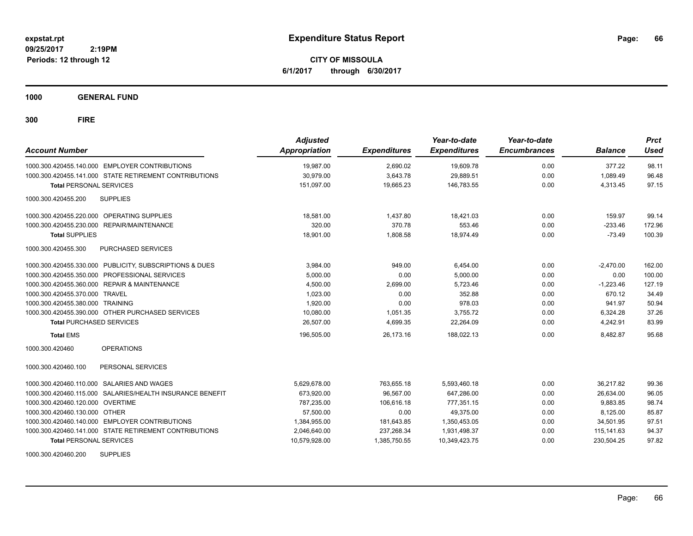**CITY OF MISSOULA 6/1/2017 through 6/30/2017**

**1000 GENERAL FUND**

**300 FIRE**

| <b>Account Number</b>                                      | <b>Adjusted</b><br><b>Appropriation</b> | <b>Expenditures</b> | Year-to-date<br><b>Expenditures</b> | Year-to-date<br><b>Encumbrances</b> | <b>Balance</b> | <b>Prct</b><br>Used |
|------------------------------------------------------------|-----------------------------------------|---------------------|-------------------------------------|-------------------------------------|----------------|---------------------|
| 1000.300.420455.140.000 EMPLOYER CONTRIBUTIONS             | 19,987.00                               | 2,690.02            | 19,609.78                           | 0.00                                | 377.22         | 98.11               |
| 1000.300.420455.141.000 STATE RETIREMENT CONTRIBUTIONS     | 30,979.00                               | 3,643.78            | 29,889.51                           | 0.00                                | 1.089.49       | 96.48               |
| <b>Total PERSONAL SERVICES</b>                             | 151,097.00                              | 19,665.23           | 146,783.55                          | 0.00                                | 4,313.45       | 97.15               |
| 1000.300.420455.200<br><b>SUPPLIES</b>                     |                                         |                     |                                     |                                     |                |                     |
| 1000.300.420455.220.000 OPERATING SUPPLIES                 | 18,581.00                               | 1,437.80            | 18,421.03                           | 0.00                                | 159.97         | 99.14               |
| <b>REPAIR/MAINTENANCE</b><br>1000.300.420455.230.000       | 320.00                                  | 370.78              | 553.46                              | 0.00                                | $-233.46$      | 172.96              |
| <b>Total SUPPLIES</b>                                      | 18,901.00                               | 1,808.58            | 18,974.49                           | 0.00                                | $-73.49$       | 100.39              |
| 1000.300.420455.300<br>PURCHASED SERVICES                  |                                         |                     |                                     |                                     |                |                     |
| 1000.300.420455.330.000 PUBLICITY, SUBSCRIPTIONS & DUES    | 3.984.00                                | 949.00              | 6,454.00                            | 0.00                                | $-2,470.00$    | 162.00              |
| PROFESSIONAL SERVICES<br>1000.300.420455.350.000           | 5,000.00                                | 0.00                | 5.000.00                            | 0.00                                | 0.00           | 100.00              |
| <b>REPAIR &amp; MAINTENANCE</b><br>1000.300.420455.360.000 | 4,500.00                                | 2,699.00            | 5.723.46                            | 0.00                                | $-1.223.46$    | 127.19              |
| 1000.300.420455.370.000<br>TRAVEL                          | 1,023.00                                | 0.00                | 352.88                              | 0.00                                | 670.12         | 34.49               |
| 1000.300.420455.380.000 TRAINING                           | 1,920.00                                | 0.00                | 978.03                              | 0.00                                | 941.97         | 50.94               |
| 1000.300.420455.390.000 OTHER PURCHASED SERVICES           | 10,080.00                               | 1,051.35            | 3,755.72                            | 0.00                                | 6,324.28       | 37.26               |
| <b>Total PURCHASED SERVICES</b>                            | 26,507.00                               | 4,699.35            | 22,264.09                           | 0.00                                | 4,242.91       | 83.99               |
| <b>Total EMS</b>                                           | 196,505.00                              | 26.173.16           | 188.022.13                          | 0.00                                | 8.482.87       | 95.68               |
| <b>OPERATIONS</b><br>1000.300.420460                       |                                         |                     |                                     |                                     |                |                     |
| PERSONAL SERVICES<br>1000.300.420460.100                   |                                         |                     |                                     |                                     |                |                     |
| 1000.300.420460.110.000 SALARIES AND WAGES                 | 5,629,678.00                            | 763,655.18          | 5,593,460.18                        | 0.00                                | 36,217.82      | 99.36               |
| 1000.300.420460.115.000 SALARIES/HEALTH INSURANCE BENEFIT  | 673,920.00                              | 96,567.00           | 647,286.00                          | 0.00                                | 26,634.00      | 96.05               |
| 1000.300.420460.120.000 OVERTIME                           | 787.235.00                              | 106.616.18          | 777.351.15                          | 0.00                                | 9.883.85       | 98.74               |
| 1000.300.420460.130.000 OTHER                              | 57,500.00                               | 0.00                | 49.375.00                           | 0.00                                | 8.125.00       | 85.87               |
| 1000.300.420460.140.000 EMPLOYER CONTRIBUTIONS             | 1,384,955.00                            | 181,643.85          | 1,350,453.05                        | 0.00                                | 34,501.95      | 97.51               |
| 1000.300.420460.141.000 STATE RETIREMENT CONTRIBUTIONS     | 2,046,640.00                            | 237,268.34          | 1,931,498.37                        | 0.00                                | 115, 141.63    | 94.37               |
| <b>Total PERSONAL SERVICES</b>                             | 10,579,928.00                           | 1,385,750.55        | 10,349,423.75                       | 0.00                                | 230,504.25     | 97.82               |

1000.300.420460.200 SUPPLIES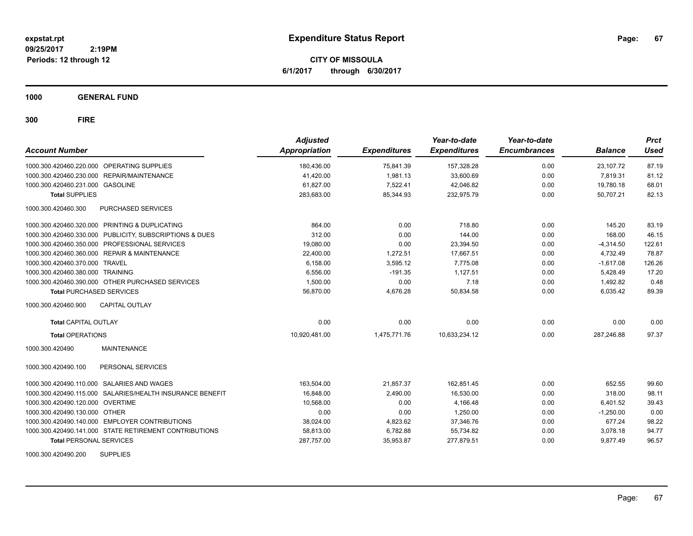**CITY OF MISSOULA 6/1/2017 through 6/30/2017**

**1000 GENERAL FUND**

| <b>Account Number</b>                                     | <b>Adjusted</b><br><b>Appropriation</b> | <b>Expenditures</b> | Year-to-date<br><b>Expenditures</b> | Year-to-date<br><b>Encumbrances</b> | <b>Balance</b> | <b>Prct</b><br><b>Used</b> |
|-----------------------------------------------------------|-----------------------------------------|---------------------|-------------------------------------|-------------------------------------|----------------|----------------------------|
| 1000.300.420460.220.000 OPERATING SUPPLIES                | 180,436.00                              | 75,841.39           | 157,328.28                          | 0.00                                | 23.107.72      | 87.19                      |
| 1000.300.420460.230.000 REPAIR/MAINTENANCE                | 41,420.00                               | 1.981.13            | 33,600.69                           | 0.00                                | 7.819.31       | 81.12                      |
| 1000.300.420460.231.000 GASOLINE                          | 61,827.00                               | 7,522.41            | 42,046.82                           | 0.00                                | 19,780.18      | 68.01                      |
| <b>Total SUPPLIES</b>                                     | 283,683.00                              | 85,344.93           | 232,975.79                          | 0.00                                | 50,707.21      | 82.13                      |
| PURCHASED SERVICES<br>1000.300.420460.300                 |                                         |                     |                                     |                                     |                |                            |
| 1000.300.420460.320.000 PRINTING & DUPLICATING            | 864.00                                  | 0.00                | 718.80                              | 0.00                                | 145.20         | 83.19                      |
| 1000.300.420460.330.000 PUBLICITY, SUBSCRIPTIONS & DUES   | 312.00                                  | 0.00                | 144.00                              | 0.00                                | 168.00         | 46.15                      |
| 1000.300.420460.350.000 PROFESSIONAL SERVICES             | 19,080.00                               | 0.00                | 23,394.50                           | 0.00                                | $-4,314.50$    | 122.61                     |
| 1000.300.420460.360.000 REPAIR & MAINTENANCE              | 22,400.00                               | 1,272.51            | 17,667.51                           | 0.00                                | 4,732.49       | 78.87                      |
| 1000.300.420460.370.000<br>TRAVEL                         | 6,158.00                                | 3,595.12            | 7.775.08                            | 0.00                                | $-1,617.08$    | 126.26                     |
| 1000.300.420460.380.000 TRAINING                          | 6,556.00                                | $-191.35$           | 1,127.51                            | 0.00                                | 5,428.49       | 17.20                      |
| 1000.300.420460.390.000 OTHER PURCHASED SERVICES          | 1,500.00                                | 0.00                | 7.18                                | 0.00                                | 1,492.82       | 0.48                       |
| <b>Total PURCHASED SERVICES</b>                           | 56,870.00                               | 4,676.28            | 50,834.58                           | 0.00                                | 6,035.42       | 89.39                      |
| 1000.300.420460.900<br><b>CAPITAL OUTLAY</b>              |                                         |                     |                                     |                                     |                |                            |
| <b>Total CAPITAL OUTLAY</b>                               | 0.00                                    | 0.00                | 0.00                                | 0.00                                | 0.00           | 0.00                       |
| <b>Total OPERATIONS</b>                                   | 10,920,481.00                           | 1,475,771.76        | 10,633,234.12                       | 0.00                                | 287,246.88     | 97.37                      |
| <b>MAINTENANCE</b><br>1000.300.420490                     |                                         |                     |                                     |                                     |                |                            |
| PERSONAL SERVICES<br>1000.300.420490.100                  |                                         |                     |                                     |                                     |                |                            |
| 1000.300.420490.110.000 SALARIES AND WAGES                | 163,504.00                              | 21.857.37           | 162.851.45                          | 0.00                                | 652.55         | 99.60                      |
| 1000.300.420490.115.000 SALARIES/HEALTH INSURANCE BENEFIT | 16,848.00                               | 2,490.00            | 16,530.00                           | 0.00                                | 318.00         | 98.11                      |
| 1000.300.420490.120.000 OVERTIME                          | 10,568.00                               | 0.00                | 4,166.48                            | 0.00                                | 6,401.52       | 39.43                      |
| 1000.300.420490.130.000 OTHER                             | 0.00                                    | 0.00                | 1,250.00                            | 0.00                                | $-1,250.00$    | 0.00                       |
| 1000.300.420490.140.000 EMPLOYER CONTRIBUTIONS            | 38,024.00                               | 4,823.62            | 37,346.76                           | 0.00                                | 677.24         | 98.22                      |
| 1000.300.420490.141.000 STATE RETIREMENT CONTRIBUTIONS    | 58,813.00                               | 6,782.88            | 55,734.82                           | 0.00                                | 3,078.18       | 94.77                      |
| <b>Total PERSONAL SERVICES</b>                            | 287,757.00                              | 35,953.87           | 277,879.51                          | 0.00                                | 9,877.49       | 96.57                      |
| <b>SUPPLIES</b><br>1000.300.420490.200                    |                                         |                     |                                     |                                     |                |                            |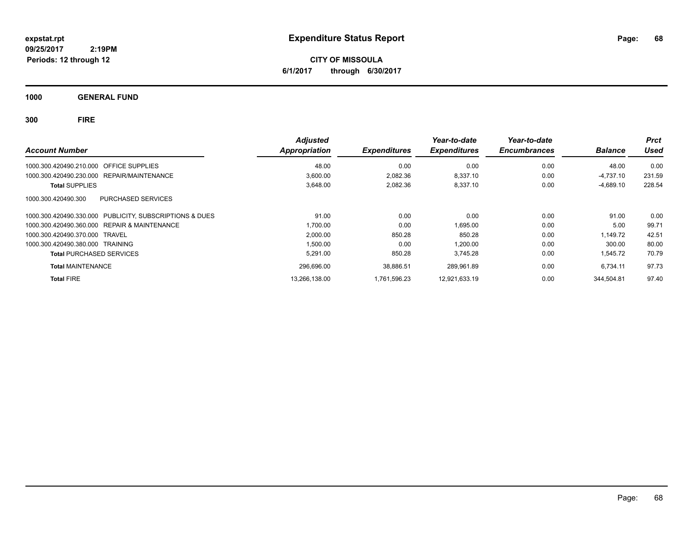**CITY OF MISSOULA 6/1/2017 through 6/30/2017**

**1000 GENERAL FUND**

| <b>Account Number</b>                                      | <b>Adjusted</b><br><b>Appropriation</b> | <b>Expenditures</b> | Year-to-date<br><b>Expenditures</b> | Year-to-date<br><b>Encumbrances</b> | <b>Balance</b> | <b>Prct</b><br>Used |
|------------------------------------------------------------|-----------------------------------------|---------------------|-------------------------------------|-------------------------------------|----------------|---------------------|
|                                                            |                                         |                     |                                     |                                     |                |                     |
| 1000.300.420490.210.000 OFFICE SUPPLIES                    | 48.00                                   | 0.00                | 0.00                                | 0.00                                | 48.00          | 0.00                |
| REPAIR/MAINTENANCE<br>1000.300.420490.230.000              | 3.600.00                                | 2.082.36            | 8.337.10                            | 0.00                                | $-4,737.10$    | 231.59              |
| <b>Total SUPPLIES</b>                                      | 3,648.00                                | 2,082.36            | 8,337.10                            | 0.00                                | $-4,689.10$    | 228.54              |
| PURCHASED SERVICES<br>1000.300.420490.300                  |                                         |                     |                                     |                                     |                |                     |
| PUBLICITY, SUBSCRIPTIONS & DUES<br>1000.300.420490.330.000 | 91.00                                   | 0.00                | 0.00                                | 0.00                                | 91.00          | 0.00                |
| <b>REPAIR &amp; MAINTENANCE</b><br>1000.300.420490.360.000 | 1,700.00                                | 0.00                | 1,695.00                            | 0.00                                | 5.00           | 99.71               |
| 1000.300.420490.370.000 TRAVEL                             | 2,000.00                                | 850.28              | 850.28                              | 0.00                                | 1,149.72       | 42.51               |
| 1000.300.420490.380.000 TRAINING                           | 1.500.00                                | 0.00                | 1.200.00                            | 0.00                                | 300.00         | 80.00               |
| <b>Total PURCHASED SERVICES</b>                            | 5,291.00                                | 850.28              | 3.745.28                            | 0.00                                | 1,545.72       | 70.79               |
| <b>Total MAINTENANCE</b>                                   | 296,696.00                              | 38,886.51           | 289.961.89                          | 0.00                                | 6,734.11       | 97.73               |
| <b>Total FIRE</b>                                          | 13.266.138.00                           | 1.761.596.23        | 12.921.633.19                       | 0.00                                | 344.504.81     | 97.40               |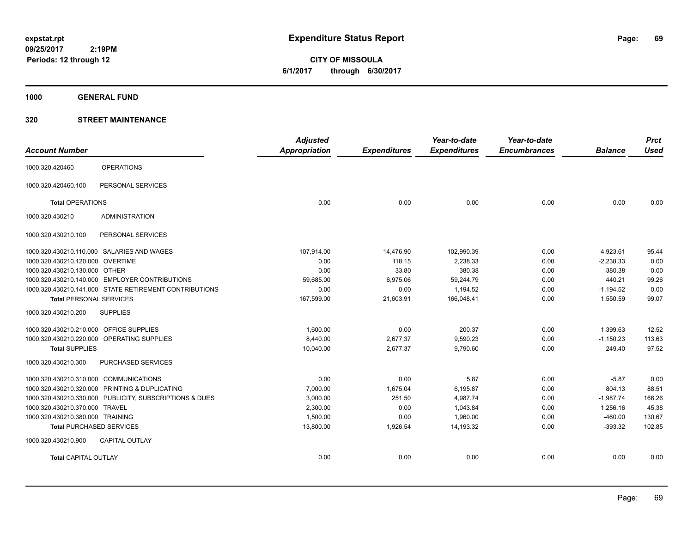**CITY OF MISSOULA 6/1/2017 through 6/30/2017**

**1000 GENERAL FUND**

### **320 STREET MAINTENANCE**

| <b>Account Number</b>                      |                                                         | <b>Adjusted</b><br>Appropriation | <b>Expenditures</b> | Year-to-date<br><b>Expenditures</b> | Year-to-date<br><b>Encumbrances</b> | <b>Balance</b> | <b>Prct</b><br><b>Used</b> |
|--------------------------------------------|---------------------------------------------------------|----------------------------------|---------------------|-------------------------------------|-------------------------------------|----------------|----------------------------|
|                                            |                                                         |                                  |                     |                                     |                                     |                |                            |
| 1000.320.420460                            | <b>OPERATIONS</b>                                       |                                  |                     |                                     |                                     |                |                            |
| 1000.320.420460.100                        | PERSONAL SERVICES                                       |                                  |                     |                                     |                                     |                |                            |
| <b>Total OPERATIONS</b>                    |                                                         | 0.00                             | 0.00                | 0.00                                | 0.00                                | 0.00           | 0.00                       |
| 1000.320.430210                            | <b>ADMINISTRATION</b>                                   |                                  |                     |                                     |                                     |                |                            |
| 1000.320.430210.100                        | PERSONAL SERVICES                                       |                                  |                     |                                     |                                     |                |                            |
|                                            | 1000.320.430210.110.000 SALARIES AND WAGES              | 107,914.00                       | 14,476.90           | 102,990.39                          | 0.00                                | 4,923.61       | 95.44                      |
| 1000.320.430210.120.000 OVERTIME           |                                                         | 0.00                             | 118.15              | 2,238.33                            | 0.00                                | $-2,238.33$    | 0.00                       |
| 1000.320.430210.130.000 OTHER              |                                                         | 0.00                             | 33.80               | 380.38                              | 0.00                                | $-380.38$      | 0.00                       |
|                                            | 1000.320.430210.140.000 EMPLOYER CONTRIBUTIONS          | 59.685.00                        | 6,975.06            | 59,244.79                           | 0.00                                | 440.21         | 99.26                      |
|                                            | 1000.320.430210.141.000 STATE RETIREMENT CONTRIBUTIONS  | 0.00                             | 0.00                | 1,194.52                            | 0.00                                | $-1,194.52$    | 0.00                       |
| <b>Total PERSONAL SERVICES</b>             |                                                         | 167,599.00                       | 21,603.91           | 166,048.41                          | 0.00                                | 1,550.59       | 99.07                      |
| 1000.320.430210.200                        | <b>SUPPLIES</b>                                         |                                  |                     |                                     |                                     |                |                            |
| 1000.320.430210.210.000 OFFICE SUPPLIES    |                                                         | 1.600.00                         | 0.00                | 200.37                              | 0.00                                | 1,399.63       | 12.52                      |
| 1000.320.430210.220.000 OPERATING SUPPLIES |                                                         | 8,440.00                         | 2,677.37            | 9,590.23                            | 0.00                                | $-1,150.23$    | 113.63                     |
| <b>Total SUPPLIES</b>                      |                                                         | 10,040.00                        | 2,677.37            | 9,790.60                            | 0.00                                | 249.40         | 97.52                      |
| 1000.320.430210.300                        | PURCHASED SERVICES                                      |                                  |                     |                                     |                                     |                |                            |
| 1000.320.430210.310.000 COMMUNICATIONS     |                                                         | 0.00                             | 0.00                | 5.87                                | 0.00                                | $-5.87$        | 0.00                       |
|                                            | 1000.320.430210.320.000 PRINTING & DUPLICATING          | 7,000.00                         | 1,675.04            | 6,195.87                            | 0.00                                | 804.13         | 88.51                      |
|                                            | 1000.320.430210.330.000 PUBLICITY, SUBSCRIPTIONS & DUES | 3,000.00                         | 251.50              | 4,987.74                            | 0.00                                | $-1,987.74$    | 166.26                     |
| 1000.320.430210.370.000 TRAVEL             |                                                         | 2,300.00                         | 0.00                | 1,043.84                            | 0.00                                | 1,256.16       | 45.38                      |
| 1000.320.430210.380.000 TRAINING           |                                                         | 1,500.00                         | 0.00                | 1,960.00                            | 0.00                                | $-460.00$      | 130.67                     |
| <b>Total PURCHASED SERVICES</b>            |                                                         | 13,800.00                        | 1,926.54            | 14,193.32                           | 0.00                                | $-393.32$      | 102.85                     |
| 1000.320.430210.900                        | <b>CAPITAL OUTLAY</b>                                   |                                  |                     |                                     |                                     |                |                            |
| <b>Total CAPITAL OUTLAY</b>                |                                                         | 0.00                             | 0.00                | 0.00                                | 0.00                                | 0.00           | 0.00                       |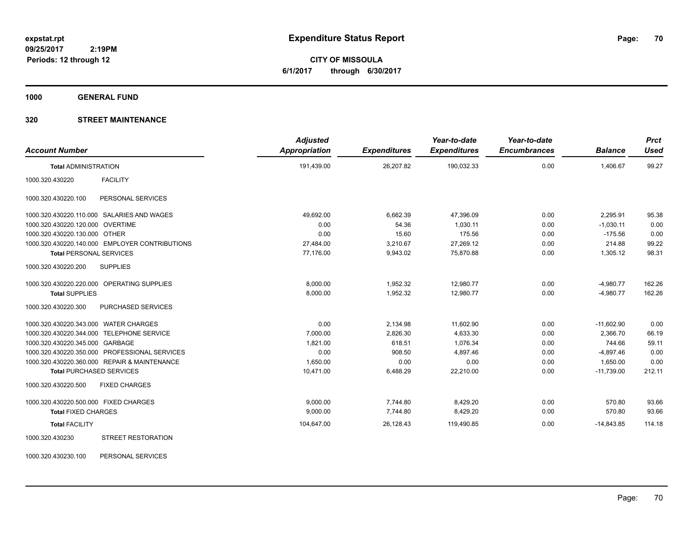**CITY OF MISSOULA 6/1/2017 through 6/30/2017**

**1000 GENERAL FUND**

### **320 STREET MAINTENANCE**

| <b>Account Number</b>                            | <b>Adjusted</b><br>Appropriation | <b>Expenditures</b> | Year-to-date<br><b>Expenditures</b> | Year-to-date<br><b>Encumbrances</b> | <b>Balance</b> | <b>Prct</b><br><b>Used</b> |
|--------------------------------------------------|----------------------------------|---------------------|-------------------------------------|-------------------------------------|----------------|----------------------------|
| <b>Total ADMINISTRATION</b>                      | 191,439.00                       | 26,207.82           | 190,032.33                          | 0.00                                | 1,406.67       | 99.27                      |
| 1000.320.430220<br><b>FACILITY</b>               |                                  |                     |                                     |                                     |                |                            |
| 1000.320.430220.100<br>PERSONAL SERVICES         |                                  |                     |                                     |                                     |                |                            |
| 1000.320.430220.110.000 SALARIES AND WAGES       | 49,692.00                        | 6,662.39            | 47,396.09                           | 0.00                                | 2,295.91       | 95.38                      |
| 1000.320.430220.120.000 OVERTIME                 | 0.00                             | 54.36               | 1,030.11                            | 0.00                                | $-1,030.11$    | 0.00                       |
| 1000.320.430220.130.000 OTHER                    | 0.00                             | 15.60               | 175.56                              | 0.00                                | $-175.56$      | 0.00                       |
| 1000.320.430220.140.000 EMPLOYER CONTRIBUTIONS   | 27,484.00                        | 3,210.67            | 27,269.12                           | 0.00                                | 214.88         | 99.22                      |
| <b>Total PERSONAL SERVICES</b>                   | 77,176.00                        | 9,943.02            | 75,870.88                           | 0.00                                | 1,305.12       | 98.31                      |
| 1000.320.430220.200<br><b>SUPPLIES</b>           |                                  |                     |                                     |                                     |                |                            |
| 1000.320.430220.220.000 OPERATING SUPPLIES       | 8,000.00                         | 1,952.32            | 12,980.77                           | 0.00                                | $-4,980.77$    | 162.26                     |
| <b>Total SUPPLIES</b>                            | 8,000.00                         | 1,952.32            | 12,980.77                           | 0.00                                | $-4,980.77$    | 162.26                     |
| 1000.320.430220.300<br><b>PURCHASED SERVICES</b> |                                  |                     |                                     |                                     |                |                            |
| 1000.320.430220.343.000 WATER CHARGES            | 0.00                             | 2,134.98            | 11,602.90                           | 0.00                                | $-11,602.90$   | 0.00                       |
| 1000.320.430220.344.000 TELEPHONE SERVICE        | 7,000.00                         | 2,826.30            | 4,633.30                            | 0.00                                | 2,366.70       | 66.19                      |
| 1000.320.430220.345.000 GARBAGE                  | 1,821.00                         | 618.51              | 1,076.34                            | 0.00                                | 744.66         | 59.11                      |
| 1000.320.430220.350.000 PROFESSIONAL SERVICES    | 0.00                             | 908.50              | 4,897.46                            | 0.00                                | $-4,897.46$    | 0.00                       |
| 1000.320.430220.360.000 REPAIR & MAINTENANCE     | 1.650.00                         | 0.00                | 0.00                                | 0.00                                | 1,650.00       | 0.00                       |
| <b>Total PURCHASED SERVICES</b>                  | 10,471.00                        | 6,488.29            | 22,210.00                           | 0.00                                | $-11,739.00$   | 212.11                     |
| <b>FIXED CHARGES</b><br>1000.320.430220.500      |                                  |                     |                                     |                                     |                |                            |
| 1000.320.430220.500.000 FIXED CHARGES            | 9,000.00                         | 7,744.80            | 8,429.20                            | 0.00                                | 570.80         | 93.66                      |
| <b>Total FIXED CHARGES</b>                       | 9,000.00                         | 7,744.80            | 8,429.20                            | 0.00                                | 570.80         | 93.66                      |
| <b>Total FACILITY</b>                            | 104,647.00                       | 26,128.43           | 119,490.85                          | 0.00                                | $-14,843.85$   | 114.18                     |
| 1000.320.430230<br><b>STREET RESTORATION</b>     |                                  |                     |                                     |                                     |                |                            |

1000.320.430230.100 PERSONAL SERVICES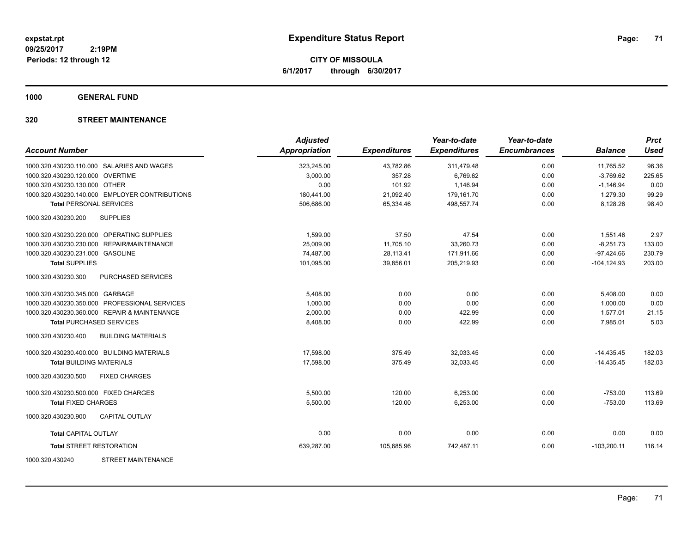**CITY OF MISSOULA 6/1/2017 through 6/30/2017**

**1000 GENERAL FUND**

### **320 STREET MAINTENANCE**

| <b>Account Number</b>                            | <b>Adjusted</b><br><b>Appropriation</b> | <b>Expenditures</b> | Year-to-date<br><b>Expenditures</b> | Year-to-date<br><b>Encumbrances</b> | <b>Balance</b> | <b>Prct</b><br><b>Used</b> |
|--------------------------------------------------|-----------------------------------------|---------------------|-------------------------------------|-------------------------------------|----------------|----------------------------|
| 1000.320.430230.110.000 SALARIES AND WAGES       | 323,245.00                              | 43,782.86           | 311,479.48                          | 0.00                                | 11,765.52      | 96.36                      |
| 1000.320.430230.120.000 OVERTIME                 | 3,000.00                                | 357.28              | 6,769.62                            | 0.00                                | $-3,769.62$    | 225.65                     |
| 1000.320.430230.130.000 OTHER                    | 0.00                                    | 101.92              | 1,146.94                            | 0.00                                | $-1,146.94$    | 0.00                       |
| 1000.320.430230.140.000 EMPLOYER CONTRIBUTIONS   | 180,441.00                              | 21,092.40           | 179,161.70                          | 0.00                                | 1,279.30       | 99.29                      |
| <b>Total PERSONAL SERVICES</b>                   | 506,686.00                              | 65,334.46           | 498,557.74                          | 0.00                                | 8,128.26       | 98.40                      |
| 1000.320.430230.200<br><b>SUPPLIES</b>           |                                         |                     |                                     |                                     |                |                            |
| 1000.320.430230.220.000 OPERATING SUPPLIES       | 1,599.00                                | 37.50               | 47.54                               | 0.00                                | 1,551.46       | 2.97                       |
| 1000.320.430230.230.000 REPAIR/MAINTENANCE       | 25,009.00                               | 11,705.10           | 33,260.73                           | 0.00                                | $-8,251.73$    | 133.00                     |
| 1000.320.430230.231.000 GASOLINE                 | 74,487.00                               | 28,113.41           | 171,911.66                          | 0.00                                | $-97,424.66$   | 230.79                     |
| <b>Total SUPPLIES</b>                            | 101,095.00                              | 39,856.01           | 205,219.93                          | 0.00                                | $-104, 124.93$ | 203.00                     |
| 1000.320.430230.300<br>PURCHASED SERVICES        |                                         |                     |                                     |                                     |                |                            |
| 1000.320.430230.345.000 GARBAGE                  | 5,408.00                                | 0.00                | 0.00                                | 0.00                                | 5,408.00       | 0.00                       |
| 1000.320.430230.350.000 PROFESSIONAL SERVICES    | 1,000.00                                | 0.00                | 0.00                                | 0.00                                | 1,000.00       | 0.00                       |
| 1000.320.430230.360.000 REPAIR & MAINTENANCE     | 2,000.00                                | 0.00                | 422.99                              | 0.00                                | 1,577.01       | 21.15                      |
| <b>Total PURCHASED SERVICES</b>                  | 8,408.00                                | 0.00                | 422.99                              | 0.00                                | 7,985.01       | 5.03                       |
| 1000.320.430230.400<br><b>BUILDING MATERIALS</b> |                                         |                     |                                     |                                     |                |                            |
| 1000.320.430230.400.000 BUILDING MATERIALS       | 17,598.00                               | 375.49              | 32,033.45                           | 0.00                                | $-14,435.45$   | 182.03                     |
| <b>Total BUILDING MATERIALS</b>                  | 17,598.00                               | 375.49              | 32,033.45                           | 0.00                                | $-14,435.45$   | 182.03                     |
| 1000.320.430230.500<br><b>FIXED CHARGES</b>      |                                         |                     |                                     |                                     |                |                            |
| 1000.320.430230.500.000 FIXED CHARGES            | 5,500.00                                | 120.00              | 6,253.00                            | 0.00                                | $-753.00$      | 113.69                     |
| <b>Total FIXED CHARGES</b>                       | 5,500.00                                | 120.00              | 6,253.00                            | 0.00                                | $-753.00$      | 113.69                     |
| 1000.320.430230.900<br><b>CAPITAL OUTLAY</b>     |                                         |                     |                                     |                                     |                |                            |
| <b>Total CAPITAL OUTLAY</b>                      | 0.00                                    | 0.00                | 0.00                                | 0.00                                | 0.00           | 0.00                       |
| <b>Total STREET RESTORATION</b>                  | 639,287.00                              | 105,685.96          | 742,487.11                          | 0.00                                | $-103,200.11$  | 116.14                     |
| <b>STREET MAINTENANCE</b><br>1000.320.430240     |                                         |                     |                                     |                                     |                |                            |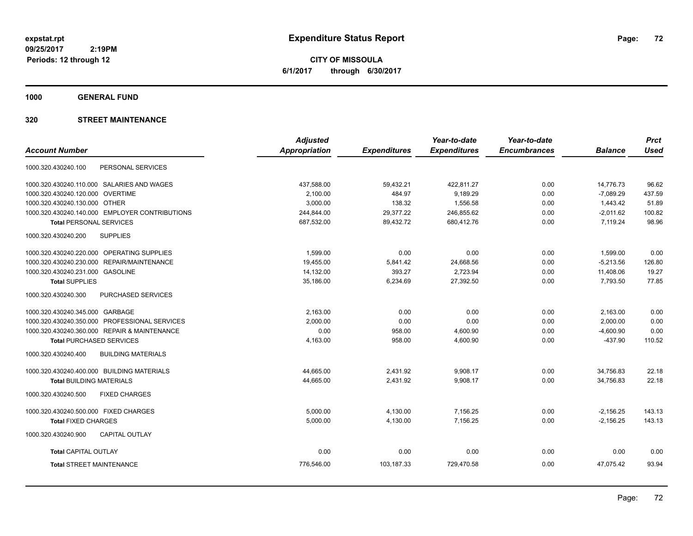**CITY OF MISSOULA 6/1/2017 through 6/30/2017**

**1000 GENERAL FUND**

### **320 STREET MAINTENANCE**

|                                                  | <b>Adjusted</b>      |                     | Year-to-date        | Year-to-date        |                | <b>Prct</b> |
|--------------------------------------------------|----------------------|---------------------|---------------------|---------------------|----------------|-------------|
| <b>Account Number</b>                            | <b>Appropriation</b> | <b>Expenditures</b> | <b>Expenditures</b> | <b>Encumbrances</b> | <b>Balance</b> | <b>Used</b> |
| PERSONAL SERVICES<br>1000.320.430240.100         |                      |                     |                     |                     |                |             |
| 1000.320.430240.110.000 SALARIES AND WAGES       | 437,588.00           | 59,432.21           | 422,811.27          | 0.00                | 14,776.73      | 96.62       |
| <b>OVERTIME</b><br>1000.320.430240.120.000       | 2,100.00             | 484.97              | 9,189.29            | 0.00                | $-7,089.29$    | 437.59      |
| 1000.320.430240.130.000 OTHER                    | 3,000.00             | 138.32              | 1,556.58            | 0.00                | 1,443.42       | 51.89       |
| 1000.320.430240.140.000 EMPLOYER CONTRIBUTIONS   | 244,844.00           | 29,377.22           | 246,855.62          | 0.00                | $-2,011.62$    | 100.82      |
| <b>Total PERSONAL SERVICES</b>                   | 687,532.00           | 89,432.72           | 680,412.76          | 0.00                | 7,119.24       | 98.96       |
| <b>SUPPLIES</b><br>1000.320.430240.200           |                      |                     |                     |                     |                |             |
| 1000.320.430240.220.000 OPERATING SUPPLIES       | 1,599.00             | 0.00                | 0.00                | 0.00                | 1,599.00       | 0.00        |
| REPAIR/MAINTENANCE<br>1000.320.430240.230.000    | 19,455.00            | 5,841.42            | 24,668.56           | 0.00                | $-5,213.56$    | 126.80      |
| 1000.320.430240.231.000<br><b>GASOLINE</b>       | 14,132.00            | 393.27              | 2,723.94            | 0.00                | 11,408.06      | 19.27       |
| <b>Total SUPPLIES</b>                            | 35,186.00            | 6,234.69            | 27,392.50           | 0.00                | 7,793.50       | 77.85       |
| PURCHASED SERVICES<br>1000.320.430240.300        |                      |                     |                     |                     |                |             |
| 1000.320.430240.345.000 GARBAGE                  | 2.163.00             | 0.00                | 0.00                | 0.00                | 2,163.00       | 0.00        |
| 1000.320.430240.350.000 PROFESSIONAL SERVICES    | 2,000.00             | 0.00                | 0.00                | 0.00                | 2,000.00       | 0.00        |
| 1000.320.430240.360.000 REPAIR & MAINTENANCE     | 0.00                 | 958.00              | 4,600.90            | 0.00                | $-4,600.90$    | 0.00        |
| <b>Total PURCHASED SERVICES</b>                  | 4,163.00             | 958.00              | 4,600.90            | 0.00                | $-437.90$      | 110.52      |
| 1000.320.430240.400<br><b>BUILDING MATERIALS</b> |                      |                     |                     |                     |                |             |
| 1000.320.430240.400.000 BUILDING MATERIALS       | 44,665.00            | 2,431.92            | 9,908.17            | 0.00                | 34,756.83      | 22.18       |
| <b>Total BUILDING MATERIALS</b>                  | 44,665.00            | 2,431.92            | 9.908.17            | 0.00                | 34.756.83      | 22.18       |
| 1000.320.430240.500<br><b>FIXED CHARGES</b>      |                      |                     |                     |                     |                |             |
| 1000.320.430240.500.000 FIXED CHARGES            | 5,000.00             | 4,130.00            | 7,156.25            | 0.00                | $-2,156.25$    | 143.13      |
| <b>Total FIXED CHARGES</b>                       | 5,000.00             | 4,130.00            | 7,156.25            | 0.00                | $-2,156.25$    | 143.13      |
| CAPITAL OUTLAY<br>1000.320.430240.900            |                      |                     |                     |                     |                |             |
| <b>Total CAPITAL OUTLAY</b>                      | 0.00                 | 0.00                | 0.00                | 0.00                | 0.00           | 0.00        |
| <b>Total STREET MAINTENANCE</b>                  | 776,546.00           | 103,187.33          | 729,470.58          | 0.00                | 47.075.42      | 93.94       |
|                                                  |                      |                     |                     |                     |                |             |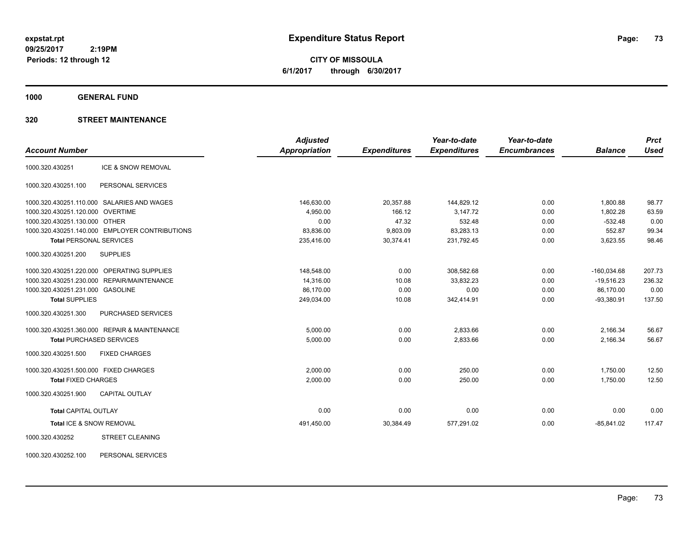**CITY OF MISSOULA 6/1/2017 through 6/30/2017**

**1000 GENERAL FUND**

# **320 STREET MAINTENANCE**

|                                                | <b>Adjusted</b>      |                     | Year-to-date        | Year-to-date        |                | <b>Prct</b> |
|------------------------------------------------|----------------------|---------------------|---------------------|---------------------|----------------|-------------|
| <b>Account Number</b>                          | <b>Appropriation</b> | <b>Expenditures</b> | <b>Expenditures</b> | <b>Encumbrances</b> | <b>Balance</b> | <b>Used</b> |
| ICE & SNOW REMOVAL<br>1000.320.430251          |                      |                     |                     |                     |                |             |
| PERSONAL SERVICES<br>1000.320.430251.100       |                      |                     |                     |                     |                |             |
| 1000.320.430251.110.000 SALARIES AND WAGES     | 146,630.00           | 20,357.88           | 144,829.12          | 0.00                | 1,800.88       | 98.77       |
| 1000.320.430251.120.000 OVERTIME               | 4,950.00             | 166.12              | 3,147.72            | 0.00                | 1,802.28       | 63.59       |
| 1000.320.430251.130.000 OTHER                  | 0.00                 | 47.32               | 532.48              | 0.00                | $-532.48$      | 0.00        |
| 1000.320.430251.140.000 EMPLOYER CONTRIBUTIONS | 83,836.00            | 9,803.09            | 83,283.13           | 0.00                | 552.87         | 99.34       |
| <b>Total PERSONAL SERVICES</b>                 | 235,416.00           | 30,374.41           | 231,792.45          | 0.00                | 3,623.55       | 98.46       |
| 1000.320.430251.200<br><b>SUPPLIES</b>         |                      |                     |                     |                     |                |             |
| 1000.320.430251.220.000 OPERATING SUPPLIES     | 148,548.00           | 0.00                | 308,582.68          | 0.00                | $-160,034.68$  | 207.73      |
| 1000.320.430251.230.000 REPAIR/MAINTENANCE     | 14,316.00            | 10.08               | 33,832.23           | 0.00                | $-19,516.23$   | 236.32      |
| 1000.320.430251.231.000 GASOLINE               | 86,170.00            | 0.00                | 0.00                | 0.00                | 86,170.00      | 0.00        |
| <b>Total SUPPLIES</b>                          | 249,034.00           | 10.08               | 342,414.91          | 0.00                | $-93,380.91$   | 137.50      |
| 1000.320.430251.300<br>PURCHASED SERVICES      |                      |                     |                     |                     |                |             |
| 1000.320.430251.360.000 REPAIR & MAINTENANCE   | 5,000.00             | 0.00                | 2,833.66            | 0.00                | 2,166.34       | 56.67       |
| <b>Total PURCHASED SERVICES</b>                | 5,000.00             | 0.00                | 2,833.66            | 0.00                | 2,166.34       | 56.67       |
| 1000.320.430251.500<br><b>FIXED CHARGES</b>    |                      |                     |                     |                     |                |             |
| 1000.320.430251.500.000 FIXED CHARGES          | 2,000.00             | 0.00                | 250.00              | 0.00                | 1,750.00       | 12.50       |
| <b>Total FIXED CHARGES</b>                     | 2,000.00             | 0.00                | 250.00              | 0.00                | 1,750.00       | 12.50       |
| 1000.320.430251.900<br><b>CAPITAL OUTLAY</b>   |                      |                     |                     |                     |                |             |
| <b>Total CAPITAL OUTLAY</b>                    | 0.00                 | 0.00                | 0.00                | 0.00                | 0.00           | 0.00        |
| Total ICE & SNOW REMOVAL                       | 491,450.00           | 30,384.49           | 577,291.02          | 0.00                | $-85,841.02$   | 117.47      |
| <b>STREET CLEANING</b><br>1000.320.430252      |                      |                     |                     |                     |                |             |

1000.320.430252.100 PERSONAL SERVICES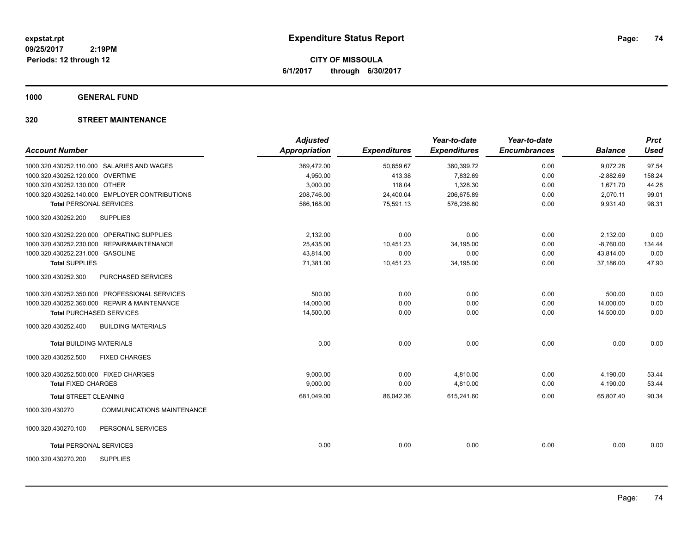**CITY OF MISSOULA 6/1/2017 through 6/30/2017**

**1000 GENERAL FUND**

# **320 STREET MAINTENANCE**

| <b>Account Number</b>                 |                                                | <b>Adjusted</b><br>Appropriation | <b>Expenditures</b> | Year-to-date<br><b>Expenditures</b> | Year-to-date<br><b>Encumbrances</b> | <b>Balance</b> | <b>Prct</b><br><b>Used</b> |
|---------------------------------------|------------------------------------------------|----------------------------------|---------------------|-------------------------------------|-------------------------------------|----------------|----------------------------|
|                                       |                                                |                                  |                     |                                     |                                     |                |                            |
|                                       | 1000.320.430252.110.000 SALARIES AND WAGES     | 369,472.00                       | 50,659.67           | 360,399.72                          | 0.00                                | 9,072.28       | 97.54                      |
| 1000.320.430252.120.000 OVERTIME      |                                                | 4,950.00                         | 413.38              | 7,832.69                            | 0.00                                | $-2,882.69$    | 158.24                     |
| 1000.320.430252.130.000 OTHER         |                                                | 3,000.00                         | 118.04              | 1,328.30                            | 0.00                                | 1,671.70       | 44.28                      |
|                                       | 1000.320.430252.140.000 EMPLOYER CONTRIBUTIONS | 208,746.00                       | 24,400.04           | 206,675.89                          | 0.00                                | 2,070.11       | 99.01                      |
| <b>Total PERSONAL SERVICES</b>        |                                                | 586.168.00                       | 75.591.13           | 576,236.60                          | 0.00                                | 9.931.40       | 98.31                      |
| 1000.320.430252.200                   | <b>SUPPLIES</b>                                |                                  |                     |                                     |                                     |                |                            |
|                                       | 1000.320.430252.220.000 OPERATING SUPPLIES     | 2.132.00                         | 0.00                | 0.00                                | 0.00                                | 2,132.00       | 0.00                       |
| 1000.320.430252.230.000               | REPAIR/MAINTENANCE                             | 25,435.00                        | 10,451.23           | 34,195.00                           | 0.00                                | $-8,760.00$    | 134.44                     |
| 1000.320.430252.231.000 GASOLINE      |                                                | 43,814.00                        | 0.00                | 0.00                                | 0.00                                | 43,814.00      | 0.00                       |
| <b>Total SUPPLIES</b>                 |                                                | 71,381.00                        | 10,451.23           | 34,195.00                           | 0.00                                | 37,186.00      | 47.90                      |
| 1000.320.430252.300                   | PURCHASED SERVICES                             |                                  |                     |                                     |                                     |                |                            |
|                                       | 1000.320.430252.350.000 PROFESSIONAL SERVICES  | 500.00                           | 0.00                | 0.00                                | 0.00                                | 500.00         | 0.00                       |
|                                       | 1000.320.430252.360.000 REPAIR & MAINTENANCE   | 14,000.00                        | 0.00                | 0.00                                | 0.00                                | 14,000.00      | 0.00                       |
|                                       | <b>Total PURCHASED SERVICES</b>                | 14,500.00                        | 0.00                | 0.00                                | 0.00                                | 14,500.00      | 0.00                       |
| 1000.320.430252.400                   | <b>BUILDING MATERIALS</b>                      |                                  |                     |                                     |                                     |                |                            |
| <b>Total BUILDING MATERIALS</b>       |                                                | 0.00                             | 0.00                | 0.00                                | 0.00                                | 0.00           | 0.00                       |
| 1000.320.430252.500                   | <b>FIXED CHARGES</b>                           |                                  |                     |                                     |                                     |                |                            |
| 1000.320.430252.500.000 FIXED CHARGES |                                                | 9,000.00                         | 0.00                | 4,810.00                            | 0.00                                | 4,190.00       | 53.44                      |
| <b>Total FIXED CHARGES</b>            |                                                | 9,000.00                         | 0.00                | 4,810.00                            | 0.00                                | 4,190.00       | 53.44                      |
| <b>Total STREET CLEANING</b>          |                                                | 681,049.00                       | 86,042.36           | 615,241.60                          | 0.00                                | 65,807.40      | 90.34                      |
| 1000.320.430270                       | <b>COMMUNICATIONS MAINTENANCE</b>              |                                  |                     |                                     |                                     |                |                            |
| 1000.320.430270.100                   | PERSONAL SERVICES                              |                                  |                     |                                     |                                     |                |                            |
| <b>Total PERSONAL SERVICES</b>        |                                                | 0.00                             | 0.00                | 0.00                                | 0.00                                | 0.00           | 0.00                       |
| 1000.320.430270.200                   | <b>SUPPLIES</b>                                |                                  |                     |                                     |                                     |                |                            |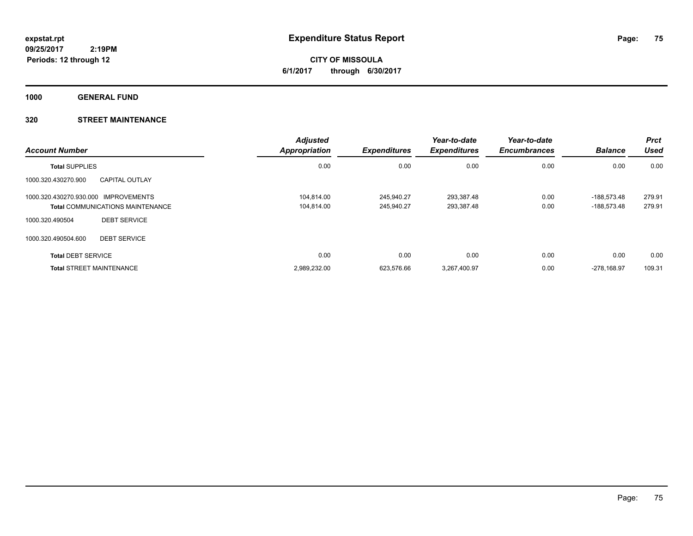**CITY OF MISSOULA 6/1/2017 through 6/30/2017**

**1000 GENERAL FUND**

# **320 STREET MAINTENANCE**

| <b>Account Number</b>                |                                         | <b>Adjusted</b><br><b>Appropriation</b> | <b>Expenditures</b> | Year-to-date<br><b>Expenditures</b> | Year-to-date<br><b>Encumbrances</b> | <b>Balance</b> | <b>Prct</b><br><b>Used</b> |
|--------------------------------------|-----------------------------------------|-----------------------------------------|---------------------|-------------------------------------|-------------------------------------|----------------|----------------------------|
| <b>Total SUPPLIES</b>                |                                         | 0.00                                    | 0.00                | 0.00                                | 0.00                                | 0.00           | 0.00                       |
| 1000.320.430270.900                  | <b>CAPITAL OUTLAY</b>                   |                                         |                     |                                     |                                     |                |                            |
| 1000.320.430270.930.000 IMPROVEMENTS |                                         | 104.814.00                              | 245.940.27          | 293.387.48                          | 0.00                                | -188.573.48    | 279.91                     |
|                                      | <b>Total COMMUNICATIONS MAINTENANCE</b> | 104,814.00                              | 245,940.27          | 293,387.48                          | 0.00                                | -188,573.48    | 279.91                     |
| 1000.320.490504                      | <b>DEBT SERVICE</b>                     |                                         |                     |                                     |                                     |                |                            |
| 1000.320.490504.600                  | <b>DEBT SERVICE</b>                     |                                         |                     |                                     |                                     |                |                            |
| <b>Total DEBT SERVICE</b>            |                                         | 0.00                                    | 0.00                | 0.00                                | 0.00                                | 0.00           | 0.00                       |
| <b>Total STREET MAINTENANCE</b>      |                                         | 2,989,232.00                            | 623.576.66          | 3.267.400.97                        | 0.00                                | -278.168.97    | 109.31                     |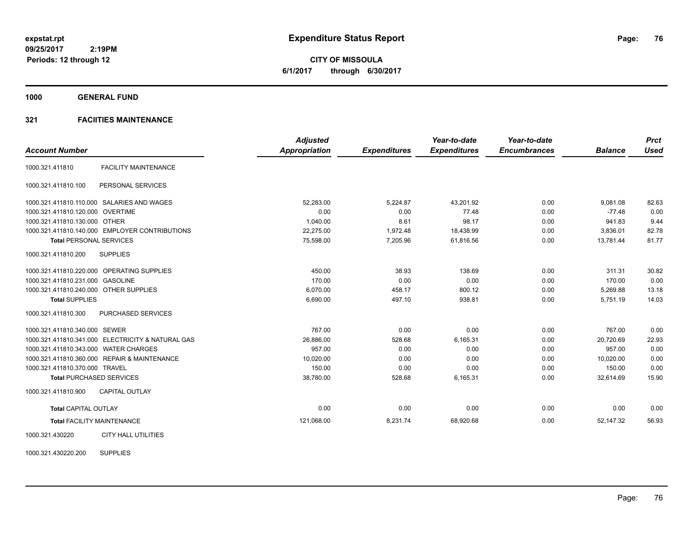**CITY OF MISSOULA 6/1/2017 through 6/30/2017**

**1000 GENERAL FUND**

# **321 FACIITIES MAINTENANCE**

|                                        |                                                   | <b>Adjusted</b>      |                     | Year-to-date        | Year-to-date        |                | <b>Prct</b> |
|----------------------------------------|---------------------------------------------------|----------------------|---------------------|---------------------|---------------------|----------------|-------------|
| <b>Account Number</b>                  |                                                   | <b>Appropriation</b> | <b>Expenditures</b> | <b>Expenditures</b> | <b>Encumbrances</b> | <b>Balance</b> | <b>Used</b> |
| 1000.321.411810                        | <b>FACILITY MAINTENANCE</b>                       |                      |                     |                     |                     |                |             |
| 1000.321.411810.100                    | PERSONAL SERVICES                                 |                      |                     |                     |                     |                |             |
|                                        | 1000.321.411810.110.000 SALARIES AND WAGES        | 52.283.00            | 5,224.87            | 43,201.92           | 0.00                | 9,081.08       | 82.63       |
| 1000.321.411810.120.000 OVERTIME       |                                                   | 0.00                 | 0.00                | 77.48               | 0.00                | $-77.48$       | 0.00        |
| 1000.321.411810.130.000 OTHER          |                                                   | 1,040.00             | 8.61                | 98.17               | 0.00                | 941.83         | 9.44        |
|                                        | 1000.321.411810.140.000 EMPLOYER CONTRIBUTIONS    | 22,275.00            | 1,972.48            | 18,438.99           | 0.00                | 3,836.01       | 82.78       |
| <b>Total PERSONAL SERVICES</b>         |                                                   | 75,598.00            | 7,205.96            | 61,816.56           | 0.00                | 13,781.44      | 81.77       |
| 1000.321.411810.200                    | <b>SUPPLIES</b>                                   |                      |                     |                     |                     |                |             |
|                                        | 1000.321.411810.220.000 OPERATING SUPPLIES        | 450.00               | 38.93               | 138.69              | 0.00                | 311.31         | 30.82       |
| 1000.321.411810.231.000 GASOLINE       |                                                   | 170.00               | 0.00                | 0.00                | 0.00                | 170.00         | 0.00        |
| 1000.321.411810.240.000 OTHER SUPPLIES |                                                   | 6,070.00             | 458.17              | 800.12              | 0.00                | 5,269.88       | 13.18       |
| <b>Total SUPPLIES</b>                  |                                                   | 6,690.00             | 497.10              | 938.81              | 0.00                | 5,751.19       | 14.03       |
| 1000.321.411810.300                    | <b>PURCHASED SERVICES</b>                         |                      |                     |                     |                     |                |             |
| 1000.321.411810.340.000 SEWER          |                                                   | 767.00               | 0.00                | 0.00                | 0.00                | 767.00         | 0.00        |
|                                        | 1000.321.411810.341.000 ELECTRICITY & NATURAL GAS | 26.886.00            | 528.68              | 6.165.31            | 0.00                | 20.720.69      | 22.93       |
| 1000.321.411810.343.000 WATER CHARGES  |                                                   | 957.00               | 0.00                | 0.00                | 0.00                | 957.00         | 0.00        |
|                                        | 1000.321.411810.360.000 REPAIR & MAINTENANCE      | 10,020.00            | 0.00                | 0.00                | 0.00                | 10,020.00      | 0.00        |
| 1000.321.411810.370.000 TRAVEL         |                                                   | 150.00               | 0.00                | 0.00                | 0.00                | 150.00         | 0.00        |
|                                        | <b>Total PURCHASED SERVICES</b>                   | 38,780.00            | 528.68              | 6,165.31            | 0.00                | 32,614.69      | 15.90       |
| 1000.321.411810.900                    | <b>CAPITAL OUTLAY</b>                             |                      |                     |                     |                     |                |             |
| <b>Total CAPITAL OUTLAY</b>            |                                                   | 0.00                 | 0.00                | 0.00                | 0.00                | 0.00           | 0.00        |
|                                        | <b>Total FACILITY MAINTENANCE</b>                 | 121,068.00           | 8,231.74            | 68,920.68           | 0.00                | 52,147.32      | 56.93       |
| 1000.321.430220                        | <b>CITY HALL UTILITIES</b>                        |                      |                     |                     |                     |                |             |

1000.321.430220.200 SUPPLIES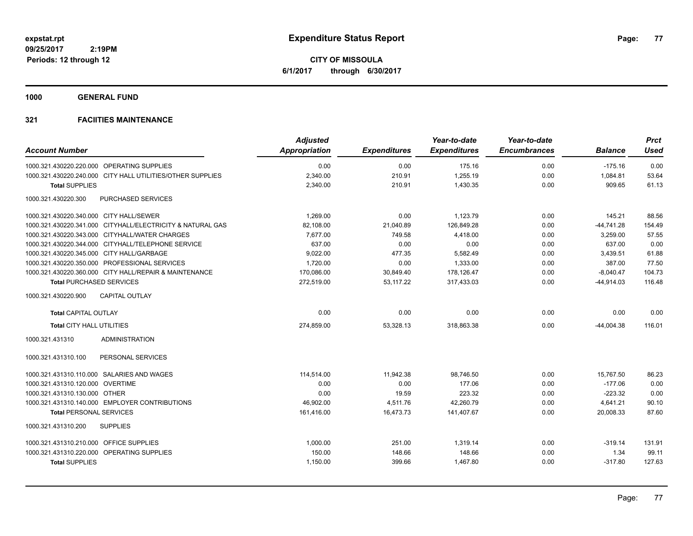**CITY OF MISSOULA 6/1/2017 through 6/30/2017**

**1000 GENERAL FUND**

|                                                            | <b>Adjusted</b>      |                     | Year-to-date        | Year-to-date        |                | <b>Prct</b> |
|------------------------------------------------------------|----------------------|---------------------|---------------------|---------------------|----------------|-------------|
| <b>Account Number</b>                                      | <b>Appropriation</b> | <b>Expenditures</b> | <b>Expenditures</b> | <b>Encumbrances</b> | <b>Balance</b> | <b>Used</b> |
| 1000.321.430220.220.000 OPERATING SUPPLIES                 | 0.00                 | 0.00                | 175.16              | 0.00                | $-175.16$      | 0.00        |
| 1000.321.430220.240.000 CITY HALL UTILITIES/OTHER SUPPLIES | 2,340.00             | 210.91              | 1,255.19            | 0.00                | 1,084.81       | 53.64       |
| <b>Total SUPPLIES</b>                                      | 2,340.00             | 210.91              | 1,430.35            | 0.00                | 909.65         | 61.13       |
| 1000.321.430220.300<br><b>PURCHASED SERVICES</b>           |                      |                     |                     |                     |                |             |
| 1000.321.430220.340.000 CITY HALL/SEWER                    | 1.269.00             | 0.00                | 1,123.79            | 0.00                | 145.21         | 88.56       |
| 1000.321.430220.341.000 CITYHALL/ELECTRICITY & NATURAL GAS | 82,108.00            | 21,040.89           | 126,849.28          | 0.00                | $-44,741.28$   | 154.49      |
| 1000.321.430220.343.000 CITYHALL/WATER CHARGES             | 7,677.00             | 749.58              | 4,418.00            | 0.00                | 3,259.00       | 57.55       |
| 1000.321.430220.344.000 CITYHALL/TELEPHONE SERVICE         | 637.00               | 0.00                | 0.00                | 0.00                | 637.00         | 0.00        |
| 1000.321.430220.345.000 CITY HALL/GARBAGE                  | 9,022.00             | 477.35              | 5,582.49            | 0.00                | 3,439.51       | 61.88       |
| 1000.321.430220.350.000 PROFESSIONAL SERVICES              | 1,720.00             | 0.00                | 1,333.00            | 0.00                | 387.00         | 77.50       |
| 1000.321.430220.360.000 CITY HALL/REPAIR & MAINTENANCE     | 170,086.00           | 30,849.40           | 178,126.47          | 0.00                | $-8,040.47$    | 104.73      |
| <b>Total PURCHASED SERVICES</b>                            | 272,519.00           | 53.117.22           | 317,433.03          | 0.00                | $-44,914.03$   | 116.48      |
| <b>CAPITAL OUTLAY</b><br>1000.321.430220.900               |                      |                     |                     |                     |                |             |
| <b>Total CAPITAL OUTLAY</b>                                | 0.00                 | 0.00                | 0.00                | 0.00                | 0.00           | 0.00        |
| <b>Total CITY HALL UTILITIES</b>                           | 274,859.00           | 53,328.13           | 318,863.38          | 0.00                | $-44,004.38$   | 116.01      |
| 1000.321.431310<br><b>ADMINISTRATION</b>                   |                      |                     |                     |                     |                |             |
| PERSONAL SERVICES<br>1000.321.431310.100                   |                      |                     |                     |                     |                |             |
| 1000.321.431310.110.000 SALARIES AND WAGES                 | 114,514.00           | 11,942.38           | 98,746.50           | 0.00                | 15,767.50      | 86.23       |
| 1000.321.431310.120.000 OVERTIME                           | 0.00                 | 0.00                | 177.06              | 0.00                | $-177.06$      | 0.00        |
| 1000.321.431310.130.000 OTHER                              | 0.00                 | 19.59               | 223.32              | 0.00                | $-223.32$      | 0.00        |
| 1000.321.431310.140.000 EMPLOYER CONTRIBUTIONS             | 46,902.00            | 4,511.76            | 42,260.79           | 0.00                | 4,641.21       | 90.10       |
| <b>Total PERSONAL SERVICES</b>                             | 161,416.00           | 16,473.73           | 141,407.67          | 0.00                | 20,008.33      | 87.60       |
| <b>SUPPLIES</b><br>1000.321.431310.200                     |                      |                     |                     |                     |                |             |
| 1000.321.431310.210.000 OFFICE SUPPLIES                    | 1,000.00             | 251.00              | 1,319.14            | 0.00                | $-319.14$      | 131.91      |
| 1000.321.431310.220.000 OPERATING SUPPLIES                 | 150.00               | 148.66              | 148.66              | 0.00                | 1.34           | 99.11       |
| <b>Total SUPPLIES</b>                                      | 1,150.00             | 399.66              | 1,467.80            | 0.00                | $-317.80$      | 127.63      |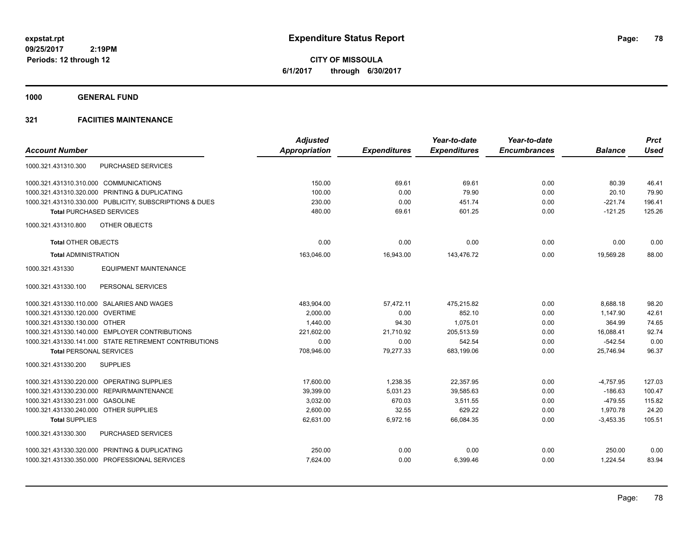**CITY OF MISSOULA 6/1/2017 through 6/30/2017**

**1000 GENERAL FUND**

|                                                         | <b>Adjusted</b> |                     | Year-to-date        | Year-to-date        |                | <b>Prct</b> |
|---------------------------------------------------------|-----------------|---------------------|---------------------|---------------------|----------------|-------------|
| <b>Account Number</b>                                   | Appropriation   | <b>Expenditures</b> | <b>Expenditures</b> | <b>Encumbrances</b> | <b>Balance</b> | <b>Used</b> |
| <b>PURCHASED SERVICES</b><br>1000.321.431310.300        |                 |                     |                     |                     |                |             |
| 1000.321.431310.310.000 COMMUNICATIONS                  | 150.00          | 69.61               | 69.61               | 0.00                | 80.39          | 46.41       |
| 1000.321.431310.320.000 PRINTING & DUPLICATING          | 100.00          | 0.00                | 79.90               | 0.00                | 20.10          | 79.90       |
| 1000.321.431310.330.000 PUBLICITY, SUBSCRIPTIONS & DUES | 230.00          | 0.00                | 451.74              | 0.00                | $-221.74$      | 196.41      |
| <b>Total PURCHASED SERVICES</b>                         | 480.00          | 69.61               | 601.25              | 0.00                | $-121.25$      | 125.26      |
| OTHER OBJECTS<br>1000.321.431310.800                    |                 |                     |                     |                     |                |             |
| <b>Total OTHER OBJECTS</b>                              | 0.00            | 0.00                | 0.00                | 0.00                | 0.00           | 0.00        |
| <b>Total ADMINISTRATION</b>                             | 163,046.00      | 16,943.00           | 143,476.72          | 0.00                | 19,569.28      | 88.00       |
| <b>EQUIPMENT MAINTENANCE</b><br>1000.321.431330         |                 |                     |                     |                     |                |             |
| 1000.321.431330.100<br>PERSONAL SERVICES                |                 |                     |                     |                     |                |             |
| 1000.321.431330.110.000 SALARIES AND WAGES              | 483,904.00      | 57,472.11           | 475,215.82          | 0.00                | 8,688.18       | 98.20       |
| 1000.321.431330.120.000 OVERTIME                        | 2,000.00        | 0.00                | 852.10              | 0.00                | 1,147.90       | 42.61       |
| 1000.321.431330.130.000 OTHER                           | 1,440.00        | 94.30               | 1,075.01            | 0.00                | 364.99         | 74.65       |
| 1000.321.431330.140.000 EMPLOYER CONTRIBUTIONS          | 221,602.00      | 21,710.92           | 205,513.59          | 0.00                | 16,088.41      | 92.74       |
| 1000.321.431330.141.000 STATE RETIREMENT CONTRIBUTIONS  | 0.00            | 0.00                | 542.54              | 0.00                | $-542.54$      | 0.00        |
| <b>Total PERSONAL SERVICES</b>                          | 708,946.00      | 79,277.33           | 683.199.06          | 0.00                | 25.746.94      | 96.37       |
| 1000.321.431330.200<br><b>SUPPLIES</b>                  |                 |                     |                     |                     |                |             |
| 1000.321.431330.220.000 OPERATING SUPPLIES              | 17.600.00       | 1,238.35            | 22.357.95           | 0.00                | $-4,757.95$    | 127.03      |
| 1000.321.431330.230.000 REPAIR/MAINTENANCE              | 39,399.00       | 5,031.23            | 39,585.63           | 0.00                | $-186.63$      | 100.47      |
| 1000.321.431330.231.000 GASOLINE                        | 3,032.00        | 670.03              | 3,511.55            | 0.00                | $-479.55$      | 115.82      |
| 1000.321.431330.240.000 OTHER SUPPLIES                  | 2,600.00        | 32.55               | 629.22              | 0.00                | 1,970.78       | 24.20       |
| <b>Total SUPPLIES</b>                                   | 62,631.00       | 6,972.16            | 66,084.35           | 0.00                | $-3,453.35$    | 105.51      |
| PURCHASED SERVICES<br>1000.321.431330.300               |                 |                     |                     |                     |                |             |
| 1000.321.431330.320.000 PRINTING & DUPLICATING          | 250.00          | 0.00                | 0.00                | 0.00                | 250.00         | 0.00        |
| 1000.321.431330.350.000 PROFESSIONAL SERVICES           | 7,624.00        | 0.00                | 6,399.46            | 0.00                | 1,224.54       | 83.94       |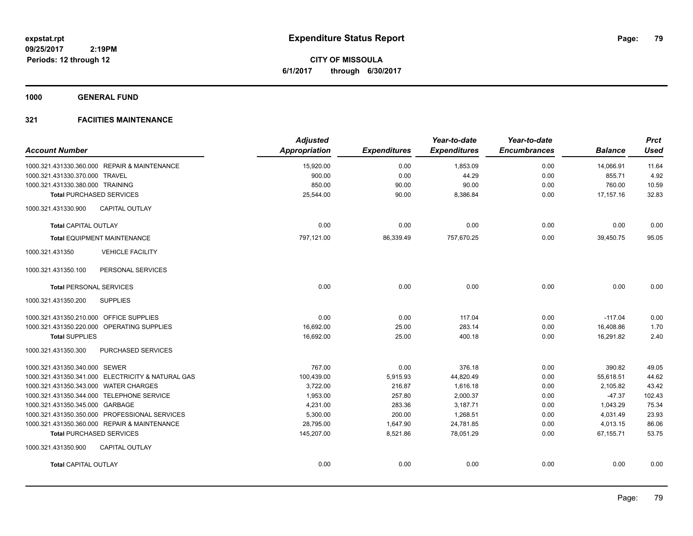**CITY OF MISSOULA 6/1/2017 through 6/30/2017**

**1000 GENERAL FUND**

| <b>Account Number</b>                             | <b>Adjusted</b><br><b>Appropriation</b> | <b>Expenditures</b> | Year-to-date<br><b>Expenditures</b> | Year-to-date<br><b>Encumbrances</b> | <b>Balance</b> | <b>Prct</b><br><b>Used</b> |
|---------------------------------------------------|-----------------------------------------|---------------------|-------------------------------------|-------------------------------------|----------------|----------------------------|
| 1000.321.431330.360.000 REPAIR & MAINTENANCE      | 15,920.00                               | 0.00                | 1,853.09                            | 0.00                                | 14,066.91      | 11.64                      |
| 1000.321.431330.370.000 TRAVEL                    | 900.00                                  | 0.00                | 44.29                               | 0.00                                | 855.71         | 4.92                       |
| 1000.321.431330.380.000 TRAINING                  | 850.00                                  | 90.00               | 90.00                               | 0.00                                | 760.00         | 10.59                      |
| <b>Total PURCHASED SERVICES</b>                   | 25,544.00                               | 90.00               | 8,386.84                            | 0.00                                | 17, 157. 16    | 32.83                      |
| <b>CAPITAL OUTLAY</b><br>1000.321.431330.900      |                                         |                     |                                     |                                     |                |                            |
| <b>Total CAPITAL OUTLAY</b>                       | 0.00                                    | 0.00                | 0.00                                | 0.00                                | 0.00           | 0.00                       |
| <b>Total EQUIPMENT MAINTENANCE</b>                | 797,121.00                              | 86,339.49           | 757,670.25                          | 0.00                                | 39,450.75      | 95.05                      |
| 1000.321.431350<br><b>VEHICLE FACILITY</b>        |                                         |                     |                                     |                                     |                |                            |
| 1000.321.431350.100<br>PERSONAL SERVICES          |                                         |                     |                                     |                                     |                |                            |
| <b>Total PERSONAL SERVICES</b>                    | 0.00                                    | 0.00                | 0.00                                | 0.00                                | 0.00           | 0.00                       |
| <b>SUPPLIES</b><br>1000.321.431350.200            |                                         |                     |                                     |                                     |                |                            |
| 1000.321.431350.210.000 OFFICE SUPPLIES           | 0.00                                    | 0.00                | 117.04                              | 0.00                                | $-117.04$      | 0.00                       |
| 1000.321.431350.220.000 OPERATING SUPPLIES        | 16,692.00                               | 25.00               | 283.14                              | 0.00                                | 16,408.86      | 1.70                       |
| <b>Total SUPPLIES</b>                             | 16,692.00                               | 25.00               | 400.18                              | 0.00                                | 16,291.82      | 2.40                       |
| PURCHASED SERVICES<br>1000.321.431350.300         |                                         |                     |                                     |                                     |                |                            |
| 1000.321.431350.340.000 SEWER                     | 767.00                                  | 0.00                | 376.18                              | 0.00                                | 390.82         | 49.05                      |
| 1000.321.431350.341.000 ELECTRICITY & NATURAL GAS | 100,439.00                              | 5,915.93            | 44,820.49                           | 0.00                                | 55,618.51      | 44.62                      |
| 1000.321.431350.343.000 WATER CHARGES             | 3,722.00                                | 216.87              | 1,616.18                            | 0.00                                | 2,105.82       | 43.42                      |
| 1000.321.431350.344.000 TELEPHONE SERVICE         | 1,953.00                                | 257.80              | 2,000.37                            | 0.00                                | $-47.37$       | 102.43                     |
| 1000.321.431350.345.000 GARBAGE                   | 4,231.00                                | 283.36              | 3,187.71                            | 0.00                                | 1,043.29       | 75.34                      |
| 1000.321.431350.350.000 PROFESSIONAL SERVICES     | 5,300.00                                | 200.00              | 1,268.51                            | 0.00                                | 4,031.49       | 23.93                      |
| 1000.321.431350.360.000 REPAIR & MAINTENANCE      | 28,795.00                               | 1,647.90            | 24,781.85                           | 0.00                                | 4,013.15       | 86.06                      |
| <b>Total PURCHASED SERVICES</b>                   | 145,207.00                              | 8,521.86            | 78,051.29                           | 0.00                                | 67,155.71      | 53.75                      |
| 1000.321.431350.900<br><b>CAPITAL OUTLAY</b>      |                                         |                     |                                     |                                     |                |                            |
| <b>Total CAPITAL OUTLAY</b>                       | 0.00                                    | 0.00                | 0.00                                | 0.00                                | 0.00           | 0.00                       |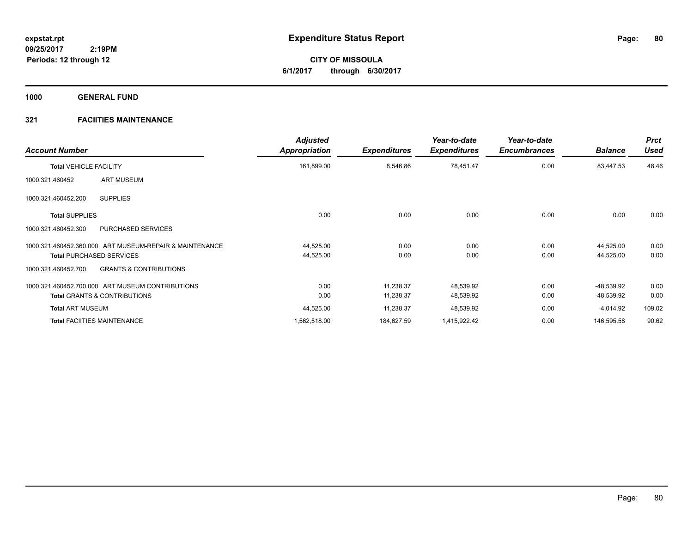**CITY OF MISSOULA 6/1/2017 through 6/30/2017**

**1000 GENERAL FUND**

| <b>Account Number</b>                                    | <b>Adjusted</b><br>Appropriation | <b>Expenditures</b> | Year-to-date<br><b>Expenditures</b> | Year-to-date<br><b>Encumbrances</b> | <b>Balance</b> | <b>Prct</b><br>Used |
|----------------------------------------------------------|----------------------------------|---------------------|-------------------------------------|-------------------------------------|----------------|---------------------|
| <b>Total VEHICLE FACILITY</b>                            | 161,899.00                       | 8,546.86            | 78,451.47                           | 0.00                                | 83,447.53      | 48.46               |
| ART MUSEUM<br>1000.321.460452                            |                                  |                     |                                     |                                     |                |                     |
| <b>SUPPLIES</b><br>1000.321.460452.200                   |                                  |                     |                                     |                                     |                |                     |
| <b>Total SUPPLIES</b>                                    | 0.00                             | 0.00                | 0.00                                | 0.00                                | 0.00           | 0.00                |
| PURCHASED SERVICES<br>1000.321.460452.300                |                                  |                     |                                     |                                     |                |                     |
| 1000.321.460452.360.000 ART MUSEUM-REPAIR & MAINTENANCE  | 44,525.00                        | 0.00                | 0.00                                | 0.00                                | 44,525.00      | 0.00                |
| <b>Total PURCHASED SERVICES</b>                          | 44,525.00                        | 0.00                | 0.00                                | 0.00                                | 44,525.00      | 0.00                |
| <b>GRANTS &amp; CONTRIBUTIONS</b><br>1000.321.460452.700 |                                  |                     |                                     |                                     |                |                     |
| 1000.321.460452.700.000 ART MUSEUM CONTRIBUTIONS         | 0.00                             | 11,238.37           | 48,539.92                           | 0.00                                | -48,539.92     | 0.00                |
| <b>Total GRANTS &amp; CONTRIBUTIONS</b>                  | 0.00                             | 11,238.37           | 48,539.92                           | 0.00                                | -48,539.92     | 0.00                |
| <b>Total ART MUSEUM</b>                                  | 44,525.00                        | 11,238.37           | 48,539.92                           | 0.00                                | $-4,014.92$    | 109.02              |
| <b>Total FACIITIES MAINTENANCE</b>                       | 1,562,518.00                     | 184,627.59          | 1,415,922.42                        | 0.00                                | 146,595.58     | 90.62               |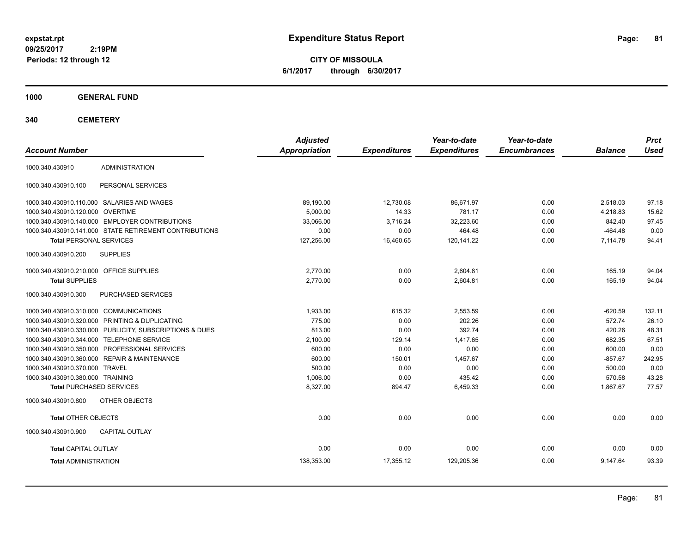**CITY OF MISSOULA 6/1/2017 through 6/30/2017**

**1000 GENERAL FUND**

**340 CEMETERY**

| <b>Account Number</b>                   |                                                         | <b>Adjusted</b><br><b>Appropriation</b> | <b>Expenditures</b> | Year-to-date<br><b>Expenditures</b> | Year-to-date<br><b>Encumbrances</b> | <b>Balance</b> | <b>Prct</b><br><b>Used</b> |
|-----------------------------------------|---------------------------------------------------------|-----------------------------------------|---------------------|-------------------------------------|-------------------------------------|----------------|----------------------------|
|                                         | <b>ADMINISTRATION</b>                                   |                                         |                     |                                     |                                     |                |                            |
| 1000.340.430910                         |                                                         |                                         |                     |                                     |                                     |                |                            |
| 1000.340.430910.100                     | PERSONAL SERVICES                                       |                                         |                     |                                     |                                     |                |                            |
|                                         | 1000.340.430910.110.000 SALARIES AND WAGES              | 89,190.00                               | 12,730.08           | 86,671.97                           | 0.00                                | 2,518.03       | 97.18                      |
| 1000.340.430910.120.000 OVERTIME        |                                                         | 5,000.00                                | 14.33               | 781.17                              | 0.00                                | 4,218.83       | 15.62                      |
|                                         | 1000.340.430910.140.000 EMPLOYER CONTRIBUTIONS          | 33.066.00                               | 3,716.24            | 32,223.60                           | 0.00                                | 842.40         | 97.45                      |
|                                         | 1000.340.430910.141.000 STATE RETIREMENT CONTRIBUTIONS  | 0.00                                    | 0.00                | 464.48                              | 0.00                                | $-464.48$      | 0.00                       |
| <b>Total PERSONAL SERVICES</b>          |                                                         | 127,256.00                              | 16,460.65           | 120,141.22                          | 0.00                                | 7,114.78       | 94.41                      |
| 1000.340.430910.200                     | <b>SUPPLIES</b>                                         |                                         |                     |                                     |                                     |                |                            |
| 1000.340.430910.210.000 OFFICE SUPPLIES |                                                         | 2,770.00                                | 0.00                | 2,604.81                            | 0.00                                | 165.19         | 94.04                      |
| <b>Total SUPPLIES</b>                   |                                                         | 2,770.00                                | 0.00                | 2,604.81                            | 0.00                                | 165.19         | 94.04                      |
| 1000.340.430910.300                     | PURCHASED SERVICES                                      |                                         |                     |                                     |                                     |                |                            |
| 1000.340.430910.310.000 COMMUNICATIONS  |                                                         | 1,933.00                                | 615.32              | 2,553.59                            | 0.00                                | $-620.59$      | 132.11                     |
|                                         | 1000.340.430910.320.000 PRINTING & DUPLICATING          | 775.00                                  | 0.00                | 202.26                              | 0.00                                | 572.74         | 26.10                      |
|                                         | 1000.340.430910.330.000 PUBLICITY, SUBSCRIPTIONS & DUES | 813.00                                  | 0.00                | 392.74                              | 0.00                                | 420.26         | 48.31                      |
|                                         | 1000.340.430910.344.000 TELEPHONE SERVICE               | 2,100.00                                | 129.14              | 1,417.65                            | 0.00                                | 682.35         | 67.51                      |
|                                         | 1000.340.430910.350.000 PROFESSIONAL SERVICES           | 600.00                                  | 0.00                | 0.00                                | 0.00                                | 600.00         | 0.00                       |
|                                         | 1000.340.430910.360.000 REPAIR & MAINTENANCE            | 600.00                                  | 150.01              | 1,457.67                            | 0.00                                | $-857.67$      | 242.95                     |
| 1000.340.430910.370.000 TRAVEL          |                                                         | 500.00                                  | 0.00                | 0.00                                | 0.00                                | 500.00         | 0.00                       |
| 1000.340.430910.380.000 TRAINING        |                                                         | 1,006.00                                | 0.00                | 435.42                              | 0.00                                | 570.58         | 43.28                      |
| <b>Total PURCHASED SERVICES</b>         |                                                         | 8,327.00                                | 894.47              | 6,459.33                            | 0.00                                | 1,867.67       | 77.57                      |
| 1000.340.430910.800                     | OTHER OBJECTS                                           |                                         |                     |                                     |                                     |                |                            |
| <b>Total OTHER OBJECTS</b>              |                                                         | 0.00                                    | 0.00                | 0.00                                | 0.00                                | 0.00           | 0.00                       |
| 1000.340.430910.900                     | <b>CAPITAL OUTLAY</b>                                   |                                         |                     |                                     |                                     |                |                            |
| <b>Total CAPITAL OUTLAY</b>             |                                                         | 0.00                                    | 0.00                | 0.00                                | 0.00                                | 0.00           | 0.00                       |
| <b>Total ADMINISTRATION</b>             |                                                         | 138,353.00                              | 17,355.12           | 129,205.36                          | 0.00                                | 9,147.64       | 93.39                      |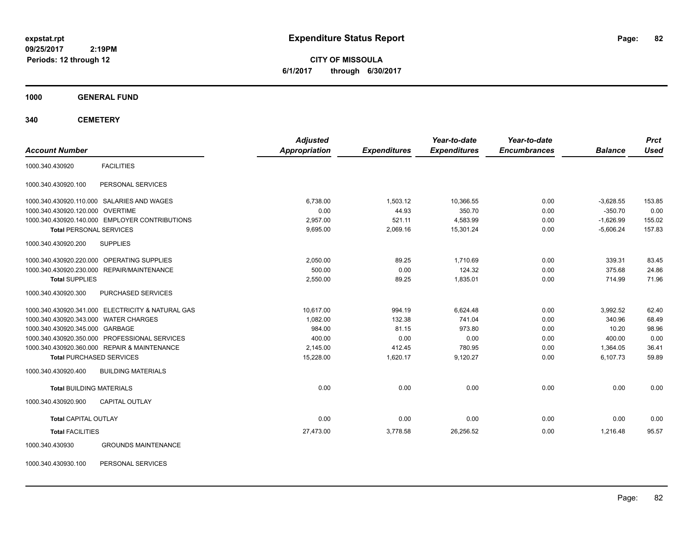**CITY OF MISSOULA 6/1/2017 through 6/30/2017**

**1000 GENERAL FUND**

**340 CEMETERY**

|                                                   | <b>Adjusted</b>      |                     | Year-to-date        | Year-to-date        |                | <b>Prct</b> |
|---------------------------------------------------|----------------------|---------------------|---------------------|---------------------|----------------|-------------|
| <b>Account Number</b>                             | <b>Appropriation</b> | <b>Expenditures</b> | <b>Expenditures</b> | <b>Encumbrances</b> | <b>Balance</b> | <b>Used</b> |
| <b>FACILITIES</b><br>1000.340.430920              |                      |                     |                     |                     |                |             |
| PERSONAL SERVICES<br>1000.340.430920.100          |                      |                     |                     |                     |                |             |
| 1000.340.430920.110.000 SALARIES AND WAGES        | 6,738.00             | 1,503.12            | 10,366.55           | 0.00                | $-3,628.55$    | 153.85      |
| 1000.340.430920.120.000 OVERTIME                  | 0.00                 | 44.93               | 350.70              | 0.00                | $-350.70$      | 0.00        |
| 1000.340.430920.140.000 EMPLOYER CONTRIBUTIONS    | 2,957.00             | 521.11              | 4,583.99            | 0.00                | $-1,626.99$    | 155.02      |
| <b>Total PERSONAL SERVICES</b>                    | 9,695.00             | 2,069.16            | 15,301.24           | 0.00                | $-5,606.24$    | 157.83      |
| 1000.340.430920.200<br><b>SUPPLIES</b>            |                      |                     |                     |                     |                |             |
| 1000.340.430920.220.000 OPERATING SUPPLIES        | 2,050.00             | 89.25               | 1,710.69            | 0.00                | 339.31         | 83.45       |
| 1000.340.430920.230.000 REPAIR/MAINTENANCE        | 500.00               | 0.00                | 124.32              | 0.00                | 375.68         | 24.86       |
| <b>Total SUPPLIES</b>                             | 2,550.00             | 89.25               | 1.835.01            | 0.00                | 714.99         | 71.96       |
| 1000.340.430920.300<br>PURCHASED SERVICES         |                      |                     |                     |                     |                |             |
| 1000.340.430920.341.000 ELECTRICITY & NATURAL GAS | 10.617.00            | 994.19              | 6,624.48            | 0.00                | 3,992.52       | 62.40       |
| 1000.340.430920.343.000 WATER CHARGES             | 1,082.00             | 132.38              | 741.04              | 0.00                | 340.96         | 68.49       |
| 1000.340.430920.345.000 GARBAGE                   | 984.00               | 81.15               | 973.80              | 0.00                | 10.20          | 98.96       |
| 1000.340.430920.350.000 PROFESSIONAL SERVICES     | 400.00               | 0.00                | 0.00                | 0.00                | 400.00         | 0.00        |
| 1000.340.430920.360.000 REPAIR & MAINTENANCE      | 2,145.00             | 412.45              | 780.95              | 0.00                | 1,364.05       | 36.41       |
| <b>Total PURCHASED SERVICES</b>                   | 15,228.00            | 1,620.17            | 9,120.27            | 0.00                | 6,107.73       | 59.89       |
| 1000.340.430920.400<br><b>BUILDING MATERIALS</b>  |                      |                     |                     |                     |                |             |
| <b>Total BUILDING MATERIALS</b>                   | 0.00                 | 0.00                | 0.00                | 0.00                | 0.00           | 0.00        |
| CAPITAL OUTLAY<br>1000.340.430920.900             |                      |                     |                     |                     |                |             |
| <b>Total CAPITAL OUTLAY</b>                       | 0.00                 | 0.00                | 0.00                | 0.00                | 0.00           | 0.00        |
| <b>Total FACILITIES</b>                           | 27,473.00            | 3,778.58            | 26,256.52           | 0.00                | 1.216.48       | 95.57       |
| <b>GROUNDS MAINTENANCE</b><br>1000.340.430930     |                      |                     |                     |                     |                |             |

1000.340.430930.100 PERSONAL SERVICES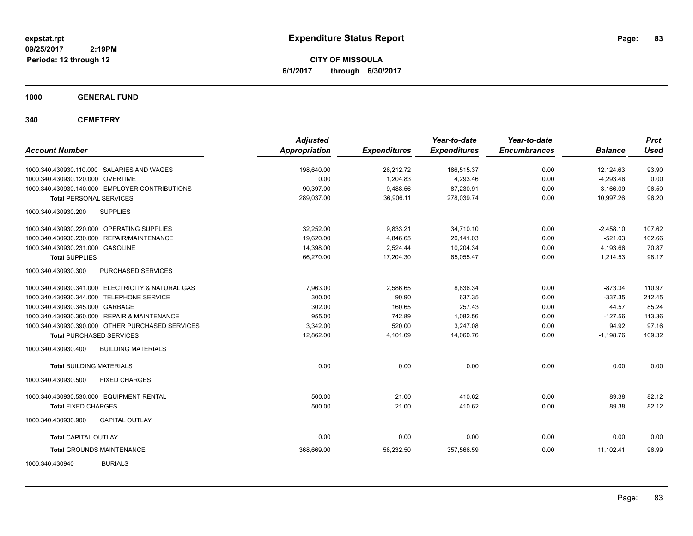**CITY OF MISSOULA 6/1/2017 through 6/30/2017**

**1000 GENERAL FUND**

**340 CEMETERY**

| <b>Account Number</b>                             | <b>Adjusted</b><br><b>Appropriation</b> | <b>Expenditures</b> | Year-to-date<br><b>Expenditures</b> | Year-to-date<br><b>Encumbrances</b> | <b>Balance</b> | <b>Prct</b><br><b>Used</b> |
|---------------------------------------------------|-----------------------------------------|---------------------|-------------------------------------|-------------------------------------|----------------|----------------------------|
| 1000.340.430930.110.000 SALARIES AND WAGES        | 198,640.00                              | 26,212.72           | 186,515.37                          | 0.00                                | 12,124.63      | 93.90                      |
| 1000.340.430930.120.000 OVERTIME                  | 0.00                                    | 1,204.83            | 4,293.46                            | 0.00                                | $-4,293.46$    | 0.00                       |
| 1000.340.430930.140.000 EMPLOYER CONTRIBUTIONS    | 90,397.00                               | 9,488.56            | 87,230.91                           | 0.00                                | 3,166.09       | 96.50                      |
| <b>Total PERSONAL SERVICES</b>                    | 289,037.00                              | 36,906.11           | 278,039.74                          | 0.00                                | 10,997.26      | 96.20                      |
| 1000.340.430930.200<br><b>SUPPLIES</b>            |                                         |                     |                                     |                                     |                |                            |
| 1000.340.430930.220.000 OPERATING SUPPLIES        | 32.252.00                               | 9.833.21            | 34.710.10                           | 0.00                                | $-2.458.10$    | 107.62                     |
| 1000.340.430930.230.000 REPAIR/MAINTENANCE        | 19,620.00                               | 4,846.65            | 20,141.03                           | 0.00                                | $-521.03$      | 102.66                     |
| 1000.340.430930.231.000 GASOLINE                  | 14,398.00                               | 2,524.44            | 10,204.34                           | 0.00                                | 4,193.66       | 70.87                      |
| <b>Total SUPPLIES</b>                             | 66,270.00                               | 17,204.30           | 65,055.47                           | 0.00                                | 1,214.53       | 98.17                      |
| PURCHASED SERVICES<br>1000.340.430930.300         |                                         |                     |                                     |                                     |                |                            |
| 1000.340.430930.341.000 ELECTRICITY & NATURAL GAS | 7.963.00                                | 2,586.65            | 8,836.34                            | 0.00                                | $-873.34$      | 110.97                     |
| 1000.340.430930.344.000 TELEPHONE SERVICE         | 300.00                                  | 90.90               | 637.35                              | 0.00                                | $-337.35$      | 212.45                     |
| 1000.340.430930.345.000 GARBAGE                   | 302.00                                  | 160.65              | 257.43                              | 0.00                                | 44.57          | 85.24                      |
| 1000.340.430930.360.000 REPAIR & MAINTENANCE      | 955.00                                  | 742.89              | 1,082.56                            | 0.00                                | $-127.56$      | 113.36                     |
| 1000.340.430930.390.000 OTHER PURCHASED SERVICES  | 3.342.00                                | 520.00              | 3,247.08                            | 0.00                                | 94.92          | 97.16                      |
| <b>Total PURCHASED SERVICES</b>                   | 12,862.00                               | 4,101.09            | 14,060.76                           | 0.00                                | $-1,198.76$    | 109.32                     |
| <b>BUILDING MATERIALS</b><br>1000.340.430930.400  |                                         |                     |                                     |                                     |                |                            |
| <b>Total BUILDING MATERIALS</b>                   | 0.00                                    | 0.00                | 0.00                                | 0.00                                | 0.00           | 0.00                       |
| 1000.340.430930.500<br><b>FIXED CHARGES</b>       |                                         |                     |                                     |                                     |                |                            |
| 1000.340.430930.530.000 EQUIPMENT RENTAL          | 500.00                                  | 21.00               | 410.62                              | 0.00                                | 89.38          | 82.12                      |
| <b>Total FIXED CHARGES</b>                        | 500.00                                  | 21.00               | 410.62                              | 0.00                                | 89.38          | 82.12                      |
| <b>CAPITAL OUTLAY</b><br>1000.340.430930.900      |                                         |                     |                                     |                                     |                |                            |
| <b>Total CAPITAL OUTLAY</b>                       | 0.00                                    | 0.00                | 0.00                                | 0.00                                | 0.00           | 0.00                       |
| <b>Total GROUNDS MAINTENANCE</b>                  | 368,669.00                              | 58,232.50           | 357,566.59                          | 0.00                                | 11,102.41      | 96.99                      |
| <b>BURIALS</b><br>1000.340.430940                 |                                         |                     |                                     |                                     |                |                            |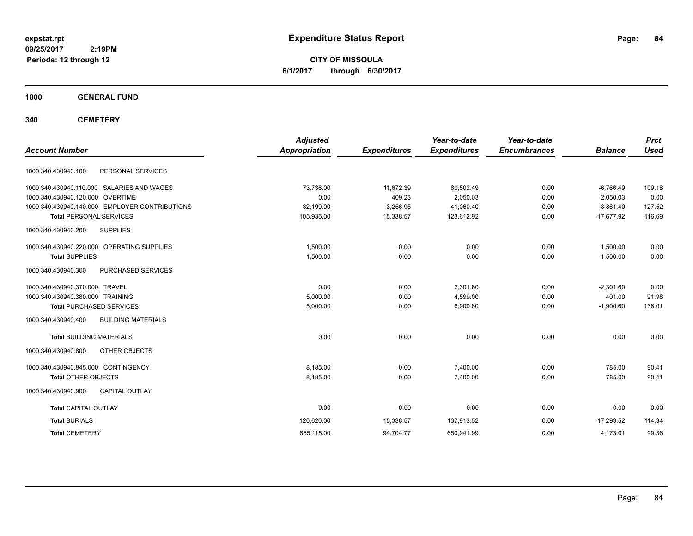**CITY OF MISSOULA 6/1/2017 through 6/30/2017**

**1000 GENERAL FUND**

**340 CEMETERY**

| <b>Account Number</b>                            | <b>Adjusted</b><br><b>Appropriation</b> | <b>Expenditures</b> | Year-to-date<br><b>Expenditures</b> | Year-to-date<br><b>Encumbrances</b> | <b>Balance</b> | <b>Prct</b><br><b>Used</b> |
|--------------------------------------------------|-----------------------------------------|---------------------|-------------------------------------|-------------------------------------|----------------|----------------------------|
|                                                  |                                         |                     |                                     |                                     |                |                            |
| 1000.340.430940.100<br>PERSONAL SERVICES         |                                         |                     |                                     |                                     |                |                            |
| 1000.340.430940.110.000 SALARIES AND WAGES       | 73,736.00                               | 11,672.39           | 80,502.49                           | 0.00                                | $-6,766.49$    | 109.18                     |
| 1000.340.430940.120.000 OVERTIME                 | 0.00                                    | 409.23              | 2,050.03                            | 0.00                                | $-2,050.03$    | 0.00                       |
| 1000.340.430940.140.000 EMPLOYER CONTRIBUTIONS   | 32,199.00                               | 3,256.95            | 41,060.40                           | 0.00                                | $-8,861.40$    | 127.52                     |
| <b>Total PERSONAL SERVICES</b>                   | 105,935.00                              | 15,338.57           | 123,612.92                          | 0.00                                | $-17,677.92$   | 116.69                     |
| <b>SUPPLIES</b><br>1000.340.430940.200           |                                         |                     |                                     |                                     |                |                            |
| 1000.340.430940.220.000 OPERATING SUPPLIES       | 1.500.00                                | 0.00                | 0.00                                | 0.00                                | 1.500.00       | 0.00                       |
| <b>Total SUPPLIES</b>                            | 1,500.00                                | 0.00                | 0.00                                | 0.00                                | 1,500.00       | 0.00                       |
| 1000.340.430940.300<br>PURCHASED SERVICES        |                                         |                     |                                     |                                     |                |                            |
| 1000.340.430940.370.000 TRAVEL                   | 0.00                                    | 0.00                | 2.301.60                            | 0.00                                | $-2,301.60$    | 0.00                       |
| 1000.340.430940.380.000 TRAINING                 | 5,000.00                                | 0.00                | 4,599.00                            | 0.00                                | 401.00         | 91.98                      |
| <b>Total PURCHASED SERVICES</b>                  | 5,000.00                                | 0.00                | 6,900.60                            | 0.00                                | $-1,900.60$    | 138.01                     |
| 1000.340.430940.400<br><b>BUILDING MATERIALS</b> |                                         |                     |                                     |                                     |                |                            |
| <b>Total BUILDING MATERIALS</b>                  | 0.00                                    | 0.00                | 0.00                                | 0.00                                | 0.00           | 0.00                       |
| 1000.340.430940.800<br>OTHER OBJECTS             |                                         |                     |                                     |                                     |                |                            |
| 1000.340.430940.845.000 CONTINGENCY              | 8.185.00                                | 0.00                | 7.400.00                            | 0.00                                | 785.00         | 90.41                      |
| <b>Total OTHER OBJECTS</b>                       | 8,185.00                                | 0.00                | 7,400.00                            | 0.00                                | 785.00         | 90.41                      |
| <b>CAPITAL OUTLAY</b><br>1000.340.430940.900     |                                         |                     |                                     |                                     |                |                            |
| <b>Total CAPITAL OUTLAY</b>                      | 0.00                                    | 0.00                | 0.00                                | 0.00                                | 0.00           | 0.00                       |
| <b>Total BURIALS</b>                             | 120,620.00                              | 15,338.57           | 137,913.52                          | 0.00                                | $-17.293.52$   | 114.34                     |
| <b>Total CEMETERY</b>                            | 655,115.00                              | 94,704.77           | 650,941.99                          | 0.00                                | 4,173.01       | 99.36                      |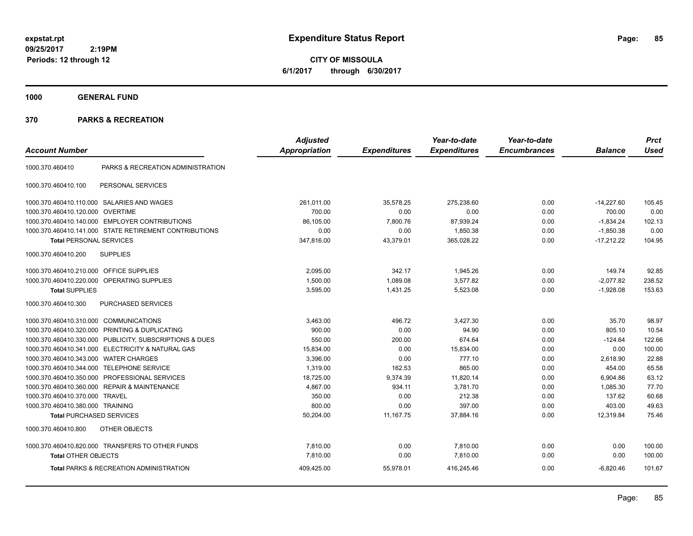**CITY OF MISSOULA 6/1/2017 through 6/30/2017**

**1000 GENERAL FUND**

| <b>Account Number</b>                   |                                                        | <b>Adjusted</b><br><b>Appropriation</b> | <b>Expenditures</b> | Year-to-date<br><b>Expenditures</b> | Year-to-date<br><b>Encumbrances</b> | <b>Balance</b> | <b>Prct</b><br><b>Used</b> |
|-----------------------------------------|--------------------------------------------------------|-----------------------------------------|---------------------|-------------------------------------|-------------------------------------|----------------|----------------------------|
| 1000.370.460410                         | PARKS & RECREATION ADMINISTRATION                      |                                         |                     |                                     |                                     |                |                            |
| 1000.370.460410.100                     | PERSONAL SERVICES                                      |                                         |                     |                                     |                                     |                |                            |
|                                         | 1000.370.460410.110.000 SALARIES AND WAGES             | 261.011.00                              | 35,578.25           | 275,238.60                          | 0.00                                | $-14,227.60$   | 105.45                     |
| 1000.370.460410.120.000                 | <b>OVERTIME</b>                                        | 700.00                                  | 0.00                | 0.00                                | 0.00                                | 700.00         | 0.00                       |
|                                         | 1000.370.460410.140.000 EMPLOYER CONTRIBUTIONS         | 86,105.00                               | 7,800.76            | 87,939.24                           | 0.00                                | $-1,834.24$    | 102.13                     |
|                                         | 1000.370.460410.141.000 STATE RETIREMENT CONTRIBUTIONS | 0.00                                    | 0.00                | 1,850.38                            | 0.00                                | $-1,850.38$    | 0.00                       |
| <b>Total PERSONAL SERVICES</b>          |                                                        | 347,816.00                              | 43,379.01           | 365,028.22                          | 0.00                                | $-17,212.22$   | 104.95                     |
| 1000.370.460410.200                     | <b>SUPPLIES</b>                                        |                                         |                     |                                     |                                     |                |                            |
| 1000.370.460410.210.000 OFFICE SUPPLIES |                                                        | 2.095.00                                | 342.17              | 1,945.26                            | 0.00                                | 149.74         | 92.85                      |
| 1000.370.460410.220.000                 | OPERATING SUPPLIES                                     | 1,500.00                                | 1,089.08            | 3,577.82                            | 0.00                                | $-2,077.82$    | 238.52                     |
| <b>Total SUPPLIES</b>                   |                                                        | 3,595.00                                | 1,431.25            | 5,523.08                            | 0.00                                | $-1,928.08$    | 153.63                     |
| 1000.370.460410.300                     | PURCHASED SERVICES                                     |                                         |                     |                                     |                                     |                |                            |
| 1000.370.460410.310.000                 | <b>COMMUNICATIONS</b>                                  | 3,463.00                                | 496.72              | 3,427.30                            | 0.00                                | 35.70          | 98.97                      |
| 1000.370.460410.320.000                 | PRINTING & DUPLICATING                                 | 900.00                                  | 0.00                | 94.90                               | 0.00                                | 805.10         | 10.54                      |
| 1000.370.460410.330.000                 | PUBLICITY, SUBSCRIPTIONS & DUES                        | 550.00                                  | 200.00              | 674.64                              | 0.00                                | $-124.64$      | 122.66                     |
|                                         | 1000.370.460410.341.000 ELECTRICITY & NATURAL GAS      | 15,834.00                               | 0.00                | 15,834.00                           | 0.00                                | 0.00           | 100.00                     |
| 1000.370.460410.343.000                 | <b>WATER CHARGES</b>                                   | 3,396.00                                | 0.00                | 777.10                              | 0.00                                | 2.618.90       | 22.88                      |
| 1000.370.460410.344.000                 | <b>TELEPHONE SERVICE</b>                               | 1,319.00                                | 162.53              | 865.00                              | 0.00                                | 454.00         | 65.58                      |
|                                         | 1000.370.460410.350.000 PROFESSIONAL SERVICES          | 18,725.00                               | 9,374.39            | 11,820.14                           | 0.00                                | 6,904.86       | 63.12                      |
| 1000.370.460410.360.000                 | <b>REPAIR &amp; MAINTENANCE</b>                        | 4,867.00                                | 934.11              | 3,781.70                            | 0.00                                | 1,085.30       | 77.70                      |
| 1000.370.460410.370.000                 | <b>TRAVEL</b>                                          | 350.00                                  | 0.00                | 212.38                              | 0.00                                | 137.62         | 60.68                      |
| 1000.370.460410.380.000 TRAINING        |                                                        | 800.00                                  | 0.00                | 397.00                              | 0.00                                | 403.00         | 49.63                      |
| <b>Total PURCHASED SERVICES</b>         |                                                        | 50,204.00                               | 11,167.75           | 37,884.16                           | 0.00                                | 12,319.84      | 75.46                      |
| 1000.370.460410.800                     | OTHER OBJECTS                                          |                                         |                     |                                     |                                     |                |                            |
|                                         | 1000.370.460410.820.000 TRANSFERS TO OTHER FUNDS       | 7,810.00                                | 0.00                | 7,810.00                            | 0.00                                | 0.00           | 100.00                     |
| <b>Total OTHER OBJECTS</b>              |                                                        | 7,810.00                                | 0.00                | 7,810.00                            | 0.00                                | 0.00           | 100.00                     |
|                                         | <b>Total PARKS &amp; RECREATION ADMINISTRATION</b>     | 409,425.00                              | 55,978.01           | 416,245.46                          | 0.00                                | $-6,820.46$    | 101.67                     |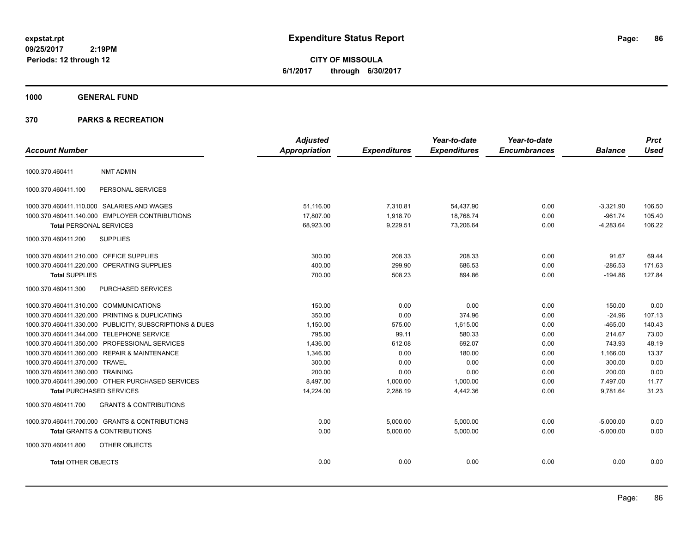**CITY OF MISSOULA 6/1/2017 through 6/30/2017**

# **1000 GENERAL FUND**

|                                         |                                                         | <b>Adjusted</b> |                     | Year-to-date        | Year-to-date        |                | <b>Prct</b> |
|-----------------------------------------|---------------------------------------------------------|-----------------|---------------------|---------------------|---------------------|----------------|-------------|
| <b>Account Number</b>                   |                                                         | Appropriation   | <b>Expenditures</b> | <b>Expenditures</b> | <b>Encumbrances</b> | <b>Balance</b> | <b>Used</b> |
| 1000.370.460411                         | <b>NMT ADMIN</b>                                        |                 |                     |                     |                     |                |             |
| 1000.370.460411.100                     | PERSONAL SERVICES                                       |                 |                     |                     |                     |                |             |
|                                         | 1000.370.460411.110.000 SALARIES AND WAGES              | 51,116.00       | 7,310.81            | 54,437.90           | 0.00                | $-3,321.90$    | 106.50      |
|                                         | 1000.370.460411.140.000 EMPLOYER CONTRIBUTIONS          | 17,807.00       | 1,918.70            | 18,768.74           | 0.00                | $-961.74$      | 105.40      |
| <b>Total PERSONAL SERVICES</b>          |                                                         | 68,923.00       | 9,229.51            | 73,206.64           | 0.00                | $-4,283.64$    | 106.22      |
| 1000.370.460411.200                     | <b>SUPPLIES</b>                                         |                 |                     |                     |                     |                |             |
| 1000.370.460411.210.000 OFFICE SUPPLIES |                                                         | 300.00          | 208.33              | 208.33              | 0.00                | 91.67          | 69.44       |
|                                         | 1000.370.460411.220.000 OPERATING SUPPLIES              | 400.00          | 299.90              | 686.53              | 0.00                | $-286.53$      | 171.63      |
| <b>Total SUPPLIES</b>                   |                                                         | 700.00          | 508.23              | 894.86              | 0.00                | $-194.86$      | 127.84      |
| 1000.370.460411.300                     | PURCHASED SERVICES                                      |                 |                     |                     |                     |                |             |
| 1000.370.460411.310.000 COMMUNICATIONS  |                                                         | 150.00          | 0.00                | 0.00                | 0.00                | 150.00         | 0.00        |
|                                         | 1000.370.460411.320.000 PRINTING & DUPLICATING          | 350.00          | 0.00                | 374.96              | 0.00                | $-24.96$       | 107.13      |
|                                         | 1000.370.460411.330.000 PUBLICITY, SUBSCRIPTIONS & DUES | 1,150.00        | 575.00              | 1,615.00            | 0.00                | $-465.00$      | 140.43      |
|                                         | 1000.370.460411.344.000 TELEPHONE SERVICE               | 795.00          | 99.11               | 580.33              | 0.00                | 214.67         | 73.00       |
|                                         | 1000.370.460411.350.000 PROFESSIONAL SERVICES           | 1,436.00        | 612.08              | 692.07              | 0.00                | 743.93         | 48.19       |
|                                         | 1000.370.460411.360.000 REPAIR & MAINTENANCE            | 1,346.00        | 0.00                | 180.00              | 0.00                | 1,166.00       | 13.37       |
| 1000.370.460411.370.000 TRAVEL          |                                                         | 300.00          | 0.00                | 0.00                | 0.00                | 300.00         | 0.00        |
| 1000.370.460411.380.000 TRAINING        |                                                         | 200.00          | 0.00                | 0.00                | 0.00                | 200.00         | 0.00        |
|                                         | 1000.370.460411.390.000 OTHER PURCHASED SERVICES        | 8,497.00        | 1,000.00            | 1,000.00            | 0.00                | 7,497.00       | 11.77       |
| <b>Total PURCHASED SERVICES</b>         |                                                         | 14,224.00       | 2,286.19            | 4,442.36            | 0.00                | 9,781.64       | 31.23       |
| 1000.370.460411.700                     | <b>GRANTS &amp; CONTRIBUTIONS</b>                       |                 |                     |                     |                     |                |             |
|                                         | 1000.370.460411.700.000 GRANTS & CONTRIBUTIONS          | 0.00            | 5,000.00            | 5,000.00            | 0.00                | $-5,000.00$    | 0.00        |
|                                         | <b>Total GRANTS &amp; CONTRIBUTIONS</b>                 | 0.00            | 5,000.00            | 5,000.00            | 0.00                | $-5,000.00$    | 0.00        |
| 1000.370.460411.800                     | OTHER OBJECTS                                           |                 |                     |                     |                     |                |             |
| <b>Total OTHER OBJECTS</b>              |                                                         | 0.00            | 0.00                | 0.00                | 0.00                | 0.00           | 0.00        |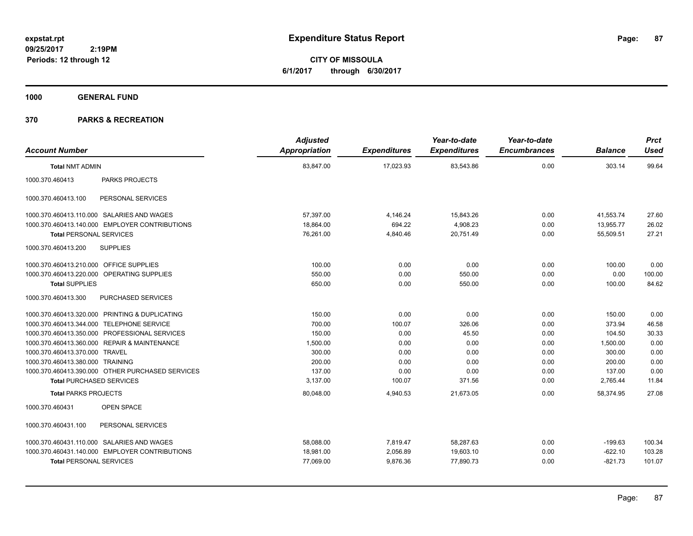**CITY OF MISSOULA 6/1/2017 through 6/30/2017**

**1000 GENERAL FUND**

|                                         |                                                  | <b>Adjusted</b> |                     | Year-to-date        | Year-to-date        |                | <b>Prct</b> |
|-----------------------------------------|--------------------------------------------------|-----------------|---------------------|---------------------|---------------------|----------------|-------------|
| <b>Account Number</b>                   |                                                  | Appropriation   | <b>Expenditures</b> | <b>Expenditures</b> | <b>Encumbrances</b> | <b>Balance</b> | <b>Used</b> |
| <b>Total NMT ADMIN</b>                  |                                                  | 83,847.00       | 17,023.93           | 83,543.86           | 0.00                | 303.14         | 99.64       |
| 1000.370.460413                         | PARKS PROJECTS                                   |                 |                     |                     |                     |                |             |
| 1000.370.460413.100                     | PERSONAL SERVICES                                |                 |                     |                     |                     |                |             |
|                                         | 1000.370.460413.110.000 SALARIES AND WAGES       | 57,397.00       | 4,146.24            | 15,843.26           | 0.00                | 41.553.74      | 27.60       |
|                                         | 1000.370.460413.140.000 EMPLOYER CONTRIBUTIONS   | 18,864.00       | 694.22              | 4,908.23            | 0.00                | 13,955.77      | 26.02       |
| <b>Total PERSONAL SERVICES</b>          |                                                  | 76,261.00       | 4,840.46            | 20,751.49           | 0.00                | 55,509.51      | 27.21       |
| 1000.370.460413.200                     | <b>SUPPLIES</b>                                  |                 |                     |                     |                     |                |             |
| 1000.370.460413.210.000 OFFICE SUPPLIES |                                                  | 100.00          | 0.00                | 0.00                | 0.00                | 100.00         | 0.00        |
|                                         | 1000.370.460413.220.000 OPERATING SUPPLIES       | 550.00          | 0.00                | 550.00              | 0.00                | 0.00           | 100.00      |
| <b>Total SUPPLIES</b>                   |                                                  | 650.00          | 0.00                | 550.00              | 0.00                | 100.00         | 84.62       |
| 1000.370.460413.300                     | PURCHASED SERVICES                               |                 |                     |                     |                     |                |             |
|                                         | 1000.370.460413.320.000 PRINTING & DUPLICATING   | 150.00          | 0.00                | 0.00                | 0.00                | 150.00         | 0.00        |
|                                         | 1000.370.460413.344.000 TELEPHONE SERVICE        | 700.00          | 100.07              | 326.06              | 0.00                | 373.94         | 46.58       |
|                                         | 1000.370.460413.350.000 PROFESSIONAL SERVICES    | 150.00          | 0.00                | 45.50               | 0.00                | 104.50         | 30.33       |
|                                         | 1000.370.460413.360.000 REPAIR & MAINTENANCE     | 1,500.00        | 0.00                | 0.00                | 0.00                | 1,500.00       | 0.00        |
| 1000.370.460413.370.000 TRAVEL          |                                                  | 300.00          | 0.00                | 0.00                | 0.00                | 300.00         | 0.00        |
| 1000.370.460413.380.000 TRAINING        |                                                  | 200.00          | 0.00                | 0.00                | 0.00                | 200.00         | 0.00        |
|                                         | 1000.370.460413.390.000 OTHER PURCHASED SERVICES | 137.00          | 0.00                | 0.00                | 0.00                | 137.00         | 0.00        |
| <b>Total PURCHASED SERVICES</b>         |                                                  | 3,137.00        | 100.07              | 371.56              | 0.00                | 2,765.44       | 11.84       |
| <b>Total PARKS PROJECTS</b>             |                                                  | 80,048.00       | 4,940.53            | 21,673.05           | 0.00                | 58,374.95      | 27.08       |
| 1000.370.460431                         | <b>OPEN SPACE</b>                                |                 |                     |                     |                     |                |             |
| 1000.370.460431.100                     | PERSONAL SERVICES                                |                 |                     |                     |                     |                |             |
|                                         | 1000.370.460431.110.000 SALARIES AND WAGES       | 58,088.00       | 7,819.47            | 58,287.63           | 0.00                | $-199.63$      | 100.34      |
|                                         | 1000.370.460431.140.000 EMPLOYER CONTRIBUTIONS   | 18,981.00       | 2,056.89            | 19,603.10           | 0.00                | $-622.10$      | 103.28      |
| <b>Total PERSONAL SERVICES</b>          |                                                  | 77,069.00       | 9,876.36            | 77,890.73           | 0.00                | $-821.73$      | 101.07      |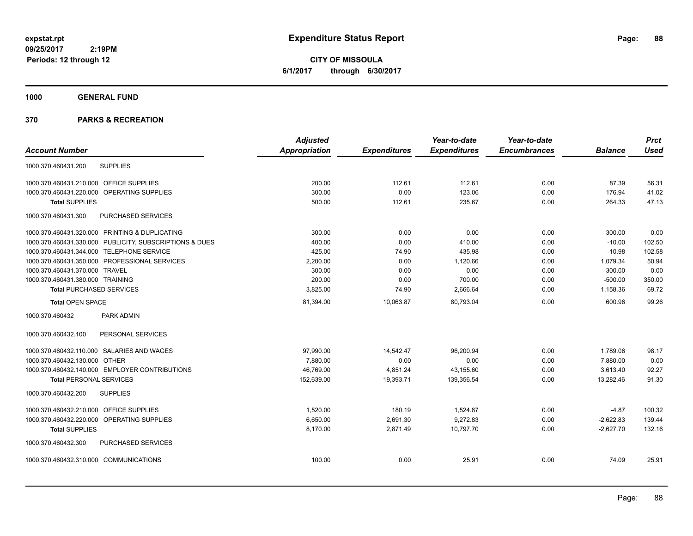**CITY OF MISSOULA 6/1/2017 through 6/30/2017**

**1000 GENERAL FUND**

|                                           |                                                         | <b>Adjusted</b>      |                     | Year-to-date        | Year-to-date        |                | <b>Prct</b> |
|-------------------------------------------|---------------------------------------------------------|----------------------|---------------------|---------------------|---------------------|----------------|-------------|
| <b>Account Number</b>                     |                                                         | <b>Appropriation</b> | <b>Expenditures</b> | <b>Expenditures</b> | <b>Encumbrances</b> | <b>Balance</b> | <b>Used</b> |
| 1000.370.460431.200                       | <b>SUPPLIES</b>                                         |                      |                     |                     |                     |                |             |
| 1000.370.460431.210.000 OFFICE SUPPLIES   |                                                         | 200.00               | 112.61              | 112.61              | 0.00                | 87.39          | 56.31       |
|                                           | 1000.370.460431.220.000 OPERATING SUPPLIES              | 300.00               | 0.00                | 123.06              | 0.00                | 176.94         | 41.02       |
| <b>Total SUPPLIES</b>                     |                                                         | 500.00               | 112.61              | 235.67              | 0.00                | 264.33         | 47.13       |
| 1000.370.460431.300                       | PURCHASED SERVICES                                      |                      |                     |                     |                     |                |             |
|                                           | 1000.370.460431.320.000 PRINTING & DUPLICATING          | 300.00               | 0.00                | 0.00                | 0.00                | 300.00         | 0.00        |
|                                           | 1000.370.460431.330.000 PUBLICITY, SUBSCRIPTIONS & DUES | 400.00               | 0.00                | 410.00              | 0.00                | $-10.00$       | 102.50      |
| 1000.370.460431.344.000 TELEPHONE SERVICE |                                                         | 425.00               | 74.90               | 435.98              | 0.00                | $-10.98$       | 102.58      |
|                                           | 1000.370.460431.350.000 PROFESSIONAL SERVICES           | 2,200.00             | 0.00                | 1,120.66            | 0.00                | 1,079.34       | 50.94       |
| 1000.370.460431.370.000 TRAVEL            |                                                         | 300.00               | 0.00                | 0.00                | 0.00                | 300.00         | 0.00        |
| 1000.370.460431.380.000 TRAINING          |                                                         | 200.00               | 0.00                | 700.00              | 0.00                | $-500.00$      | 350.00      |
| <b>Total PURCHASED SERVICES</b>           |                                                         | 3,825.00             | 74.90               | 2,666.64            | 0.00                | 1,158.36       | 69.72       |
| <b>Total OPEN SPACE</b>                   |                                                         | 81,394.00            | 10,063.87           | 80,793.04           | 0.00                | 600.96         | 99.26       |
| 1000.370.460432                           | PARK ADMIN                                              |                      |                     |                     |                     |                |             |
| 1000.370.460432.100                       | PERSONAL SERVICES                                       |                      |                     |                     |                     |                |             |
|                                           | 1000.370.460432.110.000 SALARIES AND WAGES              | 97,990.00            | 14,542.47           | 96,200.94           | 0.00                | 1,789.06       | 98.17       |
| 1000.370.460432.130.000 OTHER             |                                                         | 7,880.00             | 0.00                | 0.00                | 0.00                | 7,880.00       | 0.00        |
|                                           | 1000.370.460432.140.000 EMPLOYER CONTRIBUTIONS          | 46,769.00            | 4,851.24            | 43,155.60           | 0.00                | 3,613.40       | 92.27       |
| <b>Total PERSONAL SERVICES</b>            |                                                         | 152,639.00           | 19,393.71           | 139,356.54          | 0.00                | 13,282.46      | 91.30       |
| 1000.370.460432.200                       | <b>SUPPLIES</b>                                         |                      |                     |                     |                     |                |             |
| 1000.370.460432.210.000 OFFICE SUPPLIES   |                                                         | 1,520.00             | 180.19              | 1,524.87            | 0.00                | $-4.87$        | 100.32      |
|                                           | 1000.370.460432.220.000 OPERATING SUPPLIES              | 6,650.00             | 2,691.30            | 9,272.83            | 0.00                | $-2,622.83$    | 139.44      |
| <b>Total SUPPLIES</b>                     |                                                         | 8,170.00             | 2,871.49            | 10.797.70           | 0.00                | $-2,627.70$    | 132.16      |
| 1000.370.460432.300                       | PURCHASED SERVICES                                      |                      |                     |                     |                     |                |             |
| 1000.370.460432.310.000 COMMUNICATIONS    |                                                         | 100.00               | 0.00                | 25.91               | 0.00                | 74.09          | 25.91       |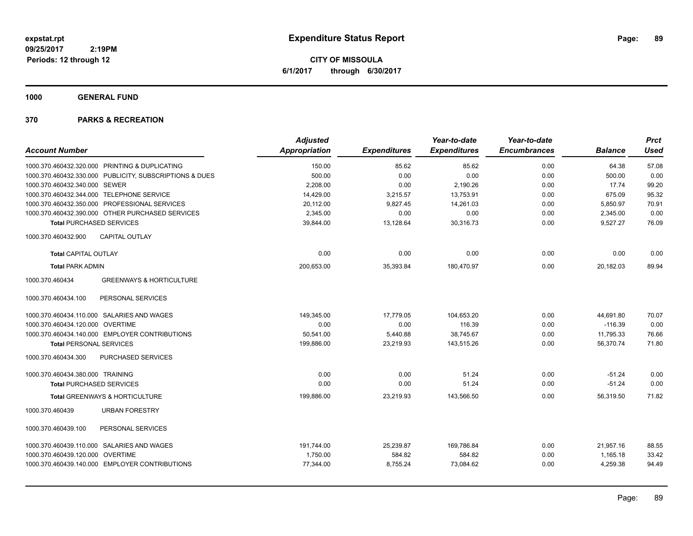**CITY OF MISSOULA 6/1/2017 through 6/30/2017**

**1000 GENERAL FUND**

|                                                         | <b>Adjusted</b> |                     | Year-to-date        | Year-to-date        |                | <b>Prct</b> |
|---------------------------------------------------------|-----------------|---------------------|---------------------|---------------------|----------------|-------------|
| <b>Account Number</b>                                   | Appropriation   | <b>Expenditures</b> | <b>Expenditures</b> | <b>Encumbrances</b> | <b>Balance</b> | <b>Used</b> |
| 1000.370.460432.320.000 PRINTING & DUPLICATING          | 150.00          | 85.62               | 85.62               | 0.00                | 64.38          | 57.08       |
| 1000.370.460432.330.000 PUBLICITY, SUBSCRIPTIONS & DUES | 500.00          | 0.00                | 0.00                | 0.00                | 500.00         | 0.00        |
| 1000.370.460432.340.000 SEWER                           | 2,208.00        | 0.00                | 2,190.26            | 0.00                | 17.74          | 99.20       |
| 1000.370.460432.344.000 TELEPHONE SERVICE               | 14,429.00       | 3,215.57            | 13,753.91           | 0.00                | 675.09         | 95.32       |
| 1000.370.460432.350.000 PROFESSIONAL SERVICES           | 20,112.00       | 9,827.45            | 14,261.03           | 0.00                | 5,850.97       | 70.91       |
| 1000.370.460432.390.000 OTHER PURCHASED SERVICES        | 2,345.00        | 0.00                | 0.00                | 0.00                | 2,345.00       | 0.00        |
| <b>Total PURCHASED SERVICES</b>                         | 39,844.00       | 13,128.64           | 30,316.73           | 0.00                | 9,527.27       | 76.09       |
| CAPITAL OUTLAY<br>1000.370.460432.900                   |                 |                     |                     |                     |                |             |
| <b>Total CAPITAL OUTLAY</b>                             | 0.00            | 0.00                | 0.00                | 0.00                | 0.00           | 0.00        |
| <b>Total PARK ADMIN</b>                                 | 200,653.00      | 35,393.84           | 180,470.97          | 0.00                | 20,182.03      | 89.94       |
| <b>GREENWAYS &amp; HORTICULTURE</b><br>1000.370.460434  |                 |                     |                     |                     |                |             |
| PERSONAL SERVICES<br>1000.370.460434.100                |                 |                     |                     |                     |                |             |
| 1000.370.460434.110.000 SALARIES AND WAGES              | 149.345.00      | 17,779.05           | 104,653.20          | 0.00                | 44,691.80      | 70.07       |
| 1000.370.460434.120.000 OVERTIME                        | 0.00            | 0.00                | 116.39              | 0.00                | $-116.39$      | 0.00        |
| 1000.370.460434.140.000 EMPLOYER CONTRIBUTIONS          | 50,541.00       | 5,440.88            | 38,745.67           | 0.00                | 11,795.33      | 76.66       |
| <b>Total PERSONAL SERVICES</b>                          | 199,886.00      | 23,219.93           | 143,515.26          | 0.00                | 56,370.74      | 71.80       |
| 1000.370.460434.300<br><b>PURCHASED SERVICES</b>        |                 |                     |                     |                     |                |             |
| 1000.370.460434.380.000 TRAINING                        | 0.00            | 0.00                | 51.24               | 0.00                | $-51.24$       | 0.00        |
| <b>Total PURCHASED SERVICES</b>                         | 0.00            | 0.00                | 51.24               | 0.00                | $-51.24$       | 0.00        |
| Total GREENWAYS & HORTICULTURE                          | 199,886.00      | 23,219.93           | 143,566.50          | 0.00                | 56,319.50      | 71.82       |
| 1000.370.460439<br><b>URBAN FORESTRY</b>                |                 |                     |                     |                     |                |             |
| PERSONAL SERVICES<br>1000.370.460439.100                |                 |                     |                     |                     |                |             |
| 1000.370.460439.110.000 SALARIES AND WAGES              | 191,744.00      | 25,239.87           | 169.786.84          | 0.00                | 21.957.16      | 88.55       |
| 1000.370.460439.120.000 OVERTIME                        | 1,750.00        | 584.82              | 584.82              | 0.00                | 1,165.18       | 33.42       |
| 1000.370.460439.140.000 EMPLOYER CONTRIBUTIONS          | 77,344.00       | 8,755.24            | 73,084.62           | 0.00                | 4,259.38       | 94.49       |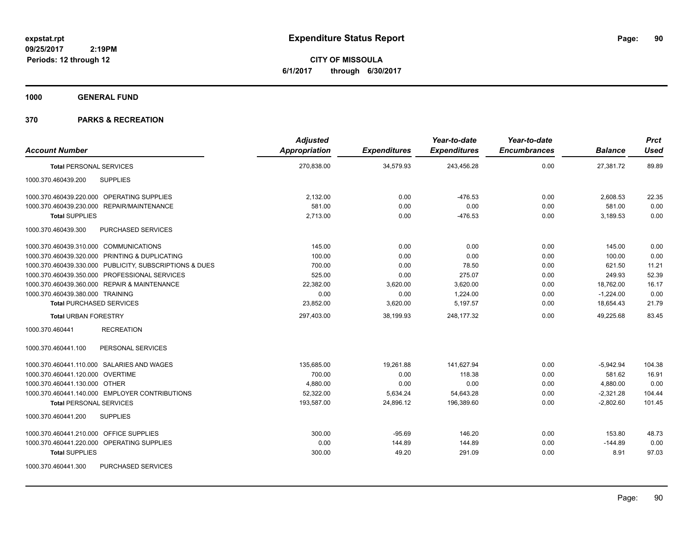**CITY OF MISSOULA 6/1/2017 through 6/30/2017**

**1000 GENERAL FUND**

| <b>Account Number</b>                                   | <b>Adjusted</b><br>Appropriation | <b>Expenditures</b> | Year-to-date<br><b>Expenditures</b> | Year-to-date<br><b>Encumbrances</b> | <b>Balance</b> | <b>Prct</b><br><b>Used</b> |
|---------------------------------------------------------|----------------------------------|---------------------|-------------------------------------|-------------------------------------|----------------|----------------------------|
| <b>Total PERSONAL SERVICES</b>                          | 270,838.00                       | 34,579.93           | 243,456.28                          | 0.00                                | 27,381.72      | 89.89                      |
| <b>SUPPLIES</b><br>1000.370.460439.200                  |                                  |                     |                                     |                                     |                |                            |
| 1000.370.460439.220.000 OPERATING SUPPLIES              | 2,132.00                         | 0.00                | $-476.53$                           | 0.00                                | 2,608.53       | 22.35                      |
| 1000.370.460439.230.000 REPAIR/MAINTENANCE              | 581.00                           | 0.00                | 0.00                                | 0.00                                | 581.00         | 0.00                       |
| <b>Total SUPPLIES</b>                                   | 2,713.00                         | 0.00                | $-476.53$                           | 0.00                                | 3,189.53       | 0.00                       |
| 1000.370.460439.300<br><b>PURCHASED SERVICES</b>        |                                  |                     |                                     |                                     |                |                            |
| 1000.370.460439.310.000 COMMUNICATIONS                  | 145.00                           | 0.00                | 0.00                                | 0.00                                | 145.00         | 0.00                       |
| 1000.370.460439.320.000 PRINTING & DUPLICATING          | 100.00                           | 0.00                | 0.00                                | 0.00                                | 100.00         | 0.00                       |
| 1000.370.460439.330.000 PUBLICITY, SUBSCRIPTIONS & DUES | 700.00                           | 0.00                | 78.50                               | 0.00                                | 621.50         | 11.21                      |
| 1000.370.460439.350.000 PROFESSIONAL SERVICES           | 525.00                           | 0.00                | 275.07                              | 0.00                                | 249.93         | 52.39                      |
| 1000.370.460439.360.000 REPAIR & MAINTENANCE            | 22,382.00                        | 3,620.00            | 3,620.00                            | 0.00                                | 18,762.00      | 16.17                      |
| 1000.370.460439.380.000 TRAINING                        | 0.00                             | 0.00                | 1,224.00                            | 0.00                                | $-1,224.00$    | 0.00                       |
| <b>Total PURCHASED SERVICES</b>                         | 23,852.00                        | 3,620.00            | 5,197.57                            | 0.00                                | 18,654.43      | 21.79                      |
| <b>Total URBAN FORESTRY</b>                             | 297,403.00                       | 38,199.93           | 248,177.32                          | 0.00                                | 49,225.68      | 83.45                      |
| 1000.370.460441<br><b>RECREATION</b>                    |                                  |                     |                                     |                                     |                |                            |
| 1000.370.460441.100<br>PERSONAL SERVICES                |                                  |                     |                                     |                                     |                |                            |
| 1000.370.460441.110.000 SALARIES AND WAGES              | 135,685.00                       | 19,261.88           | 141,627.94                          | 0.00                                | $-5,942.94$    | 104.38                     |
| 1000.370.460441.120.000 OVERTIME                        | 700.00                           | 0.00                | 118.38                              | 0.00                                | 581.62         | 16.91                      |
| 1000.370.460441.130.000 OTHER                           | 4,880.00                         | 0.00                | 0.00                                | 0.00                                | 4,880.00       | 0.00                       |
| 1000.370.460441.140.000 EMPLOYER CONTRIBUTIONS          | 52,322.00                        | 5,634.24            | 54,643.28                           | 0.00                                | $-2,321.28$    | 104.44                     |
| <b>Total PERSONAL SERVICES</b>                          | 193,587.00                       | 24,896.12           | 196,389.60                          | 0.00                                | $-2,802.60$    | 101.45                     |
| <b>SUPPLIES</b><br>1000.370.460441.200                  |                                  |                     |                                     |                                     |                |                            |
| 1000.370.460441.210.000 OFFICE SUPPLIES                 | 300.00                           | $-95.69$            | 146.20                              | 0.00                                | 153.80         | 48.73                      |
| 1000.370.460441.220.000 OPERATING SUPPLIES              | 0.00                             | 144.89              | 144.89                              | 0.00                                | $-144.89$      | 0.00                       |
| <b>Total SUPPLIES</b>                                   | 300.00                           | 49.20               | 291.09                              | 0.00                                | 8.91           | 97.03                      |
| 1000.370.460441.300<br><b>PURCHASED SERVICES</b>        |                                  |                     |                                     |                                     |                |                            |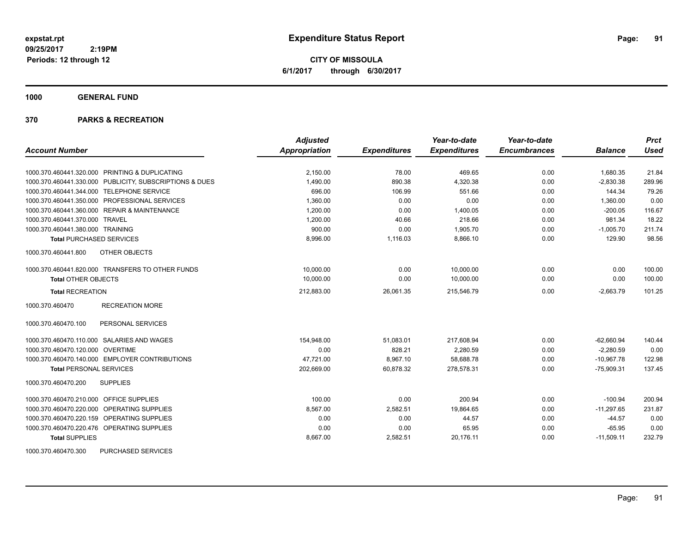**CITY OF MISSOULA 6/1/2017 through 6/30/2017**

**1000 GENERAL FUND**

|                                                         | <b>Adjusted</b>      |                     | Year-to-date        | Year-to-date        |                | <b>Prct</b> |
|---------------------------------------------------------|----------------------|---------------------|---------------------|---------------------|----------------|-------------|
| <b>Account Number</b>                                   | <b>Appropriation</b> | <b>Expenditures</b> | <b>Expenditures</b> | <b>Encumbrances</b> | <b>Balance</b> | Used        |
| 1000.370.460441.320.000 PRINTING & DUPLICATING          | 2,150.00             | 78.00               | 469.65              | 0.00                | 1,680.35       | 21.84       |
| 1000.370.460441.330.000 PUBLICITY, SUBSCRIPTIONS & DUES | 1,490.00             | 890.38              | 4,320.38            | 0.00                | $-2,830.38$    | 289.96      |
| 1000.370.460441.344.000 TELEPHONE SERVICE               | 696.00               | 106.99              | 551.66              | 0.00                | 144.34         | 79.26       |
| 1000.370.460441.350.000 PROFESSIONAL SERVICES           | 1,360.00             | 0.00                | 0.00                | 0.00                | 1,360.00       | 0.00        |
| 1000.370.460441.360.000 REPAIR & MAINTENANCE            | 1,200.00             | 0.00                | 1,400.05            | 0.00                | $-200.05$      | 116.67      |
| 1000.370.460441.370.000 TRAVEL                          | 1,200.00             | 40.66               | 218.66              | 0.00                | 981.34         | 18.22       |
| 1000.370.460441.380.000 TRAINING                        | 900.00               | 0.00                | 1,905.70            | 0.00                | $-1,005.70$    | 211.74      |
| <b>Total PURCHASED SERVICES</b>                         | 8,996.00             | 1,116.03            | 8,866.10            | 0.00                | 129.90         | 98.56       |
| 1000.370.460441.800<br>OTHER OBJECTS                    |                      |                     |                     |                     |                |             |
| 1000.370.460441.820.000 TRANSFERS TO OTHER FUNDS        | 10,000.00            | 0.00                | 10,000.00           | 0.00                | 0.00           | 100.00      |
| <b>Total OTHER OBJECTS</b>                              | 10,000.00            | 0.00                | 10,000.00           | 0.00                | 0.00           | 100.00      |
| <b>Total RECREATION</b>                                 | 212,883.00           | 26,061.35           | 215,546.79          | 0.00                | $-2,663.79$    | 101.25      |
| 1000.370.460470<br><b>RECREATION MORE</b>               |                      |                     |                     |                     |                |             |
| PERSONAL SERVICES<br>1000.370.460470.100                |                      |                     |                     |                     |                |             |
| 1000.370.460470.110.000 SALARIES AND WAGES              | 154,948.00           | 51,083.01           | 217,608.94          | 0.00                | $-62,660.94$   | 140.44      |
| 1000.370.460470.120.000 OVERTIME                        | 0.00                 | 828.21              | 2,280.59            | 0.00                | $-2.280.59$    | 0.00        |
| 1000.370.460470.140.000 EMPLOYER CONTRIBUTIONS          | 47.721.00            | 8,967.10            | 58,688.78           | 0.00                | $-10.967.78$   | 122.98      |
| <b>Total PERSONAL SERVICES</b>                          | 202,669.00           | 60,878.32           | 278,578.31          | 0.00                | $-75,909.31$   | 137.45      |
| 1000.370.460470.200<br><b>SUPPLIES</b>                  |                      |                     |                     |                     |                |             |
| 1000.370.460470.210.000<br><b>OFFICE SUPPLIES</b>       | 100.00               | 0.00                | 200.94              | 0.00                | $-100.94$      | 200.94      |
| 1000.370.460470.220.000 OPERATING SUPPLIES              | 8,567.00             | 2,582.51            | 19,864.65           | 0.00                | $-11,297.65$   | 231.87      |
| 1000.370.460470.220.159 OPERATING SUPPLIES              | 0.00                 | 0.00                | 44.57               | 0.00                | $-44.57$       | 0.00        |
| 1000.370.460470.220.476 OPERATING SUPPLIES              | 0.00                 | 0.00                | 65.95               | 0.00                | $-65.95$       | 0.00        |
| <b>Total SUPPLIES</b>                                   | 8,667.00             | 2,582.51            | 20,176.11           | 0.00                | $-11,509.11$   | 232.79      |
| 1000.370.460470.300<br>PURCHASED SERVICES               |                      |                     |                     |                     |                |             |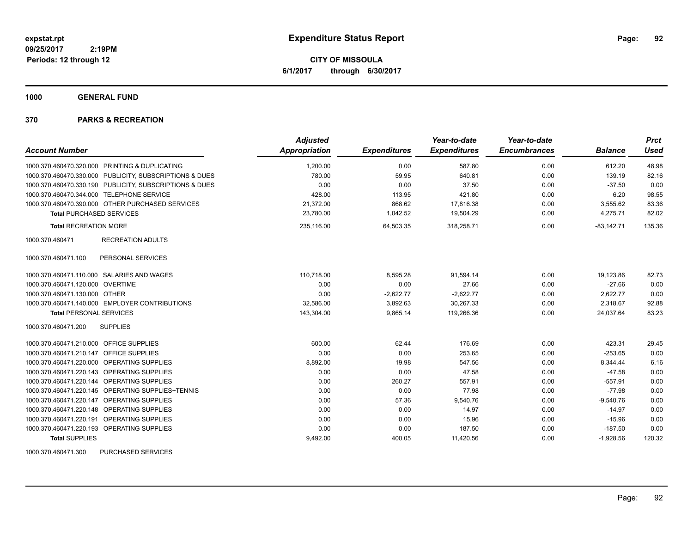**CITY OF MISSOULA 6/1/2017 through 6/30/2017**

**1000 GENERAL FUND**

# **370 PARKS & RECREATION**

| <b>Account Number</b>                      |                                                         | <b>Adjusted</b><br><b>Appropriation</b> | <b>Expenditures</b> | Year-to-date<br><b>Expenditures</b> | Year-to-date<br><b>Encumbrances</b> | <b>Balance</b> | <b>Prct</b><br><b>Used</b> |
|--------------------------------------------|---------------------------------------------------------|-----------------------------------------|---------------------|-------------------------------------|-------------------------------------|----------------|----------------------------|
|                                            | 1000.370.460470.320.000 PRINTING & DUPLICATING          | 1,200.00                                | 0.00                | 587.80                              | 0.00                                | 612.20         | 48.98                      |
|                                            | 1000.370.460470.330.000 PUBLICITY, SUBSCRIPTIONS & DUES | 780.00                                  | 59.95               | 640.81                              | 0.00                                | 139.19         | 82.16                      |
|                                            | 1000.370.460470.330.190 PUBLICITY, SUBSCRIPTIONS & DUES | 0.00                                    | 0.00                | 37.50                               | 0.00                                | $-37.50$       | 0.00                       |
| 1000.370.460470.344.000 TELEPHONE SERVICE  |                                                         | 428.00                                  | 113.95              | 421.80                              | 0.00                                | 6.20           | 98.55                      |
|                                            | 1000.370.460470.390.000 OTHER PURCHASED SERVICES        | 21,372.00                               | 868.62              | 17,816.38                           | 0.00                                | 3,555.62       | 83.36                      |
| <b>Total PURCHASED SERVICES</b>            |                                                         | 23,780.00                               | 1,042.52            | 19,504.29                           | 0.00                                | 4,275.71       | 82.02                      |
| <b>Total RECREATION MORE</b>               |                                                         | 235,116.00                              | 64,503.35           | 318,258.71                          | 0.00                                | $-83,142.71$   | 135.36                     |
| 1000.370.460471                            | <b>RECREATION ADULTS</b>                                |                                         |                     |                                     |                                     |                |                            |
| 1000.370.460471.100                        | PERSONAL SERVICES                                       |                                         |                     |                                     |                                     |                |                            |
| 1000.370.460471.110.000 SALARIES AND WAGES |                                                         | 110.718.00                              | 8,595.28            | 91,594.14                           | 0.00                                | 19,123.86      | 82.73                      |
| 1000.370.460471.120.000 OVERTIME           |                                                         | 0.00                                    | 0.00                | 27.66                               | 0.00                                | $-27.66$       | 0.00                       |
| 1000.370.460471.130.000 OTHER              |                                                         | 0.00                                    | $-2,622.77$         | $-2,622.77$                         | 0.00                                | 2,622.77       | 0.00                       |
|                                            | 1000.370.460471.140.000 EMPLOYER CONTRIBUTIONS          | 32,586.00                               | 3,892.63            | 30,267.33                           | 0.00                                | 2,318.67       | 92.88                      |
| <b>Total PERSONAL SERVICES</b>             |                                                         | 143,304.00                              | 9,865.14            | 119,266.36                          | 0.00                                | 24,037.64      | 83.23                      |
| 1000.370.460471.200                        | <b>SUPPLIES</b>                                         |                                         |                     |                                     |                                     |                |                            |
| 1000.370.460471.210.000 OFFICE SUPPLIES    |                                                         | 600.00                                  | 62.44               | 176.69                              | 0.00                                | 423.31         | 29.45                      |
| 1000.370.460471.210.147                    | <b>OFFICE SUPPLIES</b>                                  | 0.00                                    | 0.00                | 253.65                              | 0.00                                | $-253.65$      | 0.00                       |
| 1000.370.460471.220.000 OPERATING SUPPLIES |                                                         | 8,892.00                                | 19.98               | 547.56                              | 0.00                                | 8,344.44       | 6.16                       |
| 1000.370.460471.220.143                    | OPERATING SUPPLIES                                      | 0.00                                    | 0.00                | 47.58                               | 0.00                                | $-47.58$       | 0.00                       |
| 1000.370.460471.220.144 OPERATING SUPPLIES |                                                         | 0.00                                    | 260.27              | 557.91                              | 0.00                                | $-557.91$      | 0.00                       |
|                                            | 1000.370.460471.220.145 OPERATING SUPPLIES~TENNIS       | 0.00                                    | 0.00                | 77.98                               | 0.00                                | $-77.98$       | 0.00                       |
| 1000.370.460471.220.147 OPERATING SUPPLIES |                                                         | 0.00                                    | 57.36               | 9.540.76                            | 0.00                                | $-9,540.76$    | 0.00                       |
| 1000.370.460471.220.148 OPERATING SUPPLIES |                                                         | 0.00                                    | 0.00                | 14.97                               | 0.00                                | $-14.97$       | 0.00                       |
| 1000.370.460471.220.191 OPERATING SUPPLIES |                                                         | 0.00                                    | 0.00                | 15.96                               | 0.00                                | $-15.96$       | 0.00                       |
| 1000.370.460471.220.193 OPERATING SUPPLIES |                                                         | 0.00                                    | 0.00                | 187.50                              | 0.00                                | $-187.50$      | 0.00                       |
| <b>Total SUPPLIES</b>                      |                                                         | 9,492.00                                | 400.05              | 11,420.56                           | 0.00                                | $-1,928.56$    | 120.32                     |

1000.370.460471.300 PURCHASED SERVICES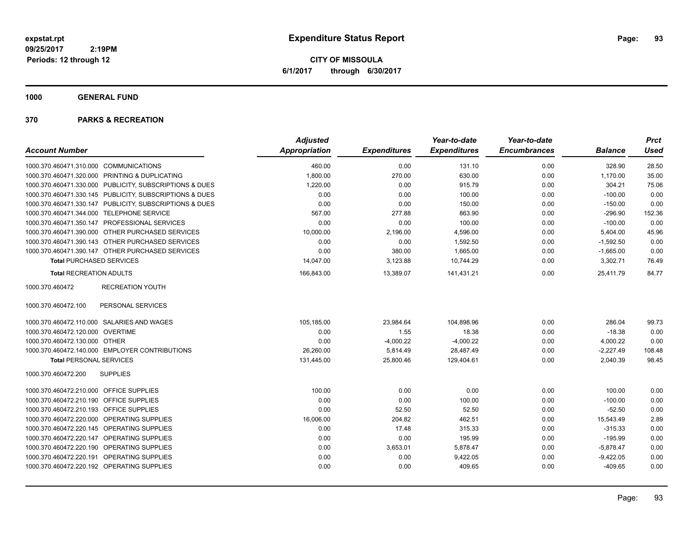**CITY OF MISSOULA 6/1/2017 through 6/30/2017**

**1000 GENERAL FUND**

|                                         |                                                         | <b>Adjusted</b> |                     | Year-to-date        | Year-to-date        |                | <b>Prct</b> |
|-----------------------------------------|---------------------------------------------------------|-----------------|---------------------|---------------------|---------------------|----------------|-------------|
| <b>Account Number</b>                   |                                                         | Appropriation   | <b>Expenditures</b> | <b>Expenditures</b> | <b>Encumbrances</b> | <b>Balance</b> | <b>Used</b> |
| 1000.370.460471.310.000 COMMUNICATIONS  |                                                         | 460.00          | 0.00                | 131.10              | 0.00                | 328.90         | 28.50       |
|                                         | 1000.370.460471.320.000 PRINTING & DUPLICATING          | 1,800.00        | 270.00              | 630.00              | 0.00                | 1,170.00       | 35.00       |
|                                         | 1000.370.460471.330.000 PUBLICITY, SUBSCRIPTIONS & DUES | 1,220.00        | 0.00                | 915.79              | 0.00                | 304.21         | 75.06       |
|                                         | 1000.370.460471.330.145 PUBLICITY, SUBSCRIPTIONS & DUES | 0.00            | 0.00                | 100.00              | 0.00                | $-100.00$      | 0.00        |
|                                         | 1000.370.460471.330.147 PUBLICITY, SUBSCRIPTIONS & DUES | 0.00            | 0.00                | 150.00              | 0.00                | $-150.00$      | 0.00        |
|                                         | 1000.370.460471.344.000 TELEPHONE SERVICE               | 567.00          | 277.88              | 863.90              | 0.00                | $-296.90$      | 152.36      |
|                                         | 1000.370.460471.350.147 PROFESSIONAL SERVICES           | 0.00            | 0.00                | 100.00              | 0.00                | $-100.00$      | 0.00        |
|                                         | 1000.370.460471.390.000 OTHER PURCHASED SERVICES        | 10,000.00       | 2,196.00            | 4,596.00            | 0.00                | 5,404.00       | 45.96       |
|                                         | 1000.370.460471.390.143 OTHER PURCHASED SERVICES        | 0.00            | 0.00                | 1,592.50            | 0.00                | $-1,592.50$    | 0.00        |
|                                         | 1000.370.460471.390.147 OTHER PURCHASED SERVICES        | 0.00            | 380.00              | 1,665.00            | 0.00                | $-1,665.00$    | 0.00        |
| <b>Total PURCHASED SERVICES</b>         |                                                         | 14,047.00       | 3,123.88            | 10,744.29           | 0.00                | 3,302.71       | 76.49       |
| <b>Total RECREATION ADULTS</b>          |                                                         | 166,843.00      | 13,389.07           | 141,431.21          | 0.00                | 25,411.79      | 84.77       |
| 1000.370.460472                         | <b>RECREATION YOUTH</b>                                 |                 |                     |                     |                     |                |             |
| 1000.370.460472.100                     | PERSONAL SERVICES                                       |                 |                     |                     |                     |                |             |
|                                         | 1000.370.460472.110.000 SALARIES AND WAGES              | 105,185.00      | 23,984.64           | 104,898.96          | 0.00                | 286.04         | 99.73       |
| 1000.370.460472.120.000 OVERTIME        |                                                         | 0.00            | 1.55                | 18.38               | 0.00                | $-18.38$       | 0.00        |
| 1000.370.460472.130.000 OTHER           |                                                         | 0.00            | $-4,000.22$         | $-4,000.22$         | 0.00                | 4,000.22       | 0.00        |
|                                         | 1000.370.460472.140.000 EMPLOYER CONTRIBUTIONS          | 26,260.00       | 5,814.49            | 28,487.49           | 0.00                | $-2,227.49$    | 108.48      |
| <b>Total PERSONAL SERVICES</b>          |                                                         | 131.445.00      | 25.800.46           | 129.404.61          | 0.00                | 2.040.39       | 98.45       |
| 1000.370.460472.200                     | <b>SUPPLIES</b>                                         |                 |                     |                     |                     |                |             |
| 1000.370.460472.210.000 OFFICE SUPPLIES |                                                         | 100.00          | 0.00                | 0.00                | 0.00                | 100.00         | 0.00        |
| 1000.370.460472.210.190 OFFICE SUPPLIES |                                                         | 0.00            | 0.00                | 100.00              | 0.00                | $-100.00$      | 0.00        |
| 1000.370.460472.210.193 OFFICE SUPPLIES |                                                         | 0.00            | 52.50               | 52.50               | 0.00                | $-52.50$       | 0.00        |
|                                         | 1000.370.460472.220.000 OPERATING SUPPLIES              | 16,006.00       | 204.82              | 462.51              | 0.00                | 15,543.49      | 2.89        |
|                                         | 1000.370.460472.220.145 OPERATING SUPPLIES              | 0.00            | 17.48               | 315.33              | 0.00                | $-315.33$      | 0.00        |
|                                         | 1000.370.460472.220.147 OPERATING SUPPLIES              | 0.00            | 0.00                | 195.99              | 0.00                | $-195.99$      | 0.00        |
|                                         | 1000.370.460472.220.190 OPERATING SUPPLIES              | 0.00            | 3,653.01            | 5,878.47            | 0.00                | $-5,878.47$    | 0.00        |
|                                         | 1000.370.460472.220.191 OPERATING SUPPLIES              | 0.00            | 0.00                | 9,422.05            | 0.00                | $-9,422.05$    | 0.00        |
|                                         | 1000.370.460472.220.192 OPERATING SUPPLIES              | 0.00            | 0.00                | 409.65              | 0.00                | $-409.65$      | 0.00        |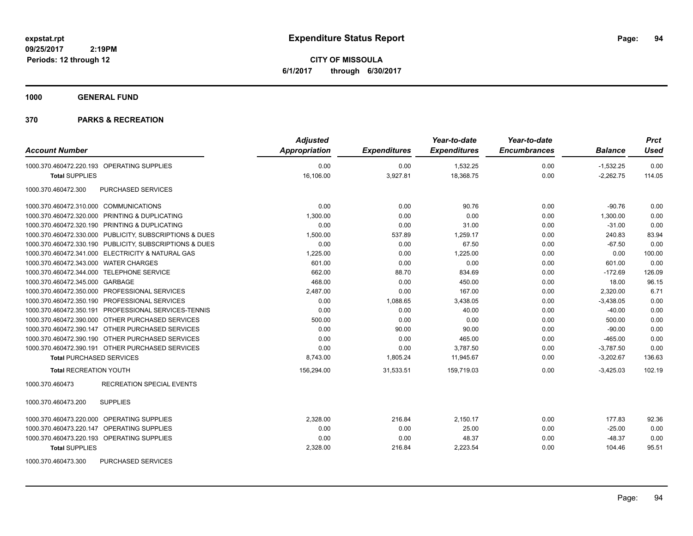**CITY OF MISSOULA 6/1/2017 through 6/30/2017**

**1000 GENERAL FUND**

| <b>Account Number</b>                                   | <b>Adjusted</b><br><b>Appropriation</b> | <b>Expenditures</b> | Year-to-date<br><b>Expenditures</b> | Year-to-date<br><b>Encumbrances</b> | <b>Balance</b> | <b>Prct</b><br><b>Used</b> |
|---------------------------------------------------------|-----------------------------------------|---------------------|-------------------------------------|-------------------------------------|----------------|----------------------------|
| 1000.370.460472.220.193 OPERATING SUPPLIES              | 0.00                                    | 0.00                | 1,532.25                            | 0.00                                | $-1,532.25$    | 0.00                       |
| <b>Total SUPPLIES</b>                                   | 16,106.00                               | 3,927.81            | 18,368.75                           | 0.00                                | $-2,262.75$    | 114.05                     |
| 1000.370.460472.300<br><b>PURCHASED SERVICES</b>        |                                         |                     |                                     |                                     |                |                            |
| 1000.370.460472.310.000 COMMUNICATIONS                  | 0.00                                    | 0.00                | 90.76                               | 0.00                                | $-90.76$       | 0.00                       |
| 1000.370.460472.320.000 PRINTING & DUPLICATING          | 1,300.00                                | 0.00                | 0.00                                | 0.00                                | 1,300.00       | 0.00                       |
| 1000.370.460472.320.190 PRINTING & DUPLICATING          | 0.00                                    | 0.00                | 31.00                               | 0.00                                | $-31.00$       | 0.00                       |
| 1000.370.460472.330.000 PUBLICITY, SUBSCRIPTIONS & DUES | 1,500.00                                | 537.89              | 1,259.17                            | 0.00                                | 240.83         | 83.94                      |
| 1000.370.460472.330.190 PUBLICITY, SUBSCRIPTIONS & DUES | 0.00                                    | 0.00                | 67.50                               | 0.00                                | $-67.50$       | 0.00                       |
| 1000.370.460472.341.000 ELECTRICITY & NATURAL GAS       | 1,225.00                                | 0.00                | 1,225.00                            | 0.00                                | 0.00           | 100.00                     |
| 1000.370.460472.343.000 WATER CHARGES                   | 601.00                                  | 0.00                | 0.00                                | 0.00                                | 601.00         | 0.00                       |
| 1000.370.460472.344.000 TELEPHONE SERVICE               | 662.00                                  | 88.70               | 834.69                              | 0.00                                | $-172.69$      | 126.09                     |
| 1000.370.460472.345.000 GARBAGE                         | 468.00                                  | 0.00                | 450.00                              | 0.00                                | 18.00          | 96.15                      |
| 1000.370.460472.350.000 PROFESSIONAL SERVICES           | 2,487.00                                | 0.00                | 167.00                              | 0.00                                | 2,320.00       | 6.71                       |
| 1000.370.460472.350.190 PROFESSIONAL SERVICES           | 0.00                                    | 1,088.65            | 3,438.05                            | 0.00                                | $-3,438.05$    | 0.00                       |
| 1000.370.460472.350.191 PROFESSIONAL SERVICES-TENNIS    | 0.00                                    | 0.00                | 40.00                               | 0.00                                | $-40.00$       | 0.00                       |
| 1000.370.460472.390.000 OTHER PURCHASED SERVICES        | 500.00                                  | 0.00                | 0.00                                | 0.00                                | 500.00         | 0.00                       |
| 1000.370.460472.390.147 OTHER PURCHASED SERVICES        | 0.00                                    | 90.00               | 90.00                               | 0.00                                | $-90.00$       | 0.00                       |
| 1000.370.460472.390.190 OTHER PURCHASED SERVICES        | 0.00                                    | 0.00                | 465.00                              | 0.00                                | $-465.00$      | 0.00                       |
| 1000.370.460472.390.191 OTHER PURCHASED SERVICES        | 0.00                                    | 0.00                | 3,787.50                            | 0.00                                | $-3,787.50$    | 0.00                       |
| <b>Total PURCHASED SERVICES</b>                         | 8,743.00                                | 1,805.24            | 11,945.67                           | 0.00                                | $-3,202.67$    | 136.63                     |
| <b>Total RECREATION YOUTH</b>                           | 156,294.00                              | 31,533.51           | 159,719.03                          | 0.00                                | $-3,425.03$    | 102.19                     |
| 1000.370.460473<br><b>RECREATION SPECIAL EVENTS</b>     |                                         |                     |                                     |                                     |                |                            |
| 1000.370.460473.200<br><b>SUPPLIES</b>                  |                                         |                     |                                     |                                     |                |                            |
| 1000.370.460473.220.000 OPERATING SUPPLIES              | 2,328.00                                | 216.84              | 2,150.17                            | 0.00                                | 177.83         | 92.36                      |
| 1000.370.460473.220.147 OPERATING SUPPLIES              | 0.00                                    | 0.00                | 25.00                               | 0.00                                | $-25.00$       | 0.00                       |
| 1000.370.460473.220.193 OPERATING SUPPLIES              | 0.00                                    | 0.00                | 48.37                               | 0.00                                | $-48.37$       | 0.00                       |
| <b>Total SUPPLIES</b>                                   | 2,328.00                                | 216.84              | 2,223.54                            | 0.00                                | 104.46         | 95.51                      |
| 1000.370.460473.300<br><b>PURCHASED SERVICES</b>        |                                         |                     |                                     |                                     |                |                            |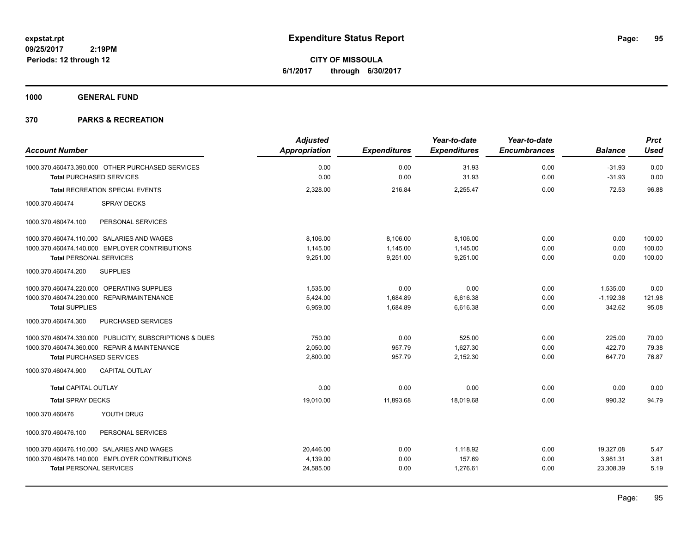**CITY OF MISSOULA 6/1/2017 through 6/30/2017**

**1000 GENERAL FUND**

|                                 |                                                         | <b>Adjusted</b> |                     | Year-to-date        | Year-to-date        |                | <b>Prct</b> |
|---------------------------------|---------------------------------------------------------|-----------------|---------------------|---------------------|---------------------|----------------|-------------|
| <b>Account Number</b>           |                                                         | Appropriation   | <b>Expenditures</b> | <b>Expenditures</b> | <b>Encumbrances</b> | <b>Balance</b> | <b>Used</b> |
|                                 | 1000.370.460473.390.000 OTHER PURCHASED SERVICES        | 0.00            | 0.00                | 31.93               | 0.00                | $-31.93$       | 0.00        |
| <b>Total PURCHASED SERVICES</b> |                                                         | 0.00            | 0.00                | 31.93               | 0.00                | $-31.93$       | 0.00        |
|                                 | Total RECREATION SPECIAL EVENTS                         | 2,328.00        | 216.84              | 2,255.47            | 0.00                | 72.53          | 96.88       |
| 1000.370.460474                 | <b>SPRAY DECKS</b>                                      |                 |                     |                     |                     |                |             |
| 1000.370.460474.100             | PERSONAL SERVICES                                       |                 |                     |                     |                     |                |             |
|                                 | 1000.370.460474.110.000 SALARIES AND WAGES              | 8.106.00        | 8,106.00            | 8,106.00            | 0.00                | 0.00           | 100.00      |
|                                 | 1000.370.460474.140.000 EMPLOYER CONTRIBUTIONS          | 1.145.00        | 1,145.00            | 1,145.00            | 0.00                | 0.00           | 100.00      |
| <b>Total PERSONAL SERVICES</b>  |                                                         | 9,251.00        | 9,251.00            | 9,251.00            | 0.00                | 0.00           | 100.00      |
| 1000.370.460474.200             | <b>SUPPLIES</b>                                         |                 |                     |                     |                     |                |             |
|                                 | 1000.370.460474.220.000 OPERATING SUPPLIES              | 1,535.00        | 0.00                | 0.00                | 0.00                | 1,535.00       | 0.00        |
|                                 | 1000.370.460474.230.000 REPAIR/MAINTENANCE              | 5,424.00        | 1,684.89            | 6,616.38            | 0.00                | $-1,192.38$    | 121.98      |
| <b>Total SUPPLIES</b>           |                                                         | 6,959.00        | 1,684.89            | 6,616.38            | 0.00                | 342.62         | 95.08       |
| 1000.370.460474.300             | PURCHASED SERVICES                                      |                 |                     |                     |                     |                |             |
|                                 | 1000.370.460474.330.000 PUBLICITY, SUBSCRIPTIONS & DUES | 750.00          | 0.00                | 525.00              | 0.00                | 225.00         | 70.00       |
|                                 | 1000.370.460474.360.000 REPAIR & MAINTENANCE            | 2,050.00        | 957.79              | 1,627.30            | 0.00                | 422.70         | 79.38       |
| <b>Total PURCHASED SERVICES</b> |                                                         | 2,800.00        | 957.79              | 2,152.30            | 0.00                | 647.70         | 76.87       |
| 1000.370.460474.900             | <b>CAPITAL OUTLAY</b>                                   |                 |                     |                     |                     |                |             |
| <b>Total CAPITAL OUTLAY</b>     |                                                         | 0.00            | 0.00                | 0.00                | 0.00                | 0.00           | 0.00        |
| <b>Total SPRAY DECKS</b>        |                                                         | 19,010.00       | 11,893.68           | 18,019.68           | 0.00                | 990.32         | 94.79       |
| 1000.370.460476                 | YOUTH DRUG                                              |                 |                     |                     |                     |                |             |
| 1000.370.460476.100             | PERSONAL SERVICES                                       |                 |                     |                     |                     |                |             |
|                                 | 1000.370.460476.110.000 SALARIES AND WAGES              | 20,446.00       | 0.00                | 1,118.92            | 0.00                | 19,327.08      | 5.47        |
|                                 | 1000.370.460476.140.000 EMPLOYER CONTRIBUTIONS          | 4,139.00        | 0.00                | 157.69              | 0.00                | 3,981.31       | 3.81        |
| <b>Total PERSONAL SERVICES</b>  |                                                         | 24,585.00       | 0.00                | 1,276.61            | 0.00                | 23,308.39      | 5.19        |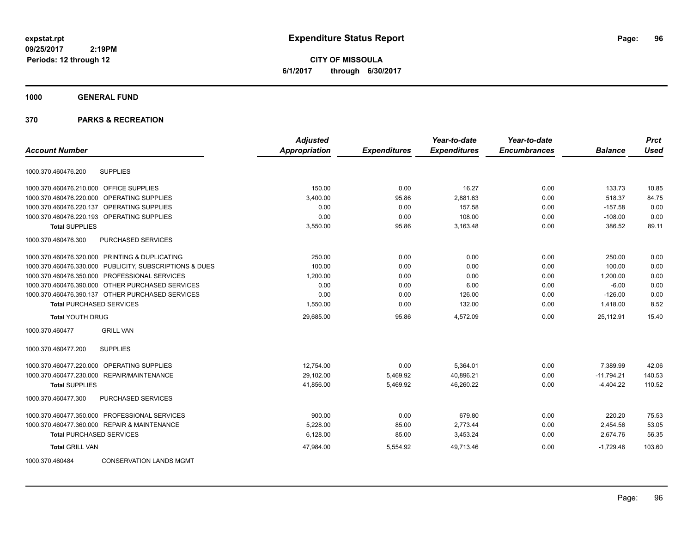**CITY OF MISSOULA 6/1/2017 through 6/30/2017**

# **1000 GENERAL FUND**

|                                                         | <b>Adjusted</b> |                     | Year-to-date        | Year-to-date        |                | <b>Prct</b> |
|---------------------------------------------------------|-----------------|---------------------|---------------------|---------------------|----------------|-------------|
| <b>Account Number</b>                                   | Appropriation   | <b>Expenditures</b> | <b>Expenditures</b> | <b>Encumbrances</b> | <b>Balance</b> | <b>Used</b> |
| <b>SUPPLIES</b><br>1000.370.460476.200                  |                 |                     |                     |                     |                |             |
| 1000.370.460476.210.000 OFFICE SUPPLIES                 | 150.00          | 0.00                | 16.27               | 0.00                | 133.73         | 10.85       |
| OPERATING SUPPLIES<br>1000.370.460476.220.000           | 3,400.00        | 95.86               | 2,881.63            | 0.00                | 518.37         | 84.75       |
| 1000.370.460476.220.137<br>OPERATING SUPPLIES           | 0.00            | 0.00                | 157.58              | 0.00                | $-157.58$      | 0.00        |
| 1000.370.460476.220.193 OPERATING SUPPLIES              | 0.00            | 0.00                | 108.00              | 0.00                | $-108.00$      | 0.00        |
| <b>Total SUPPLIES</b>                                   | 3,550.00        | 95.86               | 3,163.48            | 0.00                | 386.52         | 89.11       |
| 1000.370.460476.300<br>PURCHASED SERVICES               |                 |                     |                     |                     |                |             |
| 1000.370.460476.320.000 PRINTING & DUPLICATING          | 250.00          | 0.00                | 0.00                | 0.00                | 250.00         | 0.00        |
| 1000.370.460476.330.000 PUBLICITY, SUBSCRIPTIONS & DUES | 100.00          | 0.00                | 0.00                | 0.00                | 100.00         | 0.00        |
| 1000.370.460476.350.000 PROFESSIONAL SERVICES           | 1,200.00        | 0.00                | 0.00                | 0.00                | 1,200.00       | 0.00        |
| 1000.370.460476.390.000 OTHER PURCHASED SERVICES        | 0.00            | 0.00                | 6.00                | 0.00                | $-6.00$        | 0.00        |
| 1000.370.460476.390.137 OTHER PURCHASED SERVICES        | 0.00            | 0.00                | 126.00              | 0.00                | $-126.00$      | 0.00        |
| <b>Total PURCHASED SERVICES</b>                         | 1,550.00        | 0.00                | 132.00              | 0.00                | 1,418.00       | 8.52        |
| <b>Total YOUTH DRUG</b>                                 | 29,685.00       | 95.86               | 4,572.09            | 0.00                | 25,112.91      | 15.40       |
| <b>GRILL VAN</b><br>1000.370.460477                     |                 |                     |                     |                     |                |             |
| 1000.370.460477.200<br><b>SUPPLIES</b>                  |                 |                     |                     |                     |                |             |
| <b>OPERATING SUPPLIES</b><br>1000.370.460477.220.000    | 12,754.00       | 0.00                | 5,364.01            | 0.00                | 7,389.99       | 42.06       |
| 1000.370.460477.230.000 REPAIR/MAINTENANCE              | 29,102.00       | 5,469.92            | 40,896.21           | 0.00                | $-11,794.21$   | 140.53      |
| <b>Total SUPPLIES</b>                                   | 41,856.00       | 5,469.92            | 46.260.22           | 0.00                | $-4,404.22$    | 110.52      |
| PURCHASED SERVICES<br>1000.370.460477.300               |                 |                     |                     |                     |                |             |
| 1000.370.460477.350.000 PROFESSIONAL SERVICES           | 900.00          | 0.00                | 679.80              | 0.00                | 220.20         | 75.53       |
| 1000.370.460477.360.000 REPAIR & MAINTENANCE            | 5,228.00        | 85.00               | 2,773.44            | 0.00                | 2,454.56       | 53.05       |
| <b>Total PURCHASED SERVICES</b>                         | 6,128.00        | 85.00               | 3,453.24            | 0.00                | 2,674.76       | 56.35       |
| <b>Total GRILL VAN</b>                                  | 47,984.00       | 5,554.92            | 49,713.46           | 0.00                | $-1,729.46$    | 103.60      |
| <b>CONSERVATION LANDS MGMT</b><br>1000.370.460484       |                 |                     |                     |                     |                |             |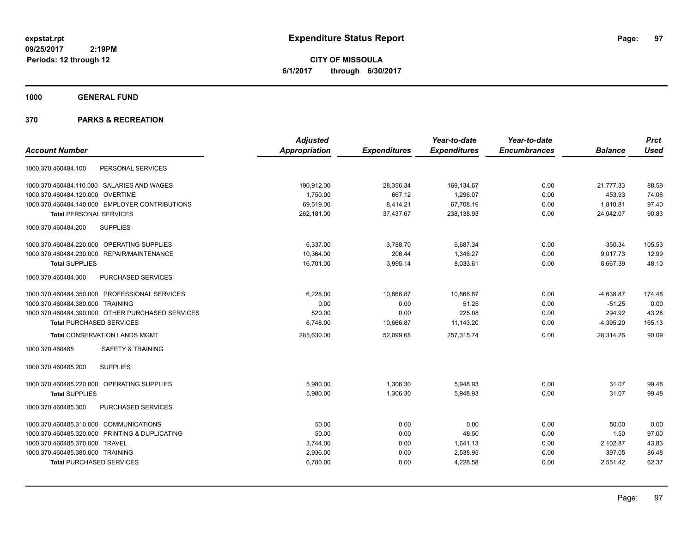**CITY OF MISSOULA 6/1/2017 through 6/30/2017**

**1000 GENERAL FUND**

|                                                  | <b>Adjusted</b>      |                     | Year-to-date        | Year-to-date        |                | <b>Prct</b> |
|--------------------------------------------------|----------------------|---------------------|---------------------|---------------------|----------------|-------------|
| <b>Account Number</b>                            | <b>Appropriation</b> | <b>Expenditures</b> | <b>Expenditures</b> | <b>Encumbrances</b> | <b>Balance</b> | <b>Used</b> |
| PERSONAL SERVICES<br>1000.370.460484.100         |                      |                     |                     |                     |                |             |
| 1000.370.460484.110.000 SALARIES AND WAGES       | 190,912.00           | 28,356.34           | 169,134.67          | 0.00                | 21,777.33      | 88.59       |
| 1000.370.460484.120.000 OVERTIME                 | 1,750.00             | 667.12              | 1,296.07            | 0.00                | 453.93         | 74.06       |
| 1000.370.460484.140.000 EMPLOYER CONTRIBUTIONS   | 69,519.00            | 8,414.21            | 67.708.19           | 0.00                | 1,810.81       | 97.40       |
| <b>Total PERSONAL SERVICES</b>                   | 262.181.00           | 37.437.67           | 238,138.93          | 0.00                | 24.042.07      | 90.83       |
| <b>SUPPLIES</b><br>1000.370.460484.200           |                      |                     |                     |                     |                |             |
| 1000.370.460484.220.000 OPERATING SUPPLIES       | 6,337.00             | 3,788.70            | 6,687.34            | 0.00                | $-350.34$      | 105.53      |
| 1000.370.460484.230.000 REPAIR/MAINTENANCE       | 10,364.00            | 206.44              | 1,346.27            | 0.00                | 9,017.73       | 12.99       |
| <b>Total SUPPLIES</b>                            | 16,701.00            | 3,995.14            | 8,033.61            | 0.00                | 8,667.39       | 48.10       |
| 1000.370.460484.300<br>PURCHASED SERVICES        |                      |                     |                     |                     |                |             |
| 1000.370.460484.350.000 PROFESSIONAL SERVICES    | 6,228.00             | 10,666.87           | 10,866.87           | 0.00                | $-4,638.87$    | 174.48      |
| 1000.370.460484.380.000 TRAINING                 | 0.00                 | 0.00                | 51.25               | 0.00                | $-51.25$       | 0.00        |
| 1000.370.460484.390.000 OTHER PURCHASED SERVICES | 520.00               | 0.00                | 225.08              | 0.00                | 294.92         | 43.28       |
| <b>Total PURCHASED SERVICES</b>                  | 6,748.00             | 10,666.87           | 11,143.20           | 0.00                | $-4,395.20$    | 165.13      |
| <b>Total CONSERVATION LANDS MGMT</b>             | 285,630.00           | 52,099.68           | 257,315.74          | 0.00                | 28,314.26      | 90.09       |
| 1000.370.460485<br><b>SAFETY &amp; TRAINING</b>  |                      |                     |                     |                     |                |             |
| 1000.370.460485.200<br><b>SUPPLIES</b>           |                      |                     |                     |                     |                |             |
| 1000.370.460485.220.000 OPERATING SUPPLIES       | 5,980.00             | 1,306.30            | 5,948.93            | 0.00                | 31.07          | 99.48       |
| <b>Total SUPPLIES</b>                            | 5,980.00             | 1,306.30            | 5,948.93            | 0.00                | 31.07          | 99.48       |
| PURCHASED SERVICES<br>1000.370.460485.300        |                      |                     |                     |                     |                |             |
| 1000.370.460485.310.000 COMMUNICATIONS           | 50.00                | 0.00                | 0.00                | 0.00                | 50.00          | 0.00        |
| 1000.370.460485.320.000 PRINTING & DUPLICATING   | 50.00                | 0.00                | 48.50               | 0.00                | 1.50           | 97.00       |
| 1000.370.460485.370.000 TRAVEL                   | 3,744.00             | 0.00                | 1,641.13            | 0.00                | 2,102.87       | 43.83       |
| 1000.370.460485.380.000 TRAINING                 | 2,936.00             | 0.00                | 2,538.95            | 0.00                | 397.05         | 86.48       |
| <b>Total PURCHASED SERVICES</b>                  | 6,780.00             | 0.00                | 4,228.58            | 0.00                | 2,551.42       | 62.37       |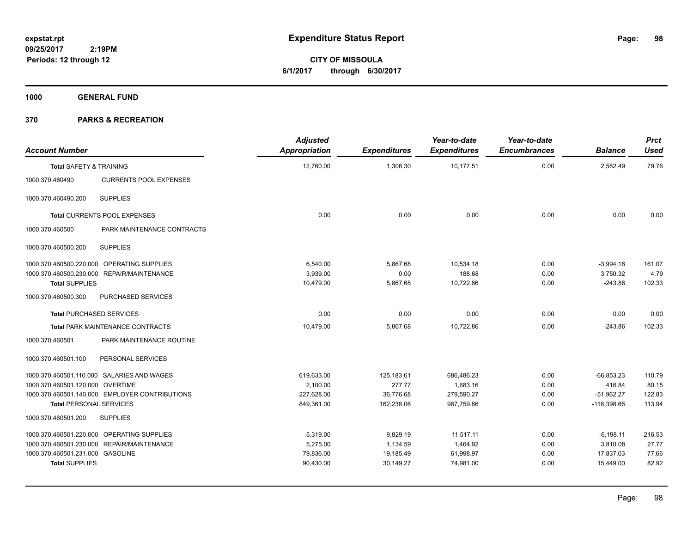**CITY OF MISSOULA 6/1/2017 through 6/30/2017**

**1000 GENERAL FUND**

| <b>Account Number</b>              |                                                | <b>Adjusted</b><br><b>Appropriation</b> | <b>Expenditures</b> | Year-to-date<br><b>Expenditures</b> | Year-to-date<br><b>Encumbrances</b> | <b>Balance</b> | <b>Prct</b><br><b>Used</b> |
|------------------------------------|------------------------------------------------|-----------------------------------------|---------------------|-------------------------------------|-------------------------------------|----------------|----------------------------|
| <b>Total SAFETY &amp; TRAINING</b> |                                                | 12,760.00                               | 1,306.30            | 10,177.51                           | 0.00                                | 2,582.49       | 79.76                      |
| 1000.370.460490                    | <b>CURRENTS POOL EXPENSES</b>                  |                                         |                     |                                     |                                     |                |                            |
| 1000.370.460490.200                | <b>SUPPLIES</b>                                |                                         |                     |                                     |                                     |                |                            |
|                                    | Total CURRENTS POOL EXPENSES                   | 0.00                                    | 0.00                | 0.00                                | 0.00                                | 0.00           | 0.00                       |
| 1000.370.460500                    | PARK MAINTENANCE CONTRACTS                     |                                         |                     |                                     |                                     |                |                            |
| 1000.370.460500.200                | <b>SUPPLIES</b>                                |                                         |                     |                                     |                                     |                |                            |
|                                    | 1000.370.460500.220.000 OPERATING SUPPLIES     | 6,540.00                                | 5,867.68            | 10,534.18                           | 0.00                                | $-3,994.18$    | 161.07                     |
|                                    | 1000.370.460500.230.000 REPAIR/MAINTENANCE     | 3,939.00                                | 0.00                | 188.68                              | 0.00                                | 3,750.32       | 4.79                       |
| <b>Total SUPPLIES</b>              |                                                | 10,479.00                               | 5,867.68            | 10,722.86                           | 0.00                                | $-243.86$      | 102.33                     |
| 1000.370.460500.300                | PURCHASED SERVICES                             |                                         |                     |                                     |                                     |                |                            |
|                                    | <b>Total PURCHASED SERVICES</b>                | 0.00                                    | 0.00                | 0.00                                | 0.00                                | 0.00           | 0.00                       |
|                                    | Total PARK MAINTENANCE CONTRACTS               | 10,479.00                               | 5,867.68            | 10,722.86                           | 0.00                                | $-243.86$      | 102.33                     |
| 1000.370.460501                    | PARK MAINTENANCE ROUTINE                       |                                         |                     |                                     |                                     |                |                            |
| 1000.370.460501.100                | PERSONAL SERVICES                              |                                         |                     |                                     |                                     |                |                            |
|                                    | 1000.370.460501.110.000 SALARIES AND WAGES     | 619,633.00                              | 125,183.61          | 686,486.23                          | 0.00                                | $-66,853.23$   | 110.79                     |
| 1000.370.460501.120.000 OVERTIME   |                                                | 2,100.00                                | 277.77              | 1,683.16                            | 0.00                                | 416.84         | 80.15                      |
|                                    | 1000.370.460501.140.000 EMPLOYER CONTRIBUTIONS | 227,628.00                              | 36,776.68           | 279,590.27                          | 0.00                                | $-51,962.27$   | 122.83                     |
| <b>Total PERSONAL SERVICES</b>     |                                                | 849,361.00                              | 162,238.06          | 967,759.66                          | 0.00                                | $-118,398.66$  | 113.94                     |
| 1000.370.460501.200                | <b>SUPPLIES</b>                                |                                         |                     |                                     |                                     |                |                            |
|                                    | 1000.370.460501.220.000 OPERATING SUPPLIES     | 5,319.00                                | 9,829.19            | 11,517.11                           | 0.00                                | $-6,198.11$    | 216.53                     |
|                                    | 1000.370.460501.230.000 REPAIR/MAINTENANCE     | 5,275.00                                | 1,134.59            | 1,464.92                            | 0.00                                | 3,810.08       | 27.77                      |
| 1000.370.460501.231.000 GASOLINE   |                                                | 79,836.00                               | 19,185.49           | 61,998.97                           | 0.00                                | 17,837.03      | 77.66                      |
| <b>Total SUPPLIES</b>              |                                                | 90,430.00                               | 30,149.27           | 74,981.00                           | 0.00                                | 15,449.00      | 82.92                      |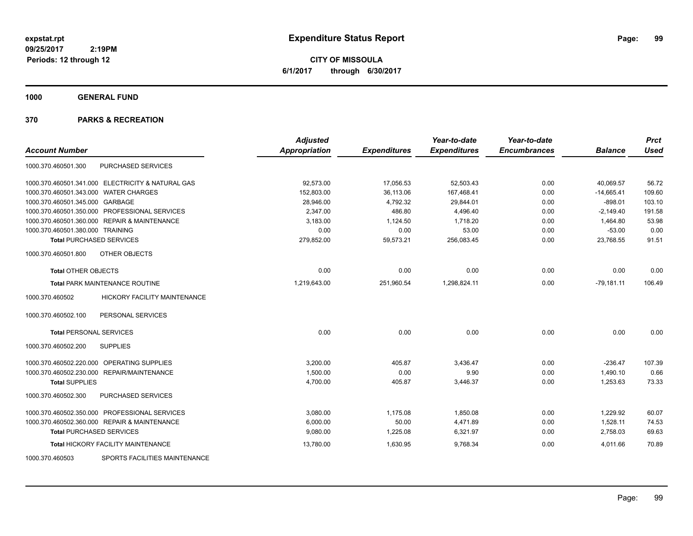**CITY OF MISSOULA 6/1/2017 through 6/30/2017**

**1000 GENERAL FUND**

| <b>Account Number</b>                                  | <b>Adjusted</b><br><b>Appropriation</b> | <b>Expenditures</b> | Year-to-date<br><b>Expenditures</b> | Year-to-date<br><b>Encumbrances</b> | <b>Balance</b> | <b>Prct</b><br><b>Used</b> |
|--------------------------------------------------------|-----------------------------------------|---------------------|-------------------------------------|-------------------------------------|----------------|----------------------------|
| PURCHASED SERVICES<br>1000.370.460501.300              |                                         |                     |                                     |                                     |                |                            |
| 1000.370.460501.341.000 ELECTRICITY & NATURAL GAS      | 92.573.00                               | 17,056.53           | 52,503.43                           | 0.00                                | 40.069.57      | 56.72                      |
| 1000.370.460501.343.000 WATER CHARGES                  | 152,803.00                              | 36,113.06           | 167,468.41                          | 0.00                                | $-14,665.41$   | 109.60                     |
| 1000.370.460501.345.000 GARBAGE                        | 28,946.00                               | 4,792.32            | 29,844.01                           | 0.00                                | $-898.01$      | 103.10                     |
| 1000.370.460501.350.000 PROFESSIONAL SERVICES          | 2,347.00                                | 486.80              | 4,496.40                            | 0.00                                | $-2,149.40$    | 191.58                     |
| 1000.370.460501.360.000 REPAIR & MAINTENANCE           | 3,183.00                                | 1,124.50            | 1,718.20                            | 0.00                                | 1,464.80       | 53.98                      |
| 1000.370.460501.380.000 TRAINING                       | 0.00                                    | 0.00                | 53.00                               | 0.00                                | $-53.00$       | 0.00                       |
| <b>Total PURCHASED SERVICES</b>                        | 279,852.00                              | 59,573.21           | 256,083.45                          | 0.00                                | 23,768.55      | 91.51                      |
| OTHER OBJECTS<br>1000.370.460501.800                   |                                         |                     |                                     |                                     |                |                            |
| <b>Total OTHER OBJECTS</b>                             | 0.00                                    | 0.00                | 0.00                                | 0.00                                | 0.00           | 0.00                       |
| <b>Total PARK MAINTENANCE ROUTINE</b>                  | 1,219,643.00                            | 251,960.54          | 1,298,824.11                        | 0.00                                | $-79,181.11$   | 106.49                     |
| <b>HICKORY FACILITY MAINTENANCE</b><br>1000.370.460502 |                                         |                     |                                     |                                     |                |                            |
| 1000.370.460502.100<br>PERSONAL SERVICES               |                                         |                     |                                     |                                     |                |                            |
| <b>Total PERSONAL SERVICES</b>                         | 0.00                                    | 0.00                | 0.00                                | 0.00                                | 0.00           | 0.00                       |
| 1000.370.460502.200<br><b>SUPPLIES</b>                 |                                         |                     |                                     |                                     |                |                            |
| 1000.370.460502.220.000 OPERATING SUPPLIES             | 3,200.00                                | 405.87              | 3,436.47                            | 0.00                                | $-236.47$      | 107.39                     |
| 1000.370.460502.230.000 REPAIR/MAINTENANCE             | 1,500.00                                | 0.00                | 9.90                                | 0.00                                | 1,490.10       | 0.66                       |
| <b>Total SUPPLIES</b>                                  | 4,700.00                                | 405.87              | 3,446.37                            | 0.00                                | 1,253.63       | 73.33                      |
| <b>PURCHASED SERVICES</b><br>1000.370.460502.300       |                                         |                     |                                     |                                     |                |                            |
| 1000.370.460502.350.000 PROFESSIONAL SERVICES          | 3,080.00                                | 1,175.08            | 1,850.08                            | 0.00                                | 1,229.92       | 60.07                      |
| 1000.370.460502.360.000 REPAIR & MAINTENANCE           | 6,000.00                                | 50.00               | 4,471.89                            | 0.00                                | 1,528.11       | 74.53                      |
| <b>Total PURCHASED SERVICES</b>                        | 9,080.00                                | 1,225.08            | 6,321.97                            | 0.00                                | 2,758.03       | 69.63                      |
| <b>Total HICKORY FACILITY MAINTENANCE</b>              | 13,780.00                               | 1,630.95            | 9,768.34                            | 0.00                                | 4,011.66       | 70.89                      |
| SPORTS FACILITIES MAINTENANCE<br>1000.370.460503       |                                         |                     |                                     |                                     |                |                            |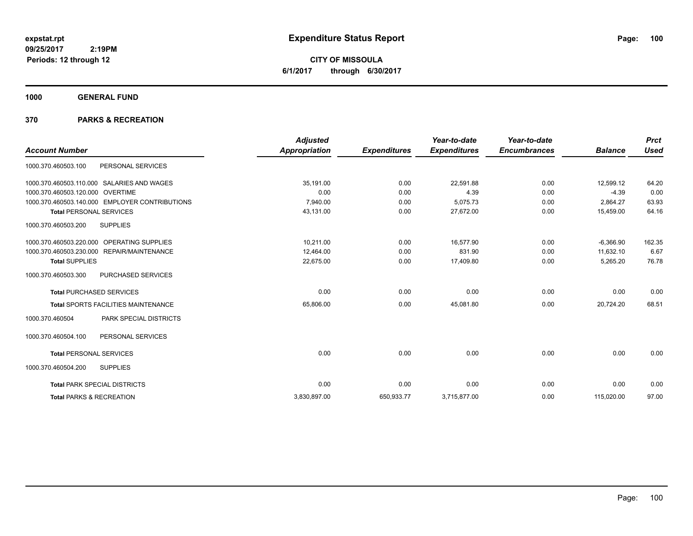**CITY OF MISSOULA 6/1/2017 through 6/30/2017**

**1000 GENERAL FUND**

| <b>Account Number</b>                          |                                            | <b>Adjusted</b><br>Appropriation | <b>Expenditures</b> | Year-to-date<br><b>Expenditures</b> | Year-to-date<br><b>Encumbrances</b> | <b>Balance</b> | <b>Prct</b><br><b>Used</b> |
|------------------------------------------------|--------------------------------------------|----------------------------------|---------------------|-------------------------------------|-------------------------------------|----------------|----------------------------|
| 1000.370.460503.100                            | PERSONAL SERVICES                          |                                  |                     |                                     |                                     |                |                            |
| 1000.370.460503.110.000 SALARIES AND WAGES     |                                            | 35,191.00                        | 0.00                | 22,591.88                           | 0.00                                | 12,599.12      | 64.20                      |
| 1000.370.460503.120.000 OVERTIME               |                                            | 0.00                             | 0.00                | 4.39                                | 0.00                                | $-4.39$        | 0.00                       |
| 1000.370.460503.140.000 EMPLOYER CONTRIBUTIONS |                                            | 7,940.00                         | 0.00                | 5,075.73                            | 0.00                                | 2,864.27       | 63.93                      |
| <b>Total PERSONAL SERVICES</b>                 |                                            | 43,131.00                        | 0.00                | 27,672.00                           | 0.00                                | 15,459.00      | 64.16                      |
| 1000.370.460503.200                            | <b>SUPPLIES</b>                            |                                  |                     |                                     |                                     |                |                            |
| 1000.370.460503.220.000 OPERATING SUPPLIES     |                                            | 10,211.00                        | 0.00                | 16,577.90                           | 0.00                                | $-6,366.90$    | 162.35                     |
| 1000.370.460503.230.000 REPAIR/MAINTENANCE     |                                            | 12,464.00                        | 0.00                | 831.90                              | 0.00                                | 11,632.10      | 6.67                       |
| <b>Total SUPPLIES</b>                          |                                            | 22,675.00                        | 0.00                | 17,409.80                           | 0.00                                | 5,265.20       | 76.78                      |
| 1000.370.460503.300                            | <b>PURCHASED SERVICES</b>                  |                                  |                     |                                     |                                     |                |                            |
| <b>Total PURCHASED SERVICES</b>                |                                            | 0.00                             | 0.00                | 0.00                                | 0.00                                | 0.00           | 0.00                       |
|                                                | <b>Total SPORTS FACILITIES MAINTENANCE</b> | 65,806.00                        | 0.00                | 45,081.80                           | 0.00                                | 20,724.20      | 68.51                      |
| 1000.370.460504                                | PARK SPECIAL DISTRICTS                     |                                  |                     |                                     |                                     |                |                            |
| 1000.370.460504.100                            | PERSONAL SERVICES                          |                                  |                     |                                     |                                     |                |                            |
| <b>Total PERSONAL SERVICES</b>                 |                                            | 0.00                             | 0.00                | 0.00                                | 0.00                                | 0.00           | 0.00                       |
| 1000.370.460504.200                            | <b>SUPPLIES</b>                            |                                  |                     |                                     |                                     |                |                            |
| <b>Total PARK SPECIAL DISTRICTS</b>            |                                            | 0.00                             | 0.00                | 0.00                                | 0.00                                | 0.00           | 0.00                       |
| <b>Total PARKS &amp; RECREATION</b>            |                                            | 3,830,897.00                     | 650,933.77          | 3,715,877.00                        | 0.00                                | 115,020.00     | 97.00                      |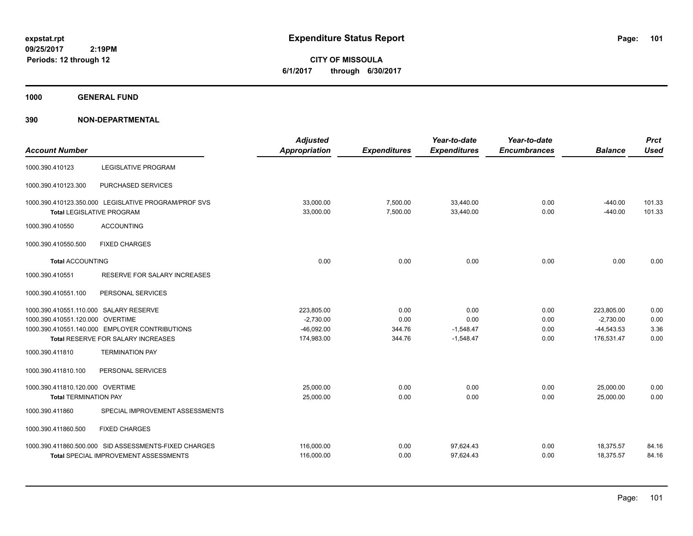**CITY OF MISSOULA 6/1/2017 through 6/30/2017**

**1000 GENERAL FUND**

| <b>Account Number</b>                  |                                                                                          | <b>Adjusted</b><br><b>Appropriation</b> | <b>Expenditures</b>  | Year-to-date<br><b>Expenditures</b> | Year-to-date<br><b>Encumbrances</b> | <b>Balance</b>         | <b>Prct</b><br><b>Used</b> |
|----------------------------------------|------------------------------------------------------------------------------------------|-----------------------------------------|----------------------|-------------------------------------|-------------------------------------|------------------------|----------------------------|
| 1000.390.410123                        | <b>LEGISLATIVE PROGRAM</b>                                                               |                                         |                      |                                     |                                     |                        |                            |
| 1000.390.410123.300                    | <b>PURCHASED SERVICES</b>                                                                |                                         |                      |                                     |                                     |                        |                            |
|                                        | 1000.390.410123.350.000 LEGISLATIVE PROGRAM/PROF SVS<br><b>Total LEGISLATIVE PROGRAM</b> | 33,000.00<br>33,000.00                  | 7,500.00<br>7,500.00 | 33,440.00<br>33,440.00              | 0.00<br>0.00                        | $-440.00$<br>$-440.00$ | 101.33<br>101.33           |
| 1000.390.410550                        | <b>ACCOUNTING</b>                                                                        |                                         |                      |                                     |                                     |                        |                            |
| 1000.390.410550.500                    | <b>FIXED CHARGES</b>                                                                     |                                         |                      |                                     |                                     |                        |                            |
| <b>Total ACCOUNTING</b>                |                                                                                          | 0.00                                    | 0.00                 | 0.00                                | 0.00                                | 0.00                   | 0.00                       |
| 1000.390.410551                        | <b>RESERVE FOR SALARY INCREASES</b>                                                      |                                         |                      |                                     |                                     |                        |                            |
| 1000.390.410551.100                    | PERSONAL SERVICES                                                                        |                                         |                      |                                     |                                     |                        |                            |
| 1000.390.410551.110.000 SALARY RESERVE |                                                                                          | 223,805.00                              | 0.00                 | 0.00                                | 0.00                                | 223,805.00             | 0.00                       |
| 1000.390.410551.120.000 OVERTIME       |                                                                                          | $-2,730.00$                             | 0.00                 | 0.00                                | 0.00                                | $-2,730.00$            | 0.00                       |
|                                        | 1000.390.410551.140.000 EMPLOYER CONTRIBUTIONS                                           | $-46,092.00$                            | 344.76               | $-1,548.47$                         | 0.00                                | $-44,543.53$           | 3.36                       |
|                                        | Total RESERVE FOR SALARY INCREASES                                                       | 174,983.00                              | 344.76               | $-1,548.47$                         | 0.00                                | 176,531.47             | 0.00                       |
| 1000.390.411810                        | <b>TERMINATION PAY</b>                                                                   |                                         |                      |                                     |                                     |                        |                            |
| 1000.390.411810.100                    | PERSONAL SERVICES                                                                        |                                         |                      |                                     |                                     |                        |                            |
| 1000.390.411810.120.000 OVERTIME       |                                                                                          | 25,000.00                               | 0.00                 | 0.00                                | 0.00                                | 25,000.00              | 0.00                       |
| <b>Total TERMINATION PAY</b>           |                                                                                          | 25,000.00                               | 0.00                 | 0.00                                | 0.00                                | 25,000.00              | 0.00                       |
| 1000.390.411860                        | SPECIAL IMPROVEMENT ASSESSMENTS                                                          |                                         |                      |                                     |                                     |                        |                            |
| 1000.390.411860.500                    | <b>FIXED CHARGES</b>                                                                     |                                         |                      |                                     |                                     |                        |                            |
|                                        | 1000.390.411860.500.000 SID ASSESSMENTS-FIXED CHARGES                                    | 116,000.00                              | 0.00                 | 97,624.43                           | 0.00                                | 18,375.57              | 84.16                      |
|                                        | Total SPECIAL IMPROVEMENT ASSESSMENTS                                                    | 116,000.00                              | 0.00                 | 97,624.43                           | 0.00                                | 18,375.57              | 84.16                      |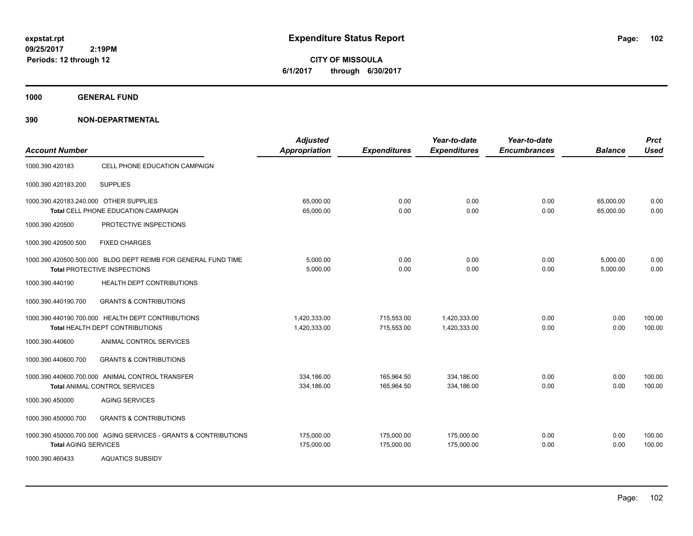**CITY OF MISSOULA 6/1/2017 through 6/30/2017**

**1000 GENERAL FUND**

| <b>Account Number</b>                  |                                                                                                      | <b>Adjusted</b><br><b>Appropriation</b> | <b>Expenditures</b>      | Year-to-date<br><b>Expenditures</b> | Year-to-date<br><b>Encumbrances</b> | <b>Balance</b>         | <b>Prct</b><br><b>Used</b> |
|----------------------------------------|------------------------------------------------------------------------------------------------------|-----------------------------------------|--------------------------|-------------------------------------|-------------------------------------|------------------------|----------------------------|
| 1000.390.420183                        | CELL PHONE EDUCATION CAMPAIGN                                                                        |                                         |                          |                                     |                                     |                        |                            |
| 1000.390.420183.200                    | <b>SUPPLIES</b>                                                                                      |                                         |                          |                                     |                                     |                        |                            |
| 1000.390.420183.240.000 OTHER SUPPLIES | <b>Total CELL PHONE EDUCATION CAMPAIGN</b>                                                           | 65,000.00<br>65,000.00                  | 0.00<br>0.00             | 0.00<br>0.00                        | 0.00<br>0.00                        | 65,000.00<br>65,000.00 | 0.00<br>0.00               |
| 1000.390.420500                        | PROTECTIVE INSPECTIONS                                                                               |                                         |                          |                                     |                                     |                        |                            |
| 1000.390.420500.500                    | <b>FIXED CHARGES</b>                                                                                 |                                         |                          |                                     |                                     |                        |                            |
|                                        | 1000.390.420500.500.000 BLDG DEPT REIMB FOR GENERAL FUND TIME<br><b>Total PROTECTIVE INSPECTIONS</b> | 5,000.00<br>5,000.00                    | 0.00<br>0.00             | 0.00<br>0.00                        | 0.00<br>0.00                        | 5,000.00<br>5,000.00   | 0.00<br>0.00               |
| 1000.390.440190                        | HEALTH DEPT CONTRIBUTIONS                                                                            |                                         |                          |                                     |                                     |                        |                            |
| 1000.390.440190.700                    | <b>GRANTS &amp; CONTRIBUTIONS</b>                                                                    |                                         |                          |                                     |                                     |                        |                            |
|                                        | 1000.390.440190.700.000 HEALTH DEPT CONTRIBUTIONS<br>Total HEALTH DEPT CONTRIBUTIONS                 | 1,420,333.00<br>1,420,333.00            | 715,553.00<br>715,553.00 | 1,420,333.00<br>1,420,333.00        | 0.00<br>0.00                        | 0.00<br>0.00           | 100.00<br>100.00           |
| 1000.390.440600                        | ANIMAL CONTROL SERVICES                                                                              |                                         |                          |                                     |                                     |                        |                            |
| 1000.390.440600.700                    | <b>GRANTS &amp; CONTRIBUTIONS</b>                                                                    |                                         |                          |                                     |                                     |                        |                            |
|                                        | 1000.390.440600.700.000 ANIMAL CONTROL TRANSFER<br><b>Total ANIMAL CONTROL SERVICES</b>              | 334.186.00<br>334,186.00                | 165.964.50<br>165,964.50 | 334,186.00<br>334,186.00            | 0.00<br>0.00                        | 0.00<br>0.00           | 100.00<br>100.00           |
| 1000.390.450000                        | <b>AGING SERVICES</b>                                                                                |                                         |                          |                                     |                                     |                        |                            |
| 1000.390.450000.700                    | <b>GRANTS &amp; CONTRIBUTIONS</b>                                                                    |                                         |                          |                                     |                                     |                        |                            |
| <b>Total AGING SERVICES</b>            | 1000.390.450000.700.000 AGING SERVICES - GRANTS & CONTRIBUTIONS                                      | 175,000.00<br>175,000.00                | 175,000.00<br>175,000.00 | 175,000.00<br>175,000.00            | 0.00<br>0.00                        | 0.00<br>0.00           | 100.00<br>100.00           |
| 1000.390.460433                        | <b>AQUATICS SUBSIDY</b>                                                                              |                                         |                          |                                     |                                     |                        |                            |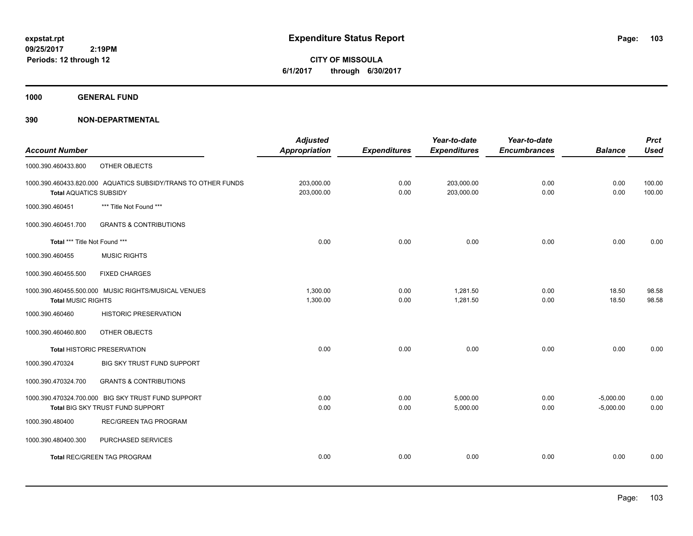**CITY OF MISSOULA 6/1/2017 through 6/30/2017**

**1000 GENERAL FUND**

|                               |                                                               | <b>Adjusted</b>      |                     | Year-to-date        | Year-to-date        |                | <b>Prct</b> |
|-------------------------------|---------------------------------------------------------------|----------------------|---------------------|---------------------|---------------------|----------------|-------------|
| <b>Account Number</b>         |                                                               | <b>Appropriation</b> | <b>Expenditures</b> | <b>Expenditures</b> | <b>Encumbrances</b> | <b>Balance</b> | <b>Used</b> |
| 1000.390.460433.800           | OTHER OBJECTS                                                 |                      |                     |                     |                     |                |             |
|                               | 1000.390.460433.820.000 AQUATICS SUBSIDY/TRANS TO OTHER FUNDS | 203,000.00           | 0.00                | 203,000.00          | 0.00                | 0.00           | 100.00      |
| <b>Total AQUATICS SUBSIDY</b> |                                                               | 203,000.00           | 0.00                | 203,000.00          | 0.00                | 0.00           | 100.00      |
| 1000.390.460451               | *** Title Not Found ***                                       |                      |                     |                     |                     |                |             |
| 1000.390.460451.700           | <b>GRANTS &amp; CONTRIBUTIONS</b>                             |                      |                     |                     |                     |                |             |
| Total *** Title Not Found *** |                                                               | 0.00                 | 0.00                | 0.00                | 0.00                | 0.00           | 0.00        |
| 1000.390.460455               | <b>MUSIC RIGHTS</b>                                           |                      |                     |                     |                     |                |             |
| 1000.390.460455.500           | <b>FIXED CHARGES</b>                                          |                      |                     |                     |                     |                |             |
|                               | 1000.390.460455.500.000 MUSIC RIGHTS/MUSICAL VENUES           | 1,300.00             | 0.00                | 1,281.50            | 0.00                | 18.50          | 98.58       |
| <b>Total MUSIC RIGHTS</b>     |                                                               | 1,300.00             | 0.00                | 1,281.50            | 0.00                | 18.50          | 98.58       |
| 1000.390.460460               | <b>HISTORIC PRESERVATION</b>                                  |                      |                     |                     |                     |                |             |
| 1000.390.460460.800           | OTHER OBJECTS                                                 |                      |                     |                     |                     |                |             |
|                               | <b>Total HISTORIC PRESERVATION</b>                            | 0.00                 | 0.00                | 0.00                | 0.00                | 0.00           | 0.00        |
| 1000.390.470324               | BIG SKY TRUST FUND SUPPORT                                    |                      |                     |                     |                     |                |             |
| 1000.390.470324.700           | <b>GRANTS &amp; CONTRIBUTIONS</b>                             |                      |                     |                     |                     |                |             |
|                               | 1000.390.470324.700.000 BIG SKY TRUST FUND SUPPORT            | 0.00                 | 0.00                | 5,000.00            | 0.00                | $-5,000.00$    | 0.00        |
|                               | Total BIG SKY TRUST FUND SUPPORT                              | 0.00                 | 0.00                | 5,000.00            | 0.00                | $-5,000.00$    | 0.00        |
| 1000.390.480400               | <b>REC/GREEN TAG PROGRAM</b>                                  |                      |                     |                     |                     |                |             |
| 1000.390.480400.300           | PURCHASED SERVICES                                            |                      |                     |                     |                     |                |             |
|                               | <b>Total REC/GREEN TAG PROGRAM</b>                            | 0.00                 | 0.00                | 0.00                | 0.00                | 0.00           | 0.00        |
|                               |                                                               |                      |                     |                     |                     |                |             |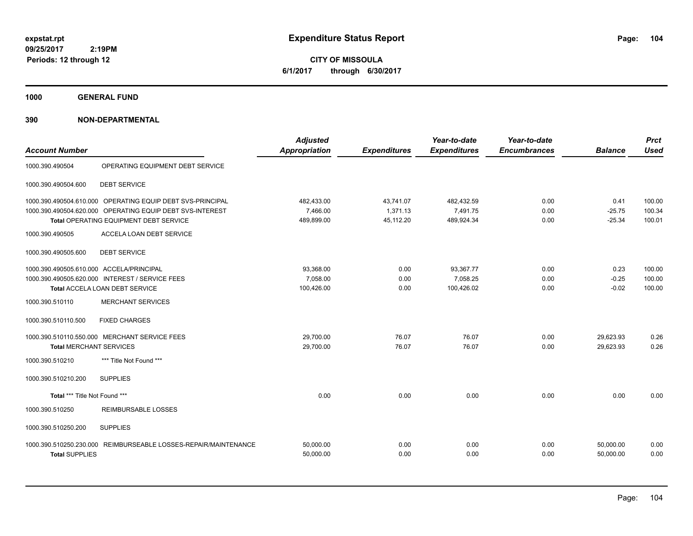**CITY OF MISSOULA 6/1/2017 through 6/30/2017**

**1000 GENERAL FUND**

| <b>Account Number</b>                                                              |                                                                                                                                                                   | <b>Adjusted</b><br><b>Appropriation</b> | <b>Expenditures</b>                | Year-to-date<br><b>Expenditures</b>  | Year-to-date<br><b>Encumbrances</b> | <b>Balance</b>               | <b>Prct</b><br><b>Used</b> |
|------------------------------------------------------------------------------------|-------------------------------------------------------------------------------------------------------------------------------------------------------------------|-----------------------------------------|------------------------------------|--------------------------------------|-------------------------------------|------------------------------|----------------------------|
| 1000.390.490504                                                                    | OPERATING EQUIPMENT DEBT SERVICE                                                                                                                                  |                                         |                                    |                                      |                                     |                              |                            |
| 1000.390.490504.600                                                                | <b>DEBT SERVICE</b>                                                                                                                                               |                                         |                                    |                                      |                                     |                              |                            |
|                                                                                    | 1000.390.490504.610.000 OPERATING EQUIP DEBT SVS-PRINCIPAL<br>1000.390.490504.620.000 OPERATING EQUIP DEBT SVS-INTEREST<br>Total OPERATING EQUIPMENT DEBT SERVICE | 482,433.00<br>7,466.00<br>489,899.00    | 43,741.07<br>1.371.13<br>45,112.20 | 482,432.59<br>7,491.75<br>489,924.34 | 0.00<br>0.00<br>0.00                | 0.41<br>$-25.75$<br>$-25.34$ | 100.00<br>100.34<br>100.01 |
| 1000.390.490505                                                                    | ACCELA LOAN DEBT SERVICE                                                                                                                                          |                                         |                                    |                                      |                                     |                              |                            |
| 1000.390.490505.600<br>1000.390.490505.610.000 ACCELA/PRINCIPAL<br>1000.390.510110 | <b>DEBT SERVICE</b><br>1000.390.490505.620.000 INTEREST / SERVICE FEES<br>Total ACCELA LOAN DEBT SERVICE<br><b>MERCHANT SERVICES</b>                              | 93,368.00<br>7,058.00<br>100,426.00     | 0.00<br>0.00<br>0.00               | 93,367.77<br>7,058.25<br>100,426.02  | 0.00<br>0.00<br>0.00                | 0.23<br>$-0.25$<br>$-0.02$   | 100.00<br>100.00<br>100.00 |
| 1000.390.510110.500                                                                | <b>FIXED CHARGES</b>                                                                                                                                              |                                         |                                    |                                      |                                     |                              |                            |
| <b>Total MERCHANT SERVICES</b>                                                     | 1000.390.510110.550.000 MERCHANT SERVICE FEES                                                                                                                     | 29,700.00<br>29,700.00                  | 76.07<br>76.07                     | 76.07<br>76.07                       | 0.00<br>0.00                        | 29,623.93<br>29.623.93       | 0.26<br>0.26               |
| 1000.390.510210                                                                    | *** Title Not Found ***                                                                                                                                           |                                         |                                    |                                      |                                     |                              |                            |
| 1000.390.510210.200                                                                | <b>SUPPLIES</b>                                                                                                                                                   |                                         |                                    |                                      |                                     |                              |                            |
| Total *** Title Not Found ***                                                      |                                                                                                                                                                   | 0.00                                    | 0.00                               | 0.00                                 | 0.00                                | 0.00                         | 0.00                       |
| 1000.390.510250                                                                    | <b>REIMBURSABLE LOSSES</b>                                                                                                                                        |                                         |                                    |                                      |                                     |                              |                            |
| 1000.390.510250.200                                                                | <b>SUPPLIES</b>                                                                                                                                                   |                                         |                                    |                                      |                                     |                              |                            |
| <b>Total SUPPLIES</b>                                                              | 1000.390.510250.230.000 REIMBURSEABLE LOSSES-REPAIR/MAINTENANCE                                                                                                   | 50,000.00<br>50,000.00                  | 0.00<br>0.00                       | 0.00<br>0.00                         | 0.00<br>0.00                        | 50,000.00<br>50,000.00       | 0.00<br>0.00               |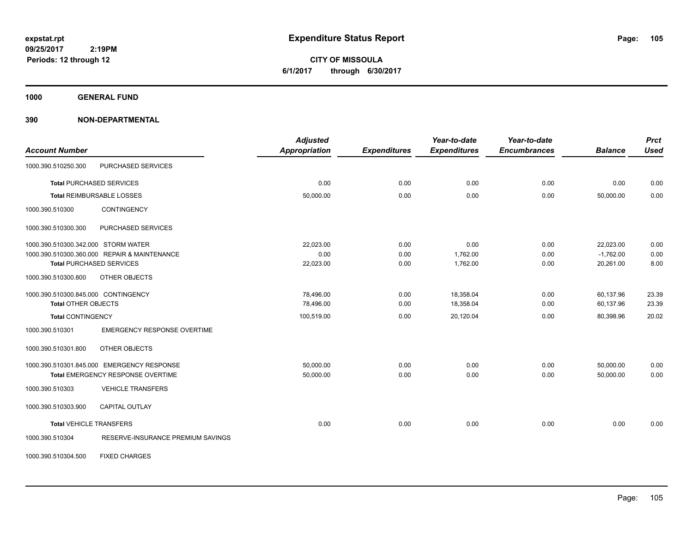**CITY OF MISSOULA 6/1/2017 through 6/30/2017**

**1000 GENERAL FUND**

| <b>Account Number</b>               |                                              | <b>Adjusted</b><br><b>Appropriation</b> | <b>Expenditures</b> | Year-to-date<br><b>Expenditures</b> | Year-to-date<br><b>Encumbrances</b> | <b>Balance</b> | <b>Prct</b><br><b>Used</b> |
|-------------------------------------|----------------------------------------------|-----------------------------------------|---------------------|-------------------------------------|-------------------------------------|----------------|----------------------------|
| 1000.390.510250.300                 | PURCHASED SERVICES                           |                                         |                     |                                     |                                     |                |                            |
|                                     | <b>Total PURCHASED SERVICES</b>              | 0.00                                    | 0.00                | 0.00                                | 0.00                                | 0.00           | 0.00                       |
|                                     | <b>Total REIMBURSABLE LOSSES</b>             | 50,000.00                               | 0.00                | 0.00                                | 0.00                                | 50,000.00      | 0.00                       |
| 1000.390.510300                     | CONTINGENCY                                  |                                         |                     |                                     |                                     |                |                            |
| 1000.390.510300.300                 | PURCHASED SERVICES                           |                                         |                     |                                     |                                     |                |                            |
| 1000.390.510300.342.000 STORM WATER |                                              | 22,023.00                               | 0.00                | 0.00                                | 0.00                                | 22,023.00      | 0.00                       |
|                                     | 1000.390.510300.360.000 REPAIR & MAINTENANCE | 0.00                                    | 0.00                | 1,762.00                            | 0.00                                | $-1,762.00$    | 0.00                       |
|                                     | <b>Total PURCHASED SERVICES</b>              | 22,023.00                               | 0.00                | 1,762.00                            | 0.00                                | 20,261.00      | 8.00                       |
| 1000.390.510300.800                 | OTHER OBJECTS                                |                                         |                     |                                     |                                     |                |                            |
| 1000.390.510300.845.000 CONTINGENCY |                                              | 78,496.00                               | 0.00                | 18,358.04                           | 0.00                                | 60,137.96      | 23.39                      |
| <b>Total OTHER OBJECTS</b>          |                                              | 78,496.00                               | 0.00                | 18,358.04                           | 0.00                                | 60,137.96      | 23.39                      |
| <b>Total CONTINGENCY</b>            |                                              | 100,519.00                              | 0.00                | 20,120.04                           | 0.00                                | 80,398.96      | 20.02                      |
| 1000.390.510301                     | <b>EMERGENCY RESPONSE OVERTIME</b>           |                                         |                     |                                     |                                     |                |                            |
| 1000.390.510301.800                 | OTHER OBJECTS                                |                                         |                     |                                     |                                     |                |                            |
|                                     | 1000.390.510301.845.000 EMERGENCY RESPONSE   | 50,000.00                               | 0.00                | 0.00                                | 0.00                                | 50,000.00      | 0.00                       |
|                                     | Total EMERGENCY RESPONSE OVERTIME            | 50,000.00                               | 0.00                | 0.00                                | 0.00                                | 50,000.00      | 0.00                       |
| 1000.390.510303                     | <b>VEHICLE TRANSFERS</b>                     |                                         |                     |                                     |                                     |                |                            |
| 1000.390.510303.900                 | <b>CAPITAL OUTLAY</b>                        |                                         |                     |                                     |                                     |                |                            |
| <b>Total VEHICLE TRANSFERS</b>      |                                              | 0.00                                    | 0.00                | 0.00                                | 0.00                                | 0.00           | 0.00                       |
| 1000.390.510304                     | RESERVE-INSURANCE PREMIUM SAVINGS            |                                         |                     |                                     |                                     |                |                            |
| 1000.390.510304.500                 | <b>FIXED CHARGES</b>                         |                                         |                     |                                     |                                     |                |                            |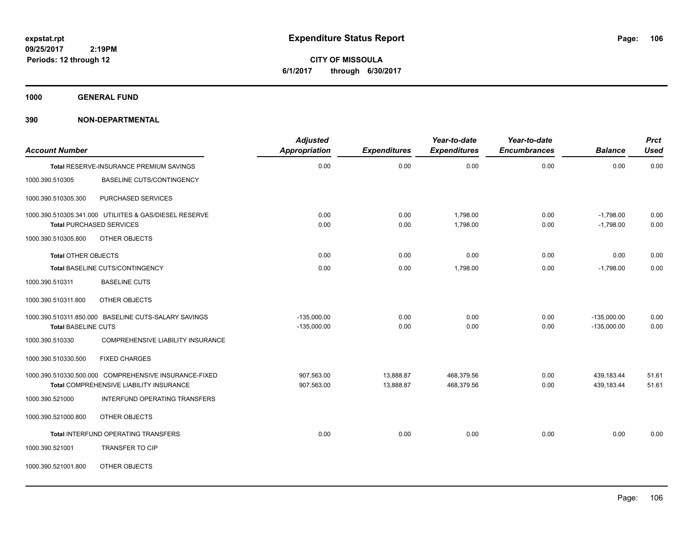**CITY OF MISSOULA 6/1/2017 through 6/30/2017**

**1000 GENERAL FUND**

| <b>Account Number</b>      |                                                                                                  | <b>Adjusted</b><br>Appropriation | <b>Expenditures</b>    | Year-to-date<br><b>Expenditures</b> | Year-to-date<br><b>Encumbrances</b> | <b>Balance</b>                 | <b>Prct</b><br><b>Used</b> |
|----------------------------|--------------------------------------------------------------------------------------------------|----------------------------------|------------------------|-------------------------------------|-------------------------------------|--------------------------------|----------------------------|
|                            | Total RESERVE-INSURANCE PREMIUM SAVINGS                                                          | 0.00                             | 0.00                   | 0.00                                | 0.00                                | 0.00                           | 0.00                       |
| 1000.390.510305            | BASELINE CUTS/CONTINGENCY                                                                        |                                  |                        |                                     |                                     |                                |                            |
| 1000.390.510305.300        | PURCHASED SERVICES                                                                               |                                  |                        |                                     |                                     |                                |                            |
|                            | 1000.390.510305.341.000 UTILIITES & GAS/DIESEL RESERVE<br><b>Total PURCHASED SERVICES</b>        | 0.00<br>0.00                     | 0.00<br>0.00           | 1,798.00<br>1,798.00                | 0.00<br>0.00                        | $-1,798.00$<br>$-1,798.00$     | 0.00<br>0.00               |
| 1000.390.510305.800        | OTHER OBJECTS                                                                                    |                                  |                        |                                     |                                     |                                |                            |
| <b>Total OTHER OBJECTS</b> |                                                                                                  | 0.00                             | 0.00                   | 0.00                                | 0.00                                | 0.00                           | 0.00                       |
|                            | Total BASELINE CUTS/CONTINGENCY                                                                  | 0.00                             | 0.00                   | 1,798.00                            | 0.00                                | $-1,798.00$                    | 0.00                       |
| 1000.390.510311            | <b>BASELINE CUTS</b>                                                                             |                                  |                        |                                     |                                     |                                |                            |
| 1000.390.510311.800        | OTHER OBJECTS                                                                                    |                                  |                        |                                     |                                     |                                |                            |
| <b>Total BASELINE CUTS</b> | 1000.390.510311.850.000 BASELINE CUTS-SALARY SAVINGS                                             | $-135,000.00$<br>$-135,000.00$   | 0.00<br>0.00           | 0.00<br>0.00                        | 0.00<br>0.00                        | $-135,000.00$<br>$-135,000.00$ | 0.00<br>0.00               |
| 1000.390.510330            | COMPREHENSIVE LIABILITY INSURANCE                                                                |                                  |                        |                                     |                                     |                                |                            |
| 1000.390.510330.500        | <b>FIXED CHARGES</b>                                                                             |                                  |                        |                                     |                                     |                                |                            |
|                            | 1000.390.510330.500.000 COMPREHENSIVE INSURANCE-FIXED<br>Total COMPREHENSIVE LIABILITY INSURANCE | 907,563.00<br>907,563.00         | 13,888.87<br>13,888.87 | 468,379.56<br>468,379.56            | 0.00<br>0.00                        | 439,183.44<br>439,183.44       | 51.61<br>51.61             |
| 1000.390.521000            | INTERFUND OPERATING TRANSFERS                                                                    |                                  |                        |                                     |                                     |                                |                            |
| 1000.390.521000.800        | OTHER OBJECTS                                                                                    |                                  |                        |                                     |                                     |                                |                            |
|                            | Total INTERFUND OPERATING TRANSFERS                                                              | 0.00                             | 0.00                   | 0.00                                | 0.00                                | 0.00                           | 0.00                       |
| 1000.390.521001            | <b>TRANSFER TO CIP</b>                                                                           |                                  |                        |                                     |                                     |                                |                            |
| 1000.390.521001.800        | OTHER OBJECTS                                                                                    |                                  |                        |                                     |                                     |                                |                            |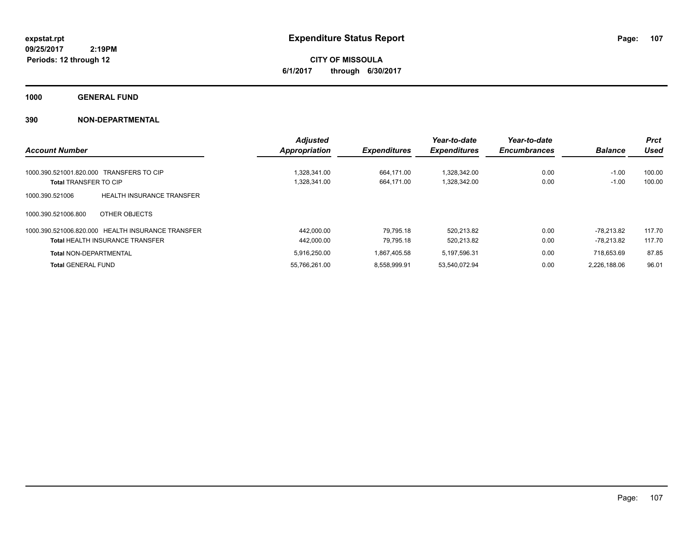**CITY OF MISSOULA 6/1/2017 through 6/30/2017**

**1000 GENERAL FUND**

|                                                     | <b>Adjusted</b>      |                     | Year-to-date        | Year-to-date        |                | <b>Prct</b> |
|-----------------------------------------------------|----------------------|---------------------|---------------------|---------------------|----------------|-------------|
| <b>Account Number</b>                               | <b>Appropriation</b> | <b>Expenditures</b> | <b>Expenditures</b> | <b>Encumbrances</b> | <b>Balance</b> | Used        |
| 1000.390.521001.820.000 TRANSFERS TO CIP            | 1.328.341.00         | 664.171.00          | 1.328.342.00        | 0.00                | $-1.00$        | 100.00      |
| <b>Total TRANSFER TO CIP</b>                        | 1,328,341.00         | 664,171.00          | 1,328,342.00        | 0.00                | $-1.00$        | 100.00      |
| 1000.390.521006<br><b>HEALTH INSURANCE TRANSFER</b> |                      |                     |                     |                     |                |             |
| OTHER OBJECTS<br>1000.390.521006.800                |                      |                     |                     |                     |                |             |
| 1000.390.521006.820.000 HEALTH INSURANCE TRANSFER   | 442.000.00           | 79.795.18           | 520.213.82          | 0.00                | -78.213.82     | 117.70      |
| <b>Total HEALTH INSURANCE TRANSFER</b>              | 442.000.00           | 79.795.18           | 520.213.82          | 0.00                | -78.213.82     | 117.70      |
| <b>Total NON-DEPARTMENTAL</b>                       | 5.916.250.00         | 1.867.405.58        | 5.197.596.31        | 0.00                | 718.653.69     | 87.85       |
| <b>Total GENERAL FUND</b>                           | 55.766.261.00        | 8.558.999.91        | 53.540.072.94       | 0.00                | 2.226.188.06   | 96.01       |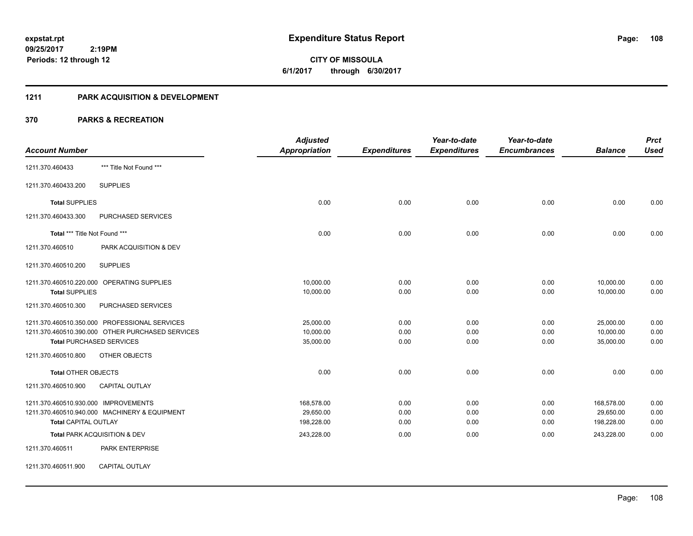**108**

**09/25/2017 2:19PM Periods: 12 through 12**

**CITY OF MISSOULA 6/1/2017 through 6/30/2017**

## **1211 PARK ACQUISITION & DEVELOPMENT**

|                                      |                                                  | <b>Adjusted</b>      |                     | Year-to-date        | Year-to-date        |                | <b>Prct</b> |
|--------------------------------------|--------------------------------------------------|----------------------|---------------------|---------------------|---------------------|----------------|-------------|
| <b>Account Number</b>                |                                                  | <b>Appropriation</b> | <b>Expenditures</b> | <b>Expenditures</b> | <b>Encumbrances</b> | <b>Balance</b> | <b>Used</b> |
| 1211.370.460433                      | *** Title Not Found ***                          |                      |                     |                     |                     |                |             |
| 1211.370.460433.200                  | <b>SUPPLIES</b>                                  |                      |                     |                     |                     |                |             |
| <b>Total SUPPLIES</b>                |                                                  | 0.00                 | 0.00                | 0.00                | 0.00                | 0.00           | 0.00        |
| 1211.370.460433.300                  | <b>PURCHASED SERVICES</b>                        |                      |                     |                     |                     |                |             |
| Total *** Title Not Found ***        |                                                  | 0.00                 | 0.00                | 0.00                | 0.00                | 0.00           | 0.00        |
| 1211.370.460510                      | PARK ACQUISITION & DEV                           |                      |                     |                     |                     |                |             |
| 1211.370.460510.200                  | <b>SUPPLIES</b>                                  |                      |                     |                     |                     |                |             |
|                                      | 1211.370.460510.220.000 OPERATING SUPPLIES       | 10,000.00            | 0.00                | 0.00                | 0.00                | 10,000.00      | 0.00        |
| <b>Total SUPPLIES</b>                |                                                  | 10,000.00            | 0.00                | 0.00                | 0.00                | 10,000.00      | 0.00        |
| 1211.370.460510.300                  | PURCHASED SERVICES                               |                      |                     |                     |                     |                |             |
|                                      | 1211.370.460510.350.000 PROFESSIONAL SERVICES    | 25,000.00            | 0.00                | 0.00                | 0.00                | 25,000.00      | 0.00        |
|                                      | 1211.370.460510.390.000 OTHER PURCHASED SERVICES | 10,000.00            | 0.00                | 0.00                | 0.00                | 10,000.00      | 0.00        |
| <b>Total PURCHASED SERVICES</b>      |                                                  | 35,000.00            | 0.00                | 0.00                | 0.00                | 35,000.00      | 0.00        |
| 1211.370.460510.800                  | <b>OTHER OBJECTS</b>                             |                      |                     |                     |                     |                |             |
| <b>Total OTHER OBJECTS</b>           |                                                  | 0.00                 | 0.00                | 0.00                | 0.00                | 0.00           | 0.00        |
| 1211.370.460510.900                  | <b>CAPITAL OUTLAY</b>                            |                      |                     |                     |                     |                |             |
| 1211.370.460510.930.000 IMPROVEMENTS |                                                  | 168,578.00           | 0.00                | 0.00                | 0.00                | 168,578.00     | 0.00        |
|                                      | 1211.370.460510.940.000 MACHINERY & EQUIPMENT    | 29,650.00            | 0.00                | 0.00                | 0.00                | 29,650.00      | 0.00        |
| <b>Total CAPITAL OUTLAY</b>          |                                                  | 198,228.00           | 0.00                | 0.00                | 0.00                | 198,228.00     | 0.00        |
|                                      | Total PARK ACQUISITION & DEV                     | 243,228.00           | 0.00                | 0.00                | 0.00                | 243,228.00     | 0.00        |
| 1211.370.460511                      | PARK ENTERPRISE                                  |                      |                     |                     |                     |                |             |
| 1211.370.460511.900                  | CAPITAL OUTLAY                                   |                      |                     |                     |                     |                |             |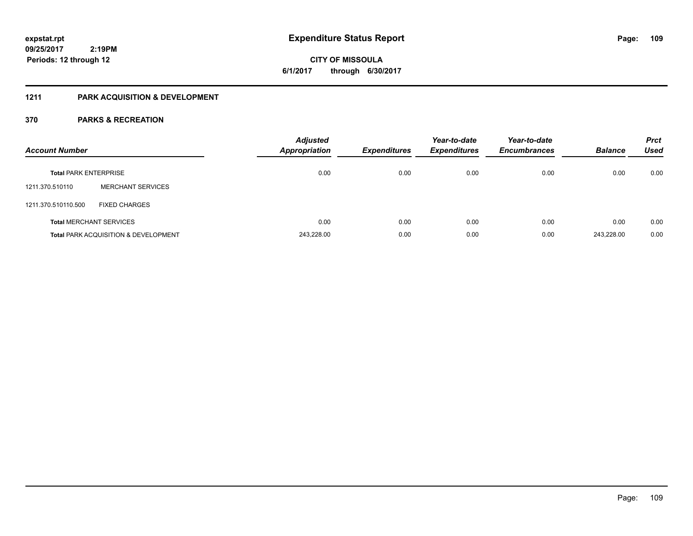**CITY OF MISSOULA 6/1/2017 through 6/30/2017**

### **1211 PARK ACQUISITION & DEVELOPMENT**

| <b>Account Number</b>        |                                                 | <b>Adjusted</b><br><b>Appropriation</b> | <b>Expenditures</b> | Year-to-date<br><b>Expenditures</b> | Year-to-date<br><b>Encumbrances</b> | <b>Balance</b> | <b>Prct</b><br><b>Used</b> |
|------------------------------|-------------------------------------------------|-----------------------------------------|---------------------|-------------------------------------|-------------------------------------|----------------|----------------------------|
| <b>Total PARK ENTERPRISE</b> |                                                 | 0.00                                    | 0.00                | 0.00                                | 0.00                                | 0.00           | 0.00                       |
| 1211.370.510110              | <b>MERCHANT SERVICES</b>                        |                                         |                     |                                     |                                     |                |                            |
| 1211.370.510110.500          | <b>FIXED CHARGES</b>                            |                                         |                     |                                     |                                     |                |                            |
|                              | <b>Total MERCHANT SERVICES</b>                  | 0.00                                    | 0.00                | 0.00                                | 0.00                                | 0.00           | 0.00                       |
|                              | <b>Total PARK ACQUISITION &amp; DEVELOPMENT</b> | 243,228.00                              | 0.00                | 0.00                                | 0.00                                | 243.228.00     | 0.00                       |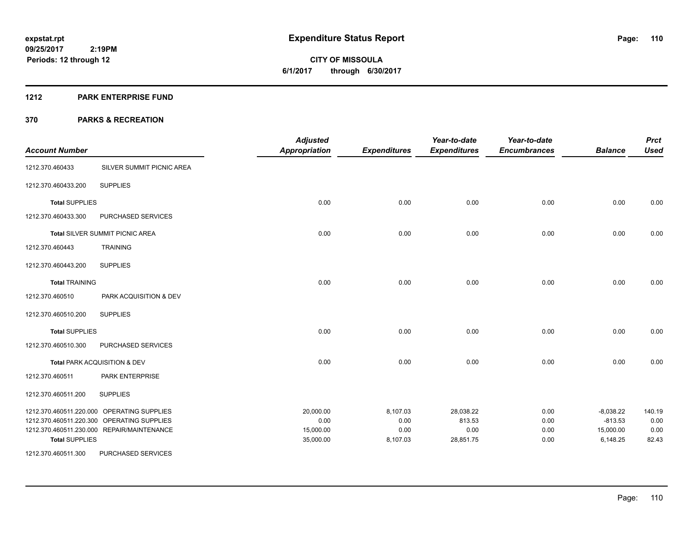#### **1212 PARK ENTERPRISE FUND**

| <b>Account Number</b> |                                            | <b>Adjusted</b><br><b>Appropriation</b> | <b>Expenditures</b> | Year-to-date<br><b>Expenditures</b> | Year-to-date<br><b>Encumbrances</b> | <b>Balance</b> | <b>Prct</b><br><b>Used</b> |
|-----------------------|--------------------------------------------|-----------------------------------------|---------------------|-------------------------------------|-------------------------------------|----------------|----------------------------|
| 1212.370.460433       | SILVER SUMMIT PICNIC AREA                  |                                         |                     |                                     |                                     |                |                            |
| 1212.370.460433.200   | <b>SUPPLIES</b>                            |                                         |                     |                                     |                                     |                |                            |
| <b>Total SUPPLIES</b> |                                            | 0.00                                    | 0.00                | 0.00                                | 0.00                                | 0.00           | 0.00                       |
| 1212.370.460433.300   | PURCHASED SERVICES                         |                                         |                     |                                     |                                     |                |                            |
|                       | <b>Total SILVER SUMMIT PICNIC AREA</b>     | 0.00                                    | 0.00                | 0.00                                | 0.00                                | 0.00           | 0.00                       |
| 1212.370.460443       | <b>TRAINING</b>                            |                                         |                     |                                     |                                     |                |                            |
| 1212.370.460443.200   | <b>SUPPLIES</b>                            |                                         |                     |                                     |                                     |                |                            |
| <b>Total TRAINING</b> |                                            | 0.00                                    | 0.00                | 0.00                                | 0.00                                | 0.00           | 0.00                       |
| 1212.370.460510       | PARK ACQUISITION & DEV                     |                                         |                     |                                     |                                     |                |                            |
| 1212.370.460510.200   | <b>SUPPLIES</b>                            |                                         |                     |                                     |                                     |                |                            |
| <b>Total SUPPLIES</b> |                                            | 0.00                                    | 0.00                | 0.00                                | 0.00                                | 0.00           | 0.00                       |
| 1212.370.460510.300   | PURCHASED SERVICES                         |                                         |                     |                                     |                                     |                |                            |
|                       | Total PARK ACQUISITION & DEV               | 0.00                                    | 0.00                | 0.00                                | 0.00                                | 0.00           | 0.00                       |
| 1212.370.460511       | PARK ENTERPRISE                            |                                         |                     |                                     |                                     |                |                            |
| 1212.370.460511.200   | <b>SUPPLIES</b>                            |                                         |                     |                                     |                                     |                |                            |
|                       | 1212.370.460511.220.000 OPERATING SUPPLIES | 20,000.00                               | 8,107.03            | 28,038.22                           | 0.00                                | $-8,038.22$    | 140.19                     |
|                       | 1212.370.460511.220.300 OPERATING SUPPLIES | 0.00                                    | 0.00                | 813.53                              | 0.00                                | $-813.53$      | 0.00                       |
|                       | 1212.370.460511.230.000 REPAIR/MAINTENANCE | 15,000.00                               | 0.00                | 0.00                                | 0.00                                | 15,000.00      | 0.00                       |
| <b>Total SUPPLIES</b> |                                            | 35,000.00                               | 8,107.03            | 28,851.75                           | 0.00                                | 6,148.25       | 82.43                      |
| 1212.370.460511.300   | PURCHASED SERVICES                         |                                         |                     |                                     |                                     |                |                            |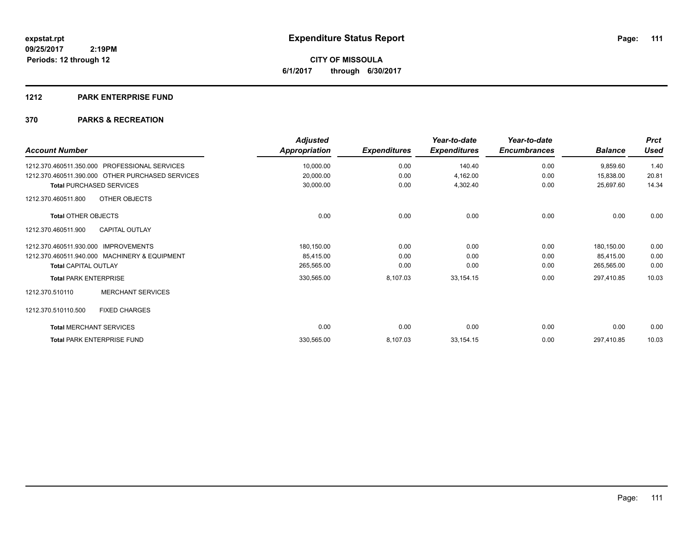**CITY OF MISSOULA 6/1/2017 through 6/30/2017**

#### **1212 PARK ENTERPRISE FUND**

| <b>Account Number</b>                            | <b>Adjusted</b><br>Appropriation | <b>Expenditures</b> | Year-to-date<br><b>Expenditures</b> | Year-to-date<br><b>Encumbrances</b> | <b>Balance</b> | <b>Prct</b><br><b>Used</b> |
|--------------------------------------------------|----------------------------------|---------------------|-------------------------------------|-------------------------------------|----------------|----------------------------|
| PROFESSIONAL SERVICES<br>1212.370.460511.350.000 | 10,000.00                        | 0.00                | 140.40                              | 0.00                                | 9,859.60       | 1.40                       |
| 1212.370.460511.390.000 OTHER PURCHASED SERVICES | 20,000.00                        | 0.00                | 4,162.00                            | 0.00                                | 15,838.00      | 20.81                      |
| <b>Total PURCHASED SERVICES</b>                  | 30,000.00                        | 0.00                | 4,302.40                            | 0.00                                | 25,697.60      | 14.34                      |
| OTHER OBJECTS<br>1212.370.460511.800             |                                  |                     |                                     |                                     |                |                            |
| <b>Total OTHER OBJECTS</b>                       | 0.00                             | 0.00                | 0.00                                | 0.00                                | 0.00           | 0.00                       |
| <b>CAPITAL OUTLAY</b><br>1212.370.460511.900     |                                  |                     |                                     |                                     |                |                            |
| 1212.370.460511.930.000<br><b>IMPROVEMENTS</b>   | 180,150.00                       | 0.00                | 0.00                                | 0.00                                | 180,150.00     | 0.00                       |
| 1212.370.460511.940.000 MACHINERY & EQUIPMENT    | 85,415.00                        | 0.00                | 0.00                                | 0.00                                | 85,415.00      | 0.00                       |
| <b>Total CAPITAL OUTLAY</b>                      | 265,565.00                       | 0.00                | 0.00                                | 0.00                                | 265,565.00     | 0.00                       |
| <b>Total PARK ENTERPRISE</b>                     | 330,565.00                       | 8,107.03            | 33,154.15                           | 0.00                                | 297,410.85     | 10.03                      |
| <b>MERCHANT SERVICES</b><br>1212.370.510110      |                                  |                     |                                     |                                     |                |                            |
| 1212.370.510110.500<br><b>FIXED CHARGES</b>      |                                  |                     |                                     |                                     |                |                            |
| <b>Total MERCHANT SERVICES</b>                   | 0.00                             | 0.00                | 0.00                                | 0.00                                | 0.00           | 0.00                       |
| <b>Total PARK ENTERPRISE FUND</b>                | 330,565.00                       | 8,107.03            | 33,154.15                           | 0.00                                | 297,410.85     | 10.03                      |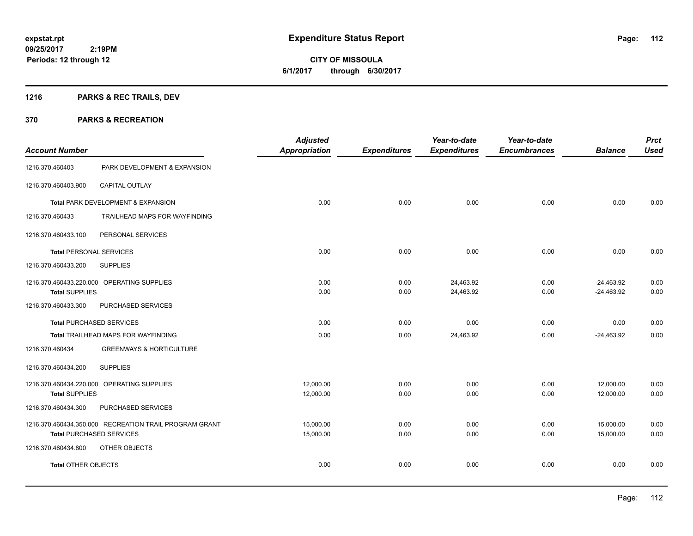Page: 112

**09/25/2017 2:19PM Periods: 12 through 12**

**CITY OF MISSOULA 6/1/2017 through 6/30/2017**

## **1216 PARKS & REC TRAILS, DEV**

| <b>Account Number</b>           |                                                                                           | <b>Adjusted</b><br><b>Appropriation</b> | <b>Expenditures</b> | Year-to-date<br><b>Expenditures</b> | Year-to-date<br><b>Encumbrances</b> | <b>Balance</b>               | <b>Prct</b><br><b>Used</b> |
|---------------------------------|-------------------------------------------------------------------------------------------|-----------------------------------------|---------------------|-------------------------------------|-------------------------------------|------------------------------|----------------------------|
| 1216.370.460403                 | PARK DEVELOPMENT & EXPANSION                                                              |                                         |                     |                                     |                                     |                              |                            |
| 1216.370.460403.900             | <b>CAPITAL OUTLAY</b>                                                                     |                                         |                     |                                     |                                     |                              |                            |
|                                 | Total PARK DEVELOPMENT & EXPANSION                                                        | 0.00                                    | 0.00                | 0.00                                | 0.00                                | 0.00                         | 0.00                       |
| 1216.370.460433                 | TRAILHEAD MAPS FOR WAYFINDING                                                             |                                         |                     |                                     |                                     |                              |                            |
| 1216.370.460433.100             | PERSONAL SERVICES                                                                         |                                         |                     |                                     |                                     |                              |                            |
| <b>Total PERSONAL SERVICES</b>  |                                                                                           | 0.00                                    | 0.00                | 0.00                                | 0.00                                | 0.00                         | 0.00                       |
| 1216.370.460433.200             | <b>SUPPLIES</b>                                                                           |                                         |                     |                                     |                                     |                              |                            |
| <b>Total SUPPLIES</b>           | 1216.370.460433.220.000 OPERATING SUPPLIES                                                | 0.00<br>0.00                            | 0.00<br>0.00        | 24,463.92<br>24,463.92              | 0.00<br>0.00                        | $-24,463.92$<br>$-24,463.92$ | 0.00<br>0.00               |
| 1216.370.460433.300             | PURCHASED SERVICES                                                                        |                                         |                     |                                     |                                     |                              |                            |
| <b>Total PURCHASED SERVICES</b> |                                                                                           | 0.00                                    | 0.00                | 0.00                                | 0.00                                | 0.00                         | 0.00                       |
|                                 | Total TRAILHEAD MAPS FOR WAYFINDING                                                       | 0.00                                    | 0.00                | 24,463.92                           | 0.00                                | $-24,463.92$                 | 0.00                       |
| 1216.370.460434                 | <b>GREENWAYS &amp; HORTICULTURE</b>                                                       |                                         |                     |                                     |                                     |                              |                            |
| 1216.370.460434.200             | <b>SUPPLIES</b>                                                                           |                                         |                     |                                     |                                     |                              |                            |
| <b>Total SUPPLIES</b>           | 1216.370.460434.220.000 OPERATING SUPPLIES                                                | 12,000.00<br>12,000.00                  | 0.00<br>0.00        | 0.00<br>0.00                        | 0.00<br>0.00                        | 12,000.00<br>12,000.00       | 0.00<br>0.00               |
| 1216.370.460434.300             | PURCHASED SERVICES                                                                        |                                         |                     |                                     |                                     |                              |                            |
|                                 | 1216.370.460434.350.000 RECREATION TRAIL PROGRAM GRANT<br><b>Total PURCHASED SERVICES</b> | 15,000.00<br>15,000.00                  | 0.00<br>0.00        | 0.00<br>0.00                        | 0.00<br>0.00                        | 15,000.00<br>15,000.00       | 0.00<br>0.00               |
| 1216.370.460434.800             | OTHER OBJECTS                                                                             |                                         |                     |                                     |                                     |                              |                            |
| <b>Total OTHER OBJECTS</b>      |                                                                                           | 0.00                                    | 0.00                | 0.00                                | 0.00                                | 0.00                         | 0.00                       |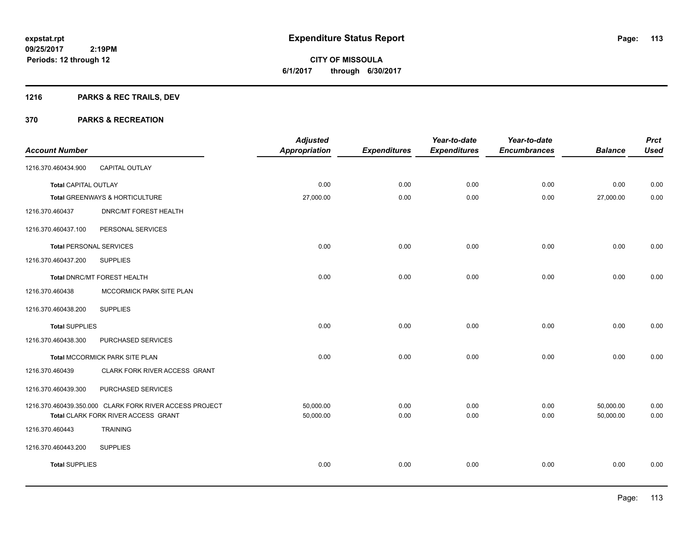Page: 113

**09/25/2017 2:19PM Periods: 12 through 12**

# **CITY OF MISSOULA 6/1/2017 through 6/30/2017**

## **1216 PARKS & REC TRAILS, DEV**

| <b>Account Number</b>          |                                                         | <b>Adjusted</b><br><b>Appropriation</b> | <b>Expenditures</b> | Year-to-date<br><b>Expenditures</b> | Year-to-date<br><b>Encumbrances</b> | <b>Balance</b> | <b>Prct</b><br><b>Used</b> |
|--------------------------------|---------------------------------------------------------|-----------------------------------------|---------------------|-------------------------------------|-------------------------------------|----------------|----------------------------|
| 1216.370.460434.900            | CAPITAL OUTLAY                                          |                                         |                     |                                     |                                     |                |                            |
| <b>Total CAPITAL OUTLAY</b>    |                                                         | 0.00                                    | 0.00                | 0.00                                | 0.00                                | 0.00           | 0.00                       |
|                                | Total GREENWAYS & HORTICULTURE                          | 27,000.00                               | 0.00                | 0.00                                | 0.00                                | 27,000.00      | 0.00                       |
| 1216.370.460437                | <b>DNRC/MT FOREST HEALTH</b>                            |                                         |                     |                                     |                                     |                |                            |
| 1216.370.460437.100            | PERSONAL SERVICES                                       |                                         |                     |                                     |                                     |                |                            |
| <b>Total PERSONAL SERVICES</b> |                                                         | 0.00                                    | 0.00                | 0.00                                | 0.00                                | 0.00           | 0.00                       |
| 1216.370.460437.200            | <b>SUPPLIES</b>                                         |                                         |                     |                                     |                                     |                |                            |
|                                | Total DNRC/MT FOREST HEALTH                             | 0.00                                    | 0.00                | 0.00                                | 0.00                                | 0.00           | 0.00                       |
| 1216.370.460438                | MCCORMICK PARK SITE PLAN                                |                                         |                     |                                     |                                     |                |                            |
| 1216.370.460438.200            | <b>SUPPLIES</b>                                         |                                         |                     |                                     |                                     |                |                            |
| <b>Total SUPPLIES</b>          |                                                         | 0.00                                    | 0.00                | 0.00                                | 0.00                                | 0.00           | 0.00                       |
| 1216.370.460438.300            | PURCHASED SERVICES                                      |                                         |                     |                                     |                                     |                |                            |
|                                | Total MCCORMICK PARK SITE PLAN                          | 0.00                                    | 0.00                | 0.00                                | 0.00                                | 0.00           | 0.00                       |
| 1216.370.460439                | CLARK FORK RIVER ACCESS GRANT                           |                                         |                     |                                     |                                     |                |                            |
| 1216.370.460439.300            | PURCHASED SERVICES                                      |                                         |                     |                                     |                                     |                |                            |
|                                | 1216.370.460439.350.000 CLARK FORK RIVER ACCESS PROJECT | 50,000.00                               | 0.00                | 0.00                                | 0.00                                | 50,000.00      | 0.00                       |
|                                | Total CLARK FORK RIVER ACCESS GRANT                     | 50,000.00                               | 0.00                | 0.00                                | 0.00                                | 50,000.00      | 0.00                       |
| 1216.370.460443                | <b>TRAINING</b>                                         |                                         |                     |                                     |                                     |                |                            |
| 1216.370.460443.200            | <b>SUPPLIES</b>                                         |                                         |                     |                                     |                                     |                |                            |
| <b>Total SUPPLIES</b>          |                                                         | 0.00                                    | 0.00                | 0.00                                | 0.00                                | 0.00           | 0.00                       |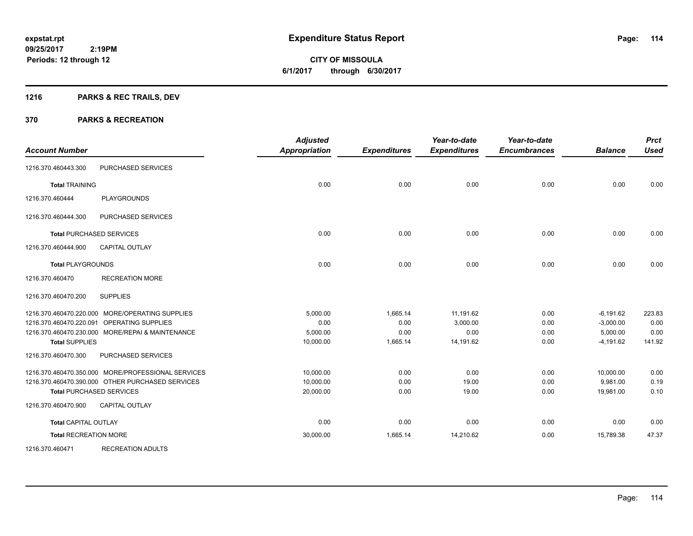**Periods: 12 through 12**

**CITY OF MISSOULA 6/1/2017 through 6/30/2017**

## **1216 PARKS & REC TRAILS, DEV**

 **2:19PM**

| <b>Account Number</b>        |                                                    | <b>Adjusted</b><br>Appropriation | <b>Expenditures</b> | Year-to-date<br><b>Expenditures</b> | Year-to-date<br><b>Encumbrances</b> | <b>Balance</b> | <b>Prct</b><br><b>Used</b> |
|------------------------------|----------------------------------------------------|----------------------------------|---------------------|-------------------------------------|-------------------------------------|----------------|----------------------------|
| 1216.370.460443.300          | PURCHASED SERVICES                                 |                                  |                     |                                     |                                     |                |                            |
| <b>Total TRAINING</b>        |                                                    | 0.00                             | 0.00                | 0.00                                | 0.00                                | 0.00           | 0.00                       |
| 1216.370.460444              | <b>PLAYGROUNDS</b>                                 |                                  |                     |                                     |                                     |                |                            |
| 1216.370.460444.300          | PURCHASED SERVICES                                 |                                  |                     |                                     |                                     |                |                            |
|                              | <b>Total PURCHASED SERVICES</b>                    | 0.00                             | 0.00                | 0.00                                | 0.00                                | 0.00           | 0.00                       |
| 1216.370.460444.900          | <b>CAPITAL OUTLAY</b>                              |                                  |                     |                                     |                                     |                |                            |
| <b>Total PLAYGROUNDS</b>     |                                                    | 0.00                             | 0.00                | 0.00                                | 0.00                                | 0.00           | 0.00                       |
| 1216.370.460470              | <b>RECREATION MORE</b>                             |                                  |                     |                                     |                                     |                |                            |
| 1216.370.460470.200          | <b>SUPPLIES</b>                                    |                                  |                     |                                     |                                     |                |                            |
|                              | 1216.370.460470.220.000 MORE/OPERATING SUPPLIES    | 5,000.00                         | 1,665.14            | 11,191.62                           | 0.00                                | $-6,191.62$    | 223.83                     |
| 1216.370.460470.220.091      | OPERATING SUPPLIES                                 | 0.00                             | 0.00                | 3.000.00                            | 0.00                                | $-3,000.00$    | 0.00                       |
|                              | 1216.370.460470.230.000 MORE/REPAI & MAINTENANCE   | 5,000.00                         | 0.00                | 0.00                                | 0.00                                | 5,000.00       | 0.00                       |
| <b>Total SUPPLIES</b>        |                                                    | 10,000.00                        | 1,665.14            | 14,191.62                           | 0.00                                | $-4,191.62$    | 141.92                     |
| 1216.370.460470.300          | PURCHASED SERVICES                                 |                                  |                     |                                     |                                     |                |                            |
|                              | 1216.370.460470.350.000 MORE/PROFESSIONAL SERVICES | 10,000.00                        | 0.00                | 0.00                                | 0.00                                | 10,000.00      | 0.00                       |
|                              | 1216.370.460470.390.000 OTHER PURCHASED SERVICES   | 10,000.00                        | 0.00                | 19.00                               | 0.00                                | 9,981.00       | 0.19                       |
|                              | <b>Total PURCHASED SERVICES</b>                    | 20,000.00                        | 0.00                | 19.00                               | 0.00                                | 19,981.00      | 0.10                       |
| 1216.370.460470.900          | <b>CAPITAL OUTLAY</b>                              |                                  |                     |                                     |                                     |                |                            |
| <b>Total CAPITAL OUTLAY</b>  |                                                    | 0.00                             | 0.00                | 0.00                                | 0.00                                | 0.00           | 0.00                       |
| <b>Total RECREATION MORE</b> |                                                    | 30,000.00                        | 1,665.14            | 14,210.62                           | 0.00                                | 15,789.38      | 47.37                      |
| 1216.370.460471              | <b>RECREATION ADULTS</b>                           |                                  |                     |                                     |                                     |                |                            |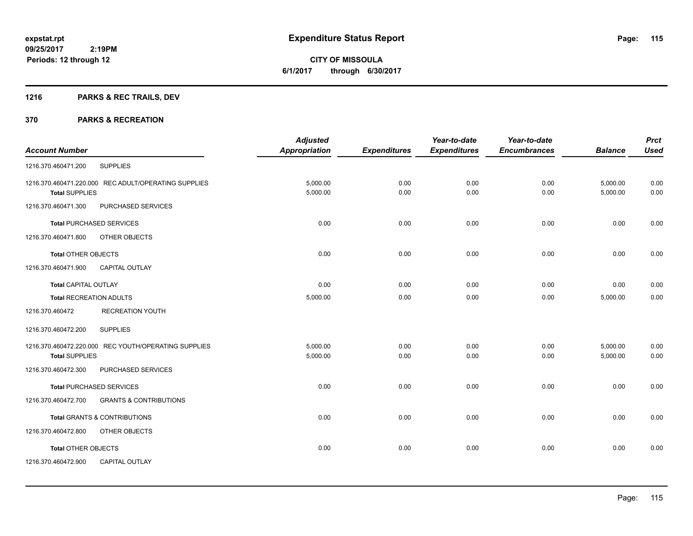**CITY OF MISSOULA 6/1/2017 through 6/30/2017**

## **1216 PARKS & REC TRAILS, DEV**

|                                 |                                                      | <b>Adjusted</b>      |                     | Year-to-date        | Year-to-date        |                | <b>Prct</b> |
|---------------------------------|------------------------------------------------------|----------------------|---------------------|---------------------|---------------------|----------------|-------------|
| <b>Account Number</b>           |                                                      | <b>Appropriation</b> | <b>Expenditures</b> | <b>Expenditures</b> | <b>Encumbrances</b> | <b>Balance</b> | <b>Used</b> |
| 1216.370.460471.200             | <b>SUPPLIES</b>                                      |                      |                     |                     |                     |                |             |
|                                 | 1216.370.460471.220.000 REC ADULT/OPERATING SUPPLIES | 5,000.00             | 0.00                | 0.00                | 0.00                | 5,000.00       | 0.00        |
| <b>Total SUPPLIES</b>           |                                                      | 5,000.00             | 0.00                | 0.00                | 0.00                | 5,000.00       | 0.00        |
| 1216.370.460471.300             | PURCHASED SERVICES                                   |                      |                     |                     |                     |                |             |
| <b>Total PURCHASED SERVICES</b> |                                                      | 0.00                 | 0.00                | 0.00                | 0.00                | 0.00           | 0.00        |
| 1216.370.460471.800             | OTHER OBJECTS                                        |                      |                     |                     |                     |                |             |
| <b>Total OTHER OBJECTS</b>      |                                                      | 0.00                 | 0.00                | 0.00                | 0.00                | 0.00           | 0.00        |
| 1216.370.460471.900             | <b>CAPITAL OUTLAY</b>                                |                      |                     |                     |                     |                |             |
| <b>Total CAPITAL OUTLAY</b>     |                                                      | 0.00                 | 0.00                | 0.00                | 0.00                | 0.00           | 0.00        |
| <b>Total RECREATION ADULTS</b>  |                                                      | 5,000.00             | 0.00                | 0.00                | 0.00                | 5,000.00       | 0.00        |
| 1216.370.460472                 | <b>RECREATION YOUTH</b>                              |                      |                     |                     |                     |                |             |
| 1216.370.460472.200             | <b>SUPPLIES</b>                                      |                      |                     |                     |                     |                |             |
|                                 | 1216.370.460472.220.000 REC YOUTH/OPERATING SUPPLIES | 5,000.00             | 0.00                | 0.00                | 0.00                | 5,000.00       | 0.00        |
| <b>Total SUPPLIES</b>           |                                                      | 5,000.00             | 0.00                | 0.00                | 0.00                | 5,000.00       | 0.00        |
| 1216.370.460472.300             | PURCHASED SERVICES                                   |                      |                     |                     |                     |                |             |
| <b>Total PURCHASED SERVICES</b> |                                                      | 0.00                 | 0.00                | 0.00                | 0.00                | 0.00           | 0.00        |
| 1216.370.460472.700             | <b>GRANTS &amp; CONTRIBUTIONS</b>                    |                      |                     |                     |                     |                |             |
|                                 | <b>Total GRANTS &amp; CONTRIBUTIONS</b>              | 0.00                 | 0.00                | 0.00                | 0.00                | 0.00           | 0.00        |
| 1216.370.460472.800             | OTHER OBJECTS                                        |                      |                     |                     |                     |                |             |
| Total OTHER OBJECTS             |                                                      | 0.00                 | 0.00                | 0.00                | 0.00                | 0.00           | 0.00        |
| 1216.370.460472.900             | <b>CAPITAL OUTLAY</b>                                |                      |                     |                     |                     |                |             |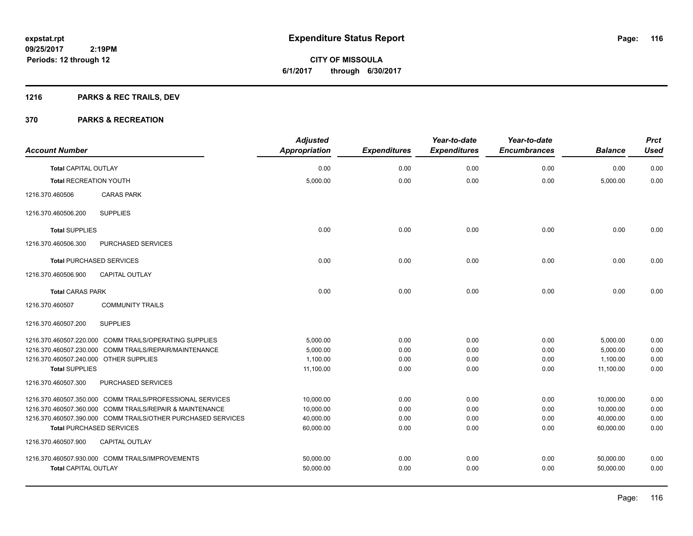Page: 116

**09/25/2017 2:19PM Periods: 12 through 12**

# **CITY OF MISSOULA 6/1/2017 through 6/30/2017**

## **1216 PARKS & REC TRAILS, DEV**

| <b>Account Number</b>                  |                                                              | <b>Adjusted</b><br><b>Appropriation</b> | <b>Expenditures</b> | Year-to-date<br><b>Expenditures</b> | Year-to-date<br><b>Encumbrances</b> | <b>Balance</b> | <b>Prct</b><br><b>Used</b> |
|----------------------------------------|--------------------------------------------------------------|-----------------------------------------|---------------------|-------------------------------------|-------------------------------------|----------------|----------------------------|
| <b>Total CAPITAL OUTLAY</b>            |                                                              | 0.00                                    | 0.00                | 0.00                                | 0.00                                | 0.00           | 0.00                       |
| <b>Total RECREATION YOUTH</b>          |                                                              | 5,000.00                                | 0.00                | 0.00                                | 0.00                                | 5,000.00       | 0.00                       |
| 1216.370.460506                        | <b>CARAS PARK</b>                                            |                                         |                     |                                     |                                     |                |                            |
| 1216.370.460506.200                    | <b>SUPPLIES</b>                                              |                                         |                     |                                     |                                     |                |                            |
| <b>Total SUPPLIES</b>                  |                                                              | 0.00                                    | 0.00                | 0.00                                | 0.00                                | 0.00           | 0.00                       |
| 1216.370.460506.300                    | PURCHASED SERVICES                                           |                                         |                     |                                     |                                     |                |                            |
|                                        | <b>Total PURCHASED SERVICES</b>                              | 0.00                                    | 0.00                | 0.00                                | 0.00                                | 0.00           | 0.00                       |
| 1216.370.460506.900                    | CAPITAL OUTLAY                                               |                                         |                     |                                     |                                     |                |                            |
| <b>Total CARAS PARK</b>                |                                                              | 0.00                                    | 0.00                | 0.00                                | 0.00                                | 0.00           | 0.00                       |
| 1216.370.460507                        | <b>COMMUNITY TRAILS</b>                                      |                                         |                     |                                     |                                     |                |                            |
| 1216.370.460507.200                    | <b>SUPPLIES</b>                                              |                                         |                     |                                     |                                     |                |                            |
|                                        | 1216.370.460507.220.000 COMM TRAILS/OPERATING SUPPLIES       | 5,000.00                                | 0.00                | 0.00                                | 0.00                                | 5,000.00       | 0.00                       |
|                                        | 1216.370.460507.230.000 COMM TRAILS/REPAIR/MAINTENANCE       | 5,000.00                                | 0.00                | 0.00                                | 0.00                                | 5,000.00       | 0.00                       |
| 1216.370.460507.240.000 OTHER SUPPLIES |                                                              | 1,100.00                                | 0.00                | 0.00                                | 0.00                                | 1,100.00       | 0.00                       |
| <b>Total SUPPLIES</b>                  |                                                              | 11,100.00                               | 0.00                | 0.00                                | 0.00                                | 11,100.00      | 0.00                       |
| 1216.370.460507.300                    | PURCHASED SERVICES                                           |                                         |                     |                                     |                                     |                |                            |
|                                        | 1216.370.460507.350.000 COMM TRAILS/PROFESSIONAL SERVICES    | 10,000.00                               | 0.00                | 0.00                                | 0.00                                | 10,000.00      | 0.00                       |
|                                        | 1216.370.460507.360.000 COMM TRAILS/REPAIR & MAINTENANCE     | 10,000.00                               | 0.00                | 0.00                                | 0.00                                | 10,000.00      | 0.00                       |
|                                        | 1216.370.460507.390.000 COMM TRAILS/OTHER PURCHASED SERVICES | 40,000.00                               | 0.00                | 0.00                                | 0.00                                | 40,000.00      | 0.00                       |
|                                        | <b>Total PURCHASED SERVICES</b>                              | 60,000.00                               | 0.00                | 0.00                                | 0.00                                | 60.000.00      | 0.00                       |
| 1216.370.460507.900                    | <b>CAPITAL OUTLAY</b>                                        |                                         |                     |                                     |                                     |                |                            |
|                                        | 1216.370.460507.930.000 COMM TRAILS/IMPROVEMENTS             | 50,000.00                               | 0.00                | 0.00                                | 0.00                                | 50,000.00      | 0.00                       |
| <b>Total CAPITAL OUTLAY</b>            |                                                              | 50,000.00                               | 0.00                | 0.00                                | 0.00                                | 50,000.00      | 0.00                       |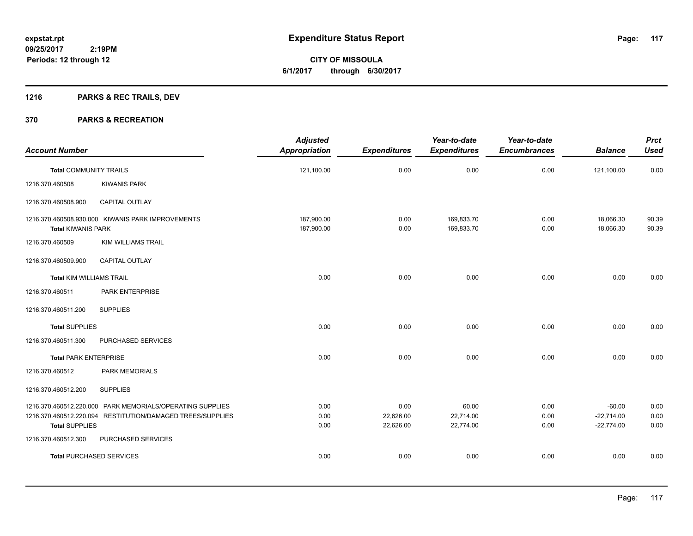## **1216 PARKS & REC TRAILS, DEV**

|                                 |                                                                                                                         | <b>Adjusted</b>          |                     | Year-to-date             | Year-to-date        |                          | <b>Prct</b>    |
|---------------------------------|-------------------------------------------------------------------------------------------------------------------------|--------------------------|---------------------|--------------------------|---------------------|--------------------------|----------------|
| <b>Account Number</b>           |                                                                                                                         | <b>Appropriation</b>     | <b>Expenditures</b> | <b>Expenditures</b>      | <b>Encumbrances</b> | <b>Balance</b>           | <b>Used</b>    |
| <b>Total COMMUNITY TRAILS</b>   |                                                                                                                         | 121,100.00               | 0.00                | 0.00                     | 0.00                | 121,100.00               | 0.00           |
| 1216.370.460508                 | <b>KIWANIS PARK</b>                                                                                                     |                          |                     |                          |                     |                          |                |
| 1216.370.460508.900             | CAPITAL OUTLAY                                                                                                          |                          |                     |                          |                     |                          |                |
| <b>Total KIWANIS PARK</b>       | 1216.370.460508.930.000 KIWANIS PARK IMPROVEMENTS                                                                       | 187,900.00<br>187,900.00 | 0.00<br>0.00        | 169,833.70<br>169,833.70 | 0.00<br>0.00        | 18,066.30<br>18,066.30   | 90.39<br>90.39 |
| 1216.370.460509                 | <b>KIM WILLIAMS TRAIL</b>                                                                                               |                          |                     |                          |                     |                          |                |
| 1216.370.460509.900             | <b>CAPITAL OUTLAY</b>                                                                                                   |                          |                     |                          |                     |                          |                |
| <b>Total KIM WILLIAMS TRAIL</b> |                                                                                                                         | 0.00                     | 0.00                | 0.00                     | 0.00                | 0.00                     | 0.00           |
| 1216.370.460511                 | PARK ENTERPRISE                                                                                                         |                          |                     |                          |                     |                          |                |
| 1216.370.460511.200             | <b>SUPPLIES</b>                                                                                                         |                          |                     |                          |                     |                          |                |
| <b>Total SUPPLIES</b>           |                                                                                                                         | 0.00                     | 0.00                | 0.00                     | 0.00                | 0.00                     | 0.00           |
| 1216.370.460511.300             | PURCHASED SERVICES                                                                                                      |                          |                     |                          |                     |                          |                |
| <b>Total PARK ENTERPRISE</b>    |                                                                                                                         | 0.00                     | 0.00                | 0.00                     | 0.00                | 0.00                     | 0.00           |
| 1216.370.460512                 | <b>PARK MEMORIALS</b>                                                                                                   |                          |                     |                          |                     |                          |                |
| 1216.370.460512.200             | <b>SUPPLIES</b>                                                                                                         |                          |                     |                          |                     |                          |                |
|                                 | 1216.370.460512.220.000 PARK MEMORIALS/OPERATING SUPPLIES<br>1216.370.460512.220.094 RESTITUTION/DAMAGED TREES/SUPPLIES | 0.00<br>0.00             | 0.00<br>22,626.00   | 60.00<br>22,714.00       | 0.00<br>0.00        | $-60.00$<br>$-22,714.00$ | 0.00<br>0.00   |
| <b>Total SUPPLIES</b>           |                                                                                                                         | 0.00                     | 22,626.00           | 22,774.00                | 0.00                | $-22,774.00$             | 0.00           |
| 1216.370.460512.300             | PURCHASED SERVICES                                                                                                      |                          |                     |                          |                     |                          |                |
|                                 | <b>Total PURCHASED SERVICES</b>                                                                                         | 0.00                     | 0.00                | 0.00                     | 0.00                | 0.00                     | 0.00           |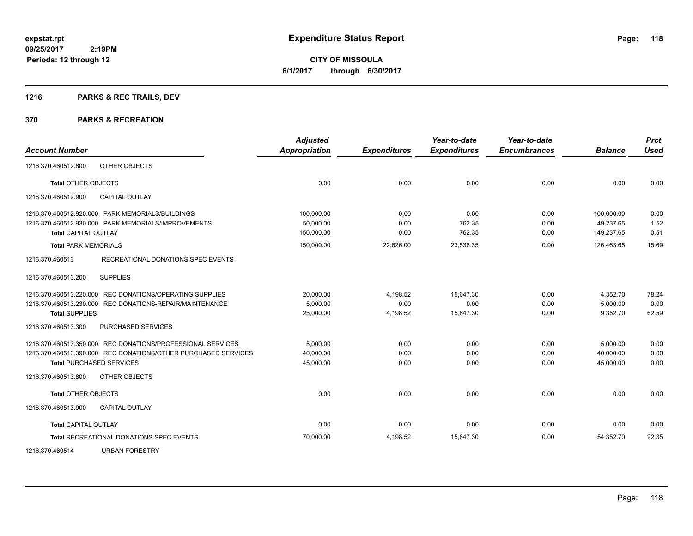Page: 118

**09/25/2017 2:19PM Periods: 12 through 12**

**CITY OF MISSOULA 6/1/2017 through 6/30/2017**

## **1216 PARKS & REC TRAILS, DEV**

|                             |                                                                | <b>Adjusted</b>      |                     | Year-to-date        | Year-to-date        |                | <b>Prct</b> |
|-----------------------------|----------------------------------------------------------------|----------------------|---------------------|---------------------|---------------------|----------------|-------------|
| <b>Account Number</b>       |                                                                | <b>Appropriation</b> | <b>Expenditures</b> | <b>Expenditures</b> | <b>Encumbrances</b> | <b>Balance</b> | <b>Used</b> |
| 1216.370.460512.800         | OTHER OBJECTS                                                  |                      |                     |                     |                     |                |             |
| <b>Total OTHER OBJECTS</b>  |                                                                | 0.00                 | 0.00                | 0.00                | 0.00                | 0.00           | 0.00        |
| 1216.370.460512.900         | CAPITAL OUTLAY                                                 |                      |                     |                     |                     |                |             |
|                             | 1216.370.460512.920.000 PARK MEMORIALS/BUILDINGS               | 100,000.00           | 0.00                | 0.00                | 0.00                | 100,000.00     | 0.00        |
|                             | 1216.370.460512.930.000 PARK MEMORIALS/IMPROVEMENTS            | 50.000.00            | 0.00                | 762.35              | 0.00                | 49.237.65      | 1.52        |
| <b>Total CAPITAL OUTLAY</b> |                                                                | 150,000.00           | 0.00                | 762.35              | 0.00                | 149,237.65     | 0.51        |
| <b>Total PARK MEMORIALS</b> |                                                                | 150,000.00           | 22,626.00           | 23,536.35           | 0.00                | 126.463.65     | 15.69       |
| 1216.370.460513             | RECREATIONAL DONATIONS SPEC EVENTS                             |                      |                     |                     |                     |                |             |
| 1216.370.460513.200         | <b>SUPPLIES</b>                                                |                      |                     |                     |                     |                |             |
|                             | 1216.370.460513.220.000 REC DONATIONS/OPERATING SUPPLIES       | 20,000.00            | 4,198.52            | 15,647.30           | 0.00                | 4,352.70       | 78.24       |
|                             | 1216.370.460513.230.000 REC DONATIONS-REPAIR/MAINTENANCE       | 5,000.00             | 0.00                | 0.00                | 0.00                | 5,000.00       | 0.00        |
| <b>Total SUPPLIES</b>       |                                                                | 25,000.00            | 4,198.52            | 15,647.30           | 0.00                | 9,352.70       | 62.59       |
| 1216.370.460513.300         | PURCHASED SERVICES                                             |                      |                     |                     |                     |                |             |
|                             | 1216.370.460513.350.000 REC DONATIONS/PROFESSIONAL SERVICES    | 5,000.00             | 0.00                | 0.00                | 0.00                | 5,000.00       | 0.00        |
|                             | 1216.370.460513.390.000 REC DONATIONS/OTHER PURCHASED SERVICES | 40,000.00            | 0.00                | 0.00                | 0.00                | 40,000.00      | 0.00        |
|                             | <b>Total PURCHASED SERVICES</b>                                | 45,000.00            | 0.00                | 0.00                | 0.00                | 45,000.00      | 0.00        |
| 1216.370.460513.800         | OTHER OBJECTS                                                  |                      |                     |                     |                     |                |             |
| <b>Total OTHER OBJECTS</b>  |                                                                | 0.00                 | 0.00                | 0.00                | 0.00                | 0.00           | 0.00        |
| 1216.370.460513.900         | <b>CAPITAL OUTLAY</b>                                          |                      |                     |                     |                     |                |             |
| <b>Total CAPITAL OUTLAY</b> |                                                                | 0.00                 | 0.00                | 0.00                | 0.00                | 0.00           | 0.00        |
|                             | <b>Total RECREATIONAL DONATIONS SPEC EVENTS</b>                | 70,000.00            | 4,198.52            | 15,647.30           | 0.00                | 54,352.70      | 22.35       |
| 1216.370.460514             | <b>URBAN FORESTRY</b>                                          |                      |                     |                     |                     |                |             |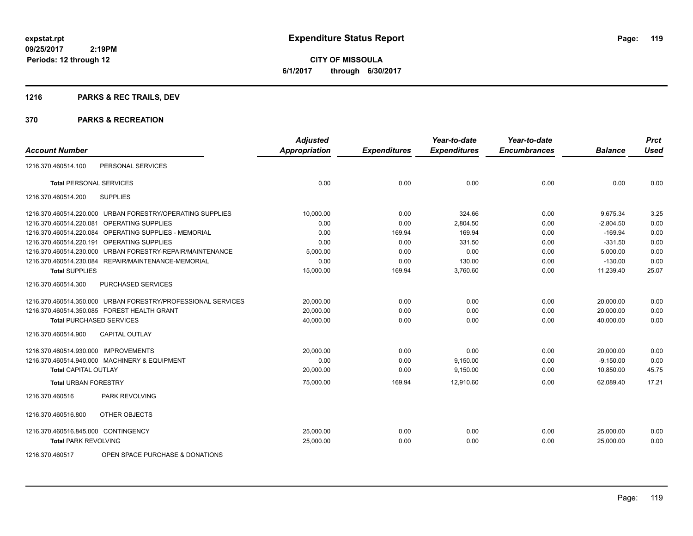## **1216 PARKS & REC TRAILS, DEV**

|                                      |                                                              | <b>Adjusted</b>      |                     | Year-to-date        | Year-to-date        |                | <b>Prct</b> |
|--------------------------------------|--------------------------------------------------------------|----------------------|---------------------|---------------------|---------------------|----------------|-------------|
| <b>Account Number</b>                |                                                              | <b>Appropriation</b> | <b>Expenditures</b> | <b>Expenditures</b> | <b>Encumbrances</b> | <b>Balance</b> | <b>Used</b> |
| 1216.370.460514.100                  | PERSONAL SERVICES                                            |                      |                     |                     |                     |                |             |
| <b>Total PERSONAL SERVICES</b>       |                                                              | 0.00                 | 0.00                | 0.00                | 0.00                | 0.00           | 0.00        |
| 1216.370.460514.200                  | <b>SUPPLIES</b>                                              |                      |                     |                     |                     |                |             |
|                                      | 1216.370.460514.220.000 URBAN FORESTRY/OPERATING SUPPLIES    | 10,000.00            | 0.00                | 324.66              | 0.00                | 9,675.34       | 3.25        |
|                                      | 1216.370.460514.220.081 OPERATING SUPPLIES                   | 0.00                 | 0.00                | 2,804.50            | 0.00                | $-2,804.50$    | 0.00        |
| 1216.370.460514.220.084              | <b>OPERATING SUPPLIES - MEMORIAL</b>                         | 0.00                 | 169.94              | 169.94              | 0.00                | $-169.94$      | 0.00        |
| 1216.370.460514.220.191              | OPERATING SUPPLIES                                           | 0.00                 | 0.00                | 331.50              | 0.00                | $-331.50$      | 0.00        |
| 1216.370.460514.230.000              | URBAN FORESTRY-REPAIR/MAINTENANCE                            | 5,000.00             | 0.00                | 0.00                | 0.00                | 5,000.00       | 0.00        |
|                                      | 1216.370.460514.230.084 REPAIR/MAINTENANCE-MEMORIAL          | 0.00                 | 0.00                | 130.00              | 0.00                | $-130.00$      | 0.00        |
| <b>Total SUPPLIES</b>                |                                                              | 15,000.00            | 169.94              | 3,760.60            | 0.00                | 11,239.40      | 25.07       |
| 1216.370.460514.300                  | PURCHASED SERVICES                                           |                      |                     |                     |                     |                |             |
|                                      | 1216.370.460514.350.000 URBAN FORESTRY/PROFESSIONAL SERVICES | 20,000.00            | 0.00                | 0.00                | 0.00                | 20,000.00      | 0.00        |
|                                      | 1216.370.460514.350.085 FOREST HEALTH GRANT                  | 20,000.00            | 0.00                | 0.00                | 0.00                | 20.000.00      | 0.00        |
| <b>Total PURCHASED SERVICES</b>      |                                                              | 40,000.00            | 0.00                | 0.00                | 0.00                | 40,000.00      | 0.00        |
| 1216.370.460514.900                  | <b>CAPITAL OUTLAY</b>                                        |                      |                     |                     |                     |                |             |
| 1216.370.460514.930.000 IMPROVEMENTS |                                                              | 20,000.00            | 0.00                | 0.00                | 0.00                | 20,000.00      | 0.00        |
|                                      | 1216.370.460514.940.000 MACHINERY & EQUIPMENT                | 0.00                 | 0.00                | 9,150.00            | 0.00                | $-9,150.00$    | 0.00        |
| <b>Total CAPITAL OUTLAY</b>          |                                                              | 20,000.00            | 0.00                | 9,150.00            | 0.00                | 10,850.00      | 45.75       |
| <b>Total URBAN FORESTRY</b>          |                                                              | 75,000.00            | 169.94              | 12,910.60           | 0.00                | 62,089.40      | 17.21       |
| 1216.370.460516                      | <b>PARK REVOLVING</b>                                        |                      |                     |                     |                     |                |             |
| 1216.370.460516.800                  | OTHER OBJECTS                                                |                      |                     |                     |                     |                |             |
| 1216.370.460516.845.000 CONTINGENCY  |                                                              | 25,000.00            | 0.00                | 0.00                | 0.00                | 25,000.00      | 0.00        |
| <b>Total PARK REVOLVING</b>          |                                                              | 25,000.00            | 0.00                | 0.00                | 0.00                | 25,000.00      | 0.00        |
| 1216.370.460517                      | OPEN SPACE PURCHASE & DONATIONS                              |                      |                     |                     |                     |                |             |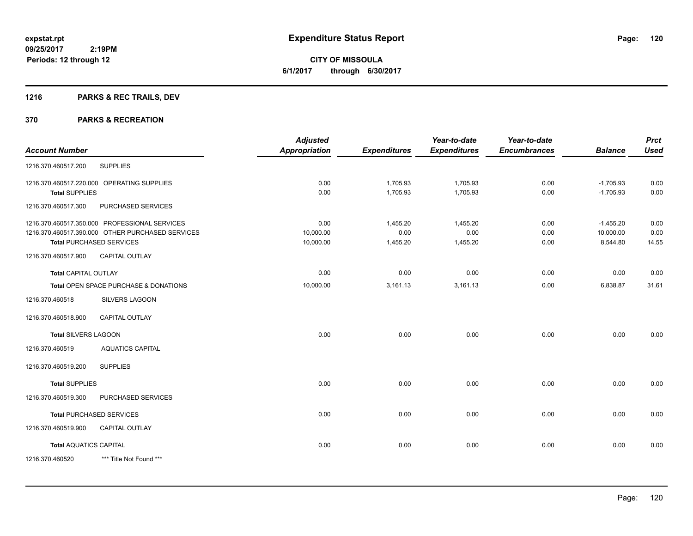## **1216 PARKS & REC TRAILS, DEV**

|                               |                                                  | <b>Adjusted</b> |                     | Year-to-date        | Year-to-date        |                | <b>Prct</b> |
|-------------------------------|--------------------------------------------------|-----------------|---------------------|---------------------|---------------------|----------------|-------------|
| <b>Account Number</b>         |                                                  | Appropriation   | <b>Expenditures</b> | <b>Expenditures</b> | <b>Encumbrances</b> | <b>Balance</b> | <b>Used</b> |
| 1216.370.460517.200           | <b>SUPPLIES</b>                                  |                 |                     |                     |                     |                |             |
|                               | 1216.370.460517.220.000 OPERATING SUPPLIES       | 0.00            | 1,705.93            | 1,705.93            | 0.00                | $-1,705.93$    | 0.00        |
| <b>Total SUPPLIES</b>         |                                                  | 0.00            | 1,705.93            | 1,705.93            | 0.00                | $-1,705.93$    | 0.00        |
| 1216.370.460517.300           | PURCHASED SERVICES                               |                 |                     |                     |                     |                |             |
|                               | 1216.370.460517.350.000 PROFESSIONAL SERVICES    | 0.00            | 1,455.20            | 1,455.20            | 0.00                | $-1,455.20$    | 0.00        |
|                               | 1216.370.460517.390.000 OTHER PURCHASED SERVICES | 10,000.00       | 0.00                | 0.00                | 0.00                | 10,000.00      | 0.00        |
|                               | <b>Total PURCHASED SERVICES</b>                  | 10,000.00       | 1,455.20            | 1,455.20            | 0.00                | 8,544.80       | 14.55       |
| 1216.370.460517.900           | CAPITAL OUTLAY                                   |                 |                     |                     |                     |                |             |
| <b>Total CAPITAL OUTLAY</b>   |                                                  | 0.00            | 0.00                | 0.00                | 0.00                | 0.00           | 0.00        |
|                               | Total OPEN SPACE PURCHASE & DONATIONS            | 10,000.00       | 3,161.13            | 3,161.13            | 0.00                | 6,838.87       | 31.61       |
| 1216.370.460518               | <b>SILVERS LAGOON</b>                            |                 |                     |                     |                     |                |             |
| 1216.370.460518.900           | <b>CAPITAL OUTLAY</b>                            |                 |                     |                     |                     |                |             |
| <b>Total SILVERS LAGOON</b>   |                                                  | 0.00            | 0.00                | 0.00                | 0.00                | 0.00           | 0.00        |
| 1216.370.460519               | <b>AQUATICS CAPITAL</b>                          |                 |                     |                     |                     |                |             |
| 1216.370.460519.200           | <b>SUPPLIES</b>                                  |                 |                     |                     |                     |                |             |
| <b>Total SUPPLIES</b>         |                                                  | 0.00            | 0.00                | 0.00                | 0.00                | 0.00           | 0.00        |
| 1216.370.460519.300           | PURCHASED SERVICES                               |                 |                     |                     |                     |                |             |
|                               | <b>Total PURCHASED SERVICES</b>                  | 0.00            | 0.00                | 0.00                | 0.00                | 0.00           | 0.00        |
| 1216.370.460519.900           | <b>CAPITAL OUTLAY</b>                            |                 |                     |                     |                     |                |             |
| <b>Total AQUATICS CAPITAL</b> |                                                  | 0.00            | 0.00                | 0.00                | 0.00                | 0.00           | 0.00        |
| 1216.370.460520               | *** Title Not Found ***                          |                 |                     |                     |                     |                |             |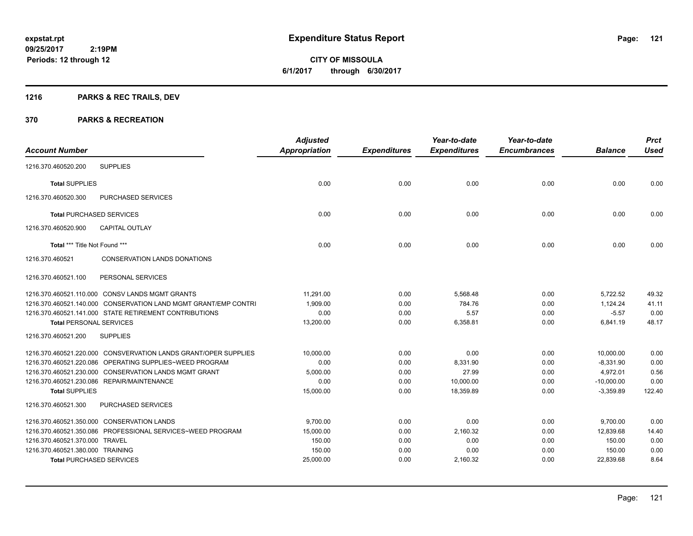**Periods: 12 through 12**

**CITY OF MISSOULA 6/1/2017 through 6/30/2017**

## **1216 PARKS & REC TRAILS, DEV**

 **2:19PM**

|                                  |                                                                 | <b>Adjusted</b> |                     | Year-to-date        | Year-to-date        |                | <b>Prct</b> |
|----------------------------------|-----------------------------------------------------------------|-----------------|---------------------|---------------------|---------------------|----------------|-------------|
| <b>Account Number</b>            |                                                                 | Appropriation   | <b>Expenditures</b> | <b>Expenditures</b> | <b>Encumbrances</b> | <b>Balance</b> | <b>Used</b> |
| 1216.370.460520.200              | <b>SUPPLIES</b>                                                 |                 |                     |                     |                     |                |             |
| <b>Total SUPPLIES</b>            |                                                                 | 0.00            | 0.00                | 0.00                | 0.00                | 0.00           | 0.00        |
| 1216.370.460520.300              | PURCHASED SERVICES                                              |                 |                     |                     |                     |                |             |
| <b>Total PURCHASED SERVICES</b>  |                                                                 | 0.00            | 0.00                | 0.00                | 0.00                | 0.00           | 0.00        |
| 1216.370.460520.900              | <b>CAPITAL OUTLAY</b>                                           |                 |                     |                     |                     |                |             |
| Total *** Title Not Found ***    |                                                                 | 0.00            | 0.00                | 0.00                | 0.00                | 0.00           | 0.00        |
| 1216.370.460521                  | <b>CONSERVATION LANDS DONATIONS</b>                             |                 |                     |                     |                     |                |             |
| 1216.370.460521.100              | PERSONAL SERVICES                                               |                 |                     |                     |                     |                |             |
|                                  | 1216.370.460521.110.000 CONSV LANDS MGMT GRANTS                 | 11.291.00       | 0.00                | 5.568.48            | 0.00                | 5.722.52       | 49.32       |
|                                  | 1216.370.460521.140.000 CONSERVATION LAND MGMT GRANT/EMP CONTRI | 1,909.00        | 0.00                | 784.76              | 0.00                | 1,124.24       | 41.11       |
|                                  | 1216.370.460521.141.000 STATE RETIREMENT CONTRIBUTIONS          | 0.00            | 0.00                | 5.57                | 0.00                | $-5.57$        | 0.00        |
| <b>Total PERSONAL SERVICES</b>   |                                                                 | 13,200.00       | 0.00                | 6,358.81            | 0.00                | 6,841.19       | 48.17       |
| 1216.370.460521.200              | <b>SUPPLIES</b>                                                 |                 |                     |                     |                     |                |             |
|                                  | 1216.370.460521.220.000 CONSVERVATION LANDS GRANT/OPER SUPPLIES | 10,000.00       | 0.00                | 0.00                | 0.00                | 10,000.00      | 0.00        |
|                                  | 1216.370.460521.220.086 OPERATING SUPPLIES~WEED PROGRAM         | 0.00            | 0.00                | 8,331.90            | 0.00                | $-8,331.90$    | 0.00        |
|                                  | 1216.370.460521.230.000 CONSERVATION LANDS MGMT GRANT           | 5.000.00        | 0.00                | 27.99               | 0.00                | 4.972.01       | 0.56        |
|                                  | 1216.370.460521.230.086 REPAIR/MAINTENANCE                      | 0.00            | 0.00                | 10,000.00           | 0.00                | $-10,000.00$   | 0.00        |
| <b>Total SUPPLIES</b>            |                                                                 | 15,000.00       | 0.00                | 18.359.89           | 0.00                | $-3.359.89$    | 122.40      |
| 1216.370.460521.300              | <b>PURCHASED SERVICES</b>                                       |                 |                     |                     |                     |                |             |
|                                  | 1216.370.460521.350.000 CONSERVATION LANDS                      | 9.700.00        | 0.00                | 0.00                | 0.00                | 9,700.00       | 0.00        |
|                                  | 1216.370.460521.350.086 PROFESSIONAL SERVICES~WEED PROGRAM      | 15,000.00       | 0.00                | 2,160.32            | 0.00                | 12,839.68      | 14.40       |
| 1216.370.460521.370.000 TRAVEL   |                                                                 | 150.00          | 0.00                | 0.00                | 0.00                | 150.00         | 0.00        |
| 1216.370.460521.380.000 TRAINING |                                                                 | 150.00          | 0.00                | 0.00                | 0.00                | 150.00         | 0.00        |
|                                  | <b>Total PURCHASED SERVICES</b>                                 | 25,000.00       | 0.00                | 2,160.32            | 0.00                | 22,839.68      | 8.64        |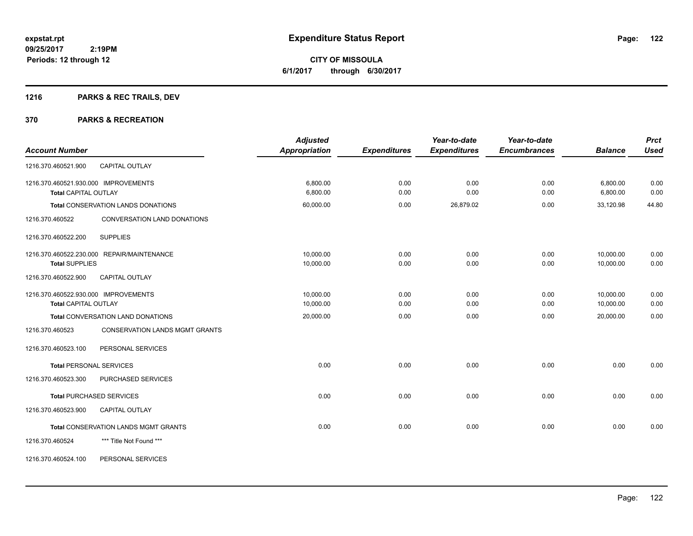## **1216 PARKS & REC TRAILS, DEV**

|                                                          | <b>Adjusted</b>      |                     | Year-to-date        | Year-to-date        |                | <b>Prct</b> |
|----------------------------------------------------------|----------------------|---------------------|---------------------|---------------------|----------------|-------------|
| <b>Account Number</b>                                    | <b>Appropriation</b> | <b>Expenditures</b> | <b>Expenditures</b> | <b>Encumbrances</b> | <b>Balance</b> | <b>Used</b> |
| CAPITAL OUTLAY<br>1216.370.460521.900                    |                      |                     |                     |                     |                |             |
| 1216.370.460521.930.000 IMPROVEMENTS                     | 6,800.00             | 0.00                | 0.00                | 0.00                | 6,800.00       | 0.00        |
| <b>Total CAPITAL OUTLAY</b>                              | 6,800.00             | 0.00                | 0.00                | 0.00                | 6,800.00       | 0.00        |
| Total CONSERVATION LANDS DONATIONS                       | 60,000.00            | 0.00                | 26,879.02           | 0.00                | 33,120.98      | 44.80       |
| 1216.370.460522<br>CONVERSATION LAND DONATIONS           |                      |                     |                     |                     |                |             |
| <b>SUPPLIES</b><br>1216.370.460522.200                   |                      |                     |                     |                     |                |             |
| 1216.370.460522.230.000 REPAIR/MAINTENANCE               | 10,000.00            | 0.00                | 0.00                | 0.00                | 10,000.00      | 0.00        |
| <b>Total SUPPLIES</b>                                    | 10,000.00            | 0.00                | 0.00                | 0.00                | 10.000.00      | 0.00        |
| 1216.370.460522.900<br><b>CAPITAL OUTLAY</b>             |                      |                     |                     |                     |                |             |
| 1216.370.460522.930.000 IMPROVEMENTS                     | 10,000.00            | 0.00                | 0.00                | 0.00                | 10,000.00      | 0.00        |
| <b>Total CAPITAL OUTLAY</b>                              | 10,000.00            | 0.00                | 0.00                | 0.00                | 10,000.00      | 0.00        |
| Total CONVERSATION LAND DONATIONS                        | 20,000.00            | 0.00                | 0.00                | 0.00                | 20,000.00      | 0.00        |
| <b>CONSERVATION LANDS MGMT GRANTS</b><br>1216.370.460523 |                      |                     |                     |                     |                |             |
| 1216.370.460523.100<br>PERSONAL SERVICES                 |                      |                     |                     |                     |                |             |
| <b>Total PERSONAL SERVICES</b>                           | 0.00                 | 0.00                | 0.00                | 0.00                | 0.00           | 0.00        |
| 1216.370.460523.300<br><b>PURCHASED SERVICES</b>         |                      |                     |                     |                     |                |             |
| <b>Total PURCHASED SERVICES</b>                          | 0.00                 | 0.00                | 0.00                | 0.00                | 0.00           | 0.00        |
| 1216.370.460523.900<br><b>CAPITAL OUTLAY</b>             |                      |                     |                     |                     |                |             |
| <b>Total CONSERVATION LANDS MGMT GRANTS</b>              | 0.00                 | 0.00                | 0.00                | 0.00                | 0.00           | 0.00        |
| 1216.370.460524<br>*** Title Not Found ***               |                      |                     |                     |                     |                |             |
| PERSONAL SERVICES<br>1216.370.460524.100                 |                      |                     |                     |                     |                |             |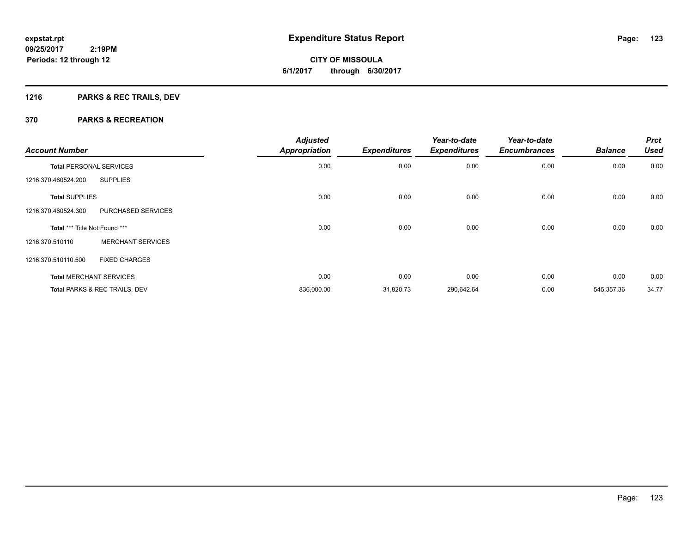**123**

**09/25/2017 2:19PM Periods: 12 through 12**

# **CITY OF MISSOULA 6/1/2017 through 6/30/2017**

## **1216 PARKS & REC TRAILS, DEV**

| <b>Account Number</b>          |                                          | <b>Adjusted</b><br><b>Appropriation</b> | <b>Expenditures</b> | Year-to-date<br><b>Expenditures</b> | Year-to-date<br><b>Encumbrances</b> | <b>Balance</b> | <b>Prct</b><br><b>Used</b> |
|--------------------------------|------------------------------------------|-----------------------------------------|---------------------|-------------------------------------|-------------------------------------|----------------|----------------------------|
| <b>Total PERSONAL SERVICES</b> |                                          | 0.00                                    | 0.00                | 0.00                                | 0.00                                | 0.00           | 0.00                       |
| 1216.370.460524.200            | <b>SUPPLIES</b>                          |                                         |                     |                                     |                                     |                |                            |
| <b>Total SUPPLIES</b>          |                                          | 0.00                                    | 0.00                | 0.00                                | 0.00                                | 0.00           | 0.00                       |
| 1216.370.460524.300            | PURCHASED SERVICES                       |                                         |                     |                                     |                                     |                |                            |
| Total *** Title Not Found ***  |                                          | 0.00                                    | 0.00                | 0.00                                | 0.00                                | 0.00           | 0.00                       |
| 1216.370.510110                | <b>MERCHANT SERVICES</b>                 |                                         |                     |                                     |                                     |                |                            |
| 1216.370.510110.500            | <b>FIXED CHARGES</b>                     |                                         |                     |                                     |                                     |                |                            |
|                                | <b>Total MERCHANT SERVICES</b>           | 0.00                                    | 0.00                | 0.00                                | 0.00                                | 0.00           | 0.00                       |
|                                | <b>Total PARKS &amp; REC TRAILS, DEV</b> | 836,000.00                              | 31,820.73           | 290,642.64                          | 0.00                                | 545,357.36     | 34.77                      |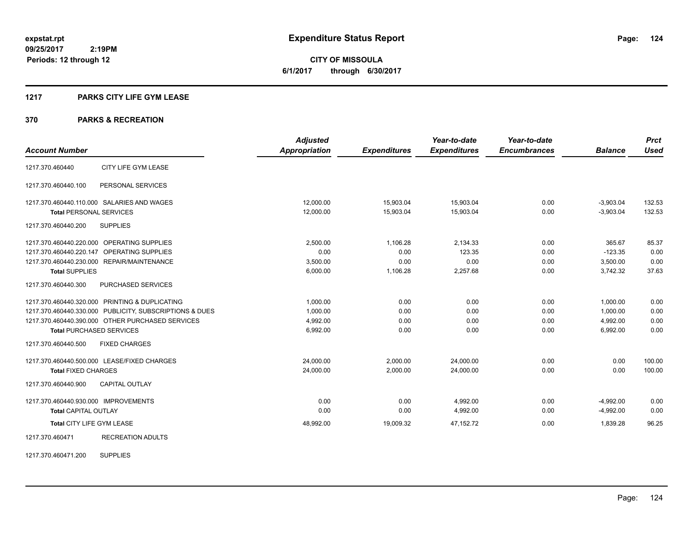**124**

**09/25/2017 2:19PM Periods: 12 through 12**

**CITY OF MISSOULA 6/1/2017 through 6/30/2017**

#### **1217 PARKS CITY LIFE GYM LEASE**

#### **370 PARKS & RECREATION**

|                                      |                                                         | <b>Adjusted</b>      |                     | Year-to-date        | Year-to-date        |                | <b>Prct</b> |
|--------------------------------------|---------------------------------------------------------|----------------------|---------------------|---------------------|---------------------|----------------|-------------|
| <b>Account Number</b>                |                                                         | <b>Appropriation</b> | <b>Expenditures</b> | <b>Expenditures</b> | <b>Encumbrances</b> | <b>Balance</b> | <b>Used</b> |
| 1217.370.460440                      | CITY LIFE GYM LEASE                                     |                      |                     |                     |                     |                |             |
| 1217.370.460440.100                  | PERSONAL SERVICES                                       |                      |                     |                     |                     |                |             |
|                                      | 1217.370.460440.110.000 SALARIES AND WAGES              | 12,000.00            | 15,903.04           | 15,903.04           | 0.00                | $-3,903.04$    | 132.53      |
| <b>Total PERSONAL SERVICES</b>       |                                                         | 12,000.00            | 15,903.04           | 15,903.04           | 0.00                | $-3,903.04$    | 132.53      |
| 1217.370.460440.200                  | <b>SUPPLIES</b>                                         |                      |                     |                     |                     |                |             |
|                                      | 1217.370.460440.220.000 OPERATING SUPPLIES              | 2,500.00             | 1,106.28            | 2,134.33            | 0.00                | 365.67         | 85.37       |
| 1217.370.460440.220.147              | OPERATING SUPPLIES                                      | 0.00                 | 0.00                | 123.35              | 0.00                | $-123.35$      | 0.00        |
|                                      | 1217.370.460440.230.000 REPAIR/MAINTENANCE              | 3,500.00             | 0.00                | 0.00                | 0.00                | 3,500.00       | 0.00        |
| <b>Total SUPPLIES</b>                |                                                         | 6,000.00             | 1,106.28            | 2,257.68            | 0.00                | 3,742.32       | 37.63       |
| 1217.370.460440.300                  | PURCHASED SERVICES                                      |                      |                     |                     |                     |                |             |
|                                      | 1217.370.460440.320.000 PRINTING & DUPLICATING          | 1,000.00             | 0.00                | 0.00                | 0.00                | 1,000.00       | 0.00        |
|                                      | 1217.370.460440.330.000 PUBLICITY, SUBSCRIPTIONS & DUES | 1,000.00             | 0.00                | 0.00                | 0.00                | 1,000.00       | 0.00        |
|                                      | 1217.370.460440.390.000 OTHER PURCHASED SERVICES        | 4,992.00             | 0.00                | 0.00                | 0.00                | 4,992.00       | 0.00        |
| <b>Total PURCHASED SERVICES</b>      |                                                         | 6,992.00             | 0.00                | 0.00                | 0.00                | 6,992.00       | 0.00        |
| 1217.370.460440.500                  | <b>FIXED CHARGES</b>                                    |                      |                     |                     |                     |                |             |
|                                      | 1217.370.460440.500.000 LEASE/FIXED CHARGES             | 24,000.00            | 2,000.00            | 24,000.00           | 0.00                | 0.00           | 100.00      |
| <b>Total FIXED CHARGES</b>           |                                                         | 24,000.00            | 2,000.00            | 24.000.00           | 0.00                | 0.00           | 100.00      |
| 1217.370.460440.900                  | <b>CAPITAL OUTLAY</b>                                   |                      |                     |                     |                     |                |             |
| 1217.370.460440.930.000 IMPROVEMENTS |                                                         | 0.00                 | 0.00                | 4,992.00            | 0.00                | $-4,992.00$    | 0.00        |
| <b>Total CAPITAL OUTLAY</b>          |                                                         | 0.00                 | 0.00                | 4,992.00            | 0.00                | $-4,992.00$    | 0.00        |
| Total CITY LIFE GYM LEASE            |                                                         | 48,992.00            | 19,009.32           | 47, 152. 72         | 0.00                | 1,839.28       | 96.25       |
| 1217.370.460471                      | <b>RECREATION ADULTS</b>                                |                      |                     |                     |                     |                |             |

1217.370.460471.200 SUPPLIES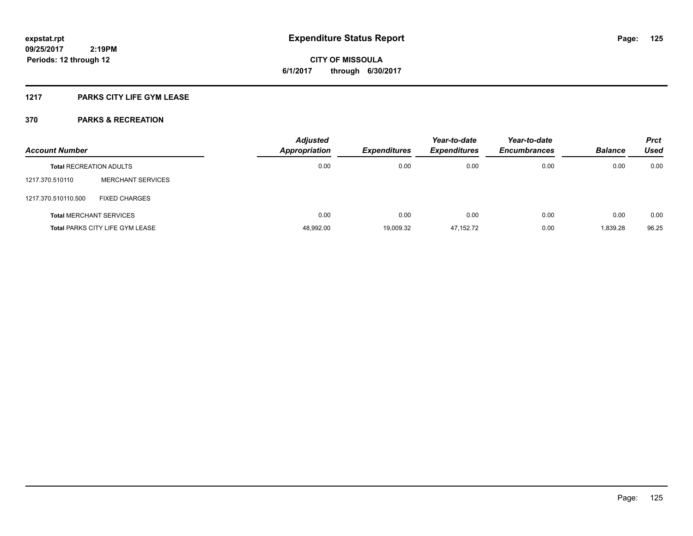**CITY OF MISSOULA 6/1/2017 through 6/30/2017**

### **1217 PARKS CITY LIFE GYM LEASE**

| <b>Account Number</b>          |                                        | <b>Adjusted</b><br><b>Appropriation</b> | <b>Expenditures</b> | Year-to-date<br><b>Expenditures</b> | Year-to-date<br><b>Encumbrances</b> | <b>Balance</b> | <b>Prct</b><br><b>Used</b> |
|--------------------------------|----------------------------------------|-----------------------------------------|---------------------|-------------------------------------|-------------------------------------|----------------|----------------------------|
| <b>Total RECREATION ADULTS</b> |                                        | 0.00                                    | 0.00                | 0.00                                | 0.00                                | 0.00           | 0.00                       |
| 1217.370.510110                | <b>MERCHANT SERVICES</b>               |                                         |                     |                                     |                                     |                |                            |
| 1217.370.510110.500            | <b>FIXED CHARGES</b>                   |                                         |                     |                                     |                                     |                |                            |
|                                | <b>Total MERCHANT SERVICES</b>         | 0.00                                    | 0.00                | 0.00                                | 0.00                                | 0.00           | 0.00                       |
|                                | <b>Total PARKS CITY LIFE GYM LEASE</b> | 48,992.00                               | 19,009.32           | 47,152.72                           | 0.00                                | 1,839.28       | 96.25                      |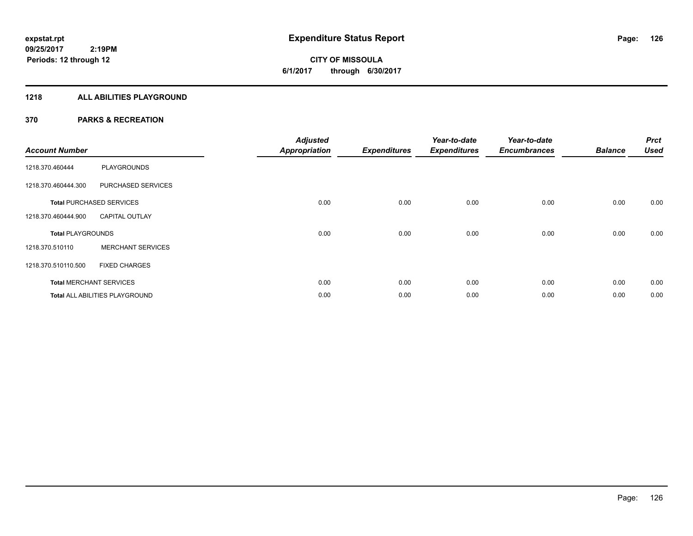**CITY OF MISSOULA 6/1/2017 through 6/30/2017**

#### **1218 ALL ABILITIES PLAYGROUND**

| <b>Account Number</b>    |                                 | <b>Adjusted</b><br><b>Appropriation</b> | <b>Expenditures</b> | Year-to-date<br><b>Expenditures</b> | Year-to-date<br><b>Encumbrances</b> | <b>Balance</b> | <b>Prct</b><br><b>Used</b> |
|--------------------------|---------------------------------|-----------------------------------------|---------------------|-------------------------------------|-------------------------------------|----------------|----------------------------|
| 1218.370.460444          | <b>PLAYGROUNDS</b>              |                                         |                     |                                     |                                     |                |                            |
| 1218.370.460444.300      | PURCHASED SERVICES              |                                         |                     |                                     |                                     |                |                            |
|                          | <b>Total PURCHASED SERVICES</b> | 0.00                                    | 0.00                | 0.00                                | 0.00                                | 0.00           | 0.00                       |
| 1218.370.460444.900      | <b>CAPITAL OUTLAY</b>           |                                         |                     |                                     |                                     |                |                            |
| <b>Total PLAYGROUNDS</b> |                                 | 0.00                                    | 0.00                | 0.00                                | 0.00                                | 0.00           | 0.00                       |
| 1218.370.510110          | <b>MERCHANT SERVICES</b>        |                                         |                     |                                     |                                     |                |                            |
| 1218.370.510110.500      | <b>FIXED CHARGES</b>            |                                         |                     |                                     |                                     |                |                            |
|                          | <b>Total MERCHANT SERVICES</b>  | 0.00                                    | 0.00                | 0.00                                | 0.00                                | 0.00           | 0.00                       |
|                          | Total ALL ABILITIES PLAYGROUND  | 0.00                                    | 0.00                | 0.00                                | 0.00                                | 0.00           | 0.00                       |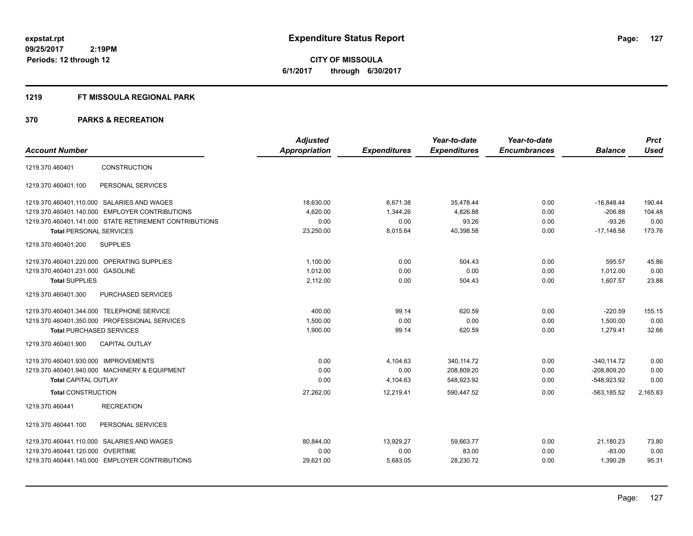#### **1219 FT MISSOULA REGIONAL PARK**

| <b>Account Number</b>                                  | <b>Adjusted</b>      |                     | Year-to-date        | Year-to-date<br><b>Encumbrances</b> | <b>Balance</b> | <b>Prct</b><br><b>Used</b> |
|--------------------------------------------------------|----------------------|---------------------|---------------------|-------------------------------------|----------------|----------------------------|
|                                                        | <b>Appropriation</b> | <b>Expenditures</b> | <b>Expenditures</b> |                                     |                |                            |
| <b>CONSTRUCTION</b><br>1219.370.460401                 |                      |                     |                     |                                     |                |                            |
| 1219.370.460401.100<br>PERSONAL SERVICES               |                      |                     |                     |                                     |                |                            |
| 1219.370.460401.110.000 SALARIES AND WAGES             | 18,630.00            | 6.671.38            | 35.478.44           | 0.00                                | $-16,848.44$   | 190.44                     |
| 1219.370.460401.140.000 EMPLOYER CONTRIBUTIONS         | 4,620.00             | 1,344.26            | 4,826.88            | 0.00                                | $-206.88$      | 104.48                     |
| 1219.370.460401.141.000 STATE RETIREMENT CONTRIBUTIONS | 0.00                 | 0.00                | 93.26               | 0.00                                | $-93.26$       | 0.00                       |
| <b>Total PERSONAL SERVICES</b>                         | 23,250.00            | 8,015.64            | 40,398.58           | 0.00                                | $-17.148.58$   | 173.76                     |
| 1219.370.460401.200<br><b>SUPPLIES</b>                 |                      |                     |                     |                                     |                |                            |
| OPERATING SUPPLIES<br>1219.370.460401.220.000          | 1.100.00             | 0.00                | 504.43              | 0.00                                | 595.57         | 45.86                      |
| 1219.370.460401.231.000<br><b>GASOLINE</b>             | 1,012.00             | 0.00                | 0.00                | 0.00                                | 1.012.00       | 0.00                       |
| <b>Total SUPPLIES</b>                                  | 2,112.00             | 0.00                | 504.43              | 0.00                                | 1,607.57       | 23.88                      |
| PURCHASED SERVICES<br>1219.370.460401.300              |                      |                     |                     |                                     |                |                            |
| 1219.370.460401.344.000 TELEPHONE SERVICE              | 400.00               | 99.14               | 620.59              | 0.00                                | $-220.59$      | 155.15                     |
| 1219.370.460401.350.000 PROFESSIONAL SERVICES          | 1,500.00             | 0.00                | 0.00                | 0.00                                | 1,500.00       | 0.00                       |
| <b>Total PURCHASED SERVICES</b>                        | 1,900.00             | 99.14               | 620.59              | 0.00                                | 1,279.41       | 32.66                      |
| <b>CAPITAL OUTLAY</b><br>1219.370.460401.900           |                      |                     |                     |                                     |                |                            |
| 1219.370.460401.930.000 IMPROVEMENTS                   | 0.00                 | 4,104.63            | 340,114.72          | 0.00                                | $-340.114.72$  | 0.00                       |
| 1219.370.460401.940.000 MACHINERY & EQUIPMENT          | 0.00                 | 0.00                | 208,809.20          | 0.00                                | $-208,809.20$  | 0.00                       |
| <b>Total CAPITAL OUTLAY</b>                            | 0.00                 | 4,104.63            | 548,923.92          | 0.00                                | $-548,923.92$  | 0.00                       |
| <b>Total CONSTRUCTION</b>                              | 27,262.00            | 12,219.41           | 590,447.52          | 0.00                                | $-563, 185.52$ | 2,165.83                   |
| <b>RECREATION</b><br>1219.370.460441                   |                      |                     |                     |                                     |                |                            |
| PERSONAL SERVICES<br>1219.370.460441.100               |                      |                     |                     |                                     |                |                            |
| 1219.370.460441.110.000 SALARIES AND WAGES             | 80.844.00            | 13.929.27           | 59.663.77           | 0.00                                | 21.180.23      | 73.80                      |
| <b>OVERTIME</b><br>1219.370.460441.120.000             | 0.00                 | 0.00                | 83.00               | 0.00                                | $-83.00$       | 0.00                       |
| 1219.370.460441.140.000 EMPLOYER CONTRIBUTIONS         | 29,621.00            | 5,683.05            | 28,230.72           | 0.00                                | 1,390.28       | 95.31                      |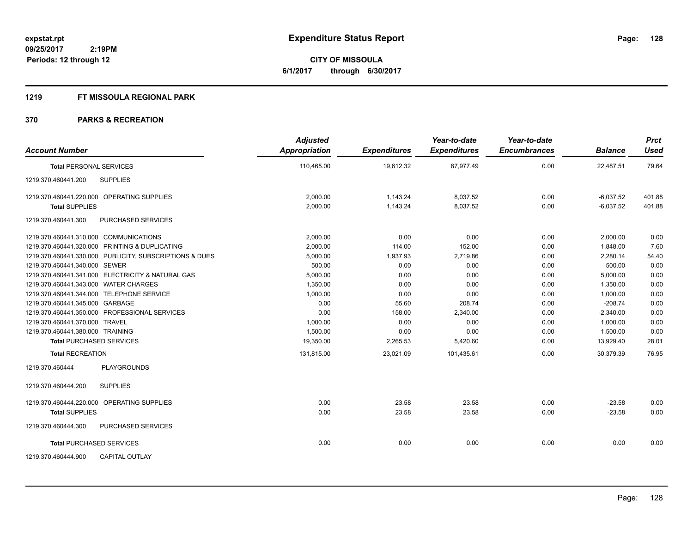#### **1219 FT MISSOULA REGIONAL PARK**

| <b>Account Number</b>                                   | <b>Adjusted</b><br>Appropriation | <b>Expenditures</b> | Year-to-date<br><b>Expenditures</b> | Year-to-date<br><b>Encumbrances</b> | <b>Balance</b> | <b>Prct</b><br><b>Used</b> |
|---------------------------------------------------------|----------------------------------|---------------------|-------------------------------------|-------------------------------------|----------------|----------------------------|
| <b>Total PERSONAL SERVICES</b>                          | 110,465.00                       | 19,612.32           | 87,977.49                           | 0.00                                | 22,487.51      | 79.64                      |
| 1219.370.460441.200<br><b>SUPPLIES</b>                  |                                  |                     |                                     |                                     |                |                            |
| 1219.370.460441.220.000 OPERATING SUPPLIES              | 2,000.00                         | 1,143.24            | 8,037.52                            | 0.00                                | $-6,037.52$    | 401.88                     |
| <b>Total SUPPLIES</b>                                   | 2,000.00                         | 1,143.24            | 8,037.52                            | 0.00                                | $-6,037.52$    | 401.88                     |
| 1219.370.460441.300<br>PURCHASED SERVICES               |                                  |                     |                                     |                                     |                |                            |
| 1219.370.460441.310.000 COMMUNICATIONS                  | 2,000.00                         | 0.00                | 0.00                                | 0.00                                | 2,000.00       | 0.00                       |
| 1219.370.460441.320.000 PRINTING & DUPLICATING          | 2.000.00                         | 114.00              | 152.00                              | 0.00                                | 1,848.00       | 7.60                       |
| 1219.370.460441.330.000 PUBLICITY, SUBSCRIPTIONS & DUES | 5,000.00                         | 1,937.93            | 2,719.86                            | 0.00                                | 2,280.14       | 54.40                      |
| 1219.370.460441.340.000 SEWER                           | 500.00                           | 0.00                | 0.00                                | 0.00                                | 500.00         | 0.00                       |
| 1219.370.460441.341.000 ELECTRICITY & NATURAL GAS       | 5,000.00                         | 0.00                | 0.00                                | 0.00                                | 5,000.00       | 0.00                       |
| 1219.370.460441.343.000 WATER CHARGES                   | 1,350.00                         | 0.00                | 0.00                                | 0.00                                | 1,350.00       | 0.00                       |
| 1219.370.460441.344.000 TELEPHONE SERVICE               | 1.000.00                         | 0.00                | 0.00                                | 0.00                                | 1.000.00       | 0.00                       |
| 1219.370.460441.345.000 GARBAGE                         | 0.00                             | 55.60               | 208.74                              | 0.00                                | $-208.74$      | 0.00                       |
| 1219.370.460441.350.000 PROFESSIONAL SERVICES           | 0.00                             | 158.00              | 2,340.00                            | 0.00                                | $-2,340.00$    | 0.00                       |
| 1219.370.460441.370.000 TRAVEL                          | 1,000.00                         | 0.00                | 0.00                                | 0.00                                | 1,000.00       | 0.00                       |
| 1219.370.460441.380.000 TRAINING                        | 1,500.00                         | 0.00                | 0.00                                | 0.00                                | 1,500.00       | 0.00                       |
| <b>Total PURCHASED SERVICES</b>                         | 19,350.00                        | 2,265.53            | 5,420.60                            | 0.00                                | 13,929.40      | 28.01                      |
| <b>Total RECREATION</b>                                 | 131,815.00                       | 23,021.09           | 101,435.61                          | 0.00                                | 30,379.39      | 76.95                      |
| <b>PLAYGROUNDS</b><br>1219.370.460444                   |                                  |                     |                                     |                                     |                |                            |
| <b>SUPPLIES</b><br>1219.370.460444.200                  |                                  |                     |                                     |                                     |                |                            |
| 1219.370.460444.220.000 OPERATING SUPPLIES              | 0.00                             | 23.58               | 23.58                               | 0.00                                | $-23.58$       | 0.00                       |
| <b>Total SUPPLIES</b>                                   | 0.00                             | 23.58               | 23.58                               | 0.00                                | $-23.58$       | 0.00                       |
| PURCHASED SERVICES<br>1219.370.460444.300               |                                  |                     |                                     |                                     |                |                            |
| <b>Total PURCHASED SERVICES</b>                         | 0.00                             | 0.00                | 0.00                                | 0.00                                | 0.00           | 0.00                       |
| <b>CAPITAL OUTLAY</b><br>1219.370.460444.900            |                                  |                     |                                     |                                     |                |                            |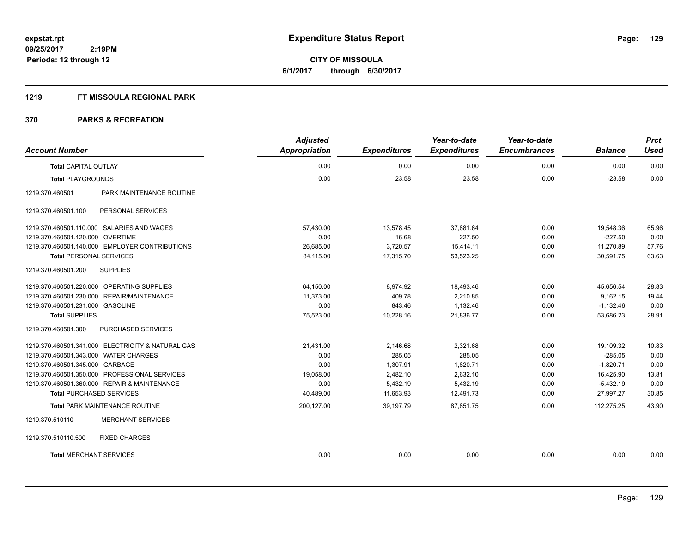#### **1219 FT MISSOULA REGIONAL PARK**

| <b>Account Number</b>                 |                                                   | <b>Adjusted</b><br><b>Appropriation</b> | <b>Expenditures</b> | Year-to-date<br><b>Expenditures</b> | Year-to-date<br><b>Encumbrances</b> | <b>Balance</b> | <b>Prct</b><br><b>Used</b> |
|---------------------------------------|---------------------------------------------------|-----------------------------------------|---------------------|-------------------------------------|-------------------------------------|----------------|----------------------------|
| <b>Total CAPITAL OUTLAY</b>           |                                                   | 0.00                                    | 0.00                | 0.00                                | 0.00                                | 0.00           | 0.00                       |
| <b>Total PLAYGROUNDS</b>              |                                                   | 0.00                                    | 23.58               | 23.58                               | 0.00                                | $-23.58$       | 0.00                       |
| 1219.370.460501                       | PARK MAINTENANCE ROUTINE                          |                                         |                     |                                     |                                     |                |                            |
| 1219.370.460501.100                   | PERSONAL SERVICES                                 |                                         |                     |                                     |                                     |                |                            |
|                                       | 1219.370.460501.110.000 SALARIES AND WAGES        | 57,430.00                               | 13,578.45           | 37,881.64                           | 0.00                                | 19,548.36      | 65.96                      |
| 1219.370.460501.120.000 OVERTIME      |                                                   | 0.00                                    | 16.68               | 227.50                              | 0.00                                | $-227.50$      | 0.00                       |
|                                       | 1219.370.460501.140.000 EMPLOYER CONTRIBUTIONS    | 26,685.00                               | 3,720.57            | 15,414.11                           | 0.00                                | 11,270.89      | 57.76                      |
| <b>Total PERSONAL SERVICES</b>        |                                                   | 84,115.00                               | 17,315.70           | 53,523.25                           | 0.00                                | 30,591.75      | 63.63                      |
| 1219.370.460501.200                   | <b>SUPPLIES</b>                                   |                                         |                     |                                     |                                     |                |                            |
|                                       | 1219.370.460501.220.000 OPERATING SUPPLIES        | 64,150.00                               | 8,974.92            | 18,493.46                           | 0.00                                | 45,656.54      | 28.83                      |
|                                       | 1219.370.460501.230.000 REPAIR/MAINTENANCE        | 11,373.00                               | 409.78              | 2,210.85                            | 0.00                                | 9.162.15       | 19.44                      |
| 1219.370.460501.231.000 GASOLINE      |                                                   | 0.00                                    | 843.46              | 1,132.46                            | 0.00                                | $-1,132.46$    | 0.00                       |
| <b>Total SUPPLIES</b>                 |                                                   | 75,523.00                               | 10,228.16           | 21,836.77                           | 0.00                                | 53,686.23      | 28.91                      |
| 1219.370.460501.300                   | PURCHASED SERVICES                                |                                         |                     |                                     |                                     |                |                            |
|                                       | 1219.370.460501.341.000 ELECTRICITY & NATURAL GAS | 21,431.00                               | 2,146.68            | 2,321.68                            | 0.00                                | 19,109.32      | 10.83                      |
| 1219.370.460501.343.000 WATER CHARGES |                                                   | 0.00                                    | 285.05              | 285.05                              | 0.00                                | $-285.05$      | 0.00                       |
| 1219.370.460501.345.000 GARBAGE       |                                                   | 0.00                                    | 1,307.91            | 1,820.71                            | 0.00                                | $-1,820.71$    | 0.00                       |
|                                       | 1219.370.460501.350.000 PROFESSIONAL SERVICES     | 19,058.00                               | 2,482.10            | 2,632.10                            | 0.00                                | 16,425.90      | 13.81                      |
|                                       | 1219.370.460501.360.000 REPAIR & MAINTENANCE      | 0.00                                    | 5,432.19            | 5,432.19                            | 0.00                                | $-5,432.19$    | 0.00                       |
| <b>Total PURCHASED SERVICES</b>       |                                                   | 40,489.00                               | 11,653.93           | 12,491.73                           | 0.00                                | 27.997.27      | 30.85                      |
|                                       | Total PARK MAINTENANCE ROUTINE                    | 200,127.00                              | 39,197.79           | 87,851.75                           | 0.00                                | 112,275.25     | 43.90                      |
| 1219.370.510110                       | <b>MERCHANT SERVICES</b>                          |                                         |                     |                                     |                                     |                |                            |
| 1219.370.510110.500                   | <b>FIXED CHARGES</b>                              |                                         |                     |                                     |                                     |                |                            |
| <b>Total MERCHANT SERVICES</b>        |                                                   | 0.00                                    | 0.00                | 0.00                                | 0.00                                | 0.00           | 0.00                       |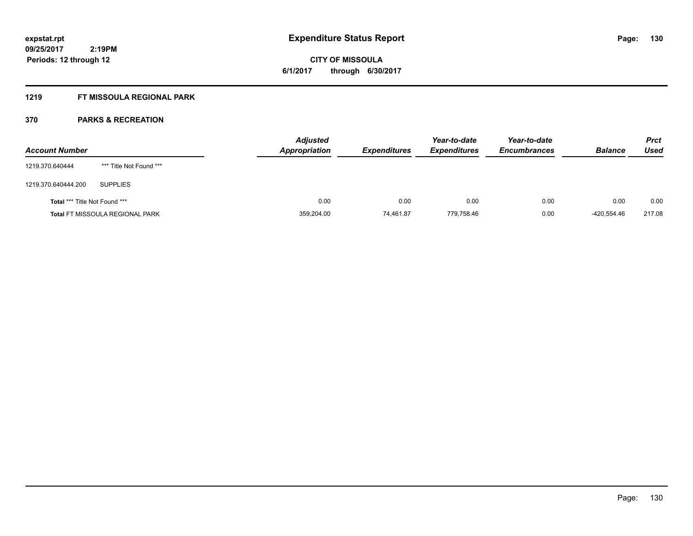# **CITY OF MISSOULA 6/1/2017 through 6/30/2017**

### **1219 FT MISSOULA REGIONAL PARK**

| <b>Account Number</b>                |                                        | <b>Adjusted</b><br><b>Appropriation</b> | <b>Expenditures</b> | Year-to-date<br><b>Expenditures</b> | Year-to-date<br><b>Encumbrances</b> | <b>Balance</b> | <b>Prct</b><br>Used |
|--------------------------------------|----------------------------------------|-----------------------------------------|---------------------|-------------------------------------|-------------------------------------|----------------|---------------------|
| 1219.370.640444                      | *** Title Not Found ***                |                                         |                     |                                     |                                     |                |                     |
| 1219.370.640444.200                  | <b>SUPPLIES</b>                        |                                         |                     |                                     |                                     |                |                     |
| <b>Total *** Title Not Found ***</b> |                                        | 0.00                                    | 0.00                | 0.00                                | 0.00                                | 0.00           | 0.00                |
|                                      | <b>Total FT MISSOULA REGIONAL PARK</b> | 359,204.00                              | 74,461.87           | 779.758.46                          | 0.00                                | -420.554.46    | 217.08              |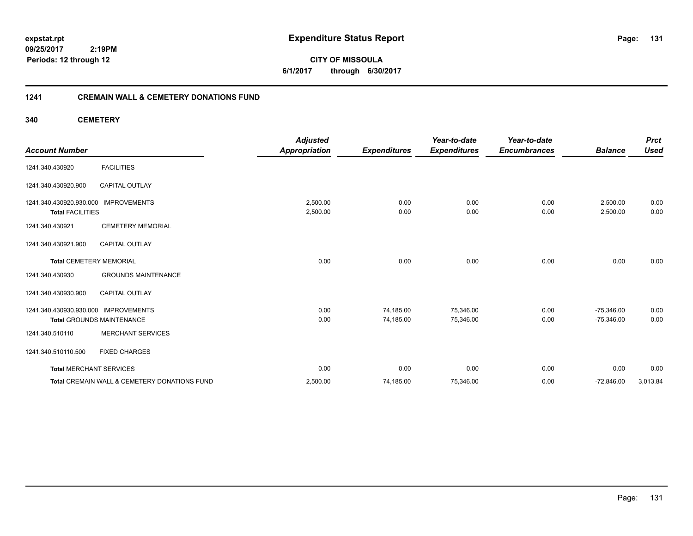**CITY OF MISSOULA 6/1/2017 through 6/30/2017**

#### **1241 CREMAIN WALL & CEMETERY DONATIONS FUND**

**340 CEMETERY**

| <b>Account Number</b>                              |                                              | <b>Adjusted</b><br><b>Appropriation</b> | <b>Expenditures</b> | Year-to-date<br><b>Expenditures</b> | Year-to-date<br><b>Encumbrances</b> | <b>Balance</b>       | <b>Prct</b><br><b>Used</b> |
|----------------------------------------------------|----------------------------------------------|-----------------------------------------|---------------------|-------------------------------------|-------------------------------------|----------------------|----------------------------|
| 1241.340.430920                                    | <b>FACILITIES</b>                            |                                         |                     |                                     |                                     |                      |                            |
| 1241.340.430920.900                                | <b>CAPITAL OUTLAY</b>                        |                                         |                     |                                     |                                     |                      |                            |
| 1241.340.430920.930.000<br><b>Total FACILITIES</b> | <b>IMPROVEMENTS</b>                          | 2,500.00<br>2,500.00                    | 0.00<br>0.00        | 0.00<br>0.00                        | 0.00<br>0.00                        | 2,500.00<br>2,500.00 | 0.00<br>0.00               |
| 1241.340.430921                                    | <b>CEMETERY MEMORIAL</b>                     |                                         |                     |                                     |                                     |                      |                            |
| 1241.340.430921.900                                | <b>CAPITAL OUTLAY</b>                        |                                         |                     |                                     |                                     |                      |                            |
| <b>Total CEMETERY MEMORIAL</b>                     |                                              | 0.00                                    | 0.00                | 0.00                                | 0.00                                | 0.00                 | 0.00                       |
| 1241.340.430930                                    | <b>GROUNDS MAINTENANCE</b>                   |                                         |                     |                                     |                                     |                      |                            |
| 1241.340.430930.900                                | <b>CAPITAL OUTLAY</b>                        |                                         |                     |                                     |                                     |                      |                            |
| 1241.340.430930.930.000 IMPROVEMENTS               |                                              | 0.00                                    | 74,185.00           | 75,346.00                           | 0.00                                | $-75.346.00$         | 0.00                       |
|                                                    | <b>Total GROUNDS MAINTENANCE</b>             | 0.00                                    | 74,185.00           | 75,346.00                           | 0.00                                | $-75,346.00$         | 0.00                       |
| 1241.340.510110                                    | <b>MERCHANT SERVICES</b>                     |                                         |                     |                                     |                                     |                      |                            |
| 1241.340.510110.500                                | <b>FIXED CHARGES</b>                         |                                         |                     |                                     |                                     |                      |                            |
| <b>Total MERCHANT SERVICES</b>                     |                                              | 0.00                                    | 0.00                | 0.00                                | 0.00                                | 0.00                 | 0.00                       |
|                                                    | Total CREMAIN WALL & CEMETERY DONATIONS FUND | 2,500.00                                | 74,185.00           | 75,346.00                           | 0.00                                | $-72,846.00$         | 3,013.84                   |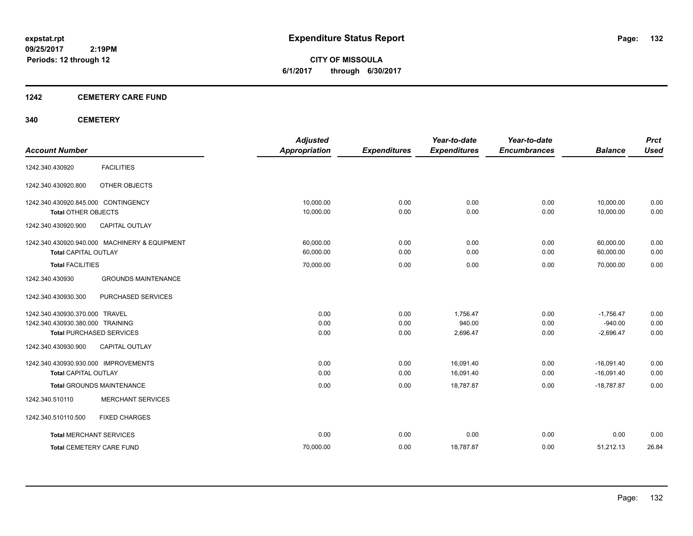**CITY OF MISSOULA 6/1/2017 through 6/30/2017**

#### **1242 CEMETERY CARE FUND**

#### **340 CEMETERY**

| <b>Account Number</b>                                                                                 | <b>Adjusted</b><br><b>Appropriation</b> | <b>Expenditures</b>  | Year-to-date<br><b>Expenditures</b> | Year-to-date<br><b>Encumbrances</b> | <b>Balance</b>                          | <b>Prct</b><br><b>Used</b> |
|-------------------------------------------------------------------------------------------------------|-----------------------------------------|----------------------|-------------------------------------|-------------------------------------|-----------------------------------------|----------------------------|
| <b>FACILITIES</b><br>1242.340.430920                                                                  |                                         |                      |                                     |                                     |                                         |                            |
| OTHER OBJECTS<br>1242.340.430920.800                                                                  |                                         |                      |                                     |                                     |                                         |                            |
| 1242.340.430920.845.000 CONTINGENCY                                                                   | 10.000.00                               | 0.00                 | 0.00                                | 0.00                                | 10,000.00                               | 0.00                       |
| <b>Total OTHER OBJECTS</b><br>1242.340.430920.900<br><b>CAPITAL OUTLAY</b>                            | 10,000.00                               | 0.00                 | 0.00                                | 0.00                                | 10,000.00                               | 0.00                       |
| 1242.340.430920.940.000 MACHINERY & EQUIPMENT<br><b>Total CAPITAL OUTLAY</b>                          | 60,000.00<br>60,000.00                  | 0.00<br>0.00         | 0.00<br>0.00                        | 0.00<br>0.00                        | 60,000.00<br>60,000.00                  | 0.00<br>0.00               |
| <b>Total FACILITIES</b>                                                                               | 70,000.00                               | 0.00                 | 0.00                                | 0.00                                | 70,000.00                               | 0.00                       |
| <b>GROUNDS MAINTENANCE</b><br>1242.340.430930                                                         |                                         |                      |                                     |                                     |                                         |                            |
| PURCHASED SERVICES<br>1242.340.430930.300                                                             |                                         |                      |                                     |                                     |                                         |                            |
| 1242.340.430930.370.000 TRAVEL<br>1242.340.430930.380.000 TRAINING<br><b>Total PURCHASED SERVICES</b> | 0.00<br>0.00<br>0.00                    | 0.00<br>0.00<br>0.00 | 1,756.47<br>940.00<br>2,696.47      | 0.00<br>0.00<br>0.00                | $-1,756.47$<br>$-940.00$<br>$-2,696.47$ | 0.00<br>0.00<br>0.00       |
| 1242.340.430930.900<br><b>CAPITAL OUTLAY</b>                                                          |                                         |                      |                                     |                                     |                                         |                            |
| 1242.340.430930.930.000 IMPROVEMENTS<br><b>Total CAPITAL OUTLAY</b>                                   | 0.00<br>0.00                            | 0.00<br>0.00         | 16,091.40<br>16,091.40              | 0.00<br>0.00                        | $-16,091.40$<br>$-16,091.40$            | 0.00<br>0.00               |
| <b>Total GROUNDS MAINTENANCE</b>                                                                      | 0.00                                    | 0.00                 | 18,787.87                           | 0.00                                | $-18,787.87$                            | 0.00                       |
| <b>MERCHANT SERVICES</b><br>1242.340.510110                                                           |                                         |                      |                                     |                                     |                                         |                            |
| 1242.340.510110.500<br><b>FIXED CHARGES</b>                                                           |                                         |                      |                                     |                                     |                                         |                            |
| <b>Total MERCHANT SERVICES</b>                                                                        | 0.00                                    | 0.00                 | 0.00                                | 0.00                                | 0.00                                    | 0.00                       |
| <b>Total CEMETERY CARE FUND</b>                                                                       | 70,000.00                               | 0.00                 | 18,787.87                           | 0.00                                | 51,212.13                               | 26.84                      |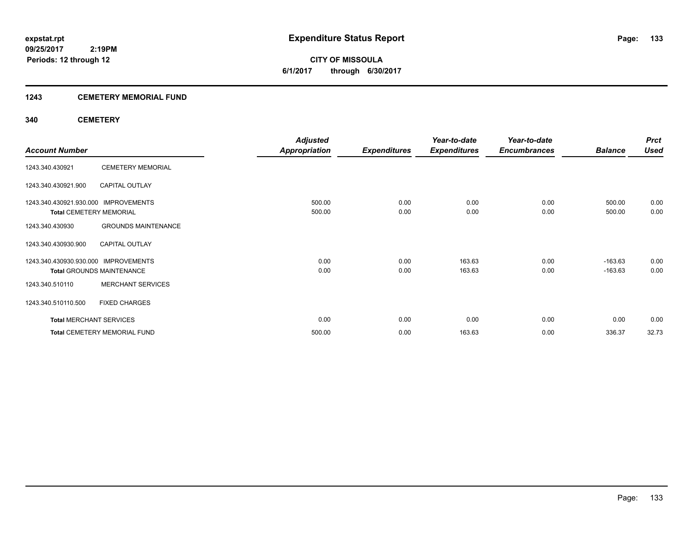### **1243 CEMETERY MEMORIAL FUND**

#### **340 CEMETERY**

|                                      |                                     | <b>Adjusted</b>      |                     | Year-to-date        | Year-to-date        |                | <b>Prct</b> |
|--------------------------------------|-------------------------------------|----------------------|---------------------|---------------------|---------------------|----------------|-------------|
| <b>Account Number</b>                |                                     | <b>Appropriation</b> | <b>Expenditures</b> | <b>Expenditures</b> | <b>Encumbrances</b> | <b>Balance</b> | <b>Used</b> |
| 1243.340.430921                      | <b>CEMETERY MEMORIAL</b>            |                      |                     |                     |                     |                |             |
| 1243.340.430921.900                  | <b>CAPITAL OUTLAY</b>               |                      |                     |                     |                     |                |             |
| 1243.340.430921.930.000 IMPROVEMENTS |                                     | 500.00               | 0.00                | 0.00                | 0.00                | 500.00         | 0.00        |
| <b>Total CEMETERY MEMORIAL</b>       |                                     | 500.00               | 0.00                | 0.00                | 0.00                | 500.00         | 0.00        |
| 1243.340.430930                      | <b>GROUNDS MAINTENANCE</b>          |                      |                     |                     |                     |                |             |
| 1243.340.430930.900                  | <b>CAPITAL OUTLAY</b>               |                      |                     |                     |                     |                |             |
| 1243.340.430930.930.000              | <b>IMPROVEMENTS</b>                 | 0.00                 | 0.00                | 163.63              | 0.00                | $-163.63$      | 0.00        |
|                                      | <b>Total GROUNDS MAINTENANCE</b>    | 0.00                 | 0.00                | 163.63              | 0.00                | $-163.63$      | 0.00        |
| 1243.340.510110                      | <b>MERCHANT SERVICES</b>            |                      |                     |                     |                     |                |             |
| 1243.340.510110.500                  | <b>FIXED CHARGES</b>                |                      |                     |                     |                     |                |             |
| <b>Total MERCHANT SERVICES</b>       |                                     | 0.00                 | 0.00                | 0.00                | 0.00                | 0.00           | 0.00        |
|                                      | <b>Total CEMETERY MEMORIAL FUND</b> | 500.00               | 0.00                | 163.63              | 0.00                | 336.37         | 32.73       |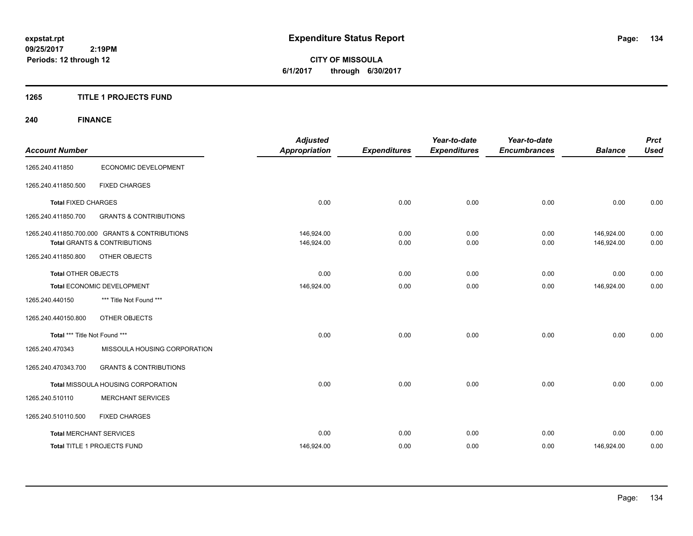**CITY OF MISSOULA 6/1/2017 through 6/30/2017**

#### **1265 TITLE 1 PROJECTS FUND**

## **240 FINANCE**

| <b>Account Number</b>          |                                                                                           | <b>Adjusted</b><br><b>Appropriation</b> | <b>Expenditures</b> | Year-to-date<br><b>Expenditures</b> | Year-to-date<br><b>Encumbrances</b> | <b>Balance</b>           | <b>Prct</b><br><b>Used</b> |
|--------------------------------|-------------------------------------------------------------------------------------------|-----------------------------------------|---------------------|-------------------------------------|-------------------------------------|--------------------------|----------------------------|
| 1265.240.411850                | ECONOMIC DEVELOPMENT                                                                      |                                         |                     |                                     |                                     |                          |                            |
| 1265.240.411850.500            | <b>FIXED CHARGES</b>                                                                      |                                         |                     |                                     |                                     |                          |                            |
| <b>Total FIXED CHARGES</b>     |                                                                                           | 0.00                                    | 0.00                | 0.00                                | 0.00                                | 0.00                     | 0.00                       |
| 1265.240.411850.700            | <b>GRANTS &amp; CONTRIBUTIONS</b>                                                         |                                         |                     |                                     |                                     |                          |                            |
|                                | 1265.240.411850.700.000 GRANTS & CONTRIBUTIONS<br><b>Total GRANTS &amp; CONTRIBUTIONS</b> | 146,924.00<br>146,924.00                | 0.00<br>0.00        | 0.00<br>0.00                        | 0.00<br>0.00                        | 146,924.00<br>146,924.00 | 0.00<br>0.00               |
| 1265.240.411850.800            | <b>OTHER OBJECTS</b>                                                                      |                                         |                     |                                     |                                     |                          |                            |
| Total OTHER OBJECTS            |                                                                                           | 0.00                                    | 0.00                | 0.00                                | 0.00                                | 0.00                     | 0.00                       |
| Total ECONOMIC DEVELOPMENT     |                                                                                           | 146,924.00                              | 0.00                | 0.00                                | 0.00                                | 146,924.00               | 0.00                       |
| 1265.240.440150                | *** Title Not Found ***                                                                   |                                         |                     |                                     |                                     |                          |                            |
| 1265.240.440150.800            | OTHER OBJECTS                                                                             |                                         |                     |                                     |                                     |                          |                            |
| Total *** Title Not Found ***  |                                                                                           | 0.00                                    | 0.00                | 0.00                                | 0.00                                | 0.00                     | 0.00                       |
| 1265.240.470343                | MISSOULA HOUSING CORPORATION                                                              |                                         |                     |                                     |                                     |                          |                            |
| 1265.240.470343.700            | <b>GRANTS &amp; CONTRIBUTIONS</b>                                                         |                                         |                     |                                     |                                     |                          |                            |
|                                | Total MISSOULA HOUSING CORPORATION                                                        | 0.00                                    | 0.00                | 0.00                                | 0.00                                | 0.00                     | 0.00                       |
| 1265.240.510110                | <b>MERCHANT SERVICES</b>                                                                  |                                         |                     |                                     |                                     |                          |                            |
| 1265.240.510110.500            | <b>FIXED CHARGES</b>                                                                      |                                         |                     |                                     |                                     |                          |                            |
| <b>Total MERCHANT SERVICES</b> |                                                                                           | 0.00                                    | 0.00                | 0.00                                | 0.00                                | 0.00                     | 0.00                       |
|                                | Total TITLE 1 PROJECTS FUND                                                               | 146,924.00                              | 0.00                | 0.00                                | 0.00                                | 146,924.00               | 0.00                       |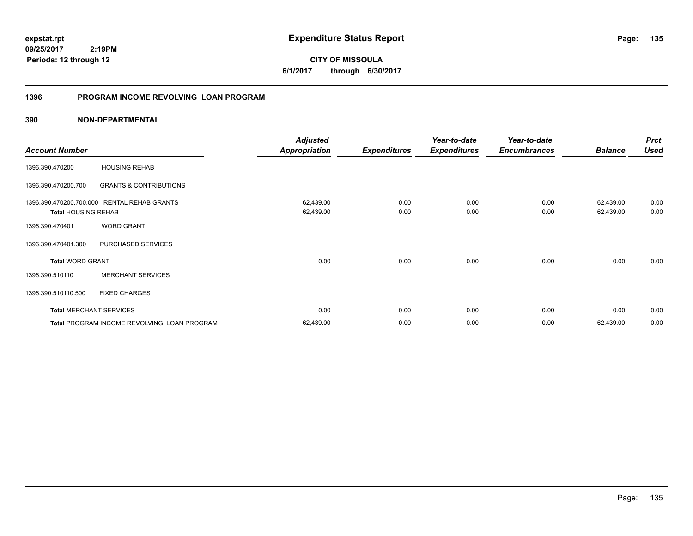**135**

**09/25/2017 2:19PM Periods: 12 through 12**

**CITY OF MISSOULA 6/1/2017 through 6/30/2017**

### **1396 PROGRAM INCOME REVOLVING LOAN PROGRAM**

|                                |                                             | <b>Adjusted</b>      |                     | Year-to-date        | Year-to-date        |                | <b>Prct</b> |
|--------------------------------|---------------------------------------------|----------------------|---------------------|---------------------|---------------------|----------------|-------------|
| <b>Account Number</b>          |                                             | <b>Appropriation</b> | <b>Expenditures</b> | <b>Expenditures</b> | <b>Encumbrances</b> | <b>Balance</b> | <b>Used</b> |
| 1396.390.470200                | <b>HOUSING REHAB</b>                        |                      |                     |                     |                     |                |             |
| 1396.390.470200.700            | <b>GRANTS &amp; CONTRIBUTIONS</b>           |                      |                     |                     |                     |                |             |
|                                | 1396.390.470200.700.000 RENTAL REHAB GRANTS | 62,439.00            | 0.00                | 0.00                | 0.00                | 62,439.00      | 0.00        |
| <b>Total HOUSING REHAB</b>     |                                             | 62,439.00            | 0.00                | 0.00                | 0.00                | 62,439.00      | 0.00        |
| 1396.390.470401                | <b>WORD GRANT</b>                           |                      |                     |                     |                     |                |             |
| 1396.390.470401.300            | PURCHASED SERVICES                          |                      |                     |                     |                     |                |             |
| <b>Total WORD GRANT</b>        |                                             | 0.00                 | 0.00                | 0.00                | 0.00                | 0.00           | 0.00        |
| 1396.390.510110                | <b>MERCHANT SERVICES</b>                    |                      |                     |                     |                     |                |             |
| 1396.390.510110.500            | <b>FIXED CHARGES</b>                        |                      |                     |                     |                     |                |             |
| <b>Total MERCHANT SERVICES</b> |                                             | 0.00                 | 0.00                | 0.00                | 0.00                | 0.00           | 0.00        |
|                                | Total PROGRAM INCOME REVOLVING LOAN PROGRAM | 62,439.00            | 0.00                | 0.00                | 0.00                | 62,439.00      | 0.00        |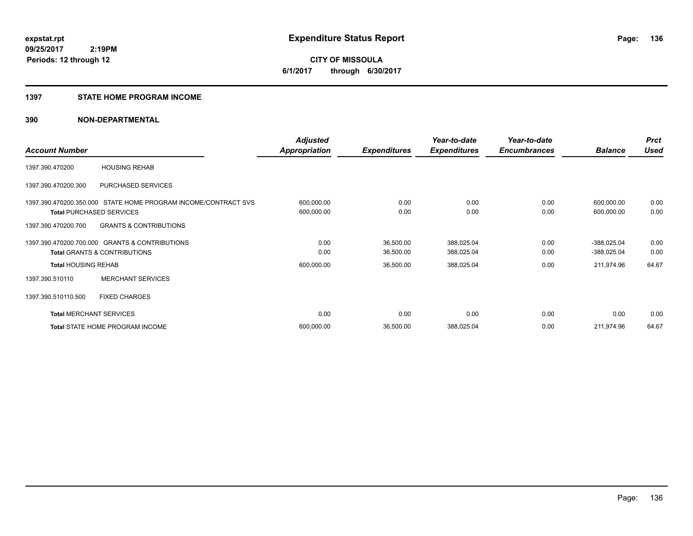**CITY OF MISSOULA 6/1/2017 through 6/30/2017**

#### **1397 STATE HOME PROGRAM INCOME**

|                                 |                                                                | <b>Adjusted</b>      |                     | Year-to-date        | Year-to-date        |                | <b>Prct</b> |
|---------------------------------|----------------------------------------------------------------|----------------------|---------------------|---------------------|---------------------|----------------|-------------|
| <b>Account Number</b>           |                                                                | <b>Appropriation</b> | <b>Expenditures</b> | <b>Expenditures</b> | <b>Encumbrances</b> | <b>Balance</b> | <b>Used</b> |
| 1397.390.470200                 | <b>HOUSING REHAB</b>                                           |                      |                     |                     |                     |                |             |
| 1397.390.470200.300             | PURCHASED SERVICES                                             |                      |                     |                     |                     |                |             |
|                                 | 1397.390.470200.350.000 STATE HOME PROGRAM INCOME/CONTRACT SVS | 600,000.00           | 0.00                | 0.00                | 0.00                | 600,000.00     | 0.00        |
| <b>Total PURCHASED SERVICES</b> |                                                                | 600,000.00           | 0.00                | 0.00                | 0.00                | 600,000.00     | 0.00        |
| 1397.390.470200.700             | <b>GRANTS &amp; CONTRIBUTIONS</b>                              |                      |                     |                     |                     |                |             |
|                                 | 1397.390.470200.700.000 GRANTS & CONTRIBUTIONS                 | 0.00                 | 36,500.00           | 388,025.04          | 0.00                | $-388,025.04$  | 0.00        |
|                                 | <b>Total GRANTS &amp; CONTRIBUTIONS</b>                        | 0.00                 | 36,500.00           | 388,025.04          | 0.00                | $-388,025.04$  | 0.00        |
| <b>Total HOUSING REHAB</b>      |                                                                | 600,000.00           | 36,500.00           | 388,025.04          | 0.00                | 211,974.96     | 64.67       |
| 1397.390.510110                 | <b>MERCHANT SERVICES</b>                                       |                      |                     |                     |                     |                |             |
| 1397.390.510110.500             | <b>FIXED CHARGES</b>                                           |                      |                     |                     |                     |                |             |
| <b>Total MERCHANT SERVICES</b>  |                                                                | 0.00                 | 0.00                | 0.00                | 0.00                | 0.00           | 0.00        |
|                                 | <b>Total STATE HOME PROGRAM INCOME</b>                         | 600,000.00           | 36,500.00           | 388,025.04          | 0.00                | 211,974.96     | 64.67       |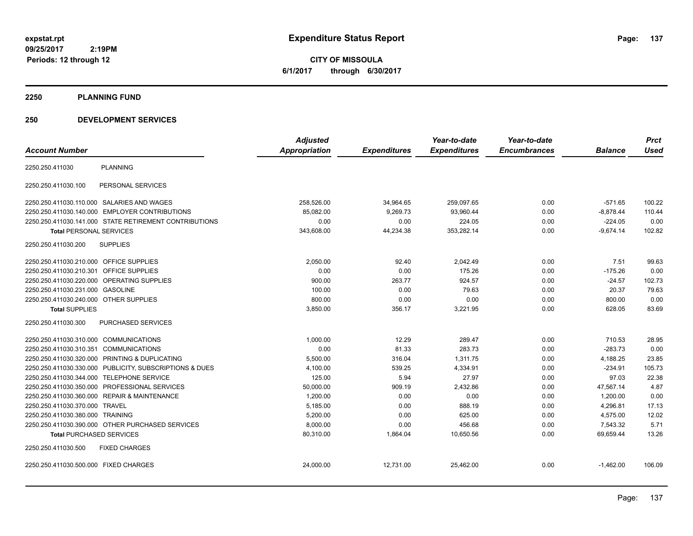**CITY OF MISSOULA 6/1/2017 through 6/30/2017**

#### **2250 PLANNING FUND**

#### **250 DEVELOPMENT SERVICES**

|                                                            | <b>Adjusted</b> |                     | Year-to-date        | Year-to-date        |                | <b>Prct</b> |
|------------------------------------------------------------|-----------------|---------------------|---------------------|---------------------|----------------|-------------|
| <b>Account Number</b>                                      | Appropriation   | <b>Expenditures</b> | <b>Expenditures</b> | <b>Encumbrances</b> | <b>Balance</b> | <b>Used</b> |
| <b>PLANNING</b><br>2250.250.411030                         |                 |                     |                     |                     |                |             |
| PERSONAL SERVICES<br>2250.250.411030.100                   |                 |                     |                     |                     |                |             |
| 2250.250.411030.110.000 SALARIES AND WAGES                 | 258,526.00      | 34,964.65           | 259,097.65          | 0.00                | $-571.65$      | 100.22      |
| 2250.250.411030.140.000 EMPLOYER CONTRIBUTIONS             | 85,082.00       | 9,269.73            | 93,960.44           | 0.00                | $-8,878.44$    | 110.44      |
| 2250.250.411030.141.000 STATE RETIREMENT CONTRIBUTIONS     | 0.00            | 0.00                | 224.05              | 0.00                | $-224.05$      | 0.00        |
| <b>Total PERSONAL SERVICES</b>                             | 343,608.00      | 44,234.38           | 353,282.14          | 0.00                | $-9,674.14$    | 102.82      |
| <b>SUPPLIES</b><br>2250.250.411030.200                     |                 |                     |                     |                     |                |             |
| 2250.250.411030.210.000 OFFICE SUPPLIES                    | 2,050.00        | 92.40               | 2,042.49            | 0.00                | 7.51           | 99.63       |
| <b>OFFICE SUPPLIES</b><br>2250.250.411030.210.301          | 0.00            | 0.00                | 175.26              | 0.00                | $-175.26$      | 0.00        |
| 2250.250.411030.220.000<br><b>OPERATING SUPPLIES</b>       | 900.00          | 263.77              | 924.57              | 0.00                | $-24.57$       | 102.73      |
| 2250.250.411030.231.000<br><b>GASOLINE</b>                 | 100.00          | 0.00                | 79.63               | 0.00                | 20.37          | 79.63       |
| 2250.250.411030.240.000 OTHER SUPPLIES                     | 800.00          | 0.00                | 0.00                | 0.00                | 800.00         | 0.00        |
| <b>Total SUPPLIES</b>                                      | 3,850.00        | 356.17              | 3,221.95            | 0.00                | 628.05         | 83.69       |
| 2250.250.411030.300<br>PURCHASED SERVICES                  |                 |                     |                     |                     |                |             |
| 2250.250.411030.310.000 COMMUNICATIONS                     | 1,000.00        | 12.29               | 289.47              | 0.00                | 710.53         | 28.95       |
| <b>COMMUNICATIONS</b><br>2250.250.411030.310.351           | 0.00            | 81.33               | 283.73              | 0.00                | $-283.73$      | 0.00        |
| 2250.250.411030.320.000 PRINTING & DUPLICATING             | 5,500.00        | 316.04              | 1,311.75            | 0.00                | 4,188.25       | 23.85       |
| PUBLICITY, SUBSCRIPTIONS & DUES<br>2250.250.411030.330.000 | 4,100.00        | 539.25              | 4,334.91            | 0.00                | $-234.91$      | 105.73      |
| 2250.250.411030.344.000<br><b>TELEPHONE SERVICE</b>        | 125.00          | 5.94                | 27.97               | 0.00                | 97.03          | 22.38       |
| PROFESSIONAL SERVICES<br>2250.250.411030.350.000           | 50,000.00       | 909.19              | 2,432.86            | 0.00                | 47,567.14      | 4.87        |
| <b>REPAIR &amp; MAINTENANCE</b><br>2250.250.411030.360.000 | 1.200.00        | 0.00                | 0.00                | 0.00                | 1.200.00       | 0.00        |
| 2250.250.411030.370.000<br><b>TRAVEL</b>                   | 5,185.00        | 0.00                | 888.19              | 0.00                | 4,296.81       | 17.13       |
| 2250.250.411030.380.000 TRAINING                           | 5,200.00        | 0.00                | 625.00              | 0.00                | 4,575.00       | 12.02       |
| 2250.250.411030.390.000 OTHER PURCHASED SERVICES           | 8,000.00        | 0.00                | 456.68              | 0.00                | 7,543.32       | 5.71        |
| <b>Total PURCHASED SERVICES</b>                            | 80,310.00       | 1,864.04            | 10,650.56           | 0.00                | 69,659.44      | 13.26       |
| 2250.250.411030.500<br><b>FIXED CHARGES</b>                |                 |                     |                     |                     |                |             |
| 2250.250.411030.500.000 FIXED CHARGES                      | 24,000.00       | 12,731.00           | 25,462.00           | 0.00                | $-1,462.00$    | 106.09      |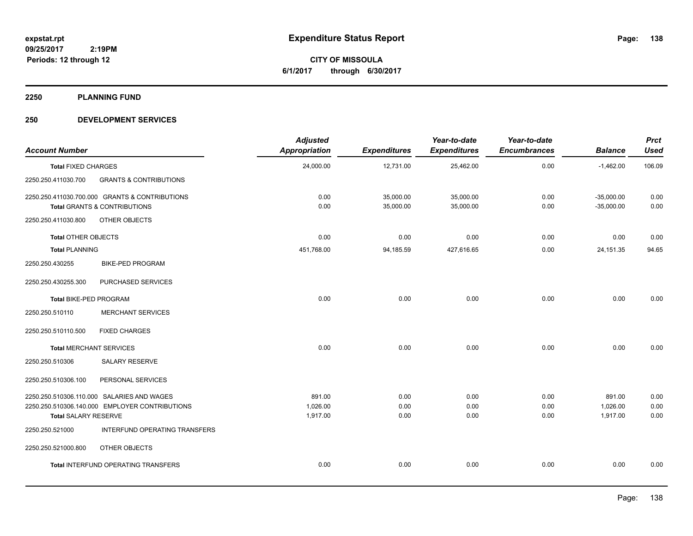**CITY OF MISSOULA 6/1/2017 through 6/30/2017**

**2250 PLANNING FUND**

#### **250 DEVELOPMENT SERVICES**

| <b>Account Number</b>          |                                                                                              | <b>Adjusted</b><br><b>Appropriation</b> | <b>Expenditures</b>    | Year-to-date<br><b>Expenditures</b> | Year-to-date<br><b>Encumbrances</b> | <b>Balance</b>                 | <b>Prct</b><br><b>Used</b> |
|--------------------------------|----------------------------------------------------------------------------------------------|-----------------------------------------|------------------------|-------------------------------------|-------------------------------------|--------------------------------|----------------------------|
| <b>Total FIXED CHARGES</b>     |                                                                                              | 24,000.00                               | 12,731.00              | 25,462.00                           | 0.00                                | $-1,462.00$                    | 106.09                     |
| 2250.250.411030.700            | <b>GRANTS &amp; CONTRIBUTIONS</b>                                                            |                                         |                        |                                     |                                     |                                |                            |
|                                | 2250.250.411030.700.000 GRANTS & CONTRIBUTIONS<br>Total GRANTS & CONTRIBUTIONS               | 0.00<br>0.00                            | 35,000.00<br>35,000.00 | 35,000.00<br>35,000.00              | 0.00<br>0.00                        | $-35,000.00$<br>$-35,000.00$   | 0.00<br>0.00               |
| 2250.250.411030.800            | OTHER OBJECTS                                                                                |                                         |                        |                                     |                                     |                                |                            |
| <b>Total OTHER OBJECTS</b>     |                                                                                              | 0.00                                    | 0.00                   | 0.00                                | 0.00                                | 0.00                           | 0.00                       |
| <b>Total PLANNING</b>          |                                                                                              | 451,768.00                              | 94,185.59              | 427,616.65                          | 0.00                                | 24, 151. 35                    | 94.65                      |
| 2250.250.430255                | <b>BIKE-PED PROGRAM</b>                                                                      |                                         |                        |                                     |                                     |                                |                            |
| 2250.250.430255.300            | PURCHASED SERVICES                                                                           |                                         |                        |                                     |                                     |                                |                            |
| Total BIKE-PED PROGRAM         |                                                                                              | 0.00                                    | 0.00                   | 0.00                                | 0.00                                | 0.00                           | 0.00                       |
| 2250.250.510110                | <b>MERCHANT SERVICES</b>                                                                     |                                         |                        |                                     |                                     |                                |                            |
| 2250.250.510110.500            | <b>FIXED CHARGES</b>                                                                         |                                         |                        |                                     |                                     |                                |                            |
| <b>Total MERCHANT SERVICES</b> |                                                                                              | 0.00                                    | 0.00                   | 0.00                                | 0.00                                | 0.00                           | 0.00                       |
| 2250.250.510306                | SALARY RESERVE                                                                               |                                         |                        |                                     |                                     |                                |                            |
| 2250.250.510306.100            | PERSONAL SERVICES                                                                            |                                         |                        |                                     |                                     |                                |                            |
| <b>Total SALARY RESERVE</b>    | 2250.250.510306.110.000 SALARIES AND WAGES<br>2250.250.510306.140.000 EMPLOYER CONTRIBUTIONS | 891.00<br>1,026.00<br>1,917.00          | 0.00<br>0.00<br>0.00   | 0.00<br>0.00<br>0.00                | 0.00<br>0.00<br>0.00                | 891.00<br>1,026.00<br>1,917.00 | 0.00<br>0.00<br>0.00       |
| 2250.250.521000                | INTERFUND OPERATING TRANSFERS                                                                |                                         |                        |                                     |                                     |                                |                            |
| 2250.250.521000.800            | OTHER OBJECTS                                                                                |                                         |                        |                                     |                                     |                                |                            |
|                                | Total INTERFUND OPERATING TRANSFERS                                                          | 0.00                                    | 0.00                   | 0.00                                | 0.00                                | 0.00                           | 0.00                       |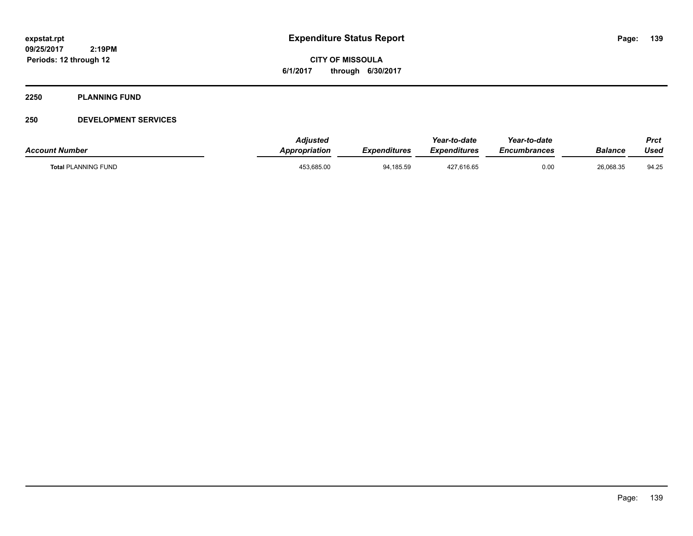**CITY OF MISSOULA 6/1/2017 through 6/30/2017**

#### **2250 PLANNING FUND**

#### **250 DEVELOPMENT SERVICES**

| <b>Account Number</b>      | <b>Adjusted</b><br><b>Appropriation</b> | <b>Expenditures</b> | Year-to-date<br><b>Expenditures</b> | Year-to-date<br>Encumbrances | Balance   | Prct<br>Used |
|----------------------------|-----------------------------------------|---------------------|-------------------------------------|------------------------------|-----------|--------------|
| <b>Total PLANNING FUND</b> | 453,685.00                              | 94,185.59           | 427,616.65                          | 0.00                         | 26,068.35 | 94.25        |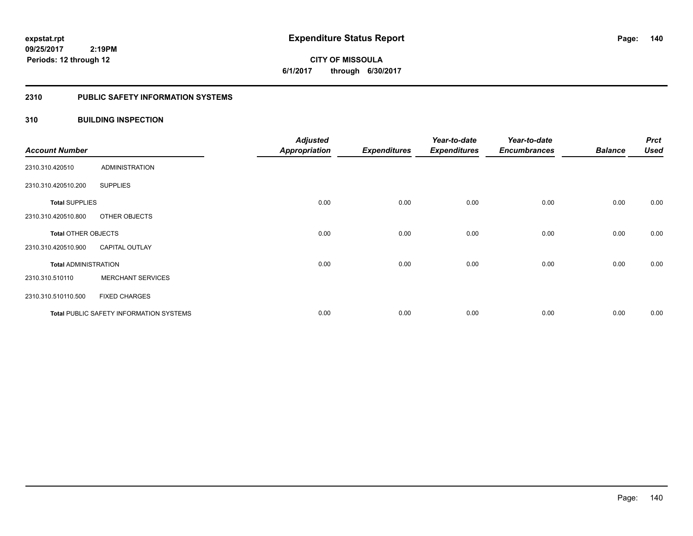**140**

**09/25/2017 2:19PM Periods: 12 through 12**

**CITY OF MISSOULA 6/1/2017 through 6/30/2017**

#### **2310 PUBLIC SAFETY INFORMATION SYSTEMS**

#### **310 BUILDING INSPECTION**

| <b>Account Number</b>       |                                                | <b>Adjusted</b><br><b>Appropriation</b> | <b>Expenditures</b> | Year-to-date<br><b>Expenditures</b> | Year-to-date<br><b>Encumbrances</b> | <b>Balance</b> | <b>Prct</b><br><b>Used</b> |
|-----------------------------|------------------------------------------------|-----------------------------------------|---------------------|-------------------------------------|-------------------------------------|----------------|----------------------------|
| 2310.310.420510             | <b>ADMINISTRATION</b>                          |                                         |                     |                                     |                                     |                |                            |
| 2310.310.420510.200         | <b>SUPPLIES</b>                                |                                         |                     |                                     |                                     |                |                            |
| <b>Total SUPPLIES</b>       |                                                | 0.00                                    | 0.00                | 0.00                                | 0.00                                | 0.00           | 0.00                       |
| 2310.310.420510.800         | OTHER OBJECTS                                  |                                         |                     |                                     |                                     |                |                            |
| <b>Total OTHER OBJECTS</b>  |                                                | 0.00                                    | 0.00                | 0.00                                | 0.00                                | 0.00           | 0.00                       |
| 2310.310.420510.900         | <b>CAPITAL OUTLAY</b>                          |                                         |                     |                                     |                                     |                |                            |
| <b>Total ADMINISTRATION</b> |                                                | 0.00                                    | 0.00                | 0.00                                | 0.00                                | 0.00           | 0.00                       |
| 2310.310.510110             | <b>MERCHANT SERVICES</b>                       |                                         |                     |                                     |                                     |                |                            |
| 2310.310.510110.500         | <b>FIXED CHARGES</b>                           |                                         |                     |                                     |                                     |                |                            |
|                             | <b>Total PUBLIC SAFETY INFORMATION SYSTEMS</b> | 0.00                                    | 0.00                | 0.00                                | 0.00                                | 0.00           | 0.00                       |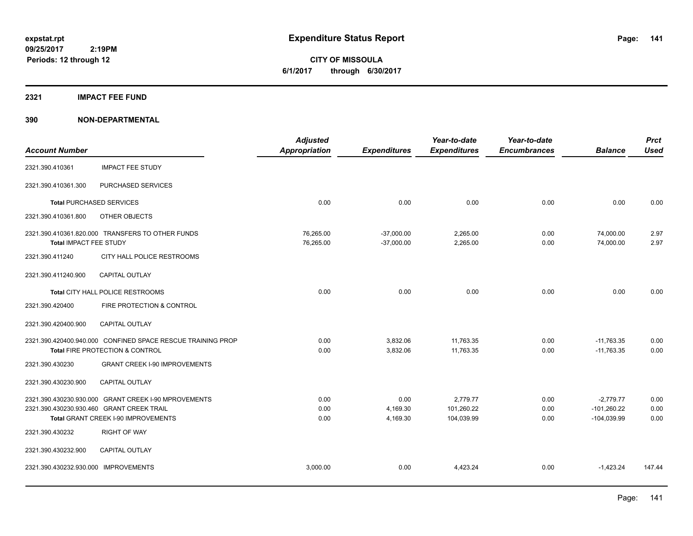**CITY OF MISSOULA 6/1/2017 through 6/30/2017**

#### **2321 IMPACT FEE FUND**

|                                      |                                                             | <b>Adjusted</b>      |                     | Year-to-date        | Year-to-date        |                | <b>Prct</b> |
|--------------------------------------|-------------------------------------------------------------|----------------------|---------------------|---------------------|---------------------|----------------|-------------|
| <b>Account Number</b>                |                                                             | <b>Appropriation</b> | <b>Expenditures</b> | <b>Expenditures</b> | <b>Encumbrances</b> | <b>Balance</b> | <b>Used</b> |
| 2321.390.410361                      | <b>IMPACT FEE STUDY</b>                                     |                      |                     |                     |                     |                |             |
| 2321.390.410361.300                  | PURCHASED SERVICES                                          |                      |                     |                     |                     |                |             |
|                                      | <b>Total PURCHASED SERVICES</b>                             | 0.00                 | 0.00                | 0.00                | 0.00                | 0.00           | 0.00        |
| 2321.390.410361.800                  | OTHER OBJECTS                                               |                      |                     |                     |                     |                |             |
|                                      | 2321.390.410361.820.000 TRANSFERS TO OTHER FUNDS            | 76,265.00            | $-37,000.00$        | 2,265.00            | 0.00                | 74,000.00      | 2.97        |
| Total IMPACT FEE STUDY               |                                                             | 76,265.00            | $-37,000.00$        | 2,265.00            | 0.00                | 74,000.00      | 2.97        |
| 2321.390.411240                      | CITY HALL POLICE RESTROOMS                                  |                      |                     |                     |                     |                |             |
| 2321.390.411240.900                  | CAPITAL OUTLAY                                              |                      |                     |                     |                     |                |             |
|                                      | Total CITY HALL POLICE RESTROOMS                            | 0.00                 | 0.00                | 0.00                | 0.00                | 0.00           | 0.00        |
| 2321.390.420400                      | FIRE PROTECTION & CONTROL                                   |                      |                     |                     |                     |                |             |
| 2321.390.420400.900                  | <b>CAPITAL OUTLAY</b>                                       |                      |                     |                     |                     |                |             |
|                                      | 2321.390.420400.940.000 CONFINED SPACE RESCUE TRAINING PROP | 0.00                 | 3,832.06            | 11,763.35           | 0.00                | $-11,763.35$   | 0.00        |
|                                      | Total FIRE PROTECTION & CONTROL                             | 0.00                 | 3,832.06            | 11,763.35           | 0.00                | $-11,763.35$   | 0.00        |
| 2321.390.430230                      | <b>GRANT CREEK I-90 IMPROVEMENTS</b>                        |                      |                     |                     |                     |                |             |
| 2321.390.430230.900                  | <b>CAPITAL OUTLAY</b>                                       |                      |                     |                     |                     |                |             |
|                                      | 2321.390.430230.930.000 GRANT CREEK I-90 MPROVEMENTS        | 0.00                 | 0.00                | 2,779.77            | 0.00                | $-2,779.77$    | 0.00        |
|                                      | 2321.390.430230.930.460 GRANT CREEK TRAIL                   | 0.00                 | 4,169.30            | 101,260.22          | 0.00                | $-101,260.22$  | 0.00        |
|                                      | Total GRANT CREEK I-90 IMPROVEMENTS                         | 0.00                 | 4,169.30            | 104,039.99          | 0.00                | $-104,039.99$  | 0.00        |
| 2321.390.430232                      | <b>RIGHT OF WAY</b>                                         |                      |                     |                     |                     |                |             |
| 2321.390.430232.900                  | <b>CAPITAL OUTLAY</b>                                       |                      |                     |                     |                     |                |             |
| 2321.390.430232.930.000 IMPROVEMENTS |                                                             | 3,000.00             | 0.00                | 4,423.24            | 0.00                | $-1,423.24$    | 147.44      |
|                                      |                                                             |                      |                     |                     |                     |                |             |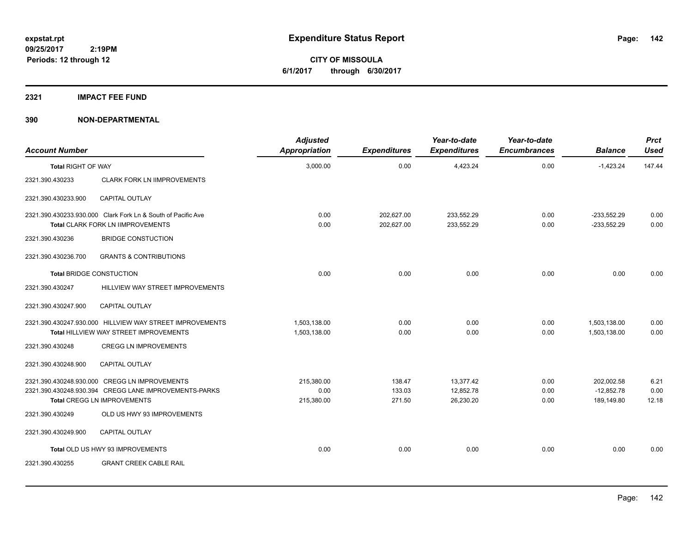**CITY OF MISSOULA 6/1/2017 through 6/30/2017**

#### **2321 IMPACT FEE FUND**

| <b>Account Number</b>     |                                                                                                                                       | <b>Adjusted</b><br>Appropriation | <b>Expenditures</b>        | Year-to-date<br><b>Expenditures</b> | Year-to-date<br><b>Encumbrances</b> | <b>Balance</b>                           | <b>Prct</b><br><b>Used</b> |
|---------------------------|---------------------------------------------------------------------------------------------------------------------------------------|----------------------------------|----------------------------|-------------------------------------|-------------------------------------|------------------------------------------|----------------------------|
| <b>Total RIGHT OF WAY</b> |                                                                                                                                       | 3,000.00                         | 0.00                       | 4,423.24                            | 0.00                                | $-1,423.24$                              | 147.44                     |
| 2321.390.430233           | <b>CLARK FORK LN IIMPROVEMENTS</b>                                                                                                    |                                  |                            |                                     |                                     |                                          |                            |
| 2321.390.430233.900       | <b>CAPITAL OUTLAY</b>                                                                                                                 |                                  |                            |                                     |                                     |                                          |                            |
|                           | 2321.390.430233.930.000 Clark Fork Ln & South of Pacific Ave<br>Total CLARK FORK LN IIMPROVEMENTS                                     | 0.00<br>0.00                     | 202,627.00<br>202,627.00   | 233,552.29<br>233,552.29            | 0.00<br>0.00                        | $-233.552.29$<br>$-233,552.29$           | 0.00<br>0.00               |
| 2321.390.430236           | <b>BRIDGE CONSTUCTION</b>                                                                                                             |                                  |                            |                                     |                                     |                                          |                            |
| 2321.390.430236.700       | <b>GRANTS &amp; CONTRIBUTIONS</b>                                                                                                     |                                  |                            |                                     |                                     |                                          |                            |
|                           | <b>Total BRIDGE CONSTUCTION</b>                                                                                                       | 0.00                             | 0.00                       | 0.00                                | 0.00                                | 0.00                                     | 0.00                       |
| 2321.390.430247           | HILLVIEW WAY STREET IMPROVEMENTS                                                                                                      |                                  |                            |                                     |                                     |                                          |                            |
| 2321.390.430247.900       | <b>CAPITAL OUTLAY</b>                                                                                                                 |                                  |                            |                                     |                                     |                                          |                            |
|                           | 2321.390.430247.930.000 HILLVIEW WAY STREET IMPROVEMENTS<br>Total HILLVIEW WAY STREET IMPROVEMENTS                                    | 1,503,138.00<br>1,503,138.00     | 0.00<br>0.00               | 0.00<br>0.00                        | 0.00<br>0.00                        | 1,503,138.00<br>1,503,138.00             | 0.00<br>0.00               |
| 2321.390.430248           | <b>CREGG LN IMPROVEMENTS</b>                                                                                                          |                                  |                            |                                     |                                     |                                          |                            |
| 2321.390.430248.900       | <b>CAPITAL OUTLAY</b>                                                                                                                 |                                  |                            |                                     |                                     |                                          |                            |
|                           | 2321.390.430248.930.000 CREGG LN IMPROVEMENTS<br>2321.390.430248.930.394 CREGG LANE IMPROVEMENTS-PARKS<br>Total CREGG LN IMPROVEMENTS | 215,380.00<br>0.00<br>215,380.00 | 138.47<br>133.03<br>271.50 | 13,377.42<br>12,852.78<br>26,230.20 | 0.00<br>0.00<br>0.00                | 202,002.58<br>$-12.852.78$<br>189,149.80 | 6.21<br>0.00<br>12.18      |
| 2321.390.430249           | OLD US HWY 93 IMPROVEMENTS                                                                                                            |                                  |                            |                                     |                                     |                                          |                            |
| 2321.390.430249.900       | <b>CAPITAL OUTLAY</b>                                                                                                                 |                                  |                            |                                     |                                     |                                          |                            |
|                           | Total OLD US HWY 93 IMPROVEMENTS                                                                                                      | 0.00                             | 0.00                       | 0.00                                | 0.00                                | 0.00                                     | 0.00                       |
| 2321.390.430255           | <b>GRANT CREEK CABLE RAIL</b>                                                                                                         |                                  |                            |                                     |                                     |                                          |                            |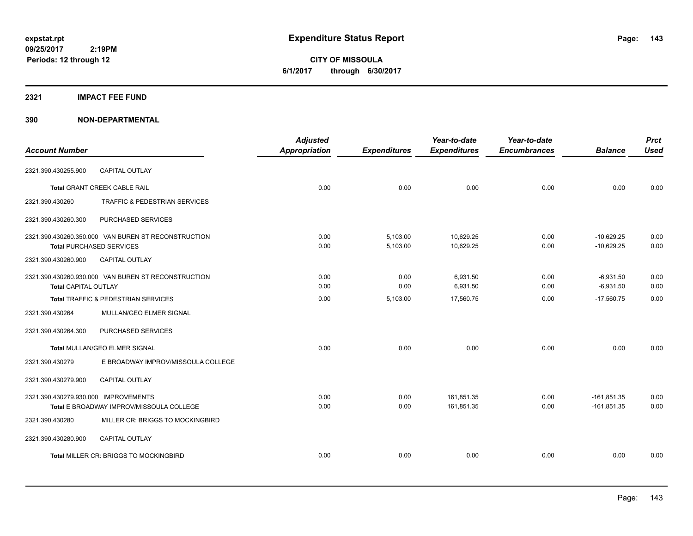**CITY OF MISSOULA 6/1/2017 through 6/30/2017**

#### **2321 IMPACT FEE FUND**

|                                      |                                                     | <b>Adjusted</b>      |                     | Year-to-date        | Year-to-date        |                | <b>Prct</b> |
|--------------------------------------|-----------------------------------------------------|----------------------|---------------------|---------------------|---------------------|----------------|-------------|
| <b>Account Number</b>                |                                                     | <b>Appropriation</b> | <b>Expenditures</b> | <b>Expenditures</b> | <b>Encumbrances</b> | <b>Balance</b> | <b>Used</b> |
| 2321.390.430255.900                  | <b>CAPITAL OUTLAY</b>                               |                      |                     |                     |                     |                |             |
|                                      | Total GRANT CREEK CABLE RAIL                        | 0.00                 | 0.00                | 0.00                | 0.00                | 0.00           | 0.00        |
| 2321.390.430260                      | <b>TRAFFIC &amp; PEDESTRIAN SERVICES</b>            |                      |                     |                     |                     |                |             |
| 2321.390.430260.300                  | PURCHASED SERVICES                                  |                      |                     |                     |                     |                |             |
|                                      | 2321.390.430260.350.000 VAN BUREN ST RECONSTRUCTION | 0.00                 | 5,103.00            | 10,629.25           | 0.00                | $-10,629.25$   | 0.00        |
| <b>Total PURCHASED SERVICES</b>      |                                                     | 0.00                 | 5,103.00            | 10,629.25           | 0.00                | $-10,629.25$   | 0.00        |
| 2321.390.430260.900                  | CAPITAL OUTLAY                                      |                      |                     |                     |                     |                |             |
|                                      | 2321.390.430260.930.000 VAN BUREN ST RECONSTRUCTION | 0.00                 | 0.00                | 6.931.50            | 0.00                | $-6,931.50$    | 0.00        |
| <b>Total CAPITAL OUTLAY</b>          |                                                     | 0.00                 | 0.00                | 6,931.50            | 0.00                | $-6,931.50$    | 0.00        |
|                                      | <b>Total TRAFFIC &amp; PEDESTRIAN SERVICES</b>      | 0.00                 | 5,103.00            | 17,560.75           | 0.00                | $-17.560.75$   | 0.00        |
| 2321.390.430264                      | MULLAN/GEO ELMER SIGNAL                             |                      |                     |                     |                     |                |             |
| 2321.390.430264.300                  | PURCHASED SERVICES                                  |                      |                     |                     |                     |                |             |
|                                      | Total MULLAN/GEO ELMER SIGNAL                       | 0.00                 | 0.00                | 0.00                | 0.00                | 0.00           | 0.00        |
| 2321.390.430279                      | E BROADWAY IMPROV/MISSOULA COLLEGE                  |                      |                     |                     |                     |                |             |
| 2321.390.430279.900                  | <b>CAPITAL OUTLAY</b>                               |                      |                     |                     |                     |                |             |
| 2321.390.430279.930.000 IMPROVEMENTS |                                                     | 0.00                 | 0.00                | 161,851.35          | 0.00                | $-161,851.35$  | 0.00        |
|                                      | <b>Total E BROADWAY IMPROV/MISSOULA COLLEGE</b>     | 0.00                 | 0.00                | 161,851.35          | 0.00                | $-161,851.35$  | 0.00        |
| 2321.390.430280                      | MILLER CR: BRIGGS TO MOCKINGBIRD                    |                      |                     |                     |                     |                |             |
| 2321.390.430280.900                  | <b>CAPITAL OUTLAY</b>                               |                      |                     |                     |                     |                |             |
|                                      | Total MILLER CR: BRIGGS TO MOCKINGBIRD              | 0.00                 | 0.00                | 0.00                | 0.00                | 0.00           | 0.00        |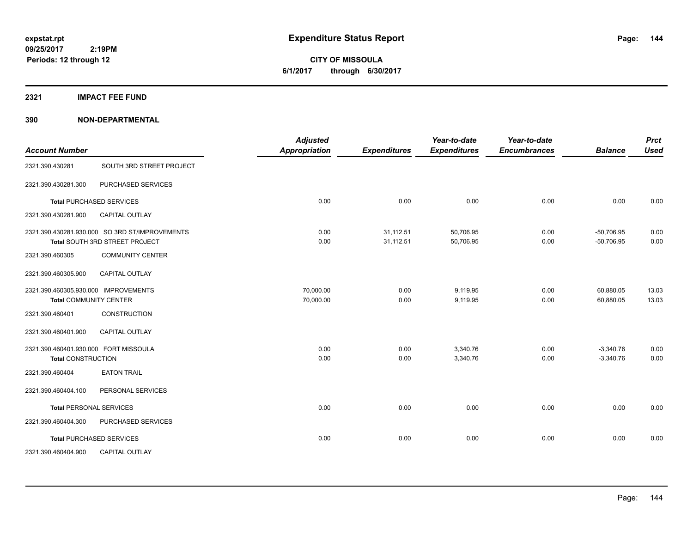**CITY OF MISSOULA 6/1/2017 through 6/30/2017**

**2321 IMPACT FEE FUND**

| <b>Account Number</b>                                              |                                                                                  | <b>Adjusted</b><br><b>Appropriation</b> | <b>Expenditures</b>    | Year-to-date<br><b>Expenditures</b> | Year-to-date<br><b>Encumbrances</b> | <b>Balance</b>               | <b>Prct</b><br><b>Used</b> |
|--------------------------------------------------------------------|----------------------------------------------------------------------------------|-----------------------------------------|------------------------|-------------------------------------|-------------------------------------|------------------------------|----------------------------|
| 2321.390.430281                                                    | SOUTH 3RD STREET PROJECT                                                         |                                         |                        |                                     |                                     |                              |                            |
| 2321.390.430281.300                                                | PURCHASED SERVICES                                                               |                                         |                        |                                     |                                     |                              |                            |
|                                                                    | <b>Total PURCHASED SERVICES</b>                                                  | 0.00                                    | 0.00                   | 0.00                                | 0.00                                | 0.00                         | 0.00                       |
| 2321.390.430281.900                                                | CAPITAL OUTLAY                                                                   |                                         |                        |                                     |                                     |                              |                            |
|                                                                    | 2321.390.430281.930.000 SO 3RD ST/IMPROVEMENTS<br>Total SOUTH 3RD STREET PROJECT | 0.00<br>0.00                            | 31,112.51<br>31,112.51 | 50,706.95<br>50,706.95              | 0.00<br>0.00                        | $-50.706.95$<br>$-50,706.95$ | 0.00<br>0.00               |
| 2321.390.460305                                                    | <b>COMMUNITY CENTER</b>                                                          |                                         |                        |                                     |                                     |                              |                            |
| 2321.390.460305.900                                                | CAPITAL OUTLAY                                                                   |                                         |                        |                                     |                                     |                              |                            |
| 2321.390.460305.930.000 IMPROVEMENTS                               | <b>Total COMMUNITY CENTER</b>                                                    | 70,000.00<br>70,000.00                  | 0.00<br>0.00           | 9,119.95<br>9,119.95                | 0.00<br>0.00                        | 60,880.05<br>60,880.05       | 13.03<br>13.03             |
| 2321.390.460401                                                    | <b>CONSTRUCTION</b>                                                              |                                         |                        |                                     |                                     |                              |                            |
| 2321.390.460401.900                                                | <b>CAPITAL OUTLAY</b>                                                            |                                         |                        |                                     |                                     |                              |                            |
| 2321.390.460401.930.000 FORT MISSOULA<br><b>Total CONSTRUCTION</b> |                                                                                  | 0.00<br>0.00                            | 0.00<br>0.00           | 3,340.76<br>3,340.76                | 0.00<br>0.00                        | $-3,340.76$<br>$-3,340.76$   | 0.00<br>0.00               |
| 2321.390.460404                                                    | <b>EATON TRAIL</b>                                                               |                                         |                        |                                     |                                     |                              |                            |
| 2321.390.460404.100                                                | PERSONAL SERVICES                                                                |                                         |                        |                                     |                                     |                              |                            |
|                                                                    | <b>Total PERSONAL SERVICES</b>                                                   | 0.00                                    | 0.00                   | 0.00                                | 0.00                                | 0.00                         | 0.00                       |
| 2321.390.460404.300                                                | PURCHASED SERVICES                                                               |                                         |                        |                                     |                                     |                              |                            |
|                                                                    | <b>Total PURCHASED SERVICES</b>                                                  | 0.00                                    | 0.00                   | 0.00                                | 0.00                                | 0.00                         | 0.00                       |
| 2321.390.460404.900                                                | CAPITAL OUTLAY                                                                   |                                         |                        |                                     |                                     |                              |                            |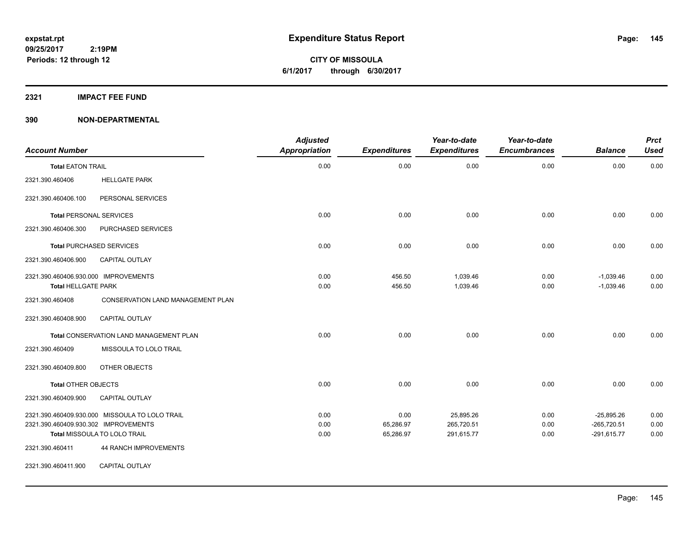**CITY OF MISSOULA 6/1/2017 through 6/30/2017**

## **2321 IMPACT FEE FUND**

| <b>Account Number</b>                                              |                                                | <b>Adjusted</b><br><b>Appropriation</b> | <b>Expenditures</b> | Year-to-date<br><b>Expenditures</b> | Year-to-date<br><b>Encumbrances</b> | <b>Balance</b>                | <b>Prct</b><br><b>Used</b> |
|--------------------------------------------------------------------|------------------------------------------------|-----------------------------------------|---------------------|-------------------------------------|-------------------------------------|-------------------------------|----------------------------|
| <b>Total EATON TRAIL</b>                                           |                                                | 0.00                                    | 0.00                | 0.00                                | 0.00                                | 0.00                          | 0.00                       |
| 2321.390.460406                                                    | <b>HELLGATE PARK</b>                           |                                         |                     |                                     |                                     |                               |                            |
| 2321.390.460406.100                                                | PERSONAL SERVICES                              |                                         |                     |                                     |                                     |                               |                            |
|                                                                    | <b>Total PERSONAL SERVICES</b>                 | 0.00                                    | 0.00                | 0.00                                | 0.00                                | 0.00                          | 0.00                       |
| 2321.390.460406.300                                                | PURCHASED SERVICES                             |                                         |                     |                                     |                                     |                               |                            |
|                                                                    | <b>Total PURCHASED SERVICES</b>                | 0.00                                    | 0.00                | 0.00                                | 0.00                                | 0.00                          | 0.00                       |
| 2321.390.460406.900                                                | <b>CAPITAL OUTLAY</b>                          |                                         |                     |                                     |                                     |                               |                            |
| 2321.390.460406.930.000 IMPROVEMENTS<br><b>Total HELLGATE PARK</b> |                                                | 0.00<br>0.00                            | 456.50<br>456.50    | 1,039.46<br>1,039.46                | 0.00<br>0.00                        | $-1,039.46$<br>$-1,039.46$    | 0.00<br>0.00               |
| 2321.390.460408                                                    | CONSERVATION LAND MANAGEMENT PLAN              |                                         |                     |                                     |                                     |                               |                            |
| 2321.390.460408.900                                                | CAPITAL OUTLAY                                 |                                         |                     |                                     |                                     |                               |                            |
|                                                                    | Total CONSERVATION LAND MANAGEMENT PLAN        | 0.00                                    | 0.00                | 0.00                                | 0.00                                | 0.00                          | 0.00                       |
| 2321.390.460409                                                    | MISSOULA TO LOLO TRAIL                         |                                         |                     |                                     |                                     |                               |                            |
| 2321.390.460409.800                                                | OTHER OBJECTS                                  |                                         |                     |                                     |                                     |                               |                            |
| <b>Total OTHER OBJECTS</b>                                         |                                                | 0.00                                    | 0.00                | 0.00                                | 0.00                                | 0.00                          | 0.00                       |
| 2321.390.460409.900                                                | <b>CAPITAL OUTLAY</b>                          |                                         |                     |                                     |                                     |                               |                            |
| 2321.390.460409.930.302 IMPROVEMENTS                               | 2321.390.460409.930.000 MISSOULA TO LOLO TRAIL | 0.00<br>0.00                            | 0.00<br>65,286.97   | 25,895.26<br>265,720.51             | 0.00<br>0.00                        | $-25,895.26$<br>$-265,720.51$ | 0.00<br>0.00               |
|                                                                    | Total MISSOULA TO LOLO TRAIL                   | 0.00                                    | 65,286.97           | 291,615.77                          | 0.00                                | $-291,615.77$                 | 0.00                       |
| 2321.390.460411                                                    | 44 RANCH IMPROVEMENTS                          |                                         |                     |                                     |                                     |                               |                            |
| 2321.390.460411.900                                                | <b>CAPITAL OUTLAY</b>                          |                                         |                     |                                     |                                     |                               |                            |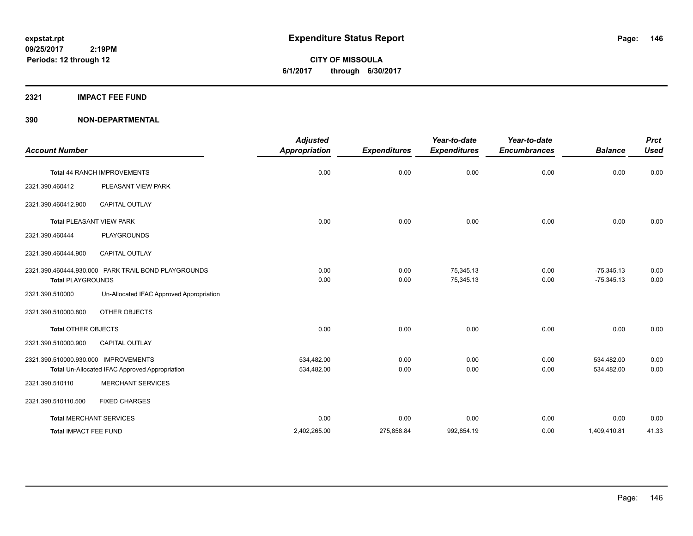**CITY OF MISSOULA 6/1/2017 through 6/30/2017**

### **2321 IMPACT FEE FUND**

| <b>Account Number</b>                |                                                     | <b>Adjusted</b><br><b>Appropriation</b> | <b>Expenditures</b> | Year-to-date<br><b>Expenditures</b> | Year-to-date<br><b>Encumbrances</b> | <b>Balance</b>               | <b>Prct</b><br><b>Used</b> |
|--------------------------------------|-----------------------------------------------------|-----------------------------------------|---------------------|-------------------------------------|-------------------------------------|------------------------------|----------------------------|
|                                      | Total 44 RANCH IMPROVEMENTS                         | 0.00                                    | 0.00                | 0.00                                | 0.00                                | 0.00                         | 0.00                       |
| 2321.390.460412                      | PLEASANT VIEW PARK                                  |                                         |                     |                                     |                                     |                              |                            |
| 2321.390.460412.900                  | CAPITAL OUTLAY                                      |                                         |                     |                                     |                                     |                              |                            |
|                                      | <b>Total PLEASANT VIEW PARK</b>                     | 0.00                                    | 0.00                | 0.00                                | 0.00                                | 0.00                         | 0.00                       |
| 2321.390.460444                      | <b>PLAYGROUNDS</b>                                  |                                         |                     |                                     |                                     |                              |                            |
| 2321.390.460444.900                  | <b>CAPITAL OUTLAY</b>                               |                                         |                     |                                     |                                     |                              |                            |
| <b>Total PLAYGROUNDS</b>             | 2321.390.460444.930.000 PARK TRAIL BOND PLAYGROUNDS | 0.00<br>0.00                            | 0.00<br>0.00        | 75,345.13<br>75,345.13              | 0.00<br>0.00                        | $-75,345.13$<br>$-75,345.13$ | 0.00<br>0.00               |
| 2321.390.510000                      | Un-Allocated IFAC Approved Appropriation            |                                         |                     |                                     |                                     |                              |                            |
| 2321.390.510000.800                  | OTHER OBJECTS                                       |                                         |                     |                                     |                                     |                              |                            |
| <b>Total OTHER OBJECTS</b>           |                                                     | 0.00                                    | 0.00                | 0.00                                | 0.00                                | 0.00                         | 0.00                       |
| 2321.390.510000.900                  | <b>CAPITAL OUTLAY</b>                               |                                         |                     |                                     |                                     |                              |                            |
| 2321.390.510000.930.000 IMPROVEMENTS | Total Un-Allocated IFAC Approved Appropriation      | 534,482.00<br>534,482.00                | 0.00<br>0.00        | 0.00<br>0.00                        | 0.00<br>0.00                        | 534,482.00<br>534,482.00     | 0.00<br>0.00               |
| 2321.390.510110                      | <b>MERCHANT SERVICES</b>                            |                                         |                     |                                     |                                     |                              |                            |
| 2321.390.510110.500                  | <b>FIXED CHARGES</b>                                |                                         |                     |                                     |                                     |                              |                            |
|                                      | <b>Total MERCHANT SERVICES</b>                      | 0.00                                    | 0.00                | 0.00                                | 0.00                                | 0.00                         | 0.00                       |
| Total IMPACT FEE FUND                |                                                     | 2,402,265.00                            | 275,858.84          | 992,854.19                          | 0.00                                | 1,409,410.81                 | 41.33                      |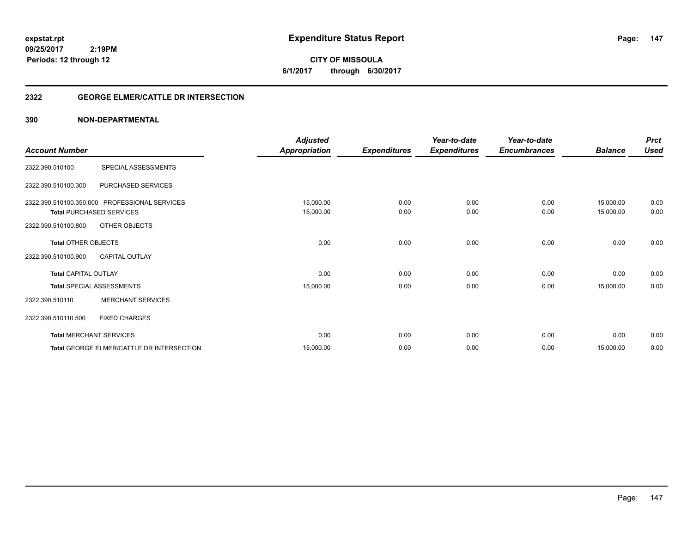**CITY OF MISSOULA 6/1/2017 through 6/30/2017**

## **2322 GEORGE ELMER/CATTLE DR INTERSECTION**

|                             |                                               | <b>Adjusted</b>      |                     | Year-to-date        | Year-to-date        |                | <b>Prct</b> |
|-----------------------------|-----------------------------------------------|----------------------|---------------------|---------------------|---------------------|----------------|-------------|
| <b>Account Number</b>       |                                               | <b>Appropriation</b> | <b>Expenditures</b> | <b>Expenditures</b> | <b>Encumbrances</b> | <b>Balance</b> | <b>Used</b> |
| 2322.390.510100             | SPECIAL ASSESSMENTS                           |                      |                     |                     |                     |                |             |
| 2322.390.510100.300         | PURCHASED SERVICES                            |                      |                     |                     |                     |                |             |
|                             | 2322.390.510100.350.000 PROFESSIONAL SERVICES | 15,000.00            | 0.00                | 0.00                | 0.00                | 15,000.00      | 0.00        |
|                             | <b>Total PURCHASED SERVICES</b>               | 15,000.00            | 0.00                | 0.00                | 0.00                | 15,000.00      | 0.00        |
| 2322.390.510100.800         | OTHER OBJECTS                                 |                      |                     |                     |                     |                |             |
| <b>Total OTHER OBJECTS</b>  |                                               | 0.00                 | 0.00                | 0.00                | 0.00                | 0.00           | 0.00        |
| 2322.390.510100.900         | <b>CAPITAL OUTLAY</b>                         |                      |                     |                     |                     |                |             |
| <b>Total CAPITAL OUTLAY</b> |                                               | 0.00                 | 0.00                | 0.00                | 0.00                | 0.00           | 0.00        |
|                             | <b>Total SPECIAL ASSESSMENTS</b>              | 15,000.00            | 0.00                | 0.00                | 0.00                | 15,000.00      | 0.00        |
| 2322.390.510110             | <b>MERCHANT SERVICES</b>                      |                      |                     |                     |                     |                |             |
| 2322.390.510110.500         | <b>FIXED CHARGES</b>                          |                      |                     |                     |                     |                |             |
|                             | <b>Total MERCHANT SERVICES</b>                | 0.00                 | 0.00                | 0.00                | 0.00                | 0.00           | 0.00        |
|                             | Total GEORGE ELMER/CATTLE DR INTERSECTION     | 15,000.00            | 0.00                | 0.00                | 0.00                | 15,000.00      | 0.00        |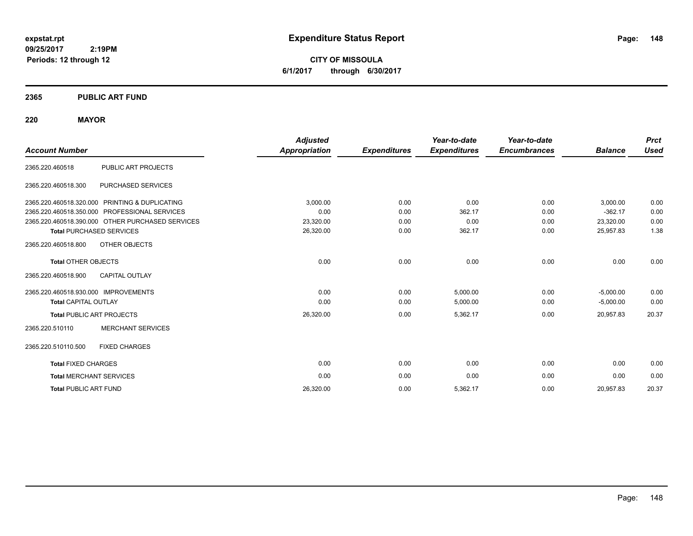**CITY OF MISSOULA 6/1/2017 through 6/30/2017**

## **2365 PUBLIC ART FUND**

## **220 MAYOR**

|                                      |                                                  | <b>Adjusted</b>      |                     | Year-to-date        | Year-to-date        |                | <b>Prct</b> |
|--------------------------------------|--------------------------------------------------|----------------------|---------------------|---------------------|---------------------|----------------|-------------|
| <b>Account Number</b>                |                                                  | <b>Appropriation</b> | <b>Expenditures</b> | <b>Expenditures</b> | <b>Encumbrances</b> | <b>Balance</b> | <b>Used</b> |
| 2365.220.460518                      | <b>PUBLIC ART PROJECTS</b>                       |                      |                     |                     |                     |                |             |
| 2365.220.460518.300                  | PURCHASED SERVICES                               |                      |                     |                     |                     |                |             |
|                                      | 2365.220.460518.320.000 PRINTING & DUPLICATING   | 3,000.00             | 0.00                | 0.00                | 0.00                | 3,000.00       | 0.00        |
|                                      | 2365.220.460518.350.000 PROFESSIONAL SERVICES    | 0.00                 | 0.00                | 362.17              | 0.00                | $-362.17$      | 0.00        |
|                                      | 2365.220.460518.390.000 OTHER PURCHASED SERVICES | 23,320.00            | 0.00                | 0.00                | 0.00                | 23,320.00      | 0.00        |
|                                      | <b>Total PURCHASED SERVICES</b>                  | 26,320.00            | 0.00                | 362.17              | 0.00                | 25,957.83      | 1.38        |
| 2365.220.460518.800                  | <b>OTHER OBJECTS</b>                             |                      |                     |                     |                     |                |             |
| <b>Total OTHER OBJECTS</b>           |                                                  | 0.00                 | 0.00                | 0.00                | 0.00                | 0.00           | 0.00        |
| 2365.220.460518.900                  | <b>CAPITAL OUTLAY</b>                            |                      |                     |                     |                     |                |             |
| 2365.220.460518.930.000 IMPROVEMENTS |                                                  | 0.00                 | 0.00                | 5,000.00            | 0.00                | $-5,000.00$    | 0.00        |
| <b>Total CAPITAL OUTLAY</b>          |                                                  | 0.00                 | 0.00                | 5,000.00            | 0.00                | $-5,000.00$    | 0.00        |
|                                      | <b>Total PUBLIC ART PROJECTS</b>                 | 26,320.00            | 0.00                | 5,362.17            | 0.00                | 20,957.83      | 20.37       |
| 2365.220.510110                      | <b>MERCHANT SERVICES</b>                         |                      |                     |                     |                     |                |             |
| 2365.220.510110.500                  | <b>FIXED CHARGES</b>                             |                      |                     |                     |                     |                |             |
| <b>Total FIXED CHARGES</b>           |                                                  | 0.00                 | 0.00                | 0.00                | 0.00                | 0.00           | 0.00        |
| <b>Total MERCHANT SERVICES</b>       |                                                  | 0.00                 | 0.00                | 0.00                | 0.00                | 0.00           | 0.00        |
| <b>Total PUBLIC ART FUND</b>         |                                                  | 26,320.00            | 0.00                | 5,362.17            | 0.00                | 20,957.83      | 20.37       |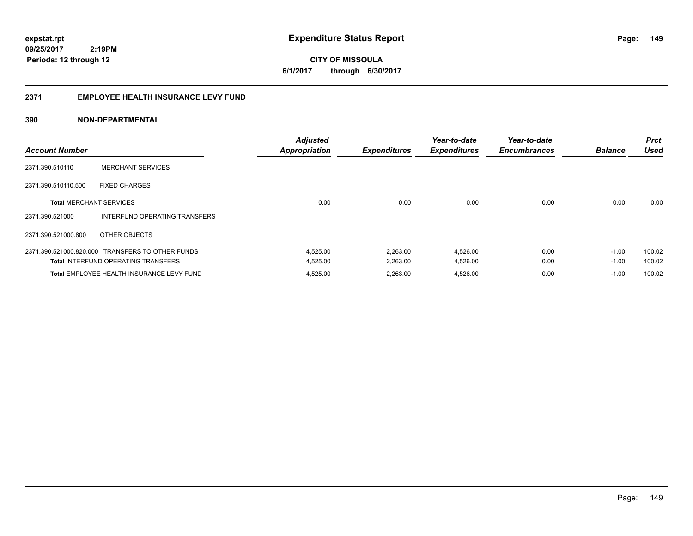**149**

**09/25/2017 2:19PM Periods: 12 through 12**

**CITY OF MISSOULA 6/1/2017 through 6/30/2017**

## **2371 EMPLOYEE HEALTH INSURANCE LEVY FUND**

| <b>Account Number</b>          |                                                  | <b>Adjusted</b><br><b>Appropriation</b> | <b>Expenditures</b> | Year-to-date<br><b>Expenditures</b> | Year-to-date<br><b>Encumbrances</b> | <b>Balance</b> | <b>Prct</b><br><b>Used</b> |
|--------------------------------|--------------------------------------------------|-----------------------------------------|---------------------|-------------------------------------|-------------------------------------|----------------|----------------------------|
| 2371.390.510110                | <b>MERCHANT SERVICES</b>                         |                                         |                     |                                     |                                     |                |                            |
| 2371.390.510110.500            | <b>FIXED CHARGES</b>                             |                                         |                     |                                     |                                     |                |                            |
| <b>Total MERCHANT SERVICES</b> |                                                  | 0.00                                    | 0.00                | 0.00                                | 0.00                                | 0.00           | 0.00                       |
| 2371.390.521000                | INTERFUND OPERATING TRANSFERS                    |                                         |                     |                                     |                                     |                |                            |
| 2371.390.521000.800            | OTHER OBJECTS                                    |                                         |                     |                                     |                                     |                |                            |
|                                | 2371.390.521000.820.000 TRANSFERS TO OTHER FUNDS | 4,525.00                                | 2,263.00            | 4,526.00                            | 0.00                                | $-1.00$        | 100.02                     |
|                                | <b>Total INTERFUND OPERATING TRANSFERS</b>       | 4,525.00                                | 2,263.00            | 4,526.00                            | 0.00                                | $-1.00$        | 100.02                     |
|                                | Total EMPLOYEE HEALTH INSURANCE LEVY FUND        | 4,525.00                                | 2,263.00            | 4,526.00                            | 0.00                                | $-1.00$        | 100.02                     |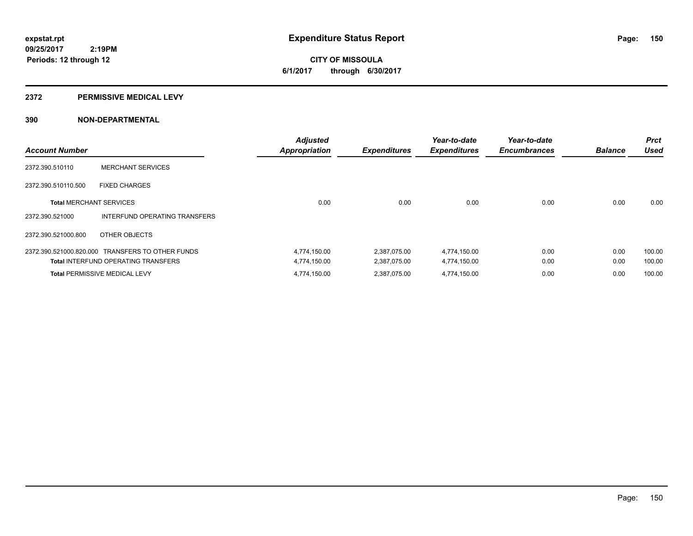**CITY OF MISSOULA 6/1/2017 through 6/30/2017**

### **2372 PERMISSIVE MEDICAL LEVY**

| <b>Account Number</b>          |                                                  | <b>Adjusted</b><br><b>Appropriation</b> | <b>Expenditures</b> | Year-to-date<br><b>Expenditures</b> | Year-to-date<br><b>Encumbrances</b> | <b>Balance</b> | <b>Prct</b><br><b>Used</b> |
|--------------------------------|--------------------------------------------------|-----------------------------------------|---------------------|-------------------------------------|-------------------------------------|----------------|----------------------------|
| 2372.390.510110                | <b>MERCHANT SERVICES</b>                         |                                         |                     |                                     |                                     |                |                            |
| 2372.390.510110.500            | <b>FIXED CHARGES</b>                             |                                         |                     |                                     |                                     |                |                            |
| <b>Total MERCHANT SERVICES</b> |                                                  | 0.00                                    | 0.00                | 0.00                                | 0.00                                | 0.00           | 0.00                       |
| 2372.390.521000                | INTERFUND OPERATING TRANSFERS                    |                                         |                     |                                     |                                     |                |                            |
| 2372.390.521000.800            | OTHER OBJECTS                                    |                                         |                     |                                     |                                     |                |                            |
|                                | 2372.390.521000.820.000 TRANSFERS TO OTHER FUNDS | 4,774,150.00                            | 2,387,075.00        | 4,774,150.00                        | 0.00                                | 0.00           | 100.00                     |
|                                | <b>Total INTERFUND OPERATING TRANSFERS</b>       | 4,774,150.00                            | 2,387,075.00        | 4,774,150.00                        | 0.00                                | 0.00           | 100.00                     |
|                                | <b>Total PERMISSIVE MEDICAL LEVY</b>             | 4,774,150.00                            | 2.387.075.00        | 4,774,150.00                        | 0.00                                | 0.00           | 100.00                     |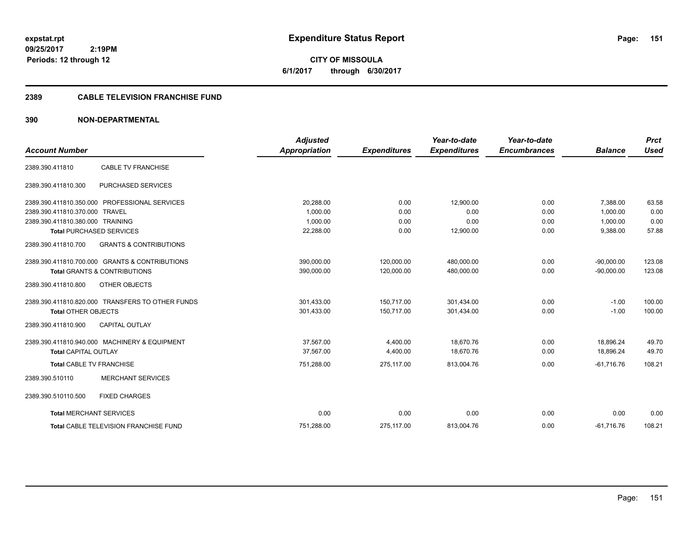**CITY OF MISSOULA 6/1/2017 through 6/30/2017**

## **2389 CABLE TELEVISION FRANCHISE FUND**

| <b>Account Number</b>            |                                                  | <b>Adjusted</b><br>Appropriation | <b>Expenditures</b> | Year-to-date<br><b>Expenditures</b> | Year-to-date<br><b>Encumbrances</b> | <b>Balance</b> | <b>Prct</b><br><b>Used</b> |
|----------------------------------|--------------------------------------------------|----------------------------------|---------------------|-------------------------------------|-------------------------------------|----------------|----------------------------|
|                                  |                                                  |                                  |                     |                                     |                                     |                |                            |
| 2389.390.411810                  | <b>CABLE TV FRANCHISE</b>                        |                                  |                     |                                     |                                     |                |                            |
| 2389.390.411810.300              | PURCHASED SERVICES                               |                                  |                     |                                     |                                     |                |                            |
|                                  | 2389.390.411810.350.000 PROFESSIONAL SERVICES    | 20,288.00                        | 0.00                | 12,900.00                           | 0.00                                | 7,388.00       | 63.58                      |
| 2389.390.411810.370.000 TRAVEL   |                                                  | 1,000.00                         | 0.00                | 0.00                                | 0.00                                | 1,000.00       | 0.00                       |
| 2389.390.411810.380.000 TRAINING |                                                  | 1,000.00                         | 0.00                | 0.00                                | 0.00                                | 1,000.00       | 0.00                       |
|                                  | <b>Total PURCHASED SERVICES</b>                  | 22,288.00                        | 0.00                | 12,900.00                           | 0.00                                | 9,388.00       | 57.88                      |
| 2389.390.411810.700              | <b>GRANTS &amp; CONTRIBUTIONS</b>                |                                  |                     |                                     |                                     |                |                            |
|                                  | 2389.390.411810.700.000 GRANTS & CONTRIBUTIONS   | 390,000.00                       | 120,000.00          | 480,000.00                          | 0.00                                | $-90,000.00$   | 123.08                     |
|                                  | <b>Total GRANTS &amp; CONTRIBUTIONS</b>          | 390,000.00                       | 120,000.00          | 480,000.00                          | 0.00                                | $-90,000.00$   | 123.08                     |
| 2389.390.411810.800              | OTHER OBJECTS                                    |                                  |                     |                                     |                                     |                |                            |
|                                  | 2389.390.411810.820.000 TRANSFERS TO OTHER FUNDS | 301,433.00                       | 150,717.00          | 301,434.00                          | 0.00                                | $-1.00$        | 100.00                     |
| <b>Total OTHER OBJECTS</b>       |                                                  | 301,433.00                       | 150.717.00          | 301.434.00                          | 0.00                                | $-1.00$        | 100.00                     |
| 2389.390.411810.900              | <b>CAPITAL OUTLAY</b>                            |                                  |                     |                                     |                                     |                |                            |
|                                  | 2389.390.411810.940.000 MACHINERY & EQUIPMENT    | 37,567.00                        | 4,400.00            | 18,670.76                           | 0.00                                | 18,896.24      | 49.70                      |
| <b>Total CAPITAL OUTLAY</b>      |                                                  | 37.567.00                        | 4,400.00            | 18.670.76                           | 0.00                                | 18.896.24      | 49.70                      |
| <b>Total CABLE TV FRANCHISE</b>  |                                                  | 751,288.00                       | 275,117.00          | 813,004.76                          | 0.00                                | $-61,716.76$   | 108.21                     |
| 2389.390.510110                  | <b>MERCHANT SERVICES</b>                         |                                  |                     |                                     |                                     |                |                            |
| 2389.390.510110.500              | <b>FIXED CHARGES</b>                             |                                  |                     |                                     |                                     |                |                            |
| <b>Total MERCHANT SERVICES</b>   |                                                  | 0.00                             | 0.00                | 0.00                                | 0.00                                | 0.00           | 0.00                       |
|                                  | Total CABLE TELEVISION FRANCHISE FUND            | 751,288.00                       | 275,117.00          | 813,004.76                          | 0.00                                | $-61,716.76$   | 108.21                     |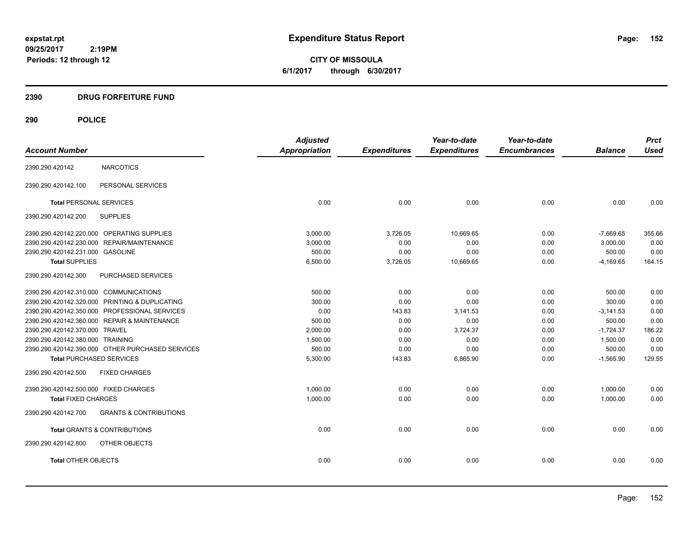**CITY OF MISSOULA 6/1/2017 through 6/30/2017**

## **2390 DRUG FORFEITURE FUND**

# **290 POLICE**

|                                            |                                                  | <b>Adjusted</b>      |                     | Year-to-date        | Year-to-date        |                | <b>Prct</b> |
|--------------------------------------------|--------------------------------------------------|----------------------|---------------------|---------------------|---------------------|----------------|-------------|
| <b>Account Number</b>                      |                                                  | <b>Appropriation</b> | <b>Expenditures</b> | <b>Expenditures</b> | <b>Encumbrances</b> | <b>Balance</b> | <b>Used</b> |
| 2390.290.420142                            | <b>NARCOTICS</b>                                 |                      |                     |                     |                     |                |             |
| 2390.290.420142.100                        | PERSONAL SERVICES                                |                      |                     |                     |                     |                |             |
| <b>Total PERSONAL SERVICES</b>             |                                                  | 0.00                 | 0.00                | 0.00                | 0.00                | 0.00           | 0.00        |
| 2390.290.420142.200                        | <b>SUPPLIES</b>                                  |                      |                     |                     |                     |                |             |
| 2390.290.420142.220.000 OPERATING SUPPLIES |                                                  | 3,000.00             | 3,726.05            | 10,669.65           | 0.00                | $-7,669.65$    | 355.66      |
| 2390.290.420142.230.000 REPAIR/MAINTENANCE |                                                  | 3,000.00             | 0.00                | 0.00                | 0.00                | 3,000.00       | 0.00        |
| 2390.290.420142.231.000 GASOLINE           |                                                  | 500.00               | 0.00                | 0.00                | 0.00                | 500.00         | 0.00        |
| <b>Total SUPPLIES</b>                      |                                                  | 6,500.00             | 3,726.05            | 10,669.65           | 0.00                | $-4,169.65$    | 164.15      |
| 2390.290.420142.300                        | PURCHASED SERVICES                               |                      |                     |                     |                     |                |             |
| 2390.290.420142.310.000 COMMUNICATIONS     |                                                  | 500.00               | 0.00                | 0.00                | 0.00                | 500.00         | 0.00        |
|                                            | 2390.290.420142.320.000 PRINTING & DUPLICATING   | 300.00               | 0.00                | 0.00                | 0.00                | 300.00         | 0.00        |
|                                            | 2390.290.420142.350.000 PROFESSIONAL SERVICES    | 0.00                 | 143.83              | 3,141.53            | 0.00                | $-3,141.53$    | 0.00        |
|                                            | 2390.290.420142.360.000 REPAIR & MAINTENANCE     | 500.00               | 0.00                | 0.00                | 0.00                | 500.00         | 0.00        |
| 2390.290.420142.370.000 TRAVEL             |                                                  | 2,000.00             | 0.00                | 3,724.37            | 0.00                | $-1,724.37$    | 186.22      |
| 2390.290.420142.380.000 TRAINING           |                                                  | 1,500.00             | 0.00                | 0.00                | 0.00                | 1,500.00       | 0.00        |
|                                            | 2390.290.420142.390.000 OTHER PURCHASED SERVICES | 500.00               | 0.00                | 0.00                | 0.00                | 500.00         | 0.00        |
| <b>Total PURCHASED SERVICES</b>            |                                                  | 5,300.00             | 143.83              | 6,865.90            | 0.00                | $-1,565.90$    | 129.55      |
| 2390.290.420142.500                        | <b>FIXED CHARGES</b>                             |                      |                     |                     |                     |                |             |
| 2390.290.420142.500.000 FIXED CHARGES      |                                                  | 1,000.00             | 0.00                | 0.00                | 0.00                | 1,000.00       | 0.00        |
| <b>Total FIXED CHARGES</b>                 |                                                  | 1,000.00             | 0.00                | 0.00                | 0.00                | 1,000.00       | 0.00        |
| 2390.290.420142.700                        | <b>GRANTS &amp; CONTRIBUTIONS</b>                |                      |                     |                     |                     |                |             |
| <b>Total GRANTS &amp; CONTRIBUTIONS</b>    |                                                  | 0.00                 | 0.00                | 0.00                | 0.00                | 0.00           | 0.00        |
| 2390.290.420142.800                        | OTHER OBJECTS                                    |                      |                     |                     |                     |                |             |
| <b>Total OTHER OBJECTS</b>                 |                                                  | 0.00                 | 0.00                | 0.00                | 0.00                | 0.00           | 0.00        |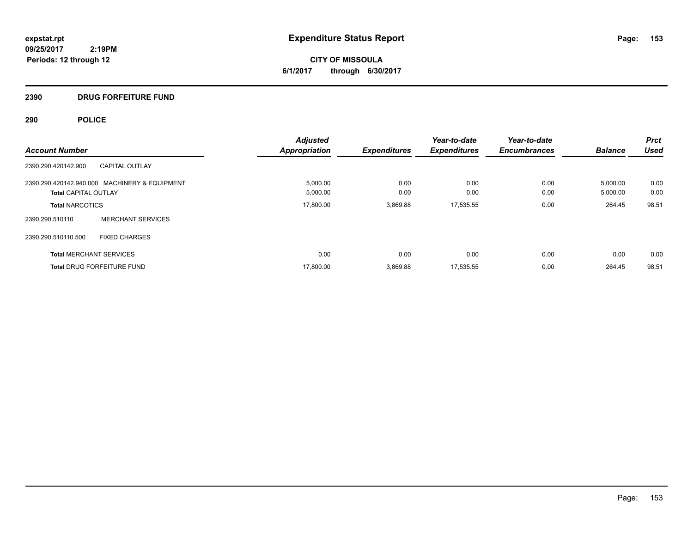**CITY OF MISSOULA 6/1/2017 through 6/30/2017**

# **2390 DRUG FORFEITURE FUND**

# **290 POLICE**

|                                |                                               | <b>Adjusted</b>      |                     | Year-to-date        | Year-to-date        |                | <b>Prct</b> |
|--------------------------------|-----------------------------------------------|----------------------|---------------------|---------------------|---------------------|----------------|-------------|
| <b>Account Number</b>          |                                               | <b>Appropriation</b> | <b>Expenditures</b> | <b>Expenditures</b> | <b>Encumbrances</b> | <b>Balance</b> | Used        |
| 2390.290.420142.900            | <b>CAPITAL OUTLAY</b>                         |                      |                     |                     |                     |                |             |
|                                | 2390.290.420142.940.000 MACHINERY & EQUIPMENT | 5,000.00             | 0.00                | 0.00                | 0.00                | 5,000.00       | 0.00        |
| <b>Total CAPITAL OUTLAY</b>    |                                               | 5,000.00             | 0.00                | 0.00                | 0.00                | 5,000.00       | 0.00        |
| <b>Total NARCOTICS</b>         |                                               | 17,800.00            | 3.869.88            | 17,535.55           | 0.00                | 264.45         | 98.51       |
| 2390.290.510110                | <b>MERCHANT SERVICES</b>                      |                      |                     |                     |                     |                |             |
| 2390.290.510110.500            | <b>FIXED CHARGES</b>                          |                      |                     |                     |                     |                |             |
| <b>Total MERCHANT SERVICES</b> |                                               | 0.00                 | 0.00                | 0.00                | 0.00                | 0.00           | 0.00        |
|                                | <b>Total DRUG FORFEITURE FUND</b>             | 17,800.00            | 3,869.88            | 17,535.55           | 0.00                | 264.45         | 98.51       |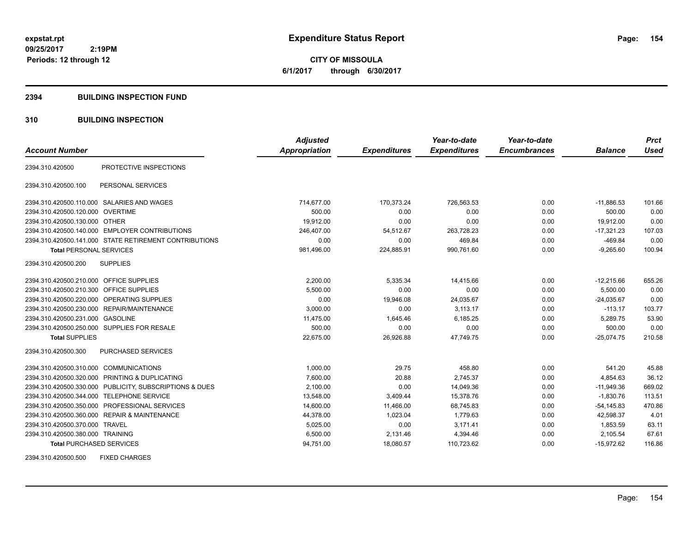**CITY OF MISSOULA 6/1/2017 through 6/30/2017**

### **2394 BUILDING INSPECTION FUND**

## **310 BUILDING INSPECTION**

|                                           |                                                         | <b>Adjusted</b>      |                     | Year-to-date        | Year-to-date        |                | <b>Prct</b> |
|-------------------------------------------|---------------------------------------------------------|----------------------|---------------------|---------------------|---------------------|----------------|-------------|
| <b>Account Number</b>                     |                                                         | <b>Appropriation</b> | <b>Expenditures</b> | <b>Expenditures</b> | <b>Encumbrances</b> | <b>Balance</b> | <b>Used</b> |
| 2394.310.420500                           | PROTECTIVE INSPECTIONS                                  |                      |                     |                     |                     |                |             |
| 2394.310.420500.100                       | PERSONAL SERVICES                                       |                      |                     |                     |                     |                |             |
|                                           | 2394.310.420500.110.000 SALARIES AND WAGES              | 714,677.00           | 170,373.24          | 726,563.53          | 0.00                | $-11.886.53$   | 101.66      |
| 2394.310.420500.120.000 OVERTIME          |                                                         | 500.00               | 0.00                | 0.00                | 0.00                | 500.00         | 0.00        |
| 2394.310.420500.130.000 OTHER             |                                                         | 19,912.00            | 0.00                | 0.00                | 0.00                | 19,912.00      | 0.00        |
|                                           | 2394.310.420500.140.000 EMPLOYER CONTRIBUTIONS          | 246,407.00           | 54,512.67           | 263,728.23          | 0.00                | $-17,321.23$   | 107.03      |
|                                           | 2394.310.420500.141.000 STATE RETIREMENT CONTRIBUTIONS  | 0.00                 | 0.00                | 469.84              | 0.00                | $-469.84$      | 0.00        |
| <b>Total PERSONAL SERVICES</b>            |                                                         | 981,496.00           | 224,885.91          | 990,761.60          | 0.00                | $-9,265.60$    | 100.94      |
| 2394.310.420500.200                       | <b>SUPPLIES</b>                                         |                      |                     |                     |                     |                |             |
| 2394.310.420500.210.000 OFFICE SUPPLIES   |                                                         | 2,200.00             | 5,335.34            | 14,415.66           | 0.00                | $-12,215.66$   | 655.26      |
| 2394.310.420500.210.300 OFFICE SUPPLIES   |                                                         | 5,500.00             | 0.00                | 0.00                | 0.00                | 5,500.00       | 0.00        |
| 2394.310.420500.220.000                   | <b>OPERATING SUPPLIES</b>                               | 0.00                 | 19,946.08           | 24,035.67           | 0.00                | $-24,035.67$   | 0.00        |
|                                           | 2394.310.420500.230.000 REPAIR/MAINTENANCE              | 3,000.00             | 0.00                | 3,113.17            | 0.00                | $-113.17$      | 103.77      |
| 2394.310.420500.231.000                   | <b>GASOLINE</b>                                         | 11,475.00            | 1,645.46            | 6,185.25            | 0.00                | 5,289.75       | 53.90       |
|                                           | 2394.310.420500.250.000 SUPPLIES FOR RESALE             | 500.00               | 0.00                | 0.00                | 0.00                | 500.00         | 0.00        |
| <b>Total SUPPLIES</b>                     |                                                         | 22.675.00            | 26.926.88           | 47.749.75           | 0.00                | $-25.074.75$   | 210.58      |
| 2394.310.420500.300                       | <b>PURCHASED SERVICES</b>                               |                      |                     |                     |                     |                |             |
| 2394.310.420500.310.000 COMMUNICATIONS    |                                                         | 1,000.00             | 29.75               | 458.80              | 0.00                | 541.20         | 45.88       |
|                                           | 2394.310.420500.320.000 PRINTING & DUPLICATING          | 7,600.00             | 20.88               | 2,745.37            | 0.00                | 4,854.63       | 36.12       |
|                                           | 2394.310.420500.330.000 PUBLICITY, SUBSCRIPTIONS & DUES | 2,100.00             | 0.00                | 14,049.36           | 0.00                | $-11,949.36$   | 669.02      |
| 2394.310.420500.344.000 TELEPHONE SERVICE |                                                         | 13,548.00            | 3,409.44            | 15.378.76           | 0.00                | $-1.830.76$    | 113.51      |
|                                           | 2394.310.420500.350.000 PROFESSIONAL SERVICES           | 14,600.00            | 11,466.00           | 68,745.83           | 0.00                | $-54, 145.83$  | 470.86      |
|                                           | 2394.310.420500.360.000 REPAIR & MAINTENANCE            | 44,378.00            | 1,023.04            | 1,779.63            | 0.00                | 42,598.37      | 4.01        |
| 2394.310.420500.370.000 TRAVEL            |                                                         | 5,025.00             | 0.00                | 3,171.41            | 0.00                | 1,853.59       | 63.11       |
| 2394.310.420500.380.000 TRAINING          |                                                         | 6,500.00             | 2,131.46            | 4,394.46            | 0.00                | 2,105.54       | 67.61       |
| <b>Total PURCHASED SERVICES</b>           |                                                         | 94,751.00            | 18,080.57           | 110,723.62          | 0.00                | $-15,972.62$   | 116.86      |

2394.310.420500.500 FIXED CHARGES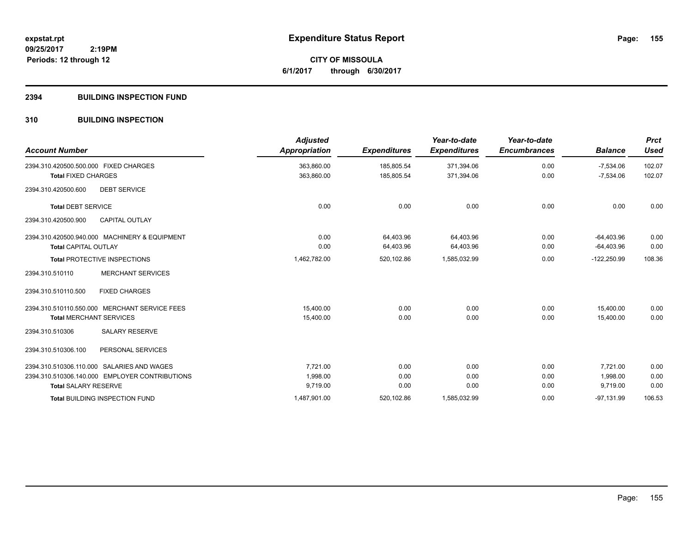**155**

**09/25/2017 2:19PM Periods: 12 through 12**

**CITY OF MISSOULA 6/1/2017 through 6/30/2017**

## **2394 BUILDING INSPECTION FUND**

## **310 BUILDING INSPECTION**

| <b>Account Number</b>                          | <b>Adjusted</b><br>Appropriation | <b>Expenditures</b> | Year-to-date<br><b>Expenditures</b> | Year-to-date<br><b>Encumbrances</b> | <b>Balance</b> | <b>Prct</b><br><b>Used</b> |
|------------------------------------------------|----------------------------------|---------------------|-------------------------------------|-------------------------------------|----------------|----------------------------|
| 2394.310.420500.500.000 FIXED CHARGES          | 363,860.00                       | 185.805.54          | 371,394.06                          | 0.00                                | $-7,534.06$    | 102.07                     |
| <b>Total FIXED CHARGES</b>                     | 363,860.00                       | 185,805.54          | 371,394.06                          | 0.00                                | $-7,534.06$    | 102.07                     |
| <b>DEBT SERVICE</b><br>2394.310.420500.600     |                                  |                     |                                     |                                     |                |                            |
| <b>Total DEBT SERVICE</b>                      | 0.00                             | 0.00                | 0.00                                | 0.00                                | 0.00           | 0.00                       |
| 2394.310.420500.900<br>CAPITAL OUTLAY          |                                  |                     |                                     |                                     |                |                            |
| 2394.310.420500.940.000 MACHINERY & EQUIPMENT  | 0.00                             | 64,403.96           | 64.403.96                           | 0.00                                | $-64.403.96$   | 0.00                       |
| <b>Total CAPITAL OUTLAY</b>                    | 0.00                             | 64,403.96           | 64,403.96                           | 0.00                                | $-64,403.96$   | 0.00                       |
| <b>Total PROTECTIVE INSPECTIONS</b>            | 1,462,782.00                     | 520,102.86          | 1,585,032.99                        | 0.00                                | $-122,250.99$  | 108.36                     |
| <b>MERCHANT SERVICES</b><br>2394.310.510110    |                                  |                     |                                     |                                     |                |                            |
| 2394.310.510110.500<br><b>FIXED CHARGES</b>    |                                  |                     |                                     |                                     |                |                            |
| 2394.310.510110.550.000 MERCHANT SERVICE FEES  | 15.400.00                        | 0.00                | 0.00                                | 0.00                                | 15.400.00      | 0.00                       |
| <b>Total MERCHANT SERVICES</b>                 | 15,400.00                        | 0.00                | 0.00                                | 0.00                                | 15.400.00      | 0.00                       |
| <b>SALARY RESERVE</b><br>2394.310.510306       |                                  |                     |                                     |                                     |                |                            |
| 2394.310.510306.100<br>PERSONAL SERVICES       |                                  |                     |                                     |                                     |                |                            |
| 2394.310.510306.110.000 SALARIES AND WAGES     | 7.721.00                         | 0.00                | 0.00                                | 0.00                                | 7.721.00       | 0.00                       |
| 2394.310.510306.140.000 EMPLOYER CONTRIBUTIONS | 1,998.00                         | 0.00                | 0.00                                | 0.00                                | 1,998.00       | 0.00                       |
| <b>Total SALARY RESERVE</b>                    | 9,719.00                         | 0.00                | 0.00                                | 0.00                                | 9,719.00       | 0.00                       |
| <b>Total BUILDING INSPECTION FUND</b>          | 1,487,901.00                     | 520,102.86          | 1,585,032.99                        | 0.00                                | $-97,131.99$   | 106.53                     |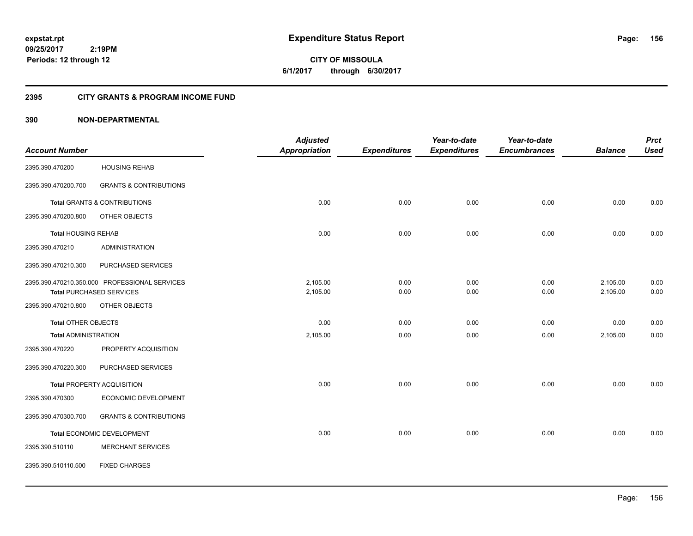**CITY OF MISSOULA 6/1/2017 through 6/30/2017**

## **2395 CITY GRANTS & PROGRAM INCOME FUND**

|                             |                                               | <b>Adjusted</b>      |                     | Year-to-date        | Year-to-date        |                | <b>Prct</b> |
|-----------------------------|-----------------------------------------------|----------------------|---------------------|---------------------|---------------------|----------------|-------------|
| <b>Account Number</b>       |                                               | <b>Appropriation</b> | <b>Expenditures</b> | <b>Expenditures</b> | <b>Encumbrances</b> | <b>Balance</b> | <b>Used</b> |
| 2395.390.470200             | <b>HOUSING REHAB</b>                          |                      |                     |                     |                     |                |             |
| 2395.390.470200.700         | <b>GRANTS &amp; CONTRIBUTIONS</b>             |                      |                     |                     |                     |                |             |
|                             | <b>Total GRANTS &amp; CONTRIBUTIONS</b>       | 0.00                 | 0.00                | 0.00                | 0.00                | 0.00           | 0.00        |
| 2395.390.470200.800         | OTHER OBJECTS                                 |                      |                     |                     |                     |                |             |
| <b>Total HOUSING REHAB</b>  |                                               | 0.00                 | 0.00                | 0.00                | 0.00                | 0.00           | 0.00        |
| 2395.390.470210             | <b>ADMINISTRATION</b>                         |                      |                     |                     |                     |                |             |
| 2395.390.470210.300         | PURCHASED SERVICES                            |                      |                     |                     |                     |                |             |
|                             | 2395.390.470210.350.000 PROFESSIONAL SERVICES | 2,105.00             | 0.00                | 0.00                | 0.00                | 2,105.00       | 0.00        |
|                             | <b>Total PURCHASED SERVICES</b>               | 2,105.00             | 0.00                | 0.00                | 0.00                | 2,105.00       | 0.00        |
| 2395.390.470210.800         | OTHER OBJECTS                                 |                      |                     |                     |                     |                |             |
| <b>Total OTHER OBJECTS</b>  |                                               | 0.00                 | 0.00                | 0.00                | 0.00                | 0.00           | 0.00        |
| <b>Total ADMINISTRATION</b> |                                               | 2,105.00             | 0.00                | 0.00                | 0.00                | 2,105.00       | 0.00        |
| 2395.390.470220             | PROPERTY ACQUISITION                          |                      |                     |                     |                     |                |             |
| 2395.390.470220.300         | PURCHASED SERVICES                            |                      |                     |                     |                     |                |             |
|                             | <b>Total PROPERTY ACQUISITION</b>             | 0.00                 | 0.00                | 0.00                | 0.00                | 0.00           | 0.00        |
| 2395.390.470300             | ECONOMIC DEVELOPMENT                          |                      |                     |                     |                     |                |             |
| 2395.390.470300.700         | <b>GRANTS &amp; CONTRIBUTIONS</b>             |                      |                     |                     |                     |                |             |
|                             | Total ECONOMIC DEVELOPMENT                    | 0.00                 | 0.00                | 0.00                | 0.00                | 0.00           | 0.00        |
| 2395.390.510110             | <b>MERCHANT SERVICES</b>                      |                      |                     |                     |                     |                |             |
| 2395.390.510110.500         | <b>FIXED CHARGES</b>                          |                      |                     |                     |                     |                |             |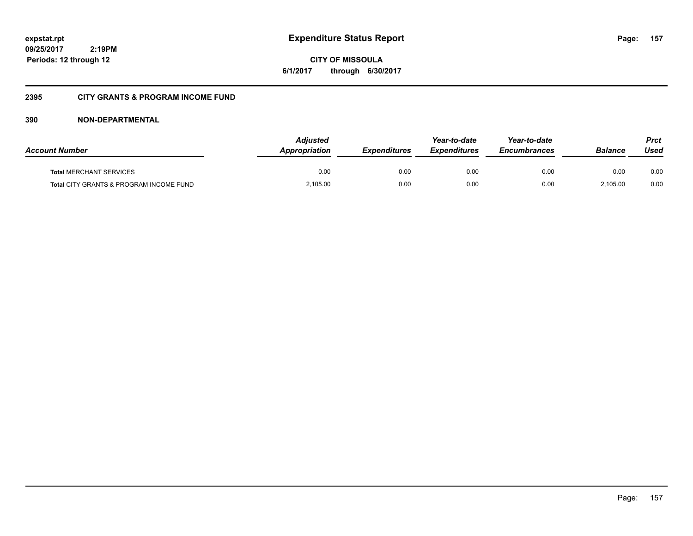**CITY OF MISSOULA 6/1/2017 through 6/30/2017**

## **2395 CITY GRANTS & PROGRAM INCOME FUND**

| <b>Account Number</b>                   | <b>Adjusted</b><br><b>Appropriation</b> | <b>Expenditures</b> | Year-to-date<br><b>Expenditures</b> | Year-to-date<br><b>Encumbrances</b> | <b>Balance</b> | <b>Prct</b><br>Used |
|-----------------------------------------|-----------------------------------------|---------------------|-------------------------------------|-------------------------------------|----------------|---------------------|
| <b>Total MERCHANT SERVICES</b>          | 0.00                                    | 0.00                | 0.00                                | 0.00                                | 0.00           | 0.00                |
| Total CITY GRANTS & PROGRAM INCOME FUND | 2,105.00                                | 0.00                | 0.00                                | 0.00                                | 2.105.00       | 0.00                |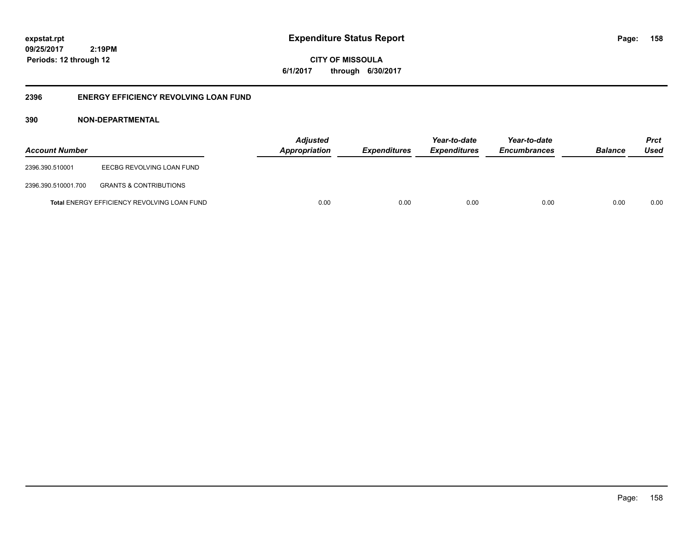**158**

**09/25/2017 2:19PM Periods: 12 through 12**

**CITY OF MISSOULA 6/1/2017 through 6/30/2017**

## **2396 ENERGY EFFICIENCY REVOLVING LOAN FUND**

| <b>Account Number</b> |                                             | <b>Adjusted</b><br>Appropriation | <b>Expenditures</b> | Year-to-date<br><b>Expenditures</b> | Year-to-date<br><b>Encumbrances</b> | <b>Balance</b> | <b>Prct</b><br>Used |
|-----------------------|---------------------------------------------|----------------------------------|---------------------|-------------------------------------|-------------------------------------|----------------|---------------------|
| 2396.390.510001       | EECBG REVOLVING LOAN FUND                   |                                  |                     |                                     |                                     |                |                     |
| 2396.390.510001.700   | <b>GRANTS &amp; CONTRIBUTIONS</b>           |                                  |                     |                                     |                                     |                |                     |
|                       | Total ENERGY EFFICIENCY REVOLVING LOAN FUND | 0.00                             | 0.00                | 0.00                                | 0.00                                | 0.00           | 0.00                |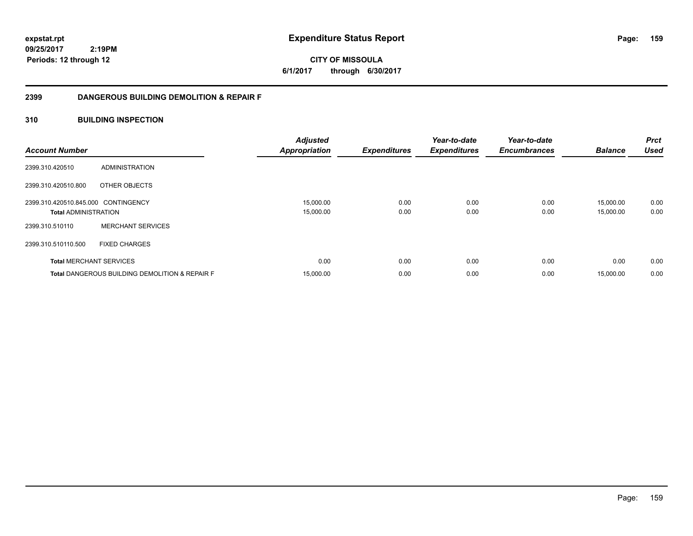**CITY OF MISSOULA 6/1/2017 through 6/30/2017**

## **2399 DANGEROUS BUILDING DEMOLITION & REPAIR F**

## **310 BUILDING INSPECTION**

| <b>Account Number</b>               |                                                           | <b>Adjusted</b><br><b>Appropriation</b> | <b>Expenditures</b> | Year-to-date<br><b>Expenditures</b> | Year-to-date<br><b>Encumbrances</b> | <b>Balance</b> | <b>Prct</b><br><b>Used</b> |
|-------------------------------------|-----------------------------------------------------------|-----------------------------------------|---------------------|-------------------------------------|-------------------------------------|----------------|----------------------------|
| 2399.310.420510                     | ADMINISTRATION                                            |                                         |                     |                                     |                                     |                |                            |
| 2399.310.420510.800                 | OTHER OBJECTS                                             |                                         |                     |                                     |                                     |                |                            |
| 2399.310.420510.845.000 CONTINGENCY |                                                           | 15,000.00                               | 0.00                | 0.00                                | 0.00                                | 15,000.00      | 0.00                       |
| <b>Total ADMINISTRATION</b>         |                                                           | 15,000.00                               | 0.00                | 0.00                                | 0.00                                | 15,000.00      | 0.00                       |
| 2399.310.510110                     | <b>MERCHANT SERVICES</b>                                  |                                         |                     |                                     |                                     |                |                            |
| 2399.310.510110.500                 | <b>FIXED CHARGES</b>                                      |                                         |                     |                                     |                                     |                |                            |
| <b>Total MERCHANT SERVICES</b>      |                                                           | 0.00                                    | 0.00                | 0.00                                | 0.00                                | 0.00           | 0.00                       |
|                                     | <b>Total DANGEROUS BUILDING DEMOLITION &amp; REPAIR F</b> | 15,000.00                               | 0.00                | 0.00                                | 0.00                                | 15,000.00      | 0.00                       |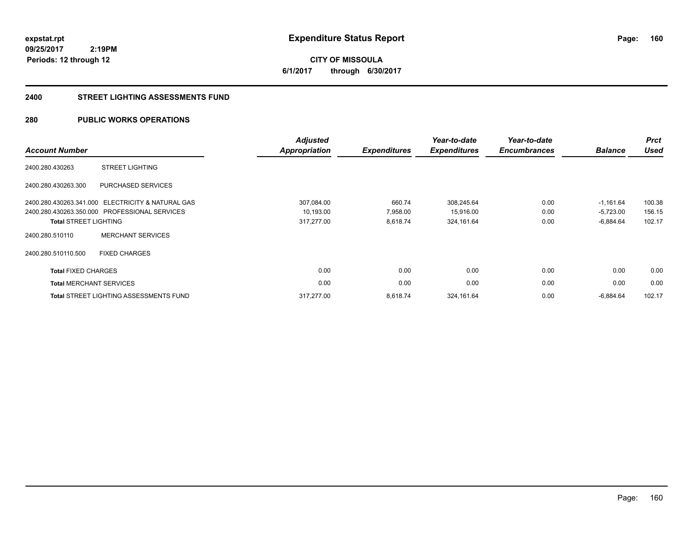### **2400 STREET LIGHTING ASSESSMENTS FUND**

## **280 PUBLIC WORKS OPERATIONS**

| <b>Account Number</b>          |                                                   | <b>Adjusted</b><br><b>Appropriation</b> | <b>Expenditures</b> | Year-to-date<br><b>Expenditures</b> | Year-to-date<br><b>Encumbrances</b> | <b>Balance</b> | <b>Prct</b><br><b>Used</b> |
|--------------------------------|---------------------------------------------------|-----------------------------------------|---------------------|-------------------------------------|-------------------------------------|----------------|----------------------------|
| 2400.280.430263                | <b>STREET LIGHTING</b>                            |                                         |                     |                                     |                                     |                |                            |
| 2400.280.430263.300            | <b>PURCHASED SERVICES</b>                         |                                         |                     |                                     |                                     |                |                            |
|                                | 2400.280.430263.341.000 ELECTRICITY & NATURAL GAS | 307,084.00                              | 660.74              | 308,245.64                          | 0.00                                | $-1,161.64$    | 100.38                     |
|                                | 2400.280.430263.350.000 PROFESSIONAL SERVICES     | 10,193.00                               | 7,958.00            | 15,916.00                           | 0.00                                | $-5,723.00$    | 156.15                     |
| <b>Total STREET LIGHTING</b>   |                                                   | 317,277.00                              | 8,618.74            | 324,161.64                          | 0.00                                | $-6,884.64$    | 102.17                     |
| 2400.280.510110                | <b>MERCHANT SERVICES</b>                          |                                         |                     |                                     |                                     |                |                            |
| 2400.280.510110.500            | <b>FIXED CHARGES</b>                              |                                         |                     |                                     |                                     |                |                            |
| <b>Total FIXED CHARGES</b>     |                                                   | 0.00                                    | 0.00                | 0.00                                | 0.00                                | 0.00           | 0.00                       |
| <b>Total MERCHANT SERVICES</b> |                                                   | 0.00                                    | 0.00                | 0.00                                | 0.00                                | 0.00           | 0.00                       |
|                                | <b>Total STREET LIGHTING ASSESSMENTS FUND</b>     | 317.277.00                              | 8,618.74            | 324,161.64                          | 0.00                                | $-6,884.64$    | 102.17                     |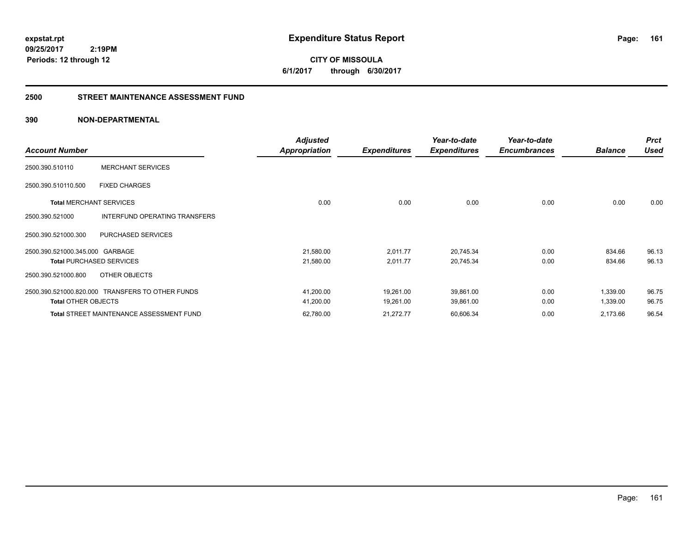**expstat.rpt Expenditure Status Report** 

**09/25/2017 2:19PM Periods: 12 through 12**

**CITY OF MISSOULA 6/1/2017 through 6/30/2017**

## **2500 STREET MAINTENANCE ASSESSMENT FUND**

| <b>Account Number</b>           |                                                  | <b>Adjusted</b><br><b>Appropriation</b> | <b>Expenditures</b> | Year-to-date<br><b>Expenditures</b> | Year-to-date<br><b>Encumbrances</b> | <b>Balance</b> | <b>Prct</b><br><b>Used</b> |
|---------------------------------|--------------------------------------------------|-----------------------------------------|---------------------|-------------------------------------|-------------------------------------|----------------|----------------------------|
| 2500.390.510110                 | <b>MERCHANT SERVICES</b>                         |                                         |                     |                                     |                                     |                |                            |
| 2500.390.510110.500             | <b>FIXED CHARGES</b>                             |                                         |                     |                                     |                                     |                |                            |
| <b>Total MERCHANT SERVICES</b>  |                                                  | 0.00                                    | 0.00                | 0.00                                | 0.00                                | 0.00           | 0.00                       |
| 2500.390.521000                 | INTERFUND OPERATING TRANSFERS                    |                                         |                     |                                     |                                     |                |                            |
| 2500.390.521000.300             | <b>PURCHASED SERVICES</b>                        |                                         |                     |                                     |                                     |                |                            |
| 2500.390.521000.345.000 GARBAGE |                                                  | 21,580.00                               | 2,011.77            | 20,745.34                           | 0.00                                | 834.66         | 96.13                      |
|                                 | <b>Total PURCHASED SERVICES</b>                  | 21,580.00                               | 2,011.77            | 20,745.34                           | 0.00                                | 834.66         | 96.13                      |
| 2500.390.521000.800             | OTHER OBJECTS                                    |                                         |                     |                                     |                                     |                |                            |
|                                 | 2500.390.521000.820.000 TRANSFERS TO OTHER FUNDS | 41,200.00                               | 19,261.00           | 39,861.00                           | 0.00                                | 1,339.00       | 96.75                      |
| <b>Total OTHER OBJECTS</b>      |                                                  | 41,200.00                               | 19,261.00           | 39,861.00                           | 0.00                                | 1,339.00       | 96.75                      |
|                                 | <b>Total STREET MAINTENANCE ASSESSMENT FUND</b>  | 62,780.00                               | 21,272.77           | 60,606.34                           | 0.00                                | 2,173.66       | 96.54                      |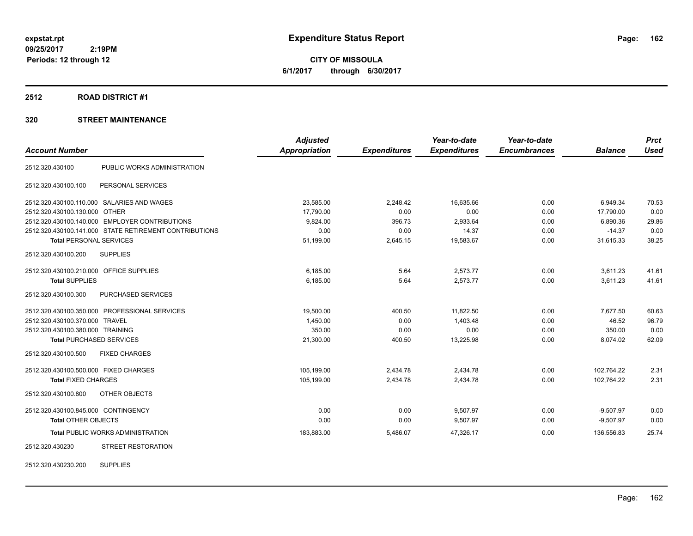**CITY OF MISSOULA 6/1/2017 through 6/30/2017**

### **2512 ROAD DISTRICT #1**

## **320 STREET MAINTENANCE**

|                                                        | <b>Adjusted</b>      |                     | Year-to-date        | Year-to-date        |                | <b>Prct</b> |
|--------------------------------------------------------|----------------------|---------------------|---------------------|---------------------|----------------|-------------|
|                                                        | <b>Appropriation</b> | <b>Expenditures</b> | <b>Expenditures</b> | <b>Encumbrances</b> | <b>Balance</b> | <b>Used</b> |
| PUBLIC WORKS ADMINISTRATION                            |                      |                     |                     |                     |                |             |
| PERSONAL SERVICES                                      |                      |                     |                     |                     |                |             |
| 2512.320.430100.110.000 SALARIES AND WAGES             | 23,585.00            | 2,248.42            | 16,635.66           | 0.00                | 6,949.34       | 70.53       |
| 2512.320.430100.130.000 OTHER                          | 17,790.00            | 0.00                | 0.00                | 0.00                | 17,790.00      | 0.00        |
| 2512.320.430100.140.000 EMPLOYER CONTRIBUTIONS         | 9,824.00             | 396.73              | 2,933.64            | 0.00                | 6,890.36       | 29.86       |
| 2512.320.430100.141.000 STATE RETIREMENT CONTRIBUTIONS | 0.00                 | 0.00                | 14.37               | 0.00                | $-14.37$       | 0.00        |
| <b>Total PERSONAL SERVICES</b>                         | 51,199.00            | 2,645.15            | 19,583.67           | 0.00                | 31,615.33      | 38.25       |
| <b>SUPPLIES</b>                                        |                      |                     |                     |                     |                |             |
| 2512.320.430100.210.000 OFFICE SUPPLIES                | 6,185.00             | 5.64                | 2,573.77            | 0.00                | 3,611.23       | 41.61       |
| <b>Total SUPPLIES</b>                                  | 6,185.00             | 5.64                | 2,573.77            | 0.00                | 3,611.23       | 41.61       |
| <b>PURCHASED SERVICES</b>                              |                      |                     |                     |                     |                |             |
| 2512.320.430100.350.000 PROFESSIONAL SERVICES          | 19.500.00            | 400.50              | 11.822.50           | 0.00                | 7,677.50       | 60.63       |
| 2512.320.430100.370.000 TRAVEL                         | 1.450.00             | 0.00                | 1.403.48            | 0.00                | 46.52          | 96.79       |
| 2512.320.430100.380.000 TRAINING                       | 350.00               | 0.00                | 0.00                | 0.00                | 350.00         | 0.00        |
| <b>Total PURCHASED SERVICES</b>                        | 21,300.00            | 400.50              | 13,225.98           | 0.00                | 8,074.02       | 62.09       |
| <b>FIXED CHARGES</b>                                   |                      |                     |                     |                     |                |             |
| 2512.320.430100.500.000 FIXED CHARGES                  | 105,199.00           | 2,434.78            | 2,434.78            | 0.00                | 102.764.22     | 2.31        |
| <b>Total FIXED CHARGES</b>                             | 105,199.00           | 2,434.78            | 2,434.78            | 0.00                | 102.764.22     | 2.31        |
| OTHER OBJECTS                                          |                      |                     |                     |                     |                |             |
| 2512.320.430100.845.000 CONTINGENCY                    | 0.00                 | 0.00                | 9,507.97            | 0.00                | $-9,507.97$    | 0.00        |
| <b>Total OTHER OBJECTS</b>                             | 0.00                 | 0.00                | 9,507.97            | 0.00                | $-9,507.97$    | 0.00        |
| <b>Total PUBLIC WORKS ADMINISTRATION</b>               | 183,883.00           | 5,486.07            | 47,326.17           | 0.00                | 136,556.83     | 25.74       |
| <b>STREET RESTORATION</b>                              |                      |                     |                     |                     |                |             |
|                                                        |                      |                     |                     |                     |                |             |

2512.320.430230.200 SUPPLIES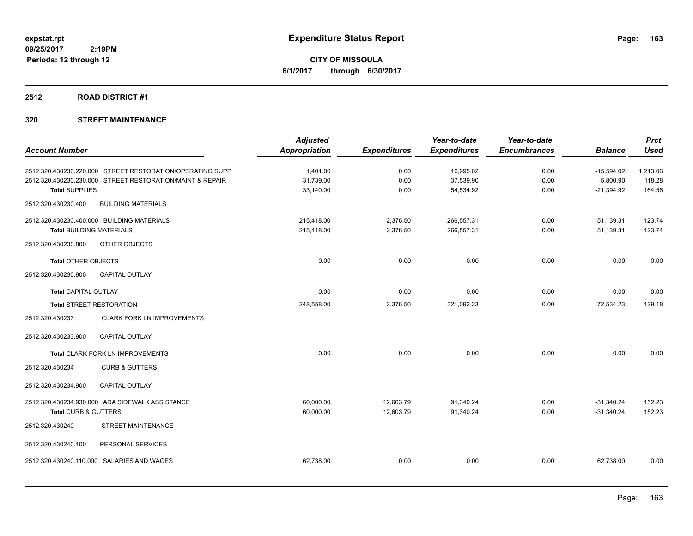**CITY OF MISSOULA 6/1/2017 through 6/30/2017**

#### **2512 ROAD DISTRICT #1**

|                                                           | <b>Adjusted</b>      |                     | Year-to-date        | Year-to-date        |                | <b>Prct</b> |
|-----------------------------------------------------------|----------------------|---------------------|---------------------|---------------------|----------------|-------------|
| <b>Account Number</b>                                     | <b>Appropriation</b> | <b>Expenditures</b> | <b>Expenditures</b> | <b>Encumbrances</b> | <b>Balance</b> | <b>Used</b> |
| 2512.320.430230.220.000 STREET RESTORATION/OPERATING SUPP | 1.401.00             | 0.00                | 16,995.02           | 0.00                | $-15,594.02$   | 1,213.06    |
| 2512.320.430230.230.000 STREET RESTORATION/MAINT & REPAIR | 31,739.00            | 0.00                | 37,539.90           | 0.00                | $-5,800.90$    | 118.28      |
| <b>Total SUPPLIES</b>                                     | 33,140.00            | 0.00                | 54,534.92           | 0.00                | $-21,394.92$   | 164.56      |
| <b>BUILDING MATERIALS</b><br>2512.320.430230.400          |                      |                     |                     |                     |                |             |
| 2512.320.430230.400.000 BUILDING MATERIALS                | 215,418.00           | 2,376.50            | 266,557.31          | 0.00                | $-51,139.31$   | 123.74      |
| <b>Total BUILDING MATERIALS</b>                           | 215,418.00           | 2,376.50            | 266,557.31          | 0.00                | $-51,139.31$   | 123.74      |
| 2512.320.430230.800<br>OTHER OBJECTS                      |                      |                     |                     |                     |                |             |
| <b>Total OTHER OBJECTS</b>                                | 0.00                 | 0.00                | 0.00                | 0.00                | 0.00           | 0.00        |
| CAPITAL OUTLAY<br>2512.320.430230.900                     |                      |                     |                     |                     |                |             |
| <b>Total CAPITAL OUTLAY</b>                               | 0.00                 | 0.00                | 0.00                | 0.00                | 0.00           | 0.00        |
| <b>Total STREET RESTORATION</b>                           | 248,558.00           | 2,376.50            | 321,092.23          | 0.00                | $-72,534.23$   | 129.18      |
| 2512.320.430233<br><b>CLARK FORK LN IMPROVEMENTS</b>      |                      |                     |                     |                     |                |             |
| 2512.320.430233.900<br><b>CAPITAL OUTLAY</b>              |                      |                     |                     |                     |                |             |
| Total CLARK FORK LN IMPROVEMENTS                          | 0.00                 | 0.00                | 0.00                | 0.00                | 0.00           | 0.00        |
| 2512.320.430234<br><b>CURB &amp; GUTTERS</b>              |                      |                     |                     |                     |                |             |
| <b>CAPITAL OUTLAY</b><br>2512.320.430234.900              |                      |                     |                     |                     |                |             |
| 2512.320.430234.930.000 ADA SIDEWALK ASSISTANCE           | 60,000.00            | 12,603.79           | 91,340.24           | 0.00                | $-31,340.24$   | 152.23      |
| <b>Total CURB &amp; GUTTERS</b>                           | 60,000.00            | 12,603.79           | 91,340.24           | 0.00                | $-31,340.24$   | 152.23      |
| 2512.320.430240<br>STREET MAINTENANCE                     |                      |                     |                     |                     |                |             |
| PERSONAL SERVICES<br>2512.320.430240.100                  |                      |                     |                     |                     |                |             |
| 2512.320.430240.110.000<br>SALARIES AND WAGES             | 62,738.00            | 0.00                | 0.00                | 0.00                | 62,738.00      | 0.00        |
|                                                           |                      |                     |                     |                     |                |             |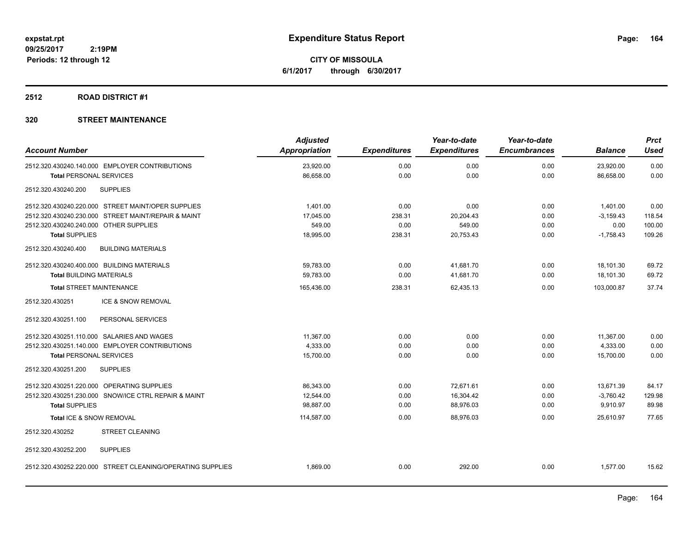**CITY OF MISSOULA 6/1/2017 through 6/30/2017**

## **2512 ROAD DISTRICT #1**

|                                                            | <b>Adjusted</b> |                     | Year-to-date        | Year-to-date        |                | <b>Prct</b> |
|------------------------------------------------------------|-----------------|---------------------|---------------------|---------------------|----------------|-------------|
| <b>Account Number</b>                                      | Appropriation   | <b>Expenditures</b> | <b>Expenditures</b> | <b>Encumbrances</b> | <b>Balance</b> | <b>Used</b> |
| 2512.320.430240.140.000 EMPLOYER CONTRIBUTIONS             | 23,920.00       | 0.00                | 0.00                | 0.00                | 23,920.00      | 0.00        |
| <b>Total PERSONAL SERVICES</b>                             | 86,658.00       | 0.00                | 0.00                | 0.00                | 86,658.00      | 0.00        |
| 2512.320.430240.200<br><b>SUPPLIES</b>                     |                 |                     |                     |                     |                |             |
| 2512.320.430240.220.000 STREET MAINT/OPER SUPPLIES         | 1.401.00        | 0.00                | 0.00                | 0.00                | 1,401.00       | 0.00        |
| 2512.320.430240.230.000 STREET MAINT/REPAIR & MAINT        | 17.045.00       | 238.31              | 20,204.43           | 0.00                | $-3,159.43$    | 118.54      |
| 2512.320.430240.240.000 OTHER SUPPLIES                     | 549.00          | 0.00                | 549.00              | 0.00                | 0.00           | 100.00      |
| <b>Total SUPPLIES</b>                                      | 18,995.00       | 238.31              | 20,753.43           | 0.00                | $-1,758.43$    | 109.26      |
| 2512.320.430240.400<br><b>BUILDING MATERIALS</b>           |                 |                     |                     |                     |                |             |
| 2512.320.430240.400.000 BUILDING MATERIALS                 | 59,783.00       | 0.00                | 41,681.70           | 0.00                | 18,101.30      | 69.72       |
| <b>Total BUILDING MATERIALS</b>                            | 59,783.00       | 0.00                | 41,681.70           | 0.00                | 18,101.30      | 69.72       |
| <b>Total STREET MAINTENANCE</b>                            | 165,436.00      | 238.31              | 62,435.13           | 0.00                | 103,000.87     | 37.74       |
| 2512.320.430251<br>ICE & SNOW REMOVAL                      |                 |                     |                     |                     |                |             |
| 2512.320.430251.100<br>PERSONAL SERVICES                   |                 |                     |                     |                     |                |             |
| 2512.320.430251.110.000 SALARIES AND WAGES                 | 11,367.00       | 0.00                | 0.00                | 0.00                | 11,367.00      | 0.00        |
| 2512.320.430251.140.000 EMPLOYER CONTRIBUTIONS             | 4,333.00        | 0.00                | 0.00                | 0.00                | 4,333.00       | 0.00        |
| <b>Total PERSONAL SERVICES</b>                             | 15,700.00       | 0.00                | 0.00                | 0.00                | 15,700.00      | 0.00        |
| 2512.320.430251.200<br><b>SUPPLIES</b>                     |                 |                     |                     |                     |                |             |
| 2512.320.430251.220.000 OPERATING SUPPLIES                 | 86,343.00       | 0.00                | 72,671.61           | 0.00                | 13,671.39      | 84.17       |
| 2512.320.430251.230.000 SNOW/ICE CTRL REPAIR & MAINT       | 12,544.00       | 0.00                | 16,304.42           | 0.00                | $-3,760.42$    | 129.98      |
| <b>Total SUPPLIES</b>                                      | 98,887.00       | 0.00                | 88,976.03           | 0.00                | 9,910.97       | 89.98       |
| Total ICE & SNOW REMOVAL                                   | 114,587.00      | 0.00                | 88,976.03           | 0.00                | 25,610.97      | 77.65       |
| 2512.320.430252<br><b>STREET CLEANING</b>                  |                 |                     |                     |                     |                |             |
| <b>SUPPLIES</b><br>2512.320.430252.200                     |                 |                     |                     |                     |                |             |
| 2512.320.430252.220.000 STREET CLEANING/OPERATING SUPPLIES | 1,869.00        | 0.00                | 292.00              | 0.00                | 1,577.00       | 15.62       |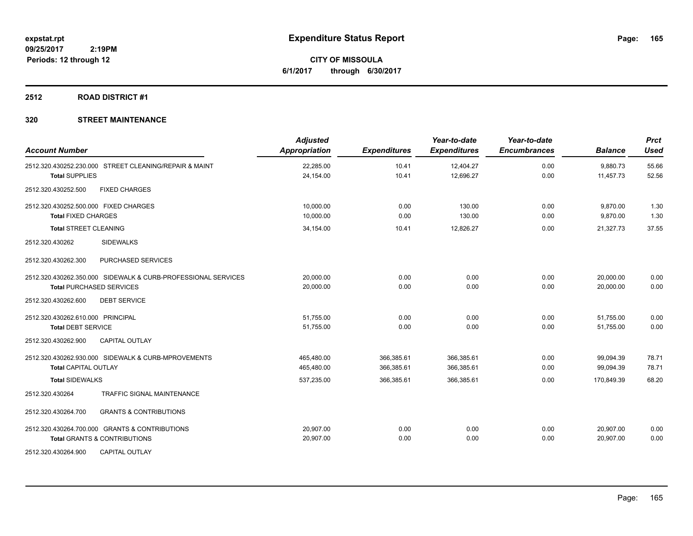**CITY OF MISSOULA 6/1/2017 through 6/30/2017**

## **2512 ROAD DISTRICT #1**

| <b>Account Number</b>                                         | <b>Adjusted</b><br>Appropriation | <b>Expenditures</b> | Year-to-date<br><b>Expenditures</b> | Year-to-date<br><b>Encumbrances</b> | <b>Balance</b> | <b>Prct</b><br><b>Used</b> |
|---------------------------------------------------------------|----------------------------------|---------------------|-------------------------------------|-------------------------------------|----------------|----------------------------|
| 2512.320.430252.230.000 STREET CLEANING/REPAIR & MAINT        | 22,285.00                        | 10.41               | 12,404.27                           | 0.00                                | 9,880.73       | 55.66                      |
| <b>Total SUPPLIES</b>                                         | 24,154.00                        | 10.41               | 12,696.27                           | 0.00                                | 11,457.73      | 52.56                      |
| 2512.320.430252.500<br><b>FIXED CHARGES</b>                   |                                  |                     |                                     |                                     |                |                            |
| 2512.320.430252.500.000 FIXED CHARGES                         | 10,000.00                        | 0.00                | 130.00                              | 0.00                                | 9,870.00       | 1.30                       |
| <b>Total FIXED CHARGES</b>                                    | 10,000.00                        | 0.00                | 130.00                              | 0.00                                | 9,870.00       | 1.30                       |
| <b>Total STREET CLEANING</b>                                  | 34,154.00                        | 10.41               | 12,826.27                           | 0.00                                | 21,327.73      | 37.55                      |
| 2512.320.430262<br><b>SIDEWALKS</b>                           |                                  |                     |                                     |                                     |                |                            |
| PURCHASED SERVICES<br>2512.320.430262.300                     |                                  |                     |                                     |                                     |                |                            |
| 2512.320.430262.350.000 SIDEWALK & CURB-PROFESSIONAL SERVICES | 20,000.00                        | 0.00                | 0.00                                | 0.00                                | 20,000.00      | 0.00                       |
| <b>Total PURCHASED SERVICES</b>                               | 20,000.00                        | 0.00                | 0.00                                | 0.00                                | 20,000.00      | 0.00                       |
| <b>DEBT SERVICE</b><br>2512.320.430262.600                    |                                  |                     |                                     |                                     |                |                            |
| 2512.320.430262.610.000 PRINCIPAL                             | 51,755.00                        | 0.00                | 0.00                                | 0.00                                | 51,755.00      | 0.00                       |
| <b>Total DEBT SERVICE</b>                                     | 51,755.00                        | 0.00                | 0.00                                | 0.00                                | 51,755.00      | 0.00                       |
| <b>CAPITAL OUTLAY</b><br>2512.320.430262.900                  |                                  |                     |                                     |                                     |                |                            |
| 2512.320.430262.930.000 SIDEWALK & CURB-MPROVEMENTS           | 465,480.00                       | 366,385.61          | 366,385.61                          | 0.00                                | 99,094.39      | 78.71                      |
| <b>Total CAPITAL OUTLAY</b>                                   | 465,480.00                       | 366,385.61          | 366,385.61                          | 0.00                                | 99,094.39      | 78.71                      |
| <b>Total SIDEWALKS</b>                                        | 537,235.00                       | 366,385.61          | 366,385.61                          | 0.00                                | 170,849.39     | 68.20                      |
| 2512.320.430264<br><b>TRAFFIC SIGNAL MAINTENANCE</b>          |                                  |                     |                                     |                                     |                |                            |
| <b>GRANTS &amp; CONTRIBUTIONS</b><br>2512.320.430264.700      |                                  |                     |                                     |                                     |                |                            |
| 2512.320.430264.700.000 GRANTS & CONTRIBUTIONS                | 20,907.00                        | 0.00                | 0.00                                | 0.00                                | 20.907.00      | 0.00                       |
| <b>Total GRANTS &amp; CONTRIBUTIONS</b>                       | 20,907.00                        | 0.00                | 0.00                                | 0.00                                | 20,907.00      | 0.00                       |
| <b>CAPITAL OUTLAY</b><br>2512.320.430264.900                  |                                  |                     |                                     |                                     |                |                            |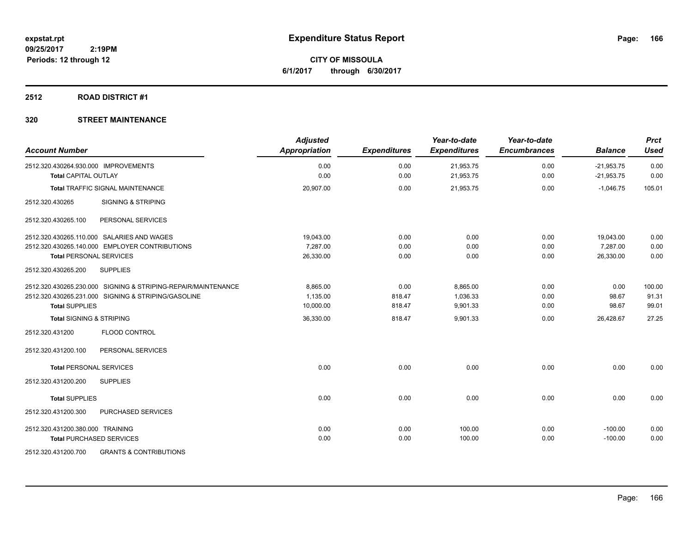**CITY OF MISSOULA 6/1/2017 through 6/30/2017**

## **2512 ROAD DISTRICT #1**

| <b>Account Number</b>                                                                                                                         | <b>Adjusted</b><br>Appropriation   | <b>Expenditures</b>      | Year-to-date<br><b>Expenditures</b> | Year-to-date<br><b>Encumbrances</b> | <b>Balance</b>                     | <b>Prct</b><br><b>Used</b> |
|-----------------------------------------------------------------------------------------------------------------------------------------------|------------------------------------|--------------------------|-------------------------------------|-------------------------------------|------------------------------------|----------------------------|
| 2512.320.430264.930.000 IMPROVEMENTS<br><b>Total CAPITAL OUTLAY</b>                                                                           | 0.00<br>0.00                       | 0.00<br>0.00             | 21,953.75<br>21,953.75              | 0.00<br>0.00                        | $-21,953.75$<br>$-21,953.75$       | 0.00<br>0.00               |
| Total TRAFFIC SIGNAL MAINTENANCE                                                                                                              | 20,907.00                          | 0.00                     | 21,953.75                           | 0.00                                | $-1,046.75$                        | 105.01                     |
| 2512.320.430265<br><b>SIGNING &amp; STRIPING</b>                                                                                              |                                    |                          |                                     |                                     |                                    |                            |
| PERSONAL SERVICES<br>2512.320.430265.100                                                                                                      |                                    |                          |                                     |                                     |                                    |                            |
| 2512.320.430265.110.000 SALARIES AND WAGES<br>2512.320.430265.140.000 EMPLOYER CONTRIBUTIONS<br><b>Total PERSONAL SERVICES</b>                | 19.043.00<br>7,287.00<br>26,330.00 | 0.00<br>0.00<br>0.00     | 0.00<br>0.00<br>0.00                | 0.00<br>0.00<br>0.00                | 19,043.00<br>7,287.00<br>26,330.00 | 0.00<br>0.00<br>0.00       |
| 2512.320.430265.200<br><b>SUPPLIES</b>                                                                                                        |                                    |                          |                                     |                                     |                                    |                            |
| 2512.320.430265.230.000 SIGNING & STRIPING-REPAIR/MAINTENANCE<br>2512.320.430265.231.000 SIGNING & STRIPING/GASOLINE<br><b>Total SUPPLIES</b> | 8,865.00<br>1,135.00<br>10,000.00  | 0.00<br>818.47<br>818.47 | 8,865.00<br>1,036.33<br>9,901.33    | 0.00<br>0.00<br>0.00                | 0.00<br>98.67<br>98.67             | 100.00<br>91.31<br>99.01   |
| <b>Total SIGNING &amp; STRIPING</b>                                                                                                           | 36,330.00                          | 818.47                   | 9,901.33                            | 0.00                                | 26,428.67                          | 27.25                      |
| FLOOD CONTROL<br>2512.320.431200                                                                                                              |                                    |                          |                                     |                                     |                                    |                            |
| 2512.320.431200.100<br>PERSONAL SERVICES                                                                                                      |                                    |                          |                                     |                                     |                                    |                            |
| <b>Total PERSONAL SERVICES</b>                                                                                                                | 0.00                               | 0.00                     | 0.00                                | 0.00                                | 0.00                               | 0.00                       |
| 2512.320.431200.200<br><b>SUPPLIES</b>                                                                                                        |                                    |                          |                                     |                                     |                                    |                            |
| <b>Total SUPPLIES</b>                                                                                                                         | 0.00                               | 0.00                     | 0.00                                | 0.00                                | 0.00                               | 0.00                       |
| PURCHASED SERVICES<br>2512.320.431200.300                                                                                                     |                                    |                          |                                     |                                     |                                    |                            |
| 2512.320.431200.380.000 TRAINING<br><b>Total PURCHASED SERVICES</b>                                                                           | 0.00<br>0.00                       | 0.00<br>0.00             | 100.00<br>100.00                    | 0.00<br>0.00                        | $-100.00$<br>$-100.00$             | 0.00<br>0.00               |
| 2512.320.431200.700<br><b>GRANTS &amp; CONTRIBUTIONS</b>                                                                                      |                                    |                          |                                     |                                     |                                    |                            |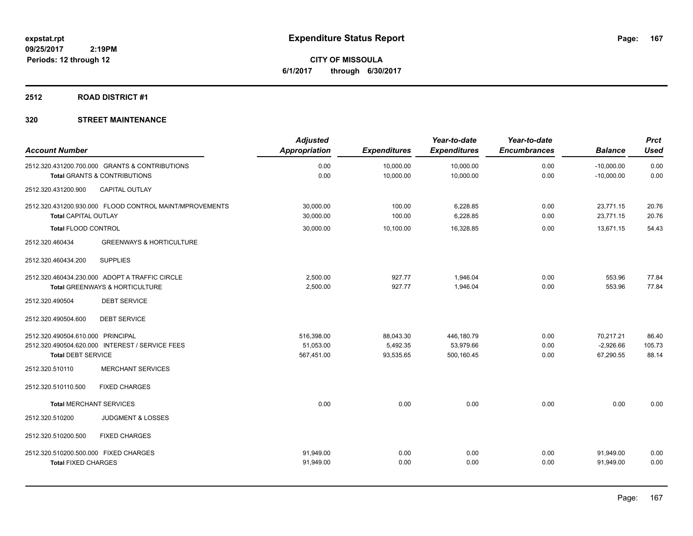**CITY OF MISSOULA 6/1/2017 through 6/30/2017**

## **2512 ROAD DISTRICT #1**

| <b>Account Number</b>                                               |                                                                                           | <b>Adjusted</b><br><b>Appropriation</b> | <b>Expenditures</b>                | Year-to-date<br><b>Expenditures</b>   | Year-to-date<br><b>Encumbrances</b> | <b>Balance</b>                        | <b>Prct</b><br><b>Used</b> |
|---------------------------------------------------------------------|-------------------------------------------------------------------------------------------|-----------------------------------------|------------------------------------|---------------------------------------|-------------------------------------|---------------------------------------|----------------------------|
|                                                                     | 2512.320.431200.700.000 GRANTS & CONTRIBUTIONS<br><b>Total GRANTS &amp; CONTRIBUTIONS</b> | 0.00<br>0.00                            | 10,000.00<br>10,000.00             | 10,000.00<br>10,000.00                | 0.00<br>0.00                        | $-10,000.00$<br>$-10,000.00$          | 0.00<br>0.00               |
| 2512.320.431200.900                                                 | CAPITAL OUTLAY                                                                            |                                         |                                    |                                       |                                     |                                       |                            |
|                                                                     | 2512.320.431200.930.000 FLOOD CONTROL MAINT/MPROVEMENTS                                   | 30,000.00                               | 100.00                             | 6,228.85                              | 0.00                                | 23,771.15                             | 20.76                      |
| <b>Total CAPITAL OUTLAY</b><br><b>Total FLOOD CONTROL</b>           |                                                                                           | 30,000.00<br>30,000.00                  | 100.00<br>10,100.00                | 6,228.85<br>16,328.85                 | 0.00<br>0.00                        | 23.771.15<br>13,671.15                | 20.76<br>54.43             |
| 2512.320.460434                                                     | <b>GREENWAYS &amp; HORTICULTURE</b>                                                       |                                         |                                    |                                       |                                     |                                       |                            |
| 2512.320.460434.200                                                 | <b>SUPPLIES</b>                                                                           |                                         |                                    |                                       |                                     |                                       |                            |
|                                                                     | 2512.320.460434.230.000 ADOPT A TRAFFIC CIRCLE<br>Total GREENWAYS & HORTICULTURE          | 2,500.00<br>2,500.00                    | 927.77<br>927.77                   | 1,946.04<br>1,946.04                  | 0.00<br>0.00                        | 553.96<br>553.96                      | 77.84<br>77.84             |
| 2512.320.490504                                                     | <b>DEBT SERVICE</b>                                                                       |                                         |                                    |                                       |                                     |                                       |                            |
| 2512.320.490504.600                                                 | <b>DEBT SERVICE</b>                                                                       |                                         |                                    |                                       |                                     |                                       |                            |
| 2512.320.490504.610.000 PRINCIPAL<br><b>Total DEBT SERVICE</b>      | 2512.320.490504.620.000 INTEREST / SERVICE FEES                                           | 516,398.00<br>51,053.00<br>567,451.00   | 88,043.30<br>5,492.35<br>93,535.65 | 446,180.79<br>53,979.66<br>500,160.45 | 0.00<br>0.00<br>0.00                | 70,217.21<br>$-2,926.66$<br>67,290.55 | 86.40<br>105.73<br>88.14   |
| 2512.320.510110                                                     | <b>MERCHANT SERVICES</b>                                                                  |                                         |                                    |                                       |                                     |                                       |                            |
| 2512.320.510110.500                                                 | <b>FIXED CHARGES</b>                                                                      |                                         |                                    |                                       |                                     |                                       |                            |
| <b>Total MERCHANT SERVICES</b>                                      |                                                                                           | 0.00                                    | 0.00                               | 0.00                                  | 0.00                                | 0.00                                  | 0.00                       |
| 2512.320.510200                                                     | <b>JUDGMENT &amp; LOSSES</b>                                                              |                                         |                                    |                                       |                                     |                                       |                            |
| 2512.320.510200.500                                                 | <b>FIXED CHARGES</b>                                                                      |                                         |                                    |                                       |                                     |                                       |                            |
| 2512.320.510200.500.000 FIXED CHARGES<br><b>Total FIXED CHARGES</b> |                                                                                           | 91,949.00<br>91,949.00                  | 0.00<br>0.00                       | 0.00<br>0.00                          | 0.00<br>0.00                        | 91,949.00<br>91,949.00                | 0.00<br>0.00               |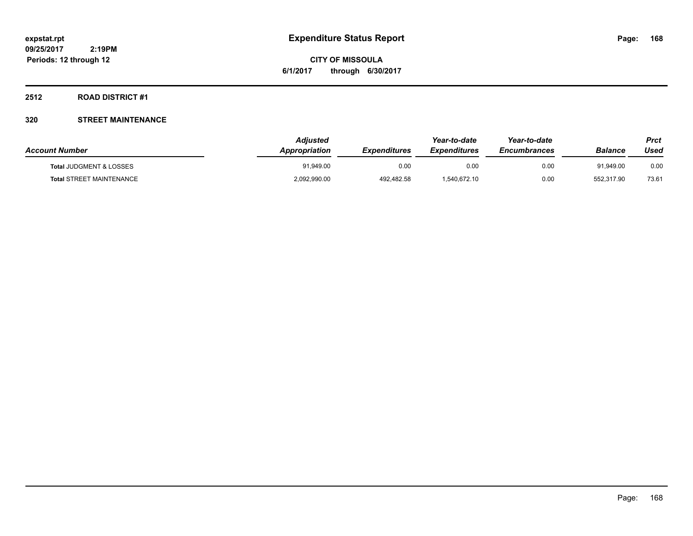**CITY OF MISSOULA 6/1/2017 through 6/30/2017**

### **2512 ROAD DISTRICT #1**

| <b>Account Number</b>              | Adjusted<br><b>Appropriation</b> | <b>Expenditures</b> | Year-to-date<br><i><b>Expenditures</b></i> | Year-to-date<br><b>Encumbrances</b> | <b>Balance</b> | Prct<br>Used |
|------------------------------------|----------------------------------|---------------------|--------------------------------------------|-------------------------------------|----------------|--------------|
| <b>Total JUDGMENT &amp; LOSSES</b> | 91.949.00                        | 0.00                | 0.00                                       | 0.00                                | 91.949.00      | 0.00         |
| <b>Total STREET MAINTENANCE</b>    | 2,092,990.00                     | 492,482.58          | 1.540.672.10                               | 0.00                                | 552.317.90     | 73.61        |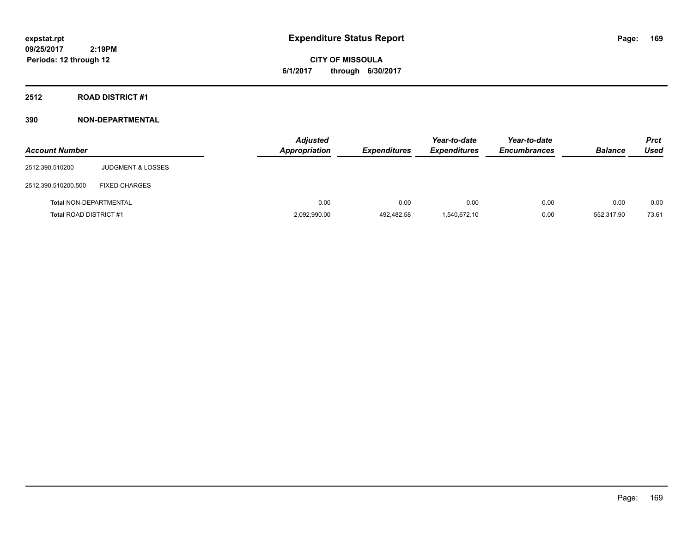# **CITY OF MISSOULA 6/1/2017 through 6/30/2017**

## **2512 ROAD DISTRICT #1**

| <b>Account Number</b>         |                              | <b>Adjusted</b><br><b>Appropriation</b> | <b>Expenditures</b> | Year-to-date<br><b>Expenditures</b> | Year-to-date<br><b>Encumbrances</b> | <b>Balance</b> | <b>Prct</b><br>Used |
|-------------------------------|------------------------------|-----------------------------------------|---------------------|-------------------------------------|-------------------------------------|----------------|---------------------|
| 2512.390.510200               | <b>JUDGMENT &amp; LOSSES</b> |                                         |                     |                                     |                                     |                |                     |
| 2512.390.510200.500           | <b>FIXED CHARGES</b>         |                                         |                     |                                     |                                     |                |                     |
| <b>Total NON-DEPARTMENTAL</b> |                              | 0.00                                    | 0.00                | 0.00                                | 0.00                                | 0.00           | 0.00                |
| <b>Total ROAD DISTRICT #1</b> |                              | 2,092,990.00                            | 492,482.58          | 1,540,672.10                        | 0.00                                | 552,317.90     | 73.61               |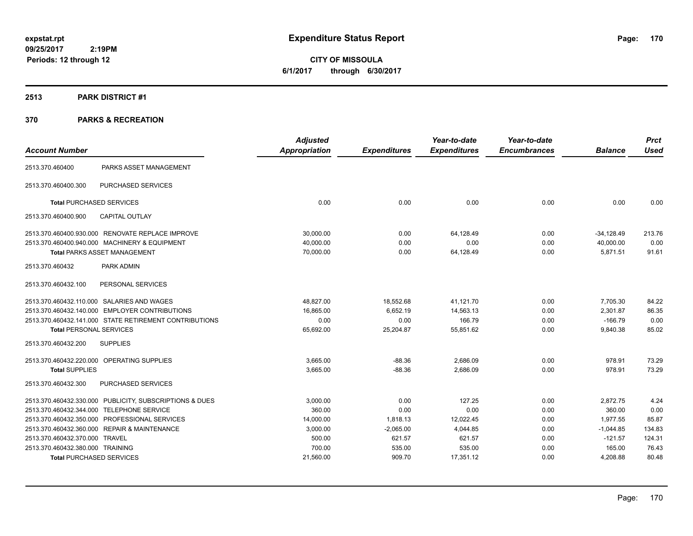**CITY OF MISSOULA 6/1/2017 through 6/30/2017**

### **2513 PARK DISTRICT #1**

| <b>Account Number</b>            |                                                         | <b>Adjusted</b><br><b>Appropriation</b> | <b>Expenditures</b> | Year-to-date<br><b>Expenditures</b> | Year-to-date<br><b>Encumbrances</b> | <b>Balance</b> | <b>Prct</b><br><b>Used</b> |
|----------------------------------|---------------------------------------------------------|-----------------------------------------|---------------------|-------------------------------------|-------------------------------------|----------------|----------------------------|
| 2513.370.460400                  | PARKS ASSET MANAGEMENT                                  |                                         |                     |                                     |                                     |                |                            |
| 2513.370.460400.300              | PURCHASED SERVICES                                      |                                         |                     |                                     |                                     |                |                            |
|                                  | <b>Total PURCHASED SERVICES</b>                         | 0.00                                    | 0.00                | 0.00                                | 0.00                                | 0.00           | 0.00                       |
| 2513.370.460400.900              | <b>CAPITAL OUTLAY</b>                                   |                                         |                     |                                     |                                     |                |                            |
|                                  | 2513.370.460400.930.000 RENOVATE REPLACE IMPROVE        | 30,000.00                               | 0.00                | 64,128.49                           | 0.00                                | $-34,128.49$   | 213.76                     |
|                                  | 2513.370.460400.940.000 MACHINERY & EQUIPMENT           | 40.000.00                               | 0.00                | 0.00                                | 0.00                                | 40,000.00      | 0.00                       |
|                                  | <b>Total PARKS ASSET MANAGEMENT</b>                     | 70,000.00                               | 0.00                | 64,128.49                           | 0.00                                | 5,871.51       | 91.61                      |
| 2513.370.460432                  | PARK ADMIN                                              |                                         |                     |                                     |                                     |                |                            |
| 2513.370.460432.100              | PERSONAL SERVICES                                       |                                         |                     |                                     |                                     |                |                            |
|                                  | 2513.370.460432.110.000 SALARIES AND WAGES              | 48.827.00                               | 18,552.68           | 41,121.70                           | 0.00                                | 7,705.30       | 84.22                      |
|                                  | 2513.370.460432.140.000 EMPLOYER CONTRIBUTIONS          | 16,865.00                               | 6,652.19            | 14,563.13                           | 0.00                                | 2,301.87       | 86.35                      |
|                                  | 2513.370.460432.141.000 STATE RETIREMENT CONTRIBUTIONS  | 0.00                                    | 0.00                | 166.79                              | 0.00                                | $-166.79$      | 0.00                       |
| <b>Total PERSONAL SERVICES</b>   |                                                         | 65,692.00                               | 25,204.87           | 55,851.62                           | 0.00                                | 9,840.38       | 85.02                      |
| 2513.370.460432.200              | <b>SUPPLIES</b>                                         |                                         |                     |                                     |                                     |                |                            |
|                                  | 2513.370.460432.220.000 OPERATING SUPPLIES              | 3,665.00                                | $-88.36$            | 2,686.09                            | 0.00                                | 978.91         | 73.29                      |
| <b>Total SUPPLIES</b>            |                                                         | 3,665.00                                | $-88.36$            | 2,686.09                            | 0.00                                | 978.91         | 73.29                      |
| 2513.370.460432.300              | PURCHASED SERVICES                                      |                                         |                     |                                     |                                     |                |                            |
|                                  | 2513.370.460432.330.000 PUBLICITY, SUBSCRIPTIONS & DUES | 3,000.00                                | 0.00                | 127.25                              | 0.00                                | 2,872.75       | 4.24                       |
|                                  | 2513.370.460432.344.000 TELEPHONE SERVICE               | 360.00                                  | 0.00                | 0.00                                | 0.00                                | 360.00         | 0.00                       |
| 2513.370.460432.350.000          | PROFESSIONAL SERVICES                                   | 14,000.00                               | 1,818.13            | 12,022.45                           | 0.00                                | 1,977.55       | 85.87                      |
| 2513.370.460432.360.000          | <b>REPAIR &amp; MAINTENANCE</b>                         | 3,000.00                                | $-2,065.00$         | 4,044.85                            | 0.00                                | $-1,044.85$    | 134.83                     |
| 2513.370.460432.370.000 TRAVEL   |                                                         | 500.00                                  | 621.57              | 621.57                              | 0.00                                | $-121.57$      | 124.31                     |
| 2513.370.460432.380.000 TRAINING |                                                         | 700.00                                  | 535.00              | 535.00                              | 0.00                                | 165.00         | 76.43                      |
|                                  | <b>Total PURCHASED SERVICES</b>                         | 21,560.00                               | 909.70              | 17,351.12                           | 0.00                                | 4,208.88       | 80.48                      |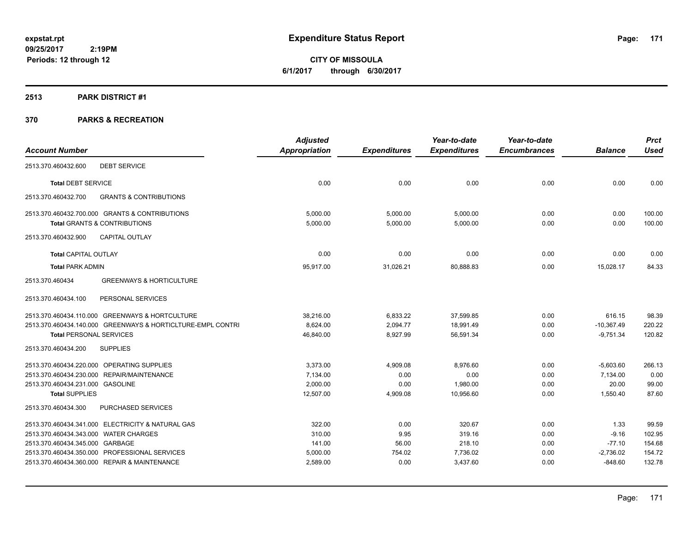**CITY OF MISSOULA 6/1/2017 through 6/30/2017**

#### **2513 PARK DISTRICT #1**

|                                                             | <b>Adjusted</b>      |                     | Year-to-date        | Year-to-date        |                | <b>Prct</b> |
|-------------------------------------------------------------|----------------------|---------------------|---------------------|---------------------|----------------|-------------|
| <b>Account Number</b>                                       | <b>Appropriation</b> | <b>Expenditures</b> | <b>Expenditures</b> | <b>Encumbrances</b> | <b>Balance</b> | <b>Used</b> |
| <b>DEBT SERVICE</b><br>2513.370.460432.600                  |                      |                     |                     |                     |                |             |
| <b>Total DEBT SERVICE</b>                                   | 0.00                 | 0.00                | 0.00                | 0.00                | 0.00           | 0.00        |
| 2513.370.460432.700<br><b>GRANTS &amp; CONTRIBUTIONS</b>    |                      |                     |                     |                     |                |             |
| 2513.370.460432.700.000 GRANTS & CONTRIBUTIONS              | 5,000.00             | 5,000.00            | 5,000.00            | 0.00                | 0.00           | 100.00      |
| <b>Total GRANTS &amp; CONTRIBUTIONS</b>                     | 5,000.00             | 5,000.00            | 5,000.00            | 0.00                | 0.00           | 100.00      |
| <b>CAPITAL OUTLAY</b><br>2513.370.460432.900                |                      |                     |                     |                     |                |             |
| <b>Total CAPITAL OUTLAY</b>                                 | 0.00                 | 0.00                | 0.00                | 0.00                | 0.00           | 0.00        |
| <b>Total PARK ADMIN</b>                                     | 95,917.00            | 31,026.21           | 80,888.83           | 0.00                | 15,028.17      | 84.33       |
| 2513.370.460434<br><b>GREENWAYS &amp; HORTICULTURE</b>      |                      |                     |                     |                     |                |             |
| PERSONAL SERVICES<br>2513.370.460434.100                    |                      |                     |                     |                     |                |             |
| 2513.370.460434.110.000 GREENWAYS & HORTCULTURE             | 38,216.00            | 6,833.22            | 37,599.85           | 0.00                | 616.15         | 98.39       |
| 2513.370.460434.140.000 GREENWAYS & HORTICLTURE-EMPL CONTRI | 8.624.00             | 2,094.77            | 18,991.49           | 0.00                | $-10,367.49$   | 220.22      |
| <b>Total PERSONAL SERVICES</b>                              | 46,840.00            | 8,927.99            | 56,591.34           | 0.00                | $-9,751.34$    | 120.82      |
| <b>SUPPLIES</b><br>2513.370.460434.200                      |                      |                     |                     |                     |                |             |
| 2513.370.460434.220.000 OPERATING SUPPLIES                  | 3,373.00             | 4,909.08            | 8,976.60            | 0.00                | $-5,603.60$    | 266.13      |
| 2513.370.460434.230.000 REPAIR/MAINTENANCE                  | 7,134.00             | 0.00                | 0.00                | 0.00                | 7,134.00       | 0.00        |
| 2513.370.460434.231.000 GASOLINE                            | 2,000.00             | 0.00                | 1,980.00            | 0.00                | 20.00          | 99.00       |
| <b>Total SUPPLIES</b>                                       | 12,507.00            | 4,909.08            | 10,956.60           | 0.00                | 1,550.40       | 87.60       |
| PURCHASED SERVICES<br>2513.370.460434.300                   |                      |                     |                     |                     |                |             |
| 2513.370.460434.341.000 ELECTRICITY & NATURAL GAS           | 322.00               | 0.00                | 320.67              | 0.00                | 1.33           | 99.59       |
| 2513.370.460434.343.000 WATER CHARGES                       | 310.00               | 9.95                | 319.16              | 0.00                | $-9.16$        | 102.95      |
| 2513.370.460434.345.000 GARBAGE                             | 141.00               | 56.00               | 218.10              | 0.00                | $-77.10$       | 154.68      |
| 2513.370.460434.350.000 PROFESSIONAL SERVICES               | 5,000.00             | 754.02              | 7,736.02            | 0.00                | $-2,736.02$    | 154.72      |
| 2513.370.460434.360.000 REPAIR & MAINTENANCE                | 2,589.00             | 0.00                | 3,437.60            | 0.00                | $-848.60$      | 132.78      |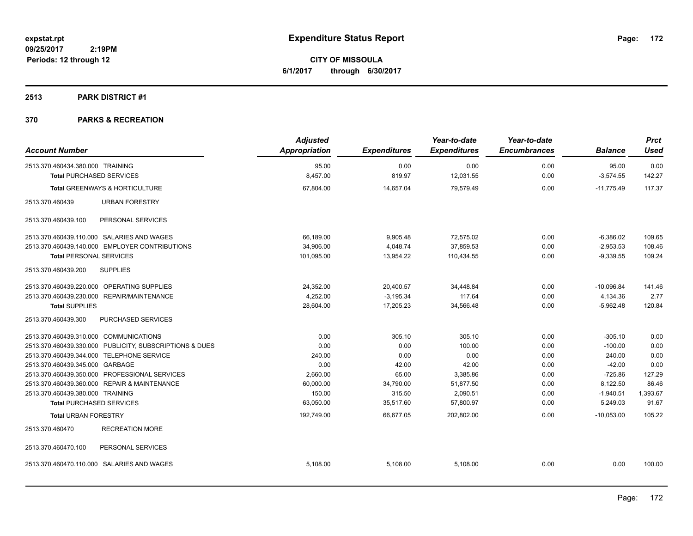**CITY OF MISSOULA 6/1/2017 through 6/30/2017**

### **2513 PARK DISTRICT #1**

| <b>Account Number</b>                                   | <b>Adjusted</b><br><b>Appropriation</b> | <b>Expenditures</b> | Year-to-date<br><b>Expenditures</b> | Year-to-date<br><b>Encumbrances</b> | <b>Balance</b> | <b>Prct</b><br><b>Used</b> |
|---------------------------------------------------------|-----------------------------------------|---------------------|-------------------------------------|-------------------------------------|----------------|----------------------------|
| 2513.370.460434.380.000 TRAINING                        | 95.00                                   | 0.00                | 0.00                                | 0.00                                | 95.00          | 0.00                       |
| <b>Total PURCHASED SERVICES</b>                         | 8,457.00                                | 819.97              | 12,031.55                           | 0.00                                | $-3,574.55$    | 142.27                     |
|                                                         |                                         |                     |                                     |                                     |                |                            |
| Total GREENWAYS & HORTICULTURE                          | 67,804.00                               | 14,657.04           | 79,579.49                           | 0.00                                | $-11,775.49$   | 117.37                     |
| <b>URBAN FORESTRY</b><br>2513.370.460439                |                                         |                     |                                     |                                     |                |                            |
| 2513.370.460439.100<br>PERSONAL SERVICES                |                                         |                     |                                     |                                     |                |                            |
| 2513.370.460439.110.000 SALARIES AND WAGES              | 66,189.00                               | 9,905.48            | 72,575.02                           | 0.00                                | $-6,386.02$    | 109.65                     |
| 2513.370.460439.140.000 EMPLOYER CONTRIBUTIONS          | 34.906.00                               | 4.048.74            | 37.859.53                           | 0.00                                | $-2,953.53$    | 108.46                     |
| <b>Total PERSONAL SERVICES</b>                          | 101,095.00                              | 13,954.22           | 110,434.55                          | 0.00                                | $-9,339.55$    | 109.24                     |
| 2513.370.460439.200<br><b>SUPPLIES</b>                  |                                         |                     |                                     |                                     |                |                            |
| 2513.370.460439.220.000 OPERATING SUPPLIES              | 24,352.00                               | 20,400.57           | 34,448.84                           | 0.00                                | $-10,096.84$   | 141.46                     |
| 2513.370.460439.230.000 REPAIR/MAINTENANCE              | 4,252.00                                | $-3,195.34$         | 117.64                              | 0.00                                | 4,134.36       | 2.77                       |
| <b>Total SUPPLIES</b>                                   | 28,604.00                               | 17,205.23           | 34,566.48                           | 0.00                                | $-5,962.48$    | 120.84                     |
| 2513.370.460439.300<br><b>PURCHASED SERVICES</b>        |                                         |                     |                                     |                                     |                |                            |
| 2513.370.460439.310.000 COMMUNICATIONS                  | 0.00                                    | 305.10              | 305.10                              | 0.00                                | $-305.10$      | 0.00                       |
| 2513.370.460439.330.000 PUBLICITY, SUBSCRIPTIONS & DUES | 0.00                                    | 0.00                | 100.00                              | 0.00                                | $-100.00$      | 0.00                       |
| 2513.370.460439.344.000 TELEPHONE SERVICE               | 240.00                                  | 0.00                | 0.00                                | 0.00                                | 240.00         | 0.00                       |
| 2513.370.460439.345.000 GARBAGE                         | 0.00                                    | 42.00               | 42.00                               | 0.00                                | $-42.00$       | 0.00                       |
| 2513.370.460439.350.000 PROFESSIONAL SERVICES           | 2,660.00                                | 65.00               | 3,385.86                            | 0.00                                | $-725.86$      | 127.29                     |
| 2513.370.460439.360.000 REPAIR & MAINTENANCE            | 60,000.00                               | 34,790.00           | 51,877.50                           | 0.00                                | 8,122.50       | 86.46                      |
| 2513.370.460439.380.000 TRAINING                        | 150.00                                  | 315.50              | 2,090.51                            | 0.00                                | $-1,940.51$    | 1,393.67                   |
| <b>Total PURCHASED SERVICES</b>                         | 63,050.00                               | 35,517.60           | 57,800.97                           | 0.00                                | 5,249.03       | 91.67                      |
| <b>Total URBAN FORESTRY</b>                             | 192,749.00                              | 66,677.05           | 202,802.00                          | 0.00                                | $-10,053.00$   | 105.22                     |
| <b>RECREATION MORE</b><br>2513.370.460470               |                                         |                     |                                     |                                     |                |                            |
| 2513.370.460470.100<br>PERSONAL SERVICES                |                                         |                     |                                     |                                     |                |                            |
| 2513.370.460470.110.000 SALARIES AND WAGES              | 5.108.00                                | 5.108.00            | 5.108.00                            | 0.00                                | 0.00           | 100.00                     |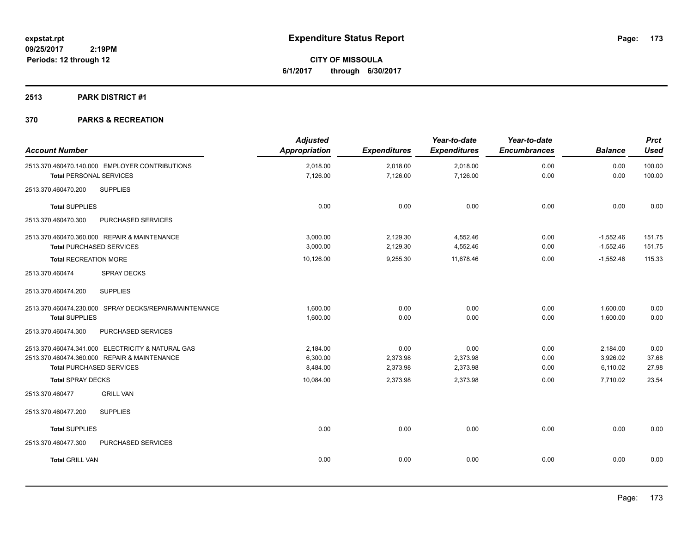**CITY OF MISSOULA 6/1/2017 through 6/30/2017**

## **2513 PARK DISTRICT #1**

| <b>Account Number</b>                                                                                                                | <b>Adjusted</b><br><b>Appropriation</b> | <b>Expenditures</b>          | Year-to-date<br><b>Expenditures</b> | Year-to-date<br><b>Encumbrances</b> | <b>Balance</b>                   | <b>Prct</b><br><b>Used</b> |
|--------------------------------------------------------------------------------------------------------------------------------------|-----------------------------------------|------------------------------|-------------------------------------|-------------------------------------|----------------------------------|----------------------------|
| 2513.370.460470.140.000 EMPLOYER CONTRIBUTIONS<br><b>Total PERSONAL SERVICES</b>                                                     | 2,018.00<br>7,126.00                    | 2,018.00<br>7,126.00         | 2,018.00<br>7,126.00                | 0.00<br>0.00                        | 0.00<br>0.00                     | 100.00<br>100.00           |
| <b>SUPPLIES</b><br>2513.370.460470.200                                                                                               |                                         |                              |                                     |                                     |                                  |                            |
| <b>Total SUPPLIES</b>                                                                                                                | 0.00                                    | 0.00                         | 0.00                                | 0.00                                | 0.00                             | 0.00                       |
| 2513.370.460470.300<br>PURCHASED SERVICES                                                                                            |                                         |                              |                                     |                                     |                                  |                            |
| 2513.370.460470.360.000 REPAIR & MAINTENANCE<br><b>Total PURCHASED SERVICES</b>                                                      | 3,000.00<br>3,000.00                    | 2,129.30<br>2,129.30         | 4,552.46<br>4,552.46                | 0.00<br>0.00                        | $-1,552.46$<br>$-1,552.46$       | 151.75<br>151.75           |
| <b>Total RECREATION MORE</b><br>2513.370.460474<br><b>SPRAY DECKS</b>                                                                | 10,126.00                               | 9,255.30                     | 11,678.46                           | 0.00                                | $-1,552.46$                      | 115.33                     |
| 2513.370.460474.200<br><b>SUPPLIES</b>                                                                                               |                                         |                              |                                     |                                     |                                  |                            |
| 2513.370.460474.230.000 SPRAY DECKS/REPAIR/MAINTENANCE<br><b>Total SUPPLIES</b>                                                      | 1,600.00<br>1,600.00                    | 0.00<br>0.00                 | 0.00<br>0.00                        | 0.00<br>0.00                        | 1,600.00<br>1,600.00             | 0.00<br>0.00               |
| 2513.370.460474.300<br>PURCHASED SERVICES                                                                                            |                                         |                              |                                     |                                     |                                  |                            |
| 2513.370.460474.341.000 ELECTRICITY & NATURAL GAS<br>2513.370.460474.360.000 REPAIR & MAINTENANCE<br><b>Total PURCHASED SERVICES</b> | 2,184.00<br>6,300.00<br>8,484.00        | 0.00<br>2,373.98<br>2,373.98 | 0.00<br>2,373.98<br>2,373.98        | 0.00<br>0.00<br>0.00                | 2,184.00<br>3,926.02<br>6,110.02 | 0.00<br>37.68<br>27.98     |
| <b>Total SPRAY DECKS</b>                                                                                                             | 10,084.00                               | 2,373.98                     | 2,373.98                            | 0.00                                | 7,710.02                         | 23.54                      |
| 2513.370.460477<br><b>GRILL VAN</b>                                                                                                  |                                         |                              |                                     |                                     |                                  |                            |
| <b>SUPPLIES</b><br>2513.370.460477.200                                                                                               |                                         |                              |                                     |                                     |                                  |                            |
| <b>Total SUPPLIES</b><br>PURCHASED SERVICES<br>2513.370.460477.300                                                                   | 0.00                                    | 0.00                         | 0.00                                | 0.00                                | 0.00                             | 0.00                       |
| <b>Total GRILL VAN</b>                                                                                                               | 0.00                                    | 0.00                         | 0.00                                | 0.00                                | 0.00                             | 0.00                       |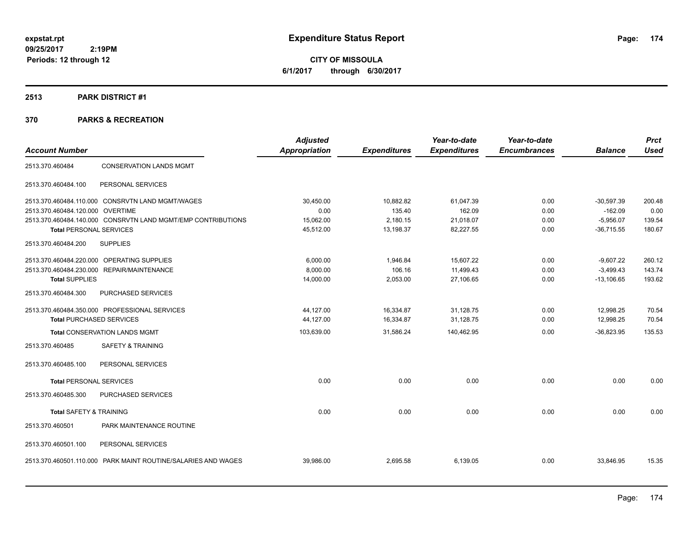**CITY OF MISSOULA 6/1/2017 through 6/30/2017**

## **2513 PARK DISTRICT #1**

|                                 |                                                               | <b>Adjusted</b>      |                     | Year-to-date        | Year-to-date        |                | <b>Prct</b> |
|---------------------------------|---------------------------------------------------------------|----------------------|---------------------|---------------------|---------------------|----------------|-------------|
| <b>Account Number</b>           |                                                               | <b>Appropriation</b> | <b>Expenditures</b> | <b>Expenditures</b> | <b>Encumbrances</b> | <b>Balance</b> | <b>Used</b> |
| 2513.370.460484                 | <b>CONSERVATION LANDS MGMT</b>                                |                      |                     |                     |                     |                |             |
| 2513.370.460484.100             | PERSONAL SERVICES                                             |                      |                     |                     |                     |                |             |
|                                 | 2513.370.460484.110.000 CONSRVTN LAND MGMT/WAGES              | 30,450.00            | 10,882.82           | 61,047.39           | 0.00                | $-30,597.39$   | 200.48      |
| 2513.370.460484.120.000         | <b>OVERTIME</b>                                               | 0.00                 | 135.40              | 162.09              | 0.00                | $-162.09$      | 0.00        |
|                                 | 2513.370.460484.140.000 CONSRVTN LAND MGMT/EMP CONTRIBUTIONS  | 15,062.00            | 2,180.15            | 21,018.07           | 0.00                | $-5,956.07$    | 139.54      |
| <b>Total PERSONAL SERVICES</b>  |                                                               | 45,512.00            | 13,198.37           | 82,227.55           | 0.00                | $-36,715.55$   | 180.67      |
| 2513.370.460484.200             | <b>SUPPLIES</b>                                               |                      |                     |                     |                     |                |             |
|                                 | 2513.370.460484.220.000 OPERATING SUPPLIES                    | 6.000.00             | 1,946.84            | 15.607.22           | 0.00                | $-9,607.22$    | 260.12      |
|                                 | 2513.370.460484.230.000 REPAIR/MAINTENANCE                    | 8,000.00             | 106.16              | 11,499.43           | 0.00                | $-3,499.43$    | 143.74      |
| <b>Total SUPPLIES</b>           |                                                               | 14,000.00            | 2,053.00            | 27,106.65           | 0.00                | $-13,106.65$   | 193.62      |
| 2513.370.460484.300             | PURCHASED SERVICES                                            |                      |                     |                     |                     |                |             |
|                                 | 2513.370.460484.350.000 PROFESSIONAL SERVICES                 | 44,127.00            | 16,334.87           | 31,128.75           | 0.00                | 12,998.25      | 70.54       |
| <b>Total PURCHASED SERVICES</b> |                                                               | 44,127.00            | 16,334.87           | 31,128.75           | 0.00                | 12,998.25      | 70.54       |
|                                 | <b>Total CONSERVATION LANDS MGMT</b>                          | 103,639.00           | 31,586.24           | 140,462.95          | 0.00                | $-36,823.95$   | 135.53      |
| 2513.370.460485                 | <b>SAFETY &amp; TRAINING</b>                                  |                      |                     |                     |                     |                |             |
| 2513.370.460485.100             | PERSONAL SERVICES                                             |                      |                     |                     |                     |                |             |
| <b>Total PERSONAL SERVICES</b>  |                                                               | 0.00                 | 0.00                | 0.00                | 0.00                | 0.00           | 0.00        |
| 2513.370.460485.300             | PURCHASED SERVICES                                            |                      |                     |                     |                     |                |             |
| Total SAFETY & TRAINING         |                                                               | 0.00                 | 0.00                | 0.00                | 0.00                | 0.00           | 0.00        |
| 2513.370.460501                 | PARK MAINTENANCE ROUTINE                                      |                      |                     |                     |                     |                |             |
| 2513.370.460501.100             | PERSONAL SERVICES                                             |                      |                     |                     |                     |                |             |
|                                 | 2513.370.460501.110.000 PARK MAINT ROUTINE/SALARIES AND WAGES | 39,986.00            | 2,695.58            | 6,139.05            | 0.00                | 33,846.95      | 15.35       |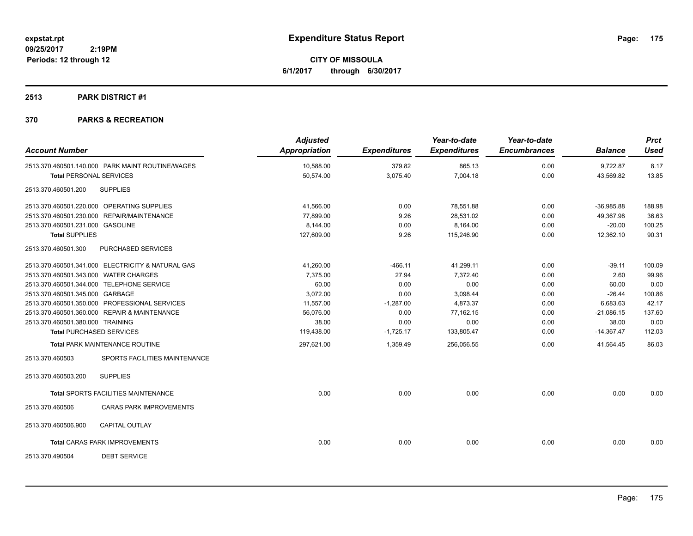**CITY OF MISSOULA 6/1/2017 through 6/30/2017**

### **2513 PARK DISTRICT #1**

| <b>Account Number</b>                 |                                                   | <b>Adjusted</b><br><b>Appropriation</b> | <b>Expenditures</b> | Year-to-date<br><b>Expenditures</b> | Year-to-date<br><b>Encumbrances</b> | <b>Balance</b> | <b>Prct</b><br><b>Used</b> |
|---------------------------------------|---------------------------------------------------|-----------------------------------------|---------------------|-------------------------------------|-------------------------------------|----------------|----------------------------|
|                                       | 2513.370.460501.140.000 PARK MAINT ROUTINE/WAGES  | 10,588.00                               | 379.82              | 865.13                              | 0.00                                | 9,722.87       | 8.17                       |
| <b>Total PERSONAL SERVICES</b>        |                                                   | 50,574.00                               | 3,075.40            | 7,004.18                            | 0.00                                | 43,569.82      | 13.85                      |
| 2513.370.460501.200                   | <b>SUPPLIES</b>                                   |                                         |                     |                                     |                                     |                |                            |
|                                       | 2513.370.460501.220.000 OPERATING SUPPLIES        | 41,566.00                               | 0.00                | 78,551.88                           | 0.00                                | $-36,985.88$   | 188.98                     |
|                                       | 2513.370.460501.230.000 REPAIR/MAINTENANCE        | 77.899.00                               | 9.26                | 28,531.02                           | 0.00                                | 49,367.98      | 36.63                      |
| 2513.370.460501.231.000 GASOLINE      |                                                   | 8,144.00                                | 0.00                | 8,164.00                            | 0.00                                | $-20.00$       | 100.25                     |
| <b>Total SUPPLIES</b>                 |                                                   | 127,609.00                              | 9.26                | 115,246.90                          | 0.00                                | 12,362.10      | 90.31                      |
| 2513.370.460501.300                   | PURCHASED SERVICES                                |                                         |                     |                                     |                                     |                |                            |
|                                       | 2513.370.460501.341.000 ELECTRICITY & NATURAL GAS | 41,260.00                               | $-466.11$           | 41,299.11                           | 0.00                                | $-39.11$       | 100.09                     |
| 2513.370.460501.343.000 WATER CHARGES |                                                   | 7,375.00                                | 27.94               | 7,372.40                            | 0.00                                | 2.60           | 99.96                      |
|                                       | 2513.370.460501.344.000 TELEPHONE SERVICE         | 60.00                                   | 0.00                | 0.00                                | 0.00                                | 60.00          | 0.00                       |
| 2513.370.460501.345.000 GARBAGE       |                                                   | 3,072.00                                | 0.00                | 3,098.44                            | 0.00                                | $-26.44$       | 100.86                     |
|                                       | 2513.370.460501.350.000 PROFESSIONAL SERVICES     | 11,557.00                               | $-1,287.00$         | 4,873.37                            | 0.00                                | 6,683.63       | 42.17                      |
|                                       | 2513.370.460501.360.000 REPAIR & MAINTENANCE      | 56.076.00                               | 0.00                | 77,162.15                           | 0.00                                | $-21,086.15$   | 137.60                     |
| 2513.370.460501.380.000 TRAINING      |                                                   | 38.00                                   | 0.00                | 0.00                                | 0.00                                | 38.00          | 0.00                       |
|                                       | <b>Total PURCHASED SERVICES</b>                   | 119,438.00                              | $-1,725.17$         | 133,805.47                          | 0.00                                | $-14,367.47$   | 112.03                     |
|                                       | Total PARK MAINTENANCE ROUTINE                    | 297,621.00                              | 1,359.49            | 256,056.55                          | 0.00                                | 41,564.45      | 86.03                      |
| 2513.370.460503                       | SPORTS FACILITIES MAINTENANCE                     |                                         |                     |                                     |                                     |                |                            |
| 2513.370.460503.200                   | <b>SUPPLIES</b>                                   |                                         |                     |                                     |                                     |                |                            |
|                                       | <b>Total SPORTS FACILITIES MAINTENANCE</b>        | 0.00                                    | 0.00                | 0.00                                | 0.00                                | 0.00           | 0.00                       |
| 2513.370.460506                       | <b>CARAS PARK IMPROVEMENTS</b>                    |                                         |                     |                                     |                                     |                |                            |
| 2513.370.460506.900                   | <b>CAPITAL OUTLAY</b>                             |                                         |                     |                                     |                                     |                |                            |
|                                       | <b>Total CARAS PARK IMPROVEMENTS</b>              | 0.00                                    | 0.00                | 0.00                                | 0.00                                | 0.00           | 0.00                       |
| 2513.370.490504                       | <b>DEBT SERVICE</b>                               |                                         |                     |                                     |                                     |                |                            |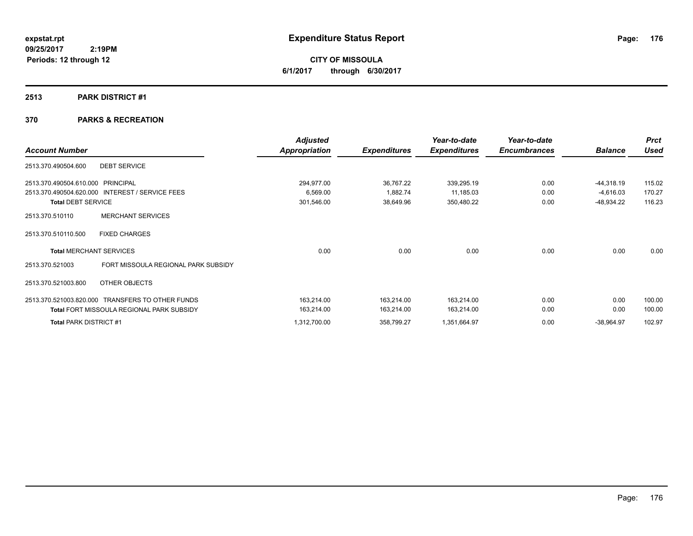**CITY OF MISSOULA 6/1/2017 through 6/30/2017**

### **2513 PARK DISTRICT #1**

|                                                            | <b>Adjusted</b> |                     | Year-to-date        | Year-to-date        |                | <b>Prct</b> |
|------------------------------------------------------------|-----------------|---------------------|---------------------|---------------------|----------------|-------------|
| <b>Account Number</b>                                      | Appropriation   | <b>Expenditures</b> | <b>Expenditures</b> | <b>Encumbrances</b> | <b>Balance</b> | <b>Used</b> |
| <b>DEBT SERVICE</b><br>2513.370.490504.600                 |                 |                     |                     |                     |                |             |
| 2513.370.490504.610.000<br>PRINCIPAL                       | 294,977.00      | 36,767.22           | 339,295.19          | 0.00                | $-44,318.19$   | 115.02      |
| 2513.370.490504.620.000 INTEREST / SERVICE FEES            | 6,569.00        | 1,882.74            | 11,185.03           | 0.00                | $-4,616.03$    | 170.27      |
| <b>Total DEBT SERVICE</b>                                  | 301,546.00      | 38,649.96           | 350,480.22          | 0.00                | -48,934.22     | 116.23      |
| <b>MERCHANT SERVICES</b><br>2513.370.510110                |                 |                     |                     |                     |                |             |
| <b>FIXED CHARGES</b><br>2513.370.510110.500                |                 |                     |                     |                     |                |             |
| <b>Total MERCHANT SERVICES</b>                             | 0.00            | 0.00                | 0.00                | 0.00                | 0.00           | 0.00        |
| FORT MISSOULA REGIONAL PARK SUBSIDY<br>2513.370.521003     |                 |                     |                     |                     |                |             |
| OTHER OBJECTS<br>2513.370.521003.800                       |                 |                     |                     |                     |                |             |
| 2513.370.521003.820.000<br><b>TRANSFERS TO OTHER FUNDS</b> | 163,214.00      | 163.214.00          | 163,214.00          | 0.00                | 0.00           | 100.00      |
| <b>Total FORT MISSOULA REGIONAL PARK SUBSIDY</b>           | 163,214.00      | 163,214.00          | 163,214.00          | 0.00                | 0.00           | 100.00      |
| <b>Total PARK DISTRICT #1</b>                              | 1,312,700.00    | 358,799.27          | 1,351,664.97        | 0.00                | $-38,964.97$   | 102.97      |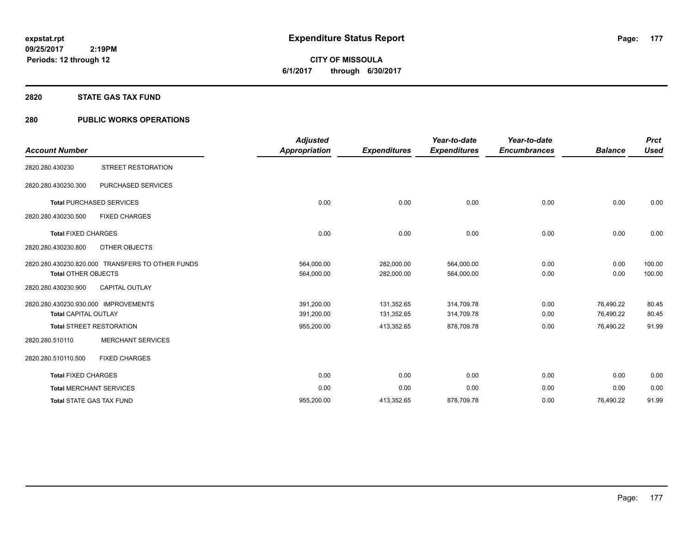**CITY OF MISSOULA 6/1/2017 through 6/30/2017**

#### **2820 STATE GAS TAX FUND**

## **280 PUBLIC WORKS OPERATIONS**

| <b>Account Number</b>                                               |                                                  | <b>Adjusted</b><br><b>Appropriation</b> | <b>Expenditures</b>      | Year-to-date<br><b>Expenditures</b> | Year-to-date<br><b>Encumbrances</b> | <b>Balance</b>         | <b>Prct</b><br><b>Used</b> |
|---------------------------------------------------------------------|--------------------------------------------------|-----------------------------------------|--------------------------|-------------------------------------|-------------------------------------|------------------------|----------------------------|
| 2820.280.430230                                                     | STREET RESTORATION                               |                                         |                          |                                     |                                     |                        |                            |
| 2820.280.430230.300                                                 | PURCHASED SERVICES                               |                                         |                          |                                     |                                     |                        |                            |
|                                                                     | <b>Total PURCHASED SERVICES</b>                  | 0.00                                    | 0.00                     | 0.00                                | 0.00                                | 0.00                   | 0.00                       |
| 2820.280.430230.500                                                 | <b>FIXED CHARGES</b>                             |                                         |                          |                                     |                                     |                        |                            |
| <b>Total FIXED CHARGES</b>                                          |                                                  | 0.00                                    | 0.00                     | 0.00                                | 0.00                                | 0.00                   | 0.00                       |
| 2820.280.430230.800                                                 | OTHER OBJECTS                                    |                                         |                          |                                     |                                     |                        |                            |
| <b>Total OTHER OBJECTS</b>                                          | 2820.280.430230.820.000 TRANSFERS TO OTHER FUNDS | 564,000.00<br>564,000.00                | 282,000.00<br>282,000.00 | 564,000.00<br>564,000.00            | 0.00<br>0.00                        | 0.00<br>0.00           | 100.00<br>100.00           |
| 2820.280.430230.900                                                 | CAPITAL OUTLAY                                   |                                         |                          |                                     |                                     |                        |                            |
| 2820.280.430230.930.000 IMPROVEMENTS<br><b>Total CAPITAL OUTLAY</b> |                                                  | 391,200.00<br>391,200.00                | 131,352.65<br>131,352.65 | 314,709.78<br>314,709.78            | 0.00<br>0.00                        | 76,490.22<br>76,490.22 | 80.45<br>80.45             |
|                                                                     | <b>Total STREET RESTORATION</b>                  | 955,200.00                              | 413,352.65               | 878,709.78                          | 0.00                                | 76,490.22              | 91.99                      |
| 2820.280.510110                                                     | <b>MERCHANT SERVICES</b>                         |                                         |                          |                                     |                                     |                        |                            |
| 2820.280.510110.500                                                 | <b>FIXED CHARGES</b>                             |                                         |                          |                                     |                                     |                        |                            |
| <b>Total FIXED CHARGES</b>                                          |                                                  | 0.00                                    | 0.00                     | 0.00                                | 0.00                                | 0.00                   | 0.00                       |
|                                                                     | <b>Total MERCHANT SERVICES</b>                   | 0.00                                    | 0.00                     | 0.00                                | 0.00                                | 0.00                   | 0.00                       |
|                                                                     | <b>Total STATE GAS TAX FUND</b>                  | 955,200.00                              | 413,352.65               | 878,709.78                          | 0.00                                | 76,490.22              | 91.99                      |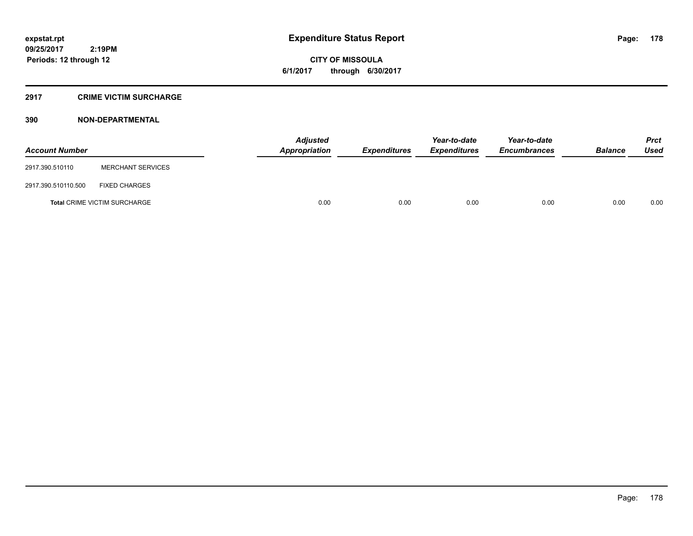**CITY OF MISSOULA 6/1/2017 through 6/30/2017**

### **2917 CRIME VICTIM SURCHARGE**

| <b>Account Number</b> |                                     | <b>Adjusted</b><br>Appropriation | <b>Expenditures</b> | Year-to-date<br><b>Expenditures</b> | Year-to-date<br><b>Encumbrances</b> | <b>Balance</b> | Prct<br><b>Used</b> |
|-----------------------|-------------------------------------|----------------------------------|---------------------|-------------------------------------|-------------------------------------|----------------|---------------------|
| 2917.390.510110       | <b>MERCHANT SERVICES</b>            |                                  |                     |                                     |                                     |                |                     |
| 2917.390.510110.500   | <b>FIXED CHARGES</b>                |                                  |                     |                                     |                                     |                |                     |
|                       | <b>Total CRIME VICTIM SURCHARGE</b> | 0.00                             | 0.00                | 0.00                                | 0.00                                | 0.00           | 0.00                |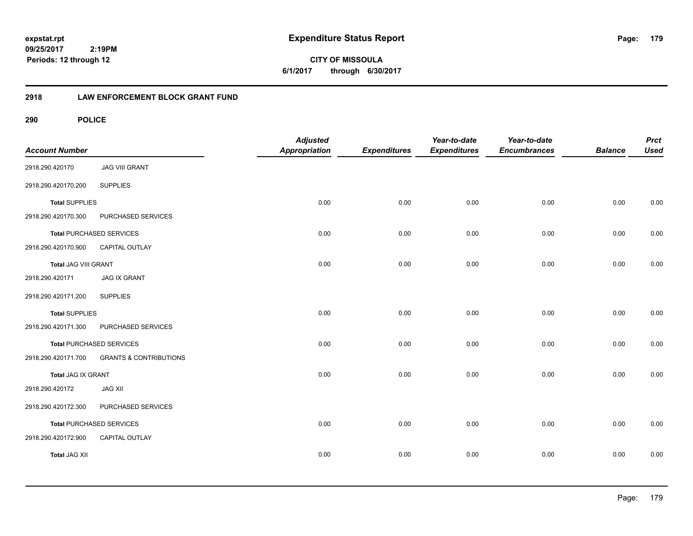**CITY OF MISSOULA 6/1/2017 through 6/30/2017**

## **2918 LAW ENFORCEMENT BLOCK GRANT FUND**

**290 POLICE**

| <b>Account Number</b> |                                   | <b>Adjusted</b><br>Appropriation | <b>Expenditures</b> | Year-to-date<br><b>Expenditures</b> | Year-to-date<br><b>Encumbrances</b> | <b>Balance</b> | <b>Prct</b><br><b>Used</b> |
|-----------------------|-----------------------------------|----------------------------------|---------------------|-------------------------------------|-------------------------------------|----------------|----------------------------|
| 2918.290.420170       | <b>JAG VIII GRANT</b>             |                                  |                     |                                     |                                     |                |                            |
| 2918.290.420170.200   | <b>SUPPLIES</b>                   |                                  |                     |                                     |                                     |                |                            |
| <b>Total SUPPLIES</b> |                                   | 0.00                             | 0.00                | 0.00                                | 0.00                                | 0.00           | 0.00                       |
| 2918.290.420170.300   | PURCHASED SERVICES                |                                  |                     |                                     |                                     |                |                            |
|                       | <b>Total PURCHASED SERVICES</b>   | 0.00                             | 0.00                | 0.00                                | 0.00                                | 0.00           | 0.00                       |
| 2918.290.420170.900   | CAPITAL OUTLAY                    |                                  |                     |                                     |                                     |                |                            |
| Total JAG VIII GRANT  |                                   | 0.00                             | 0.00                | 0.00                                | 0.00                                | 0.00           | 0.00                       |
| 2918.290.420171       | <b>JAG IX GRANT</b>               |                                  |                     |                                     |                                     |                |                            |
| 2918.290.420171.200   | <b>SUPPLIES</b>                   |                                  |                     |                                     |                                     |                |                            |
| <b>Total SUPPLIES</b> |                                   | 0.00                             | 0.00                | 0.00                                | 0.00                                | 0.00           | 0.00                       |
| 2918.290.420171.300   | PURCHASED SERVICES                |                                  |                     |                                     |                                     |                |                            |
|                       | <b>Total PURCHASED SERVICES</b>   | 0.00                             | 0.00                | 0.00                                | 0.00                                | 0.00           | 0.00                       |
| 2918.290.420171.700   | <b>GRANTS &amp; CONTRIBUTIONS</b> |                                  |                     |                                     |                                     |                |                            |
| Total JAG IX GRANT    |                                   | 0.00                             | 0.00                | 0.00                                | 0.00                                | 0.00           | 0.00                       |
| 2918.290.420172       | <b>JAG XII</b>                    |                                  |                     |                                     |                                     |                |                            |
| 2918.290.420172.300   | PURCHASED SERVICES                |                                  |                     |                                     |                                     |                |                            |
|                       | <b>Total PURCHASED SERVICES</b>   | 0.00                             | 0.00                | 0.00                                | 0.00                                | 0.00           | 0.00                       |
| 2918.290.420172.900   | CAPITAL OUTLAY                    |                                  |                     |                                     |                                     |                |                            |
| <b>Total JAG XII</b>  |                                   | 0.00                             | 0.00                | 0.00                                | 0.00                                | 0.00           | 0.00                       |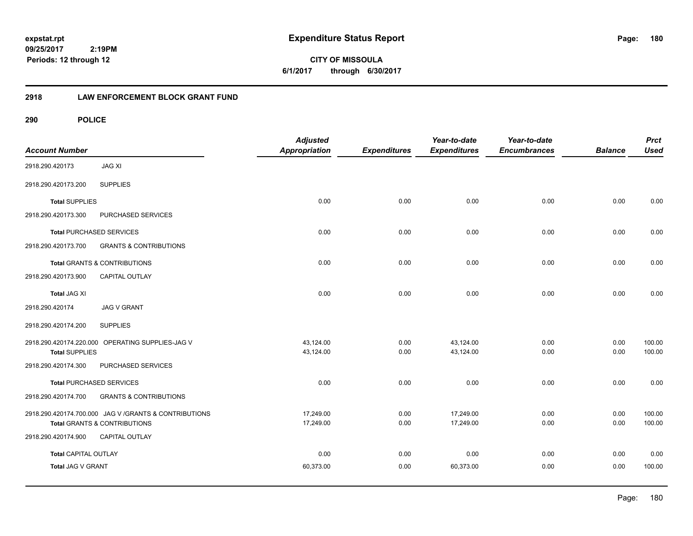**180**

**CITY OF MISSOULA 6/1/2017 through 6/30/2017**

## **2918 LAW ENFORCEMENT BLOCK GRANT FUND**

**290 POLICE**

| <b>Account Number</b>       |                                                        | <b>Adjusted</b><br><b>Appropriation</b> | <b>Expenditures</b> | Year-to-date<br><b>Expenditures</b> | Year-to-date<br><b>Encumbrances</b> | <b>Balance</b> | <b>Prct</b><br><b>Used</b> |
|-----------------------------|--------------------------------------------------------|-----------------------------------------|---------------------|-------------------------------------|-------------------------------------|----------------|----------------------------|
| 2918.290.420173             | <b>JAG XI</b>                                          |                                         |                     |                                     |                                     |                |                            |
| 2918.290.420173.200         | <b>SUPPLIES</b>                                        |                                         |                     |                                     |                                     |                |                            |
| <b>Total SUPPLIES</b>       |                                                        | 0.00                                    | 0.00                | 0.00                                | 0.00                                | 0.00           | 0.00                       |
| 2918.290.420173.300         | PURCHASED SERVICES                                     |                                         |                     |                                     |                                     |                |                            |
|                             | <b>Total PURCHASED SERVICES</b>                        | 0.00                                    | 0.00                | 0.00                                | 0.00                                | 0.00           | 0.00                       |
| 2918.290.420173.700         | <b>GRANTS &amp; CONTRIBUTIONS</b>                      |                                         |                     |                                     |                                     |                |                            |
|                             | <b>Total GRANTS &amp; CONTRIBUTIONS</b>                | 0.00                                    | 0.00                | 0.00                                | 0.00                                | 0.00           | 0.00                       |
| 2918.290.420173.900         | <b>CAPITAL OUTLAY</b>                                  |                                         |                     |                                     |                                     |                |                            |
| <b>Total JAG XI</b>         |                                                        | 0.00                                    | 0.00                | 0.00                                | 0.00                                | 0.00           | 0.00                       |
| 2918.290.420174             | <b>JAG V GRANT</b>                                     |                                         |                     |                                     |                                     |                |                            |
| 2918.290.420174.200         | <b>SUPPLIES</b>                                        |                                         |                     |                                     |                                     |                |                            |
|                             | 2918.290.420174.220.000 OPERATING SUPPLIES-JAG V       | 43,124.00                               | 0.00                | 43,124.00                           | 0.00                                | 0.00           | 100.00                     |
| <b>Total SUPPLIES</b>       |                                                        | 43,124.00                               | 0.00                | 43,124.00                           | 0.00                                | 0.00           | 100.00                     |
| 2918.290.420174.300         | PURCHASED SERVICES                                     |                                         |                     |                                     |                                     |                |                            |
|                             | <b>Total PURCHASED SERVICES</b>                        | 0.00                                    | 0.00                | 0.00                                | 0.00                                | 0.00           | 0.00                       |
| 2918.290.420174.700         | <b>GRANTS &amp; CONTRIBUTIONS</b>                      |                                         |                     |                                     |                                     |                |                            |
|                             | 2918.290.420174.700.000 JAG V / GRANTS & CONTRIBUTIONS | 17,249.00                               | 0.00                | 17,249.00                           | 0.00                                | 0.00           | 100.00                     |
|                             | Total GRANTS & CONTRIBUTIONS                           | 17,249.00                               | 0.00                | 17,249.00                           | 0.00                                | 0.00           | 100.00                     |
| 2918.290.420174.900         | <b>CAPITAL OUTLAY</b>                                  |                                         |                     |                                     |                                     |                |                            |
| <b>Total CAPITAL OUTLAY</b> |                                                        | 0.00                                    | 0.00                | 0.00                                | 0.00                                | 0.00           | 0.00                       |
| Total JAG V GRANT           |                                                        | 60,373.00                               | 0.00                | 60,373.00                           | 0.00                                | 0.00           | 100.00                     |
|                             |                                                        |                                         |                     |                                     |                                     |                |                            |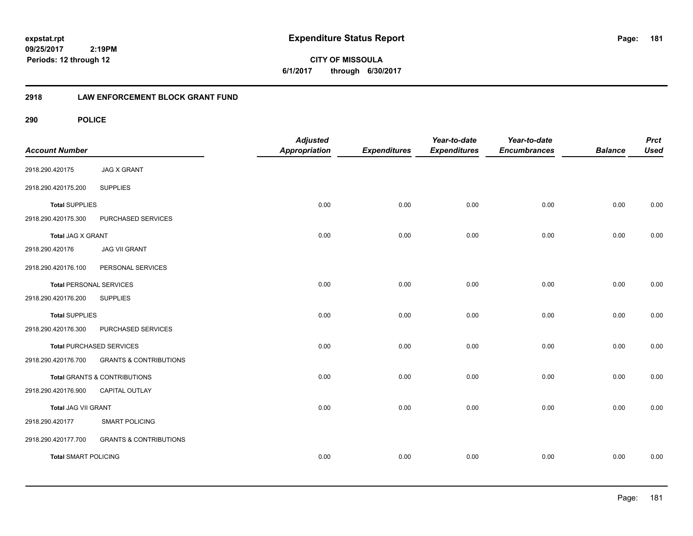**CITY OF MISSOULA 6/1/2017 through 6/30/2017**

# **2918 LAW ENFORCEMENT BLOCK GRANT FUND**

**290 POLICE**

| <b>Account Number</b>          |                                   | <b>Adjusted</b><br><b>Appropriation</b> | <b>Expenditures</b> | Year-to-date<br><b>Expenditures</b> | Year-to-date<br><b>Encumbrances</b> | <b>Balance</b> | <b>Prct</b><br><b>Used</b> |
|--------------------------------|-----------------------------------|-----------------------------------------|---------------------|-------------------------------------|-------------------------------------|----------------|----------------------------|
| 2918.290.420175                | <b>JAG X GRANT</b>                |                                         |                     |                                     |                                     |                |                            |
| 2918.290.420175.200            | <b>SUPPLIES</b>                   |                                         |                     |                                     |                                     |                |                            |
| <b>Total SUPPLIES</b>          |                                   | 0.00                                    | 0.00                | 0.00                                | 0.00                                | 0.00           | 0.00                       |
| 2918.290.420175.300            | PURCHASED SERVICES                |                                         |                     |                                     |                                     |                |                            |
| <b>Total JAG X GRANT</b>       |                                   | 0.00                                    | 0.00                | 0.00                                | 0.00                                | 0.00           | 0.00                       |
| 2918.290.420176                | <b>JAG VII GRANT</b>              |                                         |                     |                                     |                                     |                |                            |
| 2918.290.420176.100            | PERSONAL SERVICES                 |                                         |                     |                                     |                                     |                |                            |
| <b>Total PERSONAL SERVICES</b> |                                   | 0.00                                    | 0.00                | 0.00                                | 0.00                                | 0.00           | 0.00                       |
| 2918.290.420176.200            | <b>SUPPLIES</b>                   |                                         |                     |                                     |                                     |                |                            |
| <b>Total SUPPLIES</b>          |                                   | 0.00                                    | 0.00                | 0.00                                | 0.00                                | 0.00           | 0.00                       |
| 2918.290.420176.300            | PURCHASED SERVICES                |                                         |                     |                                     |                                     |                |                            |
|                                | <b>Total PURCHASED SERVICES</b>   | 0.00                                    | 0.00                | 0.00                                | 0.00                                | 0.00           | 0.00                       |
| 2918.290.420176.700            | <b>GRANTS &amp; CONTRIBUTIONS</b> |                                         |                     |                                     |                                     |                |                            |
|                                | Total GRANTS & CONTRIBUTIONS      | 0.00                                    | 0.00                | 0.00                                | 0.00                                | 0.00           | 0.00                       |
| 2918.290.420176.900            | CAPITAL OUTLAY                    |                                         |                     |                                     |                                     |                |                            |
| <b>Total JAG VII GRANT</b>     |                                   | 0.00                                    | 0.00                | 0.00                                | 0.00                                | 0.00           | 0.00                       |
| 2918.290.420177                | <b>SMART POLICING</b>             |                                         |                     |                                     |                                     |                |                            |
| 2918.290.420177.700            | <b>GRANTS &amp; CONTRIBUTIONS</b> |                                         |                     |                                     |                                     |                |                            |
| <b>Total SMART POLICING</b>    |                                   | 0.00                                    | 0.00                | 0.00                                | 0.00                                | 0.00           | 0.00                       |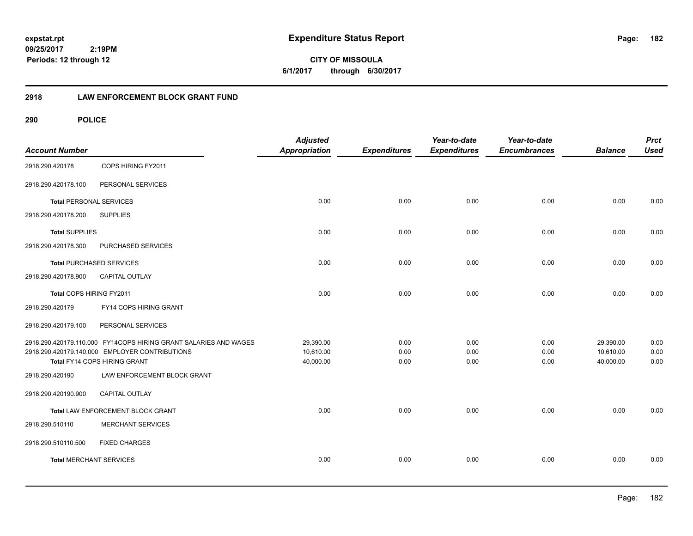**CITY OF MISSOULA 6/1/2017 through 6/30/2017**

# **2918 LAW ENFORCEMENT BLOCK GRANT FUND**

**290 POLICE**

| <b>Account Number</b>          |                                                                  | <b>Adjusted</b><br><b>Appropriation</b> | <b>Expenditures</b> | Year-to-date<br><b>Expenditures</b> | Year-to-date<br><b>Encumbrances</b> | <b>Balance</b> | <b>Prct</b><br><b>Used</b> |
|--------------------------------|------------------------------------------------------------------|-----------------------------------------|---------------------|-------------------------------------|-------------------------------------|----------------|----------------------------|
| 2918.290.420178                | COPS HIRING FY2011                                               |                                         |                     |                                     |                                     |                |                            |
| 2918.290.420178.100            | PERSONAL SERVICES                                                |                                         |                     |                                     |                                     |                |                            |
| <b>Total PERSONAL SERVICES</b> |                                                                  | 0.00                                    | 0.00                | 0.00                                | 0.00                                | 0.00           | 0.00                       |
| 2918.290.420178.200            | <b>SUPPLIES</b>                                                  |                                         |                     |                                     |                                     |                |                            |
| <b>Total SUPPLIES</b>          |                                                                  | 0.00                                    | 0.00                | 0.00                                | 0.00                                | 0.00           | 0.00                       |
| 2918.290.420178.300            | PURCHASED SERVICES                                               |                                         |                     |                                     |                                     |                |                            |
|                                | <b>Total PURCHASED SERVICES</b>                                  | 0.00                                    | 0.00                | 0.00                                | 0.00                                | 0.00           | 0.00                       |
| 2918.290.420178.900            | CAPITAL OUTLAY                                                   |                                         |                     |                                     |                                     |                |                            |
| Total COPS HIRING FY2011       |                                                                  | 0.00                                    | 0.00                | 0.00                                | 0.00                                | 0.00           | 0.00                       |
| 2918.290.420179                | FY14 COPS HIRING GRANT                                           |                                         |                     |                                     |                                     |                |                            |
| 2918.290.420179.100            | PERSONAL SERVICES                                                |                                         |                     |                                     |                                     |                |                            |
|                                | 2918.290.420179.110.000 FY14COPS HIRING GRANT SALARIES AND WAGES | 29.390.00                               | 0.00                | 0.00                                | 0.00                                | 29,390.00      | 0.00                       |
|                                | 2918.290.420179.140.000 EMPLOYER CONTRIBUTIONS                   | 10,610.00                               | 0.00                | 0.00                                | 0.00                                | 10,610.00      | 0.00                       |
|                                | Total FY14 COPS HIRING GRANT                                     | 40,000.00                               | 0.00                | 0.00                                | 0.00                                | 40,000.00      | 0.00                       |
| 2918.290.420190                | LAW ENFORCEMENT BLOCK GRANT                                      |                                         |                     |                                     |                                     |                |                            |
| 2918.290.420190.900            | <b>CAPITAL OUTLAY</b>                                            |                                         |                     |                                     |                                     |                |                            |
|                                | Total LAW ENFORCEMENT BLOCK GRANT                                | 0.00                                    | 0.00                | 0.00                                | 0.00                                | 0.00           | 0.00                       |
| 2918.290.510110                | <b>MERCHANT SERVICES</b>                                         |                                         |                     |                                     |                                     |                |                            |
| 2918.290.510110.500            | <b>FIXED CHARGES</b>                                             |                                         |                     |                                     |                                     |                |                            |
| <b>Total MERCHANT SERVICES</b> |                                                                  | 0.00                                    | 0.00                | 0.00                                | 0.00                                | 0.00           | 0.00                       |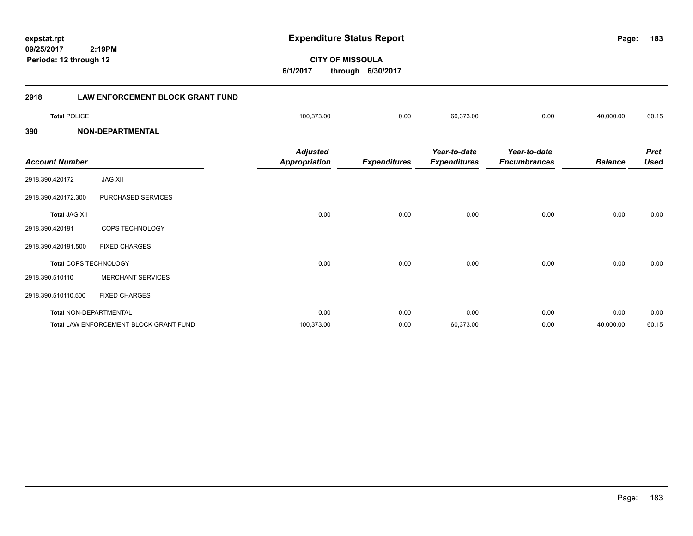**09/25/2017 CITY OF MISSOULA 2:19PM expstat.rpt Expenditure Status Report Page: 6/1/2017 through 6/30/2017 Periods: 12 through 12 2918 LAW ENFORCEMENT BLOCK GRANT FUND Total** POLICE 100,373.00 0.00 60,373.00 0.00 40,000.00 60.15 **390 NON-DEPARTMENTAL** *Balance Used Year-to-date Encumbrances Year-to-date Expenditures Expenditures Adjusted Account Number Appropriation* 2918.390.420172 JAG XII

| 2918.390.420172.300           | PURCHASED SERVICES                            |            |      |           |      |           |       |
|-------------------------------|-----------------------------------------------|------------|------|-----------|------|-----------|-------|
| <b>Total JAG XII</b>          |                                               | 0.00       | 0.00 | 0.00      | 0.00 | 0.00      | 0.00  |
| 2918.390.420191               | <b>COPS TECHNOLOGY</b>                        |            |      |           |      |           |       |
| 2918.390.420191.500           | <b>FIXED CHARGES</b>                          |            |      |           |      |           |       |
| <b>Total COPS TECHNOLOGY</b>  |                                               | 0.00       | 0.00 | 0.00      | 0.00 | 0.00      | 0.00  |
| 2918.390.510110               | <b>MERCHANT SERVICES</b>                      |            |      |           |      |           |       |
| 2918.390.510110.500           | <b>FIXED CHARGES</b>                          |            |      |           |      |           |       |
| <b>Total NON-DEPARTMENTAL</b> |                                               | 0.00       | 0.00 | 0.00      | 0.00 | 0.00      | 0.00  |
|                               | <b>Total LAW ENFORCEMENT BLOCK GRANT FUND</b> | 100,373.00 | 0.00 | 60,373.00 | 0.00 | 40,000.00 | 60.15 |

**183**

*Prct*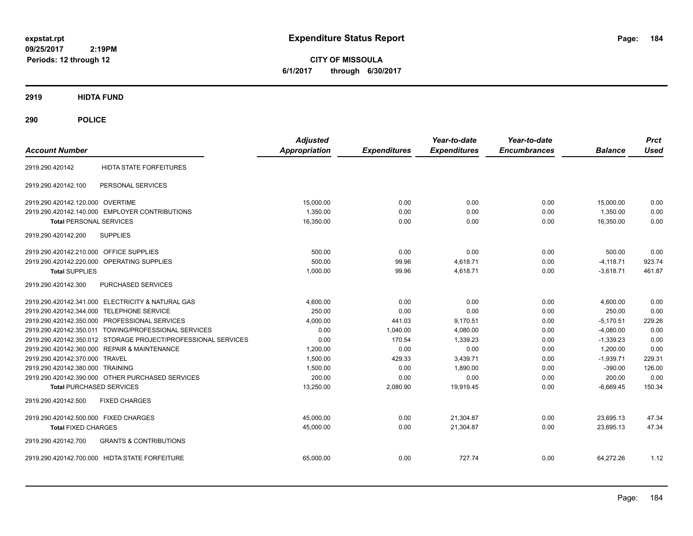**CITY OF MISSOULA 6/1/2017 through 6/30/2017**

**2919 HIDTA FUND**

**290 POLICE**

| <b>Account Number</b>                                         | <b>Adjusted</b><br><b>Appropriation</b> | <b>Expenditures</b> | Year-to-date<br><b>Expenditures</b> | Year-to-date<br><b>Encumbrances</b> | <b>Balance</b> | <b>Prct</b><br><b>Used</b> |
|---------------------------------------------------------------|-----------------------------------------|---------------------|-------------------------------------|-------------------------------------|----------------|----------------------------|
| <b>HIDTA STATE FORFEITURES</b><br>2919.290.420142             |                                         |                     |                                     |                                     |                |                            |
| 2919.290.420142.100<br>PERSONAL SERVICES                      |                                         |                     |                                     |                                     |                |                            |
| 2919.290.420142.120.000 OVERTIME                              | 15.000.00                               | 0.00                | 0.00                                | 0.00                                | 15,000.00      | 0.00                       |
| 2919.290.420142.140.000 EMPLOYER CONTRIBUTIONS                | 1.350.00                                | 0.00                | 0.00                                | 0.00                                | 1.350.00       | 0.00                       |
| <b>Total PERSONAL SERVICES</b>                                | 16,350.00                               | 0.00                | 0.00                                | 0.00                                | 16,350.00      | 0.00                       |
| 2919.290.420142.200<br><b>SUPPLIES</b>                        |                                         |                     |                                     |                                     |                |                            |
| 2919.290.420142.210.000<br><b>OFFICE SUPPLIES</b>             | 500.00                                  | 0.00                | 0.00                                | 0.00                                | 500.00         | 0.00                       |
| 2919.290.420142.220.000<br>OPERATING SUPPLIES                 | 500.00                                  | 99.96               | 4,618.71                            | 0.00                                | $-4,118.71$    | 923.74                     |
| <b>Total SUPPLIES</b>                                         | 1.000.00                                | 99.96               | 4,618.71                            | 0.00                                | $-3,618.71$    | 461.87                     |
| PURCHASED SERVICES<br>2919.290.420142.300                     |                                         |                     |                                     |                                     |                |                            |
| 2919.290.420142.341.000 ELECTRICITY & NATURAL GAS             | 4,600.00                                | 0.00                | 0.00                                | 0.00                                | 4,600.00       | 0.00                       |
| 2919.290.420142.344.000 TELEPHONE SERVICE                     | 250.00                                  | 0.00                | 0.00                                | 0.00                                | 250.00         | 0.00                       |
| 2919.290.420142.350.000 PROFESSIONAL SERVICES                 | 4,000.00                                | 441.03              | 9,170.51                            | 0.00                                | $-5,170.51$    | 229.26                     |
| 2919.290.420142.350.011 TOWING/PROFESSIONAL SERVICES          | 0.00                                    | 1,040.00            | 4,080.00                            | 0.00                                | $-4,080.00$    | 0.00                       |
| 2919.290.420142.350.012 STORAGE PROJECT/PROFESSIONAL SERVICES | 0.00                                    | 170.54              | 1,339.23                            | 0.00                                | $-1,339.23$    | 0.00                       |
| 2919.290.420142.360.000 REPAIR & MAINTENANCE                  | 1,200.00                                | 0.00                | 0.00                                | 0.00                                | 1,200.00       | 0.00                       |
| 2919.290.420142.370.000 TRAVEL                                | 1.500.00                                | 429.33              | 3.439.71                            | 0.00                                | $-1.939.71$    | 229.31                     |
| 2919.290.420142.380.000 TRAINING                              | 1,500.00                                | 0.00                | 1.890.00                            | 0.00                                | $-390.00$      | 126.00                     |
| 2919.290.420142.390.000 OTHER PURCHASED SERVICES              | 200.00                                  | 0.00                | 0.00                                | 0.00                                | 200.00         | 0.00                       |
| <b>Total PURCHASED SERVICES</b>                               | 13,250.00                               | 2,080.90            | 19,919.45                           | 0.00                                | $-6,669.45$    | 150.34                     |
| 2919.290.420142.500<br><b>FIXED CHARGES</b>                   |                                         |                     |                                     |                                     |                |                            |
| 2919.290.420142.500.000 FIXED CHARGES                         | 45,000.00                               | 0.00                | 21,304.87                           | 0.00                                | 23,695.13      | 47.34                      |
| <b>Total FIXED CHARGES</b>                                    | 45,000.00                               | 0.00                | 21,304.87                           | 0.00                                | 23,695.13      | 47.34                      |
| 2919.290.420142.700<br><b>GRANTS &amp; CONTRIBUTIONS</b>      |                                         |                     |                                     |                                     |                |                            |
| 2919.290.420142.700.000 HIDTA STATE FORFEITURE                | 65,000.00                               | 0.00                | 727.74                              | 0.00                                | 64,272.26      | 1.12                       |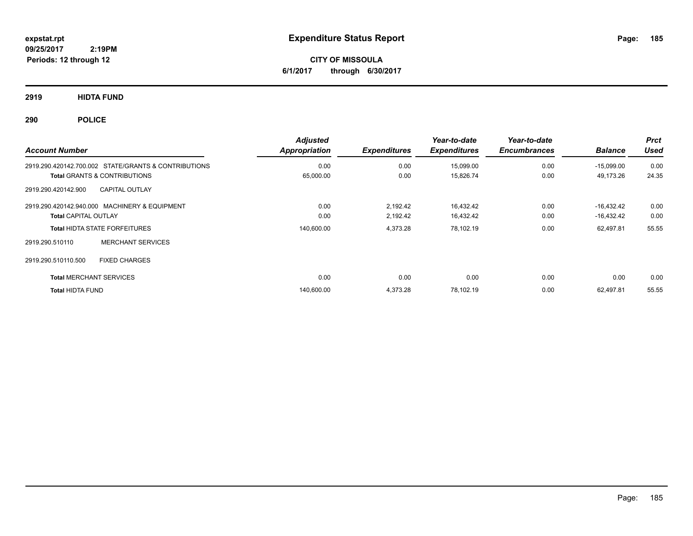**CITY OF MISSOULA 6/1/2017 through 6/30/2017**

**2919 HIDTA FUND**

**290 POLICE**

| <b>Account Number</b>                                | <b>Adjusted</b><br>Appropriation | <b>Expenditures</b> | Year-to-date<br><b>Expenditures</b> | Year-to-date<br><b>Encumbrances</b> | <b>Balance</b> | <b>Prct</b><br><b>Used</b> |
|------------------------------------------------------|----------------------------------|---------------------|-------------------------------------|-------------------------------------|----------------|----------------------------|
| 2919.290.420142.700.002 STATE/GRANTS & CONTRIBUTIONS | 0.00                             | 0.00                | 15,099.00                           | 0.00                                | $-15,099.00$   | 0.00                       |
| <b>Total GRANTS &amp; CONTRIBUTIONS</b>              | 65,000.00                        | 0.00                | 15,826.74                           | 0.00                                | 49,173.26      | 24.35                      |
| <b>CAPITAL OUTLAY</b><br>2919.290.420142.900         |                                  |                     |                                     |                                     |                |                            |
| 2919.290.420142.940.000 MACHINERY & EQUIPMENT        | 0.00                             | 2,192.42            | 16,432.42                           | 0.00                                | $-16.432.42$   | 0.00                       |
| <b>Total CAPITAL OUTLAY</b>                          | 0.00                             | 2,192.42            | 16,432.42                           | 0.00                                | $-16,432.42$   | 0.00                       |
| <b>Total HIDTA STATE FORFEITURES</b>                 | 140,600.00                       | 4,373.28            | 78,102.19                           | 0.00                                | 62,497.81      | 55.55                      |
| <b>MERCHANT SERVICES</b><br>2919.290.510110          |                                  |                     |                                     |                                     |                |                            |
| 2919.290.510110.500<br><b>FIXED CHARGES</b>          |                                  |                     |                                     |                                     |                |                            |
| <b>Total MERCHANT SERVICES</b>                       | 0.00                             | 0.00                | 0.00                                | 0.00                                | 0.00           | 0.00                       |
| <b>Total HIDTA FUND</b>                              | 140,600.00                       | 4,373.28            | 78.102.19                           | 0.00                                | 62.497.81      | 55.55                      |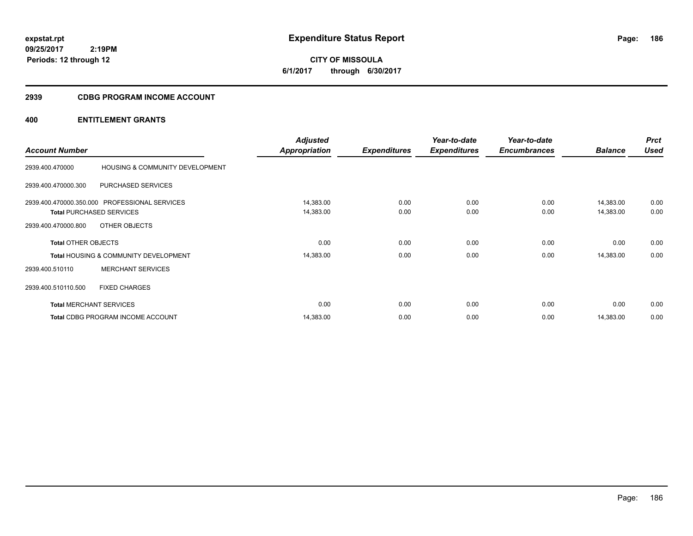**CITY OF MISSOULA 6/1/2017 through 6/30/2017**

### **2939 CDBG PROGRAM INCOME ACCOUNT**

| <b>Account Number</b>      |                                                  | <b>Adjusted</b><br><b>Appropriation</b> | <b>Expenditures</b> | Year-to-date<br><b>Expenditures</b> | Year-to-date<br><b>Encumbrances</b> | <b>Balance</b> | <b>Prct</b><br><b>Used</b> |
|----------------------------|--------------------------------------------------|-----------------------------------------|---------------------|-------------------------------------|-------------------------------------|----------------|----------------------------|
|                            |                                                  |                                         |                     |                                     |                                     |                |                            |
| 2939.400.470000            | HOUSING & COMMUNITY DEVELOPMENT                  |                                         |                     |                                     |                                     |                |                            |
| 2939.400.470000.300        | PURCHASED SERVICES                               |                                         |                     |                                     |                                     |                |                            |
|                            | 2939.400.470000.350.000 PROFESSIONAL SERVICES    | 14,383.00                               | 0.00                | 0.00                                | 0.00                                | 14,383.00      | 0.00                       |
|                            | <b>Total PURCHASED SERVICES</b>                  | 14,383.00                               | 0.00                | 0.00                                | 0.00                                | 14,383.00      | 0.00                       |
| 2939.400.470000.800        | OTHER OBJECTS                                    |                                         |                     |                                     |                                     |                |                            |
| <b>Total OTHER OBJECTS</b> |                                                  | 0.00                                    | 0.00                | 0.00                                | 0.00                                | 0.00           | 0.00                       |
|                            | <b>Total HOUSING &amp; COMMUNITY DEVELOPMENT</b> | 14,383.00                               | 0.00                | 0.00                                | 0.00                                | 14,383.00      | 0.00                       |
| 2939.400.510110            | <b>MERCHANT SERVICES</b>                         |                                         |                     |                                     |                                     |                |                            |
| 2939.400.510110.500        | <b>FIXED CHARGES</b>                             |                                         |                     |                                     |                                     |                |                            |
|                            | <b>Total MERCHANT SERVICES</b>                   | 0.00                                    | 0.00                | 0.00                                | 0.00                                | 0.00           | 0.00                       |
|                            | <b>Total CDBG PROGRAM INCOME ACCOUNT</b>         | 14,383.00                               | 0.00                | 0.00                                | 0.00                                | 14,383.00      | 0.00                       |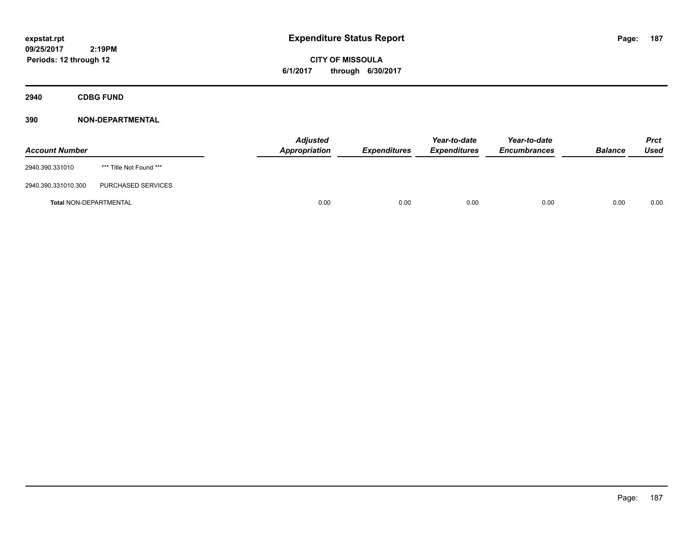**CITY OF MISSOULA 6/1/2017 through 6/30/2017**

**2940 CDBG FUND**

| <b>Account Number</b>         |                         | <b>Adjusted</b><br><b>Appropriation</b> | <b>Expenditures</b> | Year-to-date<br><b>Expenditures</b> | Year-to-date<br><b>Encumbrances</b> | <b>Balance</b> | <b>Prct</b><br>Used |
|-------------------------------|-------------------------|-----------------------------------------|---------------------|-------------------------------------|-------------------------------------|----------------|---------------------|
| 2940.390.331010               | *** Title Not Found *** |                                         |                     |                                     |                                     |                |                     |
| 2940.390.331010.300           | PURCHASED SERVICES      |                                         |                     |                                     |                                     |                |                     |
| <b>Total NON-DEPARTMENTAL</b> |                         | 0.00                                    | 0.00                | 0.00                                | 0.00                                | 0.00           | 0.00                |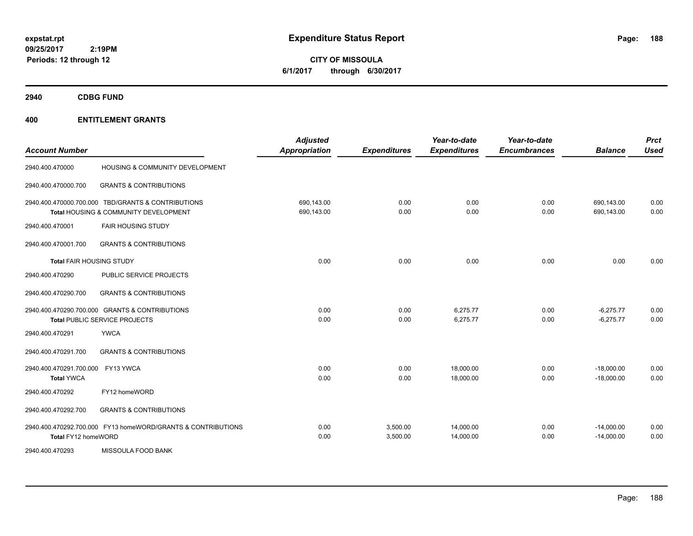**CITY OF MISSOULA 6/1/2017 through 6/30/2017**

**2940 CDBG FUND**

| <b>Account Number</b>                        |                                                                                             | <b>Adjusted</b><br><b>Appropriation</b> | <b>Expenditures</b>  | Year-to-date<br><b>Expenditures</b> | Year-to-date<br><b>Encumbrances</b> | <b>Balance</b>               | <b>Prct</b><br><b>Used</b> |
|----------------------------------------------|---------------------------------------------------------------------------------------------|-----------------------------------------|----------------------|-------------------------------------|-------------------------------------|------------------------------|----------------------------|
| 2940.400.470000                              | HOUSING & COMMUNITY DEVELOPMENT                                                             |                                         |                      |                                     |                                     |                              |                            |
| 2940.400.470000.700                          | <b>GRANTS &amp; CONTRIBUTIONS</b>                                                           |                                         |                      |                                     |                                     |                              |                            |
|                                              | 2940.400.470000.700.000 TBD/GRANTS & CONTRIBUTIONS<br>Total HOUSING & COMMUNITY DEVELOPMENT | 690,143.00<br>690,143.00                | 0.00<br>0.00         | 0.00<br>0.00                        | 0.00<br>0.00                        | 690,143.00<br>690,143.00     | 0.00<br>0.00               |
| 2940.400.470001                              | <b>FAIR HOUSING STUDY</b>                                                                   |                                         |                      |                                     |                                     |                              |                            |
| 2940.400.470001.700                          | <b>GRANTS &amp; CONTRIBUTIONS</b>                                                           |                                         |                      |                                     |                                     |                              |                            |
| <b>Total FAIR HOUSING STUDY</b>              |                                                                                             | 0.00                                    | 0.00                 | 0.00                                | 0.00                                | 0.00                         | 0.00                       |
| 2940.400.470290                              | PUBLIC SERVICE PROJECTS                                                                     |                                         |                      |                                     |                                     |                              |                            |
| 2940.400.470290.700                          | <b>GRANTS &amp; CONTRIBUTIONS</b>                                                           |                                         |                      |                                     |                                     |                              |                            |
|                                              | 2940.400.470290.700.000 GRANTS & CONTRIBUTIONS<br>Total PUBLIC SERVICE PROJECTS             | 0.00<br>0.00                            | 0.00<br>0.00         | 6,275.77<br>6,275.77                | 0.00<br>0.00                        | $-6,275.77$<br>$-6,275.77$   | 0.00<br>0.00               |
| 2940.400.470291                              | <b>YWCA</b>                                                                                 |                                         |                      |                                     |                                     |                              |                            |
| 2940.400.470291.700                          | <b>GRANTS &amp; CONTRIBUTIONS</b>                                                           |                                         |                      |                                     |                                     |                              |                            |
| 2940.400.470291.700.000<br><b>Total YWCA</b> | FY13 YWCA                                                                                   | 0.00<br>0.00                            | 0.00<br>0.00         | 18,000.00<br>18,000.00              | 0.00<br>0.00                        | $-18,000.00$<br>$-18,000.00$ | 0.00<br>0.00               |
| 2940.400.470292                              | FY12 homeWORD                                                                               |                                         |                      |                                     |                                     |                              |                            |
| 2940.400.470292.700                          | <b>GRANTS &amp; CONTRIBUTIONS</b>                                                           |                                         |                      |                                     |                                     |                              |                            |
| Total FY12 homeWORD                          | 2940.400.470292.700.000 FY13 homeWORD/GRANTS & CONTRIBUTIONS                                | 0.00<br>0.00                            | 3,500.00<br>3,500.00 | 14,000.00<br>14,000.00              | 0.00<br>0.00                        | $-14,000.00$<br>$-14,000.00$ | 0.00<br>0.00               |
| 2940.400.470293                              | MISSOULA FOOD BANK                                                                          |                                         |                      |                                     |                                     |                              |                            |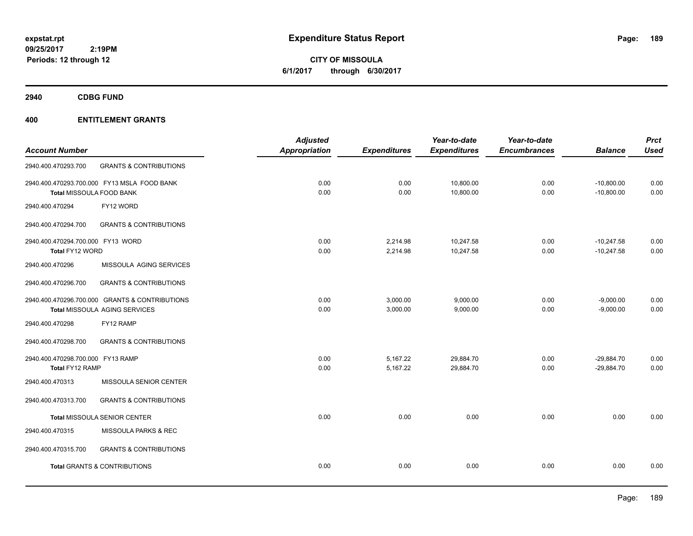**CITY OF MISSOULA 6/1/2017 through 6/30/2017**

**2940 CDBG FUND**

|                                   |                                                | <b>Adjusted</b>      |                     | Year-to-date        | Year-to-date        |                | <b>Prct</b> |
|-----------------------------------|------------------------------------------------|----------------------|---------------------|---------------------|---------------------|----------------|-------------|
| <b>Account Number</b>             |                                                | <b>Appropriation</b> | <b>Expenditures</b> | <b>Expenditures</b> | <b>Encumbrances</b> | <b>Balance</b> | <b>Used</b> |
| 2940.400.470293.700               | <b>GRANTS &amp; CONTRIBUTIONS</b>              |                      |                     |                     |                     |                |             |
|                                   | 2940.400.470293.700.000 FY13 MSLA FOOD BANK    | 0.00                 | 0.00                | 10,800.00           | 0.00                | $-10,800.00$   | 0.00        |
|                                   | <b>Total MISSOULA FOOD BANK</b>                | 0.00                 | 0.00                | 10,800.00           | 0.00                | $-10,800.00$   | 0.00        |
| 2940.400.470294                   | FY12 WORD                                      |                      |                     |                     |                     |                |             |
| 2940.400.470294.700               | <b>GRANTS &amp; CONTRIBUTIONS</b>              |                      |                     |                     |                     |                |             |
| 2940.400.470294.700.000 FY13 WORD |                                                | 0.00                 | 2,214.98            | 10,247.58           | 0.00                | $-10,247.58$   | 0.00        |
| Total FY12 WORD                   |                                                | 0.00                 | 2,214.98            | 10,247.58           | 0.00                | $-10,247.58$   | 0.00        |
| 2940.400.470296                   | MISSOULA AGING SERVICES                        |                      |                     |                     |                     |                |             |
| 2940.400.470296.700               | <b>GRANTS &amp; CONTRIBUTIONS</b>              |                      |                     |                     |                     |                |             |
|                                   | 2940.400.470296.700.000 GRANTS & CONTRIBUTIONS | 0.00                 | 3,000.00            | 9,000.00            | 0.00                | $-9,000.00$    | 0.00        |
|                                   | Total MISSOULA AGING SERVICES                  | 0.00                 | 3,000.00            | 9,000.00            | 0.00                | $-9,000.00$    | 0.00        |
| 2940.400.470298                   | FY12 RAMP                                      |                      |                     |                     |                     |                |             |
| 2940.400.470298.700               | <b>GRANTS &amp; CONTRIBUTIONS</b>              |                      |                     |                     |                     |                |             |
| 2940.400.470298.700.000 FY13 RAMP |                                                | 0.00                 | 5,167.22            | 29,884.70           | 0.00                | $-29,884.70$   | 0.00        |
| Total FY12 RAMP                   |                                                | 0.00                 | 5,167.22            | 29.884.70           | 0.00                | $-29,884.70$   | 0.00        |
| 2940.400.470313                   | MISSOULA SENIOR CENTER                         |                      |                     |                     |                     |                |             |
| 2940.400.470313.700               | <b>GRANTS &amp; CONTRIBUTIONS</b>              |                      |                     |                     |                     |                |             |
|                                   | <b>Total MISSOULA SENIOR CENTER</b>            | 0.00                 | 0.00                | 0.00                | 0.00                | 0.00           | 0.00        |
| 2940.400.470315                   | MISSOULA PARKS & REC                           |                      |                     |                     |                     |                |             |
| 2940.400.470315.700               | <b>GRANTS &amp; CONTRIBUTIONS</b>              |                      |                     |                     |                     |                |             |
|                                   | <b>Total GRANTS &amp; CONTRIBUTIONS</b>        | 0.00                 | 0.00                | 0.00                | 0.00                | 0.00           | 0.00        |
|                                   |                                                |                      |                     |                     |                     |                |             |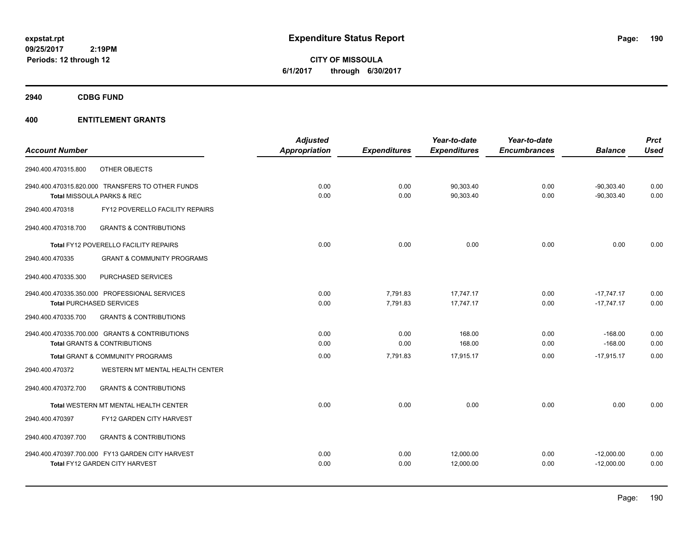**CITY OF MISSOULA 6/1/2017 through 6/30/2017**

**2940 CDBG FUND**

|                       |                                                  | <b>Adjusted</b> |                     | Year-to-date        | Year-to-date        |                | <b>Prct</b> |
|-----------------------|--------------------------------------------------|-----------------|---------------------|---------------------|---------------------|----------------|-------------|
| <b>Account Number</b> |                                                  | Appropriation   | <b>Expenditures</b> | <b>Expenditures</b> | <b>Encumbrances</b> | <b>Balance</b> | <b>Used</b> |
| 2940.400.470315.800   | OTHER OBJECTS                                    |                 |                     |                     |                     |                |             |
|                       | 2940.400.470315.820.000 TRANSFERS TO OTHER FUNDS | 0.00            | 0.00                | 90,303.40           | 0.00                | $-90,303.40$   | 0.00        |
|                       | Total MISSOULA PARKS & REC                       | 0.00            | 0.00                | 90,303.40           | 0.00                | $-90,303.40$   | 0.00        |
| 2940.400.470318       | FY12 POVERELLO FACILITY REPAIRS                  |                 |                     |                     |                     |                |             |
| 2940.400.470318.700   | <b>GRANTS &amp; CONTRIBUTIONS</b>                |                 |                     |                     |                     |                |             |
|                       | Total FY12 POVERELLO FACILITY REPAIRS            | 0.00            | 0.00                | 0.00                | 0.00                | 0.00           | 0.00        |
| 2940.400.470335       | <b>GRANT &amp; COMMUNITY PROGRAMS</b>            |                 |                     |                     |                     |                |             |
| 2940.400.470335.300   | PURCHASED SERVICES                               |                 |                     |                     |                     |                |             |
|                       | 2940.400.470335.350.000 PROFESSIONAL SERVICES    | 0.00            | 7,791.83            | 17.747.17           | 0.00                | $-17.747.17$   | 0.00        |
|                       | <b>Total PURCHASED SERVICES</b>                  | 0.00            | 7,791.83            | 17,747.17           | 0.00                | $-17,747.17$   | 0.00        |
| 2940.400.470335.700   | <b>GRANTS &amp; CONTRIBUTIONS</b>                |                 |                     |                     |                     |                |             |
|                       | 2940.400.470335.700.000 GRANTS & CONTRIBUTIONS   | 0.00            | 0.00                | 168.00              | 0.00                | $-168.00$      | 0.00        |
|                       | <b>Total GRANTS &amp; CONTRIBUTIONS</b>          | 0.00            | 0.00                | 168.00              | 0.00                | $-168.00$      | 0.00        |
|                       | Total GRANT & COMMUNITY PROGRAMS                 | 0.00            | 7,791.83            | 17,915.17           | 0.00                | $-17,915.17$   | 0.00        |
| 2940.400.470372       | WESTERN MT MENTAL HEALTH CENTER                  |                 |                     |                     |                     |                |             |
| 2940.400.470372.700   | <b>GRANTS &amp; CONTRIBUTIONS</b>                |                 |                     |                     |                     |                |             |
|                       | Total WESTERN MT MENTAL HEALTH CENTER            | 0.00            | 0.00                | 0.00                | 0.00                | 0.00           | 0.00        |
| 2940.400.470397       | FY12 GARDEN CITY HARVEST                         |                 |                     |                     |                     |                |             |
| 2940.400.470397.700   | <b>GRANTS &amp; CONTRIBUTIONS</b>                |                 |                     |                     |                     |                |             |
|                       | 2940.400.470397.700.000 FY13 GARDEN CITY HARVEST | 0.00            | 0.00                | 12,000.00           | 0.00                | $-12,000.00$   | 0.00        |
|                       | Total FY12 GARDEN CITY HARVEST                   | 0.00            | 0.00                | 12,000.00           | 0.00                | $-12,000.00$   | 0.00        |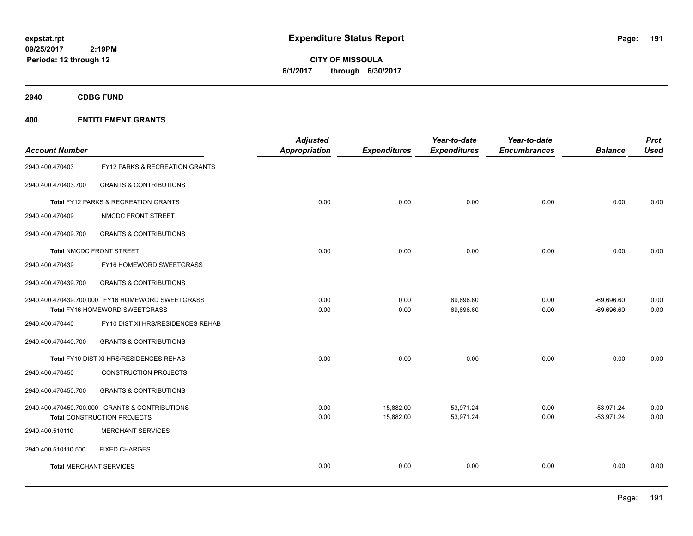**CITY OF MISSOULA 6/1/2017 through 6/30/2017**

**2940 CDBG FUND**

| <b>Account Number</b>          |                                                                                      | <b>Adjusted</b><br><b>Appropriation</b> | <b>Expenditures</b>    | Year-to-date<br><b>Expenditures</b> | Year-to-date<br><b>Encumbrances</b> | <b>Balance</b>               | <b>Prct</b><br><b>Used</b> |
|--------------------------------|--------------------------------------------------------------------------------------|-----------------------------------------|------------------------|-------------------------------------|-------------------------------------|------------------------------|----------------------------|
| 2940.400.470403                | FY12 PARKS & RECREATION GRANTS                                                       |                                         |                        |                                     |                                     |                              |                            |
| 2940.400.470403.700            | <b>GRANTS &amp; CONTRIBUTIONS</b>                                                    |                                         |                        |                                     |                                     |                              |                            |
|                                | <b>Total FY12 PARKS &amp; RECREATION GRANTS</b>                                      | 0.00                                    | 0.00                   | 0.00                                | 0.00                                | 0.00                         | 0.00                       |
| 2940.400.470409                | NMCDC FRONT STREET                                                                   |                                         |                        |                                     |                                     |                              |                            |
| 2940.400.470409.700            | <b>GRANTS &amp; CONTRIBUTIONS</b>                                                    |                                         |                        |                                     |                                     |                              |                            |
|                                | <b>Total NMCDC FRONT STREET</b>                                                      | 0.00                                    | 0.00                   | 0.00                                | 0.00                                | 0.00                         | 0.00                       |
| 2940.400.470439                | FY16 HOMEWORD SWEETGRASS                                                             |                                         |                        |                                     |                                     |                              |                            |
| 2940.400.470439.700            | <b>GRANTS &amp; CONTRIBUTIONS</b>                                                    |                                         |                        |                                     |                                     |                              |                            |
|                                | 2940.400.470439.700.000 FY16 HOMEWORD SWEETGRASS<br>Total FY16 HOMEWORD SWEETGRASS   | 0.00<br>0.00                            | 0.00<br>0.00           | 69,696.60<br>69,696.60              | 0.00<br>0.00                        | $-69,696.60$<br>$-69,696.60$ | 0.00<br>0.00               |
| 2940.400.470440                | FY10 DIST XI HRS/RESIDENCES REHAB                                                    |                                         |                        |                                     |                                     |                              |                            |
| 2940.400.470440.700            | <b>GRANTS &amp; CONTRIBUTIONS</b>                                                    |                                         |                        |                                     |                                     |                              |                            |
|                                | Total FY10 DIST XI HRS/RESIDENCES REHAB                                              | 0.00                                    | 0.00                   | 0.00                                | 0.00                                | 0.00                         | 0.00                       |
| 2940.400.470450                | <b>CONSTRUCTION PROJECTS</b>                                                         |                                         |                        |                                     |                                     |                              |                            |
| 2940.400.470450.700            | <b>GRANTS &amp; CONTRIBUTIONS</b>                                                    |                                         |                        |                                     |                                     |                              |                            |
|                                | 2940.400.470450.700.000 GRANTS & CONTRIBUTIONS<br><b>Total CONSTRUCTION PROJECTS</b> | 0.00<br>0.00                            | 15,882.00<br>15,882.00 | 53,971.24<br>53,971.24              | 0.00<br>0.00                        | $-53,971.24$<br>$-53,971.24$ | 0.00<br>0.00               |
| 2940.400.510110                | <b>MERCHANT SERVICES</b>                                                             |                                         |                        |                                     |                                     |                              |                            |
| 2940.400.510110.500            | <b>FIXED CHARGES</b>                                                                 |                                         |                        |                                     |                                     |                              |                            |
| <b>Total MERCHANT SERVICES</b> |                                                                                      | 0.00                                    | 0.00                   | 0.00                                | 0.00                                | 0.00                         | 0.00                       |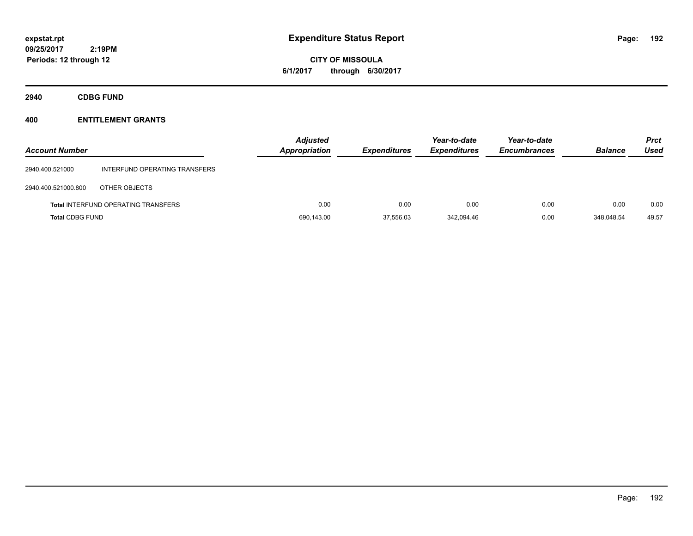# **CITY OF MISSOULA 6/1/2017 through 6/30/2017**

**2940 CDBG FUND**

| <b>Account Number</b>  |                                            | <b>Adjusted</b><br><b>Appropriation</b> | <b>Expenditures</b> | Year-to-date<br><b>Expenditures</b> | Year-to-date<br><b>Encumbrances</b> | <b>Balance</b> | <b>Prct</b><br>Used |
|------------------------|--------------------------------------------|-----------------------------------------|---------------------|-------------------------------------|-------------------------------------|----------------|---------------------|
| 2940.400.521000        | INTERFUND OPERATING TRANSFERS              |                                         |                     |                                     |                                     |                |                     |
| 2940.400.521000.800    | OTHER OBJECTS                              |                                         |                     |                                     |                                     |                |                     |
|                        | <b>Total INTERFUND OPERATING TRANSFERS</b> | 0.00                                    | 0.00                | 0.00                                | 0.00                                | 0.00           | 0.00                |
| <b>Total CDBG FUND</b> |                                            | 690,143.00                              | 37,556.03           | 342.094.46                          | 0.00                                | 348.048.54     | 49.57               |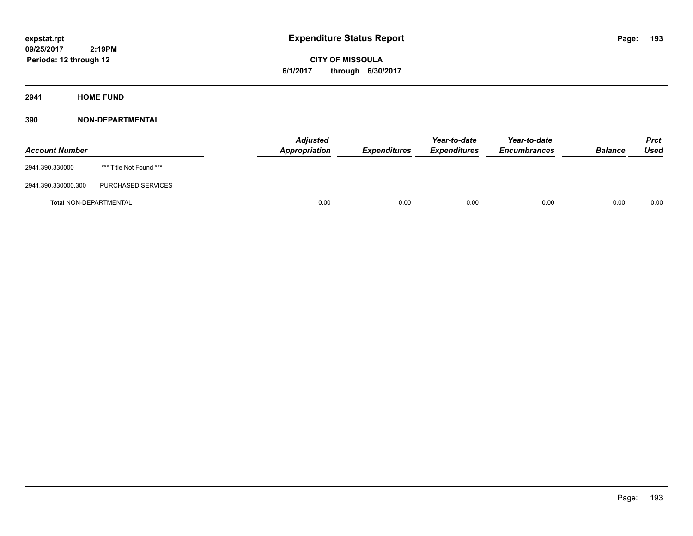**CITY OF MISSOULA 6/1/2017 through 6/30/2017**

**2941 HOME FUND**

| <b>Account Number</b>         |                         | <b>Adjusted</b><br>Appropriation | <b>Expenditures</b> | Year-to-date<br><i><b>Expenditures</b></i> | Year-to-date<br><b>Encumbrances</b> | <b>Balance</b> | <b>Prct</b><br>Used |
|-------------------------------|-------------------------|----------------------------------|---------------------|--------------------------------------------|-------------------------------------|----------------|---------------------|
| 2941.390.330000               | *** Title Not Found *** |                                  |                     |                                            |                                     |                |                     |
| 2941.390.330000.300           | PURCHASED SERVICES      |                                  |                     |                                            |                                     |                |                     |
| <b>Total NON-DEPARTMENTAL</b> |                         | 0.00                             | 0.00                | 0.00                                       | 0.00                                | 0.00           | 0.00                |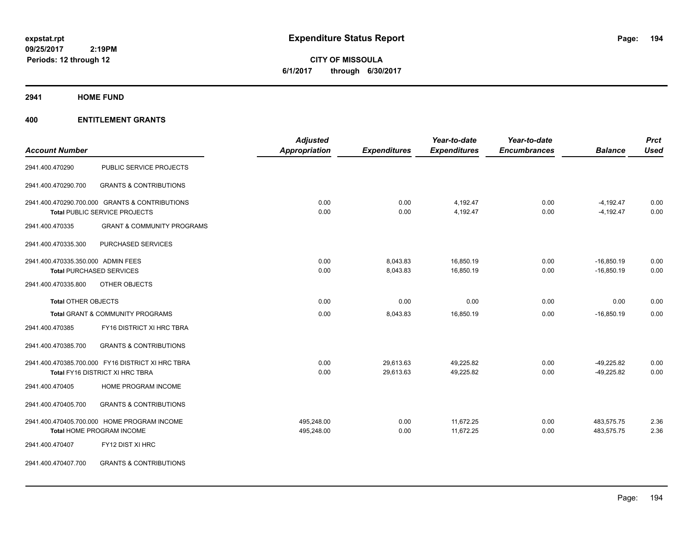**CITY OF MISSOULA 6/1/2017 through 6/30/2017**

### **2941 HOME FUND**

|                                    |                                                   | <b>Adjusted</b>      |                     | Year-to-date        | Year-to-date        |                | <b>Prct</b> |
|------------------------------------|---------------------------------------------------|----------------------|---------------------|---------------------|---------------------|----------------|-------------|
| <b>Account Number</b>              |                                                   | <b>Appropriation</b> | <b>Expenditures</b> | <b>Expenditures</b> | <b>Encumbrances</b> | <b>Balance</b> | <b>Used</b> |
| 2941.400.470290                    | PUBLIC SERVICE PROJECTS                           |                      |                     |                     |                     |                |             |
| 2941.400.470290.700                | <b>GRANTS &amp; CONTRIBUTIONS</b>                 |                      |                     |                     |                     |                |             |
|                                    | 2941.400.470290.700.000 GRANTS & CONTRIBUTIONS    | 0.00                 | 0.00                | 4,192.47            | 0.00                | $-4,192.47$    | 0.00        |
|                                    | Total PUBLIC SERVICE PROJECTS                     | 0.00                 | 0.00                | 4,192.47            | 0.00                | $-4,192.47$    | 0.00        |
| 2941.400.470335                    | <b>GRANT &amp; COMMUNITY PROGRAMS</b>             |                      |                     |                     |                     |                |             |
| 2941.400.470335.300                | PURCHASED SERVICES                                |                      |                     |                     |                     |                |             |
| 2941.400.470335.350.000 ADMIN FEES |                                                   | 0.00                 | 8,043.83            | 16,850.19           | 0.00                | $-16,850.19$   | 0.00        |
|                                    | <b>Total PURCHASED SERVICES</b>                   | 0.00                 | 8,043.83            | 16,850.19           | 0.00                | $-16,850.19$   | 0.00        |
| 2941.400.470335.800                | OTHER OBJECTS                                     |                      |                     |                     |                     |                |             |
| <b>Total OTHER OBJECTS</b>         |                                                   | 0.00                 | 0.00                | 0.00                | 0.00                | 0.00           | 0.00        |
|                                    | Total GRANT & COMMUNITY PROGRAMS                  | 0.00                 | 8,043.83            | 16,850.19           | 0.00                | $-16,850.19$   | 0.00        |
| 2941.400.470385                    | FY16 DISTRICT XI HRC TBRA                         |                      |                     |                     |                     |                |             |
| 2941.400.470385.700                | <b>GRANTS &amp; CONTRIBUTIONS</b>                 |                      |                     |                     |                     |                |             |
|                                    | 2941.400.470385.700.000 FY16 DISTRICT XI HRC TBRA | 0.00                 | 29,613.63           | 49,225.82           | 0.00                | $-49,225.82$   | 0.00        |
|                                    | Total FY16 DISTRICT XI HRC TBRA                   | 0.00                 | 29,613.63           | 49,225.82           | 0.00                | $-49,225.82$   | 0.00        |
| 2941.400.470405                    | HOME PROGRAM INCOME                               |                      |                     |                     |                     |                |             |
| 2941.400.470405.700                | <b>GRANTS &amp; CONTRIBUTIONS</b>                 |                      |                     |                     |                     |                |             |
|                                    | 2941.400.470405.700.000 HOME PROGRAM INCOME       | 495,248.00           | 0.00                | 11,672.25           | 0.00                | 483,575.75     | 2.36        |
|                                    | Total HOME PROGRAM INCOME                         | 495,248.00           | 0.00                | 11,672.25           | 0.00                | 483,575.75     | 2.36        |
| 2941.400.470407                    | FY12 DIST XI HRC                                  |                      |                     |                     |                     |                |             |
| 2941.400.470407.700                | <b>GRANTS &amp; CONTRIBUTIONS</b>                 |                      |                     |                     |                     |                |             |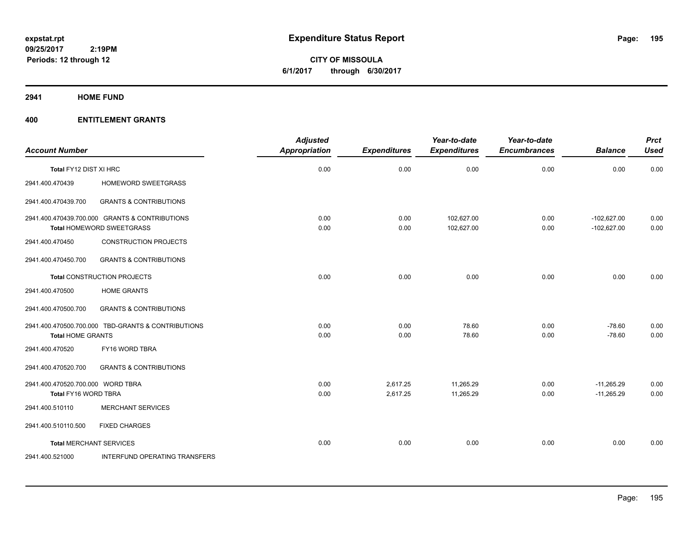**CITY OF MISSOULA 6/1/2017 through 6/30/2017**

**2941 HOME FUND**

|                                                           |                                                                             | <b>Adjusted</b> |                      | Year-to-date             | Year-to-date        |                                | <b>Prct</b>  |
|-----------------------------------------------------------|-----------------------------------------------------------------------------|-----------------|----------------------|--------------------------|---------------------|--------------------------------|--------------|
| <b>Account Number</b>                                     |                                                                             | Appropriation   | <b>Expenditures</b>  | <b>Expenditures</b>      | <b>Encumbrances</b> | <b>Balance</b>                 | <b>Used</b>  |
| Total FY12 DIST XI HRC                                    |                                                                             | 0.00            | 0.00                 | 0.00                     | 0.00                | 0.00                           | 0.00         |
| 2941.400.470439                                           | HOMEWORD SWEETGRASS                                                         |                 |                      |                          |                     |                                |              |
| 2941.400.470439.700                                       | <b>GRANTS &amp; CONTRIBUTIONS</b>                                           |                 |                      |                          |                     |                                |              |
|                                                           | 2941.400.470439.700.000 GRANTS & CONTRIBUTIONS<br>Total HOMEWORD SWEETGRASS | 0.00<br>0.00    | 0.00<br>0.00         | 102,627.00<br>102,627.00 | 0.00<br>0.00        | $-102,627.00$<br>$-102,627.00$ | 0.00<br>0.00 |
| 2941.400.470450                                           | <b>CONSTRUCTION PROJECTS</b>                                                |                 |                      |                          |                     |                                |              |
| 2941.400.470450.700                                       | <b>GRANTS &amp; CONTRIBUTIONS</b>                                           |                 |                      |                          |                     |                                |              |
|                                                           | <b>Total CONSTRUCTION PROJECTS</b>                                          | 0.00            | 0.00                 | 0.00                     | 0.00                | 0.00                           | 0.00         |
| 2941.400.470500                                           | <b>HOME GRANTS</b>                                                          |                 |                      |                          |                     |                                |              |
| 2941.400.470500.700                                       | <b>GRANTS &amp; CONTRIBUTIONS</b>                                           |                 |                      |                          |                     |                                |              |
| <b>Total HOME GRANTS</b>                                  | 2941.400.470500.700.000 TBD-GRANTS & CONTRIBUTIONS                          | 0.00<br>0.00    | 0.00<br>0.00         | 78.60<br>78.60           | 0.00<br>0.00        | $-78.60$<br>$-78.60$           | 0.00<br>0.00 |
| 2941.400.470520                                           | FY16 WORD TBRA                                                              |                 |                      |                          |                     |                                |              |
| 2941.400.470520.700                                       | <b>GRANTS &amp; CONTRIBUTIONS</b>                                           |                 |                      |                          |                     |                                |              |
| 2941.400.470520.700.000 WORD TBRA<br>Total FY16 WORD TBRA |                                                                             | 0.00<br>0.00    | 2,617.25<br>2,617.25 | 11,265.29<br>11,265.29   | 0.00<br>0.00        | $-11,265.29$<br>$-11,265.29$   | 0.00<br>0.00 |
| 2941.400.510110                                           | <b>MERCHANT SERVICES</b>                                                    |                 |                      |                          |                     |                                |              |
| 2941.400.510110.500                                       | <b>FIXED CHARGES</b>                                                        |                 |                      |                          |                     |                                |              |
| <b>Total MERCHANT SERVICES</b>                            |                                                                             | 0.00            | 0.00                 | 0.00                     | 0.00                | 0.00                           | 0.00         |
| 2941.400.521000                                           | INTERFUND OPERATING TRANSFERS                                               |                 |                      |                          |                     |                                |              |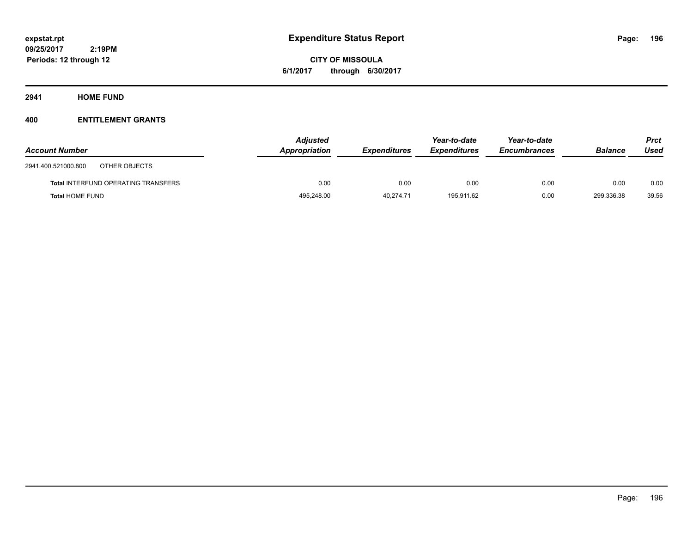**CITY OF MISSOULA 6/1/2017 through 6/30/2017**

**2941 HOME FUND**

| <b>Account Number</b>                      | <b>Adjusted</b><br>Appropriation | <b>Expenditures</b> | Year-to-date<br><b>Expenditures</b> | Year-to-date<br><b>Encumbrances</b> | <b>Balance</b> | Prct<br>Used |
|--------------------------------------------|----------------------------------|---------------------|-------------------------------------|-------------------------------------|----------------|--------------|
| 2941.400.521000.800<br>OTHER OBJECTS       |                                  |                     |                                     |                                     |                |              |
| <b>Total INTERFUND OPERATING TRANSFERS</b> | 0.00                             | 0.00                | 0.00                                | 0.00                                | 0.00           | 0.00         |
| <b>Total HOME FUND</b>                     | 495,248.00                       | 40.274.71           | 195.911.62                          | 0.00                                | 299.336.38     | 39.56        |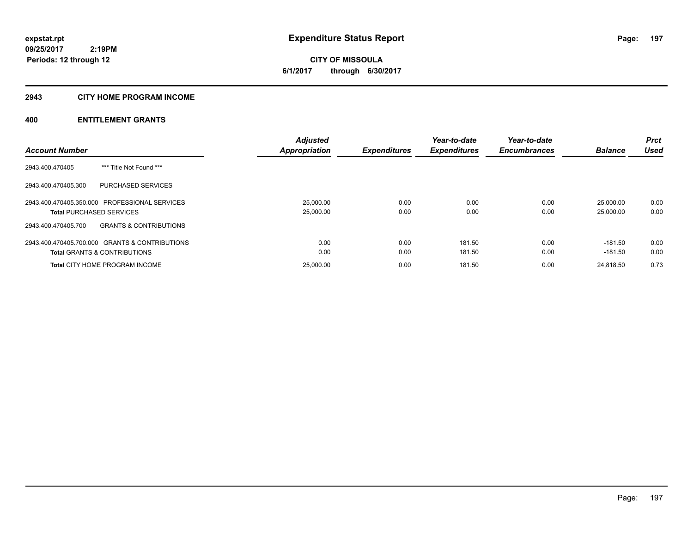**CITY OF MISSOULA 6/1/2017 through 6/30/2017**

### **2943 CITY HOME PROGRAM INCOME**

|                                                          | <b>Adjusted</b>      |                     | Year-to-date        | Year-to-date        |                | <b>Prct</b> |
|----------------------------------------------------------|----------------------|---------------------|---------------------|---------------------|----------------|-------------|
| <b>Account Number</b>                                    | <b>Appropriation</b> | <b>Expenditures</b> | <b>Expenditures</b> | <b>Encumbrances</b> | <b>Balance</b> | <b>Used</b> |
| *** Title Not Found ***<br>2943.400.470405               |                      |                     |                     |                     |                |             |
| PURCHASED SERVICES<br>2943.400.470405.300                |                      |                     |                     |                     |                |             |
| 2943.400.470405.350.000 PROFESSIONAL SERVICES            | 25,000.00            | 0.00                | 0.00                | 0.00                | 25,000.00      | 0.00        |
| <b>Total PURCHASED SERVICES</b>                          | 25,000.00            | 0.00                | 0.00                | 0.00                | 25,000.00      | 0.00        |
| 2943.400.470405.700<br><b>GRANTS &amp; CONTRIBUTIONS</b> |                      |                     |                     |                     |                |             |
| 2943.400.470405.700.000 GRANTS & CONTRIBUTIONS           | 0.00                 | 0.00                | 181.50              | 0.00                | $-181.50$      | 0.00        |
| <b>Total GRANTS &amp; CONTRIBUTIONS</b>                  | 0.00                 | 0.00                | 181.50              | 0.00                | -181.50        | 0.00        |
| <b>Total CITY HOME PROGRAM INCOME</b>                    | 25,000.00            | 0.00                | 181.50              | 0.00                | 24.818.50      | 0.73        |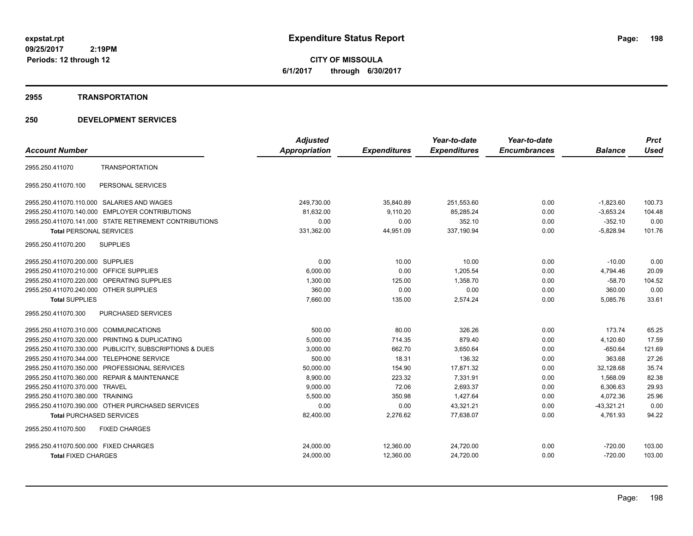**CITY OF MISSOULA 6/1/2017 through 6/30/2017**

### **2955 TRANSPORTATION**

|                                                              | <b>Adjusted</b>      |                     | Year-to-date        | Year-to-date        |                | <b>Prct</b> |
|--------------------------------------------------------------|----------------------|---------------------|---------------------|---------------------|----------------|-------------|
| <b>Account Number</b>                                        | <b>Appropriation</b> | <b>Expenditures</b> | <b>Expenditures</b> | <b>Encumbrances</b> | <b>Balance</b> | <b>Used</b> |
| <b>TRANSPORTATION</b><br>2955.250.411070                     |                      |                     |                     |                     |                |             |
| 2955.250.411070.100<br>PERSONAL SERVICES                     |                      |                     |                     |                     |                |             |
| 2955.250.411070.110.000 SALARIES AND WAGES                   | 249,730.00           | 35,840.89           | 251,553.60          | 0.00                | $-1,823.60$    | 100.73      |
| 2955.250.411070.140.000 EMPLOYER CONTRIBUTIONS               | 81.632.00            | 9,110.20            | 85,285.24           | 0.00                | $-3,653.24$    | 104.48      |
| 2955.250.411070.141.000 STATE RETIREMENT CONTRIBUTIONS       | 0.00                 | 0.00                | 352.10              | 0.00                | $-352.10$      | 0.00        |
| <b>Total PERSONAL SERVICES</b>                               | 331,362.00           | 44,951.09           | 337,190.94          | 0.00                | $-5,828.94$    | 101.76      |
| <b>SUPPLIES</b><br>2955.250.411070.200                       |                      |                     |                     |                     |                |             |
| 2955.250.411070.200.000 SUPPLIES                             | 0.00                 | 10.00               | 10.00               | 0.00                | $-10.00$       | 0.00        |
| 2955.250.411070.210.000 OFFICE SUPPLIES                      | 6,000.00             | 0.00                | 1,205.54            | 0.00                | 4,794.46       | 20.09       |
| 2955.250.411070.220.000 OPERATING SUPPLIES                   | 1,300.00             | 125.00              | 1.358.70            | 0.00                | $-58.70$       | 104.52      |
| 2955.250.411070.240.000 OTHER SUPPLIES                       | 360.00               | 0.00                | 0.00                | 0.00                | 360.00         | 0.00        |
| <b>Total SUPPLIES</b>                                        | 7.660.00             | 135.00              | 2,574.24            | 0.00                | 5.085.76       | 33.61       |
| 2955.250.411070.300<br><b>PURCHASED SERVICES</b>             |                      |                     |                     |                     |                |             |
| 2955.250.411070.310.000<br><b>COMMUNICATIONS</b>             | 500.00               | 80.00               | 326.26              | 0.00                | 173.74         | 65.25       |
| 2955.250.411070.320.000<br><b>PRINTING &amp; DUPLICATING</b> | 5,000.00             | 714.35              | 879.40              | 0.00                | 4,120.60       | 17.59       |
| 2955.250.411070.330.000 PUBLICITY, SUBSCRIPTIONS & DUES      | 3,000.00             | 662.70              | 3,650.64            | 0.00                | $-650.64$      | 121.69      |
| <b>TELEPHONE SERVICE</b><br>2955.250.411070.344.000          | 500.00               | 18.31               | 136.32              | 0.00                | 363.68         | 27.26       |
| 2955.250.411070.350.000 PROFESSIONAL SERVICES                | 50,000.00            | 154.90              | 17,871.32           | 0.00                | 32,128.68      | 35.74       |
| 2955.250.411070.360.000 REPAIR & MAINTENANCE                 | 8,900.00             | 223.32              | 7,331.91            | 0.00                | 1,568.09       | 82.38       |
| 2955.250.411070.370.000<br>TRAVEL                            | 9,000.00             | 72.06               | 2,693.37            | 0.00                | 6,306.63       | 29.93       |
| 2955.250.411070.380.000 TRAINING                             | 5,500.00             | 350.98              | 1,427.64            | 0.00                | 4,072.36       | 25.96       |
| 2955.250.411070.390.000 OTHER PURCHASED SERVICES             | 0.00                 | 0.00                | 43,321.21           | 0.00                | $-43,321.21$   | 0.00        |
| <b>Total PURCHASED SERVICES</b>                              | 82,400.00            | 2,276.62            | 77,638.07           | 0.00                | 4,761.93       | 94.22       |
| 2955.250.411070.500<br><b>FIXED CHARGES</b>                  |                      |                     |                     |                     |                |             |
| 2955.250.411070.500.000 FIXED CHARGES                        | 24,000.00            | 12,360.00           | 24,720.00           | 0.00                | $-720.00$      | 103.00      |
| <b>Total FIXED CHARGES</b>                                   | 24,000.00            | 12,360.00           | 24,720.00           | 0.00                | $-720.00$      | 103.00      |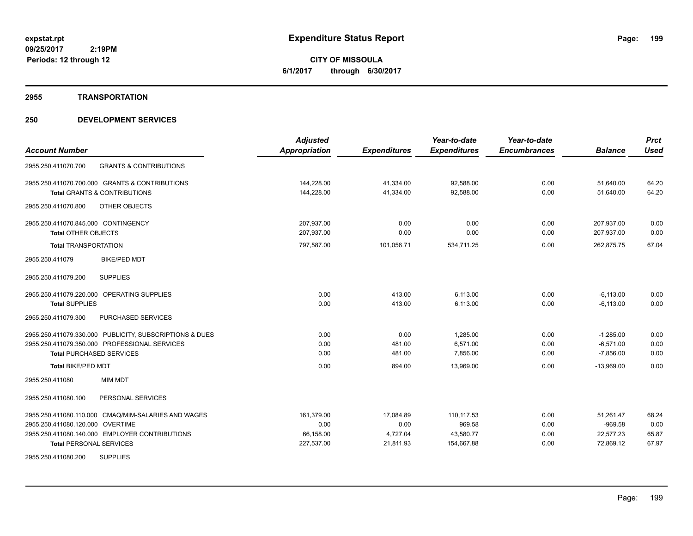**CITY OF MISSOULA 6/1/2017 through 6/30/2017**

### **2955 TRANSPORTATION**

|                                                          | <b>Adjusted</b>      |                     | Year-to-date        | Year-to-date        |                | <b>Prct</b> |
|----------------------------------------------------------|----------------------|---------------------|---------------------|---------------------|----------------|-------------|
| <b>Account Number</b>                                    | <b>Appropriation</b> | <b>Expenditures</b> | <b>Expenditures</b> | <b>Encumbrances</b> | <b>Balance</b> | <b>Used</b> |
| 2955.250.411070.700<br><b>GRANTS &amp; CONTRIBUTIONS</b> |                      |                     |                     |                     |                |             |
| 2955.250.411070.700.000 GRANTS & CONTRIBUTIONS           | 144,228.00           | 41,334.00           | 92,588.00           | 0.00                | 51,640.00      | 64.20       |
| <b>Total GRANTS &amp; CONTRIBUTIONS</b>                  | 144,228.00           | 41,334.00           | 92,588.00           | 0.00                | 51,640.00      | 64.20       |
| 2955.250.411070.800<br><b>OTHER OBJECTS</b>              |                      |                     |                     |                     |                |             |
| 2955.250.411070.845.000 CONTINGENCY                      | 207,937.00           | 0.00                | 0.00                | 0.00                | 207,937.00     | 0.00        |
| <b>Total OTHER OBJECTS</b>                               | 207,937.00           | 0.00                | 0.00                | 0.00                | 207,937.00     | 0.00        |
| <b>Total TRANSPORTATION</b>                              | 797,587.00           | 101,056.71          | 534,711.25          | 0.00                | 262,875.75     | 67.04       |
| <b>BIKE/PED MDT</b><br>2955.250.411079                   |                      |                     |                     |                     |                |             |
| <b>SUPPLIES</b><br>2955.250.411079.200                   |                      |                     |                     |                     |                |             |
| 2955.250.411079.220.000 OPERATING SUPPLIES               | 0.00                 | 413.00              | 6,113.00            | 0.00                | $-6,113.00$    | 0.00        |
| <b>Total SUPPLIES</b>                                    | 0.00                 | 413.00              | 6,113.00            | 0.00                | $-6.113.00$    | 0.00        |
| 2955.250.411079.300<br>PURCHASED SERVICES                |                      |                     |                     |                     |                |             |
| 2955.250.411079.330.000 PUBLICITY, SUBSCRIPTIONS & DUES  | 0.00                 | 0.00                | 1,285.00            | 0.00                | $-1,285.00$    | 0.00        |
| 2955.250.411079.350.000 PROFESSIONAL SERVICES            | 0.00                 | 481.00              | 6,571.00            | 0.00                | $-6,571.00$    | 0.00        |
| <b>Total PURCHASED SERVICES</b>                          | 0.00                 | 481.00              | 7,856.00            | 0.00                | $-7,856.00$    | 0.00        |
| Total BIKE/PED MDT                                       | 0.00                 | 894.00              | 13,969.00           | 0.00                | $-13,969.00$   | 0.00        |
| 2955.250.411080<br><b>MIM MDT</b>                        |                      |                     |                     |                     |                |             |
| 2955.250.411080.100<br>PERSONAL SERVICES                 |                      |                     |                     |                     |                |             |
| 2955.250.411080.110.000 CMAQ/MIM-SALARIES AND WAGES      | 161,379.00           | 17,084.89           | 110,117.53          | 0.00                | 51.261.47      | 68.24       |
| 2955.250.411080.120.000 OVERTIME                         | 0.00                 | 0.00                | 969.58              | 0.00                | $-969.58$      | 0.00        |
| 2955.250.411080.140.000 EMPLOYER CONTRIBUTIONS           | 66,158.00            | 4,727.04            | 43,580.77           | 0.00                | 22,577.23      | 65.87       |
| <b>Total PERSONAL SERVICES</b>                           | 227,537.00           | 21,811.93           | 154,667.88          | 0.00                | 72,869.12      | 67.97       |
| <b>SUPPLIES</b><br>2955.250.411080.200                   |                      |                     |                     |                     |                |             |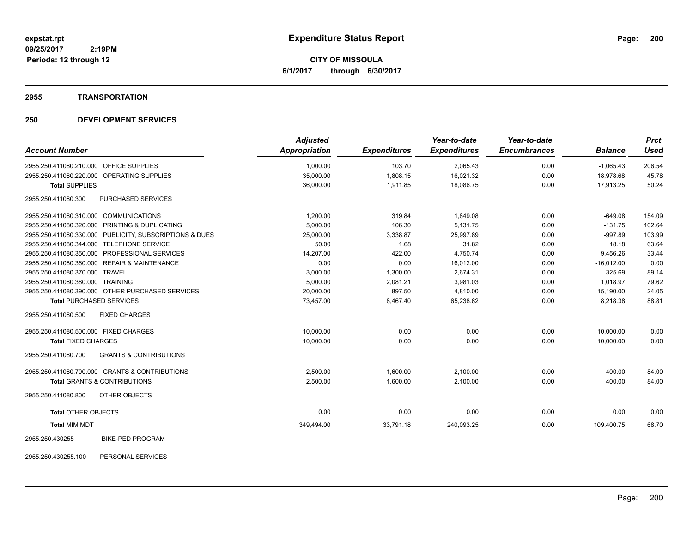**CITY OF MISSOULA 6/1/2017 through 6/30/2017**

### **2955 TRANSPORTATION**

# **250 DEVELOPMENT SERVICES**

| <b>Account Number</b>                                    | <b>Adjusted</b><br>Appropriation | <b>Expenditures</b> | Year-to-date<br><b>Expenditures</b> | Year-to-date<br><b>Encumbrances</b> | <b>Balance</b> | <b>Prct</b><br><b>Used</b> |
|----------------------------------------------------------|----------------------------------|---------------------|-------------------------------------|-------------------------------------|----------------|----------------------------|
|                                                          |                                  |                     |                                     |                                     |                |                            |
| 2955.250.411080.210.000 OFFICE SUPPLIES                  | 1,000.00                         | 103.70              | 2,065.43                            | 0.00                                | $-1,065.43$    | 206.54                     |
| 2955.250.411080.220.000 OPERATING SUPPLIES               | 35,000.00                        | 1,808.15            | 16,021.32                           | 0.00                                | 18,978.68      | 45.78                      |
| <b>Total SUPPLIES</b>                                    | 36,000.00                        | 1,911.85            | 18,086.75                           | 0.00                                | 17,913.25      | 50.24                      |
| PURCHASED SERVICES<br>2955.250.411080.300                |                                  |                     |                                     |                                     |                |                            |
| 2955.250.411080.310.000 COMMUNICATIONS                   | 1,200.00                         | 319.84              | 1,849.08                            | 0.00                                | $-649.08$      | 154.09                     |
| 2955.250.411080.320.000 PRINTING & DUPLICATING           | 5,000.00                         | 106.30              | 5,131.75                            | 0.00                                | $-131.75$      | 102.64                     |
| 2955.250.411080.330.000 PUBLICITY, SUBSCRIPTIONS & DUES  | 25,000.00                        | 3,338.87            | 25,997.89                           | 0.00                                | $-997.89$      | 103.99                     |
| 2955.250.411080.344.000 TELEPHONE SERVICE                | 50.00                            | 1.68                | 31.82                               | 0.00                                | 18.18          | 63.64                      |
| 2955.250.411080.350.000 PROFESSIONAL SERVICES            | 14,207.00                        | 422.00              | 4,750.74                            | 0.00                                | 9,456.26       | 33.44                      |
| 2955.250.411080.360.000 REPAIR & MAINTENANCE             | 0.00                             | 0.00                | 16,012.00                           | 0.00                                | $-16,012.00$   | 0.00                       |
| 2955.250.411080.370.000 TRAVEL                           | 3,000.00                         | 1,300.00            | 2,674.31                            | 0.00                                | 325.69         | 89.14                      |
| 2955.250.411080.380.000 TRAINING                         | 5,000.00                         | 2,081.21            | 3,981.03                            | 0.00                                | 1.018.97       | 79.62                      |
| 2955.250.411080.390.000 OTHER PURCHASED SERVICES         | 20,000.00                        | 897.50              | 4.810.00                            | 0.00                                | 15,190.00      | 24.05                      |
| <b>Total PURCHASED SERVICES</b>                          | 73,457.00                        | 8,467.40            | 65,238.62                           | 0.00                                | 8,218.38       | 88.81                      |
| 2955.250.411080.500<br><b>FIXED CHARGES</b>              |                                  |                     |                                     |                                     |                |                            |
| 2955.250.411080.500.000 FIXED CHARGES                    | 10,000.00                        | 0.00                | 0.00                                | 0.00                                | 10,000.00      | 0.00                       |
| <b>Total FIXED CHARGES</b>                               | 10,000.00                        | 0.00                | 0.00                                | 0.00                                | 10,000.00      | 0.00                       |
| 2955.250.411080.700<br><b>GRANTS &amp; CONTRIBUTIONS</b> |                                  |                     |                                     |                                     |                |                            |
| 2955.250.411080.700.000 GRANTS & CONTRIBUTIONS           | 2,500.00                         | 1,600.00            | 2,100.00                            | 0.00                                | 400.00         | 84.00                      |
| <b>Total GRANTS &amp; CONTRIBUTIONS</b>                  | 2,500.00                         | 1,600.00            | 2,100.00                            | 0.00                                | 400.00         | 84.00                      |
| 2955.250.411080.800<br>OTHER OBJECTS                     |                                  |                     |                                     |                                     |                |                            |
| <b>Total OTHER OBJECTS</b>                               | 0.00                             | 0.00                | 0.00                                | 0.00                                | 0.00           | 0.00                       |
| <b>Total MIM MDT</b>                                     | 349,494.00                       | 33,791.18           | 240,093.25                          | 0.00                                | 109,400.75     | 68.70                      |
| <b>BIKE-PED PROGRAM</b><br>2955.250.430255               |                                  |                     |                                     |                                     |                |                            |

2955.250.430255.100 PERSONAL SERVICES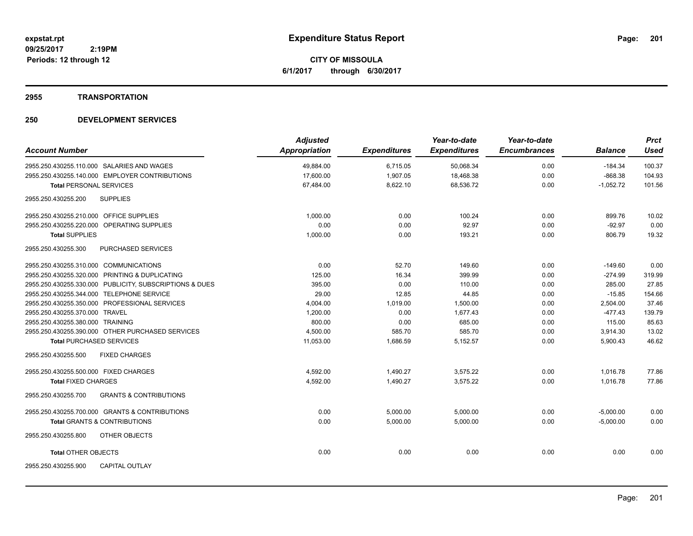**CITY OF MISSOULA 6/1/2017 through 6/30/2017**

### **2955 TRANSPORTATION**

|                                                          | <b>Adjusted</b>      |                     | Year-to-date        | Year-to-date        |                | <b>Prct</b> |
|----------------------------------------------------------|----------------------|---------------------|---------------------|---------------------|----------------|-------------|
| <b>Account Number</b>                                    | <b>Appropriation</b> | <b>Expenditures</b> | <b>Expenditures</b> | <b>Encumbrances</b> | <b>Balance</b> | <b>Used</b> |
| 2955.250.430255.110.000 SALARIES AND WAGES               | 49,884.00            | 6,715.05            | 50,068.34           | 0.00                | $-184.34$      | 100.37      |
| 2955.250.430255.140.000 EMPLOYER CONTRIBUTIONS           | 17.600.00            | 1,907.05            | 18,468.38           | 0.00                | $-868.38$      | 104.93      |
| <b>Total PERSONAL SERVICES</b>                           | 67,484.00            | 8,622.10            | 68,536.72           | 0.00                | $-1,052.72$    | 101.56      |
| <b>SUPPLIES</b><br>2955.250.430255.200                   |                      |                     |                     |                     |                |             |
| 2955.250.430255.210.000 OFFICE SUPPLIES                  | 1,000.00             | 0.00                | 100.24              | 0.00                | 899.76         | 10.02       |
| 2955.250.430255.220.000 OPERATING SUPPLIES               | 0.00                 | 0.00                | 92.97               | 0.00                | $-92.97$       | 0.00        |
| <b>Total SUPPLIES</b>                                    | 1,000.00             | 0.00                | 193.21              | 0.00                | 806.79         | 19.32       |
| 2955.250.430255.300<br>PURCHASED SERVICES                |                      |                     |                     |                     |                |             |
| 2955.250.430255.310.000 COMMUNICATIONS                   | 0.00                 | 52.70               | 149.60              | 0.00                | $-149.60$      | 0.00        |
| 2955.250.430255.320.000 PRINTING & DUPLICATING           | 125.00               | 16.34               | 399.99              | 0.00                | $-274.99$      | 319.99      |
| 2955.250.430255.330.000 PUBLICITY, SUBSCRIPTIONS & DUES  | 395.00               | 0.00                | 110.00              | 0.00                | 285.00         | 27.85       |
| 2955.250.430255.344.000 TELEPHONE SERVICE                | 29.00                | 12.85               | 44.85               | 0.00                | $-15.85$       | 154.66      |
| 2955.250.430255.350.000 PROFESSIONAL SERVICES            | 4,004.00             | 1,019.00            | 1,500.00            | 0.00                | 2,504.00       | 37.46       |
| 2955.250.430255.370.000 TRAVEL                           | 1,200.00             | 0.00                | 1,677.43            | 0.00                | $-477.43$      | 139.79      |
| 2955.250.430255.380.000 TRAINING                         | 800.00               | 0.00                | 685.00              | 0.00                | 115.00         | 85.63       |
| 2955.250.430255.390.000 OTHER PURCHASED SERVICES         | 4,500.00             | 585.70              | 585.70              | 0.00                | 3,914.30       | 13.02       |
| <b>Total PURCHASED SERVICES</b>                          | 11.053.00            | 1.686.59            | 5,152.57            | 0.00                | 5.900.43       | 46.62       |
| <b>FIXED CHARGES</b><br>2955.250.430255.500              |                      |                     |                     |                     |                |             |
| 2955.250.430255.500.000 FIXED CHARGES                    | 4,592.00             | 1.490.27            | 3,575.22            | 0.00                | 1.016.78       | 77.86       |
| <b>Total FIXED CHARGES</b>                               | 4,592.00             | 1,490.27            | 3,575.22            | 0.00                | 1,016.78       | 77.86       |
| <b>GRANTS &amp; CONTRIBUTIONS</b><br>2955.250.430255.700 |                      |                     |                     |                     |                |             |
| 2955.250.430255.700.000 GRANTS & CONTRIBUTIONS           | 0.00                 | 5,000.00            | 5,000.00            | 0.00                | $-5,000.00$    | 0.00        |
| <b>Total GRANTS &amp; CONTRIBUTIONS</b>                  | 0.00                 | 5,000.00            | 5,000.00            | 0.00                | $-5,000.00$    | 0.00        |
| 2955.250.430255.800<br>OTHER OBJECTS                     |                      |                     |                     |                     |                |             |
| <b>Total OTHER OBJECTS</b>                               | 0.00                 | 0.00                | 0.00                | 0.00                | 0.00           | 0.00        |
| 2955.250.430255.900<br><b>CAPITAL OUTLAY</b>             |                      |                     |                     |                     |                |             |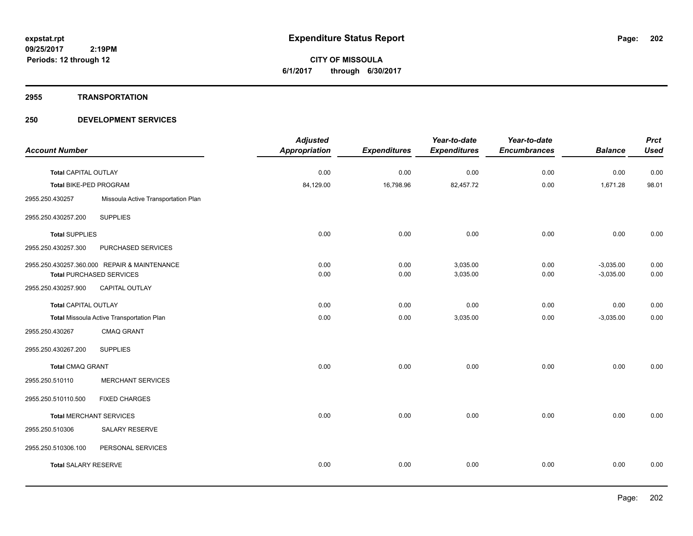**CITY OF MISSOULA 6/1/2017 through 6/30/2017**

### **2955 TRANSPORTATION**

|                               |                                              | <b>Adjusted</b>      |                     | Year-to-date        | Year-to-date        |                | <b>Prct</b> |
|-------------------------------|----------------------------------------------|----------------------|---------------------|---------------------|---------------------|----------------|-------------|
| <b>Account Number</b>         |                                              | <b>Appropriation</b> | <b>Expenditures</b> | <b>Expenditures</b> | <b>Encumbrances</b> | <b>Balance</b> | <b>Used</b> |
| <b>Total CAPITAL OUTLAY</b>   |                                              | 0.00                 | 0.00                | 0.00                | 0.00                | 0.00           | 0.00        |
| <b>Total BIKE-PED PROGRAM</b> |                                              | 84,129.00            | 16,798.96           | 82,457.72           | 0.00                | 1.671.28       | 98.01       |
| 2955.250.430257               | Missoula Active Transportation Plan          |                      |                     |                     |                     |                |             |
| 2955.250.430257.200           | <b>SUPPLIES</b>                              |                      |                     |                     |                     |                |             |
| <b>Total SUPPLIES</b>         |                                              | 0.00                 | 0.00                | 0.00                | 0.00                | 0.00           | 0.00        |
| 2955.250.430257.300           | PURCHASED SERVICES                           |                      |                     |                     |                     |                |             |
|                               | 2955.250.430257.360.000 REPAIR & MAINTENANCE | 0.00                 | 0.00                | 3,035.00            | 0.00                | $-3,035.00$    | 0.00        |
|                               | <b>Total PURCHASED SERVICES</b>              | 0.00                 | 0.00                | 3,035.00            | 0.00                | $-3,035.00$    | 0.00        |
| 2955.250.430257.900           | CAPITAL OUTLAY                               |                      |                     |                     |                     |                |             |
| Total CAPITAL OUTLAY          |                                              | 0.00                 | 0.00                | 0.00                | 0.00                | 0.00           | 0.00        |
|                               | Total Missoula Active Transportation Plan    | 0.00                 | 0.00                | 3,035.00            | 0.00                | $-3,035.00$    | 0.00        |
| 2955.250.430267               | <b>CMAQ GRANT</b>                            |                      |                     |                     |                     |                |             |
| 2955.250.430267.200           | <b>SUPPLIES</b>                              |                      |                     |                     |                     |                |             |
| <b>Total CMAQ GRANT</b>       |                                              | 0.00                 | 0.00                | 0.00                | 0.00                | 0.00           | 0.00        |
| 2955.250.510110               | <b>MERCHANT SERVICES</b>                     |                      |                     |                     |                     |                |             |
| 2955.250.510110.500           | <b>FIXED CHARGES</b>                         |                      |                     |                     |                     |                |             |
|                               | <b>Total MERCHANT SERVICES</b>               | 0.00                 | 0.00                | 0.00                | 0.00                | 0.00           | 0.00        |
| 2955.250.510306               | SALARY RESERVE                               |                      |                     |                     |                     |                |             |
| 2955.250.510306.100           | PERSONAL SERVICES                            |                      |                     |                     |                     |                |             |
| <b>Total SALARY RESERVE</b>   |                                              | 0.00                 | 0.00                | 0.00                | 0.00                | 0.00           | 0.00        |
|                               |                                              |                      |                     |                     |                     |                |             |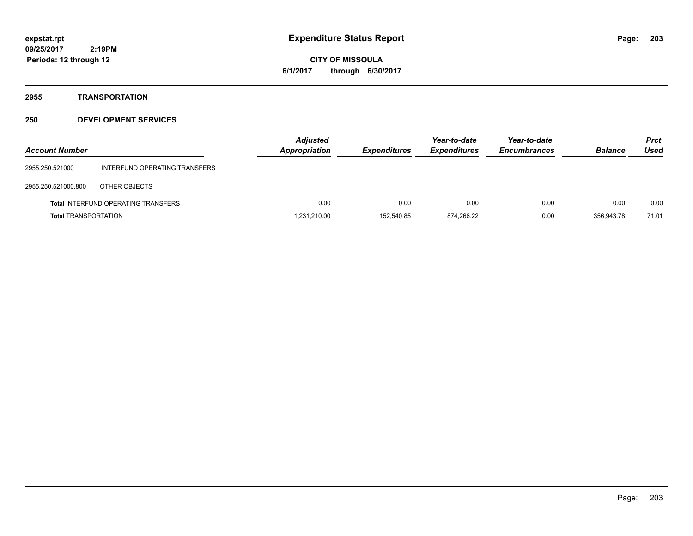**CITY OF MISSOULA 6/1/2017 through 6/30/2017**

# **2955 TRANSPORTATION**

| <b>Account Number</b>       |                                            | <b>Adjusted</b><br>Appropriation | <b>Expenditures</b> | Year-to-date<br><b>Expenditures</b> | Year-to-date<br><b>Encumbrances</b> | <b>Balance</b> | <b>Prct</b><br><b>Used</b> |
|-----------------------------|--------------------------------------------|----------------------------------|---------------------|-------------------------------------|-------------------------------------|----------------|----------------------------|
| 2955.250.521000             | INTERFUND OPERATING TRANSFERS              |                                  |                     |                                     |                                     |                |                            |
| 2955.250.521000.800         | OTHER OBJECTS                              |                                  |                     |                                     |                                     |                |                            |
|                             | <b>Total INTERFUND OPERATING TRANSFERS</b> | 0.00                             | 0.00                | 0.00                                | 0.00                                | 0.00           | 0.00                       |
| <b>Total TRANSPORTATION</b> |                                            | 1,231,210.00                     | 152.540.85          | 874,266.22                          | 0.00                                | 356,943.78     | 71.01                      |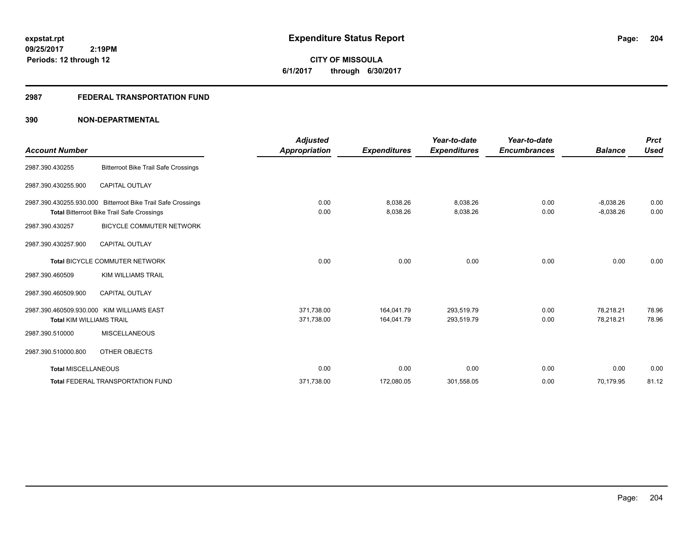**CITY OF MISSOULA 6/1/2017 through 6/30/2017**

# **2987 FEDERAL TRANSPORTATION FUND**

|                                 |                                                                                                                   | <b>Adjusted</b>      |                      | Year-to-date         | Year-to-date        |                            | <b>Prct</b>  |
|---------------------------------|-------------------------------------------------------------------------------------------------------------------|----------------------|----------------------|----------------------|---------------------|----------------------------|--------------|
| <b>Account Number</b>           |                                                                                                                   | <b>Appropriation</b> | <b>Expenditures</b>  | <b>Expenditures</b>  | <b>Encumbrances</b> | <b>Balance</b>             | Used         |
| 2987.390.430255                 | <b>Bitterroot Bike Trail Safe Crossings</b>                                                                       |                      |                      |                      |                     |                            |              |
| 2987.390.430255.900             | <b>CAPITAL OUTLAY</b>                                                                                             |                      |                      |                      |                     |                            |              |
|                                 | 2987.390.430255.930.000 Bitterroot Bike Trail Safe Crossings<br><b>Total Bitterroot Bike Trail Safe Crossings</b> | 0.00<br>0.00         | 8,038.26<br>8,038.26 | 8,038.26<br>8,038.26 | 0.00<br>0.00        | $-8,038.26$<br>$-8,038.26$ | 0.00<br>0.00 |
| 2987.390.430257                 | <b>BICYCLE COMMUTER NETWORK</b>                                                                                   |                      |                      |                      |                     |                            |              |
| 2987.390.430257.900             | <b>CAPITAL OUTLAY</b>                                                                                             |                      |                      |                      |                     |                            |              |
|                                 | <b>Total BICYCLE COMMUTER NETWORK</b>                                                                             | 0.00                 | 0.00                 | 0.00                 | 0.00                | 0.00                       | 0.00         |
| 2987.390.460509                 | <b>KIM WILLIAMS TRAIL</b>                                                                                         |                      |                      |                      |                     |                            |              |
| 2987.390.460509.900             | <b>CAPITAL OUTLAY</b>                                                                                             |                      |                      |                      |                     |                            |              |
|                                 | 2987.390.460509.930.000 KIM WILLIAMS EAST                                                                         | 371,738.00           | 164,041.79           | 293,519.79           | 0.00                | 78,218.21                  | 78.96        |
| <b>Total KIM WILLIAMS TRAIL</b> |                                                                                                                   | 371,738.00           | 164,041.79           | 293,519.79           | 0.00                | 78,218.21                  | 78.96        |
| 2987.390.510000                 | <b>MISCELLANEOUS</b>                                                                                              |                      |                      |                      |                     |                            |              |
| 2987.390.510000.800             | OTHER OBJECTS                                                                                                     |                      |                      |                      |                     |                            |              |
| <b>Total MISCELLANEOUS</b>      |                                                                                                                   | 0.00                 | 0.00                 | 0.00                 | 0.00                | 0.00                       | 0.00         |
|                                 | <b>Total FEDERAL TRANSPORTATION FUND</b>                                                                          | 371,738.00           | 172,080.05           | 301,558.05           | 0.00                | 70,179.95                  | 81.12        |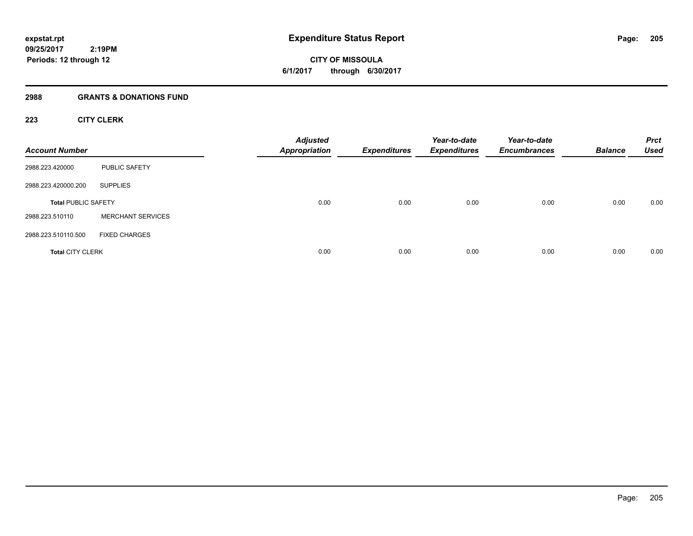**09/25/2017 2:19PM Periods: 12 through 12**

**CITY OF MISSOULA 6/1/2017 through 6/30/2017**

### **2988 GRANTS & DONATIONS FUND**

# **223 CITY CLERK**

| <b>Account Number</b>      |                          | <b>Adjusted</b><br><b>Appropriation</b> | <b>Expenditures</b> | Year-to-date<br><b>Expenditures</b> | Year-to-date<br><b>Encumbrances</b> | <b>Balance</b> | <b>Prct</b><br><b>Used</b> |
|----------------------------|--------------------------|-----------------------------------------|---------------------|-------------------------------------|-------------------------------------|----------------|----------------------------|
| 2988.223.420000            | PUBLIC SAFETY            |                                         |                     |                                     |                                     |                |                            |
| 2988.223.420000.200        | <b>SUPPLIES</b>          |                                         |                     |                                     |                                     |                |                            |
| <b>Total PUBLIC SAFETY</b> |                          | 0.00                                    | 0.00                | 0.00                                | 0.00                                | 0.00           | 0.00                       |
| 2988.223.510110            | <b>MERCHANT SERVICES</b> |                                         |                     |                                     |                                     |                |                            |
| 2988.223.510110.500        | <b>FIXED CHARGES</b>     |                                         |                     |                                     |                                     |                |                            |
| <b>Total CITY CLERK</b>    |                          | 0.00                                    | 0.00                | 0.00                                | 0.00                                | 0.00           | 0.00                       |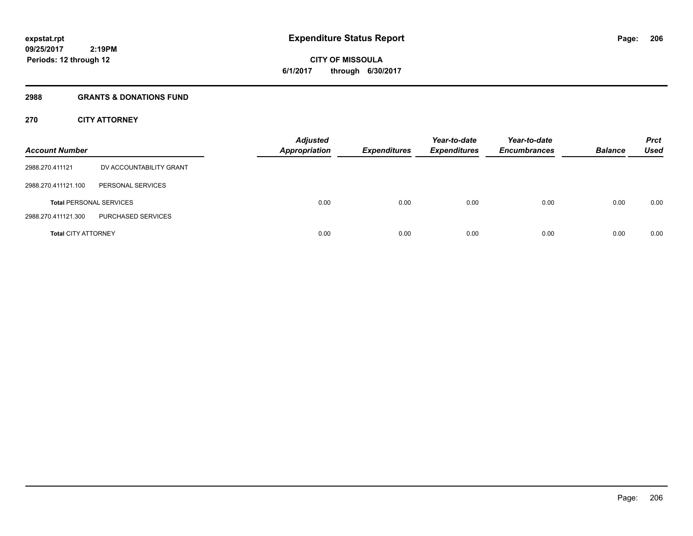# **CITY OF MISSOULA 6/1/2017 through 6/30/2017**

### **2988 GRANTS & DONATIONS FUND**

# **270 CITY ATTORNEY**

| <b>Account Number</b>      |                                | <b>Adjusted</b><br><b>Appropriation</b> | <b>Expenditures</b> | Year-to-date<br><b>Expenditures</b> | Year-to-date<br><b>Encumbrances</b> | <b>Balance</b> | <b>Prct</b><br>Used |
|----------------------------|--------------------------------|-----------------------------------------|---------------------|-------------------------------------|-------------------------------------|----------------|---------------------|
| 2988.270.411121            | DV ACCOUNTABILITY GRANT        |                                         |                     |                                     |                                     |                |                     |
| 2988.270.411121.100        | PERSONAL SERVICES              |                                         |                     |                                     |                                     |                |                     |
|                            | <b>Total PERSONAL SERVICES</b> | 0.00                                    | 0.00                | 0.00                                | 0.00                                | 0.00           | 0.00                |
| 2988.270.411121.300        | PURCHASED SERVICES             |                                         |                     |                                     |                                     |                |                     |
| <b>Total CITY ATTORNEY</b> |                                | 0.00                                    | 0.00                | 0.00                                | 0.00                                | 0.00           | 0.00                |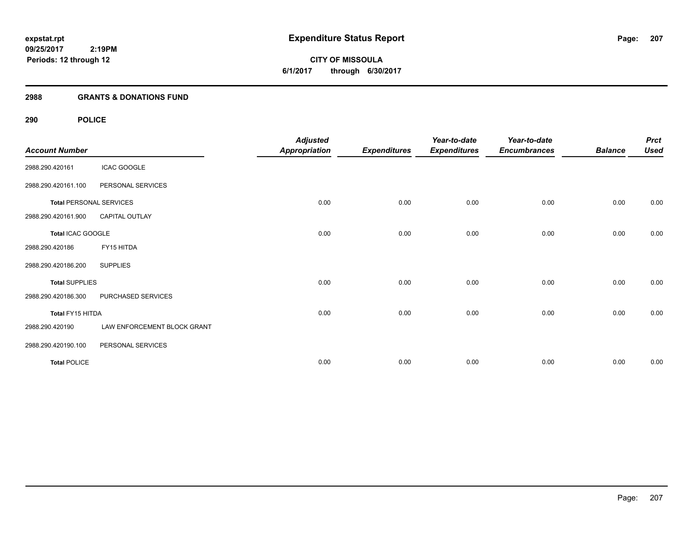**09/25/2017 2:19PM Periods: 12 through 12**

**CITY OF MISSOULA 6/1/2017 through 6/30/2017**

### **2988 GRANTS & DONATIONS FUND**

# **290 POLICE**

| <b>Account Number</b>          |                             | <b>Adjusted</b><br><b>Appropriation</b> | <b>Expenditures</b> | Year-to-date<br><b>Expenditures</b> | Year-to-date<br><b>Encumbrances</b> | <b>Balance</b> | <b>Prct</b><br><b>Used</b> |
|--------------------------------|-----------------------------|-----------------------------------------|---------------------|-------------------------------------|-------------------------------------|----------------|----------------------------|
| 2988.290.420161                | <b>ICAC GOOGLE</b>          |                                         |                     |                                     |                                     |                |                            |
| 2988.290.420161.100            | PERSONAL SERVICES           |                                         |                     |                                     |                                     |                |                            |
| <b>Total PERSONAL SERVICES</b> |                             | 0.00                                    | 0.00                | 0.00                                | 0.00                                | 0.00           | 0.00                       |
| 2988.290.420161.900            | <b>CAPITAL OUTLAY</b>       |                                         |                     |                                     |                                     |                |                            |
| Total ICAC GOOGLE              |                             | 0.00                                    | 0.00                | 0.00                                | 0.00                                | 0.00           | 0.00                       |
| 2988.290.420186                | FY15 HITDA                  |                                         |                     |                                     |                                     |                |                            |
| 2988.290.420186.200            | <b>SUPPLIES</b>             |                                         |                     |                                     |                                     |                |                            |
| <b>Total SUPPLIES</b>          |                             | 0.00                                    | 0.00                | 0.00                                | 0.00                                | 0.00           | 0.00                       |
| 2988.290.420186.300            | PURCHASED SERVICES          |                                         |                     |                                     |                                     |                |                            |
| Total FY15 HITDA               |                             | 0.00                                    | 0.00                | 0.00                                | 0.00                                | 0.00           | 0.00                       |
| 2988.290.420190                | LAW ENFORCEMENT BLOCK GRANT |                                         |                     |                                     |                                     |                |                            |
| 2988.290.420190.100            | PERSONAL SERVICES           |                                         |                     |                                     |                                     |                |                            |
| <b>Total POLICE</b>            |                             | 0.00                                    | 0.00                | 0.00                                | 0.00                                | 0.00           | 0.00                       |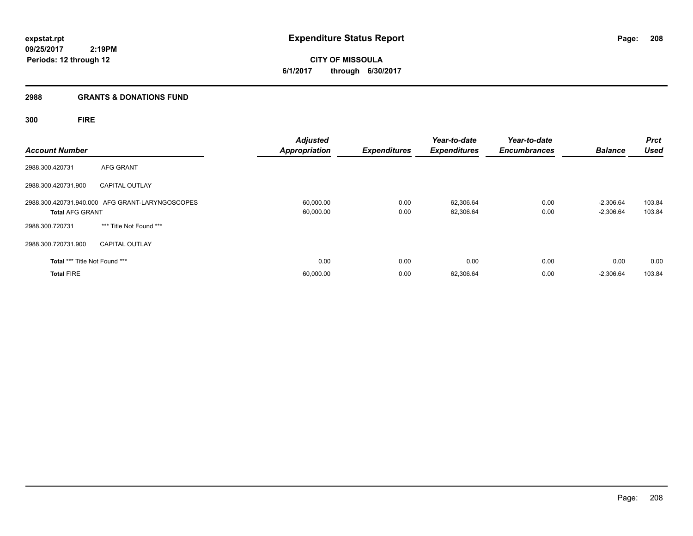**CITY OF MISSOULA 6/1/2017 through 6/30/2017**

# **2988 GRANTS & DONATIONS FUND**

# **300 FIRE**

| <b>Account Number</b>         |                                                 | <b>Adjusted</b><br><b>Appropriation</b> | <b>Expenditures</b> | Year-to-date<br><b>Expenditures</b> | Year-to-date<br><b>Encumbrances</b> | <b>Balance</b>             | <b>Prct</b><br><b>Used</b> |
|-------------------------------|-------------------------------------------------|-----------------------------------------|---------------------|-------------------------------------|-------------------------------------|----------------------------|----------------------------|
| 2988.300.420731               | AFG GRANT                                       |                                         |                     |                                     |                                     |                            |                            |
| 2988.300.420731.900           | <b>CAPITAL OUTLAY</b>                           |                                         |                     |                                     |                                     |                            |                            |
| <b>Total AFG GRANT</b>        | 2988.300.420731.940.000 AFG GRANT-LARYNGOSCOPES | 60,000.00<br>60,000.00                  | 0.00<br>0.00        | 62,306.64<br>62,306.64              | 0.00<br>0.00                        | $-2,306.64$<br>$-2,306.64$ | 103.84<br>103.84           |
| 2988.300.720731               | *** Title Not Found ***                         |                                         |                     |                                     |                                     |                            |                            |
| 2988.300.720731.900           | <b>CAPITAL OUTLAY</b>                           |                                         |                     |                                     |                                     |                            |                            |
| Total *** Title Not Found *** |                                                 | 0.00                                    | 0.00                | 0.00                                | 0.00                                | 0.00                       | 0.00                       |
| <b>Total FIRE</b>             |                                                 | 60,000.00                               | 0.00                | 62,306.64                           | 0.00                                | $-2,306.64$                | 103.84                     |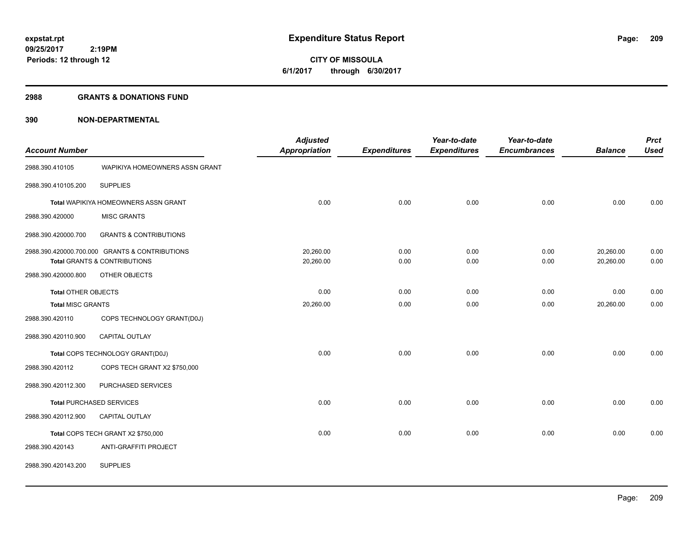**09/25/2017 2:19PM Periods: 12 through 12**

**CITY OF MISSOULA 6/1/2017 through 6/30/2017**

### **2988 GRANTS & DONATIONS FUND**

|                            |                                                | <b>Adjusted</b>      |                     | Year-to-date        | Year-to-date        |                | <b>Prct</b> |
|----------------------------|------------------------------------------------|----------------------|---------------------|---------------------|---------------------|----------------|-------------|
| <b>Account Number</b>      |                                                | <b>Appropriation</b> | <b>Expenditures</b> | <b>Expenditures</b> | <b>Encumbrances</b> | <b>Balance</b> | <b>Used</b> |
| 2988.390.410105            | WAPIKIYA HOMEOWNERS ASSN GRANT                 |                      |                     |                     |                     |                |             |
| 2988.390.410105.200        | <b>SUPPLIES</b>                                |                      |                     |                     |                     |                |             |
|                            | Total WAPIKIYA HOMEOWNERS ASSN GRANT           | 0.00                 | 0.00                | 0.00                | 0.00                | 0.00           | 0.00        |
| 2988.390.420000            | <b>MISC GRANTS</b>                             |                      |                     |                     |                     |                |             |
| 2988.390.420000.700        | <b>GRANTS &amp; CONTRIBUTIONS</b>              |                      |                     |                     |                     |                |             |
|                            | 2988.390.420000.700.000 GRANTS & CONTRIBUTIONS | 20,260.00            | 0.00                | 0.00                | 0.00                | 20,260.00      | 0.00        |
|                            | Total GRANTS & CONTRIBUTIONS                   | 20,260.00            | 0.00                | 0.00                | 0.00                | 20,260.00      | 0.00        |
| 2988.390.420000.800        | OTHER OBJECTS                                  |                      |                     |                     |                     |                |             |
| <b>Total OTHER OBJECTS</b> |                                                | 0.00                 | 0.00                | 0.00                | 0.00                | 0.00           | 0.00        |
| <b>Total MISC GRANTS</b>   |                                                | 20,260.00            | 0.00                | 0.00                | 0.00                | 20,260.00      | 0.00        |
| 2988.390.420110            | COPS TECHNOLOGY GRANT(D0J)                     |                      |                     |                     |                     |                |             |
| 2988.390.420110.900        | CAPITAL OUTLAY                                 |                      |                     |                     |                     |                |             |
|                            | Total COPS TECHNOLOGY GRANT(D0J)               | 0.00                 | 0.00                | 0.00                | 0.00                | 0.00           | 0.00        |
| 2988.390.420112            | COPS TECH GRANT X2 \$750,000                   |                      |                     |                     |                     |                |             |
| 2988.390.420112.300        | PURCHASED SERVICES                             |                      |                     |                     |                     |                |             |
|                            | <b>Total PURCHASED SERVICES</b>                | 0.00                 | 0.00                | 0.00                | 0.00                | 0.00           | 0.00        |
| 2988.390.420112.900        | CAPITAL OUTLAY                                 |                      |                     |                     |                     |                |             |
|                            | Total COPS TECH GRANT X2 \$750,000             | 0.00                 | 0.00                | 0.00                | 0.00                | 0.00           | 0.00        |
| 2988.390.420143            | ANTI-GRAFFITI PROJECT                          |                      |                     |                     |                     |                |             |
| 2988.390.420143.200        | <b>SUPPLIES</b>                                |                      |                     |                     |                     |                |             |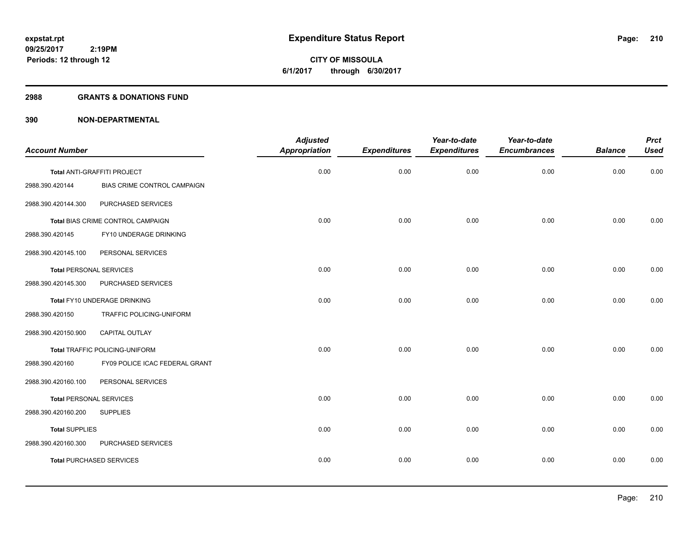**CITY OF MISSOULA 6/1/2017 through 6/30/2017**

### **2988 GRANTS & DONATIONS FUND**

|                                |                                   | <b>Adjusted</b>      |                     | Year-to-date        | Year-to-date        |                | <b>Prct</b> |
|--------------------------------|-----------------------------------|----------------------|---------------------|---------------------|---------------------|----------------|-------------|
| <b>Account Number</b>          |                                   | <b>Appropriation</b> | <b>Expenditures</b> | <b>Expenditures</b> | <b>Encumbrances</b> | <b>Balance</b> | <b>Used</b> |
|                                | Total ANTI-GRAFFITI PROJECT       | 0.00                 | 0.00                | 0.00                | 0.00                | 0.00           | 0.00        |
| 2988.390.420144                | BIAS CRIME CONTROL CAMPAIGN       |                      |                     |                     |                     |                |             |
| 2988.390.420144.300            | PURCHASED SERVICES                |                      |                     |                     |                     |                |             |
|                                | Total BIAS CRIME CONTROL CAMPAIGN | 0.00                 | 0.00                | 0.00                | 0.00                | 0.00           | 0.00        |
| 2988.390.420145                | FY10 UNDERAGE DRINKING            |                      |                     |                     |                     |                |             |
| 2988.390.420145.100            | PERSONAL SERVICES                 |                      |                     |                     |                     |                |             |
| <b>Total PERSONAL SERVICES</b> |                                   | 0.00                 | 0.00                | 0.00                | 0.00                | 0.00           | 0.00        |
| 2988.390.420145.300            | PURCHASED SERVICES                |                      |                     |                     |                     |                |             |
|                                | Total FY10 UNDERAGE DRINKING      | 0.00                 | 0.00                | 0.00                | 0.00                | 0.00           | 0.00        |
| 2988.390.420150                | TRAFFIC POLICING-UNIFORM          |                      |                     |                     |                     |                |             |
| 2988.390.420150.900            | <b>CAPITAL OUTLAY</b>             |                      |                     |                     |                     |                |             |
|                                | Total TRAFFIC POLICING-UNIFORM    | 0.00                 | 0.00                | 0.00                | 0.00                | 0.00           | 0.00        |
| 2988.390.420160                | FY09 POLICE ICAC FEDERAL GRANT    |                      |                     |                     |                     |                |             |
| 2988.390.420160.100            | PERSONAL SERVICES                 |                      |                     |                     |                     |                |             |
| <b>Total PERSONAL SERVICES</b> |                                   | 0.00                 | 0.00                | 0.00                | 0.00                | 0.00           | 0.00        |
| 2988.390.420160.200            | <b>SUPPLIES</b>                   |                      |                     |                     |                     |                |             |
| <b>Total SUPPLIES</b>          |                                   | 0.00                 | 0.00                | 0.00                | 0.00                | 0.00           | 0.00        |
| 2988.390.420160.300            | PURCHASED SERVICES                |                      |                     |                     |                     |                |             |
|                                | <b>Total PURCHASED SERVICES</b>   | 0.00                 | 0.00                | 0.00                | 0.00                | 0.00           | 0.00        |
|                                |                                   |                      |                     |                     |                     |                |             |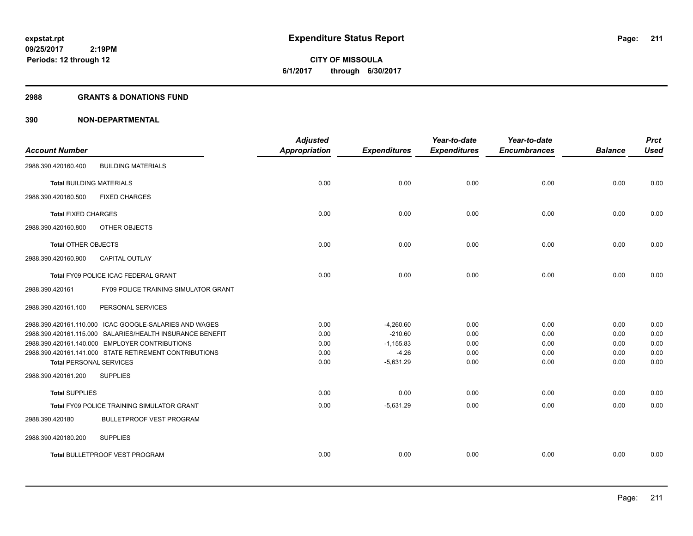**09/25/2017 2:19PM Periods: 12 through 12**

**CITY OF MISSOULA 6/1/2017 through 6/30/2017**

### **2988 GRANTS & DONATIONS FUND**

|                                 |                                                           | <b>Adjusted</b>      |                     | Year-to-date        | Year-to-date        |                | <b>Prct</b> |
|---------------------------------|-----------------------------------------------------------|----------------------|---------------------|---------------------|---------------------|----------------|-------------|
| <b>Account Number</b>           |                                                           | <b>Appropriation</b> | <b>Expenditures</b> | <b>Expenditures</b> | <b>Encumbrances</b> | <b>Balance</b> | <b>Used</b> |
| 2988.390.420160.400             | <b>BUILDING MATERIALS</b>                                 |                      |                     |                     |                     |                |             |
| <b>Total BUILDING MATERIALS</b> |                                                           | 0.00                 | 0.00                | 0.00                | 0.00                | 0.00           | 0.00        |
| 2988.390.420160.500             | <b>FIXED CHARGES</b>                                      |                      |                     |                     |                     |                |             |
| <b>Total FIXED CHARGES</b>      |                                                           | 0.00                 | 0.00                | 0.00                | 0.00                | 0.00           | 0.00        |
| 2988.390.420160.800             | OTHER OBJECTS                                             |                      |                     |                     |                     |                |             |
| <b>Total OTHER OBJECTS</b>      |                                                           | 0.00                 | 0.00                | 0.00                | 0.00                | 0.00           | 0.00        |
| 2988.390.420160.900             | CAPITAL OUTLAY                                            |                      |                     |                     |                     |                |             |
|                                 | Total FY09 POLICE ICAC FEDERAL GRANT                      | 0.00                 | 0.00                | 0.00                | 0.00                | 0.00           | 0.00        |
| 2988.390.420161                 | FY09 POLICE TRAINING SIMULATOR GRANT                      |                      |                     |                     |                     |                |             |
| 2988.390.420161.100             | PERSONAL SERVICES                                         |                      |                     |                     |                     |                |             |
|                                 | 2988.390.420161.110.000 ICAC GOOGLE-SALARIES AND WAGES    | 0.00                 | $-4,260.60$         | 0.00                | 0.00                | 0.00           | 0.00        |
|                                 | 2988.390.420161.115.000 SALARIES/HEALTH INSURANCE BENEFIT | 0.00                 | $-210.60$           | 0.00                | 0.00                | 0.00           | 0.00        |
|                                 | 2988.390.420161.140.000 EMPLOYER CONTRIBUTIONS            | 0.00                 | $-1,155.83$         | 0.00                | 0.00                | 0.00           | 0.00        |
|                                 | 2988.390.420161.141.000 STATE RETIREMENT CONTRIBUTIONS    | 0.00                 | $-4.26$             | 0.00                | 0.00                | 0.00           | 0.00        |
| <b>Total PERSONAL SERVICES</b>  |                                                           | 0.00                 | $-5,631.29$         | 0.00                | 0.00                | 0.00           | 0.00        |
| 2988.390.420161.200             | <b>SUPPLIES</b>                                           |                      |                     |                     |                     |                |             |
| <b>Total SUPPLIES</b>           |                                                           | 0.00                 | 0.00                | 0.00                | 0.00                | 0.00           | 0.00        |
|                                 | <b>Total FY09 POLICE TRAINING SIMULATOR GRANT</b>         | 0.00                 | $-5,631.29$         | 0.00                | 0.00                | 0.00           | 0.00        |
| 2988.390.420180                 | <b>BULLETPROOF VEST PROGRAM</b>                           |                      |                     |                     |                     |                |             |
| 2988.390.420180.200             | <b>SUPPLIES</b>                                           |                      |                     |                     |                     |                |             |
|                                 | Total BULLETPROOF VEST PROGRAM                            | 0.00                 | 0.00                | 0.00                | 0.00                | 0.00           | 0.00        |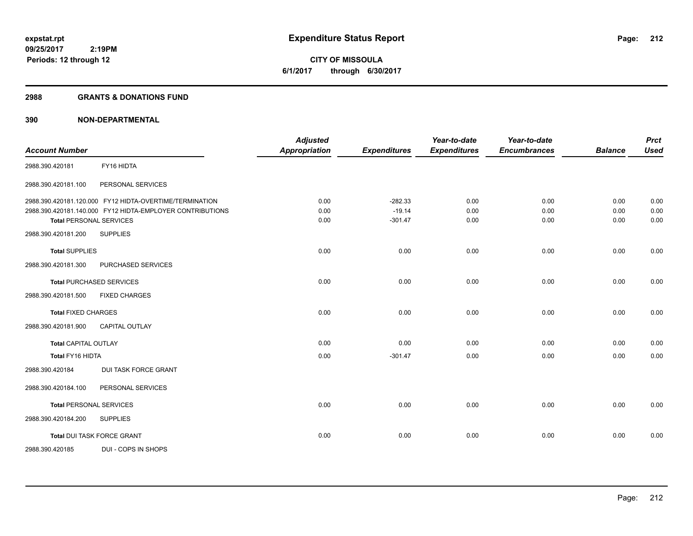**09/25/2017 2:19PM Periods: 12 through 12**

**CITY OF MISSOULA 6/1/2017 through 6/30/2017**

### **2988 GRANTS & DONATIONS FUND**

|                                |                                                           | <b>Adjusted</b>      |                     | Year-to-date        | Year-to-date        |                | <b>Prct</b> |
|--------------------------------|-----------------------------------------------------------|----------------------|---------------------|---------------------|---------------------|----------------|-------------|
| <b>Account Number</b>          |                                                           | <b>Appropriation</b> | <b>Expenditures</b> | <b>Expenditures</b> | <b>Encumbrances</b> | <b>Balance</b> | <b>Used</b> |
| 2988.390.420181                | FY16 HIDTA                                                |                      |                     |                     |                     |                |             |
| 2988.390.420181.100            | PERSONAL SERVICES                                         |                      |                     |                     |                     |                |             |
|                                | 2988.390.420181.120.000 FY12 HIDTA-OVERTIME/TERMINATION   | 0.00                 | $-282.33$           | 0.00                | 0.00                | 0.00           | 0.00        |
|                                | 2988.390.420181.140.000 FY12 HIDTA-EMPLOYER CONTRIBUTIONS | 0.00                 | $-19.14$            | 0.00                | 0.00                | 0.00           | 0.00        |
| <b>Total PERSONAL SERVICES</b> |                                                           | 0.00                 | $-301.47$           | 0.00                | 0.00                | 0.00           | 0.00        |
| 2988.390.420181.200            | <b>SUPPLIES</b>                                           |                      |                     |                     |                     |                |             |
| <b>Total SUPPLIES</b>          |                                                           | 0.00                 | 0.00                | 0.00                | 0.00                | 0.00           | 0.00        |
| 2988.390.420181.300            | PURCHASED SERVICES                                        |                      |                     |                     |                     |                |             |
|                                | <b>Total PURCHASED SERVICES</b>                           | 0.00                 | 0.00                | 0.00                | 0.00                | 0.00           | 0.00        |
| 2988.390.420181.500            | <b>FIXED CHARGES</b>                                      |                      |                     |                     |                     |                |             |
| <b>Total FIXED CHARGES</b>     |                                                           | 0.00                 | 0.00                | 0.00                | 0.00                | 0.00           | 0.00        |
| 2988.390.420181.900            | <b>CAPITAL OUTLAY</b>                                     |                      |                     |                     |                     |                |             |
| <b>Total CAPITAL OUTLAY</b>    |                                                           | 0.00                 | 0.00                | 0.00                | 0.00                | 0.00           | 0.00        |
| <b>Total FY16 HIDTA</b>        |                                                           | 0.00                 | $-301.47$           | 0.00                | 0.00                | 0.00           | 0.00        |
| 2988.390.420184                | <b>DUI TASK FORCE GRANT</b>                               |                      |                     |                     |                     |                |             |
| 2988.390.420184.100            | PERSONAL SERVICES                                         |                      |                     |                     |                     |                |             |
| <b>Total PERSONAL SERVICES</b> |                                                           | 0.00                 | 0.00                | 0.00                | 0.00                | 0.00           | 0.00        |
| 2988.390.420184.200            | <b>SUPPLIES</b>                                           |                      |                     |                     |                     |                |             |
|                                | Total DUI TASK FORCE GRANT                                | 0.00                 | 0.00                | 0.00                | 0.00                | 0.00           | 0.00        |
| 2988.390.420185                | DUI - COPS IN SHOPS                                       |                      |                     |                     |                     |                |             |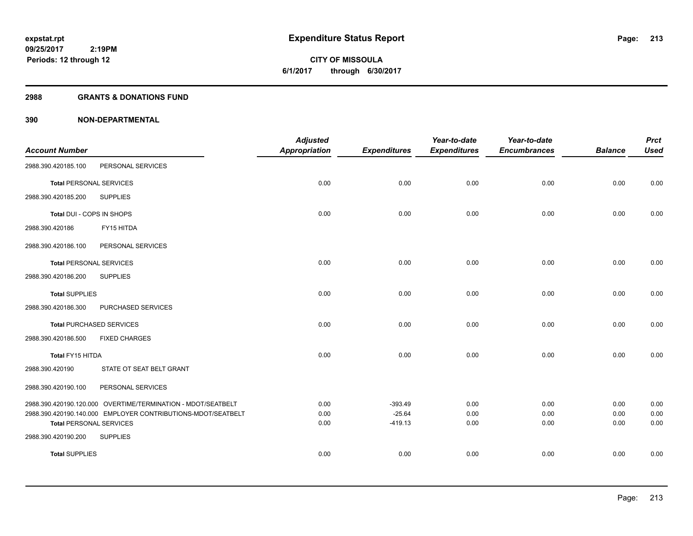**09/25/2017 2:19PM Periods: 12 through 12**

# **CITY OF MISSOULA 6/1/2017 through 6/30/2017**

### **2988 GRANTS & DONATIONS FUND**

|                                |                                                              | <b>Adjusted</b>      |                       | Year-to-date        | Year-to-date        |                | <b>Prct</b>  |
|--------------------------------|--------------------------------------------------------------|----------------------|-----------------------|---------------------|---------------------|----------------|--------------|
| <b>Account Number</b>          |                                                              | <b>Appropriation</b> | <b>Expenditures</b>   | <b>Expenditures</b> | <b>Encumbrances</b> | <b>Balance</b> | <b>Used</b>  |
| 2988.390.420185.100            | PERSONAL SERVICES                                            |                      |                       |                     |                     |                |              |
| <b>Total PERSONAL SERVICES</b> |                                                              | 0.00                 | 0.00                  | 0.00                | 0.00                | 0.00           | 0.00         |
| 2988.390.420185.200            | <b>SUPPLIES</b>                                              |                      |                       |                     |                     |                |              |
| Total DUI - COPS IN SHOPS      |                                                              | 0.00                 | 0.00                  | 0.00                | 0.00                | 0.00           | 0.00         |
| 2988.390.420186                | FY15 HITDA                                                   |                      |                       |                     |                     |                |              |
| 2988.390.420186.100            | PERSONAL SERVICES                                            |                      |                       |                     |                     |                |              |
| <b>Total PERSONAL SERVICES</b> |                                                              | 0.00                 | 0.00                  | 0.00                | 0.00                | 0.00           | 0.00         |
| 2988.390.420186.200            | <b>SUPPLIES</b>                                              |                      |                       |                     |                     |                |              |
| <b>Total SUPPLIES</b>          |                                                              | 0.00                 | 0.00                  | 0.00                | 0.00                | 0.00           | 0.00         |
| 2988.390.420186.300            | PURCHASED SERVICES                                           |                      |                       |                     |                     |                |              |
|                                | <b>Total PURCHASED SERVICES</b>                              | 0.00                 | 0.00                  | 0.00                | 0.00                | 0.00           | 0.00         |
| 2988.390.420186.500            | <b>FIXED CHARGES</b>                                         |                      |                       |                     |                     |                |              |
| Total FY15 HITDA               |                                                              | 0.00                 | 0.00                  | 0.00                | 0.00                | 0.00           | 0.00         |
| 2988.390.420190                | STATE OT SEAT BELT GRANT                                     |                      |                       |                     |                     |                |              |
| 2988.390.420190.100            | PERSONAL SERVICES                                            |                      |                       |                     |                     |                |              |
|                                | 2988.390.420190.120.000 OVERTIME/TERMINATION - MDOT/SEATBELT | 0.00                 | $-393.49$             | 0.00                | 0.00                | 0.00           | 0.00         |
| <b>Total PERSONAL SERVICES</b> | 2988.390.420190.140.000 EMPLOYER CONTRIBUTIONS-MDOT/SEATBELT | 0.00<br>0.00         | $-25.64$<br>$-419.13$ | 0.00<br>0.00        | 0.00<br>0.00        | 0.00<br>0.00   | 0.00<br>0.00 |
| 2988.390.420190.200            | <b>SUPPLIES</b>                                              |                      |                       |                     |                     |                |              |
| <b>Total SUPPLIES</b>          |                                                              | 0.00                 | 0.00                  | 0.00                | 0.00                | 0.00           | 0.00         |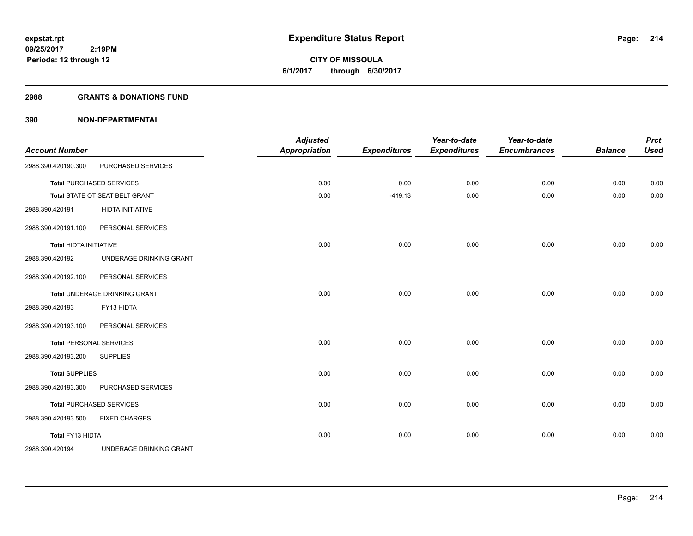**CITY OF MISSOULA 6/1/2017 through 6/30/2017**

### **2988 GRANTS & DONATIONS FUND**

| <b>Account Number</b>         |                                 | <b>Adjusted</b><br><b>Appropriation</b> | <b>Expenditures</b> | Year-to-date<br><b>Expenditures</b> | Year-to-date<br><b>Encumbrances</b> | <b>Balance</b> | <b>Prct</b><br><b>Used</b> |
|-------------------------------|---------------------------------|-----------------------------------------|---------------------|-------------------------------------|-------------------------------------|----------------|----------------------------|
| 2988.390.420190.300           | PURCHASED SERVICES              |                                         |                     |                                     |                                     |                |                            |
|                               | <b>Total PURCHASED SERVICES</b> | 0.00                                    | 0.00                | 0.00                                | 0.00                                | 0.00           | 0.00                       |
|                               | Total STATE OT SEAT BELT GRANT  | 0.00                                    | $-419.13$           | 0.00                                | 0.00                                | 0.00           | 0.00                       |
| 2988.390.420191               | <b>HIDTA INITIATIVE</b>         |                                         |                     |                                     |                                     |                |                            |
| 2988.390.420191.100           | PERSONAL SERVICES               |                                         |                     |                                     |                                     |                |                            |
| <b>Total HIDTA INITIATIVE</b> |                                 | 0.00                                    | 0.00                | 0.00                                | 0.00                                | 0.00           | 0.00                       |
| 2988.390.420192               | UNDERAGE DRINKING GRANT         |                                         |                     |                                     |                                     |                |                            |
| 2988.390.420192.100           | PERSONAL SERVICES               |                                         |                     |                                     |                                     |                |                            |
|                               | Total UNDERAGE DRINKING GRANT   | 0.00                                    | 0.00                | 0.00                                | 0.00                                | 0.00           | 0.00                       |
| 2988.390.420193               | FY13 HIDTA                      |                                         |                     |                                     |                                     |                |                            |
| 2988.390.420193.100           | PERSONAL SERVICES               |                                         |                     |                                     |                                     |                |                            |
|                               | <b>Total PERSONAL SERVICES</b>  | 0.00                                    | 0.00                | 0.00                                | 0.00                                | 0.00           | 0.00                       |
| 2988.390.420193.200           | <b>SUPPLIES</b>                 |                                         |                     |                                     |                                     |                |                            |
| <b>Total SUPPLIES</b>         |                                 | 0.00                                    | 0.00                | 0.00                                | 0.00                                | 0.00           | 0.00                       |
| 2988.390.420193.300           | PURCHASED SERVICES              |                                         |                     |                                     |                                     |                |                            |
|                               | <b>Total PURCHASED SERVICES</b> | 0.00                                    | 0.00                | 0.00                                | 0.00                                | 0.00           | 0.00                       |
| 2988.390.420193.500           | <b>FIXED CHARGES</b>            |                                         |                     |                                     |                                     |                |                            |
| Total FY13 HIDTA              |                                 | 0.00                                    | 0.00                | 0.00                                | 0.00                                | 0.00           | 0.00                       |
| 2988.390.420194               | UNDERAGE DRINKING GRANT         |                                         |                     |                                     |                                     |                |                            |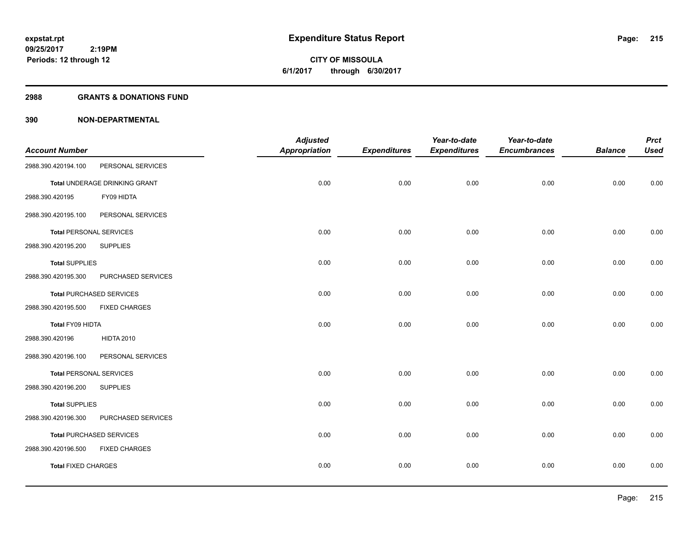**09/25/2017 2:19PM Periods: 12 through 12**

**CITY OF MISSOULA 6/1/2017 through 6/30/2017**

### **2988 GRANTS & DONATIONS FUND**

|                                |                                 | <b>Adjusted</b> |                     | Year-to-date        | Year-to-date        |                | <b>Prct</b> |
|--------------------------------|---------------------------------|-----------------|---------------------|---------------------|---------------------|----------------|-------------|
| <b>Account Number</b>          |                                 | Appropriation   | <b>Expenditures</b> | <b>Expenditures</b> | <b>Encumbrances</b> | <b>Balance</b> | <b>Used</b> |
| 2988.390.420194.100            | PERSONAL SERVICES               |                 |                     |                     |                     |                |             |
|                                | Total UNDERAGE DRINKING GRANT   | 0.00            | 0.00                | 0.00                | 0.00                | 0.00           | 0.00        |
| 2988.390.420195                | FY09 HIDTA                      |                 |                     |                     |                     |                |             |
| 2988.390.420195.100            | PERSONAL SERVICES               |                 |                     |                     |                     |                |             |
| <b>Total PERSONAL SERVICES</b> |                                 | 0.00            | 0.00                | 0.00                | 0.00                | 0.00           | 0.00        |
| 2988.390.420195.200            | <b>SUPPLIES</b>                 |                 |                     |                     |                     |                |             |
| <b>Total SUPPLIES</b>          |                                 | 0.00            | 0.00                | 0.00                | 0.00                | 0.00           | 0.00        |
| 2988.390.420195.300            | PURCHASED SERVICES              |                 |                     |                     |                     |                |             |
|                                | <b>Total PURCHASED SERVICES</b> | 0.00            | 0.00                | 0.00                | 0.00                | 0.00           | 0.00        |
| 2988.390.420195.500            | <b>FIXED CHARGES</b>            |                 |                     |                     |                     |                |             |
| Total FY09 HIDTA               |                                 | 0.00            | 0.00                | 0.00                | 0.00                | 0.00           | 0.00        |
| 2988.390.420196                | <b>HIDTA 2010</b>               |                 |                     |                     |                     |                |             |
| 2988.390.420196.100            | PERSONAL SERVICES               |                 |                     |                     |                     |                |             |
| <b>Total PERSONAL SERVICES</b> |                                 | 0.00            | 0.00                | 0.00                | 0.00                | 0.00           | 0.00        |
| 2988.390.420196.200            | <b>SUPPLIES</b>                 |                 |                     |                     |                     |                |             |
| <b>Total SUPPLIES</b>          |                                 | 0.00            | 0.00                | 0.00                | 0.00                | 0.00           | 0.00        |
| 2988.390.420196.300            | PURCHASED SERVICES              |                 |                     |                     |                     |                |             |
|                                | Total PURCHASED SERVICES        | 0.00            | 0.00                | 0.00                | 0.00                | 0.00           | 0.00        |
| 2988.390.420196.500            | <b>FIXED CHARGES</b>            |                 |                     |                     |                     |                |             |
| <b>Total FIXED CHARGES</b>     |                                 | 0.00            | 0.00                | 0.00                | 0.00                | 0.00           | 0.00        |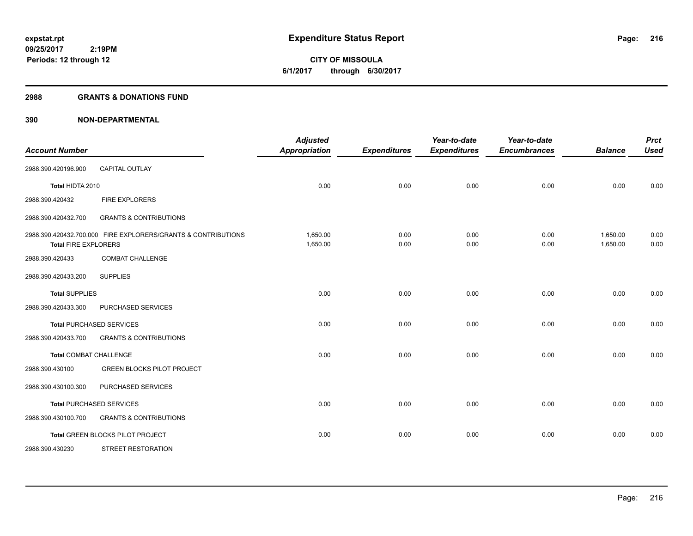**CITY OF MISSOULA 6/1/2017 through 6/30/2017**

### **2988 GRANTS & DONATIONS FUND**

| <b>Account Number</b>         |                                                               | <b>Adjusted</b><br><b>Appropriation</b> | <b>Expenditures</b> | Year-to-date<br><b>Expenditures</b> | Year-to-date<br><b>Encumbrances</b> | <b>Balance</b>       | <b>Prct</b><br><b>Used</b> |
|-------------------------------|---------------------------------------------------------------|-----------------------------------------|---------------------|-------------------------------------|-------------------------------------|----------------------|----------------------------|
| 2988.390.420196.900           | <b>CAPITAL OUTLAY</b>                                         |                                         |                     |                                     |                                     |                      |                            |
| Total HIDTA 2010              |                                                               | 0.00                                    | 0.00                | 0.00                                | 0.00                                | 0.00                 | 0.00                       |
| 2988.390.420432               | FIRE EXPLORERS                                                |                                         |                     |                                     |                                     |                      |                            |
| 2988.390.420432.700           | <b>GRANTS &amp; CONTRIBUTIONS</b>                             |                                         |                     |                                     |                                     |                      |                            |
| <b>Total FIRE EXPLORERS</b>   | 2988.390.420432.700.000 FIRE EXPLORERS/GRANTS & CONTRIBUTIONS | 1,650.00<br>1,650.00                    | 0.00<br>0.00        | 0.00<br>0.00                        | 0.00<br>0.00                        | 1,650.00<br>1,650.00 | 0.00<br>0.00               |
| 2988.390.420433               | <b>COMBAT CHALLENGE</b>                                       |                                         |                     |                                     |                                     |                      |                            |
| 2988.390.420433.200           | <b>SUPPLIES</b>                                               |                                         |                     |                                     |                                     |                      |                            |
| <b>Total SUPPLIES</b>         |                                                               | 0.00                                    | 0.00                | 0.00                                | 0.00                                | 0.00                 | 0.00                       |
| 2988.390.420433.300           | PURCHASED SERVICES                                            |                                         |                     |                                     |                                     |                      |                            |
|                               | <b>Total PURCHASED SERVICES</b>                               | 0.00                                    | 0.00                | 0.00                                | 0.00                                | 0.00                 | 0.00                       |
| 2988.390.420433.700           | <b>GRANTS &amp; CONTRIBUTIONS</b>                             |                                         |                     |                                     |                                     |                      |                            |
| <b>Total COMBAT CHALLENGE</b> |                                                               | 0.00                                    | 0.00                | 0.00                                | 0.00                                | 0.00                 | 0.00                       |
| 2988.390.430100               | <b>GREEN BLOCKS PILOT PROJECT</b>                             |                                         |                     |                                     |                                     |                      |                            |
| 2988.390.430100.300           | PURCHASED SERVICES                                            |                                         |                     |                                     |                                     |                      |                            |
|                               | <b>Total PURCHASED SERVICES</b>                               | 0.00                                    | 0.00                | 0.00                                | 0.00                                | 0.00                 | 0.00                       |
| 2988.390.430100.700           | <b>GRANTS &amp; CONTRIBUTIONS</b>                             |                                         |                     |                                     |                                     |                      |                            |
|                               | <b>Total GREEN BLOCKS PILOT PROJECT</b>                       | 0.00                                    | 0.00                | 0.00                                | 0.00                                | 0.00                 | 0.00                       |
| 2988.390.430230               | <b>STREET RESTORATION</b>                                     |                                         |                     |                                     |                                     |                      |                            |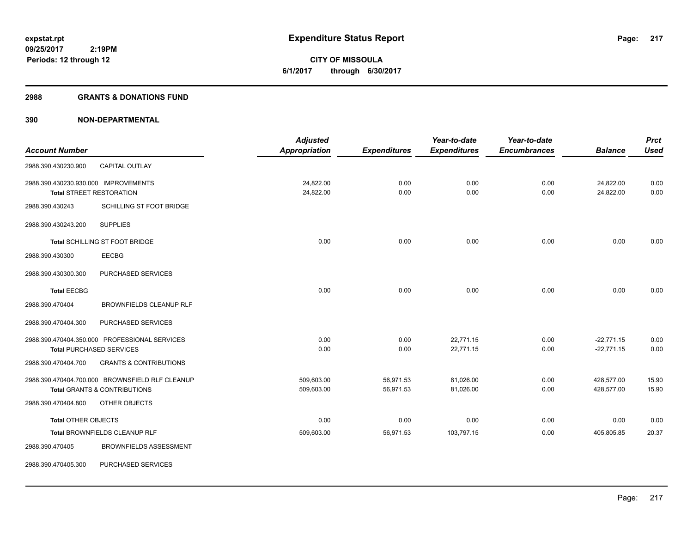**217**

**09/25/2017 2:19PM Periods: 12 through 12**

**CITY OF MISSOULA 6/1/2017 through 6/30/2017**

#### **2988 GRANTS & DONATIONS FUND**

|                                      |                                                 | <b>Adjusted</b> |                     | Year-to-date        | Year-to-date        |                | <b>Prct</b> |
|--------------------------------------|-------------------------------------------------|-----------------|---------------------|---------------------|---------------------|----------------|-------------|
| <b>Account Number</b>                |                                                 | Appropriation   | <b>Expenditures</b> | <b>Expenditures</b> | <b>Encumbrances</b> | <b>Balance</b> | <b>Used</b> |
| 2988.390.430230.900                  | <b>CAPITAL OUTLAY</b>                           |                 |                     |                     |                     |                |             |
| 2988.390.430230.930.000 IMPROVEMENTS |                                                 | 24,822.00       | 0.00                | 0.00                | 0.00                | 24,822.00      | 0.00        |
|                                      | <b>Total STREET RESTORATION</b>                 | 24,822.00       | 0.00                | 0.00                | 0.00                | 24,822.00      | 0.00        |
| 2988.390.430243                      | SCHILLING ST FOOT BRIDGE                        |                 |                     |                     |                     |                |             |
| 2988.390.430243.200                  | <b>SUPPLIES</b>                                 |                 |                     |                     |                     |                |             |
|                                      | Total SCHILLING ST FOOT BRIDGE                  | 0.00            | 0.00                | 0.00                | 0.00                | 0.00           | 0.00        |
| 2988.390.430300                      | <b>EECBG</b>                                    |                 |                     |                     |                     |                |             |
| 2988.390.430300.300                  | PURCHASED SERVICES                              |                 |                     |                     |                     |                |             |
| <b>Total EECBG</b>                   |                                                 | 0.00            | 0.00                | 0.00                | 0.00                | 0.00           | 0.00        |
| 2988.390.470404                      | <b>BROWNFIELDS CLEANUP RLF</b>                  |                 |                     |                     |                     |                |             |
| 2988.390.470404.300                  | PURCHASED SERVICES                              |                 |                     |                     |                     |                |             |
|                                      | 2988.390.470404.350.000 PROFESSIONAL SERVICES   | 0.00            | 0.00                | 22,771.15           | 0.00                | $-22,771.15$   | 0.00        |
|                                      | <b>Total PURCHASED SERVICES</b>                 | 0.00            | 0.00                | 22,771.15           | 0.00                | $-22,771.15$   | 0.00        |
| 2988.390.470404.700                  | <b>GRANTS &amp; CONTRIBUTIONS</b>               |                 |                     |                     |                     |                |             |
|                                      | 2988.390.470404.700.000 BROWNSFIELD RLF CLEANUP | 509.603.00      | 56,971.53           | 81,026.00           | 0.00                | 428,577.00     | 15.90       |
|                                      | <b>Total GRANTS &amp; CONTRIBUTIONS</b>         | 509,603.00      | 56,971.53           | 81,026.00           | 0.00                | 428,577.00     | 15.90       |
| 2988.390.470404.800                  | OTHER OBJECTS                                   |                 |                     |                     |                     |                |             |
| <b>Total OTHER OBJECTS</b>           |                                                 | 0.00            | 0.00                | 0.00                | 0.00                | 0.00           | 0.00        |
|                                      | Total BROWNFIELDS CLEANUP RLF                   | 509,603.00      | 56,971.53           | 103,797.15          | 0.00                | 405,805.85     | 20.37       |
| 2988.390.470405                      | <b>BROWNFIELDS ASSESSMENT</b>                   |                 |                     |                     |                     |                |             |
| 2988.390.470405.300                  | PURCHASED SERVICES                              |                 |                     |                     |                     |                |             |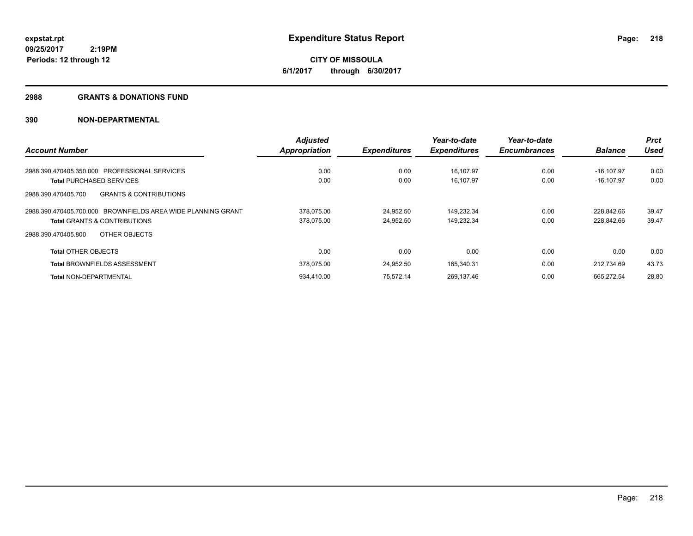**218**

**09/25/2017 2:19PM Periods: 12 through 12**

**CITY OF MISSOULA 6/1/2017 through 6/30/2017**

#### **2988 GRANTS & DONATIONS FUND**

|                                                              | <b>Adjusted</b> |                     | Year-to-date        | Year-to-date        |                | <b>Prct</b> |
|--------------------------------------------------------------|-----------------|---------------------|---------------------|---------------------|----------------|-------------|
| <b>Account Number</b>                                        | Appropriation   | <b>Expenditures</b> | <b>Expenditures</b> | <b>Encumbrances</b> | <b>Balance</b> | <b>Used</b> |
| 2988.390.470405.350.000 PROFESSIONAL SERVICES                | 0.00            | 0.00                | 16.107.97           | 0.00                | $-16.107.97$   | 0.00        |
| <b>Total PURCHASED SERVICES</b>                              | 0.00            | 0.00                | 16,107.97           | 0.00                | $-16, 107.97$  | 0.00        |
| <b>GRANTS &amp; CONTRIBUTIONS</b><br>2988.390.470405.700     |                 |                     |                     |                     |                |             |
| 2988.390.470405.700.000 BROWNFIELDS AREA WIDE PLANNING GRANT | 378.075.00      | 24.952.50           | 149.232.34          | 0.00                | 228.842.66     | 39.47       |
| <b>Total GRANTS &amp; CONTRIBUTIONS</b>                      | 378,075.00      | 24.952.50           | 149,232.34          | 0.00                | 228,842.66     | 39.47       |
| OTHER OBJECTS<br>2988.390.470405.800                         |                 |                     |                     |                     |                |             |
| <b>Total OTHER OBJECTS</b>                                   | 0.00            | 0.00                | 0.00                | 0.00                | 0.00           | 0.00        |
| <b>Total BROWNFIELDS ASSESSMENT</b>                          | 378.075.00      | 24.952.50           | 165,340.31          | 0.00                | 212.734.69     | 43.73       |
| <b>Total NON-DEPARTMENTAL</b>                                | 934.410.00      | 75.572.14           | 269,137.46          | 0.00                | 665,272.54     | 28.80       |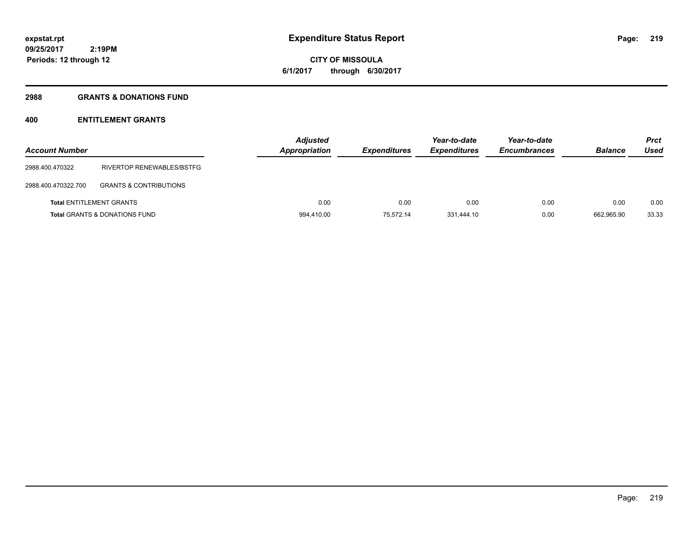# **CITY OF MISSOULA 6/1/2017 through 6/30/2017**

## **2988 GRANTS & DONATIONS FUND**

# **400 ENTITLEMENT GRANTS**

| <b>Account Number</b> |                                          | <b>Adjusted</b><br><b>Appropriation</b> | <b>Expenditures</b> | Year-to-date<br><b>Expenditures</b> | Year-to-date<br><b>Encumbrances</b> | <b>Balance</b> | <b>Prct</b><br>Used |
|-----------------------|------------------------------------------|-----------------------------------------|---------------------|-------------------------------------|-------------------------------------|----------------|---------------------|
| 2988.400.470322       | RIVERTOP RENEWABLES/BSTFG                |                                         |                     |                                     |                                     |                |                     |
| 2988.400.470322.700   | <b>GRANTS &amp; CONTRIBUTIONS</b>        |                                         |                     |                                     |                                     |                |                     |
|                       | <b>Total ENTITLEMENT GRANTS</b>          | 0.00                                    | 0.00                | 0.00                                | 0.00                                | 0.00           | 0.00                |
|                       | <b>Total GRANTS &amp; DONATIONS FUND</b> | 994,410.00                              | 75,572.14           | 331.444.10                          | 0.00                                | 662,965.90     | 33.33               |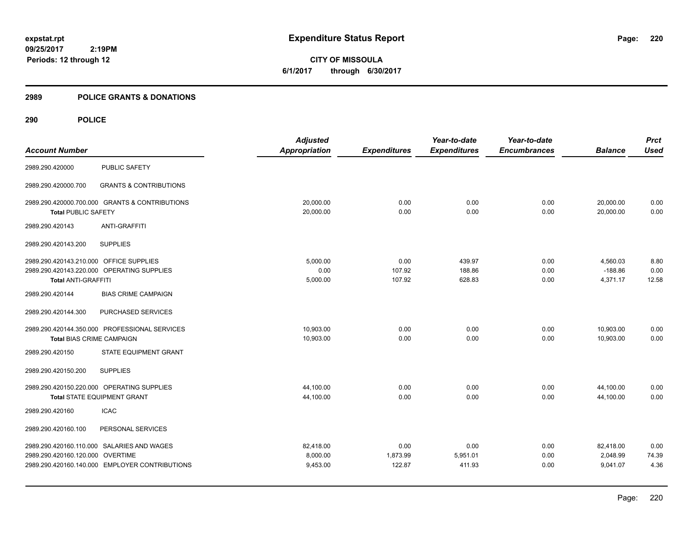**CITY OF MISSOULA 6/1/2017 through 6/30/2017**

## **2989 POLICE GRANTS & DONATIONS**

|                                         |                                                | <b>Adjusted</b>      |                     | Year-to-date        | Year-to-date        |                | <b>Prct</b> |
|-----------------------------------------|------------------------------------------------|----------------------|---------------------|---------------------|---------------------|----------------|-------------|
| <b>Account Number</b>                   |                                                | <b>Appropriation</b> | <b>Expenditures</b> | <b>Expenditures</b> | <b>Encumbrances</b> | <b>Balance</b> | <b>Used</b> |
| 2989.290.420000                         | <b>PUBLIC SAFETY</b>                           |                      |                     |                     |                     |                |             |
| 2989.290.420000.700                     | <b>GRANTS &amp; CONTRIBUTIONS</b>              |                      |                     |                     |                     |                |             |
|                                         | 2989.290.420000.700.000 GRANTS & CONTRIBUTIONS | 20,000.00            | 0.00                | 0.00                | 0.00                | 20,000.00      | 0.00        |
| <b>Total PUBLIC SAFETY</b>              |                                                | 20,000.00            | 0.00                | 0.00                | 0.00                | 20,000.00      | 0.00        |
| 2989.290.420143                         | ANTI-GRAFFITI                                  |                      |                     |                     |                     |                |             |
| 2989.290.420143.200                     | <b>SUPPLIES</b>                                |                      |                     |                     |                     |                |             |
| 2989.290.420143.210.000 OFFICE SUPPLIES |                                                | 5.000.00             | 0.00                | 439.97              | 0.00                | 4,560.03       | 8.80        |
|                                         | 2989.290.420143.220.000 OPERATING SUPPLIES     | 0.00                 | 107.92              | 188.86              | 0.00                | $-188.86$      | 0.00        |
| <b>Total ANTI-GRAFFITI</b>              |                                                | 5,000.00             | 107.92              | 628.83              | 0.00                | 4,371.17       | 12.58       |
| 2989.290.420144                         | <b>BIAS CRIME CAMPAIGN</b>                     |                      |                     |                     |                     |                |             |
| 2989.290.420144.300                     | PURCHASED SERVICES                             |                      |                     |                     |                     |                |             |
|                                         | 2989.290.420144.350.000 PROFESSIONAL SERVICES  | 10,903.00            | 0.00                | 0.00                | 0.00                | 10,903.00      | 0.00        |
| <b>Total BIAS CRIME CAMPAIGN</b>        |                                                | 10,903.00            | 0.00                | 0.00                | 0.00                | 10,903.00      | 0.00        |
| 2989.290.420150                         | STATE EQUIPMENT GRANT                          |                      |                     |                     |                     |                |             |
| 2989.290.420150.200                     | <b>SUPPLIES</b>                                |                      |                     |                     |                     |                |             |
|                                         | 2989.290.420150.220.000 OPERATING SUPPLIES     | 44,100.00            | 0.00                | 0.00                | 0.00                | 44,100.00      | 0.00        |
|                                         | <b>Total STATE EQUIPMENT GRANT</b>             | 44,100.00            | 0.00                | 0.00                | 0.00                | 44,100.00      | 0.00        |
| 2989.290.420160                         | <b>ICAC</b>                                    |                      |                     |                     |                     |                |             |
| 2989.290.420160.100                     | PERSONAL SERVICES                              |                      |                     |                     |                     |                |             |
|                                         | 2989.290.420160.110.000 SALARIES AND WAGES     | 82,418.00            | 0.00                | 0.00                | 0.00                | 82,418.00      | 0.00        |
| 2989.290.420160.120.000 OVERTIME        |                                                | 8,000.00             | 1,873.99            | 5,951.01            | 0.00                | 2,048.99       | 74.39       |
|                                         | 2989.290.420160.140.000 EMPLOYER CONTRIBUTIONS | 9,453.00             | 122.87              | 411.93              | 0.00                | 9,041.07       | 4.36        |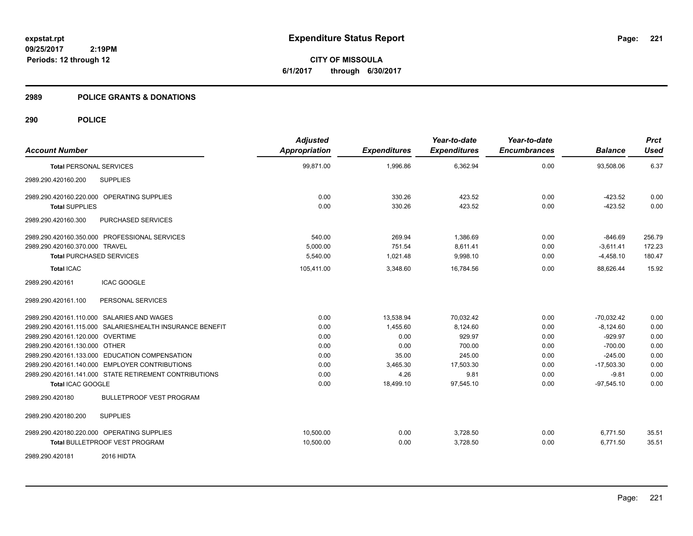**CITY OF MISSOULA 6/1/2017 through 6/30/2017**

#### **2989 POLICE GRANTS & DONATIONS**

| <b>Account Number</b>                                     | <b>Adjusted</b><br>Appropriation | <b>Expenditures</b> | Year-to-date<br><b>Expenditures</b> | Year-to-date<br><b>Encumbrances</b> | <b>Balance</b> | <b>Prct</b><br><b>Used</b> |
|-----------------------------------------------------------|----------------------------------|---------------------|-------------------------------------|-------------------------------------|----------------|----------------------------|
| <b>Total PERSONAL SERVICES</b>                            | 99,871.00                        | 1,996.86            | 6,362.94                            | 0.00                                | 93,508.06      | 6.37                       |
| <b>SUPPLIES</b><br>2989.290.420160.200                    |                                  |                     |                                     |                                     |                |                            |
| 2989.290.420160.220.000 OPERATING SUPPLIES                | 0.00                             | 330.26              | 423.52                              | 0.00                                | $-423.52$      | 0.00                       |
| <b>Total SUPPLIES</b>                                     | 0.00                             | 330.26              | 423.52                              | 0.00                                | $-423.52$      | 0.00                       |
| 2989.290.420160.300<br>PURCHASED SERVICES                 |                                  |                     |                                     |                                     |                |                            |
| 2989.290.420160.350.000 PROFESSIONAL SERVICES             | 540.00                           | 269.94              | 1,386.69                            | 0.00                                | $-846.69$      | 256.79                     |
| 2989.290.420160.370.000 TRAVEL                            | 5.000.00                         | 751.54              | 8,611.41                            | 0.00                                | $-3,611.41$    | 172.23                     |
| <b>Total PURCHASED SERVICES</b>                           | 5,540.00                         | 1,021.48            | 9,998.10                            | 0.00                                | $-4,458.10$    | 180.47                     |
| <b>Total ICAC</b>                                         | 105,411.00                       | 3,348.60            | 16,784.56                           | 0.00                                | 88,626.44      | 15.92                      |
| <b>ICAC GOOGLE</b><br>2989.290.420161                     |                                  |                     |                                     |                                     |                |                            |
| PERSONAL SERVICES<br>2989.290.420161.100                  |                                  |                     |                                     |                                     |                |                            |
| 2989.290.420161.110.000 SALARIES AND WAGES                | 0.00                             | 13,538.94           | 70,032.42                           | 0.00                                | $-70,032.42$   | 0.00                       |
| 2989.290.420161.115.000 SALARIES/HEALTH INSURANCE BENEFIT | 0.00                             | 1,455.60            | 8,124.60                            | 0.00                                | $-8,124.60$    | 0.00                       |
| 2989.290.420161.120.000 OVERTIME                          | 0.00                             | 0.00                | 929.97                              | 0.00                                | $-929.97$      | 0.00                       |
| 2989.290.420161.130.000 OTHER                             | 0.00                             | 0.00                | 700.00                              | 0.00                                | $-700.00$      | 0.00                       |
| 2989.290.420161.133.000 EDUCATION COMPENSATION            | 0.00                             | 35.00               | 245.00                              | 0.00                                | $-245.00$      | 0.00                       |
| 2989.290.420161.140.000 EMPLOYER CONTRIBUTIONS            | 0.00                             | 3,465.30            | 17,503.30                           | 0.00                                | $-17,503.30$   | 0.00                       |
| 2989.290.420161.141.000 STATE RETIREMENT CONTRIBUTIONS    | 0.00                             | 4.26                | 9.81                                | 0.00                                | $-9.81$        | 0.00                       |
| Total ICAC GOOGLE                                         | 0.00                             | 18,499.10           | 97,545.10                           | 0.00                                | $-97,545.10$   | 0.00                       |
| <b>BULLETPROOF VEST PROGRAM</b><br>2989.290.420180        |                                  |                     |                                     |                                     |                |                            |
| <b>SUPPLIES</b><br>2989.290.420180.200                    |                                  |                     |                                     |                                     |                |                            |
| 2989.290.420180.220.000 OPERATING SUPPLIES                | 10,500.00                        | 0.00                | 3,728.50                            | 0.00                                | 6,771.50       | 35.51                      |
| Total BULLETPROOF VEST PROGRAM                            | 10,500.00                        | 0.00                | 3,728.50                            | 0.00                                | 6,771.50       | 35.51                      |
| 2016 HIDTA<br>2989.290.420181                             |                                  |                     |                                     |                                     |                |                            |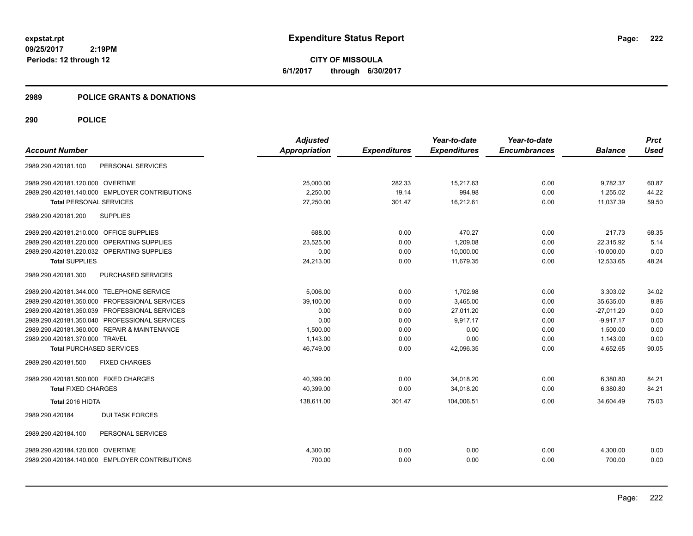**CITY OF MISSOULA 6/1/2017 through 6/30/2017**

#### **2989 POLICE GRANTS & DONATIONS**

| <b>Account Number</b>                                | <b>Adjusted</b><br>Appropriation | <b>Expenditures</b> | Year-to-date<br><b>Expenditures</b> | Year-to-date<br><b>Encumbrances</b> | <b>Balance</b> | <b>Prct</b><br><b>Used</b> |
|------------------------------------------------------|----------------------------------|---------------------|-------------------------------------|-------------------------------------|----------------|----------------------------|
| PERSONAL SERVICES<br>2989.290.420181.100             |                                  |                     |                                     |                                     |                |                            |
| 2989.290.420181.120.000 OVERTIME                     | 25,000.00                        | 282.33              | 15,217.63                           | 0.00                                | 9,782.37       | 60.87                      |
| 2989.290.420181.140.000 EMPLOYER CONTRIBUTIONS       | 2,250.00                         | 19.14               | 994.98                              | 0.00                                | 1,255.02       | 44.22                      |
| <b>Total PERSONAL SERVICES</b>                       | 27,250.00                        | 301.47              | 16,212.61                           | 0.00                                | 11,037.39      | 59.50                      |
| <b>SUPPLIES</b><br>2989.290.420181.200               |                                  |                     |                                     |                                     |                |                            |
| 2989.290.420181.210.000 OFFICE SUPPLIES              | 688.00                           | 0.00                | 470.27                              | 0.00                                | 217.73         | 68.35                      |
| <b>OPERATING SUPPLIES</b><br>2989.290.420181.220.000 | 23,525.00                        | 0.00                | 1,209.08                            | 0.00                                | 22,315.92      | 5.14                       |
| 2989.290.420181.220.032 OPERATING SUPPLIES           | 0.00                             | 0.00                | 10,000.00                           | 0.00                                | $-10,000.00$   | 0.00                       |
| <b>Total SUPPLIES</b>                                | 24,213.00                        | 0.00                | 11,679.35                           | 0.00                                | 12,533.65      | 48.24                      |
| 2989.290.420181.300<br>PURCHASED SERVICES            |                                  |                     |                                     |                                     |                |                            |
| 2989.290.420181.344.000 TELEPHONE SERVICE            | 5.006.00                         | 0.00                | 1,702.98                            | 0.00                                | 3,303.02       | 34.02                      |
| 2989.290.420181.350.000 PROFESSIONAL SERVICES        | 39.100.00                        | 0.00                | 3,465.00                            | 0.00                                | 35.635.00      | 8.86                       |
| 2989.290.420181.350.039 PROFESSIONAL SERVICES        | 0.00                             | 0.00                | 27.011.20                           | 0.00                                | $-27,011.20$   | 0.00                       |
| 2989.290.420181.350.040 PROFESSIONAL SERVICES        | 0.00                             | 0.00                | 9,917.17                            | 0.00                                | $-9.917.17$    | 0.00                       |
| 2989.290.420181.360.000 REPAIR & MAINTENANCE         | 1.500.00                         | 0.00                | 0.00                                | 0.00                                | 1,500.00       | 0.00                       |
| 2989.290.420181.370.000 TRAVEL                       | 1,143.00                         | 0.00                | 0.00                                | 0.00                                | 1,143.00       | 0.00                       |
| <b>Total PURCHASED SERVICES</b>                      | 46,749.00                        | 0.00                | 42,096.35                           | 0.00                                | 4,652.65       | 90.05                      |
| 2989.290.420181.500<br><b>FIXED CHARGES</b>          |                                  |                     |                                     |                                     |                |                            |
| 2989.290.420181.500.000 FIXED CHARGES                | 40,399.00                        | 0.00                | 34,018.20                           | 0.00                                | 6,380.80       | 84.21                      |
| <b>Total FIXED CHARGES</b>                           | 40,399.00                        | 0.00                | 34,018.20                           | 0.00                                | 6,380.80       | 84.21                      |
| Total 2016 HIDTA                                     | 138,611.00                       | 301.47              | 104,006.51                          | 0.00                                | 34,604.49      | 75.03                      |
| <b>DUI TASK FORCES</b><br>2989.290.420184            |                                  |                     |                                     |                                     |                |                            |
| PERSONAL SERVICES<br>2989.290.420184.100             |                                  |                     |                                     |                                     |                |                            |
| 2989.290.420184.120.000 OVERTIME                     | 4,300.00                         | 0.00                | 0.00                                | 0.00                                | 4,300.00       | 0.00                       |
| 2989.290.420184.140.000 EMPLOYER CONTRIBUTIONS       | 700.00                           | 0.00                | 0.00                                | 0.00                                | 700.00         | 0.00                       |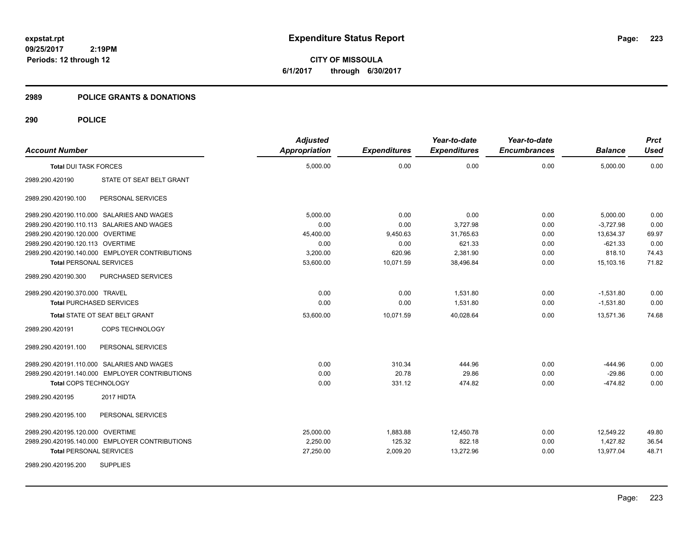**CITY OF MISSOULA 6/1/2017 through 6/30/2017**

#### **2989 POLICE GRANTS & DONATIONS**

| <b>Account Number</b>            |                                                | <b>Adjusted</b><br>Appropriation | <b>Expenditures</b> | Year-to-date<br><b>Expenditures</b> | Year-to-date<br><b>Encumbrances</b> | <b>Balance</b> | <b>Prct</b><br><b>Used</b> |
|----------------------------------|------------------------------------------------|----------------------------------|---------------------|-------------------------------------|-------------------------------------|----------------|----------------------------|
| <b>Total DUI TASK FORCES</b>     |                                                | 5,000.00                         | 0.00                | 0.00                                | 0.00                                | 5,000.00       | 0.00                       |
| 2989.290.420190                  | STATE OT SEAT BELT GRANT                       |                                  |                     |                                     |                                     |                |                            |
| 2989.290.420190.100              | PERSONAL SERVICES                              |                                  |                     |                                     |                                     |                |                            |
|                                  | 2989.290.420190.110.000 SALARIES AND WAGES     | 5,000.00                         | 0.00                | 0.00                                | 0.00                                | 5,000.00       | 0.00                       |
|                                  | 2989.290.420190.110.113 SALARIES AND WAGES     | 0.00                             | 0.00                | 3,727.98                            | 0.00                                | $-3.727.98$    | 0.00                       |
| 2989.290.420190.120.000 OVERTIME |                                                | 45,400.00                        | 9,450.63            | 31,765.63                           | 0.00                                | 13,634.37      | 69.97                      |
| 2989.290.420190.120.113 OVERTIME |                                                | 0.00                             | 0.00                | 621.33                              | 0.00                                | $-621.33$      | 0.00                       |
|                                  | 2989.290.420190.140.000 EMPLOYER CONTRIBUTIONS | 3,200.00                         | 620.96              | 2,381.90                            | 0.00                                | 818.10         | 74.43                      |
| <b>Total PERSONAL SERVICES</b>   |                                                | 53,600.00                        | 10,071.59           | 38,496.84                           | 0.00                                | 15,103.16      | 71.82                      |
| 2989.290.420190.300              | PURCHASED SERVICES                             |                                  |                     |                                     |                                     |                |                            |
| 2989.290.420190.370.000 TRAVEL   |                                                | 0.00                             | 0.00                | 1,531.80                            | 0.00                                | $-1,531.80$    | 0.00                       |
| <b>Total PURCHASED SERVICES</b>  |                                                | 0.00                             | 0.00                | 1,531.80                            | 0.00                                | $-1,531.80$    | 0.00                       |
|                                  | Total STATE OT SEAT BELT GRANT                 | 53,600.00                        | 10,071.59           | 40,028.64                           | 0.00                                | 13,571.36      | 74.68                      |
| 2989.290.420191                  | COPS TECHNOLOGY                                |                                  |                     |                                     |                                     |                |                            |
| 2989.290.420191.100              | PERSONAL SERVICES                              |                                  |                     |                                     |                                     |                |                            |
|                                  | 2989.290.420191.110.000 SALARIES AND WAGES     | 0.00                             | 310.34              | 444.96                              | 0.00                                | $-444.96$      | 0.00                       |
|                                  | 2989.290.420191.140.000 EMPLOYER CONTRIBUTIONS | 0.00                             | 20.78               | 29.86                               | 0.00                                | $-29.86$       | 0.00                       |
| Total COPS TECHNOLOGY            |                                                | 0.00                             | 331.12              | 474.82                              | 0.00                                | $-474.82$      | 0.00                       |
| 2989.290.420195                  | 2017 HIDTA                                     |                                  |                     |                                     |                                     |                |                            |
| 2989.290.420195.100              | PERSONAL SERVICES                              |                                  |                     |                                     |                                     |                |                            |
| 2989.290.420195.120.000 OVERTIME |                                                | 25,000.00                        | 1,883.88            | 12,450.78                           | 0.00                                | 12,549.22      | 49.80                      |
|                                  | 2989.290.420195.140.000 EMPLOYER CONTRIBUTIONS | 2,250.00                         | 125.32              | 822.18                              | 0.00                                | 1.427.82       | 36.54                      |
| <b>Total PERSONAL SERVICES</b>   |                                                | 27,250.00                        | 2,009.20            | 13,272.96                           | 0.00                                | 13.977.04      | 48.71                      |
| 2989.290.420195.200              | <b>SUPPLIES</b>                                |                                  |                     |                                     |                                     |                |                            |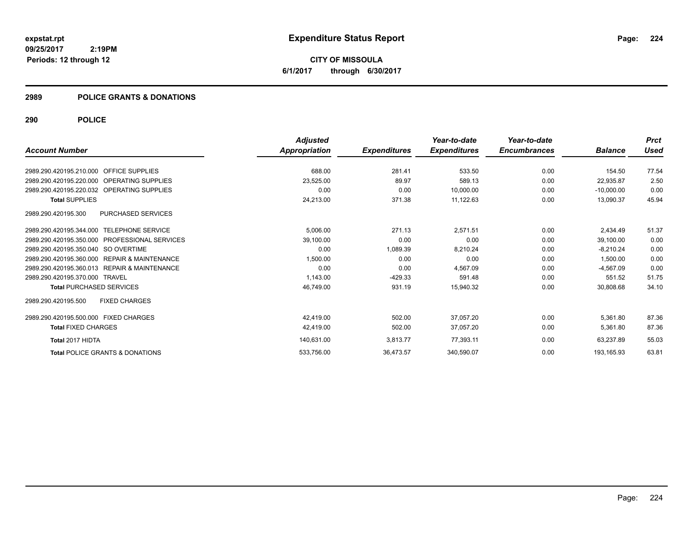**CITY OF MISSOULA 6/1/2017 through 6/30/2017**

## **2989 POLICE GRANTS & DONATIONS**

|                                                  | <b>Adjusted</b>      |                     | Year-to-date        | Year-to-date        |                | <b>Prct</b> |
|--------------------------------------------------|----------------------|---------------------|---------------------|---------------------|----------------|-------------|
| <b>Account Number</b>                            | <b>Appropriation</b> | <b>Expenditures</b> | <b>Expenditures</b> | <b>Encumbrances</b> | <b>Balance</b> | Used        |
| 2989.290.420195.210.000 OFFICE SUPPLIES          | 688.00               | 281.41              | 533.50              | 0.00                | 154.50         | 77.54       |
| 2989.290.420195.220.000 OPERATING SUPPLIES       | 23,525.00            | 89.97               | 589.13              | 0.00                | 22,935.87      | 2.50        |
| 2989.290.420195.220.032 OPERATING SUPPLIES       | 0.00                 | 0.00                | 10,000.00           | 0.00                | $-10.000.00$   | 0.00        |
| <b>Total SUPPLIES</b>                            | 24,213.00            | 371.38              | 11,122.63           | 0.00                | 13,090.37      | 45.94       |
| <b>PURCHASED SERVICES</b><br>2989.290.420195.300 |                      |                     |                     |                     |                |             |
| 2989.290.420195.344.000 TELEPHONE SERVICE        | 5,006.00             | 271.13              | 2,571.51            | 0.00                | 2,434.49       | 51.37       |
| 2989.290.420195.350.000 PROFESSIONAL SERVICES    | 39,100.00            | 0.00                | 0.00                | 0.00                | 39.100.00      | 0.00        |
| 2989.290.420195.350.040 SO OVERTIME              | 0.00                 | 1,089.39            | 8.210.24            | 0.00                | $-8.210.24$    | 0.00        |
| 2989.290.420195.360.000 REPAIR & MAINTENANCE     | 1,500.00             | 0.00                | 0.00                | 0.00                | 1,500.00       | 0.00        |
| 2989.290.420195.360.013 REPAIR & MAINTENANCE     | 0.00                 | 0.00                | 4,567.09            | 0.00                | $-4,567.09$    | 0.00        |
| 2989.290.420195.370.000 TRAVEL                   | 1,143.00             | $-429.33$           | 591.48              | 0.00                | 551.52         | 51.75       |
| <b>Total PURCHASED SERVICES</b>                  | 46,749.00            | 931.19              | 15,940.32           | 0.00                | 30,808.68      | 34.10       |
| <b>FIXED CHARGES</b><br>2989.290.420195.500      |                      |                     |                     |                     |                |             |
| 2989.290.420195.500.000 FIXED CHARGES            | 42,419.00            | 502.00              | 37,057.20           | 0.00                | 5,361.80       | 87.36       |
| <b>Total FIXED CHARGES</b>                       | 42,419.00            | 502.00              | 37,057.20           | 0.00                | 5,361.80       | 87.36       |
| Total 2017 HIDTA                                 | 140,631.00           | 3,813.77            | 77,393.11           | 0.00                | 63,237.89      | 55.03       |
| <b>Total POLICE GRANTS &amp; DONATIONS</b>       | 533,756.00           | 36,473.57           | 340,590.07          | 0.00                | 193,165.93     | 63.81       |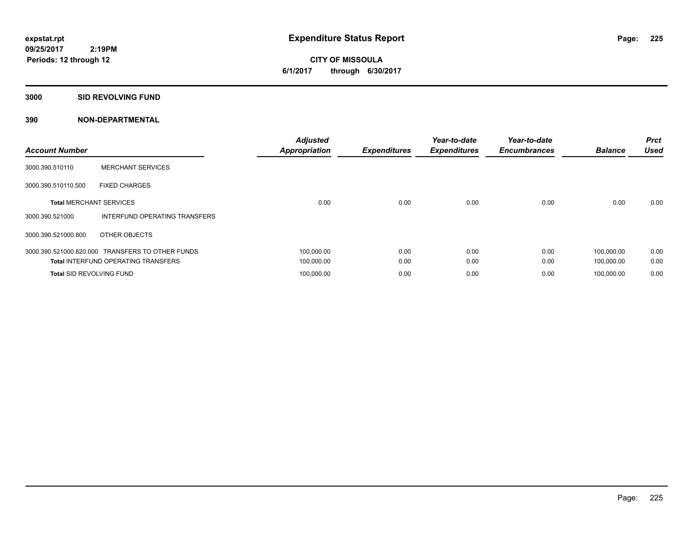**CITY OF MISSOULA 6/1/2017 through 6/30/2017**

#### **3000 SID REVOLVING FUND**

| <b>Account Number</b>           |                                                  | <b>Adjusted</b><br><b>Appropriation</b> | <b>Expenditures</b> | Year-to-date<br><b>Expenditures</b> | Year-to-date<br><b>Encumbrances</b> | <b>Balance</b> | <b>Prct</b><br><b>Used</b> |
|---------------------------------|--------------------------------------------------|-----------------------------------------|---------------------|-------------------------------------|-------------------------------------|----------------|----------------------------|
| 3000.390.510110                 | <b>MERCHANT SERVICES</b>                         |                                         |                     |                                     |                                     |                |                            |
| 3000.390.510110.500             | <b>FIXED CHARGES</b>                             |                                         |                     |                                     |                                     |                |                            |
| <b>Total MERCHANT SERVICES</b>  |                                                  | 0.00                                    | 0.00                | 0.00                                | 0.00                                | 0.00           | 0.00                       |
| 3000.390.521000                 | INTERFUND OPERATING TRANSFERS                    |                                         |                     |                                     |                                     |                |                            |
| 3000.390.521000.800             | OTHER OBJECTS                                    |                                         |                     |                                     |                                     |                |                            |
|                                 | 3000.390.521000.820.000 TRANSFERS TO OTHER FUNDS | 100,000.00                              | 0.00                | 0.00                                | 0.00                                | 100.000.00     | 0.00                       |
|                                 | <b>Total INTERFUND OPERATING TRANSFERS</b>       | 100,000.00                              | 0.00                | 0.00                                | 0.00                                | 100,000.00     | 0.00                       |
| <b>Total SID REVOLVING FUND</b> |                                                  | 100,000.00                              | 0.00                | 0.00                                | 0.00                                | 100.000.00     | 0.00                       |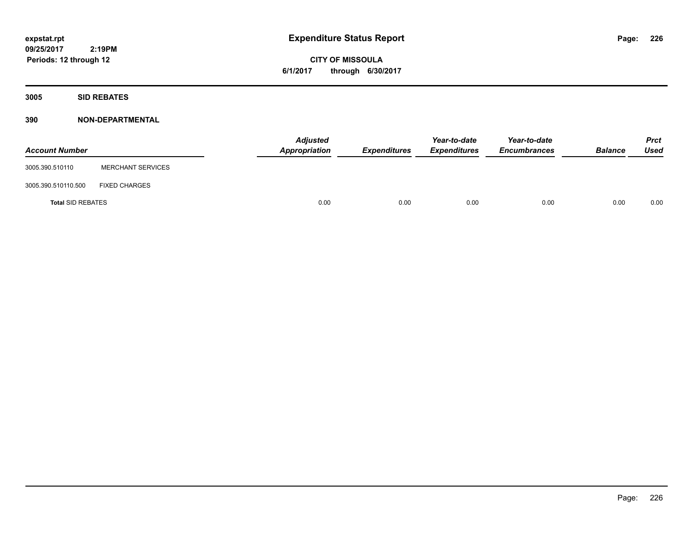**CITY OF MISSOULA 6/1/2017 through 6/30/2017**

**3005 SID REBATES**

| <b>Account Number</b>    |                          | <b>Adjusted</b><br>Appropriation | Expenditures | Year-to-date<br><b>Expenditures</b> | Year-to-date<br><b>Encumbrances</b> | <b>Balance</b> | <b>Prct</b><br>Used |
|--------------------------|--------------------------|----------------------------------|--------------|-------------------------------------|-------------------------------------|----------------|---------------------|
| 3005.390.510110          | <b>MERCHANT SERVICES</b> |                                  |              |                                     |                                     |                |                     |
| 3005.390.510110.500      | <b>FIXED CHARGES</b>     |                                  |              |                                     |                                     |                |                     |
| <b>Total SID REBATES</b> |                          | 0.00                             | 0.00         | 0.00                                | 0.00                                | 0.00           | 0.00                |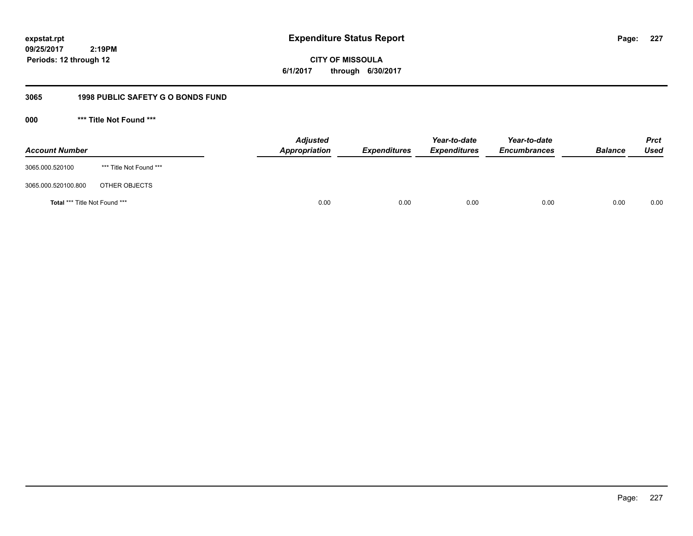**CITY OF MISSOULA 6/1/2017 through 6/30/2017**

# **3065 1998 PUBLIC SAFETY G O BONDS FUND**

**000 \*\*\* Title Not Found \*\*\***

| <b>Account Number</b>         |                         | <b>Adjusted</b><br>Appropriation | <b>Expenditures</b> | Year-to-date<br><b>Expenditures</b> | Year-to-date<br><b>Encumbrances</b> | <b>Balance</b> | <b>Prct</b><br>Used |
|-------------------------------|-------------------------|----------------------------------|---------------------|-------------------------------------|-------------------------------------|----------------|---------------------|
| 3065.000.520100               | *** Title Not Found *** |                                  |                     |                                     |                                     |                |                     |
| 3065.000.520100.800           | OTHER OBJECTS           |                                  |                     |                                     |                                     |                |                     |
| Total *** Title Not Found *** |                         | 0.00                             | 0.00                | 0.00                                | 0.00                                | 0.00           | 0.00                |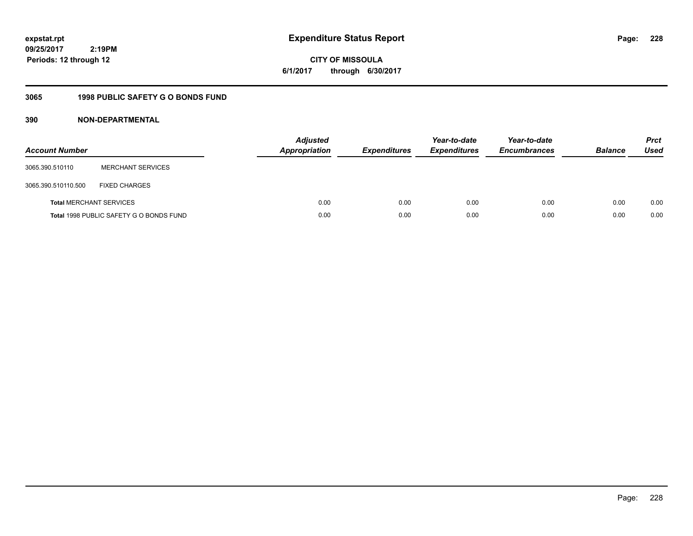**CITY OF MISSOULA 6/1/2017 through 6/30/2017**

# **3065 1998 PUBLIC SAFETY G O BONDS FUND**

| <b>Account Number</b>          |                                         | <b>Adjusted</b><br>Appropriation | <b>Expenditures</b> | Year-to-date<br><b>Expenditures</b> | Year-to-date<br><b>Encumbrances</b> | <b>Balance</b> | <b>Prct</b><br>Used |
|--------------------------------|-----------------------------------------|----------------------------------|---------------------|-------------------------------------|-------------------------------------|----------------|---------------------|
| 3065.390.510110                | <b>MERCHANT SERVICES</b>                |                                  |                     |                                     |                                     |                |                     |
| 3065.390.510110.500            | <b>FIXED CHARGES</b>                    |                                  |                     |                                     |                                     |                |                     |
| <b>Total MERCHANT SERVICES</b> |                                         | 0.00                             | 0.00                | 0.00                                | 0.00                                | 0.00           | 0.00                |
|                                | Total 1998 PUBLIC SAFETY G O BONDS FUND | 0.00                             | 0.00                | 0.00                                | 0.00                                | 0.00           | 0.00                |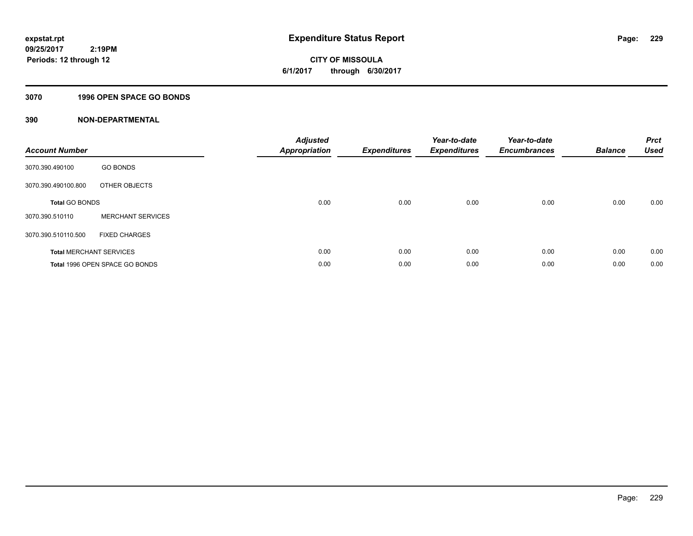**CITY OF MISSOULA 6/1/2017 through 6/30/2017**

#### **3070 1996 OPEN SPACE GO BONDS**

| <b>Account Number</b>          |                                | <b>Adjusted</b><br><b>Appropriation</b> | <b>Expenditures</b> | Year-to-date<br><b>Expenditures</b> | Year-to-date<br><b>Encumbrances</b> | <b>Balance</b> | <b>Prct</b><br><b>Used</b> |
|--------------------------------|--------------------------------|-----------------------------------------|---------------------|-------------------------------------|-------------------------------------|----------------|----------------------------|
| 3070.390.490100                | <b>GO BONDS</b>                |                                         |                     |                                     |                                     |                |                            |
| 3070.390.490100.800            | OTHER OBJECTS                  |                                         |                     |                                     |                                     |                |                            |
| <b>Total GO BONDS</b>          |                                | 0.00                                    | 0.00                | 0.00                                | 0.00                                | 0.00           | 0.00                       |
| 3070.390.510110                | <b>MERCHANT SERVICES</b>       |                                         |                     |                                     |                                     |                |                            |
| 3070.390.510110.500            | <b>FIXED CHARGES</b>           |                                         |                     |                                     |                                     |                |                            |
| <b>Total MERCHANT SERVICES</b> |                                | 0.00                                    | 0.00                | 0.00                                | 0.00                                | 0.00           | 0.00                       |
|                                | Total 1996 OPEN SPACE GO BONDS | 0.00                                    | 0.00                | 0.00                                | 0.00                                | 0.00           | 0.00                       |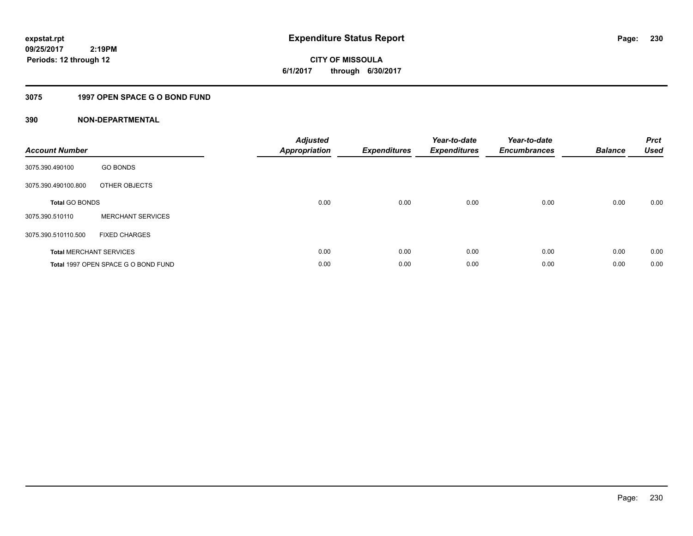**CITY OF MISSOULA 6/1/2017 through 6/30/2017**

# **3075 1997 OPEN SPACE G O BOND FUND**

| <b>Account Number</b> |                                     | <b>Adjusted</b><br>Appropriation | <b>Expenditures</b> | Year-to-date<br><b>Expenditures</b> | Year-to-date<br><b>Encumbrances</b> | <b>Balance</b> | <b>Prct</b><br><b>Used</b> |
|-----------------------|-------------------------------------|----------------------------------|---------------------|-------------------------------------|-------------------------------------|----------------|----------------------------|
| 3075.390.490100       | <b>GO BONDS</b>                     |                                  |                     |                                     |                                     |                |                            |
| 3075.390.490100.800   | OTHER OBJECTS                       |                                  |                     |                                     |                                     |                |                            |
| <b>Total GO BONDS</b> |                                     | 0.00                             | 0.00                | 0.00                                | 0.00                                | 0.00           | 0.00                       |
| 3075.390.510110       | <b>MERCHANT SERVICES</b>            |                                  |                     |                                     |                                     |                |                            |
| 3075.390.510110.500   | <b>FIXED CHARGES</b>                |                                  |                     |                                     |                                     |                |                            |
|                       | <b>Total MERCHANT SERVICES</b>      | 0.00                             | 0.00                | 0.00                                | 0.00                                | 0.00           | 0.00                       |
|                       | Total 1997 OPEN SPACE G O BOND FUND | 0.00                             | 0.00                | 0.00                                | 0.00                                | 0.00           | 0.00                       |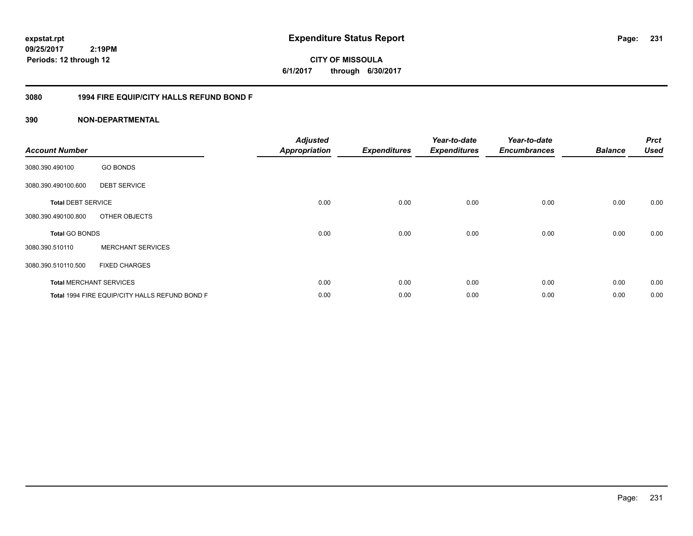**CITY OF MISSOULA 6/1/2017 through 6/30/2017**

# **3080 1994 FIRE EQUIP/CITY HALLS REFUND BOND F**

| <b>Account Number</b>     |                                                | <b>Adjusted</b><br><b>Appropriation</b> | <b>Expenditures</b> | Year-to-date<br><b>Expenditures</b> | Year-to-date<br><b>Encumbrances</b> | <b>Balance</b> | <b>Prct</b><br><b>Used</b> |
|---------------------------|------------------------------------------------|-----------------------------------------|---------------------|-------------------------------------|-------------------------------------|----------------|----------------------------|
| 3080.390.490100           | <b>GO BONDS</b>                                |                                         |                     |                                     |                                     |                |                            |
| 3080.390.490100.600       | <b>DEBT SERVICE</b>                            |                                         |                     |                                     |                                     |                |                            |
| <b>Total DEBT SERVICE</b> |                                                | 0.00                                    | 0.00                | 0.00                                | 0.00                                | 0.00           | 0.00                       |
| 3080.390.490100.800       | OTHER OBJECTS                                  |                                         |                     |                                     |                                     |                |                            |
| <b>Total GO BONDS</b>     |                                                | 0.00                                    | 0.00                | 0.00                                | 0.00                                | 0.00           | 0.00                       |
| 3080.390.510110           | <b>MERCHANT SERVICES</b>                       |                                         |                     |                                     |                                     |                |                            |
| 3080.390.510110.500       | <b>FIXED CHARGES</b>                           |                                         |                     |                                     |                                     |                |                            |
|                           | <b>Total MERCHANT SERVICES</b>                 | 0.00                                    | 0.00                | 0.00                                | 0.00                                | 0.00           | 0.00                       |
|                           | Total 1994 FIRE EQUIP/CITY HALLS REFUND BOND F | 0.00                                    | 0.00                | 0.00                                | 0.00                                | 0.00           | 0.00                       |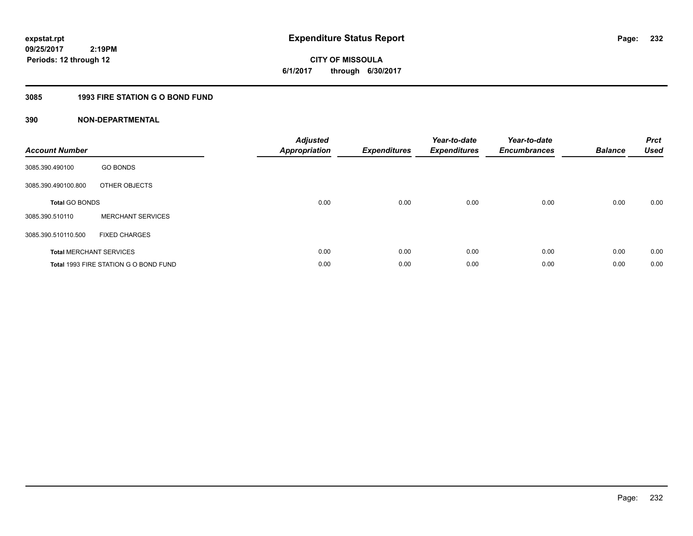**232**

**09/25/2017 2:19PM Periods: 12 through 12**

# **CITY OF MISSOULA 6/1/2017 through 6/30/2017**

# **3085 1993 FIRE STATION G O BOND FUND**

| <b>Account Number</b>          |                                       | <b>Adjusted</b><br><b>Appropriation</b> | <b>Expenditures</b> | Year-to-date<br><b>Expenditures</b> | Year-to-date<br><b>Encumbrances</b> | <b>Balance</b> | <b>Prct</b><br><b>Used</b> |
|--------------------------------|---------------------------------------|-----------------------------------------|---------------------|-------------------------------------|-------------------------------------|----------------|----------------------------|
| 3085.390.490100                | <b>GO BONDS</b>                       |                                         |                     |                                     |                                     |                |                            |
| 3085.390.490100.800            | OTHER OBJECTS                         |                                         |                     |                                     |                                     |                |                            |
| <b>Total GO BONDS</b>          |                                       | 0.00                                    | 0.00                | 0.00                                | 0.00                                | 0.00           | 0.00                       |
| 3085.390.510110                | <b>MERCHANT SERVICES</b>              |                                         |                     |                                     |                                     |                |                            |
| 3085.390.510110.500            | <b>FIXED CHARGES</b>                  |                                         |                     |                                     |                                     |                |                            |
| <b>Total MERCHANT SERVICES</b> |                                       | 0.00                                    | 0.00                | 0.00                                | 0.00                                | 0.00           | 0.00                       |
|                                | Total 1993 FIRE STATION G O BOND FUND | 0.00                                    | 0.00                | 0.00                                | 0.00                                | 0.00           | 0.00                       |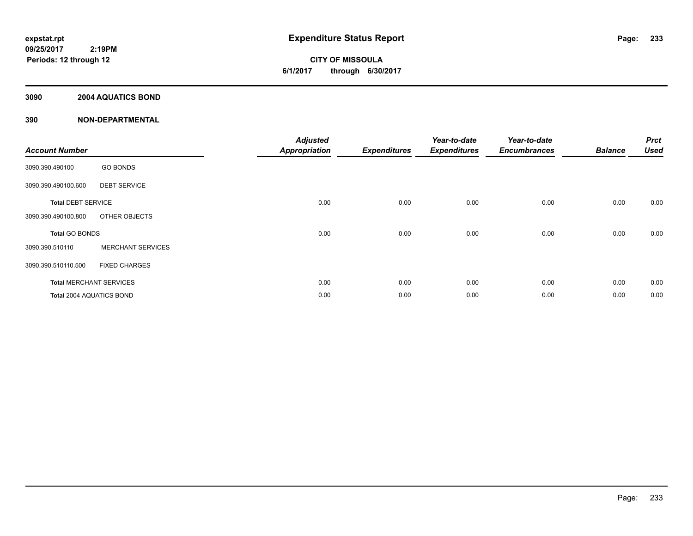**CITY OF MISSOULA 6/1/2017 through 6/30/2017**

# **3090 2004 AQUATICS BOND**

| <b>Account Number</b>     |                                | <b>Adjusted</b><br><b>Appropriation</b> | <b>Expenditures</b> | Year-to-date<br><b>Expenditures</b> | Year-to-date<br><b>Encumbrances</b> | <b>Balance</b> | <b>Prct</b><br><b>Used</b> |
|---------------------------|--------------------------------|-----------------------------------------|---------------------|-------------------------------------|-------------------------------------|----------------|----------------------------|
| 3090.390.490100           | <b>GO BONDS</b>                |                                         |                     |                                     |                                     |                |                            |
| 3090.390.490100.600       | <b>DEBT SERVICE</b>            |                                         |                     |                                     |                                     |                |                            |
| <b>Total DEBT SERVICE</b> |                                | 0.00                                    | 0.00                | 0.00                                | 0.00                                | 0.00           | 0.00                       |
| 3090.390.490100.800       | OTHER OBJECTS                  |                                         |                     |                                     |                                     |                |                            |
| <b>Total GO BONDS</b>     |                                | 0.00                                    | 0.00                | 0.00                                | 0.00                                | 0.00           | 0.00                       |
| 3090.390.510110           | <b>MERCHANT SERVICES</b>       |                                         |                     |                                     |                                     |                |                            |
| 3090.390.510110.500       | <b>FIXED CHARGES</b>           |                                         |                     |                                     |                                     |                |                            |
|                           | <b>Total MERCHANT SERVICES</b> | 0.00                                    | 0.00                | 0.00                                | 0.00                                | 0.00           | 0.00                       |
| Total 2004 AQUATICS BOND  |                                | 0.00                                    | 0.00                | 0.00                                | 0.00                                | 0.00           | 0.00                       |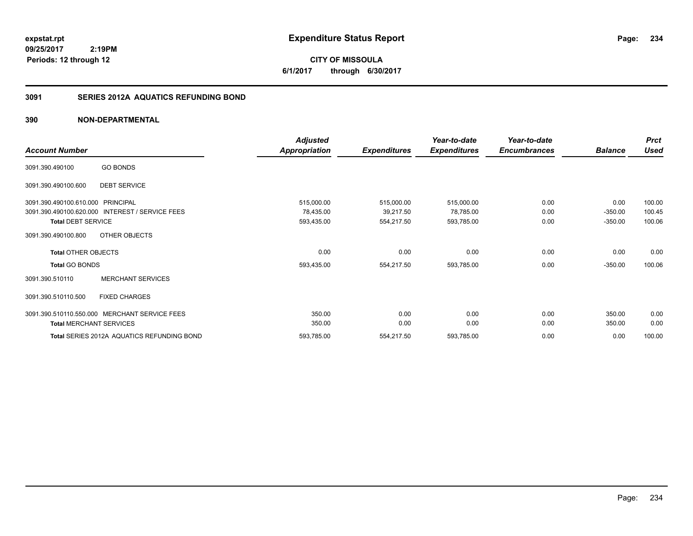**CITY OF MISSOULA 6/1/2017 through 6/30/2017**

# **3091 SERIES 2012A AQUATICS REFUNDING BOND**

|                                                           | <b>Adjusted</b> |                     | Year-to-date        | Year-to-date        |                | <b>Prct</b> |
|-----------------------------------------------------------|-----------------|---------------------|---------------------|---------------------|----------------|-------------|
| <b>Account Number</b>                                     | Appropriation   | <b>Expenditures</b> | <b>Expenditures</b> | <b>Encumbrances</b> | <b>Balance</b> | <b>Used</b> |
| <b>GO BONDS</b><br>3091.390.490100                        |                 |                     |                     |                     |                |             |
| <b>DEBT SERVICE</b><br>3091.390.490100.600                |                 |                     |                     |                     |                |             |
| <b>PRINCIPAL</b><br>3091.390.490100.610.000               | 515,000.00      | 515,000.00          | 515,000.00          | 0.00                | 0.00           | 100.00      |
| 3091.390.490100.620.000<br><b>INTEREST / SERVICE FEES</b> | 78,435.00       | 39,217.50           | 78,785.00           | 0.00                | $-350.00$      | 100.45      |
| <b>Total DEBT SERVICE</b>                                 | 593,435.00      | 554,217.50          | 593,785.00          | 0.00                | $-350.00$      | 100.06      |
| OTHER OBJECTS<br>3091.390.490100.800                      |                 |                     |                     |                     |                |             |
| <b>Total OTHER OBJECTS</b>                                | 0.00            | 0.00                | 0.00                | 0.00                | 0.00           | 0.00        |
| <b>Total GO BONDS</b>                                     | 593,435.00      | 554,217.50          | 593,785.00          | 0.00                | $-350.00$      | 100.06      |
| <b>MERCHANT SERVICES</b><br>3091.390.510110               |                 |                     |                     |                     |                |             |
| <b>FIXED CHARGES</b><br>3091.390.510110.500               |                 |                     |                     |                     |                |             |
| 3091.390.510110.550.000 MERCHANT SERVICE FEES             | 350.00          | 0.00                | 0.00                | 0.00                | 350.00         | 0.00        |
| <b>Total MERCHANT SERVICES</b>                            | 350.00          | 0.00                | 0.00                | 0.00                | 350.00         | 0.00        |
| Total SERIES 2012A AQUATICS REFUNDING BOND                | 593,785.00      | 554,217.50          | 593,785.00          | 0.00                | 0.00           | 100.00      |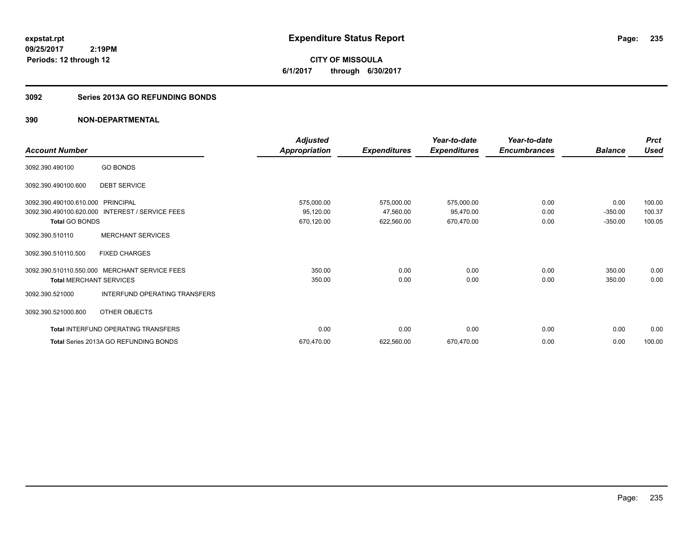**CITY OF MISSOULA 6/1/2017 through 6/30/2017**

# **3092 Series 2013A GO REFUNDING BONDS**

| <b>Account Number</b>             |                                                 | <b>Adjusted</b><br><b>Appropriation</b> | <b>Expenditures</b> | Year-to-date<br><b>Expenditures</b> | Year-to-date<br><b>Encumbrances</b> | <b>Balance</b> | <b>Prct</b><br><b>Used</b> |
|-----------------------------------|-------------------------------------------------|-----------------------------------------|---------------------|-------------------------------------|-------------------------------------|----------------|----------------------------|
|                                   |                                                 |                                         |                     |                                     |                                     |                |                            |
| 3092.390.490100                   | <b>GO BONDS</b>                                 |                                         |                     |                                     |                                     |                |                            |
| 3092.390.490100.600               | <b>DEBT SERVICE</b>                             |                                         |                     |                                     |                                     |                |                            |
| 3092.390.490100.610.000 PRINCIPAL |                                                 | 575,000.00                              | 575,000.00          | 575,000.00                          | 0.00                                | 0.00           | 100.00                     |
|                                   | 3092.390.490100.620.000 INTEREST / SERVICE FEES | 95,120.00                               | 47,560.00           | 95,470.00                           | 0.00                                | $-350.00$      | 100.37                     |
| <b>Total GO BONDS</b>             |                                                 | 670,120.00                              | 622,560.00          | 670,470.00                          | 0.00                                | $-350.00$      | 100.05                     |
| 3092.390.510110                   | <b>MERCHANT SERVICES</b>                        |                                         |                     |                                     |                                     |                |                            |
| 3092.390.510110.500               | <b>FIXED CHARGES</b>                            |                                         |                     |                                     |                                     |                |                            |
| 3092.390.510110.550.000           | <b>MERCHANT SERVICE FEES</b>                    | 350.00                                  | 0.00                | 0.00                                | 0.00                                | 350.00         | 0.00                       |
| <b>Total MERCHANT SERVICES</b>    |                                                 | 350.00                                  | 0.00                | 0.00                                | 0.00                                | 350.00         | 0.00                       |
| 3092.390.521000                   | <b>INTERFUND OPERATING TRANSFERS</b>            |                                         |                     |                                     |                                     |                |                            |
| 3092.390.521000.800               | OTHER OBJECTS                                   |                                         |                     |                                     |                                     |                |                            |
|                                   | Total INTERFUND OPERATING TRANSFERS             | 0.00                                    | 0.00                | 0.00                                | 0.00                                | 0.00           | 0.00                       |
|                                   | <b>Total Series 2013A GO REFUNDING BONDS</b>    | 670,470.00                              | 622,560.00          | 670,470.00                          | 0.00                                | 0.00           | 100.00                     |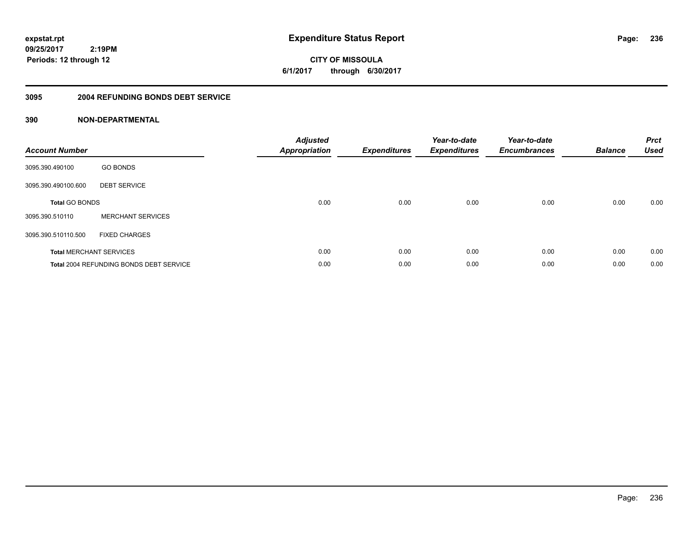**CITY OF MISSOULA 6/1/2017 through 6/30/2017**

## **3095 2004 REFUNDING BONDS DEBT SERVICE**

| <b>Account Number</b>          |                                                | <b>Adjusted</b><br>Appropriation | <b>Expenditures</b> | Year-to-date<br><b>Expenditures</b> | Year-to-date<br><b>Encumbrances</b> | <b>Balance</b> | <b>Prct</b><br><b>Used</b> |
|--------------------------------|------------------------------------------------|----------------------------------|---------------------|-------------------------------------|-------------------------------------|----------------|----------------------------|
| 3095.390.490100                | <b>GO BONDS</b>                                |                                  |                     |                                     |                                     |                |                            |
| 3095.390.490100.600            | <b>DEBT SERVICE</b>                            |                                  |                     |                                     |                                     |                |                            |
| <b>Total GO BONDS</b>          |                                                | 0.00                             | 0.00                | 0.00                                | 0.00                                | 0.00           | 0.00                       |
| 3095.390.510110                | <b>MERCHANT SERVICES</b>                       |                                  |                     |                                     |                                     |                |                            |
| 3095.390.510110.500            | <b>FIXED CHARGES</b>                           |                                  |                     |                                     |                                     |                |                            |
| <b>Total MERCHANT SERVICES</b> |                                                | 0.00                             | 0.00                | 0.00                                | 0.00                                | 0.00           | 0.00                       |
|                                | <b>Total 2004 REFUNDING BONDS DEBT SERVICE</b> | 0.00                             | 0.00                | 0.00                                | 0.00                                | 0.00           | 0.00                       |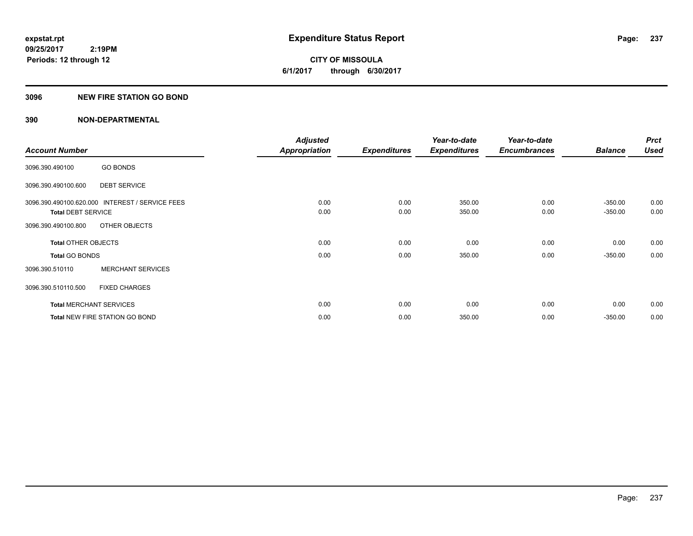**CITY OF MISSOULA 6/1/2017 through 6/30/2017**

#### **3096 NEW FIRE STATION GO BOND**

|                                |                                                 | <b>Adjusted</b>      |                     | Year-to-date        | Year-to-date        |                | <b>Prct</b> |
|--------------------------------|-------------------------------------------------|----------------------|---------------------|---------------------|---------------------|----------------|-------------|
| <b>Account Number</b>          |                                                 | <b>Appropriation</b> | <b>Expenditures</b> | <b>Expenditures</b> | <b>Encumbrances</b> | <b>Balance</b> | <b>Used</b> |
| 3096.390.490100                | <b>GO BONDS</b>                                 |                      |                     |                     |                     |                |             |
| 3096.390.490100.600            | <b>DEBT SERVICE</b>                             |                      |                     |                     |                     |                |             |
|                                | 3096.390.490100.620.000 INTEREST / SERVICE FEES | 0.00                 | 0.00                | 350.00              | 0.00                | $-350.00$      | 0.00        |
| <b>Total DEBT SERVICE</b>      |                                                 | 0.00                 | 0.00                | 350.00              | 0.00                | $-350.00$      | 0.00        |
| 3096.390.490100.800            | OTHER OBJECTS                                   |                      |                     |                     |                     |                |             |
| <b>Total OTHER OBJECTS</b>     |                                                 | 0.00                 | 0.00                | 0.00                | 0.00                | 0.00           | 0.00        |
| <b>Total GO BONDS</b>          |                                                 | 0.00                 | 0.00                | 350.00              | 0.00                | $-350.00$      | 0.00        |
| 3096.390.510110                | <b>MERCHANT SERVICES</b>                        |                      |                     |                     |                     |                |             |
| 3096.390.510110.500            | <b>FIXED CHARGES</b>                            |                      |                     |                     |                     |                |             |
| <b>Total MERCHANT SERVICES</b> |                                                 | 0.00                 | 0.00                | 0.00                | 0.00                | 0.00           | 0.00        |
|                                | <b>Total NEW FIRE STATION GO BOND</b>           | 0.00                 | 0.00                | 350.00              | 0.00                | $-350.00$      | 0.00        |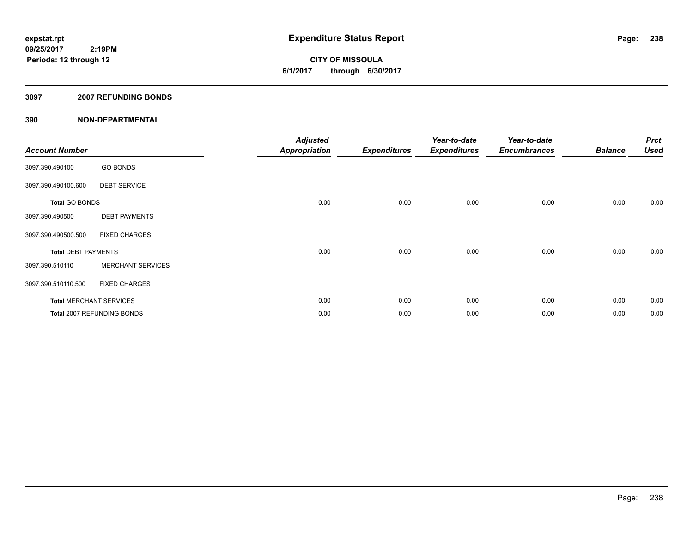**CITY OF MISSOULA 6/1/2017 through 6/30/2017**

#### **3097 2007 REFUNDING BONDS**

| <b>Account Number</b>      |                                | <b>Adjusted</b><br>Appropriation | <b>Expenditures</b> | Year-to-date<br><b>Expenditures</b> | Year-to-date<br><b>Encumbrances</b> | <b>Balance</b> | <b>Prct</b><br><b>Used</b> |
|----------------------------|--------------------------------|----------------------------------|---------------------|-------------------------------------|-------------------------------------|----------------|----------------------------|
| 3097.390.490100            | <b>GO BONDS</b>                |                                  |                     |                                     |                                     |                |                            |
| 3097.390.490100.600        | <b>DEBT SERVICE</b>            |                                  |                     |                                     |                                     |                |                            |
| <b>Total GO BONDS</b>      |                                | 0.00                             | 0.00                | 0.00                                | 0.00                                | 0.00           | 0.00                       |
| 3097.390.490500            | <b>DEBT PAYMENTS</b>           |                                  |                     |                                     |                                     |                |                            |
| 3097.390.490500.500        | <b>FIXED CHARGES</b>           |                                  |                     |                                     |                                     |                |                            |
| <b>Total DEBT PAYMENTS</b> |                                | 0.00                             | 0.00                | 0.00                                | 0.00                                | 0.00           | 0.00                       |
| 3097.390.510110            | <b>MERCHANT SERVICES</b>       |                                  |                     |                                     |                                     |                |                            |
| 3097.390.510110.500        | <b>FIXED CHARGES</b>           |                                  |                     |                                     |                                     |                |                            |
|                            | <b>Total MERCHANT SERVICES</b> | 0.00                             | 0.00                | 0.00                                | 0.00                                | 0.00           | 0.00                       |
|                            | Total 2007 REFUNDING BONDS     | 0.00                             | 0.00                | 0.00                                | 0.00                                | 0.00           | 0.00                       |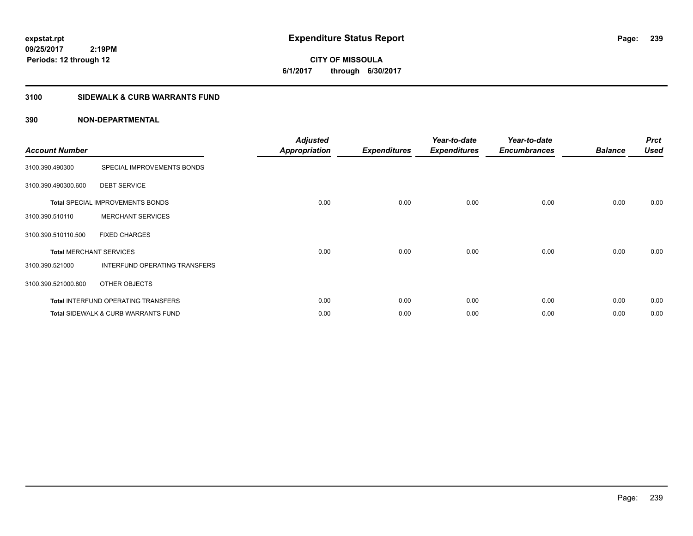**CITY OF MISSOULA 6/1/2017 through 6/30/2017**

# **3100 SIDEWALK & CURB WARRANTS FUND**

| <b>Account Number</b>          |                                                | <b>Adjusted</b><br><b>Appropriation</b> | <b>Expenditures</b> | Year-to-date<br><b>Expenditures</b> | Year-to-date<br><b>Encumbrances</b> | <b>Balance</b> | <b>Prct</b><br><b>Used</b> |
|--------------------------------|------------------------------------------------|-----------------------------------------|---------------------|-------------------------------------|-------------------------------------|----------------|----------------------------|
| 3100.390.490300                | SPECIAL IMPROVEMENTS BONDS                     |                                         |                     |                                     |                                     |                |                            |
| 3100.390.490300.600            | <b>DEBT SERVICE</b>                            |                                         |                     |                                     |                                     |                |                            |
|                                | <b>Total SPECIAL IMPROVEMENTS BONDS</b>        | 0.00                                    | 0.00                | 0.00                                | 0.00                                | 0.00           | 0.00                       |
| 3100.390.510110                | <b>MERCHANT SERVICES</b>                       |                                         |                     |                                     |                                     |                |                            |
| 3100.390.510110.500            | <b>FIXED CHARGES</b>                           |                                         |                     |                                     |                                     |                |                            |
| <b>Total MERCHANT SERVICES</b> |                                                | 0.00                                    | 0.00                | 0.00                                | 0.00                                | 0.00           | 0.00                       |
| 3100.390.521000                | INTERFUND OPERATING TRANSFERS                  |                                         |                     |                                     |                                     |                |                            |
| 3100.390.521000.800            | OTHER OBJECTS                                  |                                         |                     |                                     |                                     |                |                            |
|                                | <b>Total INTERFUND OPERATING TRANSFERS</b>     | 0.00                                    | 0.00                | 0.00                                | 0.00                                | 0.00           | 0.00                       |
|                                | <b>Total SIDEWALK &amp; CURB WARRANTS FUND</b> | 0.00                                    | 0.00                | 0.00                                | 0.00                                | 0.00           | 0.00                       |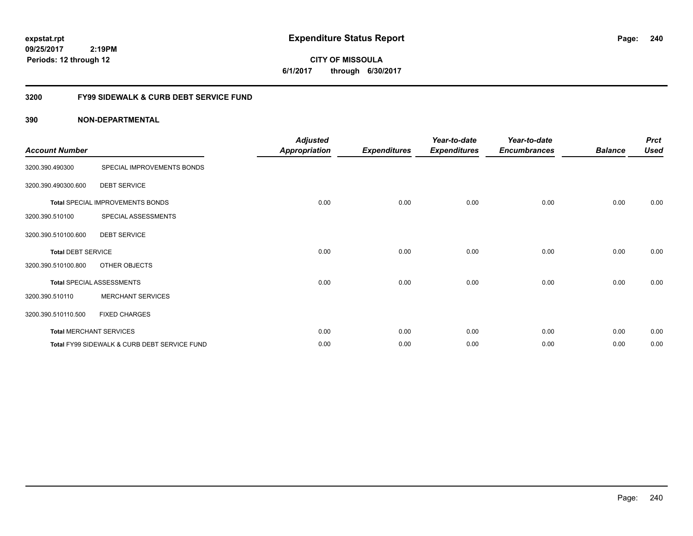**CITY OF MISSOULA 6/1/2017 through 6/30/2017**

# **3200 FY99 SIDEWALK & CURB DEBT SERVICE FUND**

| <b>Account Number</b>     |                                              | <b>Adjusted</b><br><b>Appropriation</b> | <b>Expenditures</b> | Year-to-date<br><b>Expenditures</b> | Year-to-date<br><b>Encumbrances</b> | <b>Balance</b> | <b>Prct</b><br><b>Used</b> |
|---------------------------|----------------------------------------------|-----------------------------------------|---------------------|-------------------------------------|-------------------------------------|----------------|----------------------------|
| 3200.390.490300           | SPECIAL IMPROVEMENTS BONDS                   |                                         |                     |                                     |                                     |                |                            |
| 3200.390.490300.600       | <b>DEBT SERVICE</b>                          |                                         |                     |                                     |                                     |                |                            |
|                           | <b>Total SPECIAL IMPROVEMENTS BONDS</b>      | 0.00                                    | 0.00                | 0.00                                | 0.00                                | 0.00           | 0.00                       |
| 3200.390.510100           | SPECIAL ASSESSMENTS                          |                                         |                     |                                     |                                     |                |                            |
| 3200.390.510100.600       | <b>DEBT SERVICE</b>                          |                                         |                     |                                     |                                     |                |                            |
| <b>Total DEBT SERVICE</b> |                                              | 0.00                                    | 0.00                | 0.00                                | 0.00                                | 0.00           | 0.00                       |
| 3200.390.510100.800       | OTHER OBJECTS                                |                                         |                     |                                     |                                     |                |                            |
|                           | <b>Total SPECIAL ASSESSMENTS</b>             | 0.00                                    | 0.00                | 0.00                                | 0.00                                | 0.00           | 0.00                       |
| 3200.390.510110           | <b>MERCHANT SERVICES</b>                     |                                         |                     |                                     |                                     |                |                            |
| 3200.390.510110.500       | <b>FIXED CHARGES</b>                         |                                         |                     |                                     |                                     |                |                            |
|                           | <b>Total MERCHANT SERVICES</b>               | 0.00                                    | 0.00                | 0.00                                | 0.00                                | 0.00           | 0.00                       |
|                           | Total FY99 SIDEWALK & CURB DEBT SERVICE FUND | 0.00                                    | 0.00                | 0.00                                | 0.00                                | 0.00           | 0.00                       |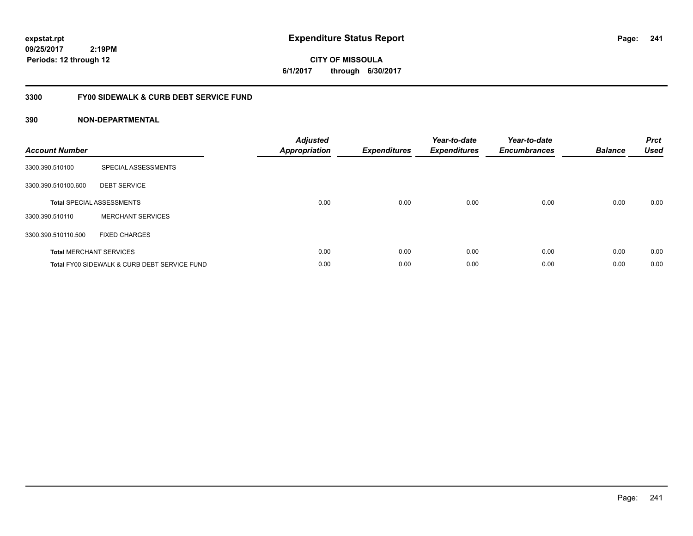# **CITY OF MISSOULA 6/1/2017 through 6/30/2017**

# **3300 FY00 SIDEWALK & CURB DEBT SERVICE FUND**

| <b>Account Number</b> |                                              | <b>Adjusted</b><br>Appropriation | <b>Expenditures</b> | Year-to-date<br><b>Expenditures</b> | Year-to-date<br><b>Encumbrances</b> | <b>Balance</b> | <b>Prct</b><br><b>Used</b> |
|-----------------------|----------------------------------------------|----------------------------------|---------------------|-------------------------------------|-------------------------------------|----------------|----------------------------|
| 3300.390.510100       | SPECIAL ASSESSMENTS                          |                                  |                     |                                     |                                     |                |                            |
| 3300.390.510100.600   | <b>DEBT SERVICE</b>                          |                                  |                     |                                     |                                     |                |                            |
|                       | <b>Total SPECIAL ASSESSMENTS</b>             | 0.00                             | 0.00                | 0.00                                | 0.00                                | 0.00           | 0.00                       |
| 3300.390.510110       | <b>MERCHANT SERVICES</b>                     |                                  |                     |                                     |                                     |                |                            |
| 3300.390.510110.500   | <b>FIXED CHARGES</b>                         |                                  |                     |                                     |                                     |                |                            |
|                       | <b>Total MERCHANT SERVICES</b>               | 0.00                             | 0.00                | 0.00                                | 0.00                                | 0.00           | 0.00                       |
|                       | Total FY00 SIDEWALK & CURB DEBT SERVICE FUND | 0.00                             | 0.00                | 0.00                                | 0.00                                | 0.00           | 0.00                       |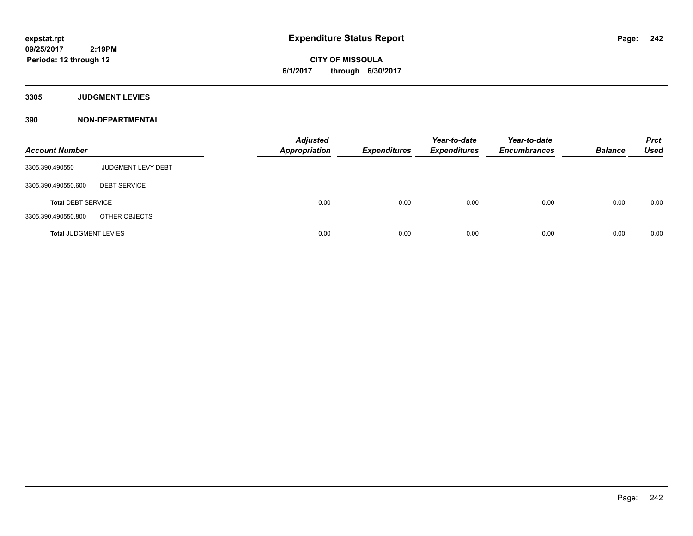**CITY OF MISSOULA 6/1/2017 through 6/30/2017**

**3305 JUDGMENT LEVIES**

| <b>Account Number</b>        |                     | <b>Adjusted</b><br>Appropriation | <b>Expenditures</b> | Year-to-date<br><b>Expenditures</b> | Year-to-date<br><b>Encumbrances</b> | <b>Balance</b> | <b>Prct</b><br><b>Used</b> |
|------------------------------|---------------------|----------------------------------|---------------------|-------------------------------------|-------------------------------------|----------------|----------------------------|
| 3305.390.490550              | JUDGMENT LEVY DEBT  |                                  |                     |                                     |                                     |                |                            |
| 3305.390.490550.600          | <b>DEBT SERVICE</b> |                                  |                     |                                     |                                     |                |                            |
| <b>Total DEBT SERVICE</b>    |                     | 0.00                             | 0.00                | 0.00                                | 0.00                                | 0.00           | 0.00                       |
| 3305.390.490550.800          | OTHER OBJECTS       |                                  |                     |                                     |                                     |                |                            |
| <b>Total JUDGMENT LEVIES</b> |                     | 0.00                             | 0.00                | 0.00                                | 0.00                                | 0.00           | 0.00                       |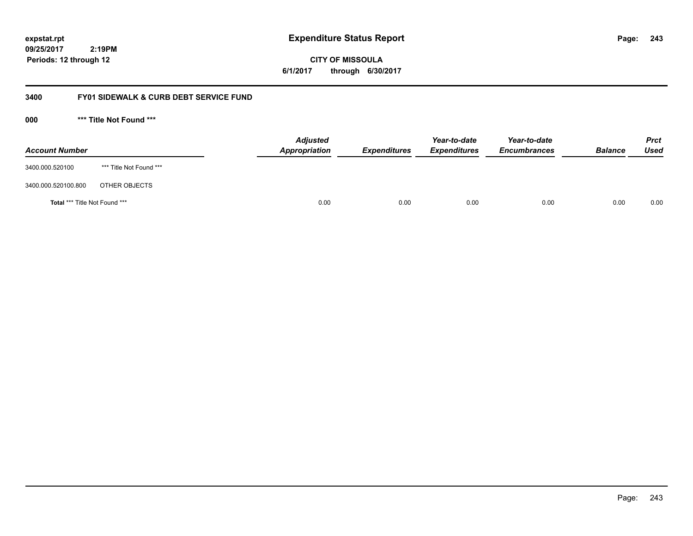**243**

**09/25/2017 2:19PM Periods: 12 through 12**

**CITY OF MISSOULA 6/1/2017 through 6/30/2017**

# **3400 FY01 SIDEWALK & CURB DEBT SERVICE FUND**

**000 \*\*\* Title Not Found \*\*\***

| <b>Account Number</b>         |                         | <b>Adjusted</b><br>Appropriation | <b>Expenditures</b> | Year-to-date<br><b>Expenditures</b> | Year-to-date<br><b>Encumbrances</b> | <b>Balance</b> | <b>Prct</b><br>Used |
|-------------------------------|-------------------------|----------------------------------|---------------------|-------------------------------------|-------------------------------------|----------------|---------------------|
| 3400.000.520100               | *** Title Not Found *** |                                  |                     |                                     |                                     |                |                     |
| 3400.000.520100.800           | OTHER OBJECTS           |                                  |                     |                                     |                                     |                |                     |
| Total *** Title Not Found *** |                         | 0.00                             | 0.00                | 0.00                                | 0.00                                | 0.00           | 0.00                |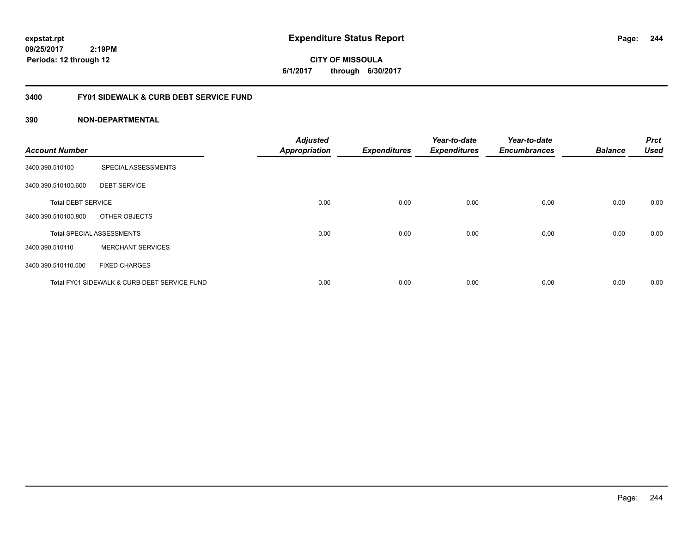**CITY OF MISSOULA 6/1/2017 through 6/30/2017**

# **3400 FY01 SIDEWALK & CURB DEBT SERVICE FUND**

| <b>Account Number</b>     |                                              | <b>Adjusted</b><br><b>Appropriation</b> | <b>Expenditures</b> | Year-to-date<br><b>Expenditures</b> | Year-to-date<br><b>Encumbrances</b> | <b>Balance</b> | <b>Prct</b><br><b>Used</b> |
|---------------------------|----------------------------------------------|-----------------------------------------|---------------------|-------------------------------------|-------------------------------------|----------------|----------------------------|
| 3400.390.510100           | SPECIAL ASSESSMENTS                          |                                         |                     |                                     |                                     |                |                            |
| 3400.390.510100.600       | <b>DEBT SERVICE</b>                          |                                         |                     |                                     |                                     |                |                            |
| <b>Total DEBT SERVICE</b> |                                              | 0.00                                    | 0.00                | 0.00                                | 0.00                                | 0.00           | 0.00                       |
| 3400.390.510100.800       | OTHER OBJECTS                                |                                         |                     |                                     |                                     |                |                            |
|                           | <b>Total SPECIAL ASSESSMENTS</b>             | 0.00                                    | 0.00                | 0.00                                | 0.00                                | 0.00           | 0.00                       |
| 3400.390.510110           | <b>MERCHANT SERVICES</b>                     |                                         |                     |                                     |                                     |                |                            |
| 3400.390.510110.500       | <b>FIXED CHARGES</b>                         |                                         |                     |                                     |                                     |                |                            |
|                           | Total FY01 SIDEWALK & CURB DEBT SERVICE FUND | 0.00                                    | 0.00                | 0.00                                | 0.00                                | 0.00           | 0.00                       |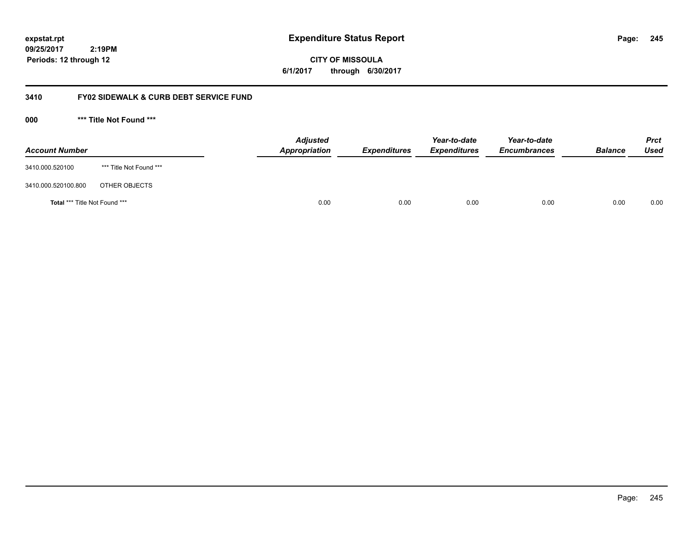**09/25/2017**

 **2:19PM Periods: 12 through 12**

**CITY OF MISSOULA 6/1/2017 through 6/30/2017**

# **3410 FY02 SIDEWALK & CURB DEBT SERVICE FUND**

**000 \*\*\* Title Not Found \*\*\***

| <b>Account Number</b>         |                         | <b>Adjusted</b><br>Appropriation | <b>Expenditures</b> | Year-to-date<br><b>Expenditures</b> | Year-to-date<br><b>Encumbrances</b> | <b>Balance</b> | <b>Prct</b><br><b>Used</b> |
|-------------------------------|-------------------------|----------------------------------|---------------------|-------------------------------------|-------------------------------------|----------------|----------------------------|
| 3410.000.520100               | *** Title Not Found *** |                                  |                     |                                     |                                     |                |                            |
| 3410.000.520100.800           | OTHER OBJECTS           |                                  |                     |                                     |                                     |                |                            |
| Total *** Title Not Found *** |                         | 0.00                             | 0.00                | 0.00                                | 0.00                                | 0.00           | 0.00                       |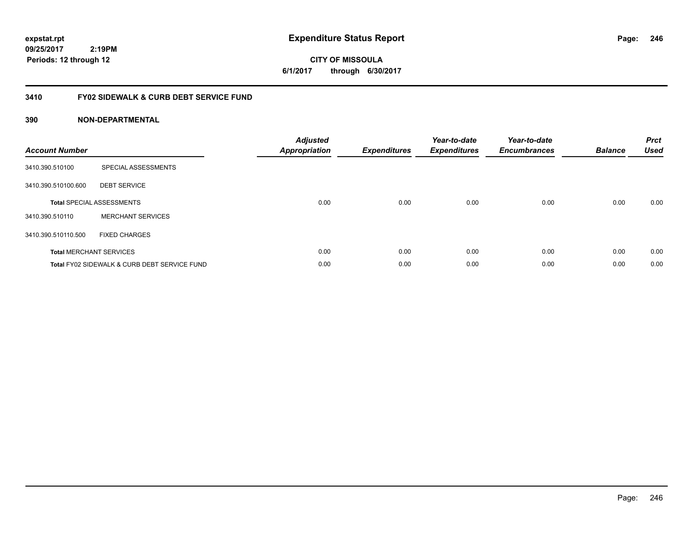**CITY OF MISSOULA 6/1/2017 through 6/30/2017**

# **3410 FY02 SIDEWALK & CURB DEBT SERVICE FUND**

| <b>Account Number</b> |                                              | <b>Adjusted</b><br>Appropriation | <b>Expenditures</b> | Year-to-date<br><b>Expenditures</b> | Year-to-date<br><b>Encumbrances</b> | <b>Balance</b> | <b>Prct</b><br><b>Used</b> |
|-----------------------|----------------------------------------------|----------------------------------|---------------------|-------------------------------------|-------------------------------------|----------------|----------------------------|
| 3410.390.510100       | SPECIAL ASSESSMENTS                          |                                  |                     |                                     |                                     |                |                            |
| 3410.390.510100.600   | <b>DEBT SERVICE</b>                          |                                  |                     |                                     |                                     |                |                            |
|                       | <b>Total SPECIAL ASSESSMENTS</b>             | 0.00                             | 0.00                | 0.00                                | 0.00                                | 0.00           | 0.00                       |
| 3410.390.510110       | <b>MERCHANT SERVICES</b>                     |                                  |                     |                                     |                                     |                |                            |
| 3410.390.510110.500   | <b>FIXED CHARGES</b>                         |                                  |                     |                                     |                                     |                |                            |
|                       | <b>Total MERCHANT SERVICES</b>               | 0.00                             | 0.00                | 0.00                                | 0.00                                | 0.00           | 0.00                       |
|                       | Total FY02 SIDEWALK & CURB DEBT SERVICE FUND | 0.00                             | 0.00                | 0.00                                | 0.00                                | 0.00           | 0.00                       |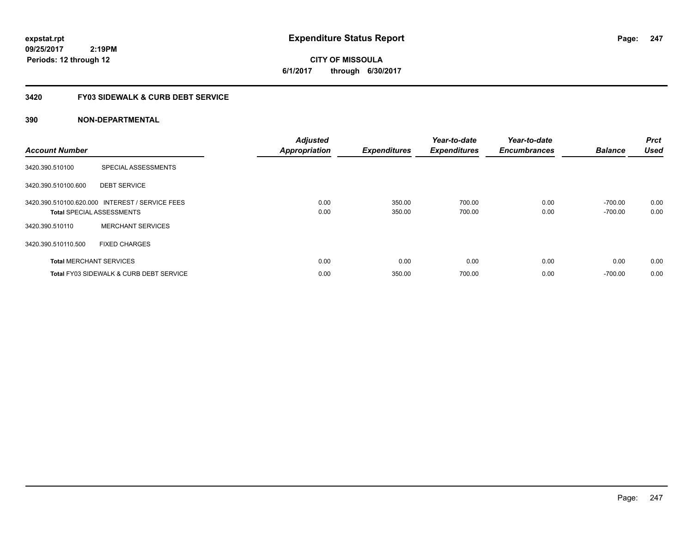**247**

**CITY OF MISSOULA 6/1/2017 through 6/30/2017**

# **3420 FY03 SIDEWALK & CURB DEBT SERVICE**

| <b>Account Number</b> |                                                                                     | <b>Adjusted</b><br><b>Appropriation</b> | <b>Expenditures</b> | Year-to-date<br><b>Expenditures</b> | Year-to-date<br><b>Encumbrances</b> | <b>Balance</b>         | <b>Prct</b><br><b>Used</b> |
|-----------------------|-------------------------------------------------------------------------------------|-----------------------------------------|---------------------|-------------------------------------|-------------------------------------|------------------------|----------------------------|
| 3420.390.510100       | SPECIAL ASSESSMENTS                                                                 |                                         |                     |                                     |                                     |                        |                            |
| 3420.390.510100.600   | <b>DEBT SERVICE</b>                                                                 |                                         |                     |                                     |                                     |                        |                            |
|                       | 3420.390.510100.620.000 INTEREST / SERVICE FEES<br><b>Total SPECIAL ASSESSMENTS</b> | 0.00<br>0.00                            | 350.00<br>350.00    | 700.00<br>700.00                    | 0.00<br>0.00                        | $-700.00$<br>$-700.00$ | 0.00<br>0.00               |
| 3420.390.510110       | <b>MERCHANT SERVICES</b>                                                            |                                         |                     |                                     |                                     |                        |                            |
| 3420.390.510110.500   | <b>FIXED CHARGES</b>                                                                |                                         |                     |                                     |                                     |                        |                            |
|                       | <b>Total MERCHANT SERVICES</b>                                                      | 0.00                                    | 0.00                | 0.00                                | 0.00                                | 0.00                   | 0.00                       |
|                       | Total FY03 SIDEWALK & CURB DEBT SERVICE                                             | 0.00                                    | 350.00              | 700.00                              | 0.00                                | $-700.00$              | 0.00                       |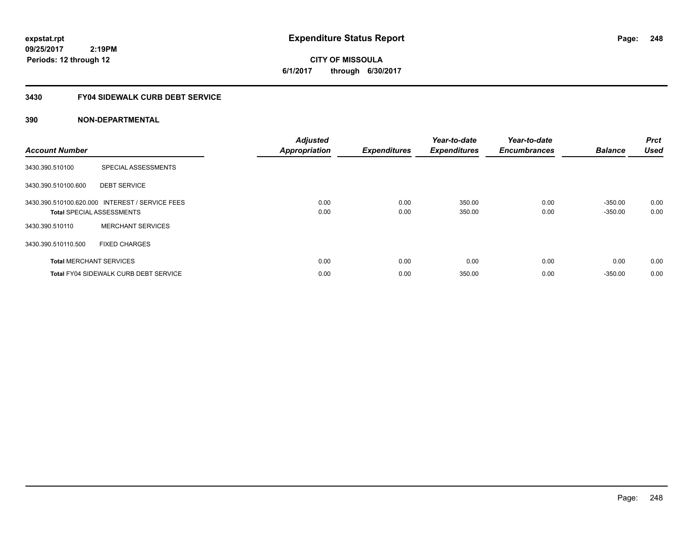**CITY OF MISSOULA 6/1/2017 through 6/30/2017**

# **3430 FY04 SIDEWALK CURB DEBT SERVICE**

| <b>Account Number</b> |                                                                                     | <b>Adjusted</b><br><b>Appropriation</b> | <b>Expenditures</b> | Year-to-date<br><b>Expenditures</b> | Year-to-date<br><b>Encumbrances</b> | <b>Balance</b>         | <b>Prct</b><br><b>Used</b> |
|-----------------------|-------------------------------------------------------------------------------------|-----------------------------------------|---------------------|-------------------------------------|-------------------------------------|------------------------|----------------------------|
| 3430.390.510100       | SPECIAL ASSESSMENTS                                                                 |                                         |                     |                                     |                                     |                        |                            |
| 3430.390.510100.600   | <b>DEBT SERVICE</b>                                                                 |                                         |                     |                                     |                                     |                        |                            |
|                       | 3430.390.510100.620.000 INTEREST / SERVICE FEES<br><b>Total SPECIAL ASSESSMENTS</b> | 0.00<br>0.00                            | 0.00<br>0.00        | 350.00<br>350.00                    | 0.00<br>0.00                        | $-350.00$<br>$-350.00$ | 0.00<br>0.00               |
| 3430.390.510110       | <b>MERCHANT SERVICES</b>                                                            |                                         |                     |                                     |                                     |                        |                            |
| 3430.390.510110.500   | <b>FIXED CHARGES</b>                                                                |                                         |                     |                                     |                                     |                        |                            |
|                       | <b>Total MERCHANT SERVICES</b>                                                      | 0.00                                    | 0.00                | 0.00                                | 0.00                                | 0.00                   | 0.00                       |
|                       | <b>Total FY04 SIDEWALK CURB DEBT SERVICE</b>                                        | 0.00                                    | 0.00                | 350.00                              | 0.00                                | $-350.00$              | 0.00                       |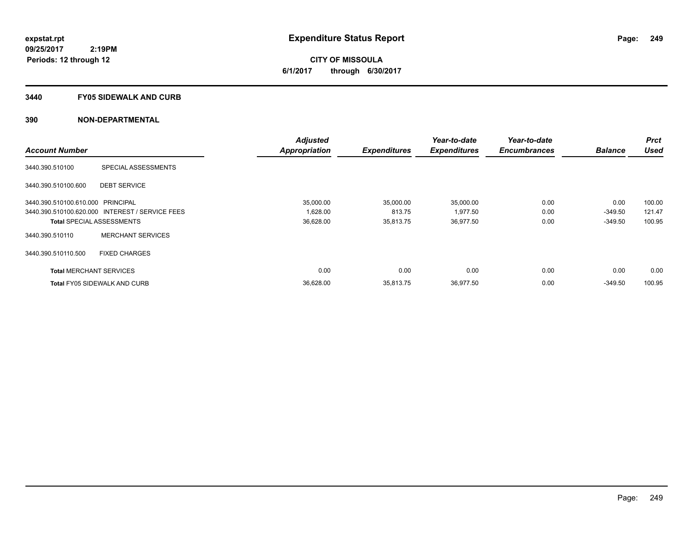**CITY OF MISSOULA 6/1/2017 through 6/30/2017**

#### **3440 FY05 SIDEWALK AND CURB**

|                                   |                                                 | <b>Adjusted</b>      |                     | Year-to-date        | Year-to-date        |                | <b>Prct</b> |
|-----------------------------------|-------------------------------------------------|----------------------|---------------------|---------------------|---------------------|----------------|-------------|
| <b>Account Number</b>             |                                                 | <b>Appropriation</b> | <b>Expenditures</b> | <b>Expenditures</b> | <b>Encumbrances</b> | <b>Balance</b> | <b>Used</b> |
| 3440.390.510100                   | SPECIAL ASSESSMENTS                             |                      |                     |                     |                     |                |             |
| 3440.390.510100.600               | <b>DEBT SERVICE</b>                             |                      |                     |                     |                     |                |             |
| 3440.390.510100.610.000 PRINCIPAL |                                                 | 35,000.00            | 35,000.00           | 35,000.00           | 0.00                | 0.00           | 100.00      |
|                                   | 3440.390.510100.620.000 INTEREST / SERVICE FEES | 1,628.00             | 813.75              | 1,977.50            | 0.00                | $-349.50$      | 121.47      |
| <b>Total SPECIAL ASSESSMENTS</b>  |                                                 | 36,628.00            | 35,813.75           | 36,977.50           | 0.00                | $-349.50$      | 100.95      |
| 3440.390.510110                   | <b>MERCHANT SERVICES</b>                        |                      |                     |                     |                     |                |             |
| 3440.390.510110.500               | <b>FIXED CHARGES</b>                            |                      |                     |                     |                     |                |             |
| <b>Total MERCHANT SERVICES</b>    |                                                 | 0.00                 | 0.00                | 0.00                | 0.00                | 0.00           | 0.00        |
|                                   | <b>Total FY05 SIDEWALK AND CURB</b>             | 36,628.00            | 35,813.75           | 36,977.50           | 0.00                | $-349.50$      | 100.95      |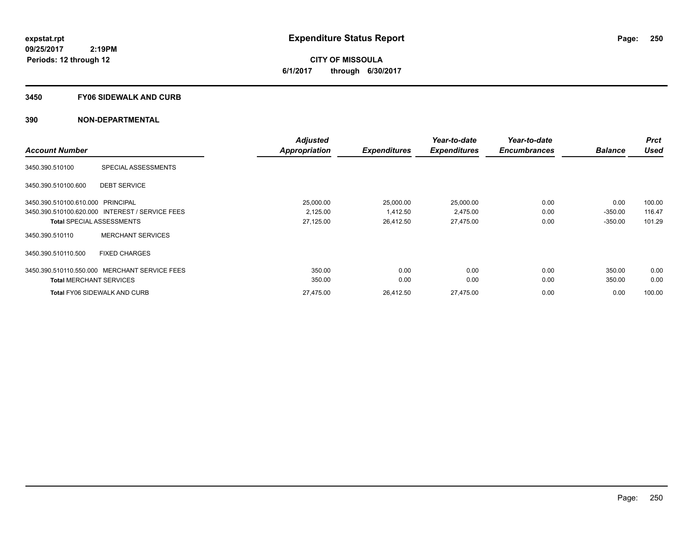**CITY OF MISSOULA 6/1/2017 through 6/30/2017**

#### **3450 FY06 SIDEWALK AND CURB**

|                                   |                                                 | <b>Adjusted</b>      |                     | Year-to-date        | Year-to-date        |                | <b>Prct</b> |
|-----------------------------------|-------------------------------------------------|----------------------|---------------------|---------------------|---------------------|----------------|-------------|
| <b>Account Number</b>             |                                                 | <b>Appropriation</b> | <b>Expenditures</b> | <b>Expenditures</b> | <b>Encumbrances</b> | <b>Balance</b> | <b>Used</b> |
| 3450.390.510100                   | SPECIAL ASSESSMENTS                             |                      |                     |                     |                     |                |             |
| 3450.390.510100.600               | <b>DEBT SERVICE</b>                             |                      |                     |                     |                     |                |             |
| 3450.390.510100.610.000 PRINCIPAL |                                                 | 25,000.00            | 25,000.00           | 25,000.00           | 0.00                | 0.00           | 100.00      |
|                                   | 3450.390.510100.620.000 INTEREST / SERVICE FEES | 2,125.00             | 1,412.50            | 2,475.00            | 0.00                | $-350.00$      | 116.47      |
| <b>Total SPECIAL ASSESSMENTS</b>  |                                                 | 27,125.00            | 26,412.50           | 27,475.00           | 0.00                | $-350.00$      | 101.29      |
| 3450.390.510110                   | <b>MERCHANT SERVICES</b>                        |                      |                     |                     |                     |                |             |
| 3450.390.510110.500               | <b>FIXED CHARGES</b>                            |                      |                     |                     |                     |                |             |
| 3450.390.510110.550.000           | <b>MERCHANT SERVICE FEES</b>                    | 350.00               | 0.00                | 0.00                | 0.00                | 350.00         | 0.00        |
| <b>Total MERCHANT SERVICES</b>    |                                                 | 350.00               | 0.00                | 0.00                | 0.00                | 350.00         | 0.00        |
|                                   | <b>Total FY06 SIDEWALK AND CURB</b>             | 27,475.00            | 26,412.50           | 27,475.00           | 0.00                | 0.00           | 100.00      |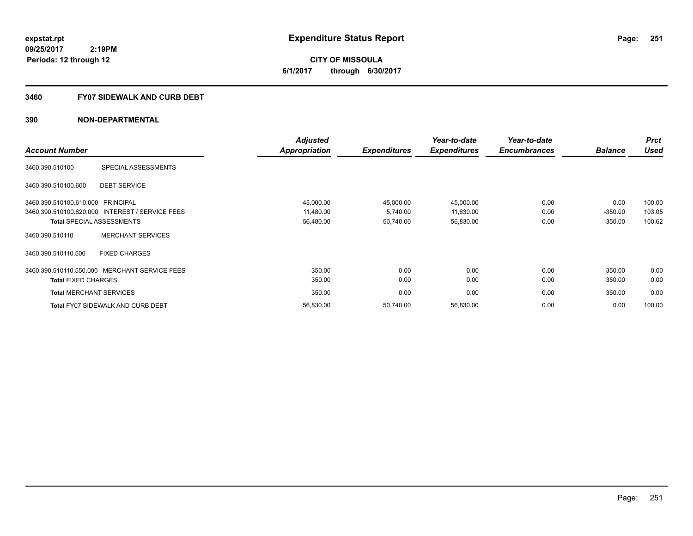**251**

**09/25/2017 2:19PM Periods: 12 through 12**

**CITY OF MISSOULA 6/1/2017 through 6/30/2017**

## **3460 FY07 SIDEWALK AND CURB DEBT**

|                                   |                                                 | <b>Adjusted</b>      |                     | Year-to-date        | Year-to-date        |                | <b>Prct</b> |
|-----------------------------------|-------------------------------------------------|----------------------|---------------------|---------------------|---------------------|----------------|-------------|
| <b>Account Number</b>             |                                                 | <b>Appropriation</b> | <b>Expenditures</b> | <b>Expenditures</b> | <b>Encumbrances</b> | <b>Balance</b> | <b>Used</b> |
| 3460.390.510100                   | SPECIAL ASSESSMENTS                             |                      |                     |                     |                     |                |             |
| 3460.390.510100.600               | <b>DEBT SERVICE</b>                             |                      |                     |                     |                     |                |             |
| 3460.390.510100.610.000 PRINCIPAL |                                                 | 45,000.00            | 45,000.00           | 45,000.00           | 0.00                | 0.00           | 100.00      |
|                                   | 3460.390.510100.620.000 INTEREST / SERVICE FEES | 11,480.00            | 5,740.00            | 11,830.00           | 0.00                | $-350.00$      | 103.05      |
|                                   | <b>Total SPECIAL ASSESSMENTS</b>                | 56,480.00            | 50,740.00           | 56,830.00           | 0.00                | $-350.00$      | 100.62      |
| 3460.390.510110                   | <b>MERCHANT SERVICES</b>                        |                      |                     |                     |                     |                |             |
| 3460.390.510110.500               | <b>FIXED CHARGES</b>                            |                      |                     |                     |                     |                |             |
|                                   | 3460.390.510110.550.000 MERCHANT SERVICE FEES   | 350.00               | 0.00                | 0.00                | 0.00                | 350.00         | 0.00        |
| <b>Total FIXED CHARGES</b>        |                                                 | 350.00               | 0.00                | 0.00                | 0.00                | 350.00         | 0.00        |
| <b>Total MERCHANT SERVICES</b>    |                                                 | 350.00               | 0.00                | 0.00                | 0.00                | 350.00         | 0.00        |
|                                   | <b>Total FY07 SIDEWALK AND CURB DEBT</b>        | 56,830.00            | 50,740.00           | 56,830.00           | 0.00                | 0.00           | 100.00      |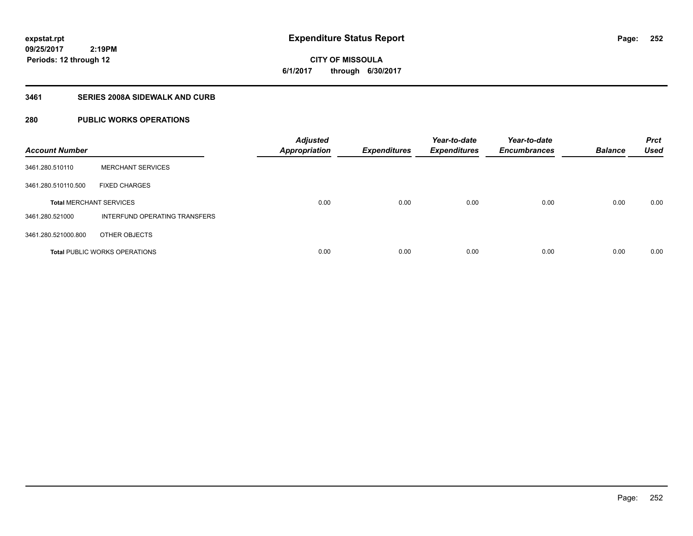**252**

**09/25/2017 2:19PM Periods: 12 through 12**

**CITY OF MISSOULA 6/1/2017 through 6/30/2017**

# **3461 SERIES 2008A SIDEWALK AND CURB**

# **280 PUBLIC WORKS OPERATIONS**

| <b>Account Number</b>          |                                      | <b>Adjusted</b><br><b>Appropriation</b> | <b>Expenditures</b> | Year-to-date<br><b>Expenditures</b> | Year-to-date<br><b>Encumbrances</b> | <b>Balance</b> | <b>Prct</b><br><b>Used</b> |
|--------------------------------|--------------------------------------|-----------------------------------------|---------------------|-------------------------------------|-------------------------------------|----------------|----------------------------|
| 3461.280.510110                | <b>MERCHANT SERVICES</b>             |                                         |                     |                                     |                                     |                |                            |
| 3461.280.510110.500            | <b>FIXED CHARGES</b>                 |                                         |                     |                                     |                                     |                |                            |
| <b>Total MERCHANT SERVICES</b> |                                      | 0.00                                    | 0.00                | 0.00                                | 0.00                                | 0.00           | 0.00                       |
| 3461.280.521000                | INTERFUND OPERATING TRANSFERS        |                                         |                     |                                     |                                     |                |                            |
| 3461.280.521000.800            | OTHER OBJECTS                        |                                         |                     |                                     |                                     |                |                            |
|                                | <b>Total PUBLIC WORKS OPERATIONS</b> | 0.00                                    | 0.00                | 0.00                                | 0.00                                | 0.00           | 0.00                       |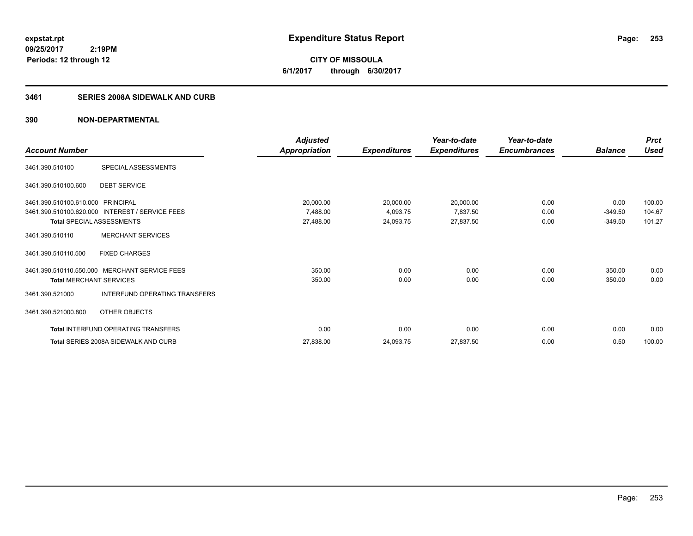**CITY OF MISSOULA 6/1/2017 through 6/30/2017**

### **3461 SERIES 2008A SIDEWALK AND CURB**

|                                   |                                                 | Adjusted             |                     | Year-to-date        | Year-to-date        |                | <b>Prct</b> |
|-----------------------------------|-------------------------------------------------|----------------------|---------------------|---------------------|---------------------|----------------|-------------|
| <b>Account Number</b>             |                                                 | <b>Appropriation</b> | <b>Expenditures</b> | <b>Expenditures</b> | <b>Encumbrances</b> | <b>Balance</b> | <b>Used</b> |
| 3461.390.510100                   | SPECIAL ASSESSMENTS                             |                      |                     |                     |                     |                |             |
| 3461.390.510100.600               | <b>DEBT SERVICE</b>                             |                      |                     |                     |                     |                |             |
| 3461.390.510100.610.000 PRINCIPAL |                                                 | 20,000.00            | 20,000.00           | 20,000.00           | 0.00                | 0.00           | 100.00      |
|                                   | 3461.390.510100.620.000 INTEREST / SERVICE FEES | 7,488.00             | 4,093.75            | 7,837.50            | 0.00                | $-349.50$      | 104.67      |
| Total SPECIAL ASSESSMENTS         |                                                 | 27,488.00            | 24,093.75           | 27,837.50           | 0.00                | $-349.50$      | 101.27      |
| 3461.390.510110                   | <b>MERCHANT SERVICES</b>                        |                      |                     |                     |                     |                |             |
| 3461.390.510110.500               | <b>FIXED CHARGES</b>                            |                      |                     |                     |                     |                |             |
|                                   | 3461.390.510110.550.000 MERCHANT SERVICE FEES   | 350.00               | 0.00                | 0.00                | 0.00                | 350.00         | 0.00        |
| <b>Total MERCHANT SERVICES</b>    |                                                 | 350.00               | 0.00                | 0.00                | 0.00                | 350.00         | 0.00        |
| 3461.390.521000                   | INTERFUND OPERATING TRANSFERS                   |                      |                     |                     |                     |                |             |
| 3461.390.521000.800               | OTHER OBJECTS                                   |                      |                     |                     |                     |                |             |
|                                   | <b>Total INTERFUND OPERATING TRANSFERS</b>      | 0.00                 | 0.00                | 0.00                | 0.00                | 0.00           | 0.00        |
|                                   | Total SERIES 2008A SIDEWALK AND CURB            | 27,838.00            | 24,093.75           | 27,837.50           | 0.00                | 0.50           | 100.00      |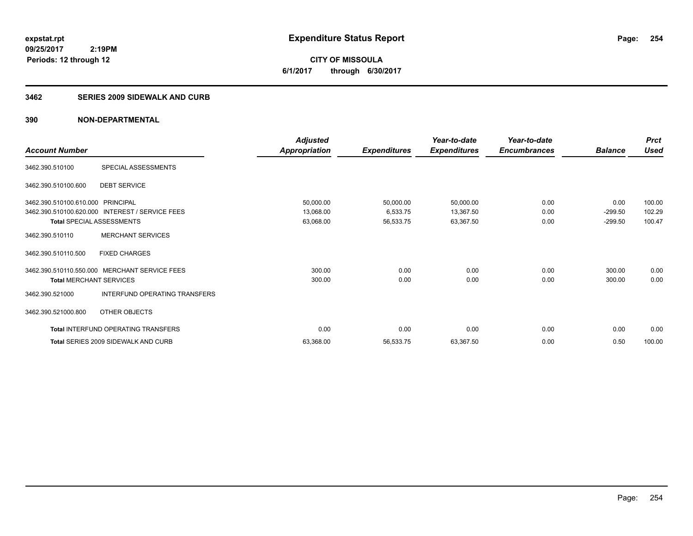**CITY OF MISSOULA 6/1/2017 through 6/30/2017**

#### **3462 SERIES 2009 SIDEWALK AND CURB**

|                                   |                                                 | <b>Adjusted</b>      |                     | Year-to-date        | Year-to-date        |                | <b>Prct</b> |
|-----------------------------------|-------------------------------------------------|----------------------|---------------------|---------------------|---------------------|----------------|-------------|
| <b>Account Number</b>             |                                                 | <b>Appropriation</b> | <b>Expenditures</b> | <b>Expenditures</b> | <b>Encumbrances</b> | <b>Balance</b> | Used        |
| 3462.390.510100                   | SPECIAL ASSESSMENTS                             |                      |                     |                     |                     |                |             |
| 3462.390.510100.600               | <b>DEBT SERVICE</b>                             |                      |                     |                     |                     |                |             |
| 3462.390.510100.610.000 PRINCIPAL |                                                 | 50,000.00            | 50,000.00           | 50,000.00           | 0.00                | 0.00           | 100.00      |
|                                   | 3462.390.510100.620.000 INTEREST / SERVICE FEES | 13,068.00            | 6,533.75            | 13,367.50           | 0.00                | $-299.50$      | 102.29      |
| <b>Total SPECIAL ASSESSMENTS</b>  |                                                 | 63,068.00            | 56,533.75           | 63,367.50           | 0.00                | $-299.50$      | 100.47      |
| 3462.390.510110                   | <b>MERCHANT SERVICES</b>                        |                      |                     |                     |                     |                |             |
| 3462.390.510110.500               | <b>FIXED CHARGES</b>                            |                      |                     |                     |                     |                |             |
| 3462.390.510110.550.000           | MERCHANT SERVICE FEES                           | 300.00               | 0.00                | 0.00                | 0.00                | 300.00         | 0.00        |
| <b>Total MERCHANT SERVICES</b>    |                                                 | 300.00               | 0.00                | 0.00                | 0.00                | 300.00         | 0.00        |
| 3462.390.521000                   | INTERFUND OPERATING TRANSFERS                   |                      |                     |                     |                     |                |             |
| 3462.390.521000.800               | OTHER OBJECTS                                   |                      |                     |                     |                     |                |             |
|                                   | <b>Total INTERFUND OPERATING TRANSFERS</b>      | 0.00                 | 0.00                | 0.00                | 0.00                | 0.00           | 0.00        |
|                                   | Total SERIES 2009 SIDEWALK AND CURB             | 63,368.00            | 56,533.75           | 63,367.50           | 0.00                | 0.50           | 100.00      |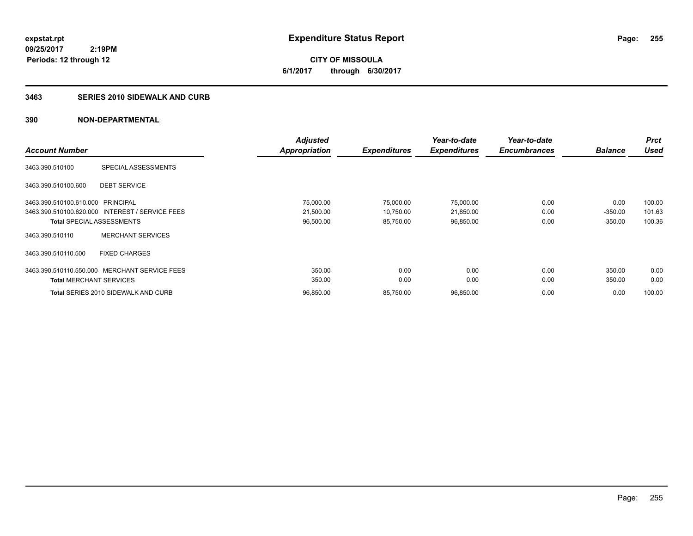**CITY OF MISSOULA 6/1/2017 through 6/30/2017**

#### **3463 SERIES 2010 SIDEWALK AND CURB**

|                                   |                                                 | <b>Adjusted</b>      |                     | Year-to-date        | Year-to-date        |                | <b>Prct</b><br><b>Used</b> |
|-----------------------------------|-------------------------------------------------|----------------------|---------------------|---------------------|---------------------|----------------|----------------------------|
| <b>Account Number</b>             |                                                 | <b>Appropriation</b> | <b>Expenditures</b> | <b>Expenditures</b> | <b>Encumbrances</b> | <b>Balance</b> |                            |
| 3463.390.510100                   | SPECIAL ASSESSMENTS                             |                      |                     |                     |                     |                |                            |
| 3463.390.510100.600               | <b>DEBT SERVICE</b>                             |                      |                     |                     |                     |                |                            |
| 3463.390.510100.610.000 PRINCIPAL |                                                 | 75,000.00            | 75,000.00           | 75,000.00           | 0.00                | 0.00           | 100.00                     |
|                                   | 3463.390.510100.620.000 INTEREST / SERVICE FEES | 21,500.00            | 10,750.00           | 21,850.00           | 0.00                | $-350.00$      | 101.63                     |
|                                   | <b>Total SPECIAL ASSESSMENTS</b>                | 96,500.00            | 85,750.00           | 96,850.00           | 0.00                | $-350.00$      | 100.36                     |
| 3463.390.510110                   | <b>MERCHANT SERVICES</b>                        |                      |                     |                     |                     |                |                            |
| 3463.390.510110.500               | <b>FIXED CHARGES</b>                            |                      |                     |                     |                     |                |                            |
| 3463.390.510110.550.000           | <b>MERCHANT SERVICE FEES</b>                    | 350.00               | 0.00                | 0.00                | 0.00                | 350.00         | 0.00                       |
| <b>Total MERCHANT SERVICES</b>    |                                                 | 350.00               | 0.00                | 0.00                | 0.00                | 350.00         | 0.00                       |
|                                   | <b>Total SERIES 2010 SIDEWALK AND CURB</b>      | 96.850.00            | 85,750.00           | 96,850.00           | 0.00                | 0.00           | 100.00                     |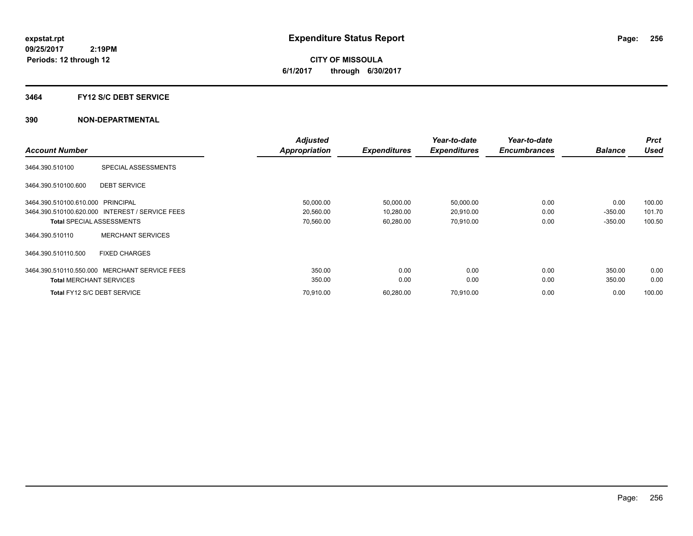**CITY OF MISSOULA 6/1/2017 through 6/30/2017**

#### **3464 FY12 S/C DEBT SERVICE**

|                                   |                                                 | <b>Adjusted</b> |                     | Year-to-date        | Year-to-date        |                | <b>Prct</b> |
|-----------------------------------|-------------------------------------------------|-----------------|---------------------|---------------------|---------------------|----------------|-------------|
| <b>Account Number</b>             |                                                 | Appropriation   | <b>Expenditures</b> | <b>Expenditures</b> | <b>Encumbrances</b> | <b>Balance</b> | <b>Used</b> |
| 3464.390.510100                   | SPECIAL ASSESSMENTS                             |                 |                     |                     |                     |                |             |
| 3464.390.510100.600               | <b>DEBT SERVICE</b>                             |                 |                     |                     |                     |                |             |
| 3464.390.510100.610.000 PRINCIPAL |                                                 | 50,000.00       | 50,000.00           | 50,000.00           | 0.00                | 0.00           | 100.00      |
|                                   | 3464.390.510100.620.000 INTEREST / SERVICE FEES | 20,560.00       | 10,280.00           | 20,910.00           | 0.00                | $-350.00$      | 101.70      |
|                                   | <b>Total SPECIAL ASSESSMENTS</b>                | 70,560.00       | 60,280.00           | 70,910.00           | 0.00                | $-350.00$      | 100.50      |
| 3464.390.510110                   | <b>MERCHANT SERVICES</b>                        |                 |                     |                     |                     |                |             |
| 3464.390.510110.500               | <b>FIXED CHARGES</b>                            |                 |                     |                     |                     |                |             |
| 3464.390.510110.550.000           | <b>MERCHANT SERVICE FEES</b>                    | 350.00          | 0.00                | 0.00                | 0.00                | 350.00         | 0.00        |
| <b>Total MERCHANT SERVICES</b>    |                                                 | 350.00          | 0.00                | 0.00                | 0.00                | 350.00         | 0.00        |
|                                   | Total FY12 S/C DEBT SERVICE                     | 70.910.00       | 60,280.00           | 70,910.00           | 0.00                | 0.00           | 100.00      |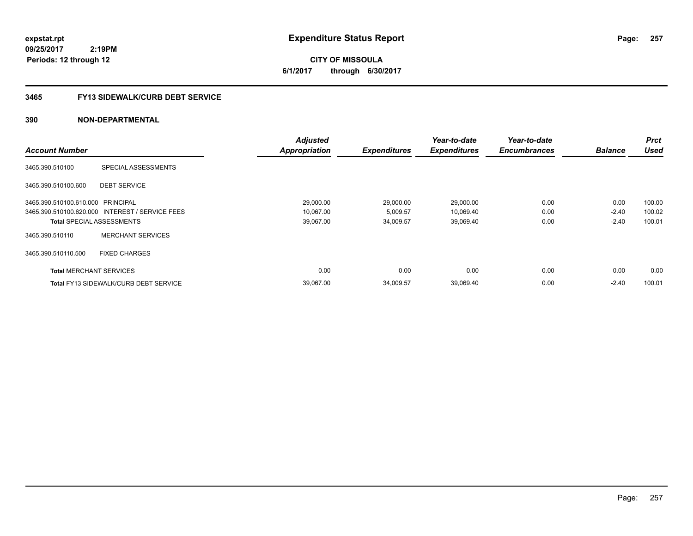# **09/25/2017**

**Periods: 12 through 12**

 **2:19PM**

**257**

**CITY OF MISSOULA 6/1/2017 through 6/30/2017**

### **3465 FY13 SIDEWALK/CURB DEBT SERVICE**

|                                   |                                                 | <b>Adjusted</b>      |                     | Year-to-date        | Year-to-date        |                | <b>Prct</b> |
|-----------------------------------|-------------------------------------------------|----------------------|---------------------|---------------------|---------------------|----------------|-------------|
| <b>Account Number</b>             |                                                 | <b>Appropriation</b> | <b>Expenditures</b> | <b>Expenditures</b> | <b>Encumbrances</b> | <b>Balance</b> | <b>Used</b> |
| 3465.390.510100                   | SPECIAL ASSESSMENTS                             |                      |                     |                     |                     |                |             |
| 3465.390.510100.600               | <b>DEBT SERVICE</b>                             |                      |                     |                     |                     |                |             |
| 3465.390.510100.610.000 PRINCIPAL |                                                 | 29,000.00            | 29,000.00           | 29,000.00           | 0.00                | 0.00           | 100.00      |
|                                   | 3465.390.510100.620.000 INTEREST / SERVICE FEES | 10,067.00            | 5,009.57            | 10,069.40           | 0.00                | $-2.40$        | 100.02      |
|                                   | <b>Total SPECIAL ASSESSMENTS</b>                | 39,067.00            | 34,009.57           | 39,069.40           | 0.00                | $-2.40$        | 100.01      |
| 3465.390.510110                   | <b>MERCHANT SERVICES</b>                        |                      |                     |                     |                     |                |             |
| 3465.390.510110.500               | <b>FIXED CHARGES</b>                            |                      |                     |                     |                     |                |             |
| <b>Total MERCHANT SERVICES</b>    |                                                 | 0.00                 | 0.00                | 0.00                | 0.00                | 0.00           | 0.00        |
|                                   | <b>Total FY13 SIDEWALK/CURB DEBT SERVICE</b>    | 39.067.00            | 34,009.57           | 39,069.40           | 0.00                | $-2.40$        | 100.01      |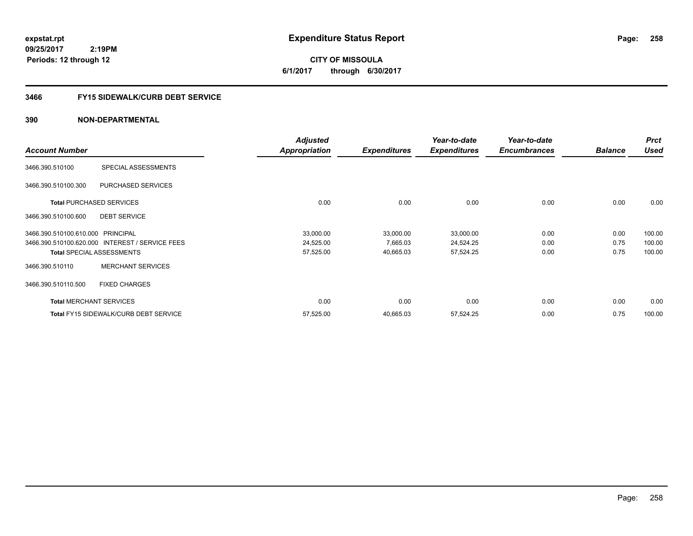**CITY OF MISSOULA 6/1/2017 through 6/30/2017**

### **3466 FY15 SIDEWALK/CURB DEBT SERVICE**

|                                   |                                                 | <b>Adjusted</b>      |                     | Year-to-date        | Year-to-date        |                | <b>Prct</b> |
|-----------------------------------|-------------------------------------------------|----------------------|---------------------|---------------------|---------------------|----------------|-------------|
| <b>Account Number</b>             |                                                 | <b>Appropriation</b> | <b>Expenditures</b> | <b>Expenditures</b> | <b>Encumbrances</b> | <b>Balance</b> | Used        |
| 3466.390.510100                   | SPECIAL ASSESSMENTS                             |                      |                     |                     |                     |                |             |
| 3466.390.510100.300               | <b>PURCHASED SERVICES</b>                       |                      |                     |                     |                     |                |             |
|                                   | <b>Total PURCHASED SERVICES</b>                 | 0.00                 | 0.00                | 0.00                | 0.00                | 0.00           | 0.00        |
| 3466.390.510100.600               | <b>DEBT SERVICE</b>                             |                      |                     |                     |                     |                |             |
| 3466.390.510100.610.000 PRINCIPAL |                                                 | 33,000.00            | 33,000.00           | 33,000.00           | 0.00                | 0.00           | 100.00      |
|                                   | 3466.390.510100.620.000 INTEREST / SERVICE FEES | 24,525.00            | 7,665.03            | 24,524.25           | 0.00                | 0.75           | 100.00      |
|                                   | <b>Total SPECIAL ASSESSMENTS</b>                | 57,525.00            | 40,665.03           | 57,524.25           | 0.00                | 0.75           | 100.00      |
| 3466.390.510110                   | <b>MERCHANT SERVICES</b>                        |                      |                     |                     |                     |                |             |
| 3466.390.510110.500               | <b>FIXED CHARGES</b>                            |                      |                     |                     |                     |                |             |
|                                   | <b>Total MERCHANT SERVICES</b>                  | 0.00                 | 0.00                | 0.00                | 0.00                | 0.00           | 0.00        |
|                                   | <b>Total FY15 SIDEWALK/CURB DEBT SERVICE</b>    | 57,525.00            | 40,665.03           | 57,524.25           | 0.00                | 0.75           | 100.00      |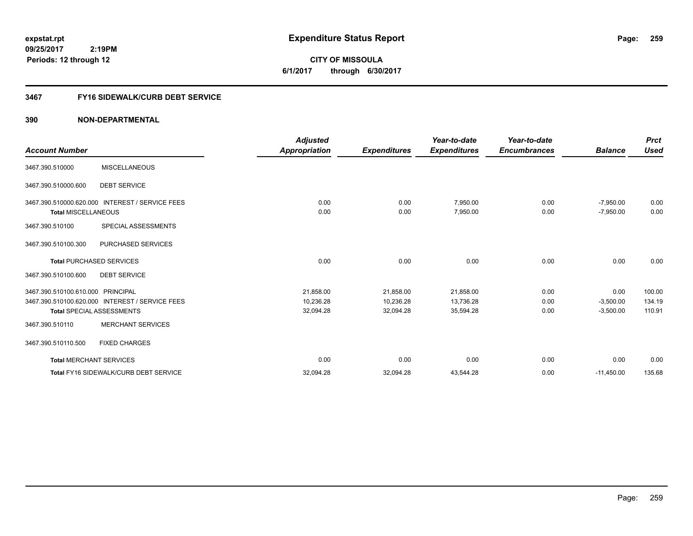# **09/25/2017**

**Periods: 12 through 12**

 **2:19PM**

**259**

**CITY OF MISSOULA 6/1/2017 through 6/30/2017**

### **3467 FY16 SIDEWALK/CURB DEBT SERVICE**

|                                   |                                                 | <b>Adjusted</b> |                     | Year-to-date        | Year-to-date        |                | <b>Prct</b> |
|-----------------------------------|-------------------------------------------------|-----------------|---------------------|---------------------|---------------------|----------------|-------------|
| <b>Account Number</b>             |                                                 | Appropriation   | <b>Expenditures</b> | <b>Expenditures</b> | <b>Encumbrances</b> | <b>Balance</b> | <b>Used</b> |
| 3467.390.510000                   | <b>MISCELLANEOUS</b>                            |                 |                     |                     |                     |                |             |
| 3467.390.510000.600               | <b>DEBT SERVICE</b>                             |                 |                     |                     |                     |                |             |
|                                   | 3467.390.510000.620.000 INTEREST / SERVICE FEES | 0.00            | 0.00                | 7,950.00            | 0.00                | $-7,950.00$    | 0.00        |
| <b>Total MISCELLANEOUS</b>        |                                                 | 0.00            | 0.00                | 7,950.00            | 0.00                | $-7,950.00$    | 0.00        |
| 3467.390.510100                   | SPECIAL ASSESSMENTS                             |                 |                     |                     |                     |                |             |
| 3467.390.510100.300               | PURCHASED SERVICES                              |                 |                     |                     |                     |                |             |
|                                   | <b>Total PURCHASED SERVICES</b>                 | 0.00            | 0.00                | 0.00                | 0.00                | 0.00           | 0.00        |
| 3467.390.510100.600               | <b>DEBT SERVICE</b>                             |                 |                     |                     |                     |                |             |
| 3467.390.510100.610.000 PRINCIPAL |                                                 | 21,858.00       | 21,858.00           | 21,858.00           | 0.00                | 0.00           | 100.00      |
|                                   | 3467.390.510100.620.000 INTEREST / SERVICE FEES | 10,236.28       | 10,236.28           | 13,736.28           | 0.00                | $-3,500.00$    | 134.19      |
|                                   | <b>Total SPECIAL ASSESSMENTS</b>                | 32,094.28       | 32,094.28           | 35,594.28           | 0.00                | $-3,500.00$    | 110.91      |
| 3467.390.510110                   | <b>MERCHANT SERVICES</b>                        |                 |                     |                     |                     |                |             |
| 3467.390.510110.500               | <b>FIXED CHARGES</b>                            |                 |                     |                     |                     |                |             |
| <b>Total MERCHANT SERVICES</b>    |                                                 | 0.00            | 0.00                | 0.00                | 0.00                | 0.00           | 0.00        |
|                                   | Total FY16 SIDEWALK/CURB DEBT SERVICE           | 32,094.28       | 32,094.28           | 43,544.28           | 0.00                | $-11,450.00$   | 135.68      |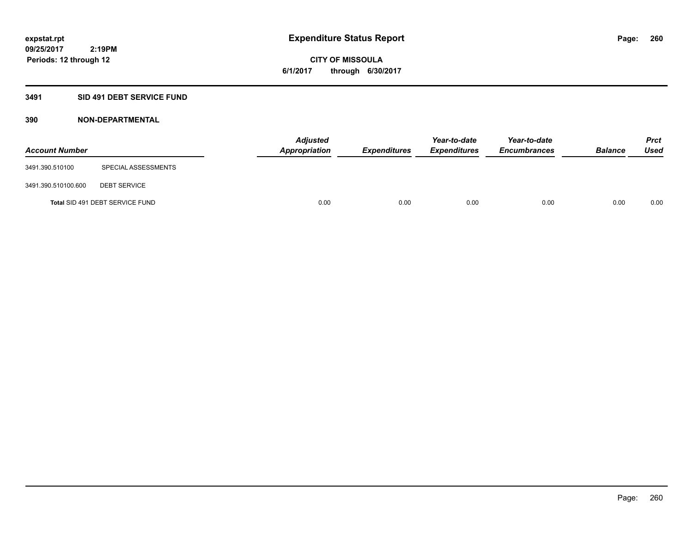**CITY OF MISSOULA 6/1/2017 through 6/30/2017**

### **3491 SID 491 DEBT SERVICE FUND**

| <b>Account Number</b> |                                 | <b>Adjusted</b><br>Appropriation | <b>Expenditures</b> | Year-to-date<br><b>Expenditures</b> | Year-to-date<br><b>Encumbrances</b> | <b>Balance</b> | Prct<br><b>Used</b> |
|-----------------------|---------------------------------|----------------------------------|---------------------|-------------------------------------|-------------------------------------|----------------|---------------------|
| 3491.390.510100       | SPECIAL ASSESSMENTS             |                                  |                     |                                     |                                     |                |                     |
| 3491.390.510100.600   | <b>DEBT SERVICE</b>             |                                  |                     |                                     |                                     |                |                     |
|                       | Total SID 491 DEBT SERVICE FUND | 0.00                             | 0.00                | 0.00                                | 0.00                                | 0.00           | 0.00                |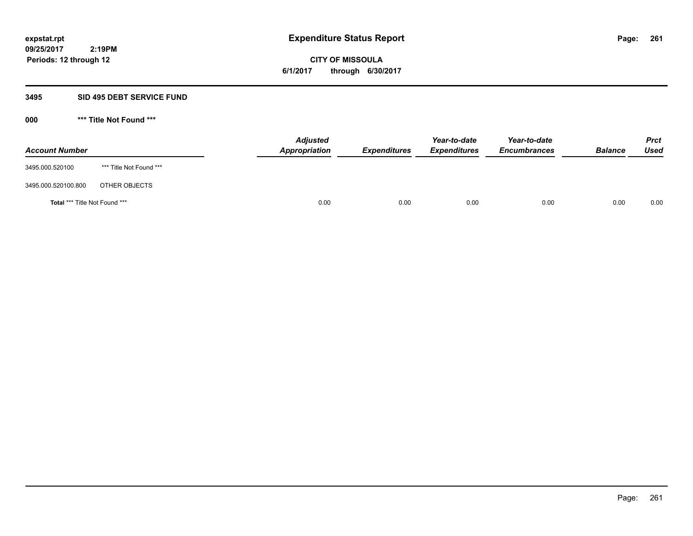**CITY OF MISSOULA 6/1/2017 through 6/30/2017**

### **3495 SID 495 DEBT SERVICE FUND**

| <b>Account Number</b>                |                         | <b>Adjusted</b><br>Appropriation | <b>Expenditures</b> | Year-to-date<br><b>Expenditures</b> | Year-to-date<br><b>Encumbrances</b> | <b>Balance</b> | Prct<br><b>Used</b> |
|--------------------------------------|-------------------------|----------------------------------|---------------------|-------------------------------------|-------------------------------------|----------------|---------------------|
| 3495.000.520100                      | *** Title Not Found *** |                                  |                     |                                     |                                     |                |                     |
| 3495.000.520100.800                  | OTHER OBJECTS           |                                  |                     |                                     |                                     |                |                     |
| <b>Total *** Title Not Found ***</b> |                         | 0.00                             | 0.00                | 0.00                                | 0.00                                | 0.00           | 0.00                |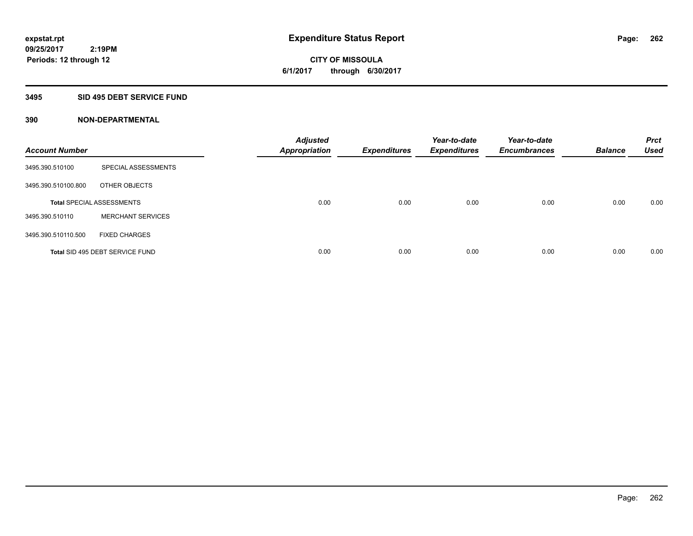**CITY OF MISSOULA 6/1/2017 through 6/30/2017**

#### **3495 SID 495 DEBT SERVICE FUND**

| <b>Account Number</b> |                                  | <b>Adjusted</b><br><b>Appropriation</b> | <b>Expenditures</b> | Year-to-date<br><b>Expenditures</b> | Year-to-date<br><b>Encumbrances</b> | <b>Balance</b> | <b>Prct</b><br><b>Used</b> |
|-----------------------|----------------------------------|-----------------------------------------|---------------------|-------------------------------------|-------------------------------------|----------------|----------------------------|
| 3495.390.510100       | SPECIAL ASSESSMENTS              |                                         |                     |                                     |                                     |                |                            |
| 3495.390.510100.800   | OTHER OBJECTS                    |                                         |                     |                                     |                                     |                |                            |
|                       | <b>Total SPECIAL ASSESSMENTS</b> | 0.00                                    | 0.00                | 0.00                                | 0.00                                | 0.00           | 0.00                       |
| 3495.390.510110       | <b>MERCHANT SERVICES</b>         |                                         |                     |                                     |                                     |                |                            |
| 3495.390.510110.500   | <b>FIXED CHARGES</b>             |                                         |                     |                                     |                                     |                |                            |
|                       | Total SID 495 DEBT SERVICE FUND  | 0.00                                    | 0.00                | 0.00                                | 0.00                                | 0.00           | 0.00                       |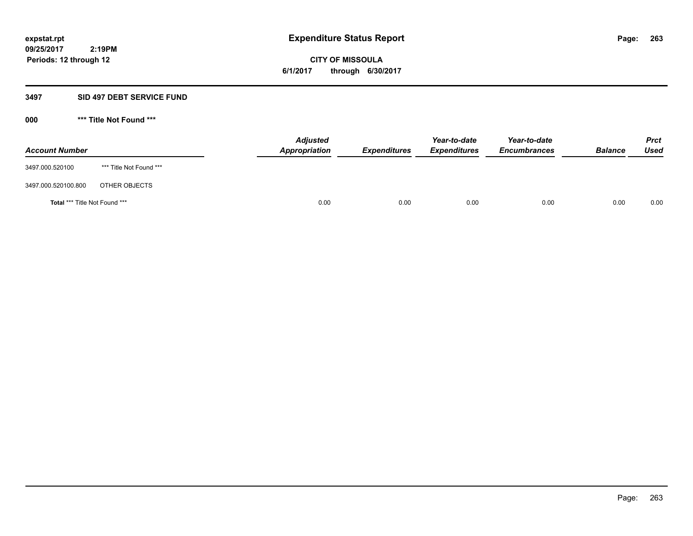**CITY OF MISSOULA 6/1/2017 through 6/30/2017**

#### **3497 SID 497 DEBT SERVICE FUND**

| <b>Account Number</b>         |                         | <b>Adjusted</b><br>Appropriation | <b>Expenditures</b> | Year-to-date<br><b>Expenditures</b> | Year-to-date<br><b>Encumbrances</b> | <b>Balance</b> | Prct<br>Used |
|-------------------------------|-------------------------|----------------------------------|---------------------|-------------------------------------|-------------------------------------|----------------|--------------|
| 3497.000.520100               | *** Title Not Found *** |                                  |                     |                                     |                                     |                |              |
| 3497.000.520100.800           | OTHER OBJECTS           |                                  |                     |                                     |                                     |                |              |
| Total *** Title Not Found *** |                         | 0.00                             | 0.00                | 0.00                                | 0.00                                | 0.00           | 0.00         |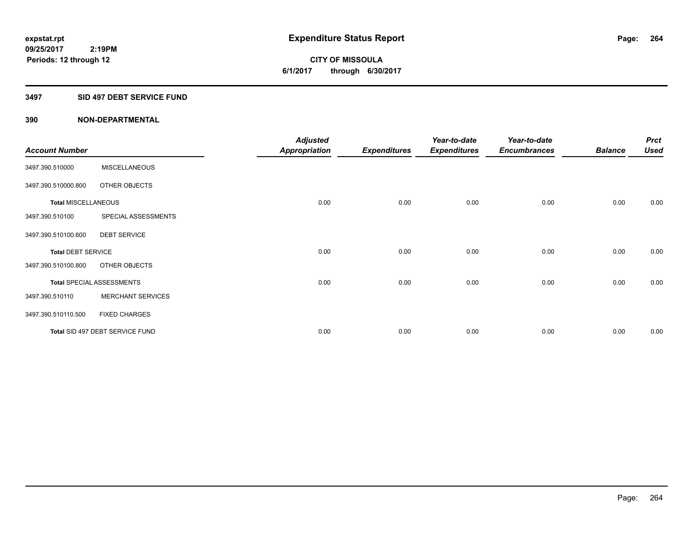**CITY OF MISSOULA 6/1/2017 through 6/30/2017**

#### **3497 SID 497 DEBT SERVICE FUND**

|                            |                                  | <b>Adjusted</b>      |                     | Year-to-date        | Year-to-date        |                | <b>Prct</b> |
|----------------------------|----------------------------------|----------------------|---------------------|---------------------|---------------------|----------------|-------------|
| <b>Account Number</b>      |                                  | <b>Appropriation</b> | <b>Expenditures</b> | <b>Expenditures</b> | <b>Encumbrances</b> | <b>Balance</b> | <b>Used</b> |
| 3497.390.510000            | <b>MISCELLANEOUS</b>             |                      |                     |                     |                     |                |             |
| 3497.390.510000.800        | OTHER OBJECTS                    |                      |                     |                     |                     |                |             |
| <b>Total MISCELLANEOUS</b> |                                  | 0.00                 | 0.00                | 0.00                | 0.00                | 0.00           | 0.00        |
| 3497.390.510100            | SPECIAL ASSESSMENTS              |                      |                     |                     |                     |                |             |
| 3497.390.510100.600        | <b>DEBT SERVICE</b>              |                      |                     |                     |                     |                |             |
| <b>Total DEBT SERVICE</b>  |                                  | 0.00                 | 0.00                | 0.00                | 0.00                | 0.00           | 0.00        |
| 3497.390.510100.800        | OTHER OBJECTS                    |                      |                     |                     |                     |                |             |
|                            | <b>Total SPECIAL ASSESSMENTS</b> | 0.00                 | 0.00                | 0.00                | 0.00                | 0.00           | 0.00        |
| 3497.390.510110            | <b>MERCHANT SERVICES</b>         |                      |                     |                     |                     |                |             |
| 3497.390.510110.500        | <b>FIXED CHARGES</b>             |                      |                     |                     |                     |                |             |
|                            | Total SID 497 DEBT SERVICE FUND  | 0.00                 | 0.00                | 0.00                | 0.00                | 0.00           | 0.00        |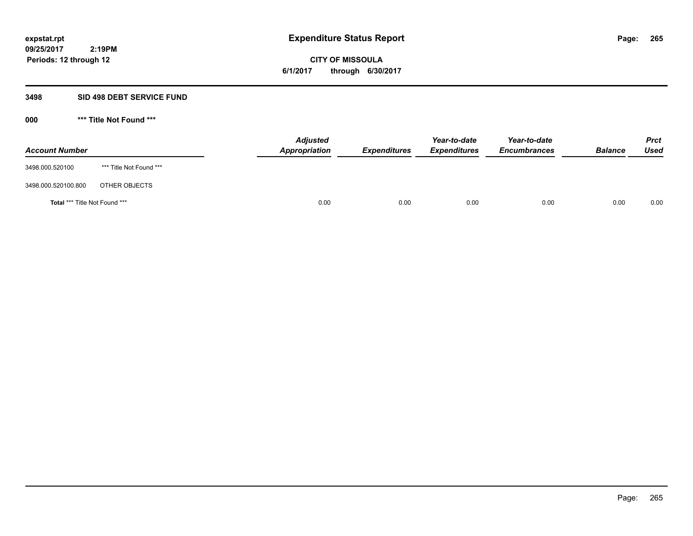**CITY OF MISSOULA 6/1/2017 through 6/30/2017**

#### **3498 SID 498 DEBT SERVICE FUND**

| <b>Account Number</b>         |                         | <b>Adjusted</b><br>Appropriation | <b>Expenditures</b> | Year-to-date<br><b>Expenditures</b> | Year-to-date<br><b>Encumbrances</b> | <b>Balance</b> | Prct<br>Used |
|-------------------------------|-------------------------|----------------------------------|---------------------|-------------------------------------|-------------------------------------|----------------|--------------|
| 3498.000.520100               | *** Title Not Found *** |                                  |                     |                                     |                                     |                |              |
| 3498.000.520100.800           | OTHER OBJECTS           |                                  |                     |                                     |                                     |                |              |
| Total *** Title Not Found *** |                         | 0.00                             | 0.00                | 0.00                                | 0.00                                | 0.00           | 0.00         |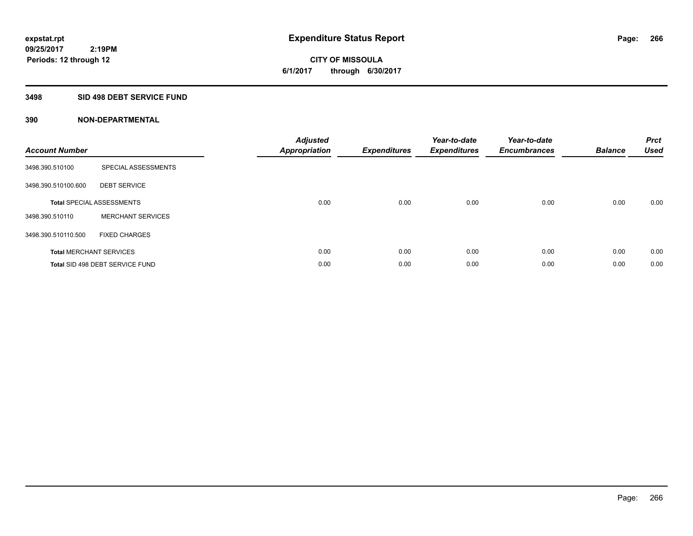**CITY OF MISSOULA 6/1/2017 through 6/30/2017**

#### **3498 SID 498 DEBT SERVICE FUND**

| <b>Account Number</b> |                                  | <b>Adjusted</b><br>Appropriation | <b>Expenditures</b> | Year-to-date<br><b>Expenditures</b> | Year-to-date<br><b>Encumbrances</b> | <b>Balance</b> | <b>Prct</b><br><b>Used</b> |
|-----------------------|----------------------------------|----------------------------------|---------------------|-------------------------------------|-------------------------------------|----------------|----------------------------|
| 3498.390.510100       | SPECIAL ASSESSMENTS              |                                  |                     |                                     |                                     |                |                            |
| 3498.390.510100.600   | <b>DEBT SERVICE</b>              |                                  |                     |                                     |                                     |                |                            |
|                       | <b>Total SPECIAL ASSESSMENTS</b> | 0.00                             | 0.00                | 0.00                                | 0.00                                | 0.00           | 0.00                       |
| 3498.390.510110       | <b>MERCHANT SERVICES</b>         |                                  |                     |                                     |                                     |                |                            |
| 3498.390.510110.500   | <b>FIXED CHARGES</b>             |                                  |                     |                                     |                                     |                |                            |
|                       | <b>Total MERCHANT SERVICES</b>   | 0.00                             | 0.00                | 0.00                                | 0.00                                | 0.00           | 0.00                       |
|                       | Total SID 498 DEBT SERVICE FUND  | 0.00                             | 0.00                | 0.00                                | 0.00                                | 0.00           | 0.00                       |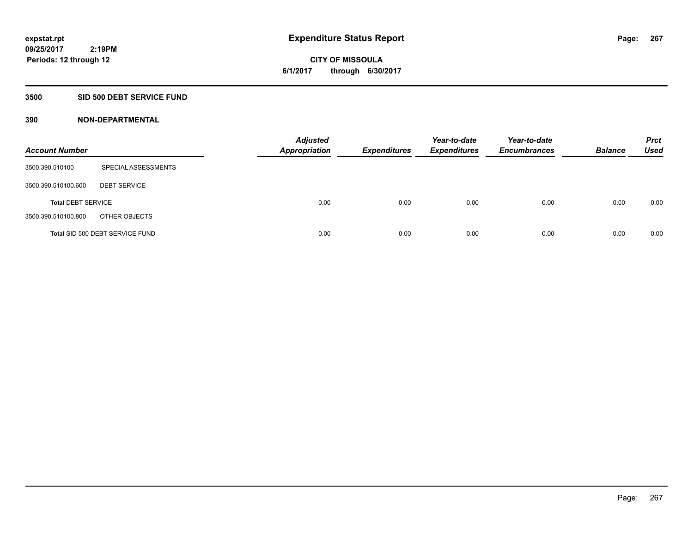# **CITY OF MISSOULA 6/1/2017 through 6/30/2017**

### **3500 SID 500 DEBT SERVICE FUND**

| <b>Account Number</b>     |                                 | <b>Adjusted</b><br><b>Appropriation</b> | <b>Expenditures</b> | Year-to-date<br><b>Expenditures</b> | Year-to-date<br><b>Encumbrances</b> | <b>Balance</b> | <b>Prct</b><br><b>Used</b> |
|---------------------------|---------------------------------|-----------------------------------------|---------------------|-------------------------------------|-------------------------------------|----------------|----------------------------|
| 3500.390.510100           | SPECIAL ASSESSMENTS             |                                         |                     |                                     |                                     |                |                            |
| 3500.390.510100.600       | <b>DEBT SERVICE</b>             |                                         |                     |                                     |                                     |                |                            |
| <b>Total DEBT SERVICE</b> |                                 | 0.00                                    | 0.00                | 0.00                                | 0.00                                | 0.00           | 0.00                       |
| 3500.390.510100.800       | OTHER OBJECTS                   |                                         |                     |                                     |                                     |                |                            |
|                           | Total SID 500 DEBT SERVICE FUND | 0.00                                    | 0.00                | 0.00                                | 0.00                                | 0.00           | 0.00                       |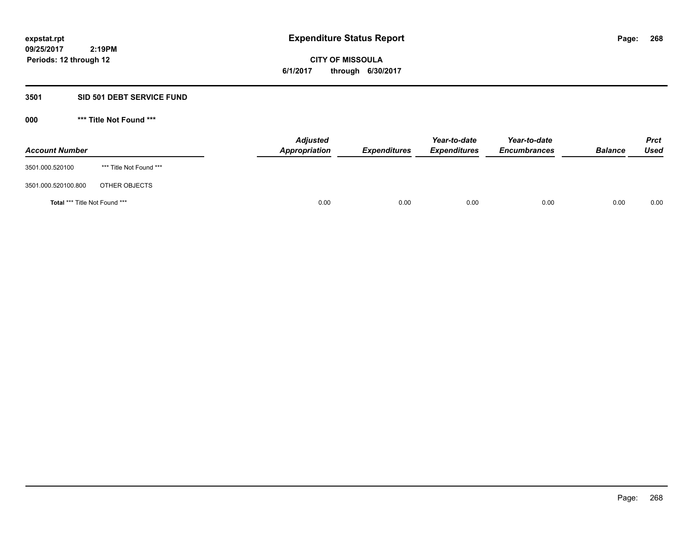**CITY OF MISSOULA 6/1/2017 through 6/30/2017**

#### **3501 SID 501 DEBT SERVICE FUND**

| <b>Account Number</b>         |                         | <b>Adjusted</b><br>Appropriation | <b>Expenditures</b> | Year-to-date<br><b>Expenditures</b> | Year-to-date<br><b>Encumbrances</b> | <b>Balance</b> | <b>Prct</b><br>Used |
|-------------------------------|-------------------------|----------------------------------|---------------------|-------------------------------------|-------------------------------------|----------------|---------------------|
| 3501.000.520100               | *** Title Not Found *** |                                  |                     |                                     |                                     |                |                     |
| 3501.000.520100.800           | OTHER OBJECTS           |                                  |                     |                                     |                                     |                |                     |
| Total *** Title Not Found *** |                         | 0.00                             | 0.00                | 0.00                                | 0.00                                | 0.00           | 0.00                |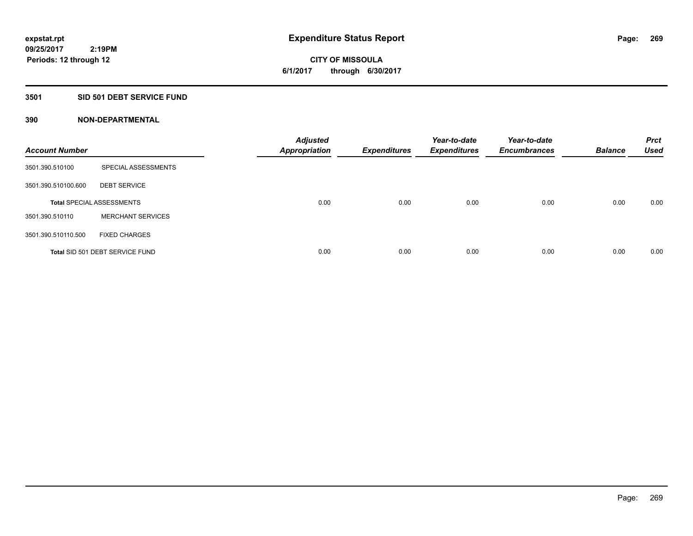**CITY OF MISSOULA 6/1/2017 through 6/30/2017**

#### **3501 SID 501 DEBT SERVICE FUND**

| <b>Account Number</b> |                                  | <b>Adjusted</b><br><b>Appropriation</b> | <b>Expenditures</b> | Year-to-date<br><b>Expenditures</b> | Year-to-date<br><b>Encumbrances</b> | <b>Balance</b> | <b>Prct</b><br><b>Used</b> |
|-----------------------|----------------------------------|-----------------------------------------|---------------------|-------------------------------------|-------------------------------------|----------------|----------------------------|
| 3501.390.510100       | SPECIAL ASSESSMENTS              |                                         |                     |                                     |                                     |                |                            |
| 3501.390.510100.600   | <b>DEBT SERVICE</b>              |                                         |                     |                                     |                                     |                |                            |
|                       | <b>Total SPECIAL ASSESSMENTS</b> | 0.00                                    | 0.00                | 0.00                                | 0.00                                | 0.00           | 0.00                       |
| 3501.390.510110       | <b>MERCHANT SERVICES</b>         |                                         |                     |                                     |                                     |                |                            |
| 3501.390.510110.500   | <b>FIXED CHARGES</b>             |                                         |                     |                                     |                                     |                |                            |
|                       | Total SID 501 DEBT SERVICE FUND  | 0.00                                    | 0.00                | 0.00                                | 0.00                                | 0.00           | 0.00                       |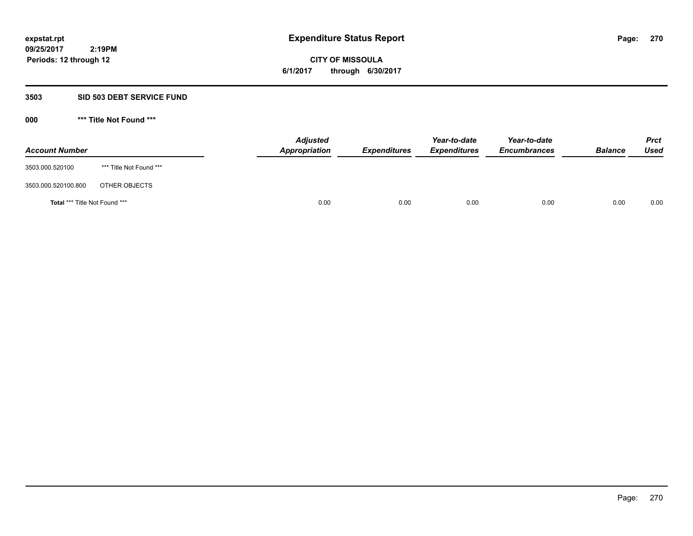# **CITY OF MISSOULA 6/1/2017 through 6/30/2017**

### **3503 SID 503 DEBT SERVICE FUND**

| <b>Account Number</b>         |                         | <b>Adjusted</b><br>Appropriation | <b>Expenditures</b> | Year-to-date<br><b>Expenditures</b> | Year-to-date<br><b>Encumbrances</b> | <b>Balance</b> | <b>Prct</b><br>Used |
|-------------------------------|-------------------------|----------------------------------|---------------------|-------------------------------------|-------------------------------------|----------------|---------------------|
| 3503.000.520100               | *** Title Not Found *** |                                  |                     |                                     |                                     |                |                     |
| 3503.000.520100.800           | OTHER OBJECTS           |                                  |                     |                                     |                                     |                |                     |
| Total *** Title Not Found *** |                         | 0.00                             | 0.00                | 0.00                                | 0.00                                | 0.00           | 0.00                |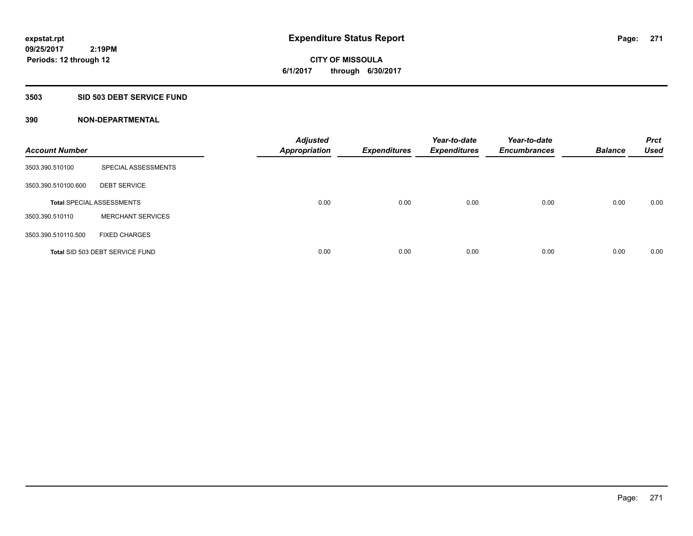**CITY OF MISSOULA 6/1/2017 through 6/30/2017**

#### **3503 SID 503 DEBT SERVICE FUND**

| <b>Account Number</b> |                                  | <b>Adjusted</b><br><b>Appropriation</b> | <b>Expenditures</b> | Year-to-date<br><b>Expenditures</b> | Year-to-date<br><b>Encumbrances</b> | <b>Balance</b> | <b>Prct</b><br><b>Used</b> |
|-----------------------|----------------------------------|-----------------------------------------|---------------------|-------------------------------------|-------------------------------------|----------------|----------------------------|
| 3503.390.510100       | SPECIAL ASSESSMENTS              |                                         |                     |                                     |                                     |                |                            |
| 3503.390.510100.600   | <b>DEBT SERVICE</b>              |                                         |                     |                                     |                                     |                |                            |
|                       | <b>Total SPECIAL ASSESSMENTS</b> | 0.00                                    | 0.00                | 0.00                                | 0.00                                | 0.00           | 0.00                       |
| 3503.390.510110       | <b>MERCHANT SERVICES</b>         |                                         |                     |                                     |                                     |                |                            |
| 3503.390.510110.500   | <b>FIXED CHARGES</b>             |                                         |                     |                                     |                                     |                |                            |
|                       | Total SID 503 DEBT SERVICE FUND  | 0.00                                    | 0.00                | 0.00                                | 0.00                                | 0.00           | 0.00                       |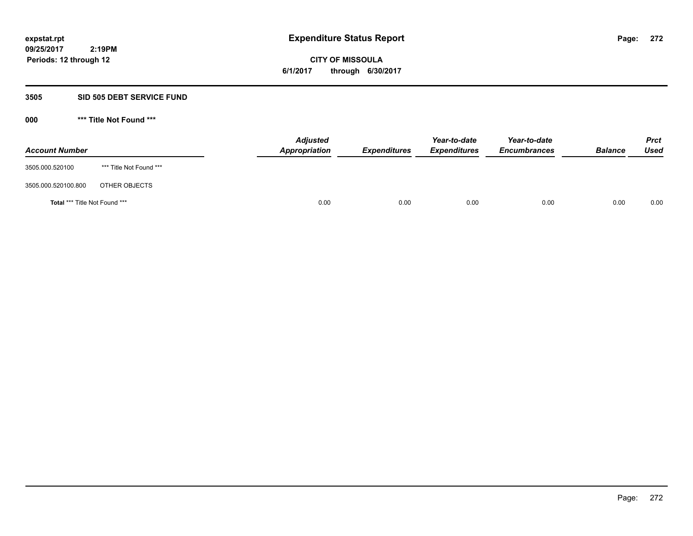**CITY OF MISSOULA 6/1/2017 through 6/30/2017**

### **3505 SID 505 DEBT SERVICE FUND**

| <b>Account Number</b>         |                         | <b>Adjusted</b><br>Appropriation | <b>Expenditures</b> | Year-to-date<br><b>Expenditures</b> | Year-to-date<br><b>Encumbrances</b> | <b>Balance</b> | <b>Prct</b><br>Used |
|-------------------------------|-------------------------|----------------------------------|---------------------|-------------------------------------|-------------------------------------|----------------|---------------------|
| 3505.000.520100               | *** Title Not Found *** |                                  |                     |                                     |                                     |                |                     |
| 3505.000.520100.800           | OTHER OBJECTS           |                                  |                     |                                     |                                     |                |                     |
| Total *** Title Not Found *** |                         | 0.00                             | 0.00                | 0.00                                | 0.00                                | 0.00           | 0.00                |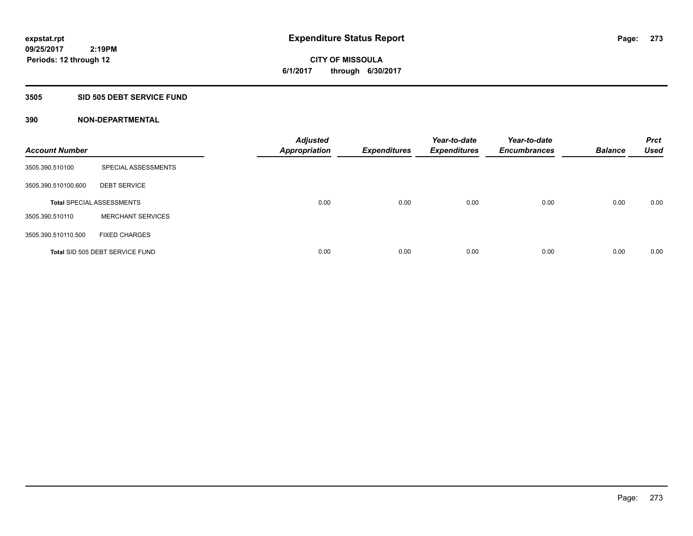**CITY OF MISSOULA 6/1/2017 through 6/30/2017**

#### **3505 SID 505 DEBT SERVICE FUND**

| <b>Account Number</b> |                                  | <b>Adjusted</b><br><b>Appropriation</b> | <b>Expenditures</b> | Year-to-date<br><b>Expenditures</b> | Year-to-date<br><b>Encumbrances</b> | <b>Balance</b> | <b>Prct</b><br><b>Used</b> |
|-----------------------|----------------------------------|-----------------------------------------|---------------------|-------------------------------------|-------------------------------------|----------------|----------------------------|
| 3505.390.510100       | SPECIAL ASSESSMENTS              |                                         |                     |                                     |                                     |                |                            |
| 3505.390.510100.600   | <b>DEBT SERVICE</b>              |                                         |                     |                                     |                                     |                |                            |
|                       | <b>Total SPECIAL ASSESSMENTS</b> | 0.00                                    | 0.00                | 0.00                                | 0.00                                | 0.00           | 0.00                       |
| 3505.390.510110       | <b>MERCHANT SERVICES</b>         |                                         |                     |                                     |                                     |                |                            |
| 3505.390.510110.500   | <b>FIXED CHARGES</b>             |                                         |                     |                                     |                                     |                |                            |
|                       | Total SID 505 DEBT SERVICE FUND  | 0.00                                    | 0.00                | 0.00                                | 0.00                                | 0.00           | 0.00                       |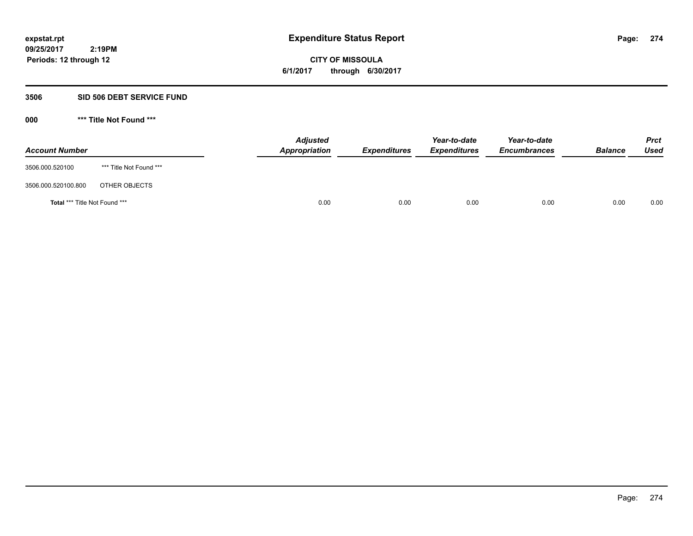**CITY OF MISSOULA 6/1/2017 through 6/30/2017**

### **3506 SID 506 DEBT SERVICE FUND**

| <b>Account Number</b>                |                         | <b>Adjusted</b><br>Appropriation | <b>Expenditures</b> | Year-to-date<br><i><b>Expenditures</b></i> | Year-to-date<br><b>Encumbrances</b> | <b>Balance</b> | <b>Prct</b><br>Used |
|--------------------------------------|-------------------------|----------------------------------|---------------------|--------------------------------------------|-------------------------------------|----------------|---------------------|
| 3506.000.520100                      | *** Title Not Found *** |                                  |                     |                                            |                                     |                |                     |
| 3506.000.520100.800                  | OTHER OBJECTS           |                                  |                     |                                            |                                     |                |                     |
| <b>Total *** Title Not Found ***</b> |                         | 0.00                             | 0.00                | 0.00                                       | 0.00                                | 0.00           | 0.00                |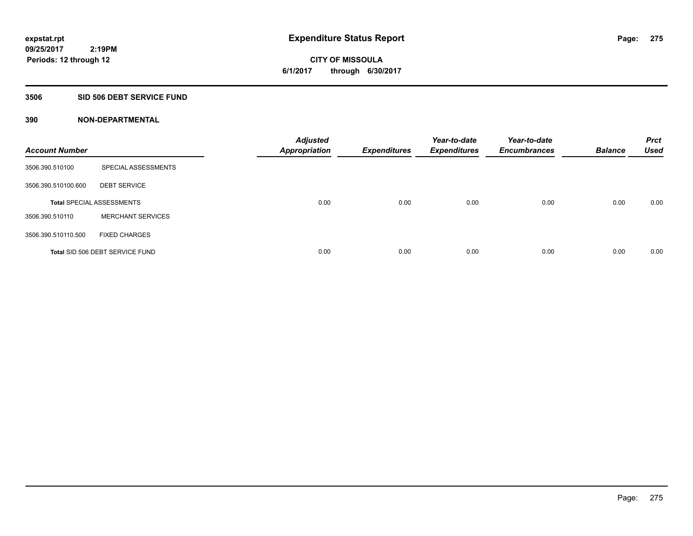**CITY OF MISSOULA 6/1/2017 through 6/30/2017**

#### **3506 SID 506 DEBT SERVICE FUND**

| <b>Account Number</b> |                                  | <b>Adjusted</b><br><b>Appropriation</b> | <b>Expenditures</b> | Year-to-date<br><b>Expenditures</b> | Year-to-date<br><b>Encumbrances</b> | <b>Balance</b> | <b>Prct</b><br><b>Used</b> |
|-----------------------|----------------------------------|-----------------------------------------|---------------------|-------------------------------------|-------------------------------------|----------------|----------------------------|
| 3506.390.510100       | SPECIAL ASSESSMENTS              |                                         |                     |                                     |                                     |                |                            |
| 3506.390.510100.600   | <b>DEBT SERVICE</b>              |                                         |                     |                                     |                                     |                |                            |
|                       | <b>Total SPECIAL ASSESSMENTS</b> | 0.00                                    | 0.00                | 0.00                                | 0.00                                | 0.00           | 0.00                       |
| 3506.390.510110       | <b>MERCHANT SERVICES</b>         |                                         |                     |                                     |                                     |                |                            |
| 3506.390.510110.500   | <b>FIXED CHARGES</b>             |                                         |                     |                                     |                                     |                |                            |
|                       | Total SID 506 DEBT SERVICE FUND  | 0.00                                    | 0.00                | 0.00                                | 0.00                                | 0.00           | 0.00                       |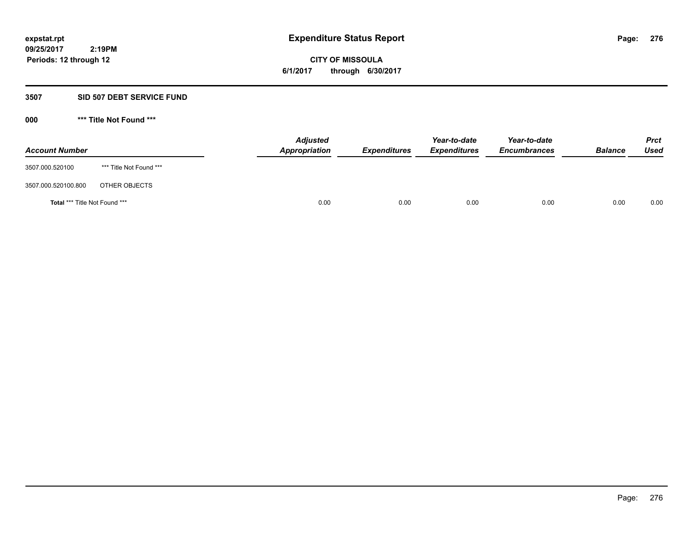**CITY OF MISSOULA 6/1/2017 through 6/30/2017**

### **3507 SID 507 DEBT SERVICE FUND**

| <b>Account Number</b>                |                         | <b>Adjusted</b><br>Appropriation | <b>Expenditures</b> | Year-to-date<br><b>Expenditures</b> | Year-to-date<br><b>Encumbrances</b> | <b>Balance</b> | <b>Prct</b><br><b>Used</b> |
|--------------------------------------|-------------------------|----------------------------------|---------------------|-------------------------------------|-------------------------------------|----------------|----------------------------|
| 3507.000.520100                      | *** Title Not Found *** |                                  |                     |                                     |                                     |                |                            |
| 3507.000.520100.800                  | OTHER OBJECTS           |                                  |                     |                                     |                                     |                |                            |
| <b>Total *** Title Not Found ***</b> |                         | 0.00                             | 0.00                | 0.00                                | 0.00                                | 0.00           | 0.00                       |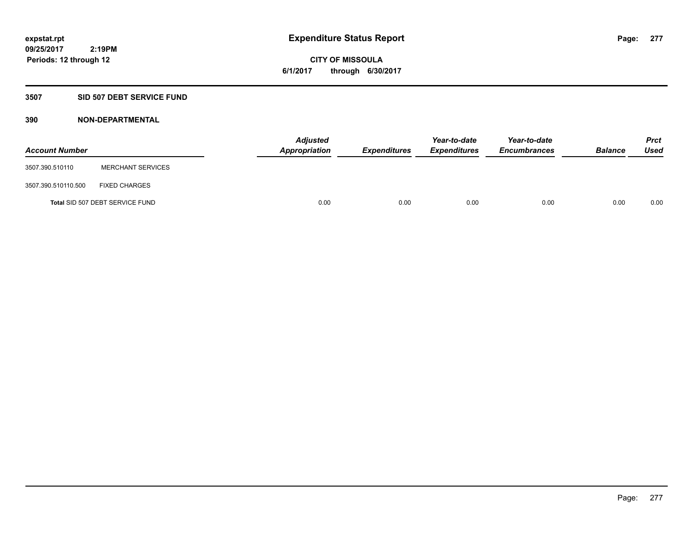# **CITY OF MISSOULA 6/1/2017 through 6/30/2017**

### **3507 SID 507 DEBT SERVICE FUND**

| <b>Account Number</b> |                                 | <b>Adjusted</b><br>Appropriation | <b>Expenditures</b> | Year-to-date<br><b>Expenditures</b> | Year-to-date<br><b>Encumbrances</b> | <b>Balance</b> | <b>Prct</b><br>Used |
|-----------------------|---------------------------------|----------------------------------|---------------------|-------------------------------------|-------------------------------------|----------------|---------------------|
| 3507.390.510110       | <b>MERCHANT SERVICES</b>        |                                  |                     |                                     |                                     |                |                     |
| 3507.390.510110.500   | <b>FIXED CHARGES</b>            |                                  |                     |                                     |                                     |                |                     |
|                       | Total SID 507 DEBT SERVICE FUND | 0.00                             | 0.00                | 0.00                                | 0.00                                | 0.00           | 0.00                |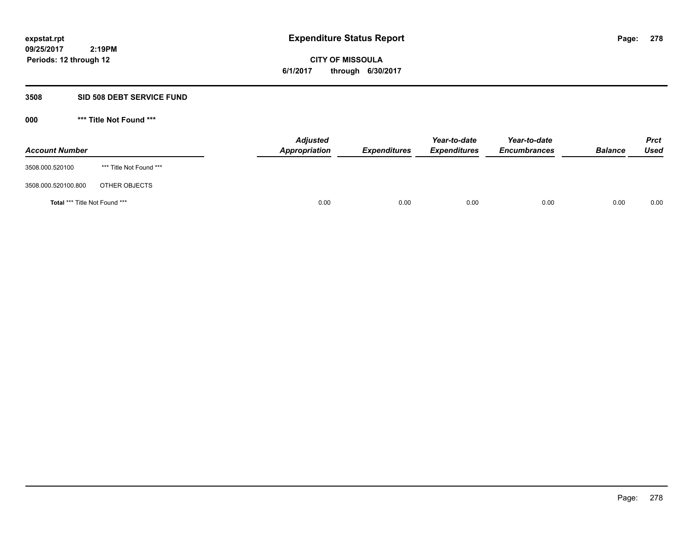**CITY OF MISSOULA 6/1/2017 through 6/30/2017**

### **3508 SID 508 DEBT SERVICE FUND**

| <b>Account Number</b>         |                         | <b>Adjusted</b><br>Appropriation | <b>Expenditures</b> | Year-to-date<br><b>Expenditures</b> | Year-to-date<br><b>Encumbrances</b> | <b>Balance</b> | Prct<br><b>Used</b> |
|-------------------------------|-------------------------|----------------------------------|---------------------|-------------------------------------|-------------------------------------|----------------|---------------------|
| 3508.000.520100               | *** Title Not Found *** |                                  |                     |                                     |                                     |                |                     |
| 3508.000.520100.800           | OTHER OBJECTS           |                                  |                     |                                     |                                     |                |                     |
| Total *** Title Not Found *** |                         | 0.00                             | 0.00                | 0.00                                | 0.00                                | 0.00           | 0.00                |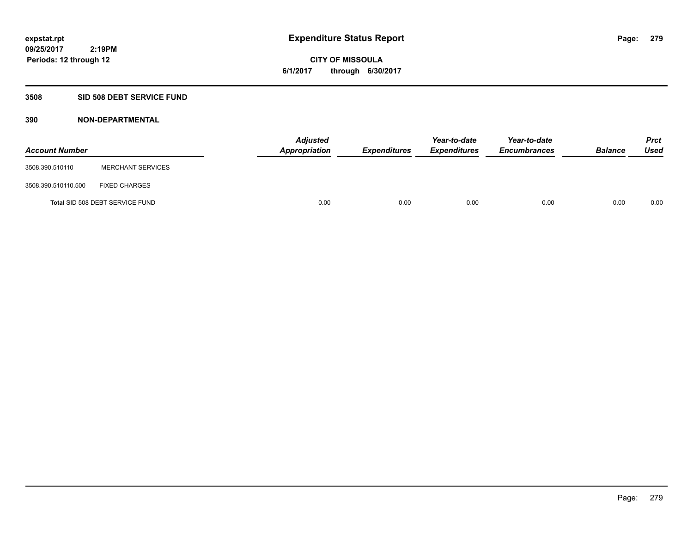# **CITY OF MISSOULA 6/1/2017 through 6/30/2017**

### **3508 SID 508 DEBT SERVICE FUND**

| <b>Account Number</b> |                                 | <b>Adjusted</b><br>Appropriation | <b>Expenditures</b> | Year-to-date<br><b>Expenditures</b> | Year-to-date<br><b>Encumbrances</b> | <b>Balance</b> | Prct<br><b>Used</b> |
|-----------------------|---------------------------------|----------------------------------|---------------------|-------------------------------------|-------------------------------------|----------------|---------------------|
| 3508.390.510110       | <b>MERCHANT SERVICES</b>        |                                  |                     |                                     |                                     |                |                     |
| 3508.390.510110.500   | <b>FIXED CHARGES</b>            |                                  |                     |                                     |                                     |                |                     |
|                       | Total SID 508 DEBT SERVICE FUND | 0.00                             | 0.00                | 0.00                                | 0.00                                | 0.00           | 0.00                |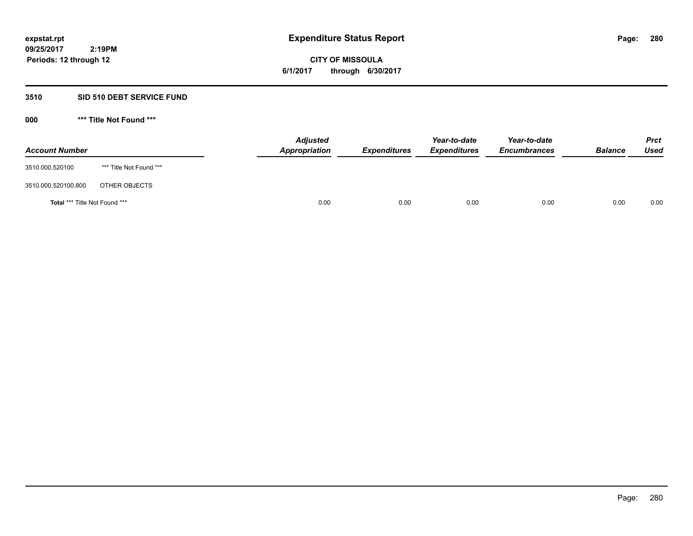**CITY OF MISSOULA 6/1/2017 through 6/30/2017**

### **3510 SID 510 DEBT SERVICE FUND**

| <b>Account Number</b>         |                         | <b>Adjusted</b><br>Appropriation | <b>Expenditures</b> | Year-to-date<br><b>Expenditures</b> | Year-to-date<br><b>Encumbrances</b> | <b>Balance</b> | <b>Prct</b><br>Used |
|-------------------------------|-------------------------|----------------------------------|---------------------|-------------------------------------|-------------------------------------|----------------|---------------------|
| 3510.000.520100               | *** Title Not Found *** |                                  |                     |                                     |                                     |                |                     |
| 3510.000.520100.800           | OTHER OBJECTS           |                                  |                     |                                     |                                     |                |                     |
| Total *** Title Not Found *** |                         | 0.00                             | 0.00                | 0.00                                | 0.00                                | 0.00           | 0.00                |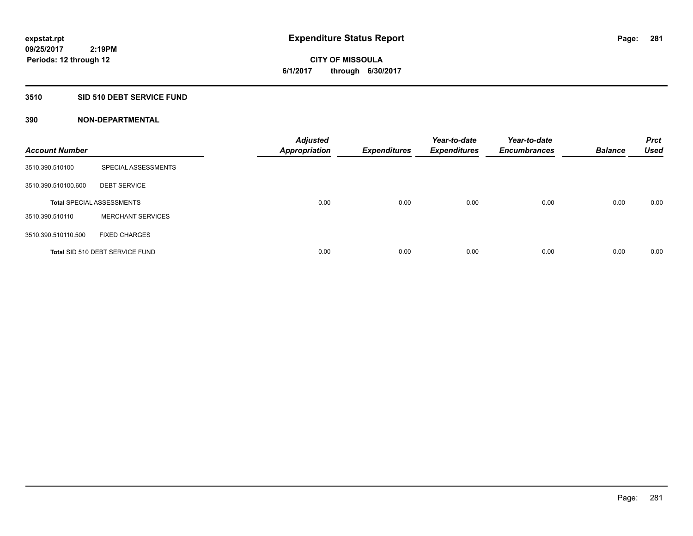**CITY OF MISSOULA 6/1/2017 through 6/30/2017**

#### **3510 SID 510 DEBT SERVICE FUND**

| <b>Account Number</b> |                                  | <b>Adjusted</b><br><b>Appropriation</b> | <b>Expenditures</b> | Year-to-date<br><b>Expenditures</b> | Year-to-date<br><b>Encumbrances</b> | <b>Balance</b> | <b>Prct</b><br><b>Used</b> |
|-----------------------|----------------------------------|-----------------------------------------|---------------------|-------------------------------------|-------------------------------------|----------------|----------------------------|
| 3510.390.510100       | SPECIAL ASSESSMENTS              |                                         |                     |                                     |                                     |                |                            |
| 3510.390.510100.600   | <b>DEBT SERVICE</b>              |                                         |                     |                                     |                                     |                |                            |
|                       | <b>Total SPECIAL ASSESSMENTS</b> | 0.00                                    | 0.00                | 0.00                                | 0.00                                | 0.00           | 0.00                       |
| 3510.390.510110       | <b>MERCHANT SERVICES</b>         |                                         |                     |                                     |                                     |                |                            |
| 3510.390.510110.500   | <b>FIXED CHARGES</b>             |                                         |                     |                                     |                                     |                |                            |
|                       | Total SID 510 DEBT SERVICE FUND  | 0.00                                    | 0.00                | 0.00                                | 0.00                                | 0.00           | 0.00                       |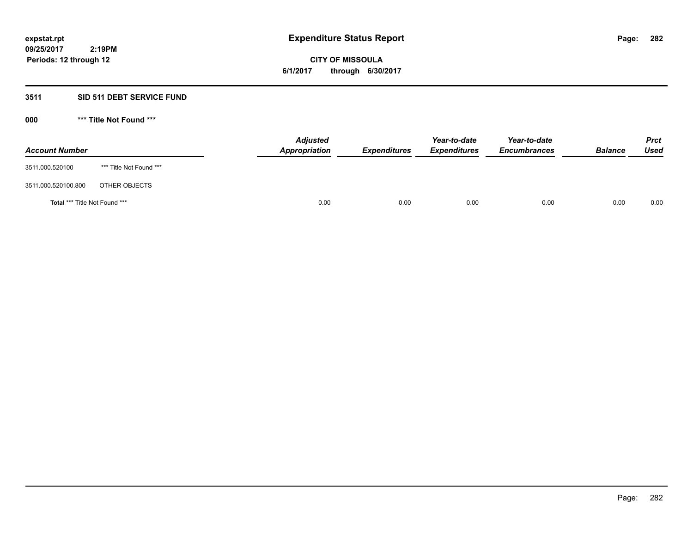**CITY OF MISSOULA 6/1/2017 through 6/30/2017**

### **3511 SID 511 DEBT SERVICE FUND**

| <b>Account Number</b>         |                         | <b>Adjusted</b><br>Appropriation | <b>Expenditures</b> | Year-to-date<br><b>Expenditures</b> | Year-to-date<br><b>Encumbrances</b> | <b>Balance</b> | <b>Prct</b><br>Used |
|-------------------------------|-------------------------|----------------------------------|---------------------|-------------------------------------|-------------------------------------|----------------|---------------------|
| 3511.000.520100               | *** Title Not Found *** |                                  |                     |                                     |                                     |                |                     |
| 3511.000.520100.800           | OTHER OBJECTS           |                                  |                     |                                     |                                     |                |                     |
| Total *** Title Not Found *** |                         | 0.00                             | 0.00                | 0.00                                | 0.00                                | 0.00           | 0.00                |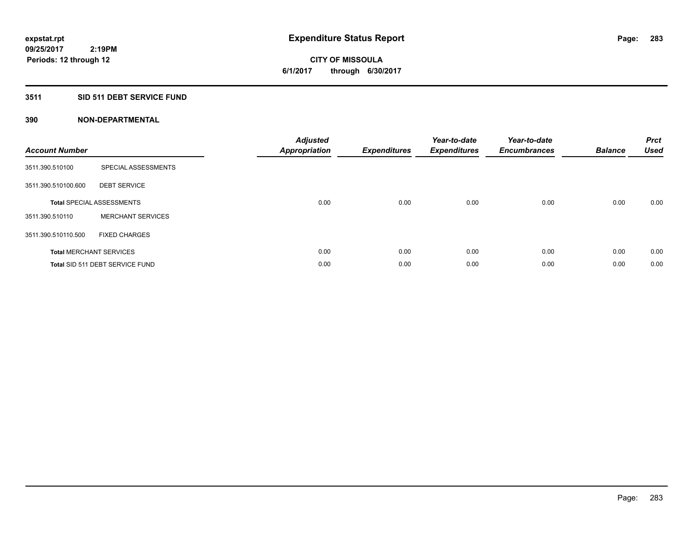# **CITY OF MISSOULA 6/1/2017 through 6/30/2017**

### **3511 SID 511 DEBT SERVICE FUND**

| <b>Account Number</b> |                                  | <b>Adjusted</b><br>Appropriation | <b>Expenditures</b> | Year-to-date<br><b>Expenditures</b> | Year-to-date<br><b>Encumbrances</b> | <b>Balance</b> | <b>Prct</b><br><b>Used</b> |
|-----------------------|----------------------------------|----------------------------------|---------------------|-------------------------------------|-------------------------------------|----------------|----------------------------|
| 3511.390.510100       | SPECIAL ASSESSMENTS              |                                  |                     |                                     |                                     |                |                            |
| 3511.390.510100.600   | <b>DEBT SERVICE</b>              |                                  |                     |                                     |                                     |                |                            |
|                       | <b>Total SPECIAL ASSESSMENTS</b> | 0.00                             | 0.00                | 0.00                                | 0.00                                | 0.00           | 0.00                       |
| 3511.390.510110       | <b>MERCHANT SERVICES</b>         |                                  |                     |                                     |                                     |                |                            |
| 3511.390.510110.500   | <b>FIXED CHARGES</b>             |                                  |                     |                                     |                                     |                |                            |
|                       | <b>Total MERCHANT SERVICES</b>   | 0.00                             | 0.00                | 0.00                                | 0.00                                | 0.00           | 0.00                       |
|                       | Total SID 511 DEBT SERVICE FUND  | 0.00                             | 0.00                | 0.00                                | 0.00                                | 0.00           | 0.00                       |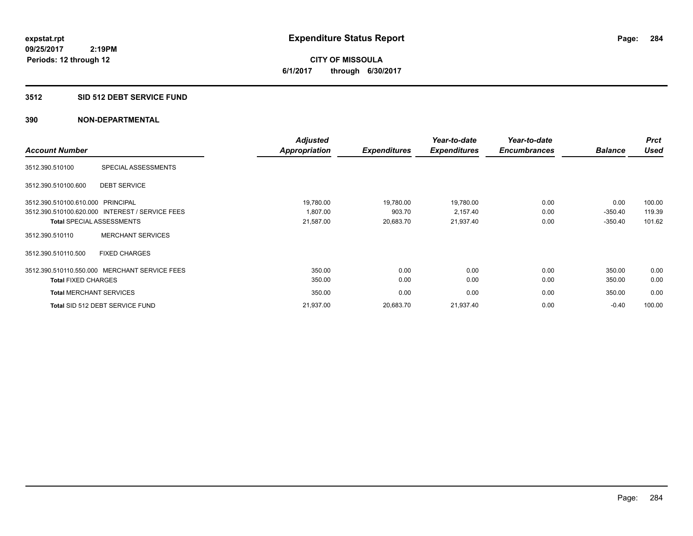**CITY OF MISSOULA 6/1/2017 through 6/30/2017**

#### **3512 SID 512 DEBT SERVICE FUND**

|                                |                                                 | <b>Adjusted</b> |                     | Year-to-date        | Year-to-date        |                | <b>Prct</b> |
|--------------------------------|-------------------------------------------------|-----------------|---------------------|---------------------|---------------------|----------------|-------------|
| <b>Account Number</b>          |                                                 | Appropriation   | <b>Expenditures</b> | <b>Expenditures</b> | <b>Encumbrances</b> | <b>Balance</b> | <b>Used</b> |
| 3512.390.510100                | SPECIAL ASSESSMENTS                             |                 |                     |                     |                     |                |             |
| 3512.390.510100.600            | <b>DEBT SERVICE</b>                             |                 |                     |                     |                     |                |             |
| 3512.390.510100.610.000        | PRINCIPAL                                       | 19,780.00       | 19,780.00           | 19,780.00           | 0.00                | 0.00           | 100.00      |
|                                | 3512.390.510100.620.000 INTEREST / SERVICE FEES | 1,807.00        | 903.70              | 2,157.40            | 0.00                | $-350.40$      | 119.39      |
|                                | <b>Total SPECIAL ASSESSMENTS</b>                | 21,587.00       | 20,683.70           | 21,937.40           | 0.00                | $-350.40$      | 101.62      |
| 3512.390.510110                | <b>MERCHANT SERVICES</b>                        |                 |                     |                     |                     |                |             |
| 3512.390.510110.500            | <b>FIXED CHARGES</b>                            |                 |                     |                     |                     |                |             |
|                                | 3512.390.510110.550.000 MERCHANT SERVICE FEES   | 350.00          | 0.00                | 0.00                | 0.00                | 350.00         | 0.00        |
| <b>Total FIXED CHARGES</b>     |                                                 | 350.00          | 0.00                | 0.00                | 0.00                | 350.00         | 0.00        |
| <b>Total MERCHANT SERVICES</b> |                                                 | 350.00          | 0.00                | 0.00                | 0.00                | 350.00         | 0.00        |
|                                | Total SID 512 DEBT SERVICE FUND                 | 21,937.00       | 20,683.70           | 21,937.40           | 0.00                | $-0.40$        | 100.00      |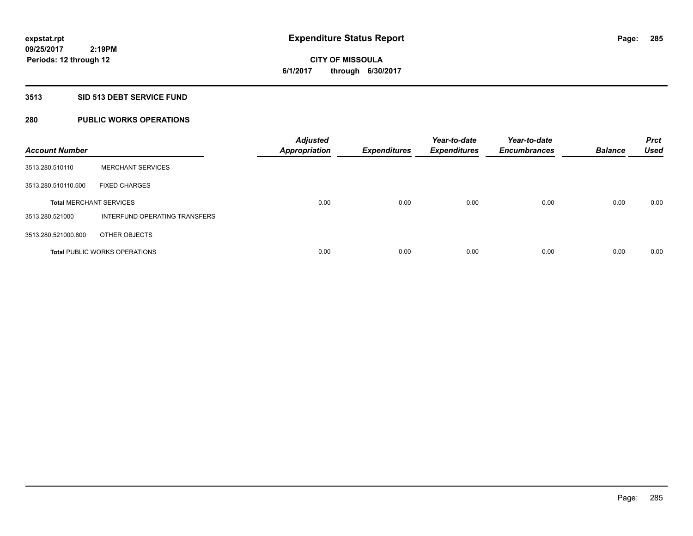# **CITY OF MISSOULA 6/1/2017 through 6/30/2017**

#### **3513 SID 513 DEBT SERVICE FUND**

### **280 PUBLIC WORKS OPERATIONS**

| <b>Account Number</b>          |                                      | <b>Adjusted</b><br><b>Appropriation</b> | <b>Expenditures</b> | Year-to-date<br><b>Expenditures</b> | Year-to-date<br><b>Encumbrances</b> | <b>Balance</b> | <b>Prct</b><br><b>Used</b> |
|--------------------------------|--------------------------------------|-----------------------------------------|---------------------|-------------------------------------|-------------------------------------|----------------|----------------------------|
| 3513.280.510110                | <b>MERCHANT SERVICES</b>             |                                         |                     |                                     |                                     |                |                            |
| 3513.280.510110.500            | <b>FIXED CHARGES</b>                 |                                         |                     |                                     |                                     |                |                            |
| <b>Total MERCHANT SERVICES</b> |                                      | 0.00                                    | 0.00                | 0.00                                | 0.00                                | 0.00           | 0.00                       |
| 3513.280.521000                | INTERFUND OPERATING TRANSFERS        |                                         |                     |                                     |                                     |                |                            |
| 3513.280.521000.800            | OTHER OBJECTS                        |                                         |                     |                                     |                                     |                |                            |
|                                | <b>Total PUBLIC WORKS OPERATIONS</b> | 0.00                                    | 0.00                | 0.00                                | 0.00                                | 0.00           | 0.00                       |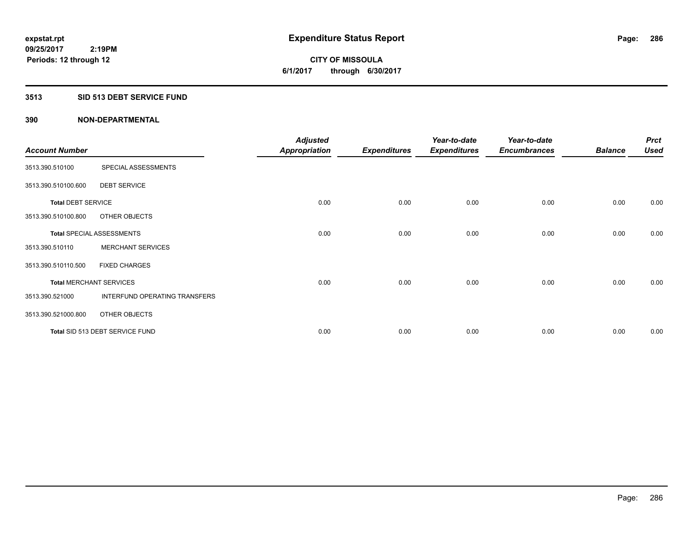**CITY OF MISSOULA 6/1/2017 through 6/30/2017**

#### **3513 SID 513 DEBT SERVICE FUND**

|                           |                                  | <b>Adjusted</b>      |                     | Year-to-date        | Year-to-date        |                | <b>Prct</b> |
|---------------------------|----------------------------------|----------------------|---------------------|---------------------|---------------------|----------------|-------------|
| <b>Account Number</b>     |                                  | <b>Appropriation</b> | <b>Expenditures</b> | <b>Expenditures</b> | <b>Encumbrances</b> | <b>Balance</b> | <b>Used</b> |
| 3513.390.510100           | SPECIAL ASSESSMENTS              |                      |                     |                     |                     |                |             |
| 3513.390.510100.600       | <b>DEBT SERVICE</b>              |                      |                     |                     |                     |                |             |
| <b>Total DEBT SERVICE</b> |                                  | 0.00                 | 0.00                | 0.00                | 0.00                | 0.00           | 0.00        |
| 3513.390.510100.800       | OTHER OBJECTS                    |                      |                     |                     |                     |                |             |
|                           | <b>Total SPECIAL ASSESSMENTS</b> | 0.00                 | 0.00                | 0.00                | 0.00                | 0.00           | 0.00        |
| 3513.390.510110           | <b>MERCHANT SERVICES</b>         |                      |                     |                     |                     |                |             |
| 3513.390.510110.500       | <b>FIXED CHARGES</b>             |                      |                     |                     |                     |                |             |
|                           | <b>Total MERCHANT SERVICES</b>   | 0.00                 | 0.00                | 0.00                | 0.00                | 0.00           | 0.00        |
| 3513.390.521000           | INTERFUND OPERATING TRANSFERS    |                      |                     |                     |                     |                |             |
| 3513.390.521000.800       | OTHER OBJECTS                    |                      |                     |                     |                     |                |             |
|                           | Total SID 513 DEBT SERVICE FUND  | 0.00                 | 0.00                | 0.00                | 0.00                | 0.00           | 0.00        |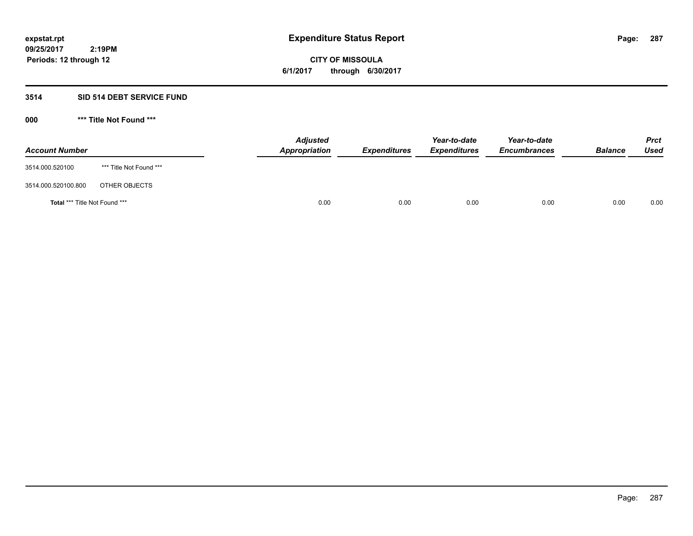**CITY OF MISSOULA 6/1/2017 through 6/30/2017**

### **3514 SID 514 DEBT SERVICE FUND**

| <b>Account Number</b>         |                         | <b>Adjusted</b><br>Appropriation | <b>Expenditures</b> | Year-to-date<br><b>Expenditures</b> | Year-to-date<br><b>Encumbrances</b> | <b>Balance</b> | <b>Prct</b><br>Used |
|-------------------------------|-------------------------|----------------------------------|---------------------|-------------------------------------|-------------------------------------|----------------|---------------------|
| 3514.000.520100               | *** Title Not Found *** |                                  |                     |                                     |                                     |                |                     |
| 3514.000.520100.800           | OTHER OBJECTS           |                                  |                     |                                     |                                     |                |                     |
| Total *** Title Not Found *** |                         | 0.00                             | 0.00                | 0.00                                | 0.00                                | 0.00           | 0.00                |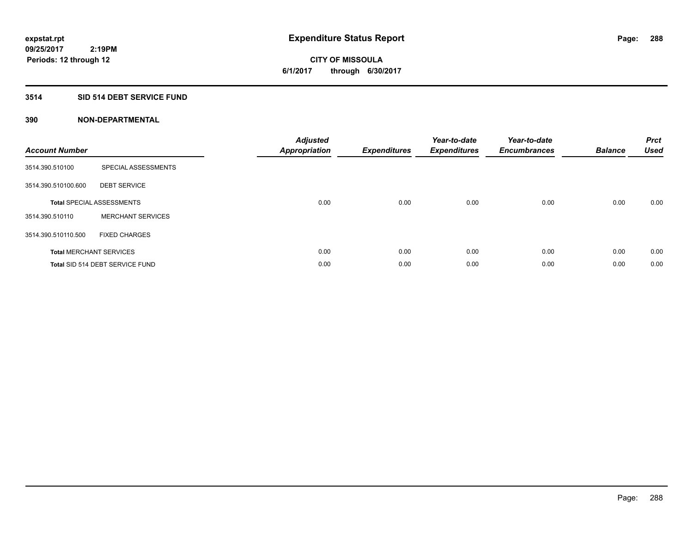**CITY OF MISSOULA 6/1/2017 through 6/30/2017**

#### **3514 SID 514 DEBT SERVICE FUND**

| <b>Account Number</b> |                                  | <b>Adjusted</b><br>Appropriation | <b>Expenditures</b> | Year-to-date<br><b>Expenditures</b> | Year-to-date<br><b>Encumbrances</b> | <b>Balance</b> | <b>Prct</b><br><b>Used</b> |
|-----------------------|----------------------------------|----------------------------------|---------------------|-------------------------------------|-------------------------------------|----------------|----------------------------|
| 3514.390.510100       | SPECIAL ASSESSMENTS              |                                  |                     |                                     |                                     |                |                            |
| 3514.390.510100.600   | <b>DEBT SERVICE</b>              |                                  |                     |                                     |                                     |                |                            |
|                       | <b>Total SPECIAL ASSESSMENTS</b> | 0.00                             | 0.00                | 0.00                                | 0.00                                | 0.00           | 0.00                       |
| 3514.390.510110       | <b>MERCHANT SERVICES</b>         |                                  |                     |                                     |                                     |                |                            |
| 3514.390.510110.500   | <b>FIXED CHARGES</b>             |                                  |                     |                                     |                                     |                |                            |
|                       | <b>Total MERCHANT SERVICES</b>   | 0.00                             | 0.00                | 0.00                                | 0.00                                | 0.00           | 0.00                       |
|                       | Total SID 514 DEBT SERVICE FUND  | 0.00                             | 0.00                | 0.00                                | 0.00                                | 0.00           | 0.00                       |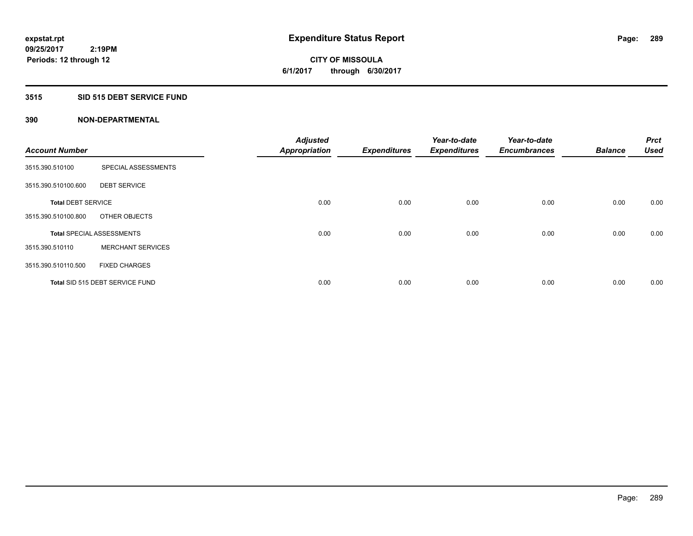**CITY OF MISSOULA 6/1/2017 through 6/30/2017**

#### **3515 SID 515 DEBT SERVICE FUND**

| <b>Account Number</b>     |                                  | <b>Adjusted</b><br><b>Appropriation</b> | <b>Expenditures</b> | Year-to-date<br><b>Expenditures</b> | Year-to-date<br><b>Encumbrances</b> | <b>Balance</b> | <b>Prct</b><br><b>Used</b> |
|---------------------------|----------------------------------|-----------------------------------------|---------------------|-------------------------------------|-------------------------------------|----------------|----------------------------|
|                           |                                  |                                         |                     |                                     |                                     |                |                            |
| 3515.390.510100           | SPECIAL ASSESSMENTS              |                                         |                     |                                     |                                     |                |                            |
| 3515.390.510100.600       | <b>DEBT SERVICE</b>              |                                         |                     |                                     |                                     |                |                            |
| <b>Total DEBT SERVICE</b> |                                  | 0.00                                    | 0.00                | 0.00                                | 0.00                                | 0.00           | 0.00                       |
| 3515.390.510100.800       | OTHER OBJECTS                    |                                         |                     |                                     |                                     |                |                            |
|                           | <b>Total SPECIAL ASSESSMENTS</b> | 0.00                                    | 0.00                | 0.00                                | 0.00                                | 0.00           | 0.00                       |
| 3515.390.510110           | <b>MERCHANT SERVICES</b>         |                                         |                     |                                     |                                     |                |                            |
| 3515.390.510110.500       | <b>FIXED CHARGES</b>             |                                         |                     |                                     |                                     |                |                            |
|                           | Total SID 515 DEBT SERVICE FUND  | 0.00                                    | 0.00                | 0.00                                | 0.00                                | 0.00           | 0.00                       |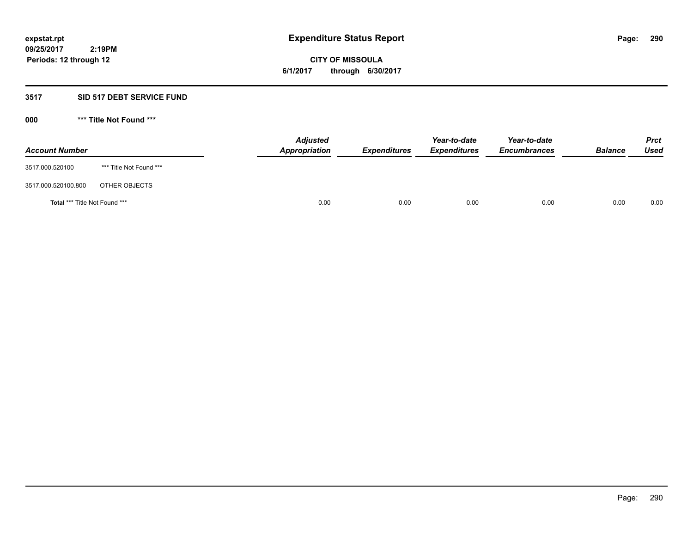**CITY OF MISSOULA 6/1/2017 through 6/30/2017**

#### **3517 SID 517 DEBT SERVICE FUND**

**000 \*\*\* Title Not Found \*\*\***

| <b>Account Number</b>         |                         | <b>Adjusted</b><br>Appropriation | <b>Expenditures</b> | Year-to-date<br><b>Expenditures</b> | Year-to-date<br><b>Encumbrances</b> | <b>Balance</b> | <b>Prct</b><br>Used |
|-------------------------------|-------------------------|----------------------------------|---------------------|-------------------------------------|-------------------------------------|----------------|---------------------|
| 3517.000.520100               | *** Title Not Found *** |                                  |                     |                                     |                                     |                |                     |
| 3517.000.520100.800           | OTHER OBJECTS           |                                  |                     |                                     |                                     |                |                     |
| Total *** Title Not Found *** |                         | 0.00                             | 0.00                | 0.00                                | 0.00                                | 0.00           | 0.00                |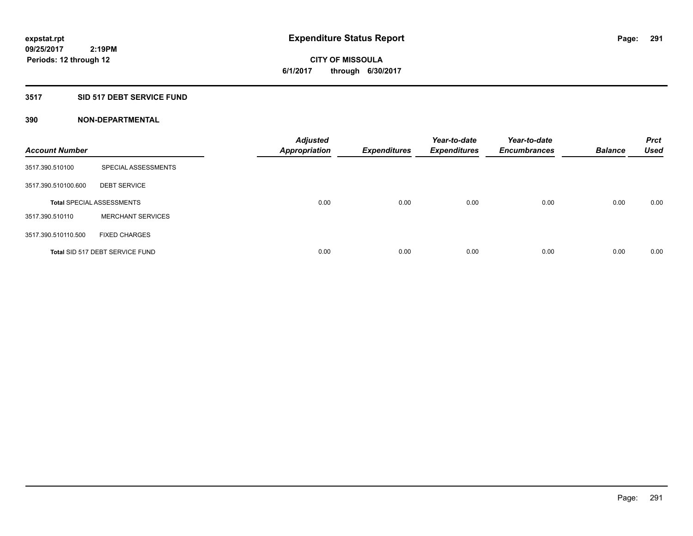# **CITY OF MISSOULA 6/1/2017 through 6/30/2017**

# **3517 SID 517 DEBT SERVICE FUND**

| <b>Account Number</b> |                                  | <b>Adjusted</b><br><b>Appropriation</b> | <b>Expenditures</b> | Year-to-date<br><b>Expenditures</b> | Year-to-date<br><b>Encumbrances</b> | <b>Balance</b> | <b>Prct</b><br><b>Used</b> |
|-----------------------|----------------------------------|-----------------------------------------|---------------------|-------------------------------------|-------------------------------------|----------------|----------------------------|
| 3517.390.510100       | SPECIAL ASSESSMENTS              |                                         |                     |                                     |                                     |                |                            |
| 3517.390.510100.600   | <b>DEBT SERVICE</b>              |                                         |                     |                                     |                                     |                |                            |
|                       | <b>Total SPECIAL ASSESSMENTS</b> | 0.00                                    | 0.00                | 0.00                                | 0.00                                | 0.00           | 0.00                       |
| 3517.390.510110       | <b>MERCHANT SERVICES</b>         |                                         |                     |                                     |                                     |                |                            |
| 3517.390.510110.500   | <b>FIXED CHARGES</b>             |                                         |                     |                                     |                                     |                |                            |
|                       | Total SID 517 DEBT SERVICE FUND  | 0.00                                    | 0.00                | 0.00                                | 0.00                                | 0.00           | 0.00                       |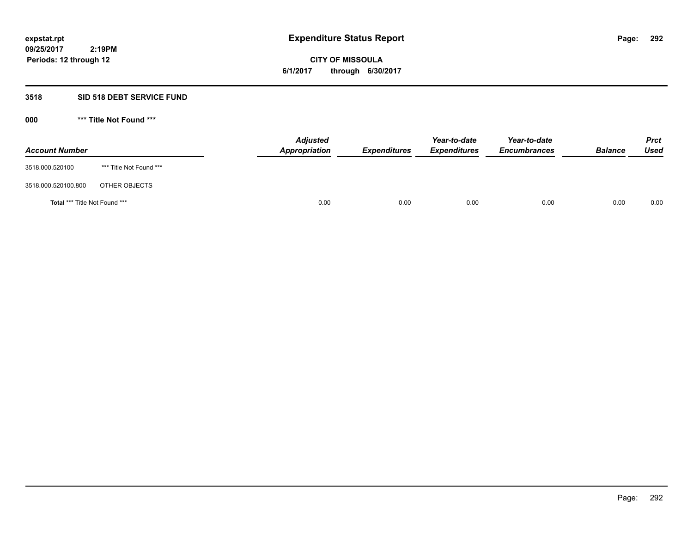**CITY OF MISSOULA 6/1/2017 through 6/30/2017**

#### **3518 SID 518 DEBT SERVICE FUND**

**000 \*\*\* Title Not Found \*\*\***

| <b>Account Number</b>         |                         | <b>Adjusted</b><br>Appropriation | <b>Expenditures</b> | Year-to-date<br><b>Expenditures</b> | Year-to-date<br><b>Encumbrances</b> | <b>Balance</b> | <b>Prct</b><br>Used |
|-------------------------------|-------------------------|----------------------------------|---------------------|-------------------------------------|-------------------------------------|----------------|---------------------|
| 3518.000.520100               | *** Title Not Found *** |                                  |                     |                                     |                                     |                |                     |
| 3518.000.520100.800           | OTHER OBJECTS           |                                  |                     |                                     |                                     |                |                     |
| Total *** Title Not Found *** |                         | 0.00                             | 0.00                | 0.00                                | 0.00                                | 0.00           | 0.00                |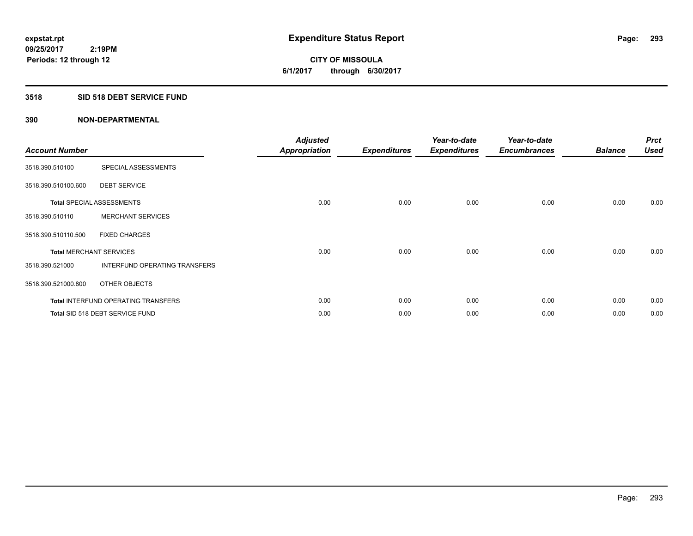**293**

**09/25/2017 2:19PM Periods: 12 through 12**

# **CITY OF MISSOULA 6/1/2017 through 6/30/2017**

# **3518 SID 518 DEBT SERVICE FUND**

| <b>Account Number</b>          |                                     | <b>Adjusted</b><br><b>Appropriation</b> | <b>Expenditures</b> | Year-to-date<br><b>Expenditures</b> | Year-to-date<br><b>Encumbrances</b> | <b>Balance</b> | <b>Prct</b><br>Used |
|--------------------------------|-------------------------------------|-----------------------------------------|---------------------|-------------------------------------|-------------------------------------|----------------|---------------------|
| 3518.390.510100                | SPECIAL ASSESSMENTS                 |                                         |                     |                                     |                                     |                |                     |
| 3518.390.510100.600            | <b>DEBT SERVICE</b>                 |                                         |                     |                                     |                                     |                |                     |
|                                | <b>Total SPECIAL ASSESSMENTS</b>    | 0.00                                    | 0.00                | 0.00                                | 0.00                                | 0.00           | 0.00                |
| 3518.390.510110                | <b>MERCHANT SERVICES</b>            |                                         |                     |                                     |                                     |                |                     |
| 3518.390.510110.500            | <b>FIXED CHARGES</b>                |                                         |                     |                                     |                                     |                |                     |
| <b>Total MERCHANT SERVICES</b> |                                     | 0.00                                    | 0.00                | 0.00                                | 0.00                                | 0.00           | 0.00                |
| 3518.390.521000                | INTERFUND OPERATING TRANSFERS       |                                         |                     |                                     |                                     |                |                     |
| 3518.390.521000.800            | OTHER OBJECTS                       |                                         |                     |                                     |                                     |                |                     |
|                                | Total INTERFUND OPERATING TRANSFERS | 0.00                                    | 0.00                | 0.00                                | 0.00                                | 0.00           | 0.00                |
|                                | Total SID 518 DEBT SERVICE FUND     | 0.00                                    | 0.00                | 0.00                                | 0.00                                | 0.00           | 0.00                |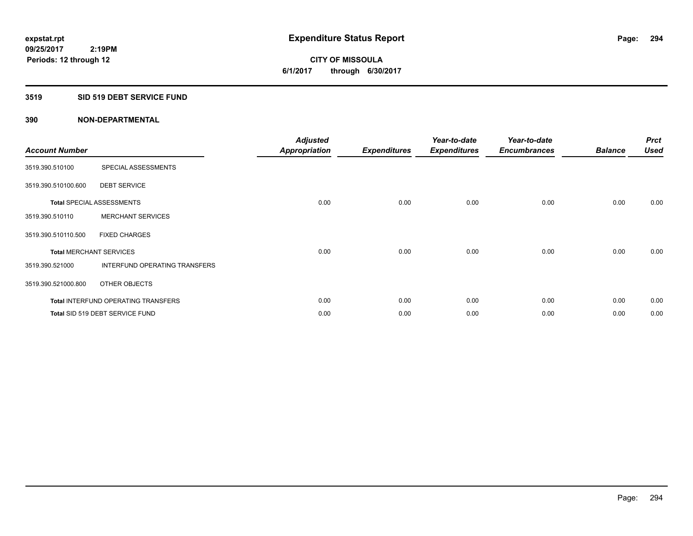**CITY OF MISSOULA 6/1/2017 through 6/30/2017**

#### **3519 SID 519 DEBT SERVICE FUND**

| <b>Account Number</b> |                                            | <b>Adjusted</b><br><b>Appropriation</b> | <b>Expenditures</b> | Year-to-date<br><b>Expenditures</b> | Year-to-date<br><b>Encumbrances</b> | <b>Balance</b> | <b>Prct</b><br><b>Used</b> |
|-----------------------|--------------------------------------------|-----------------------------------------|---------------------|-------------------------------------|-------------------------------------|----------------|----------------------------|
| 3519.390.510100       | SPECIAL ASSESSMENTS                        |                                         |                     |                                     |                                     |                |                            |
| 3519.390.510100.600   | <b>DEBT SERVICE</b>                        |                                         |                     |                                     |                                     |                |                            |
|                       | <b>Total SPECIAL ASSESSMENTS</b>           | 0.00                                    | 0.00                | 0.00                                | 0.00                                | 0.00           | 0.00                       |
| 3519.390.510110       | <b>MERCHANT SERVICES</b>                   |                                         |                     |                                     |                                     |                |                            |
| 3519.390.510110.500   | <b>FIXED CHARGES</b>                       |                                         |                     |                                     |                                     |                |                            |
|                       | <b>Total MERCHANT SERVICES</b>             | 0.00                                    | 0.00                | 0.00                                | 0.00                                | 0.00           | 0.00                       |
| 3519.390.521000       | <b>INTERFUND OPERATING TRANSFERS</b>       |                                         |                     |                                     |                                     |                |                            |
| 3519.390.521000.800   | OTHER OBJECTS                              |                                         |                     |                                     |                                     |                |                            |
|                       | <b>Total INTERFUND OPERATING TRANSFERS</b> | 0.00                                    | 0.00                | 0.00                                | 0.00                                | 0.00           | 0.00                       |
|                       | Total SID 519 DEBT SERVICE FUND            | 0.00                                    | 0.00                | 0.00                                | 0.00                                | 0.00           | 0.00                       |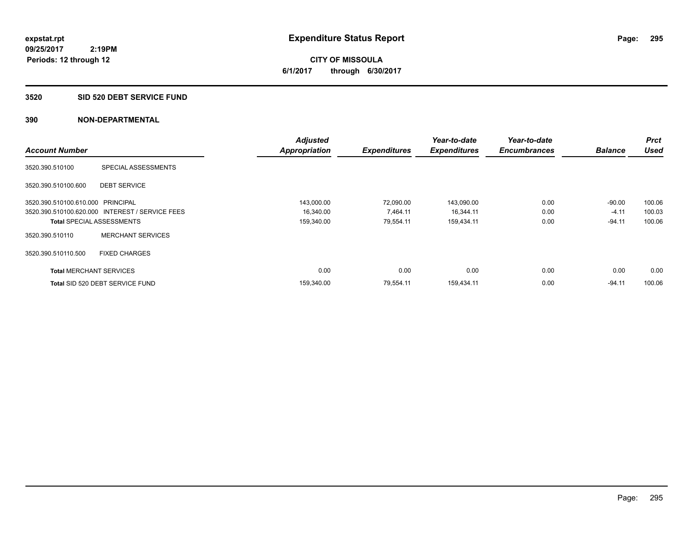**295**

**09/25/2017 2:19PM Periods: 12 through 12**

**CITY OF MISSOULA 6/1/2017 through 6/30/2017**

#### **3520 SID 520 DEBT SERVICE FUND**

|                                   |                                                 | <b>Adjusted</b>      |                     | Year-to-date        | Year-to-date        |                | <b>Prct</b> |
|-----------------------------------|-------------------------------------------------|----------------------|---------------------|---------------------|---------------------|----------------|-------------|
| <b>Account Number</b>             |                                                 | <b>Appropriation</b> | <b>Expenditures</b> | <b>Expenditures</b> | <b>Encumbrances</b> | <b>Balance</b> | <b>Used</b> |
| 3520.390.510100                   | SPECIAL ASSESSMENTS                             |                      |                     |                     |                     |                |             |
| 3520.390.510100.600               | <b>DEBT SERVICE</b>                             |                      |                     |                     |                     |                |             |
| 3520.390.510100.610.000 PRINCIPAL |                                                 | 143,000.00           | 72,090.00           | 143,090.00          | 0.00                | $-90.00$       | 100.06      |
|                                   | 3520.390.510100.620.000 INTEREST / SERVICE FEES | 16,340.00            | 7,464.11            | 16,344.11           | 0.00                | $-4.11$        | 100.03      |
| <b>Total SPECIAL ASSESSMENTS</b>  |                                                 | 159,340.00           | 79,554.11           | 159.434.11          | 0.00                | $-94.11$       | 100.06      |
| 3520.390.510110                   | <b>MERCHANT SERVICES</b>                        |                      |                     |                     |                     |                |             |
| 3520.390.510110.500               | <b>FIXED CHARGES</b>                            |                      |                     |                     |                     |                |             |
| <b>Total MERCHANT SERVICES</b>    |                                                 | 0.00                 | 0.00                | 0.00                | 0.00                | 0.00           | 0.00        |
|                                   | Total SID 520 DEBT SERVICE FUND                 | 159,340.00           | 79.554.11           | 159.434.11          | 0.00                | $-94.11$       | 100.06      |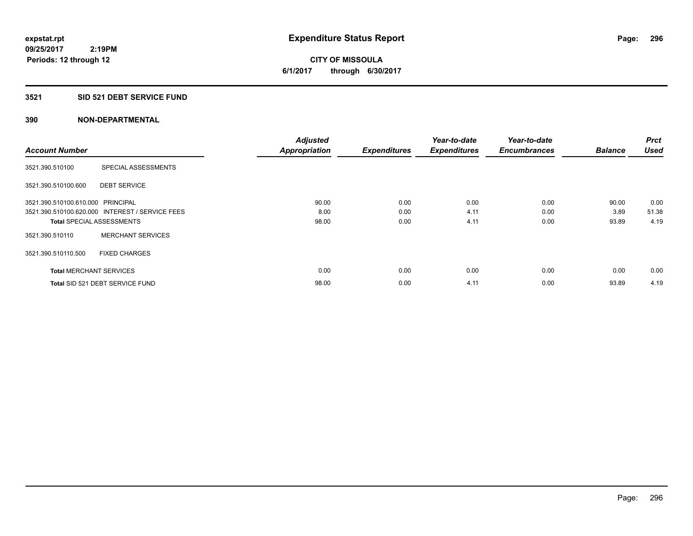**CITY OF MISSOULA 6/1/2017 through 6/30/2017**

#### **3521 SID 521 DEBT SERVICE FUND**

|                                   |                                                 | <b>Adjusted</b>      |                     | Year-to-date        | Year-to-date        |                | <b>Prct</b> |
|-----------------------------------|-------------------------------------------------|----------------------|---------------------|---------------------|---------------------|----------------|-------------|
| <b>Account Number</b>             |                                                 | <b>Appropriation</b> | <b>Expenditures</b> | <b>Expenditures</b> | <b>Encumbrances</b> | <b>Balance</b> | <b>Used</b> |
| 3521.390.510100                   | SPECIAL ASSESSMENTS                             |                      |                     |                     |                     |                |             |
| 3521.390.510100.600               | <b>DEBT SERVICE</b>                             |                      |                     |                     |                     |                |             |
| 3521.390.510100.610.000 PRINCIPAL |                                                 | 90.00                | 0.00                | 0.00                | 0.00                | 90.00          | 0.00        |
|                                   | 3521.390.510100.620.000 INTEREST / SERVICE FEES | 8.00                 | 0.00                | 4.11                | 0.00                | 3.89           | 51.38       |
| <b>Total SPECIAL ASSESSMENTS</b>  |                                                 | 98.00                | 0.00                | 4.11                | 0.00                | 93.89          | 4.19        |
| 3521.390.510110                   | <b>MERCHANT SERVICES</b>                        |                      |                     |                     |                     |                |             |
| 3521.390.510110.500               | <b>FIXED CHARGES</b>                            |                      |                     |                     |                     |                |             |
| <b>Total MERCHANT SERVICES</b>    |                                                 | 0.00                 | 0.00                | 0.00                | 0.00                | 0.00           | 0.00        |
|                                   | Total SID 521 DEBT SERVICE FUND                 | 98.00                | 0.00                | 4.11                | 0.00                | 93.89          | 4.19        |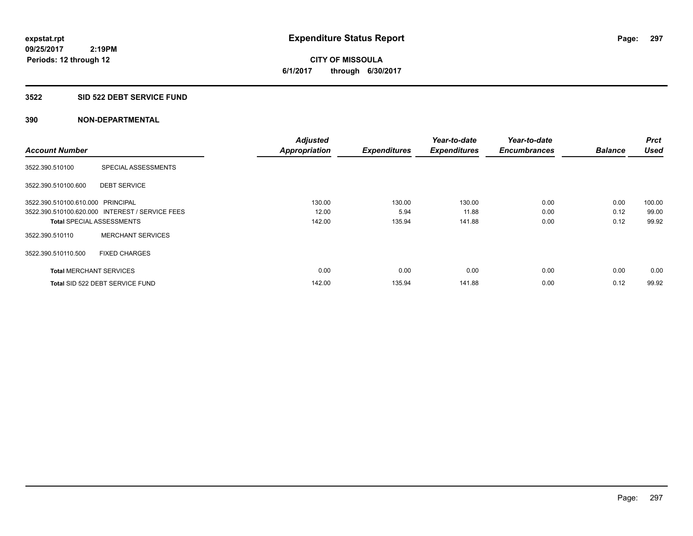**CITY OF MISSOULA 6/1/2017 through 6/30/2017**

#### **3522 SID 522 DEBT SERVICE FUND**

|                                   |                                                 | <b>Adjusted</b>      |                     | Year-to-date        | Year-to-date        |                | <b>Prct</b> |
|-----------------------------------|-------------------------------------------------|----------------------|---------------------|---------------------|---------------------|----------------|-------------|
| <b>Account Number</b>             |                                                 | <b>Appropriation</b> | <b>Expenditures</b> | <b>Expenditures</b> | <b>Encumbrances</b> | <b>Balance</b> | <b>Used</b> |
| 3522.390.510100                   | SPECIAL ASSESSMENTS                             |                      |                     |                     |                     |                |             |
| 3522.390.510100.600               | <b>DEBT SERVICE</b>                             |                      |                     |                     |                     |                |             |
| 3522.390.510100.610.000 PRINCIPAL |                                                 | 130.00               | 130.00              | 130.00              | 0.00                | 0.00           | 100.00      |
|                                   | 3522.390.510100.620.000 INTEREST / SERVICE FEES | 12.00                | 5.94                | 11.88               | 0.00                | 0.12           | 99.00       |
| <b>Total SPECIAL ASSESSMENTS</b>  |                                                 | 142.00               | 135.94              | 141.88              | 0.00                | 0.12           | 99.92       |
| 3522.390.510110                   | <b>MERCHANT SERVICES</b>                        |                      |                     |                     |                     |                |             |
| 3522.390.510110.500               | <b>FIXED CHARGES</b>                            |                      |                     |                     |                     |                |             |
| <b>Total MERCHANT SERVICES</b>    |                                                 | 0.00                 | 0.00                | 0.00                | 0.00                | 0.00           | 0.00        |
|                                   | Total SID 522 DEBT SERVICE FUND                 | 142.00               | 135.94              | 141.88              | 0.00                | 0.12           | 99.92       |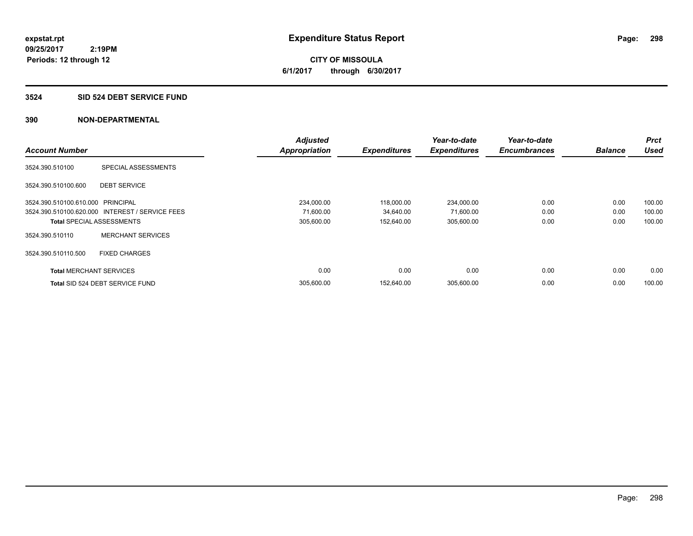**298**

**09/25/2017 2:19PM Periods: 12 through 12**

**CITY OF MISSOULA 6/1/2017 through 6/30/2017**

#### **3524 SID 524 DEBT SERVICE FUND**

|                                   |                                                 | <b>Adjusted</b>      |                     | Year-to-date        | Year-to-date        |                | <b>Prct</b> |
|-----------------------------------|-------------------------------------------------|----------------------|---------------------|---------------------|---------------------|----------------|-------------|
| <b>Account Number</b>             |                                                 | <b>Appropriation</b> | <b>Expenditures</b> | <b>Expenditures</b> | <b>Encumbrances</b> | <b>Balance</b> | <b>Used</b> |
| 3524.390.510100                   | SPECIAL ASSESSMENTS                             |                      |                     |                     |                     |                |             |
| 3524.390.510100.600               | <b>DEBT SERVICE</b>                             |                      |                     |                     |                     |                |             |
| 3524.390.510100.610.000 PRINCIPAL |                                                 | 234,000.00           | 118,000.00          | 234,000.00          | 0.00                | 0.00           | 100.00      |
|                                   | 3524.390.510100.620.000 INTEREST / SERVICE FEES | 71,600.00            | 34,640.00           | 71,600.00           | 0.00                | 0.00           | 100.00      |
|                                   | <b>Total SPECIAL ASSESSMENTS</b>                | 305,600.00           | 152,640.00          | 305,600.00          | 0.00                | 0.00           | 100.00      |
| 3524.390.510110                   | <b>MERCHANT SERVICES</b>                        |                      |                     |                     |                     |                |             |
| 3524.390.510110.500               | <b>FIXED CHARGES</b>                            |                      |                     |                     |                     |                |             |
| <b>Total MERCHANT SERVICES</b>    |                                                 | 0.00                 | 0.00                | 0.00                | 0.00                | 0.00           | 0.00        |
|                                   | Total SID 524 DEBT SERVICE FUND                 | 305.600.00           | 152.640.00          | 305.600.00          | 0.00                | 0.00           | 100.00      |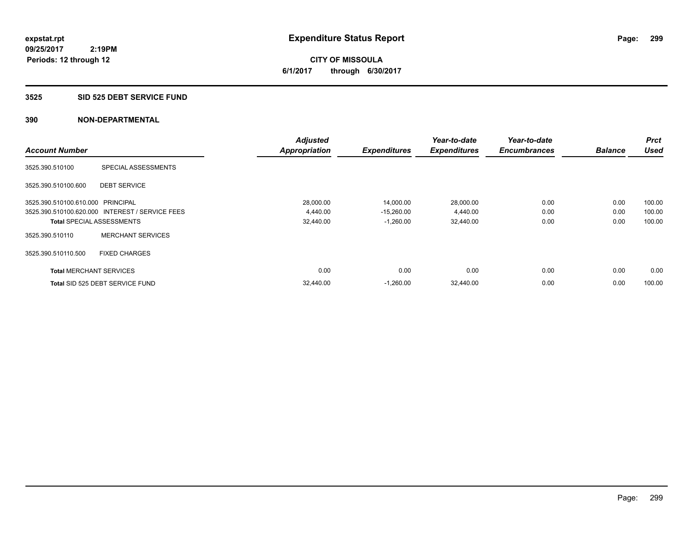**CITY OF MISSOULA 6/1/2017 through 6/30/2017**

#### **3525 SID 525 DEBT SERVICE FUND**

|                                   |                                                 | <b>Adjusted</b>      |                     | Year-to-date        | Year-to-date        |                | <b>Prct</b> |
|-----------------------------------|-------------------------------------------------|----------------------|---------------------|---------------------|---------------------|----------------|-------------|
| <b>Account Number</b>             |                                                 | <b>Appropriation</b> | <b>Expenditures</b> | <b>Expenditures</b> | <b>Encumbrances</b> | <b>Balance</b> | <b>Used</b> |
| 3525.390.510100                   | SPECIAL ASSESSMENTS                             |                      |                     |                     |                     |                |             |
| 3525.390.510100.600               | <b>DEBT SERVICE</b>                             |                      |                     |                     |                     |                |             |
| 3525.390.510100.610.000 PRINCIPAL |                                                 | 28,000.00            | 14,000.00           | 28,000.00           | 0.00                | 0.00           | 100.00      |
|                                   | 3525.390.510100.620.000 INTEREST / SERVICE FEES | 4,440.00             | $-15,260.00$        | 4,440.00            | 0.00                | 0.00           | 100.00      |
| <b>Total SPECIAL ASSESSMENTS</b>  |                                                 | 32,440.00            | $-1,260.00$         | 32,440.00           | 0.00                | 0.00           | 100.00      |
| 3525.390.510110                   | <b>MERCHANT SERVICES</b>                        |                      |                     |                     |                     |                |             |
| 3525.390.510110.500               | <b>FIXED CHARGES</b>                            |                      |                     |                     |                     |                |             |
| <b>Total MERCHANT SERVICES</b>    |                                                 | 0.00                 | 0.00                | 0.00                | 0.00                | 0.00           | 0.00        |
|                                   | Total SID 525 DEBT SERVICE FUND                 | 32,440.00            | $-1,260.00$         | 32,440.00           | 0.00                | 0.00           | 100.00      |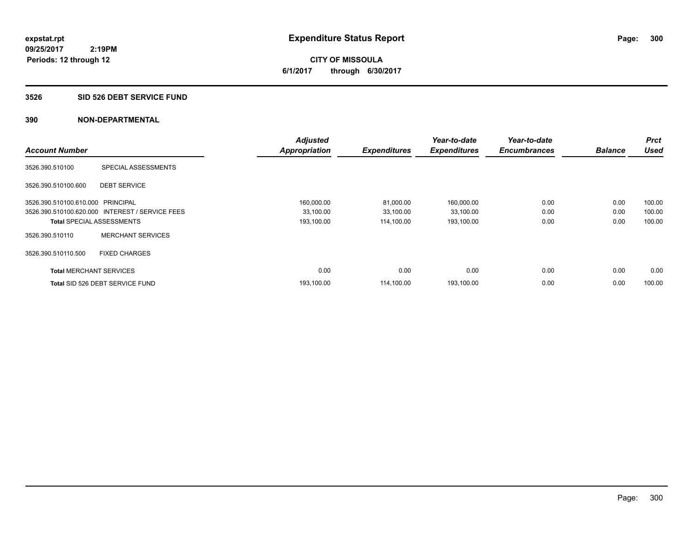**300**

**09/25/2017 2:19PM Periods: 12 through 12**

**CITY OF MISSOULA 6/1/2017 through 6/30/2017**

#### **3526 SID 526 DEBT SERVICE FUND**

|                                   |                                                 | <b>Adjusted</b>      |                     | Year-to-date        | Year-to-date        |                | <b>Prct</b> |
|-----------------------------------|-------------------------------------------------|----------------------|---------------------|---------------------|---------------------|----------------|-------------|
| <b>Account Number</b>             |                                                 | <b>Appropriation</b> | <b>Expenditures</b> | <b>Expenditures</b> | <b>Encumbrances</b> | <b>Balance</b> | <b>Used</b> |
| 3526.390.510100                   | SPECIAL ASSESSMENTS                             |                      |                     |                     |                     |                |             |
| 3526.390.510100.600               | <b>DEBT SERVICE</b>                             |                      |                     |                     |                     |                |             |
| 3526.390.510100.610.000 PRINCIPAL |                                                 | 160,000.00           | 81,000.00           | 160,000.00          | 0.00                | 0.00           | 100.00      |
|                                   | 3526.390.510100.620.000 INTEREST / SERVICE FEES | 33,100.00            | 33,100.00           | 33,100.00           | 0.00                | 0.00           | 100.00      |
|                                   | <b>Total SPECIAL ASSESSMENTS</b>                | 193,100.00           | 114,100.00          | 193,100.00          | 0.00                | 0.00           | 100.00      |
| 3526.390.510110                   | <b>MERCHANT SERVICES</b>                        |                      |                     |                     |                     |                |             |
| 3526.390.510110.500               | <b>FIXED CHARGES</b>                            |                      |                     |                     |                     |                |             |
| <b>Total MERCHANT SERVICES</b>    |                                                 | 0.00                 | 0.00                | 0.00                | 0.00                | 0.00           | 0.00        |
|                                   | Total SID 526 DEBT SERVICE FUND                 | 193,100.00           | 114.100.00          | 193,100.00          | 0.00                | 0.00           | 100.00      |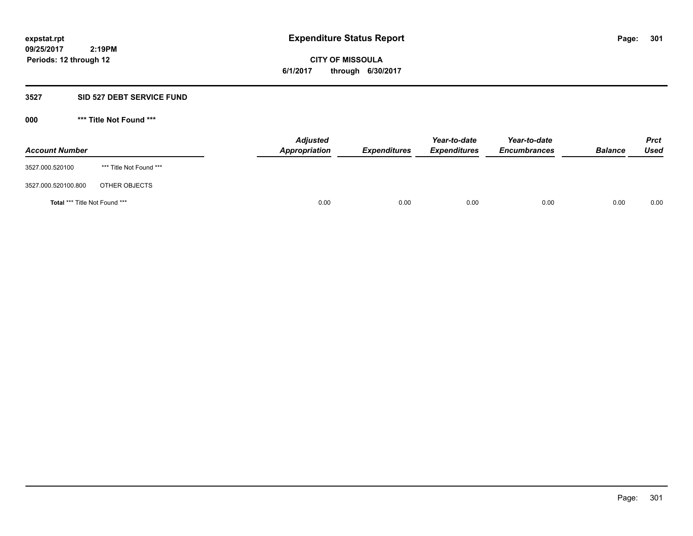**CITY OF MISSOULA 6/1/2017 through 6/30/2017**

#### **3527 SID 527 DEBT SERVICE FUND**

**000 \*\*\* Title Not Found \*\*\***

| <b>Account Number</b>                |                         | <b>Adjusted</b><br>Appropriation | <b>Expenditures</b> | Year-to-date<br><b>Expenditures</b> | Year-to-date<br><b>Encumbrances</b> | <b>Balance</b> | Prct<br><b>Used</b> |
|--------------------------------------|-------------------------|----------------------------------|---------------------|-------------------------------------|-------------------------------------|----------------|---------------------|
| 3527.000.520100                      | *** Title Not Found *** |                                  |                     |                                     |                                     |                |                     |
| 3527.000.520100.800                  | OTHER OBJECTS           |                                  |                     |                                     |                                     |                |                     |
| <b>Total *** Title Not Found ***</b> |                         | 0.00                             | 0.00                | 0.00                                | 0.00                                | 0.00           | 0.00                |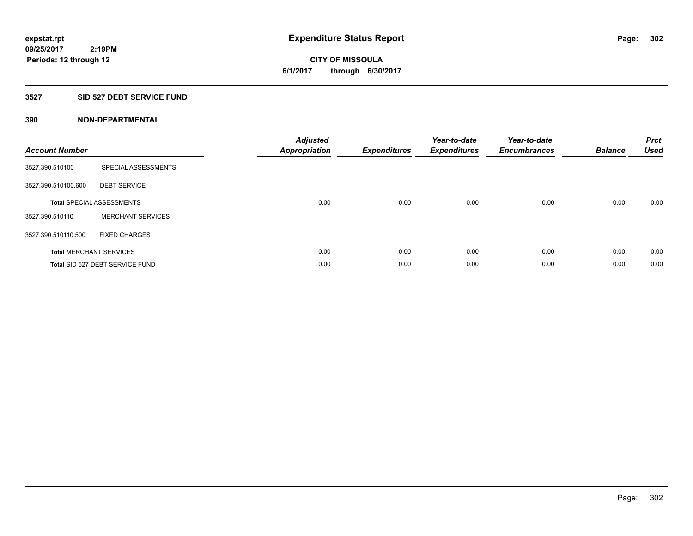**CITY OF MISSOULA 6/1/2017 through 6/30/2017**

#### **3527 SID 527 DEBT SERVICE FUND**

| <b>Account Number</b> |                                  | <b>Adjusted</b><br><b>Appropriation</b> | <b>Expenditures</b> | Year-to-date<br><b>Expenditures</b> | Year-to-date<br><b>Encumbrances</b> | <b>Balance</b> | <b>Prct</b><br><b>Used</b> |
|-----------------------|----------------------------------|-----------------------------------------|---------------------|-------------------------------------|-------------------------------------|----------------|----------------------------|
| 3527.390.510100       | SPECIAL ASSESSMENTS              |                                         |                     |                                     |                                     |                |                            |
| 3527.390.510100.600   | <b>DEBT SERVICE</b>              |                                         |                     |                                     |                                     |                |                            |
|                       | <b>Total SPECIAL ASSESSMENTS</b> | 0.00                                    | 0.00                | 0.00                                | 0.00                                | 0.00           | 0.00                       |
| 3527.390.510110       | <b>MERCHANT SERVICES</b>         |                                         |                     |                                     |                                     |                |                            |
| 3527.390.510110.500   | <b>FIXED CHARGES</b>             |                                         |                     |                                     |                                     |                |                            |
|                       | <b>Total MERCHANT SERVICES</b>   | 0.00                                    | 0.00                | 0.00                                | 0.00                                | 0.00           | 0.00                       |
|                       | Total SID 527 DEBT SERVICE FUND  | 0.00                                    | 0.00                | 0.00                                | 0.00                                | 0.00           | 0.00                       |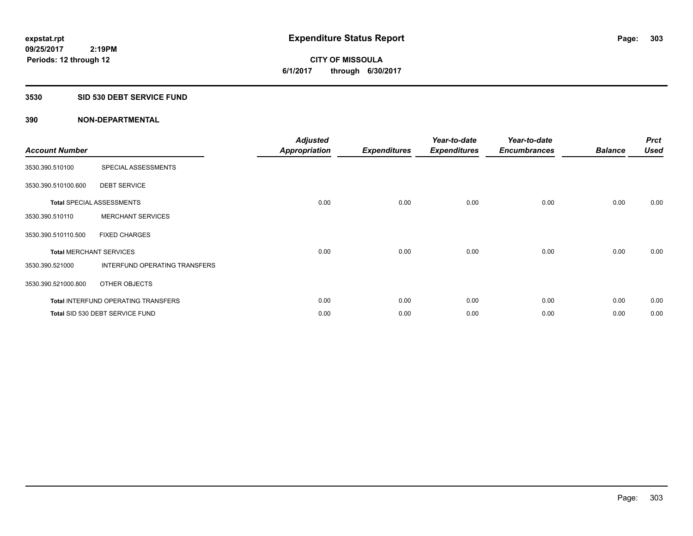**CITY OF MISSOULA 6/1/2017 through 6/30/2017**

#### **3530 SID 530 DEBT SERVICE FUND**

| <b>Account Number</b> |                                            | <b>Adjusted</b><br><b>Appropriation</b> | <b>Expenditures</b> | Year-to-date<br><b>Expenditures</b> | Year-to-date<br><b>Encumbrances</b> | <b>Balance</b> | <b>Prct</b><br><b>Used</b> |
|-----------------------|--------------------------------------------|-----------------------------------------|---------------------|-------------------------------------|-------------------------------------|----------------|----------------------------|
| 3530.390.510100       | SPECIAL ASSESSMENTS                        |                                         |                     |                                     |                                     |                |                            |
| 3530.390.510100.600   | <b>DEBT SERVICE</b>                        |                                         |                     |                                     |                                     |                |                            |
|                       | <b>Total SPECIAL ASSESSMENTS</b>           | 0.00                                    | 0.00                | 0.00                                | 0.00                                | 0.00           | 0.00                       |
| 3530.390.510110       | <b>MERCHANT SERVICES</b>                   |                                         |                     |                                     |                                     |                |                            |
| 3530.390.510110.500   | <b>FIXED CHARGES</b>                       |                                         |                     |                                     |                                     |                |                            |
|                       | <b>Total MERCHANT SERVICES</b>             | 0.00                                    | 0.00                | 0.00                                | 0.00                                | 0.00           | 0.00                       |
| 3530.390.521000       | <b>INTERFUND OPERATING TRANSFERS</b>       |                                         |                     |                                     |                                     |                |                            |
| 3530.390.521000.800   | OTHER OBJECTS                              |                                         |                     |                                     |                                     |                |                            |
|                       | <b>Total INTERFUND OPERATING TRANSFERS</b> | 0.00                                    | 0.00                | 0.00                                | 0.00                                | 0.00           | 0.00                       |
|                       | Total SID 530 DEBT SERVICE FUND            | 0.00                                    | 0.00                | 0.00                                | 0.00                                | 0.00           | 0.00                       |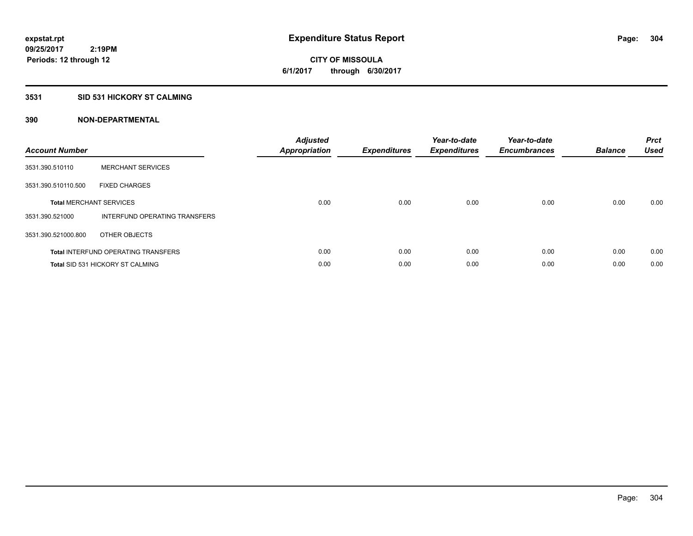**CITY OF MISSOULA 6/1/2017 through 6/30/2017**

# **3531 SID 531 HICKORY ST CALMING**

| <b>Account Number</b> |                                            | <b>Adjusted</b><br>Appropriation | <b>Expenditures</b> | Year-to-date<br><b>Expenditures</b> | Year-to-date<br><b>Encumbrances</b> | <b>Balance</b> | <b>Prct</b><br><b>Used</b> |
|-----------------------|--------------------------------------------|----------------------------------|---------------------|-------------------------------------|-------------------------------------|----------------|----------------------------|
| 3531.390.510110       | <b>MERCHANT SERVICES</b>                   |                                  |                     |                                     |                                     |                |                            |
| 3531.390.510110.500   | <b>FIXED CHARGES</b>                       |                                  |                     |                                     |                                     |                |                            |
|                       | <b>Total MERCHANT SERVICES</b>             | 0.00                             | 0.00                | 0.00                                | 0.00                                | 0.00           | 0.00                       |
| 3531.390.521000       | INTERFUND OPERATING TRANSFERS              |                                  |                     |                                     |                                     |                |                            |
| 3531.390.521000.800   | OTHER OBJECTS                              |                                  |                     |                                     |                                     |                |                            |
|                       | <b>Total INTERFUND OPERATING TRANSFERS</b> | 0.00                             | 0.00                | 0.00                                | 0.00                                | 0.00           | 0.00                       |
|                       | <b>Total SID 531 HICKORY ST CALMING</b>    | 0.00                             | 0.00                | 0.00                                | 0.00                                | 0.00           | 0.00                       |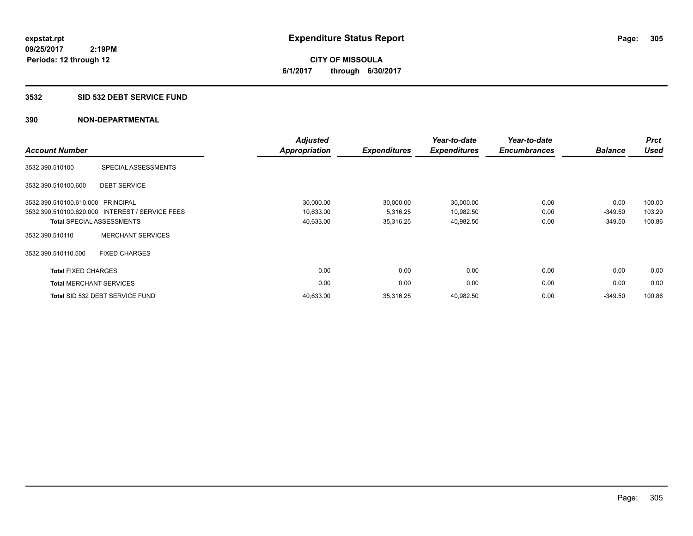**305**

**09/25/2017 2:19PM Periods: 12 through 12**

**CITY OF MISSOULA 6/1/2017 through 6/30/2017**

#### **3532 SID 532 DEBT SERVICE FUND**

| <b>Account Number</b>          |                                                 | <b>Adjusted</b><br><b>Appropriation</b> | <b>Expenditures</b> | Year-to-date<br><b>Expenditures</b> | Year-to-date<br><b>Encumbrances</b> | <b>Balance</b> | <b>Prct</b><br><b>Used</b> |
|--------------------------------|-------------------------------------------------|-----------------------------------------|---------------------|-------------------------------------|-------------------------------------|----------------|----------------------------|
| 3532.390.510100                | SPECIAL ASSESSMENTS                             |                                         |                     |                                     |                                     |                |                            |
| 3532.390.510100.600            | <b>DEBT SERVICE</b>                             |                                         |                     |                                     |                                     |                |                            |
| 3532.390.510100.610.000        | PRINCIPAL                                       | 30,000.00                               | 30,000.00           | 30,000.00                           | 0.00                                | 0.00           | 100.00                     |
|                                | 3532.390.510100.620.000 INTEREST / SERVICE FEES | 10,633.00                               | 5,316.25            | 10,982.50                           | 0.00                                | $-349.50$      | 103.29                     |
|                                | <b>Total SPECIAL ASSESSMENTS</b>                | 40,633.00                               | 35,316.25           | 40,982.50                           | 0.00                                | $-349.50$      | 100.86                     |
| 3532.390.510110                | <b>MERCHANT SERVICES</b>                        |                                         |                     |                                     |                                     |                |                            |
| 3532.390.510110.500            | <b>FIXED CHARGES</b>                            |                                         |                     |                                     |                                     |                |                            |
| <b>Total FIXED CHARGES</b>     |                                                 | 0.00                                    | 0.00                | 0.00                                | 0.00                                | 0.00           | 0.00                       |
| <b>Total MERCHANT SERVICES</b> |                                                 | 0.00                                    | 0.00                | 0.00                                | 0.00                                | 0.00           | 0.00                       |
|                                | Total SID 532 DEBT SERVICE FUND                 | 40,633.00                               | 35,316.25           | 40,982.50                           | 0.00                                | $-349.50$      | 100.86                     |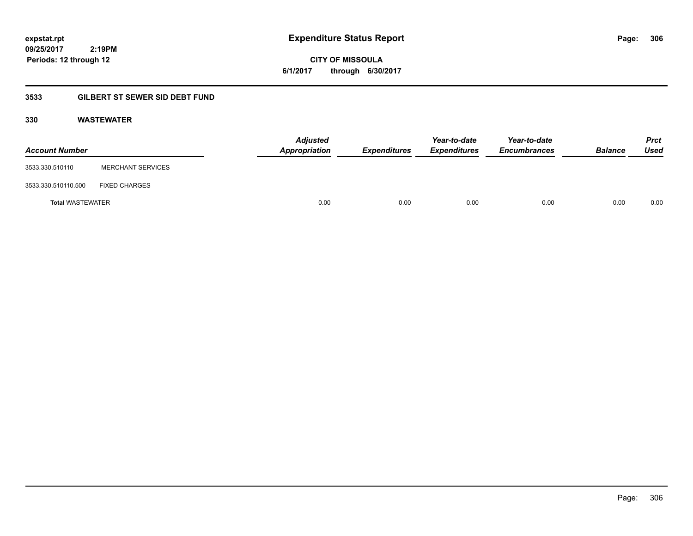**CITY OF MISSOULA 6/1/2017 through 6/30/2017**

# **3533 GILBERT ST SEWER SID DEBT FUND**

# **330 WASTEWATER**

| <b>Account Number</b>   |                          | <b>Adjusted</b><br>Appropriation | <b>Expenditures</b> | Year-to-date<br><b>Expenditures</b> | Year-to-date<br><b>Encumbrances</b> | <b>Balance</b> | <b>Prct</b><br>Used |
|-------------------------|--------------------------|----------------------------------|---------------------|-------------------------------------|-------------------------------------|----------------|---------------------|
| 3533.330.510110         | <b>MERCHANT SERVICES</b> |                                  |                     |                                     |                                     |                |                     |
| 3533.330.510110.500     | <b>FIXED CHARGES</b>     |                                  |                     |                                     |                                     |                |                     |
| <b>Total WASTEWATER</b> |                          | 0.00                             | 0.00                | 0.00                                | 0.00                                | 0.00           | 0.00                |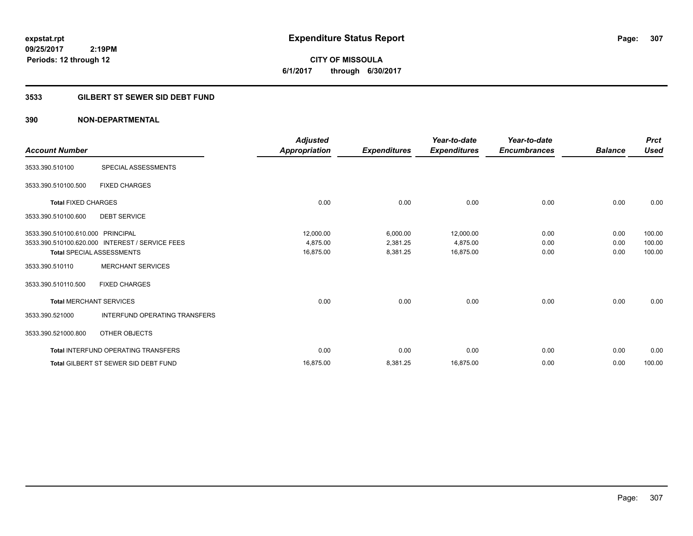**CITY OF MISSOULA 6/1/2017 through 6/30/2017**

# **3533 GILBERT ST SEWER SID DEBT FUND**

| <b>Account Number</b>             |                                                 | <b>Adjusted</b><br>Appropriation | <b>Expenditures</b> | Year-to-date<br><b>Expenditures</b> | Year-to-date<br><b>Encumbrances</b> | <b>Balance</b> | <b>Prct</b><br><b>Used</b> |
|-----------------------------------|-------------------------------------------------|----------------------------------|---------------------|-------------------------------------|-------------------------------------|----------------|----------------------------|
|                                   |                                                 |                                  |                     |                                     |                                     |                |                            |
| 3533.390.510100                   | SPECIAL ASSESSMENTS                             |                                  |                     |                                     |                                     |                |                            |
| 3533.390.510100.500               | <b>FIXED CHARGES</b>                            |                                  |                     |                                     |                                     |                |                            |
| <b>Total FIXED CHARGES</b>        |                                                 | 0.00                             | 0.00                | 0.00                                | 0.00                                | 0.00           | 0.00                       |
| 3533.390.510100.600               | <b>DEBT SERVICE</b>                             |                                  |                     |                                     |                                     |                |                            |
| 3533.390.510100.610.000 PRINCIPAL |                                                 | 12,000.00                        | 6,000.00            | 12,000.00                           | 0.00                                | 0.00           | 100.00                     |
|                                   | 3533.390.510100.620.000 INTEREST / SERVICE FEES | 4.875.00                         | 2,381.25            | 4,875.00                            | 0.00                                | 0.00           | 100.00                     |
|                                   | Total SPECIAL ASSESSMENTS                       | 16,875.00                        | 8,381.25            | 16,875.00                           | 0.00                                | 0.00           | 100.00                     |
| 3533.390.510110                   | <b>MERCHANT SERVICES</b>                        |                                  |                     |                                     |                                     |                |                            |
| 3533.390.510110.500               | <b>FIXED CHARGES</b>                            |                                  |                     |                                     |                                     |                |                            |
| <b>Total MERCHANT SERVICES</b>    |                                                 | 0.00                             | 0.00                | 0.00                                | 0.00                                | 0.00           | 0.00                       |
| 3533.390.521000                   | <b>INTERFUND OPERATING TRANSFERS</b>            |                                  |                     |                                     |                                     |                |                            |
| 3533.390.521000.800               | OTHER OBJECTS                                   |                                  |                     |                                     |                                     |                |                            |
|                                   | <b>Total INTERFUND OPERATING TRANSFERS</b>      | 0.00                             | 0.00                | 0.00                                | 0.00                                | 0.00           | 0.00                       |
|                                   | <b>Total GILBERT ST SEWER SID DEBT FUND</b>     | 16,875.00                        | 8,381.25            | 16,875.00                           | 0.00                                | 0.00           | 100.00                     |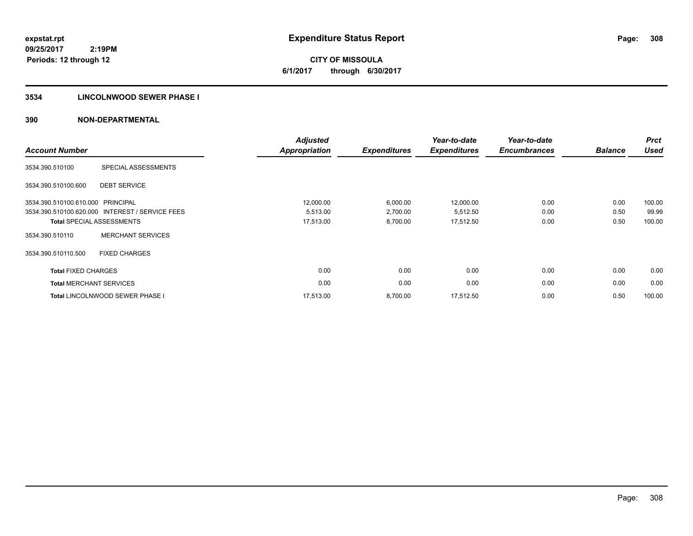**CITY OF MISSOULA 6/1/2017 through 6/30/2017**

#### **3534 LINCOLNWOOD SEWER PHASE I**

| <b>Account Number</b>             |                                                 | <b>Adjusted</b><br><b>Appropriation</b> | <b>Expenditures</b> | Year-to-date<br><b>Expenditures</b> | Year-to-date<br><b>Encumbrances</b> | <b>Balance</b> | <b>Prct</b><br><b>Used</b> |
|-----------------------------------|-------------------------------------------------|-----------------------------------------|---------------------|-------------------------------------|-------------------------------------|----------------|----------------------------|
| 3534.390.510100                   | SPECIAL ASSESSMENTS                             |                                         |                     |                                     |                                     |                |                            |
| 3534.390.510100.600               | <b>DEBT SERVICE</b>                             |                                         |                     |                                     |                                     |                |                            |
| 3534.390.510100.610.000 PRINCIPAL |                                                 | 12,000.00                               | 6,000.00            | 12,000.00                           | 0.00                                | 0.00           | 100.00                     |
|                                   | 3534.390.510100.620.000 INTEREST / SERVICE FEES | 5,513.00                                | 2,700.00            | 5,512.50                            | 0.00                                | 0.50           | 99.99                      |
|                                   | <b>Total SPECIAL ASSESSMENTS</b>                | 17,513.00                               | 8,700.00            | 17,512.50                           | 0.00                                | 0.50           | 100.00                     |
| 3534.390.510110                   | <b>MERCHANT SERVICES</b>                        |                                         |                     |                                     |                                     |                |                            |
| 3534.390.510110.500               | <b>FIXED CHARGES</b>                            |                                         |                     |                                     |                                     |                |                            |
| <b>Total FIXED CHARGES</b>        |                                                 | 0.00                                    | 0.00                | 0.00                                | 0.00                                | 0.00           | 0.00                       |
| <b>Total MERCHANT SERVICES</b>    |                                                 | 0.00                                    | 0.00                | 0.00                                | 0.00                                | 0.00           | 0.00                       |
|                                   | <b>Total LINCOLNWOOD SEWER PHASE I</b>          | 17.513.00                               | 8,700.00            | 17,512.50                           | 0.00                                | 0.50           | 100.00                     |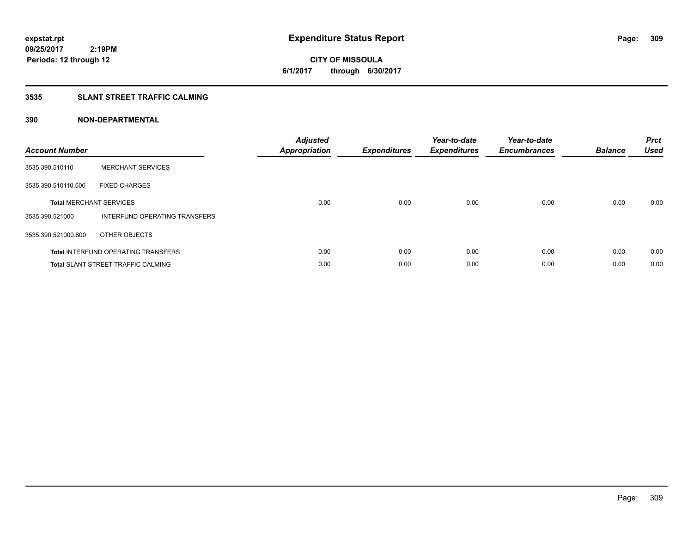**CITY OF MISSOULA 6/1/2017 through 6/30/2017**

# **3535 SLANT STREET TRAFFIC CALMING**

| <b>Account Number</b> |                                            | <b>Adjusted</b><br>Appropriation | <b>Expenditures</b> | Year-to-date<br><b>Expenditures</b> | Year-to-date<br><b>Encumbrances</b> | <b>Balance</b> | <b>Prct</b><br><b>Used</b> |
|-----------------------|--------------------------------------------|----------------------------------|---------------------|-------------------------------------|-------------------------------------|----------------|----------------------------|
| 3535.390.510110       | <b>MERCHANT SERVICES</b>                   |                                  |                     |                                     |                                     |                |                            |
| 3535.390.510110.500   | <b>FIXED CHARGES</b>                       |                                  |                     |                                     |                                     |                |                            |
|                       | <b>Total MERCHANT SERVICES</b>             | 0.00                             | 0.00                | 0.00                                | 0.00                                | 0.00           | 0.00                       |
| 3535.390.521000       | INTERFUND OPERATING TRANSFERS              |                                  |                     |                                     |                                     |                |                            |
| 3535.390.521000.800   | OTHER OBJECTS                              |                                  |                     |                                     |                                     |                |                            |
|                       | <b>Total INTERFUND OPERATING TRANSFERS</b> | 0.00                             | 0.00                | 0.00                                | 0.00                                | 0.00           | 0.00                       |
|                       | <b>Total SLANT STREET TRAFFIC CALMING</b>  | 0.00                             | 0.00                | 0.00                                | 0.00                                | 0.00           | 0.00                       |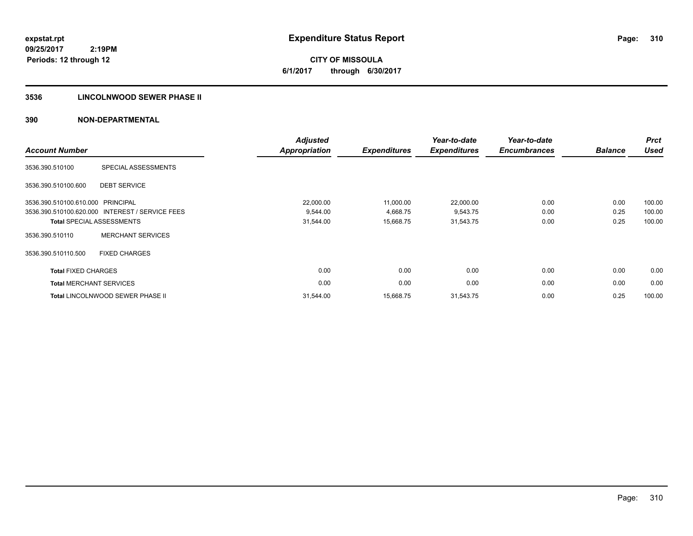**CITY OF MISSOULA 6/1/2017 through 6/30/2017**

# **3536 LINCOLNWOOD SEWER PHASE II**

| <b>Account Number</b>             |                                                 | <b>Adjusted</b><br>Appropriation | <b>Expenditures</b> | Year-to-date<br><b>Expenditures</b> | Year-to-date<br><b>Encumbrances</b> | <b>Balance</b> | <b>Prct</b><br><b>Used</b> |
|-----------------------------------|-------------------------------------------------|----------------------------------|---------------------|-------------------------------------|-------------------------------------|----------------|----------------------------|
|                                   |                                                 |                                  |                     |                                     |                                     |                |                            |
| 3536.390.510100                   | SPECIAL ASSESSMENTS                             |                                  |                     |                                     |                                     |                |                            |
| 3536.390.510100.600               | <b>DEBT SERVICE</b>                             |                                  |                     |                                     |                                     |                |                            |
| 3536.390.510100.610.000 PRINCIPAL |                                                 | 22,000.00                        | 11,000.00           | 22,000.00                           | 0.00                                | 0.00           | 100.00                     |
|                                   | 3536.390.510100.620.000 INTEREST / SERVICE FEES | 9.544.00                         | 4,668.75            | 9,543.75                            | 0.00                                | 0.25           | 100.00                     |
|                                   | <b>Total SPECIAL ASSESSMENTS</b>                | 31,544.00                        | 15,668.75           | 31,543.75                           | 0.00                                | 0.25           | 100.00                     |
| 3536.390.510110                   | <b>MERCHANT SERVICES</b>                        |                                  |                     |                                     |                                     |                |                            |
| 3536.390.510110.500               | <b>FIXED CHARGES</b>                            |                                  |                     |                                     |                                     |                |                            |
| <b>Total FIXED CHARGES</b>        |                                                 | 0.00                             | 0.00                | 0.00                                | 0.00                                | 0.00           | 0.00                       |
| <b>Total MERCHANT SERVICES</b>    |                                                 | 0.00                             | 0.00                | 0.00                                | 0.00                                | 0.00           | 0.00                       |
|                                   | <b>Total LINCOLNWOOD SEWER PHASE II</b>         | 31,544.00                        | 15,668.75           | 31,543.75                           | 0.00                                | 0.25           | 100.00                     |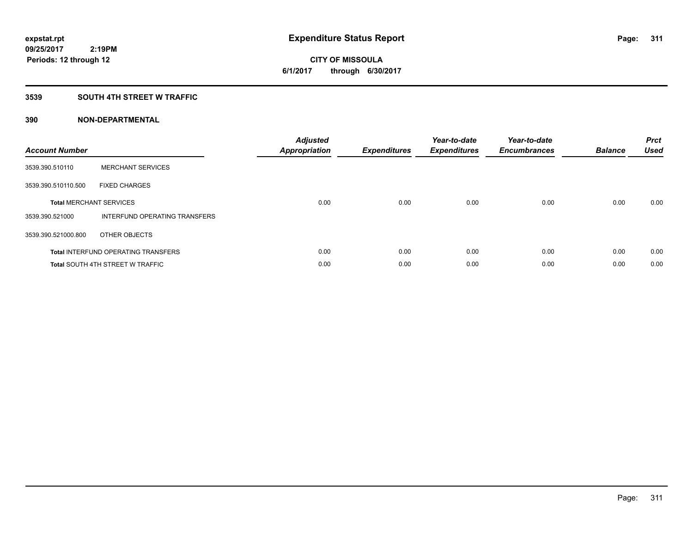**CITY OF MISSOULA 6/1/2017 through 6/30/2017**

#### **3539 SOUTH 4TH STREET W TRAFFIC**

| <b>Account Number</b> |                                            | <b>Adjusted</b><br>Appropriation | <b>Expenditures</b> | Year-to-date<br><b>Expenditures</b> | Year-to-date<br><b>Encumbrances</b> | <b>Balance</b> | <b>Prct</b><br><b>Used</b> |
|-----------------------|--------------------------------------------|----------------------------------|---------------------|-------------------------------------|-------------------------------------|----------------|----------------------------|
| 3539.390.510110       | <b>MERCHANT SERVICES</b>                   |                                  |                     |                                     |                                     |                |                            |
| 3539.390.510110.500   | <b>FIXED CHARGES</b>                       |                                  |                     |                                     |                                     |                |                            |
|                       | <b>Total MERCHANT SERVICES</b>             | 0.00                             | 0.00                | 0.00                                | 0.00                                | 0.00           | 0.00                       |
| 3539.390.521000       | INTERFUND OPERATING TRANSFERS              |                                  |                     |                                     |                                     |                |                            |
| 3539.390.521000.800   | OTHER OBJECTS                              |                                  |                     |                                     |                                     |                |                            |
|                       | <b>Total INTERFUND OPERATING TRANSFERS</b> | 0.00                             | 0.00                | 0.00                                | 0.00                                | 0.00           | 0.00                       |
|                       | <b>Total SOUTH 4TH STREET W TRAFFIC</b>    | 0.00                             | 0.00                | 0.00                                | 0.00                                | 0.00           | 0.00                       |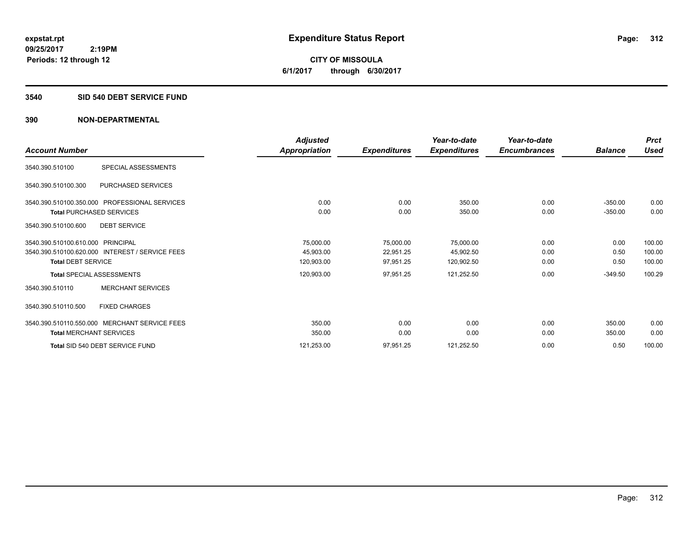**312**

**09/25/2017 2:19PM Periods: 12 through 12**

**CITY OF MISSOULA 6/1/2017 through 6/30/2017**

#### **3540 SID 540 DEBT SERVICE FUND**

|                                                 | Adjusted      |                     | Year-to-date        | Year-to-date        |                | <b>Prct</b> |
|-------------------------------------------------|---------------|---------------------|---------------------|---------------------|----------------|-------------|
| <b>Account Number</b>                           | Appropriation | <b>Expenditures</b> | <b>Expenditures</b> | <b>Encumbrances</b> | <b>Balance</b> | <b>Used</b> |
| SPECIAL ASSESSMENTS<br>3540.390.510100          |               |                     |                     |                     |                |             |
| PURCHASED SERVICES<br>3540.390.510100.300       |               |                     |                     |                     |                |             |
| 3540.390.510100.350.000 PROFESSIONAL SERVICES   | 0.00          | 0.00                | 350.00              | 0.00                | $-350.00$      | 0.00        |
| <b>Total PURCHASED SERVICES</b>                 | 0.00          | 0.00                | 350.00              | 0.00                | $-350.00$      | 0.00        |
| 3540.390.510100.600<br><b>DEBT SERVICE</b>      |               |                     |                     |                     |                |             |
| 3540.390.510100.610.000 PRINCIPAL               | 75,000.00     | 75,000.00           | 75,000.00           | 0.00                | 0.00           | 100.00      |
| 3540.390.510100.620.000 INTEREST / SERVICE FEES | 45,903.00     | 22,951.25           | 45,902.50           | 0.00                | 0.50           | 100.00      |
| <b>Total DEBT SERVICE</b>                       | 120,903.00    | 97,951.25           | 120,902.50          | 0.00                | 0.50           | 100.00      |
| <b>Total SPECIAL ASSESSMENTS</b>                | 120,903.00    | 97,951.25           | 121,252.50          | 0.00                | $-349.50$      | 100.29      |
| <b>MERCHANT SERVICES</b><br>3540.390.510110     |               |                     |                     |                     |                |             |
| 3540.390.510110.500<br><b>FIXED CHARGES</b>     |               |                     |                     |                     |                |             |
| 3540.390.510110.550.000 MERCHANT SERVICE FEES   | 350.00        | 0.00                | 0.00                | 0.00                | 350.00         | 0.00        |
| <b>Total MERCHANT SERVICES</b>                  | 350.00        | 0.00                | 0.00                | 0.00                | 350.00         | 0.00        |
| Total SID 540 DEBT SERVICE FUND                 | 121,253.00    | 97,951.25           | 121,252.50          | 0.00                | 0.50           | 100.00      |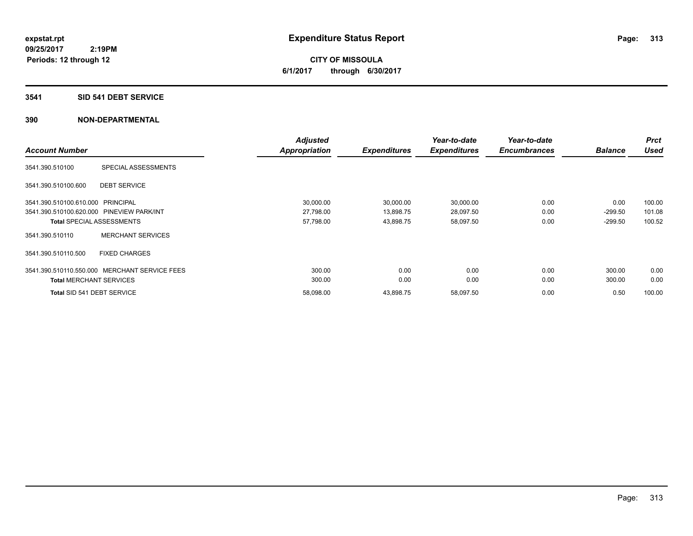#### **3541 SID 541 DEBT SERVICE**

|                                           |                                               | <b>Adjusted</b>      |                     | Year-to-date        | Year-to-date        |                | <b>Prct</b> |
|-------------------------------------------|-----------------------------------------------|----------------------|---------------------|---------------------|---------------------|----------------|-------------|
| <b>Account Number</b>                     |                                               | <b>Appropriation</b> | <b>Expenditures</b> | <b>Expenditures</b> | <b>Encumbrances</b> | <b>Balance</b> | <b>Used</b> |
| 3541.390.510100                           | SPECIAL ASSESSMENTS                           |                      |                     |                     |                     |                |             |
| 3541.390.510100.600                       | <b>DEBT SERVICE</b>                           |                      |                     |                     |                     |                |             |
| 3541.390.510100.610.000 PRINCIPAL         |                                               | 30,000.00            | 30,000.00           | 30,000.00           | 0.00                | 0.00           | 100.00      |
| 3541.390.510100.620.000 PINEVIEW PARK/INT |                                               | 27,798.00            | 13,898.75           | 28,097.50           | 0.00                | $-299.50$      | 101.08      |
| <b>Total SPECIAL ASSESSMENTS</b>          |                                               | 57,798.00            | 43,898.75           | 58,097.50           | 0.00                | $-299.50$      | 100.52      |
| 3541.390.510110                           | <b>MERCHANT SERVICES</b>                      |                      |                     |                     |                     |                |             |
| 3541.390.510110.500                       | <b>FIXED CHARGES</b>                          |                      |                     |                     |                     |                |             |
|                                           | 3541.390.510110.550.000 MERCHANT SERVICE FEES | 300.00               | 0.00                | 0.00                | 0.00                | 300.00         | 0.00        |
| <b>Total MERCHANT SERVICES</b>            |                                               | 300.00               | 0.00                | 0.00                | 0.00                | 300.00         | 0.00        |
| Total SID 541 DEBT SERVICE                |                                               | 58.098.00            | 43,898.75           | 58,097.50           | 0.00                | 0.50           | 100.00      |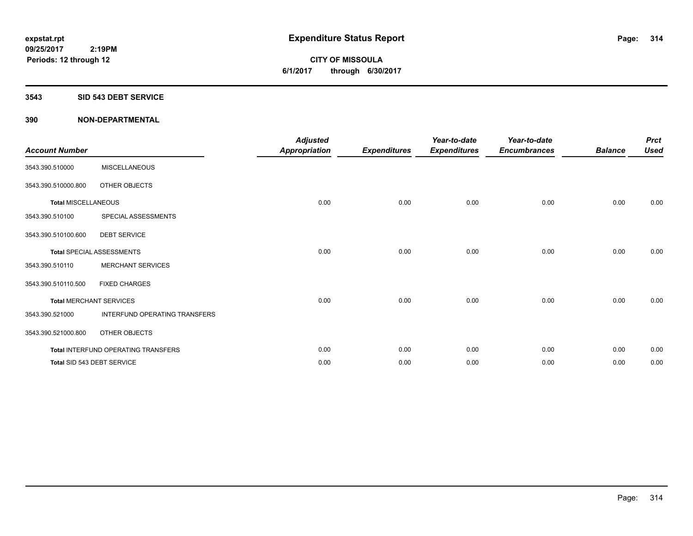#### **3543 SID 543 DEBT SERVICE**

| <b>Account Number</b>      |                                     | <b>Adjusted</b><br><b>Appropriation</b> | <b>Expenditures</b> | Year-to-date<br><b>Expenditures</b> | Year-to-date<br><b>Encumbrances</b> | <b>Balance</b> | <b>Prct</b><br><b>Used</b> |
|----------------------------|-------------------------------------|-----------------------------------------|---------------------|-------------------------------------|-------------------------------------|----------------|----------------------------|
| 3543.390.510000            | <b>MISCELLANEOUS</b>                |                                         |                     |                                     |                                     |                |                            |
| 3543.390.510000.800        | OTHER OBJECTS                       |                                         |                     |                                     |                                     |                |                            |
| <b>Total MISCELLANEOUS</b> |                                     | 0.00                                    | 0.00                | 0.00                                | 0.00                                | 0.00           | 0.00                       |
| 3543.390.510100            | SPECIAL ASSESSMENTS                 |                                         |                     |                                     |                                     |                |                            |
| 3543.390.510100.600        | <b>DEBT SERVICE</b>                 |                                         |                     |                                     |                                     |                |                            |
|                            | <b>Total SPECIAL ASSESSMENTS</b>    | 0.00                                    | 0.00                | 0.00                                | 0.00                                | 0.00           | 0.00                       |
| 3543.390.510110            | <b>MERCHANT SERVICES</b>            |                                         |                     |                                     |                                     |                |                            |
| 3543.390.510110.500        | <b>FIXED CHARGES</b>                |                                         |                     |                                     |                                     |                |                            |
|                            | <b>Total MERCHANT SERVICES</b>      | 0.00                                    | 0.00                | 0.00                                | 0.00                                | 0.00           | 0.00                       |
| 3543.390.521000            | INTERFUND OPERATING TRANSFERS       |                                         |                     |                                     |                                     |                |                            |
| 3543.390.521000.800        | OTHER OBJECTS                       |                                         |                     |                                     |                                     |                |                            |
|                            | Total INTERFUND OPERATING TRANSFERS | 0.00                                    | 0.00                | 0.00                                | 0.00                                | 0.00           | 0.00                       |
|                            | Total SID 543 DEBT SERVICE          | 0.00                                    | 0.00                | 0.00                                | 0.00                                | 0.00           | 0.00                       |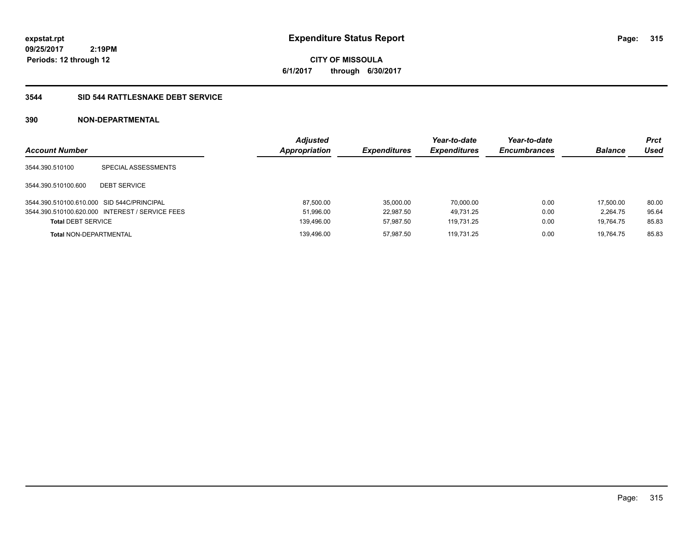**6/1/2017 through 6/30/2017**

# **3544 SID 544 RATTLESNAKE DEBT SERVICE**

| <b>Account Number</b>                      |                                                 | <b>Adjusted</b><br>Appropriation | <b>Expenditures</b> | Year-to-date<br><b>Expenditures</b> | Year-to-date<br><b>Encumbrances</b> | <b>Balance</b> | <b>Prct</b><br>Used |
|--------------------------------------------|-------------------------------------------------|----------------------------------|---------------------|-------------------------------------|-------------------------------------|----------------|---------------------|
| 3544.390.510100                            | SPECIAL ASSESSMENTS                             |                                  |                     |                                     |                                     |                |                     |
| 3544.390.510100.600                        | <b>DEBT SERVICE</b>                             |                                  |                     |                                     |                                     |                |                     |
| 3544.390.510100.610.000 SID 544C/PRINCIPAL |                                                 | 87.500.00                        | 35.000.00           | 70.000.00                           | 0.00                                | 17.500.00      | 80.00               |
|                                            | 3544.390.510100.620.000 INTEREST / SERVICE FEES | 51,996.00                        | 22.987.50           | 49.731.25                           | 0.00                                | 2.264.75       | 95.64               |
| <b>Total DEBT SERVICE</b>                  |                                                 | 139,496.00                       | 57.987.50           | 119.731.25                          | 0.00                                | 19.764.75      | 85.83               |
| <b>Total NON-DEPARTMENTAL</b>              |                                                 | 139.496.00                       | 57.987.50           | 119.731.25                          | 0.00                                | 19.764.75      | 85.83               |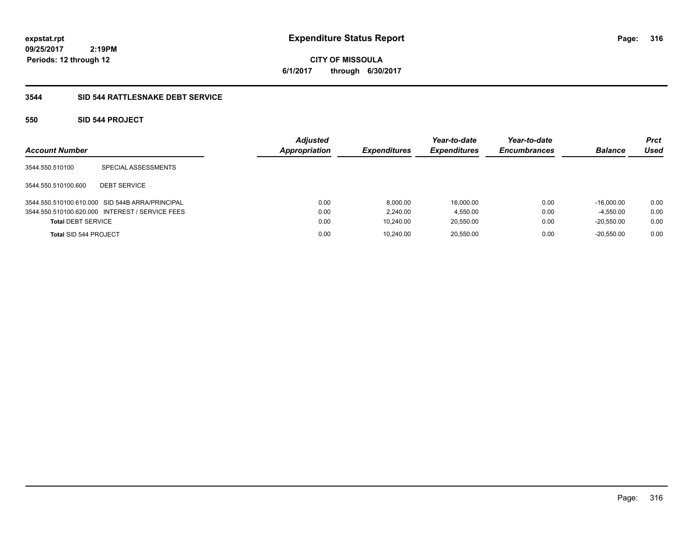# **3544 SID 544 RATTLESNAKE DEBT SERVICE**

# **550 SID 544 PROJECT**

| <b>Account Number</b>     |                                                 | <b>Adjusted</b><br>Appropriation | <b>Expenditures</b> | Year-to-date<br><b>Expenditures</b> | Year-to-date<br><b>Encumbrances</b> | <b>Balance</b> | <b>Prct</b><br>Used |
|---------------------------|-------------------------------------------------|----------------------------------|---------------------|-------------------------------------|-------------------------------------|----------------|---------------------|
| 3544.550.510100           | SPECIAL ASSESSMENTS                             |                                  |                     |                                     |                                     |                |                     |
| 3544.550.510100.600       | <b>DEBT SERVICE</b>                             |                                  |                     |                                     |                                     |                |                     |
|                           | 3544.550.510100.610.000 SID 544B ARRA/PRINCIPAL | 0.00                             | 8.000.00            | 16,000.00                           | 0.00                                | $-16.000.00$   | 0.00                |
|                           | 3544.550.510100.620.000 INTEREST / SERVICE FEES | 0.00                             | 2.240.00            | 4,550.00                            | 0.00                                | $-4.550.00$    | 0.00                |
| <b>Total DEBT SERVICE</b> |                                                 | 0.00                             | 10.240.00           | 20,550.00                           | 0.00                                | $-20.550.00$   | 0.00                |
| Total SID 544 PROJECT     |                                                 | 0.00                             | 10.240.00           | 20.550.00                           | 0.00                                | $-20.550.00$   | 0.00                |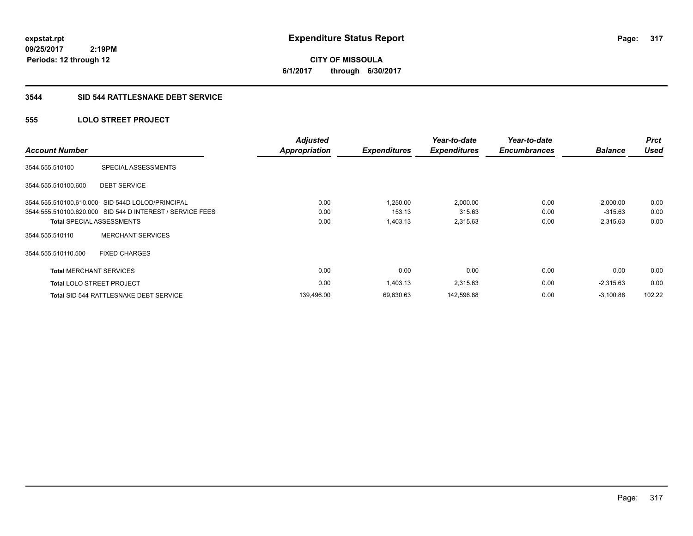**CITY OF MISSOULA 6/1/2017 through 6/30/2017**

#### **3544 SID 544 RATTLESNAKE DEBT SERVICE**

# **555 LOLO STREET PROJECT**

| <b>Account Number</b>          |                                                           | <b>Adjusted</b><br><b>Appropriation</b> | <b>Expenditures</b> | Year-to-date<br><b>Expenditures</b> | Year-to-date<br><b>Encumbrances</b> | <b>Balance</b> | <b>Prct</b><br><b>Used</b> |
|--------------------------------|-----------------------------------------------------------|-----------------------------------------|---------------------|-------------------------------------|-------------------------------------|----------------|----------------------------|
| 3544.555.510100                | SPECIAL ASSESSMENTS                                       |                                         |                     |                                     |                                     |                |                            |
| 3544.555.510100.600            | <b>DEBT SERVICE</b>                                       |                                         |                     |                                     |                                     |                |                            |
|                                | 3544.555.510100.610.000 SID 544D LOLOD/PRINCIPAL          | 0.00                                    | .250.00             | 2,000.00                            | 0.00                                | $-2.000.00$    | 0.00                       |
|                                | 3544.555.510100.620.000 SID 544 D INTEREST / SERVICE FEES | 0.00                                    | 153.13              | 315.63                              | 0.00                                | $-315.63$      | 0.00                       |
|                                | <b>Total SPECIAL ASSESSMENTS</b>                          | 0.00                                    | 1,403.13            | 2,315.63                            | 0.00                                | $-2,315.63$    | 0.00                       |
| 3544.555.510110                | <b>MERCHANT SERVICES</b>                                  |                                         |                     |                                     |                                     |                |                            |
| 3544.555.510110.500            | <b>FIXED CHARGES</b>                                      |                                         |                     |                                     |                                     |                |                            |
| <b>Total MERCHANT SERVICES</b> |                                                           | 0.00                                    | 0.00                | 0.00                                | 0.00                                | 0.00           | 0.00                       |
|                                | <b>Total LOLO STREET PROJECT</b>                          | 0.00                                    | 1,403.13            | 2,315.63                            | 0.00                                | $-2,315.63$    | 0.00                       |
|                                | <b>Total SID 544 RATTLESNAKE DEBT SERVICE</b>             | 139,496.00                              | 69,630.63           | 142,596.88                          | 0.00                                | $-3.100.88$    | 102.22                     |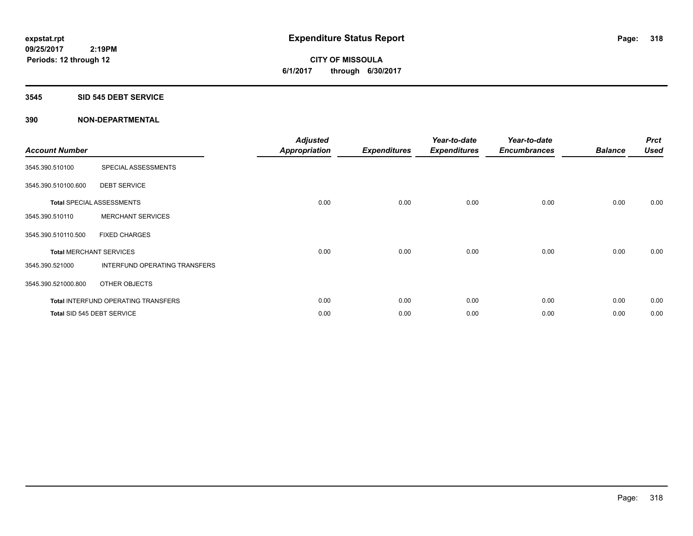#### **3545 SID 545 DEBT SERVICE**

| <b>Account Number</b> |                                            | <b>Adjusted</b><br><b>Appropriation</b> | <b>Expenditures</b> | Year-to-date<br><b>Expenditures</b> | Year-to-date<br><b>Encumbrances</b> | <b>Balance</b> | <b>Prct</b><br><b>Used</b> |
|-----------------------|--------------------------------------------|-----------------------------------------|---------------------|-------------------------------------|-------------------------------------|----------------|----------------------------|
| 3545.390.510100       | SPECIAL ASSESSMENTS                        |                                         |                     |                                     |                                     |                |                            |
| 3545.390.510100.600   | <b>DEBT SERVICE</b>                        |                                         |                     |                                     |                                     |                |                            |
|                       | <b>Total SPECIAL ASSESSMENTS</b>           | 0.00                                    | 0.00                | 0.00                                | 0.00                                | 0.00           | 0.00                       |
| 3545.390.510110       | <b>MERCHANT SERVICES</b>                   |                                         |                     |                                     |                                     |                |                            |
| 3545.390.510110.500   | <b>FIXED CHARGES</b>                       |                                         |                     |                                     |                                     |                |                            |
|                       | <b>Total MERCHANT SERVICES</b>             | 0.00                                    | 0.00                | 0.00                                | 0.00                                | 0.00           | 0.00                       |
| 3545.390.521000       | INTERFUND OPERATING TRANSFERS              |                                         |                     |                                     |                                     |                |                            |
| 3545.390.521000.800   | OTHER OBJECTS                              |                                         |                     |                                     |                                     |                |                            |
|                       | <b>Total INTERFUND OPERATING TRANSFERS</b> | 0.00                                    | 0.00                | 0.00                                | 0.00                                | 0.00           | 0.00                       |
|                       | Total SID 545 DEBT SERVICE                 | 0.00                                    | 0.00                | 0.00                                | 0.00                                | 0.00           | 0.00                       |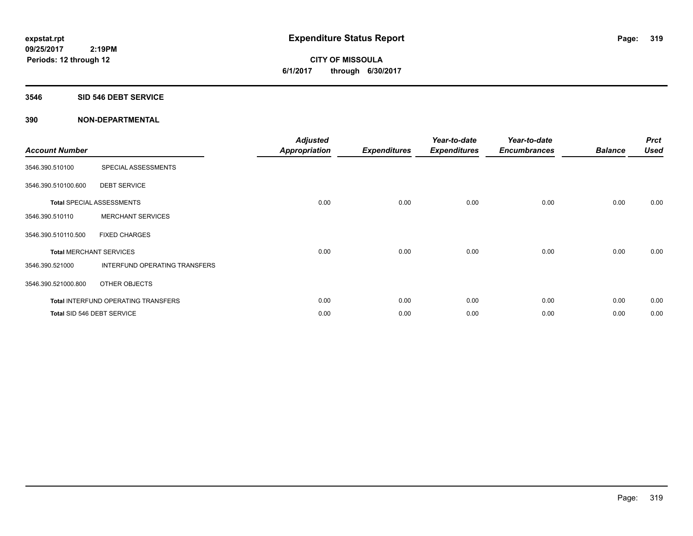#### **3546 SID 546 DEBT SERVICE**

| <b>Account Number</b>          |                                            | <b>Adjusted</b><br><b>Appropriation</b> | <b>Expenditures</b> | Year-to-date<br><b>Expenditures</b> | Year-to-date<br><b>Encumbrances</b> | <b>Balance</b> | <b>Prct</b><br><b>Used</b> |
|--------------------------------|--------------------------------------------|-----------------------------------------|---------------------|-------------------------------------|-------------------------------------|----------------|----------------------------|
| 3546.390.510100                | SPECIAL ASSESSMENTS                        |                                         |                     |                                     |                                     |                |                            |
| 3546.390.510100.600            | <b>DEBT SERVICE</b>                        |                                         |                     |                                     |                                     |                |                            |
|                                | <b>Total SPECIAL ASSESSMENTS</b>           | 0.00                                    | 0.00                | 0.00                                | 0.00                                | 0.00           | 0.00                       |
| 3546.390.510110                | <b>MERCHANT SERVICES</b>                   |                                         |                     |                                     |                                     |                |                            |
| 3546.390.510110.500            | <b>FIXED CHARGES</b>                       |                                         |                     |                                     |                                     |                |                            |
| <b>Total MERCHANT SERVICES</b> |                                            | 0.00                                    | 0.00                | 0.00                                | 0.00                                | 0.00           | 0.00                       |
| 3546.390.521000                | INTERFUND OPERATING TRANSFERS              |                                         |                     |                                     |                                     |                |                            |
| 3546.390.521000.800            | OTHER OBJECTS                              |                                         |                     |                                     |                                     |                |                            |
|                                | <b>Total INTERFUND OPERATING TRANSFERS</b> | 0.00                                    | 0.00                | 0.00                                | 0.00                                | 0.00           | 0.00                       |
|                                | Total SID 546 DEBT SERVICE                 | 0.00                                    | 0.00                | 0.00                                | 0.00                                | 0.00           | 0.00                       |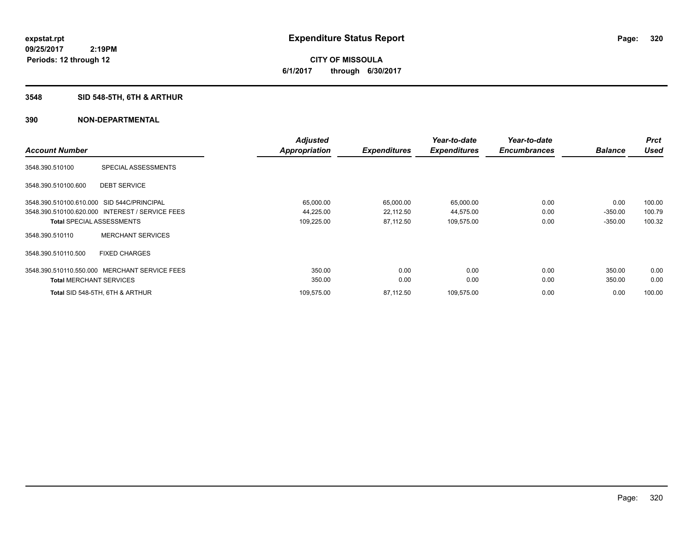# **3548 SID 548-5TH, 6TH & ARTHUR**

|                                            |                                                 | <b>Adjusted</b> |                     | Year-to-date        | Year-to-date        |                | <b>Prct</b> |
|--------------------------------------------|-------------------------------------------------|-----------------|---------------------|---------------------|---------------------|----------------|-------------|
| <b>Account Number</b>                      |                                                 | Appropriation   | <b>Expenditures</b> | <b>Expenditures</b> | <b>Encumbrances</b> | <b>Balance</b> | <b>Used</b> |
| 3548.390.510100                            | SPECIAL ASSESSMENTS                             |                 |                     |                     |                     |                |             |
| 3548.390.510100.600                        | <b>DEBT SERVICE</b>                             |                 |                     |                     |                     |                |             |
| 3548.390.510100.610.000 SID 544C/PRINCIPAL |                                                 | 65,000.00       | 65,000.00           | 65,000.00           | 0.00                | 0.00           | 100.00      |
|                                            | 3548.390.510100.620.000 INTEREST / SERVICE FEES | 44,225.00       | 22,112.50           | 44,575.00           | 0.00                | $-350.00$      | 100.79      |
| <b>Total SPECIAL ASSESSMENTS</b>           |                                                 | 109,225.00      | 87,112.50           | 109,575.00          | 0.00                | $-350.00$      | 100.32      |
| 3548.390.510110                            | <b>MERCHANT SERVICES</b>                        |                 |                     |                     |                     |                |             |
| 3548.390.510110.500                        | <b>FIXED CHARGES</b>                            |                 |                     |                     |                     |                |             |
|                                            | 3548.390.510110.550.000 MERCHANT SERVICE FEES   | 350.00          | 0.00                | 0.00                | 0.00                | 350.00         | 0.00        |
| <b>Total MERCHANT SERVICES</b>             |                                                 | 350.00          | 0.00                | 0.00                | 0.00                | 350.00         | 0.00        |
|                                            | Total SID 548-5TH, 6TH & ARTHUR                 | 109,575.00      | 87,112.50           | 109,575.00          | 0.00                | 0.00           | 100.00      |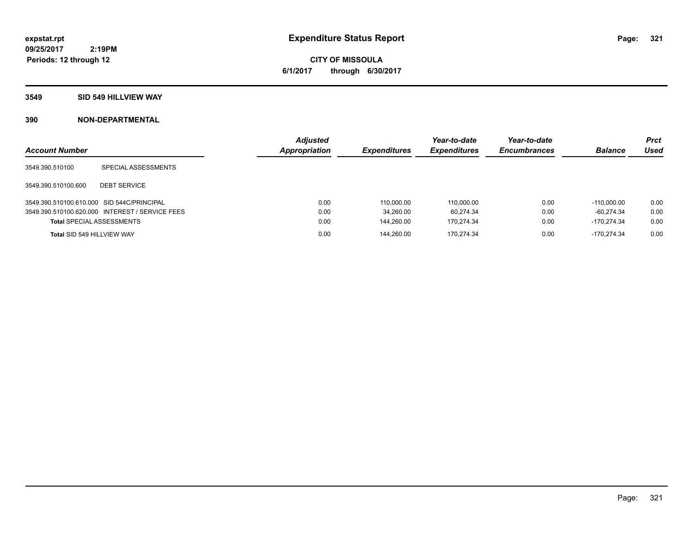# **CITY OF MISSOULA 6/1/2017 through 6/30/2017**

# **3549 SID 549 HILLVIEW WAY**

| <b>Account Number</b>                      |                                                 | <b>Adiusted</b><br><b>Appropriation</b> | <b>Expenditures</b> | Year-to-date<br><b>Expenditures</b> | Year-to-date<br><b>Encumbrances</b> | <b>Balance</b> | <b>Prct</b><br>Used |
|--------------------------------------------|-------------------------------------------------|-----------------------------------------|---------------------|-------------------------------------|-------------------------------------|----------------|---------------------|
| 3549.390.510100                            | SPECIAL ASSESSMENTS                             |                                         |                     |                                     |                                     |                |                     |
| 3549.390.510100.600                        | <b>DEBT SERVICE</b>                             |                                         |                     |                                     |                                     |                |                     |
| 3549.390.510100.610.000 SID 544C/PRINCIPAL |                                                 | 0.00                                    | 110,000.00          | 110.000.00                          | 0.00                                | $-110.000.00$  | 0.00                |
|                                            | 3549.390.510100.620.000 INTEREST / SERVICE FEES | 0.00                                    | 34.260.00           | 60.274.34                           | 0.00                                | $-60.274.34$   | 0.00                |
| <b>Total SPECIAL ASSESSMENTS</b>           |                                                 | 0.00                                    | 144.260.00          | 170.274.34                          | 0.00                                | $-170.274.34$  | 0.00                |
| Total SID 549 HILLVIEW WAY                 |                                                 | 0.00                                    | 144.260.00          | 170.274.34                          | 0.00                                | $-170.274.34$  | 0.00                |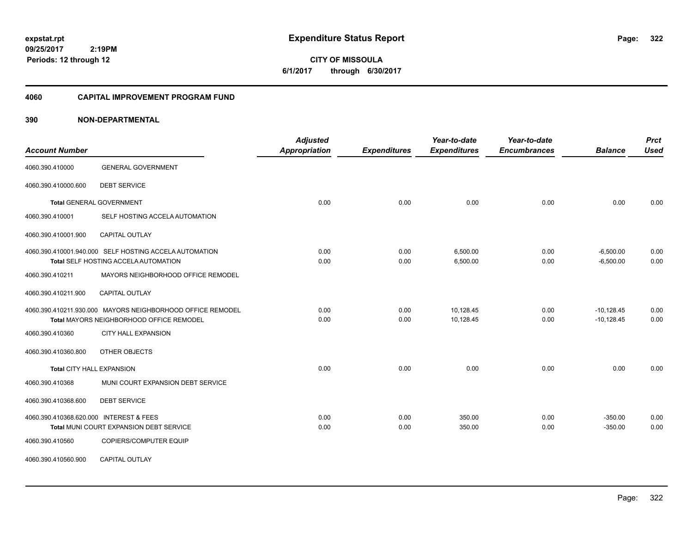**CITY OF MISSOULA 6/1/2017 through 6/30/2017**

#### **4060 CAPITAL IMPROVEMENT PROGRAM FUND**

| <b>Account Number</b>                   |                                                                                                        | <b>Adjusted</b><br>Appropriation | <b>Expenditures</b> | Year-to-date<br><b>Expenditures</b> | Year-to-date<br><b>Encumbrances</b> | <b>Balance</b>               | <b>Prct</b><br><b>Used</b> |
|-----------------------------------------|--------------------------------------------------------------------------------------------------------|----------------------------------|---------------------|-------------------------------------|-------------------------------------|------------------------------|----------------------------|
| 4060.390.410000                         | <b>GENERAL GOVERNMENT</b>                                                                              |                                  |                     |                                     |                                     |                              |                            |
| 4060.390.410000.600                     | <b>DEBT SERVICE</b>                                                                                    |                                  |                     |                                     |                                     |                              |                            |
|                                         | <b>Total GENERAL GOVERNMENT</b>                                                                        | 0.00                             | 0.00                | 0.00                                | 0.00                                | 0.00                         | 0.00                       |
| 4060.390.410001                         | SELF HOSTING ACCELA AUTOMATION                                                                         |                                  |                     |                                     |                                     |                              |                            |
| 4060.390.410001.900                     | CAPITAL OUTLAY                                                                                         |                                  |                     |                                     |                                     |                              |                            |
|                                         | 4060.390.410001.940.000 SELF HOSTING ACCELA AUTOMATION<br>Total SELF HOSTING ACCELA AUTOMATION         | 0.00<br>0.00                     | 0.00<br>0.00        | 6,500.00<br>6,500.00                | 0.00<br>0.00                        | $-6,500.00$<br>$-6,500.00$   | 0.00<br>0.00               |
| 4060.390.410211                         | MAYORS NEIGHBORHOOD OFFICE REMODEL                                                                     |                                  |                     |                                     |                                     |                              |                            |
| 4060.390.410211.900                     | <b>CAPITAL OUTLAY</b>                                                                                  |                                  |                     |                                     |                                     |                              |                            |
|                                         | 4060.390.410211.930.000 MAYORS NEIGHBORHOOD OFFICE REMODEL<br>Total MAYORS NEIGHBORHOOD OFFICE REMODEL | 0.00<br>0.00                     | 0.00<br>0.00        | 10,128.45<br>10,128.45              | 0.00<br>0.00                        | $-10,128.45$<br>$-10,128.45$ | 0.00<br>0.00               |
| 4060.390.410360                         | <b>CITY HALL EXPANSION</b>                                                                             |                                  |                     |                                     |                                     |                              |                            |
| 4060.390.410360.800                     | OTHER OBJECTS                                                                                          |                                  |                     |                                     |                                     |                              |                            |
| <b>Total CITY HALL EXPANSION</b>        |                                                                                                        | 0.00                             | 0.00                | 0.00                                | 0.00                                | 0.00                         | 0.00                       |
| 4060.390.410368                         | MUNI COURT EXPANSION DEBT SERVICE                                                                      |                                  |                     |                                     |                                     |                              |                            |
| 4060.390.410368.600                     | <b>DEBT SERVICE</b>                                                                                    |                                  |                     |                                     |                                     |                              |                            |
| 4060.390.410368.620.000 INTEREST & FEES | Total MUNI COURT EXPANSION DEBT SERVICE                                                                | 0.00<br>0.00                     | 0.00<br>0.00        | 350.00<br>350.00                    | 0.00<br>0.00                        | $-350.00$<br>$-350.00$       | 0.00<br>0.00               |
| 4060.390.410560                         | COPIERS/COMPUTER EQUIP                                                                                 |                                  |                     |                                     |                                     |                              |                            |
| 4060.390.410560.900                     | CAPITAL OUTLAY                                                                                         |                                  |                     |                                     |                                     |                              |                            |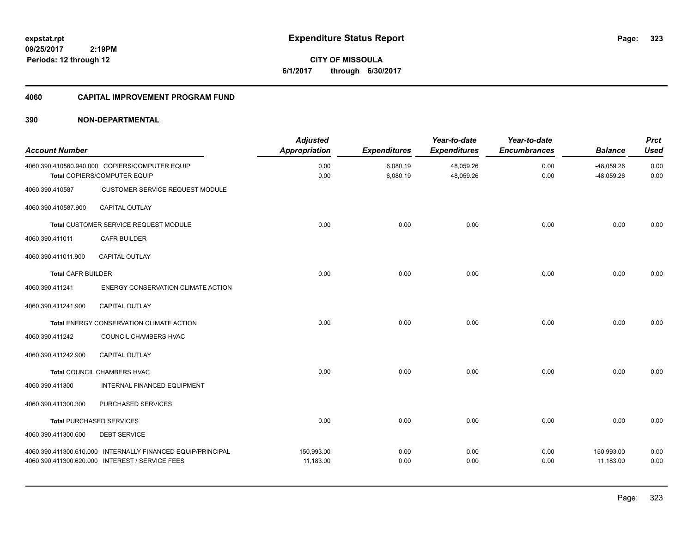**CITY OF MISSOULA 6/1/2017 through 6/30/2017**

#### **4060 CAPITAL IMPROVEMENT PROGRAM FUND**

| <b>Account Number</b>     |                                                                                                                | <b>Adjusted</b><br><b>Appropriation</b> | <b>Expenditures</b>  | Year-to-date<br><b>Expenditures</b> | Year-to-date<br><b>Encumbrances</b> | <b>Balance</b>               | <b>Prct</b><br><b>Used</b> |
|---------------------------|----------------------------------------------------------------------------------------------------------------|-----------------------------------------|----------------------|-------------------------------------|-------------------------------------|------------------------------|----------------------------|
|                           | 4060.390.410560.940.000 COPIERS/COMPUTER EQUIP<br>Total COPIERS/COMPUTER EQUIP                                 | 0.00<br>0.00                            | 6,080.19<br>6,080.19 | 48,059.26<br>48,059.26              | 0.00<br>0.00                        | $-48,059.26$<br>$-48,059.26$ | 0.00<br>0.00               |
| 4060.390.410587           | <b>CUSTOMER SERVICE REQUEST MODULE</b>                                                                         |                                         |                      |                                     |                                     |                              |                            |
| 4060.390.410587.900       | CAPITAL OUTLAY                                                                                                 |                                         |                      |                                     |                                     |                              |                            |
|                           | Total CUSTOMER SERVICE REQUEST MODULE                                                                          | 0.00                                    | 0.00                 | 0.00                                | 0.00                                | 0.00                         | 0.00                       |
| 4060.390.411011           | <b>CAFR BUILDER</b>                                                                                            |                                         |                      |                                     |                                     |                              |                            |
| 4060.390.411011.900       | <b>CAPITAL OUTLAY</b>                                                                                          |                                         |                      |                                     |                                     |                              |                            |
| <b>Total CAFR BUILDER</b> |                                                                                                                | 0.00                                    | 0.00                 | 0.00                                | 0.00                                | 0.00                         | 0.00                       |
| 4060.390.411241           | ENERGY CONSERVATION CLIMATE ACTION                                                                             |                                         |                      |                                     |                                     |                              |                            |
| 4060.390.411241.900       | CAPITAL OUTLAY                                                                                                 |                                         |                      |                                     |                                     |                              |                            |
|                           | Total ENERGY CONSERVATION CLIMATE ACTION                                                                       | 0.00                                    | 0.00                 | 0.00                                | 0.00                                | 0.00                         | 0.00                       |
| 4060.390.411242           | COUNCIL CHAMBERS HVAC                                                                                          |                                         |                      |                                     |                                     |                              |                            |
| 4060.390.411242.900       | CAPITAL OUTLAY                                                                                                 |                                         |                      |                                     |                                     |                              |                            |
|                           | <b>Total COUNCIL CHAMBERS HVAC</b>                                                                             | 0.00                                    | 0.00                 | 0.00                                | 0.00                                | 0.00                         | 0.00                       |
| 4060.390.411300           | INTERNAL FINANCED EQUIPMENT                                                                                    |                                         |                      |                                     |                                     |                              |                            |
| 4060.390.411300.300       | PURCHASED SERVICES                                                                                             |                                         |                      |                                     |                                     |                              |                            |
|                           | <b>Total PURCHASED SERVICES</b>                                                                                | 0.00                                    | 0.00                 | 0.00                                | 0.00                                | 0.00                         | 0.00                       |
| 4060.390.411300.600       | <b>DEBT SERVICE</b>                                                                                            |                                         |                      |                                     |                                     |                              |                            |
|                           | 4060.390.411300.610.000 INTERNALLY FINANCED EQUIP/PRINCIPAL<br>4060.390.411300.620.000 INTEREST / SERVICE FEES | 150,993.00<br>11,183.00                 | 0.00<br>0.00         | 0.00<br>0.00                        | 0.00<br>0.00                        | 150,993.00<br>11,183.00      | 0.00<br>0.00               |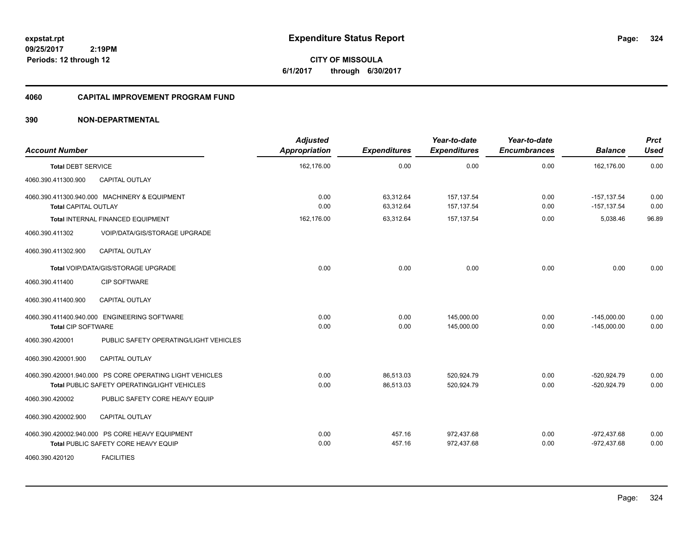**CITY OF MISSOULA 6/1/2017 through 6/30/2017**

#### **4060 CAPITAL IMPROVEMENT PROGRAM FUND**

| <b>Account Number</b>     |                                                                                                          | <b>Adjusted</b><br>Appropriation | <b>Expenditures</b>    | Year-to-date<br><b>Expenditures</b> | Year-to-date<br><b>Encumbrances</b> | <b>Balance</b>                   | <b>Prct</b><br><b>Used</b> |
|---------------------------|----------------------------------------------------------------------------------------------------------|----------------------------------|------------------------|-------------------------------------|-------------------------------------|----------------------------------|----------------------------|
| <b>Total DEBT SERVICE</b> |                                                                                                          | 162,176.00                       | 0.00                   | 0.00                                | 0.00                                | 162,176.00                       | 0.00                       |
| 4060.390.411300.900       | CAPITAL OUTLAY                                                                                           |                                  |                        |                                     |                                     |                                  |                            |
| Total CAPITAL OUTLAY      | 4060.390.411300.940.000 MACHINERY & EQUIPMENT                                                            | 0.00<br>0.00                     | 63,312.64<br>63,312.64 | 157, 137.54<br>157, 137.54          | 0.00<br>0.00                        | $-157, 137.54$<br>$-157, 137.54$ | 0.00<br>0.00               |
|                           | Total INTERNAL FINANCED EQUIPMENT                                                                        | 162.176.00                       | 63.312.64              | 157, 137.54                         | 0.00                                | 5,038.46                         | 96.89                      |
| 4060.390.411302           | VOIP/DATA/GIS/STORAGE UPGRADE                                                                            |                                  |                        |                                     |                                     |                                  |                            |
| 4060.390.411302.900       | <b>CAPITAL OUTLAY</b>                                                                                    |                                  |                        |                                     |                                     |                                  |                            |
|                           | Total VOIP/DATA/GIS/STORAGE UPGRADE                                                                      | 0.00                             | 0.00                   | 0.00                                | 0.00                                | 0.00                             | 0.00                       |
| 4060.390.411400           | CIP SOFTWARE                                                                                             |                                  |                        |                                     |                                     |                                  |                            |
| 4060.390.411400.900       | <b>CAPITAL OUTLAY</b>                                                                                    |                                  |                        |                                     |                                     |                                  |                            |
| <b>Total CIP SOFTWARE</b> | 4060.390.411400.940.000 ENGINEERING SOFTWARE                                                             | 0.00<br>0.00                     | 0.00<br>0.00           | 145,000.00<br>145,000.00            | 0.00<br>0.00                        | $-145,000.00$<br>$-145,000.00$   | 0.00<br>0.00               |
| 4060.390.420001           | PUBLIC SAFETY OPERATING/LIGHT VEHICLES                                                                   |                                  |                        |                                     |                                     |                                  |                            |
| 4060.390.420001.900       | <b>CAPITAL OUTLAY</b>                                                                                    |                                  |                        |                                     |                                     |                                  |                            |
|                           | 4060.390.420001.940.000 PS CORE OPERATING LIGHT VEHICLES<br>Total PUBLIC SAFETY OPERATING/LIGHT VEHICLES | 0.00<br>0.00                     | 86,513.03<br>86,513.03 | 520.924.79<br>520,924.79            | 0.00<br>0.00                        | -520.924.79<br>$-520,924.79$     | 0.00<br>0.00               |
| 4060.390.420002           | PUBLIC SAFETY CORE HEAVY EQUIP                                                                           |                                  |                        |                                     |                                     |                                  |                            |
| 4060.390.420002.900       | <b>CAPITAL OUTLAY</b>                                                                                    |                                  |                        |                                     |                                     |                                  |                            |
|                           | 4060.390.420002.940.000 PS CORE HEAVY EQUIPMENT<br>Total PUBLIC SAFETY CORE HEAVY EQUIP                  | 0.00<br>0.00                     | 457.16<br>457.16       | 972,437.68<br>972,437.68            | 0.00<br>0.00                        | $-972,437.68$<br>$-972,437.68$   | 0.00<br>0.00               |
| 4060.390.420120           | <b>FACILITIES</b>                                                                                        |                                  |                        |                                     |                                     |                                  |                            |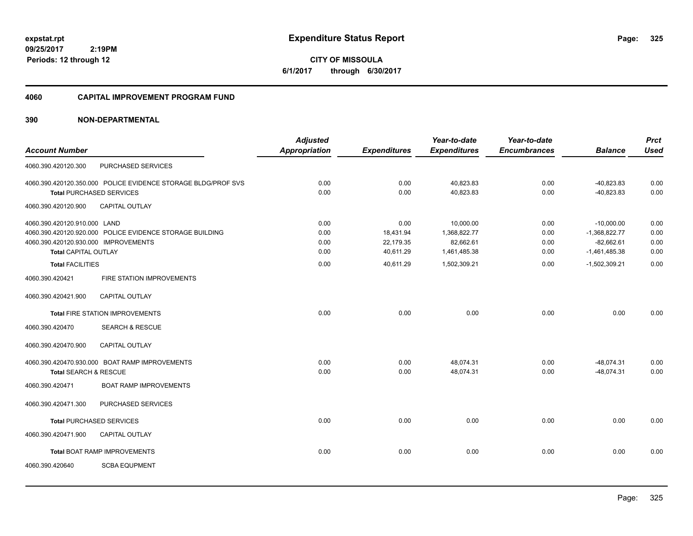**CITY OF MISSOULA 6/1/2017 through 6/30/2017**

#### **4060 CAPITAL IMPROVEMENT PROGRAM FUND**

|                                      |                                                               | <b>Adjusted</b>      |                     | Year-to-date        | Year-to-date        |                 | <b>Prct</b> |
|--------------------------------------|---------------------------------------------------------------|----------------------|---------------------|---------------------|---------------------|-----------------|-------------|
| <b>Account Number</b>                |                                                               | <b>Appropriation</b> | <b>Expenditures</b> | <b>Expenditures</b> | <b>Encumbrances</b> | <b>Balance</b>  | <b>Used</b> |
| 4060.390.420120.300                  | PURCHASED SERVICES                                            |                      |                     |                     |                     |                 |             |
|                                      | 4060.390.420120.350.000 POLICE EVIDENCE STORAGE BLDG/PROF SVS | 0.00                 | 0.00                | 40,823.83           | 0.00                | $-40,823.83$    | 0.00        |
|                                      | <b>Total PURCHASED SERVICES</b>                               | 0.00                 | 0.00                | 40,823.83           | 0.00                | $-40,823.83$    | 0.00        |
| 4060.390.420120.900                  | <b>CAPITAL OUTLAY</b>                                         |                      |                     |                     |                     |                 |             |
| 4060.390.420120.910.000 LAND         |                                                               | 0.00                 | 0.00                | 10,000.00           | 0.00                | $-10,000.00$    | 0.00        |
|                                      | 4060.390.420120.920.000 POLICE EVIDENCE STORAGE BUILDING      | 0.00                 | 18,431.94           | 1,368,822.77        | 0.00                | $-1,368,822.77$ | 0.00        |
| 4060.390.420120.930.000 IMPROVEMENTS |                                                               | 0.00                 | 22,179.35           | 82,662.61           | 0.00                | $-82,662.61$    | 0.00        |
| <b>Total CAPITAL OUTLAY</b>          |                                                               | 0.00                 | 40,611.29           | 1,461,485.38        | 0.00                | $-1,461,485.38$ | 0.00        |
| <b>Total FACILITIES</b>              |                                                               | 0.00                 | 40,611.29           | 1,502,309.21        | 0.00                | $-1,502,309.21$ | 0.00        |
| 4060.390.420421                      | FIRE STATION IMPROVEMENTS                                     |                      |                     |                     |                     |                 |             |
| 4060.390.420421.900                  | <b>CAPITAL OUTLAY</b>                                         |                      |                     |                     |                     |                 |             |
|                                      | <b>Total FIRE STATION IMPROVEMENTS</b>                        | 0.00                 | 0.00                | 0.00                | 0.00                | 0.00            | 0.00        |
| 4060.390.420470                      | <b>SEARCH &amp; RESCUE</b>                                    |                      |                     |                     |                     |                 |             |
| 4060.390.420470.900                  | CAPITAL OUTLAY                                                |                      |                     |                     |                     |                 |             |
|                                      | 4060.390.420470.930.000 BOAT RAMP IMPROVEMENTS                | 0.00                 | 0.00                | 48,074.31           | 0.00                | $-48,074.31$    | 0.00        |
| <b>Total SEARCH &amp; RESCUE</b>     |                                                               | 0.00                 | 0.00                | 48,074.31           | 0.00                | $-48,074.31$    | 0.00        |
| 4060.390.420471                      | <b>BOAT RAMP IMPROVEMENTS</b>                                 |                      |                     |                     |                     |                 |             |
| 4060.390.420471.300                  | PURCHASED SERVICES                                            |                      |                     |                     |                     |                 |             |
| <b>Total PURCHASED SERVICES</b>      |                                                               | 0.00                 | 0.00                | 0.00                | 0.00                | 0.00            | 0.00        |
| 4060.390.420471.900                  | <b>CAPITAL OUTLAY</b>                                         |                      |                     |                     |                     |                 |             |
|                                      | <b>Total BOAT RAMP IMPROVEMENTS</b>                           | 0.00                 | 0.00                | 0.00                | 0.00                | 0.00            | 0.00        |
| 4060.390.420640                      | <b>SCBA EQUPMENT</b>                                          |                      |                     |                     |                     |                 |             |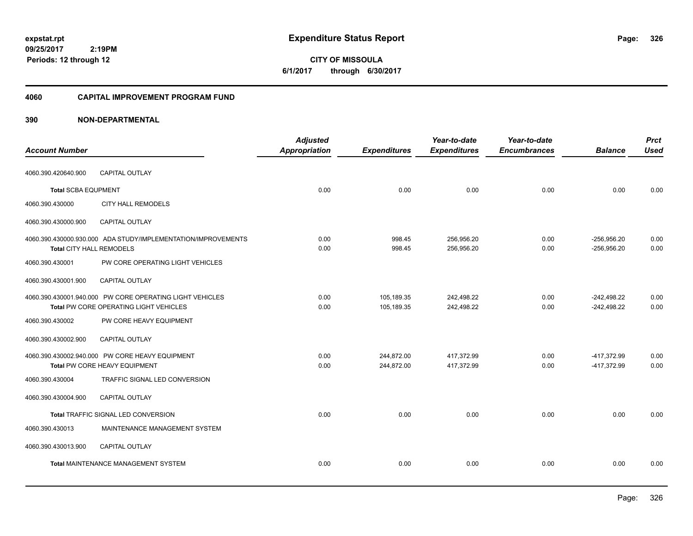**CITY OF MISSOULA 6/1/2017 through 6/30/2017**

#### **4060 CAPITAL IMPROVEMENT PROGRAM FUND**

|                            |                                                                                                    | <b>Adjusted</b>      |                          | Year-to-date             | Year-to-date        |                                | <b>Prct</b>  |
|----------------------------|----------------------------------------------------------------------------------------------------|----------------------|--------------------------|--------------------------|---------------------|--------------------------------|--------------|
| <b>Account Number</b>      |                                                                                                    | <b>Appropriation</b> | <b>Expenditures</b>      | <b>Expenditures</b>      | <b>Encumbrances</b> | <b>Balance</b>                 | <b>Used</b>  |
| 4060.390.420640.900        | CAPITAL OUTLAY                                                                                     |                      |                          |                          |                     |                                |              |
| <b>Total SCBA EQUPMENT</b> |                                                                                                    | 0.00                 | 0.00                     | 0.00                     | 0.00                | 0.00                           | 0.00         |
| 4060.390.430000            | <b>CITY HALL REMODELS</b>                                                                          |                      |                          |                          |                     |                                |              |
| 4060.390.430000.900        | <b>CAPITAL OUTLAY</b>                                                                              |                      |                          |                          |                     |                                |              |
| Total CITY HALL REMODELS   | 4060.390.430000.930.000 ADA STUDY/IMPLEMENTATION/IMPROVEMENTS                                      | 0.00<br>0.00         | 998.45<br>998.45         | 256,956.20<br>256,956.20 | 0.00<br>0.00        | $-256,956.20$<br>$-256,956.20$ | 0.00<br>0.00 |
| 4060.390.430001            | PW CORE OPERATING LIGHT VEHICLES                                                                   |                      |                          |                          |                     |                                |              |
| 4060.390.430001.900        | <b>CAPITAL OUTLAY</b>                                                                              |                      |                          |                          |                     |                                |              |
|                            | 4060.390.430001.940.000 PW CORE OPERATING LIGHT VEHICLES<br>Total PW CORE OPERATING LIGHT VEHICLES | 0.00<br>0.00         | 105,189.35<br>105,189.35 | 242,498.22<br>242,498.22 | 0.00<br>0.00        | $-242,498.22$<br>$-242,498.22$ | 0.00<br>0.00 |
| 4060.390.430002            | PW CORE HEAVY EQUIPMENT                                                                            |                      |                          |                          |                     |                                |              |
| 4060.390.430002.900        | <b>CAPITAL OUTLAY</b>                                                                              |                      |                          |                          |                     |                                |              |
|                            | 4060.390.430002.940.000 PW CORE HEAVY EQUIPMENT<br>Total PW CORE HEAVY EQUIPMENT                   | 0.00<br>0.00         | 244,872.00<br>244.872.00 | 417,372.99<br>417.372.99 | 0.00<br>0.00        | -417,372.99<br>-417.372.99     | 0.00<br>0.00 |
| 4060.390.430004            | TRAFFIC SIGNAL LED CONVERSION                                                                      |                      |                          |                          |                     |                                |              |
| 4060.390.430004.900        | CAPITAL OUTLAY                                                                                     |                      |                          |                          |                     |                                |              |
|                            | Total TRAFFIC SIGNAL LED CONVERSION                                                                | 0.00                 | 0.00                     | 0.00                     | 0.00                | 0.00                           | 0.00         |
| 4060.390.430013            | MAINTENANCE MANAGEMENT SYSTEM                                                                      |                      |                          |                          |                     |                                |              |
| 4060.390.430013.900        | <b>CAPITAL OUTLAY</b>                                                                              |                      |                          |                          |                     |                                |              |
|                            | <b>Total MAINTENANCE MANAGEMENT SYSTEM</b>                                                         | 0.00                 | 0.00                     | 0.00                     | 0.00                | 0.00                           | 0.00         |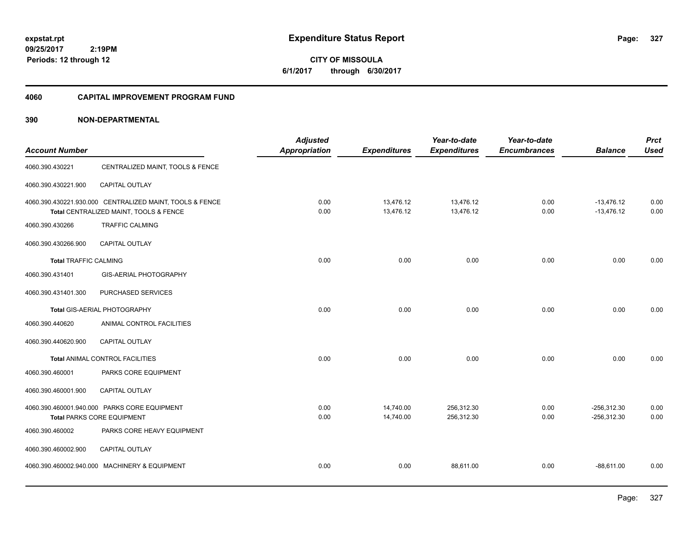**CITY OF MISSOULA 6/1/2017 through 6/30/2017**

#### **4060 CAPITAL IMPROVEMENT PROGRAM FUND**

| <b>Account Number</b>        |                                                                                                    | <b>Adjusted</b><br><b>Appropriation</b> | <b>Expenditures</b>    | Year-to-date<br><b>Expenditures</b> | Year-to-date<br><b>Encumbrances</b> | <b>Balance</b>                 | <b>Prct</b><br><b>Used</b> |
|------------------------------|----------------------------------------------------------------------------------------------------|-----------------------------------------|------------------------|-------------------------------------|-------------------------------------|--------------------------------|----------------------------|
| 4060.390.430221              | CENTRALIZED MAINT, TOOLS & FENCE                                                                   |                                         |                        |                                     |                                     |                                |                            |
| 4060.390.430221.900          | <b>CAPITAL OUTLAY</b>                                                                              |                                         |                        |                                     |                                     |                                |                            |
|                              | 4060.390.430221.930.000 CENTRALIZED MAINT, TOOLS & FENCE<br>Total CENTRALIZED MAINT, TOOLS & FENCE | 0.00<br>0.00                            | 13,476.12<br>13,476.12 | 13,476.12<br>13,476.12              | 0.00<br>0.00                        | $-13,476.12$<br>$-13,476.12$   | 0.00<br>0.00               |
| 4060.390.430266              | <b>TRAFFIC CALMING</b>                                                                             |                                         |                        |                                     |                                     |                                |                            |
| 4060.390.430266.900          | <b>CAPITAL OUTLAY</b>                                                                              |                                         |                        |                                     |                                     |                                |                            |
| <b>Total TRAFFIC CALMING</b> |                                                                                                    | 0.00                                    | 0.00                   | 0.00                                | 0.00                                | 0.00                           | 0.00                       |
| 4060.390.431401              | GIS-AERIAL PHOTOGRAPHY                                                                             |                                         |                        |                                     |                                     |                                |                            |
| 4060.390.431401.300          | PURCHASED SERVICES                                                                                 |                                         |                        |                                     |                                     |                                |                            |
|                              | Total GIS-AERIAL PHOTOGRAPHY                                                                       | 0.00                                    | 0.00                   | 0.00                                | 0.00                                | 0.00                           | 0.00                       |
| 4060.390.440620              | ANIMAL CONTROL FACILITIES                                                                          |                                         |                        |                                     |                                     |                                |                            |
| 4060.390.440620.900          | <b>CAPITAL OUTLAY</b>                                                                              |                                         |                        |                                     |                                     |                                |                            |
|                              | Total ANIMAL CONTROL FACILITIES                                                                    | 0.00                                    | 0.00                   | 0.00                                | 0.00                                | 0.00                           | 0.00                       |
| 4060.390.460001              | PARKS CORE EQUIPMENT                                                                               |                                         |                        |                                     |                                     |                                |                            |
| 4060.390.460001.900          | CAPITAL OUTLAY                                                                                     |                                         |                        |                                     |                                     |                                |                            |
|                              | 4060.390.460001.940.000 PARKS CORE EQUIPMENT<br><b>Total PARKS CORE EQUIPMENT</b>                  | 0.00<br>0.00                            | 14,740.00<br>14,740.00 | 256,312.30<br>256,312.30            | 0.00<br>0.00                        | $-256,312.30$<br>$-256,312.30$ | 0.00<br>0.00               |
| 4060.390.460002              | PARKS CORE HEAVY EQUIPMENT                                                                         |                                         |                        |                                     |                                     |                                |                            |
| 4060.390.460002.900          | <b>CAPITAL OUTLAY</b>                                                                              |                                         |                        |                                     |                                     |                                |                            |
|                              | 4060.390.460002.940.000 MACHINERY & EQUIPMENT                                                      | 0.00                                    | 0.00                   | 88,611.00                           | 0.00                                | $-88,611.00$                   | 0.00                       |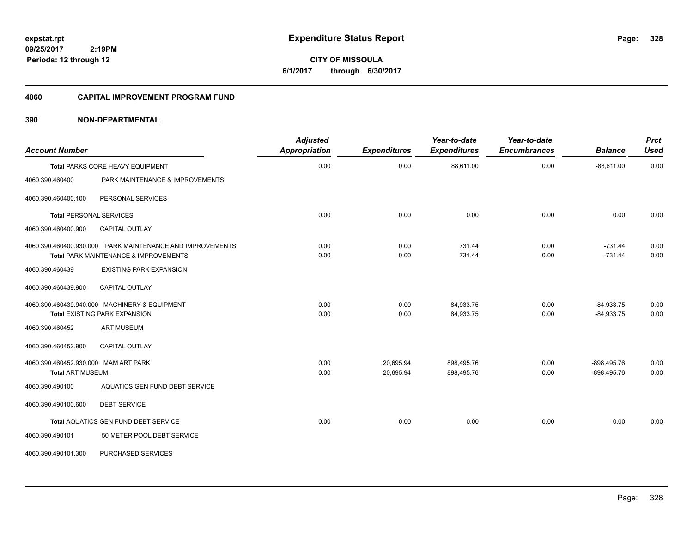**CITY OF MISSOULA 6/1/2017 through 6/30/2017**

#### **4060 CAPITAL IMPROVEMENT PROGRAM FUND**

| <b>Account Number</b>                                           |                                                                                                               | <b>Adjusted</b><br><b>Appropriation</b> | <b>Expenditures</b>    | Year-to-date<br><b>Expenditures</b> | Year-to-date<br><b>Encumbrances</b> | <b>Balance</b>                 | <b>Prct</b><br><b>Used</b> |
|-----------------------------------------------------------------|---------------------------------------------------------------------------------------------------------------|-----------------------------------------|------------------------|-------------------------------------|-------------------------------------|--------------------------------|----------------------------|
|                                                                 | Total PARKS CORE HEAVY EQUIPMENT                                                                              | 0.00                                    | 0.00                   | 88,611.00                           | 0.00                                | $-88,611.00$                   | 0.00                       |
| 4060.390.460400                                                 | PARK MAINTENANCE & IMPROVEMENTS                                                                               |                                         |                        |                                     |                                     |                                |                            |
| 4060.390.460400.100                                             | PERSONAL SERVICES                                                                                             |                                         |                        |                                     |                                     |                                |                            |
| <b>Total PERSONAL SERVICES</b>                                  |                                                                                                               | 0.00                                    | 0.00                   | 0.00                                | 0.00                                | 0.00                           | 0.00                       |
| 4060.390.460400.900                                             | <b>CAPITAL OUTLAY</b>                                                                                         |                                         |                        |                                     |                                     |                                |                            |
|                                                                 | 4060.390.460400.930.000 PARK MAINTENANCE AND IMPROVEMENTS<br><b>Total PARK MAINTENANCE &amp; IMPROVEMENTS</b> | 0.00<br>0.00                            | 0.00<br>0.00           | 731.44<br>731.44                    | 0.00<br>0.00                        | $-731.44$<br>$-731.44$         | 0.00<br>0.00               |
| 4060.390.460439                                                 | <b>EXISTING PARK EXPANSION</b>                                                                                |                                         |                        |                                     |                                     |                                |                            |
| 4060.390.460439.900                                             | <b>CAPITAL OUTLAY</b>                                                                                         |                                         |                        |                                     |                                     |                                |                            |
|                                                                 | 4060.390.460439.940.000 MACHINERY & EQUIPMENT<br><b>Total EXISTING PARK EXPANSION</b>                         | 0.00<br>0.00                            | 0.00<br>0.00           | 84,933.75<br>84,933.75              | 0.00<br>0.00                        | $-84,933.75$<br>$-84,933.75$   | 0.00<br>0.00               |
| 4060.390.460452                                                 | <b>ART MUSEUM</b>                                                                                             |                                         |                        |                                     |                                     |                                |                            |
| 4060.390.460452.900                                             | <b>CAPITAL OUTLAY</b>                                                                                         |                                         |                        |                                     |                                     |                                |                            |
| 4060.390.460452.930.000 MAM ART PARK<br><b>Total ART MUSEUM</b> |                                                                                                               | 0.00<br>0.00                            | 20,695.94<br>20.695.94 | 898,495.76<br>898,495.76            | 0.00<br>0.00                        | $-898,495.76$<br>$-898,495.76$ | 0.00<br>0.00               |
| 4060.390.490100                                                 | AQUATICS GEN FUND DEBT SERVICE                                                                                |                                         |                        |                                     |                                     |                                |                            |
| 4060.390.490100.600                                             | <b>DEBT SERVICE</b>                                                                                           |                                         |                        |                                     |                                     |                                |                            |
|                                                                 | Total AQUATICS GEN FUND DEBT SERVICE                                                                          | 0.00                                    | 0.00                   | 0.00                                | 0.00                                | 0.00                           | 0.00                       |
| 4060.390.490101                                                 | 50 METER POOL DEBT SERVICE                                                                                    |                                         |                        |                                     |                                     |                                |                            |
| 4060.390.490101.300                                             | PURCHASED SERVICES                                                                                            |                                         |                        |                                     |                                     |                                |                            |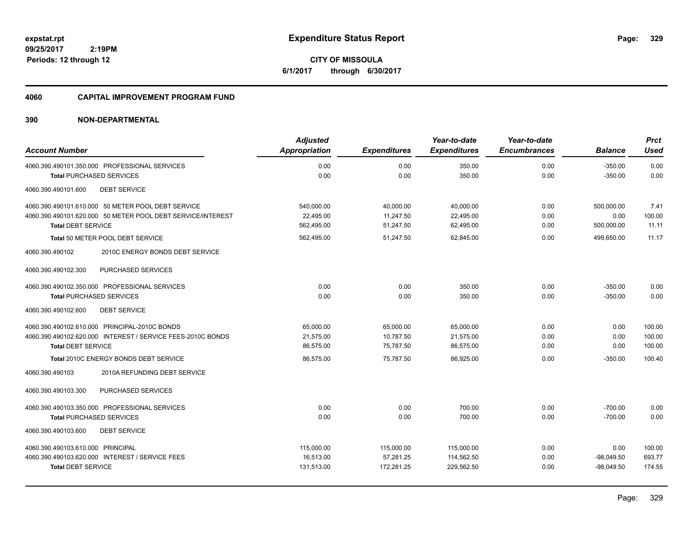**CITY OF MISSOULA 6/1/2017 through 6/30/2017**

#### **4060 CAPITAL IMPROVEMENT PROGRAM FUND**

| <b>Account Number</b>                                       | <b>Adjusted</b><br>Appropriation | <b>Expenditures</b> | Year-to-date<br><b>Expenditures</b> | Year-to-date<br><b>Encumbrances</b> | <b>Balance</b> | <b>Prct</b><br><b>Used</b> |
|-------------------------------------------------------------|----------------------------------|---------------------|-------------------------------------|-------------------------------------|----------------|----------------------------|
| 4060.390.490101.350.000 PROFESSIONAL SERVICES               | 0.00                             | 0.00                | 350.00                              | 0.00                                | $-350.00$      | 0.00                       |
| <b>Total PURCHASED SERVICES</b>                             | 0.00                             | 0.00                | 350.00                              | 0.00                                | $-350.00$      | 0.00                       |
| <b>DEBT SERVICE</b><br>4060.390.490101.600                  |                                  |                     |                                     |                                     |                |                            |
| 4060.390.490101.610.000 50 METER POOL DEBT SERVICE          | 540,000.00                       | 40,000.00           | 40,000.00                           | 0.00                                | 500.000.00     | 7.41                       |
| 4060.390.490101.620.000 50 METER POOL DEBT SERVICE/INTEREST | 22.495.00                        | 11,247.50           | 22,495.00                           | 0.00                                | 0.00           | 100.00                     |
| <b>Total DEBT SERVICE</b>                                   | 562,495.00                       | 51,247.50           | 62,495.00                           | 0.00                                | 500,000.00     | 11.11                      |
| Total 50 METER POOL DEBT SERVICE                            | 562,495.00                       | 51.247.50           | 62,845.00                           | 0.00                                | 499.650.00     | 11.17                      |
| 4060.390.490102<br>2010C ENERGY BONDS DEBT SERVICE          |                                  |                     |                                     |                                     |                |                            |
| PURCHASED SERVICES<br>4060.390.490102.300                   |                                  |                     |                                     |                                     |                |                            |
| 4060.390.490102.350.000 PROFESSIONAL SERVICES               | 0.00                             | 0.00                | 350.00                              | 0.00                                | $-350.00$      | 0.00                       |
| <b>Total PURCHASED SERVICES</b>                             | 0.00                             | 0.00                | 350.00                              | 0.00                                | $-350.00$      | 0.00                       |
| <b>DEBT SERVICE</b><br>4060.390.490102.600                  |                                  |                     |                                     |                                     |                |                            |
| 4060.390.490102.610.000 PRINCIPAL-2010C BONDS               | 65,000.00                        | 65,000.00           | 65,000.00                           | 0.00                                | 0.00           | 100.00                     |
| 4060.390.490102.620.000 INTEREST / SERVICE FEES-2010C BONDS | 21,575.00                        | 10,787.50           | 21,575.00                           | 0.00                                | 0.00           | 100.00                     |
| <b>Total DEBT SERVICE</b>                                   | 86,575.00                        | 75,787.50           | 86,575.00                           | 0.00                                | 0.00           | 100.00                     |
| Total 2010C ENERGY BONDS DEBT SERVICE                       | 86.575.00                        | 75.787.50           | 86.925.00                           | 0.00                                | $-350.00$      | 100.40                     |
| 2010A REFUNDING DEBT SERVICE<br>4060.390.490103             |                                  |                     |                                     |                                     |                |                            |
| PURCHASED SERVICES<br>4060.390.490103.300                   |                                  |                     |                                     |                                     |                |                            |
| 4060.390.490103.350.000 PROFESSIONAL SERVICES               | 0.00                             | 0.00                | 700.00                              | 0.00                                | $-700.00$      | 0.00                       |
| <b>Total PURCHASED SERVICES</b>                             | 0.00                             | 0.00                | 700.00                              | 0.00                                | $-700.00$      | 0.00                       |
| 4060.390.490103.600<br><b>DEBT SERVICE</b>                  |                                  |                     |                                     |                                     |                |                            |
| 4060.390.490103.610.000 PRINCIPAL                           | 115,000.00                       | 115,000.00          | 115,000.00                          | 0.00                                | 0.00           | 100.00                     |
| 4060.390.490103.620.000 INTEREST / SERVICE FEES             | 16,513.00                        | 57,281.25           | 114,562.50                          | 0.00                                | $-98,049.50$   | 693.77                     |
| <b>Total DEBT SERVICE</b>                                   | 131,513.00                       | 172,281.25          | 229,562.50                          | 0.00                                | $-98,049.50$   | 174.55                     |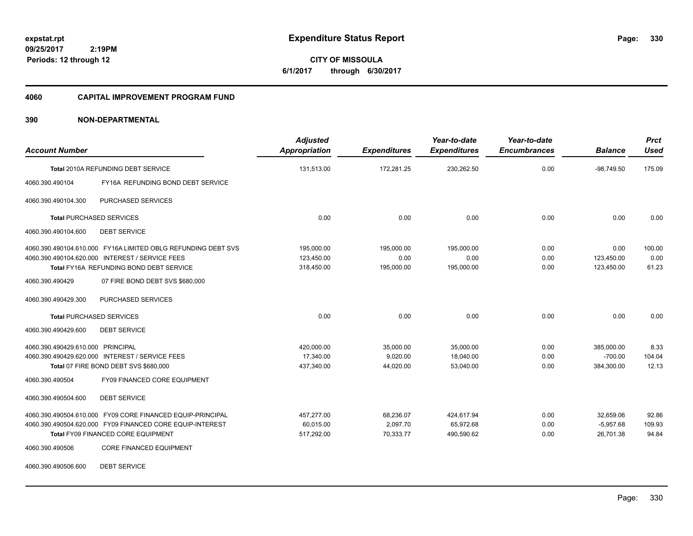**CITY OF MISSOULA 6/1/2017 through 6/30/2017**

#### **4060 CAPITAL IMPROVEMENT PROGRAM FUND**

| <b>Account Number</b>                                         | <b>Adjusted</b><br><b>Appropriation</b> | <b>Expenditures</b> | Year-to-date<br><b>Expenditures</b> | Year-to-date<br><b>Encumbrances</b> | <b>Balance</b> | <b>Prct</b><br><b>Used</b> |
|---------------------------------------------------------------|-----------------------------------------|---------------------|-------------------------------------|-------------------------------------|----------------|----------------------------|
| Total 2010A REFUNDING DEBT SERVICE                            | 131,513.00                              | 172,281.25          | 230,262.50                          | 0.00                                | $-98,749.50$   | 175.09                     |
| 4060.390.490104<br>FY16A REFUNDING BOND DEBT SERVICE          |                                         |                     |                                     |                                     |                |                            |
| 4060.390.490104.300<br>PURCHASED SERVICES                     |                                         |                     |                                     |                                     |                |                            |
| <b>Total PURCHASED SERVICES</b>                               | 0.00                                    | 0.00                | 0.00                                | 0.00                                | 0.00           | 0.00                       |
| 4060.390.490104.600<br><b>DEBT SERVICE</b>                    |                                         |                     |                                     |                                     |                |                            |
| 4060.390.490104.610.000 FY16A LIMITED OBLG REFUNDING DEBT SVS | 195,000.00                              | 195,000.00          | 195.000.00                          | 0.00                                | 0.00           | 100.00                     |
| 4060.390.490104.620.000 INTEREST / SERVICE FEES               | 123,450.00                              | 0.00                | 0.00                                | 0.00                                | 123,450.00     | 0.00                       |
| Total FY16A REFUNDING BOND DEBT SERVICE                       | 318,450.00                              | 195,000.00          | 195,000.00                          | 0.00                                | 123,450.00     | 61.23                      |
| 4060.390.490429<br>07 FIRE BOND DEBT SVS \$680,000            |                                         |                     |                                     |                                     |                |                            |
| PURCHASED SERVICES<br>4060.390.490429.300                     |                                         |                     |                                     |                                     |                |                            |
| <b>Total PURCHASED SERVICES</b>                               | 0.00                                    | 0.00                | 0.00                                | 0.00                                | 0.00           | 0.00                       |
| 4060.390.490429.600<br><b>DEBT SERVICE</b>                    |                                         |                     |                                     |                                     |                |                            |
| 4060.390.490429.610.000 PRINCIPAL                             | 420,000.00                              | 35,000.00           | 35,000.00                           | 0.00                                | 385,000.00     | 8.33                       |
| 4060.390.490429.620.000 INTEREST / SERVICE FEES               | 17.340.00                               | 9,020.00            | 18,040.00                           | 0.00                                | $-700.00$      | 104.04                     |
| Total 07 FIRE BOND DEBT SVS \$680,000                         | 437,340.00                              | 44,020.00           | 53,040.00                           | 0.00                                | 384,300.00     | 12.13                      |
| 4060.390.490504<br>FY09 FINANCED CORE EQUIPMENT               |                                         |                     |                                     |                                     |                |                            |
| 4060.390.490504.600<br><b>DEBT SERVICE</b>                    |                                         |                     |                                     |                                     |                |                            |
| 4060.390.490504.610.000 FY09 CORE FINANCED EQUIP-PRINCIPAL    | 457,277.00                              | 68,236.07           | 424,617.94                          | 0.00                                | 32,659.06      | 92.86                      |
| 4060.390.490504.620.000 FY09 FINANCED CORE EQUIP-INTEREST     | 60,015.00                               | 2,097.70            | 65,972.68                           | 0.00                                | $-5,957.68$    | 109.93                     |
| <b>Total FY09 FINANCED CORE EQUIPMENT</b>                     | 517,292.00                              | 70,333.77           | 490,590.62                          | 0.00                                | 26,701.38      | 94.84                      |
| CORE FINANCED EQUIPMENT<br>4060.390.490506                    |                                         |                     |                                     |                                     |                |                            |
| 4060.390.490506.600<br><b>DEBT SERVICE</b>                    |                                         |                     |                                     |                                     |                |                            |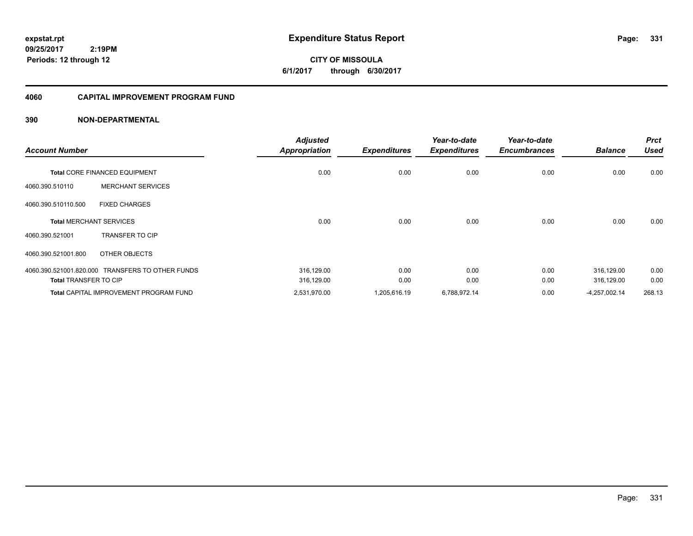**expstat.rpt Expenditure Status Report Page:**

**09/25/2017 2:19PM Periods: 12 through 12**

**CITY OF MISSOULA 6/1/2017 through 6/30/2017**

#### **4060 CAPITAL IMPROVEMENT PROGRAM FUND**

| <b>Account Number</b>        |                                                  | <b>Adjusted</b><br><b>Appropriation</b> | <b>Expenditures</b> | Year-to-date<br><b>Expenditures</b> | Year-to-date<br><b>Encumbrances</b> | <b>Balance</b>  | <b>Prct</b><br><b>Used</b> |
|------------------------------|--------------------------------------------------|-----------------------------------------|---------------------|-------------------------------------|-------------------------------------|-----------------|----------------------------|
|                              | <b>Total CORE FINANCED EQUIPMENT</b>             | 0.00                                    | 0.00                | 0.00                                | 0.00                                | 0.00            | 0.00                       |
| 4060.390.510110              | <b>MERCHANT SERVICES</b>                         |                                         |                     |                                     |                                     |                 |                            |
| 4060.390.510110.500          | <b>FIXED CHARGES</b>                             |                                         |                     |                                     |                                     |                 |                            |
|                              | <b>Total MERCHANT SERVICES</b>                   | 0.00                                    | 0.00                | 0.00                                | 0.00                                | 0.00            | 0.00                       |
| 4060.390.521001              | <b>TRANSFER TO CIP</b>                           |                                         |                     |                                     |                                     |                 |                            |
| 4060.390.521001.800          | OTHER OBJECTS                                    |                                         |                     |                                     |                                     |                 |                            |
|                              | 4060.390.521001.820.000 TRANSFERS TO OTHER FUNDS | 316,129.00                              | 0.00                | 0.00                                | 0.00                                | 316,129.00      | 0.00                       |
| <b>Total TRANSFER TO CIP</b> |                                                  | 316,129.00                              | 0.00                | 0.00                                | 0.00                                | 316,129.00      | 0.00                       |
|                              | <b>Total CAPITAL IMPROVEMENT PROGRAM FUND</b>    | 2,531,970.00                            | 1,205,616.19        | 6,788,972.14                        | 0.00                                | $-4,257,002.14$ | 268.13                     |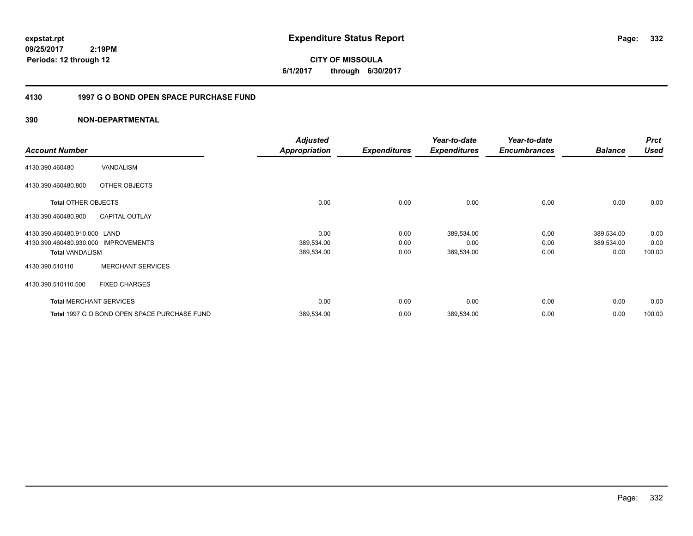**CITY OF MISSOULA 6/1/2017 through 6/30/2017**

### **4130 1997 G O BOND OPEN SPACE PURCHASE FUND**

| <b>Account Number</b>                          | <b>Adjusted</b><br><b>Appropriation</b> | <b>Expenditures</b> | Year-to-date<br><b>Expenditures</b> | Year-to-date<br><b>Encumbrances</b> | <b>Balance</b> | <b>Prct</b><br>Used |
|------------------------------------------------|-----------------------------------------|---------------------|-------------------------------------|-------------------------------------|----------------|---------------------|
| VANDALISM<br>4130.390.460480                   |                                         |                     |                                     |                                     |                |                     |
| OTHER OBJECTS<br>4130.390.460480.800           |                                         |                     |                                     |                                     |                |                     |
| <b>Total OTHER OBJECTS</b>                     | 0.00                                    | 0.00                | 0.00                                | 0.00                                | 0.00           | 0.00                |
| <b>CAPITAL OUTLAY</b><br>4130.390.460480.900   |                                         |                     |                                     |                                     |                |                     |
| 4130.390.460480.910.000 LAND                   | 0.00                                    | 0.00                | 389,534.00                          | 0.00                                | $-389,534.00$  | 0.00                |
| 4130.390.460480.930.000<br><b>IMPROVEMENTS</b> | 389,534.00                              | 0.00                | 0.00                                | 0.00                                | 389,534.00     | 0.00                |
| <b>Total VANDALISM</b>                         | 389,534.00                              | 0.00                | 389,534.00                          | 0.00                                | 0.00           | 100.00              |
| <b>MERCHANT SERVICES</b><br>4130.390.510110    |                                         |                     |                                     |                                     |                |                     |
| 4130.390.510110.500<br><b>FIXED CHARGES</b>    |                                         |                     |                                     |                                     |                |                     |
| <b>Total MERCHANT SERVICES</b>                 | 0.00                                    | 0.00                | 0.00                                | 0.00                                | 0.00           | 0.00                |
| Total 1997 G O BOND OPEN SPACE PURCHASE FUND   | 389,534.00                              | 0.00                | 389,534.00                          | 0.00                                | 0.00           | 100.00              |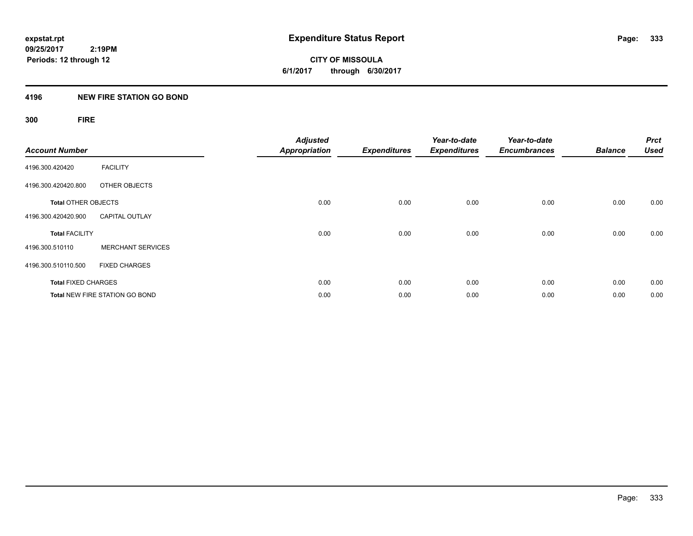**09/25/2017 2:19PM Periods: 12 through 12**

**CITY OF MISSOULA 6/1/2017 through 6/30/2017**

#### **4196 NEW FIRE STATION GO BOND**

**300 FIRE**

| <b>Account Number</b>      |                                       | <b>Adjusted</b><br><b>Appropriation</b> | <b>Expenditures</b> | Year-to-date<br><b>Expenditures</b> | Year-to-date<br><b>Encumbrances</b> | <b>Balance</b> | <b>Prct</b><br><b>Used</b> |
|----------------------------|---------------------------------------|-----------------------------------------|---------------------|-------------------------------------|-------------------------------------|----------------|----------------------------|
| 4196.300.420420            | <b>FACILITY</b>                       |                                         |                     |                                     |                                     |                |                            |
| 4196.300.420420.800        | OTHER OBJECTS                         |                                         |                     |                                     |                                     |                |                            |
| <b>Total OTHER OBJECTS</b> |                                       | 0.00                                    | 0.00                | 0.00                                | 0.00                                | 0.00           | 0.00                       |
| 4196.300.420420.900        | <b>CAPITAL OUTLAY</b>                 |                                         |                     |                                     |                                     |                |                            |
| <b>Total FACILITY</b>      |                                       | 0.00                                    | 0.00                | 0.00                                | 0.00                                | 0.00           | 0.00                       |
| 4196.300.510110            | <b>MERCHANT SERVICES</b>              |                                         |                     |                                     |                                     |                |                            |
| 4196.300.510110.500        | <b>FIXED CHARGES</b>                  |                                         |                     |                                     |                                     |                |                            |
| <b>Total FIXED CHARGES</b> |                                       | 0.00                                    | 0.00                | 0.00                                | 0.00                                | 0.00           | 0.00                       |
|                            | <b>Total NEW FIRE STATION GO BOND</b> | 0.00                                    | 0.00                | 0.00                                | 0.00                                | 0.00           | 0.00                       |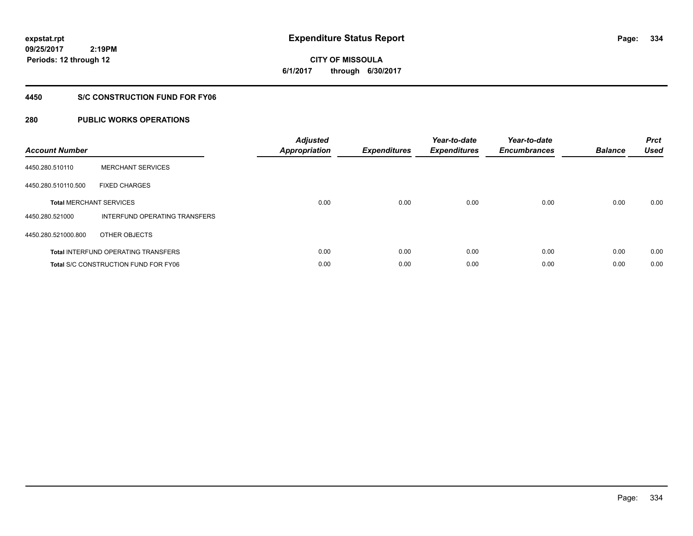**09/25/2017 2:19PM Periods: 12 through 12**

# **CITY OF MISSOULA 6/1/2017 through 6/30/2017**

### **4450 S/C CONSTRUCTION FUND FOR FY06**

| <b>Account Number</b> |                                             | <b>Adjusted</b><br><b>Appropriation</b> | <b>Expenditures</b> | Year-to-date<br><b>Expenditures</b> | Year-to-date<br><b>Encumbrances</b> | <b>Balance</b> | <b>Prct</b><br><b>Used</b> |
|-----------------------|---------------------------------------------|-----------------------------------------|---------------------|-------------------------------------|-------------------------------------|----------------|----------------------------|
| 4450.280.510110       | <b>MERCHANT SERVICES</b>                    |                                         |                     |                                     |                                     |                |                            |
| 4450.280.510110.500   | <b>FIXED CHARGES</b>                        |                                         |                     |                                     |                                     |                |                            |
|                       | <b>Total MERCHANT SERVICES</b>              | 0.00                                    | 0.00                | 0.00                                | 0.00                                | 0.00           | 0.00                       |
| 4450.280.521000       | INTERFUND OPERATING TRANSFERS               |                                         |                     |                                     |                                     |                |                            |
| 4450.280.521000.800   | OTHER OBJECTS                               |                                         |                     |                                     |                                     |                |                            |
|                       | <b>Total INTERFUND OPERATING TRANSFERS</b>  | 0.00                                    | 0.00                | 0.00                                | 0.00                                | 0.00           | 0.00                       |
|                       | <b>Total S/C CONSTRUCTION FUND FOR FY06</b> | 0.00                                    | 0.00                | 0.00                                | 0.00                                | 0.00           | 0.00                       |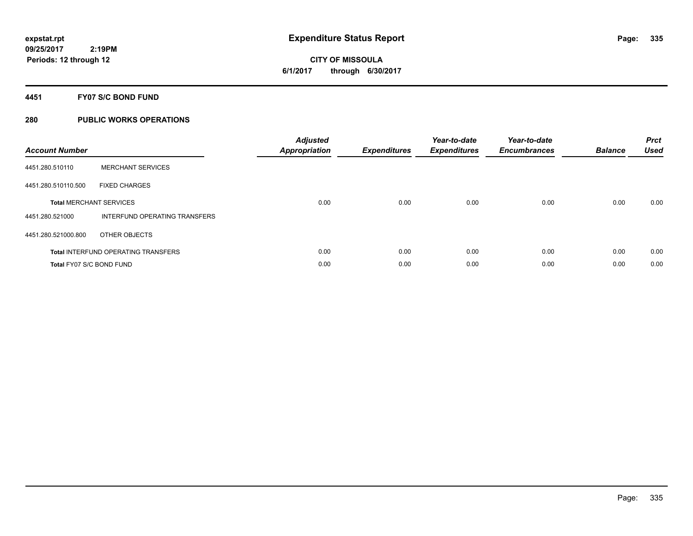**CITY OF MISSOULA 6/1/2017 through 6/30/2017**

#### **4451 FY07 S/C BOND FUND**

| <b>Account Number</b>    |                                            | <b>Adjusted</b><br>Appropriation | <b>Expenditures</b> | Year-to-date<br><b>Expenditures</b> | Year-to-date<br><b>Encumbrances</b> | <b>Balance</b> | <b>Prct</b><br><b>Used</b> |
|--------------------------|--------------------------------------------|----------------------------------|---------------------|-------------------------------------|-------------------------------------|----------------|----------------------------|
| 4451.280.510110          | <b>MERCHANT SERVICES</b>                   |                                  |                     |                                     |                                     |                |                            |
| 4451.280.510110.500      | <b>FIXED CHARGES</b>                       |                                  |                     |                                     |                                     |                |                            |
|                          | <b>Total MERCHANT SERVICES</b>             | 0.00                             | 0.00                | 0.00                                | 0.00                                | 0.00           | 0.00                       |
| 4451.280.521000          | INTERFUND OPERATING TRANSFERS              |                                  |                     |                                     |                                     |                |                            |
| 4451.280.521000.800      | OTHER OBJECTS                              |                                  |                     |                                     |                                     |                |                            |
|                          | <b>Total INTERFUND OPERATING TRANSFERS</b> | 0.00                             | 0.00                | 0.00                                | 0.00                                | 0.00           | 0.00                       |
| Total FY07 S/C BOND FUND |                                            | 0.00                             | 0.00                | 0.00                                | 0.00                                | 0.00           | 0.00                       |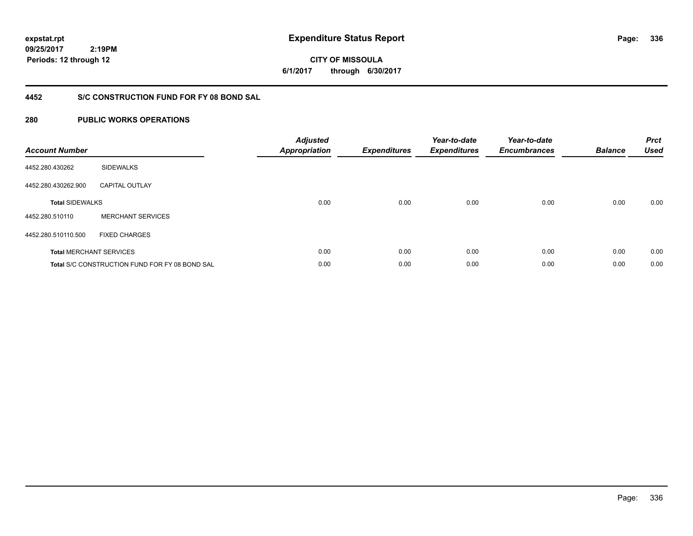**09/25/2017 2:19PM Periods: 12 through 12**

**CITY OF MISSOULA 6/1/2017 through 6/30/2017**

### **4452 S/C CONSTRUCTION FUND FOR FY 08 BOND SAL**

| <b>Account Number</b>  |                                                       | <b>Adjusted</b><br><b>Appropriation</b> | <b>Expenditures</b> | Year-to-date<br><b>Expenditures</b> | Year-to-date<br><b>Encumbrances</b> | <b>Balance</b> | <b>Prct</b><br><b>Used</b> |
|------------------------|-------------------------------------------------------|-----------------------------------------|---------------------|-------------------------------------|-------------------------------------|----------------|----------------------------|
| 4452.280.430262        | <b>SIDEWALKS</b>                                      |                                         |                     |                                     |                                     |                |                            |
| 4452.280.430262.900    | <b>CAPITAL OUTLAY</b>                                 |                                         |                     |                                     |                                     |                |                            |
| <b>Total SIDEWALKS</b> |                                                       | 0.00                                    | 0.00                | 0.00                                | 0.00                                | 0.00           | 0.00                       |
| 4452.280.510110        | <b>MERCHANT SERVICES</b>                              |                                         |                     |                                     |                                     |                |                            |
| 4452.280.510110.500    | <b>FIXED CHARGES</b>                                  |                                         |                     |                                     |                                     |                |                            |
|                        | <b>Total MERCHANT SERVICES</b>                        | 0.00                                    | 0.00                | 0.00                                | 0.00                                | 0.00           | 0.00                       |
|                        | <b>Total S/C CONSTRUCTION FUND FOR FY 08 BOND SAL</b> | 0.00                                    | 0.00                | 0.00                                | 0.00                                | 0.00           | 0.00                       |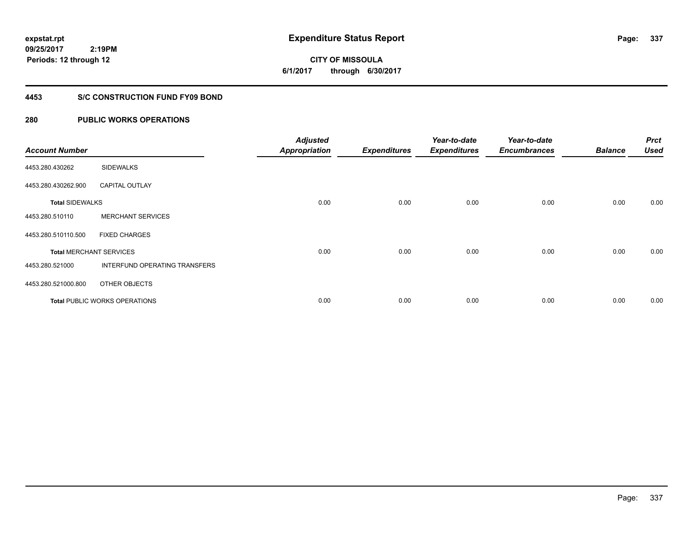**09/25/2017 2:19PM Periods: 12 through 12**

# **CITY OF MISSOULA 6/1/2017 through 6/30/2017**

#### **4453 S/C CONSTRUCTION FUND FY09 BOND**

| <b>Account Number</b>  |                                      | <b>Adjusted</b><br><b>Appropriation</b> | <b>Expenditures</b> | Year-to-date<br><b>Expenditures</b> | Year-to-date<br><b>Encumbrances</b> | <b>Balance</b> | <b>Prct</b><br><b>Used</b> |
|------------------------|--------------------------------------|-----------------------------------------|---------------------|-------------------------------------|-------------------------------------|----------------|----------------------------|
| 4453.280.430262        | <b>SIDEWALKS</b>                     |                                         |                     |                                     |                                     |                |                            |
| 4453.280.430262.900    | <b>CAPITAL OUTLAY</b>                |                                         |                     |                                     |                                     |                |                            |
| <b>Total SIDEWALKS</b> |                                      | 0.00                                    | 0.00                | 0.00                                | 0.00                                | 0.00           | 0.00                       |
| 4453.280.510110        | <b>MERCHANT SERVICES</b>             |                                         |                     |                                     |                                     |                |                            |
| 4453.280.510110.500    | <b>FIXED CHARGES</b>                 |                                         |                     |                                     |                                     |                |                            |
|                        | <b>Total MERCHANT SERVICES</b>       | 0.00                                    | 0.00                | 0.00                                | 0.00                                | 0.00           | 0.00                       |
| 4453.280.521000        | INTERFUND OPERATING TRANSFERS        |                                         |                     |                                     |                                     |                |                            |
| 4453.280.521000.800    | OTHER OBJECTS                        |                                         |                     |                                     |                                     |                |                            |
|                        | <b>Total PUBLIC WORKS OPERATIONS</b> | 0.00                                    | 0.00                | 0.00                                | 0.00                                | 0.00           | 0.00                       |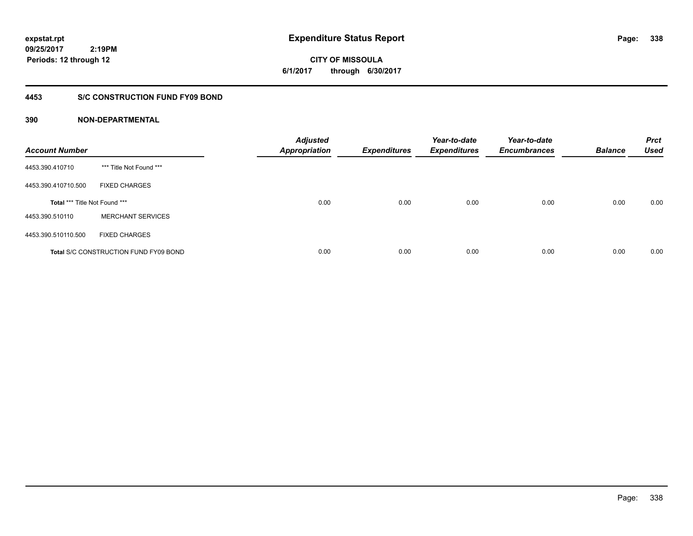**CITY OF MISSOULA 6/1/2017 through 6/30/2017**

### **4453 S/C CONSTRUCTION FUND FY09 BOND**

| <b>Account Number</b>         |                                              | <b>Adjusted</b><br><b>Appropriation</b> | <b>Expenditures</b> | Year-to-date<br><b>Expenditures</b> | Year-to-date<br><b>Encumbrances</b> | <b>Balance</b> | <b>Prct</b><br><b>Used</b> |
|-------------------------------|----------------------------------------------|-----------------------------------------|---------------------|-------------------------------------|-------------------------------------|----------------|----------------------------|
| 4453.390.410710               | *** Title Not Found ***                      |                                         |                     |                                     |                                     |                |                            |
| 4453.390.410710.500           | <b>FIXED CHARGES</b>                         |                                         |                     |                                     |                                     |                |                            |
| Total *** Title Not Found *** |                                              | 0.00                                    | 0.00                | 0.00                                | 0.00                                | 0.00           | 0.00                       |
| 4453.390.510110               | <b>MERCHANT SERVICES</b>                     |                                         |                     |                                     |                                     |                |                            |
| 4453.390.510110.500           | <b>FIXED CHARGES</b>                         |                                         |                     |                                     |                                     |                |                            |
|                               | <b>Total S/C CONSTRUCTION FUND FY09 BOND</b> | 0.00                                    | 0.00                | 0.00                                | 0.00                                | 0.00           | 0.00                       |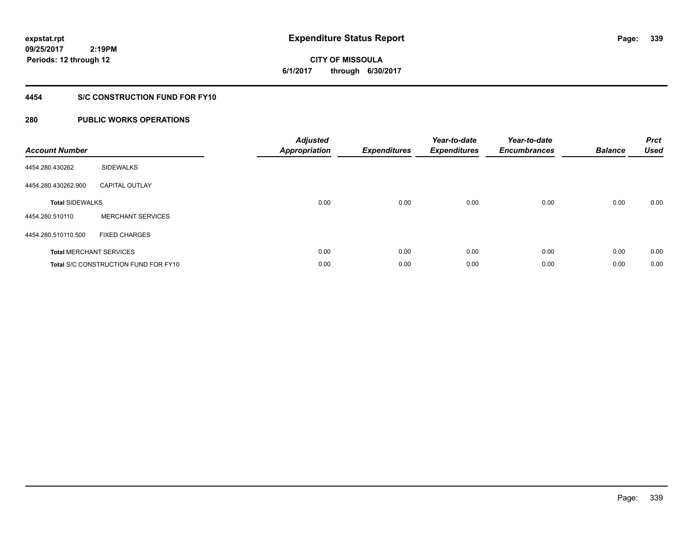**09/25/2017 2:19PM Periods: 12 through 12**

# **CITY OF MISSOULA 6/1/2017 through 6/30/2017**

### **4454 S/C CONSTRUCTION FUND FOR FY10**

| <b>Account Number</b>          |                                             | <b>Adjusted</b><br><b>Appropriation</b> | <b>Expenditures</b> | Year-to-date<br><b>Expenditures</b> | Year-to-date<br><b>Encumbrances</b> | <b>Balance</b> | <b>Prct</b><br><b>Used</b> |
|--------------------------------|---------------------------------------------|-----------------------------------------|---------------------|-------------------------------------|-------------------------------------|----------------|----------------------------|
| 4454.280.430262                | <b>SIDEWALKS</b>                            |                                         |                     |                                     |                                     |                |                            |
| 4454.280.430262.900            | <b>CAPITAL OUTLAY</b>                       |                                         |                     |                                     |                                     |                |                            |
| <b>Total SIDEWALKS</b>         |                                             | 0.00                                    | 0.00                | 0.00                                | 0.00                                | 0.00           | 0.00                       |
| 4454.280.510110                | <b>MERCHANT SERVICES</b>                    |                                         |                     |                                     |                                     |                |                            |
| 4454.280.510110.500            | <b>FIXED CHARGES</b>                        |                                         |                     |                                     |                                     |                |                            |
| <b>Total MERCHANT SERVICES</b> |                                             | 0.00                                    | 0.00                | 0.00                                | 0.00                                | 0.00           | 0.00                       |
|                                | <b>Total S/C CONSTRUCTION FUND FOR FY10</b> | 0.00                                    | 0.00                | 0.00                                | 0.00                                | 0.00           | 0.00                       |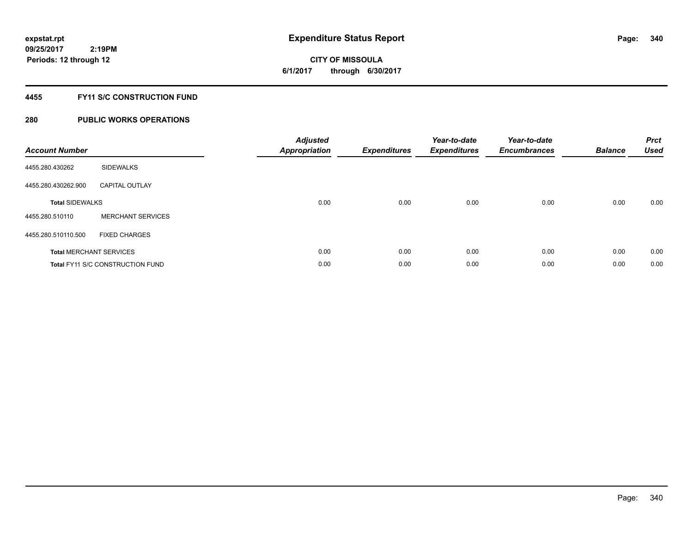**Periods: 12 through 12**

**CITY OF MISSOULA 6/1/2017 through 6/30/2017**

#### **4455 FY11 S/C CONSTRUCTION FUND**

### **280 PUBLIC WORKS OPERATIONS**

 **2:19PM**

| <b>Account Number</b>  |                                         | <b>Adjusted</b><br><b>Appropriation</b> | <b>Expenditures</b> | Year-to-date<br><b>Expenditures</b> | Year-to-date<br><b>Encumbrances</b> | <b>Balance</b> | <b>Prct</b><br><b>Used</b> |
|------------------------|-----------------------------------------|-----------------------------------------|---------------------|-------------------------------------|-------------------------------------|----------------|----------------------------|
| 4455.280.430262        | <b>SIDEWALKS</b>                        |                                         |                     |                                     |                                     |                |                            |
| 4455.280.430262.900    | <b>CAPITAL OUTLAY</b>                   |                                         |                     |                                     |                                     |                |                            |
| <b>Total SIDEWALKS</b> |                                         | 0.00                                    | 0.00                | 0.00                                | 0.00                                | 0.00           | 0.00                       |
| 4455.280.510110        | <b>MERCHANT SERVICES</b>                |                                         |                     |                                     |                                     |                |                            |
| 4455.280.510110.500    | <b>FIXED CHARGES</b>                    |                                         |                     |                                     |                                     |                |                            |
|                        | <b>Total MERCHANT SERVICES</b>          | 0.00                                    | 0.00                | 0.00                                | 0.00                                | 0.00           | 0.00                       |
|                        | <b>Total FY11 S/C CONSTRUCTION FUND</b> | 0.00                                    | 0.00                | 0.00                                | 0.00                                | 0.00           | 0.00                       |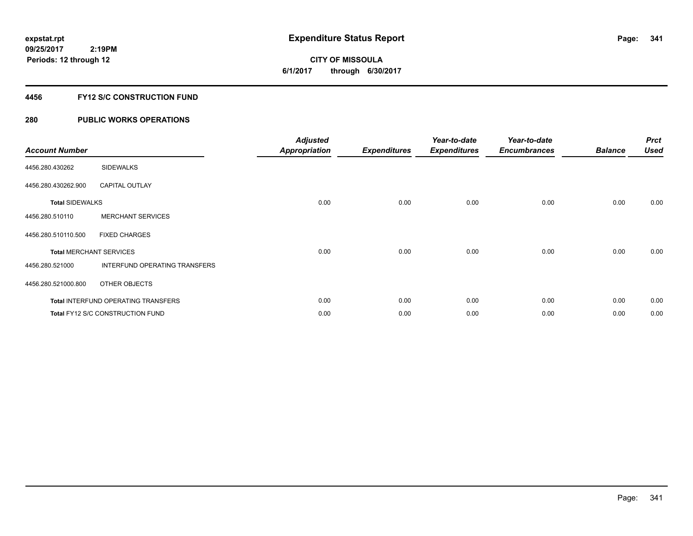# **CITY OF MISSOULA 6/1/2017 through 6/30/2017**

### **4456 FY12 S/C CONSTRUCTION FUND**

| <b>Account Number</b>          |                                            | <b>Adjusted</b><br>Appropriation | <b>Expenditures</b> | Year-to-date<br><b>Expenditures</b> | Year-to-date<br><b>Encumbrances</b> | <b>Balance</b> | <b>Prct</b><br><b>Used</b> |
|--------------------------------|--------------------------------------------|----------------------------------|---------------------|-------------------------------------|-------------------------------------|----------------|----------------------------|
| 4456.280.430262                | <b>SIDEWALKS</b>                           |                                  |                     |                                     |                                     |                |                            |
| 4456.280.430262.900            | <b>CAPITAL OUTLAY</b>                      |                                  |                     |                                     |                                     |                |                            |
| <b>Total SIDEWALKS</b>         |                                            | 0.00                             | 0.00                | 0.00                                | 0.00                                | 0.00           | 0.00                       |
| 4456.280.510110                | <b>MERCHANT SERVICES</b>                   |                                  |                     |                                     |                                     |                |                            |
| 4456.280.510110.500            | <b>FIXED CHARGES</b>                       |                                  |                     |                                     |                                     |                |                            |
| <b>Total MERCHANT SERVICES</b> |                                            | 0.00                             | 0.00                | 0.00                                | 0.00                                | 0.00           | 0.00                       |
| 4456.280.521000                | INTERFUND OPERATING TRANSFERS              |                                  |                     |                                     |                                     |                |                            |
| 4456.280.521000.800            | OTHER OBJECTS                              |                                  |                     |                                     |                                     |                |                            |
|                                | <b>Total INTERFUND OPERATING TRANSFERS</b> | 0.00                             | 0.00                | 0.00                                | 0.00                                | 0.00           | 0.00                       |
|                                | <b>Total FY12 S/C CONSTRUCTION FUND</b>    | 0.00                             | 0.00                | 0.00                                | 0.00                                | 0.00           | 0.00                       |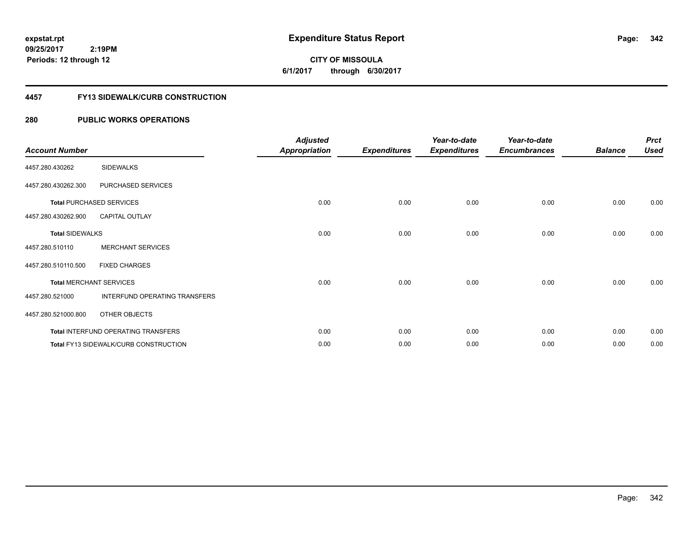**09/25/2017 2:19PM Periods: 12 through 12**

**CITY OF MISSOULA 6/1/2017 through 6/30/2017**

#### **4457 FY13 SIDEWALK/CURB CONSTRUCTION**

| <b>Account Number</b>  |                                       | <b>Adjusted</b><br><b>Appropriation</b> | <b>Expenditures</b> | Year-to-date<br><b>Expenditures</b> | Year-to-date<br><b>Encumbrances</b> | <b>Balance</b> | <b>Prct</b><br><b>Used</b> |
|------------------------|---------------------------------------|-----------------------------------------|---------------------|-------------------------------------|-------------------------------------|----------------|----------------------------|
| 4457.280.430262        | <b>SIDEWALKS</b>                      |                                         |                     |                                     |                                     |                |                            |
| 4457.280.430262.300    | PURCHASED SERVICES                    |                                         |                     |                                     |                                     |                |                            |
|                        | <b>Total PURCHASED SERVICES</b>       | 0.00                                    | 0.00                | 0.00                                | 0.00                                | 0.00           | 0.00                       |
| 4457.280.430262.900    | <b>CAPITAL OUTLAY</b>                 |                                         |                     |                                     |                                     |                |                            |
| <b>Total SIDEWALKS</b> |                                       | 0.00                                    | 0.00                | 0.00                                | 0.00                                | 0.00           | 0.00                       |
| 4457.280.510110        | <b>MERCHANT SERVICES</b>              |                                         |                     |                                     |                                     |                |                            |
| 4457.280.510110.500    | <b>FIXED CHARGES</b>                  |                                         |                     |                                     |                                     |                |                            |
|                        | <b>Total MERCHANT SERVICES</b>        | 0.00                                    | 0.00                | 0.00                                | 0.00                                | 0.00           | 0.00                       |
| 4457.280.521000        | INTERFUND OPERATING TRANSFERS         |                                         |                     |                                     |                                     |                |                            |
| 4457.280.521000.800    | OTHER OBJECTS                         |                                         |                     |                                     |                                     |                |                            |
|                        | Total INTERFUND OPERATING TRANSFERS   | 0.00                                    | 0.00                | 0.00                                | 0.00                                | 0.00           | 0.00                       |
|                        | Total FY13 SIDEWALK/CURB CONSTRUCTION | 0.00                                    | 0.00                | 0.00                                | 0.00                                | 0.00           | 0.00                       |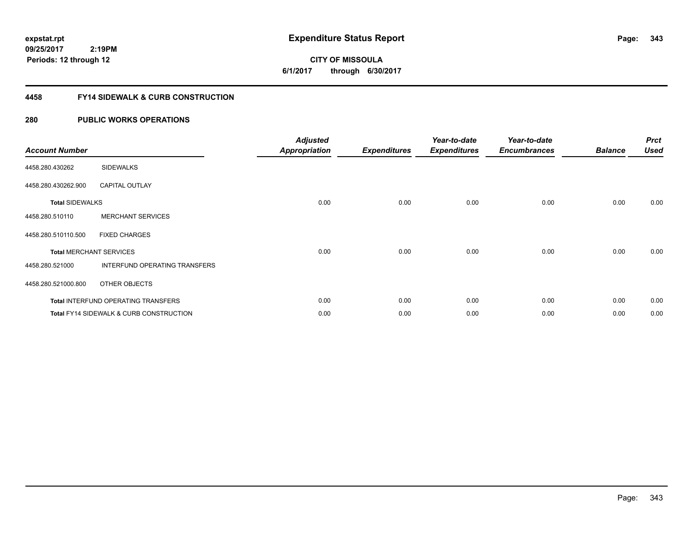**09/25/2017 2:19PM Periods: 12 through 12**

# **CITY OF MISSOULA 6/1/2017 through 6/30/2017**

#### **4458 FY14 SIDEWALK & CURB CONSTRUCTION**

| <b>Account Number</b>  |                                                    | <b>Adjusted</b><br>Appropriation | <b>Expenditures</b> | Year-to-date<br><b>Expenditures</b> | Year-to-date<br><b>Encumbrances</b> | <b>Balance</b> | <b>Prct</b><br><b>Used</b> |
|------------------------|----------------------------------------------------|----------------------------------|---------------------|-------------------------------------|-------------------------------------|----------------|----------------------------|
| 4458.280.430262        | <b>SIDEWALKS</b>                                   |                                  |                     |                                     |                                     |                |                            |
| 4458.280.430262.900    | <b>CAPITAL OUTLAY</b>                              |                                  |                     |                                     |                                     |                |                            |
| <b>Total SIDEWALKS</b> |                                                    | 0.00                             | 0.00                | 0.00                                | 0.00                                | 0.00           | 0.00                       |
| 4458.280.510110        | <b>MERCHANT SERVICES</b>                           |                                  |                     |                                     |                                     |                |                            |
| 4458.280.510110.500    | <b>FIXED CHARGES</b>                               |                                  |                     |                                     |                                     |                |                            |
|                        | <b>Total MERCHANT SERVICES</b>                     | 0.00                             | 0.00                | 0.00                                | 0.00                                | 0.00           | 0.00                       |
| 4458.280.521000        | INTERFUND OPERATING TRANSFERS                      |                                  |                     |                                     |                                     |                |                            |
| 4458.280.521000.800    | OTHER OBJECTS                                      |                                  |                     |                                     |                                     |                |                            |
|                        | <b>Total INTERFUND OPERATING TRANSFERS</b>         | 0.00                             | 0.00                | 0.00                                | 0.00                                | 0.00           | 0.00                       |
|                        | <b>Total FY14 SIDEWALK &amp; CURB CONSTRUCTION</b> | 0.00                             | 0.00                | 0.00                                | 0.00                                | 0.00           | 0.00                       |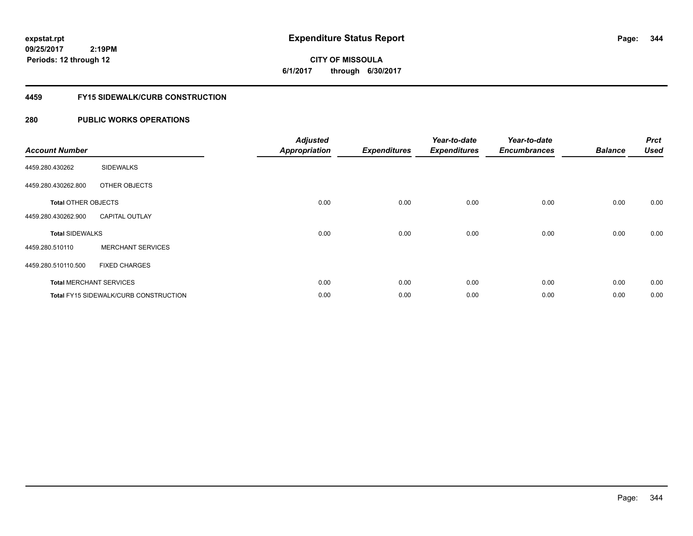# **CITY OF MISSOULA 6/1/2017 through 6/30/2017**

#### **4459 FY15 SIDEWALK/CURB CONSTRUCTION**

| <b>Account Number</b>      |                                       | <b>Adjusted</b><br><b>Appropriation</b> | <b>Expenditures</b> | Year-to-date<br><b>Expenditures</b> | Year-to-date<br><b>Encumbrances</b> | <b>Balance</b> | <b>Prct</b><br><b>Used</b> |
|----------------------------|---------------------------------------|-----------------------------------------|---------------------|-------------------------------------|-------------------------------------|----------------|----------------------------|
| 4459.280.430262            | <b>SIDEWALKS</b>                      |                                         |                     |                                     |                                     |                |                            |
| 4459.280.430262.800        | OTHER OBJECTS                         |                                         |                     |                                     |                                     |                |                            |
| <b>Total OTHER OBJECTS</b> |                                       | 0.00                                    | 0.00                | 0.00                                | 0.00                                | 0.00           | 0.00                       |
| 4459.280.430262.900        | <b>CAPITAL OUTLAY</b>                 |                                         |                     |                                     |                                     |                |                            |
| <b>Total SIDEWALKS</b>     |                                       | 0.00                                    | 0.00                | 0.00                                | 0.00                                | 0.00           | 0.00                       |
| 4459.280.510110            | <b>MERCHANT SERVICES</b>              |                                         |                     |                                     |                                     |                |                            |
| 4459.280.510110.500        | <b>FIXED CHARGES</b>                  |                                         |                     |                                     |                                     |                |                            |
|                            | <b>Total MERCHANT SERVICES</b>        | 0.00                                    | 0.00                | 0.00                                | 0.00                                | 0.00           | 0.00                       |
|                            | Total FY15 SIDEWALK/CURB CONSTRUCTION | 0.00                                    | 0.00                | 0.00                                | 0.00                                | 0.00           | 0.00                       |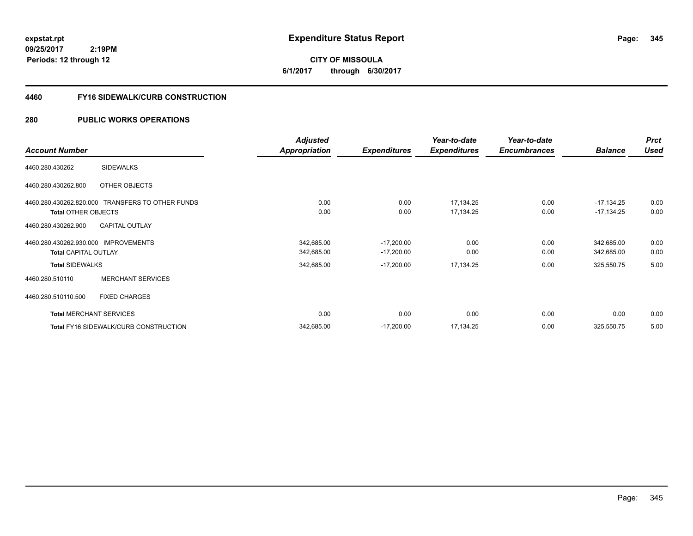**CITY OF MISSOULA 6/1/2017 through 6/30/2017**

#### **4460 FY16 SIDEWALK/CURB CONSTRUCTION**

|                                                  | <b>Adjusted</b>      |                     | Year-to-date        | Year-to-date        |                | <b>Prct</b> |
|--------------------------------------------------|----------------------|---------------------|---------------------|---------------------|----------------|-------------|
| <b>Account Number</b>                            | <b>Appropriation</b> | <b>Expenditures</b> | <b>Expenditures</b> | <b>Encumbrances</b> | <b>Balance</b> | <b>Used</b> |
| <b>SIDEWALKS</b><br>4460.280.430262              |                      |                     |                     |                     |                |             |
| OTHER OBJECTS<br>4460.280.430262.800             |                      |                     |                     |                     |                |             |
| 4460.280.430262.820.000 TRANSFERS TO OTHER FUNDS | 0.00                 | 0.00                | 17,134.25           | 0.00                | $-17,134.25$   | 0.00        |
| <b>Total OTHER OBJECTS</b>                       | 0.00                 | 0.00                | 17,134.25           | 0.00                | $-17,134.25$   | 0.00        |
| 4460.280.430262.900<br><b>CAPITAL OUTLAY</b>     |                      |                     |                     |                     |                |             |
| 4460.280.430262.930.000 IMPROVEMENTS             | 342,685.00           | $-17,200.00$        | 0.00                | 0.00                | 342,685.00     | 0.00        |
| <b>Total CAPITAL OUTLAY</b>                      | 342,685.00           | $-17,200.00$        | 0.00                | 0.00                | 342,685.00     | 0.00        |
| <b>Total SIDEWALKS</b>                           | 342,685.00           | $-17,200.00$        | 17,134.25           | 0.00                | 325,550.75     | 5.00        |
| <b>MERCHANT SERVICES</b><br>4460.280.510110      |                      |                     |                     |                     |                |             |
| 4460.280.510110.500<br><b>FIXED CHARGES</b>      |                      |                     |                     |                     |                |             |
| <b>Total MERCHANT SERVICES</b>                   | 0.00                 | 0.00                | 0.00                | 0.00                | 0.00           | 0.00        |
| Total FY16 SIDEWALK/CURB CONSTRUCTION            | 342,685.00           | $-17,200.00$        | 17,134.25           | 0.00                | 325,550.75     | 5.00        |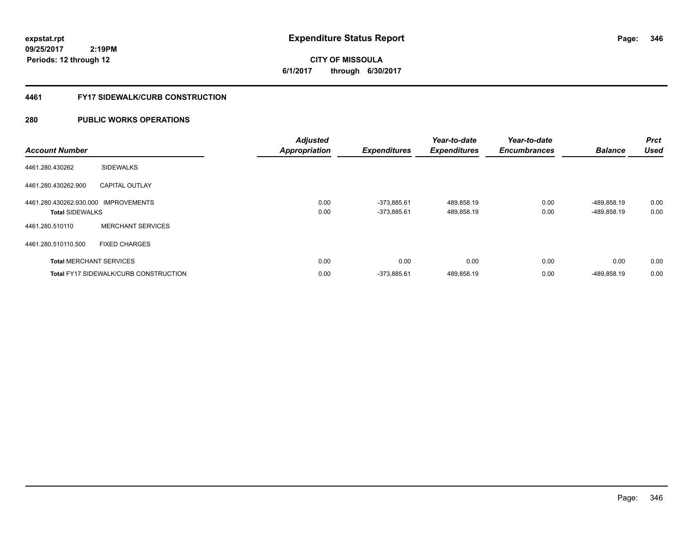# **CITY OF MISSOULA 6/1/2017 through 6/30/2017**

#### **4461 FY17 SIDEWALK/CURB CONSTRUCTION**

| <b>Account Number</b>                                          |                                       | <b>Adjusted</b><br><b>Appropriation</b> | <b>Expenditures</b>            | Year-to-date<br><b>Expenditures</b> | Year-to-date<br><b>Encumbrances</b> | <b>Balance</b>             | <b>Prct</b><br><b>Used</b> |
|----------------------------------------------------------------|---------------------------------------|-----------------------------------------|--------------------------------|-------------------------------------|-------------------------------------|----------------------------|----------------------------|
| 4461.280.430262                                                | <b>SIDEWALKS</b>                      |                                         |                                |                                     |                                     |                            |                            |
| 4461.280.430262.900                                            | <b>CAPITAL OUTLAY</b>                 |                                         |                                |                                     |                                     |                            |                            |
| 4461.280.430262.930.000 IMPROVEMENTS<br><b>Total SIDEWALKS</b> |                                       | 0.00<br>0.00                            | $-373,885.61$<br>$-373,885.61$ | 489,858.19<br>489,858.19            | 0.00<br>0.00                        | -489,858.19<br>-489,858.19 | 0.00<br>0.00               |
| 4461.280.510110                                                | <b>MERCHANT SERVICES</b>              |                                         |                                |                                     |                                     |                            |                            |
| 4461.280.510110.500                                            | <b>FIXED CHARGES</b>                  |                                         |                                |                                     |                                     |                            |                            |
|                                                                | <b>Total MERCHANT SERVICES</b>        | 0.00                                    | 0.00                           | 0.00                                | 0.00                                | 0.00                       | 0.00                       |
|                                                                | Total FY17 SIDEWALK/CURB CONSTRUCTION | 0.00                                    | $-373,885.61$                  | 489,858.19                          | 0.00                                | -489,858.19                | 0.00                       |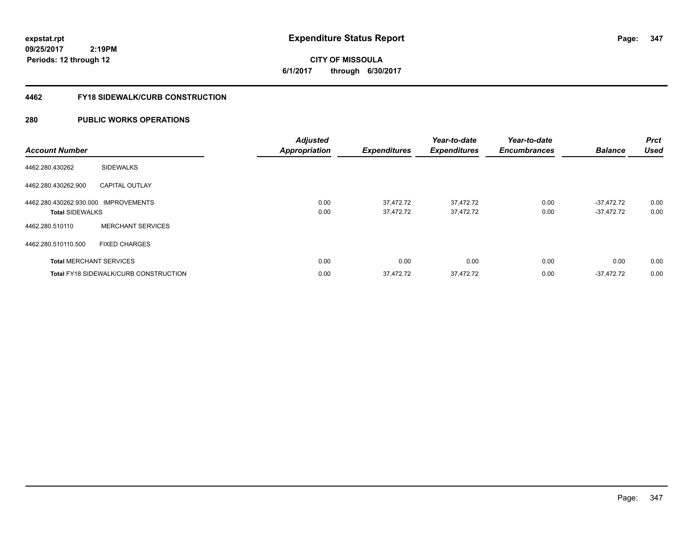**09/25/2017 2:19PM Periods: 12 through 12**

# **CITY OF MISSOULA 6/1/2017 through 6/30/2017**

#### **4462 FY18 SIDEWALK/CURB CONSTRUCTION**

| <b>Account Number</b>                                          |                                              | <b>Adjusted</b><br><b>Appropriation</b> | <b>Expenditures</b>    | Year-to-date<br><b>Expenditures</b> | Year-to-date<br><b>Encumbrances</b> | <b>Balance</b>               | <b>Prct</b><br><b>Used</b> |
|----------------------------------------------------------------|----------------------------------------------|-----------------------------------------|------------------------|-------------------------------------|-------------------------------------|------------------------------|----------------------------|
| 4462.280.430262                                                | <b>SIDEWALKS</b>                             |                                         |                        |                                     |                                     |                              |                            |
| 4462.280.430262.900                                            | <b>CAPITAL OUTLAY</b>                        |                                         |                        |                                     |                                     |                              |                            |
| 4462.280.430262.930.000 IMPROVEMENTS<br><b>Total SIDEWALKS</b> |                                              | 0.00<br>0.00                            | 37,472.72<br>37,472.72 | 37,472.72<br>37,472.72              | 0.00<br>0.00                        | $-37.472.72$<br>$-37.472.72$ | 0.00<br>0.00               |
| 4462.280.510110                                                | <b>MERCHANT SERVICES</b>                     |                                         |                        |                                     |                                     |                              |                            |
| 4462.280.510110.500                                            | <b>FIXED CHARGES</b>                         |                                         |                        |                                     |                                     |                              |                            |
|                                                                | <b>Total MERCHANT SERVICES</b>               | 0.00                                    | 0.00                   | 0.00                                | 0.00                                | 0.00                         | 0.00                       |
|                                                                | <b>Total FY18 SIDEWALK/CURB CONSTRUCTION</b> | 0.00                                    | 37,472.72              | 37,472.72                           | 0.00                                | $-37.472.72$                 | 0.00                       |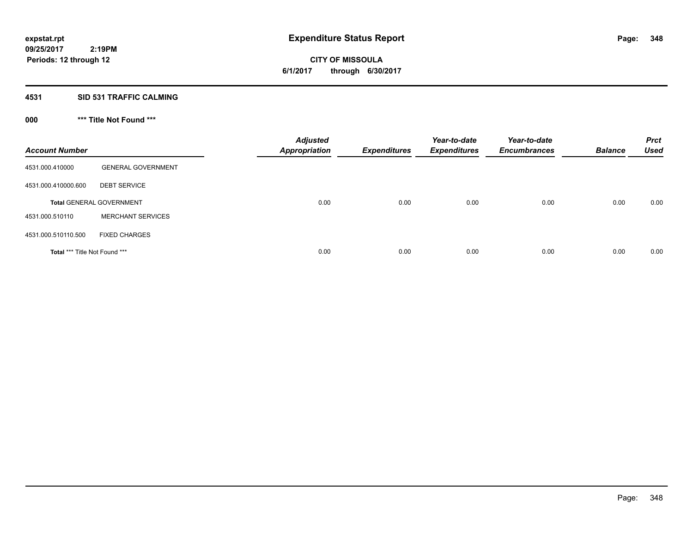**09/25/2017 2:19PM Periods: 12 through 12**

# **CITY OF MISSOULA 6/1/2017 through 6/30/2017**

#### **4531 SID 531 TRAFFIC CALMING**

## **000 \*\*\* Title Not Found \*\*\***

| <b>Account Number</b>         |                                 | <b>Adjusted</b><br><b>Appropriation</b> | <b>Expenditures</b> | Year-to-date<br><b>Expenditures</b> | Year-to-date<br><b>Encumbrances</b> | <b>Balance</b> | <b>Prct</b><br><b>Used</b> |
|-------------------------------|---------------------------------|-----------------------------------------|---------------------|-------------------------------------|-------------------------------------|----------------|----------------------------|
| 4531.000.410000               | <b>GENERAL GOVERNMENT</b>       |                                         |                     |                                     |                                     |                |                            |
| 4531.000.410000.600           | <b>DEBT SERVICE</b>             |                                         |                     |                                     |                                     |                |                            |
|                               | <b>Total GENERAL GOVERNMENT</b> | 0.00                                    | 0.00                | 0.00                                | 0.00                                | 0.00           | 0.00                       |
| 4531.000.510110               | <b>MERCHANT SERVICES</b>        |                                         |                     |                                     |                                     |                |                            |
| 4531.000.510110.500           | <b>FIXED CHARGES</b>            |                                         |                     |                                     |                                     |                |                            |
| Total *** Title Not Found *** |                                 | 0.00                                    | 0.00                | 0.00                                | 0.00                                | 0.00           | 0.00                       |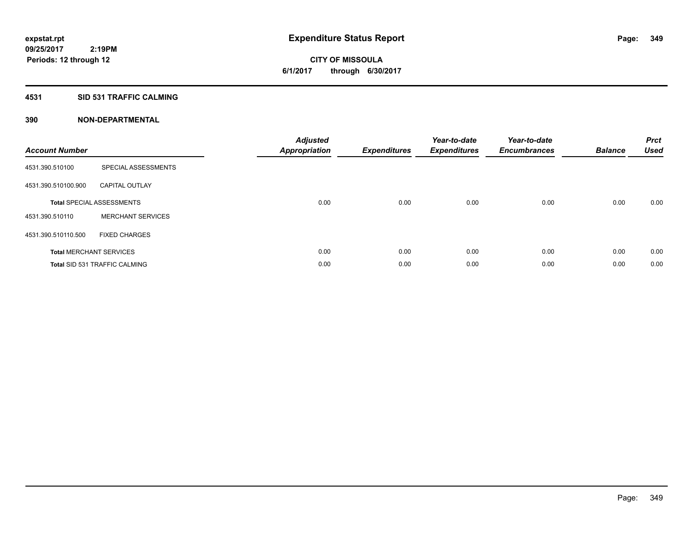**09/25/2017 2:19PM Periods: 12 through 12**

# **CITY OF MISSOULA 6/1/2017 through 6/30/2017**

#### **4531 SID 531 TRAFFIC CALMING**

| <b>Account Number</b> |                                      | Adjusted<br><b>Appropriation</b> | <b>Expenditures</b> | Year-to-date<br><b>Expenditures</b> | Year-to-date<br><b>Encumbrances</b> | <b>Balance</b> | <b>Prct</b><br><b>Used</b> |
|-----------------------|--------------------------------------|----------------------------------|---------------------|-------------------------------------|-------------------------------------|----------------|----------------------------|
| 4531.390.510100       | SPECIAL ASSESSMENTS                  |                                  |                     |                                     |                                     |                |                            |
| 4531.390.510100.900   | <b>CAPITAL OUTLAY</b>                |                                  |                     |                                     |                                     |                |                            |
|                       | <b>Total SPECIAL ASSESSMENTS</b>     | 0.00                             | 0.00                | 0.00                                | 0.00                                | 0.00           | 0.00                       |
| 4531.390.510110       | <b>MERCHANT SERVICES</b>             |                                  |                     |                                     |                                     |                |                            |
| 4531.390.510110.500   | <b>FIXED CHARGES</b>                 |                                  |                     |                                     |                                     |                |                            |
|                       | <b>Total MERCHANT SERVICES</b>       | 0.00                             | 0.00                | 0.00                                | 0.00                                | 0.00           | 0.00                       |
|                       | <b>Total SID 531 TRAFFIC CALMING</b> | 0.00                             | 0.00                | 0.00                                | 0.00                                | 0.00           | 0.00                       |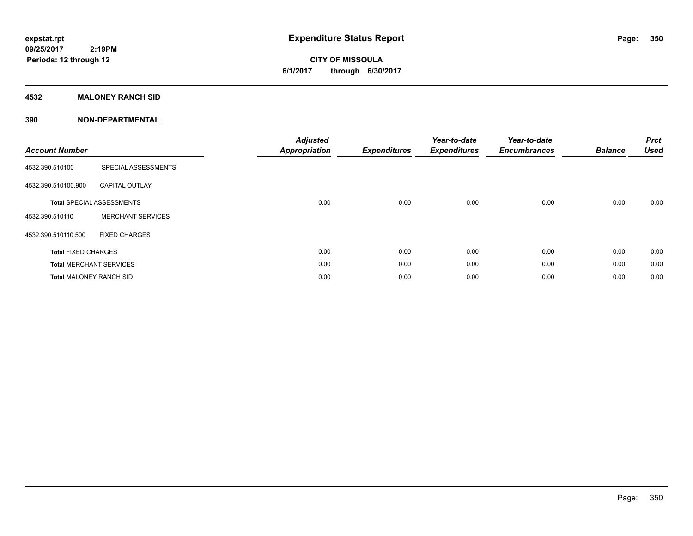### **4532 MALONEY RANCH SID**

| <b>Account Number</b>          |                                  | <b>Adjusted</b><br><b>Appropriation</b> | <b>Expenditures</b> | Year-to-date<br><b>Expenditures</b> | Year-to-date<br><b>Encumbrances</b> | <b>Balance</b> | <b>Prct</b><br>Used |
|--------------------------------|----------------------------------|-----------------------------------------|---------------------|-------------------------------------|-------------------------------------|----------------|---------------------|
| 4532.390.510100                | SPECIAL ASSESSMENTS              |                                         |                     |                                     |                                     |                |                     |
| 4532.390.510100.900            | <b>CAPITAL OUTLAY</b>            |                                         |                     |                                     |                                     |                |                     |
|                                | <b>Total SPECIAL ASSESSMENTS</b> | 0.00                                    | 0.00                | 0.00                                | 0.00                                | 0.00           | 0.00                |
| 4532.390.510110                | <b>MERCHANT SERVICES</b>         |                                         |                     |                                     |                                     |                |                     |
| 4532.390.510110.500            | <b>FIXED CHARGES</b>             |                                         |                     |                                     |                                     |                |                     |
| <b>Total FIXED CHARGES</b>     |                                  | 0.00                                    | 0.00                | 0.00                                | 0.00                                | 0.00           | 0.00                |
|                                | <b>Total MERCHANT SERVICES</b>   | 0.00                                    | 0.00                | 0.00                                | 0.00                                | 0.00           | 0.00                |
| <b>Total MALONEY RANCH SID</b> |                                  | 0.00                                    | 0.00                | 0.00                                | 0.00                                | 0.00           | 0.00                |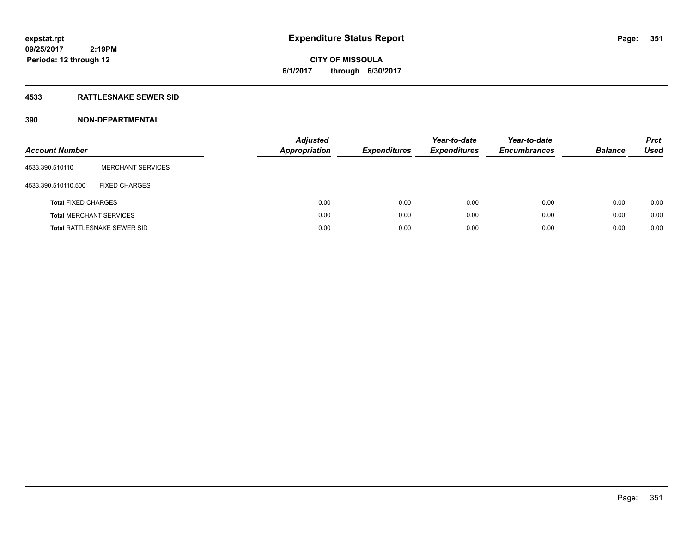**09/25/2017 2:19PM Periods: 12 through 12**

## **CITY OF MISSOULA 6/1/2017 through 6/30/2017**

### **4533 RATTLESNAKE SEWER SID**

| <b>Account Number</b>          |                                    | <b>Adjusted</b><br><b>Appropriation</b> | <b>Expenditures</b> | Year-to-date<br><b>Expenditures</b> | Year-to-date<br><b>Encumbrances</b> | <b>Balance</b> | <b>Prct</b><br>Used |
|--------------------------------|------------------------------------|-----------------------------------------|---------------------|-------------------------------------|-------------------------------------|----------------|---------------------|
| 4533.390.510110                | <b>MERCHANT SERVICES</b>           |                                         |                     |                                     |                                     |                |                     |
| 4533.390.510110.500            | <b>FIXED CHARGES</b>               |                                         |                     |                                     |                                     |                |                     |
| <b>Total FIXED CHARGES</b>     |                                    | 0.00                                    | 0.00                | 0.00                                | 0.00                                | 0.00           | 0.00                |
| <b>Total MERCHANT SERVICES</b> |                                    | 0.00                                    | 0.00                | 0.00                                | 0.00                                | 0.00           | 0.00                |
|                                | <b>Total RATTLESNAKE SEWER SID</b> | 0.00                                    | 0.00                | 0.00                                | 0.00                                | 0.00           | 0.00                |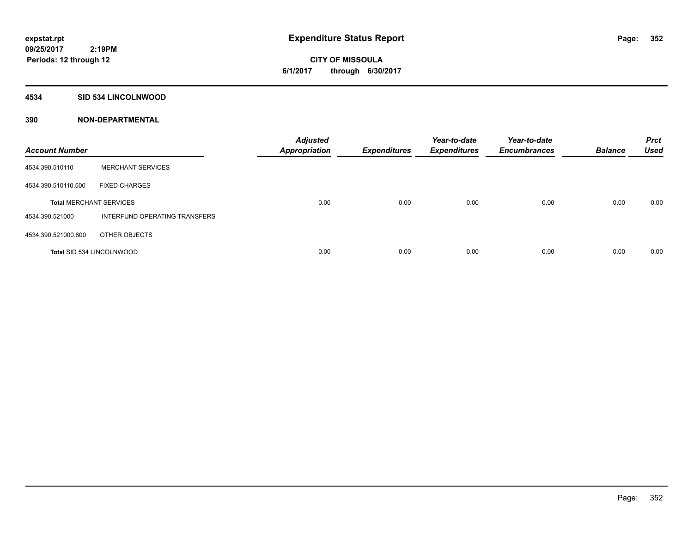#### **4534 SID 534 LINCOLNWOOD**

| <b>Account Number</b>            |                               | <b>Adjusted</b><br><b>Appropriation</b> | <b>Expenditures</b> | Year-to-date<br><b>Expenditures</b> | Year-to-date<br><b>Encumbrances</b> | <b>Balance</b> | <b>Prct</b><br><b>Used</b> |
|----------------------------------|-------------------------------|-----------------------------------------|---------------------|-------------------------------------|-------------------------------------|----------------|----------------------------|
| 4534.390.510110                  | <b>MERCHANT SERVICES</b>      |                                         |                     |                                     |                                     |                |                            |
| 4534.390.510110.500              | <b>FIXED CHARGES</b>          |                                         |                     |                                     |                                     |                |                            |
| <b>Total MERCHANT SERVICES</b>   |                               | 0.00                                    | 0.00                | 0.00                                | 0.00                                | 0.00           | 0.00                       |
| 4534.390.521000                  | INTERFUND OPERATING TRANSFERS |                                         |                     |                                     |                                     |                |                            |
| 4534.390.521000.800              | OTHER OBJECTS                 |                                         |                     |                                     |                                     |                |                            |
| <b>Total SID 534 LINCOLNWOOD</b> |                               | 0.00                                    | 0.00                | 0.00                                | 0.00                                | 0.00           | 0.00                       |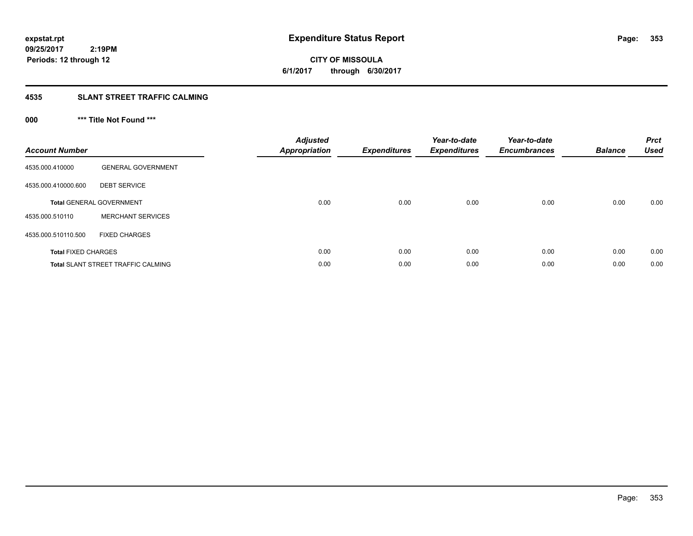**CITY OF MISSOULA 6/1/2017 through 6/30/2017**

## **4535 SLANT STREET TRAFFIC CALMING**

## **000 \*\*\* Title Not Found \*\*\***

| <b>Account Number</b>      |                                           | <b>Adjusted</b><br>Appropriation | <b>Expenditures</b> | Year-to-date<br><b>Expenditures</b> | Year-to-date<br><b>Encumbrances</b> | <b>Balance</b> | <b>Prct</b><br><b>Used</b> |
|----------------------------|-------------------------------------------|----------------------------------|---------------------|-------------------------------------|-------------------------------------|----------------|----------------------------|
| 4535.000.410000            | <b>GENERAL GOVERNMENT</b>                 |                                  |                     |                                     |                                     |                |                            |
| 4535.000.410000.600        | <b>DEBT SERVICE</b>                       |                                  |                     |                                     |                                     |                |                            |
|                            | <b>Total GENERAL GOVERNMENT</b>           | 0.00                             | 0.00                | 0.00                                | 0.00                                | 0.00           | 0.00                       |
| 4535.000.510110            | <b>MERCHANT SERVICES</b>                  |                                  |                     |                                     |                                     |                |                            |
| 4535.000.510110.500        | <b>FIXED CHARGES</b>                      |                                  |                     |                                     |                                     |                |                            |
| <b>Total FIXED CHARGES</b> |                                           | 0.00                             | 0.00                | 0.00                                | 0.00                                | 0.00           | 0.00                       |
|                            | <b>Total SLANT STREET TRAFFIC CALMING</b> | 0.00                             | 0.00                | 0.00                                | 0.00                                | 0.00           | 0.00                       |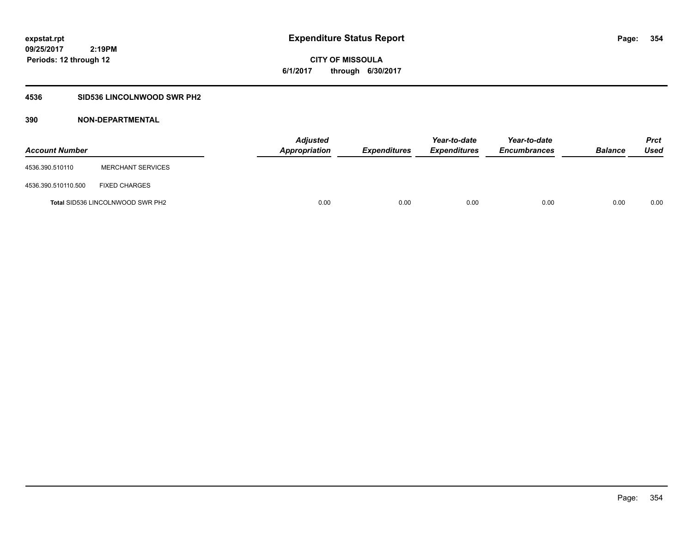**CITY OF MISSOULA 6/1/2017 through 6/30/2017**

### **4536 SID536 LINCOLNWOOD SWR PH2**

| <b>Account Number</b> |                                         | <b>Adjusted</b><br>Appropriation | Expenditures | Year-to-date<br><b>Expenditures</b> | Year-to-date<br><b>Encumbrances</b> | <b>Balance</b> | <b>Prct</b><br>Used |
|-----------------------|-----------------------------------------|----------------------------------|--------------|-------------------------------------|-------------------------------------|----------------|---------------------|
| 4536.390.510110       | <b>MERCHANT SERVICES</b>                |                                  |              |                                     |                                     |                |                     |
| 4536.390.510110.500   | <b>FIXED CHARGES</b>                    |                                  |              |                                     |                                     |                |                     |
|                       | <b>Total SID536 LINCOLNWOOD SWR PH2</b> | 0.00                             | 0.00         | 0.00                                | 0.00                                | 0.00           | 0.00                |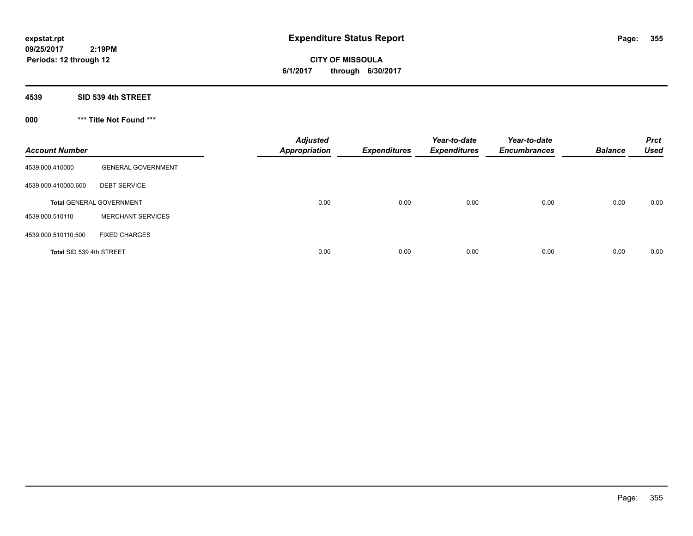**CITY OF MISSOULA 6/1/2017 through 6/30/2017**

**4539 SID 539 4th STREET**

**000 \*\*\* Title Not Found \*\*\***

| <b>Account Number</b>    |                                 | <b>Adjusted</b><br><b>Appropriation</b> | <b>Expenditures</b> | Year-to-date<br><b>Expenditures</b> | Year-to-date<br><b>Encumbrances</b> | <b>Balance</b> | <b>Prct</b><br><b>Used</b> |
|--------------------------|---------------------------------|-----------------------------------------|---------------------|-------------------------------------|-------------------------------------|----------------|----------------------------|
| 4539.000.410000          | <b>GENERAL GOVERNMENT</b>       |                                         |                     |                                     |                                     |                |                            |
| 4539.000.410000.600      | <b>DEBT SERVICE</b>             |                                         |                     |                                     |                                     |                |                            |
|                          | <b>Total GENERAL GOVERNMENT</b> | 0.00                                    | 0.00                | 0.00                                | 0.00                                | 0.00           | 0.00                       |
| 4539.000.510110          | <b>MERCHANT SERVICES</b>        |                                         |                     |                                     |                                     |                |                            |
| 4539.000.510110.500      | <b>FIXED CHARGES</b>            |                                         |                     |                                     |                                     |                |                            |
| Total SID 539 4th STREET |                                 | 0.00                                    | 0.00                | 0.00                                | 0.00                                | 0.00           | 0.00                       |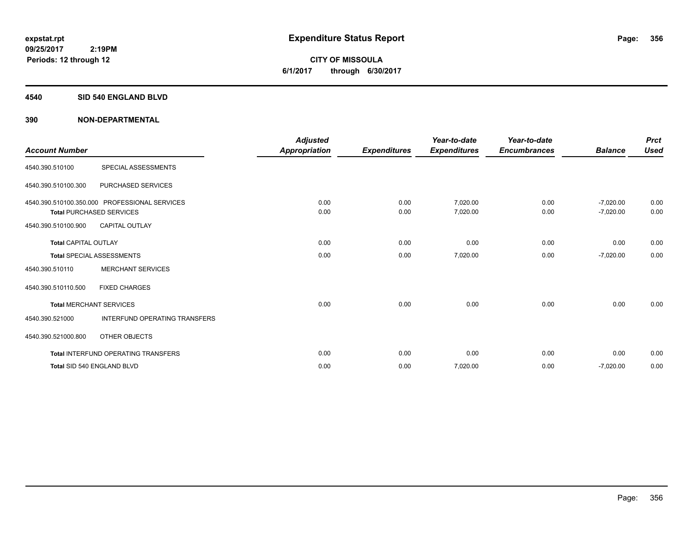#### **4540 SID 540 ENGLAND BLVD**

| <b>Account Number</b>       |                                                                                  | <b>Adjusted</b><br><b>Appropriation</b> | <b>Expenditures</b> | Year-to-date<br><b>Expenditures</b> | Year-to-date<br><b>Encumbrances</b> | <b>Balance</b>             | <b>Prct</b><br><b>Used</b> |
|-----------------------------|----------------------------------------------------------------------------------|-----------------------------------------|---------------------|-------------------------------------|-------------------------------------|----------------------------|----------------------------|
| 4540.390.510100             | SPECIAL ASSESSMENTS                                                              |                                         |                     |                                     |                                     |                            |                            |
| 4540.390.510100.300         | PURCHASED SERVICES                                                               |                                         |                     |                                     |                                     |                            |                            |
|                             | 4540.390.510100.350.000 PROFESSIONAL SERVICES<br><b>Total PURCHASED SERVICES</b> | 0.00<br>0.00                            | 0.00<br>0.00        | 7,020.00<br>7,020.00                | 0.00<br>0.00                        | $-7,020.00$<br>$-7,020.00$ | 0.00<br>0.00               |
| 4540.390.510100.900         | <b>CAPITAL OUTLAY</b>                                                            |                                         |                     |                                     |                                     |                            |                            |
| <b>Total CAPITAL OUTLAY</b> |                                                                                  | 0.00                                    | 0.00                | 0.00                                | 0.00                                | 0.00                       | 0.00                       |
|                             | <b>Total SPECIAL ASSESSMENTS</b>                                                 | 0.00                                    | 0.00                | 7,020.00                            | 0.00                                | $-7,020.00$                | 0.00                       |
| 4540.390.510110             | <b>MERCHANT SERVICES</b>                                                         |                                         |                     |                                     |                                     |                            |                            |
| 4540.390.510110.500         | <b>FIXED CHARGES</b>                                                             |                                         |                     |                                     |                                     |                            |                            |
|                             | <b>Total MERCHANT SERVICES</b>                                                   | 0.00                                    | 0.00                | 0.00                                | 0.00                                | 0.00                       | 0.00                       |
| 4540.390.521000             | <b>INTERFUND OPERATING TRANSFERS</b>                                             |                                         |                     |                                     |                                     |                            |                            |
| 4540.390.521000.800         | <b>OTHER OBJECTS</b>                                                             |                                         |                     |                                     |                                     |                            |                            |
|                             | <b>Total INTERFUND OPERATING TRANSFERS</b>                                       | 0.00                                    | 0.00                | 0.00                                | 0.00                                | 0.00                       | 0.00                       |
|                             | Total SID 540 ENGLAND BLVD                                                       | 0.00                                    | 0.00                | 7,020.00                            | 0.00                                | $-7,020.00$                | 0.00                       |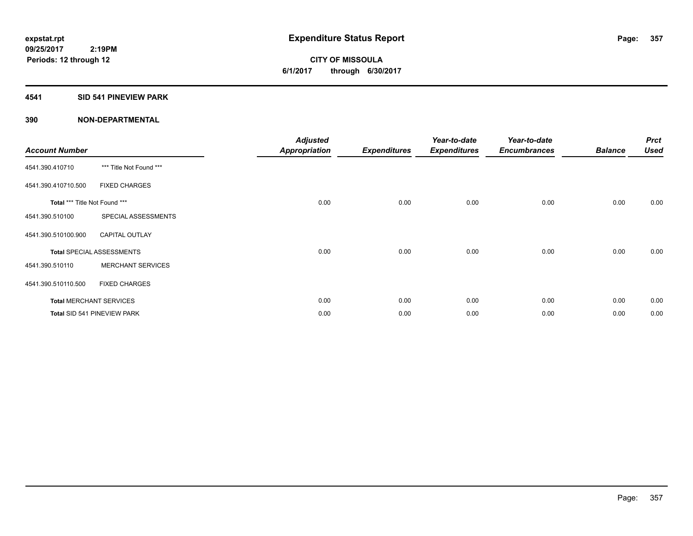**CITY OF MISSOULA 6/1/2017 through 6/30/2017**

#### **4541 SID 541 PINEVIEW PARK**

| <b>Account Number</b>         |                                  | <b>Adjusted</b><br><b>Appropriation</b> | <b>Expenditures</b> | Year-to-date<br><b>Expenditures</b> | Year-to-date<br><b>Encumbrances</b> | <b>Balance</b> | <b>Prct</b><br><b>Used</b> |
|-------------------------------|----------------------------------|-----------------------------------------|---------------------|-------------------------------------|-------------------------------------|----------------|----------------------------|
| 4541.390.410710               | *** Title Not Found ***          |                                         |                     |                                     |                                     |                |                            |
| 4541.390.410710.500           | <b>FIXED CHARGES</b>             |                                         |                     |                                     |                                     |                |                            |
| Total *** Title Not Found *** |                                  | 0.00                                    | 0.00                | 0.00                                | 0.00                                | 0.00           | 0.00                       |
| 4541.390.510100               | SPECIAL ASSESSMENTS              |                                         |                     |                                     |                                     |                |                            |
| 4541.390.510100.900           | <b>CAPITAL OUTLAY</b>            |                                         |                     |                                     |                                     |                |                            |
|                               | <b>Total SPECIAL ASSESSMENTS</b> | 0.00                                    | 0.00                | 0.00                                | 0.00                                | 0.00           | 0.00                       |
| 4541.390.510110               | <b>MERCHANT SERVICES</b>         |                                         |                     |                                     |                                     |                |                            |
| 4541.390.510110.500           | <b>FIXED CHARGES</b>             |                                         |                     |                                     |                                     |                |                            |
|                               | <b>Total MERCHANT SERVICES</b>   | 0.00                                    | 0.00                | 0.00                                | 0.00                                | 0.00           | 0.00                       |
|                               | Total SID 541 PINEVIEW PARK      | 0.00                                    | 0.00                | 0.00                                | 0.00                                | 0.00           | 0.00                       |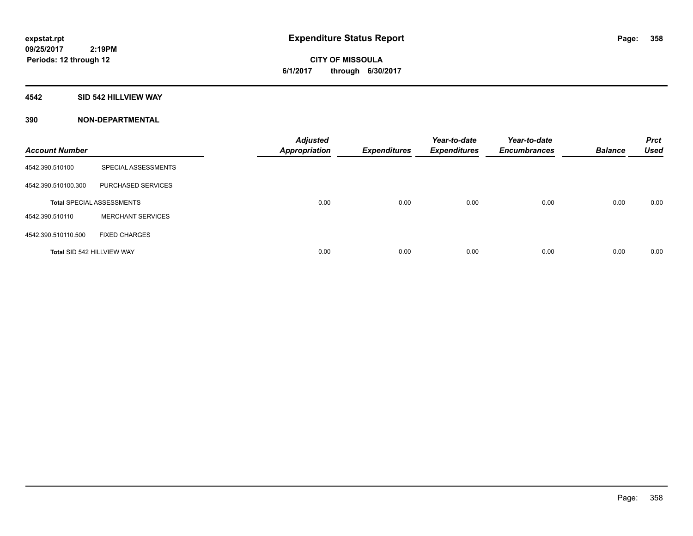### **4542 SID 542 HILLVIEW WAY**

| <b>Account Number</b>      |                                  | <b>Adjusted</b><br><b>Appropriation</b> | <b>Expenditures</b> | Year-to-date<br><b>Expenditures</b> | Year-to-date<br><b>Encumbrances</b> | <b>Balance</b> | <b>Prct</b><br><b>Used</b> |
|----------------------------|----------------------------------|-----------------------------------------|---------------------|-------------------------------------|-------------------------------------|----------------|----------------------------|
| 4542.390.510100            | SPECIAL ASSESSMENTS              |                                         |                     |                                     |                                     |                |                            |
| 4542.390.510100.300        | PURCHASED SERVICES               |                                         |                     |                                     |                                     |                |                            |
|                            | <b>Total SPECIAL ASSESSMENTS</b> | 0.00                                    | 0.00                | 0.00                                | 0.00                                | 0.00           | 0.00                       |
| 4542.390.510110            | <b>MERCHANT SERVICES</b>         |                                         |                     |                                     |                                     |                |                            |
| 4542.390.510110.500        | <b>FIXED CHARGES</b>             |                                         |                     |                                     |                                     |                |                            |
| Total SID 542 HILLVIEW WAY |                                  | 0.00                                    | 0.00                | 0.00                                | 0.00                                | 0.00           | 0.00                       |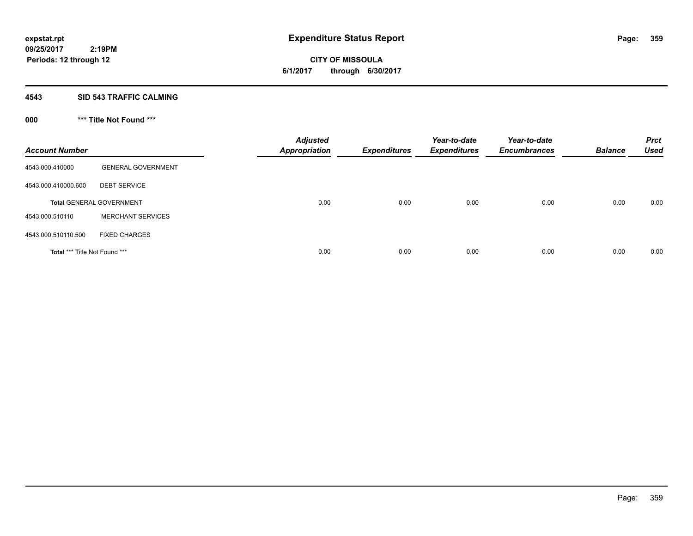#### **4543 SID 543 TRAFFIC CALMING**

## **000 \*\*\* Title Not Found \*\*\***

| <b>Account Number</b>         |                                 | <b>Adjusted</b><br><b>Appropriation</b> | <b>Expenditures</b> | Year-to-date<br><b>Expenditures</b> | Year-to-date<br><b>Encumbrances</b> | <b>Balance</b> | <b>Prct</b><br><b>Used</b> |
|-------------------------------|---------------------------------|-----------------------------------------|---------------------|-------------------------------------|-------------------------------------|----------------|----------------------------|
| 4543.000.410000               | <b>GENERAL GOVERNMENT</b>       |                                         |                     |                                     |                                     |                |                            |
| 4543.000.410000.600           | <b>DEBT SERVICE</b>             |                                         |                     |                                     |                                     |                |                            |
|                               | <b>Total GENERAL GOVERNMENT</b> | 0.00                                    | 0.00                | 0.00                                | 0.00                                | 0.00           | 0.00                       |
| 4543.000.510110               | <b>MERCHANT SERVICES</b>        |                                         |                     |                                     |                                     |                |                            |
| 4543.000.510110.500           | <b>FIXED CHARGES</b>            |                                         |                     |                                     |                                     |                |                            |
| Total *** Title Not Found *** |                                 | 0.00                                    | 0.00                | 0.00                                | 0.00                                | 0.00           | 0.00                       |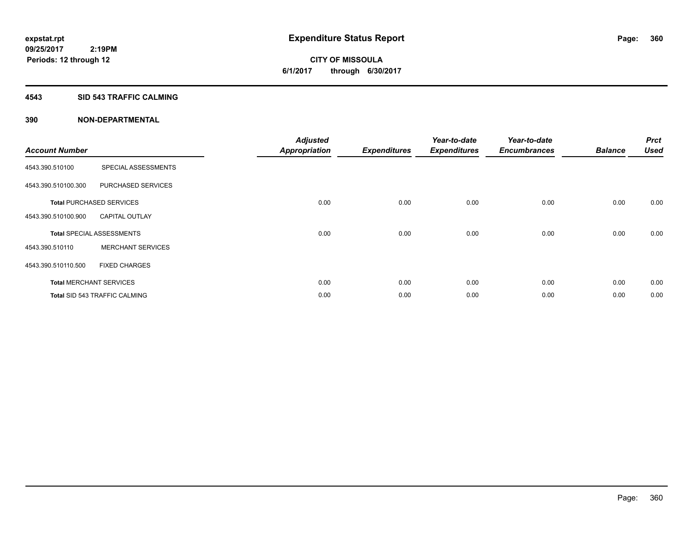### **4543 SID 543 TRAFFIC CALMING**

| <b>Account Number</b> |                                      | <b>Adjusted</b><br><b>Appropriation</b> | <b>Expenditures</b> | Year-to-date<br><b>Expenditures</b> | Year-to-date<br><b>Encumbrances</b> | <b>Balance</b> | <b>Prct</b><br><b>Used</b> |
|-----------------------|--------------------------------------|-----------------------------------------|---------------------|-------------------------------------|-------------------------------------|----------------|----------------------------|
| 4543.390.510100       | SPECIAL ASSESSMENTS                  |                                         |                     |                                     |                                     |                |                            |
| 4543.390.510100.300   | PURCHASED SERVICES                   |                                         |                     |                                     |                                     |                |                            |
|                       | <b>Total PURCHASED SERVICES</b>      | 0.00                                    | 0.00                | 0.00                                | 0.00                                | 0.00           | 0.00                       |
| 4543.390.510100.900   | <b>CAPITAL OUTLAY</b>                |                                         |                     |                                     |                                     |                |                            |
|                       | <b>Total SPECIAL ASSESSMENTS</b>     | 0.00                                    | 0.00                | 0.00                                | 0.00                                | 0.00           | 0.00                       |
| 4543.390.510110       | <b>MERCHANT SERVICES</b>             |                                         |                     |                                     |                                     |                |                            |
| 4543.390.510110.500   | <b>FIXED CHARGES</b>                 |                                         |                     |                                     |                                     |                |                            |
|                       | <b>Total MERCHANT SERVICES</b>       | 0.00                                    | 0.00                | 0.00                                | 0.00                                | 0.00           | 0.00                       |
|                       | <b>Total SID 543 TRAFFIC CALMING</b> | 0.00                                    | 0.00                | 0.00                                | 0.00                                | 0.00           | 0.00                       |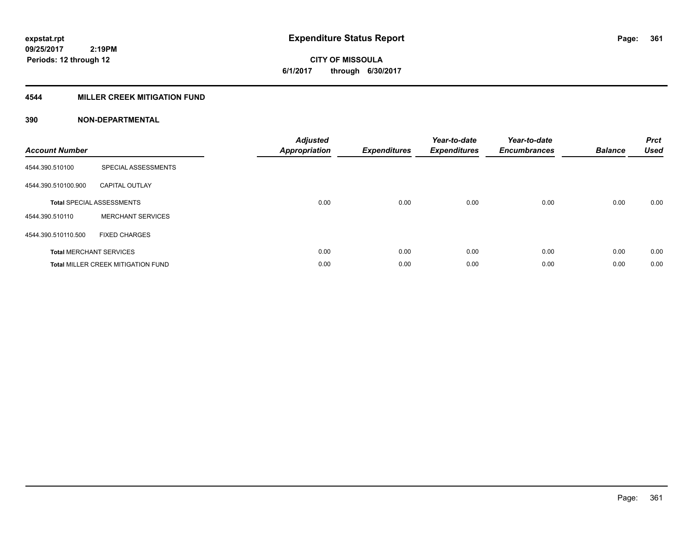**CITY OF MISSOULA 6/1/2017 through 6/30/2017**

### **4544 MILLER CREEK MITIGATION FUND**

| <b>Account Number</b> |                                           | <b>Adjusted</b><br>Appropriation | <b>Expenditures</b> | Year-to-date<br><b>Expenditures</b> | Year-to-date<br><b>Encumbrances</b> | <b>Balance</b> | <b>Prct</b><br><b>Used</b> |
|-----------------------|-------------------------------------------|----------------------------------|---------------------|-------------------------------------|-------------------------------------|----------------|----------------------------|
| 4544.390.510100       | SPECIAL ASSESSMENTS                       |                                  |                     |                                     |                                     |                |                            |
| 4544.390.510100.900   | <b>CAPITAL OUTLAY</b>                     |                                  |                     |                                     |                                     |                |                            |
|                       | <b>Total SPECIAL ASSESSMENTS</b>          | 0.00                             | 0.00                | 0.00                                | 0.00                                | 0.00           | 0.00                       |
| 4544.390.510110       | <b>MERCHANT SERVICES</b>                  |                                  |                     |                                     |                                     |                |                            |
| 4544.390.510110.500   | <b>FIXED CHARGES</b>                      |                                  |                     |                                     |                                     |                |                            |
|                       | <b>Total MERCHANT SERVICES</b>            | 0.00                             | 0.00                | 0.00                                | 0.00                                | 0.00           | 0.00                       |
|                       | <b>Total MILLER CREEK MITIGATION FUND</b> | 0.00                             | 0.00                | 0.00                                | 0.00                                | 0.00           | 0.00                       |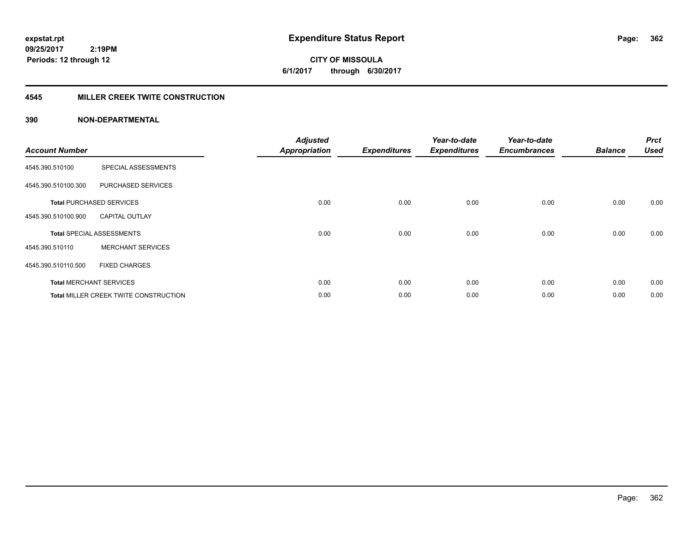**CITY OF MISSOULA 6/1/2017 through 6/30/2017**

### **4545 MILLER CREEK TWITE CONSTRUCTION**

| <b>Account Number</b> |                                       | <b>Adjusted</b><br><b>Appropriation</b> | <b>Expenditures</b> | Year-to-date<br><b>Expenditures</b> | Year-to-date<br><b>Encumbrances</b> | <b>Balance</b> | <b>Prct</b><br><b>Used</b> |
|-----------------------|---------------------------------------|-----------------------------------------|---------------------|-------------------------------------|-------------------------------------|----------------|----------------------------|
|                       |                                       |                                         |                     |                                     |                                     |                |                            |
| 4545.390.510100       | SPECIAL ASSESSMENTS                   |                                         |                     |                                     |                                     |                |                            |
| 4545.390.510100.300   | PURCHASED SERVICES                    |                                         |                     |                                     |                                     |                |                            |
|                       | <b>Total PURCHASED SERVICES</b>       | 0.00                                    | 0.00                | 0.00                                | 0.00                                | 0.00           | 0.00                       |
| 4545.390.510100.900   | <b>CAPITAL OUTLAY</b>                 |                                         |                     |                                     |                                     |                |                            |
|                       | <b>Total SPECIAL ASSESSMENTS</b>      | 0.00                                    | 0.00                | 0.00                                | 0.00                                | 0.00           | 0.00                       |
| 4545.390.510110       | <b>MERCHANT SERVICES</b>              |                                         |                     |                                     |                                     |                |                            |
| 4545.390.510110.500   | <b>FIXED CHARGES</b>                  |                                         |                     |                                     |                                     |                |                            |
|                       | <b>Total MERCHANT SERVICES</b>        | 0.00                                    | 0.00                | 0.00                                | 0.00                                | 0.00           | 0.00                       |
|                       | Total MILLER CREEK TWITE CONSTRUCTION | 0.00                                    | 0.00                | 0.00                                | 0.00                                | 0.00           | 0.00                       |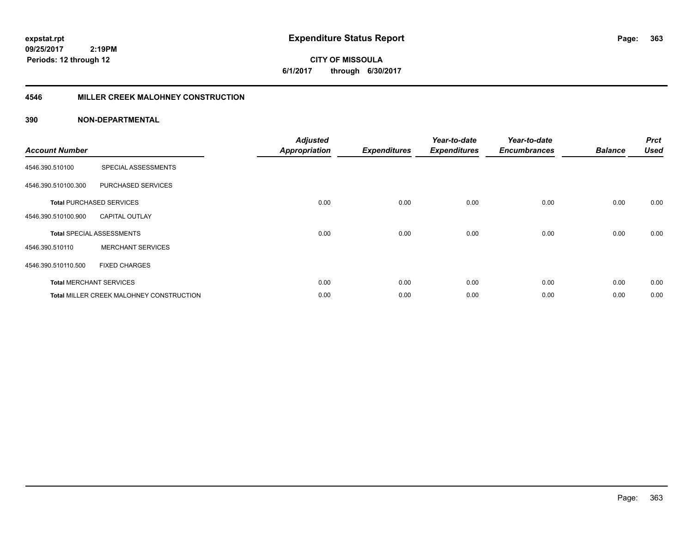**CITY OF MISSOULA 6/1/2017 through 6/30/2017**

### **4546 MILLER CREEK MALOHNEY CONSTRUCTION**

| <b>Account Number</b> |                                                 | <b>Adjusted</b><br><b>Appropriation</b> | <b>Expenditures</b> | Year-to-date<br><b>Expenditures</b> | Year-to-date<br><b>Encumbrances</b> | <b>Balance</b> | <b>Prct</b><br><b>Used</b> |
|-----------------------|-------------------------------------------------|-----------------------------------------|---------------------|-------------------------------------|-------------------------------------|----------------|----------------------------|
| 4546.390.510100       | SPECIAL ASSESSMENTS                             |                                         |                     |                                     |                                     |                |                            |
| 4546.390.510100.300   | PURCHASED SERVICES                              |                                         |                     |                                     |                                     |                |                            |
|                       | <b>Total PURCHASED SERVICES</b>                 | 0.00                                    | 0.00                | 0.00                                | 0.00                                | 0.00           | 0.00                       |
| 4546.390.510100.900   | <b>CAPITAL OUTLAY</b>                           |                                         |                     |                                     |                                     |                |                            |
|                       | <b>Total SPECIAL ASSESSMENTS</b>                | 0.00                                    | 0.00                | 0.00                                | 0.00                                | 0.00           | 0.00                       |
| 4546.390.510110       | <b>MERCHANT SERVICES</b>                        |                                         |                     |                                     |                                     |                |                            |
| 4546.390.510110.500   | <b>FIXED CHARGES</b>                            |                                         |                     |                                     |                                     |                |                            |
|                       | <b>Total MERCHANT SERVICES</b>                  | 0.00                                    | 0.00                | 0.00                                | 0.00                                | 0.00           | 0.00                       |
|                       | <b>Total MILLER CREEK MALOHNEY CONSTRUCTION</b> | 0.00                                    | 0.00                | 0.00                                | 0.00                                | 0.00           | 0.00                       |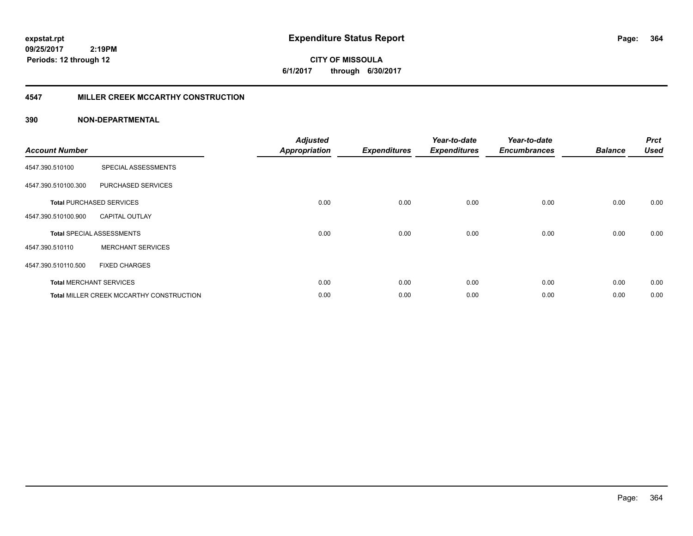**CITY OF MISSOULA 6/1/2017 through 6/30/2017**

### **4547 MILLER CREEK MCCARTHY CONSTRUCTION**

| <b>Account Number</b> |                                          | <b>Adjusted</b><br><b>Appropriation</b> | <b>Expenditures</b> | Year-to-date<br><b>Expenditures</b> | Year-to-date<br><b>Encumbrances</b> | <b>Balance</b> | <b>Prct</b><br><b>Used</b> |
|-----------------------|------------------------------------------|-----------------------------------------|---------------------|-------------------------------------|-------------------------------------|----------------|----------------------------|
| 4547.390.510100       | SPECIAL ASSESSMENTS                      |                                         |                     |                                     |                                     |                |                            |
| 4547.390.510100.300   | PURCHASED SERVICES                       |                                         |                     |                                     |                                     |                |                            |
|                       | <b>Total PURCHASED SERVICES</b>          | 0.00                                    | 0.00                | 0.00                                | 0.00                                | 0.00           | 0.00                       |
| 4547.390.510100.900   | <b>CAPITAL OUTLAY</b>                    |                                         |                     |                                     |                                     |                |                            |
|                       | <b>Total SPECIAL ASSESSMENTS</b>         | 0.00                                    | 0.00                | 0.00                                | 0.00                                | 0.00           | 0.00                       |
| 4547.390.510110       | <b>MERCHANT SERVICES</b>                 |                                         |                     |                                     |                                     |                |                            |
| 4547.390.510110.500   | <b>FIXED CHARGES</b>                     |                                         |                     |                                     |                                     |                |                            |
|                       | <b>Total MERCHANT SERVICES</b>           | 0.00                                    | 0.00                | 0.00                                | 0.00                                | 0.00           | 0.00                       |
|                       | Total MILLER CREEK MCCARTHY CONSTRUCTION | 0.00                                    | 0.00                | 0.00                                | 0.00                                | 0.00           | 0.00                       |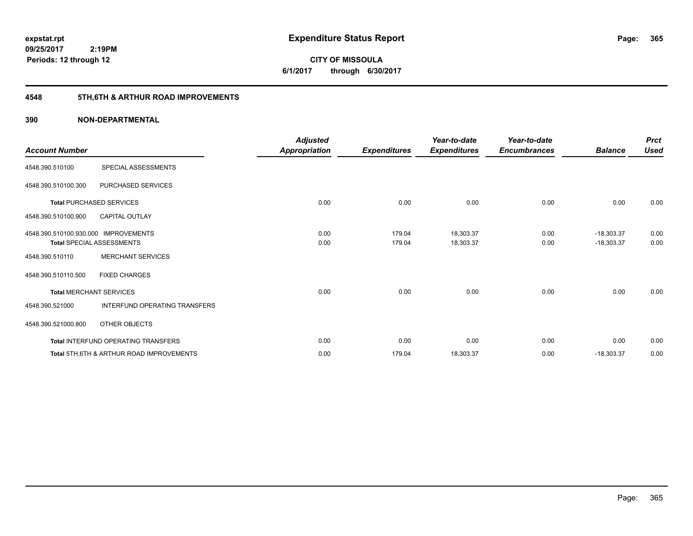**CITY OF MISSOULA 6/1/2017 through 6/30/2017**

# **4548 5TH,6TH & ARTHUR ROAD IMPROVEMENTS**

| <b>Account Number</b>                |                                                     | <b>Adjusted</b><br>Appropriation | <b>Expenditures</b> | Year-to-date<br><b>Expenditures</b> | Year-to-date<br><b>Encumbrances</b> | <b>Balance</b> | <b>Prct</b><br><b>Used</b> |
|--------------------------------------|-----------------------------------------------------|----------------------------------|---------------------|-------------------------------------|-------------------------------------|----------------|----------------------------|
| 4548.390.510100                      | SPECIAL ASSESSMENTS                                 |                                  |                     |                                     |                                     |                |                            |
| 4548.390.510100.300                  | PURCHASED SERVICES                                  |                                  |                     |                                     |                                     |                |                            |
|                                      | <b>Total PURCHASED SERVICES</b>                     | 0.00                             | 0.00                | 0.00                                | 0.00                                | 0.00           | 0.00                       |
| 4548.390.510100.900                  | <b>CAPITAL OUTLAY</b>                               |                                  |                     |                                     |                                     |                |                            |
| 4548.390.510100.930.000 IMPROVEMENTS |                                                     | 0.00                             | 179.04              | 18,303.37                           | 0.00                                | $-18,303.37$   | 0.00                       |
|                                      | <b>Total SPECIAL ASSESSMENTS</b>                    | 0.00                             | 179.04              | 18,303.37                           | 0.00                                | $-18,303.37$   | 0.00                       |
| 4548.390.510110                      | <b>MERCHANT SERVICES</b>                            |                                  |                     |                                     |                                     |                |                            |
| 4548.390.510110.500                  | <b>FIXED CHARGES</b>                                |                                  |                     |                                     |                                     |                |                            |
|                                      | <b>Total MERCHANT SERVICES</b>                      | 0.00                             | 0.00                | 0.00                                | 0.00                                | 0.00           | 0.00                       |
| 4548.390.521000                      | INTERFUND OPERATING TRANSFERS                       |                                  |                     |                                     |                                     |                |                            |
| 4548.390.521000.800                  | OTHER OBJECTS                                       |                                  |                     |                                     |                                     |                |                            |
|                                      | Total INTERFUND OPERATING TRANSFERS                 | 0.00                             | 0.00                | 0.00                                | 0.00                                | 0.00           | 0.00                       |
|                                      | <b>Total 5TH.6TH &amp; ARTHUR ROAD IMPROVEMENTS</b> | 0.00                             | 179.04              | 18,303.37                           | 0.00                                | $-18,303.37$   | 0.00                       |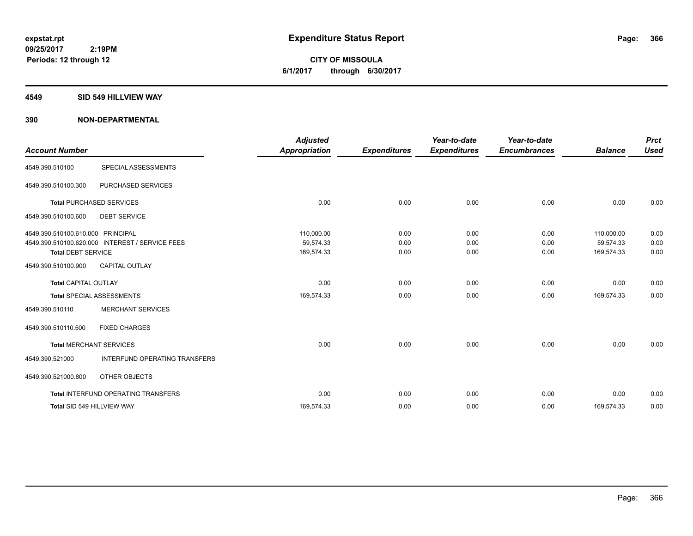**CITY OF MISSOULA 6/1/2017 through 6/30/2017**

#### **4549 SID 549 HILLVIEW WAY**

| <b>Account Number</b>                                          |                                                 | <b>Adjusted</b><br><b>Appropriation</b> | <b>Expenditures</b>  | Year-to-date<br><b>Expenditures</b> | Year-to-date<br><b>Encumbrances</b> | <b>Balance</b>                        | <b>Prct</b><br><b>Used</b> |
|----------------------------------------------------------------|-------------------------------------------------|-----------------------------------------|----------------------|-------------------------------------|-------------------------------------|---------------------------------------|----------------------------|
| 4549.390.510100                                                | <b>SPECIAL ASSESSMENTS</b>                      |                                         |                      |                                     |                                     |                                       |                            |
| 4549.390.510100.300                                            | PURCHASED SERVICES                              |                                         |                      |                                     |                                     |                                       |                            |
|                                                                | <b>Total PURCHASED SERVICES</b>                 | 0.00                                    | 0.00                 | 0.00                                | 0.00                                | 0.00                                  | 0.00                       |
| 4549.390.510100.600                                            | <b>DEBT SERVICE</b>                             |                                         |                      |                                     |                                     |                                       |                            |
| 4549.390.510100.610.000 PRINCIPAL<br><b>Total DEBT SERVICE</b> | 4549.390.510100.620.000 INTEREST / SERVICE FEES | 110,000.00<br>59,574.33<br>169,574.33   | 0.00<br>0.00<br>0.00 | 0.00<br>0.00<br>0.00                | 0.00<br>0.00<br>0.00                | 110,000.00<br>59,574.33<br>169,574.33 | 0.00<br>0.00<br>0.00       |
| 4549.390.510100.900                                            | <b>CAPITAL OUTLAY</b>                           |                                         |                      |                                     |                                     |                                       |                            |
| <b>Total CAPITAL OUTLAY</b>                                    |                                                 | 0.00                                    | 0.00                 | 0.00                                | 0.00                                | 0.00                                  | 0.00                       |
|                                                                | <b>Total SPECIAL ASSESSMENTS</b>                | 169,574.33                              | 0.00                 | 0.00                                | 0.00                                | 169,574.33                            | 0.00                       |
| 4549.390.510110                                                | <b>MERCHANT SERVICES</b>                        |                                         |                      |                                     |                                     |                                       |                            |
| 4549.390.510110.500                                            | <b>FIXED CHARGES</b>                            |                                         |                      |                                     |                                     |                                       |                            |
|                                                                | <b>Total MERCHANT SERVICES</b>                  | 0.00                                    | 0.00                 | 0.00                                | 0.00                                | 0.00                                  | 0.00                       |
| 4549.390.521000                                                | INTERFUND OPERATING TRANSFERS                   |                                         |                      |                                     |                                     |                                       |                            |
| 4549.390.521000.800                                            | OTHER OBJECTS                                   |                                         |                      |                                     |                                     |                                       |                            |
|                                                                | Total INTERFUND OPERATING TRANSFERS             | 0.00                                    | 0.00                 | 0.00                                | 0.00                                | 0.00                                  | 0.00                       |
|                                                                | Total SID 549 HILLVIEW WAY                      | 169,574.33                              | 0.00                 | 0.00                                | 0.00                                | 169,574.33                            | 0.00                       |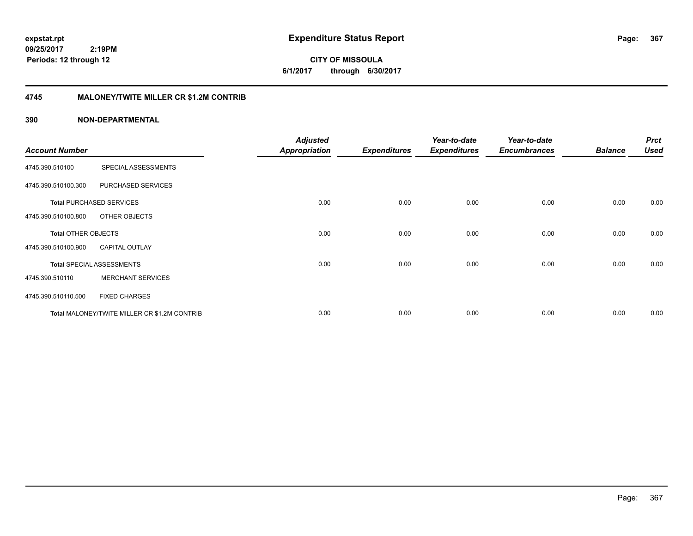**CITY OF MISSOULA 6/1/2017 through 6/30/2017**

### **4745 MALONEY/TWITE MILLER CR \$1.2M CONTRIB**

|                       |                                              | <b>Adjusted</b>      |                     | Year-to-date        | Year-to-date        |                | <b>Prct</b> |
|-----------------------|----------------------------------------------|----------------------|---------------------|---------------------|---------------------|----------------|-------------|
| <b>Account Number</b> |                                              | <b>Appropriation</b> | <b>Expenditures</b> | <b>Expenditures</b> | <b>Encumbrances</b> | <b>Balance</b> | <b>Used</b> |
| 4745.390.510100       | SPECIAL ASSESSMENTS                          |                      |                     |                     |                     |                |             |
| 4745.390.510100.300   | PURCHASED SERVICES                           |                      |                     |                     |                     |                |             |
|                       | <b>Total PURCHASED SERVICES</b>              | 0.00                 | 0.00                | 0.00                | 0.00                | 0.00           | 0.00        |
| 4745.390.510100.800   | OTHER OBJECTS                                |                      |                     |                     |                     |                |             |
| Total OTHER OBJECTS   |                                              | 0.00                 | 0.00                | 0.00                | 0.00                | 0.00           | 0.00        |
| 4745.390.510100.900   | <b>CAPITAL OUTLAY</b>                        |                      |                     |                     |                     |                |             |
|                       | <b>Total SPECIAL ASSESSMENTS</b>             | 0.00                 | 0.00                | 0.00                | 0.00                | 0.00           | 0.00        |
| 4745.390.510110       | <b>MERCHANT SERVICES</b>                     |                      |                     |                     |                     |                |             |
| 4745.390.510110.500   | <b>FIXED CHARGES</b>                         |                      |                     |                     |                     |                |             |
|                       | Total MALONEY/TWITE MILLER CR \$1.2M CONTRIB | 0.00                 | 0.00                | 0.00                | 0.00                | 0.00           | 0.00        |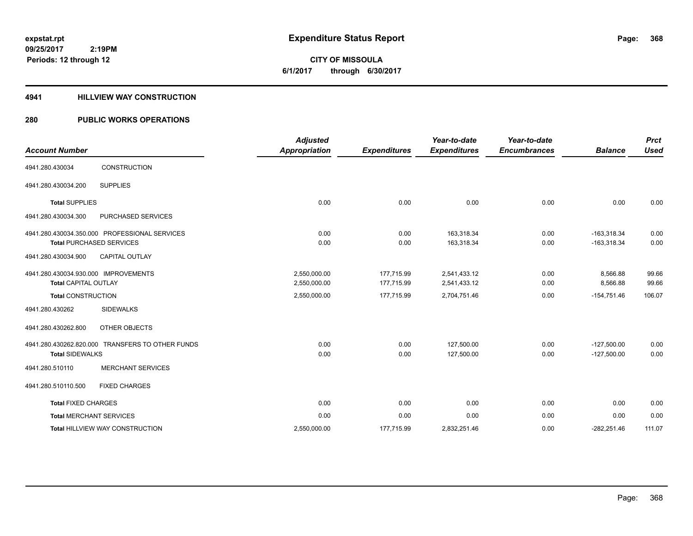**CITY OF MISSOULA 6/1/2017 through 6/30/2017**

### **4941 HILLVIEW WAY CONSTRUCTION**

### **280 PUBLIC WORKS OPERATIONS**

| <b>Account Number</b>                                               |                                                                                  | <b>Adjusted</b><br><b>Appropriation</b> | <b>Expenditures</b>      | Year-to-date<br><b>Expenditures</b> | Year-to-date<br><b>Encumbrances</b> | <b>Balance</b>                 | <b>Prct</b><br><b>Used</b> |
|---------------------------------------------------------------------|----------------------------------------------------------------------------------|-----------------------------------------|--------------------------|-------------------------------------|-------------------------------------|--------------------------------|----------------------------|
| 4941.280.430034                                                     | <b>CONSTRUCTION</b>                                                              |                                         |                          |                                     |                                     |                                |                            |
| 4941.280.430034.200                                                 | <b>SUPPLIES</b>                                                                  |                                         |                          |                                     |                                     |                                |                            |
| <b>Total SUPPLIES</b>                                               |                                                                                  | 0.00                                    | 0.00                     | 0.00                                | 0.00                                | 0.00                           | 0.00                       |
| 4941.280.430034.300                                                 | <b>PURCHASED SERVICES</b>                                                        |                                         |                          |                                     |                                     |                                |                            |
|                                                                     | 4941.280.430034.350.000 PROFESSIONAL SERVICES<br><b>Total PURCHASED SERVICES</b> | 0.00<br>0.00                            | 0.00<br>0.00             | 163,318.34<br>163,318.34            | 0.00<br>0.00                        | $-163,318.34$<br>$-163,318.34$ | 0.00<br>0.00               |
| 4941.280.430034.900                                                 | <b>CAPITAL OUTLAY</b>                                                            |                                         |                          |                                     |                                     |                                |                            |
| 4941.280.430034.930.000 IMPROVEMENTS<br><b>Total CAPITAL OUTLAY</b> |                                                                                  | 2,550,000.00<br>2,550,000.00            | 177,715.99<br>177,715.99 | 2,541,433.12<br>2,541,433.12        | 0.00<br>0.00                        | 8,566.88<br>8,566.88           | 99.66<br>99.66             |
| <b>Total CONSTRUCTION</b>                                           |                                                                                  | 2,550,000.00                            | 177,715.99               | 2,704,751.46                        | 0.00                                | $-154,751.46$                  | 106.07                     |
| 4941.280.430262                                                     | <b>SIDEWALKS</b>                                                                 |                                         |                          |                                     |                                     |                                |                            |
| 4941.280.430262.800                                                 | OTHER OBJECTS                                                                    |                                         |                          |                                     |                                     |                                |                            |
| <b>Total SIDEWALKS</b>                                              | 4941.280.430262.820.000 TRANSFERS TO OTHER FUNDS                                 | 0.00<br>0.00                            | 0.00<br>0.00             | 127,500.00<br>127,500.00            | 0.00<br>0.00                        | $-127,500.00$<br>$-127,500.00$ | 0.00<br>0.00               |
| 4941.280.510110                                                     | <b>MERCHANT SERVICES</b>                                                         |                                         |                          |                                     |                                     |                                |                            |
| 4941.280.510110.500                                                 | <b>FIXED CHARGES</b>                                                             |                                         |                          |                                     |                                     |                                |                            |
| <b>Total FIXED CHARGES</b>                                          |                                                                                  | 0.00                                    | 0.00                     | 0.00                                | 0.00                                | 0.00                           | 0.00                       |
|                                                                     | <b>Total MERCHANT SERVICES</b>                                                   | 0.00                                    | 0.00                     | 0.00                                | 0.00                                | 0.00                           | 0.00                       |
|                                                                     | <b>Total HILLVIEW WAY CONSTRUCTION</b>                                           | 2,550,000.00                            | 177,715.99               | 2,832,251.46                        | 0.00                                | $-282,251.46$                  | 111.07                     |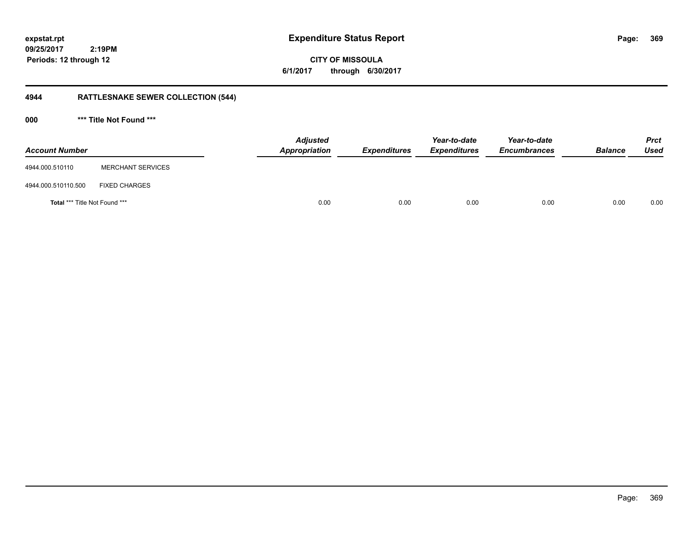**369**

**09/25/2017 2:19PM Periods: 12 through 12**

**CITY OF MISSOULA 6/1/2017 through 6/30/2017**

# **4944 RATTLESNAKE SEWER COLLECTION (544)**

**000 \*\*\* Title Not Found \*\*\***

| <b>Account Number</b>         |                          | <b>Adjusted</b><br>Appropriation | <b>Expenditures</b> | Year-to-date<br><b>Expenditures</b> | Year-to-date<br><b>Encumbrances</b> | <b>Balance</b> | <b>Prct</b><br>Used |
|-------------------------------|--------------------------|----------------------------------|---------------------|-------------------------------------|-------------------------------------|----------------|---------------------|
| 4944.000.510110               | <b>MERCHANT SERVICES</b> |                                  |                     |                                     |                                     |                |                     |
| 4944.000.510110.500           | <b>FIXED CHARGES</b>     |                                  |                     |                                     |                                     |                |                     |
| Total *** Title Not Found *** |                          | 0.00                             | 0.00                | 0.00                                | 0.00                                | 0.00           | 0.00                |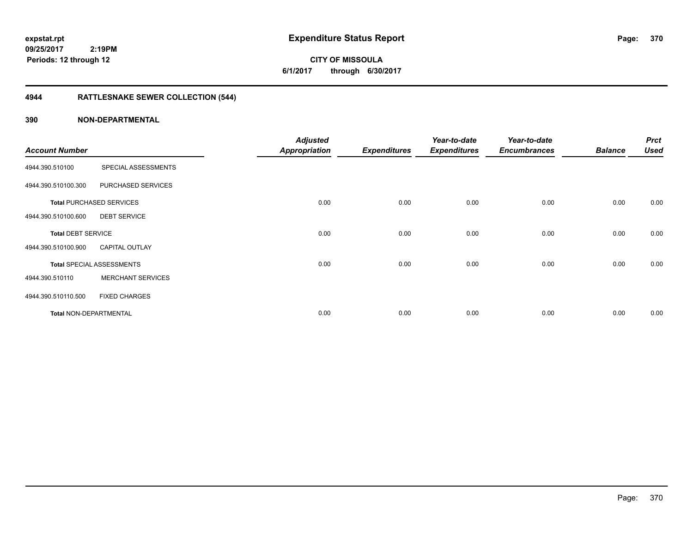**CITY OF MISSOULA 6/1/2017 through 6/30/2017**

# **4944 RATTLESNAKE SEWER COLLECTION (544)**

| <b>Account Number</b>     |                                  | <b>Adjusted</b><br><b>Appropriation</b> | <b>Expenditures</b> | Year-to-date<br><b>Expenditures</b> | Year-to-date<br><b>Encumbrances</b> | <b>Balance</b> | <b>Prct</b><br><b>Used</b> |
|---------------------------|----------------------------------|-----------------------------------------|---------------------|-------------------------------------|-------------------------------------|----------------|----------------------------|
| 4944.390.510100           | SPECIAL ASSESSMENTS              |                                         |                     |                                     |                                     |                |                            |
| 4944.390.510100.300       | PURCHASED SERVICES               |                                         |                     |                                     |                                     |                |                            |
|                           | <b>Total PURCHASED SERVICES</b>  | 0.00                                    | 0.00                | 0.00                                | 0.00                                | 0.00           | 0.00                       |
| 4944.390.510100.600       | <b>DEBT SERVICE</b>              |                                         |                     |                                     |                                     |                |                            |
| <b>Total DEBT SERVICE</b> |                                  | 0.00                                    | 0.00                | 0.00                                | 0.00                                | 0.00           | 0.00                       |
| 4944.390.510100.900       | <b>CAPITAL OUTLAY</b>            |                                         |                     |                                     |                                     |                |                            |
|                           | <b>Total SPECIAL ASSESSMENTS</b> | 0.00                                    | 0.00                | 0.00                                | 0.00                                | 0.00           | 0.00                       |
| 4944.390.510110           | <b>MERCHANT SERVICES</b>         |                                         |                     |                                     |                                     |                |                            |
| 4944.390.510110.500       | <b>FIXED CHARGES</b>             |                                         |                     |                                     |                                     |                |                            |
| Total NON-DEPARTMENTAL    |                                  | 0.00                                    | 0.00                | 0.00                                | 0.00                                | 0.00           | 0.00                       |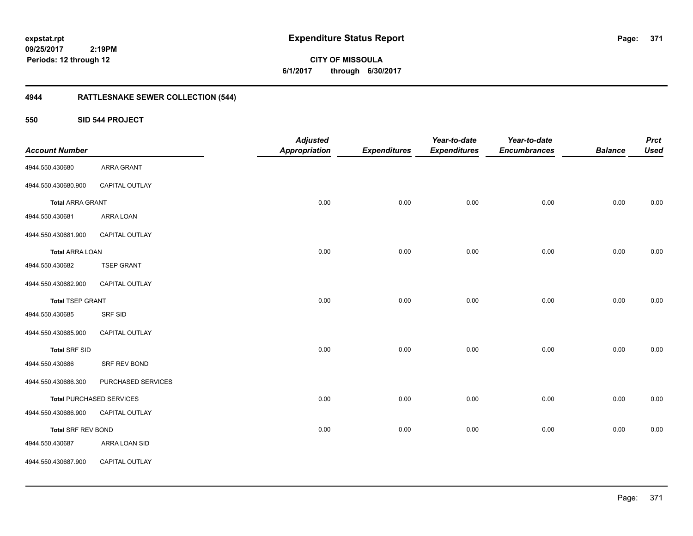**371**

**CITY OF MISSOULA 6/1/2017 through 6/30/2017**

# **4944 RATTLESNAKE SEWER COLLECTION (544)**

**550 SID 544 PROJECT**

| <b>Account Number</b>     |                                 | <b>Adjusted</b><br><b>Appropriation</b> | <b>Expenditures</b> | Year-to-date<br><b>Expenditures</b> | Year-to-date<br><b>Encumbrances</b> | <b>Balance</b> | <b>Prct</b><br><b>Used</b> |
|---------------------------|---------------------------------|-----------------------------------------|---------------------|-------------------------------------|-------------------------------------|----------------|----------------------------|
| 4944.550.430680           | ARRA GRANT                      |                                         |                     |                                     |                                     |                |                            |
| 4944.550.430680.900       | CAPITAL OUTLAY                  |                                         |                     |                                     |                                     |                |                            |
| <b>Total ARRA GRANT</b>   |                                 | 0.00                                    | 0.00                | 0.00                                | 0.00                                | 0.00           | 0.00                       |
| 4944.550.430681           | ARRA LOAN                       |                                         |                     |                                     |                                     |                |                            |
| 4944.550.430681.900       | CAPITAL OUTLAY                  |                                         |                     |                                     |                                     |                |                            |
| <b>Total ARRA LOAN</b>    |                                 | 0.00                                    | 0.00                | 0.00                                | 0.00                                | 0.00           | 0.00                       |
| 4944.550.430682           | <b>TSEP GRANT</b>               |                                         |                     |                                     |                                     |                |                            |
| 4944.550.430682.900       | CAPITAL OUTLAY                  |                                         |                     |                                     |                                     |                |                            |
| <b>Total TSEP GRANT</b>   |                                 | 0.00                                    | 0.00                | 0.00                                | 0.00                                | 0.00           | $0.00\,$                   |
| 4944.550.430685           | SRF SID                         |                                         |                     |                                     |                                     |                |                            |
| 4944.550.430685.900       | CAPITAL OUTLAY                  |                                         |                     |                                     |                                     |                |                            |
| <b>Total SRF SID</b>      |                                 | 0.00                                    | 0.00                | 0.00                                | 0.00                                | 0.00           | 0.00                       |
| 4944.550.430686           | SRF REV BOND                    |                                         |                     |                                     |                                     |                |                            |
| 4944.550.430686.300       | PURCHASED SERVICES              |                                         |                     |                                     |                                     |                |                            |
|                           | <b>Total PURCHASED SERVICES</b> | 0.00                                    | 0.00                | 0.00                                | 0.00                                | 0.00           | $0.00\,$                   |
| 4944.550.430686.900       | CAPITAL OUTLAY                  |                                         |                     |                                     |                                     |                |                            |
| <b>Total SRF REV BOND</b> |                                 | 0.00                                    | 0.00                | 0.00                                | 0.00                                | 0.00           | 0.00                       |
| 4944.550.430687           | ARRA LOAN SID                   |                                         |                     |                                     |                                     |                |                            |
| 4944.550.430687.900       | CAPITAL OUTLAY                  |                                         |                     |                                     |                                     |                |                            |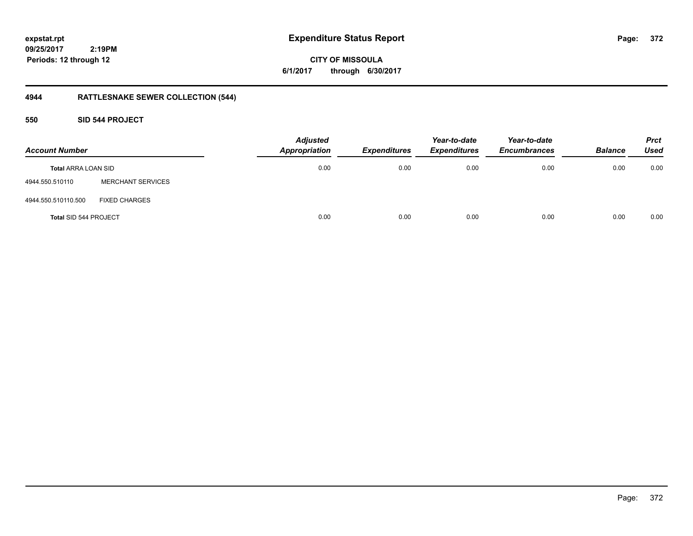**CITY OF MISSOULA 6/1/2017 through 6/30/2017**

# **4944 RATTLESNAKE SEWER COLLECTION (544)**

### **550 SID 544 PROJECT**

| <b>Account Number</b>        |                          | <b>Adjusted</b><br><b>Appropriation</b> | <b>Expenditures</b> | Year-to-date<br><b>Expenditures</b> | Year-to-date<br><b>Encumbrances</b> | <b>Balance</b> | <b>Prct</b><br><b>Used</b> |
|------------------------------|--------------------------|-----------------------------------------|---------------------|-------------------------------------|-------------------------------------|----------------|----------------------------|
| <b>Total ARRA LOAN SID</b>   |                          | 0.00                                    | 0.00                | 0.00                                | 0.00                                | 0.00           | 0.00                       |
| 4944.550.510110              | <b>MERCHANT SERVICES</b> |                                         |                     |                                     |                                     |                |                            |
| 4944.550.510110.500          | <b>FIXED CHARGES</b>     |                                         |                     |                                     |                                     |                |                            |
| <b>Total SID 544 PROJECT</b> |                          | 0.00                                    | 0.00                | 0.00                                | 0.00                                | 0.00           | 0.00                       |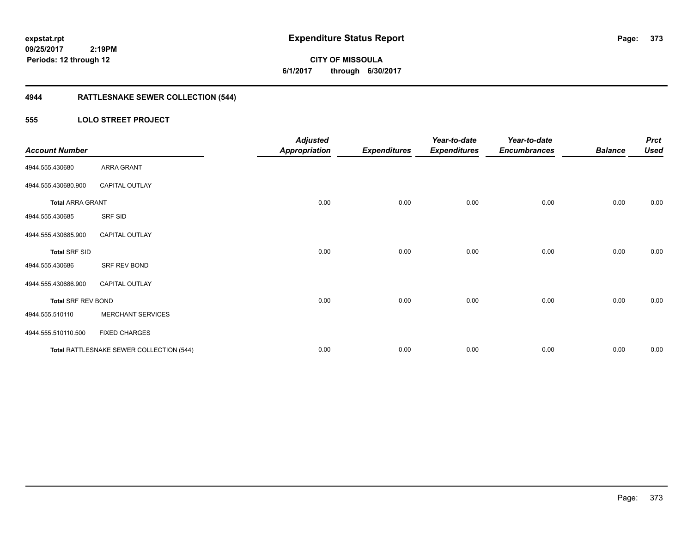**CITY OF MISSOULA 6/1/2017 through 6/30/2017**

# **4944 RATTLESNAKE SEWER COLLECTION (544)**

### **555 LOLO STREET PROJECT**

| <b>Account Number</b>     |                                          | <b>Adjusted</b><br><b>Appropriation</b> | <b>Expenditures</b> | Year-to-date<br><b>Expenditures</b> | Year-to-date<br><b>Encumbrances</b> | <b>Balance</b> | <b>Prct</b><br><b>Used</b> |
|---------------------------|------------------------------------------|-----------------------------------------|---------------------|-------------------------------------|-------------------------------------|----------------|----------------------------|
| 4944.555.430680           | <b>ARRA GRANT</b>                        |                                         |                     |                                     |                                     |                |                            |
| 4944.555.430680.900       | <b>CAPITAL OUTLAY</b>                    |                                         |                     |                                     |                                     |                |                            |
| <b>Total ARRA GRANT</b>   |                                          | 0.00                                    | 0.00                | 0.00                                | 0.00                                | 0.00           | 0.00                       |
| 4944.555.430685           | SRF SID                                  |                                         |                     |                                     |                                     |                |                            |
| 4944.555.430685.900       | <b>CAPITAL OUTLAY</b>                    |                                         |                     |                                     |                                     |                |                            |
| <b>Total SRF SID</b>      |                                          | 0.00                                    | 0.00                | 0.00                                | 0.00                                | 0.00           | 0.00                       |
| 4944.555.430686           | SRF REV BOND                             |                                         |                     |                                     |                                     |                |                            |
| 4944.555.430686.900       | <b>CAPITAL OUTLAY</b>                    |                                         |                     |                                     |                                     |                |                            |
| <b>Total SRF REV BOND</b> |                                          | 0.00                                    | 0.00                | 0.00                                | 0.00                                | 0.00           | 0.00                       |
| 4944.555.510110           | <b>MERCHANT SERVICES</b>                 |                                         |                     |                                     |                                     |                |                            |
| 4944.555.510110.500       | <b>FIXED CHARGES</b>                     |                                         |                     |                                     |                                     |                |                            |
|                           | Total RATTLESNAKE SEWER COLLECTION (544) | 0.00                                    | 0.00                | 0.00                                | 0.00                                | 0.00           | 0.00                       |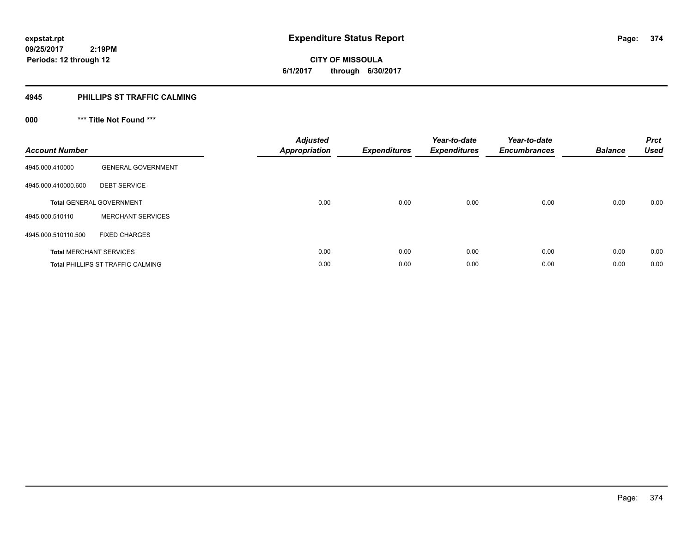**374**

**09/25/2017 2:19PM Periods: 12 through 12**

# **CITY OF MISSOULA 6/1/2017 through 6/30/2017**

### **4945 PHILLIPS ST TRAFFIC CALMING**

# **000 \*\*\* Title Not Found \*\*\***

| <b>Account Number</b>          |                                          | <b>Adjusted</b><br><b>Appropriation</b> | <b>Expenditures</b> | Year-to-date<br><b>Expenditures</b> | Year-to-date<br><b>Encumbrances</b> | <b>Balance</b> | <b>Prct</b><br><b>Used</b> |
|--------------------------------|------------------------------------------|-----------------------------------------|---------------------|-------------------------------------|-------------------------------------|----------------|----------------------------|
| 4945.000.410000                | <b>GENERAL GOVERNMENT</b>                |                                         |                     |                                     |                                     |                |                            |
| 4945.000.410000.600            | <b>DEBT SERVICE</b>                      |                                         |                     |                                     |                                     |                |                            |
|                                | <b>Total GENERAL GOVERNMENT</b>          | 0.00                                    | 0.00                | 0.00                                | 0.00                                | 0.00           | 0.00                       |
| 4945.000.510110                | <b>MERCHANT SERVICES</b>                 |                                         |                     |                                     |                                     |                |                            |
| 4945.000.510110.500            | <b>FIXED CHARGES</b>                     |                                         |                     |                                     |                                     |                |                            |
| <b>Total MERCHANT SERVICES</b> |                                          | 0.00                                    | 0.00                | 0.00                                | 0.00                                | 0.00           | 0.00                       |
|                                | <b>Total PHILLIPS ST TRAFFIC CALMING</b> | 0.00                                    | 0.00                | 0.00                                | 0.00                                | 0.00           | 0.00                       |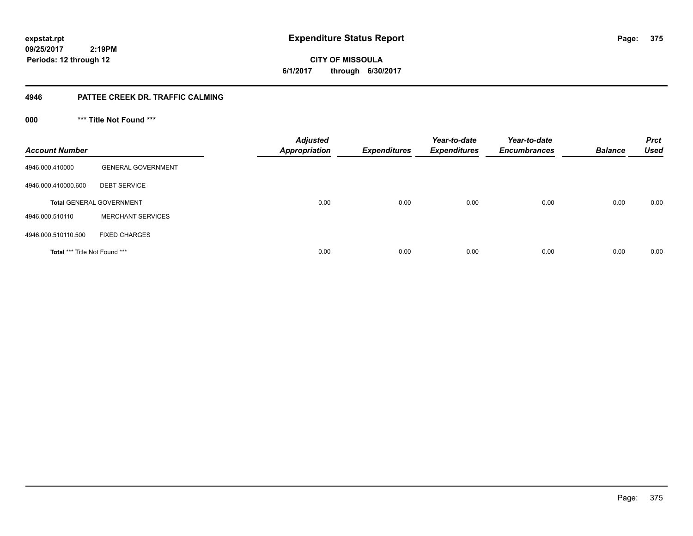**375**

**09/25/2017 2:19PM Periods: 12 through 12**

**CITY OF MISSOULA 6/1/2017 through 6/30/2017**

### **4946 PATTEE CREEK DR. TRAFFIC CALMING**

**000 \*\*\* Title Not Found \*\*\***

| <b>Account Number</b>         |                                 | <b>Adjusted</b><br><b>Appropriation</b> | <b>Expenditures</b> | Year-to-date<br><b>Expenditures</b> | Year-to-date<br><b>Encumbrances</b> | <b>Balance</b> | <b>Prct</b><br><b>Used</b> |
|-------------------------------|---------------------------------|-----------------------------------------|---------------------|-------------------------------------|-------------------------------------|----------------|----------------------------|
| 4946.000.410000               | <b>GENERAL GOVERNMENT</b>       |                                         |                     |                                     |                                     |                |                            |
| 4946.000.410000.600           | <b>DEBT SERVICE</b>             |                                         |                     |                                     |                                     |                |                            |
|                               | <b>Total GENERAL GOVERNMENT</b> | 0.00                                    | 0.00                | 0.00                                | 0.00                                | 0.00           | 0.00                       |
| 4946.000.510110               | <b>MERCHANT SERVICES</b>        |                                         |                     |                                     |                                     |                |                            |
| 4946.000.510110.500           | <b>FIXED CHARGES</b>            |                                         |                     |                                     |                                     |                |                            |
| Total *** Title Not Found *** |                                 | 0.00                                    | 0.00                | 0.00                                | 0.00                                | 0.00           | 0.00                       |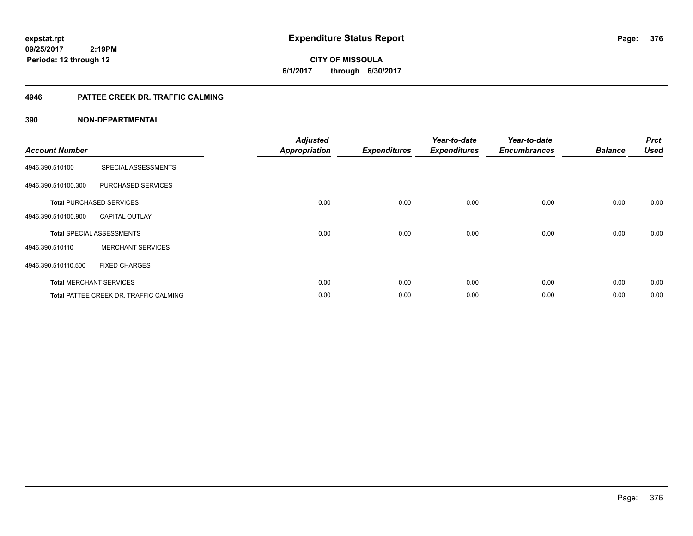**CITY OF MISSOULA 6/1/2017 through 6/30/2017**

### **4946 PATTEE CREEK DR. TRAFFIC CALMING**

| <b>Account Number</b> |                                               | <b>Adjusted</b><br><b>Appropriation</b> | <b>Expenditures</b> | Year-to-date<br><b>Expenditures</b> | Year-to-date<br><b>Encumbrances</b> | <b>Balance</b> | <b>Prct</b><br><b>Used</b> |
|-----------------------|-----------------------------------------------|-----------------------------------------|---------------------|-------------------------------------|-------------------------------------|----------------|----------------------------|
| 4946.390.510100       | SPECIAL ASSESSMENTS                           |                                         |                     |                                     |                                     |                |                            |
| 4946.390.510100.300   | PURCHASED SERVICES                            |                                         |                     |                                     |                                     |                |                            |
|                       | <b>Total PURCHASED SERVICES</b>               | 0.00                                    | 0.00                | 0.00                                | 0.00                                | 0.00           | 0.00                       |
| 4946.390.510100.900   | <b>CAPITAL OUTLAY</b>                         |                                         |                     |                                     |                                     |                |                            |
|                       | <b>Total SPECIAL ASSESSMENTS</b>              | 0.00                                    | 0.00                | 0.00                                | 0.00                                | 0.00           | 0.00                       |
| 4946.390.510110       | <b>MERCHANT SERVICES</b>                      |                                         |                     |                                     |                                     |                |                            |
| 4946.390.510110.500   | <b>FIXED CHARGES</b>                          |                                         |                     |                                     |                                     |                |                            |
|                       | <b>Total MERCHANT SERVICES</b>                | 0.00                                    | 0.00                | 0.00                                | 0.00                                | 0.00           | 0.00                       |
|                       | <b>Total PATTEE CREEK DR. TRAFFIC CALMING</b> | 0.00                                    | 0.00                | 0.00                                | 0.00                                | 0.00           | 0.00                       |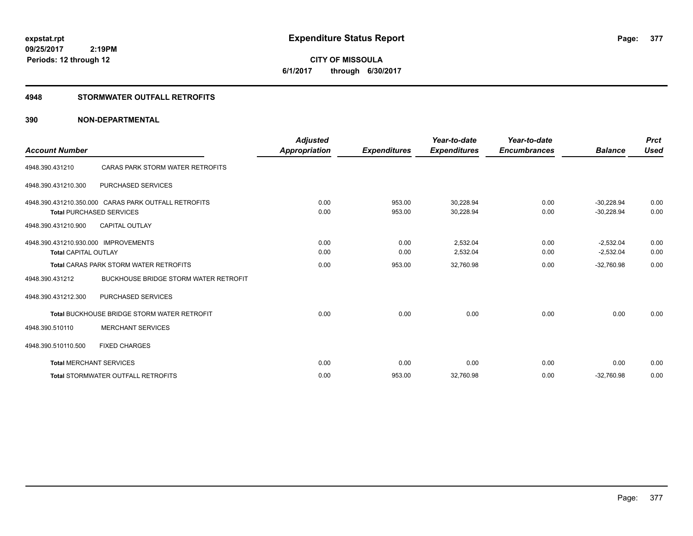**CITY OF MISSOULA 6/1/2017 through 6/30/2017**

### **4948 STORMWATER OUTFALL RETROFITS**

| <b>Account Number</b>                |                                                      | <b>Adjusted</b>      |                     | Year-to-date        | Year-to-date        |                | <b>Prct</b> |
|--------------------------------------|------------------------------------------------------|----------------------|---------------------|---------------------|---------------------|----------------|-------------|
|                                      |                                                      | <b>Appropriation</b> | <b>Expenditures</b> | <b>Expenditures</b> | <b>Encumbrances</b> | <b>Balance</b> | <b>Used</b> |
| 4948.390.431210                      | CARAS PARK STORM WATER RETROFITS                     |                      |                     |                     |                     |                |             |
| 4948.390.431210.300                  | PURCHASED SERVICES                                   |                      |                     |                     |                     |                |             |
|                                      | 4948.390.431210.350.000 CARAS PARK OUTFALL RETROFITS | 0.00                 | 953.00              | 30,228.94           | 0.00                | $-30.228.94$   | 0.00        |
|                                      | <b>Total PURCHASED SERVICES</b>                      | 0.00                 | 953.00              | 30,228.94           | 0.00                | $-30.228.94$   | 0.00        |
| 4948.390.431210.900                  | <b>CAPITAL OUTLAY</b>                                |                      |                     |                     |                     |                |             |
| 4948.390.431210.930.000 IMPROVEMENTS |                                                      | 0.00                 | 0.00                | 2,532.04            | 0.00                | $-2,532.04$    | 0.00        |
| <b>Total CAPITAL OUTLAY</b>          |                                                      | 0.00                 | 0.00                | 2,532.04            | 0.00                | $-2,532.04$    | 0.00        |
|                                      | <b>Total CARAS PARK STORM WATER RETROFITS</b>        | 0.00                 | 953.00              | 32,760.98           | 0.00                | $-32,760.98$   | 0.00        |
| 4948.390.431212                      | <b>BUCKHOUSE BRIDGE STORM WATER RETROFIT</b>         |                      |                     |                     |                     |                |             |
| 4948.390.431212.300                  | <b>PURCHASED SERVICES</b>                            |                      |                     |                     |                     |                |             |
|                                      | <b>Total BUCKHOUSE BRIDGE STORM WATER RETROFIT</b>   | 0.00                 | 0.00                | 0.00                | 0.00                | 0.00           | 0.00        |
| 4948.390.510110                      | <b>MERCHANT SERVICES</b>                             |                      |                     |                     |                     |                |             |
| 4948.390.510110.500                  | <b>FIXED CHARGES</b>                                 |                      |                     |                     |                     |                |             |
|                                      | <b>Total MERCHANT SERVICES</b>                       | 0.00                 | 0.00                | 0.00                | 0.00                | 0.00           | 0.00        |
|                                      | <b>Total STORMWATER OUTFALL RETROFITS</b>            | 0.00                 | 953.00              | 32,760.98           | 0.00                | $-32,760.98$   | 0.00        |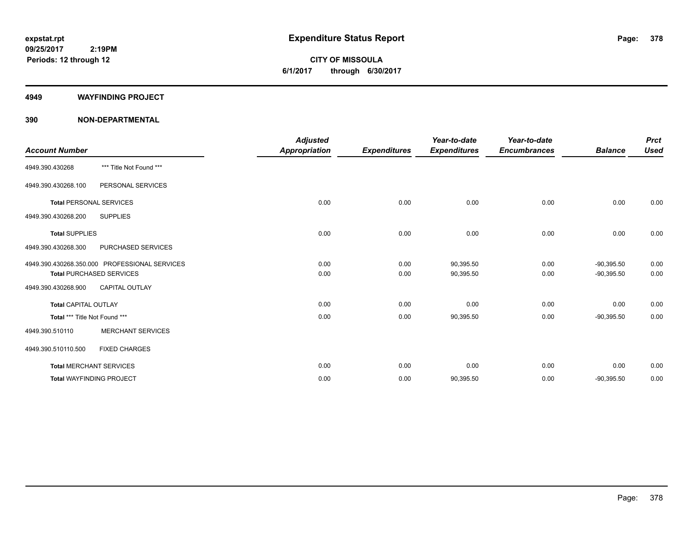**CITY OF MISSOULA 6/1/2017 through 6/30/2017**

#### **4949 WAYFINDING PROJECT**

|                                |                                               | <b>Adjusted</b>      |                     | Year-to-date        | Year-to-date        |                | <b>Prct</b> |
|--------------------------------|-----------------------------------------------|----------------------|---------------------|---------------------|---------------------|----------------|-------------|
| <b>Account Number</b>          |                                               | <b>Appropriation</b> | <b>Expenditures</b> | <b>Expenditures</b> | <b>Encumbrances</b> | <b>Balance</b> | <b>Used</b> |
| 4949.390.430268                | *** Title Not Found ***                       |                      |                     |                     |                     |                |             |
| 4949.390.430268.100            | PERSONAL SERVICES                             |                      |                     |                     |                     |                |             |
| <b>Total PERSONAL SERVICES</b> |                                               | 0.00                 | 0.00                | 0.00                | 0.00                | 0.00           | 0.00        |
| 4949.390.430268.200            | <b>SUPPLIES</b>                               |                      |                     |                     |                     |                |             |
| <b>Total SUPPLIES</b>          |                                               | 0.00                 | 0.00                | 0.00                | 0.00                | 0.00           | 0.00        |
| 4949.390.430268.300            | PURCHASED SERVICES                            |                      |                     |                     |                     |                |             |
|                                | 4949.390.430268.350.000 PROFESSIONAL SERVICES | 0.00                 | 0.00                | 90,395.50           | 0.00                | $-90,395.50$   | 0.00        |
|                                | <b>Total PURCHASED SERVICES</b>               | 0.00                 | 0.00                | 90,395.50           | 0.00                | $-90,395.50$   | 0.00        |
| 4949.390.430268.900            | <b>CAPITAL OUTLAY</b>                         |                      |                     |                     |                     |                |             |
| <b>Total CAPITAL OUTLAY</b>    |                                               | 0.00                 | 0.00                | 0.00                | 0.00                | 0.00           | 0.00        |
| Total *** Title Not Found ***  |                                               | 0.00                 | 0.00                | 90,395.50           | 0.00                | $-90,395.50$   | 0.00        |
| 4949.390.510110                | <b>MERCHANT SERVICES</b>                      |                      |                     |                     |                     |                |             |
| 4949.390.510110.500            | <b>FIXED CHARGES</b>                          |                      |                     |                     |                     |                |             |
|                                | <b>Total MERCHANT SERVICES</b>                | 0.00                 | 0.00                | 0.00                | 0.00                | 0.00           | 0.00        |
|                                | <b>Total WAYFINDING PROJECT</b>               | 0.00                 | 0.00                | 90,395.50           | 0.00                | $-90,395.50$   | 0.00        |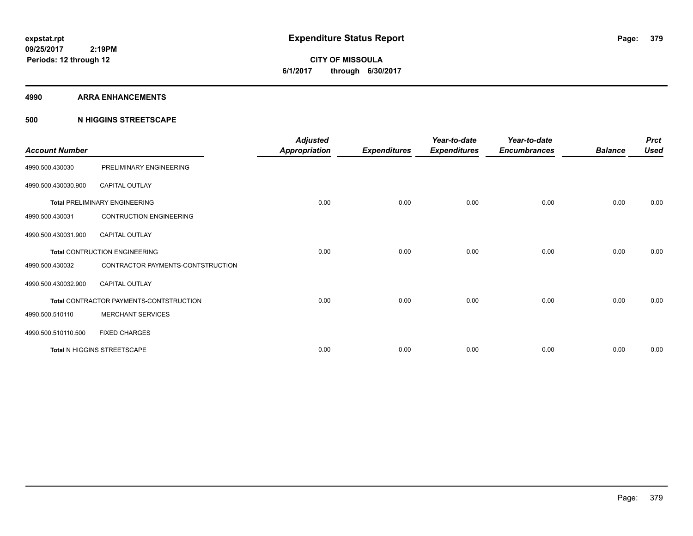**CITY OF MISSOULA 6/1/2017 through 6/30/2017**

#### **4990 ARRA ENHANCEMENTS**

### **500 N HIGGINS STREETSCAPE**

| <b>Account Number</b> |                                         | <b>Adjusted</b><br><b>Appropriation</b> | <b>Expenditures</b> | Year-to-date<br><b>Expenditures</b> | Year-to-date<br><b>Encumbrances</b> | <b>Balance</b> | <b>Prct</b><br><b>Used</b> |
|-----------------------|-----------------------------------------|-----------------------------------------|---------------------|-------------------------------------|-------------------------------------|----------------|----------------------------|
| 4990.500.430030       | PRELIMINARY ENGINEERING                 |                                         |                     |                                     |                                     |                |                            |
| 4990.500.430030.900   | <b>CAPITAL OUTLAY</b>                   |                                         |                     |                                     |                                     |                |                            |
|                       | <b>Total PRELIMINARY ENGINEERING</b>    | 0.00                                    | 0.00                | 0.00                                | 0.00                                | 0.00           | 0.00                       |
| 4990.500.430031       | <b>CONTRUCTION ENGINEERING</b>          |                                         |                     |                                     |                                     |                |                            |
| 4990.500.430031.900   | <b>CAPITAL OUTLAY</b>                   |                                         |                     |                                     |                                     |                |                            |
|                       | <b>Total CONTRUCTION ENGINEERING</b>    | 0.00                                    | 0.00                | 0.00                                | 0.00                                | 0.00           | 0.00                       |
| 4990.500.430032       | CONTRACTOR PAYMENTS-CONTSTRUCTION       |                                         |                     |                                     |                                     |                |                            |
| 4990.500.430032.900   | <b>CAPITAL OUTLAY</b>                   |                                         |                     |                                     |                                     |                |                            |
|                       | Total CONTRACTOR PAYMENTS-CONTSTRUCTION | 0.00                                    | 0.00                | 0.00                                | 0.00                                | 0.00           | 0.00                       |
| 4990.500.510110       | <b>MERCHANT SERVICES</b>                |                                         |                     |                                     |                                     |                |                            |
| 4990.500.510110.500   | <b>FIXED CHARGES</b>                    |                                         |                     |                                     |                                     |                |                            |
|                       | <b>Total N HIGGINS STREETSCAPE</b>      | 0.00                                    | 0.00                | 0.00                                | 0.00                                | 0.00           | 0.00                       |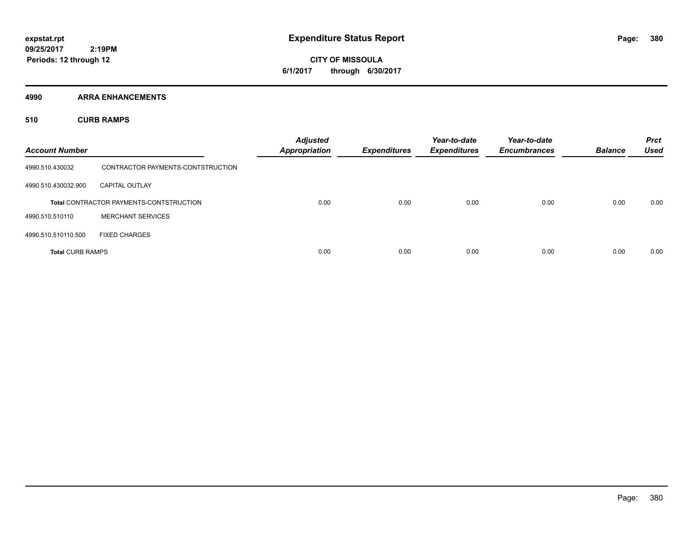**CITY OF MISSOULA 6/1/2017 through 6/30/2017**

**4990 ARRA ENHANCEMENTS**

**510 CURB RAMPS**

| <b>Account Number</b>   |                                                | <b>Adjusted</b><br><b>Appropriation</b> | <b>Expenditures</b> | Year-to-date<br><b>Expenditures</b> | Year-to-date<br><b>Encumbrances</b> | <b>Balance</b> | <b>Prct</b><br><b>Used</b> |
|-------------------------|------------------------------------------------|-----------------------------------------|---------------------|-------------------------------------|-------------------------------------|----------------|----------------------------|
| 4990.510.430032         | CONTRACTOR PAYMENTS-CONTSTRUCTION              |                                         |                     |                                     |                                     |                |                            |
| 4990.510.430032.900     | <b>CAPITAL OUTLAY</b>                          |                                         |                     |                                     |                                     |                |                            |
|                         | <b>Total CONTRACTOR PAYMENTS-CONTSTRUCTION</b> | 0.00                                    | 0.00                | 0.00                                | 0.00                                | 0.00           | 0.00                       |
| 4990.510.510110         | <b>MERCHANT SERVICES</b>                       |                                         |                     |                                     |                                     |                |                            |
| 4990.510.510110.500     | <b>FIXED CHARGES</b>                           |                                         |                     |                                     |                                     |                |                            |
| <b>Total CURB RAMPS</b> |                                                | 0.00                                    | 0.00                | 0.00                                | 0.00                                | 0.00           | 0.00                       |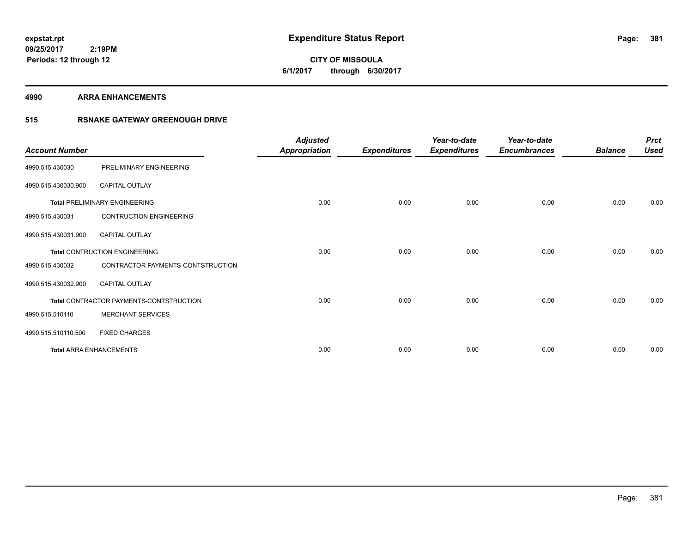# **CITY OF MISSOULA 6/1/2017 through 6/30/2017**

#### **4990 ARRA ENHANCEMENTS**

### **515 RSNAKE GATEWAY GREENOUGH DRIVE**

| <b>Account Number</b> |                                         | <b>Adjusted</b><br><b>Appropriation</b> | <b>Expenditures</b> | Year-to-date<br><b>Expenditures</b> | Year-to-date<br><b>Encumbrances</b> | <b>Balance</b> | <b>Prct</b><br><b>Used</b> |
|-----------------------|-----------------------------------------|-----------------------------------------|---------------------|-------------------------------------|-------------------------------------|----------------|----------------------------|
| 4990.515.430030       | PRELIMINARY ENGINEERING                 |                                         |                     |                                     |                                     |                |                            |
| 4990.515.430030.900   | <b>CAPITAL OUTLAY</b>                   |                                         |                     |                                     |                                     |                |                            |
|                       | <b>Total PRELIMINARY ENGINEERING</b>    | 0.00                                    | 0.00                | 0.00                                | 0.00                                | 0.00           | 0.00                       |
| 4990.515.430031       | CONTRUCTION ENGINEERING                 |                                         |                     |                                     |                                     |                |                            |
| 4990.515.430031.900   | <b>CAPITAL OUTLAY</b>                   |                                         |                     |                                     |                                     |                |                            |
|                       | <b>Total CONTRUCTION ENGINEERING</b>    | 0.00                                    | 0.00                | 0.00                                | 0.00                                | 0.00           | 0.00                       |
| 4990.515.430032       | CONTRACTOR PAYMENTS-CONTSTRUCTION       |                                         |                     |                                     |                                     |                |                            |
| 4990.515.430032.900   | <b>CAPITAL OUTLAY</b>                   |                                         |                     |                                     |                                     |                |                            |
|                       | Total CONTRACTOR PAYMENTS-CONTSTRUCTION | 0.00                                    | 0.00                | 0.00                                | 0.00                                | 0.00           | 0.00                       |
| 4990.515.510110       | <b>MERCHANT SERVICES</b>                |                                         |                     |                                     |                                     |                |                            |
| 4990.515.510110.500   | <b>FIXED CHARGES</b>                    |                                         |                     |                                     |                                     |                |                            |
|                       | <b>Total ARRA ENHANCEMENTS</b>          | 0.00                                    | 0.00                | 0.00                                | 0.00                                | 0.00           | 0.00                       |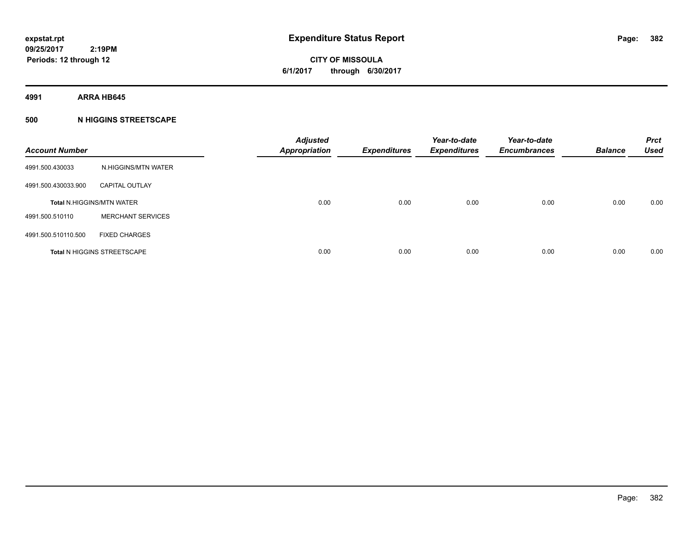**CITY OF MISSOULA 6/1/2017 through 6/30/2017**

**4991 ARRA HB645**

### **500 N HIGGINS STREETSCAPE**

| <b>Account Number</b> |                                    | <b>Adjusted</b><br><b>Appropriation</b> | <b>Expenditures</b> | Year-to-date<br><b>Expenditures</b> | Year-to-date<br><b>Encumbrances</b> | <b>Balance</b> | <b>Prct</b><br><b>Used</b> |
|-----------------------|------------------------------------|-----------------------------------------|---------------------|-------------------------------------|-------------------------------------|----------------|----------------------------|
| 4991.500.430033       | N.HIGGINS/MTN WATER                |                                         |                     |                                     |                                     |                |                            |
| 4991.500.430033.900   | <b>CAPITAL OUTLAY</b>              |                                         |                     |                                     |                                     |                |                            |
|                       | <b>Total N.HIGGINS/MTN WATER</b>   | 0.00                                    | 0.00                | 0.00                                | 0.00                                | 0.00           | 0.00                       |
| 4991.500.510110       | <b>MERCHANT SERVICES</b>           |                                         |                     |                                     |                                     |                |                            |
| 4991.500.510110.500   | <b>FIXED CHARGES</b>               |                                         |                     |                                     |                                     |                |                            |
|                       | <b>Total N HIGGINS STREETSCAPE</b> | 0.00                                    | 0.00                | 0.00                                | 0.00                                | 0.00           | 0.00                       |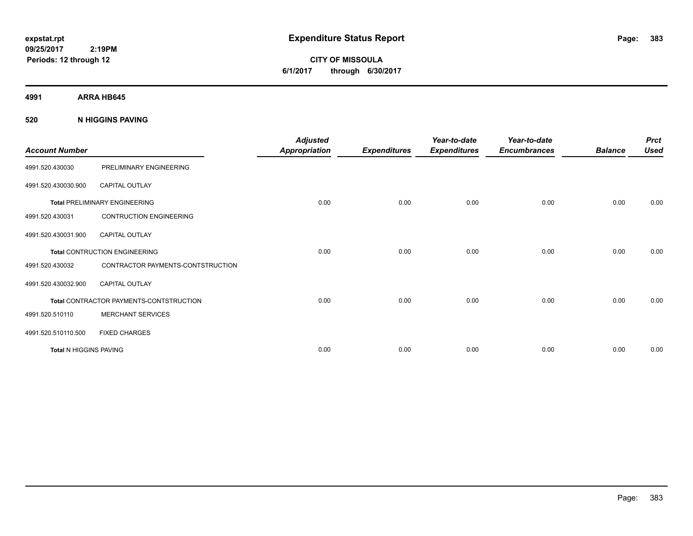**CITY OF MISSOULA 6/1/2017 through 6/30/2017**

**4991 ARRA HB645**

**520 N HIGGINS PAVING**

| <b>Account Number</b>         |                                                | <b>Adjusted</b><br><b>Appropriation</b> | <b>Expenditures</b> | Year-to-date<br><b>Expenditures</b> | Year-to-date<br><b>Encumbrances</b> | <b>Balance</b> | <b>Prct</b><br><b>Used</b> |
|-------------------------------|------------------------------------------------|-----------------------------------------|---------------------|-------------------------------------|-------------------------------------|----------------|----------------------------|
| 4991.520.430030               | PRELIMINARY ENGINEERING                        |                                         |                     |                                     |                                     |                |                            |
| 4991.520.430030.900           | <b>CAPITAL OUTLAY</b>                          |                                         |                     |                                     |                                     |                |                            |
|                               | <b>Total PRELIMINARY ENGINEERING</b>           | 0.00                                    | 0.00                | 0.00                                | 0.00                                | 0.00           | 0.00                       |
| 4991.520.430031               | <b>CONTRUCTION ENGINEERING</b>                 |                                         |                     |                                     |                                     |                |                            |
| 4991.520.430031.900           | CAPITAL OUTLAY                                 |                                         |                     |                                     |                                     |                |                            |
|                               | <b>Total CONTRUCTION ENGINEERING</b>           | 0.00                                    | 0.00                | 0.00                                | 0.00                                | 0.00           | 0.00                       |
| 4991.520.430032               | CONTRACTOR PAYMENTS-CONTSTRUCTION              |                                         |                     |                                     |                                     |                |                            |
| 4991.520.430032.900           | <b>CAPITAL OUTLAY</b>                          |                                         |                     |                                     |                                     |                |                            |
|                               | <b>Total CONTRACTOR PAYMENTS-CONTSTRUCTION</b> | 0.00                                    | 0.00                | 0.00                                | 0.00                                | 0.00           | 0.00                       |
| 4991.520.510110               | <b>MERCHANT SERVICES</b>                       |                                         |                     |                                     |                                     |                |                            |
| 4991.520.510110.500           | <b>FIXED CHARGES</b>                           |                                         |                     |                                     |                                     |                |                            |
| <b>Total N HIGGINS PAVING</b> |                                                | 0.00                                    | 0.00                | 0.00                                | 0.00                                | 0.00           | 0.00                       |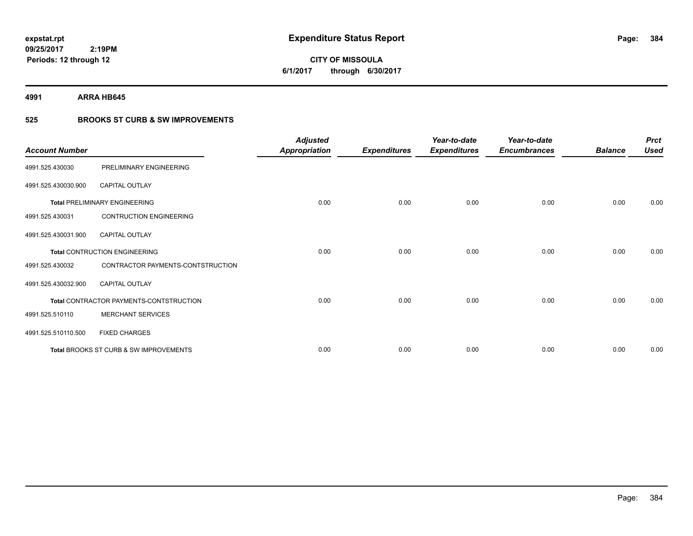**384**

**09/25/2017 2:19PM Periods: 12 through 12**

# **CITY OF MISSOULA 6/1/2017 through 6/30/2017**

**4991 ARRA HB645**

### **525 BROOKS ST CURB & SW IMPROVEMENTS**

| <b>Account Number</b> |                                         | <b>Adjusted</b><br><b>Appropriation</b> | <b>Expenditures</b> | Year-to-date<br><b>Expenditures</b> | Year-to-date<br><b>Encumbrances</b> | <b>Balance</b> | <b>Prct</b><br><b>Used</b> |
|-----------------------|-----------------------------------------|-----------------------------------------|---------------------|-------------------------------------|-------------------------------------|----------------|----------------------------|
| 4991.525.430030       | PRELIMINARY ENGINEERING                 |                                         |                     |                                     |                                     |                |                            |
| 4991.525.430030.900   | <b>CAPITAL OUTLAY</b>                   |                                         |                     |                                     |                                     |                |                            |
|                       | <b>Total PRELIMINARY ENGINEERING</b>    | 0.00                                    | 0.00                | 0.00                                | 0.00                                | 0.00           | 0.00                       |
| 4991.525.430031       | <b>CONTRUCTION ENGINEERING</b>          |                                         |                     |                                     |                                     |                |                            |
| 4991.525.430031.900   | <b>CAPITAL OUTLAY</b>                   |                                         |                     |                                     |                                     |                |                            |
|                       | <b>Total CONTRUCTION ENGINEERING</b>    | 0.00                                    | 0.00                | 0.00                                | 0.00                                | 0.00           | 0.00                       |
| 4991.525.430032       | CONTRACTOR PAYMENTS-CONTSTRUCTION       |                                         |                     |                                     |                                     |                |                            |
| 4991.525.430032.900   | <b>CAPITAL OUTLAY</b>                   |                                         |                     |                                     |                                     |                |                            |
|                       | Total CONTRACTOR PAYMENTS-CONTSTRUCTION | 0.00                                    | 0.00                | 0.00                                | 0.00                                | 0.00           | 0.00                       |
| 4991.525.510110       | <b>MERCHANT SERVICES</b>                |                                         |                     |                                     |                                     |                |                            |
| 4991.525.510110.500   | <b>FIXED CHARGES</b>                    |                                         |                     |                                     |                                     |                |                            |
|                       | Total BROOKS ST CURB & SW IMPROVEMENTS  | 0.00                                    | 0.00                | 0.00                                | 0.00                                | 0.00           | 0.00                       |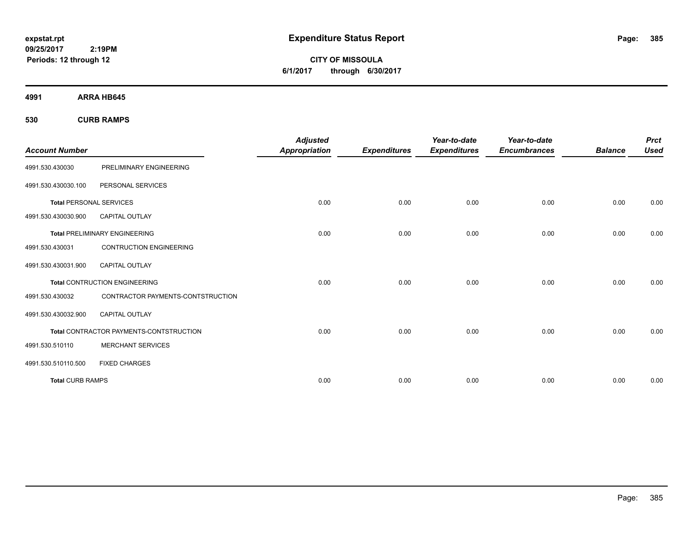**CITY OF MISSOULA 6/1/2017 through 6/30/2017**

**4991 ARRA HB645**

**530 CURB RAMPS**

| <b>Account Number</b>          |                                                | <b>Adjusted</b><br><b>Appropriation</b> | <b>Expenditures</b> | Year-to-date<br><b>Expenditures</b> | Year-to-date<br><b>Encumbrances</b> | <b>Balance</b> | <b>Prct</b><br><b>Used</b> |
|--------------------------------|------------------------------------------------|-----------------------------------------|---------------------|-------------------------------------|-------------------------------------|----------------|----------------------------|
| 4991.530.430030                | PRELIMINARY ENGINEERING                        |                                         |                     |                                     |                                     |                |                            |
| 4991.530.430030.100            | PERSONAL SERVICES                              |                                         |                     |                                     |                                     |                |                            |
| <b>Total PERSONAL SERVICES</b> |                                                | 0.00                                    | 0.00                | 0.00                                | 0.00                                | 0.00           | 0.00                       |
| 4991.530.430030.900            | <b>CAPITAL OUTLAY</b>                          |                                         |                     |                                     |                                     |                |                            |
|                                | <b>Total PRELIMINARY ENGINEERING</b>           | 0.00                                    | 0.00                | 0.00                                | 0.00                                | 0.00           | 0.00                       |
| 4991.530.430031                | <b>CONTRUCTION ENGINEERING</b>                 |                                         |                     |                                     |                                     |                |                            |
| 4991.530.430031.900            | <b>CAPITAL OUTLAY</b>                          |                                         |                     |                                     |                                     |                |                            |
|                                | <b>Total CONTRUCTION ENGINEERING</b>           | 0.00                                    | 0.00                | 0.00                                | 0.00                                | 0.00           | 0.00                       |
| 4991.530.430032                | CONTRACTOR PAYMENTS-CONTSTRUCTION              |                                         |                     |                                     |                                     |                |                            |
| 4991.530.430032.900            | <b>CAPITAL OUTLAY</b>                          |                                         |                     |                                     |                                     |                |                            |
|                                | <b>Total CONTRACTOR PAYMENTS-CONTSTRUCTION</b> | 0.00                                    | 0.00                | 0.00                                | 0.00                                | 0.00           | 0.00                       |
| 4991.530.510110                | <b>MERCHANT SERVICES</b>                       |                                         |                     |                                     |                                     |                |                            |
| 4991.530.510110.500            | <b>FIXED CHARGES</b>                           |                                         |                     |                                     |                                     |                |                            |
| <b>Total CURB RAMPS</b>        |                                                | 0.00                                    | 0.00                | 0.00                                | 0.00                                | 0.00           | 0.00                       |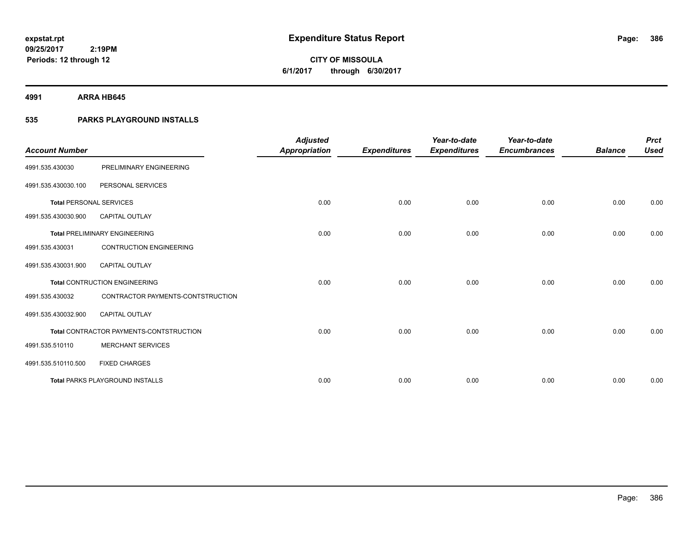**386**

**09/25/2017 2:19PM Periods: 12 through 12**

# **CITY OF MISSOULA 6/1/2017 through 6/30/2017**

**4991 ARRA HB645**

### **535 PARKS PLAYGROUND INSTALLS**

| <b>Account Number</b>          |                                         | <b>Adjusted</b>      |                     | Year-to-date        | Year-to-date        |                | <b>Prct</b> |
|--------------------------------|-----------------------------------------|----------------------|---------------------|---------------------|---------------------|----------------|-------------|
|                                |                                         | <b>Appropriation</b> | <b>Expenditures</b> | <b>Expenditures</b> | <b>Encumbrances</b> | <b>Balance</b> | <b>Used</b> |
| 4991.535.430030                | PRELIMINARY ENGINEERING                 |                      |                     |                     |                     |                |             |
| 4991.535.430030.100            | PERSONAL SERVICES                       |                      |                     |                     |                     |                |             |
| <b>Total PERSONAL SERVICES</b> |                                         | 0.00                 | 0.00                | 0.00                | 0.00                | 0.00           | 0.00        |
| 4991.535.430030.900            | CAPITAL OUTLAY                          |                      |                     |                     |                     |                |             |
|                                | <b>Total PRELIMINARY ENGINEERING</b>    | 0.00                 | 0.00                | 0.00                | 0.00                | 0.00           | 0.00        |
| 4991.535.430031                | <b>CONTRUCTION ENGINEERING</b>          |                      |                     |                     |                     |                |             |
| 4991.535.430031.900            | <b>CAPITAL OUTLAY</b>                   |                      |                     |                     |                     |                |             |
|                                | <b>Total CONTRUCTION ENGINEERING</b>    | 0.00                 | 0.00                | 0.00                | 0.00                | 0.00           | 0.00        |
| 4991.535.430032                | CONTRACTOR PAYMENTS-CONTSTRUCTION       |                      |                     |                     |                     |                |             |
| 4991.535.430032.900            | <b>CAPITAL OUTLAY</b>                   |                      |                     |                     |                     |                |             |
|                                | Total CONTRACTOR PAYMENTS-CONTSTRUCTION | 0.00                 | 0.00                | 0.00                | 0.00                | 0.00           | 0.00        |
| 4991.535.510110                | <b>MERCHANT SERVICES</b>                |                      |                     |                     |                     |                |             |
| 4991.535.510110.500            | <b>FIXED CHARGES</b>                    |                      |                     |                     |                     |                |             |
|                                | <b>Total PARKS PLAYGROUND INSTALLS</b>  | 0.00                 | 0.00                | 0.00                | 0.00                | 0.00           | 0.00        |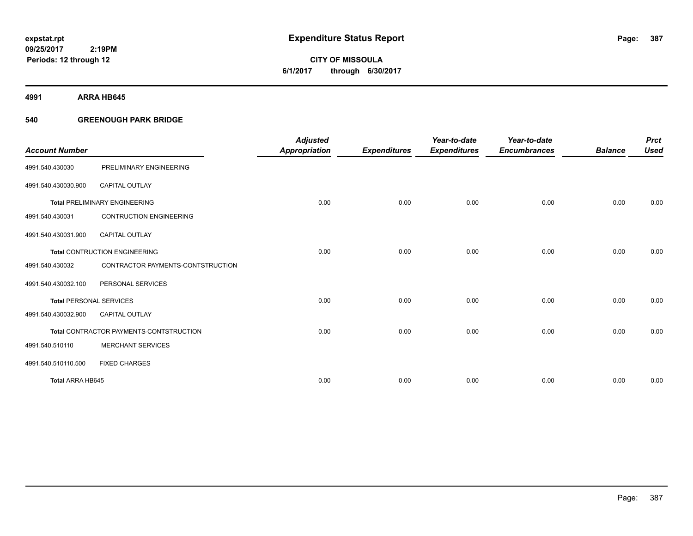# **CITY OF MISSOULA 6/1/2017 through 6/30/2017**

**4991 ARRA HB645**

### **540 GREENOUGH PARK BRIDGE**

|                                |                                         | <b>Adjusted</b>      |                     | Year-to-date        | Year-to-date        |                | <b>Prct</b> |
|--------------------------------|-----------------------------------------|----------------------|---------------------|---------------------|---------------------|----------------|-------------|
| <b>Account Number</b>          |                                         | <b>Appropriation</b> | <b>Expenditures</b> | <b>Expenditures</b> | <b>Encumbrances</b> | <b>Balance</b> | <b>Used</b> |
| 4991.540.430030                | PRELIMINARY ENGINEERING                 |                      |                     |                     |                     |                |             |
| 4991.540.430030.900            | <b>CAPITAL OUTLAY</b>                   |                      |                     |                     |                     |                |             |
|                                | <b>Total PRELIMINARY ENGINEERING</b>    | 0.00                 | 0.00                | 0.00                | 0.00                | 0.00           | 0.00        |
| 4991.540.430031                | <b>CONTRUCTION ENGINEERING</b>          |                      |                     |                     |                     |                |             |
| 4991.540.430031.900            | <b>CAPITAL OUTLAY</b>                   |                      |                     |                     |                     |                |             |
|                                | <b>Total CONTRUCTION ENGINEERING</b>    | 0.00                 | 0.00                | 0.00                | 0.00                | 0.00           | 0.00        |
| 4991.540.430032                | CONTRACTOR PAYMENTS-CONTSTRUCTION       |                      |                     |                     |                     |                |             |
| 4991.540.430032.100            | PERSONAL SERVICES                       |                      |                     |                     |                     |                |             |
| <b>Total PERSONAL SERVICES</b> |                                         | 0.00                 | 0.00                | 0.00                | 0.00                | 0.00           | 0.00        |
| 4991.540.430032.900            | <b>CAPITAL OUTLAY</b>                   |                      |                     |                     |                     |                |             |
|                                | Total CONTRACTOR PAYMENTS-CONTSTRUCTION | 0.00                 | 0.00                | 0.00                | 0.00                | 0.00           | 0.00        |
| 4991.540.510110                | <b>MERCHANT SERVICES</b>                |                      |                     |                     |                     |                |             |
| 4991.540.510110.500            | <b>FIXED CHARGES</b>                    |                      |                     |                     |                     |                |             |
| Total ARRA HB645               |                                         | 0.00                 | 0.00                | 0.00                | 0.00                | 0.00           | 0.00        |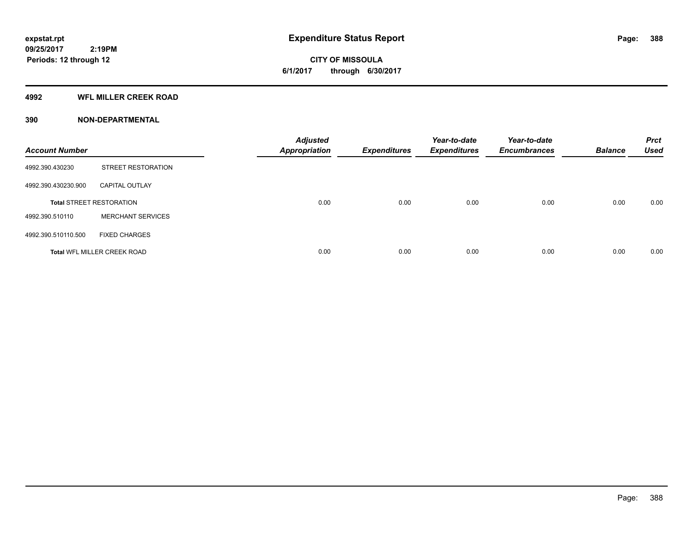**CITY OF MISSOULA 6/1/2017 through 6/30/2017**

#### **4992 WFL MILLER CREEK ROAD**

| <b>Account Number</b> |                                    | <b>Adjusted</b><br><b>Appropriation</b> | <b>Expenditures</b> | Year-to-date<br><b>Expenditures</b> | Year-to-date<br><b>Encumbrances</b> | <b>Balance</b> | <b>Prct</b><br><b>Used</b> |
|-----------------------|------------------------------------|-----------------------------------------|---------------------|-------------------------------------|-------------------------------------|----------------|----------------------------|
| 4992.390.430230       | <b>STREET RESTORATION</b>          |                                         |                     |                                     |                                     |                |                            |
| 4992.390.430230.900   | <b>CAPITAL OUTLAY</b>              |                                         |                     |                                     |                                     |                |                            |
|                       | <b>Total STREET RESTORATION</b>    | 0.00                                    | 0.00                | 0.00                                | 0.00                                | 0.00           | 0.00                       |
| 4992.390.510110       | <b>MERCHANT SERVICES</b>           |                                         |                     |                                     |                                     |                |                            |
| 4992.390.510110.500   | <b>FIXED CHARGES</b>               |                                         |                     |                                     |                                     |                |                            |
|                       | <b>Total WFL MILLER CREEK ROAD</b> | 0.00                                    | 0.00                | 0.00                                | 0.00                                | 0.00           | 0.00                       |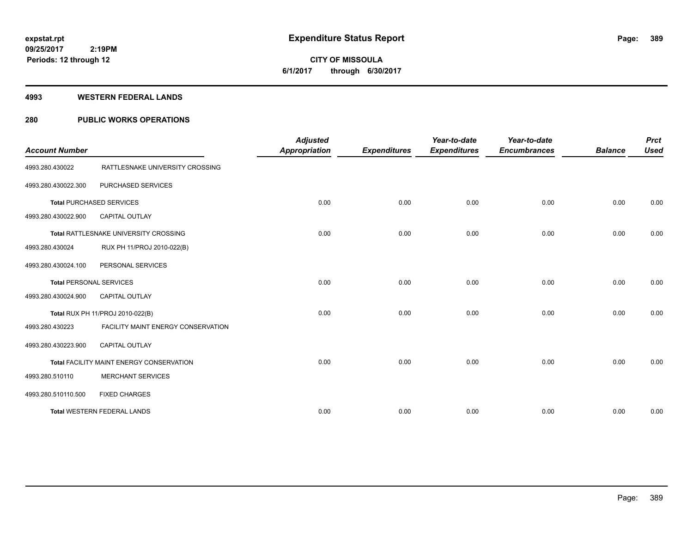**Periods: 12 through 12**

**CITY OF MISSOULA 6/1/2017 through 6/30/2017**

#### **4993 WESTERN FEDERAL LANDS**

 **2:19PM**

### **280 PUBLIC WORKS OPERATIONS**

| <b>Account Number</b>          |                                          | <b>Adjusted</b><br><b>Appropriation</b> | <b>Expenditures</b> | Year-to-date<br><b>Expenditures</b> | Year-to-date<br><b>Encumbrances</b> | <b>Balance</b> | <b>Prct</b><br><b>Used</b> |
|--------------------------------|------------------------------------------|-----------------------------------------|---------------------|-------------------------------------|-------------------------------------|----------------|----------------------------|
| 4993.280.430022                | RATTLESNAKE UNIVERSITY CROSSING          |                                         |                     |                                     |                                     |                |                            |
| 4993.280.430022.300            | PURCHASED SERVICES                       |                                         |                     |                                     |                                     |                |                            |
|                                | <b>Total PURCHASED SERVICES</b>          | 0.00                                    | 0.00                | 0.00                                | 0.00                                | 0.00           | 0.00                       |
| 4993.280.430022.900            | <b>CAPITAL OUTLAY</b>                    |                                         |                     |                                     |                                     |                |                            |
|                                | Total RATTLESNAKE UNIVERSITY CROSSING    | 0.00                                    | 0.00                | 0.00                                | 0.00                                | 0.00           | 0.00                       |
| 4993.280.430024                | RUX PH 11/PROJ 2010-022(B)               |                                         |                     |                                     |                                     |                |                            |
| 4993.280.430024.100            | PERSONAL SERVICES                        |                                         |                     |                                     |                                     |                |                            |
| <b>Total PERSONAL SERVICES</b> |                                          | 0.00                                    | 0.00                | 0.00                                | 0.00                                | 0.00           | 0.00                       |
| 4993.280.430024.900            | <b>CAPITAL OUTLAY</b>                    |                                         |                     |                                     |                                     |                |                            |
|                                | Total RUX PH 11/PROJ 2010-022(B)         | 0.00                                    | 0.00                | 0.00                                | 0.00                                | 0.00           | 0.00                       |
| 4993.280.430223                | FACILITY MAINT ENERGY CONSERVATION       |                                         |                     |                                     |                                     |                |                            |
| 4993.280.430223.900            | <b>CAPITAL OUTLAY</b>                    |                                         |                     |                                     |                                     |                |                            |
|                                | Total FACILITY MAINT ENERGY CONSERVATION | 0.00                                    | 0.00                | 0.00                                | 0.00                                | 0.00           | 0.00                       |
| 4993.280.510110                | <b>MERCHANT SERVICES</b>                 |                                         |                     |                                     |                                     |                |                            |
| 4993.280.510110.500            | <b>FIXED CHARGES</b>                     |                                         |                     |                                     |                                     |                |                            |
|                                | <b>Total WESTERN FEDERAL LANDS</b>       | 0.00                                    | 0.00                | 0.00                                | 0.00                                | 0.00           | 0.00                       |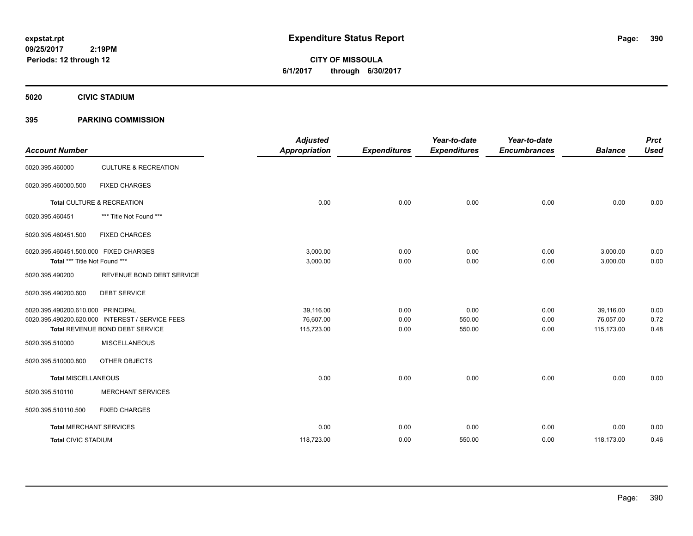**CITY OF MISSOULA 6/1/2017 through 6/30/2017**

**5020 CIVIC STADIUM**

### **395 PARKING COMMISSION**

| <b>Account Number</b>                                                  |                                                                                    | <b>Adjusted</b><br><b>Appropriation</b> | <b>Expenditures</b>  | Year-to-date<br><b>Expenditures</b> | Year-to-date<br><b>Encumbrances</b> | <b>Balance</b>                       | <b>Prct</b><br><b>Used</b> |
|------------------------------------------------------------------------|------------------------------------------------------------------------------------|-----------------------------------------|----------------------|-------------------------------------|-------------------------------------|--------------------------------------|----------------------------|
| 5020.395.460000                                                        | <b>CULTURE &amp; RECREATION</b>                                                    |                                         |                      |                                     |                                     |                                      |                            |
| 5020.395.460000.500                                                    | <b>FIXED CHARGES</b>                                                               |                                         |                      |                                     |                                     |                                      |                            |
|                                                                        | Total CULTURE & RECREATION                                                         | 0.00                                    | 0.00                 | 0.00                                | 0.00                                | 0.00                                 | 0.00                       |
| 5020.395.460451                                                        | *** Title Not Found ***                                                            |                                         |                      |                                     |                                     |                                      |                            |
| 5020.395.460451.500                                                    | <b>FIXED CHARGES</b>                                                               |                                         |                      |                                     |                                     |                                      |                            |
| 5020.395.460451.500.000 FIXED CHARGES<br>Total *** Title Not Found *** |                                                                                    | 3,000.00<br>3,000.00                    | 0.00<br>0.00         | 0.00<br>0.00                        | 0.00<br>0.00                        | 3,000.00<br>3,000.00                 | 0.00<br>0.00               |
| 5020.395.490200                                                        | REVENUE BOND DEBT SERVICE                                                          |                                         |                      |                                     |                                     |                                      |                            |
| 5020.395.490200.600                                                    | <b>DEBT SERVICE</b>                                                                |                                         |                      |                                     |                                     |                                      |                            |
| 5020.395.490200.610.000 PRINCIPAL                                      | 5020.395.490200.620.000 INTEREST / SERVICE FEES<br>Total REVENUE BOND DEBT SERVICE | 39,116.00<br>76,607.00<br>115,723.00    | 0.00<br>0.00<br>0.00 | 0.00<br>550.00<br>550.00            | 0.00<br>0.00<br>0.00                | 39,116.00<br>76,057.00<br>115,173.00 | 0.00<br>0.72<br>0.48       |
| 5020.395.510000                                                        | <b>MISCELLANEOUS</b>                                                               |                                         |                      |                                     |                                     |                                      |                            |
| 5020.395.510000.800                                                    | OTHER OBJECTS                                                                      |                                         |                      |                                     |                                     |                                      |                            |
| <b>Total MISCELLANEOUS</b>                                             |                                                                                    | 0.00                                    | 0.00                 | 0.00                                | 0.00                                | 0.00                                 | 0.00                       |
| 5020.395.510110                                                        | <b>MERCHANT SERVICES</b>                                                           |                                         |                      |                                     |                                     |                                      |                            |
| 5020.395.510110.500                                                    | <b>FIXED CHARGES</b>                                                               |                                         |                      |                                     |                                     |                                      |                            |
| <b>Total MERCHANT SERVICES</b>                                         |                                                                                    | 0.00                                    | 0.00                 | 0.00                                | 0.00                                | 0.00                                 | 0.00                       |
| <b>Total CIVIC STADIUM</b>                                             |                                                                                    | 118,723.00                              | 0.00                 | 550.00                              | 0.00                                | 118,173.00                           | 0.46                       |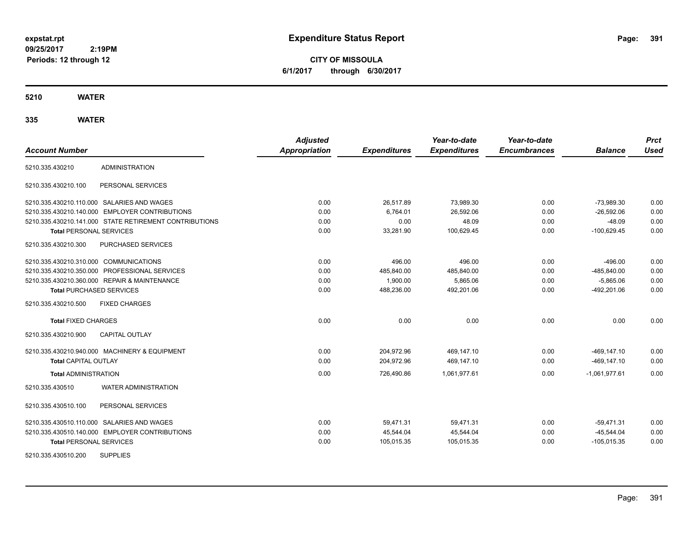**CITY OF MISSOULA 6/1/2017 through 6/30/2017**

**5210 WATER**

| <b>Account Number</b>                  |                                                        | <b>Adjusted</b><br><b>Appropriation</b> | <b>Expenditures</b> | Year-to-date<br><b>Expenditures</b> | Year-to-date<br><b>Encumbrances</b> | <b>Balance</b>  | <b>Prct</b><br><b>Used</b> |
|----------------------------------------|--------------------------------------------------------|-----------------------------------------|---------------------|-------------------------------------|-------------------------------------|-----------------|----------------------------|
| 5210.335.430210                        | <b>ADMINISTRATION</b>                                  |                                         |                     |                                     |                                     |                 |                            |
|                                        |                                                        |                                         |                     |                                     |                                     |                 |                            |
| 5210.335.430210.100                    | PERSONAL SERVICES                                      |                                         |                     |                                     |                                     |                 |                            |
|                                        | 5210.335.430210.110.000 SALARIES AND WAGES             | 0.00                                    | 26,517.89           | 73,989.30                           | 0.00                                | $-73,989.30$    | 0.00                       |
|                                        | 5210.335.430210.140.000 EMPLOYER CONTRIBUTIONS         | 0.00                                    | 6,764.01            | 26,592.06                           | 0.00                                | $-26,592.06$    | 0.00                       |
|                                        | 5210.335.430210.141.000 STATE RETIREMENT CONTRIBUTIONS | 0.00                                    | 0.00                | 48.09                               | 0.00                                | $-48.09$        | 0.00                       |
| <b>Total PERSONAL SERVICES</b>         |                                                        | 0.00                                    | 33,281.90           | 100,629.45                          | 0.00                                | $-100,629.45$   | 0.00                       |
| 5210.335.430210.300                    | PURCHASED SERVICES                                     |                                         |                     |                                     |                                     |                 |                            |
| 5210.335.430210.310.000 COMMUNICATIONS |                                                        | 0.00                                    | 496.00              | 496.00                              | 0.00                                | $-496.00$       | 0.00                       |
|                                        | 5210.335.430210.350.000 PROFESSIONAL SERVICES          | 0.00                                    | 485,840.00          | 485,840.00                          | 0.00                                | -485,840.00     | 0.00                       |
|                                        | 5210.335.430210.360.000 REPAIR & MAINTENANCE           | 0.00                                    | 1,900.00            | 5,865.06                            | 0.00                                | $-5,865.06$     | 0.00                       |
| <b>Total PURCHASED SERVICES</b>        |                                                        | 0.00                                    | 488,236.00          | 492,201.06                          | 0.00                                | -492,201.06     | 0.00                       |
| 5210.335.430210.500                    | <b>FIXED CHARGES</b>                                   |                                         |                     |                                     |                                     |                 |                            |
| <b>Total FIXED CHARGES</b>             |                                                        | 0.00                                    | 0.00                | 0.00                                | 0.00                                | 0.00            | 0.00                       |
| 5210.335.430210.900                    | <b>CAPITAL OUTLAY</b>                                  |                                         |                     |                                     |                                     |                 |                            |
|                                        | 5210.335.430210.940.000 MACHINERY & EQUIPMENT          | 0.00                                    | 204,972.96          | 469.147.10                          | 0.00                                | $-469.147.10$   | 0.00                       |
| <b>Total CAPITAL OUTLAY</b>            |                                                        | 0.00                                    | 204,972.96          | 469,147.10                          | 0.00                                | $-469, 147.10$  | 0.00                       |
| <b>Total ADMINISTRATION</b>            |                                                        | 0.00                                    | 726,490.86          | 1,061,977.61                        | 0.00                                | $-1,061,977.61$ | 0.00                       |
| 5210.335.430510                        | <b>WATER ADMINISTRATION</b>                            |                                         |                     |                                     |                                     |                 |                            |
| 5210.335.430510.100                    | PERSONAL SERVICES                                      |                                         |                     |                                     |                                     |                 |                            |
|                                        | 5210.335.430510.110.000 SALARIES AND WAGES             | 0.00                                    | 59,471.31           | 59,471.31                           | 0.00                                | $-59,471.31$    | 0.00                       |
|                                        | 5210.335.430510.140.000 EMPLOYER CONTRIBUTIONS         | 0.00                                    | 45,544.04           | 45,544.04                           | 0.00                                | $-45,544.04$    | 0.00                       |
| <b>Total PERSONAL SERVICES</b>         |                                                        | 0.00                                    | 105,015.35          | 105,015.35                          | 0.00                                | $-105,015.35$   | 0.00                       |
| 5210.335.430510.200                    | <b>SUPPLIES</b>                                        |                                         |                     |                                     |                                     |                 |                            |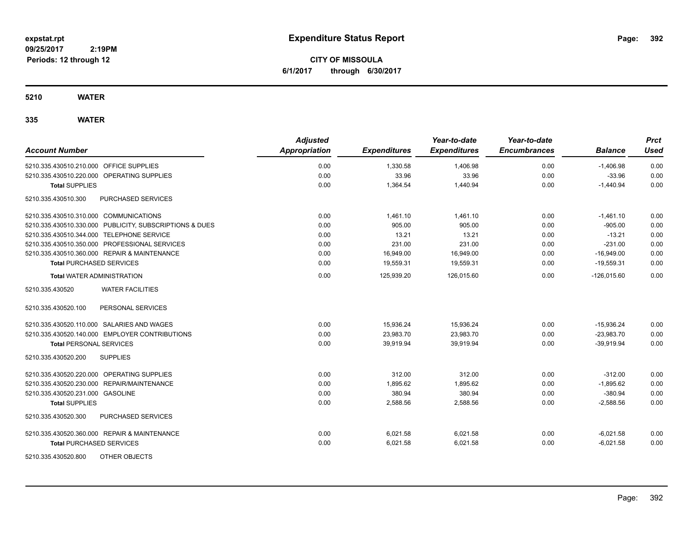**CITY OF MISSOULA 6/1/2017 through 6/30/2017**

**5210 WATER**

| <b>Account Number</b>                                   | <b>Adjusted</b><br><b>Appropriation</b> | <b>Expenditures</b> | Year-to-date<br><b>Expenditures</b> | Year-to-date<br><b>Encumbrances</b> | <b>Balance</b> | <b>Prct</b><br><b>Used</b> |
|---------------------------------------------------------|-----------------------------------------|---------------------|-------------------------------------|-------------------------------------|----------------|----------------------------|
| 5210.335.430510.210.000 OFFICE SUPPLIES                 | 0.00                                    | 1,330.58            | 1,406.98                            | 0.00                                | $-1,406.98$    | 0.00                       |
| 5210.335.430510.220.000 OPERATING SUPPLIES              | 0.00                                    | 33.96               | 33.96                               | 0.00                                | $-33.96$       | 0.00                       |
| <b>Total SUPPLIES</b>                                   | 0.00                                    | 1,364.54            | 1,440.94                            | 0.00                                | $-1,440.94$    | 0.00                       |
| 5210.335.430510.300<br><b>PURCHASED SERVICES</b>        |                                         |                     |                                     |                                     |                |                            |
| 5210.335.430510.310.000 COMMUNICATIONS                  | 0.00                                    | 1,461.10            | 1,461.10                            | 0.00                                | $-1,461.10$    | 0.00                       |
| 5210.335.430510.330.000 PUBLICITY, SUBSCRIPTIONS & DUES | 0.00                                    | 905.00              | 905.00                              | 0.00                                | $-905.00$      | 0.00                       |
| 5210.335.430510.344.000 TELEPHONE SERVICE               | 0.00                                    | 13.21               | 13.21                               | 0.00                                | $-13.21$       | 0.00                       |
| 5210.335.430510.350.000 PROFESSIONAL SERVICES           | 0.00                                    | 231.00              | 231.00                              | 0.00                                | $-231.00$      | 0.00                       |
| 5210.335.430510.360.000 REPAIR & MAINTENANCE            | 0.00                                    | 16,949.00           | 16,949.00                           | 0.00                                | $-16,949.00$   | 0.00                       |
| <b>Total PURCHASED SERVICES</b>                         | 0.00                                    | 19,559.31           | 19,559.31                           | 0.00                                | $-19,559.31$   | 0.00                       |
| <b>Total WATER ADMINISTRATION</b>                       | 0.00                                    | 125,939.20          | 126,015.60                          | 0.00                                | $-126,015.60$  | 0.00                       |
| 5210.335.430520<br><b>WATER FACILITIES</b>              |                                         |                     |                                     |                                     |                |                            |
| PERSONAL SERVICES<br>5210.335.430520.100                |                                         |                     |                                     |                                     |                |                            |
| 5210.335.430520.110.000 SALARIES AND WAGES              | 0.00                                    | 15,936.24           | 15,936.24                           | 0.00                                | $-15,936.24$   | 0.00                       |
| 5210.335.430520.140.000 EMPLOYER CONTRIBUTIONS          | 0.00                                    | 23,983.70           | 23,983.70                           | 0.00                                | $-23.983.70$   | 0.00                       |
| <b>Total PERSONAL SERVICES</b>                          | 0.00                                    | 39,919.94           | 39,919.94                           | 0.00                                | $-39.919.94$   | 0.00                       |
| <b>SUPPLIES</b><br>5210.335.430520.200                  |                                         |                     |                                     |                                     |                |                            |
| 5210.335.430520.220.000 OPERATING SUPPLIES              | 0.00                                    | 312.00              | 312.00                              | 0.00                                | $-312.00$      | 0.00                       |
| 5210.335.430520.230.000 REPAIR/MAINTENANCE              | 0.00                                    | 1,895.62            | 1,895.62                            | 0.00                                | $-1,895.62$    | 0.00                       |
| 5210.335.430520.231.000 GASOLINE                        | 0.00                                    | 380.94              | 380.94                              | 0.00                                | $-380.94$      | 0.00                       |
| <b>Total SUPPLIES</b>                                   | 0.00                                    | 2,588.56            | 2,588.56                            | 0.00                                | $-2,588.56$    | 0.00                       |
| <b>PURCHASED SERVICES</b><br>5210.335.430520.300        |                                         |                     |                                     |                                     |                |                            |
| 5210.335.430520.360.000 REPAIR & MAINTENANCE            | 0.00                                    | 6,021.58            | 6,021.58                            | 0.00                                | $-6,021.58$    | 0.00                       |
| <b>Total PURCHASED SERVICES</b>                         | 0.00                                    | 6,021.58            | 6,021.58                            | 0.00                                | $-6,021.58$    | 0.00                       |
| 5210.335.430520.800<br>OTHER OBJECTS                    |                                         |                     |                                     |                                     |                |                            |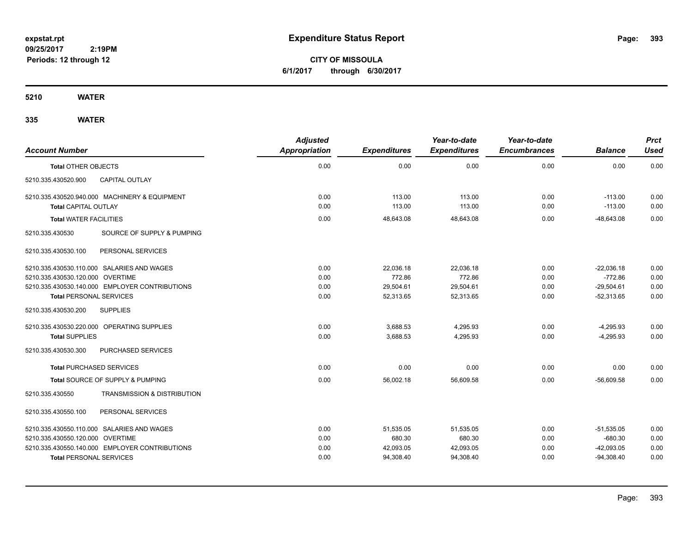**CITY OF MISSOULA 6/1/2017 through 6/30/2017**

**5210 WATER**

| <b>Account Number</b>            |                                                | <b>Adjusted</b><br><b>Appropriation</b> | <b>Expenditures</b> | Year-to-date<br><b>Expenditures</b> | Year-to-date<br><b>Encumbrances</b> | <b>Balance</b> | <b>Prct</b><br><b>Used</b> |
|----------------------------------|------------------------------------------------|-----------------------------------------|---------------------|-------------------------------------|-------------------------------------|----------------|----------------------------|
| <b>Total OTHER OBJECTS</b>       |                                                | 0.00                                    | 0.00                | 0.00                                | 0.00                                | 0.00           | 0.00                       |
| 5210.335.430520.900              | CAPITAL OUTLAY                                 |                                         |                     |                                     |                                     |                |                            |
|                                  | 5210.335.430520.940.000 MACHINERY & EQUIPMENT  | 0.00                                    | 113.00              | 113.00                              | 0.00                                | $-113.00$      | 0.00                       |
| <b>Total CAPITAL OUTLAY</b>      |                                                | 0.00                                    | 113.00              | 113.00                              | 0.00                                | $-113.00$      | 0.00                       |
| <b>Total WATER FACILITIES</b>    |                                                | 0.00                                    | 48,643.08           | 48,643.08                           | 0.00                                | $-48,643.08$   | 0.00                       |
| 5210.335.430530                  | SOURCE OF SUPPLY & PUMPING                     |                                         |                     |                                     |                                     |                |                            |
| 5210.335.430530.100              | PERSONAL SERVICES                              |                                         |                     |                                     |                                     |                |                            |
|                                  | 5210.335.430530.110.000 SALARIES AND WAGES     | 0.00                                    | 22,036.18           | 22,036.18                           | 0.00                                | $-22,036.18$   | 0.00                       |
| 5210.335.430530.120.000 OVERTIME |                                                | 0.00                                    | 772.86              | 772.86                              | 0.00                                | $-772.86$      | 0.00                       |
|                                  | 5210.335.430530.140.000 EMPLOYER CONTRIBUTIONS | 0.00                                    | 29,504.61           | 29,504.61                           | 0.00                                | $-29,504.61$   | 0.00                       |
| <b>Total PERSONAL SERVICES</b>   |                                                | 0.00                                    | 52,313.65           | 52,313.65                           | 0.00                                | $-52,313.65$   | 0.00                       |
| 5210.335.430530.200              | <b>SUPPLIES</b>                                |                                         |                     |                                     |                                     |                |                            |
|                                  | 5210.335.430530.220.000 OPERATING SUPPLIES     | 0.00                                    | 3,688.53            | 4,295.93                            | 0.00                                | $-4,295.93$    | 0.00                       |
| <b>Total SUPPLIES</b>            |                                                | 0.00                                    | 3.688.53            | 4.295.93                            | 0.00                                | $-4.295.93$    | 0.00                       |
| 5210.335.430530.300              | PURCHASED SERVICES                             |                                         |                     |                                     |                                     |                |                            |
| <b>Total PURCHASED SERVICES</b>  |                                                | 0.00                                    | 0.00                | 0.00                                | 0.00                                | 0.00           | 0.00                       |
|                                  | Total SOURCE OF SUPPLY & PUMPING               | 0.00                                    | 56,002.18           | 56,609.58                           | 0.00                                | $-56,609.58$   | 0.00                       |
| 5210.335.430550                  | <b>TRANSMISSION &amp; DISTRIBUTION</b>         |                                         |                     |                                     |                                     |                |                            |
| 5210.335.430550.100              | PERSONAL SERVICES                              |                                         |                     |                                     |                                     |                |                            |
|                                  | 5210.335.430550.110.000 SALARIES AND WAGES     | 0.00                                    | 51,535.05           | 51,535.05                           | 0.00                                | $-51,535.05$   | 0.00                       |
| 5210.335.430550.120.000 OVERTIME |                                                | 0.00                                    | 680.30              | 680.30                              | 0.00                                | $-680.30$      | 0.00                       |
|                                  | 5210.335.430550.140.000 EMPLOYER CONTRIBUTIONS | 0.00                                    | 42,093.05           | 42,093.05                           | 0.00                                | $-42,093.05$   | 0.00                       |
| <b>Total PERSONAL SERVICES</b>   |                                                | 0.00                                    | 94,308.40           | 94,308.40                           | 0.00                                | $-94,308.40$   | 0.00                       |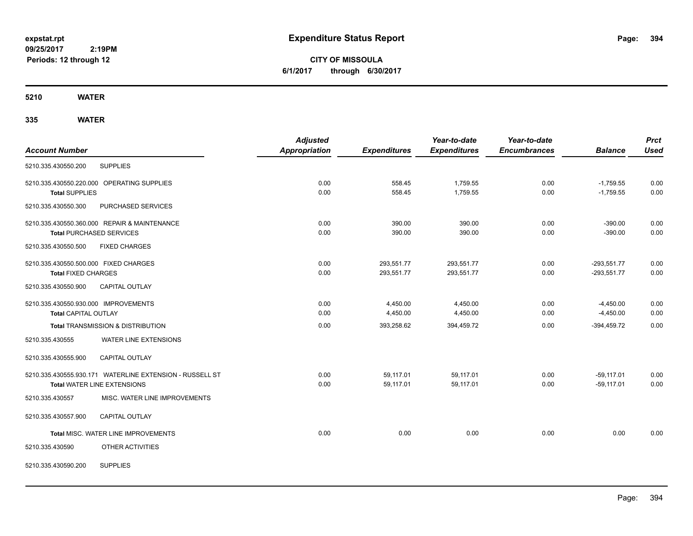**CITY OF MISSOULA 6/1/2017 through 6/30/2017**

**5210 WATER**

|                                                          |                               | <b>Adjusted</b>      |                     | Year-to-date        | Year-to-date        |                | <b>Prct</b> |
|----------------------------------------------------------|-------------------------------|----------------------|---------------------|---------------------|---------------------|----------------|-------------|
| <b>Account Number</b>                                    |                               | <b>Appropriation</b> | <b>Expenditures</b> | <b>Expenditures</b> | <b>Encumbrances</b> | <b>Balance</b> | <b>Used</b> |
| <b>SUPPLIES</b><br>5210.335.430550.200                   |                               |                      |                     |                     |                     |                |             |
| 5210.335.430550.220.000 OPERATING SUPPLIES               |                               | 0.00                 | 558.45              | 1,759.55            | 0.00                | $-1,759.55$    | 0.00        |
| <b>Total SUPPLIES</b>                                    |                               | 0.00                 | 558.45              | 1,759.55            | 0.00                | $-1,759.55$    | 0.00        |
| 5210.335.430550.300                                      | PURCHASED SERVICES            |                      |                     |                     |                     |                |             |
| 5210.335.430550.360.000 REPAIR & MAINTENANCE             |                               | 0.00                 | 390.00              | 390.00              | 0.00                | $-390.00$      | 0.00        |
| <b>Total PURCHASED SERVICES</b>                          |                               | 0.00                 | 390.00              | 390.00              | 0.00                | $-390.00$      | 0.00        |
| 5210.335.430550.500<br><b>FIXED CHARGES</b>              |                               |                      |                     |                     |                     |                |             |
| 5210.335.430550.500.000 FIXED CHARGES                    |                               | 0.00                 | 293,551.77          | 293,551.77          | 0.00                | $-293,551.77$  | 0.00        |
| <b>Total FIXED CHARGES</b>                               |                               | 0.00                 | 293,551.77          | 293,551.77          | 0.00                | $-293,551.77$  | 0.00        |
| 5210.335.430550.900<br><b>CAPITAL OUTLAY</b>             |                               |                      |                     |                     |                     |                |             |
| 5210.335.430550.930.000 IMPROVEMENTS                     |                               | 0.00                 | 4,450.00            | 4,450.00            | 0.00                | $-4,450.00$    | 0.00        |
| <b>Total CAPITAL OUTLAY</b>                              |                               | 0.00                 | 4,450.00            | 4,450.00            | 0.00                | $-4,450.00$    | 0.00        |
| <b>Total TRANSMISSION &amp; DISTRIBUTION</b>             |                               | 0.00                 | 393,258.62          | 394,459.72          | 0.00                | $-394,459.72$  | 0.00        |
| 5210.335.430555                                          | WATER LINE EXTENSIONS         |                      |                     |                     |                     |                |             |
| 5210.335.430555.900<br><b>CAPITAL OUTLAY</b>             |                               |                      |                     |                     |                     |                |             |
| 5210.335.430555.930.171 WATERLINE EXTENSION - RUSSELL ST |                               | 0.00                 | 59,117.01           | 59,117.01           | 0.00                | $-59,117.01$   | 0.00        |
| Total WATER LINE EXTENSIONS                              |                               | 0.00                 | 59,117.01           | 59,117.01           | 0.00                | $-59, 117.01$  | 0.00        |
| 5210.335.430557                                          | MISC. WATER LINE IMPROVEMENTS |                      |                     |                     |                     |                |             |
| 5210.335.430557.900<br><b>CAPITAL OUTLAY</b>             |                               |                      |                     |                     |                     |                |             |
| Total MISC. WATER LINE IMPROVEMENTS                      |                               | 0.00                 | 0.00                | 0.00                | 0.00                | 0.00           | 0.00        |
| 5210.335.430590                                          | OTHER ACTIVITIES              |                      |                     |                     |                     |                |             |
| <b>SUPPLIES</b><br>5210.335.430590.200                   |                               |                      |                     |                     |                     |                |             |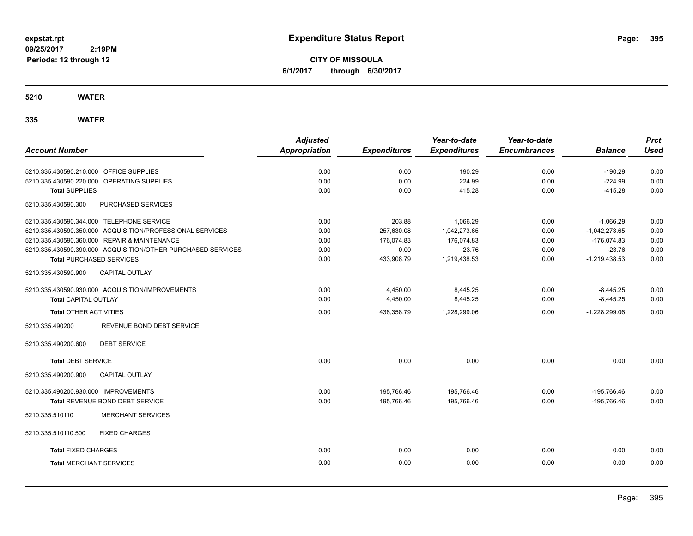**CITY OF MISSOULA 6/1/2017 through 6/30/2017**

**5210 WATER**

|                                                              | <b>Adjusted</b>      |                     | Year-to-date        | Year-to-date        |                 | <b>Prct</b> |
|--------------------------------------------------------------|----------------------|---------------------|---------------------|---------------------|-----------------|-------------|
| <b>Account Number</b>                                        | <b>Appropriation</b> | <b>Expenditures</b> | <b>Expenditures</b> | <b>Encumbrances</b> | <b>Balance</b>  | <b>Used</b> |
|                                                              |                      |                     |                     |                     |                 |             |
| 5210.335.430590.210.000 OFFICE SUPPLIES                      | 0.00                 | 0.00                | 190.29              | 0.00                | $-190.29$       | 0.00        |
| 5210.335.430590.220.000 OPERATING SUPPLIES                   | 0.00                 | 0.00                | 224.99              | 0.00                | $-224.99$       | 0.00        |
| <b>Total SUPPLIES</b>                                        | 0.00                 | 0.00                | 415.28              | 0.00                | $-415.28$       | 0.00        |
| PURCHASED SERVICES<br>5210.335.430590.300                    |                      |                     |                     |                     |                 |             |
| 5210.335.430590.344.000 TELEPHONE SERVICE                    | 0.00                 | 203.88              | 1,066.29            | 0.00                | $-1,066.29$     | 0.00        |
| 5210.335.430590.350.000 ACQUISITION/PROFESSIONAL SERVICES    | 0.00                 | 257,630.08          | 1,042,273.65        | 0.00                | $-1,042,273.65$ | 0.00        |
| 5210.335.430590.360.000 REPAIR & MAINTENANCE                 | 0.00                 | 176,074.83          | 176,074.83          | 0.00                | $-176,074.83$   | 0.00        |
| 5210.335.430590.390.000 ACQUISITION/OTHER PURCHASED SERVICES | 0.00                 | 0.00                | 23.76               | 0.00                | $-23.76$        | 0.00        |
| <b>Total PURCHASED SERVICES</b>                              | 0.00                 | 433,908.79          | 1,219,438.53        | 0.00                | $-1,219,438.53$ | 0.00        |
| <b>CAPITAL OUTLAY</b><br>5210.335.430590.900                 |                      |                     |                     |                     |                 |             |
| 5210.335.430590.930.000 ACQUISITION/IMPROVEMENTS             | 0.00                 | 4,450.00            | 8,445.25            | 0.00                | $-8,445.25$     | 0.00        |
| <b>Total CAPITAL OUTLAY</b>                                  | 0.00                 | 4,450.00            | 8,445.25            | 0.00                | $-8,445.25$     | 0.00        |
| <b>Total OTHER ACTIVITIES</b>                                | 0.00                 | 438,358.79          | 1,228,299.06        | 0.00                | $-1,228,299.06$ | 0.00        |
| REVENUE BOND DEBT SERVICE<br>5210.335.490200                 |                      |                     |                     |                     |                 |             |
| <b>DEBT SERVICE</b><br>5210.335.490200.600                   |                      |                     |                     |                     |                 |             |
| <b>Total DEBT SERVICE</b>                                    | 0.00                 | 0.00                | 0.00                | 0.00                | 0.00            | 0.00        |
| CAPITAL OUTLAY<br>5210.335.490200.900                        |                      |                     |                     |                     |                 |             |
| 5210.335.490200.930.000 IMPROVEMENTS                         | 0.00                 | 195.766.46          | 195.766.46          | 0.00                | $-195.766.46$   | 0.00        |
| Total REVENUE BOND DEBT SERVICE                              | 0.00                 | 195,766.46          | 195,766.46          | 0.00                | -195,766.46     | 0.00        |
| 5210.335.510110<br><b>MERCHANT SERVICES</b>                  |                      |                     |                     |                     |                 |             |
| <b>FIXED CHARGES</b><br>5210.335.510110.500                  |                      |                     |                     |                     |                 |             |
| <b>Total FIXED CHARGES</b>                                   | 0.00                 | 0.00                | 0.00                | 0.00                | 0.00            | 0.00        |
| <b>Total MERCHANT SERVICES</b>                               | 0.00                 | 0.00                | 0.00                | 0.00                | 0.00            | 0.00        |
|                                                              |                      |                     |                     |                     |                 |             |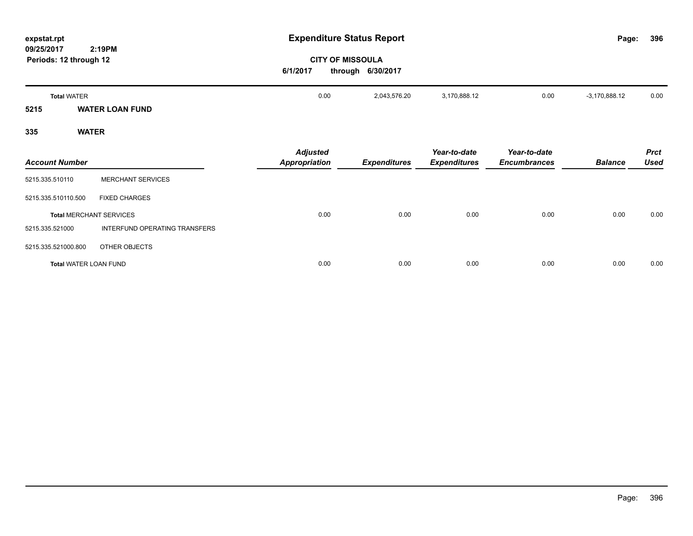| expstat.rpt                                          |                                         | <b>Expenditure Status Report</b>             |                                     |                                     | Page:           | 396                        |
|------------------------------------------------------|-----------------------------------------|----------------------------------------------|-------------------------------------|-------------------------------------|-----------------|----------------------------|
| 09/25/2017<br>2:19PM<br>Periods: 12 through 12       | 6/1/2017                                | <b>CITY OF MISSOULA</b><br>through 6/30/2017 |                                     |                                     |                 |                            |
| <b>Total WATER</b><br><b>WATER LOAN FUND</b><br>5215 | 0.00                                    | 2,043,576.20                                 | 3,170,888.12                        | 0.00                                | $-3,170,888.12$ | 0.00                       |
| <b>WATER</b><br>335                                  |                                         |                                              |                                     |                                     |                 |                            |
| <b>Account Number</b>                                | <b>Adjusted</b><br><b>Appropriation</b> | <b>Expenditures</b>                          | Year-to-date<br><b>Expenditures</b> | Year-to-date<br><b>Encumbrances</b> | <b>Balance</b>  | <b>Prct</b><br><b>Used</b> |
| <b>MERCHANT SERVICES</b><br>5215.335.510110          |                                         |                                              |                                     |                                     |                 |                            |
| 5215.335.510110.500<br><b>FIXED CHARGES</b>          |                                         |                                              |                                     |                                     |                 |                            |
| <b>Total MERCHANT SERVICES</b>                       | 0.00                                    | 0.00                                         | 0.00                                | 0.00                                | 0.00            | 0.00                       |
| INTERFUND OPERATING TRANSFERS<br>5215.335.521000     |                                         |                                              |                                     |                                     |                 |                            |
| 5215.335.521000.800<br>OTHER OBJECTS                 |                                         |                                              |                                     |                                     |                 |                            |
| <b>Total WATER LOAN FUND</b>                         | 0.00                                    | 0.00                                         | 0.00                                | 0.00                                | 0.00            | 0.00                       |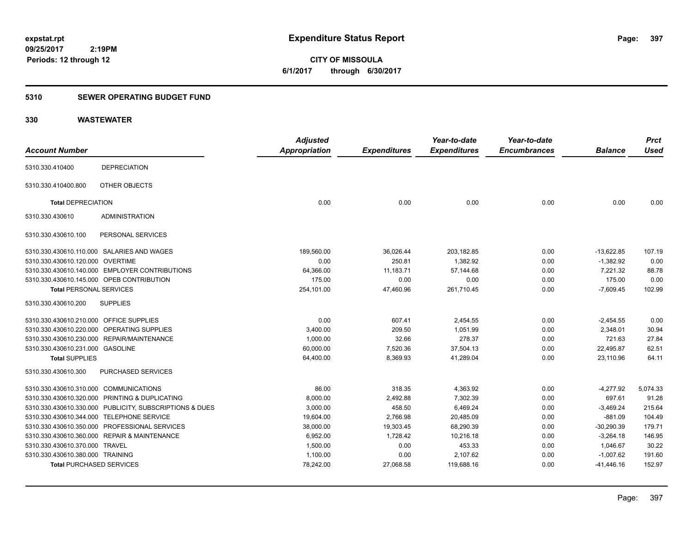**CITY OF MISSOULA 6/1/2017 through 6/30/2017**

### **5310 SEWER OPERATING BUDGET FUND**

| <b>Account Number</b>                          |                                                         | <b>Adjusted</b><br>Appropriation | <b>Expenditures</b> | Year-to-date<br><b>Expenditures</b> | Year-to-date<br><b>Encumbrances</b> | <b>Balance</b> | <b>Prct</b><br><b>Used</b> |
|------------------------------------------------|---------------------------------------------------------|----------------------------------|---------------------|-------------------------------------|-------------------------------------|----------------|----------------------------|
| 5310.330.410400                                | <b>DEPRECIATION</b>                                     |                                  |                     |                                     |                                     |                |                            |
| 5310.330.410400.800                            | OTHER OBJECTS                                           |                                  |                     |                                     |                                     |                |                            |
| <b>Total DEPRECIATION</b>                      |                                                         | 0.00                             | 0.00                | 0.00                                | 0.00                                | 0.00           | 0.00                       |
| 5310.330.430610                                | <b>ADMINISTRATION</b>                                   |                                  |                     |                                     |                                     |                |                            |
| 5310.330.430610.100                            | PERSONAL SERVICES                                       |                                  |                     |                                     |                                     |                |                            |
| 5310.330.430610.110.000 SALARIES AND WAGES     |                                                         | 189,560.00                       | 36,026.44           | 203,182.85                          | 0.00                                | $-13,622.85$   | 107.19                     |
| 5310.330.430610.120.000 OVERTIME               |                                                         | 0.00                             | 250.81              | 1,382.92                            | 0.00                                | $-1,382.92$    | 0.00                       |
| 5310.330.430610.140.000 EMPLOYER CONTRIBUTIONS |                                                         | 64,366.00                        | 11,183.71           | 57,144.68                           | 0.00                                | 7,221.32       | 88.78                      |
| 5310.330.430610.145.000 OPEB CONTRIBUTION      |                                                         | 175.00                           | 0.00                | 0.00                                | 0.00                                | 175.00         | 0.00                       |
| <b>Total PERSONAL SERVICES</b>                 |                                                         | 254,101.00                       | 47,460.96           | 261,710.45                          | 0.00                                | $-7,609.45$    | 102.99                     |
| 5310.330.430610.200                            | <b>SUPPLIES</b>                                         |                                  |                     |                                     |                                     |                |                            |
| 5310.330.430610.210.000 OFFICE SUPPLIES        |                                                         | 0.00                             | 607.41              | 2,454.55                            | 0.00                                | $-2,454.55$    | 0.00                       |
| 5310.330.430610.220.000 OPERATING SUPPLIES     |                                                         | 3,400.00                         | 209.50              | 1,051.99                            | 0.00                                | 2,348.01       | 30.94                      |
| 5310.330.430610.230.000 REPAIR/MAINTENANCE     |                                                         | 1,000.00                         | 32.66               | 278.37                              | 0.00                                | 721.63         | 27.84                      |
| 5310.330.430610.231.000 GASOLINE               |                                                         | 60,000.00                        | 7,520.36            | 37,504.13                           | 0.00                                | 22,495.87      | 62.51                      |
| <b>Total SUPPLIES</b>                          |                                                         | 64,400.00                        | 8,369.93            | 41,289.04                           | 0.00                                | 23,110.96      | 64.11                      |
| 5310.330.430610.300                            | PURCHASED SERVICES                                      |                                  |                     |                                     |                                     |                |                            |
| 5310.330.430610.310.000 COMMUNICATIONS         |                                                         | 86.00                            | 318.35              | 4,363.92                            | 0.00                                | $-4,277.92$    | 5,074.33                   |
| 5310.330.430610.320.000 PRINTING & DUPLICATING |                                                         | 8,000.00                         | 2,492.88            | 7,302.39                            | 0.00                                | 697.61         | 91.28                      |
|                                                | 5310.330.430610.330.000 PUBLICITY, SUBSCRIPTIONS & DUES | 3,000.00                         | 458.50              | 6,469.24                            | 0.00                                | $-3,469.24$    | 215.64                     |
| 5310.330.430610.344.000 TELEPHONE SERVICE      |                                                         | 19,604.00                        | 2,766.98            | 20,485.09                           | 0.00                                | $-881.09$      | 104.49                     |
| 5310.330.430610.350.000 PROFESSIONAL SERVICES  |                                                         | 38,000.00                        | 19,303.45           | 68,290.39                           | 0.00                                | $-30,290.39$   | 179.71                     |
| 5310.330.430610.360.000 REPAIR & MAINTENANCE   |                                                         | 6,952.00                         | 1,728.42            | 10,216.18                           | 0.00                                | $-3,264.18$    | 146.95                     |
| 5310.330.430610.370.000 TRAVEL                 |                                                         | 1,500.00                         | 0.00                | 453.33                              | 0.00                                | 1,046.67       | 30.22                      |
| 5310.330.430610.380.000 TRAINING               |                                                         | 1,100.00                         | 0.00                | 2,107.62                            | 0.00                                | $-1,007.62$    | 191.60                     |
| <b>Total PURCHASED SERVICES</b>                |                                                         | 78,242.00                        | 27,068.58           | 119,688.16                          | 0.00                                | $-41,446.16$   | 152.97                     |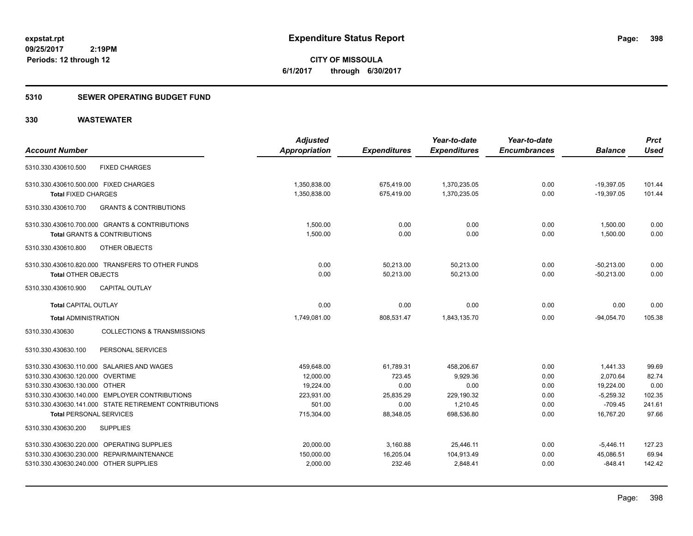**398**

**09/25/2017 2:19PM Periods: 12 through 12**

**CITY OF MISSOULA 6/1/2017 through 6/30/2017**

#### **5310 SEWER OPERATING BUDGET FUND**

|                                                           | <b>Adjusted</b> |                     | Year-to-date        | Year-to-date        |                | <b>Prct</b>     |
|-----------------------------------------------------------|-----------------|---------------------|---------------------|---------------------|----------------|-----------------|
| <b>Account Number</b>                                     | Appropriation   | <b>Expenditures</b> | <b>Expenditures</b> | <b>Encumbrances</b> | <b>Balance</b> | <b>Used</b>     |
| <b>FIXED CHARGES</b><br>5310.330.430610.500               |                 |                     |                     |                     |                |                 |
| 5310.330.430610.500.000 FIXED CHARGES                     | 1,350,838.00    | 675,419.00          | 1,370,235.05        | 0.00                | $-19,397.05$   | 101.44          |
| <b>Total FIXED CHARGES</b>                                | 1,350,838.00    | 675,419.00          | 1,370,235.05        | 0.00                | $-19,397.05$   | 101.44          |
| <b>GRANTS &amp; CONTRIBUTIONS</b><br>5310.330.430610.700  |                 |                     |                     |                     |                |                 |
| 5310.330.430610.700.000 GRANTS & CONTRIBUTIONS            | 1,500.00        | 0.00                | 0.00                | 0.00                | 1,500.00       | 0.00            |
| <b>Total GRANTS &amp; CONTRIBUTIONS</b>                   | 1,500.00        | 0.00                | 0.00                | 0.00                | 1,500.00       | 0.00            |
| OTHER OBJECTS<br>5310.330.430610.800                      |                 |                     |                     |                     |                |                 |
| 5310.330.430610.820.000 TRANSFERS TO OTHER FUNDS          | 0.00            | 50,213.00           | 50,213.00           | 0.00                | $-50,213.00$   | 0.00            |
| <b>Total OTHER OBJECTS</b>                                | 0.00            | 50,213.00           | 50,213.00           | 0.00                | $-50,213.00$   | 0.00            |
| <b>CAPITAL OUTLAY</b><br>5310.330.430610.900              |                 |                     |                     |                     |                |                 |
| <b>Total CAPITAL OUTLAY</b>                               | 0.00            | 0.00                | 0.00                | 0.00                | 0.00           | 0.00            |
| <b>Total ADMINISTRATION</b>                               | 1,749,081.00    | 808,531.47          | 1,843,135.70        | 0.00                | $-94,054.70$   | 105.38          |
| 5310.330.430630<br><b>COLLECTIONS &amp; TRANSMISSIONS</b> |                 |                     |                     |                     |                |                 |
| 5310.330.430630.100<br>PERSONAL SERVICES                  |                 |                     |                     |                     |                |                 |
| 5310.330.430630.110.000 SALARIES AND WAGES                | 459,648.00      | 61,789.31           | 458,206.67          | 0.00                | 1,441.33       | 99.69           |
| 5310.330.430630.120.000 OVERTIME                          | 12,000.00       | 723.45              | 9,929.36            | 0.00                | 2,070.64       | 82.74           |
| 5310.330.430630.130.000 OTHER                             | 19.224.00       | 0.00                | 0.00                | 0.00                | 19,224.00      | 0.00            |
| 5310.330.430630.140.000 EMPLOYER CONTRIBUTIONS            | 223,931.00      | 25,835.29           | 229,190.32          | 0.00                | $-5,259.32$    | 102.35          |
| 5310.330.430630.141.000 STATE RETIREMENT CONTRIBUTIONS    | 501.00          | 0.00                | 1,210.45            | 0.00                | $-709.45$      | 241.61<br>97.66 |
| <b>Total PERSONAL SERVICES</b>                            | 715,304.00      | 88,348.05           | 698,536.80          | 0.00                | 16,767.20      |                 |
| <b>SUPPLIES</b><br>5310.330.430630.200                    |                 |                     |                     |                     |                |                 |
| 5310.330.430630.220.000 OPERATING SUPPLIES                | 20,000.00       | 3,160.88            | 25,446.11           | 0.00                | $-5,446.11$    | 127.23          |
| 5310.330.430630.230.000 REPAIR/MAINTENANCE                | 150,000.00      | 16,205.04           | 104,913.49          | 0.00                | 45,086.51      | 69.94           |
| 5310.330.430630.240.000 OTHER SUPPLIES                    | 2,000.00        | 232.46              | 2.848.41            | 0.00                | $-848.41$      | 142.42          |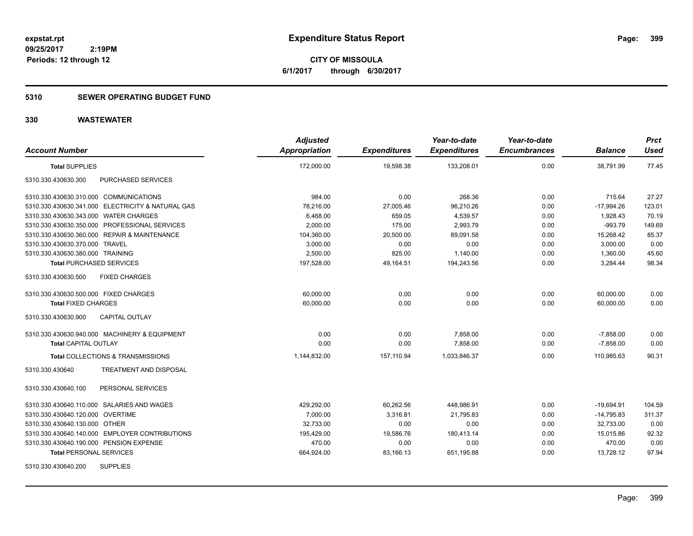**CITY OF MISSOULA 6/1/2017 through 6/30/2017**

### **5310 SEWER OPERATING BUDGET FUND**

| <b>Account Number</b>                             | <b>Adjusted</b><br>Appropriation | <b>Expenditures</b> | Year-to-date<br><b>Expenditures</b> | Year-to-date<br><b>Encumbrances</b> | <b>Balance</b> | <b>Prct</b><br><b>Used</b> |
|---------------------------------------------------|----------------------------------|---------------------|-------------------------------------|-------------------------------------|----------------|----------------------------|
| <b>Total SUPPLIES</b>                             | 172,000.00                       | 19,598.38           | 133,208.01                          | 0.00                                | 38,791.99      | 77.45                      |
| PURCHASED SERVICES<br>5310.330.430630.300         |                                  |                     |                                     |                                     |                |                            |
| 5310.330.430630.310.000 COMMUNICATIONS            | 984.00                           | 0.00                | 268.36                              | 0.00                                | 715.64         | 27.27                      |
| 5310.330.430630.341.000 ELECTRICITY & NATURAL GAS | 78,216.00                        | 27,005.46           | 96,210.26                           | 0.00                                | $-17,994.26$   | 123.01                     |
| 5310.330.430630.343.000 WATER CHARGES             | 6,468.00                         | 659.05              | 4,539.57                            | 0.00                                | 1,928.43       | 70.19                      |
| 5310.330.430630.350.000 PROFESSIONAL SERVICES     | 2,000.00                         | 175.00              | 2,993.79                            | 0.00                                | $-993.79$      | 149.69                     |
| 5310.330.430630.360.000 REPAIR & MAINTENANCE      | 104,360.00                       | 20,500.00           | 89,091.58                           | 0.00                                | 15,268.42      | 85.37                      |
| 5310.330.430630.370.000 TRAVEL                    | 3,000.00                         | 0.00                | 0.00                                | 0.00                                | 3,000.00       | 0.00                       |
| 5310.330.430630.380.000 TRAINING                  | 2,500.00                         | 825.00              | 1,140.00                            | 0.00                                | 1,360.00       | 45.60                      |
| <b>Total PURCHASED SERVICES</b>                   | 197,528.00                       | 49,164.51           | 194,243.56                          | 0.00                                | 3,284.44       | 98.34                      |
| <b>FIXED CHARGES</b><br>5310.330.430630.500       |                                  |                     |                                     |                                     |                |                            |
| 5310.330.430630.500.000 FIXED CHARGES             | 60,000.00                        | 0.00                | 0.00                                | 0.00                                | 60,000.00      | 0.00                       |
| <b>Total FIXED CHARGES</b>                        | 60,000.00                        | 0.00                | 0.00                                | 0.00                                | 60,000.00      | 0.00                       |
| CAPITAL OUTLAY<br>5310.330.430630.900             |                                  |                     |                                     |                                     |                |                            |
| 5310.330.430630.940.000 MACHINERY & EQUIPMENT     | 0.00                             | 0.00                | 7,858.00                            | 0.00                                | $-7,858.00$    | 0.00                       |
| <b>Total CAPITAL OUTLAY</b>                       | 0.00                             | 0.00                | 7.858.00                            | 0.00                                | $-7,858.00$    | 0.00                       |
| Total COLLECTIONS & TRANSMISSIONS                 | 1,144,832.00                     | 157,110.94          | 1,033,846.37                        | 0.00                                | 110,985.63     | 90.31                      |
| 5310.330.430640<br>TREATMENT AND DISPOSAL         |                                  |                     |                                     |                                     |                |                            |
| PERSONAL SERVICES<br>5310.330.430640.100          |                                  |                     |                                     |                                     |                |                            |
| 5310.330.430640.110.000 SALARIES AND WAGES        | 429,292.00                       | 60,262.56           | 448,986.91                          | 0.00                                | $-19,694.91$   | 104.59                     |
| 5310.330.430640.120.000 OVERTIME                  | 7,000.00                         | 3,316.81            | 21,795.83                           | 0.00                                | $-14,795.83$   | 311.37                     |
| 5310.330.430640.130.000 OTHER                     | 32,733.00                        | 0.00                | 0.00                                | 0.00                                | 32,733.00      | 0.00                       |
| 5310.330.430640.140.000 EMPLOYER CONTRIBUTIONS    | 195,429.00                       | 19,586.76           | 180,413.14                          | 0.00                                | 15,015.86      | 92.32                      |
| 5310.330.430640.190.000 PENSION EXPENSE           | 470.00                           | 0.00                | 0.00                                | 0.00                                | 470.00         | 0.00                       |
| <b>Total PERSONAL SERVICES</b>                    | 664,924.00                       | 83,166.13           | 651,195.88                          | 0.00                                | 13,728.12      | 97.94                      |
| <b>SUPPLIES</b><br>5310.330.430640.200            |                                  |                     |                                     |                                     |                |                            |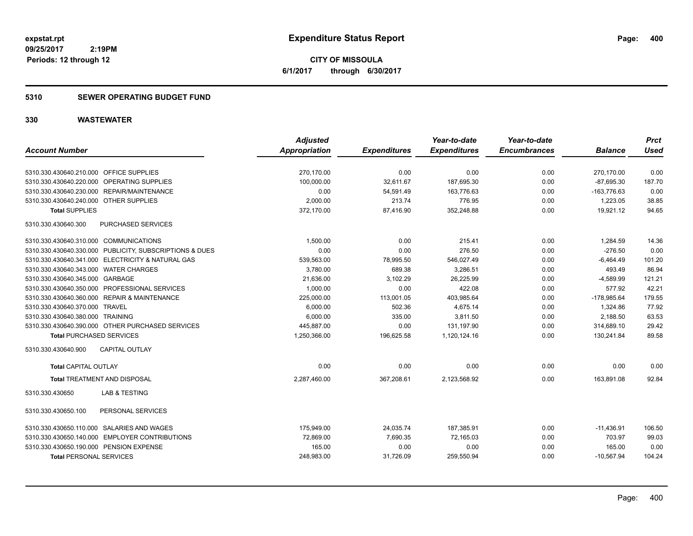**CITY OF MISSOULA 6/1/2017 through 6/30/2017**

### **5310 SEWER OPERATING BUDGET FUND**

|                                                         | <b>Adjusted</b>      |                     | Year-to-date        | Year-to-date        |                | <b>Prct</b> |
|---------------------------------------------------------|----------------------|---------------------|---------------------|---------------------|----------------|-------------|
| <b>Account Number</b>                                   | <b>Appropriation</b> | <b>Expenditures</b> | <b>Expenditures</b> | <b>Encumbrances</b> | <b>Balance</b> | <b>Used</b> |
| 5310.330.430640.210.000 OFFICE SUPPLIES                 | 270,170.00           | 0.00                | 0.00                | 0.00                | 270,170.00     | 0.00        |
| 5310.330.430640.220.000 OPERATING SUPPLIES              | 100,000.00           | 32,611.67           | 187,695.30          | 0.00                | $-87,695.30$   | 187.70      |
| REPAIR/MAINTENANCE<br>5310.330.430640.230.000           | 0.00                 | 54,591.49           | 163,776.63          | 0.00                | $-163,776.63$  | 0.00        |
| 5310.330.430640.240.000 OTHER SUPPLIES                  | 2.000.00             | 213.74              | 776.95              | 0.00                | 1,223.05       | 38.85       |
| <b>Total SUPPLIES</b>                                   | 372,170.00           | 87,416.90           | 352,248.88          | 0.00                | 19,921.12      | 94.65       |
| PURCHASED SERVICES<br>5310.330.430640.300               |                      |                     |                     |                     |                |             |
| 5310.330.430640.310.000 COMMUNICATIONS                  | 1,500.00             | 0.00                | 215.41              | 0.00                | 1,284.59       | 14.36       |
| 5310.330.430640.330.000 PUBLICITY, SUBSCRIPTIONS & DUES | 0.00                 | 0.00                | 276.50              | 0.00                | $-276.50$      | 0.00        |
| 5310.330.430640.341.000 ELECTRICITY & NATURAL GAS       | 539,563.00           | 78,995.50           | 546,027.49          | 0.00                | $-6,464.49$    | 101.20      |
| 5310.330.430640.343.000 WATER CHARGES                   | 3,780.00             | 689.38              | 3,286.51            | 0.00                | 493.49         | 86.94       |
| 5310.330.430640.345.000 GARBAGE                         | 21,636.00            | 3,102.29            | 26,225.99           | 0.00                | $-4,589.99$    | 121.21      |
| 5310.330.430640.350.000 PROFESSIONAL SERVICES           | 1,000.00             | 0.00                | 422.08              | 0.00                | 577.92         | 42.21       |
| 5310.330.430640.360.000 REPAIR & MAINTENANCE            | 225,000.00           | 113,001.05          | 403,985.64          | 0.00                | $-178,985.64$  | 179.55      |
| 5310.330.430640.370.000 TRAVEL                          | 6,000.00             | 502.36              | 4,675.14            | 0.00                | 1,324.86       | 77.92       |
| 5310.330.430640.380.000 TRAINING                        | 6,000.00             | 335.00              | 3,811.50            | 0.00                | 2,188.50       | 63.53       |
| 5310.330.430640.390.000 OTHER PURCHASED SERVICES        | 445.887.00           | 0.00                | 131.197.90          | 0.00                | 314.689.10     | 29.42       |
| <b>Total PURCHASED SERVICES</b>                         | 1,250,366.00         | 196,625.58          | 1,120,124.16        | 0.00                | 130,241.84     | 89.58       |
| 5310.330.430640.900<br><b>CAPITAL OUTLAY</b>            |                      |                     |                     |                     |                |             |
| <b>Total CAPITAL OUTLAY</b>                             | 0.00                 | 0.00                | 0.00                | 0.00                | 0.00           | 0.00        |
| <b>Total TREATMENT AND DISPOSAL</b>                     | 2,287,460.00         | 367,208.61          | 2,123,568.92        | 0.00                | 163,891.08     | 92.84       |
| <b>LAB &amp; TESTING</b><br>5310.330.430650             |                      |                     |                     |                     |                |             |
| PERSONAL SERVICES<br>5310.330.430650.100                |                      |                     |                     |                     |                |             |
| 5310.330.430650.110.000 SALARIES AND WAGES              | 175,949.00           | 24,035.74           | 187,385.91          | 0.00                | $-11,436.91$   | 106.50      |
| 5310.330.430650.140.000 EMPLOYER CONTRIBUTIONS          | 72,869.00            | 7,690.35            | 72,165.03           | 0.00                | 703.97         | 99.03       |
| 5310.330.430650.190.000 PENSION EXPENSE                 | 165.00               | 0.00                | 0.00                | 0.00                | 165.00         | 0.00        |
| <b>Total PERSONAL SERVICES</b>                          | 248,983.00           | 31,726.09           | 259,550.94          | 0.00                | $-10,567.94$   | 104.24      |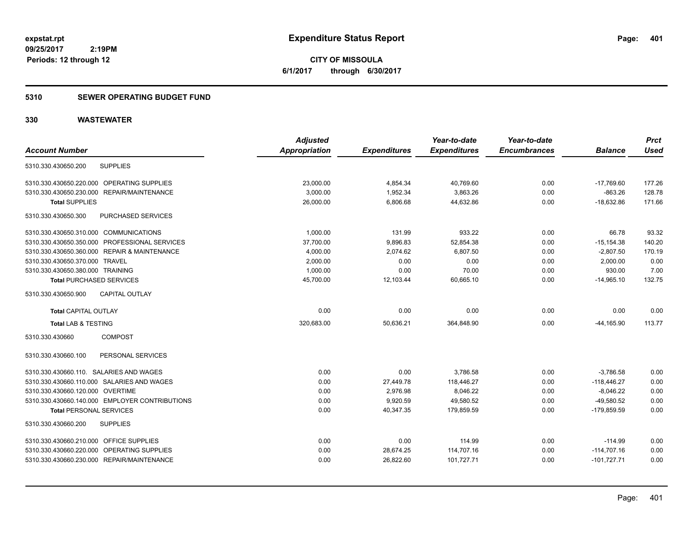**CITY OF MISSOULA 6/1/2017 through 6/30/2017**

### **5310 SEWER OPERATING BUDGET FUND**

|                                                | <b>Adjusted</b>      |                     | Year-to-date        | Year-to-date        |                | <b>Prct</b> |
|------------------------------------------------|----------------------|---------------------|---------------------|---------------------|----------------|-------------|
| <b>Account Number</b>                          | <b>Appropriation</b> | <b>Expenditures</b> | <b>Expenditures</b> | <b>Encumbrances</b> | <b>Balance</b> | <b>Used</b> |
| <b>SUPPLIES</b><br>5310.330.430650.200         |                      |                     |                     |                     |                |             |
| 5310.330.430650.220.000 OPERATING SUPPLIES     | 23,000.00            | 4,854.34            | 40,769.60           | 0.00                | $-17,769.60$   | 177.26      |
| 5310.330.430650.230.000 REPAIR/MAINTENANCE     | 3,000.00             | 1,952.34            | 3,863.26            | 0.00                | $-863.26$      | 128.78      |
| <b>Total SUPPLIES</b>                          | 26,000.00            | 6,806.68            | 44,632.86           | 0.00                | $-18,632.86$   | 171.66      |
| PURCHASED SERVICES<br>5310.330.430650.300      |                      |                     |                     |                     |                |             |
| 5310.330.430650.310.000 COMMUNICATIONS         | 1.000.00             | 131.99              | 933.22              | 0.00                | 66.78          | 93.32       |
| 5310.330.430650.350.000 PROFESSIONAL SERVICES  | 37,700.00            | 9,896.83            | 52,854.38           | 0.00                | $-15, 154.38$  | 140.20      |
| 5310.330.430650.360.000 REPAIR & MAINTENANCE   | 4,000.00             | 2,074.62            | 6,807.50            | 0.00                | $-2,807.50$    | 170.19      |
| 5310.330.430650.370.000 TRAVEL                 | 2,000.00             | 0.00                | 0.00                | 0.00                | 2,000.00       | 0.00        |
| 5310.330.430650.380.000 TRAINING               | 1,000.00             | 0.00                | 70.00               | 0.00                | 930.00         | 7.00        |
| <b>Total PURCHASED SERVICES</b>                | 45,700.00            | 12,103.44           | 60,665.10           | 0.00                | $-14,965.10$   | 132.75      |
| CAPITAL OUTLAY<br>5310.330.430650.900          |                      |                     |                     |                     |                |             |
| <b>Total CAPITAL OUTLAY</b>                    | 0.00                 | 0.00                | 0.00                | 0.00                | 0.00           | 0.00        |
| <b>Total LAB &amp; TESTING</b>                 | 320,683.00           | 50,636.21           | 364,848.90          | 0.00                | $-44,165.90$   | 113.77      |
| 5310.330.430660<br><b>COMPOST</b>              |                      |                     |                     |                     |                |             |
| PERSONAL SERVICES<br>5310.330.430660.100       |                      |                     |                     |                     |                |             |
| 5310.330.430660.110. SALARIES AND WAGES        | 0.00                 | 0.00                | 3,786.58            | 0.00                | $-3,786.58$    | 0.00        |
| 5310.330.430660.110.000 SALARIES AND WAGES     | 0.00                 | 27,449.78           | 118,446.27          | 0.00                | $-118,446.27$  | 0.00        |
| 5310.330.430660.120.000 OVERTIME               | 0.00                 | 2,976.98            | 8,046.22            | 0.00                | $-8,046.22$    | 0.00        |
| 5310.330.430660.140.000 EMPLOYER CONTRIBUTIONS | 0.00                 | 9,920.59            | 49,580.52           | 0.00                | $-49,580.52$   | 0.00        |
| <b>Total PERSONAL SERVICES</b>                 | 0.00                 | 40,347.35           | 179.859.59          | 0.00                | $-179.859.59$  | 0.00        |
| 5310.330.430660.200<br><b>SUPPLIES</b>         |                      |                     |                     |                     |                |             |
| 5310.330.430660.210.000 OFFICE SUPPLIES        | 0.00                 | 0.00                | 114.99              | 0.00                | $-114.99$      | 0.00        |
| 5310.330.430660.220.000 OPERATING SUPPLIES     | 0.00                 | 28,674.25           | 114,707.16          | 0.00                | $-114,707.16$  | 0.00        |
| 5310.330.430660.230.000 REPAIR/MAINTENANCE     | 0.00                 | 26,822.60           | 101,727.71          | 0.00                | $-101,727.71$  | 0.00        |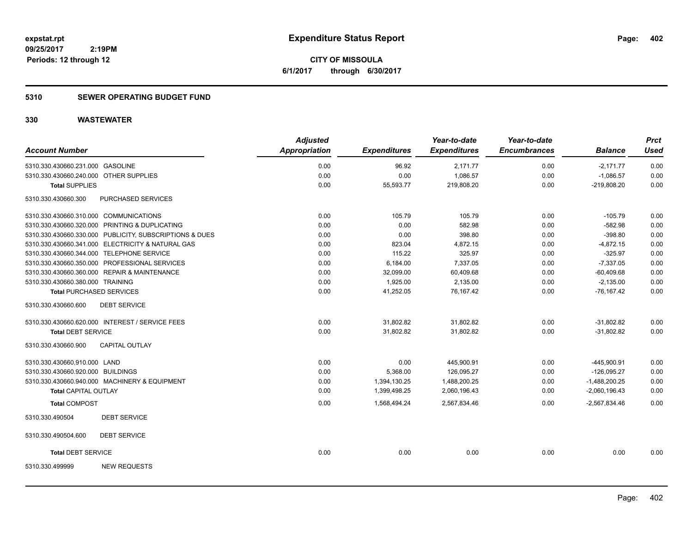**CITY OF MISSOULA 6/1/2017 through 6/30/2017**

### **5310 SEWER OPERATING BUDGET FUND**

| <b>Account Number</b>                                   |                    | <b>Adjusted</b><br><b>Appropriation</b> |                     | Year-to-date        | Year-to-date<br><b>Encumbrances</b> | <b>Balance</b>  | <b>Prct</b><br><b>Used</b> |
|---------------------------------------------------------|--------------------|-----------------------------------------|---------------------|---------------------|-------------------------------------|-----------------|----------------------------|
|                                                         |                    |                                         | <b>Expenditures</b> | <b>Expenditures</b> |                                     |                 |                            |
| 5310.330.430660.231.000 GASOLINE                        |                    | 0.00                                    | 96.92               | 2,171.77            | 0.00                                | $-2,171.77$     | 0.00                       |
| 5310.330.430660.240.000 OTHER SUPPLIES                  |                    | 0.00                                    | 0.00                | 1,086.57            | 0.00                                | $-1,086.57$     | 0.00                       |
| <b>Total SUPPLIES</b>                                   |                    | 0.00                                    | 55,593.77           | 219,808.20          | 0.00                                | $-219,808.20$   | 0.00                       |
| 5310.330.430660.300                                     | PURCHASED SERVICES |                                         |                     |                     |                                     |                 |                            |
| 5310.330.430660.310.000 COMMUNICATIONS                  |                    | 0.00                                    | 105.79              | 105.79              | 0.00                                | $-105.79$       | 0.00                       |
| 5310.330.430660.320.000 PRINTING & DUPLICATING          |                    | 0.00                                    | 0.00                | 582.98              | 0.00                                | $-582.98$       | 0.00                       |
| 5310.330.430660.330.000 PUBLICITY, SUBSCRIPTIONS & DUES |                    | 0.00                                    | 0.00                | 398.80              | 0.00                                | $-398.80$       | 0.00                       |
| 5310.330.430660.341.000 ELECTRICITY & NATURAL GAS       |                    | 0.00                                    | 823.04              | 4,872.15            | 0.00                                | $-4,872.15$     | 0.00                       |
| 5310.330.430660.344.000 TELEPHONE SERVICE               |                    | 0.00                                    | 115.22              | 325.97              | 0.00                                | $-325.97$       | 0.00                       |
| 5310.330.430660.350.000 PROFESSIONAL SERVICES           |                    | 0.00                                    | 6,184.00            | 7,337.05            | 0.00                                | $-7,337.05$     | 0.00                       |
| 5310.330.430660.360.000 REPAIR & MAINTENANCE            |                    | 0.00                                    | 32,099.00           | 60,409.68           | 0.00                                | $-60,409.68$    | 0.00                       |
| 5310.330.430660.380.000 TRAINING                        |                    | 0.00                                    | 1,925.00            | 2,135.00            | 0.00                                | $-2,135.00$     | 0.00                       |
| <b>Total PURCHASED SERVICES</b>                         |                    | 0.00                                    | 41,252.05           | 76,167.42           | 0.00                                | $-76, 167.42$   | 0.00                       |
| 5310.330.430660.600<br><b>DEBT SERVICE</b>              |                    |                                         |                     |                     |                                     |                 |                            |
| 5310.330.430660.620.000 INTEREST / SERVICE FEES         |                    | 0.00                                    | 31,802.82           | 31,802.82           | 0.00                                | $-31,802.82$    | 0.00                       |
| <b>Total DEBT SERVICE</b>                               |                    | 0.00                                    | 31,802.82           | 31,802.82           | 0.00                                | $-31,802.82$    | 0.00                       |
| CAPITAL OUTLAY<br>5310.330.430660.900                   |                    |                                         |                     |                     |                                     |                 |                            |
| 5310.330.430660.910.000 LAND                            |                    | 0.00                                    | 0.00                | 445,900.91          | 0.00                                | -445,900.91     | 0.00                       |
| 5310.330.430660.920.000 BUILDINGS                       |                    | 0.00                                    | 5,368.00            | 126,095.27          | 0.00                                | $-126,095.27$   | 0.00                       |
| 5310.330.430660.940.000 MACHINERY & EQUIPMENT           |                    | 0.00                                    | 1,394,130.25        | 1,488,200.25        | 0.00                                | $-1,488,200.25$ | 0.00                       |
| <b>Total CAPITAL OUTLAY</b>                             |                    | 0.00                                    | 1,399,498.25        | 2,060,196.43        | 0.00                                | $-2,060,196.43$ | 0.00                       |
| <b>Total COMPOST</b>                                    |                    | 0.00                                    | 1,568,494.24        | 2,567,834.46        | 0.00                                | $-2,567,834.46$ | 0.00                       |
| <b>DEBT SERVICE</b><br>5310.330.490504                  |                    |                                         |                     |                     |                                     |                 |                            |
| 5310.330.490504.600<br><b>DEBT SERVICE</b>              |                    |                                         |                     |                     |                                     |                 |                            |
| <b>Total DEBT SERVICE</b>                               |                    | 0.00                                    | 0.00                | 0.00                | 0.00                                | 0.00            | 0.00                       |
| <b>NEW REQUESTS</b><br>5310.330.499999                  |                    |                                         |                     |                     |                                     |                 |                            |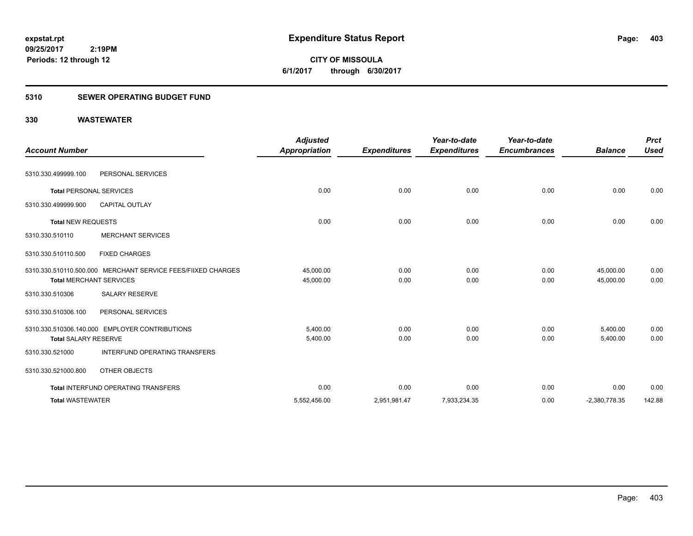**CITY OF MISSOULA 6/1/2017 through 6/30/2017**

### **5310 SEWER OPERATING BUDGET FUND**

| <b>Account Number</b>          |                                                              | <b>Adjusted</b><br>Appropriation | <b>Expenditures</b> | Year-to-date<br><b>Expenditures</b> | Year-to-date<br><b>Encumbrances</b> | <b>Balance</b>         | <b>Prct</b><br><b>Used</b> |
|--------------------------------|--------------------------------------------------------------|----------------------------------|---------------------|-------------------------------------|-------------------------------------|------------------------|----------------------------|
| 5310.330.499999.100            | PERSONAL SERVICES                                            |                                  |                     |                                     |                                     |                        |                            |
| <b>Total PERSONAL SERVICES</b> |                                                              | 0.00                             | 0.00                | 0.00                                | 0.00                                | 0.00                   | 0.00                       |
| 5310.330.499999.900            | <b>CAPITAL OUTLAY</b>                                        |                                  |                     |                                     |                                     |                        |                            |
| <b>Total NEW REQUESTS</b>      |                                                              | 0.00                             | 0.00                | 0.00                                | 0.00                                | 0.00                   | 0.00                       |
| 5310.330.510110                | <b>MERCHANT SERVICES</b>                                     |                                  |                     |                                     |                                     |                        |                            |
| 5310.330.510110.500            | <b>FIXED CHARGES</b>                                         |                                  |                     |                                     |                                     |                        |                            |
| <b>Total MERCHANT SERVICES</b> | 5310.330.510110.500.000 MERCHANT SERVICE FEES/FIIXED CHARGES | 45,000.00<br>45,000.00           | 0.00<br>0.00        | 0.00<br>0.00                        | 0.00<br>0.00                        | 45,000.00<br>45,000.00 | 0.00<br>0.00               |
| 5310.330.510306                | <b>SALARY RESERVE</b>                                        |                                  |                     |                                     |                                     |                        |                            |
| 5310.330.510306.100            | PERSONAL SERVICES                                            |                                  |                     |                                     |                                     |                        |                            |
| <b>Total SALARY RESERVE</b>    | 5310.330.510306.140.000 EMPLOYER CONTRIBUTIONS               | 5,400.00<br>5,400.00             | 0.00<br>0.00        | 0.00<br>0.00                        | 0.00<br>0.00                        | 5,400.00<br>5,400.00   | 0.00<br>0.00               |
| 5310.330.521000                | <b>INTERFUND OPERATING TRANSFERS</b>                         |                                  |                     |                                     |                                     |                        |                            |
| 5310.330.521000.800            | OTHER OBJECTS                                                |                                  |                     |                                     |                                     |                        |                            |
|                                | <b>Total INTERFUND OPERATING TRANSFERS</b>                   | 0.00                             | 0.00                | 0.00                                | 0.00                                | 0.00                   | 0.00                       |
| <b>Total WASTEWATER</b>        |                                                              | 5,552,456.00                     | 2,951,981.47        | 7,933,234.35                        | 0.00                                | $-2,380,778.35$        | 142.88                     |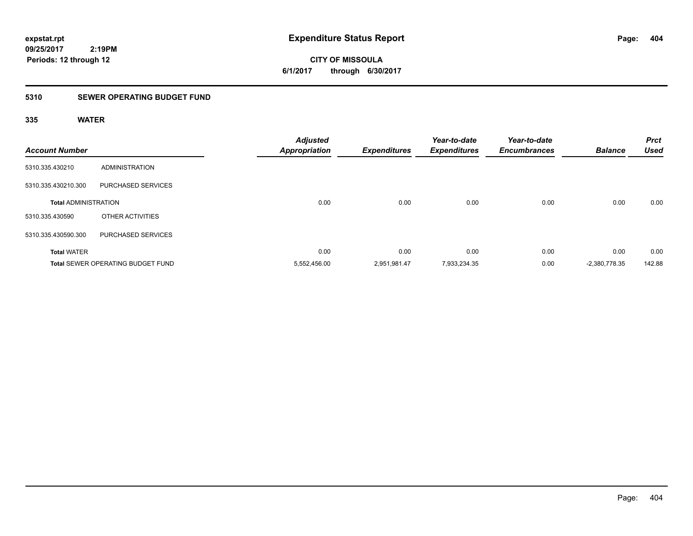**CITY OF MISSOULA 6/1/2017 through 6/30/2017**

### **5310 SEWER OPERATING BUDGET FUND**

### **335 WATER**

| <b>Account Number</b>       |                                          | <b>Adjusted</b><br><b>Appropriation</b> | <b>Expenditures</b> | Year-to-date<br><b>Expenditures</b> | Year-to-date<br><b>Encumbrances</b> | <b>Balance</b>  | <b>Prct</b><br><b>Used</b> |
|-----------------------------|------------------------------------------|-----------------------------------------|---------------------|-------------------------------------|-------------------------------------|-----------------|----------------------------|
| 5310.335.430210             | <b>ADMINISTRATION</b>                    |                                         |                     |                                     |                                     |                 |                            |
| 5310.335.430210.300         | PURCHASED SERVICES                       |                                         |                     |                                     |                                     |                 |                            |
| <b>Total ADMINISTRATION</b> |                                          | 0.00                                    | 0.00                | 0.00                                | 0.00                                | 0.00            | 0.00                       |
| 5310.335.430590             | OTHER ACTIVITIES                         |                                         |                     |                                     |                                     |                 |                            |
| 5310.335.430590.300         | PURCHASED SERVICES                       |                                         |                     |                                     |                                     |                 |                            |
| <b>Total WATER</b>          |                                          | 0.00                                    | 0.00                | 0.00                                | 0.00                                | 0.00            | 0.00                       |
|                             | <b>Total SEWER OPERATING BUDGET FUND</b> | 5,552,456.00                            | 2,951,981.47        | 7,933,234.35                        | 0.00                                | $-2,380,778.35$ | 142.88                     |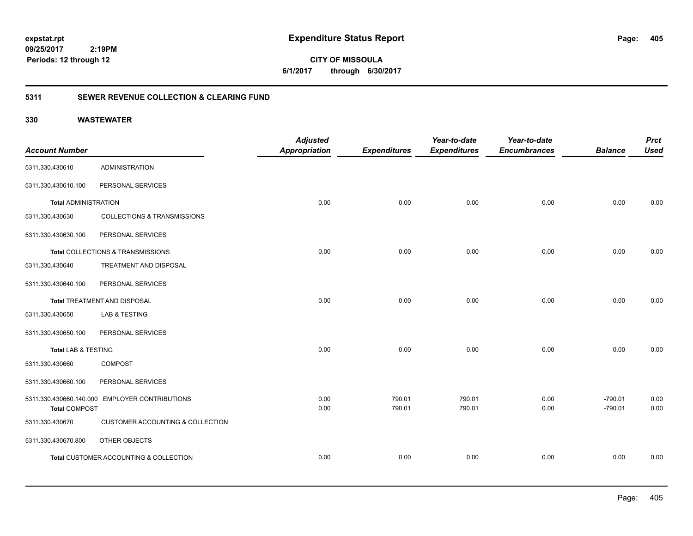**CITY OF MISSOULA 6/1/2017 through 6/30/2017**

### **5311 SEWER REVENUE COLLECTION & CLEARING FUND**

|                             |                                                | <b>Adjusted</b>      |                     | Year-to-date        | Year-to-date        |                | <b>Prct</b> |
|-----------------------------|------------------------------------------------|----------------------|---------------------|---------------------|---------------------|----------------|-------------|
| <b>Account Number</b>       |                                                | <b>Appropriation</b> | <b>Expenditures</b> | <b>Expenditures</b> | <b>Encumbrances</b> | <b>Balance</b> | <b>Used</b> |
| 5311.330.430610             | <b>ADMINISTRATION</b>                          |                      |                     |                     |                     |                |             |
| 5311.330.430610.100         | PERSONAL SERVICES                              |                      |                     |                     |                     |                |             |
| <b>Total ADMINISTRATION</b> |                                                | 0.00                 | 0.00                | 0.00                | 0.00                | 0.00           | 0.00        |
| 5311.330.430630             | <b>COLLECTIONS &amp; TRANSMISSIONS</b>         |                      |                     |                     |                     |                |             |
| 5311.330.430630.100         | PERSONAL SERVICES                              |                      |                     |                     |                     |                |             |
|                             | Total COLLECTIONS & TRANSMISSIONS              | 0.00                 | 0.00                | 0.00                | 0.00                | 0.00           | 0.00        |
| 5311.330.430640             | TREATMENT AND DISPOSAL                         |                      |                     |                     |                     |                |             |
| 5311.330.430640.100         | PERSONAL SERVICES                              |                      |                     |                     |                     |                |             |
|                             | Total TREATMENT AND DISPOSAL                   | 0.00                 | 0.00                | 0.00                | 0.00                | 0.00           | 0.00        |
| 5311.330.430650             | <b>LAB &amp; TESTING</b>                       |                      |                     |                     |                     |                |             |
| 5311.330.430650.100         | PERSONAL SERVICES                              |                      |                     |                     |                     |                |             |
| Total LAB & TESTING         |                                                | 0.00                 | 0.00                | 0.00                | 0.00                | 0.00           | 0.00        |
| 5311.330.430660             | <b>COMPOST</b>                                 |                      |                     |                     |                     |                |             |
| 5311.330.430660.100         | PERSONAL SERVICES                              |                      |                     |                     |                     |                |             |
|                             | 5311.330.430660.140.000 EMPLOYER CONTRIBUTIONS | 0.00                 | 790.01              | 790.01              | 0.00                | $-790.01$      | 0.00        |
| <b>Total COMPOST</b>        |                                                | 0.00                 | 790.01              | 790.01              | 0.00                | $-790.01$      | 0.00        |
| 5311.330.430670             | <b>CUSTOMER ACCOUNTING &amp; COLLECTION</b>    |                      |                     |                     |                     |                |             |
| 5311.330.430670.800         | OTHER OBJECTS                                  |                      |                     |                     |                     |                |             |
|                             | Total CUSTOMER ACCOUNTING & COLLECTION         | 0.00                 | 0.00                | 0.00                | 0.00                | 0.00           | 0.00        |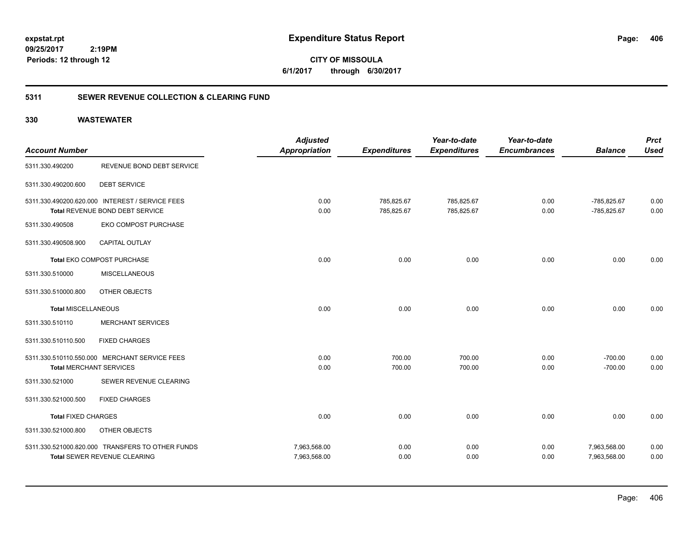**CITY OF MISSOULA 6/1/2017 through 6/30/2017**

### **5311 SEWER REVENUE COLLECTION & CLEARING FUND**

| <b>Account Number</b>          |                                                                                         | <b>Adjusted</b><br><b>Appropriation</b> | <b>Expenditures</b>      | Year-to-date<br><b>Expenditures</b> | Year-to-date<br><b>Encumbrances</b> | <b>Balance</b>               | <b>Prct</b><br><b>Used</b> |
|--------------------------------|-----------------------------------------------------------------------------------------|-----------------------------------------|--------------------------|-------------------------------------|-------------------------------------|------------------------------|----------------------------|
| 5311.330.490200                | REVENUE BOND DEBT SERVICE                                                               |                                         |                          |                                     |                                     |                              |                            |
| 5311.330.490200.600            | <b>DEBT SERVICE</b>                                                                     |                                         |                          |                                     |                                     |                              |                            |
|                                | 5311.330.490200.620.000 INTEREST / SERVICE FEES<br>Total REVENUE BOND DEBT SERVICE      | 0.00<br>0.00                            | 785,825.67<br>785,825.67 | 785,825.67<br>785,825.67            | 0.00<br>0.00                        | -785,825.67<br>-785,825.67   | 0.00<br>0.00               |
| 5311.330.490508                | EKO COMPOST PURCHASE                                                                    |                                         |                          |                                     |                                     |                              |                            |
| 5311.330.490508.900            | <b>CAPITAL OUTLAY</b>                                                                   |                                         |                          |                                     |                                     |                              |                            |
|                                | Total EKO COMPOST PURCHASE                                                              | 0.00                                    | 0.00                     | 0.00                                | 0.00                                | 0.00                         | 0.00                       |
| 5311.330.510000                | <b>MISCELLANEOUS</b>                                                                    |                                         |                          |                                     |                                     |                              |                            |
| 5311.330.510000.800            | OTHER OBJECTS                                                                           |                                         |                          |                                     |                                     |                              |                            |
| <b>Total MISCELLANEOUS</b>     |                                                                                         | 0.00                                    | 0.00                     | 0.00                                | 0.00                                | 0.00                         | 0.00                       |
| 5311.330.510110                | <b>MERCHANT SERVICES</b>                                                                |                                         |                          |                                     |                                     |                              |                            |
| 5311.330.510110.500            | <b>FIXED CHARGES</b>                                                                    |                                         |                          |                                     |                                     |                              |                            |
|                                | 5311.330.510110.550.000 MERCHANT SERVICE FEES                                           | 0.00                                    | 700.00                   | 700.00                              | 0.00                                | $-700.00$                    | 0.00                       |
| <b>Total MERCHANT SERVICES</b> |                                                                                         | 0.00                                    | 700.00                   | 700.00                              | 0.00                                | $-700.00$                    | 0.00                       |
| 5311.330.521000                | SEWER REVENUE CLEARING                                                                  |                                         |                          |                                     |                                     |                              |                            |
| 5311.330.521000.500            | <b>FIXED CHARGES</b>                                                                    |                                         |                          |                                     |                                     |                              |                            |
| <b>Total FIXED CHARGES</b>     |                                                                                         | 0.00                                    | 0.00                     | 0.00                                | 0.00                                | 0.00                         | 0.00                       |
| 5311.330.521000.800            | OTHER OBJECTS                                                                           |                                         |                          |                                     |                                     |                              |                            |
|                                | 5311.330.521000.820.000 TRANSFERS TO OTHER FUNDS<br><b>Total SEWER REVENUE CLEARING</b> | 7,963,568.00<br>7,963,568.00            | 0.00<br>0.00             | 0.00<br>0.00                        | 0.00<br>0.00                        | 7,963,568.00<br>7,963,568.00 | 0.00<br>0.00               |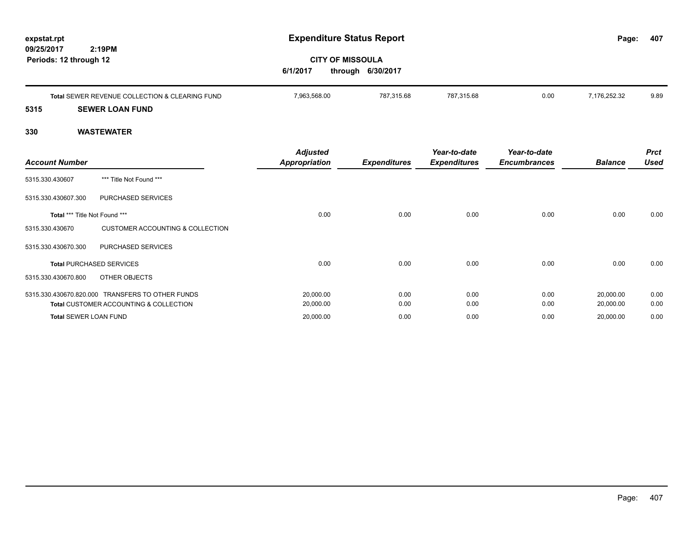| expstat.rpt<br>09/25/2017<br>Periods: 12 through 12 | 2:19PM                                                                                     | <b>CITY OF MISSOULA</b><br>6/1/2017 | <b>Expenditure Status Report</b><br>through 6/30/2017 |                                     |                                     | Page:                  | 407                        |
|-----------------------------------------------------|--------------------------------------------------------------------------------------------|-------------------------------------|-------------------------------------------------------|-------------------------------------|-------------------------------------|------------------------|----------------------------|
|                                                     | Total SEWER REVENUE COLLECTION & CLEARING FUND                                             | 7,963,568.00                        | 787,315.68                                            | 787,315.68                          | 0.00                                | 7,176,252.32           | 9.89                       |
| 5315<br>330                                         | <b>SEWER LOAN FUND</b><br><b>WASTEWATER</b>                                                |                                     |                                                       |                                     |                                     |                        |                            |
| <b>Account Number</b>                               |                                                                                            | Adjusted<br><b>Appropriation</b>    | <b>Expenditures</b>                                   | Year-to-date<br><b>Expenditures</b> | Year-to-date<br><b>Encumbrances</b> | <b>Balance</b>         | <b>Prct</b><br><b>Used</b> |
| 5315.330.430607                                     | *** Title Not Found ***                                                                    |                                     |                                                       |                                     |                                     |                        |                            |
| 5315.330.430607.300                                 | PURCHASED SERVICES                                                                         |                                     |                                                       |                                     |                                     |                        |                            |
| Total *** Title Not Found ***                       |                                                                                            | 0.00                                | 0.00                                                  | 0.00                                | 0.00                                | 0.00                   | 0.00                       |
| 5315.330.430670                                     | <b>CUSTOMER ACCOUNTING &amp; COLLECTION</b>                                                |                                     |                                                       |                                     |                                     |                        |                            |
| 5315.330.430670.300                                 | PURCHASED SERVICES                                                                         |                                     |                                                       |                                     |                                     |                        |                            |
| <b>Total PURCHASED SERVICES</b>                     |                                                                                            | 0.00                                | 0.00                                                  | 0.00                                | 0.00                                | 0.00                   | 0.00                       |
| 5315.330.430670.800                                 | <b>OTHER OBJECTS</b>                                                                       |                                     |                                                       |                                     |                                     |                        |                            |
|                                                     | 5315.330.430670.820.000 TRANSFERS TO OTHER FUNDS<br>Total CUSTOMER ACCOUNTING & COLLECTION | 20,000.00<br>20,000.00              | 0.00<br>0.00                                          | 0.00<br>0.00                        | 0.00<br>0.00                        | 20,000.00<br>20,000.00 | 0.00<br>0.00               |
| <b>Total SEWER LOAN FUND</b>                        |                                                                                            | 20,000.00                           | 0.00                                                  | 0.00                                | 0.00                                | 20,000.00              | 0.00                       |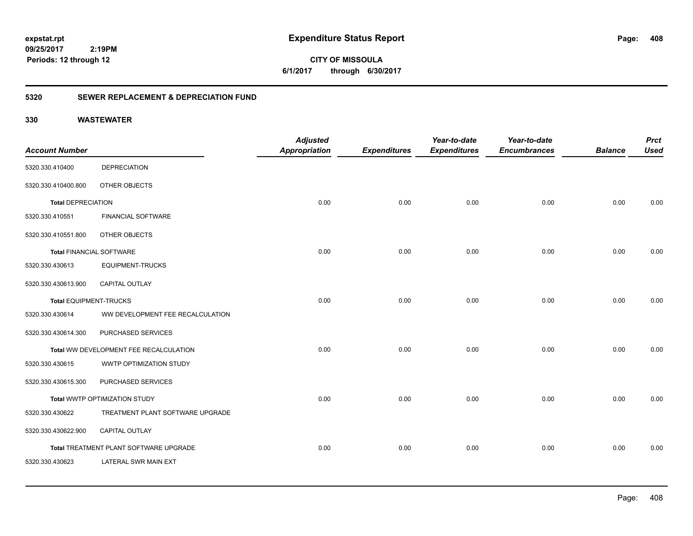**408**

**CITY OF MISSOULA 6/1/2017 through 6/30/2017**

### **5320 SEWER REPLACEMENT & DEPRECIATION FUND**

|                                 |                                        | <b>Adjusted</b>      |                     | Year-to-date        | Year-to-date        |                | <b>Prct</b> |
|---------------------------------|----------------------------------------|----------------------|---------------------|---------------------|---------------------|----------------|-------------|
| <b>Account Number</b>           |                                        | <b>Appropriation</b> | <b>Expenditures</b> | <b>Expenditures</b> | <b>Encumbrances</b> | <b>Balance</b> | <b>Used</b> |
| 5320.330.410400                 | <b>DEPRECIATION</b>                    |                      |                     |                     |                     |                |             |
| 5320.330.410400.800             | OTHER OBJECTS                          |                      |                     |                     |                     |                |             |
| <b>Total DEPRECIATION</b>       |                                        | 0.00                 | 0.00                | 0.00                | 0.00                | 0.00           | 0.00        |
| 5320.330.410551                 | <b>FINANCIAL SOFTWARE</b>              |                      |                     |                     |                     |                |             |
| 5320.330.410551.800             | OTHER OBJECTS                          |                      |                     |                     |                     |                |             |
| <b>Total FINANCIAL SOFTWARE</b> |                                        | 0.00                 | 0.00                | 0.00                | 0.00                | 0.00           | 0.00        |
| 5320.330.430613                 | <b>EQUIPMENT-TRUCKS</b>                |                      |                     |                     |                     |                |             |
| 5320.330.430613.900             | CAPITAL OUTLAY                         |                      |                     |                     |                     |                |             |
| Total EQUIPMENT-TRUCKS          |                                        | 0.00                 | 0.00                | 0.00                | 0.00                | 0.00           | 0.00        |
| 5320.330.430614                 | WW DEVELOPMENT FEE RECALCULATION       |                      |                     |                     |                     |                |             |
| 5320.330.430614.300             | PURCHASED SERVICES                     |                      |                     |                     |                     |                |             |
|                                 | Total WW DEVELOPMENT FEE RECALCULATION | 0.00                 | 0.00                | 0.00                | 0.00                | 0.00           | 0.00        |
| 5320.330.430615                 | WWTP OPTIMIZATION STUDY                |                      |                     |                     |                     |                |             |
| 5320.330.430615.300             | PURCHASED SERVICES                     |                      |                     |                     |                     |                |             |
|                                 | Total WWTP OPTIMIZATION STUDY          | 0.00                 | 0.00                | 0.00                | 0.00                | 0.00           | 0.00        |
| 5320.330.430622                 | TREATMENT PLANT SOFTWARE UPGRADE       |                      |                     |                     |                     |                |             |
| 5320.330.430622.900             | CAPITAL OUTLAY                         |                      |                     |                     |                     |                |             |
|                                 | Total TREATMENT PLANT SOFTWARE UPGRADE | 0.00                 | 0.00                | 0.00                | 0.00                | 0.00           | 0.00        |
| 5320.330.430623                 | LATERAL SWR MAIN EXT                   |                      |                     |                     |                     |                |             |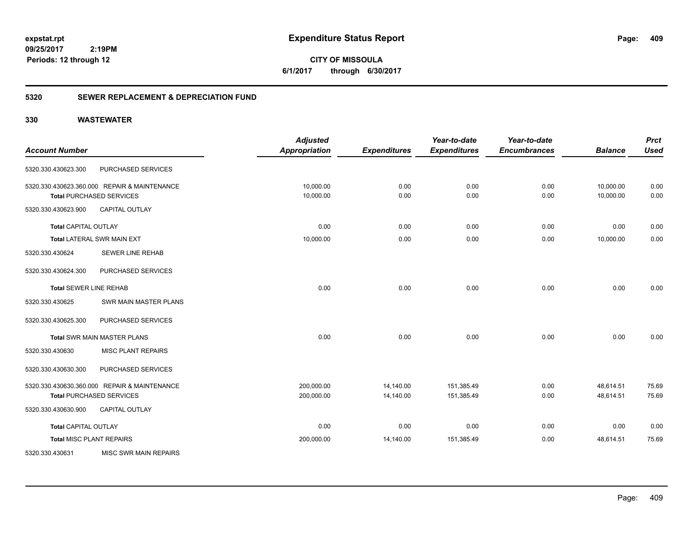**409**

**CITY OF MISSOULA 6/1/2017 through 6/30/2017**

### **5320 SEWER REPLACEMENT & DEPRECIATION FUND**

|                                 |                                              | <b>Adjusted</b>      |                     | Year-to-date        | Year-to-date        |                | <b>Prct</b> |
|---------------------------------|----------------------------------------------|----------------------|---------------------|---------------------|---------------------|----------------|-------------|
| <b>Account Number</b>           |                                              | <b>Appropriation</b> | <b>Expenditures</b> | <b>Expenditures</b> | <b>Encumbrances</b> | <b>Balance</b> | <b>Used</b> |
| 5320.330.430623.300             | PURCHASED SERVICES                           |                      |                     |                     |                     |                |             |
|                                 | 5320.330.430623.360.000 REPAIR & MAINTENANCE | 10,000.00            | 0.00                | 0.00                | 0.00                | 10,000.00      | 0.00        |
|                                 | <b>Total PURCHASED SERVICES</b>              | 10,000.00            | 0.00                | 0.00                | 0.00                | 10,000.00      | 0.00        |
| 5320.330.430623.900             | <b>CAPITAL OUTLAY</b>                        |                      |                     |                     |                     |                |             |
| <b>Total CAPITAL OUTLAY</b>     |                                              | 0.00                 | 0.00                | 0.00                | 0.00                | 0.00           | 0.00        |
|                                 | Total LATERAL SWR MAIN EXT                   | 10,000.00            | 0.00                | 0.00                | 0.00                | 10,000.00      | 0.00        |
| 5320.330.430624                 | <b>SEWER LINE REHAB</b>                      |                      |                     |                     |                     |                |             |
| 5320.330.430624.300             | PURCHASED SERVICES                           |                      |                     |                     |                     |                |             |
| <b>Total SEWER LINE REHAB</b>   |                                              | 0.00                 | 0.00                | 0.00                | 0.00                | 0.00           | 0.00        |
| 5320.330.430625                 | SWR MAIN MASTER PLANS                        |                      |                     |                     |                     |                |             |
| 5320.330.430625.300             | PURCHASED SERVICES                           |                      |                     |                     |                     |                |             |
|                                 | <b>Total SWR MAIN MASTER PLANS</b>           | 0.00                 | 0.00                | 0.00                | 0.00                | 0.00           | 0.00        |
| 5320.330.430630                 | <b>MISC PLANT REPAIRS</b>                    |                      |                     |                     |                     |                |             |
| 5320.330.430630.300             | PURCHASED SERVICES                           |                      |                     |                     |                     |                |             |
|                                 | 5320.330.430630.360.000 REPAIR & MAINTENANCE | 200,000.00           | 14,140.00           | 151,385.49          | 0.00                | 48,614.51      | 75.69       |
|                                 | <b>Total PURCHASED SERVICES</b>              | 200,000.00           | 14,140.00           | 151,385.49          | 0.00                | 48,614.51      | 75.69       |
| 5320.330.430630.900             | <b>CAPITAL OUTLAY</b>                        |                      |                     |                     |                     |                |             |
| <b>Total CAPITAL OUTLAY</b>     |                                              | 0.00                 | 0.00                | 0.00                | 0.00                | 0.00           | 0.00        |
| <b>Total MISC PLANT REPAIRS</b> |                                              | 200,000.00           | 14,140.00           | 151,385.49          | 0.00                | 48,614.51      | 75.69       |
| 5320.330.430631                 | <b>MISC SWR MAIN REPAIRS</b>                 |                      |                     |                     |                     |                |             |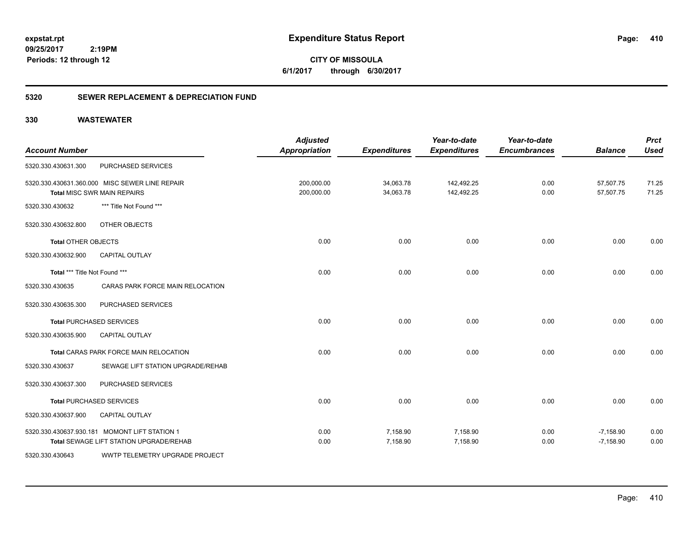**410**

**CITY OF MISSOULA 6/1/2017 through 6/30/2017**

### **5320 SEWER REPLACEMENT & DEPRECIATION FUND**

| <b>Account Number</b>                         |                                                | <b>Adjusted</b><br><b>Appropriation</b> | <b>Expenditures</b>    | Year-to-date<br><b>Expenditures</b> | Year-to-date<br><b>Encumbrances</b> | <b>Balance</b>             | <b>Prct</b><br><b>Used</b> |
|-----------------------------------------------|------------------------------------------------|-----------------------------------------|------------------------|-------------------------------------|-------------------------------------|----------------------------|----------------------------|
| 5320.330.430631.300                           | PURCHASED SERVICES                             |                                         |                        |                                     |                                     |                            |                            |
| <b>Total MISC SWR MAIN REPAIRS</b>            | 5320.330.430631.360.000 MISC SEWER LINE REPAIR | 200,000.00<br>200,000.00                | 34,063.78<br>34,063.78 | 142,492.25<br>142,492.25            | 0.00<br>0.00                        | 57,507.75<br>57,507.75     | 71.25<br>71.25             |
| 5320.330.430632                               | *** Title Not Found ***                        |                                         |                        |                                     |                                     |                            |                            |
| 5320.330.430632.800                           | OTHER OBJECTS                                  |                                         |                        |                                     |                                     |                            |                            |
| <b>Total OTHER OBJECTS</b>                    |                                                | 0.00                                    | 0.00                   | 0.00                                | 0.00                                | 0.00                       | 0.00                       |
| 5320.330.430632.900                           | <b>CAPITAL OUTLAY</b>                          |                                         |                        |                                     |                                     |                            |                            |
| Total *** Title Not Found ***                 |                                                | 0.00                                    | 0.00                   | 0.00                                | 0.00                                | 0.00                       | 0.00                       |
| 5320.330.430635                               | CARAS PARK FORCE MAIN RELOCATION               |                                         |                        |                                     |                                     |                            |                            |
| 5320.330.430635.300                           | PURCHASED SERVICES                             |                                         |                        |                                     |                                     |                            |                            |
| <b>Total PURCHASED SERVICES</b>               |                                                | 0.00                                    | 0.00                   | 0.00                                | 0.00                                | 0.00                       | 0.00                       |
| 5320.330.430635.900                           | CAPITAL OUTLAY                                 |                                         |                        |                                     |                                     |                            |                            |
|                                               | Total CARAS PARK FORCE MAIN RELOCATION         | 0.00                                    | 0.00                   | 0.00                                | 0.00                                | 0.00                       | 0.00                       |
| 5320.330.430637                               | SEWAGE LIFT STATION UPGRADE/REHAB              |                                         |                        |                                     |                                     |                            |                            |
| 5320.330.430637.300                           | PURCHASED SERVICES                             |                                         |                        |                                     |                                     |                            |                            |
| <b>Total PURCHASED SERVICES</b>               |                                                | 0.00                                    | 0.00                   | 0.00                                | 0.00                                | 0.00                       | 0.00                       |
| 5320.330.430637.900                           | <b>CAPITAL OUTLAY</b>                          |                                         |                        |                                     |                                     |                            |                            |
| 5320.330.430637.930.181 MOMONT LIFT STATION 1 | <b>Total SEWAGE LIFT STATION UPGRADE/REHAB</b> | 0.00<br>0.00                            | 7,158.90<br>7,158.90   | 7,158.90<br>7,158.90                | 0.00<br>0.00                        | $-7,158.90$<br>$-7,158.90$ | 0.00<br>0.00               |
| 5320.330.430643                               | <b>WWTP TELEMETRY UPGRADE PROJECT</b>          |                                         |                        |                                     |                                     |                            |                            |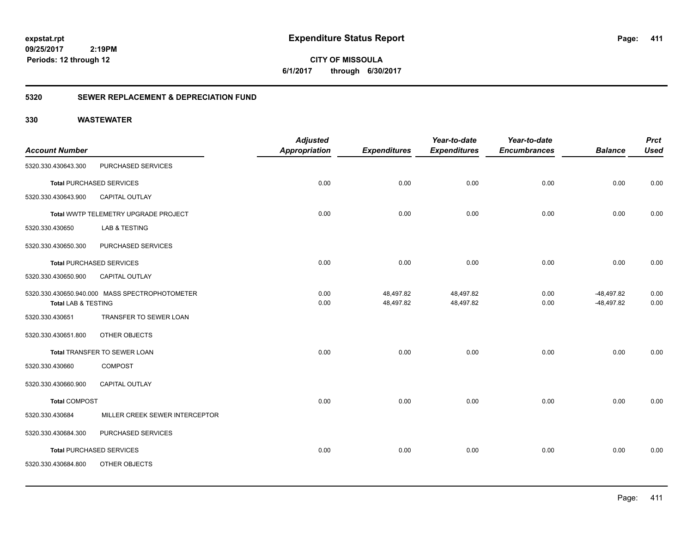**411**

**CITY OF MISSOULA 6/1/2017 through 6/30/2017**

### **5320 SEWER REPLACEMENT & DEPRECIATION FUND**

| <b>Account Number</b>          |                                                | <b>Adjusted</b><br><b>Appropriation</b> | <b>Expenditures</b>    | Year-to-date<br><b>Expenditures</b> | Year-to-date<br><b>Encumbrances</b> | <b>Balance</b>               | <b>Prct</b><br><b>Used</b> |
|--------------------------------|------------------------------------------------|-----------------------------------------|------------------------|-------------------------------------|-------------------------------------|------------------------------|----------------------------|
| 5320.330.430643.300            | PURCHASED SERVICES                             |                                         |                        |                                     |                                     |                              |                            |
|                                | <b>Total PURCHASED SERVICES</b>                | 0.00                                    | 0.00                   | 0.00                                | 0.00                                | 0.00                         | 0.00                       |
| 5320.330.430643.900            | <b>CAPITAL OUTLAY</b>                          |                                         |                        |                                     |                                     |                              |                            |
|                                | Total WWTP TELEMETRY UPGRADE PROJECT           | 0.00                                    | 0.00                   | 0.00                                | 0.00                                | 0.00                         | 0.00                       |
| 5320.330.430650                | LAB & TESTING                                  |                                         |                        |                                     |                                     |                              |                            |
| 5320.330.430650.300            | PURCHASED SERVICES                             |                                         |                        |                                     |                                     |                              |                            |
|                                | <b>Total PURCHASED SERVICES</b>                | 0.00                                    | 0.00                   | 0.00                                | 0.00                                | 0.00                         | 0.00                       |
| 5320.330.430650.900            | CAPITAL OUTLAY                                 |                                         |                        |                                     |                                     |                              |                            |
| <b>Total LAB &amp; TESTING</b> | 5320.330.430650.940.000 MASS SPECTROPHOTOMETER | 0.00<br>0.00                            | 48,497.82<br>48,497.82 | 48,497.82<br>48,497.82              | 0.00<br>0.00                        | $-48,497.82$<br>$-48,497.82$ | 0.00<br>0.00               |
| 5320.330.430651                | TRANSFER TO SEWER LOAN                         |                                         |                        |                                     |                                     |                              |                            |
| 5320.330.430651.800            | OTHER OBJECTS                                  |                                         |                        |                                     |                                     |                              |                            |
|                                | Total TRANSFER TO SEWER LOAN                   | 0.00                                    | 0.00                   | 0.00                                | 0.00                                | 0.00                         | 0.00                       |
| 5320.330.430660                | <b>COMPOST</b>                                 |                                         |                        |                                     |                                     |                              |                            |
| 5320.330.430660.900            | CAPITAL OUTLAY                                 |                                         |                        |                                     |                                     |                              |                            |
| <b>Total COMPOST</b>           |                                                | 0.00                                    | 0.00                   | 0.00                                | 0.00                                | 0.00                         | 0.00                       |
| 5320.330.430684                | MILLER CREEK SEWER INTERCEPTOR                 |                                         |                        |                                     |                                     |                              |                            |
| 5320.330.430684.300            | PURCHASED SERVICES                             |                                         |                        |                                     |                                     |                              |                            |
|                                | Total PURCHASED SERVICES                       | 0.00                                    | 0.00                   | 0.00                                | 0.00                                | 0.00                         | 0.00                       |
| 5320.330.430684.800            | OTHER OBJECTS                                  |                                         |                        |                                     |                                     |                              |                            |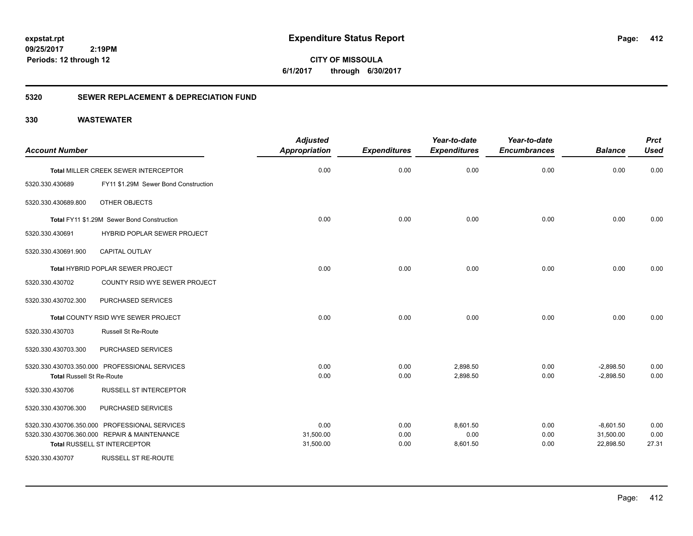**412**

**CITY OF MISSOULA 6/1/2017 through 6/30/2017**

### **5320 SEWER REPLACEMENT & DEPRECIATION FUND**

| <b>Account Number</b>            |                                               | <b>Adjusted</b><br><b>Appropriation</b> | <b>Expenditures</b> | Year-to-date<br><b>Expenditures</b> | Year-to-date<br><b>Encumbrances</b> | <b>Balance</b> | <b>Prct</b><br><b>Used</b> |
|----------------------------------|-----------------------------------------------|-----------------------------------------|---------------------|-------------------------------------|-------------------------------------|----------------|----------------------------|
|                                  |                                               |                                         |                     |                                     |                                     |                |                            |
|                                  | Total MILLER CREEK SEWER INTERCEPTOR          | 0.00                                    | 0.00                | 0.00                                | 0.00                                | 0.00           | 0.00                       |
| 5320.330.430689                  | FY11 \$1.29M Sewer Bond Construction          |                                         |                     |                                     |                                     |                |                            |
| 5320.330.430689.800              | OTHER OBJECTS                                 |                                         |                     |                                     |                                     |                |                            |
|                                  | Total FY11 \$1.29M Sewer Bond Construction    | 0.00                                    | 0.00                | 0.00                                | 0.00                                | 0.00           | 0.00                       |
| 5320.330.430691                  | <b>HYBRID POPLAR SEWER PROJECT</b>            |                                         |                     |                                     |                                     |                |                            |
| 5320.330.430691.900              | <b>CAPITAL OUTLAY</b>                         |                                         |                     |                                     |                                     |                |                            |
|                                  | <b>Total HYBRID POPLAR SEWER PROJECT</b>      | 0.00                                    | 0.00                | 0.00                                | 0.00                                | 0.00           | 0.00                       |
| 5320.330.430702                  | COUNTY RSID WYE SEWER PROJECT                 |                                         |                     |                                     |                                     |                |                            |
| 5320.330.430702.300              | PURCHASED SERVICES                            |                                         |                     |                                     |                                     |                |                            |
|                                  | Total COUNTY RSID WYE SEWER PROJECT           | 0.00                                    | 0.00                | 0.00                                | 0.00                                | 0.00           | 0.00                       |
| 5320.330.430703                  | <b>Russell St Re-Route</b>                    |                                         |                     |                                     |                                     |                |                            |
| 5320.330.430703.300              | PURCHASED SERVICES                            |                                         |                     |                                     |                                     |                |                            |
|                                  | 5320.330.430703.350.000 PROFESSIONAL SERVICES | 0.00                                    | 0.00                | 2,898.50                            | 0.00                                | $-2,898.50$    | 0.00                       |
| <b>Total Russell St Re-Route</b> |                                               | 0.00                                    | 0.00                | 2,898.50                            | 0.00                                | $-2,898.50$    | 0.00                       |
| 5320.330.430706                  | <b>RUSSELL ST INTERCEPTOR</b>                 |                                         |                     |                                     |                                     |                |                            |
| 5320.330.430706.300              | PURCHASED SERVICES                            |                                         |                     |                                     |                                     |                |                            |
|                                  | 5320.330.430706.350.000 PROFESSIONAL SERVICES | 0.00                                    | 0.00                | 8,601.50                            | 0.00                                | $-8,601.50$    | 0.00                       |
|                                  | 5320.330.430706.360.000 REPAIR & MAINTENANCE  | 31,500.00                               | 0.00                | 0.00                                | 0.00                                | 31,500.00      | 0.00                       |
|                                  | Total RUSSELL ST INTERCEPTOR                  | 31,500.00                               | 0.00                | 8,601.50                            | 0.00                                | 22,898.50      | 27.31                      |
| 5320.330.430707                  | <b>RUSSELL ST RE-ROUTE</b>                    |                                         |                     |                                     |                                     |                |                            |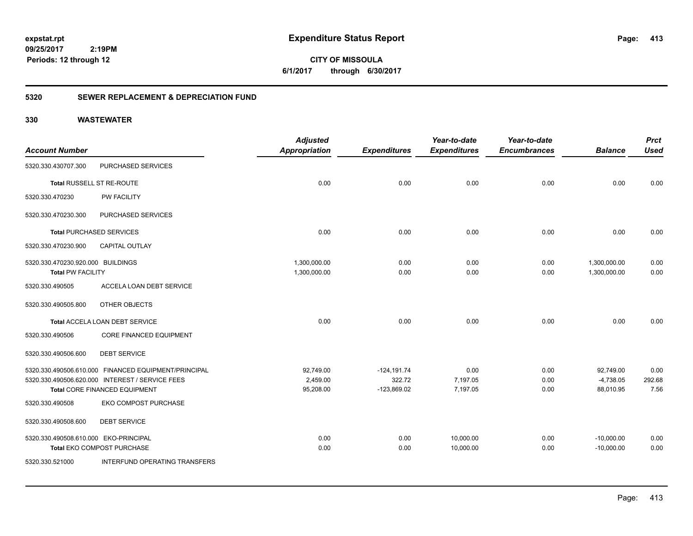**413**

**CITY OF MISSOULA 6/1/2017 through 6/30/2017**

### **5320 SEWER REPLACEMENT & DEPRECIATION FUND**

|                                       |                                                      | <b>Adjusted</b>      |                     | Year-to-date        | Year-to-date        |                | <b>Prct</b> |
|---------------------------------------|------------------------------------------------------|----------------------|---------------------|---------------------|---------------------|----------------|-------------|
| <b>Account Number</b>                 |                                                      | <b>Appropriation</b> | <b>Expenditures</b> | <b>Expenditures</b> | <b>Encumbrances</b> | <b>Balance</b> | <b>Used</b> |
| 5320.330.430707.300                   | PURCHASED SERVICES                                   |                      |                     |                     |                     |                |             |
|                                       | Total RUSSELL ST RE-ROUTE                            | 0.00                 | 0.00                | 0.00                | 0.00                | 0.00           | 0.00        |
| 5320.330.470230                       | <b>PW FACILITY</b>                                   |                      |                     |                     |                     |                |             |
| 5320.330.470230.300                   | PURCHASED SERVICES                                   |                      |                     |                     |                     |                |             |
|                                       | <b>Total PURCHASED SERVICES</b>                      | 0.00                 | 0.00                | 0.00                | 0.00                | 0.00           | 0.00        |
| 5320.330.470230.900                   | <b>CAPITAL OUTLAY</b>                                |                      |                     |                     |                     |                |             |
| 5320.330.470230.920.000 BUILDINGS     |                                                      | 1,300,000.00         | 0.00                | 0.00                | 0.00                | 1,300,000.00   | 0.00        |
| <b>Total PW FACILITY</b>              |                                                      | 1,300,000.00         | 0.00                | 0.00                | 0.00                | 1,300,000.00   | 0.00        |
| 5320.330.490505                       | ACCELA LOAN DEBT SERVICE                             |                      |                     |                     |                     |                |             |
| 5320.330.490505.800                   | OTHER OBJECTS                                        |                      |                     |                     |                     |                |             |
|                                       | Total ACCELA LOAN DEBT SERVICE                       | 0.00                 | 0.00                | 0.00                | 0.00                | 0.00           | 0.00        |
| 5320.330.490506                       | CORE FINANCED EQUIPMENT                              |                      |                     |                     |                     |                |             |
| 5320.330.490506.600                   | <b>DEBT SERVICE</b>                                  |                      |                     |                     |                     |                |             |
|                                       | 5320.330.490506.610.000 FINANCED EQUIPMENT/PRINCIPAL | 92,749.00            | $-124, 191.74$      | 0.00                | 0.00                | 92,749.00      | 0.00        |
|                                       | 5320.330.490506.620.000 INTEREST / SERVICE FEES      | 2,459.00             | 322.72              | 7,197.05            | 0.00                | $-4,738.05$    | 292.68      |
|                                       | Total CORE FINANCED EQUIPMENT                        | 95,208.00            | $-123,869.02$       | 7,197.05            | 0.00                | 88,010.95      | 7.56        |
| 5320.330.490508                       | <b>EKO COMPOST PURCHASE</b>                          |                      |                     |                     |                     |                |             |
| 5320.330.490508.600                   | <b>DEBT SERVICE</b>                                  |                      |                     |                     |                     |                |             |
| 5320.330.490508.610.000 EKO-PRINCIPAL |                                                      | 0.00                 | 0.00                | 10,000.00           | 0.00                | $-10,000.00$   | 0.00        |
|                                       | Total EKO COMPOST PURCHASE                           | 0.00                 | 0.00                | 10,000.00           | 0.00                | $-10,000.00$   | 0.00        |
| 5320.330.521000                       | INTERFUND OPERATING TRANSFERS                        |                      |                     |                     |                     |                |             |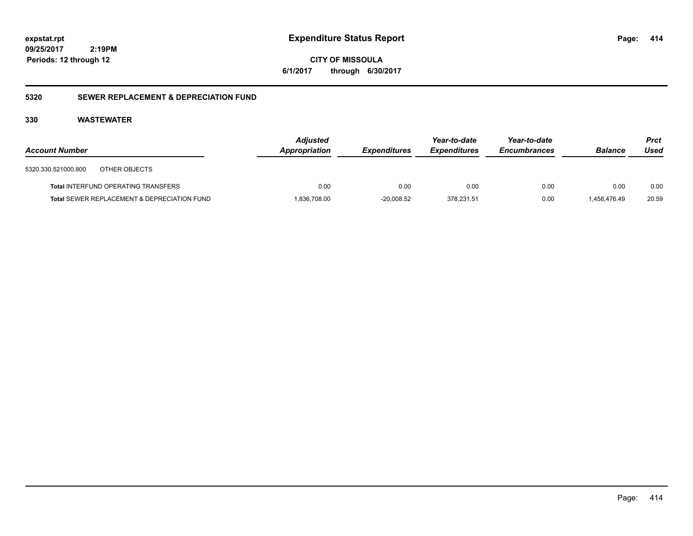**CITY OF MISSOULA 6/1/2017 through 6/30/2017**

### **5320 SEWER REPLACEMENT & DEPRECIATION FUND**

### **330 WASTEWATER**

| <b>Account Number</b>                                  | <b>Adjusted</b><br>Appropriation | <b>Expenditures</b> | Year-to-date<br><b>Expenditures</b> | Year-to-date<br><b>Encumbrances</b> | <b>Balance</b> | <b>Prct</b><br>Used |
|--------------------------------------------------------|----------------------------------|---------------------|-------------------------------------|-------------------------------------|----------------|---------------------|
| 5320.330.521000.800<br>OTHER OBJECTS                   |                                  |                     |                                     |                                     |                |                     |
| <b>Total INTERFUND OPERATING TRANSFERS</b>             | 0.00                             | 0.00                | 0.00                                | 0.00                                | 0.00           | 0.00                |
| <b>Total SEWER REPLACEMENT &amp; DEPRECIATION FUND</b> | 1,836,708.00                     | $-20,008.52$        | 378,231.51                          | 0.00                                | 1.458.476.49   | 20.59               |

**414**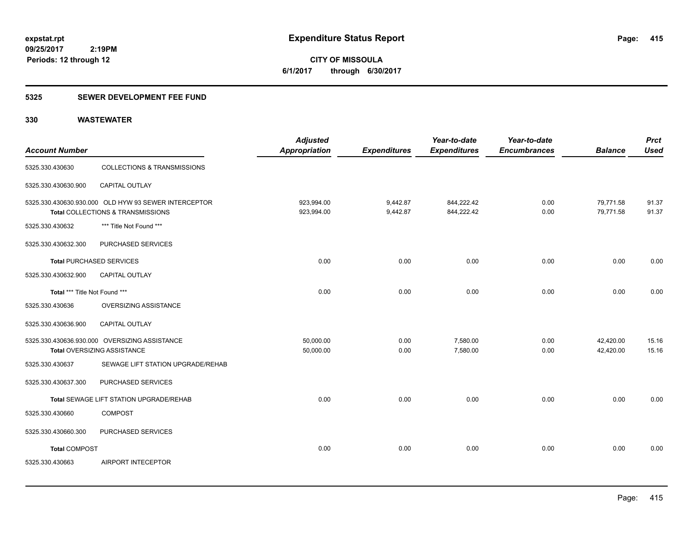**415**

**09/25/2017 2:19PM Periods: 12 through 12**

**CITY OF MISSOULA 6/1/2017 through 6/30/2017**

### **5325 SEWER DEVELOPMENT FEE FUND**

| <b>Account Number</b>           |                                                                                           | <b>Adjusted</b><br>Appropriation | <b>Expenditures</b>  | Year-to-date<br><b>Expenditures</b> | Year-to-date<br><b>Encumbrances</b> | <b>Balance</b>         | <b>Prct</b><br><b>Used</b> |
|---------------------------------|-------------------------------------------------------------------------------------------|----------------------------------|----------------------|-------------------------------------|-------------------------------------|------------------------|----------------------------|
| 5325.330.430630                 | <b>COLLECTIONS &amp; TRANSMISSIONS</b>                                                    |                                  |                      |                                     |                                     |                        |                            |
| 5325.330.430630.900             | CAPITAL OUTLAY                                                                            |                                  |                      |                                     |                                     |                        |                            |
|                                 | 5325.330.430630.930.000 OLD HYW 93 SEWER INTERCEPTOR<br>Total COLLECTIONS & TRANSMISSIONS | 923,994.00<br>923,994.00         | 9,442.87<br>9,442.87 | 844,222.42<br>844,222.42            | 0.00<br>0.00                        | 79,771.58<br>79,771.58 | 91.37<br>91.37             |
| 5325.330.430632                 | *** Title Not Found ***                                                                   |                                  |                      |                                     |                                     |                        |                            |
| 5325.330.430632.300             | PURCHASED SERVICES                                                                        |                                  |                      |                                     |                                     |                        |                            |
| <b>Total PURCHASED SERVICES</b> |                                                                                           | 0.00                             | 0.00                 | 0.00                                | 0.00                                | 0.00                   | 0.00                       |
| 5325.330.430632.900             | <b>CAPITAL OUTLAY</b>                                                                     |                                  |                      |                                     |                                     |                        |                            |
| Total *** Title Not Found ***   |                                                                                           | 0.00                             | 0.00                 | 0.00                                | 0.00                                | 0.00                   | 0.00                       |
| 5325.330.430636                 | OVERSIZING ASSISTANCE                                                                     |                                  |                      |                                     |                                     |                        |                            |
| 5325.330.430636.900             | <b>CAPITAL OUTLAY</b>                                                                     |                                  |                      |                                     |                                     |                        |                            |
|                                 | 5325.330.430636.930.000 OVERSIZING ASSISTANCE<br>Total OVERSIZING ASSISTANCE              | 50,000.00<br>50,000.00           | 0.00<br>0.00         | 7,580.00<br>7,580.00                | 0.00<br>0.00                        | 42,420.00<br>42,420.00 | 15.16<br>15.16             |
| 5325.330.430637                 | SEWAGE LIFT STATION UPGRADE/REHAB                                                         |                                  |                      |                                     |                                     |                        |                            |
| 5325.330.430637.300             | PURCHASED SERVICES                                                                        |                                  |                      |                                     |                                     |                        |                            |
|                                 | Total SEWAGE LIFT STATION UPGRADE/REHAB                                                   | 0.00                             | 0.00                 | 0.00                                | 0.00                                | 0.00                   | 0.00                       |
| 5325.330.430660                 | <b>COMPOST</b>                                                                            |                                  |                      |                                     |                                     |                        |                            |
| 5325.330.430660.300             | PURCHASED SERVICES                                                                        |                                  |                      |                                     |                                     |                        |                            |
| <b>Total COMPOST</b>            |                                                                                           | 0.00                             | 0.00                 | 0.00                                | 0.00                                | 0.00                   | 0.00                       |
| 5325.330.430663                 | AIRPORT INTECEPTOR                                                                        |                                  |                      |                                     |                                     |                        |                            |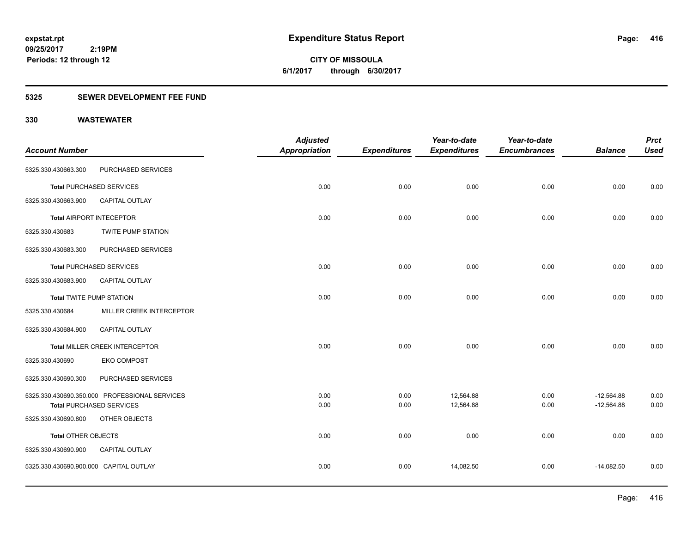**CITY OF MISSOULA 6/1/2017 through 6/30/2017**

### **5325 SEWER DEVELOPMENT FEE FUND**

| <b>Account Number</b>                  |                                                  | <b>Adjusted</b><br><b>Appropriation</b> | <b>Expenditures</b> | Year-to-date<br><b>Expenditures</b> | Year-to-date<br><b>Encumbrances</b> | <b>Balance</b>               | <b>Prct</b><br><b>Used</b> |
|----------------------------------------|--------------------------------------------------|-----------------------------------------|---------------------|-------------------------------------|-------------------------------------|------------------------------|----------------------------|
| 5325.330.430663.300                    | PURCHASED SERVICES                               |                                         |                     |                                     |                                     |                              |                            |
|                                        | <b>Total PURCHASED SERVICES</b>                  | 0.00                                    | 0.00                | 0.00                                | 0.00                                | 0.00                         | 0.00                       |
| 5325.330.430663.900                    | CAPITAL OUTLAY                                   |                                         |                     |                                     |                                     |                              |                            |
|                                        | <b>Total AIRPORT INTECEPTOR</b>                  | 0.00                                    | 0.00                | 0.00                                | 0.00                                | 0.00                         | 0.00                       |
| 5325.330.430683                        | TWITE PUMP STATION                               |                                         |                     |                                     |                                     |                              |                            |
| 5325.330.430683.300                    | PURCHASED SERVICES                               |                                         |                     |                                     |                                     |                              |                            |
|                                        | <b>Total PURCHASED SERVICES</b>                  | 0.00                                    | 0.00                | 0.00                                | 0.00                                | 0.00                         | 0.00                       |
| 5325.330.430683.900                    | <b>CAPITAL OUTLAY</b>                            |                                         |                     |                                     |                                     |                              |                            |
| <b>Total TWITE PUMP STATION</b>        |                                                  | 0.00                                    | 0.00                | 0.00                                | 0.00                                | 0.00                         | 0.00                       |
| 5325.330.430684                        | MILLER CREEK INTERCEPTOR                         |                                         |                     |                                     |                                     |                              |                            |
| 5325.330.430684.900                    | CAPITAL OUTLAY                                   |                                         |                     |                                     |                                     |                              |                            |
|                                        | Total MILLER CREEK INTERCEPTOR                   | 0.00                                    | 0.00                | 0.00                                | 0.00                                | 0.00                         | 0.00                       |
| 5325.330.430690                        | <b>EKO COMPOST</b>                               |                                         |                     |                                     |                                     |                              |                            |
| 5325.330.430690.300                    | PURCHASED SERVICES                               |                                         |                     |                                     |                                     |                              |                            |
|                                        | 5325.330.430690.350.000 PROFESSIONAL SERVICES    | 0.00<br>0.00                            | 0.00<br>0.00        | 12,564.88<br>12,564.88              | 0.00<br>0.00                        | $-12,564.88$<br>$-12,564.88$ | 0.00<br>0.00               |
| 5325.330.430690.800                    | <b>Total PURCHASED SERVICES</b><br>OTHER OBJECTS |                                         |                     |                                     |                                     |                              |                            |
| <b>Total OTHER OBJECTS</b>             |                                                  | 0.00                                    | 0.00                | 0.00                                | 0.00                                | 0.00                         | 0.00                       |
| 5325.330.430690.900                    | CAPITAL OUTLAY                                   |                                         |                     |                                     |                                     |                              |                            |
| 5325.330.430690.900.000 CAPITAL OUTLAY |                                                  | 0.00                                    | 0.00                | 14,082.50                           | 0.00                                | $-14,082.50$                 | 0.00                       |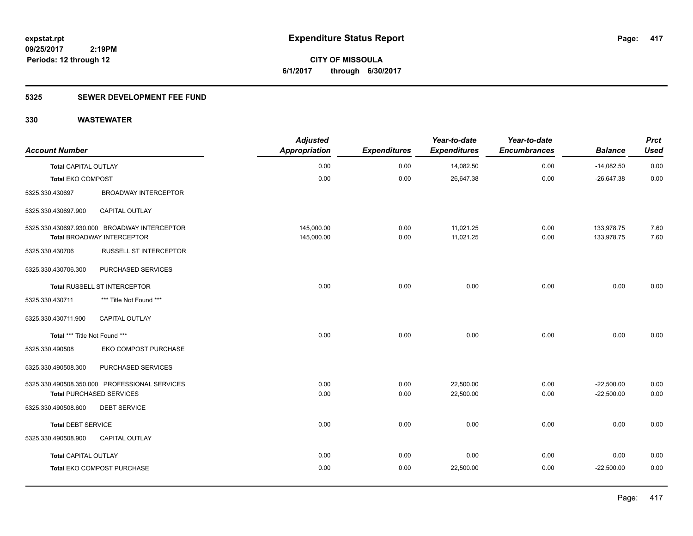**417**

**09/25/2017 2:19PM Periods: 12 through 12**

**CITY OF MISSOULA 6/1/2017 through 6/30/2017**

### **5325 SEWER DEVELOPMENT FEE FUND**

| <b>Account Number</b>         |                                                                                   | <b>Adjusted</b><br><b>Appropriation</b> | <b>Expenditures</b> | Year-to-date<br><b>Expenditures</b> | Year-to-date<br><b>Encumbrances</b> | <b>Balance</b>           | <b>Prct</b><br><b>Used</b> |
|-------------------------------|-----------------------------------------------------------------------------------|-----------------------------------------|---------------------|-------------------------------------|-------------------------------------|--------------------------|----------------------------|
| <b>Total CAPITAL OUTLAY</b>   |                                                                                   | 0.00                                    | 0.00                | 14,082.50                           | 0.00                                | $-14,082.50$             | 0.00                       |
| <b>Total EKO COMPOST</b>      |                                                                                   | 0.00                                    | 0.00                | 26,647.38                           | 0.00                                | $-26,647.38$             | 0.00                       |
| 5325.330.430697               | <b>BROADWAY INTERCEPTOR</b>                                                       |                                         |                     |                                     |                                     |                          |                            |
| 5325.330.430697.900           | CAPITAL OUTLAY                                                                    |                                         |                     |                                     |                                     |                          |                            |
|                               | 5325.330.430697.930.000 BROADWAY INTERCEPTOR<br><b>Total BROADWAY INTERCEPTOR</b> | 145,000.00<br>145,000.00                | 0.00<br>0.00        | 11,021.25<br>11,021.25              | 0.00<br>0.00                        | 133,978.75<br>133,978.75 | 7.60<br>7.60               |
| 5325.330.430706               | RUSSELL ST INTERCEPTOR                                                            |                                         |                     |                                     |                                     |                          |                            |
| 5325.330.430706.300           | PURCHASED SERVICES                                                                |                                         |                     |                                     |                                     |                          |                            |
|                               | Total RUSSELL ST INTERCEPTOR                                                      | 0.00                                    | 0.00                | 0.00                                | 0.00                                | 0.00                     | 0.00                       |
| 5325.330.430711               | *** Title Not Found ***                                                           |                                         |                     |                                     |                                     |                          |                            |
| 5325.330.430711.900           | CAPITAL OUTLAY                                                                    |                                         |                     |                                     |                                     |                          |                            |
| Total *** Title Not Found *** |                                                                                   | 0.00                                    | 0.00                | 0.00                                | 0.00                                | 0.00                     | 0.00                       |
| 5325.330.490508               | EKO COMPOST PURCHASE                                                              |                                         |                     |                                     |                                     |                          |                            |
| 5325.330.490508.300           | PURCHASED SERVICES                                                                |                                         |                     |                                     |                                     |                          |                            |
|                               | 5325.330.490508.350.000 PROFESSIONAL SERVICES                                     | 0.00                                    | 0.00                | 22,500.00                           | 0.00                                | $-22,500.00$             | 0.00                       |
|                               | <b>Total PURCHASED SERVICES</b>                                                   | 0.00                                    | 0.00                | 22,500.00                           | 0.00                                | $-22,500.00$             | 0.00                       |
| 5325.330.490508.600           | <b>DEBT SERVICE</b>                                                               |                                         |                     |                                     |                                     |                          |                            |
| <b>Total DEBT SERVICE</b>     |                                                                                   | 0.00                                    | 0.00                | 0.00                                | 0.00                                | 0.00                     | 0.00                       |
| 5325.330.490508.900           | CAPITAL OUTLAY                                                                    |                                         |                     |                                     |                                     |                          |                            |
| <b>Total CAPITAL OUTLAY</b>   |                                                                                   | 0.00                                    | 0.00                | 0.00                                | 0.00                                | 0.00                     | 0.00                       |
|                               | Total EKO COMPOST PURCHASE                                                        | 0.00                                    | 0.00                | 22,500.00                           | 0.00                                | $-22,500.00$             | 0.00                       |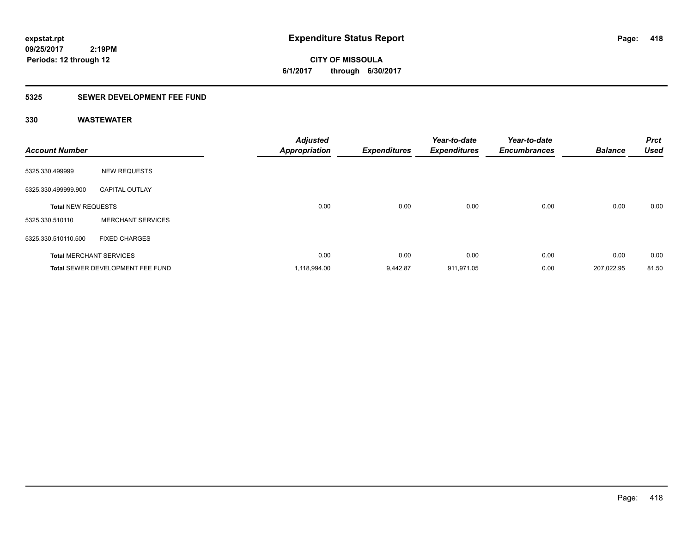**CITY OF MISSOULA 6/1/2017 through 6/30/2017**

### **5325 SEWER DEVELOPMENT FEE FUND**

| <b>Account Number</b>     |                                         | <b>Adjusted</b><br><b>Appropriation</b> | <b>Expenditures</b> | Year-to-date<br><b>Expenditures</b> | Year-to-date<br><b>Encumbrances</b> | <b>Balance</b> | <b>Prct</b><br><b>Used</b> |
|---------------------------|-----------------------------------------|-----------------------------------------|---------------------|-------------------------------------|-------------------------------------|----------------|----------------------------|
| 5325.330.499999           | <b>NEW REQUESTS</b>                     |                                         |                     |                                     |                                     |                |                            |
| 5325.330.499999.900       | <b>CAPITAL OUTLAY</b>                   |                                         |                     |                                     |                                     |                |                            |
| <b>Total NEW REQUESTS</b> |                                         | 0.00                                    | 0.00                | 0.00                                | 0.00                                | 0.00           | 0.00                       |
| 5325.330.510110           | <b>MERCHANT SERVICES</b>                |                                         |                     |                                     |                                     |                |                            |
| 5325.330.510110.500       | <b>FIXED CHARGES</b>                    |                                         |                     |                                     |                                     |                |                            |
|                           | <b>Total MERCHANT SERVICES</b>          | 0.00                                    | 0.00                | 0.00                                | 0.00                                | 0.00           | 0.00                       |
|                           | <b>Total SEWER DEVELOPMENT FEE FUND</b> | 1,118,994.00                            | 9.442.87            | 911,971.05                          | 0.00                                | 207,022.95     | 81.50                      |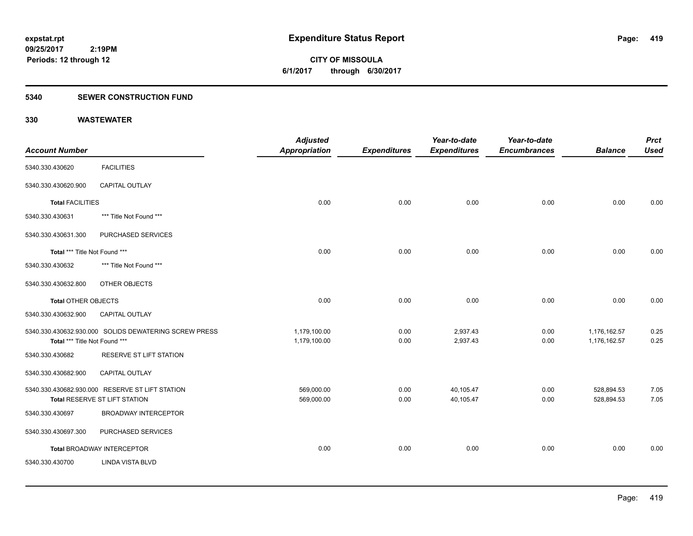**CITY OF MISSOULA 6/1/2017 through 6/30/2017**

### **5340 SEWER CONSTRUCTION FUND**

| <b>Account Number</b>         |                                                                                  | <b>Adjusted</b><br><b>Appropriation</b> | <b>Expenditures</b> | Year-to-date<br><b>Expenditures</b> | Year-to-date<br><b>Encumbrances</b> | <b>Balance</b>               | <b>Prct</b><br><b>Used</b> |
|-------------------------------|----------------------------------------------------------------------------------|-----------------------------------------|---------------------|-------------------------------------|-------------------------------------|------------------------------|----------------------------|
| 5340.330.430620               | <b>FACILITIES</b>                                                                |                                         |                     |                                     |                                     |                              |                            |
| 5340.330.430620.900           | CAPITAL OUTLAY                                                                   |                                         |                     |                                     |                                     |                              |                            |
| <b>Total FACILITIES</b>       |                                                                                  | 0.00                                    | 0.00                | 0.00                                | 0.00                                | 0.00                         | 0.00                       |
| 5340.330.430631               | *** Title Not Found ***                                                          |                                         |                     |                                     |                                     |                              |                            |
| 5340.330.430631.300           | PURCHASED SERVICES                                                               |                                         |                     |                                     |                                     |                              |                            |
| Total *** Title Not Found *** |                                                                                  | 0.00                                    | 0.00                | 0.00                                | 0.00                                | 0.00                         | 0.00                       |
| 5340.330.430632               | *** Title Not Found ***                                                          |                                         |                     |                                     |                                     |                              |                            |
| 5340.330.430632.800           | OTHER OBJECTS                                                                    |                                         |                     |                                     |                                     |                              |                            |
| <b>Total OTHER OBJECTS</b>    |                                                                                  | 0.00                                    | 0.00                | 0.00                                | 0.00                                | 0.00                         | 0.00                       |
| 5340.330.430632.900           | <b>CAPITAL OUTLAY</b>                                                            |                                         |                     |                                     |                                     |                              |                            |
| Total *** Title Not Found *** | 5340.330.430632.930.000 SOLIDS DEWATERING SCREW PRESS                            | 1,179,100.00<br>1,179,100.00            | 0.00<br>0.00        | 2,937.43<br>2,937.43                | 0.00<br>0.00                        | 1,176,162.57<br>1,176,162.57 | 0.25<br>0.25               |
| 5340.330.430682               | RESERVE ST LIFT STATION                                                          |                                         |                     |                                     |                                     |                              |                            |
| 5340.330.430682.900           | <b>CAPITAL OUTLAY</b>                                                            |                                         |                     |                                     |                                     |                              |                            |
|                               | 5340.330.430682.930.000 RESERVE ST LIFT STATION<br>Total RESERVE ST LIFT STATION | 569,000.00<br>569,000.00                | 0.00<br>0.00        | 40,105.47<br>40,105.47              | 0.00<br>0.00                        | 528,894.53<br>528,894.53     | 7.05<br>7.05               |
| 5340.330.430697               | <b>BROADWAY INTERCEPTOR</b>                                                      |                                         |                     |                                     |                                     |                              |                            |
| 5340.330.430697.300           | PURCHASED SERVICES                                                               |                                         |                     |                                     |                                     |                              |                            |
|                               | Total BROADWAY INTERCEPTOR                                                       | 0.00                                    | 0.00                | 0.00                                | 0.00                                | 0.00                         | 0.00                       |
| 5340.330.430700               | <b>LINDA VISTA BLVD</b>                                                          |                                         |                     |                                     |                                     |                              |                            |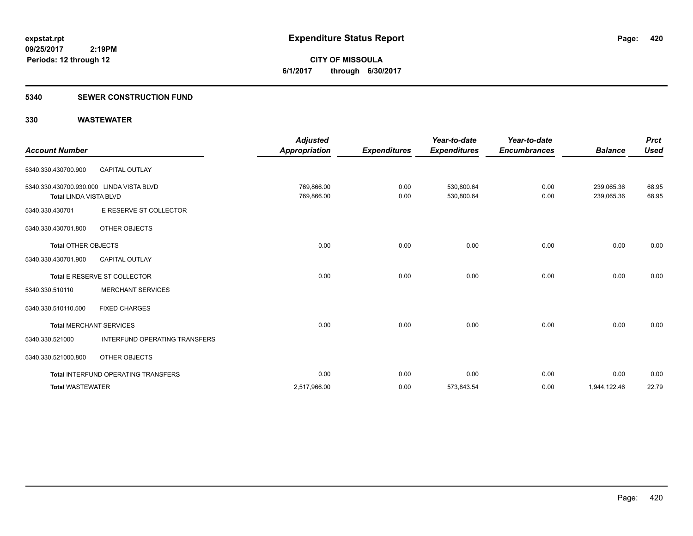**CITY OF MISSOULA 6/1/2017 through 6/30/2017**

### **5340 SEWER CONSTRUCTION FUND**

| <b>Account Number</b>                                                     |                                            | <b>Adjusted</b><br>Appropriation | <b>Expenditures</b> | Year-to-date<br><b>Expenditures</b> | Year-to-date<br><b>Encumbrances</b> | <b>Balance</b>           | <b>Prct</b><br><b>Used</b> |
|---------------------------------------------------------------------------|--------------------------------------------|----------------------------------|---------------------|-------------------------------------|-------------------------------------|--------------------------|----------------------------|
| 5340.330.430700.900                                                       | <b>CAPITAL OUTLAY</b>                      |                                  |                     |                                     |                                     |                          |                            |
| 5340.330.430700.930.000 LINDA VISTA BLVD<br><b>Total LINDA VISTA BLVD</b> |                                            | 769,866.00<br>769,866.00         | 0.00<br>0.00        | 530,800.64<br>530,800.64            | 0.00<br>0.00                        | 239,065.36<br>239,065.36 | 68.95<br>68.95             |
| 5340.330.430701                                                           | E RESERVE ST COLLECTOR                     |                                  |                     |                                     |                                     |                          |                            |
| 5340.330.430701.800                                                       | OTHER OBJECTS                              |                                  |                     |                                     |                                     |                          |                            |
| <b>Total OTHER OBJECTS</b>                                                |                                            | 0.00                             | 0.00                | 0.00                                | 0.00                                | 0.00                     | 0.00                       |
| 5340.330.430701.900                                                       | <b>CAPITAL OUTLAY</b>                      |                                  |                     |                                     |                                     |                          |                            |
|                                                                           | Total E RESERVE ST COLLECTOR               | 0.00                             | 0.00                | 0.00                                | 0.00                                | 0.00                     | 0.00                       |
| 5340.330.510110                                                           | <b>MERCHANT SERVICES</b>                   |                                  |                     |                                     |                                     |                          |                            |
| 5340.330.510110.500                                                       | <b>FIXED CHARGES</b>                       |                                  |                     |                                     |                                     |                          |                            |
| <b>Total MERCHANT SERVICES</b>                                            |                                            | 0.00                             | 0.00                | 0.00                                | 0.00                                | 0.00                     | 0.00                       |
| 5340.330.521000                                                           | INTERFUND OPERATING TRANSFERS              |                                  |                     |                                     |                                     |                          |                            |
| 5340.330.521000.800                                                       | OTHER OBJECTS                              |                                  |                     |                                     |                                     |                          |                            |
|                                                                           | <b>Total INTERFUND OPERATING TRANSFERS</b> | 0.00                             | 0.00                | 0.00                                | 0.00                                | 0.00                     | 0.00                       |
| <b>Total WASTEWATER</b>                                                   |                                            | 2,517,966.00                     | 0.00                | 573,843.54                          | 0.00                                | 1,944,122.46             | 22.79                      |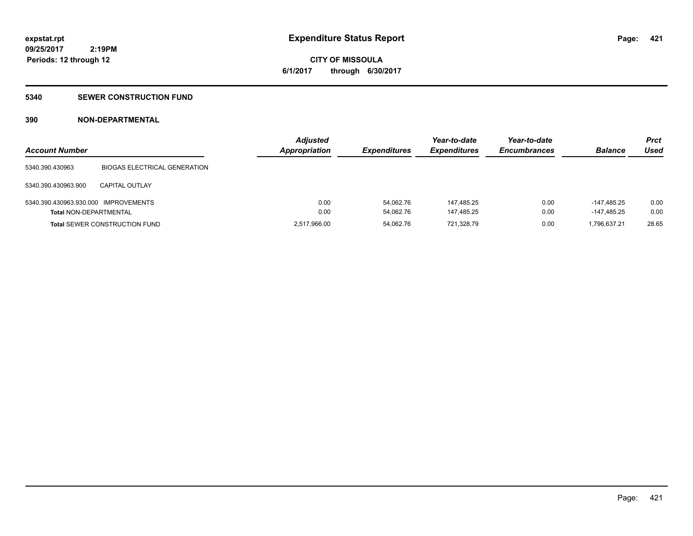**421**

**09/25/2017 2:19PM Periods: 12 through 12**

# **CITY OF MISSOULA 6/1/2017 through 6/30/2017**

### **5340 SEWER CONSTRUCTION FUND**

### **390 NON-DEPARTMENTAL**

| <b>Account Number</b>                |                                      | <b>Adjusted</b><br><b>Appropriation</b> | <b>Expenditures</b> | Year-to-date<br><b>Expenditures</b> | Year-to-date<br><b>Encumbrances</b> | <b>Balance</b> | <b>Prct</b><br>Used |
|--------------------------------------|--------------------------------------|-----------------------------------------|---------------------|-------------------------------------|-------------------------------------|----------------|---------------------|
| 5340.390.430963                      | <b>BIOGAS ELECTRICAL GENERATION</b>  |                                         |                     |                                     |                                     |                |                     |
| 5340.390.430963.900                  | CAPITAL OUTLAY                       |                                         |                     |                                     |                                     |                |                     |
| 5340.390.430963.930.000 IMPROVEMENTS |                                      | 0.00                                    | 54.062.76           | 147.485.25                          | 0.00                                | $-147.485.25$  | 0.00                |
| <b>Total NON-DEPARTMENTAL</b>        |                                      | 0.00                                    | 54.062.76           | 147.485.25                          | 0.00                                | $-147.485.25$  | 0.00                |
|                                      | <b>Total SEWER CONSTRUCTION FUND</b> | 2,517,966.00                            | 54.062.76           | 721,328.79                          | 0.00                                | 1.796.637.21   | 28.65               |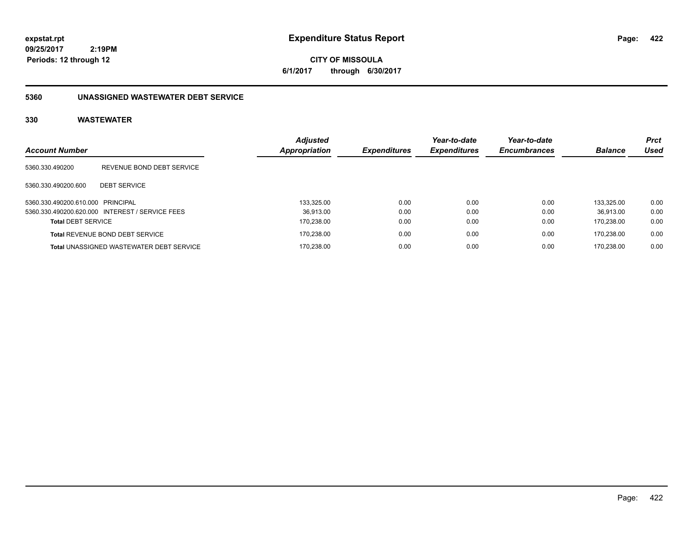**CITY OF MISSOULA 6/1/2017 through 6/30/2017**

### **5360 UNASSIGNED WASTEWATER DEBT SERVICE**

| <b>Account Number</b>             |                                                 | <b>Adjusted</b><br>Appropriation | <b>Expenditures</b> | Year-to-date<br><b>Expenditures</b> | Year-to-date<br><b>Encumbrances</b> | <b>Balance</b> | <b>Prct</b><br><b>Used</b> |
|-----------------------------------|-------------------------------------------------|----------------------------------|---------------------|-------------------------------------|-------------------------------------|----------------|----------------------------|
| 5360.330.490200                   | REVENUE BOND DEBT SERVICE                       |                                  |                     |                                     |                                     |                |                            |
| 5360.330.490200.600               | <b>DEBT SERVICE</b>                             |                                  |                     |                                     |                                     |                |                            |
| 5360.330.490200.610.000 PRINCIPAL |                                                 | 133.325.00                       | 0.00                | 0.00                                | 0.00                                | 133.325.00     | 0.00                       |
|                                   | 5360.330.490200.620.000 INTEREST / SERVICE FEES | 36.913.00                        | 0.00                | 0.00                                | 0.00                                | 36.913.00      | 0.00                       |
| <b>Total DEBT SERVICE</b>         |                                                 | 170,238.00                       | 0.00                | 0.00                                | 0.00                                | 170.238.00     | 0.00                       |
|                                   | <b>Total REVENUE BOND DEBT SERVICE</b>          | 170.238.00                       | 0.00                | 0.00                                | 0.00                                | 170.238.00     | 0.00                       |
|                                   | <b>Total UNASSIGNED WASTEWATER DEBT SERVICE</b> | 170.238.00                       | 0.00                | 0.00                                | 0.00                                | 170.238.00     | 0.00                       |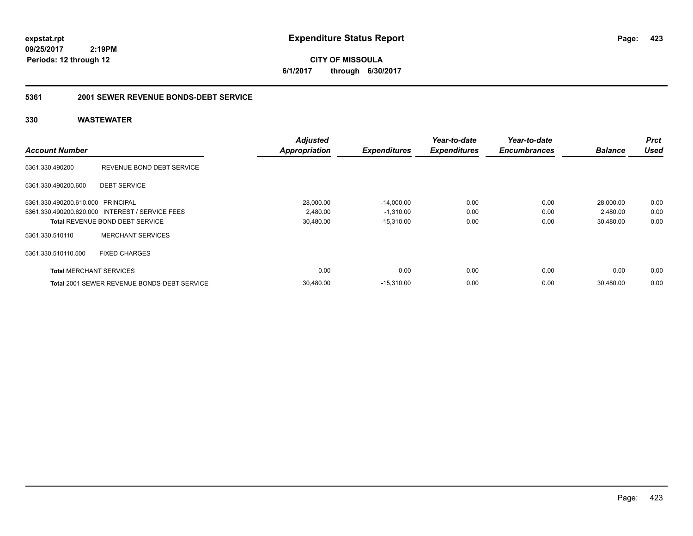**CITY OF MISSOULA 6/1/2017 through 6/30/2017**

#### **5361 2001 SEWER REVENUE BONDS-DEBT SERVICE**

| <b>Account Number</b>             |                                                 | <b>Adjusted</b><br><b>Appropriation</b> | <b>Expenditures</b> | Year-to-date<br><b>Expenditures</b> | Year-to-date<br><b>Encumbrances</b> | <b>Balance</b> | <b>Prct</b><br><b>Used</b> |
|-----------------------------------|-------------------------------------------------|-----------------------------------------|---------------------|-------------------------------------|-------------------------------------|----------------|----------------------------|
|                                   |                                                 |                                         |                     |                                     |                                     |                |                            |
| 5361.330.490200                   | REVENUE BOND DEBT SERVICE                       |                                         |                     |                                     |                                     |                |                            |
| 5361.330.490200.600               | <b>DEBT SERVICE</b>                             |                                         |                     |                                     |                                     |                |                            |
| 5361.330.490200.610.000 PRINCIPAL |                                                 | 28,000.00                               | $-14.000.00$        | 0.00                                | 0.00                                | 28.000.00      | 0.00                       |
|                                   | 5361.330.490200.620.000 INTEREST / SERVICE FEES | 2,480.00                                | $-1,310.00$         | 0.00                                | 0.00                                | 2,480.00       | 0.00                       |
|                                   | <b>Total REVENUE BOND DEBT SERVICE</b>          | 30,480.00                               | $-15,310.00$        | 0.00                                | 0.00                                | 30,480.00      | 0.00                       |
| 5361.330.510110                   | <b>MERCHANT SERVICES</b>                        |                                         |                     |                                     |                                     |                |                            |
| 5361.330.510110.500               | <b>FIXED CHARGES</b>                            |                                         |                     |                                     |                                     |                |                            |
| <b>Total MERCHANT SERVICES</b>    |                                                 | 0.00                                    | 0.00                | 0.00                                | 0.00                                | 0.00           | 0.00                       |
|                                   | Total 2001 SEWER REVENUE BONDS-DEBT SERVICE     | 30,480.00                               | $-15,310.00$        | 0.00                                | 0.00                                | 30.480.00      | 0.00                       |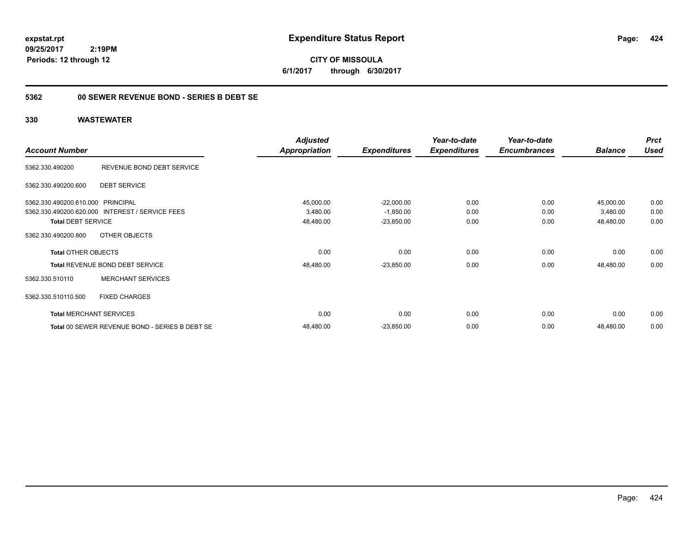**CITY OF MISSOULA 6/1/2017 through 6/30/2017**

### **5362 00 SEWER REVENUE BOND - SERIES B DEBT SE**

|                                   |                                                 | <b>Adjusted</b>      |                     | Year-to-date        | Year-to-date        |                | <b>Prct</b> |
|-----------------------------------|-------------------------------------------------|----------------------|---------------------|---------------------|---------------------|----------------|-------------|
| <b>Account Number</b>             |                                                 | <b>Appropriation</b> | <b>Expenditures</b> | <b>Expenditures</b> | <b>Encumbrances</b> | <b>Balance</b> | <b>Used</b> |
| 5362.330.490200                   | REVENUE BOND DEBT SERVICE                       |                      |                     |                     |                     |                |             |
| 5362.330.490200.600               | <b>DEBT SERVICE</b>                             |                      |                     |                     |                     |                |             |
| 5362.330.490200.610.000 PRINCIPAL |                                                 | 45,000.00            | $-22,000.00$        | 0.00                | 0.00                | 45,000.00      | 0.00        |
|                                   | 5362.330.490200.620.000 INTEREST / SERVICE FEES | 3,480.00             | $-1,850.00$         | 0.00                | 0.00                | 3,480.00       | 0.00        |
| <b>Total DEBT SERVICE</b>         |                                                 | 48,480.00            | $-23,850.00$        | 0.00                | 0.00                | 48,480.00      | 0.00        |
| 5362.330.490200.800               | OTHER OBJECTS                                   |                      |                     |                     |                     |                |             |
| <b>Total OTHER OBJECTS</b>        |                                                 | 0.00                 | 0.00                | 0.00                | 0.00                | 0.00           | 0.00        |
|                                   | Total REVENUE BOND DEBT SERVICE                 | 48,480.00            | $-23,850.00$        | 0.00                | 0.00                | 48,480.00      | 0.00        |
| 5362.330.510110                   | <b>MERCHANT SERVICES</b>                        |                      |                     |                     |                     |                |             |
| 5362.330.510110.500               | <b>FIXED CHARGES</b>                            |                      |                     |                     |                     |                |             |
|                                   | <b>Total MERCHANT SERVICES</b>                  | 0.00                 | 0.00                | 0.00                | 0.00                | 0.00           | 0.00        |
|                                   | Total 00 SEWER REVENUE BOND - SERIES B DEBT SE  | 48,480.00            | $-23,850.00$        | 0.00                | 0.00                | 48,480.00      | 0.00        |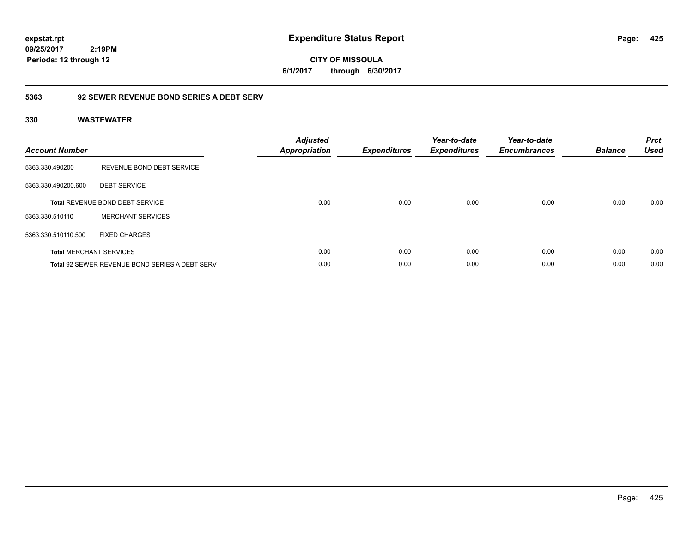**CITY OF MISSOULA 6/1/2017 through 6/30/2017**

### **5363 92 SEWER REVENUE BOND SERIES A DEBT SERV**

| <b>Account Number</b> |                                                       | <b>Adjusted</b><br><b>Appropriation</b> | <b>Expenditures</b> | Year-to-date<br><b>Expenditures</b> | Year-to-date<br><b>Encumbrances</b> | <b>Balance</b> | <b>Prct</b><br><b>Used</b> |
|-----------------------|-------------------------------------------------------|-----------------------------------------|---------------------|-------------------------------------|-------------------------------------|----------------|----------------------------|
| 5363.330.490200       | REVENUE BOND DEBT SERVICE                             |                                         |                     |                                     |                                     |                |                            |
| 5363.330.490200.600   | <b>DEBT SERVICE</b>                                   |                                         |                     |                                     |                                     |                |                            |
|                       | <b>Total REVENUE BOND DEBT SERVICE</b>                | 0.00                                    | 0.00                | 0.00                                | 0.00                                | 0.00           | 0.00                       |
| 5363.330.510110       | <b>MERCHANT SERVICES</b>                              |                                         |                     |                                     |                                     |                |                            |
| 5363.330.510110.500   | <b>FIXED CHARGES</b>                                  |                                         |                     |                                     |                                     |                |                            |
|                       | <b>Total MERCHANT SERVICES</b>                        | 0.00                                    | 0.00                | 0.00                                | 0.00                                | 0.00           | 0.00                       |
|                       | <b>Total 92 SEWER REVENUE BOND SERIES A DEBT SERV</b> | 0.00                                    | 0.00                | 0.00                                | 0.00                                | 0.00           | 0.00                       |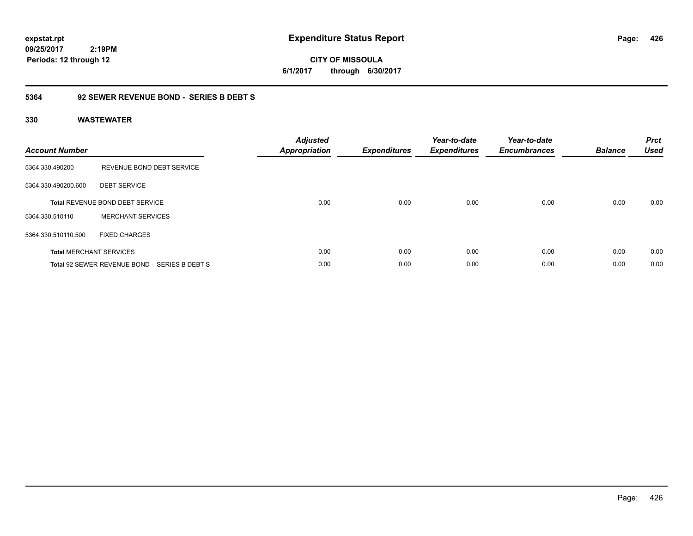**CITY OF MISSOULA 6/1/2017 through 6/30/2017**

### **5364 92 SEWER REVENUE BOND - SERIES B DEBT S**

| <b>Account Number</b> |                                               | <b>Adjusted</b><br>Appropriation | <b>Expenditures</b> | Year-to-date<br><b>Expenditures</b> | Year-to-date<br><b>Encumbrances</b> | <b>Balance</b> | <b>Prct</b><br><b>Used</b> |
|-----------------------|-----------------------------------------------|----------------------------------|---------------------|-------------------------------------|-------------------------------------|----------------|----------------------------|
| 5364.330.490200       | REVENUE BOND DEBT SERVICE                     |                                  |                     |                                     |                                     |                |                            |
| 5364.330.490200.600   | <b>DEBT SERVICE</b>                           |                                  |                     |                                     |                                     |                |                            |
|                       | Total REVENUE BOND DEBT SERVICE               | 0.00                             | 0.00                | 0.00                                | 0.00                                | 0.00           | 0.00                       |
| 5364.330.510110       | <b>MERCHANT SERVICES</b>                      |                                  |                     |                                     |                                     |                |                            |
| 5364.330.510110.500   | <b>FIXED CHARGES</b>                          |                                  |                     |                                     |                                     |                |                            |
|                       | <b>Total MERCHANT SERVICES</b>                | 0.00                             | 0.00                | 0.00                                | 0.00                                | 0.00           | 0.00                       |
|                       | Total 92 SEWER REVENUE BOND - SERIES B DEBT S | 0.00                             | 0.00                | 0.00                                | 0.00                                | 0.00           | 0.00                       |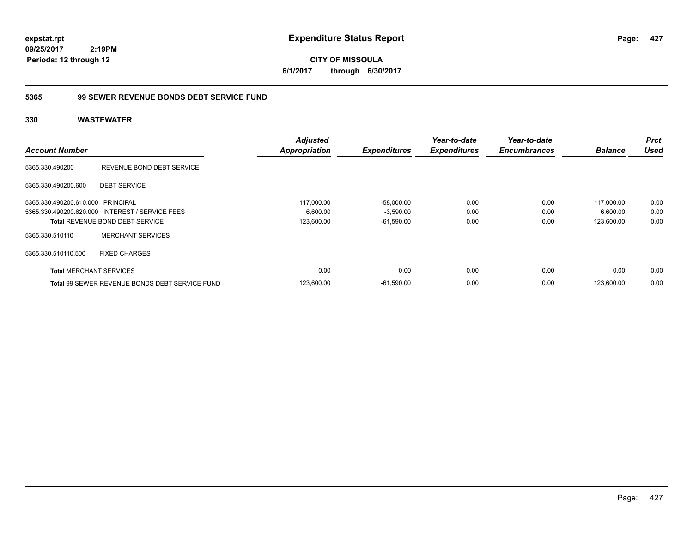**CITY OF MISSOULA 6/1/2017 through 6/30/2017**

### **5365 99 SEWER REVENUE BONDS DEBT SERVICE FUND**

|                                   |                                                       | <b>Adjusted</b>      |                     | Year-to-date        | Year-to-date        |                | Prct        |
|-----------------------------------|-------------------------------------------------------|----------------------|---------------------|---------------------|---------------------|----------------|-------------|
| <b>Account Number</b>             |                                                       | <b>Appropriation</b> | <b>Expenditures</b> | <b>Expenditures</b> | <b>Encumbrances</b> | <b>Balance</b> | <b>Used</b> |
| 5365.330.490200                   | REVENUE BOND DEBT SERVICE                             |                      |                     |                     |                     |                |             |
| 5365.330.490200.600               | <b>DEBT SERVICE</b>                                   |                      |                     |                     |                     |                |             |
| 5365.330.490200.610.000 PRINCIPAL |                                                       | 117,000.00           | $-58,000.00$        | 0.00                | 0.00                | 117,000.00     | 0.00        |
|                                   | 5365.330.490200.620.000 INTEREST / SERVICE FEES       | 6,600.00             | $-3,590.00$         | 0.00                | 0.00                | 6,600.00       | 0.00        |
|                                   | <b>Total REVENUE BOND DEBT SERVICE</b>                | 123,600.00           | $-61,590.00$        | 0.00                | 0.00                | 123,600.00     | 0.00        |
| 5365.330.510110                   | <b>MERCHANT SERVICES</b>                              |                      |                     |                     |                     |                |             |
| 5365.330.510110.500               | <b>FIXED CHARGES</b>                                  |                      |                     |                     |                     |                |             |
| <b>Total MERCHANT SERVICES</b>    |                                                       | 0.00                 | 0.00                | 0.00                | 0.00                | 0.00           | 0.00        |
|                                   | <b>Total 99 SEWER REVENUE BONDS DEBT SERVICE FUND</b> | 123,600.00           | $-61,590.00$        | 0.00                | 0.00                | 123.600.00     | 0.00        |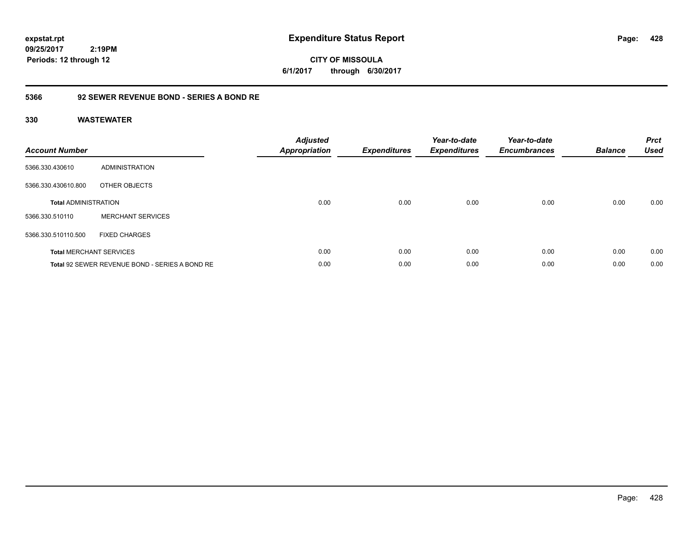**CITY OF MISSOULA 6/1/2017 through 6/30/2017**

### **5366 92 SEWER REVENUE BOND - SERIES A BOND RE**

| <b>Account Number</b>       |                                                | <b>Adjusted</b><br><b>Appropriation</b> | <b>Expenditures</b> | Year-to-date<br><b>Expenditures</b> | Year-to-date<br><b>Encumbrances</b> | <b>Balance</b> | <b>Prct</b><br><b>Used</b> |
|-----------------------------|------------------------------------------------|-----------------------------------------|---------------------|-------------------------------------|-------------------------------------|----------------|----------------------------|
| 5366.330.430610             | <b>ADMINISTRATION</b>                          |                                         |                     |                                     |                                     |                |                            |
| 5366.330.430610.800         | OTHER OBJECTS                                  |                                         |                     |                                     |                                     |                |                            |
| <b>Total ADMINISTRATION</b> |                                                | 0.00                                    | 0.00                | 0.00                                | 0.00                                | 0.00           | 0.00                       |
| 5366.330.510110             | <b>MERCHANT SERVICES</b>                       |                                         |                     |                                     |                                     |                |                            |
| 5366.330.510110.500         | <b>FIXED CHARGES</b>                           |                                         |                     |                                     |                                     |                |                            |
|                             | <b>Total MERCHANT SERVICES</b>                 | 0.00                                    | 0.00                | 0.00                                | 0.00                                | 0.00           | 0.00                       |
|                             | Total 92 SEWER REVENUE BOND - SERIES A BOND RE | 0.00                                    | 0.00                | 0.00                                | 0.00                                | 0.00           | 0.00                       |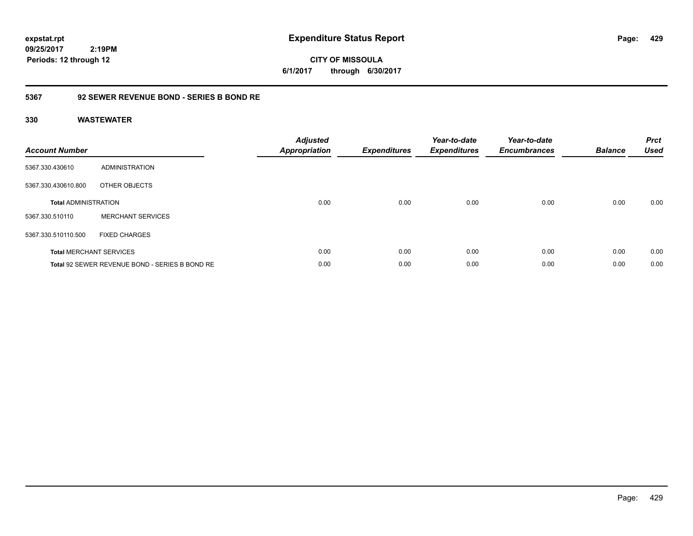**CITY OF MISSOULA 6/1/2017 through 6/30/2017**

### **5367 92 SEWER REVENUE BOND - SERIES B BOND RE**

| <b>Account Number</b>       |                                                | <b>Adjusted</b><br><b>Appropriation</b> | <b>Expenditures</b> | Year-to-date<br><b>Expenditures</b> | Year-to-date<br><b>Encumbrances</b> | <b>Balance</b> | <b>Prct</b><br><b>Used</b> |
|-----------------------------|------------------------------------------------|-----------------------------------------|---------------------|-------------------------------------|-------------------------------------|----------------|----------------------------|
| 5367.330.430610             | ADMINISTRATION                                 |                                         |                     |                                     |                                     |                |                            |
| 5367.330.430610.800         | OTHER OBJECTS                                  |                                         |                     |                                     |                                     |                |                            |
| <b>Total ADMINISTRATION</b> |                                                | 0.00                                    | 0.00                | 0.00                                | 0.00                                | 0.00           | 0.00                       |
| 5367.330.510110             | <b>MERCHANT SERVICES</b>                       |                                         |                     |                                     |                                     |                |                            |
| 5367.330.510110.500         | <b>FIXED CHARGES</b>                           |                                         |                     |                                     |                                     |                |                            |
|                             | <b>Total MERCHANT SERVICES</b>                 | 0.00                                    | 0.00                | 0.00                                | 0.00                                | 0.00           | 0.00                       |
|                             | Total 92 SEWER REVENUE BOND - SERIES B BOND RE | 0.00                                    | 0.00                | 0.00                                | 0.00                                | 0.00           | 0.00                       |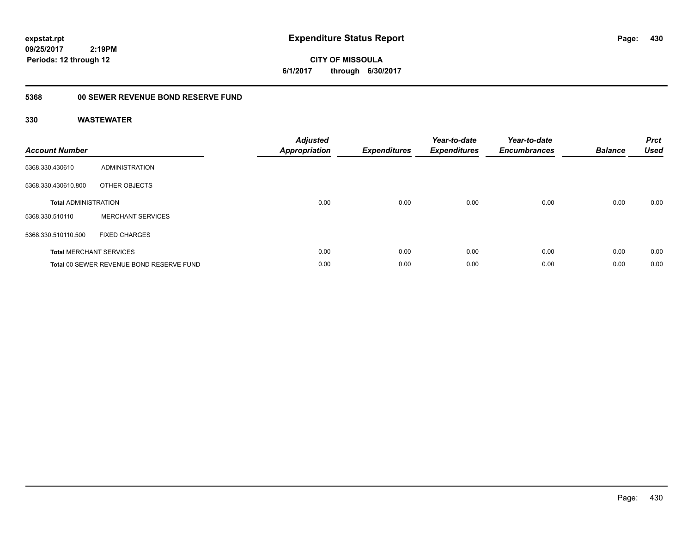**CITY OF MISSOULA 6/1/2017 through 6/30/2017**

## **5368 00 SEWER REVENUE BOND RESERVE FUND**

| <b>Account Number</b>       |                                          | <b>Adjusted</b><br><b>Appropriation</b> | <b>Expenditures</b> | Year-to-date<br><b>Expenditures</b> | Year-to-date<br><b>Encumbrances</b> | <b>Balance</b> | <b>Prct</b><br><b>Used</b> |
|-----------------------------|------------------------------------------|-----------------------------------------|---------------------|-------------------------------------|-------------------------------------|----------------|----------------------------|
| 5368.330.430610             | ADMINISTRATION                           |                                         |                     |                                     |                                     |                |                            |
| 5368.330.430610.800         | OTHER OBJECTS                            |                                         |                     |                                     |                                     |                |                            |
| <b>Total ADMINISTRATION</b> |                                          | 0.00                                    | 0.00                | 0.00                                | 0.00                                | 0.00           | 0.00                       |
| 5368.330.510110             | <b>MERCHANT SERVICES</b>                 |                                         |                     |                                     |                                     |                |                            |
| 5368.330.510110.500         | <b>FIXED CHARGES</b>                     |                                         |                     |                                     |                                     |                |                            |
|                             | <b>Total MERCHANT SERVICES</b>           | 0.00                                    | 0.00                | 0.00                                | 0.00                                | 0.00           | 0.00                       |
|                             | Total 00 SEWER REVENUE BOND RESERVE FUND | 0.00                                    | 0.00                | 0.00                                | 0.00                                | 0.00           | 0.00                       |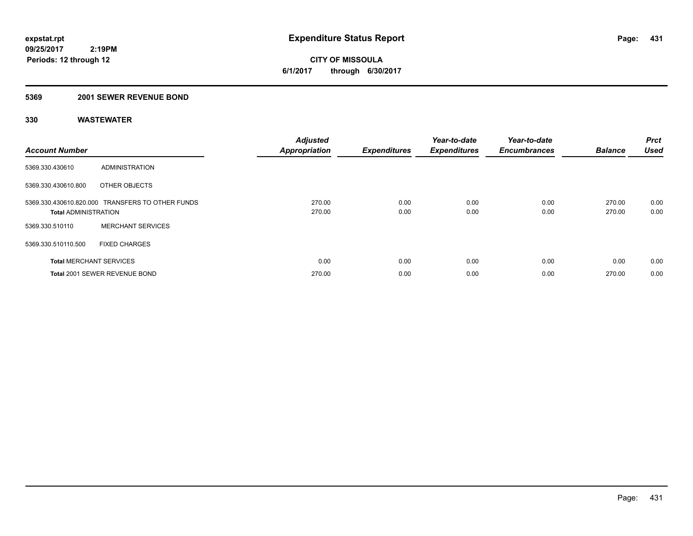**CITY OF MISSOULA 6/1/2017 through 6/30/2017**

### **5369 2001 SEWER REVENUE BOND**

| <b>Account Number</b>          |                                                  | <b>Adjusted</b><br><b>Appropriation</b> | <b>Expenditures</b> | Year-to-date<br><b>Expenditures</b> | Year-to-date<br><b>Encumbrances</b> | <b>Balance</b>   | <b>Prct</b><br><b>Used</b> |
|--------------------------------|--------------------------------------------------|-----------------------------------------|---------------------|-------------------------------------|-------------------------------------|------------------|----------------------------|
| 5369.330.430610                | ADMINISTRATION                                   |                                         |                     |                                     |                                     |                  |                            |
| 5369.330.430610.800            | OTHER OBJECTS                                    |                                         |                     |                                     |                                     |                  |                            |
| <b>Total ADMINISTRATION</b>    | 5369.330.430610.820.000 TRANSFERS TO OTHER FUNDS | 270.00<br>270.00                        | 0.00<br>0.00        | 0.00<br>0.00                        | 0.00<br>0.00                        | 270.00<br>270.00 | 0.00<br>0.00               |
| 5369.330.510110                | <b>MERCHANT SERVICES</b>                         |                                         |                     |                                     |                                     |                  |                            |
| 5369.330.510110.500            | <b>FIXED CHARGES</b>                             |                                         |                     |                                     |                                     |                  |                            |
| <b>Total MERCHANT SERVICES</b> |                                                  | 0.00                                    | 0.00                | 0.00                                | 0.00                                | 0.00             | 0.00                       |
|                                | Total 2001 SEWER REVENUE BOND                    | 270.00                                  | 0.00                | 0.00                                | 0.00                                | 270.00           | 0.00                       |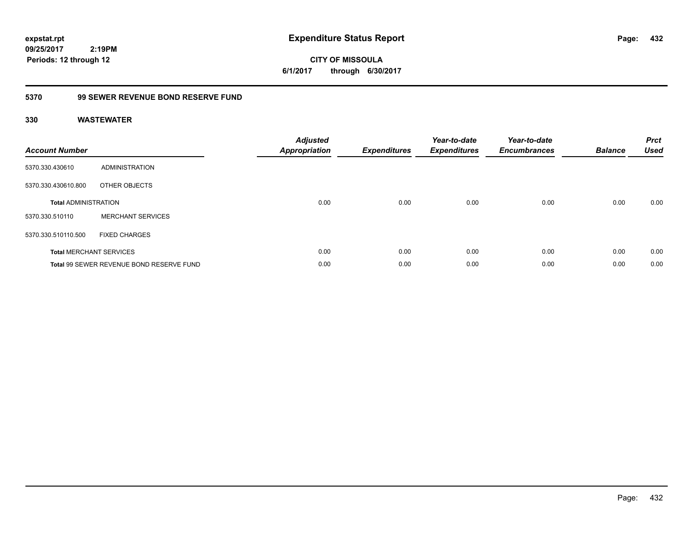**CITY OF MISSOULA 6/1/2017 through 6/30/2017**

### **5370 99 SEWER REVENUE BOND RESERVE FUND**

| <b>Account Number</b>       |                                          | <b>Adjusted</b><br><b>Appropriation</b> | <b>Expenditures</b> | Year-to-date<br><b>Expenditures</b> | Year-to-date<br><b>Encumbrances</b> | <b>Balance</b> | <b>Prct</b><br><b>Used</b> |
|-----------------------------|------------------------------------------|-----------------------------------------|---------------------|-------------------------------------|-------------------------------------|----------------|----------------------------|
| 5370.330.430610             | ADMINISTRATION                           |                                         |                     |                                     |                                     |                |                            |
| 5370.330.430610.800         | OTHER OBJECTS                            |                                         |                     |                                     |                                     |                |                            |
| <b>Total ADMINISTRATION</b> |                                          | 0.00                                    | 0.00                | 0.00                                | 0.00                                | 0.00           | 0.00                       |
| 5370.330.510110             | <b>MERCHANT SERVICES</b>                 |                                         |                     |                                     |                                     |                |                            |
| 5370.330.510110.500         | <b>FIXED CHARGES</b>                     |                                         |                     |                                     |                                     |                |                            |
|                             | <b>Total MERCHANT SERVICES</b>           | 0.00                                    | 0.00                | 0.00                                | 0.00                                | 0.00           | 0.00                       |
|                             | Total 99 SEWER REVENUE BOND RESERVE FUND | 0.00                                    | 0.00                | 0.00                                | 0.00                                | 0.00           | 0.00                       |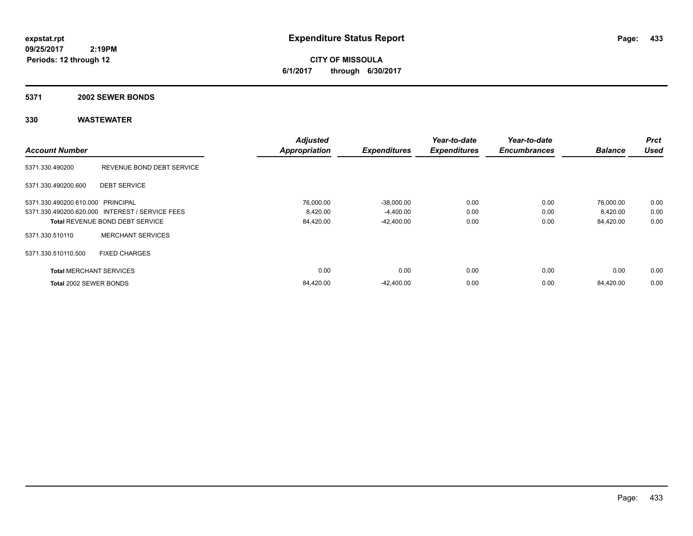**CITY OF MISSOULA 6/1/2017 through 6/30/2017**

### **5371 2002 SEWER BONDS**

|                                   |                                                 | <b>Adjusted</b>      |                     | Year-to-date        | Year-to-date        |                | <b>Prct</b> |
|-----------------------------------|-------------------------------------------------|----------------------|---------------------|---------------------|---------------------|----------------|-------------|
| <b>Account Number</b>             |                                                 | <b>Appropriation</b> | <b>Expenditures</b> | <b>Expenditures</b> | <b>Encumbrances</b> | <b>Balance</b> | <b>Used</b> |
| 5371.330.490200                   | REVENUE BOND DEBT SERVICE                       |                      |                     |                     |                     |                |             |
| 5371.330.490200.600               | <b>DEBT SERVICE</b>                             |                      |                     |                     |                     |                |             |
| 5371.330.490200.610.000 PRINCIPAL |                                                 | 76,000.00            | $-38,000.00$        | 0.00                | 0.00                | 76,000.00      | 0.00        |
|                                   | 5371.330.490200.620.000 INTEREST / SERVICE FEES | 8,420.00             | $-4,400.00$         | 0.00                | 0.00                | 8,420.00       | 0.00        |
|                                   | <b>Total REVENUE BOND DEBT SERVICE</b>          | 84,420.00            | $-42,400.00$        | 0.00                | 0.00                | 84,420.00      | 0.00        |
| 5371.330.510110                   | <b>MERCHANT SERVICES</b>                        |                      |                     |                     |                     |                |             |
| 5371.330.510110.500               | <b>FIXED CHARGES</b>                            |                      |                     |                     |                     |                |             |
| <b>Total MERCHANT SERVICES</b>    |                                                 | 0.00                 | 0.00                | 0.00                | 0.00                | 0.00           | 0.00        |
| Total 2002 SEWER BONDS            |                                                 | 84,420.00            | $-42.400.00$        | 0.00                | 0.00                | 84,420.00      | 0.00        |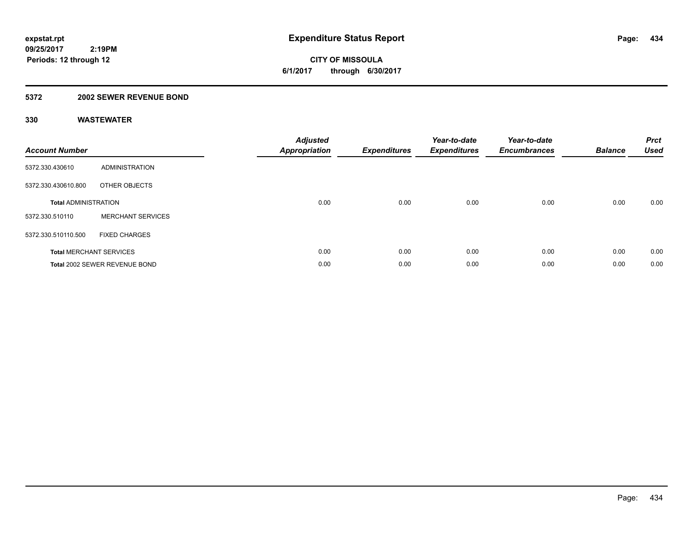**434**

**09/25/2017 2:19PM Periods: 12 through 12**

**CITY OF MISSOULA 6/1/2017 through 6/30/2017**

### **5372 2002 SEWER REVENUE BOND**

| <b>Account Number</b>          |                               | <b>Adjusted</b><br><b>Appropriation</b> | <b>Expenditures</b> | Year-to-date<br><b>Expenditures</b> | Year-to-date<br><b>Encumbrances</b> | <b>Balance</b> | <b>Prct</b><br><b>Used</b> |
|--------------------------------|-------------------------------|-----------------------------------------|---------------------|-------------------------------------|-------------------------------------|----------------|----------------------------|
| 5372.330.430610                | ADMINISTRATION                |                                         |                     |                                     |                                     |                |                            |
| 5372.330.430610.800            | OTHER OBJECTS                 |                                         |                     |                                     |                                     |                |                            |
| <b>Total ADMINISTRATION</b>    |                               | 0.00                                    | 0.00                | 0.00                                | 0.00                                | 0.00           | 0.00                       |
| 5372.330.510110                | <b>MERCHANT SERVICES</b>      |                                         |                     |                                     |                                     |                |                            |
| 5372.330.510110.500            | <b>FIXED CHARGES</b>          |                                         |                     |                                     |                                     |                |                            |
| <b>Total MERCHANT SERVICES</b> |                               | 0.00                                    | 0.00                | 0.00                                | 0.00                                | 0.00           | 0.00                       |
|                                | Total 2002 SEWER REVENUE BOND | 0.00                                    | 0.00                | 0.00                                | 0.00                                | 0.00           | 0.00                       |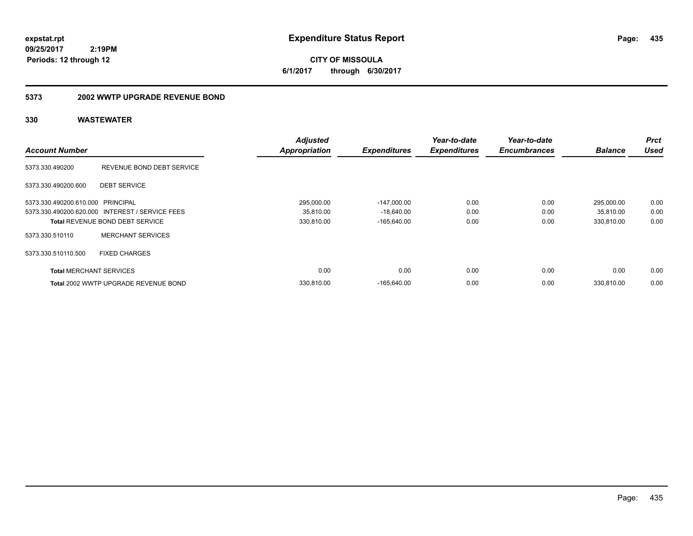**CITY OF MISSOULA 6/1/2017 through 6/30/2017**

### **5373 2002 WWTP UPGRADE REVENUE BOND**

| <b>Account Number</b>             |                                                 | <b>Adjusted</b><br><b>Appropriation</b> | <b>Expenditures</b> | Year-to-date<br><b>Expenditures</b> | Year-to-date<br><b>Encumbrances</b> | <b>Balance</b> | Prct<br><b>Used</b> |
|-----------------------------------|-------------------------------------------------|-----------------------------------------|---------------------|-------------------------------------|-------------------------------------|----------------|---------------------|
|                                   |                                                 |                                         |                     |                                     |                                     |                |                     |
| 5373.330.490200                   | REVENUE BOND DEBT SERVICE                       |                                         |                     |                                     |                                     |                |                     |
| 5373.330.490200.600               | <b>DEBT SERVICE</b>                             |                                         |                     |                                     |                                     |                |                     |
| 5373.330.490200.610.000 PRINCIPAL |                                                 | 295,000.00                              | $-147,000.00$       | 0.00                                | 0.00                                | 295,000.00     | 0.00                |
|                                   | 5373.330.490200.620.000 INTEREST / SERVICE FEES | 35,810.00                               | $-18,640.00$        | 0.00                                | 0.00                                | 35,810.00      | 0.00                |
|                                   | <b>Total REVENUE BOND DEBT SERVICE</b>          | 330,810.00                              | $-165.640.00$       | 0.00                                | 0.00                                | 330,810.00     | 0.00                |
| 5373.330.510110                   | <b>MERCHANT SERVICES</b>                        |                                         |                     |                                     |                                     |                |                     |
| 5373.330.510110.500               | <b>FIXED CHARGES</b>                            |                                         |                     |                                     |                                     |                |                     |
| <b>Total MERCHANT SERVICES</b>    |                                                 | 0.00                                    | 0.00                | 0.00                                | 0.00                                | 0.00           | 0.00                |
|                                   | Total 2002 WWTP UPGRADE REVENUE BOND            | 330.810.00                              | $-165.640.00$       | 0.00                                | 0.00                                | 330.810.00     | 0.00                |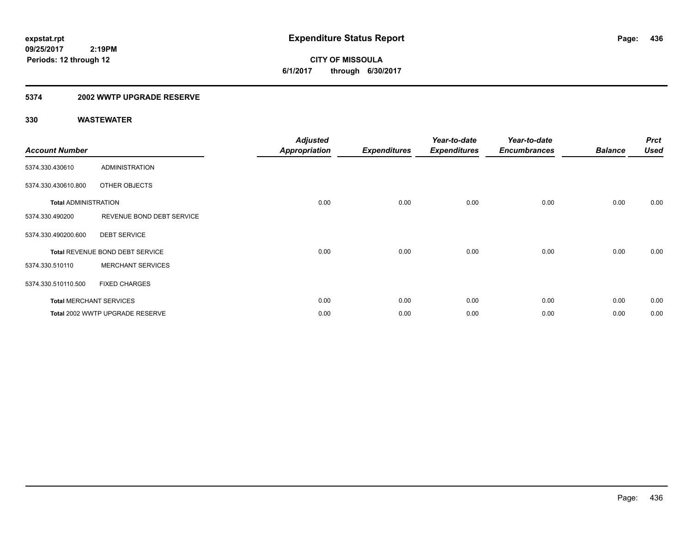**436**

**09/25/2017 2:19PM Periods: 12 through 12**

**CITY OF MISSOULA 6/1/2017 through 6/30/2017**

### **5374 2002 WWTP UPGRADE RESERVE**

| <b>Account Number</b>       |                                 | <b>Adjusted</b><br><b>Appropriation</b> | <b>Expenditures</b> | Year-to-date<br><b>Expenditures</b> | Year-to-date<br><b>Encumbrances</b> | <b>Balance</b> | <b>Prct</b><br><b>Used</b> |
|-----------------------------|---------------------------------|-----------------------------------------|---------------------|-------------------------------------|-------------------------------------|----------------|----------------------------|
| 5374.330.430610             | <b>ADMINISTRATION</b>           |                                         |                     |                                     |                                     |                |                            |
| 5374.330.430610.800         | OTHER OBJECTS                   |                                         |                     |                                     |                                     |                |                            |
| <b>Total ADMINISTRATION</b> |                                 | 0.00                                    | 0.00                | 0.00                                | 0.00                                | 0.00           | 0.00                       |
| 5374.330.490200             | REVENUE BOND DEBT SERVICE       |                                         |                     |                                     |                                     |                |                            |
| 5374.330.490200.600         | <b>DEBT SERVICE</b>             |                                         |                     |                                     |                                     |                |                            |
|                             | Total REVENUE BOND DEBT SERVICE | 0.00                                    | 0.00                | 0.00                                | 0.00                                | 0.00           | 0.00                       |
| 5374.330.510110             | <b>MERCHANT SERVICES</b>        |                                         |                     |                                     |                                     |                |                            |
| 5374.330.510110.500         | <b>FIXED CHARGES</b>            |                                         |                     |                                     |                                     |                |                            |
|                             | <b>Total MERCHANT SERVICES</b>  | 0.00                                    | 0.00                | 0.00                                | 0.00                                | 0.00           | 0.00                       |
|                             | Total 2002 WWTP UPGRADE RESERVE | 0.00                                    | 0.00                | 0.00                                | 0.00                                | 0.00           | 0.00                       |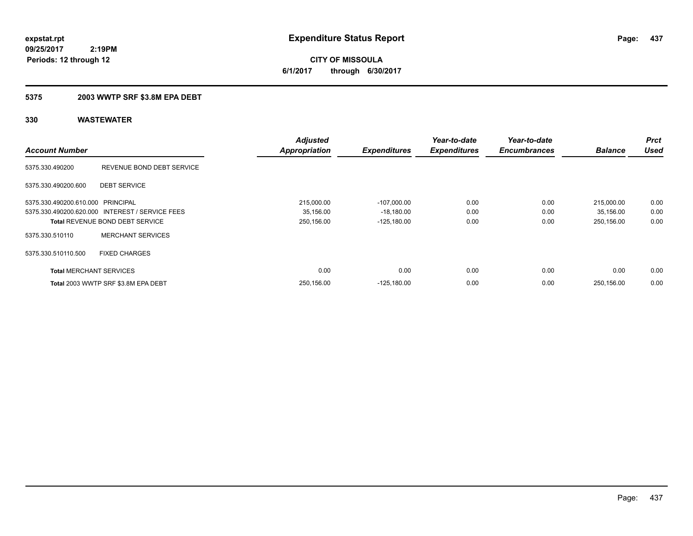**437**

**09/25/2017 2:19PM Periods: 12 through 12**

**CITY OF MISSOULA 6/1/2017 through 6/30/2017**

### **5375 2003 WWTP SRF \$3.8M EPA DEBT**

| <b>Account Number</b>             |                                                 | <b>Adjusted</b><br><b>Appropriation</b> | <b>Expenditures</b> | Year-to-date<br><b>Expenditures</b> | Year-to-date<br><b>Encumbrances</b> | <b>Balance</b> | <b>Prct</b><br><b>Used</b> |
|-----------------------------------|-------------------------------------------------|-----------------------------------------|---------------------|-------------------------------------|-------------------------------------|----------------|----------------------------|
| 5375.330.490200                   | REVENUE BOND DEBT SERVICE                       |                                         |                     |                                     |                                     |                |                            |
| 5375.330.490200.600               | <b>DEBT SERVICE</b>                             |                                         |                     |                                     |                                     |                |                            |
| 5375.330.490200.610.000 PRINCIPAL |                                                 | 215,000.00                              | $-107,000.00$       | 0.00                                | 0.00                                | 215,000.00     | 0.00                       |
|                                   | 5375.330.490200.620.000 INTEREST / SERVICE FEES | 35,156.00                               | $-18,180.00$        | 0.00                                | 0.00                                | 35,156.00      | 0.00                       |
|                                   | <b>Total REVENUE BOND DEBT SERVICE</b>          | 250,156.00                              | $-125.180.00$       | 0.00                                | 0.00                                | 250.156.00     | 0.00                       |
| 5375.330.510110                   | <b>MERCHANT SERVICES</b>                        |                                         |                     |                                     |                                     |                |                            |
| 5375.330.510110.500               | <b>FIXED CHARGES</b>                            |                                         |                     |                                     |                                     |                |                            |
| <b>Total MERCHANT SERVICES</b>    |                                                 | 0.00                                    | 0.00                | 0.00                                | 0.00                                | 0.00           | 0.00                       |
|                                   | Total 2003 WWTP SRF \$3.8M EPA DEBT             | 250.156.00                              | $-125.180.00$       | 0.00                                | 0.00                                | 250.156.00     | 0.00                       |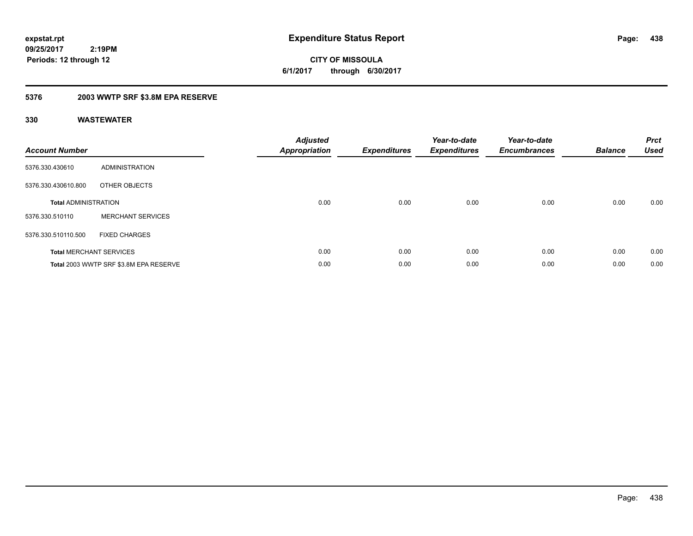**CITY OF MISSOULA 6/1/2017 through 6/30/2017**

### **5376 2003 WWTP SRF \$3.8M EPA RESERVE**

| <b>Account Number</b>       |                                        | Adjusted<br><b>Appropriation</b> | <b>Expenditures</b> | Year-to-date<br><b>Expenditures</b> | Year-to-date<br><b>Encumbrances</b> | <b>Balance</b> | <b>Prct</b><br><b>Used</b> |
|-----------------------------|----------------------------------------|----------------------------------|---------------------|-------------------------------------|-------------------------------------|----------------|----------------------------|
| 5376.330.430610             | <b>ADMINISTRATION</b>                  |                                  |                     |                                     |                                     |                |                            |
| 5376.330.430610.800         | OTHER OBJECTS                          |                                  |                     |                                     |                                     |                |                            |
| <b>Total ADMINISTRATION</b> |                                        | 0.00                             | 0.00                | 0.00                                | 0.00                                | 0.00           | 0.00                       |
| 5376.330.510110             | <b>MERCHANT SERVICES</b>               |                                  |                     |                                     |                                     |                |                            |
| 5376.330.510110.500         | <b>FIXED CHARGES</b>                   |                                  |                     |                                     |                                     |                |                            |
|                             | <b>Total MERCHANT SERVICES</b>         | 0.00                             | 0.00                | 0.00                                | 0.00                                | 0.00           | 0.00                       |
|                             | Total 2003 WWTP SRF \$3.8M EPA RESERVE | 0.00                             | 0.00                | 0.00                                | 0.00                                | 0.00           | 0.00                       |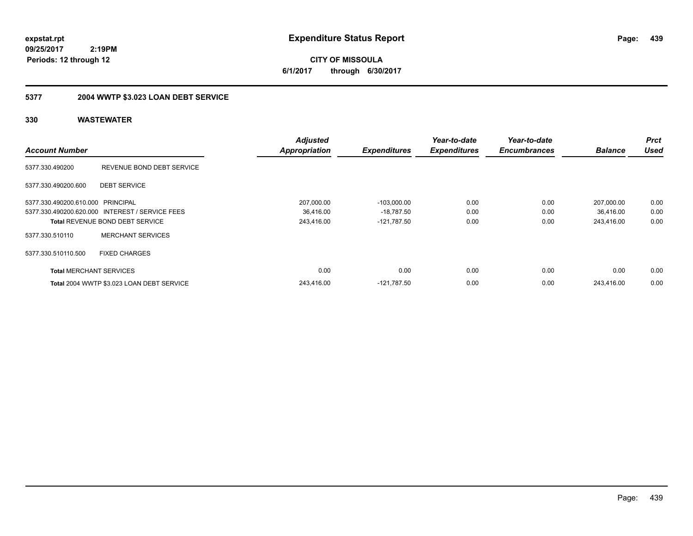**CITY OF MISSOULA 6/1/2017 through 6/30/2017**

## **5377 2004 WWTP \$3.023 LOAN DEBT SERVICE**

|                                   |                                                 | <b>Adjusted</b>      |                     | Year-to-date        | Year-to-date        |                | <b>Prct</b> |
|-----------------------------------|-------------------------------------------------|----------------------|---------------------|---------------------|---------------------|----------------|-------------|
| <b>Account Number</b>             |                                                 | <b>Appropriation</b> | <b>Expenditures</b> | <b>Expenditures</b> | <b>Encumbrances</b> | <b>Balance</b> | <b>Used</b> |
| 5377.330.490200                   | REVENUE BOND DEBT SERVICE                       |                      |                     |                     |                     |                |             |
| 5377.330.490200.600               | <b>DEBT SERVICE</b>                             |                      |                     |                     |                     |                |             |
| 5377.330.490200.610.000 PRINCIPAL |                                                 | 207,000.00           | $-103.000.00$       | 0.00                | 0.00                | 207.000.00     | 0.00        |
|                                   | 5377.330.490200.620.000 INTEREST / SERVICE FEES | 36.416.00            | $-18,787.50$        | 0.00                | 0.00                | 36,416.00      | 0.00        |
|                                   | <b>Total REVENUE BOND DEBT SERVICE</b>          | 243,416.00           | $-121,787.50$       | 0.00                | 0.00                | 243,416.00     | 0.00        |
| 5377.330.510110                   | <b>MERCHANT SERVICES</b>                        |                      |                     |                     |                     |                |             |
| 5377.330.510110.500               | <b>FIXED CHARGES</b>                            |                      |                     |                     |                     |                |             |
| <b>Total MERCHANT SERVICES</b>    |                                                 | 0.00                 | 0.00                | 0.00                | 0.00                | 0.00           | 0.00        |
|                                   | Total 2004 WWTP \$3.023 LOAN DEBT SERVICE       | 243,416.00           | $-121.787.50$       | 0.00                | 0.00                | 243.416.00     | 0.00        |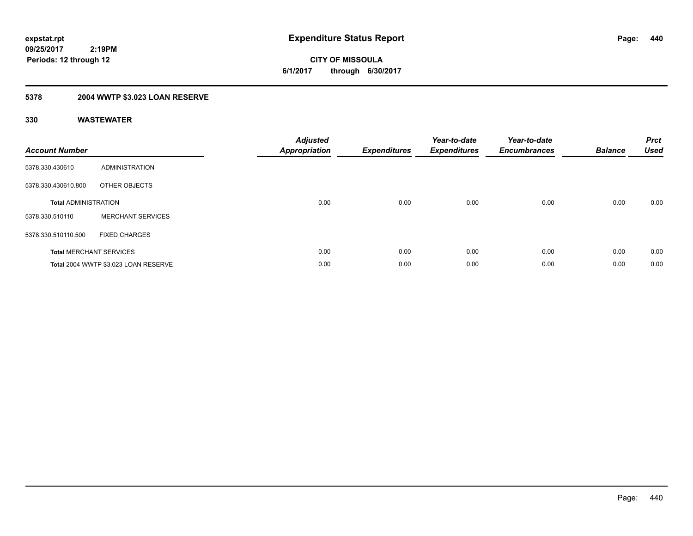**CITY OF MISSOULA 6/1/2017 through 6/30/2017**

## **5378 2004 WWTP \$3.023 LOAN RESERVE**

| <b>Account Number</b>       |                                      | <b>Adjusted</b><br>Appropriation | <b>Expenditures</b> | Year-to-date<br><b>Expenditures</b> | Year-to-date<br><b>Encumbrances</b> | <b>Balance</b> | <b>Prct</b><br><b>Used</b> |
|-----------------------------|--------------------------------------|----------------------------------|---------------------|-------------------------------------|-------------------------------------|----------------|----------------------------|
| 5378.330.430610             | ADMINISTRATION                       |                                  |                     |                                     |                                     |                |                            |
| 5378.330.430610.800         | OTHER OBJECTS                        |                                  |                     |                                     |                                     |                |                            |
| <b>Total ADMINISTRATION</b> |                                      | 0.00                             | 0.00                | 0.00                                | 0.00                                | 0.00           | 0.00                       |
| 5378.330.510110             | <b>MERCHANT SERVICES</b>             |                                  |                     |                                     |                                     |                |                            |
| 5378.330.510110.500         | <b>FIXED CHARGES</b>                 |                                  |                     |                                     |                                     |                |                            |
|                             | <b>Total MERCHANT SERVICES</b>       | 0.00                             | 0.00                | 0.00                                | 0.00                                | 0.00           | 0.00                       |
|                             | Total 2004 WWTP \$3.023 LOAN RESERVE | 0.00                             | 0.00                | 0.00                                | 0.00                                | 0.00           | 0.00                       |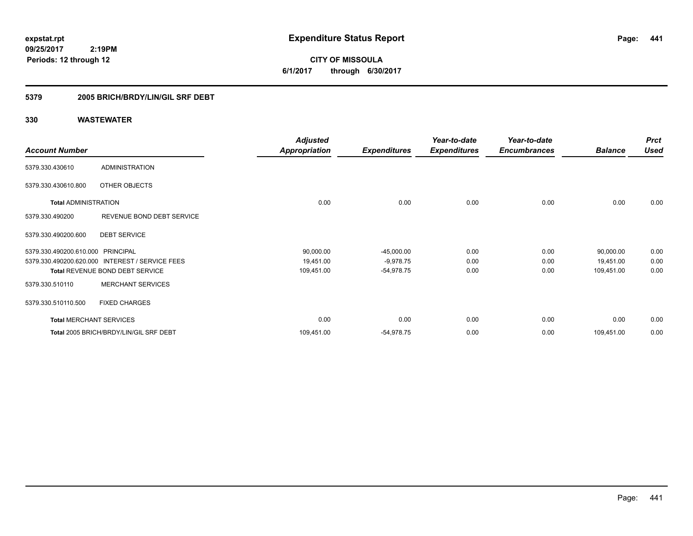**CITY OF MISSOULA 6/1/2017 through 6/30/2017**

### **5379 2005 BRICH/BRDY/LIN/GIL SRF DEBT**

|                                   |                                                 | <b>Adjusted</b>      |                     | Year-to-date        | Year-to-date        |                | <b>Prct</b> |
|-----------------------------------|-------------------------------------------------|----------------------|---------------------|---------------------|---------------------|----------------|-------------|
| <b>Account Number</b>             |                                                 | <b>Appropriation</b> | <b>Expenditures</b> | <b>Expenditures</b> | <b>Encumbrances</b> | <b>Balance</b> | <b>Used</b> |
| 5379.330.430610                   | <b>ADMINISTRATION</b>                           |                      |                     |                     |                     |                |             |
| 5379.330.430610.800               | OTHER OBJECTS                                   |                      |                     |                     |                     |                |             |
| <b>Total ADMINISTRATION</b>       |                                                 | 0.00                 | 0.00                | 0.00                | 0.00                | 0.00           | 0.00        |
| 5379.330.490200                   | REVENUE BOND DEBT SERVICE                       |                      |                     |                     |                     |                |             |
| 5379.330.490200.600               | <b>DEBT SERVICE</b>                             |                      |                     |                     |                     |                |             |
| 5379.330.490200.610.000 PRINCIPAL |                                                 | 90,000.00            | $-45,000.00$        | 0.00                | 0.00                | 90,000.00      | 0.00        |
|                                   | 5379.330.490200.620.000 INTEREST / SERVICE FEES | 19,451.00            | $-9,978.75$         | 0.00                | 0.00                | 19,451.00      | 0.00        |
|                                   | <b>Total REVENUE BOND DEBT SERVICE</b>          | 109,451.00           | $-54,978.75$        | 0.00                | 0.00                | 109,451.00     | 0.00        |
| 5379.330.510110                   | <b>MERCHANT SERVICES</b>                        |                      |                     |                     |                     |                |             |
| 5379.330.510110.500               | <b>FIXED CHARGES</b>                            |                      |                     |                     |                     |                |             |
| <b>Total MERCHANT SERVICES</b>    |                                                 | 0.00                 | 0.00                | 0.00                | 0.00                | 0.00           | 0.00        |
|                                   | Total 2005 BRICH/BRDY/LIN/GIL SRF DEBT          | 109,451.00           | $-54,978.75$        | 0.00                | 0.00                | 109,451.00     | 0.00        |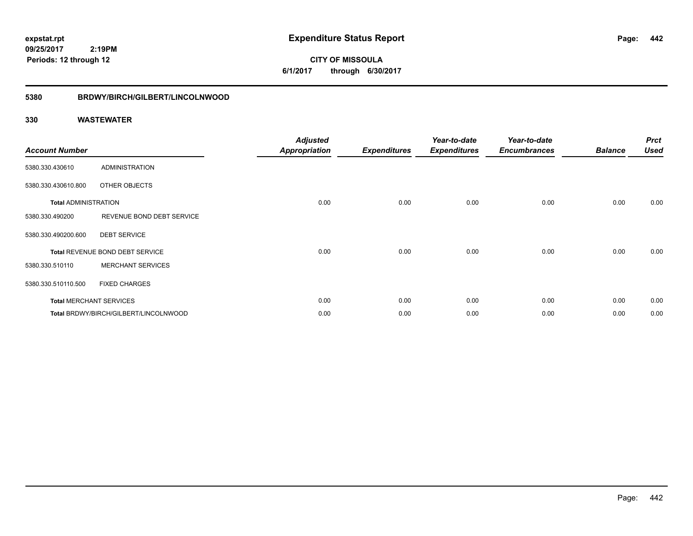**CITY OF MISSOULA 6/1/2017 through 6/30/2017**

### **5380 BRDWY/BIRCH/GILBERT/LINCOLNWOOD**

| <b>Account Number</b>       |                                       | <b>Adjusted</b><br><b>Appropriation</b> | <b>Expenditures</b> | Year-to-date<br><b>Expenditures</b> | Year-to-date<br><b>Encumbrances</b> | <b>Balance</b> | <b>Prct</b><br><b>Used</b> |
|-----------------------------|---------------------------------------|-----------------------------------------|---------------------|-------------------------------------|-------------------------------------|----------------|----------------------------|
| 5380.330.430610             | <b>ADMINISTRATION</b>                 |                                         |                     |                                     |                                     |                |                            |
| 5380.330.430610.800         | OTHER OBJECTS                         |                                         |                     |                                     |                                     |                |                            |
| <b>Total ADMINISTRATION</b> |                                       | 0.00                                    | 0.00                | 0.00                                | 0.00                                | 0.00           | 0.00                       |
| 5380.330.490200             | REVENUE BOND DEBT SERVICE             |                                         |                     |                                     |                                     |                |                            |
| 5380.330.490200.600         | <b>DEBT SERVICE</b>                   |                                         |                     |                                     |                                     |                |                            |
|                             | Total REVENUE BOND DEBT SERVICE       | 0.00                                    | 0.00                | 0.00                                | 0.00                                | 0.00           | 0.00                       |
| 5380.330.510110             | <b>MERCHANT SERVICES</b>              |                                         |                     |                                     |                                     |                |                            |
| 5380.330.510110.500         | <b>FIXED CHARGES</b>                  |                                         |                     |                                     |                                     |                |                            |
|                             | <b>Total MERCHANT SERVICES</b>        | 0.00                                    | 0.00                | 0.00                                | 0.00                                | 0.00           | 0.00                       |
|                             | Total BRDWY/BIRCH/GILBERT/LINCOLNWOOD | 0.00                                    | 0.00                | 0.00                                | 0.00                                | 0.00           | 0.00                       |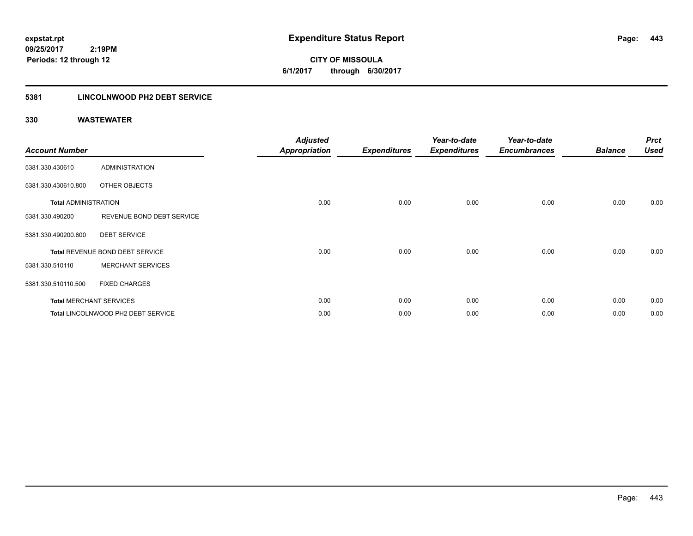**CITY OF MISSOULA 6/1/2017 through 6/30/2017**

### **5381 LINCOLNWOOD PH2 DEBT SERVICE**

| <b>Account Number</b>       |                                    | <b>Adjusted</b><br><b>Appropriation</b> | <b>Expenditures</b> | Year-to-date<br><b>Expenditures</b> | Year-to-date<br><b>Encumbrances</b> | <b>Balance</b> | <b>Prct</b><br><b>Used</b> |
|-----------------------------|------------------------------------|-----------------------------------------|---------------------|-------------------------------------|-------------------------------------|----------------|----------------------------|
| 5381.330.430610             | <b>ADMINISTRATION</b>              |                                         |                     |                                     |                                     |                |                            |
| 5381.330.430610.800         | OTHER OBJECTS                      |                                         |                     |                                     |                                     |                |                            |
| <b>Total ADMINISTRATION</b> |                                    | 0.00                                    | 0.00                | 0.00                                | 0.00                                | 0.00           | 0.00                       |
| 5381.330.490200             | REVENUE BOND DEBT SERVICE          |                                         |                     |                                     |                                     |                |                            |
| 5381.330.490200.600         | <b>DEBT SERVICE</b>                |                                         |                     |                                     |                                     |                |                            |
|                             | Total REVENUE BOND DEBT SERVICE    | 0.00                                    | 0.00                | 0.00                                | 0.00                                | 0.00           | 0.00                       |
| 5381.330.510110             | <b>MERCHANT SERVICES</b>           |                                         |                     |                                     |                                     |                |                            |
| 5381.330.510110.500         | <b>FIXED CHARGES</b>               |                                         |                     |                                     |                                     |                |                            |
|                             | <b>Total MERCHANT SERVICES</b>     | 0.00                                    | 0.00                | 0.00                                | 0.00                                | 0.00           | 0.00                       |
|                             | Total LINCOLNWOOD PH2 DEBT SERVICE | 0.00                                    | 0.00                | 0.00                                | 0.00                                | 0.00           | 0.00                       |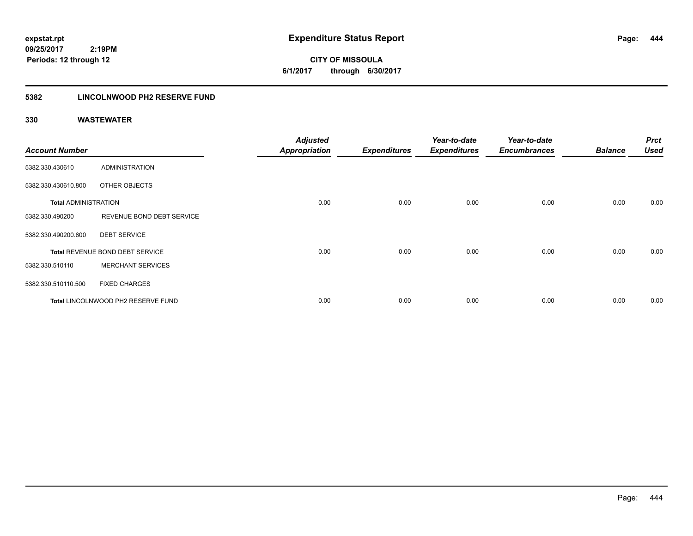**CITY OF MISSOULA 6/1/2017 through 6/30/2017**

### **5382 LINCOLNWOOD PH2 RESERVE FUND**

| <b>Account Number</b>       |                                    | <b>Adjusted</b><br><b>Appropriation</b> | <b>Expenditures</b> | Year-to-date<br><b>Expenditures</b> | Year-to-date<br><b>Encumbrances</b> | <b>Balance</b> | <b>Prct</b><br><b>Used</b> |
|-----------------------------|------------------------------------|-----------------------------------------|---------------------|-------------------------------------|-------------------------------------|----------------|----------------------------|
| 5382.330.430610             | <b>ADMINISTRATION</b>              |                                         |                     |                                     |                                     |                |                            |
| 5382.330.430610.800         | OTHER OBJECTS                      |                                         |                     |                                     |                                     |                |                            |
| <b>Total ADMINISTRATION</b> |                                    | 0.00                                    | 0.00                | 0.00                                | 0.00                                | 0.00           | 0.00                       |
| 5382.330.490200             | REVENUE BOND DEBT SERVICE          |                                         |                     |                                     |                                     |                |                            |
| 5382.330.490200.600         | <b>DEBT SERVICE</b>                |                                         |                     |                                     |                                     |                |                            |
|                             | Total REVENUE BOND DEBT SERVICE    | 0.00                                    | 0.00                | 0.00                                | 0.00                                | 0.00           | 0.00                       |
| 5382.330.510110             | <b>MERCHANT SERVICES</b>           |                                         |                     |                                     |                                     |                |                            |
| 5382.330.510110.500         | <b>FIXED CHARGES</b>               |                                         |                     |                                     |                                     |                |                            |
|                             | Total LINCOLNWOOD PH2 RESERVE FUND | 0.00                                    | 0.00                | 0.00                                | 0.00                                | 0.00           | 0.00                       |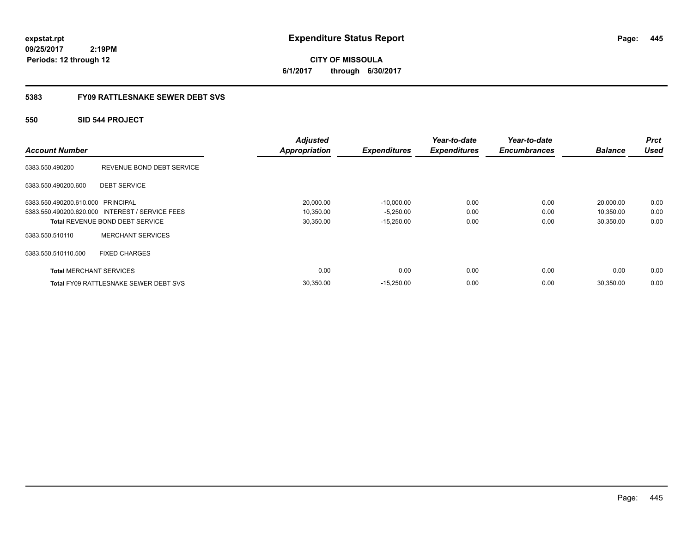**CITY OF MISSOULA 6/1/2017 through 6/30/2017**

### **5383 FY09 RATTLESNAKE SEWER DEBT SVS**

### **550 SID 544 PROJECT**

| <b>Account Number</b>             |                                                 | <b>Adjusted</b><br><b>Appropriation</b> | <b>Expenditures</b> | Year-to-date<br><b>Expenditures</b> | Year-to-date<br><b>Encumbrances</b> | <b>Balance</b> | Prct<br><b>Used</b> |
|-----------------------------------|-------------------------------------------------|-----------------------------------------|---------------------|-------------------------------------|-------------------------------------|----------------|---------------------|
| 5383.550.490200                   | REVENUE BOND DEBT SERVICE                       |                                         |                     |                                     |                                     |                |                     |
| 5383.550.490200.600               | <b>DEBT SERVICE</b>                             |                                         |                     |                                     |                                     |                |                     |
| 5383.550.490200.610.000 PRINCIPAL |                                                 | 20,000.00                               | $-10,000.00$        | 0.00                                | 0.00                                | 20,000.00      | 0.00                |
|                                   | 5383.550.490200.620.000 INTEREST / SERVICE FEES | 10,350.00                               | $-5,250.00$         | 0.00                                | 0.00                                | 10,350.00      | 0.00                |
|                                   | <b>Total REVENUE BOND DEBT SERVICE</b>          | 30,350.00                               | $-15,250.00$        | 0.00                                | 0.00                                | 30,350.00      | 0.00                |
| 5383.550.510110                   | <b>MERCHANT SERVICES</b>                        |                                         |                     |                                     |                                     |                |                     |
| 5383.550.510110.500               | <b>FIXED CHARGES</b>                            |                                         |                     |                                     |                                     |                |                     |
| <b>Total MERCHANT SERVICES</b>    |                                                 | 0.00                                    | 0.00                | 0.00                                | 0.00                                | 0.00           | 0.00                |
|                                   | <b>Total FY09 RATTLESNAKE SEWER DEBT SVS</b>    | 30,350.00                               | $-15,250.00$        | 0.00                                | 0.00                                | 30,350.00      | 0.00                |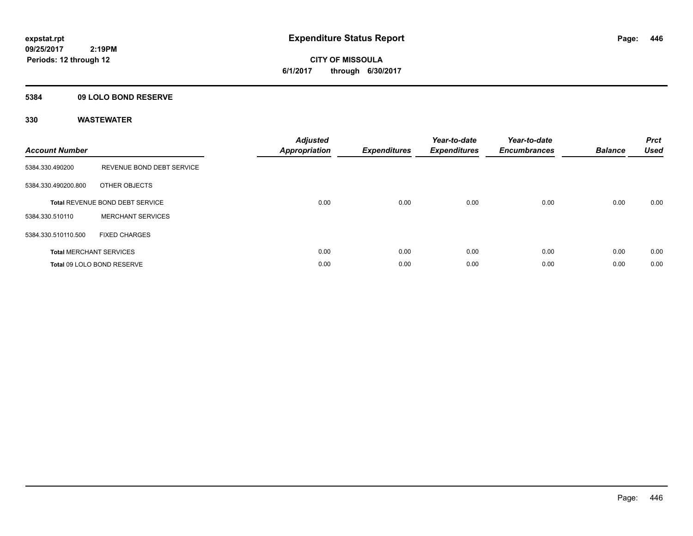**CITY OF MISSOULA 6/1/2017 through 6/30/2017**

### **5384 09 LOLO BOND RESERVE**

| <b>Account Number</b> |                                        | <b>Adjusted</b><br>Appropriation | <b>Expenditures</b> | Year-to-date<br><b>Expenditures</b> | Year-to-date<br><b>Encumbrances</b> | <b>Balance</b> | <b>Prct</b><br><b>Used</b> |
|-----------------------|----------------------------------------|----------------------------------|---------------------|-------------------------------------|-------------------------------------|----------------|----------------------------|
| 5384.330.490200       | REVENUE BOND DEBT SERVICE              |                                  |                     |                                     |                                     |                |                            |
| 5384.330.490200.800   | OTHER OBJECTS                          |                                  |                     |                                     |                                     |                |                            |
|                       | <b>Total REVENUE BOND DEBT SERVICE</b> | 0.00                             | 0.00                | 0.00                                | 0.00                                | 0.00           | 0.00                       |
| 5384.330.510110       | <b>MERCHANT SERVICES</b>               |                                  |                     |                                     |                                     |                |                            |
| 5384.330.510110.500   | <b>FIXED CHARGES</b>                   |                                  |                     |                                     |                                     |                |                            |
|                       | <b>Total MERCHANT SERVICES</b>         | 0.00                             | 0.00                | 0.00                                | 0.00                                | 0.00           | 0.00                       |
|                       | Total 09 LOLO BOND RESERVE             | 0.00                             | 0.00                | 0.00                                | 0.00                                | 0.00           | 0.00                       |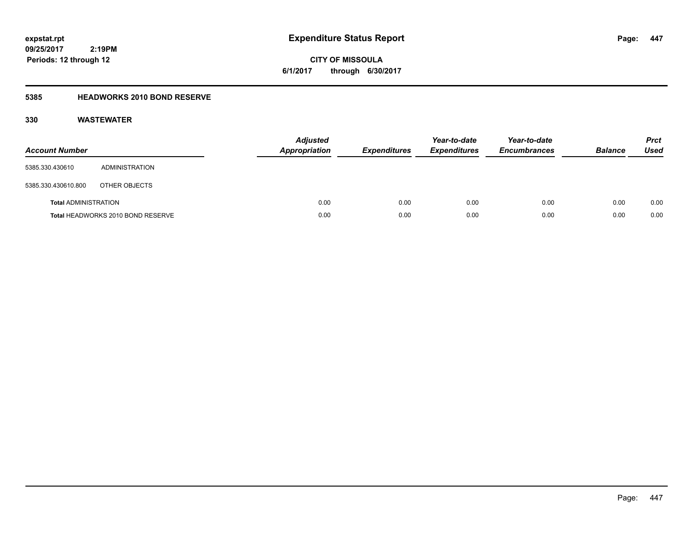**CITY OF MISSOULA 6/1/2017 through 6/30/2017**

### **5385 HEADWORKS 2010 BOND RESERVE**

| <b>Account Number</b>       |                                   | <b>Adjusted</b><br><b>Appropriation</b> | <b>Expenditures</b> | Year-to-date<br><b>Expenditures</b> | Year-to-date<br><b>Encumbrances</b> | <b>Balance</b> | <b>Prct</b><br><b>Used</b> |
|-----------------------------|-----------------------------------|-----------------------------------------|---------------------|-------------------------------------|-------------------------------------|----------------|----------------------------|
| 5385.330.430610             | ADMINISTRATION                    |                                         |                     |                                     |                                     |                |                            |
| 5385.330.430610.800         | OTHER OBJECTS                     |                                         |                     |                                     |                                     |                |                            |
| <b>Total ADMINISTRATION</b> |                                   | 0.00                                    | 0.00                | 0.00                                | 0.00                                | 0.00           | 0.00                       |
|                             | Total HEADWORKS 2010 BOND RESERVE | 0.00                                    | 0.00                | 0.00                                | 0.00                                | 0.00           | 0.00                       |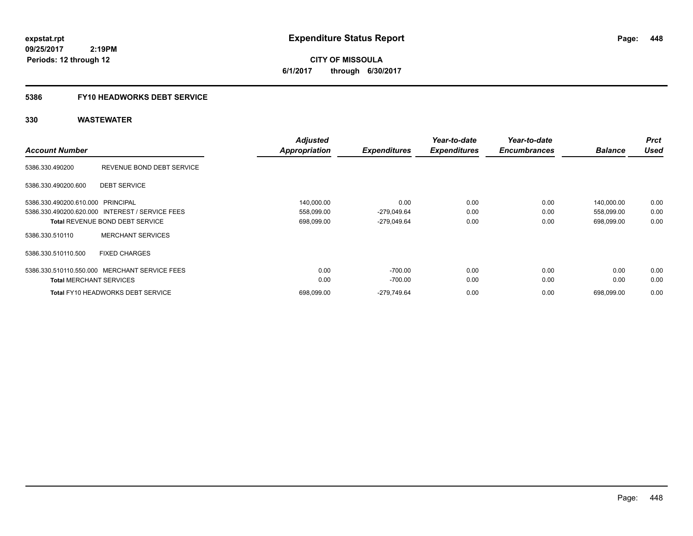**CITY OF MISSOULA 6/1/2017 through 6/30/2017**

# **5386 FY10 HEADWORKS DEBT SERVICE**

| <b>Account Number</b>             |                                                 | <b>Adjusted</b><br><b>Appropriation</b> | <b>Expenditures</b> | Year-to-date<br><b>Expenditures</b> | Year-to-date<br><b>Encumbrances</b> | <b>Balance</b> | <b>Prct</b><br><b>Used</b> |
|-----------------------------------|-------------------------------------------------|-----------------------------------------|---------------------|-------------------------------------|-------------------------------------|----------------|----------------------------|
| 5386.330.490200                   | REVENUE BOND DEBT SERVICE                       |                                         |                     |                                     |                                     |                |                            |
| 5386.330.490200.600               | <b>DEBT SERVICE</b>                             |                                         |                     |                                     |                                     |                |                            |
| 5386.330.490200.610.000 PRINCIPAL |                                                 | 140,000.00                              | 0.00                | 0.00                                | 0.00                                | 140,000.00     | 0.00                       |
|                                   | 5386.330.490200.620.000 INTEREST / SERVICE FEES | 558,099.00                              | $-279,049.64$       | 0.00                                | 0.00                                | 558,099.00     | 0.00                       |
|                                   | <b>Total REVENUE BOND DEBT SERVICE</b>          | 698,099.00                              | $-279,049.64$       | 0.00                                | 0.00                                | 698,099.00     | 0.00                       |
| 5386.330.510110                   | <b>MERCHANT SERVICES</b>                        |                                         |                     |                                     |                                     |                |                            |
| 5386.330.510110.500               | <b>FIXED CHARGES</b>                            |                                         |                     |                                     |                                     |                |                            |
|                                   | 5386.330.510110.550.000 MERCHANT SERVICE FEES   | 0.00                                    | $-700.00$           | 0.00                                | 0.00                                | 0.00           | 0.00                       |
| <b>Total MERCHANT SERVICES</b>    |                                                 | 0.00                                    | $-700.00$           | 0.00                                | 0.00                                | 0.00           | 0.00                       |
|                                   | <b>Total FY10 HEADWORKS DEBT SERVICE</b>        | 698,099.00                              | -279.749.64         | 0.00                                | 0.00                                | 698.099.00     | 0.00                       |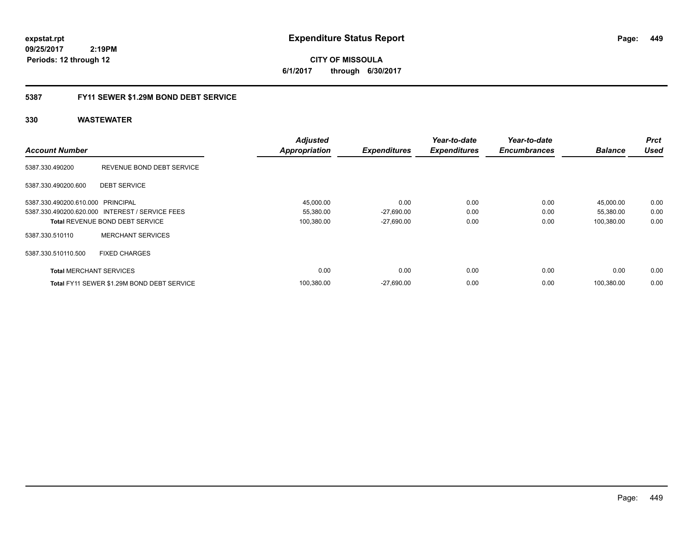**CITY OF MISSOULA 6/1/2017 through 6/30/2017**

### **5387 FY11 SEWER \$1.29M BOND DEBT SERVICE**

| <b>Account Number</b>             |                                                 | <b>Adjusted</b><br><b>Appropriation</b> | <b>Expenditures</b> | Year-to-date<br><b>Expenditures</b> | Year-to-date<br><b>Encumbrances</b> | <b>Balance</b> | <b>Prct</b><br><b>Used</b> |
|-----------------------------------|-------------------------------------------------|-----------------------------------------|---------------------|-------------------------------------|-------------------------------------|----------------|----------------------------|
| 5387.330.490200                   | REVENUE BOND DEBT SERVICE                       |                                         |                     |                                     |                                     |                |                            |
| 5387.330.490200.600               | <b>DEBT SERVICE</b>                             |                                         |                     |                                     |                                     |                |                            |
| 5387.330.490200.610.000 PRINCIPAL |                                                 | 45,000.00                               | 0.00                | 0.00                                | 0.00                                | 45,000.00      | 0.00                       |
|                                   | 5387.330.490200.620.000 INTEREST / SERVICE FEES | 55,380.00                               | $-27,690.00$        | 0.00                                | 0.00                                | 55,380.00      | 0.00                       |
|                                   | <b>Total REVENUE BOND DEBT SERVICE</b>          | 100,380.00                              | $-27,690.00$        | 0.00                                | 0.00                                | 100,380.00     | 0.00                       |
| 5387.330.510110                   | <b>MERCHANT SERVICES</b>                        |                                         |                     |                                     |                                     |                |                            |
| 5387.330.510110.500               | <b>FIXED CHARGES</b>                            |                                         |                     |                                     |                                     |                |                            |
| <b>Total MERCHANT SERVICES</b>    |                                                 | 0.00                                    | 0.00                | 0.00                                | 0.00                                | 0.00           | 0.00                       |
|                                   | Total FY11 SEWER \$1.29M BOND DEBT SERVICE      | 100,380.00                              | $-27.690.00$        | 0.00                                | 0.00                                | 100.380.00     | 0.00                       |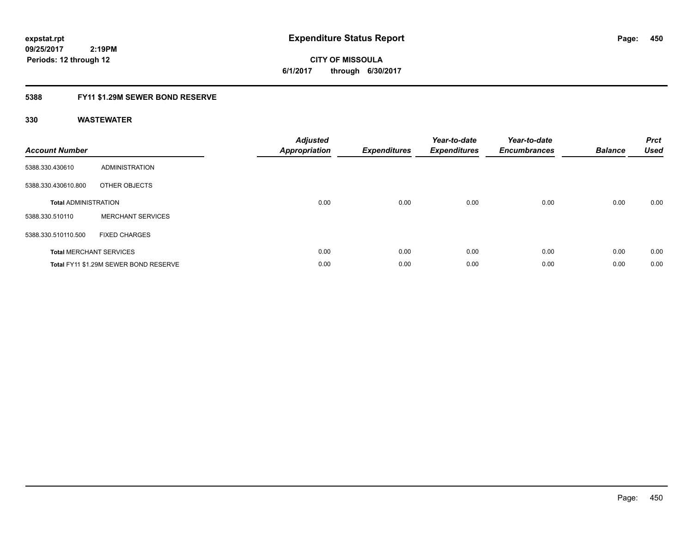**CITY OF MISSOULA 6/1/2017 through 6/30/2017**

### **5388 FY11 \$1.29M SEWER BOND RESERVE**

| <b>Account Number</b>       |                                       | <b>Adjusted</b><br>Appropriation | <b>Expenditures</b> | Year-to-date<br><b>Expenditures</b> | Year-to-date<br><b>Encumbrances</b> | <b>Balance</b> | <b>Prct</b><br><b>Used</b> |
|-----------------------------|---------------------------------------|----------------------------------|---------------------|-------------------------------------|-------------------------------------|----------------|----------------------------|
| 5388.330.430610             | ADMINISTRATION                        |                                  |                     |                                     |                                     |                |                            |
| 5388.330.430610.800         | OTHER OBJECTS                         |                                  |                     |                                     |                                     |                |                            |
| <b>Total ADMINISTRATION</b> |                                       | 0.00                             | 0.00                | 0.00                                | 0.00                                | 0.00           | 0.00                       |
| 5388.330.510110             | <b>MERCHANT SERVICES</b>              |                                  |                     |                                     |                                     |                |                            |
| 5388.330.510110.500         | <b>FIXED CHARGES</b>                  |                                  |                     |                                     |                                     |                |                            |
|                             | <b>Total MERCHANT SERVICES</b>        | 0.00                             | 0.00                | 0.00                                | 0.00                                | 0.00           | 0.00                       |
|                             | Total FY11 \$1.29M SEWER BOND RESERVE | 0.00                             | 0.00                | 0.00                                | 0.00                                | 0.00           | 0.00                       |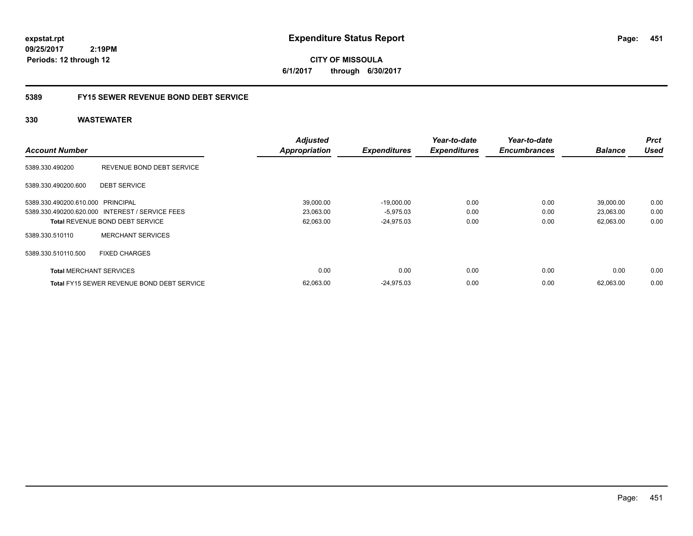**CITY OF MISSOULA 6/1/2017 through 6/30/2017**

### **5389 FY15 SEWER REVENUE BOND DEBT SERVICE**

| <b>Account Number</b>             |                                                   | <b>Adjusted</b><br><b>Appropriation</b> | <b>Expenditures</b> | Year-to-date<br><b>Expenditures</b> | Year-to-date<br><b>Encumbrances</b> | <b>Balance</b> | <b>Prct</b><br><b>Used</b> |
|-----------------------------------|---------------------------------------------------|-----------------------------------------|---------------------|-------------------------------------|-------------------------------------|----------------|----------------------------|
| 5389.330.490200                   | REVENUE BOND DEBT SERVICE                         |                                         |                     |                                     |                                     |                |                            |
| 5389.330.490200.600               | <b>DEBT SERVICE</b>                               |                                         |                     |                                     |                                     |                |                            |
| 5389.330.490200.610.000 PRINCIPAL |                                                   | 39,000.00                               | $-19,000.00$        | 0.00                                | 0.00                                | 39,000.00      | 0.00                       |
|                                   | 5389.330.490200.620.000 INTEREST / SERVICE FEES   | 23,063.00                               | $-5,975.03$         | 0.00                                | 0.00                                | 23,063.00      | 0.00                       |
|                                   | <b>Total REVENUE BOND DEBT SERVICE</b>            | 62,063.00                               | $-24.975.03$        | 0.00                                | 0.00                                | 62,063.00      | 0.00                       |
| 5389.330.510110                   | <b>MERCHANT SERVICES</b>                          |                                         |                     |                                     |                                     |                |                            |
| 5389.330.510110.500               | <b>FIXED CHARGES</b>                              |                                         |                     |                                     |                                     |                |                            |
| <b>Total MERCHANT SERVICES</b>    |                                                   | 0.00                                    | 0.00                | 0.00                                | 0.00                                | 0.00           | 0.00                       |
|                                   | <b>Total FY15 SEWER REVENUE BOND DEBT SERVICE</b> | 62,063.00                               | $-24.975.03$        | 0.00                                | 0.00                                | 62.063.00      | 0.00                       |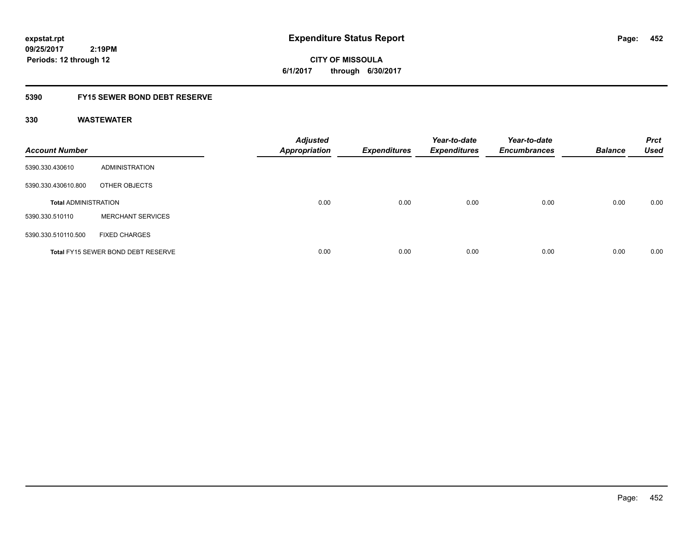**CITY OF MISSOULA 6/1/2017 through 6/30/2017**

### **5390 FY15 SEWER BOND DEBT RESERVE**

| <b>Account Number</b>       |                                           | <b>Adjusted</b><br><b>Appropriation</b> | <b>Expenditures</b> | Year-to-date<br><b>Expenditures</b> | Year-to-date<br><b>Encumbrances</b> | <b>Balance</b> | <b>Prct</b><br><b>Used</b> |
|-----------------------------|-------------------------------------------|-----------------------------------------|---------------------|-------------------------------------|-------------------------------------|----------------|----------------------------|
| 5390.330.430610             | ADMINISTRATION                            |                                         |                     |                                     |                                     |                |                            |
| 5390.330.430610.800         | OTHER OBJECTS                             |                                         |                     |                                     |                                     |                |                            |
| <b>Total ADMINISTRATION</b> |                                           | 0.00                                    | 0.00                | 0.00                                | 0.00                                | 0.00           | 0.00                       |
| 5390.330.510110             | <b>MERCHANT SERVICES</b>                  |                                         |                     |                                     |                                     |                |                            |
| 5390.330.510110.500         | <b>FIXED CHARGES</b>                      |                                         |                     |                                     |                                     |                |                            |
|                             | <b>Total FY15 SEWER BOND DEBT RESERVE</b> | 0.00                                    | 0.00                | 0.00                                | 0.00                                | 0.00           | 0.00                       |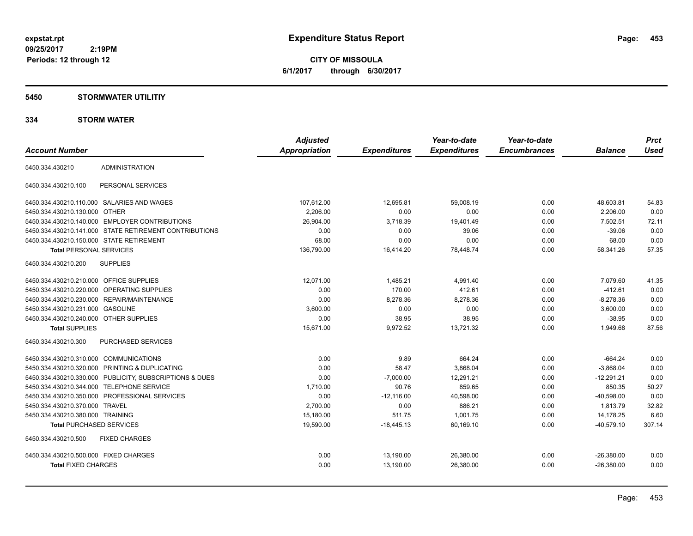**CITY OF MISSOULA 6/1/2017 through 6/30/2017**

## **5450 STORMWATER UTILITIY**

### **334 STORM WATER**

|                                                         | <b>Adjusted</b>      |                     | Year-to-date        | Year-to-date        |                | <b>Prct</b> |
|---------------------------------------------------------|----------------------|---------------------|---------------------|---------------------|----------------|-------------|
| <b>Account Number</b>                                   | <b>Appropriation</b> | <b>Expenditures</b> | <b>Expenditures</b> | <b>Encumbrances</b> | <b>Balance</b> | <b>Used</b> |
| <b>ADMINISTRATION</b><br>5450.334.430210                |                      |                     |                     |                     |                |             |
| PERSONAL SERVICES<br>5450.334.430210.100                |                      |                     |                     |                     |                |             |
| 5450.334.430210.110.000 SALARIES AND WAGES              | 107,612.00           | 12.695.81           | 59.008.19           | 0.00                | 48,603.81      | 54.83       |
| 5450.334.430210.130.000 OTHER                           | 2,206.00             | 0.00                | 0.00                | 0.00                | 2,206.00       | 0.00        |
| 5450.334.430210.140.000 EMPLOYER CONTRIBUTIONS          | 26,904.00            | 3,718.39            | 19,401.49           | 0.00                | 7,502.51       | 72.11       |
| 5450.334.430210.141.000 STATE RETIREMENT CONTRIBUTIONS  | 0.00                 | 0.00                | 39.06               | 0.00                | $-39.06$       | 0.00        |
| 5450.334.430210.150.000 STATE RETIREMENT                | 68.00                | 0.00                | 0.00                | 0.00                | 68.00          | 0.00        |
| <b>Total PERSONAL SERVICES</b>                          | 136,790.00           | 16,414.20           | 78,448.74           | 0.00                | 58,341.26      | 57.35       |
| 5450.334.430210.200<br><b>SUPPLIES</b>                  |                      |                     |                     |                     |                |             |
| 5450.334.430210.210.000 OFFICE SUPPLIES                 | 12,071.00            | 1,485.21            | 4,991.40            | 0.00                | 7,079.60       | 41.35       |
| <b>OPERATING SUPPLIES</b><br>5450.334.430210.220.000    | 0.00                 | 170.00              | 412.61              | 0.00                | $-412.61$      | 0.00        |
| 5450.334.430210.230.000 REPAIR/MAINTENANCE              | 0.00                 | 8,278.36            | 8,278.36            | 0.00                | $-8,278.36$    | 0.00        |
| 5450.334.430210.231.000 GASOLINE                        | 3,600.00             | 0.00                | 0.00                | 0.00                | 3,600.00       | 0.00        |
| 5450.334.430210.240.000 OTHER SUPPLIES                  | 0.00                 | 38.95               | 38.95               | 0.00                | $-38.95$       | 0.00        |
| <b>Total SUPPLIES</b>                                   | 15,671.00            | 9,972.52            | 13,721.32           | 0.00                | 1,949.68       | 87.56       |
| <b>PURCHASED SERVICES</b><br>5450.334.430210.300        |                      |                     |                     |                     |                |             |
| 5450.334.430210.310.000 COMMUNICATIONS                  | 0.00                 | 9.89                | 664.24              | 0.00                | $-664.24$      | 0.00        |
| 5450.334.430210.320.000 PRINTING & DUPLICATING          | 0.00                 | 58.47               | 3,868.04            | 0.00                | $-3,868.04$    | 0.00        |
| 5450.334.430210.330.000 PUBLICITY, SUBSCRIPTIONS & DUES | 0.00                 | $-7,000.00$         | 12,291.21           | 0.00                | $-12,291.21$   | 0.00        |
| 5450.334.430210.344.000 TELEPHONE SERVICE               | 1,710.00             | 90.76               | 859.65              | 0.00                | 850.35         | 50.27       |
| 5450.334.430210.350.000 PROFESSIONAL SERVICES           | 0.00                 | $-12,116.00$        | 40,598.00           | 0.00                | $-40,598.00$   | 0.00        |
| 5450.334.430210.370.000 TRAVEL                          | 2.700.00             | 0.00                | 886.21              | 0.00                | 1.813.79       | 32.82       |
| 5450.334.430210.380.000 TRAINING                        | 15,180.00            | 511.75              | 1,001.75            | 0.00                | 14,178.25      | 6.60        |
| <b>Total PURCHASED SERVICES</b>                         | 19,590.00            | $-18,445.13$        | 60,169.10           | 0.00                | $-40,579.10$   | 307.14      |
| <b>FIXED CHARGES</b><br>5450.334.430210.500             |                      |                     |                     |                     |                |             |
| 5450.334.430210.500.000 FIXED CHARGES                   | 0.00                 | 13,190.00           | 26,380.00           | 0.00                | $-26,380.00$   | 0.00        |
| <b>Total FIXED CHARGES</b>                              | 0.00                 | 13,190.00           | 26,380.00           | 0.00                | $-26.380.00$   | 0.00        |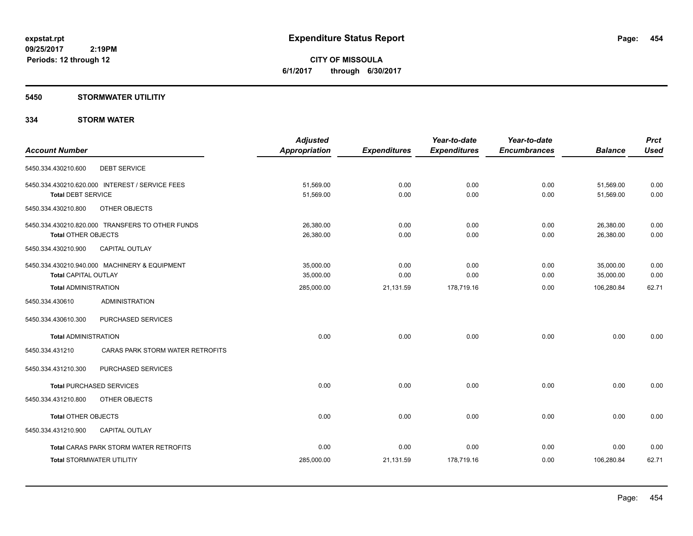**CITY OF MISSOULA 6/1/2017 through 6/30/2017**

### **5450 STORMWATER UTILITIY**

### **334 STORM WATER**

| <b>Account Number</b>                                                          | <b>Adjusted</b><br>Appropriation | <b>Expenditures</b> | Year-to-date<br><b>Expenditures</b> | Year-to-date<br><b>Encumbrances</b> | <b>Balance</b>         | <b>Prct</b><br><b>Used</b> |
|--------------------------------------------------------------------------------|----------------------------------|---------------------|-------------------------------------|-------------------------------------|------------------------|----------------------------|
| 5450.334.430210.600<br><b>DEBT SERVICE</b>                                     |                                  |                     |                                     |                                     |                        |                            |
| 5450.334.430210.620.000 INTEREST / SERVICE FEES<br><b>Total DEBT SERVICE</b>   | 51,569.00<br>51,569.00           | 0.00<br>0.00        | 0.00<br>0.00                        | 0.00<br>0.00                        | 51,569.00<br>51,569.00 | 0.00<br>0.00               |
| 5450.334.430210.800<br>OTHER OBJECTS                                           |                                  |                     |                                     |                                     |                        |                            |
| 5450.334.430210.820.000 TRANSFERS TO OTHER FUNDS<br><b>Total OTHER OBJECTS</b> | 26,380.00<br>26,380.00           | 0.00<br>0.00        | 0.00<br>0.00                        | 0.00<br>0.00                        | 26,380.00<br>26,380.00 | 0.00<br>0.00               |
| 5450.334.430210.900<br><b>CAPITAL OUTLAY</b>                                   |                                  |                     |                                     |                                     |                        |                            |
| 5450.334.430210.940.000 MACHINERY & EQUIPMENT<br><b>Total CAPITAL OUTLAY</b>   | 35,000.00<br>35,000.00           | 0.00<br>0.00        | 0.00<br>0.00                        | 0.00<br>0.00                        | 35,000.00<br>35,000.00 | 0.00<br>0.00               |
| <b>Total ADMINISTRATION</b>                                                    | 285,000.00                       | 21,131.59           | 178,719.16                          | 0.00                                | 106,280.84             | 62.71                      |
| <b>ADMINISTRATION</b><br>5450.334.430610                                       |                                  |                     |                                     |                                     |                        |                            |
| PURCHASED SERVICES<br>5450.334.430610.300                                      |                                  |                     |                                     |                                     |                        |                            |
| <b>Total ADMINISTRATION</b>                                                    | 0.00                             | 0.00                | 0.00                                | 0.00                                | 0.00                   | 0.00                       |
| CARAS PARK STORM WATER RETROFITS<br>5450.334.431210                            |                                  |                     |                                     |                                     |                        |                            |
| PURCHASED SERVICES<br>5450.334.431210.300                                      |                                  |                     |                                     |                                     |                        |                            |
| <b>Total PURCHASED SERVICES</b>                                                | 0.00                             | 0.00                | 0.00                                | 0.00                                | 0.00                   | 0.00                       |
| 5450.334.431210.800<br>OTHER OBJECTS                                           |                                  |                     |                                     |                                     |                        |                            |
| <b>Total OTHER OBJECTS</b>                                                     | 0.00                             | 0.00                | 0.00                                | 0.00                                | 0.00                   | 0.00                       |
| 5450.334.431210.900<br><b>CAPITAL OUTLAY</b>                                   |                                  |                     |                                     |                                     |                        |                            |
| <b>Total CARAS PARK STORM WATER RETROFITS</b>                                  | 0.00                             | 0.00                | 0.00                                | 0.00                                | 0.00                   | 0.00                       |
| <b>Total STORMWATER UTILITIY</b>                                               | 285,000.00                       | 21,131.59           | 178,719.16                          | 0.00                                | 106,280.84             | 62.71                      |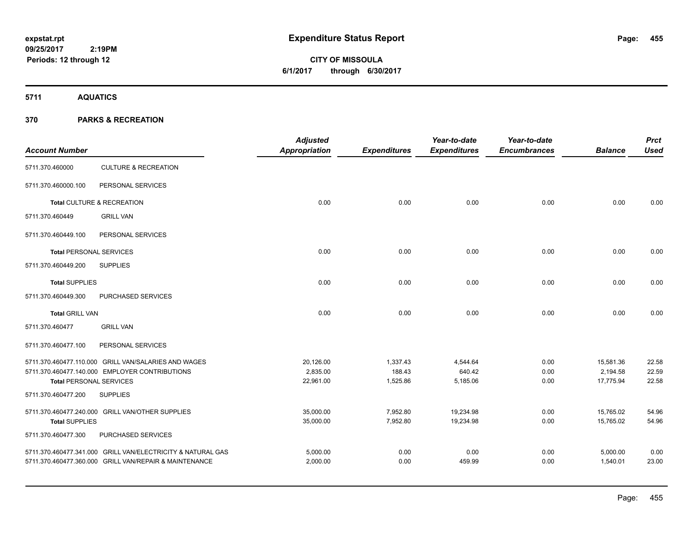# **CITY OF MISSOULA 6/1/2017 through 6/30/2017**

**5711 AQUATICS**

| <b>Account Number</b>          |                                                             | <b>Adjusted</b><br>Appropriation | <b>Expenditures</b> | Year-to-date<br><b>Expenditures</b> | Year-to-date<br><b>Encumbrances</b> | <b>Balance</b> | <b>Prct</b><br><b>Used</b> |
|--------------------------------|-------------------------------------------------------------|----------------------------------|---------------------|-------------------------------------|-------------------------------------|----------------|----------------------------|
| 5711.370.460000                | <b>CULTURE &amp; RECREATION</b>                             |                                  |                     |                                     |                                     |                |                            |
| 5711.370.460000.100            | PERSONAL SERVICES                                           |                                  |                     |                                     |                                     |                |                            |
|                                | Total CULTURE & RECREATION                                  | 0.00                             | 0.00                | 0.00                                | 0.00                                | 0.00           | 0.00                       |
| 5711.370.460449                | <b>GRILL VAN</b>                                            |                                  |                     |                                     |                                     |                |                            |
| 5711.370.460449.100            | PERSONAL SERVICES                                           |                                  |                     |                                     |                                     |                |                            |
| <b>Total PERSONAL SERVICES</b> |                                                             | 0.00                             | 0.00                | 0.00                                | 0.00                                | 0.00           | 0.00                       |
| 5711.370.460449.200            | <b>SUPPLIES</b>                                             |                                  |                     |                                     |                                     |                |                            |
| <b>Total SUPPLIES</b>          |                                                             | 0.00                             | 0.00                | 0.00                                | 0.00                                | 0.00           | 0.00                       |
| 5711.370.460449.300            | PURCHASED SERVICES                                          |                                  |                     |                                     |                                     |                |                            |
| <b>Total GRILL VAN</b>         |                                                             | 0.00                             | 0.00                | 0.00                                | 0.00                                | 0.00           | 0.00                       |
| 5711.370.460477                | <b>GRILL VAN</b>                                            |                                  |                     |                                     |                                     |                |                            |
| 5711.370.460477.100            | PERSONAL SERVICES                                           |                                  |                     |                                     |                                     |                |                            |
|                                | 5711.370.460477.110.000 GRILL VAN/SALARIES AND WAGES        | 20,126.00                        | 1,337.43            | 4,544.64                            | 0.00                                | 15,581.36      | 22.58                      |
|                                | 5711.370.460477.140.000 EMPLOYER CONTRIBUTIONS              | 2,835.00                         | 188.43              | 640.42                              | 0.00                                | 2,194.58       | 22.59                      |
| <b>Total PERSONAL SERVICES</b> |                                                             | 22,961.00                        | 1,525.86            | 5,185.06                            | 0.00                                | 17,775.94      | 22.58                      |
| 5711.370.460477.200            | <b>SUPPLIES</b>                                             |                                  |                     |                                     |                                     |                |                            |
|                                | 5711.370.460477.240.000 GRILL VAN/OTHER SUPPLIES            | 35,000.00                        | 7,952.80            | 19,234.98                           | 0.00                                | 15,765.02      | 54.96                      |
| <b>Total SUPPLIES</b>          |                                                             | 35,000.00                        | 7,952.80            | 19,234.98                           | 0.00                                | 15,765.02      | 54.96                      |
| 5711.370.460477.300            | PURCHASED SERVICES                                          |                                  |                     |                                     |                                     |                |                            |
|                                | 5711.370.460477.341.000 GRILL VAN/ELECTRICITY & NATURAL GAS | 5,000.00                         | 0.00                | 0.00                                | 0.00                                | 5,000.00       | 0.00                       |
|                                | 5711.370.460477.360.000 GRILL VAN/REPAIR & MAINTENANCE      | 2,000.00                         | 0.00                | 459.99                              | 0.00                                | 1,540.01       | 23.00                      |
|                                |                                                             |                                  |                     |                                     |                                     |                |                            |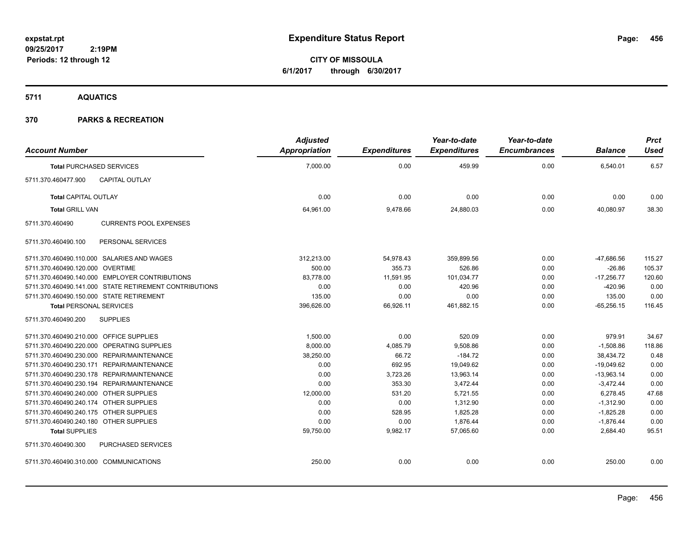**CITY OF MISSOULA 6/1/2017 through 6/30/2017**

**5711 AQUATICS**

|                                          |                                                        | <b>Adjusted</b> |                     | Year-to-date        | Year-to-date        |                | <b>Prct</b> |
|------------------------------------------|--------------------------------------------------------|-----------------|---------------------|---------------------|---------------------|----------------|-------------|
| <b>Account Number</b>                    |                                                        | Appropriation   | <b>Expenditures</b> | <b>Expenditures</b> | <b>Encumbrances</b> | <b>Balance</b> | <b>Used</b> |
| <b>Total PURCHASED SERVICES</b>          |                                                        | 7,000.00        | 0.00                | 459.99              | 0.00                | 6,540.01       | 6.57        |
| 5711.370.460477.900                      | CAPITAL OUTLAY                                         |                 |                     |                     |                     |                |             |
| <b>Total CAPITAL OUTLAY</b>              |                                                        | 0.00            | 0.00                | 0.00                | 0.00                | 0.00           | 0.00        |
| <b>Total GRILL VAN</b>                   |                                                        | 64,961.00       | 9,478.66            | 24,880.03           | 0.00                | 40,080.97      | 38.30       |
| 5711.370.460490                          | <b>CURRENTS POOL EXPENSES</b>                          |                 |                     |                     |                     |                |             |
| 5711.370.460490.100                      | PERSONAL SERVICES                                      |                 |                     |                     |                     |                |             |
|                                          | 5711.370.460490.110.000 SALARIES AND WAGES             | 312,213.00      | 54,978.43           | 359,899.56          | 0.00                | $-47,686.56$   | 115.27      |
| 5711.370.460490.120.000 OVERTIME         |                                                        | 500.00          | 355.73              | 526.86              | 0.00                | $-26.86$       | 105.37      |
|                                          | 5711.370.460490.140.000 EMPLOYER CONTRIBUTIONS         | 83,778.00       | 11,591.95           | 101,034.77          | 0.00                | $-17,256.77$   | 120.60      |
|                                          | 5711.370.460490.141.000 STATE RETIREMENT CONTRIBUTIONS | 0.00            | 0.00                | 420.96              | 0.00                | $-420.96$      | 0.00        |
| 5711.370.460490.150.000 STATE RETIREMENT |                                                        | 135.00          | 0.00                | 0.00                | 0.00                | 135.00         | 0.00        |
| <b>Total PERSONAL SERVICES</b>           |                                                        | 396,626.00      | 66,926.11           | 461.882.15          | 0.00                | $-65,256.15$   | 116.45      |
| 5711.370.460490.200                      | <b>SUPPLIES</b>                                        |                 |                     |                     |                     |                |             |
| 5711.370.460490.210.000 OFFICE SUPPLIES  |                                                        | 1,500.00        | 0.00                | 520.09              | 0.00                | 979.91         | 34.67       |
|                                          | 5711.370.460490.220.000 OPERATING SUPPLIES             | 8,000.00        | 4,085.79            | 9,508.86            | 0.00                | $-1,508.86$    | 118.86      |
|                                          | 5711.370.460490.230.000 REPAIR/MAINTENANCE             | 38,250.00       | 66.72               | $-184.72$           | 0.00                | 38.434.72      | 0.48        |
|                                          | 5711.370.460490.230.171 REPAIR/MAINTENANCE             | 0.00            | 692.95              | 19,049.62           | 0.00                | $-19,049.62$   | 0.00        |
|                                          | 5711.370.460490.230.178 REPAIR/MAINTENANCE             | 0.00            | 3,723.26            | 13,963.14           | 0.00                | $-13,963.14$   | 0.00        |
|                                          | 5711.370.460490.230.194 REPAIR/MAINTENANCE             | 0.00            | 353.30              | 3,472.44            | 0.00                | $-3,472.44$    | 0.00        |
| 5711.370.460490.240.000 OTHER SUPPLIES   |                                                        | 12,000.00       | 531.20              | 5,721.55            | 0.00                | 6,278.45       | 47.68       |
| 5711.370.460490.240.174 OTHER SUPPLIES   |                                                        | 0.00            | 0.00                | 1,312.90            | 0.00                | $-1,312.90$    | 0.00        |
| 5711.370.460490.240.175 OTHER SUPPLIES   |                                                        | 0.00            | 528.95              | 1,825.28            | 0.00                | $-1,825.28$    | 0.00        |
| 5711.370.460490.240.180 OTHER SUPPLIES   |                                                        | 0.00            | 0.00                | 1,876.44            | 0.00                | $-1,876.44$    | 0.00        |
| <b>Total SUPPLIES</b>                    |                                                        | 59,750.00       | 9,982.17            | 57,065.60           | 0.00                | 2,684.40       | 95.51       |
| 5711.370.460490.300                      | <b>PURCHASED SERVICES</b>                              |                 |                     |                     |                     |                |             |
| 5711.370.460490.310.000 COMMUNICATIONS   |                                                        | 250.00          | 0.00                | 0.00                | 0.00                | 250.00         | 0.00        |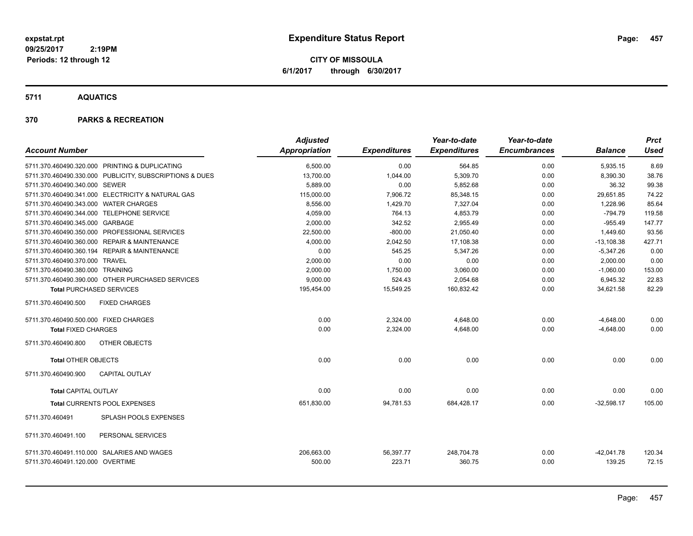**CITY OF MISSOULA 6/1/2017 through 6/30/2017**

**5711 AQUATICS**

| <b>Account Number</b>                     |                                                         | <b>Adjusted</b><br>Appropriation | <b>Expenditures</b> | Year-to-date<br><b>Expenditures</b> | Year-to-date<br><b>Encumbrances</b> | <b>Balance</b>         | <b>Prct</b><br><b>Used</b> |
|-------------------------------------------|---------------------------------------------------------|----------------------------------|---------------------|-------------------------------------|-------------------------------------|------------------------|----------------------------|
|                                           | 5711.370.460490.320.000 PRINTING & DUPLICATING          | 6,500.00                         | 0.00                | 564.85                              | 0.00                                | 5,935.15               | 8.69                       |
|                                           | 5711.370.460490.330.000 PUBLICITY, SUBSCRIPTIONS & DUES | 13,700.00                        | 1,044.00            | 5,309.70                            | 0.00                                | 8,390.30               | 38.76                      |
| 5711.370.460490.340.000 SEWER             |                                                         | 5,889.00                         | 0.00                | 5,852.68                            | 0.00                                | 36.32                  | 99.38                      |
|                                           | 5711.370.460490.341.000 ELECTRICITY & NATURAL GAS       | 115,000.00                       | 7,906.72            | 85,348.15                           | 0.00                                | 29,651.85              | 74.22                      |
| 5711.370.460490.343.000 WATER CHARGES     |                                                         | 8,556.00                         | 1,429.70            | 7,327.04                            | 0.00                                | 1,228.96               | 85.64                      |
| 5711.370.460490.344.000 TELEPHONE SERVICE |                                                         | 4,059.00                         | 764.13              | 4,853.79                            | 0.00                                | $-794.79$              | 119.58                     |
| 5711.370.460490.345.000 GARBAGE           |                                                         | 2.000.00                         | 342.52              | 2.955.49                            | 0.00                                | $-955.49$              | 147.77                     |
|                                           | 5711.370.460490.350.000 PROFESSIONAL SERVICES           | 22,500.00                        | $-800.00$           | 21,050.40                           | 0.00                                | 1,449.60               | 93.56                      |
|                                           | 5711.370.460490.360.000 REPAIR & MAINTENANCE            | 4,000.00                         | 2,042.50            | 17,108.38                           | 0.00                                | $-13,108.38$           | 427.71                     |
|                                           | 5711.370.460490.360.194 REPAIR & MAINTENANCE            | 0.00                             | 545.25              | 5,347.26                            | 0.00                                | $-5,347.26$            | 0.00                       |
| 5711.370.460490.370.000 TRAVEL            |                                                         | 2,000.00                         | 0.00                | 0.00                                | 0.00                                | 2,000.00               | 0.00                       |
| 5711.370.460490.380.000 TRAINING          |                                                         | 2,000.00                         | 1,750.00            | 3,060.00                            | 0.00                                | $-1,060.00$            | 153.00                     |
|                                           | 5711.370.460490.390.000 OTHER PURCHASED SERVICES        | 9,000.00                         | 524.43              | 2,054.68                            | 0.00                                | 6,945.32               | 22.83                      |
| <b>Total PURCHASED SERVICES</b>           |                                                         | 195,454.00                       | 15,549.25           | 160,832.42                          | 0.00                                | 34,621.58              | 82.29                      |
| 5711.370.460490.500                       | <b>FIXED CHARGES</b>                                    |                                  |                     |                                     |                                     |                        |                            |
| 5711.370.460490.500.000 FIXED CHARGES     |                                                         | 0.00                             | 2,324.00            | 4,648.00                            | 0.00                                | $-4,648.00$            | 0.00                       |
| <b>Total FIXED CHARGES</b>                |                                                         | 0.00                             | 2,324.00            | 4,648.00                            | 0.00                                | $-4,648.00$            | 0.00                       |
| 5711.370.460490.800                       | OTHER OBJECTS                                           |                                  |                     |                                     |                                     |                        |                            |
| <b>Total OTHER OBJECTS</b>                |                                                         | 0.00                             | 0.00                | 0.00                                | 0.00                                | 0.00                   | 0.00                       |
| 5711.370.460490.900                       | <b>CAPITAL OUTLAY</b>                                   |                                  |                     |                                     |                                     |                        |                            |
| <b>Total CAPITAL OUTLAY</b>               |                                                         | 0.00                             | 0.00                | 0.00                                | 0.00                                | 0.00                   | 0.00                       |
|                                           | Total CURRENTS POOL EXPENSES                            | 651,830.00                       | 94,781.53           | 684,428.17                          | 0.00                                | $-32,598.17$           | 105.00                     |
| 5711.370.460491                           | SPLASH POOLS EXPENSES                                   |                                  |                     |                                     |                                     |                        |                            |
| 5711.370.460491.100                       | PERSONAL SERVICES                                       |                                  |                     |                                     |                                     |                        |                            |
| 5711.370.460491.120.000 OVERTIME          | 5711.370.460491.110.000 SALARIES AND WAGES              | 206,663.00<br>500.00             | 56,397.77<br>223.71 | 248,704.78<br>360.75                | 0.00<br>0.00                        | $-42,041.78$<br>139.25 | 120.34<br>72.15            |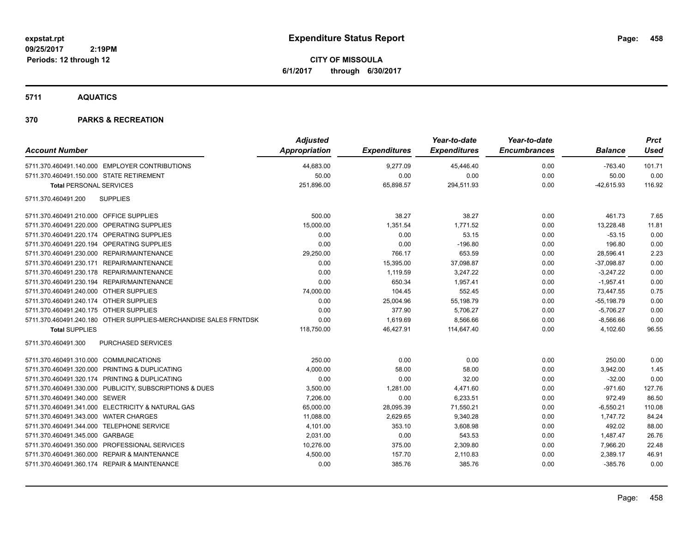**CITY OF MISSOULA 6/1/2017 through 6/30/2017**

**5711 AQUATICS**

| <b>Account Number</b>                                            | <b>Adjusted</b><br>Appropriation | <b>Expenditures</b> | Year-to-date<br><b>Expenditures</b> | Year-to-date<br><b>Encumbrances</b> | <b>Balance</b> | <b>Prct</b><br><b>Used</b> |
|------------------------------------------------------------------|----------------------------------|---------------------|-------------------------------------|-------------------------------------|----------------|----------------------------|
| 5711.370.460491.140.000 EMPLOYER CONTRIBUTIONS                   | 44,683.00                        | 9,277.09            | 45,446.40                           | 0.00                                | $-763.40$      | 101.71                     |
| 5711.370.460491.150.000 STATE RETIREMENT                         | 50.00                            | 0.00                | 0.00                                | 0.00                                | 50.00          | 0.00                       |
| <b>Total PERSONAL SERVICES</b>                                   | 251,896.00                       | 65,898.57           | 294,511.93                          | 0.00                                | $-42,615.93$   | 116.92                     |
| <b>SUPPLIES</b><br>5711.370.460491.200                           |                                  |                     |                                     |                                     |                |                            |
| 5711.370.460491.210.000 OFFICE SUPPLIES                          | 500.00                           | 38.27               | 38.27                               | 0.00                                | 461.73         | 7.65                       |
| 5711.370.460491.220.000 OPERATING SUPPLIES                       | 15,000.00                        | 1,351.54            | 1,771.52                            | 0.00                                | 13,228.48      | 11.81                      |
| 5711.370.460491.220.174 OPERATING SUPPLIES                       | 0.00                             | 0.00                | 53.15                               | 0.00                                | $-53.15$       | 0.00                       |
| 5711.370.460491.220.194 OPERATING SUPPLIES                       | 0.00                             | 0.00                | $-196.80$                           | 0.00                                | 196.80         | 0.00                       |
| 5711.370.460491.230.000 REPAIR/MAINTENANCE                       | 29,250.00                        | 766.17              | 653.59                              | 0.00                                | 28,596.41      | 2.23                       |
| 5711.370.460491.230.171 REPAIR/MAINTENANCE                       | 0.00                             | 15,395.00           | 37,098.87                           | 0.00                                | $-37,098.87$   | 0.00                       |
| 5711.370.460491.230.178 REPAIR/MAINTENANCE                       | 0.00                             | 1,119.59            | 3,247.22                            | 0.00                                | $-3,247.22$    | 0.00                       |
| 5711.370.460491.230.194 REPAIR/MAINTENANCE                       | 0.00                             | 650.34              | 1,957.41                            | 0.00                                | $-1,957.41$    | 0.00                       |
| 5711.370.460491.240.000 OTHER SUPPLIES                           | 74,000.00                        | 104.45              | 552.45                              | 0.00                                | 73,447.55      | 0.75                       |
| 5711.370.460491.240.174 OTHER SUPPLIES                           | 0.00                             | 25,004.96           | 55,198.79                           | 0.00                                | $-55,198.79$   | 0.00                       |
| 5711.370.460491.240.175 OTHER SUPPLIES                           | 0.00                             | 377.90              | 5,706.27                            | 0.00                                | $-5,706.27$    | 0.00                       |
| 5711.370.460491.240.180 OTHER SUPPLIES-MERCHANDISE SALES FRNTDSK | 0.00                             | 1,619.69            | 8,566.66                            | 0.00                                | $-8,566.66$    | 0.00                       |
| <b>Total SUPPLIES</b>                                            | 118,750.00                       | 46,427.91           | 114,647.40                          | 0.00                                | 4,102.60       | 96.55                      |
| PURCHASED SERVICES<br>5711.370.460491.300                        |                                  |                     |                                     |                                     |                |                            |
| 5711.370.460491.310.000 COMMUNICATIONS                           | 250.00                           | 0.00                | 0.00                                | 0.00                                | 250.00         | 0.00                       |
| 5711.370.460491.320.000 PRINTING & DUPLICATING                   | 4,000.00                         | 58.00               | 58.00                               | 0.00                                | 3,942.00       | 1.45                       |
| 5711.370.460491.320.174 PRINTING & DUPLICATING                   | 0.00                             | 0.00                | 32.00                               | 0.00                                | $-32.00$       | 0.00                       |
| 5711.370.460491.330.000 PUBLICITY, SUBSCRIPTIONS & DUES          | 3,500.00                         | 1,281.00            | 4,471.60                            | 0.00                                | $-971.60$      | 127.76                     |
| 5711.370.460491.340.000 SEWER                                    | 7,206.00                         | 0.00                | 6,233.51                            | 0.00                                | 972.49         | 86.50                      |
| 5711.370.460491.341.000 ELECTRICITY & NATURAL GAS                | 65,000.00                        | 28,095.39           | 71,550.21                           | 0.00                                | $-6,550.21$    | 110.08                     |
| 5711.370.460491.343.000 WATER CHARGES                            | 11,088.00                        | 2,629.65            | 9,340.28                            | 0.00                                | 1,747.72       | 84.24                      |
| 5711.370.460491.344.000 TELEPHONE SERVICE                        | 4,101.00                         | 353.10              | 3,608.98                            | 0.00                                | 492.02         | 88.00                      |
| 5711.370.460491.345.000 GARBAGE                                  | 2,031.00                         | 0.00                | 543.53                              | 0.00                                | 1,487.47       | 26.76                      |
| 5711.370.460491.350.000 PROFESSIONAL SERVICES                    | 10,276.00                        | 375.00              | 2,309.80                            | 0.00                                | 7,966.20       | 22.48                      |
| 5711.370.460491.360.000 REPAIR & MAINTENANCE                     | 4,500.00                         | 157.70              | 2,110.83                            | 0.00                                | 2,389.17       | 46.91                      |
| 5711.370.460491.360.174 REPAIR & MAINTENANCE                     | 0.00                             | 385.76              | 385.76                              | 0.00                                | $-385.76$      | 0.00                       |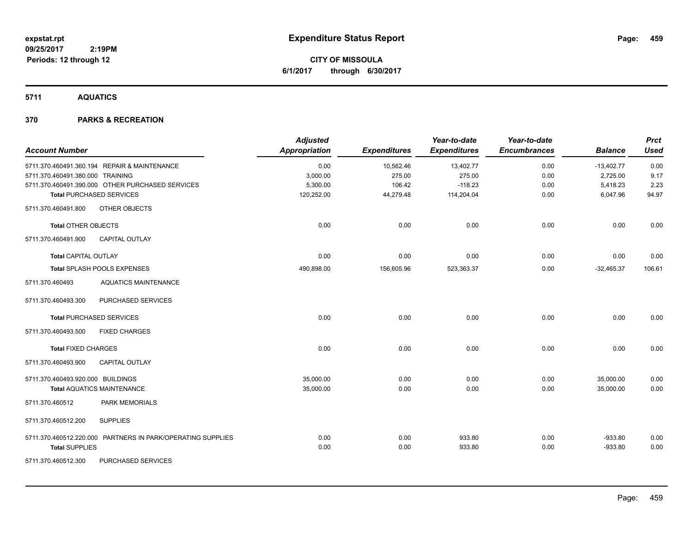**CITY OF MISSOULA 6/1/2017 through 6/30/2017**

**5711 AQUATICS**

| <b>Account Number</b>             |                                                             | <b>Adjusted</b><br><b>Appropriation</b> | <b>Expenditures</b> | Year-to-date<br><b>Expenditures</b> | Year-to-date<br><b>Encumbrances</b> | <b>Balance</b> | <b>Prct</b><br><b>Used</b> |
|-----------------------------------|-------------------------------------------------------------|-----------------------------------------|---------------------|-------------------------------------|-------------------------------------|----------------|----------------------------|
|                                   | 5711.370.460491.360.194 REPAIR & MAINTENANCE                | 0.00                                    | 10,562.46           | 13,402.77                           | 0.00                                | $-13,402.77$   | 0.00                       |
| 5711.370.460491.380.000 TRAINING  |                                                             | 3,000.00                                | 275.00              | 275.00                              | 0.00                                | 2,725.00       | 9.17                       |
|                                   | 5711.370.460491.390.000 OTHER PURCHASED SERVICES            | 5,300.00                                | 106.42              | $-118.23$                           | 0.00                                | 5,418.23       | 2.23                       |
|                                   | <b>Total PURCHASED SERVICES</b>                             | 120,252.00                              | 44,279.48           | 114,204.04                          | 0.00                                | 6,047.96       | 94.97                      |
| 5711.370.460491.800               | OTHER OBJECTS                                               |                                         |                     |                                     |                                     |                |                            |
| Total OTHER OBJECTS               |                                                             | 0.00                                    | 0.00                | 0.00                                | 0.00                                | 0.00           | 0.00                       |
| 5711.370.460491.900               | <b>CAPITAL OUTLAY</b>                                       |                                         |                     |                                     |                                     |                |                            |
| <b>Total CAPITAL OUTLAY</b>       |                                                             | 0.00                                    | 0.00                | 0.00                                | 0.00                                | 0.00           | 0.00                       |
|                                   | Total SPLASH POOLS EXPENSES                                 | 490,898.00                              | 156,605.96          | 523,363.37                          | 0.00                                | $-32,465.37$   | 106.61                     |
| 5711.370.460493                   | <b>AQUATICS MAINTENANCE</b>                                 |                                         |                     |                                     |                                     |                |                            |
| 5711.370.460493.300               | PURCHASED SERVICES                                          |                                         |                     |                                     |                                     |                |                            |
|                                   | <b>Total PURCHASED SERVICES</b>                             | 0.00                                    | 0.00                | 0.00                                | 0.00                                | 0.00           | 0.00                       |
| 5711.370.460493.500               | <b>FIXED CHARGES</b>                                        |                                         |                     |                                     |                                     |                |                            |
| <b>Total FIXED CHARGES</b>        |                                                             | 0.00                                    | 0.00                | 0.00                                | 0.00                                | 0.00           | 0.00                       |
| 5711.370.460493.900               | <b>CAPITAL OUTLAY</b>                                       |                                         |                     |                                     |                                     |                |                            |
| 5711.370.460493.920.000 BUILDINGS |                                                             | 35,000.00                               | 0.00                | 0.00                                | 0.00                                | 35,000.00      | 0.00                       |
|                                   | <b>Total AQUATICS MAINTENANCE</b>                           | 35,000.00                               | 0.00                | 0.00                                | 0.00                                | 35,000.00      | 0.00                       |
| 5711.370.460512                   | <b>PARK MEMORIALS</b>                                       |                                         |                     |                                     |                                     |                |                            |
| 5711.370.460512.200               | <b>SUPPLIES</b>                                             |                                         |                     |                                     |                                     |                |                            |
|                                   | 5711.370.460512.220.000 PARTNERS IN PARK/OPERATING SUPPLIES | 0.00                                    | 0.00                | 933.80                              | 0.00                                | $-933.80$      | 0.00                       |
| <b>Total SUPPLIES</b>             |                                                             | 0.00                                    | 0.00                | 933.80                              | 0.00                                | $-933.80$      | 0.00                       |
| 5711.370.460512.300               | PURCHASED SERVICES                                          |                                         |                     |                                     |                                     |                |                            |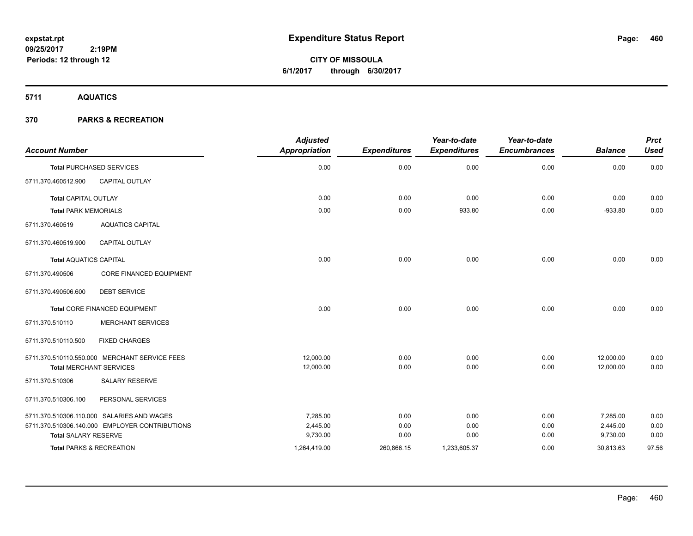**CITY OF MISSOULA 6/1/2017 through 6/30/2017**

**5711 AQUATICS**

| <b>Account Number</b>               |                                                | <b>Adjusted</b><br>Appropriation | <b>Expenditures</b> | Year-to-date<br><b>Expenditures</b> | Year-to-date<br><b>Encumbrances</b> | <b>Balance</b> | <b>Prct</b><br><b>Used</b> |
|-------------------------------------|------------------------------------------------|----------------------------------|---------------------|-------------------------------------|-------------------------------------|----------------|----------------------------|
|                                     | <b>Total PURCHASED SERVICES</b>                | 0.00                             | 0.00                | 0.00                                | 0.00                                | 0.00           | 0.00                       |
| 5711.370.460512.900                 | CAPITAL OUTLAY                                 |                                  |                     |                                     |                                     |                |                            |
| <b>Total CAPITAL OUTLAY</b>         |                                                | 0.00                             | 0.00                | 0.00                                | 0.00                                | 0.00           | 0.00                       |
| <b>Total PARK MEMORIALS</b>         |                                                | 0.00                             | 0.00                | 933.80                              | 0.00                                | $-933.80$      | 0.00                       |
| 5711.370.460519                     | <b>AQUATICS CAPITAL</b>                        |                                  |                     |                                     |                                     |                |                            |
| 5711.370.460519.900                 | <b>CAPITAL OUTLAY</b>                          |                                  |                     |                                     |                                     |                |                            |
| <b>Total AQUATICS CAPITAL</b>       |                                                | 0.00                             | 0.00                | 0.00                                | 0.00                                | 0.00           | 0.00                       |
| 5711.370.490506                     | <b>CORE FINANCED EQUIPMENT</b>                 |                                  |                     |                                     |                                     |                |                            |
| 5711.370.490506.600                 | <b>DEBT SERVICE</b>                            |                                  |                     |                                     |                                     |                |                            |
|                                     | <b>Total CORE FINANCED EQUIPMENT</b>           | 0.00                             | 0.00                | 0.00                                | 0.00                                | 0.00           | 0.00                       |
| 5711.370.510110                     | <b>MERCHANT SERVICES</b>                       |                                  |                     |                                     |                                     |                |                            |
| 5711.370.510110.500                 | <b>FIXED CHARGES</b>                           |                                  |                     |                                     |                                     |                |                            |
|                                     | 5711.370.510110.550.000 MERCHANT SERVICE FEES  | 12.000.00                        | 0.00                | 0.00                                | 0.00                                | 12,000.00      | 0.00                       |
| <b>Total MERCHANT SERVICES</b>      |                                                | 12,000.00                        | 0.00                | 0.00                                | 0.00                                | 12,000.00      | 0.00                       |
| 5711.370.510306                     | <b>SALARY RESERVE</b>                          |                                  |                     |                                     |                                     |                |                            |
| 5711.370.510306.100                 | PERSONAL SERVICES                              |                                  |                     |                                     |                                     |                |                            |
|                                     | 5711.370.510306.110.000 SALARIES AND WAGES     | 7,285.00                         | 0.00                | 0.00                                | 0.00                                | 7,285.00       | 0.00                       |
|                                     | 5711.370.510306.140.000 EMPLOYER CONTRIBUTIONS | 2,445.00                         | 0.00                | 0.00                                | 0.00                                | 2,445.00       | 0.00                       |
| Total SALARY RESERVE                |                                                | 9,730.00                         | 0.00                | 0.00                                | 0.00                                | 9,730.00       | 0.00                       |
| <b>Total PARKS &amp; RECREATION</b> |                                                | 1,264,419.00                     | 260,866.15          | 1,233,605.37                        | 0.00                                | 30,813.63      | 97.56                      |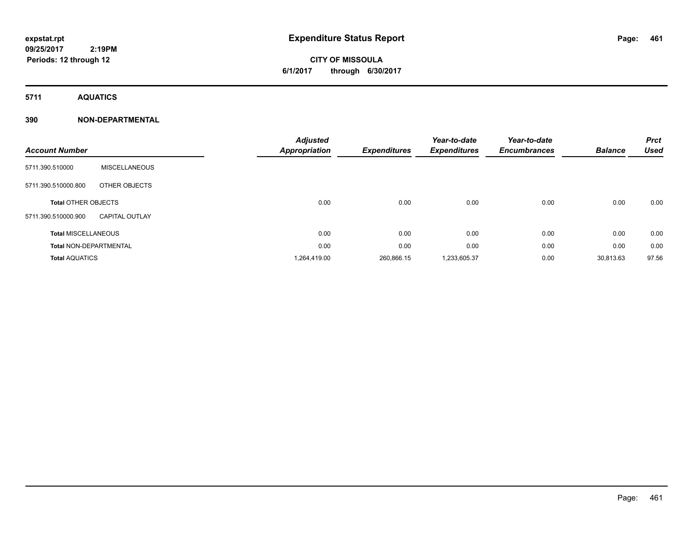# **CITY OF MISSOULA 6/1/2017 through 6/30/2017**

**5711 AQUATICS**

### **390 NON-DEPARTMENTAL**

| <b>Account Number</b>         |                       | <b>Adjusted</b><br>Appropriation | <b>Expenditures</b> | Year-to-date<br><b>Expenditures</b> | Year-to-date<br><b>Encumbrances</b> | <b>Balance</b> | <b>Prct</b><br><b>Used</b> |
|-------------------------------|-----------------------|----------------------------------|---------------------|-------------------------------------|-------------------------------------|----------------|----------------------------|
| 5711.390.510000               | <b>MISCELLANEOUS</b>  |                                  |                     |                                     |                                     |                |                            |
| 5711.390.510000.800           | OTHER OBJECTS         |                                  |                     |                                     |                                     |                |                            |
| <b>Total OTHER OBJECTS</b>    |                       | 0.00                             | 0.00                | 0.00                                | 0.00                                | 0.00           | 0.00                       |
| 5711.390.510000.900           | <b>CAPITAL OUTLAY</b> |                                  |                     |                                     |                                     |                |                            |
| <b>Total MISCELLANEOUS</b>    |                       | 0.00                             | 0.00                | 0.00                                | 0.00                                | 0.00           | 0.00                       |
| <b>Total NON-DEPARTMENTAL</b> |                       | 0.00                             | 0.00                | 0.00                                | 0.00                                | 0.00           | 0.00                       |
| <b>Total AQUATICS</b>         |                       | 1,264,419.00                     | 260,866.15          | 1,233,605.37                        | 0.00                                | 30,813.63      | 97.56                      |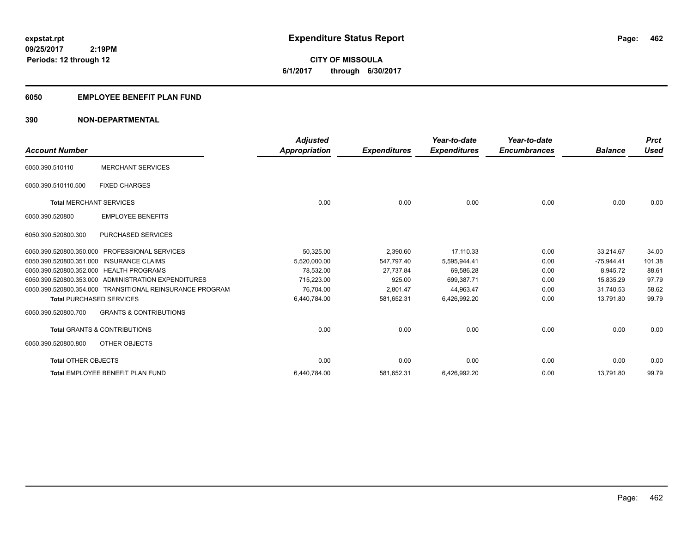# **CITY OF MISSOULA 6/1/2017 through 6/30/2017**

### **6050 EMPLOYEE BENEFIT PLAN FUND**

### **390 NON-DEPARTMENTAL**

| <b>Account Number</b>                   |                                                          | <b>Adjusted</b><br>Appropriation | <b>Expenditures</b> | Year-to-date<br><b>Expenditures</b> | Year-to-date<br><b>Encumbrances</b> | <b>Balance</b> | <b>Prct</b><br><b>Used</b> |
|-----------------------------------------|----------------------------------------------------------|----------------------------------|---------------------|-------------------------------------|-------------------------------------|----------------|----------------------------|
| 6050.390.510110                         | <b>MERCHANT SERVICES</b>                                 |                                  |                     |                                     |                                     |                |                            |
| 6050.390.510110.500                     | <b>FIXED CHARGES</b>                                     |                                  |                     |                                     |                                     |                |                            |
| <b>Total MERCHANT SERVICES</b>          |                                                          | 0.00                             | 0.00                | 0.00                                | 0.00                                | 0.00           | 0.00                       |
| 6050.390.520800                         | <b>EMPLOYEE BENEFITS</b>                                 |                                  |                     |                                     |                                     |                |                            |
| 6050.390.520800.300                     | <b>PURCHASED SERVICES</b>                                |                                  |                     |                                     |                                     |                |                            |
| 6050.390.520800.350.000                 | <b>PROFESSIONAL SERVICES</b>                             | 50,325.00                        | 2,390.60            | 17.110.33                           | 0.00                                | 33,214.67      | 34.00                      |
| 6050.390.520800.351.000                 | <b>INSURANCE CLAIMS</b>                                  | 5.520.000.00                     | 547.797.40          | 5.595.944.41                        | 0.00                                | $-75.944.41$   | 101.38                     |
| 6050.390.520800.352.000 HEALTH PROGRAMS |                                                          | 78,532.00                        | 27.737.84           | 69,586.28                           | 0.00                                | 8.945.72       | 88.61                      |
|                                         | 6050.390.520800.353.000 ADMINISTRATION EXPENDITURES      | 715.223.00                       | 925.00              | 699.387.71                          | 0.00                                | 15.835.29      | 97.79                      |
|                                         | 6050.390.520800.354.000 TRANSITIONAL REINSURANCE PROGRAM | 76,704.00                        | 2,801.47            | 44,963.47                           | 0.00                                | 31,740.53      | 58.62                      |
| <b>Total PURCHASED SERVICES</b>         |                                                          | 6,440,784.00                     | 581,652.31          | 6,426,992.20                        | 0.00                                | 13,791.80      | 99.79                      |
| 6050.390.520800.700                     | <b>GRANTS &amp; CONTRIBUTIONS</b>                        |                                  |                     |                                     |                                     |                |                            |
|                                         | <b>Total GRANTS &amp; CONTRIBUTIONS</b>                  | 0.00                             | 0.00                | 0.00                                | 0.00                                | 0.00           | 0.00                       |
| 6050.390.520800.800                     | OTHER OBJECTS                                            |                                  |                     |                                     |                                     |                |                            |
| <b>Total OTHER OBJECTS</b>              |                                                          | 0.00                             | 0.00                | 0.00                                | 0.00                                | 0.00           | 0.00                       |
|                                         | Total EMPLOYEE BENEFIT PLAN FUND                         | 6,440,784.00                     | 581,652.31          | 6,426,992.20                        | 0.00                                | 13,791.80      | 99.79                      |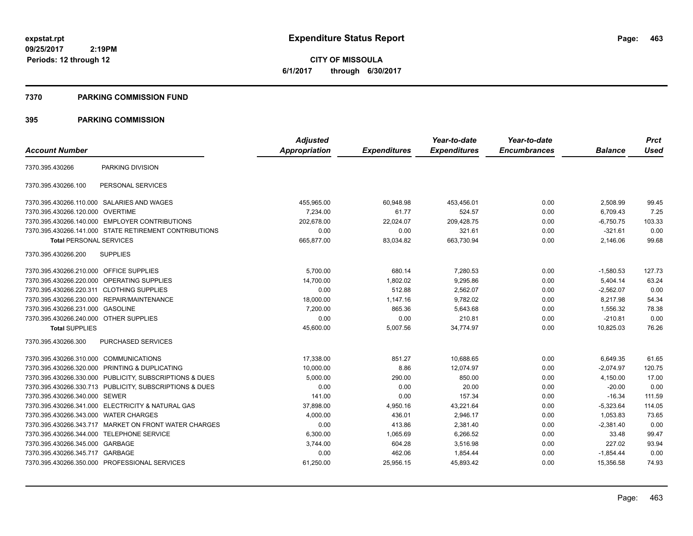**CITY OF MISSOULA 6/1/2017 through 6/30/2017**

### **7370 PARKING COMMISSION FUND**

|                                           |                                                         | <b>Adjusted</b> |                     | Year-to-date        | Year-to-date        |                | <b>Prct</b> |
|-------------------------------------------|---------------------------------------------------------|-----------------|---------------------|---------------------|---------------------|----------------|-------------|
| <b>Account Number</b>                     |                                                         | Appropriation   | <b>Expenditures</b> | <b>Expenditures</b> | <b>Encumbrances</b> | <b>Balance</b> | <b>Used</b> |
| 7370.395.430266                           | PARKING DIVISION                                        |                 |                     |                     |                     |                |             |
| 7370.395.430266.100                       | PERSONAL SERVICES                                       |                 |                     |                     |                     |                |             |
|                                           | 7370.395.430266.110.000 SALARIES AND WAGES              | 455,965.00      | 60,948.98           | 453,456.01          | 0.00                | 2,508.99       | 99.45       |
| 7370.395.430266.120.000 OVERTIME          |                                                         | 7,234.00        | 61.77               | 524.57              | 0.00                | 6,709.43       | 7.25        |
|                                           | 7370.395.430266.140.000 EMPLOYER CONTRIBUTIONS          | 202.678.00      | 22.024.07           | 209,428.75          | 0.00                | $-6,750.75$    | 103.33      |
|                                           | 7370.395.430266.141.000 STATE RETIREMENT CONTRIBUTIONS  | 0.00            | 0.00                | 321.61              | 0.00                | $-321.61$      | 0.00        |
| <b>Total PERSONAL SERVICES</b>            |                                                         | 665,877.00      | 83,034.82           | 663,730.94          | 0.00                | 2,146.06       | 99.68       |
| 7370.395.430266.200                       | <b>SUPPLIES</b>                                         |                 |                     |                     |                     |                |             |
| 7370.395.430266.210.000 OFFICE SUPPLIES   |                                                         | 5,700.00        | 680.14              | 7,280.53            | 0.00                | $-1,580.53$    | 127.73      |
| 7370.395.430266.220.000                   | OPERATING SUPPLIES                                      | 14,700.00       | 1,802.02            | 9,295.86            | 0.00                | 5,404.14       | 63.24       |
| 7370.395.430266.220.311 CLOTHING SUPPLIES |                                                         | 0.00            | 512.88              | 2,562.07            | 0.00                | $-2,562.07$    | 0.00        |
|                                           | 7370.395.430266.230.000 REPAIR/MAINTENANCE              | 18,000.00       | 1,147.16            | 9,782.02            | 0.00                | 8,217.98       | 54.34       |
| 7370.395.430266.231.000 GASOLINE          |                                                         | 7,200.00        | 865.36              | 5,643.68            | 0.00                | 1,556.32       | 78.38       |
| 7370.395.430266.240.000 OTHER SUPPLIES    |                                                         | 0.00            | 0.00                | 210.81              | 0.00                | $-210.81$      | 0.00        |
| <b>Total SUPPLIES</b>                     |                                                         | 45,600.00       | 5,007.56            | 34,774.97           | 0.00                | 10,825.03      | 76.26       |
| 7370.395.430266.300                       | PURCHASED SERVICES                                      |                 |                     |                     |                     |                |             |
| 7370.395.430266.310.000 COMMUNICATIONS    |                                                         | 17,338.00       | 851.27              | 10,688.65           | 0.00                | 6,649.35       | 61.65       |
|                                           | 7370.395.430266.320.000 PRINTING & DUPLICATING          | 10,000.00       | 8.86                | 12.074.97           | 0.00                | $-2.074.97$    | 120.75      |
|                                           | 7370.395.430266.330.000 PUBLICITY, SUBSCRIPTIONS & DUES | 5,000.00        | 290.00              | 850.00              | 0.00                | 4.150.00       | 17.00       |
|                                           | 7370.395.430266.330.713 PUBLICITY, SUBSCRIPTIONS & DUES | 0.00            | 0.00                | 20.00               | 0.00                | $-20.00$       | 0.00        |
| 7370.395.430266.340.000                   | <b>SEWER</b>                                            | 141.00          | 0.00                | 157.34              | 0.00                | $-16.34$       | 111.59      |
|                                           | 7370.395.430266.341.000 ELECTRICITY & NATURAL GAS       | 37,898.00       | 4,950.16            | 43,221.64           | 0.00                | $-5,323.64$    | 114.05      |
| 7370.395.430266.343.000                   | <b>WATER CHARGES</b>                                    | 4,000.00        | 436.01              | 2,946.17            | 0.00                | 1,053.83       | 73.65       |
|                                           | 7370.395.430266.343.717 MARKET ON FRONT WATER CHARGES   | 0.00            | 413.86              | 2,381.40            | 0.00                | $-2,381.40$    | 0.00        |
| 7370.395.430266.344.000                   | <b>TELEPHONE SERVICE</b>                                | 6,300.00        | 1,065.69            | 6,266.52            | 0.00                | 33.48          | 99.47       |
| 7370.395.430266.345.000 GARBAGE           |                                                         | 3,744.00        | 604.28              | 3,516.98            | 0.00                | 227.02         | 93.94       |
| 7370.395.430266.345.717 GARBAGE           |                                                         | 0.00            | 462.06              | 1,854.44            | 0.00                | $-1,854.44$    | 0.00        |
|                                           | 7370.395.430266.350.000 PROFESSIONAL SERVICES           | 61,250.00       | 25,956.15           | 45,893.42           | 0.00                | 15,356.58      | 74.93       |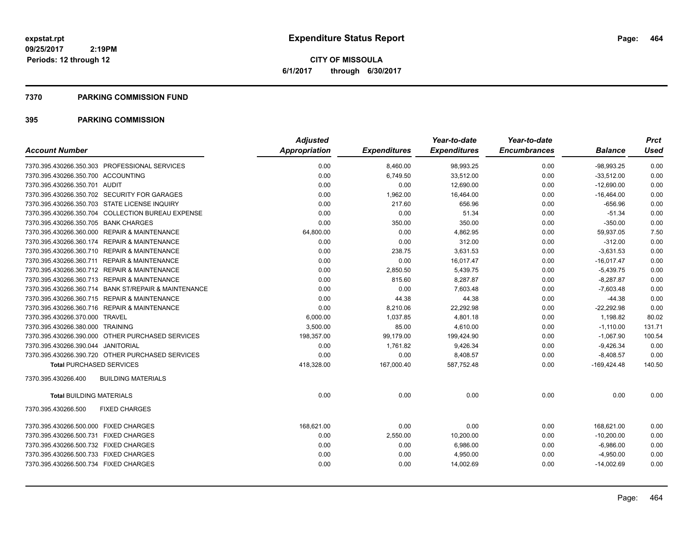**CITY OF MISSOULA 6/1/2017 through 6/30/2017**

### **7370 PARKING COMMISSION FUND**

| <b>Account Number</b>                                | <b>Adjusted</b><br><b>Appropriation</b> | <b>Expenditures</b> | Year-to-date<br><b>Expenditures</b> | Year-to-date<br><b>Encumbrances</b> | <b>Balance</b> | <b>Prct</b><br><b>Used</b> |
|------------------------------------------------------|-----------------------------------------|---------------------|-------------------------------------|-------------------------------------|----------------|----------------------------|
|                                                      |                                         |                     |                                     |                                     |                |                            |
| 7370.395.430266.350.303 PROFESSIONAL SERVICES        | 0.00                                    | 8,460.00            | 98,993.25                           | 0.00                                | $-98,993.25$   | 0.00                       |
| 7370.395.430266.350.700 ACCOUNTING                   | 0.00                                    | 6,749.50            | 33,512.00                           | 0.00                                | $-33,512.00$   | 0.00                       |
| 7370.395.430266.350.701 AUDIT                        | 0.00                                    | 0.00                | 12,690.00                           | 0.00                                | $-12,690.00$   | 0.00                       |
| 7370.395.430266.350.702 SECURITY FOR GARAGES         | 0.00                                    | 1,962.00            | 16,464.00                           | 0.00                                | $-16,464.00$   | 0.00                       |
| 7370.395.430266.350.703 STATE LICENSE INQUIRY        | 0.00                                    | 217.60              | 656.96                              | 0.00                                | $-656.96$      | 0.00                       |
| 7370.395.430266.350.704 COLLECTION BUREAU EXPENSE    | 0.00                                    | 0.00                | 51.34                               | 0.00                                | $-51.34$       | 0.00                       |
| 7370.395.430266.350.705 BANK CHARGES                 | 0.00                                    | 350.00              | 350.00                              | 0.00                                | $-350.00$      | 0.00                       |
| 7370.395.430266.360.000 REPAIR & MAINTENANCE         | 64,800.00                               | 0.00                | 4,862.95                            | 0.00                                | 59,937.05      | 7.50                       |
| 7370.395.430266.360.174 REPAIR & MAINTENANCE         | 0.00                                    | 0.00                | 312.00                              | 0.00                                | $-312.00$      | 0.00                       |
| 7370.395.430266.360.710 REPAIR & MAINTENANCE         | 0.00                                    | 238.75              | 3,631.53                            | 0.00                                | $-3.631.53$    | 0.00                       |
| 7370.395.430266.360.711 REPAIR & MAINTENANCE         | 0.00                                    | 0.00                | 16,017.47                           | 0.00                                | $-16,017.47$   | 0.00                       |
| 7370.395.430266.360.712 REPAIR & MAINTENANCE         | 0.00                                    | 2,850.50            | 5,439.75                            | 0.00                                | $-5,439.75$    | 0.00                       |
| 7370.395.430266.360.713 REPAIR & MAINTENANCE         | 0.00                                    | 815.60              | 8,287.87                            | 0.00                                | $-8,287.87$    | 0.00                       |
| 7370.395.430266.360.714 BANK ST/REPAIR & MAINTENANCE | 0.00                                    | 0.00                | 7,603.48                            | 0.00                                | $-7,603.48$    | 0.00                       |
| 7370.395.430266.360.715 REPAIR & MAINTENANCE         | 0.00                                    | 44.38               | 44.38                               | 0.00                                | $-44.38$       | 0.00                       |
| 7370.395.430266.360.716 REPAIR & MAINTENANCE         | 0.00                                    | 8,210.06            | 22,292.98                           | 0.00                                | $-22,292.98$   | 0.00                       |
| 7370.395.430266.370.000 TRAVEL                       | 6,000.00                                | 1,037.85            | 4,801.18                            | 0.00                                | 1,198.82       | 80.02                      |
| 7370.395.430266.380.000 TRAINING                     | 3.500.00                                | 85.00               | 4.610.00                            | 0.00                                | $-1,110.00$    | 131.71                     |
| 7370.395.430266.390.000 OTHER PURCHASED SERVICES     | 198,357.00                              | 99,179.00           | 199,424.90                          | 0.00                                | $-1,067.90$    | 100.54                     |
| 7370.395.430266.390.044 JANITORIAL                   | 0.00                                    | 1,761.82            | 9,426.34                            | 0.00                                | $-9,426.34$    | 0.00                       |
| 7370.395.430266.390.720 OTHER PURCHASED SERVICES     | 0.00                                    | 0.00                | 8,408.57                            | 0.00                                | $-8,408.57$    | 0.00                       |
| <b>Total PURCHASED SERVICES</b>                      | 418,328.00                              | 167,000.40          | 587,752.48                          | 0.00                                | $-169,424.48$  | 140.50                     |
| 7370.395.430266.400<br><b>BUILDING MATERIALS</b>     |                                         |                     |                                     |                                     |                |                            |
| <b>Total BUILDING MATERIALS</b>                      | 0.00                                    | 0.00                | 0.00                                | 0.00                                | 0.00           | 0.00                       |
| 7370.395.430266.500<br><b>FIXED CHARGES</b>          |                                         |                     |                                     |                                     |                |                            |
| 7370.395.430266.500.000 FIXED CHARGES                | 168.621.00                              | 0.00                | 0.00                                | 0.00                                | 168.621.00     | 0.00                       |
| 7370.395.430266.500.731 FIXED CHARGES                | 0.00                                    | 2,550.00            | 10,200.00                           | 0.00                                | $-10,200.00$   | 0.00                       |
| 7370.395.430266.500.732 FIXED CHARGES                | 0.00                                    | 0.00                | 6,986.00                            | 0.00                                | $-6,986.00$    | 0.00                       |
| 7370.395.430266.500.733 FIXED CHARGES                | 0.00                                    | 0.00                | 4,950.00                            | 0.00                                | $-4,950.00$    | 0.00                       |
| 7370.395.430266.500.734 FIXED CHARGES                | 0.00                                    | 0.00                | 14,002.69                           | 0.00                                | $-14,002.69$   | 0.00                       |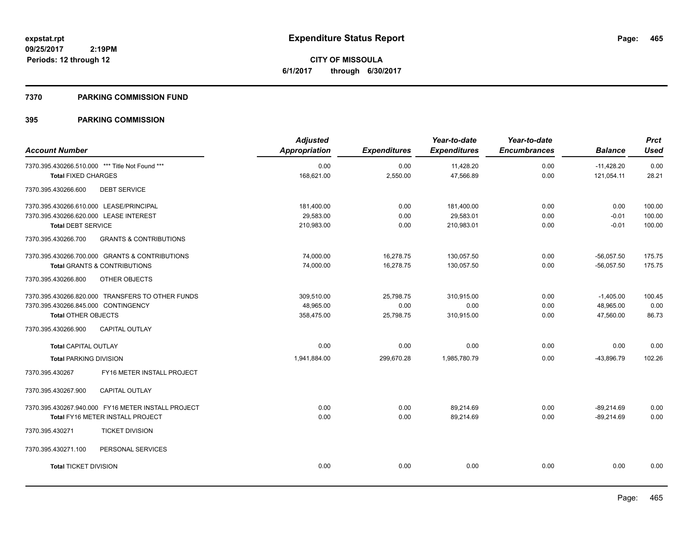**CITY OF MISSOULA 6/1/2017 through 6/30/2017**

### **7370 PARKING COMMISSION FUND**

|                                                          | <b>Adjusted</b>      |                     | Year-to-date        | Year-to-date        |                | <b>Prct</b> |
|----------------------------------------------------------|----------------------|---------------------|---------------------|---------------------|----------------|-------------|
| <b>Account Number</b>                                    | <b>Appropriation</b> | <b>Expenditures</b> | <b>Expenditures</b> | <b>Encumbrances</b> | <b>Balance</b> | <b>Used</b> |
| 7370.395.430266.510.000 *** Title Not Found ***          | 0.00                 | 0.00                | 11,428.20           | 0.00                | $-11,428.20$   | 0.00        |
| <b>Total FIXED CHARGES</b>                               | 168,621.00           | 2,550.00            | 47,566.89           | 0.00                | 121,054.11     | 28.21       |
| 7370.395.430266.600<br><b>DEBT SERVICE</b>               |                      |                     |                     |                     |                |             |
| 7370.395.430266.610.000 LEASE/PRINCIPAL                  | 181,400.00           | 0.00                | 181,400.00          | 0.00                | 0.00           | 100.00      |
| 7370.395.430266.620.000 LEASE INTEREST                   | 29,583.00            | 0.00                | 29,583.01           | 0.00                | $-0.01$        | 100.00      |
| <b>Total DEBT SERVICE</b>                                | 210,983.00           | 0.00                | 210,983.01          | 0.00                | $-0.01$        | 100.00      |
| 7370.395.430266.700<br><b>GRANTS &amp; CONTRIBUTIONS</b> |                      |                     |                     |                     |                |             |
| 7370.395.430266.700.000 GRANTS & CONTRIBUTIONS           | 74,000.00            | 16,278.75           | 130,057.50          | 0.00                | $-56,057.50$   | 175.75      |
| <b>Total GRANTS &amp; CONTRIBUTIONS</b>                  | 74,000.00            | 16,278.75           | 130,057.50          | 0.00                | $-56,057.50$   | 175.75      |
| 7370.395.430266.800<br>OTHER OBJECTS                     |                      |                     |                     |                     |                |             |
| 7370.395.430266.820.000 TRANSFERS TO OTHER FUNDS         | 309,510.00           | 25,798.75           | 310,915.00          | 0.00                | $-1,405.00$    | 100.45      |
| 7370.395.430266.845.000 CONTINGENCY                      | 48,965.00            | 0.00                | 0.00                | 0.00                | 48,965.00      | 0.00        |
| <b>Total OTHER OBJECTS</b>                               | 358,475.00           | 25,798.75           | 310,915.00          | 0.00                | 47,560.00      | 86.73       |
| CAPITAL OUTLAY<br>7370.395.430266.900                    |                      |                     |                     |                     |                |             |
| <b>Total CAPITAL OUTLAY</b>                              | 0.00                 | 0.00                | 0.00                | 0.00                | 0.00           | 0.00        |
| <b>Total PARKING DIVISION</b>                            | 1,941,884.00         | 299,670.28          | 1,985,780.79        | 0.00                | $-43,896.79$   | 102.26      |
| 7370.395.430267<br>FY16 METER INSTALL PROJECT            |                      |                     |                     |                     |                |             |
| 7370.395.430267.900<br><b>CAPITAL OUTLAY</b>             |                      |                     |                     |                     |                |             |
| 7370.395.430267.940.000 FY16 METER INSTALL PROJECT       | 0.00                 | 0.00                | 89,214.69           | 0.00                | $-89,214.69$   | 0.00        |
| Total FY16 METER INSTALL PROJECT                         | 0.00                 | 0.00                | 89,214.69           | 0.00                | $-89,214.69$   | 0.00        |
| 7370.395.430271<br><b>TICKET DIVISION</b>                |                      |                     |                     |                     |                |             |
| 7370.395.430271.100<br>PERSONAL SERVICES                 |                      |                     |                     |                     |                |             |
| <b>Total TICKET DIVISION</b>                             | 0.00                 | 0.00                | 0.00                | 0.00                | 0.00           | 0.00        |
|                                                          |                      |                     |                     |                     |                |             |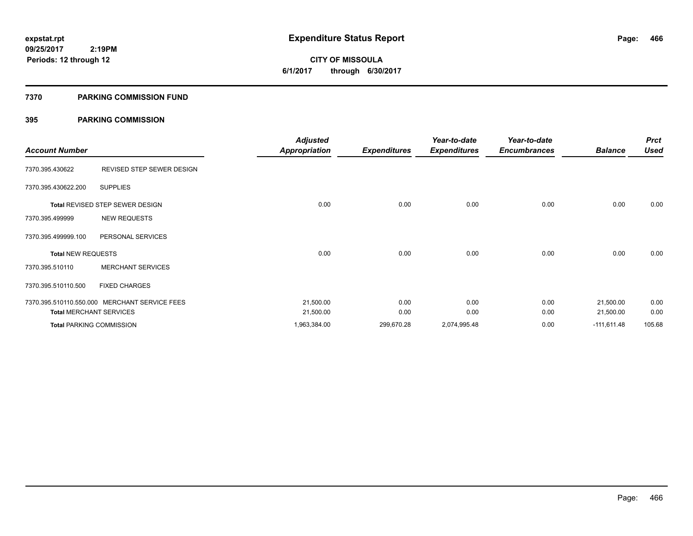**466**

**09/25/2017 2:19PM Periods: 12 through 12**

# **CITY OF MISSOULA 6/1/2017 through 6/30/2017**

### **7370 PARKING COMMISSION FUND**

| <b>Account Number</b>     |                                               | <b>Adjusted</b><br><b>Appropriation</b> | <b>Expenditures</b> | Year-to-date<br><b>Expenditures</b> | Year-to-date<br><b>Encumbrances</b> | <b>Balance</b> | <b>Prct</b><br><b>Used</b> |
|---------------------------|-----------------------------------------------|-----------------------------------------|---------------------|-------------------------------------|-------------------------------------|----------------|----------------------------|
| 7370.395.430622           | REVISED STEP SEWER DESIGN                     |                                         |                     |                                     |                                     |                |                            |
| 7370.395.430622.200       | <b>SUPPLIES</b>                               |                                         |                     |                                     |                                     |                |                            |
|                           | <b>Total REVISED STEP SEWER DESIGN</b>        | 0.00                                    | 0.00                | 0.00                                | 0.00                                | 0.00           | 0.00                       |
| 7370.395.499999           | <b>NEW REQUESTS</b>                           |                                         |                     |                                     |                                     |                |                            |
| 7370.395.499999.100       | PERSONAL SERVICES                             |                                         |                     |                                     |                                     |                |                            |
| <b>Total NEW REQUESTS</b> |                                               | 0.00                                    | 0.00                | 0.00                                | 0.00                                | 0.00           | 0.00                       |
| 7370.395.510110           | <b>MERCHANT SERVICES</b>                      |                                         |                     |                                     |                                     |                |                            |
| 7370.395.510110.500       | <b>FIXED CHARGES</b>                          |                                         |                     |                                     |                                     |                |                            |
|                           | 7370.395.510110.550.000 MERCHANT SERVICE FEES | 21,500.00                               | 0.00                | 0.00                                | 0.00                                | 21,500.00      | 0.00                       |
|                           | <b>Total MERCHANT SERVICES</b>                | 21,500.00                               | 0.00                | 0.00                                | 0.00                                | 21,500.00      | 0.00                       |
|                           | <b>Total PARKING COMMISSION</b>               | 1,963,384.00                            | 299,670.28          | 2,074,995.48                        | 0.00                                | $-111,611.48$  | 105.68                     |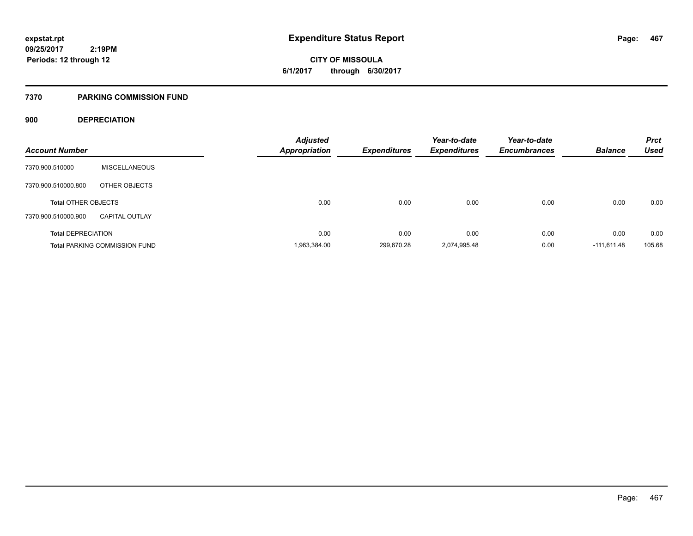**CITY OF MISSOULA 6/1/2017 through 6/30/2017**

### **7370 PARKING COMMISSION FUND**

### **900 DEPRECIATION**

| <b>Account Number</b>      |                                      | <b>Adjusted</b><br><b>Appropriation</b> | <b>Expenditures</b> | Year-to-date<br><b>Expenditures</b> | Year-to-date<br><b>Encumbrances</b> | <b>Balance</b> | <b>Prct</b><br><b>Used</b> |
|----------------------------|--------------------------------------|-----------------------------------------|---------------------|-------------------------------------|-------------------------------------|----------------|----------------------------|
| 7370.900.510000            | <b>MISCELLANEOUS</b>                 |                                         |                     |                                     |                                     |                |                            |
| 7370.900.510000.800        | OTHER OBJECTS                        |                                         |                     |                                     |                                     |                |                            |
| <b>Total OTHER OBJECTS</b> |                                      | 0.00                                    | 0.00                | 0.00                                | 0.00                                | 0.00           | 0.00                       |
| 7370.900.510000.900        | <b>CAPITAL OUTLAY</b>                |                                         |                     |                                     |                                     |                |                            |
| <b>Total DEPRECIATION</b>  |                                      | 0.00                                    | 0.00                | 0.00                                | 0.00                                | 0.00           | 0.00                       |
|                            | <b>Total PARKING COMMISSION FUND</b> | 1,963,384.00                            | 299.670.28          | 2.074.995.48                        | 0.00                                | $-111.611.48$  | 105.68                     |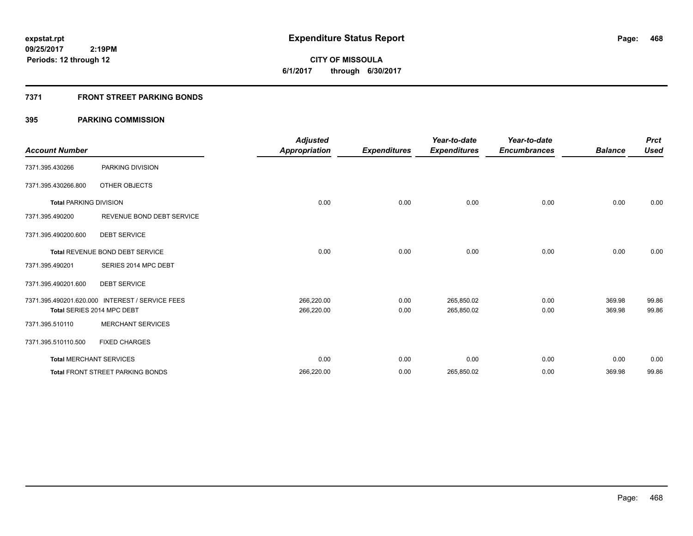**CITY OF MISSOULA 6/1/2017 through 6/30/2017**

### **7371 FRONT STREET PARKING BONDS**

| <b>Account Number</b>         |                                                 | <b>Adjusted</b><br><b>Appropriation</b> | <b>Expenditures</b> | Year-to-date<br><b>Expenditures</b> | Year-to-date<br><b>Encumbrances</b> | <b>Balance</b> | <b>Prct</b><br><b>Used</b> |
|-------------------------------|-------------------------------------------------|-----------------------------------------|---------------------|-------------------------------------|-------------------------------------|----------------|----------------------------|
| 7371.395.430266               | PARKING DIVISION                                |                                         |                     |                                     |                                     |                |                            |
| 7371.395.430266.800           | OTHER OBJECTS                                   |                                         |                     |                                     |                                     |                |                            |
| <b>Total PARKING DIVISION</b> |                                                 | 0.00                                    | 0.00                | 0.00                                | 0.00                                | 0.00           | 0.00                       |
| 7371.395.490200               | REVENUE BOND DEBT SERVICE                       |                                         |                     |                                     |                                     |                |                            |
| 7371.395.490200.600           | <b>DEBT SERVICE</b>                             |                                         |                     |                                     |                                     |                |                            |
|                               | <b>Total REVENUE BOND DEBT SERVICE</b>          | 0.00                                    | 0.00                | 0.00                                | 0.00                                | 0.00           | 0.00                       |
| 7371.395.490201               | SERIES 2014 MPC DEBT                            |                                         |                     |                                     |                                     |                |                            |
| 7371.395.490201.600           | <b>DEBT SERVICE</b>                             |                                         |                     |                                     |                                     |                |                            |
|                               | 7371.395.490201.620.000 INTEREST / SERVICE FEES | 266,220.00                              | 0.00                | 265,850.02                          | 0.00                                | 369.98         | 99.86                      |
|                               | Total SERIES 2014 MPC DEBT                      | 266,220.00                              | 0.00                | 265,850.02                          | 0.00                                | 369.98         | 99.86                      |
| 7371.395.510110               | <b>MERCHANT SERVICES</b>                        |                                         |                     |                                     |                                     |                |                            |
| 7371.395.510110.500           | <b>FIXED CHARGES</b>                            |                                         |                     |                                     |                                     |                |                            |
|                               | <b>Total MERCHANT SERVICES</b>                  | 0.00                                    | 0.00                | 0.00                                | 0.00                                | 0.00           | 0.00                       |
|                               | <b>Total FRONT STREET PARKING BONDS</b>         | 266,220.00                              | 0.00                | 265,850.02                          | 0.00                                | 369.98         | 99.86                      |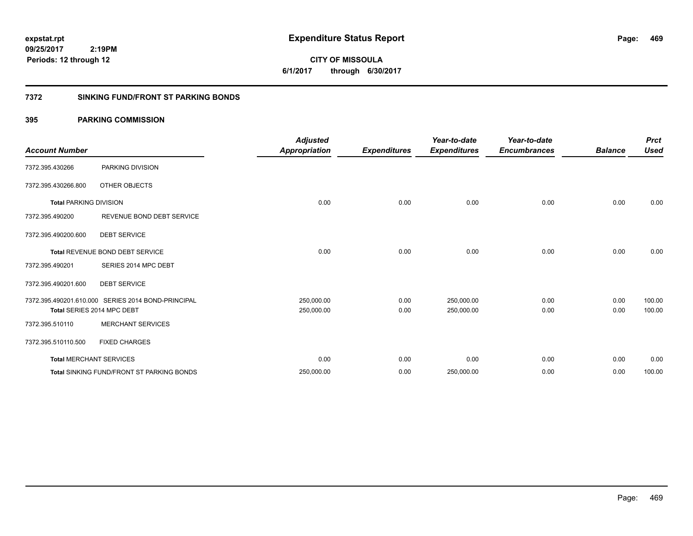**CITY OF MISSOULA 6/1/2017 through 6/30/2017**

### **7372 SINKING FUND/FRONT ST PARKING BONDS**

| <b>Account Number</b>         |                                                    | <b>Adjusted</b><br><b>Appropriation</b> | <b>Expenditures</b> | Year-to-date<br><b>Expenditures</b> | Year-to-date<br><b>Encumbrances</b> | <b>Balance</b> | <b>Prct</b><br><b>Used</b> |
|-------------------------------|----------------------------------------------------|-----------------------------------------|---------------------|-------------------------------------|-------------------------------------|----------------|----------------------------|
| 7372.395.430266               | PARKING DIVISION                                   |                                         |                     |                                     |                                     |                |                            |
| 7372.395.430266.800           | OTHER OBJECTS                                      |                                         |                     |                                     |                                     |                |                            |
| <b>Total PARKING DIVISION</b> |                                                    | 0.00                                    | 0.00                | 0.00                                | 0.00                                | 0.00           | 0.00                       |
| 7372.395.490200               | REVENUE BOND DEBT SERVICE                          |                                         |                     |                                     |                                     |                |                            |
| 7372.395.490200.600           | <b>DEBT SERVICE</b>                                |                                         |                     |                                     |                                     |                |                            |
|                               | Total REVENUE BOND DEBT SERVICE                    | 0.00                                    | 0.00                | 0.00                                | 0.00                                | 0.00           | 0.00                       |
| 7372.395.490201               | SERIES 2014 MPC DEBT                               |                                         |                     |                                     |                                     |                |                            |
| 7372.395.490201.600           | <b>DEBT SERVICE</b>                                |                                         |                     |                                     |                                     |                |                            |
|                               | 7372.395.490201.610.000 SERIES 2014 BOND-PRINCIPAL | 250,000.00                              | 0.00                | 250,000.00                          | 0.00                                | 0.00           | 100.00                     |
|                               | Total SERIES 2014 MPC DEBT                         | 250,000.00                              | 0.00                | 250,000.00                          | 0.00                                | 0.00           | 100.00                     |
| 7372.395.510110               | <b>MERCHANT SERVICES</b>                           |                                         |                     |                                     |                                     |                |                            |
| 7372.395.510110.500           | <b>FIXED CHARGES</b>                               |                                         |                     |                                     |                                     |                |                            |
|                               | <b>Total MERCHANT SERVICES</b>                     | 0.00                                    | 0.00                | 0.00                                | 0.00                                | 0.00           | 0.00                       |
|                               | <b>Total SINKING FUND/FRONT ST PARKING BONDS</b>   | 250,000.00                              | 0.00                | 250,000.00                          | 0.00                                | 0.00           | 100.00                     |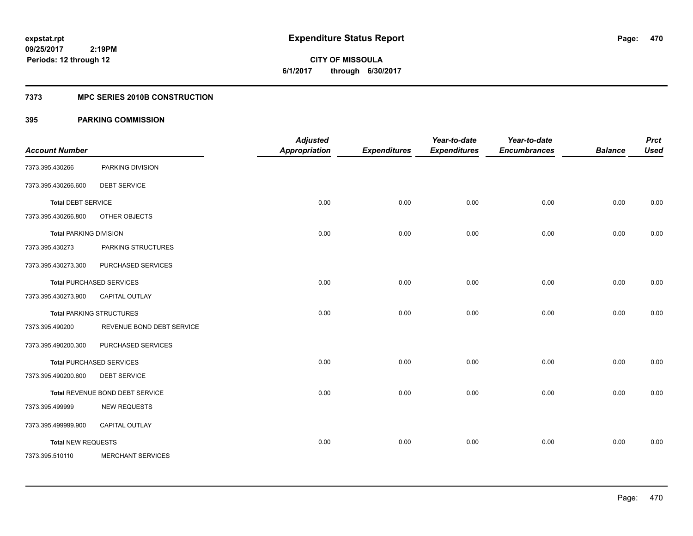**Periods: 12 through 12**

**470**

**CITY OF MISSOULA 6/1/2017 through 6/30/2017**

#### **7373 MPC SERIES 2010B CONSTRUCTION**

### **395 PARKING COMMISSION**

 **2:19PM**

| <b>Account Number</b>         |                                 | <b>Adjusted</b><br><b>Appropriation</b> | <b>Expenditures</b> | Year-to-date<br><b>Expenditures</b> | Year-to-date<br><b>Encumbrances</b> | <b>Balance</b> | <b>Prct</b><br><b>Used</b> |
|-------------------------------|---------------------------------|-----------------------------------------|---------------------|-------------------------------------|-------------------------------------|----------------|----------------------------|
| 7373.395.430266               | PARKING DIVISION                |                                         |                     |                                     |                                     |                |                            |
| 7373.395.430266.600           | <b>DEBT SERVICE</b>             |                                         |                     |                                     |                                     |                |                            |
| <b>Total DEBT SERVICE</b>     |                                 | 0.00                                    | 0.00                | 0.00                                | 0.00                                | 0.00           | 0.00                       |
| 7373.395.430266.800           | OTHER OBJECTS                   |                                         |                     |                                     |                                     |                |                            |
| <b>Total PARKING DIVISION</b> |                                 | 0.00                                    | 0.00                | 0.00                                | 0.00                                | 0.00           | 0.00                       |
| 7373.395.430273               | PARKING STRUCTURES              |                                         |                     |                                     |                                     |                |                            |
| 7373.395.430273.300           | PURCHASED SERVICES              |                                         |                     |                                     |                                     |                |                            |
|                               | <b>Total PURCHASED SERVICES</b> | 0.00                                    | 0.00                | 0.00                                | 0.00                                | 0.00           | 0.00                       |
| 7373.395.430273.900           | CAPITAL OUTLAY                  |                                         |                     |                                     |                                     |                |                            |
|                               | <b>Total PARKING STRUCTURES</b> | 0.00                                    | 0.00                | 0.00                                | 0.00                                | 0.00           | 0.00                       |
| 7373.395.490200               | REVENUE BOND DEBT SERVICE       |                                         |                     |                                     |                                     |                |                            |
| 7373.395.490200.300           | PURCHASED SERVICES              |                                         |                     |                                     |                                     |                |                            |
|                               | <b>Total PURCHASED SERVICES</b> | 0.00                                    | 0.00                | 0.00                                | 0.00                                | 0.00           | 0.00                       |
| 7373.395.490200.600           | <b>DEBT SERVICE</b>             |                                         |                     |                                     |                                     |                |                            |
|                               | Total REVENUE BOND DEBT SERVICE | 0.00                                    | 0.00                | 0.00                                | 0.00                                | 0.00           | 0.00                       |
| 7373.395.499999               | <b>NEW REQUESTS</b>             |                                         |                     |                                     |                                     |                |                            |
| 7373.395.499999.900           | CAPITAL OUTLAY                  |                                         |                     |                                     |                                     |                |                            |
| <b>Total NEW REQUESTS</b>     |                                 | 0.00                                    | 0.00                | 0.00                                | 0.00                                | 0.00           | 0.00                       |
| 7373.395.510110               | <b>MERCHANT SERVICES</b>        |                                         |                     |                                     |                                     |                |                            |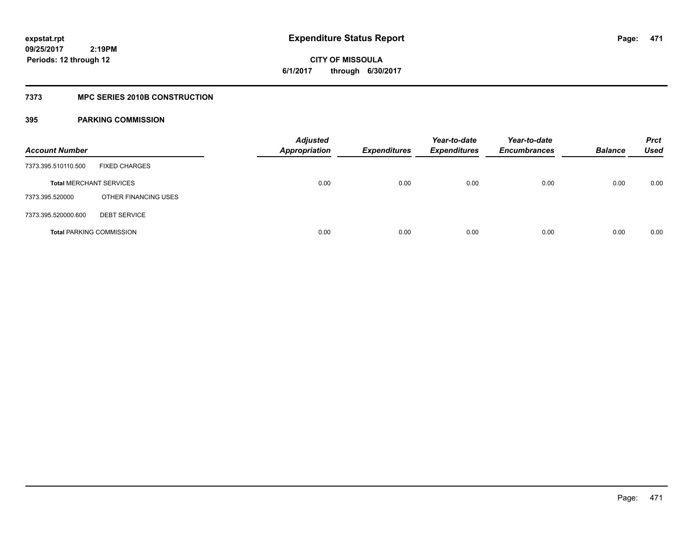**471**

**09/25/2017 2:19PM Periods: 12 through 12**

# **CITY OF MISSOULA 6/1/2017 through 6/30/2017**

### **7373 MPC SERIES 2010B CONSTRUCTION**

| <b>Account Number</b>          |                                 | <b>Adjusted</b><br><b>Appropriation</b> | <b>Expenditures</b> | Year-to-date<br><b>Expenditures</b> | Year-to-date<br><b>Encumbrances</b> | <b>Balance</b> | <b>Prct</b><br>Used |
|--------------------------------|---------------------------------|-----------------------------------------|---------------------|-------------------------------------|-------------------------------------|----------------|---------------------|
| 7373.395.510110.500            | <b>FIXED CHARGES</b>            |                                         |                     |                                     |                                     |                |                     |
| <b>Total MERCHANT SERVICES</b> |                                 | 0.00                                    | 0.00                | 0.00                                | 0.00                                | 0.00           | 0.00                |
| 7373.395.520000                | OTHER FINANCING USES            |                                         |                     |                                     |                                     |                |                     |
| 7373.395.520000.600            | <b>DEBT SERVICE</b>             |                                         |                     |                                     |                                     |                |                     |
|                                | <b>Total PARKING COMMISSION</b> | 0.00                                    | 0.00                | 0.00                                | 0.00                                | 0.00           | 0.00                |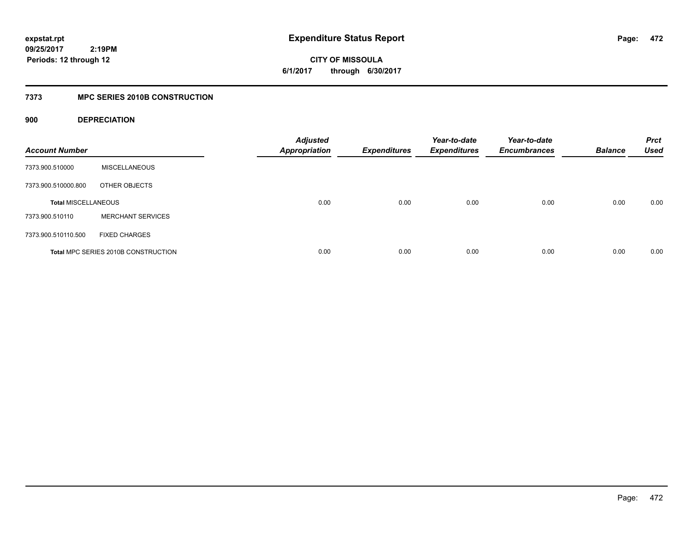**CITY OF MISSOULA 6/1/2017 through 6/30/2017**

### **7373 MPC SERIES 2010B CONSTRUCTION**

### **900 DEPRECIATION**

| <b>Account Number</b>      |                                     | <b>Adjusted</b><br><b>Appropriation</b> | <b>Expenditures</b> | Year-to-date<br><b>Expenditures</b> | Year-to-date<br><b>Encumbrances</b> | <b>Balance</b> | <b>Prct</b><br><b>Used</b> |
|----------------------------|-------------------------------------|-----------------------------------------|---------------------|-------------------------------------|-------------------------------------|----------------|----------------------------|
| 7373.900.510000            | <b>MISCELLANEOUS</b>                |                                         |                     |                                     |                                     |                |                            |
| 7373.900.510000.800        | OTHER OBJECTS                       |                                         |                     |                                     |                                     |                |                            |
| <b>Total MISCELLANEOUS</b> |                                     | 0.00                                    | 0.00                | 0.00                                | 0.00                                | 0.00           | 0.00                       |
| 7373.900.510110            | <b>MERCHANT SERVICES</b>            |                                         |                     |                                     |                                     |                |                            |
| 7373.900.510110.500        | <b>FIXED CHARGES</b>                |                                         |                     |                                     |                                     |                |                            |
|                            | Total MPC SERIES 2010B CONSTRUCTION | 0.00                                    | 0.00                | 0.00                                | 0.00                                | 0.00           | 0.00                       |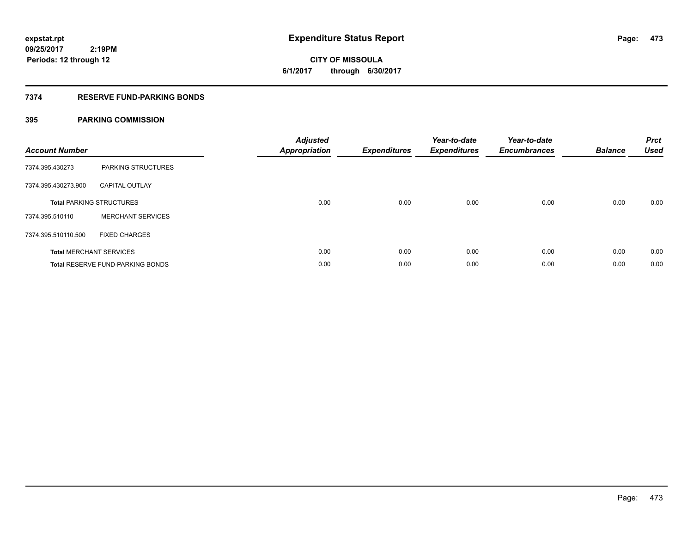# **CITY OF MISSOULA 6/1/2017 through 6/30/2017**

### **7374 RESERVE FUND-PARKING BONDS**

| <b>Account Number</b> |                                         | <b>Adjusted</b><br><b>Appropriation</b> | <b>Expenditures</b> | Year-to-date<br><b>Expenditures</b> | Year-to-date<br><b>Encumbrances</b> | <b>Balance</b> | <b>Prct</b><br><b>Used</b> |
|-----------------------|-----------------------------------------|-----------------------------------------|---------------------|-------------------------------------|-------------------------------------|----------------|----------------------------|
| 7374.395.430273       | PARKING STRUCTURES                      |                                         |                     |                                     |                                     |                |                            |
| 7374.395.430273.900   | <b>CAPITAL OUTLAY</b>                   |                                         |                     |                                     |                                     |                |                            |
|                       | <b>Total PARKING STRUCTURES</b>         | 0.00                                    | 0.00                | 0.00                                | 0.00                                | 0.00           | 0.00                       |
| 7374.395.510110       | <b>MERCHANT SERVICES</b>                |                                         |                     |                                     |                                     |                |                            |
| 7374.395.510110.500   | <b>FIXED CHARGES</b>                    |                                         |                     |                                     |                                     |                |                            |
|                       | <b>Total MERCHANT SERVICES</b>          | 0.00                                    | 0.00                | 0.00                                | 0.00                                | 0.00           | 0.00                       |
|                       | <b>Total RESERVE FUND-PARKING BONDS</b> | 0.00                                    | 0.00                | 0.00                                | 0.00                                | 0.00           | 0.00                       |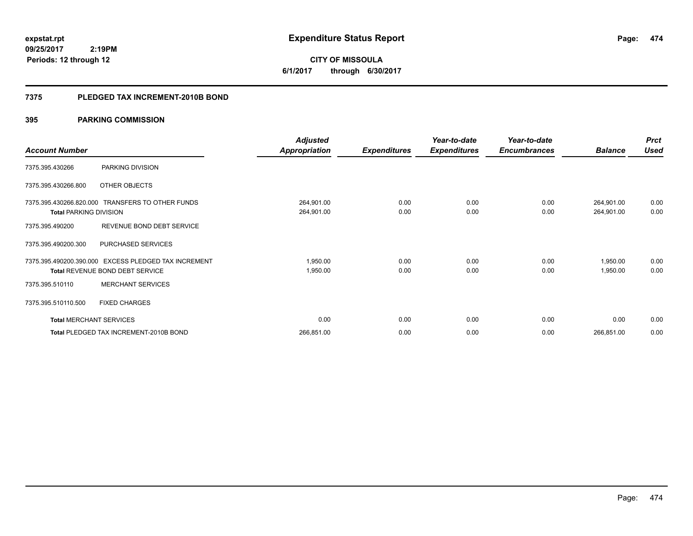**CITY OF MISSOULA 6/1/2017 through 6/30/2017**

#### **7375 PLEDGED TAX INCREMENT-2010B BOND**

|                                |                                                                                                | <b>Adjusted</b>          |                     | Year-to-date        | Year-to-date        |                          | <b>Prct</b>  |
|--------------------------------|------------------------------------------------------------------------------------------------|--------------------------|---------------------|---------------------|---------------------|--------------------------|--------------|
| <b>Account Number</b>          |                                                                                                | <b>Appropriation</b>     | <b>Expenditures</b> | <b>Expenditures</b> | <b>Encumbrances</b> | <b>Balance</b>           | <b>Used</b>  |
| 7375.395.430266                | PARKING DIVISION                                                                               |                          |                     |                     |                     |                          |              |
| 7375.395.430266.800            | OTHER OBJECTS                                                                                  |                          |                     |                     |                     |                          |              |
| <b>Total PARKING DIVISION</b>  | 7375.395.430266.820.000 TRANSFERS TO OTHER FUNDS                                               | 264,901.00<br>264,901.00 | 0.00<br>0.00        | 0.00<br>0.00        | 0.00<br>0.00        | 264,901.00<br>264,901.00 | 0.00<br>0.00 |
| 7375.395.490200                | REVENUE BOND DEBT SERVICE                                                                      |                          |                     |                     |                     |                          |              |
| 7375.395.490200.300            | PURCHASED SERVICES                                                                             |                          |                     |                     |                     |                          |              |
|                                | 7375.395.490200.390.000 EXCESS PLEDGED TAX INCREMENT<br><b>Total REVENUE BOND DEBT SERVICE</b> | 1,950.00<br>1,950.00     | 0.00<br>0.00        | 0.00<br>0.00        | 0.00<br>0.00        | 1,950.00<br>1,950.00     | 0.00<br>0.00 |
| 7375.395.510110                | <b>MERCHANT SERVICES</b>                                                                       |                          |                     |                     |                     |                          |              |
| 7375.395.510110.500            | <b>FIXED CHARGES</b>                                                                           |                          |                     |                     |                     |                          |              |
| <b>Total MERCHANT SERVICES</b> |                                                                                                | 0.00                     | 0.00                | 0.00                | 0.00                | 0.00                     | 0.00         |
|                                | Total PLEDGED TAX INCREMENT-2010B BOND                                                         | 266,851.00               | 0.00                | 0.00                | 0.00                | 266,851.00               | 0.00         |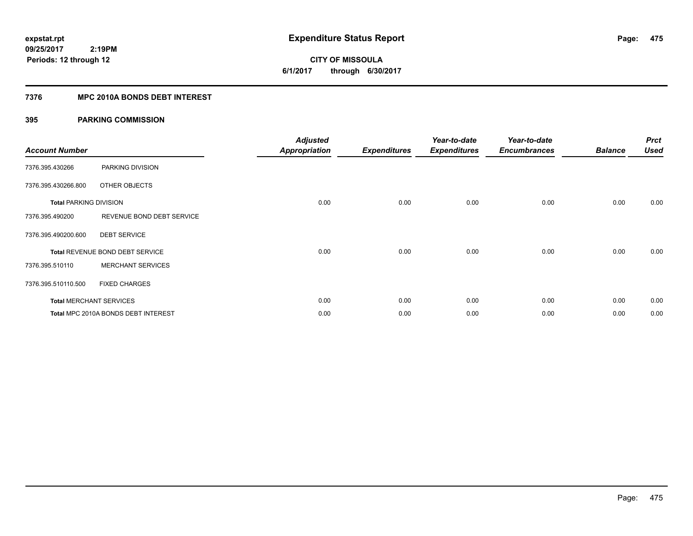**CITY OF MISSOULA 6/1/2017 through 6/30/2017**

### **7376 MPC 2010A BONDS DEBT INTEREST**

| <b>Account Number</b>         |                                     | <b>Adjusted</b><br>Appropriation | <b>Expenditures</b> | Year-to-date<br><b>Expenditures</b> | Year-to-date<br><b>Encumbrances</b> | <b>Balance</b> | <b>Prct</b><br><b>Used</b> |
|-------------------------------|-------------------------------------|----------------------------------|---------------------|-------------------------------------|-------------------------------------|----------------|----------------------------|
| 7376.395.430266               | PARKING DIVISION                    |                                  |                     |                                     |                                     |                |                            |
| 7376.395.430266.800           | OTHER OBJECTS                       |                                  |                     |                                     |                                     |                |                            |
| <b>Total PARKING DIVISION</b> |                                     | 0.00                             | 0.00                | 0.00                                | 0.00                                | 0.00           | 0.00                       |
| 7376.395.490200               | REVENUE BOND DEBT SERVICE           |                                  |                     |                                     |                                     |                |                            |
| 7376.395.490200.600           | <b>DEBT SERVICE</b>                 |                                  |                     |                                     |                                     |                |                            |
|                               | Total REVENUE BOND DEBT SERVICE     | 0.00                             | 0.00                | 0.00                                | 0.00                                | 0.00           | 0.00                       |
| 7376.395.510110               | <b>MERCHANT SERVICES</b>            |                                  |                     |                                     |                                     |                |                            |
| 7376.395.510110.500           | <b>FIXED CHARGES</b>                |                                  |                     |                                     |                                     |                |                            |
|                               | <b>Total MERCHANT SERVICES</b>      | 0.00                             | 0.00                | 0.00                                | 0.00                                | 0.00           | 0.00                       |
|                               | Total MPC 2010A BONDS DEBT INTEREST | 0.00                             | 0.00                | 0.00                                | 0.00                                | 0.00           | 0.00                       |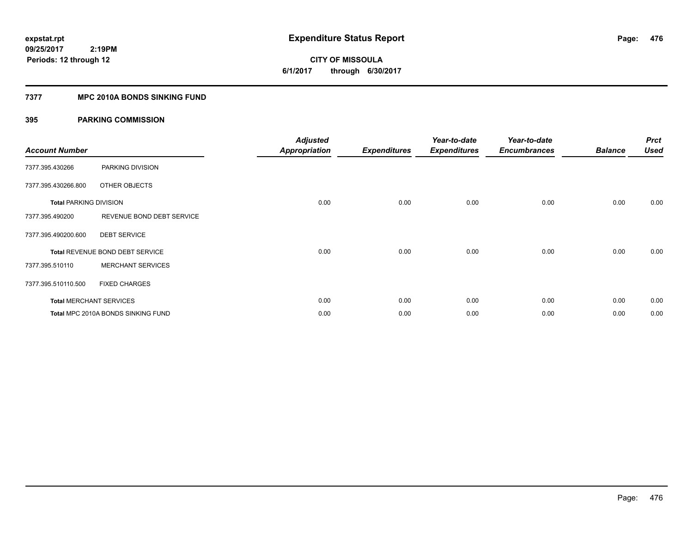# **CITY OF MISSOULA 6/1/2017 through 6/30/2017**

### **7377 MPC 2010A BONDS SINKING FUND**

| <b>Account Number</b>         |                                    | <b>Adjusted</b><br><b>Appropriation</b> | <b>Expenditures</b> | Year-to-date<br><b>Expenditures</b> | Year-to-date<br><b>Encumbrances</b> | <b>Balance</b> | <b>Prct</b><br><b>Used</b> |
|-------------------------------|------------------------------------|-----------------------------------------|---------------------|-------------------------------------|-------------------------------------|----------------|----------------------------|
| 7377.395.430266               | PARKING DIVISION                   |                                         |                     |                                     |                                     |                |                            |
| 7377.395.430266.800           | OTHER OBJECTS                      |                                         |                     |                                     |                                     |                |                            |
| <b>Total PARKING DIVISION</b> |                                    | 0.00                                    | 0.00                | 0.00                                | 0.00                                | 0.00           | 0.00                       |
| 7377.395.490200               | REVENUE BOND DEBT SERVICE          |                                         |                     |                                     |                                     |                |                            |
| 7377.395.490200.600           | <b>DEBT SERVICE</b>                |                                         |                     |                                     |                                     |                |                            |
|                               | Total REVENUE BOND DEBT SERVICE    | 0.00                                    | 0.00                | 0.00                                | 0.00                                | 0.00           | 0.00                       |
| 7377.395.510110               | <b>MERCHANT SERVICES</b>           |                                         |                     |                                     |                                     |                |                            |
| 7377.395.510110.500           | <b>FIXED CHARGES</b>               |                                         |                     |                                     |                                     |                |                            |
|                               | <b>Total MERCHANT SERVICES</b>     | 0.00                                    | 0.00                | 0.00                                | 0.00                                | 0.00           | 0.00                       |
|                               | Total MPC 2010A BONDS SINKING FUND | 0.00                                    | 0.00                | 0.00                                | 0.00                                | 0.00           | 0.00                       |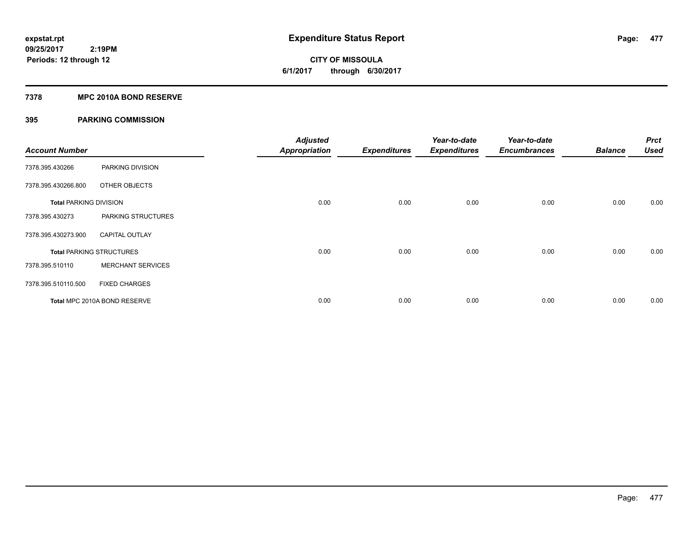# **CITY OF MISSOULA 6/1/2017 through 6/30/2017**

#### **7378 MPC 2010A BOND RESERVE**

| <b>Account Number</b>         |                                 | <b>Adjusted</b><br><b>Appropriation</b> | <b>Expenditures</b> | Year-to-date<br><b>Expenditures</b> | Year-to-date<br><b>Encumbrances</b> | <b>Balance</b> | <b>Prct</b><br><b>Used</b> |
|-------------------------------|---------------------------------|-----------------------------------------|---------------------|-------------------------------------|-------------------------------------|----------------|----------------------------|
| 7378.395.430266               | PARKING DIVISION                |                                         |                     |                                     |                                     |                |                            |
| 7378.395.430266.800           | OTHER OBJECTS                   |                                         |                     |                                     |                                     |                |                            |
| <b>Total PARKING DIVISION</b> |                                 | 0.00                                    | 0.00                | 0.00                                | 0.00                                | 0.00           | 0.00                       |
| 7378.395.430273               | PARKING STRUCTURES              |                                         |                     |                                     |                                     |                |                            |
| 7378.395.430273.900           | <b>CAPITAL OUTLAY</b>           |                                         |                     |                                     |                                     |                |                            |
|                               | <b>Total PARKING STRUCTURES</b> | 0.00                                    | 0.00                | 0.00                                | 0.00                                | 0.00           | 0.00                       |
| 7378.395.510110               | <b>MERCHANT SERVICES</b>        |                                         |                     |                                     |                                     |                |                            |
| 7378.395.510110.500           | <b>FIXED CHARGES</b>            |                                         |                     |                                     |                                     |                |                            |
|                               | Total MPC 2010A BOND RESERVE    | 0.00                                    | 0.00                | 0.00                                | 0.00                                | 0.00           | 0.00                       |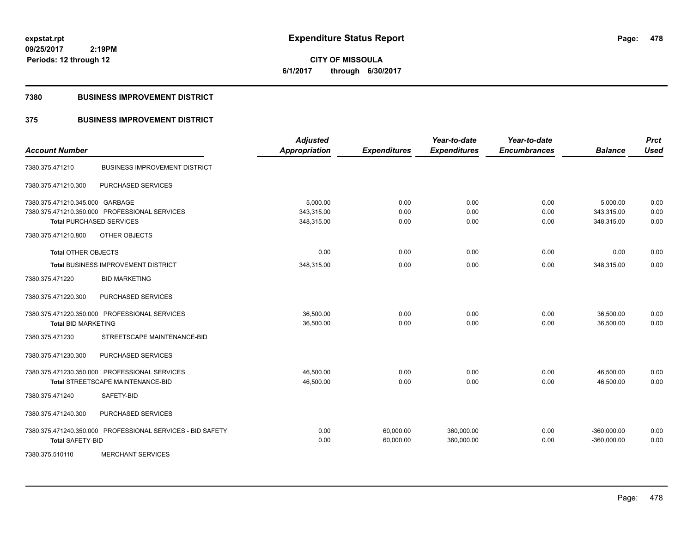**CITY OF MISSOULA 6/1/2017 through 6/30/2017**

#### **7380 BUSINESS IMPROVEMENT DISTRICT**

### **375 BUSINESS IMPROVEMENT DISTRICT**

| <b>Account Number</b>           |                                                            | <b>Adjusted</b><br><b>Appropriation</b> | <b>Expenditures</b>    | Year-to-date<br><b>Expenditures</b> | Year-to-date<br><b>Encumbrances</b> | <b>Balance</b>                 | <b>Prct</b><br><b>Used</b> |
|---------------------------------|------------------------------------------------------------|-----------------------------------------|------------------------|-------------------------------------|-------------------------------------|--------------------------------|----------------------------|
| 7380.375.471210                 | <b>BUSINESS IMPROVEMENT DISTRICT</b>                       |                                         |                        |                                     |                                     |                                |                            |
| 7380.375.471210.300             | PURCHASED SERVICES                                         |                                         |                        |                                     |                                     |                                |                            |
| 7380.375.471210.345.000 GARBAGE |                                                            | 5,000.00                                | 0.00                   | 0.00                                | 0.00                                | 5,000.00                       | 0.00                       |
|                                 | 7380.375.471210.350.000 PROFESSIONAL SERVICES              | 343,315.00                              | 0.00                   | 0.00                                | 0.00                                | 343,315.00                     | 0.00                       |
|                                 | <b>Total PURCHASED SERVICES</b>                            | 348,315.00                              | 0.00                   | 0.00                                | 0.00                                | 348,315.00                     | 0.00                       |
| 7380.375.471210.800             | OTHER OBJECTS                                              |                                         |                        |                                     |                                     |                                |                            |
| <b>Total OTHER OBJECTS</b>      |                                                            | 0.00                                    | 0.00                   | 0.00                                | 0.00                                | 0.00                           | 0.00                       |
|                                 | Total BUSINESS IMPROVEMENT DISTRICT                        | 348,315.00                              | 0.00                   | 0.00                                | 0.00                                | 348,315.00                     | 0.00                       |
| 7380.375.471220                 | <b>BID MARKETING</b>                                       |                                         |                        |                                     |                                     |                                |                            |
| 7380.375.471220.300             | PURCHASED SERVICES                                         |                                         |                        |                                     |                                     |                                |                            |
|                                 | 7380.375.471220.350.000 PROFESSIONAL SERVICES              | 36,500.00                               | 0.00                   | 0.00                                | 0.00                                | 36,500.00                      | 0.00                       |
| <b>Total BID MARKETING</b>      |                                                            | 36,500.00                               | 0.00                   | 0.00                                | 0.00                                | 36,500.00                      | 0.00                       |
| 7380.375.471230                 | STREETSCAPE MAINTENANCE-BID                                |                                         |                        |                                     |                                     |                                |                            |
| 7380.375.471230.300             | PURCHASED SERVICES                                         |                                         |                        |                                     |                                     |                                |                            |
|                                 | 7380.375.471230.350.000 PROFESSIONAL SERVICES              | 46,500.00                               | 0.00                   | 0.00                                | 0.00                                | 46,500.00                      | 0.00                       |
|                                 | Total STREETSCAPE MAINTENANCE-BID                          | 46,500.00                               | 0.00                   | 0.00                                | 0.00                                | 46,500.00                      | 0.00                       |
| 7380.375.471240                 | SAFETY-BID                                                 |                                         |                        |                                     |                                     |                                |                            |
| 7380.375.471240.300             | PURCHASED SERVICES                                         |                                         |                        |                                     |                                     |                                |                            |
| <b>Total SAFETY-BID</b>         | 7380.375.471240.350.000 PROFESSIONAL SERVICES - BID SAFETY | 0.00<br>0.00                            | 60,000.00<br>60,000.00 | 360,000.00<br>360,000.00            | 0.00<br>0.00                        | $-360,000.00$<br>$-360,000.00$ | 0.00<br>0.00               |
| 7380.375.510110                 | <b>MERCHANT SERVICES</b>                                   |                                         |                        |                                     |                                     |                                |                            |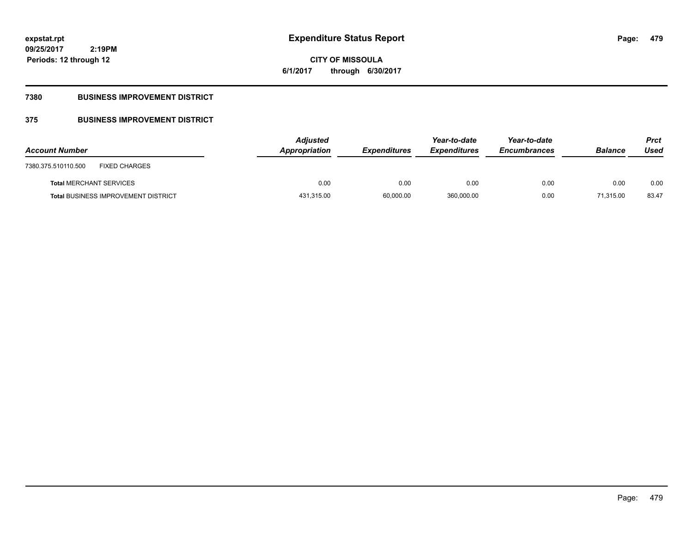**CITY OF MISSOULA 6/1/2017 through 6/30/2017**

### **7380 BUSINESS IMPROVEMENT DISTRICT**

## **375 BUSINESS IMPROVEMENT DISTRICT**

| <b>Account Number</b>                       | <b>Adjusted</b><br>Appropriation | <b>Expenditures</b> | Year-to-date<br><b>Expenditures</b> | Year-to-date<br><b>Encumbrances</b> | <b>Balance</b> | <b>Prct</b><br>Used |
|---------------------------------------------|----------------------------------|---------------------|-------------------------------------|-------------------------------------|----------------|---------------------|
| <b>FIXED CHARGES</b><br>7380.375.510110.500 |                                  |                     |                                     |                                     |                |                     |
| <b>Total MERCHANT SERVICES</b>              | 0.00                             | 0.00                | 0.00                                | 0.00                                | 0.00           | 0.00                |
| <b>Total BUSINESS IMPROVEMENT DISTRICT</b>  | 431,315.00                       | 60,000.00           | 360,000.00                          | 0.00                                | 71.315.00      | 83.47               |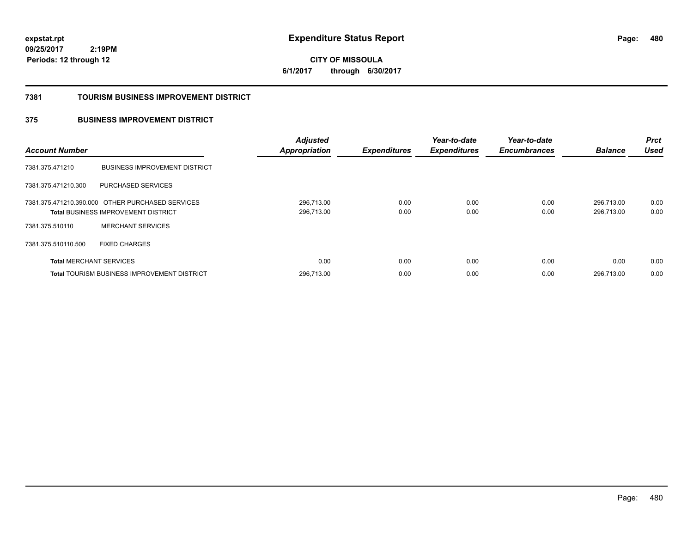**480**

**09/25/2017 2:19PM Periods: 12 through 12**

**CITY OF MISSOULA 6/1/2017 through 6/30/2017**

#### **7381 TOURISM BUSINESS IMPROVEMENT DISTRICT**

### **375 BUSINESS IMPROVEMENT DISTRICT**

| <b>Account Number</b>          |                                                    | <b>Adjusted</b><br><b>Appropriation</b> | <b>Expenditures</b> | Year-to-date<br><b>Expenditures</b> | Year-to-date<br><b>Encumbrances</b> | <b>Balance</b> | <b>Prct</b><br><b>Used</b> |
|--------------------------------|----------------------------------------------------|-----------------------------------------|---------------------|-------------------------------------|-------------------------------------|----------------|----------------------------|
| 7381.375.471210                | <b>BUSINESS IMPROVEMENT DISTRICT</b>               |                                         |                     |                                     |                                     |                |                            |
| 7381.375.471210.300            | PURCHASED SERVICES                                 |                                         |                     |                                     |                                     |                |                            |
|                                | 7381.375.471210.390.000 OTHER PURCHASED SERVICES   | 296,713.00                              | 0.00                | 0.00                                | 0.00                                | 296,713.00     | 0.00                       |
|                                | <b>Total BUSINESS IMPROVEMENT DISTRICT</b>         | 296,713.00                              | 0.00                | 0.00                                | 0.00                                | 296,713.00     | 0.00                       |
| 7381.375.510110                | <b>MERCHANT SERVICES</b>                           |                                         |                     |                                     |                                     |                |                            |
| 7381.375.510110.500            | <b>FIXED CHARGES</b>                               |                                         |                     |                                     |                                     |                |                            |
| <b>Total MERCHANT SERVICES</b> |                                                    | 0.00                                    | 0.00                | 0.00                                | 0.00                                | 0.00           | 0.00                       |
|                                | <b>Total TOURISM BUSINESS IMPROVEMENT DISTRICT</b> | 296.713.00                              | 0.00                | 0.00                                | 0.00                                | 296.713.00     | 0.00                       |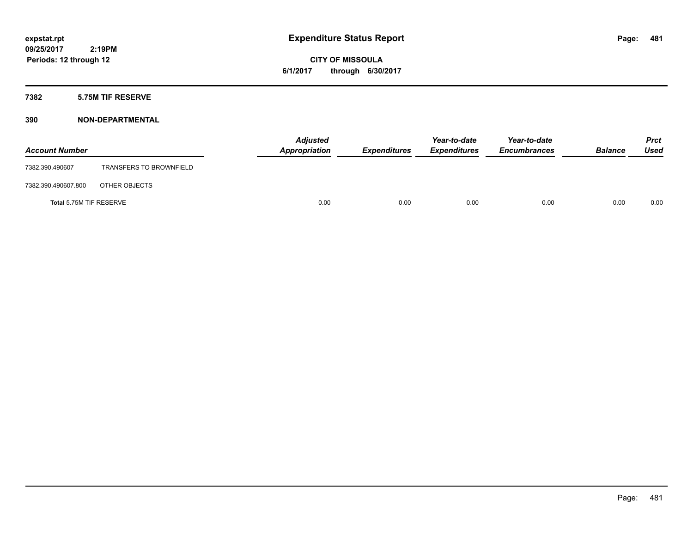**CITY OF MISSOULA 6/1/2017 through 6/30/2017**

### **7382 5.75M TIF RESERVE**

| <b>Account Number</b>   |                                | <b>Adjusted</b><br>Appropriation | <b>Expenditures</b> | Year-to-date<br><b>Expenditures</b> | Year-to-date<br><b>Encumbrances</b> | <b>Balance</b> | <b>Prct</b><br>Used |
|-------------------------|--------------------------------|----------------------------------|---------------------|-------------------------------------|-------------------------------------|----------------|---------------------|
| 7382.390.490607         | <b>TRANSFERS TO BROWNFIELD</b> |                                  |                     |                                     |                                     |                |                     |
| 7382.390.490607.800     | OTHER OBJECTS                  |                                  |                     |                                     |                                     |                |                     |
| Total 5.75M TIF RESERVE |                                | 0.00                             | 0.00                | 0.00                                | 0.00                                | 0.00           | 0.00                |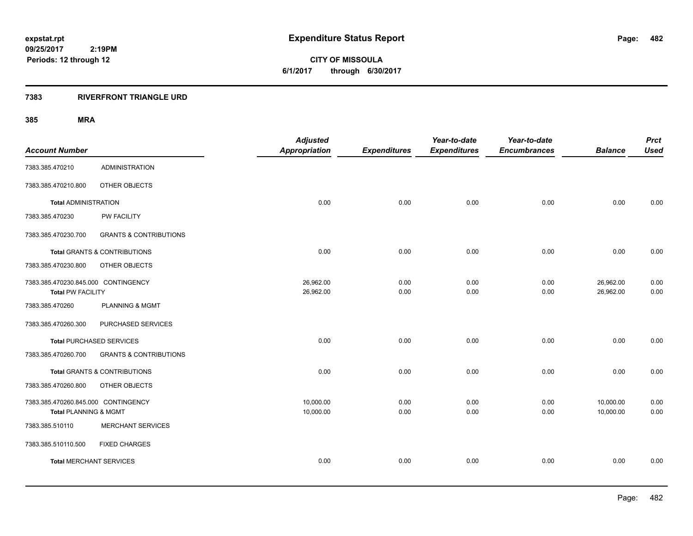**CITY OF MISSOULA 6/1/2017 through 6/30/2017**

### **7383 RIVERFRONT TRIANGLE URD**

| <b>Account Number</b>                                           |                                         | <b>Adjusted</b><br><b>Appropriation</b> | <b>Expenditures</b> | Year-to-date<br><b>Expenditures</b> | Year-to-date<br><b>Encumbrances</b> | <b>Balance</b>         | <b>Prct</b><br><b>Used</b> |
|-----------------------------------------------------------------|-----------------------------------------|-----------------------------------------|---------------------|-------------------------------------|-------------------------------------|------------------------|----------------------------|
| 7383.385.470210                                                 | <b>ADMINISTRATION</b>                   |                                         |                     |                                     |                                     |                        |                            |
| 7383.385.470210.800                                             | OTHER OBJECTS                           |                                         |                     |                                     |                                     |                        |                            |
| <b>Total ADMINISTRATION</b>                                     |                                         | 0.00                                    | 0.00                | 0.00                                | 0.00                                | 0.00                   | 0.00                       |
| 7383.385.470230                                                 | PW FACILITY                             |                                         |                     |                                     |                                     |                        |                            |
| 7383.385.470230.700                                             | <b>GRANTS &amp; CONTRIBUTIONS</b>       |                                         |                     |                                     |                                     |                        |                            |
|                                                                 | <b>Total GRANTS &amp; CONTRIBUTIONS</b> | 0.00                                    | 0.00                | 0.00                                | 0.00                                | 0.00                   | 0.00                       |
| 7383.385.470230.800                                             | OTHER OBJECTS                           |                                         |                     |                                     |                                     |                        |                            |
| 7383.385.470230.845.000 CONTINGENCY<br><b>Total PW FACILITY</b> |                                         | 26,962.00<br>26,962.00                  | 0.00<br>0.00        | 0.00<br>0.00                        | 0.00<br>0.00                        | 26,962.00<br>26,962.00 | 0.00<br>0.00               |
| 7383.385.470260                                                 | <b>PLANNING &amp; MGMT</b>              |                                         |                     |                                     |                                     |                        |                            |
| 7383.385.470260.300                                             | PURCHASED SERVICES                      |                                         |                     |                                     |                                     |                        |                            |
|                                                                 | <b>Total PURCHASED SERVICES</b>         | 0.00                                    | 0.00                | 0.00                                | 0.00                                | 0.00                   | 0.00                       |
| 7383.385.470260.700                                             | <b>GRANTS &amp; CONTRIBUTIONS</b>       |                                         |                     |                                     |                                     |                        |                            |
|                                                                 | <b>Total GRANTS &amp; CONTRIBUTIONS</b> | 0.00                                    | 0.00                | 0.00                                | 0.00                                | 0.00                   | 0.00                       |
| 7383.385.470260.800                                             | OTHER OBJECTS                           |                                         |                     |                                     |                                     |                        |                            |
| 7383.385.470260.845.000 CONTINGENCY<br>Total PLANNING & MGMT    |                                         | 10,000.00<br>10,000.00                  | 0.00<br>0.00        | 0.00<br>0.00                        | 0.00<br>0.00                        | 10,000.00<br>10,000.00 | 0.00<br>0.00               |
| 7383.385.510110                                                 | <b>MERCHANT SERVICES</b>                |                                         |                     |                                     |                                     |                        |                            |
| 7383.385.510110.500                                             | <b>FIXED CHARGES</b>                    |                                         |                     |                                     |                                     |                        |                            |
| <b>Total MERCHANT SERVICES</b>                                  |                                         | 0.00                                    | 0.00                | 0.00                                | 0.00                                | 0.00                   | 0.00                       |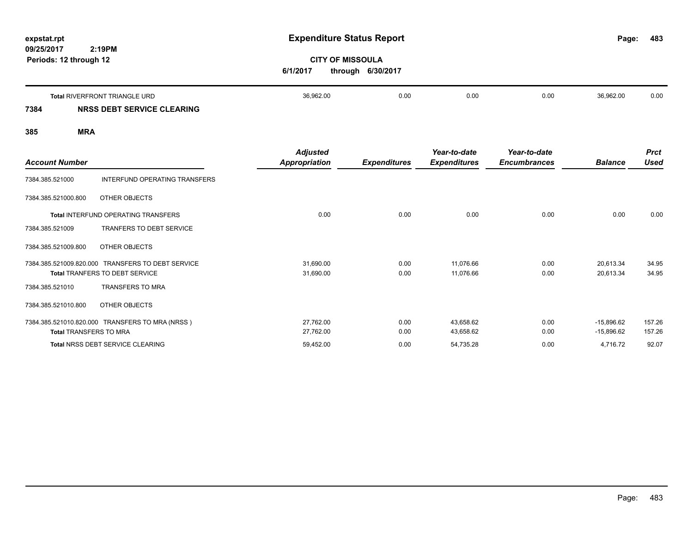| expstat.rpt<br>09/25/2017 | 2:19PM                               | <b>Expenditure Status Report</b>                         |      |      |      |           | 483  |
|---------------------------|--------------------------------------|----------------------------------------------------------|------|------|------|-----------|------|
| Periods: 12 through 12    |                                      | <b>CITY OF MISSOULA</b><br>6/1/2017<br>through 6/30/2017 |      |      |      |           |      |
|                           | <b>Total RIVERFRONT TRIANGLE URD</b> | 36,962.00                                                | 0.00 | 0.00 | 0.00 | 36,962.00 | 0.00 |
| 7384                      | NRSS DEBT SERVICE CLEARING           |                                                          |      |      |      |           |      |
| 385                       | <b>MRA</b>                           |                                                          |      |      |      |           |      |

| <b>Account Number</b>         |                                                 | <b>Adjusted</b><br><b>Appropriation</b> | <b>Expenditures</b> | Year-to-date<br><b>Expenditures</b> | Year-to-date<br><b>Encumbrances</b> | <b>Balance</b> | <b>Prct</b><br><b>Used</b> |
|-------------------------------|-------------------------------------------------|-----------------------------------------|---------------------|-------------------------------------|-------------------------------------|----------------|----------------------------|
| 7384.385.521000               | INTERFUND OPERATING TRANSFERS                   |                                         |                     |                                     |                                     |                |                            |
| 7384.385.521000.800           | OTHER OBJECTS                                   |                                         |                     |                                     |                                     |                |                            |
|                               | <b>Total INTERFUND OPERATING TRANSFERS</b>      | 0.00                                    | 0.00                | 0.00                                | 0.00                                | 0.00           | 0.00                       |
| 7384.385.521009               | <b>TRANFERS TO DEBT SERVICE</b>                 |                                         |                     |                                     |                                     |                |                            |
| 7384.385.521009.800           | OTHER OBJECTS                                   |                                         |                     |                                     |                                     |                |                            |
| 7384.385.521009.820.000       | <b>TRANSFERS TO DEBT SERVICE</b>                | 31,690.00                               | 0.00                | 11,076.66                           | 0.00                                | 20,613.34      | 34.95                      |
|                               | <b>Total TRANFERS TO DEBT SERVICE</b>           | 31,690.00                               | 0.00                | 11,076.66                           | 0.00                                | 20,613.34      | 34.95                      |
| 7384.385.521010               | <b>TRANSFERS TO MRA</b>                         |                                         |                     |                                     |                                     |                |                            |
| 7384.385.521010.800           | OTHER OBJECTS                                   |                                         |                     |                                     |                                     |                |                            |
|                               | 7384.385.521010.820.000 TRANSFERS TO MRA (NRSS) | 27,762.00                               | 0.00                | 43,658.62                           | 0.00                                | $-15,896.62$   | 157.26                     |
| <b>Total TRANSFERS TO MRA</b> |                                                 | 27,762.00                               | 0.00                | 43,658.62                           | 0.00                                | $-15,896.62$   | 157.26                     |
|                               | <b>Total NRSS DEBT SERVICE CLEARING</b>         | 59,452.00                               | 0.00                | 54,735.28                           | 0.00                                | 4,716.72       | 92.07                      |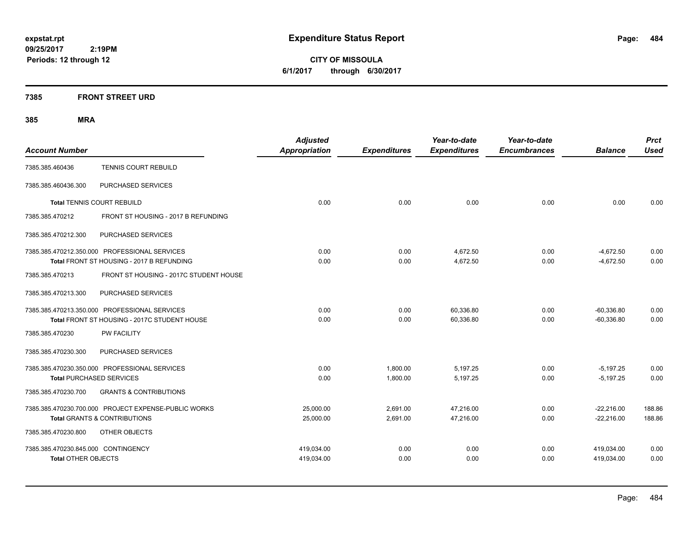**CITY OF MISSOULA 6/1/2017 through 6/30/2017**

### **7385 FRONT STREET URD**

|                                     |                                                      | <b>Adjusted</b>      |                     | Year-to-date        | Year-to-date        |                | <b>Prct</b> |
|-------------------------------------|------------------------------------------------------|----------------------|---------------------|---------------------|---------------------|----------------|-------------|
| <b>Account Number</b>               |                                                      | <b>Appropriation</b> | <b>Expenditures</b> | <b>Expenditures</b> | <b>Encumbrances</b> | <b>Balance</b> | <b>Used</b> |
| 7385.385.460436                     | TENNIS COURT REBUILD                                 |                      |                     |                     |                     |                |             |
| 7385.385.460436.300                 | PURCHASED SERVICES                                   |                      |                     |                     |                     |                |             |
| Total TENNIS COURT REBUILD          |                                                      | 0.00                 | 0.00                | 0.00                | 0.00                | 0.00           | 0.00        |
| 7385.385.470212                     | FRONT ST HOUSING - 2017 B REFUNDING                  |                      |                     |                     |                     |                |             |
| 7385.385.470212.300                 | PURCHASED SERVICES                                   |                      |                     |                     |                     |                |             |
|                                     | 7385.385.470212.350.000 PROFESSIONAL SERVICES        | 0.00                 | 0.00                | 4,672.50            | 0.00                | $-4,672.50$    | 0.00        |
|                                     | Total FRONT ST HOUSING - 2017 B REFUNDING            | 0.00                 | 0.00                | 4,672.50            | 0.00                | $-4,672.50$    | 0.00        |
| 7385.385.470213                     | FRONT ST HOUSING - 2017C STUDENT HOUSE               |                      |                     |                     |                     |                |             |
| 7385.385.470213.300                 | PURCHASED SERVICES                                   |                      |                     |                     |                     |                |             |
|                                     | 7385.385.470213.350.000 PROFESSIONAL SERVICES        | 0.00                 | 0.00                | 60.336.80           | 0.00                | $-60,336.80$   | 0.00        |
|                                     | Total FRONT ST HOUSING - 2017C STUDENT HOUSE         | 0.00                 | 0.00                | 60,336.80           | 0.00                | $-60,336.80$   | 0.00        |
| 7385.385.470230                     | <b>PW FACILITY</b>                                   |                      |                     |                     |                     |                |             |
| 7385.385.470230.300                 | PURCHASED SERVICES                                   |                      |                     |                     |                     |                |             |
|                                     | 7385.385.470230.350.000 PROFESSIONAL SERVICES        | 0.00                 | 1,800.00            | 5,197.25            | 0.00                | $-5,197.25$    | 0.00        |
| <b>Total PURCHASED SERVICES</b>     |                                                      | 0.00                 | 1,800.00            | 5,197.25            | 0.00                | $-5,197.25$    | 0.00        |
| 7385.385.470230.700                 | <b>GRANTS &amp; CONTRIBUTIONS</b>                    |                      |                     |                     |                     |                |             |
|                                     | 7385.385.470230.700.000 PROJECT EXPENSE-PUBLIC WORKS | 25,000.00            | 2,691.00            | 47,216.00           | 0.00                | $-22,216.00$   | 188.86      |
|                                     | <b>Total GRANTS &amp; CONTRIBUTIONS</b>              | 25,000.00            | 2,691.00            | 47,216.00           | 0.00                | $-22,216.00$   | 188.86      |
| 7385.385.470230.800                 | OTHER OBJECTS                                        |                      |                     |                     |                     |                |             |
| 7385.385.470230.845.000 CONTINGENCY |                                                      | 419,034.00           | 0.00                | 0.00                | 0.00                | 419,034.00     | 0.00        |
| <b>Total OTHER OBJECTS</b>          |                                                      | 419,034.00           | 0.00                | 0.00                | 0.00                | 419,034.00     | 0.00        |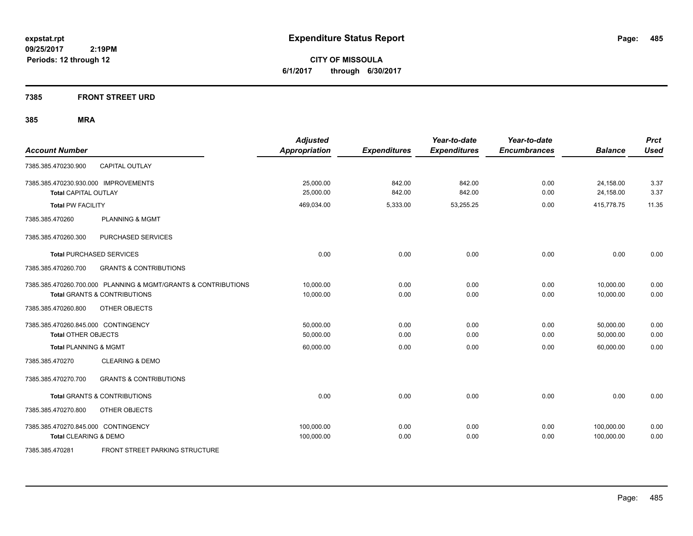**CITY OF MISSOULA 6/1/2017 through 6/30/2017**

#### **7385 FRONT STREET URD**

| <b>Account Number</b>                                                                                     | <b>Adjusted</b><br><b>Appropriation</b> | <b>Expenditures</b> | Year-to-date<br><b>Expenditures</b> | Year-to-date<br><b>Encumbrances</b> | <b>Balance</b>           | <b>Prct</b><br><b>Used</b> |
|-----------------------------------------------------------------------------------------------------------|-----------------------------------------|---------------------|-------------------------------------|-------------------------------------|--------------------------|----------------------------|
| <b>CAPITAL OUTLAY</b><br>7385.385.470230.900                                                              |                                         |                     |                                     |                                     |                          |                            |
| 7385.385.470230.930.000 IMPROVEMENTS<br><b>Total CAPITAL OUTLAY</b>                                       | 25,000.00<br>25,000.00                  | 842.00<br>842.00    | 842.00<br>842.00                    | 0.00<br>0.00                        | 24,158.00<br>24,158.00   | 3.37<br>3.37               |
| <b>Total PW FACILITY</b>                                                                                  | 469,034.00                              | 5,333.00            | 53,255.25                           | 0.00                                | 415,778.75               | 11.35                      |
| <b>PLANNING &amp; MGMT</b><br>7385.385.470260                                                             |                                         |                     |                                     |                                     |                          |                            |
| PURCHASED SERVICES<br>7385.385.470260.300                                                                 |                                         |                     |                                     |                                     |                          |                            |
| <b>Total PURCHASED SERVICES</b>                                                                           | 0.00                                    | 0.00                | 0.00                                | 0.00                                | 0.00                     | 0.00                       |
| <b>GRANTS &amp; CONTRIBUTIONS</b><br>7385.385.470260.700                                                  |                                         |                     |                                     |                                     |                          |                            |
| 7385.385.470260.700.000 PLANNING & MGMT/GRANTS & CONTRIBUTIONS<br><b>Total GRANTS &amp; CONTRIBUTIONS</b> | 10,000.00<br>10,000.00                  | 0.00<br>0.00        | 0.00<br>0.00                        | 0.00<br>0.00                        | 10,000.00<br>10,000.00   | 0.00<br>0.00               |
| 7385.385.470260.800<br>OTHER OBJECTS                                                                      |                                         |                     |                                     |                                     |                          |                            |
| 7385.385.470260.845.000 CONTINGENCY<br><b>Total OTHER OBJECTS</b>                                         | 50,000.00<br>50,000.00                  | 0.00<br>0.00        | 0.00<br>0.00                        | 0.00<br>0.00                        | 50,000.00<br>50,000.00   | 0.00<br>0.00               |
| <b>Total PLANNING &amp; MGMT</b>                                                                          | 60,000.00                               | 0.00                | 0.00                                | 0.00                                | 60,000.00                | 0.00                       |
| <b>CLEARING &amp; DEMO</b><br>7385.385.470270                                                             |                                         |                     |                                     |                                     |                          |                            |
| <b>GRANTS &amp; CONTRIBUTIONS</b><br>7385.385.470270.700                                                  |                                         |                     |                                     |                                     |                          |                            |
| <b>Total GRANTS &amp; CONTRIBUTIONS</b>                                                                   | 0.00                                    | 0.00                | 0.00                                | 0.00                                | 0.00                     | 0.00                       |
| 7385.385.470270.800<br>OTHER OBJECTS                                                                      |                                         |                     |                                     |                                     |                          |                            |
| 7385.385.470270.845.000 CONTINGENCY<br>Total CLEARING & DEMO                                              | 100,000.00<br>100,000.00                | 0.00<br>0.00        | 0.00<br>0.00                        | 0.00<br>0.00                        | 100,000.00<br>100,000.00 | 0.00<br>0.00               |
| FRONT STREET PARKING STRUCTURE<br>7385.385.470281                                                         |                                         |                     |                                     |                                     |                          |                            |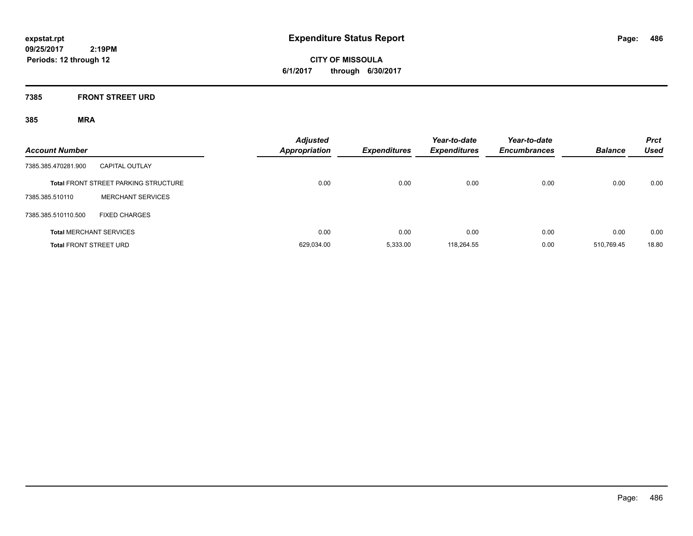**CITY OF MISSOULA 6/1/2017 through 6/30/2017**

### **7385 FRONT STREET URD**

| <b>Account Number</b>         |                                             | <b>Adjusted</b><br>Appropriation | <b>Expenditures</b> | Year-to-date<br><b>Expenditures</b> | Year-to-date<br><b>Encumbrances</b> | <b>Balance</b> | <b>Prct</b><br><b>Used</b> |
|-------------------------------|---------------------------------------------|----------------------------------|---------------------|-------------------------------------|-------------------------------------|----------------|----------------------------|
| 7385.385.470281.900           | <b>CAPITAL OUTLAY</b>                       |                                  |                     |                                     |                                     |                |                            |
|                               | <b>Total FRONT STREET PARKING STRUCTURE</b> | 0.00                             | 0.00                | 0.00                                | 0.00                                | 0.00           | 0.00                       |
| 7385.385.510110               | <b>MERCHANT SERVICES</b>                    |                                  |                     |                                     |                                     |                |                            |
| 7385.385.510110.500           | <b>FIXED CHARGES</b>                        |                                  |                     |                                     |                                     |                |                            |
|                               | <b>Total MERCHANT SERVICES</b>              | 0.00                             | 0.00                | 0.00                                | 0.00                                | 0.00           | 0.00                       |
| <b>Total FRONT STREET URD</b> |                                             | 629.034.00                       | 5.333.00            | 118.264.55                          | 0.00                                | 510.769.45     | 18.80                      |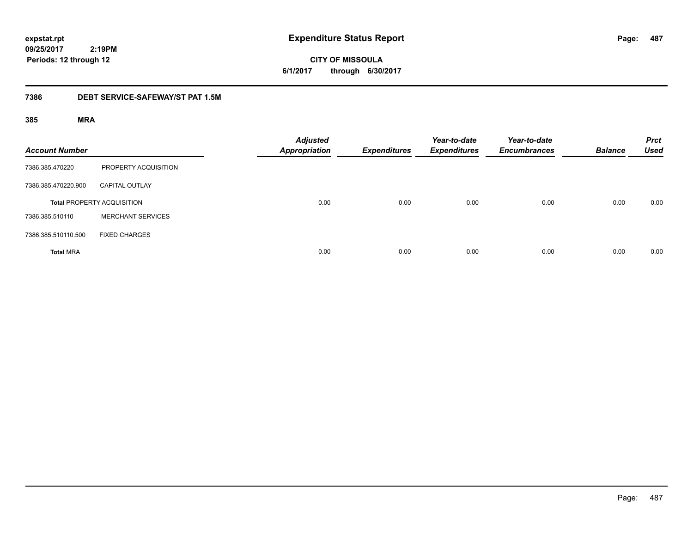**CITY OF MISSOULA 6/1/2017 through 6/30/2017**

### **7386 DEBT SERVICE-SAFEWAY/ST PAT 1.5M**

| <b>Account Number</b> |                                   | <b>Adjusted</b><br><b>Appropriation</b> | <b>Expenditures</b> | Year-to-date<br><b>Expenditures</b> | Year-to-date<br><b>Encumbrances</b> | <b>Balance</b> | <b>Prct</b><br><b>Used</b> |
|-----------------------|-----------------------------------|-----------------------------------------|---------------------|-------------------------------------|-------------------------------------|----------------|----------------------------|
| 7386.385.470220       | PROPERTY ACQUISITION              |                                         |                     |                                     |                                     |                |                            |
| 7386.385.470220.900   | <b>CAPITAL OUTLAY</b>             |                                         |                     |                                     |                                     |                |                            |
|                       | <b>Total PROPERTY ACQUISITION</b> | 0.00                                    | 0.00                | 0.00                                | 0.00                                | 0.00           | 0.00                       |
| 7386.385.510110       | <b>MERCHANT SERVICES</b>          |                                         |                     |                                     |                                     |                |                            |
| 7386.385.510110.500   | <b>FIXED CHARGES</b>              |                                         |                     |                                     |                                     |                |                            |
| <b>Total MRA</b>      |                                   | 0.00                                    | 0.00                | 0.00                                | 0.00                                | 0.00           | 0.00                       |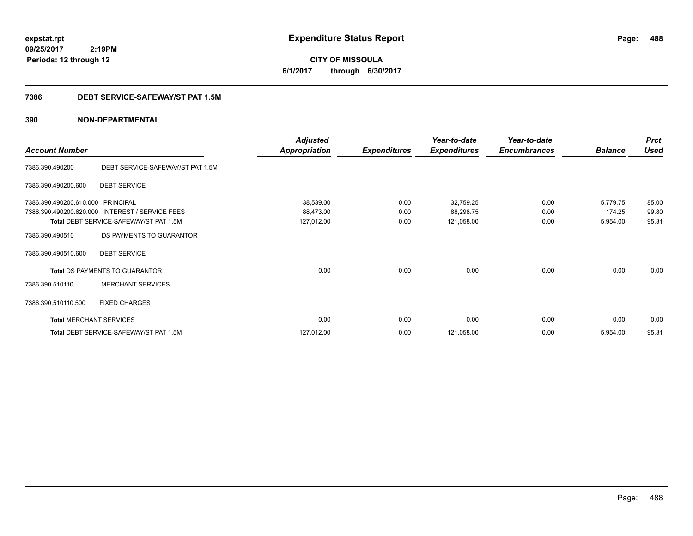**CITY OF MISSOULA 6/1/2017 through 6/30/2017**

#### **7386 DEBT SERVICE-SAFEWAY/ST PAT 1.5M**

|                                |                                        | <b>Adjusted</b>      |                     | Year-to-date        | Year-to-date        |                | <b>Prct</b> |
|--------------------------------|----------------------------------------|----------------------|---------------------|---------------------|---------------------|----------------|-------------|
| <b>Account Number</b>          |                                        | <b>Appropriation</b> | <b>Expenditures</b> | <b>Expenditures</b> | <b>Encumbrances</b> | <b>Balance</b> | Used        |
| 7386.390.490200                | DEBT SERVICE-SAFEWAY/ST PAT 1.5M       |                      |                     |                     |                     |                |             |
| 7386.390.490200.600            | <b>DEBT SERVICE</b>                    |                      |                     |                     |                     |                |             |
| 7386.390.490200.610.000        | <b>PRINCIPAL</b>                       | 38,539.00            | 0.00                | 32,759.25           | 0.00                | 5,779.75       | 85.00       |
| 7386.390.490200.620.000        | <b>INTEREST / SERVICE FEES</b>         | 88,473.00            | 0.00                | 88,298.75           | 0.00                | 174.25         | 99.80       |
|                                | Total DEBT SERVICE-SAFEWAY/ST PAT 1.5M | 127,012.00           | 0.00                | 121,058.00          | 0.00                | 5,954.00       | 95.31       |
| 7386.390.490510                | DS PAYMENTS TO GUARANTOR               |                      |                     |                     |                     |                |             |
| 7386.390.490510.600            | <b>DEBT SERVICE</b>                    |                      |                     |                     |                     |                |             |
|                                | Total DS PAYMENTS TO GUARANTOR         | 0.00                 | 0.00                | 0.00                | 0.00                | 0.00           | 0.00        |
| 7386.390.510110                | <b>MERCHANT SERVICES</b>               |                      |                     |                     |                     |                |             |
| 7386.390.510110.500            | <b>FIXED CHARGES</b>                   |                      |                     |                     |                     |                |             |
| <b>Total MERCHANT SERVICES</b> |                                        | 0.00                 | 0.00                | 0.00                | 0.00                | 0.00           | 0.00        |
|                                | Total DEBT SERVICE-SAFEWAY/ST PAT 1.5M | 127,012.00           | 0.00                | 121,058.00          | 0.00                | 5,954.00       | 95.31       |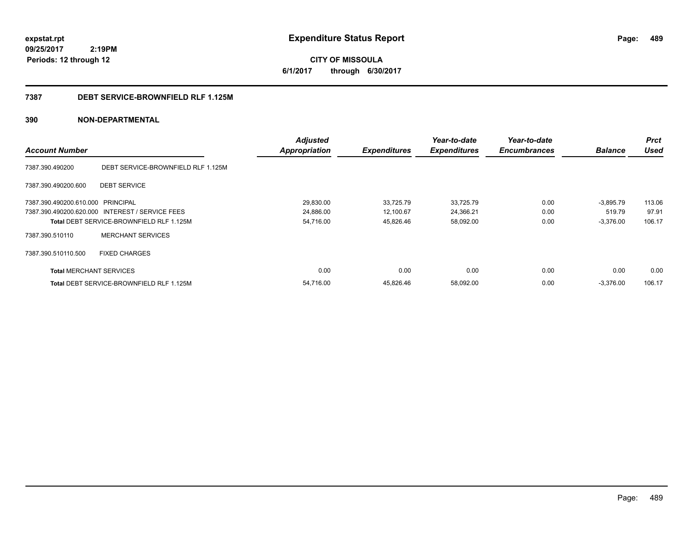**CITY OF MISSOULA 6/1/2017 through 6/30/2017**

#### **7387 DEBT SERVICE-BROWNFIELD RLF 1.125M**

|                                   |                                                 | <b>Adjusted</b>      |                     | Year-to-date        | Year-to-date        |                | <b>Prct</b> |
|-----------------------------------|-------------------------------------------------|----------------------|---------------------|---------------------|---------------------|----------------|-------------|
| <b>Account Number</b>             |                                                 | <b>Appropriation</b> | <b>Expenditures</b> | <b>Expenditures</b> | <b>Encumbrances</b> | <b>Balance</b> | <b>Used</b> |
| 7387.390.490200                   | DEBT SERVICE-BROWNFIELD RLF 1.125M              |                      |                     |                     |                     |                |             |
| 7387.390.490200.600               | <b>DEBT SERVICE</b>                             |                      |                     |                     |                     |                |             |
| 7387.390.490200.610.000 PRINCIPAL |                                                 | 29,830.00            | 33,725.79           | 33,725.79           | 0.00                | $-3,895.79$    | 113.06      |
|                                   | 7387.390.490200.620.000 INTEREST / SERVICE FEES | 24,886.00            | 12,100.67           | 24,366.21           | 0.00                | 519.79         | 97.91       |
|                                   | <b>Total DEBT SERVICE-BROWNFIELD RLF 1.125M</b> | 54,716.00            | 45,826.46           | 58,092.00           | 0.00                | $-3,376.00$    | 106.17      |
| 7387.390.510110                   | <b>MERCHANT SERVICES</b>                        |                      |                     |                     |                     |                |             |
| 7387.390.510110.500               | <b>FIXED CHARGES</b>                            |                      |                     |                     |                     |                |             |
| <b>Total MERCHANT SERVICES</b>    |                                                 | 0.00                 | 0.00                | 0.00                | 0.00                | 0.00           | 0.00        |
|                                   | <b>Total DEBT SERVICE-BROWNFIELD RLF 1.125M</b> | 54.716.00            | 45,826.46           | 58,092.00           | 0.00                | $-3,376.00$    | 106.17      |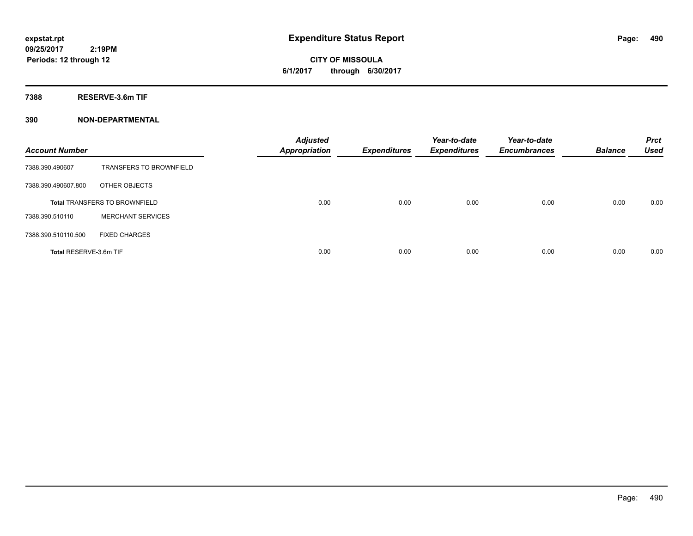**CITY OF MISSOULA 6/1/2017 through 6/30/2017**

**7388 RESERVE-3.6m TIF**

| <b>Account Number</b>  |                                      | <b>Adjusted</b><br><b>Appropriation</b> | <b>Expenditures</b> | Year-to-date<br><b>Expenditures</b> | Year-to-date<br><b>Encumbrances</b> | <b>Balance</b> | <b>Prct</b><br><b>Used</b> |
|------------------------|--------------------------------------|-----------------------------------------|---------------------|-------------------------------------|-------------------------------------|----------------|----------------------------|
| 7388.390.490607        | <b>TRANSFERS TO BROWNFIELD</b>       |                                         |                     |                                     |                                     |                |                            |
| 7388.390.490607.800    | OTHER OBJECTS                        |                                         |                     |                                     |                                     |                |                            |
|                        | <b>Total TRANSFERS TO BROWNFIELD</b> | 0.00                                    | 0.00                | 0.00                                | 0.00                                | 0.00           | 0.00                       |
| 7388.390.510110        | <b>MERCHANT SERVICES</b>             |                                         |                     |                                     |                                     |                |                            |
| 7388.390.510110.500    | <b>FIXED CHARGES</b>                 |                                         |                     |                                     |                                     |                |                            |
| Total RESERVE-3.6m TIF |                                      | 0.00                                    | 0.00                | 0.00                                | 0.00                                | 0.00           | 0.00                       |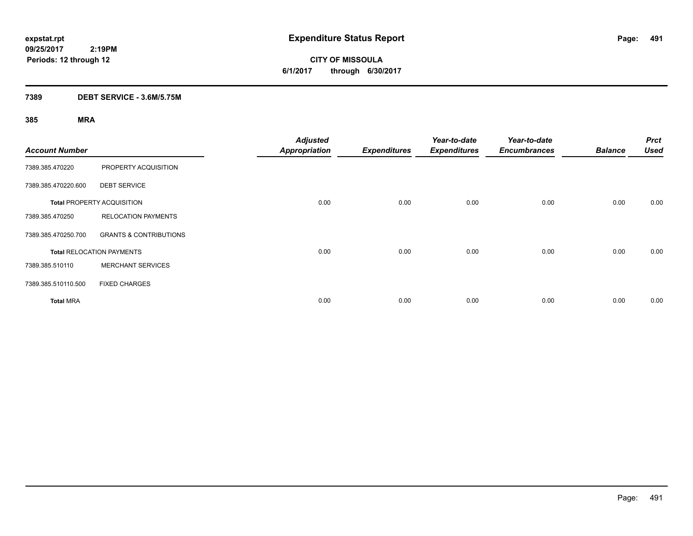**CITY OF MISSOULA 6/1/2017 through 6/30/2017**

### **7389 DEBT SERVICE - 3.6M/5.75M**

| <b>Account Number</b> |                                   | <b>Adjusted</b><br><b>Appropriation</b> | <b>Expenditures</b> | Year-to-date<br><b>Expenditures</b> | Year-to-date<br><b>Encumbrances</b> | <b>Balance</b> | <b>Prct</b><br><b>Used</b> |
|-----------------------|-----------------------------------|-----------------------------------------|---------------------|-------------------------------------|-------------------------------------|----------------|----------------------------|
| 7389.385.470220       | PROPERTY ACQUISITION              |                                         |                     |                                     |                                     |                |                            |
| 7389.385.470220.600   | <b>DEBT SERVICE</b>               |                                         |                     |                                     |                                     |                |                            |
|                       | <b>Total PROPERTY ACQUISITION</b> | 0.00                                    | 0.00                | 0.00                                | 0.00                                | 0.00           | 0.00                       |
| 7389.385.470250       | <b>RELOCATION PAYMENTS</b>        |                                         |                     |                                     |                                     |                |                            |
| 7389.385.470250.700   | <b>GRANTS &amp; CONTRIBUTIONS</b> |                                         |                     |                                     |                                     |                |                            |
|                       | <b>Total RELOCATION PAYMENTS</b>  | 0.00                                    | 0.00                | 0.00                                | 0.00                                | 0.00           | 0.00                       |
| 7389.385.510110       | <b>MERCHANT SERVICES</b>          |                                         |                     |                                     |                                     |                |                            |
| 7389.385.510110.500   | <b>FIXED CHARGES</b>              |                                         |                     |                                     |                                     |                |                            |
| <b>Total MRA</b>      |                                   | 0.00                                    | 0.00                | 0.00                                | 0.00                                | 0.00           | 0.00                       |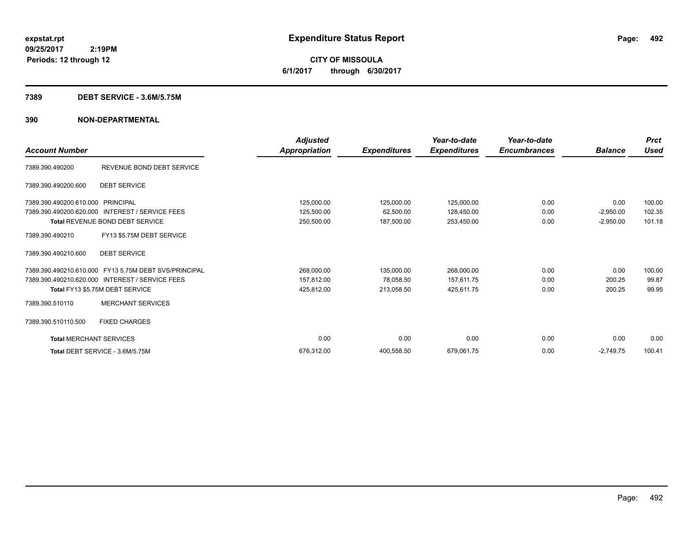**CITY OF MISSOULA 6/1/2017 through 6/30/2017**

#### **7389 DEBT SERVICE - 3.6M/5.75M**

|                                |                                                       | <b>Adjusted</b> |                     | Year-to-date        | Year-to-date        |                | <b>Prct</b> |
|--------------------------------|-------------------------------------------------------|-----------------|---------------------|---------------------|---------------------|----------------|-------------|
| <b>Account Number</b>          |                                                       | Appropriation   | <b>Expenditures</b> | <b>Expenditures</b> | <b>Encumbrances</b> | <b>Balance</b> | Used        |
| 7389.390.490200                | REVENUE BOND DEBT SERVICE                             |                 |                     |                     |                     |                |             |
| 7389.390.490200.600            | <b>DEBT SERVICE</b>                                   |                 |                     |                     |                     |                |             |
| 7389.390.490200.610.000        | PRINCIPAL                                             | 125,000.00      | 125,000.00          | 125,000.00          | 0.00                | 0.00           | 100.00      |
| 7389.390.490200.620.000        | <b>INTEREST / SERVICE FEES</b>                        | 125,500.00      | 62,500.00           | 128,450.00          | 0.00                | $-2,950.00$    | 102.35      |
|                                | Total REVENUE BOND DEBT SERVICE                       | 250,500.00      | 187,500.00          | 253,450.00          | 0.00                | $-2,950.00$    | 101.18      |
| 7389.390.490210                | FY13 \$5.75M DEBT SERVICE                             |                 |                     |                     |                     |                |             |
| 7389.390.490210.600            | <b>DEBT SERVICE</b>                                   |                 |                     |                     |                     |                |             |
|                                | 7389.390.490210.610.000 FY13 5.75M DEBT SVS/PRINCIPAL | 268,000.00      | 135,000.00          | 268,000.00          | 0.00                | 0.00           | 100.00      |
|                                | 7389.390.490210.620.000 INTEREST / SERVICE FEES       | 157,812.00      | 78,058.50           | 157,611.75          | 0.00                | 200.25         | 99.87       |
|                                | Total FY13 \$5.75M DEBT SERVICE                       | 425,812.00      | 213,058.50          | 425,611.75          | 0.00                | 200.25         | 99.95       |
| 7389.390.510110                | <b>MERCHANT SERVICES</b>                              |                 |                     |                     |                     |                |             |
| 7389.390.510110.500            | <b>FIXED CHARGES</b>                                  |                 |                     |                     |                     |                |             |
| <b>Total MERCHANT SERVICES</b> |                                                       | 0.00            | 0.00                | 0.00                | 0.00                | 0.00           | 0.00        |
|                                | Total DEBT SERVICE - 3.6M/5.75M                       | 676.312.00      | 400,558.50          | 679,061.75          | 0.00                | $-2.749.75$    | 100.41      |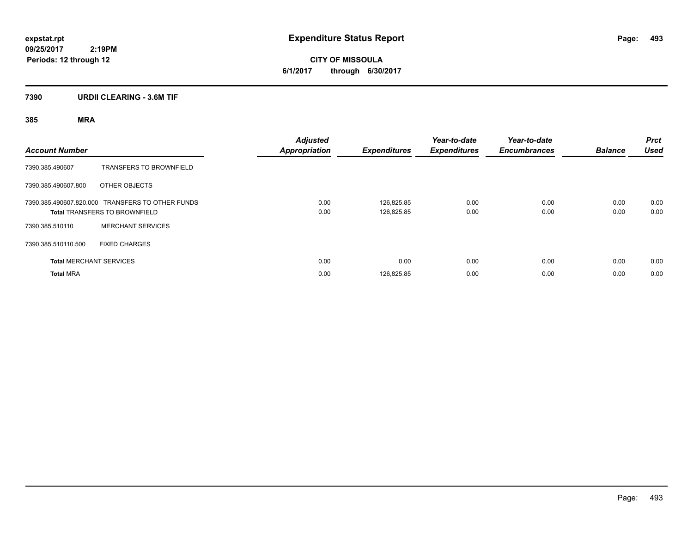**CITY OF MISSOULA 6/1/2017 through 6/30/2017**

### **7390 URDII CLEARING - 3.6M TIF**

| <b>Account Number</b> |                                                                                          | <b>Adjusted</b><br><b>Appropriation</b> | <b>Expenditures</b>      | Year-to-date<br><b>Expenditures</b> | Year-to-date<br><b>Encumbrances</b> | <b>Balance</b> | <b>Prct</b><br><b>Used</b> |
|-----------------------|------------------------------------------------------------------------------------------|-----------------------------------------|--------------------------|-------------------------------------|-------------------------------------|----------------|----------------------------|
| 7390.385.490607       | <b>TRANSFERS TO BROWNFIELD</b>                                                           |                                         |                          |                                     |                                     |                |                            |
| 7390.385.490607.800   | OTHER OBJECTS                                                                            |                                         |                          |                                     |                                     |                |                            |
|                       | 7390.385.490607.820.000 TRANSFERS TO OTHER FUNDS<br><b>Total TRANSFERS TO BROWNFIELD</b> | 0.00<br>0.00                            | 126.825.85<br>126,825.85 | 0.00<br>0.00                        | 0.00<br>0.00                        | 0.00<br>0.00   | 0.00<br>0.00               |
| 7390.385.510110       | <b>MERCHANT SERVICES</b>                                                                 |                                         |                          |                                     |                                     |                |                            |
| 7390.385.510110.500   | <b>FIXED CHARGES</b>                                                                     |                                         |                          |                                     |                                     |                |                            |
|                       | <b>Total MERCHANT SERVICES</b>                                                           | 0.00                                    | 0.00                     | 0.00                                | 0.00                                | 0.00           | 0.00                       |
| <b>Total MRA</b>      |                                                                                          | 0.00                                    | 126,825.85               | 0.00                                | 0.00                                | 0.00           | 0.00                       |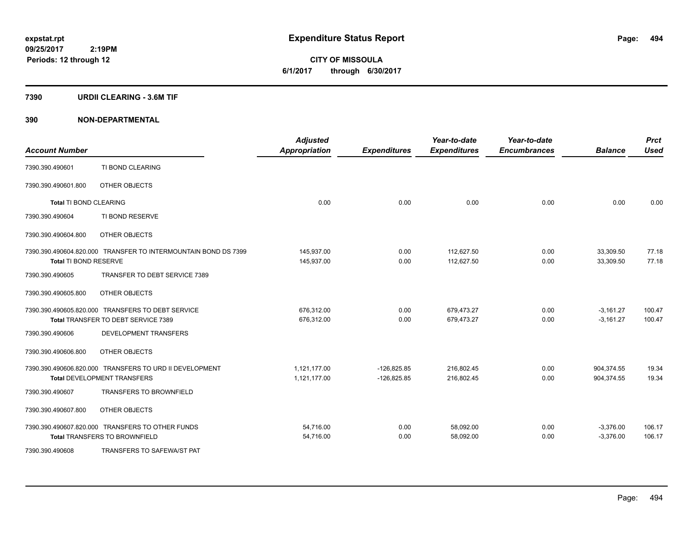**CITY OF MISSOULA 6/1/2017 through 6/30/2017**

#### **7390 URDII CLEARING - 3.6M TIF**

| <b>Account Number</b>         |                                                                | <b>Adjusted</b><br><b>Appropriation</b> | <b>Expenditures</b> | Year-to-date<br><b>Expenditures</b> | Year-to-date<br><b>Encumbrances</b> | <b>Balance</b> | <b>Prct</b><br><b>Used</b> |
|-------------------------------|----------------------------------------------------------------|-----------------------------------------|---------------------|-------------------------------------|-------------------------------------|----------------|----------------------------|
| 7390.390.490601               | TI BOND CLEARING                                               |                                         |                     |                                     |                                     |                |                            |
| 7390.390.490601.800           | OTHER OBJECTS                                                  |                                         |                     |                                     |                                     |                |                            |
| <b>Total TI BOND CLEARING</b> |                                                                | 0.00                                    | 0.00                | 0.00                                | 0.00                                | 0.00           | 0.00                       |
| 7390.390.490604               | TI BOND RESERVE                                                |                                         |                     |                                     |                                     |                |                            |
| 7390.390.490604.800           | OTHER OBJECTS                                                  |                                         |                     |                                     |                                     |                |                            |
|                               | 7390.390.490604.820.000 TRANSFER TO INTERMOUNTAIN BOND DS 7399 | 145,937.00                              | 0.00                | 112.627.50                          | 0.00                                | 33,309.50      | 77.18                      |
| Total TI BOND RESERVE         |                                                                | 145,937.00                              | 0.00                | 112,627.50                          | 0.00                                | 33,309.50      | 77.18                      |
| 7390.390.490605               | TRANSFER TO DEBT SERVICE 7389                                  |                                         |                     |                                     |                                     |                |                            |
| 7390.390.490605.800           | OTHER OBJECTS                                                  |                                         |                     |                                     |                                     |                |                            |
|                               | 7390.390.490605.820.000 TRANSFERS TO DEBT SERVICE              | 676,312.00                              | 0.00                | 679,473.27                          | 0.00                                | $-3,161.27$    | 100.47                     |
|                               | Total TRANSFER TO DEBT SERVICE 7389                            | 676,312.00                              | 0.00                | 679,473.27                          | 0.00                                | $-3,161.27$    | 100.47                     |
| 7390.390.490606               | DEVELOPMENT TRANSFERS                                          |                                         |                     |                                     |                                     |                |                            |
| 7390.390.490606.800           | OTHER OBJECTS                                                  |                                         |                     |                                     |                                     |                |                            |
|                               | 7390.390.490606.820.000 TRANSFERS TO URD II DEVELOPMENT        | 1,121,177.00                            | $-126,825.85$       | 216,802.45                          | 0.00                                | 904,374.55     | 19.34                      |
|                               | Total DEVELOPMENT TRANSFERS                                    | 1,121,177.00                            | $-126,825.85$       | 216,802.45                          | 0.00                                | 904,374.55     | 19.34                      |
| 7390.390.490607               | <b>TRANSFERS TO BROWNFIELD</b>                                 |                                         |                     |                                     |                                     |                |                            |
| 7390.390.490607.800           | OTHER OBJECTS                                                  |                                         |                     |                                     |                                     |                |                            |
|                               | 7390.390.490607.820.000 TRANSFERS TO OTHER FUNDS               | 54,716.00                               | 0.00                | 58,092.00                           | 0.00                                | $-3,376.00$    | 106.17                     |
|                               | <b>Total TRANSFERS TO BROWNFIELD</b>                           | 54,716.00                               | 0.00                | 58,092.00                           | 0.00                                | $-3,376.00$    | 106.17                     |
| 7390.390.490608               | <b>TRANSFERS TO SAFEWA/ST PAT</b>                              |                                         |                     |                                     |                                     |                |                            |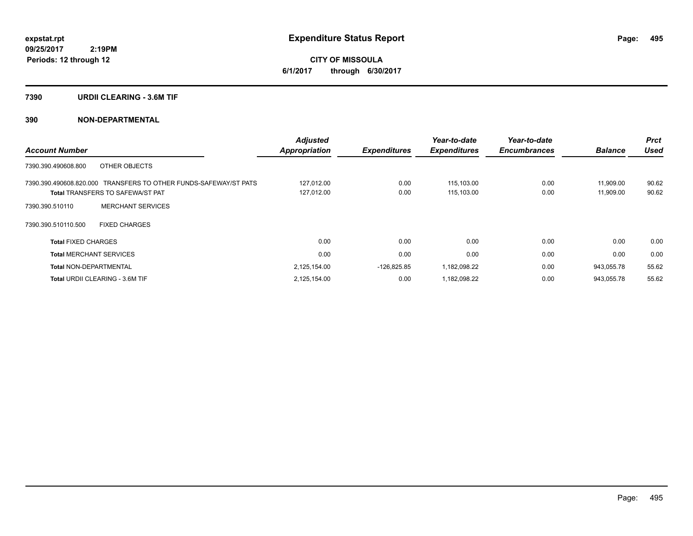**CITY OF MISSOULA 6/1/2017 through 6/30/2017**

#### **7390 URDII CLEARING - 3.6M TIF**

| <b>Account Number</b>                                                                                       | <b>Adjusted</b><br><b>Appropriation</b> | <b>Expenditures</b> | Year-to-date<br><b>Expenditures</b> | Year-to-date<br><b>Encumbrances</b> | <b>Balance</b>         | <b>Prct</b><br><b>Used</b> |
|-------------------------------------------------------------------------------------------------------------|-----------------------------------------|---------------------|-------------------------------------|-------------------------------------|------------------------|----------------------------|
| OTHER OBJECTS<br>7390.390.490608.800                                                                        |                                         |                     |                                     |                                     |                        |                            |
| 7390.390.490608.820.000 TRANSFERS TO OTHER FUNDS-SAFEWAY/ST PATS<br><b>Total TRANSFERS TO SAFEWA/ST PAT</b> | 127,012.00<br>127,012.00                | 0.00<br>0.00        | 115.103.00<br>115,103.00            | 0.00<br>0.00                        | 11,909.00<br>11,909.00 | 90.62<br>90.62             |
| <b>MERCHANT SERVICES</b><br>7390.390.510110                                                                 |                                         |                     |                                     |                                     |                        |                            |
| 7390.390.510110.500<br><b>FIXED CHARGES</b>                                                                 |                                         |                     |                                     |                                     |                        |                            |
| <b>Total FIXED CHARGES</b>                                                                                  | 0.00                                    | 0.00                | 0.00                                | 0.00                                | 0.00                   | 0.00                       |
| <b>Total MERCHANT SERVICES</b>                                                                              | 0.00                                    | 0.00                | 0.00                                | 0.00                                | 0.00                   | 0.00                       |
| <b>Total NON-DEPARTMENTAL</b>                                                                               | 2,125,154.00                            | $-126,825.85$       | 1,182,098.22                        | 0.00                                | 943,055.78             | 55.62                      |
| Total URDII CLEARING - 3.6M TIF                                                                             | 2,125,154.00                            | 0.00                | 1,182,098.22                        | 0.00                                | 943,055.78             | 55.62                      |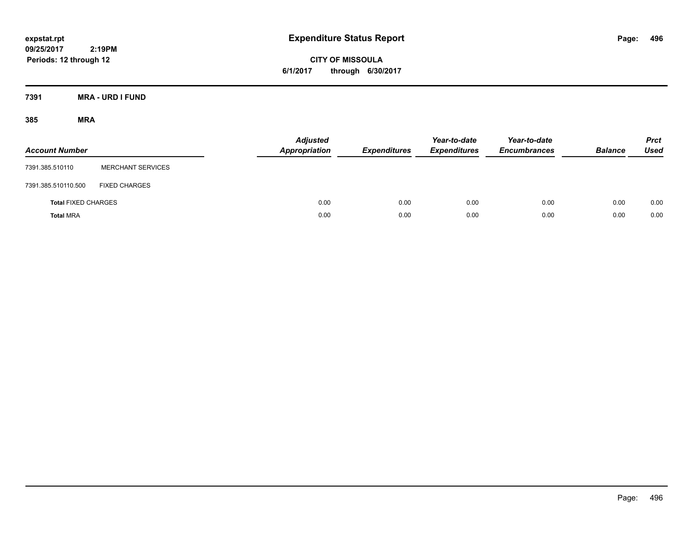**CITY OF MISSOULA 6/1/2017 through 6/30/2017**

**7391 MRA - URD I FUND**

| <b>Account Number</b>      |                          | <b>Adjusted</b><br>Appropriation | <b>Expenditures</b> | Year-to-date<br><b>Expenditures</b> | Year-to-date<br><b>Encumbrances</b> | <b>Balance</b> | <b>Prct</b><br>Used |
|----------------------------|--------------------------|----------------------------------|---------------------|-------------------------------------|-------------------------------------|----------------|---------------------|
| 7391.385.510110            | <b>MERCHANT SERVICES</b> |                                  |                     |                                     |                                     |                |                     |
| 7391.385.510110.500        | <b>FIXED CHARGES</b>     |                                  |                     |                                     |                                     |                |                     |
| <b>Total FIXED CHARGES</b> |                          | 0.00                             | 0.00                | 0.00                                | 0.00                                | 0.00           | 0.00                |
| <b>Total MRA</b>           |                          | 0.00                             | 0.00                | 0.00                                | 0.00                                | 0.00           | 0.00                |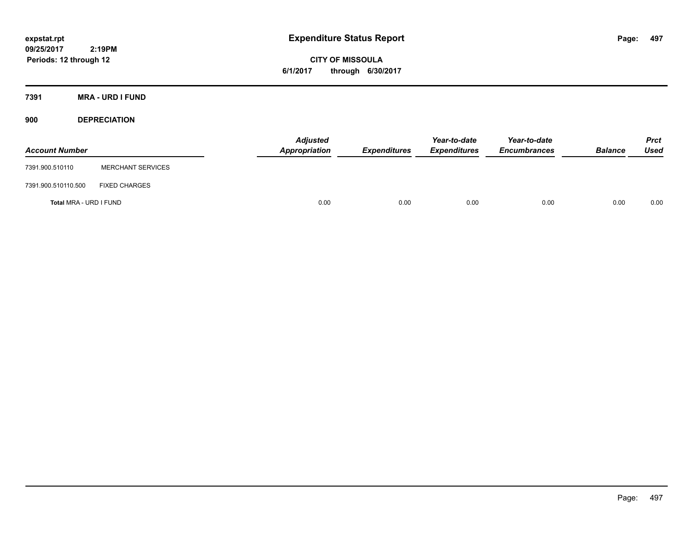**CITY OF MISSOULA 6/1/2017 through 6/30/2017**

**7391 MRA - URD I FUND**

**900 DEPRECIATION**

| <b>Account Number</b>  |                          | <b>Adjusted</b><br>Appropriation | <b>Expenditures</b> | Year-to-date<br><b>Expenditures</b> | Year-to-date<br><b>Encumbrances</b> | <b>Balance</b> | <b>Prct</b><br>Used |
|------------------------|--------------------------|----------------------------------|---------------------|-------------------------------------|-------------------------------------|----------------|---------------------|
| 7391.900.510110        | <b>MERCHANT SERVICES</b> |                                  |                     |                                     |                                     |                |                     |
| 7391.900.510110.500    | <b>FIXED CHARGES</b>     |                                  |                     |                                     |                                     |                |                     |
| Total MRA - URD I FUND |                          | 0.00                             | 0.00                | 0.00                                | 0.00                                | 0.00           | 0.00                |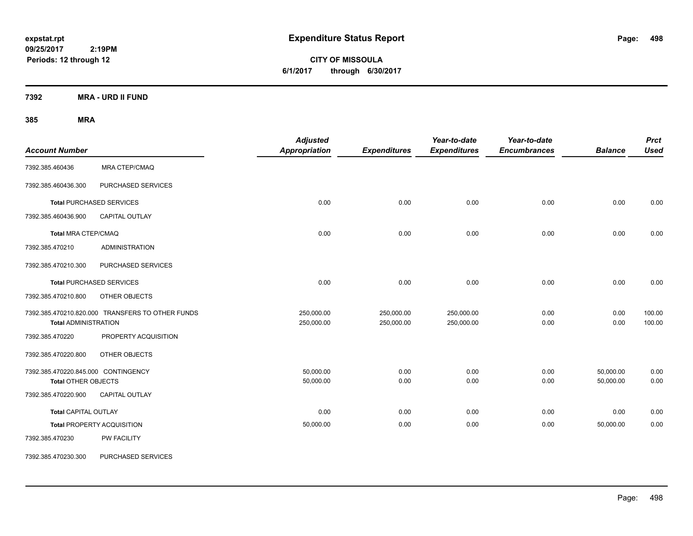**CITY OF MISSOULA 6/1/2017 through 6/30/2017**

**7392 MRA - URD II FUND**

| <b>Account Number</b>                                             |                                                  | <b>Adjusted</b><br><b>Appropriation</b> | <b>Expenditures</b>      | Year-to-date<br><b>Expenditures</b> | Year-to-date<br><b>Encumbrances</b> | <b>Balance</b>         | <b>Prct</b><br><b>Used</b> |
|-------------------------------------------------------------------|--------------------------------------------------|-----------------------------------------|--------------------------|-------------------------------------|-------------------------------------|------------------------|----------------------------|
| 7392.385.460436                                                   | MRA CTEP/CMAQ                                    |                                         |                          |                                     |                                     |                        |                            |
| 7392.385.460436.300                                               | PURCHASED SERVICES                               |                                         |                          |                                     |                                     |                        |                            |
|                                                                   | <b>Total PURCHASED SERVICES</b>                  | 0.00                                    | 0.00                     | 0.00                                | 0.00                                | 0.00                   | 0.00                       |
| 7392.385.460436.900                                               | CAPITAL OUTLAY                                   |                                         |                          |                                     |                                     |                        |                            |
| Total MRA CTEP/CMAQ                                               |                                                  | 0.00                                    | 0.00                     | 0.00                                | 0.00                                | 0.00                   | 0.00                       |
| 7392.385.470210                                                   | <b>ADMINISTRATION</b>                            |                                         |                          |                                     |                                     |                        |                            |
| 7392.385.470210.300                                               | PURCHASED SERVICES                               |                                         |                          |                                     |                                     |                        |                            |
|                                                                   | <b>Total PURCHASED SERVICES</b>                  | 0.00                                    | 0.00                     | 0.00                                | 0.00                                | 0.00                   | 0.00                       |
| 7392.385.470210.800                                               | OTHER OBJECTS                                    |                                         |                          |                                     |                                     |                        |                            |
| <b>Total ADMINISTRATION</b>                                       | 7392.385.470210.820.000 TRANSFERS TO OTHER FUNDS | 250,000.00<br>250,000.00                | 250,000.00<br>250,000.00 | 250,000.00<br>250,000.00            | 0.00<br>0.00                        | 0.00<br>0.00           | 100.00<br>100.00           |
| 7392.385.470220                                                   | PROPERTY ACQUISITION                             |                                         |                          |                                     |                                     |                        |                            |
| 7392.385.470220.800                                               | OTHER OBJECTS                                    |                                         |                          |                                     |                                     |                        |                            |
| 7392.385.470220.845.000 CONTINGENCY<br><b>Total OTHER OBJECTS</b> |                                                  | 50,000.00<br>50,000.00                  | 0.00<br>0.00             | 0.00<br>0.00                        | 0.00<br>0.00                        | 50,000.00<br>50,000.00 | 0.00<br>0.00               |
| 7392.385.470220.900                                               | CAPITAL OUTLAY                                   |                                         |                          |                                     |                                     |                        |                            |
| <b>Total CAPITAL OUTLAY</b>                                       |                                                  | 0.00                                    | 0.00                     | 0.00                                | 0.00                                | 0.00                   | 0.00                       |
|                                                                   | <b>Total PROPERTY ACQUISITION</b>                | 50,000.00                               | 0.00                     | 0.00                                | 0.00                                | 50,000.00              | 0.00                       |
| 7392.385.470230                                                   | PW FACILITY                                      |                                         |                          |                                     |                                     |                        |                            |
| 7392.385.470230.300                                               | PURCHASED SERVICES                               |                                         |                          |                                     |                                     |                        |                            |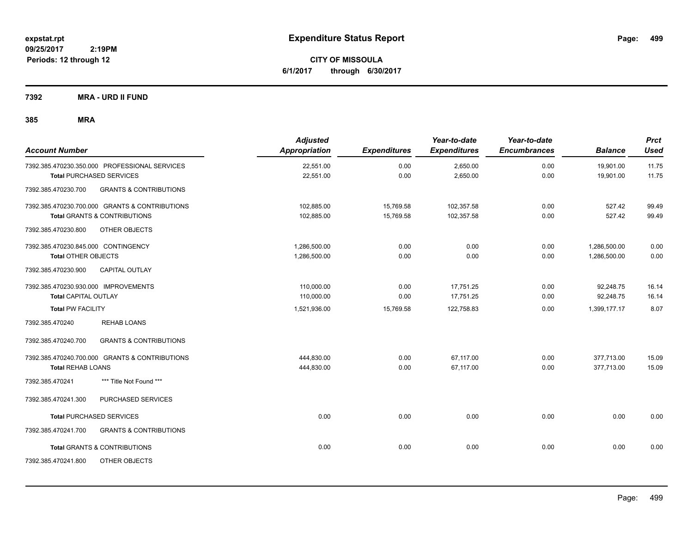**CITY OF MISSOULA 6/1/2017 through 6/30/2017**

**7392 MRA - URD II FUND**

| <b>Account Number</b>                                                                     | <b>Adjusted</b><br><b>Appropriation</b> | <b>Expenditures</b>    | Year-to-date<br><b>Expenditures</b> | Year-to-date<br><b>Encumbrances</b> | <b>Balance</b>               | <b>Prct</b><br><b>Used</b> |
|-------------------------------------------------------------------------------------------|-----------------------------------------|------------------------|-------------------------------------|-------------------------------------|------------------------------|----------------------------|
| 7392.385.470230.350.000 PROFESSIONAL SERVICES<br><b>Total PURCHASED SERVICES</b>          | 22,551.00<br>22,551.00                  | 0.00<br>0.00           | 2,650.00<br>2,650.00                | 0.00<br>0.00                        | 19,901.00<br>19,901.00       | 11.75<br>11.75             |
| <b>GRANTS &amp; CONTRIBUTIONS</b><br>7392.385.470230.700                                  |                                         |                        |                                     |                                     |                              |                            |
| 7392.385.470230.700.000 GRANTS & CONTRIBUTIONS<br><b>Total GRANTS &amp; CONTRIBUTIONS</b> | 102,885.00<br>102,885.00                | 15,769.58<br>15,769.58 | 102,357.58<br>102,357.58            | 0.00<br>0.00                        | 527.42<br>527.42             | 99.49<br>99.49             |
| 7392.385.470230.800<br>OTHER OBJECTS                                                      |                                         |                        |                                     |                                     |                              |                            |
| 7392.385.470230.845.000 CONTINGENCY<br><b>Total OTHER OBJECTS</b>                         | 1,286,500.00<br>1,286,500.00            | 0.00<br>0.00           | 0.00<br>0.00                        | 0.00<br>0.00                        | 1,286,500.00<br>1,286,500.00 | 0.00<br>0.00               |
| 7392.385.470230.900<br>CAPITAL OUTLAY                                                     |                                         |                        |                                     |                                     |                              |                            |
| 7392.385.470230.930.000 IMPROVEMENTS<br><b>Total CAPITAL OUTLAY</b>                       | 110,000.00<br>110,000.00                | 0.00<br>0.00           | 17,751.25<br>17,751.25              | 0.00<br>0.00                        | 92,248.75<br>92,248.75       | 16.14<br>16.14             |
| <b>Total PW FACILITY</b>                                                                  | 1,521,936.00                            | 15,769.58              | 122,758.83                          | 0.00                                | 1,399,177.17                 | 8.07                       |
| <b>REHAB LOANS</b><br>7392.385.470240                                                     |                                         |                        |                                     |                                     |                              |                            |
| <b>GRANTS &amp; CONTRIBUTIONS</b><br>7392.385.470240.700                                  |                                         |                        |                                     |                                     |                              |                            |
| 7392.385.470240.700.000 GRANTS & CONTRIBUTIONS<br><b>Total REHAB LOANS</b>                | 444,830.00<br>444,830.00                | 0.00<br>0.00           | 67.117.00<br>67,117.00              | 0.00<br>0.00                        | 377,713.00<br>377,713.00     | 15.09<br>15.09             |
| 7392.385.470241<br>*** Title Not Found ***                                                |                                         |                        |                                     |                                     |                              |                            |
| PURCHASED SERVICES<br>7392.385.470241.300                                                 |                                         |                        |                                     |                                     |                              |                            |
| <b>Total PURCHASED SERVICES</b>                                                           | 0.00                                    | 0.00                   | 0.00                                | 0.00                                | 0.00                         | 0.00                       |
| 7392.385.470241.700<br><b>GRANTS &amp; CONTRIBUTIONS</b>                                  |                                         |                        |                                     |                                     |                              |                            |
| <b>Total GRANTS &amp; CONTRIBUTIONS</b>                                                   | 0.00                                    | 0.00                   | 0.00                                | 0.00                                | 0.00                         | 0.00                       |
| 7392.385.470241.800<br>OTHER OBJECTS                                                      |                                         |                        |                                     |                                     |                              |                            |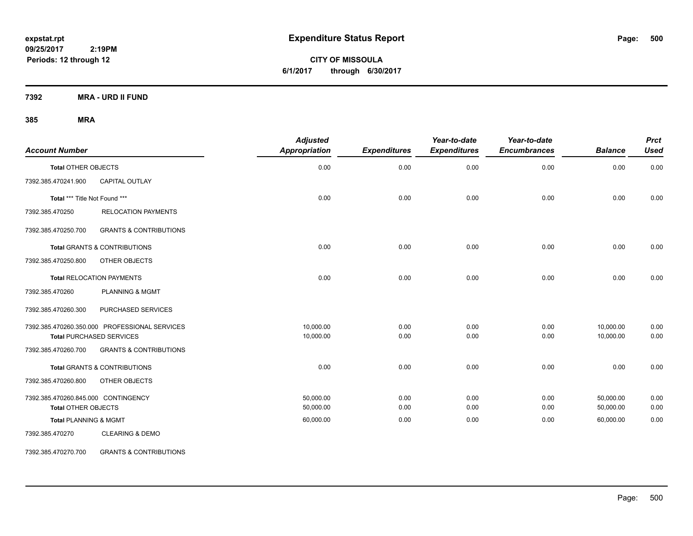**CITY OF MISSOULA 6/1/2017 through 6/30/2017**

**7392 MRA - URD II FUND**

### **385 MRA**

| <b>Account Number</b>               |                                               | <b>Adjusted</b><br>Appropriation | <b>Expenditures</b> | Year-to-date<br><b>Expenditures</b> | Year-to-date<br><b>Encumbrances</b> | <b>Balance</b> | <b>Prct</b><br><b>Used</b> |
|-------------------------------------|-----------------------------------------------|----------------------------------|---------------------|-------------------------------------|-------------------------------------|----------------|----------------------------|
| <b>Total OTHER OBJECTS</b>          |                                               | 0.00                             | 0.00                | 0.00                                | 0.00                                | 0.00           | 0.00                       |
| 7392.385.470241.900                 | <b>CAPITAL OUTLAY</b>                         |                                  |                     |                                     |                                     |                |                            |
| Total *** Title Not Found ***       |                                               | 0.00                             | 0.00                | 0.00                                | 0.00                                | 0.00           | 0.00                       |
| 7392.385.470250                     | <b>RELOCATION PAYMENTS</b>                    |                                  |                     |                                     |                                     |                |                            |
| 7392.385.470250.700                 | <b>GRANTS &amp; CONTRIBUTIONS</b>             |                                  |                     |                                     |                                     |                |                            |
|                                     | <b>Total GRANTS &amp; CONTRIBUTIONS</b>       | 0.00                             | 0.00                | 0.00                                | 0.00                                | 0.00           | 0.00                       |
| 7392.385.470250.800                 | OTHER OBJECTS                                 |                                  |                     |                                     |                                     |                |                            |
|                                     | <b>Total RELOCATION PAYMENTS</b>              | 0.00                             | 0.00                | 0.00                                | 0.00                                | 0.00           | 0.00                       |
| 7392.385.470260                     | <b>PLANNING &amp; MGMT</b>                    |                                  |                     |                                     |                                     |                |                            |
| 7392.385.470260.300                 | PURCHASED SERVICES                            |                                  |                     |                                     |                                     |                |                            |
|                                     | 7392.385.470260.350.000 PROFESSIONAL SERVICES | 10,000.00                        | 0.00                | 0.00                                | 0.00                                | 10,000.00      | 0.00                       |
|                                     | <b>Total PURCHASED SERVICES</b>               | 10,000.00                        | 0.00                | 0.00                                | 0.00                                | 10,000.00      | 0.00                       |
| 7392.385.470260.700                 | <b>GRANTS &amp; CONTRIBUTIONS</b>             |                                  |                     |                                     |                                     |                |                            |
|                                     | Total GRANTS & CONTRIBUTIONS                  | 0.00                             | 0.00                | 0.00                                | 0.00                                | 0.00           | 0.00                       |
| 7392.385.470260.800                 | OTHER OBJECTS                                 |                                  |                     |                                     |                                     |                |                            |
| 7392.385.470260.845.000 CONTINGENCY |                                               | 50,000.00                        | 0.00                | 0.00                                | 0.00                                | 50,000.00      | 0.00                       |
| <b>Total OTHER OBJECTS</b>          |                                               | 50,000.00                        | 0.00                | 0.00                                | 0.00                                | 50,000.00      | 0.00                       |
| <b>Total PLANNING &amp; MGMT</b>    |                                               | 60,000.00                        | 0.00                | 0.00                                | 0.00                                | 60,000.00      | 0.00                       |
| 7392.385.470270                     | <b>CLEARING &amp; DEMO</b>                    |                                  |                     |                                     |                                     |                |                            |

7392.385.470270.700 GRANTS & CONTRIBUTIONS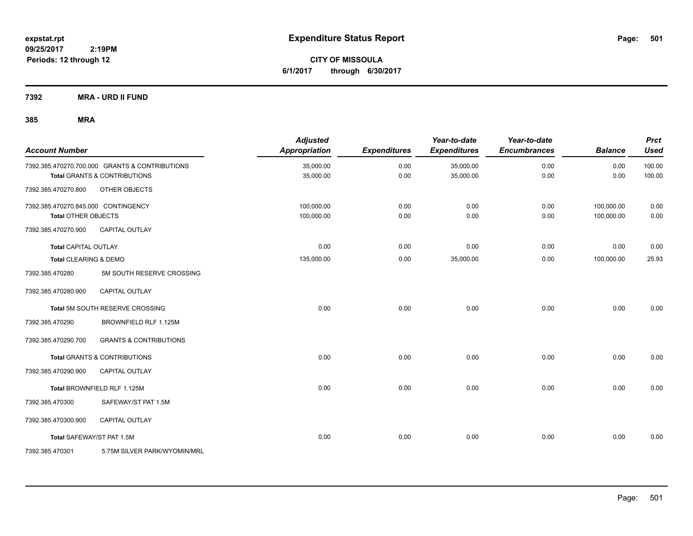**CITY OF MISSOULA 6/1/2017 through 6/30/2017**

**7392 MRA - URD II FUND**

| <b>Account Number</b>               |                                                | <b>Adjusted</b><br>Appropriation | <b>Expenditures</b> | Year-to-date<br><b>Expenditures</b> | Year-to-date<br><b>Encumbrances</b> | <b>Balance</b> | <b>Prct</b><br><b>Used</b> |
|-------------------------------------|------------------------------------------------|----------------------------------|---------------------|-------------------------------------|-------------------------------------|----------------|----------------------------|
|                                     | 7392.385.470270.700.000 GRANTS & CONTRIBUTIONS | 35,000.00                        | 0.00                | 35,000.00                           | 0.00                                | 0.00           | 100.00                     |
|                                     | <b>Total GRANTS &amp; CONTRIBUTIONS</b>        | 35,000.00                        | 0.00                | 35,000.00                           | 0.00                                | 0.00           | 100.00                     |
| 7392.385.470270.800                 | OTHER OBJECTS                                  |                                  |                     |                                     |                                     |                |                            |
| 7392.385.470270.845.000 CONTINGENCY |                                                | 100,000.00                       | 0.00                | 0.00                                | 0.00                                | 100,000.00     | 0.00                       |
| <b>Total OTHER OBJECTS</b>          |                                                | 100,000.00                       | 0.00                | 0.00                                | 0.00                                | 100,000.00     | 0.00                       |
| 7392.385.470270.900                 | <b>CAPITAL OUTLAY</b>                          |                                  |                     |                                     |                                     |                |                            |
| <b>Total CAPITAL OUTLAY</b>         |                                                | 0.00                             | 0.00                | 0.00                                | 0.00                                | 0.00           | 0.00                       |
| Total CLEARING & DEMO               |                                                | 135,000.00                       | 0.00                | 35,000.00                           | 0.00                                | 100,000.00     | 25.93                      |
| 7392.385.470280                     | 5M SOUTH RESERVE CROSSING                      |                                  |                     |                                     |                                     |                |                            |
| 7392.385.470280.900                 | <b>CAPITAL OUTLAY</b>                          |                                  |                     |                                     |                                     |                |                            |
|                                     | Total 5M SOUTH RESERVE CROSSING                | 0.00                             | 0.00                | 0.00                                | 0.00                                | 0.00           | 0.00                       |
| 7392.385.470290                     | BROWNFIELD RLF 1.125M                          |                                  |                     |                                     |                                     |                |                            |
| 7392.385.470290.700                 | <b>GRANTS &amp; CONTRIBUTIONS</b>              |                                  |                     |                                     |                                     |                |                            |
|                                     | Total GRANTS & CONTRIBUTIONS                   | 0.00                             | 0.00                | 0.00                                | 0.00                                | 0.00           | 0.00                       |
| 7392.385.470290.900                 | <b>CAPITAL OUTLAY</b>                          |                                  |                     |                                     |                                     |                |                            |
|                                     | Total BROWNFIELD RLF 1.125M                    | 0.00                             | 0.00                | 0.00                                | 0.00                                | 0.00           | 0.00                       |
| 7392.385.470300                     | SAFEWAY/ST PAT 1.5M                            |                                  |                     |                                     |                                     |                |                            |
| 7392.385.470300.900                 | <b>CAPITAL OUTLAY</b>                          |                                  |                     |                                     |                                     |                |                            |
|                                     | Total SAFEWAY/ST PAT 1.5M                      | 0.00                             | 0.00                | 0.00                                | 0.00                                | 0.00           | 0.00                       |
| 7392.385.470301                     | 5.75M SILVER PARK/WYOMIN/MRL                   |                                  |                     |                                     |                                     |                |                            |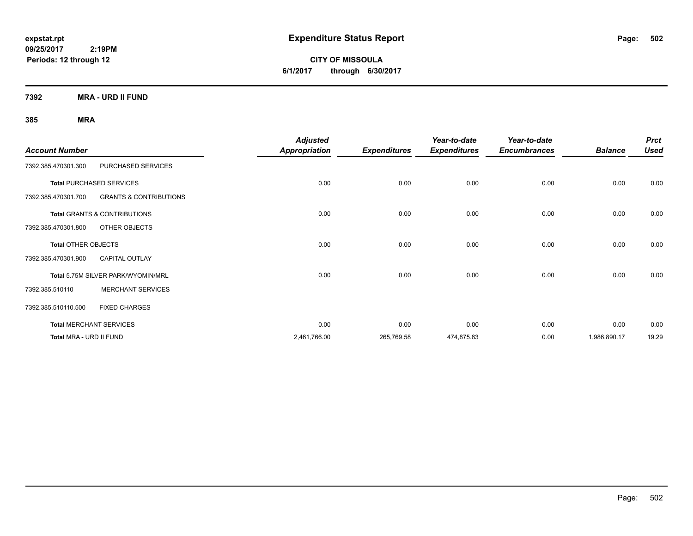**CITY OF MISSOULA 6/1/2017 through 6/30/2017**

**7392 MRA - URD II FUND**

| <b>Account Number</b>          |                                         | <b>Adjusted</b><br><b>Appropriation</b> | <b>Expenditures</b> | Year-to-date<br><b>Expenditures</b> | Year-to-date<br><b>Encumbrances</b> | <b>Balance</b> | <b>Prct</b><br><b>Used</b> |
|--------------------------------|-----------------------------------------|-----------------------------------------|---------------------|-------------------------------------|-------------------------------------|----------------|----------------------------|
| 7392.385.470301.300            | PURCHASED SERVICES                      |                                         |                     |                                     |                                     |                |                            |
|                                | <b>Total PURCHASED SERVICES</b>         | 0.00                                    | 0.00                | 0.00                                | 0.00                                | 0.00           | 0.00                       |
| 7392.385.470301.700            | <b>GRANTS &amp; CONTRIBUTIONS</b>       |                                         |                     |                                     |                                     |                |                            |
|                                | <b>Total GRANTS &amp; CONTRIBUTIONS</b> | 0.00                                    | 0.00                | 0.00                                | 0.00                                | 0.00           | 0.00                       |
| 7392.385.470301.800            | OTHER OBJECTS                           |                                         |                     |                                     |                                     |                |                            |
| <b>Total OTHER OBJECTS</b>     |                                         | 0.00                                    | 0.00                | 0.00                                | 0.00                                | 0.00           | 0.00                       |
| 7392.385.470301.900            | <b>CAPITAL OUTLAY</b>                   |                                         |                     |                                     |                                     |                |                            |
|                                | Total 5.75M SILVER PARK/WYOMIN/MRL      | 0.00                                    | 0.00                | 0.00                                | 0.00                                | 0.00           | 0.00                       |
| 7392.385.510110                | <b>MERCHANT SERVICES</b>                |                                         |                     |                                     |                                     |                |                            |
| 7392.385.510110.500            | <b>FIXED CHARGES</b>                    |                                         |                     |                                     |                                     |                |                            |
| <b>Total MERCHANT SERVICES</b> |                                         | 0.00                                    | 0.00                | 0.00                                | 0.00                                | 0.00           | 0.00                       |
| Total MRA - URD II FUND        |                                         | 2,461,766.00                            | 265,769.58          | 474,875.83                          | 0.00                                | 1,986,890.17   | 19.29                      |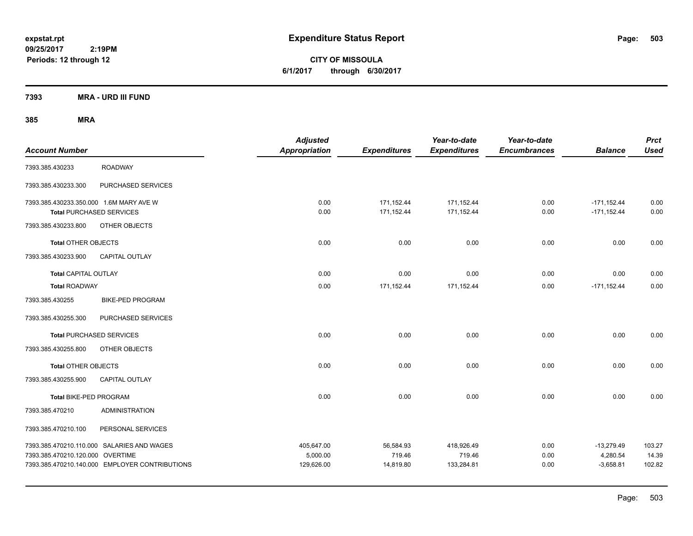**CITY OF MISSOULA 6/1/2017 through 6/30/2017**

**7393 MRA - URD III FUND**

| <b>Account Number</b>                                                      |                                                                                              | <b>Adjusted</b><br><b>Appropriation</b> | <b>Expenditures</b>              | Year-to-date<br><b>Expenditures</b> | Year-to-date<br><b>Encumbrances</b> | <b>Balance</b>                          | <b>Prct</b><br><b>Used</b> |
|----------------------------------------------------------------------------|----------------------------------------------------------------------------------------------|-----------------------------------------|----------------------------------|-------------------------------------|-------------------------------------|-----------------------------------------|----------------------------|
| 7393.385.430233                                                            | <b>ROADWAY</b>                                                                               |                                         |                                  |                                     |                                     |                                         |                            |
| 7393.385.430233.300                                                        | PURCHASED SERVICES                                                                           |                                         |                                  |                                     |                                     |                                         |                            |
| 7393.385.430233.350.000 1.6M MARY AVE W<br><b>Total PURCHASED SERVICES</b> |                                                                                              | 0.00<br>0.00                            | 171,152.44<br>171,152.44         | 171,152.44<br>171,152.44            | 0.00<br>0.00                        | $-171, 152.44$<br>$-171, 152.44$        | 0.00<br>0.00               |
| 7393.385.430233.800                                                        | OTHER OBJECTS                                                                                |                                         |                                  |                                     |                                     |                                         |                            |
| <b>Total OTHER OBJECTS</b>                                                 |                                                                                              | 0.00                                    | 0.00                             | 0.00                                | 0.00                                | 0.00                                    | 0.00                       |
| 7393.385.430233.900                                                        | CAPITAL OUTLAY                                                                               |                                         |                                  |                                     |                                     |                                         |                            |
| <b>Total CAPITAL OUTLAY</b>                                                |                                                                                              | 0.00                                    | 0.00                             | 0.00                                | 0.00                                | 0.00                                    | 0.00                       |
| <b>Total ROADWAY</b>                                                       |                                                                                              | 0.00                                    | 171,152.44                       | 171,152.44                          | 0.00                                | $-171, 152.44$                          | 0.00                       |
| 7393.385.430255                                                            | <b>BIKE-PED PROGRAM</b>                                                                      |                                         |                                  |                                     |                                     |                                         |                            |
| 7393.385.430255.300                                                        | PURCHASED SERVICES                                                                           |                                         |                                  |                                     |                                     |                                         |                            |
| <b>Total PURCHASED SERVICES</b>                                            |                                                                                              | 0.00                                    | 0.00                             | 0.00                                | 0.00                                | 0.00                                    | 0.00                       |
| 7393.385.430255.800                                                        | OTHER OBJECTS                                                                                |                                         |                                  |                                     |                                     |                                         |                            |
| <b>Total OTHER OBJECTS</b>                                                 |                                                                                              | 0.00                                    | 0.00                             | 0.00                                | 0.00                                | 0.00                                    | 0.00                       |
| 7393.385.430255.900                                                        | CAPITAL OUTLAY                                                                               |                                         |                                  |                                     |                                     |                                         |                            |
| Total BIKE-PED PROGRAM                                                     |                                                                                              | 0.00                                    | 0.00                             | 0.00                                | 0.00                                | 0.00                                    | 0.00                       |
| 7393.385.470210                                                            | <b>ADMINISTRATION</b>                                                                        |                                         |                                  |                                     |                                     |                                         |                            |
| 7393.385.470210.100                                                        | PERSONAL SERVICES                                                                            |                                         |                                  |                                     |                                     |                                         |                            |
| 7393.385.470210.120.000 OVERTIME                                           | 7393.385.470210.110.000 SALARIES AND WAGES<br>7393.385.470210.140.000 EMPLOYER CONTRIBUTIONS | 405,647.00<br>5,000.00<br>129,626.00    | 56,584.93<br>719.46<br>14,819.80 | 418,926.49<br>719.46<br>133,284.81  | 0.00<br>0.00<br>0.00                | $-13,279.49$<br>4,280.54<br>$-3,658.81$ | 103.27<br>14.39<br>102.82  |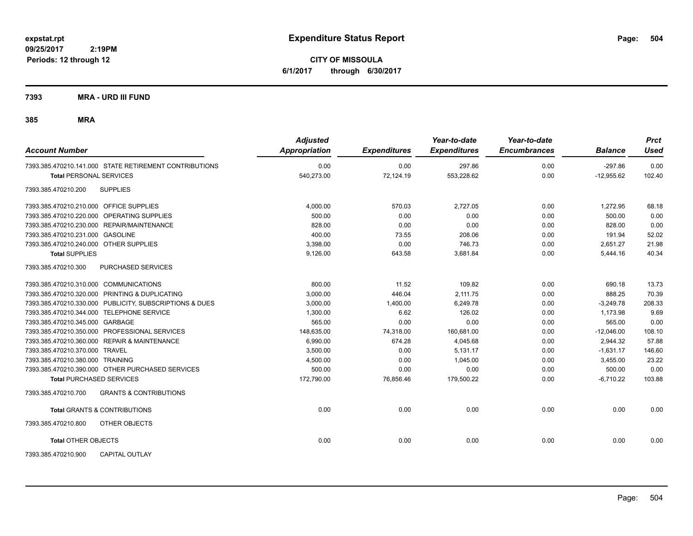**CITY OF MISSOULA 6/1/2017 through 6/30/2017**

**7393 MRA - URD III FUND**

| <b>Account Number</b>                                    | <b>Adjusted</b><br><b>Appropriation</b> | <b>Expenditures</b> | Year-to-date<br><b>Expenditures</b> | Year-to-date<br><b>Encumbrances</b> | <b>Balance</b> | <b>Prct</b><br>Used |
|----------------------------------------------------------|-----------------------------------------|---------------------|-------------------------------------|-------------------------------------|----------------|---------------------|
| 7393.385.470210.141.000 STATE RETIREMENT CONTRIBUTIONS   | 0.00                                    | 0.00                | 297.86                              | 0.00                                | $-297.86$      | 0.00                |
| <b>Total PERSONAL SERVICES</b>                           | 540,273.00                              | 72,124.19           | 553,228.62                          | 0.00                                | $-12,955.62$   | 102.40              |
| 7393.385.470210.200<br><b>SUPPLIES</b>                   |                                         |                     |                                     |                                     |                |                     |
| 7393.385.470210.210.000 OFFICE SUPPLIES                  | 4.000.00                                | 570.03              | 2.727.05                            | 0.00                                | 1.272.95       | 68.18               |
| 7393.385.470210.220.000 OPERATING SUPPLIES               | 500.00                                  | 0.00                | 0.00                                | 0.00                                | 500.00         | 0.00                |
| 7393.385.470210.230.000 REPAIR/MAINTENANCE               | 828.00                                  | 0.00                | 0.00                                | 0.00                                | 828.00         | 0.00                |
| 7393.385.470210.231.000 GASOLINE                         | 400.00                                  | 73.55               | 208.06                              | 0.00                                | 191.94         | 52.02               |
| 7393.385.470210.240.000 OTHER SUPPLIES                   | 3,398.00                                | 0.00                | 746.73                              | 0.00                                | 2,651.27       | 21.98               |
| <b>Total SUPPLIES</b>                                    | 9.126.00                                | 643.58              | 3.681.84                            | 0.00                                | 5.444.16       | 40.34               |
| 7393.385.470210.300<br>PURCHASED SERVICES                |                                         |                     |                                     |                                     |                |                     |
| 7393.385.470210.310.000 COMMUNICATIONS                   | 800.00                                  | 11.52               | 109.82                              | 0.00                                | 690.18         | 13.73               |
| 7393.385.470210.320.000 PRINTING & DUPLICATING           | 3,000.00                                | 446.04              | 2,111.75                            | 0.00                                | 888.25         | 70.39               |
| 7393.385.470210.330.000 PUBLICITY, SUBSCRIPTIONS & DUES  | 3,000.00                                | 1,400.00            | 6,249.78                            | 0.00                                | $-3,249.78$    | 208.33              |
| 7393.385.470210.344.000 TELEPHONE SERVICE                | 1,300.00                                | 6.62                | 126.02                              | 0.00                                | 1,173.98       | 9.69                |
| 7393.385.470210.345.000 GARBAGE                          | 565.00                                  | 0.00                | 0.00                                | 0.00                                | 565.00         | 0.00                |
| 7393.385.470210.350.000 PROFESSIONAL SERVICES            | 148.635.00                              | 74.318.00           | 160.681.00                          | 0.00                                | $-12.046.00$   | 108.10              |
| 7393.385.470210.360.000 REPAIR & MAINTENANCE             | 6.990.00                                | 674.28              | 4,045.68                            | 0.00                                | 2.944.32       | 57.88               |
| 7393.385.470210.370.000 TRAVEL                           | 3.500.00                                | 0.00                | 5,131.17                            | 0.00                                | $-1,631.17$    | 146.60              |
| 7393.385.470210.380.000 TRAINING                         | 4,500.00                                | 0.00                | 1,045.00                            | 0.00                                | 3,455.00       | 23.22               |
| 7393.385.470210.390.000 OTHER PURCHASED SERVICES         | 500.00                                  | 0.00                | 0.00                                | 0.00                                | 500.00         | 0.00                |
| <b>Total PURCHASED SERVICES</b>                          | 172,790.00                              | 76,856.46           | 179,500.22                          | 0.00                                | $-6,710.22$    | 103.88              |
| <b>GRANTS &amp; CONTRIBUTIONS</b><br>7393.385.470210.700 |                                         |                     |                                     |                                     |                |                     |
| <b>Total GRANTS &amp; CONTRIBUTIONS</b>                  | 0.00                                    | 0.00                | 0.00                                | 0.00                                | 0.00           | 0.00                |
| 7393.385.470210.800<br>OTHER OBJECTS                     |                                         |                     |                                     |                                     |                |                     |
| <b>Total OTHER OBJECTS</b>                               | 0.00                                    | 0.00                | 0.00                                | 0.00                                | 0.00           | 0.00                |
| CAPITAL OUTLAY<br>7393.385.470210.900                    |                                         |                     |                                     |                                     |                |                     |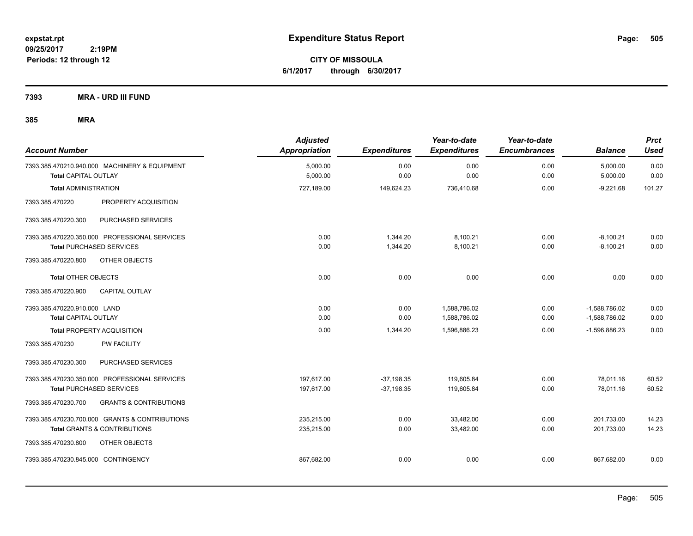**CITY OF MISSOULA 6/1/2017 through 6/30/2017**

**7393 MRA - URD III FUND**

| <b>Account Number</b>               |                                                                                  | <b>Adjusted</b><br><b>Appropriation</b> | <b>Expenditures</b>  | Year-to-date<br><b>Expenditures</b> | Year-to-date<br><b>Encumbrances</b> | <b>Balance</b>             | <b>Prct</b><br><b>Used</b> |
|-------------------------------------|----------------------------------------------------------------------------------|-----------------------------------------|----------------------|-------------------------------------|-------------------------------------|----------------------------|----------------------------|
| Total CAPITAL OUTLAY                | 7393.385.470210.940.000 MACHINERY & EQUIPMENT                                    | 5.000.00<br>5,000.00                    | 0.00<br>0.00         | 0.00<br>0.00                        | 0.00<br>0.00                        | 5,000.00<br>5,000.00       | 0.00<br>0.00               |
| <b>Total ADMINISTRATION</b>         |                                                                                  | 727,189.00                              | 149,624.23           | 736,410.68                          | 0.00                                | $-9,221.68$                | 101.27                     |
| 7393.385.470220                     | PROPERTY ACQUISITION                                                             |                                         |                      |                                     |                                     |                            |                            |
| 7393.385.470220.300                 | PURCHASED SERVICES                                                               |                                         |                      |                                     |                                     |                            |                            |
|                                     | 7393.385.470220.350.000 PROFESSIONAL SERVICES<br><b>Total PURCHASED SERVICES</b> | 0.00<br>0.00                            | 1,344.20<br>1,344.20 | 8,100.21<br>8,100.21                | 0.00<br>0.00                        | $-8,100.21$<br>$-8,100.21$ | 0.00<br>0.00               |
| 7393.385.470220.800                 | OTHER OBJECTS                                                                    |                                         |                      |                                     |                                     |                            |                            |
| <b>Total OTHER OBJECTS</b>          |                                                                                  | 0.00                                    | 0.00                 | 0.00                                | 0.00                                | 0.00                       | 0.00                       |
| 7393.385.470220.900                 | <b>CAPITAL OUTLAY</b>                                                            |                                         |                      |                                     |                                     |                            |                            |
| 7393.385.470220.910.000 LAND        |                                                                                  | 0.00                                    | 0.00                 | 1,588,786.02                        | 0.00                                | $-1,588,786.02$            | 0.00                       |
| <b>Total CAPITAL OUTLAY</b>         |                                                                                  | 0.00                                    | 0.00                 | 1,588,786.02                        | 0.00                                | $-1,588,786.02$            | 0.00                       |
|                                     | <b>Total PROPERTY ACQUISITION</b>                                                | 0.00                                    | 1,344.20             | 1,596,886.23                        | 0.00                                | $-1,596,886.23$            | 0.00                       |
| 7393.385.470230                     | PW FACILITY                                                                      |                                         |                      |                                     |                                     |                            |                            |
| 7393.385.470230.300                 | PURCHASED SERVICES                                                               |                                         |                      |                                     |                                     |                            |                            |
|                                     | 7393.385.470230.350.000 PROFESSIONAL SERVICES                                    | 197,617.00                              | $-37,198.35$         | 119,605.84                          | 0.00                                | 78,011.16                  | 60.52                      |
|                                     | <b>Total PURCHASED SERVICES</b>                                                  | 197.617.00                              | $-37,198.35$         | 119.605.84                          | 0.00                                | 78.011.16                  | 60.52                      |
| 7393.385.470230.700                 | <b>GRANTS &amp; CONTRIBUTIONS</b>                                                |                                         |                      |                                     |                                     |                            |                            |
|                                     | 7393.385.470230.700.000 GRANTS & CONTRIBUTIONS                                   | 235,215.00                              | 0.00                 | 33,482.00                           | 0.00                                | 201,733.00                 | 14.23                      |
|                                     | Total GRANTS & CONTRIBUTIONS                                                     | 235,215.00                              | 0.00                 | 33,482.00                           | 0.00                                | 201,733.00                 | 14.23                      |
| 7393.385.470230.800                 | OTHER OBJECTS                                                                    |                                         |                      |                                     |                                     |                            |                            |
| 7393.385.470230.845.000 CONTINGENCY |                                                                                  | 867,682.00                              | 0.00                 | 0.00                                | 0.00                                | 867,682.00                 | 0.00                       |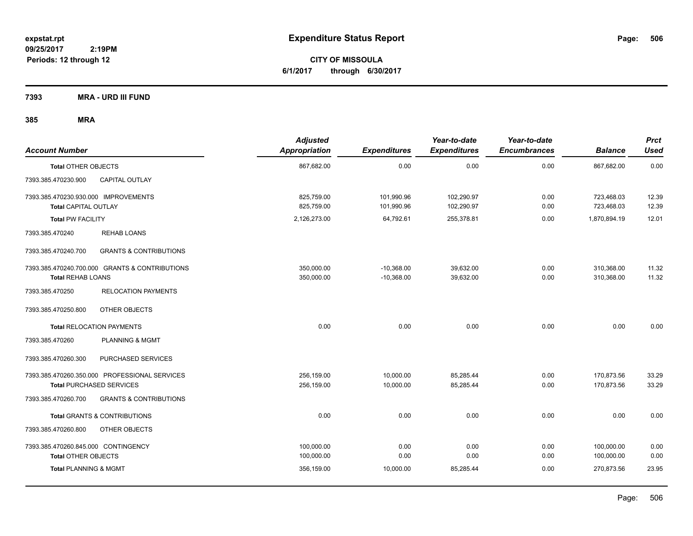**CITY OF MISSOULA 6/1/2017 through 6/30/2017**

**7393 MRA - URD III FUND**

| <b>Account Number</b>                                        |                                                                                  | <b>Adjusted</b><br><b>Appropriation</b> | <b>Expenditures</b>          | Year-to-date<br><b>Expenditures</b> | Year-to-date<br><b>Encumbrances</b> | <b>Balance</b>           | <b>Prct</b><br><b>Used</b> |
|--------------------------------------------------------------|----------------------------------------------------------------------------------|-----------------------------------------|------------------------------|-------------------------------------|-------------------------------------|--------------------------|----------------------------|
| <b>Total OTHER OBJECTS</b>                                   |                                                                                  | 867,682.00                              | 0.00                         | 0.00                                | 0.00                                | 867,682.00               | 0.00                       |
| 7393.385.470230.900                                          | <b>CAPITAL OUTLAY</b>                                                            |                                         |                              |                                     |                                     |                          |                            |
| 7393.385.470230.930.000 IMPROVEMENTS<br>Total CAPITAL OUTLAY |                                                                                  | 825,759.00<br>825.759.00                | 101,990.96<br>101,990.96     | 102,290.97<br>102,290.97            | 0.00<br>0.00                        | 723,468.03<br>723,468.03 | 12.39<br>12.39             |
| <b>Total PW FACILITY</b>                                     |                                                                                  | 2,126,273.00                            | 64,792.61                    | 255,378.81                          | 0.00                                | 1,870,894.19             | 12.01                      |
| 7393.385.470240                                              | <b>REHAB LOANS</b>                                                               |                                         |                              |                                     |                                     |                          |                            |
| 7393.385.470240.700                                          | <b>GRANTS &amp; CONTRIBUTIONS</b>                                                |                                         |                              |                                     |                                     |                          |                            |
| <b>Total REHAB LOANS</b>                                     | 7393.385.470240.700.000 GRANTS & CONTRIBUTIONS                                   | 350,000.00<br>350,000.00                | $-10,368.00$<br>$-10,368.00$ | 39,632.00<br>39,632.00              | 0.00<br>0.00                        | 310,368.00<br>310,368.00 | 11.32<br>11.32             |
| 7393.385.470250                                              | <b>RELOCATION PAYMENTS</b>                                                       |                                         |                              |                                     |                                     |                          |                            |
| 7393.385.470250.800                                          | OTHER OBJECTS                                                                    |                                         |                              |                                     |                                     |                          |                            |
|                                                              | <b>Total RELOCATION PAYMENTS</b>                                                 | 0.00                                    | 0.00                         | 0.00                                | 0.00                                | 0.00                     | 0.00                       |
| 7393.385.470260                                              | <b>PLANNING &amp; MGMT</b>                                                       |                                         |                              |                                     |                                     |                          |                            |
| 7393.385.470260.300                                          | PURCHASED SERVICES                                                               |                                         |                              |                                     |                                     |                          |                            |
|                                                              | 7393.385.470260.350.000 PROFESSIONAL SERVICES<br><b>Total PURCHASED SERVICES</b> | 256.159.00<br>256,159.00                | 10,000.00<br>10,000.00       | 85,285.44<br>85,285.44              | 0.00<br>0.00                        | 170,873.56<br>170,873.56 | 33.29<br>33.29             |
| 7393.385.470260.700                                          | <b>GRANTS &amp; CONTRIBUTIONS</b>                                                |                                         |                              |                                     |                                     |                          |                            |
|                                                              | Total GRANTS & CONTRIBUTIONS                                                     | 0.00                                    | 0.00                         | 0.00                                | 0.00                                | 0.00                     | 0.00                       |
| 7393.385.470260.800                                          | OTHER OBJECTS                                                                    |                                         |                              |                                     |                                     |                          |                            |
| 7393.385.470260.845.000 CONTINGENCY                          |                                                                                  | 100,000.00                              | 0.00                         | 0.00                                | 0.00                                | 100,000.00               | 0.00                       |
| <b>Total OTHER OBJECTS</b>                                   |                                                                                  | 100,000.00                              | 0.00                         | 0.00                                | 0.00                                | 100,000.00               | 0.00                       |
| <b>Total PLANNING &amp; MGMT</b>                             |                                                                                  | 356,159.00                              | 10,000.00                    | 85.285.44                           | 0.00                                | 270.873.56               | 23.95                      |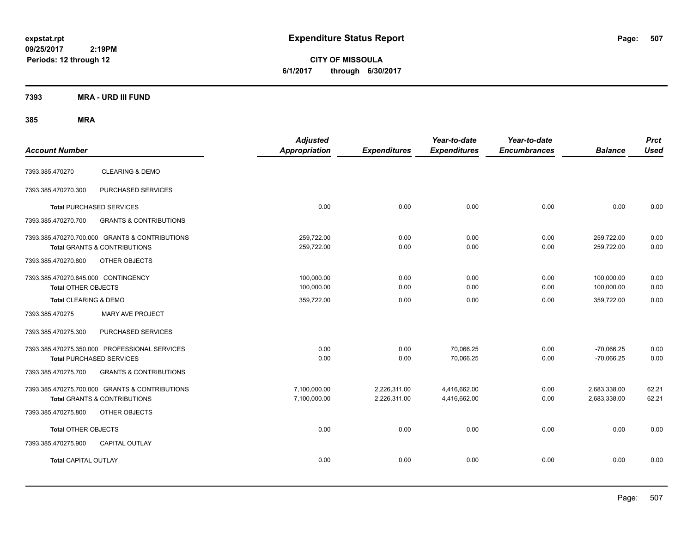**CITY OF MISSOULA 6/1/2017 through 6/30/2017**

### **7393 MRA - URD III FUND**

| <b>Account Number</b>                                             |                                                                                           | <b>Adjusted</b><br>Appropriation | <b>Expenditures</b>          | Year-to-date<br><b>Expenditures</b> | Year-to-date<br><b>Encumbrances</b> | <b>Balance</b>               | <b>Prct</b><br><b>Used</b> |
|-------------------------------------------------------------------|-------------------------------------------------------------------------------------------|----------------------------------|------------------------------|-------------------------------------|-------------------------------------|------------------------------|----------------------------|
| 7393.385.470270                                                   | <b>CLEARING &amp; DEMO</b>                                                                |                                  |                              |                                     |                                     |                              |                            |
| 7393.385.470270.300                                               | PURCHASED SERVICES                                                                        |                                  |                              |                                     |                                     |                              |                            |
|                                                                   | <b>Total PURCHASED SERVICES</b>                                                           | 0.00                             | 0.00                         | 0.00                                | 0.00                                | 0.00                         | 0.00                       |
| 7393.385.470270.700                                               | <b>GRANTS &amp; CONTRIBUTIONS</b>                                                         |                                  |                              |                                     |                                     |                              |                            |
|                                                                   | 7393.385.470270.700.000 GRANTS & CONTRIBUTIONS<br><b>Total GRANTS &amp; CONTRIBUTIONS</b> | 259,722.00<br>259,722.00         | 0.00<br>0.00                 | 0.00<br>0.00                        | 0.00<br>0.00                        | 259,722.00<br>259,722.00     | 0.00<br>0.00               |
| 7393.385.470270.800                                               | OTHER OBJECTS                                                                             |                                  |                              |                                     |                                     |                              |                            |
| 7393.385.470270.845.000 CONTINGENCY<br><b>Total OTHER OBJECTS</b> |                                                                                           | 100,000.00<br>100,000.00         | 0.00<br>0.00                 | 0.00<br>0.00                        | 0.00<br>0.00                        | 100,000.00<br>100,000.00     | 0.00<br>0.00               |
| Total CLEARING & DEMO                                             |                                                                                           | 359,722.00                       | 0.00                         | 0.00                                | 0.00                                | 359,722.00                   | 0.00                       |
| 7393.385.470275                                                   | <b>MARY AVE PROJECT</b>                                                                   |                                  |                              |                                     |                                     |                              |                            |
| 7393.385.470275.300                                               | PURCHASED SERVICES                                                                        |                                  |                              |                                     |                                     |                              |                            |
|                                                                   | 7393.385.470275.350.000 PROFESSIONAL SERVICES<br><b>Total PURCHASED SERVICES</b>          | 0.00<br>0.00                     | 0.00<br>0.00                 | 70,066.25<br>70,066.25              | 0.00<br>0.00                        | $-70,066.25$<br>$-70,066.25$ | 0.00<br>0.00               |
| 7393.385.470275.700                                               | <b>GRANTS &amp; CONTRIBUTIONS</b>                                                         |                                  |                              |                                     |                                     |                              |                            |
|                                                                   | 7393.385.470275.700.000 GRANTS & CONTRIBUTIONS<br><b>Total GRANTS &amp; CONTRIBUTIONS</b> | 7,100,000.00<br>7,100,000.00     | 2,226,311.00<br>2,226,311.00 | 4,416,662.00<br>4,416,662.00        | 0.00<br>0.00                        | 2,683,338.00<br>2,683,338.00 | 62.21<br>62.21             |
| 7393.385.470275.800                                               | OTHER OBJECTS                                                                             |                                  |                              |                                     |                                     |                              |                            |
| <b>Total OTHER OBJECTS</b>                                        |                                                                                           | 0.00                             | 0.00                         | 0.00                                | 0.00                                | 0.00                         | 0.00                       |
| 7393.385.470275.900                                               | CAPITAL OUTLAY                                                                            |                                  |                              |                                     |                                     |                              |                            |
| <b>Total CAPITAL OUTLAY</b>                                       |                                                                                           | 0.00                             | 0.00                         | 0.00                                | 0.00                                | 0.00                         | 0.00                       |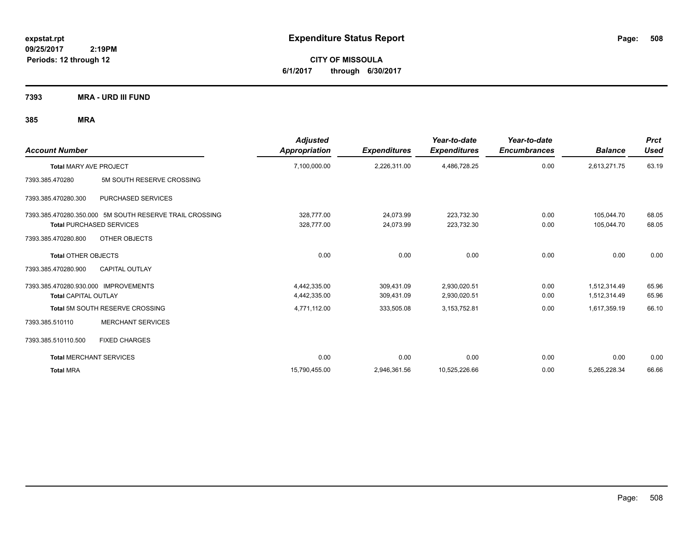**CITY OF MISSOULA 6/1/2017 through 6/30/2017**

**7393 MRA - URD III FUND**

| <b>Account Number</b>                |                                                         | <b>Adjusted</b><br>Appropriation | <b>Expenditures</b> | Year-to-date<br><b>Expenditures</b> | Year-to-date<br><b>Encumbrances</b> | <b>Balance</b> | <b>Prct</b><br><b>Used</b> |
|--------------------------------------|---------------------------------------------------------|----------------------------------|---------------------|-------------------------------------|-------------------------------------|----------------|----------------------------|
| <b>Total MARY AVE PROJECT</b>        |                                                         | 7,100,000.00                     | 2,226,311.00        | 4,486,728.25                        | 0.00                                | 2,613,271.75   | 63.19                      |
| 7393.385.470280                      | 5M SOUTH RESERVE CROSSING                               |                                  |                     |                                     |                                     |                |                            |
| 7393.385.470280.300                  | PURCHASED SERVICES                                      |                                  |                     |                                     |                                     |                |                            |
|                                      | 7393.385.470280.350.000 5M SOUTH RESERVE TRAIL CROSSING | 328.777.00                       | 24.073.99           | 223,732.30                          | 0.00                                | 105.044.70     | 68.05                      |
|                                      | <b>Total PURCHASED SERVICES</b>                         | 328,777.00                       | 24,073.99           | 223,732.30                          | 0.00                                | 105,044.70     | 68.05                      |
| 7393.385.470280.800                  | OTHER OBJECTS                                           |                                  |                     |                                     |                                     |                |                            |
| <b>Total OTHER OBJECTS</b>           |                                                         | 0.00                             | 0.00                | 0.00                                | 0.00                                | 0.00           | 0.00                       |
| 7393.385.470280.900                  | CAPITAL OUTLAY                                          |                                  |                     |                                     |                                     |                |                            |
| 7393.385.470280.930.000 IMPROVEMENTS |                                                         | 4,442,335.00                     | 309,431.09          | 2,930,020.51                        | 0.00                                | 1,512,314.49   | 65.96                      |
| <b>Total CAPITAL OUTLAY</b>          |                                                         | 4,442,335.00                     | 309,431.09          | 2,930,020.51                        | 0.00                                | 1,512,314.49   | 65.96                      |
|                                      | Total 5M SOUTH RESERVE CROSSING                         | 4,771,112.00                     | 333,505.08          | 3,153,752.81                        | 0.00                                | 1,617,359.19   | 66.10                      |
| 7393.385.510110                      | <b>MERCHANT SERVICES</b>                                |                                  |                     |                                     |                                     |                |                            |
| 7393.385.510110.500                  | <b>FIXED CHARGES</b>                                    |                                  |                     |                                     |                                     |                |                            |
| <b>Total MERCHANT SERVICES</b>       |                                                         | 0.00                             | 0.00                | 0.00                                | 0.00                                | 0.00           | 0.00                       |
| <b>Total MRA</b>                     |                                                         | 15,790,455.00                    | 2,946,361.56        | 10,525,226.66                       | 0.00                                | 5,265,228.34   | 66.66                      |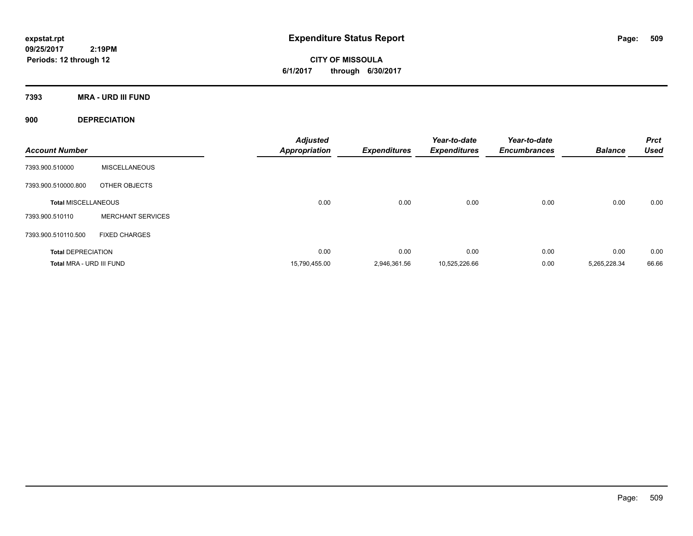**CITY OF MISSOULA 6/1/2017 through 6/30/2017**

**7393 MRA - URD III FUND**

**900 DEPRECIATION**

| <b>Account Number</b>      |                          | <b>Adjusted</b><br><b>Appropriation</b> | <b>Expenditures</b> | Year-to-date<br><b>Expenditures</b> | Year-to-date<br><b>Encumbrances</b> | <b>Balance</b> | <b>Prct</b><br><b>Used</b> |
|----------------------------|--------------------------|-----------------------------------------|---------------------|-------------------------------------|-------------------------------------|----------------|----------------------------|
| 7393.900.510000            | <b>MISCELLANEOUS</b>     |                                         |                     |                                     |                                     |                |                            |
| 7393.900.510000.800        | OTHER OBJECTS            |                                         |                     |                                     |                                     |                |                            |
| <b>Total MISCELLANEOUS</b> |                          | 0.00                                    | 0.00                | 0.00                                | 0.00                                | 0.00           | 0.00                       |
| 7393.900.510110            | <b>MERCHANT SERVICES</b> |                                         |                     |                                     |                                     |                |                            |
| 7393.900.510110.500        | <b>FIXED CHARGES</b>     |                                         |                     |                                     |                                     |                |                            |
| <b>Total DEPRECIATION</b>  |                          | 0.00                                    | 0.00                | 0.00                                | 0.00                                | 0.00           | 0.00                       |
| Total MRA - URD III FUND   |                          | 15,790,455.00                           | 2.946.361.56        | 10,525,226.66                       | 0.00                                | 5.265.228.34   | 66.66                      |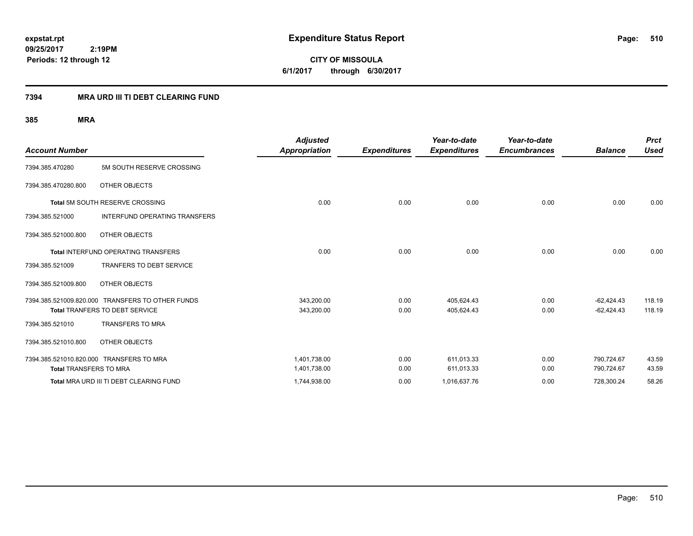**CITY OF MISSOULA 6/1/2017 through 6/30/2017**

### **7394 MRA URD III TI DEBT CLEARING FUND**

|                               |                                                  | <b>Adjusted</b>      |                     | Year-to-date        | Year-to-date        |                | <b>Prct</b> |
|-------------------------------|--------------------------------------------------|----------------------|---------------------|---------------------|---------------------|----------------|-------------|
| <b>Account Number</b>         |                                                  | <b>Appropriation</b> | <b>Expenditures</b> | <b>Expenditures</b> | <b>Encumbrances</b> | <b>Balance</b> | <b>Used</b> |
| 7394.385.470280               | 5M SOUTH RESERVE CROSSING                        |                      |                     |                     |                     |                |             |
| 7394.385.470280.800           | OTHER OBJECTS                                    |                      |                     |                     |                     |                |             |
|                               | Total 5M SOUTH RESERVE CROSSING                  | 0.00                 | 0.00                | 0.00                | 0.00                | 0.00           | 0.00        |
| 7394.385.521000               | INTERFUND OPERATING TRANSFERS                    |                      |                     |                     |                     |                |             |
| 7394.385.521000.800           | OTHER OBJECTS                                    |                      |                     |                     |                     |                |             |
|                               | <b>Total INTERFUND OPERATING TRANSFERS</b>       | 0.00                 | 0.00                | 0.00                | 0.00                | 0.00           | 0.00        |
| 7394.385.521009               | <b>TRANFERS TO DEBT SERVICE</b>                  |                      |                     |                     |                     |                |             |
| 7394.385.521009.800           | OTHER OBJECTS                                    |                      |                     |                     |                     |                |             |
|                               | 7394.385.521009.820.000 TRANSFERS TO OTHER FUNDS | 343,200.00           | 0.00                | 405,624.43          | 0.00                | $-62,424.43$   | 118.19      |
|                               | Total TRANFERS TO DEBT SERVICE                   | 343,200.00           | 0.00                | 405,624.43          | 0.00                | $-62,424.43$   | 118.19      |
| 7394.385.521010               | <b>TRANSFERS TO MRA</b>                          |                      |                     |                     |                     |                |             |
| 7394.385.521010.800           | OTHER OBJECTS                                    |                      |                     |                     |                     |                |             |
|                               | 7394.385.521010.820.000 TRANSFERS TO MRA         | 1,401,738.00         | 0.00                | 611,013.33          | 0.00                | 790,724.67     | 43.59       |
| <b>Total TRANSFERS TO MRA</b> |                                                  | 1,401,738.00         | 0.00                | 611,013.33          | 0.00                | 790,724.67     | 43.59       |
|                               | Total MRA URD III TI DEBT CLEARING FUND          | 1,744,938.00         | 0.00                | 1,016,637.76        | 0.00                | 728,300.24     | 58.26       |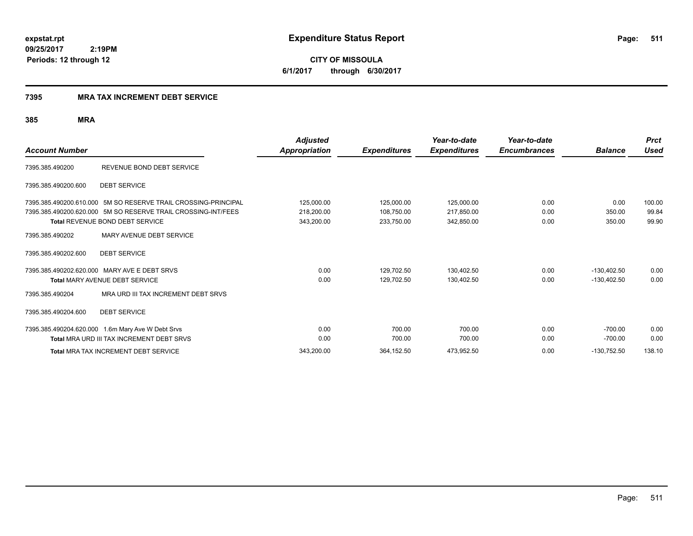**CITY OF MISSOULA 6/1/2017 through 6/30/2017**

### **7395 MRA TAX INCREMENT DEBT SERVICE**

| <b>Account Number</b>                      |                                                                                                                                                                           | <b>Adjusted</b><br><b>Appropriation</b> | <b>Expenditures</b>                    | Year-to-date<br><b>Expenditures</b>    | Year-to-date<br><b>Encumbrances</b> | <b>Balance</b>                 | <b>Prct</b><br><b>Used</b> |
|--------------------------------------------|---------------------------------------------------------------------------------------------------------------------------------------------------------------------------|-----------------------------------------|----------------------------------------|----------------------------------------|-------------------------------------|--------------------------------|----------------------------|
| 7395.385.490200                            | REVENUE BOND DEBT SERVICE                                                                                                                                                 |                                         |                                        |                                        |                                     |                                |                            |
| 7395.385.490200.600                        | <b>DEBT SERVICE</b>                                                                                                                                                       |                                         |                                        |                                        |                                     |                                |                            |
|                                            | 7395.385.490200.610.000 5M SO RESERVE TRAIL CROSSING-PRINCIPAL<br>7395.385.490200.620.000 5M SO RESERVE TRAIL CROSSING-INT/FEES<br><b>Total REVENUE BOND DEBT SERVICE</b> | 125,000.00<br>218,200.00<br>343,200.00  | 125,000.00<br>108,750.00<br>233,750.00 | 125,000.00<br>217,850.00<br>342,850.00 | 0.00<br>0.00<br>0.00                | 0.00<br>350.00<br>350.00       | 100.00<br>99.84<br>99.90   |
| 7395.385.490202                            | MARY AVENUE DEBT SERVICE                                                                                                                                                  |                                         |                                        |                                        |                                     |                                |                            |
| 7395.385.490202.600                        | <b>DEBT SERVICE</b>                                                                                                                                                       |                                         |                                        |                                        |                                     |                                |                            |
| 7395.385.490202.620.000<br>7395.385.490204 | MARY AVE E DEBT SRVS<br><b>Total MARY AVENUE DEBT SERVICE</b><br>MRA URD III TAX INCREMENT DEBT SRVS                                                                      | 0.00<br>0.00                            | 129,702.50<br>129,702.50               | 130,402.50<br>130,402.50               | 0.00<br>0.00                        | $-130.402.50$<br>$-130.402.50$ | 0.00<br>0.00               |
| 7395.385.490204.600                        | <b>DEBT SERVICE</b>                                                                                                                                                       |                                         |                                        |                                        |                                     |                                |                            |
|                                            | 7395.385.490204.620.000 1.6m Mary Ave W Debt Srvs<br><b>Total MRA URD III TAX INCREMENT DEBT SRVS</b>                                                                     | 0.00<br>0.00                            | 700.00<br>700.00                       | 700.00<br>700.00                       | 0.00<br>0.00                        | $-700.00$<br>$-700.00$         | 0.00<br>0.00               |
|                                            | <b>Total MRA TAX INCREMENT DEBT SERVICE</b>                                                                                                                               | 343,200.00                              | 364,152.50                             | 473,952.50                             | 0.00                                | $-130,752.50$                  | 138.10                     |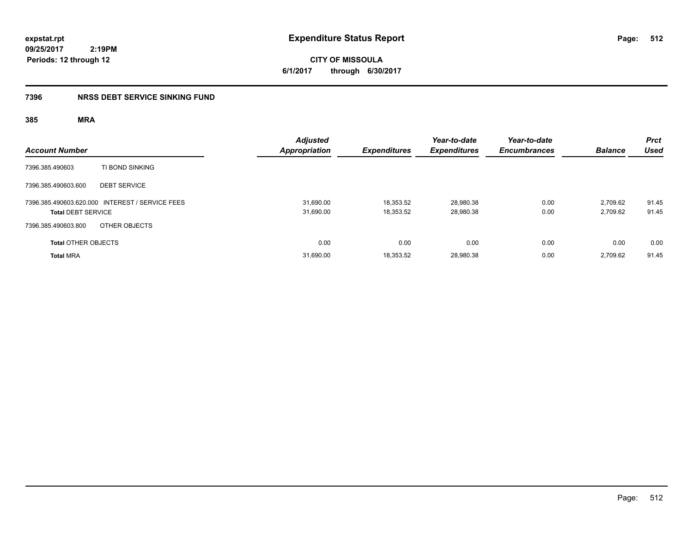**CITY OF MISSOULA 6/1/2017 through 6/30/2017**

### **7396 NRSS DEBT SERVICE SINKING FUND**

| <b>Account Number</b>                                                        | <b>Adjusted</b><br>Appropriation | <b>Expenditures</b>    | Year-to-date<br><b>Expenditures</b> | Year-to-date<br><b>Encumbrances</b> | <b>Balance</b>       | <b>Prct</b><br><b>Used</b> |
|------------------------------------------------------------------------------|----------------------------------|------------------------|-------------------------------------|-------------------------------------|----------------------|----------------------------|
| TI BOND SINKING<br>7396.385.490603                                           |                                  |                        |                                     |                                     |                      |                            |
| 7396.385.490603.600<br><b>DEBT SERVICE</b>                                   |                                  |                        |                                     |                                     |                      |                            |
| 7396.385.490603.620.000 INTEREST / SERVICE FEES<br><b>Total DEBT SERVICE</b> | 31,690.00<br>31,690.00           | 18,353.52<br>18,353.52 | 28,980.38<br>28,980.38              | 0.00<br>0.00                        | 2,709.62<br>2,709.62 | 91.45<br>91.45             |
| OTHER OBJECTS<br>7396.385.490603.800                                         |                                  |                        |                                     |                                     |                      |                            |
| <b>Total OTHER OBJECTS</b>                                                   | 0.00                             | 0.00                   | 0.00                                | 0.00                                | 0.00                 | 0.00                       |
| <b>Total MRA</b>                                                             | 31,690.00                        | 18.353.52              | 28,980.38                           | 0.00                                | 2.709.62             | 91.45                      |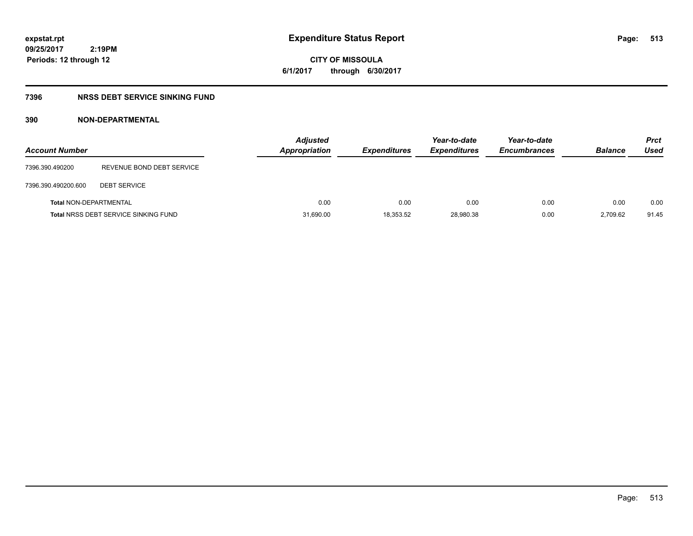# **CITY OF MISSOULA 6/1/2017 through 6/30/2017**

### **7396 NRSS DEBT SERVICE SINKING FUND**

### **390 NON-DEPARTMENTAL**

| <b>Account Number</b>         |                                             | <b>Adjusted</b><br>Appropriation | <b>Expenditures</b> | Year-to-date<br><b>Expenditures</b> | Year-to-date<br><b>Encumbrances</b> | <b>Balance</b> | <b>Prct</b><br>Used |
|-------------------------------|---------------------------------------------|----------------------------------|---------------------|-------------------------------------|-------------------------------------|----------------|---------------------|
| 7396.390.490200               | REVENUE BOND DEBT SERVICE                   |                                  |                     |                                     |                                     |                |                     |
| 7396.390.490200.600           | <b>DEBT SERVICE</b>                         |                                  |                     |                                     |                                     |                |                     |
| <b>Total NON-DEPARTMENTAL</b> |                                             | 0.00                             | 0.00                | 0.00                                | 0.00                                | 0.00           | 0.00                |
|                               | <b>Total NRSS DEBT SERVICE SINKING FUND</b> | 31,690.00                        | 18,353.52           | 28,980.38                           | 0.00                                | 2.709.62       | 91.45               |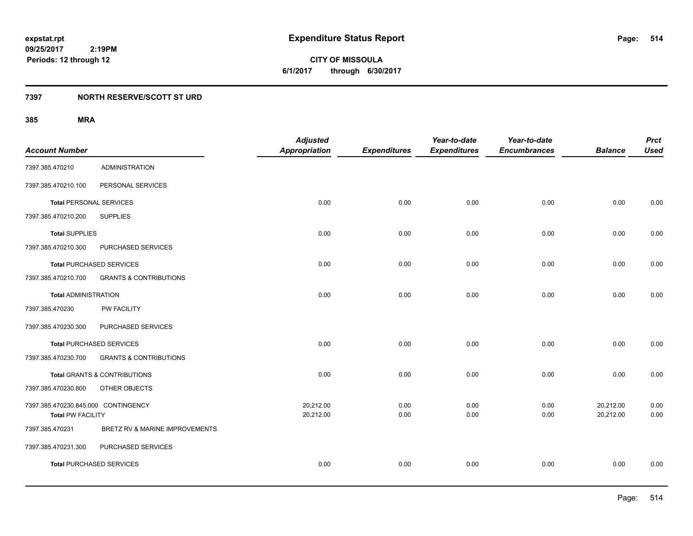**CITY OF MISSOULA 6/1/2017 through 6/30/2017**

### **7397 NORTH RESERVE/SCOTT ST URD**

|                                     |                                         | <b>Adjusted</b>      |                     | Year-to-date        | Year-to-date        |                | <b>Prct</b> |
|-------------------------------------|-----------------------------------------|----------------------|---------------------|---------------------|---------------------|----------------|-------------|
| <b>Account Number</b>               |                                         | <b>Appropriation</b> | <b>Expenditures</b> | <b>Expenditures</b> | <b>Encumbrances</b> | <b>Balance</b> | <b>Used</b> |
| 7397.385.470210                     | <b>ADMINISTRATION</b>                   |                      |                     |                     |                     |                |             |
| 7397.385.470210.100                 | PERSONAL SERVICES                       |                      |                     |                     |                     |                |             |
|                                     | <b>Total PERSONAL SERVICES</b>          | 0.00                 | 0.00                | 0.00                | 0.00                | 0.00           | 0.00        |
| 7397.385.470210.200                 | <b>SUPPLIES</b>                         |                      |                     |                     |                     |                |             |
| <b>Total SUPPLIES</b>               |                                         | 0.00                 | 0.00                | 0.00                | 0.00                | 0.00           | 0.00        |
| 7397.385.470210.300                 | PURCHASED SERVICES                      |                      |                     |                     |                     |                |             |
|                                     | <b>Total PURCHASED SERVICES</b>         | 0.00                 | 0.00                | 0.00                | 0.00                | 0.00           | 0.00        |
| 7397.385.470210.700                 | <b>GRANTS &amp; CONTRIBUTIONS</b>       |                      |                     |                     |                     |                |             |
| <b>Total ADMINISTRATION</b>         |                                         | 0.00                 | 0.00                | 0.00                | 0.00                | 0.00           | 0.00        |
| 7397.385.470230                     | <b>PW FACILITY</b>                      |                      |                     |                     |                     |                |             |
| 7397.385.470230.300                 | PURCHASED SERVICES                      |                      |                     |                     |                     |                |             |
|                                     | <b>Total PURCHASED SERVICES</b>         | 0.00                 | 0.00                | 0.00                | 0.00                | 0.00           | 0.00        |
| 7397.385.470230.700                 | <b>GRANTS &amp; CONTRIBUTIONS</b>       |                      |                     |                     |                     |                |             |
|                                     | <b>Total GRANTS &amp; CONTRIBUTIONS</b> | 0.00                 | 0.00                | 0.00                | 0.00                | 0.00           | 0.00        |
| 7397.385.470230.800                 | OTHER OBJECTS                           |                      |                     |                     |                     |                |             |
| 7397.385.470230.845.000 CONTINGENCY |                                         | 20,212.00            | 0.00                | 0.00                | 0.00                | 20,212.00      | 0.00        |
| <b>Total PW FACILITY</b>            |                                         | 20,212.00            | 0.00                | 0.00                | 0.00                | 20,212.00      | 0.00        |
| 7397.385.470231                     | BRETZ RV & MARINE IMPROVEMENTS          |                      |                     |                     |                     |                |             |
| 7397.385.470231.300                 | PURCHASED SERVICES                      |                      |                     |                     |                     |                |             |
|                                     | <b>Total PURCHASED SERVICES</b>         | 0.00                 | 0.00                | 0.00                | 0.00                | 0.00           | 0.00        |
|                                     |                                         |                      |                     |                     |                     |                |             |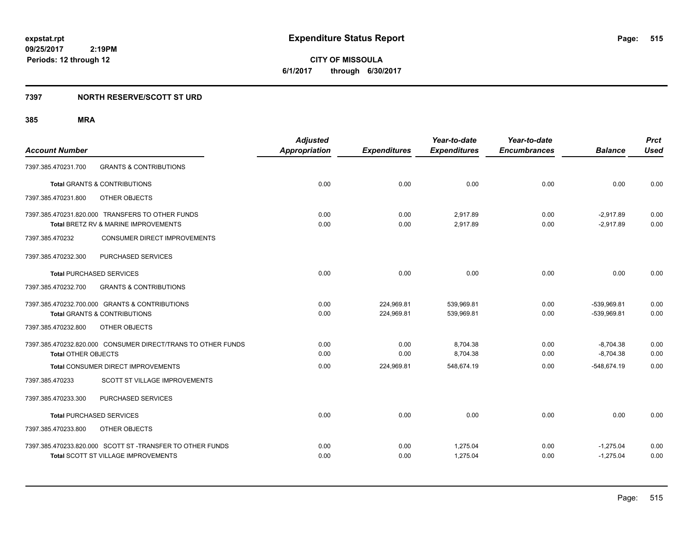**CITY OF MISSOULA 6/1/2017 through 6/30/2017**

### **7397 NORTH RESERVE/SCOTT ST URD**

|                                                              | <b>Adjusted</b>      |                     | Year-to-date        | Year-to-date        |                | <b>Prct</b> |
|--------------------------------------------------------------|----------------------|---------------------|---------------------|---------------------|----------------|-------------|
| <b>Account Number</b>                                        | <b>Appropriation</b> | <b>Expenditures</b> | <b>Expenditures</b> | <b>Encumbrances</b> | <b>Balance</b> | <b>Used</b> |
| <b>GRANTS &amp; CONTRIBUTIONS</b><br>7397.385.470231.700     |                      |                     |                     |                     |                |             |
| <b>Total GRANTS &amp; CONTRIBUTIONS</b>                      | 0.00                 | 0.00                | 0.00                | 0.00                | 0.00           | 0.00        |
| 7397.385.470231.800<br>OTHER OBJECTS                         |                      |                     |                     |                     |                |             |
| 7397.385.470231.820.000 TRANSFERS TO OTHER FUNDS             | 0.00                 | 0.00                | 2.917.89            | 0.00                | $-2.917.89$    | 0.00        |
| Total BRETZ RV & MARINE IMPROVEMENTS                         | 0.00                 | 0.00                | 2,917.89            | 0.00                | $-2,917.89$    | 0.00        |
| 7397.385.470232<br><b>CONSUMER DIRECT IMPROVEMENTS</b>       |                      |                     |                     |                     |                |             |
| PURCHASED SERVICES<br>7397.385.470232.300                    |                      |                     |                     |                     |                |             |
| <b>Total PURCHASED SERVICES</b>                              | 0.00                 | 0.00                | 0.00                | 0.00                | 0.00           | 0.00        |
| 7397.385.470232.700<br><b>GRANTS &amp; CONTRIBUTIONS</b>     |                      |                     |                     |                     |                |             |
| 7397.385.470232.700.000 GRANTS & CONTRIBUTIONS               | 0.00                 | 224,969.81          | 539,969.81          | 0.00                | -539,969.81    | 0.00        |
| <b>Total GRANTS &amp; CONTRIBUTIONS</b>                      | 0.00                 | 224,969.81          | 539,969.81          | 0.00                | -539,969.81    | 0.00        |
| 7397.385.470232.800<br>OTHER OBJECTS                         |                      |                     |                     |                     |                |             |
| 7397.385.470232.820.000 CONSUMER DIRECT/TRANS TO OTHER FUNDS | 0.00                 | 0.00                | 8,704.38            | 0.00                | $-8,704.38$    | 0.00        |
| <b>Total OTHER OBJECTS</b>                                   | 0.00                 | 0.00                | 8,704.38            | 0.00                | $-8,704.38$    | 0.00        |
| Total CONSUMER DIRECT IMPROVEMENTS                           | 0.00                 | 224,969.81          | 548,674.19          | 0.00                | $-548,674.19$  | 0.00        |
| SCOTT ST VILLAGE IMPROVEMENTS<br>7397.385.470233             |                      |                     |                     |                     |                |             |
| PURCHASED SERVICES<br>7397.385.470233.300                    |                      |                     |                     |                     |                |             |
| <b>Total PURCHASED SERVICES</b>                              | 0.00                 | 0.00                | 0.00                | 0.00                | 0.00           | 0.00        |
| 7397.385.470233.800<br>OTHER OBJECTS                         |                      |                     |                     |                     |                |             |
| 7397.385.470233.820.000 SCOTT ST -TRANSFER TO OTHER FUNDS    | 0.00                 | 0.00                | 1,275.04            | 0.00                | $-1,275.04$    | 0.00        |
| <b>Total SCOTT ST VILLAGE IMPROVEMENTS</b>                   | 0.00                 | 0.00                | 1,275.04            | 0.00                | $-1,275.04$    | 0.00        |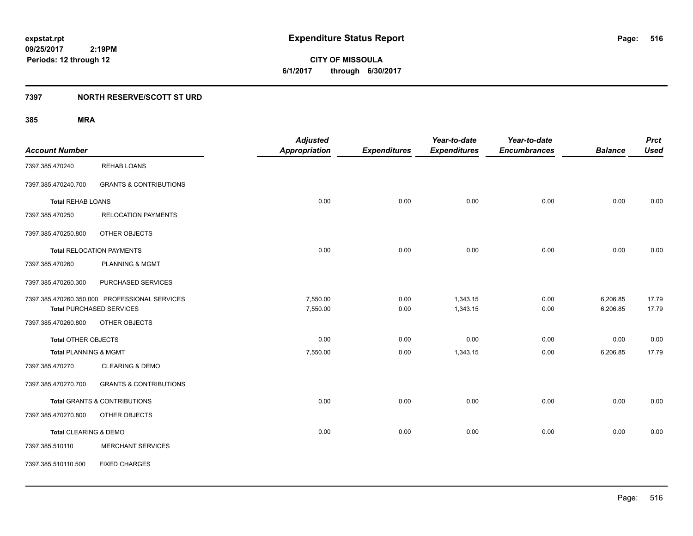**CITY OF MISSOULA 6/1/2017 through 6/30/2017**

### **7397 NORTH RESERVE/SCOTT ST URD**

|                          |                                               | <b>Adjusted</b>      |                     | Year-to-date        | Year-to-date        |                | <b>Prct</b> |
|--------------------------|-----------------------------------------------|----------------------|---------------------|---------------------|---------------------|----------------|-------------|
| <b>Account Number</b>    |                                               | <b>Appropriation</b> | <b>Expenditures</b> | <b>Expenditures</b> | <b>Encumbrances</b> | <b>Balance</b> | <b>Used</b> |
| 7397.385.470240          | <b>REHAB LOANS</b>                            |                      |                     |                     |                     |                |             |
| 7397.385.470240.700      | <b>GRANTS &amp; CONTRIBUTIONS</b>             |                      |                     |                     |                     |                |             |
| <b>Total REHAB LOANS</b> |                                               | 0.00                 | 0.00                | 0.00                | 0.00                | 0.00           | 0.00        |
| 7397.385.470250          | <b>RELOCATION PAYMENTS</b>                    |                      |                     |                     |                     |                |             |
| 7397.385.470250.800      | OTHER OBJECTS                                 |                      |                     |                     |                     |                |             |
|                          | <b>Total RELOCATION PAYMENTS</b>              | 0.00                 | 0.00                | 0.00                | 0.00                | 0.00           | 0.00        |
| 7397.385.470260          | <b>PLANNING &amp; MGMT</b>                    |                      |                     |                     |                     |                |             |
| 7397.385.470260.300      | PURCHASED SERVICES                            |                      |                     |                     |                     |                |             |
|                          | 7397.385.470260.350.000 PROFESSIONAL SERVICES | 7,550.00             | 0.00                | 1,343.15            | 0.00                | 6,206.85       | 17.79       |
|                          | <b>Total PURCHASED SERVICES</b>               | 7,550.00             | 0.00                | 1,343.15            | 0.00                | 6,206.85       | 17.79       |
| 7397.385.470260.800      | OTHER OBJECTS                                 |                      |                     |                     |                     |                |             |
| Total OTHER OBJECTS      |                                               | 0.00                 | 0.00                | 0.00                | 0.00                | 0.00           | 0.00        |
| Total PLANNING & MGMT    |                                               | 7,550.00             | 0.00                | 1,343.15            | 0.00                | 6,206.85       | 17.79       |
| 7397.385.470270          | <b>CLEARING &amp; DEMO</b>                    |                      |                     |                     |                     |                |             |
| 7397.385.470270.700      | <b>GRANTS &amp; CONTRIBUTIONS</b>             |                      |                     |                     |                     |                |             |
|                          | Total GRANTS & CONTRIBUTIONS                  | 0.00                 | 0.00                | 0.00                | 0.00                | 0.00           | 0.00        |
| 7397.385.470270.800      | OTHER OBJECTS                                 |                      |                     |                     |                     |                |             |
| Total CLEARING & DEMO    |                                               | 0.00                 | 0.00                | 0.00                | 0.00                | 0.00           | 0.00        |
| 7397.385.510110          | <b>MERCHANT SERVICES</b>                      |                      |                     |                     |                     |                |             |
| 7397.385.510110.500      | <b>FIXED CHARGES</b>                          |                      |                     |                     |                     |                |             |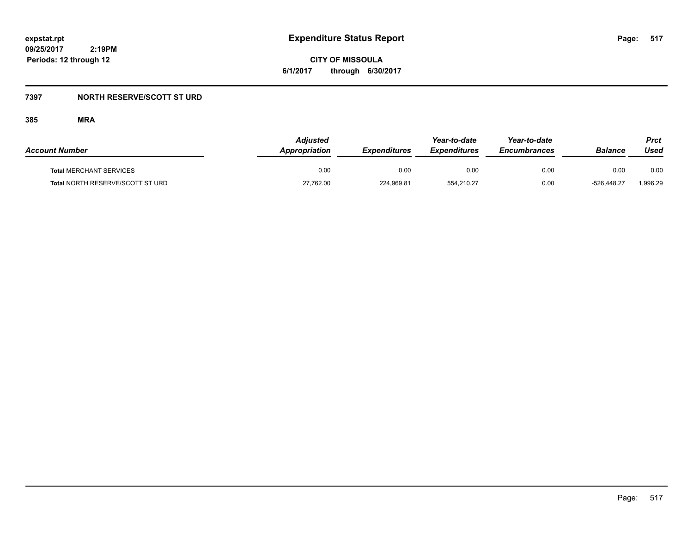**CITY OF MISSOULA 6/1/2017 through 6/30/2017**

### **7397 NORTH RESERVE/SCOTT ST URD**

| <b>Account Number</b>            | Adjusted<br>Appropriation | <b>Expenditures</b> | Year-to-date<br><b>Expenditures</b> | Year-to-date<br><b>Encumbrances</b> | Balance     | Prct<br>Used |
|----------------------------------|---------------------------|---------------------|-------------------------------------|-------------------------------------|-------------|--------------|
| <b>Total MERCHANT SERVICES</b>   | 0.00                      | 0.00                | 0.00                                | 0.00                                | 0.00        | 0.00         |
| Total NORTH RESERVE/SCOTT ST URD | 27,762.00                 | 224,969.81          | 554,210.27                          | 0.00                                | -526.448.27 | 1,996.29     |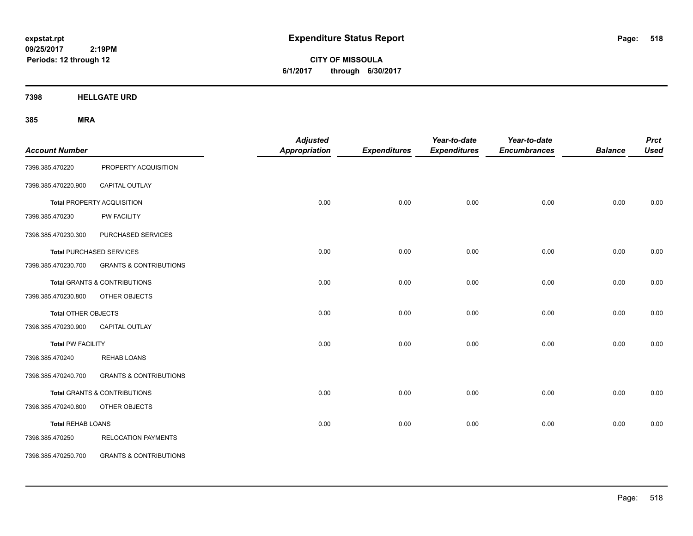**CITY OF MISSOULA 6/1/2017 through 6/30/2017**

**7398 HELLGATE URD**

| <b>Account Number</b>    |                                         | <b>Adjusted</b><br><b>Appropriation</b> | <b>Expenditures</b> | Year-to-date<br><b>Expenditures</b> | Year-to-date<br><b>Encumbrances</b> | <b>Balance</b> | <b>Prct</b><br><b>Used</b> |
|--------------------------|-----------------------------------------|-----------------------------------------|---------------------|-------------------------------------|-------------------------------------|----------------|----------------------------|
| 7398.385.470220          | PROPERTY ACQUISITION                    |                                         |                     |                                     |                                     |                |                            |
| 7398.385.470220.900      | CAPITAL OUTLAY                          |                                         |                     |                                     |                                     |                |                            |
|                          | <b>Total PROPERTY ACQUISITION</b>       | 0.00                                    | 0.00                | 0.00                                | 0.00                                | 0.00           | 0.00                       |
| 7398.385.470230          | <b>PW FACILITY</b>                      |                                         |                     |                                     |                                     |                |                            |
| 7398.385.470230.300      | PURCHASED SERVICES                      |                                         |                     |                                     |                                     |                |                            |
|                          | <b>Total PURCHASED SERVICES</b>         | 0.00                                    | 0.00                | 0.00                                | 0.00                                | 0.00           | 0.00                       |
| 7398.385.470230.700      | <b>GRANTS &amp; CONTRIBUTIONS</b>       |                                         |                     |                                     |                                     |                |                            |
|                          | <b>Total GRANTS &amp; CONTRIBUTIONS</b> | 0.00                                    | 0.00                | 0.00                                | 0.00                                | 0.00           | 0.00                       |
| 7398.385.470230.800      | OTHER OBJECTS                           |                                         |                     |                                     |                                     |                |                            |
| Total OTHER OBJECTS      |                                         | 0.00                                    | 0.00                | 0.00                                | 0.00                                | 0.00           | 0.00                       |
| 7398.385.470230.900      | CAPITAL OUTLAY                          |                                         |                     |                                     |                                     |                |                            |
| <b>Total PW FACILITY</b> |                                         | 0.00                                    | 0.00                | 0.00                                | 0.00                                | 0.00           | 0.00                       |
| 7398.385.470240          | <b>REHAB LOANS</b>                      |                                         |                     |                                     |                                     |                |                            |
| 7398.385.470240.700      | <b>GRANTS &amp; CONTRIBUTIONS</b>       |                                         |                     |                                     |                                     |                |                            |
|                          | Total GRANTS & CONTRIBUTIONS            | 0.00                                    | 0.00                | 0.00                                | 0.00                                | 0.00           | 0.00                       |
| 7398.385.470240.800      | OTHER OBJECTS                           |                                         |                     |                                     |                                     |                |                            |
| <b>Total REHAB LOANS</b> |                                         | 0.00                                    | 0.00                | 0.00                                | 0.00                                | 0.00           | 0.00                       |
| 7398.385.470250          | <b>RELOCATION PAYMENTS</b>              |                                         |                     |                                     |                                     |                |                            |
| 7398.385.470250.700      | <b>GRANTS &amp; CONTRIBUTIONS</b>       |                                         |                     |                                     |                                     |                |                            |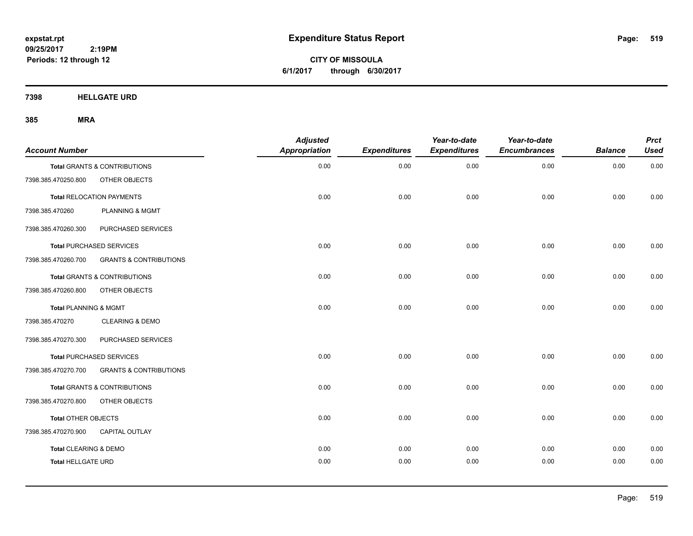**CITY OF MISSOULA 6/1/2017 through 6/30/2017**

**7398 HELLGATE URD**

| <b>Account Number</b>            |                                         | <b>Adjusted</b><br><b>Appropriation</b> | <b>Expenditures</b> | Year-to-date<br><b>Expenditures</b> | Year-to-date<br><b>Encumbrances</b> | <b>Balance</b> | <b>Prct</b><br><b>Used</b> |
|----------------------------------|-----------------------------------------|-----------------------------------------|---------------------|-------------------------------------|-------------------------------------|----------------|----------------------------|
|                                  | <b>Total GRANTS &amp; CONTRIBUTIONS</b> | 0.00                                    | 0.00                | 0.00                                | 0.00                                | 0.00           | 0.00                       |
| 7398.385.470250.800              | OTHER OBJECTS                           |                                         |                     |                                     |                                     |                |                            |
|                                  | <b>Total RELOCATION PAYMENTS</b>        | 0.00                                    | 0.00                | 0.00                                | 0.00                                | 0.00           | 0.00                       |
| 7398.385.470260                  | PLANNING & MGMT                         |                                         |                     |                                     |                                     |                |                            |
| 7398.385.470260.300              | PURCHASED SERVICES                      |                                         |                     |                                     |                                     |                |                            |
|                                  | <b>Total PURCHASED SERVICES</b>         | 0.00                                    | 0.00                | 0.00                                | 0.00                                | 0.00           | 0.00                       |
| 7398.385.470260.700              | <b>GRANTS &amp; CONTRIBUTIONS</b>       |                                         |                     |                                     |                                     |                |                            |
|                                  | <b>Total GRANTS &amp; CONTRIBUTIONS</b> | 0.00                                    | 0.00                | 0.00                                | 0.00                                | 0.00           | 0.00                       |
| 7398.385.470260.800              | OTHER OBJECTS                           |                                         |                     |                                     |                                     |                |                            |
| <b>Total PLANNING &amp; MGMT</b> |                                         | 0.00                                    | 0.00                | 0.00                                | 0.00                                | 0.00           | 0.00                       |
| 7398.385.470270                  | <b>CLEARING &amp; DEMO</b>              |                                         |                     |                                     |                                     |                |                            |
| 7398.385.470270.300              | PURCHASED SERVICES                      |                                         |                     |                                     |                                     |                |                            |
|                                  | <b>Total PURCHASED SERVICES</b>         | 0.00                                    | 0.00                | 0.00                                | 0.00                                | 0.00           | 0.00                       |
| 7398.385.470270.700              | <b>GRANTS &amp; CONTRIBUTIONS</b>       |                                         |                     |                                     |                                     |                |                            |
|                                  | <b>Total GRANTS &amp; CONTRIBUTIONS</b> | 0.00                                    | 0.00                | 0.00                                | 0.00                                | 0.00           | 0.00                       |
| 7398.385.470270.800              | OTHER OBJECTS                           |                                         |                     |                                     |                                     |                |                            |
| Total OTHER OBJECTS              |                                         | 0.00                                    | 0.00                | 0.00                                | 0.00                                | 0.00           | 0.00                       |
| 7398.385.470270.900              | <b>CAPITAL OUTLAY</b>                   |                                         |                     |                                     |                                     |                |                            |
| <b>Total CLEARING &amp; DEMO</b> |                                         | 0.00                                    | 0.00                | 0.00                                | 0.00                                | 0.00           | 0.00                       |
| <b>Total HELLGATE URD</b>        |                                         | 0.00                                    | 0.00                | 0.00                                | 0.00                                | 0.00           | 0.00                       |
|                                  |                                         |                                         |                     |                                     |                                     |                |                            |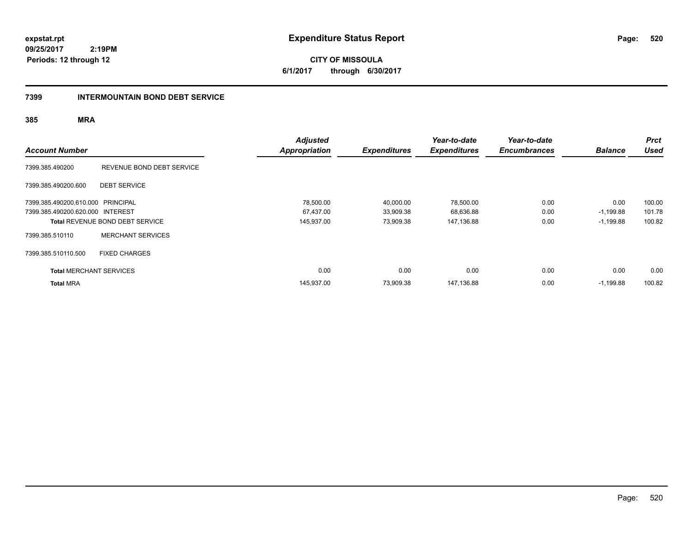**CITY OF MISSOULA 6/1/2017 through 6/30/2017**

### **7399 INTERMOUNTAIN BOND DEBT SERVICE**

| <b>Account Number</b>             |                                        | <b>Adjusted</b><br><b>Appropriation</b> | <b>Expenditures</b> | Year-to-date<br><b>Expenditures</b> | Year-to-date<br><b>Encumbrances</b> | <b>Balance</b> | <b>Prct</b><br><b>Used</b> |
|-----------------------------------|----------------------------------------|-----------------------------------------|---------------------|-------------------------------------|-------------------------------------|----------------|----------------------------|
| 7399.385.490200                   | REVENUE BOND DEBT SERVICE              |                                         |                     |                                     |                                     |                |                            |
| 7399.385.490200.600               | <b>DEBT SERVICE</b>                    |                                         |                     |                                     |                                     |                |                            |
| 7399.385.490200.610.000 PRINCIPAL |                                        | 78,500.00                               | 40,000.00           | 78,500.00                           | 0.00                                | 0.00           | 100.00                     |
| 7399.385.490200.620.000 INTEREST  |                                        | 67,437.00                               | 33,909.38           | 68,636.88                           | 0.00                                | $-1,199.88$    | 101.78                     |
|                                   | <b>Total REVENUE BOND DEBT SERVICE</b> | 145,937.00                              | 73,909.38           | 147,136.88                          | 0.00                                | $-1,199.88$    | 100.82                     |
| 7399.385.510110                   | <b>MERCHANT SERVICES</b>               |                                         |                     |                                     |                                     |                |                            |
| 7399.385.510110.500               | <b>FIXED CHARGES</b>                   |                                         |                     |                                     |                                     |                |                            |
| <b>Total MERCHANT SERVICES</b>    |                                        | 0.00                                    | 0.00                | 0.00                                | 0.00                                | 0.00           | 0.00                       |
| <b>Total MRA</b>                  |                                        | 145,937.00                              | 73,909.38           | 147,136.88                          | 0.00                                | $-1,199.88$    | 100.82                     |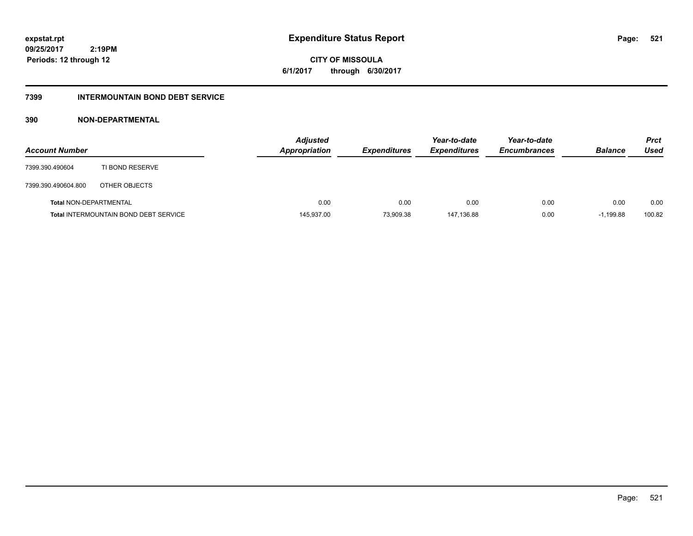**521**

**09/25/2017 2:19PM Periods: 12 through 12**

**CITY OF MISSOULA 6/1/2017 through 6/30/2017**

### **7399 INTERMOUNTAIN BOND DEBT SERVICE**

### **390 NON-DEPARTMENTAL**

| <b>Account Number</b>         |                                              | <b>Adjusted</b><br><b>Appropriation</b> | <b>Expenditures</b> | Year-to-date<br><b>Expenditures</b> | Year-to-date<br><b>Encumbrances</b> | <b>Balance</b> | <b>Prct</b><br>Used |
|-------------------------------|----------------------------------------------|-----------------------------------------|---------------------|-------------------------------------|-------------------------------------|----------------|---------------------|
| 7399.390.490604               | TI BOND RESERVE                              |                                         |                     |                                     |                                     |                |                     |
| 7399.390.490604.800           | OTHER OBJECTS                                |                                         |                     |                                     |                                     |                |                     |
| <b>Total NON-DEPARTMENTAL</b> |                                              | 0.00                                    | 0.00                | 0.00                                | 0.00                                | 0.00           | 0.00                |
|                               | <b>Total INTERMOUNTAIN BOND DEBT SERVICE</b> | 145,937.00                              | 73,909.38           | 147,136.88                          | 0.00                                | $-1,199.88$    | 100.82              |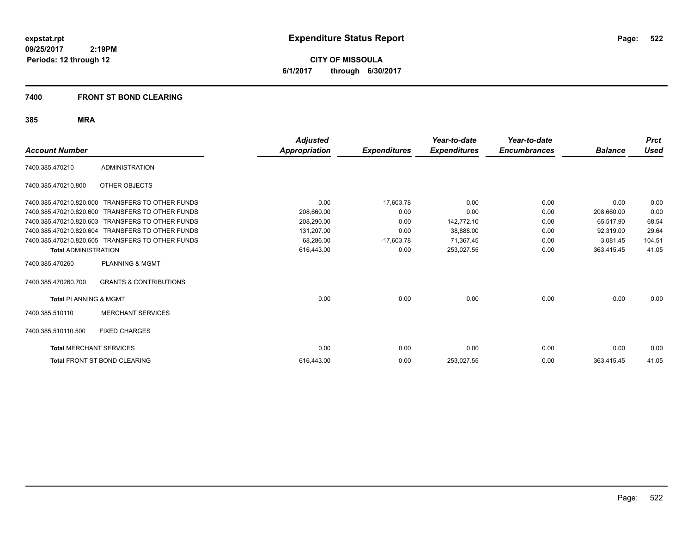**CITY OF MISSOULA 6/1/2017 through 6/30/2017**

### **7400 FRONT ST BOND CLEARING**

|                                  |                                                  | <b>Adjusted</b>      |                     | Year-to-date        | Year-to-date        |                | <b>Prct</b> |
|----------------------------------|--------------------------------------------------|----------------------|---------------------|---------------------|---------------------|----------------|-------------|
| <b>Account Number</b>            |                                                  | <b>Appropriation</b> | <b>Expenditures</b> | <b>Expenditures</b> | <b>Encumbrances</b> | <b>Balance</b> | Used        |
| 7400.385.470210                  | <b>ADMINISTRATION</b>                            |                      |                     |                     |                     |                |             |
| 7400.385.470210.800              | OTHER OBJECTS                                    |                      |                     |                     |                     |                |             |
| 7400.385.470210.820.000          | <b>TRANSFERS TO OTHER FUNDS</b>                  | 0.00                 | 17,603.78           | 0.00                | 0.00                | 0.00           | 0.00        |
| 7400.385.470210.820.600          | <b>TRANSFERS TO OTHER FUNDS</b>                  | 208.660.00           | 0.00                | 0.00                | 0.00                | 208.660.00     | 0.00        |
| 7400.385.470210.820.603          | <b>TRANSFERS TO OTHER FUNDS</b>                  | 208,290.00           | 0.00                | 142,772.10          | 0.00                | 65,517.90      | 68.54       |
| 7400.385.470210.820.604          | <b>TRANSFERS TO OTHER FUNDS</b>                  | 131,207.00           | 0.00                | 38,888.00           | 0.00                | 92,319.00      | 29.64       |
|                                  | 7400.385.470210.820.605 TRANSFERS TO OTHER FUNDS | 68.286.00            | $-17,603.78$        | 71.367.45           | 0.00                | $-3,081.45$    | 104.51      |
| <b>Total ADMINISTRATION</b>      |                                                  | 616,443.00           | 0.00                | 253,027.55          | 0.00                | 363,415.45     | 41.05       |
| 7400.385.470260                  | <b>PLANNING &amp; MGMT</b>                       |                      |                     |                     |                     |                |             |
| 7400.385.470260.700              | <b>GRANTS &amp; CONTRIBUTIONS</b>                |                      |                     |                     |                     |                |             |
| <b>Total PLANNING &amp; MGMT</b> |                                                  | 0.00                 | 0.00                | 0.00                | 0.00                | 0.00           | 0.00        |
| 7400.385.510110                  | <b>MERCHANT SERVICES</b>                         |                      |                     |                     |                     |                |             |
| 7400.385.510110.500              | <b>FIXED CHARGES</b>                             |                      |                     |                     |                     |                |             |
| <b>Total MERCHANT SERVICES</b>   |                                                  | 0.00                 | 0.00                | 0.00                | 0.00                | 0.00           | 0.00        |
|                                  | Total FRONT ST BOND CLEARING                     | 616.443.00           | 0.00                | 253,027.55          | 0.00                | 363.415.45     | 41.05       |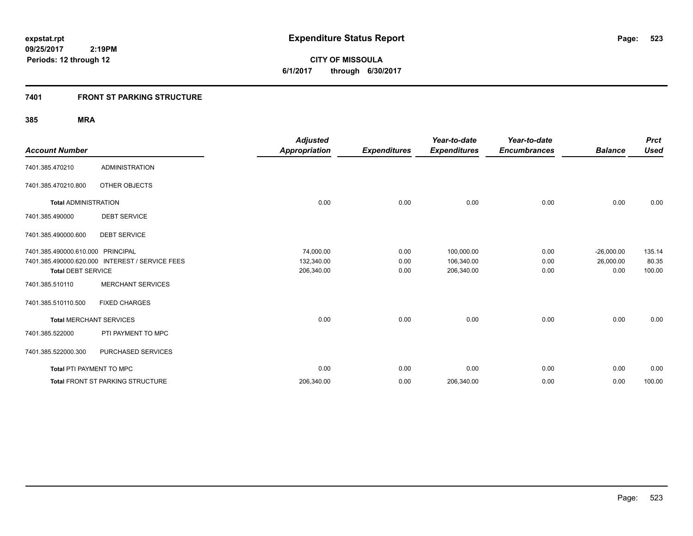**523**

**09/25/2017 2:19PM Periods: 12 through 12**

**CITY OF MISSOULA 6/1/2017 through 6/30/2017**

### **7401 FRONT ST PARKING STRUCTURE**

| <b>Account Number</b>             |                                                 | <b>Adjusted</b><br><b>Appropriation</b> | <b>Expenditures</b> | Year-to-date<br><b>Expenditures</b> | Year-to-date<br><b>Encumbrances</b> | <b>Balance</b> | <b>Prct</b><br><b>Used</b> |
|-----------------------------------|-------------------------------------------------|-----------------------------------------|---------------------|-------------------------------------|-------------------------------------|----------------|----------------------------|
| 7401.385.470210                   | <b>ADMINISTRATION</b>                           |                                         |                     |                                     |                                     |                |                            |
| 7401.385.470210.800               | OTHER OBJECTS                                   |                                         |                     |                                     |                                     |                |                            |
| <b>Total ADMINISTRATION</b>       |                                                 | 0.00                                    | 0.00                | 0.00                                | 0.00                                | 0.00           | 0.00                       |
| 7401.385.490000                   | <b>DEBT SERVICE</b>                             |                                         |                     |                                     |                                     |                |                            |
| 7401.385.490000.600               | <b>DEBT SERVICE</b>                             |                                         |                     |                                     |                                     |                |                            |
| 7401.385.490000.610.000 PRINCIPAL |                                                 | 74,000.00                               | 0.00                | 100,000.00                          | 0.00                                | $-26,000.00$   | 135.14                     |
|                                   | 7401.385.490000.620.000 INTEREST / SERVICE FEES | 132,340.00                              | 0.00                | 106,340.00                          | 0.00                                | 26,000.00      | 80.35                      |
| <b>Total DEBT SERVICE</b>         |                                                 | 206,340.00                              | 0.00                | 206,340.00                          | 0.00                                | 0.00           | 100.00                     |
| 7401.385.510110                   | <b>MERCHANT SERVICES</b>                        |                                         |                     |                                     |                                     |                |                            |
| 7401.385.510110.500               | <b>FIXED CHARGES</b>                            |                                         |                     |                                     |                                     |                |                            |
| <b>Total MERCHANT SERVICES</b>    |                                                 | 0.00                                    | 0.00                | 0.00                                | 0.00                                | 0.00           | 0.00                       |
| 7401.385.522000                   | PTI PAYMENT TO MPC                              |                                         |                     |                                     |                                     |                |                            |
| 7401.385.522000.300               | PURCHASED SERVICES                              |                                         |                     |                                     |                                     |                |                            |
| <b>Total PTI PAYMENT TO MPC</b>   |                                                 | 0.00                                    | 0.00                | 0.00                                | 0.00                                | 0.00           | 0.00                       |
|                                   | <b>Total FRONT ST PARKING STRUCTURE</b>         | 206,340.00                              | 0.00                | 206,340.00                          | 0.00                                | 0.00           | 100.00                     |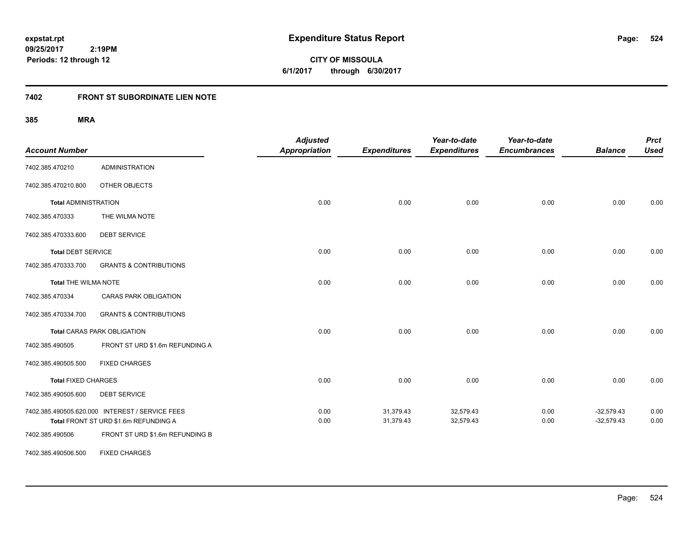**CITY OF MISSOULA 6/1/2017 through 6/30/2017**

# **7402 FRONT ST SUBORDINATE LIEN NOTE**

| <b>Account Number</b>       |                                                 | <b>Adjusted</b><br><b>Appropriation</b> | <b>Expenditures</b> | Year-to-date<br><b>Expenditures</b> | Year-to-date<br><b>Encumbrances</b> | <b>Balance</b> | <b>Prct</b><br><b>Used</b> |
|-----------------------------|-------------------------------------------------|-----------------------------------------|---------------------|-------------------------------------|-------------------------------------|----------------|----------------------------|
| 7402.385.470210             | <b>ADMINISTRATION</b>                           |                                         |                     |                                     |                                     |                |                            |
| 7402.385.470210.800         | OTHER OBJECTS                                   |                                         |                     |                                     |                                     |                |                            |
| <b>Total ADMINISTRATION</b> |                                                 | 0.00                                    | 0.00                | 0.00                                | 0.00                                | 0.00           | 0.00                       |
| 7402.385.470333             | THE WILMA NOTE                                  |                                         |                     |                                     |                                     |                |                            |
| 7402.385.470333.600         | <b>DEBT SERVICE</b>                             |                                         |                     |                                     |                                     |                |                            |
| <b>Total DEBT SERVICE</b>   |                                                 | 0.00                                    | 0.00                | 0.00                                | 0.00                                | 0.00           | 0.00                       |
| 7402.385.470333.700         | <b>GRANTS &amp; CONTRIBUTIONS</b>               |                                         |                     |                                     |                                     |                |                            |
| <b>Total THE WILMA NOTE</b> |                                                 | 0.00                                    | 0.00                | 0.00                                | 0.00                                | 0.00           | 0.00                       |
| 7402.385.470334             | <b>CARAS PARK OBLIGATION</b>                    |                                         |                     |                                     |                                     |                |                            |
| 7402.385.470334.700         | <b>GRANTS &amp; CONTRIBUTIONS</b>               |                                         |                     |                                     |                                     |                |                            |
|                             | <b>Total CARAS PARK OBLIGATION</b>              | 0.00                                    | 0.00                | 0.00                                | 0.00                                | 0.00           | 0.00                       |
| 7402.385.490505             | FRONT ST URD \$1.6m REFUNDING A                 |                                         |                     |                                     |                                     |                |                            |
| 7402.385.490505.500         | <b>FIXED CHARGES</b>                            |                                         |                     |                                     |                                     |                |                            |
| <b>Total FIXED CHARGES</b>  |                                                 | 0.00                                    | 0.00                | 0.00                                | 0.00                                | 0.00           | 0.00                       |
| 7402.385.490505.600         | <b>DEBT SERVICE</b>                             |                                         |                     |                                     |                                     |                |                            |
|                             | 7402.385.490505.620.000 INTEREST / SERVICE FEES | 0.00                                    | 31,379.43           | 32,579.43                           | 0.00                                | $-32,579.43$   | 0.00                       |
|                             | Total FRONT ST URD \$1.6m REFUNDING A           | 0.00                                    | 31,379.43           | 32,579.43                           | 0.00                                | $-32,579.43$   | 0.00                       |
| 7402.385.490506             | FRONT ST URD \$1.6m REFUNDING B                 |                                         |                     |                                     |                                     |                |                            |
| 7402.385.490506.500         | <b>FIXED CHARGES</b>                            |                                         |                     |                                     |                                     |                |                            |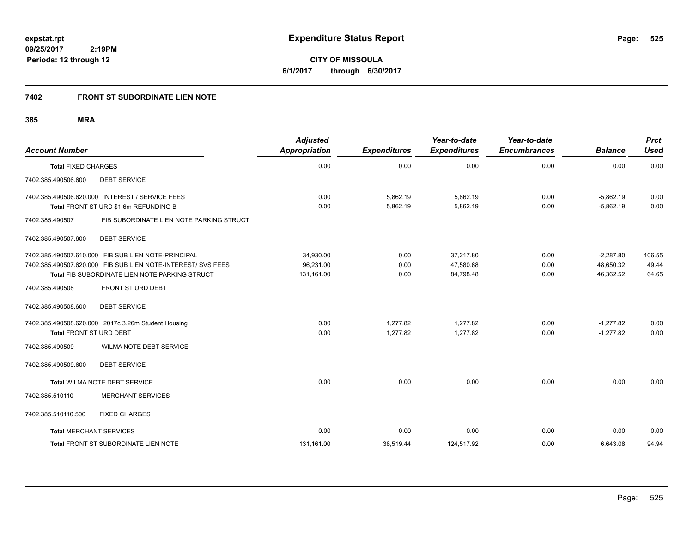**CITY OF MISSOULA 6/1/2017 through 6/30/2017**

## **7402 FRONT ST SUBORDINATE LIEN NOTE**

| <b>Account Number</b>          |                                                              | <b>Adjusted</b><br>Appropriation | <b>Expenditures</b> | Year-to-date<br><b>Expenditures</b> | Year-to-date<br><b>Encumbrances</b> | <b>Balance</b> | <b>Prct</b><br><b>Used</b> |
|--------------------------------|--------------------------------------------------------------|----------------------------------|---------------------|-------------------------------------|-------------------------------------|----------------|----------------------------|
| <b>Total FIXED CHARGES</b>     |                                                              | 0.00                             | 0.00                | 0.00                                | 0.00                                | 0.00           | 0.00                       |
| 7402.385.490506.600            | <b>DEBT SERVICE</b>                                          |                                  |                     |                                     |                                     |                |                            |
|                                | 7402.385.490506.620.000 INTEREST / SERVICE FEES              | 0.00                             | 5,862.19            | 5,862.19                            | 0.00                                | $-5,862.19$    | 0.00                       |
|                                | Total FRONT ST URD \$1.6m REFUNDING B                        | 0.00                             | 5,862.19            | 5,862.19                            | 0.00                                | $-5.862.19$    | 0.00                       |
| 7402.385.490507                | FIB SUBORDINATE LIEN NOTE PARKING STRUCT                     |                                  |                     |                                     |                                     |                |                            |
| 7402.385.490507.600            | <b>DEBT SERVICE</b>                                          |                                  |                     |                                     |                                     |                |                            |
|                                | 7402.385.490507.610.000 FIB SUB LIEN NOTE-PRINCIPAL          | 34,930.00                        | 0.00                | 37,217.80                           | 0.00                                | $-2,287.80$    | 106.55                     |
|                                | 7402.385.490507.620.000 FIB SUB LIEN NOTE-INTEREST/ SVS FEES | 96,231.00                        | 0.00                | 47,580.68                           | 0.00                                | 48,650.32      | 49.44                      |
|                                | Total FIB SUBORDINATE LIEN NOTE PARKING STRUCT               | 131,161.00                       | 0.00                | 84,798.48                           | 0.00                                | 46,362.52      | 64.65                      |
| 7402.385.490508                | FRONT ST URD DEBT                                            |                                  |                     |                                     |                                     |                |                            |
| 7402.385.490508.600            | <b>DEBT SERVICE</b>                                          |                                  |                     |                                     |                                     |                |                            |
|                                | 7402.385.490508.620.000 2017c 3.26m Student Housing          | 0.00                             | 1,277.82            | 1,277.82                            | 0.00                                | $-1,277.82$    | 0.00                       |
| <b>Total FRONT ST URD DEBT</b> |                                                              | 0.00                             | 1,277.82            | 1,277.82                            | 0.00                                | $-1,277.82$    | 0.00                       |
| 7402.385.490509                | WILMA NOTE DEBT SERVICE                                      |                                  |                     |                                     |                                     |                |                            |
| 7402.385.490509.600            | <b>DEBT SERVICE</b>                                          |                                  |                     |                                     |                                     |                |                            |
|                                | Total WILMA NOTE DEBT SERVICE                                | 0.00                             | 0.00                | 0.00                                | 0.00                                | 0.00           | 0.00                       |
| 7402.385.510110                | <b>MERCHANT SERVICES</b>                                     |                                  |                     |                                     |                                     |                |                            |
| 7402.385.510110.500            | <b>FIXED CHARGES</b>                                         |                                  |                     |                                     |                                     |                |                            |
| <b>Total MERCHANT SERVICES</b> |                                                              | 0.00                             | 0.00                | 0.00                                | 0.00                                | 0.00           | 0.00                       |
|                                | Total FRONT ST SUBORDINATE LIEN NOTE                         | 131,161.00                       | 38,519.44           | 124,517.92                          | 0.00                                | 6,643.08       | 94.94                      |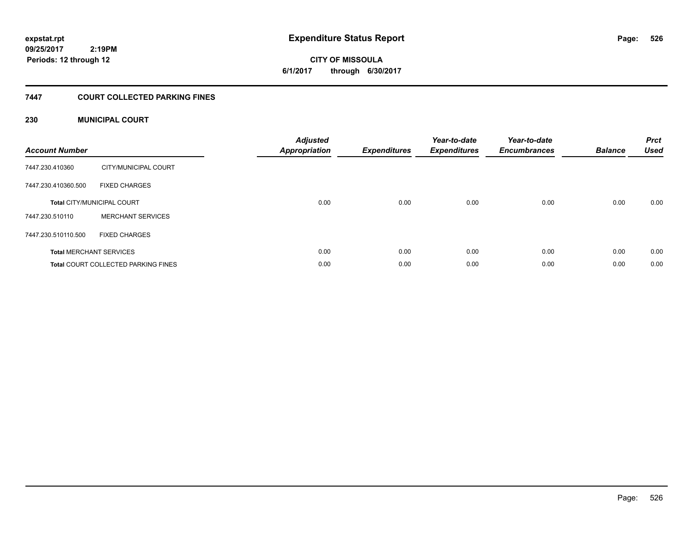# **CITY OF MISSOULA 6/1/2017 through 6/30/2017**

# **7447 COURT COLLECTED PARKING FINES**

### **230 MUNICIPAL COURT**

| <b>Account Number</b> |                                            | <b>Adjusted</b><br><b>Appropriation</b> | <b>Expenditures</b> | Year-to-date<br><b>Expenditures</b> | Year-to-date<br><b>Encumbrances</b> | <b>Balance</b> | <b>Prct</b><br><b>Used</b> |
|-----------------------|--------------------------------------------|-----------------------------------------|---------------------|-------------------------------------|-------------------------------------|----------------|----------------------------|
| 7447.230.410360       | CITY/MUNICIPAL COURT                       |                                         |                     |                                     |                                     |                |                            |
| 7447.230.410360.500   | <b>FIXED CHARGES</b>                       |                                         |                     |                                     |                                     |                |                            |
|                       | <b>Total CITY/MUNICIPAL COURT</b>          | 0.00                                    | 0.00                | 0.00                                | 0.00                                | 0.00           | 0.00                       |
| 7447.230.510110       | <b>MERCHANT SERVICES</b>                   |                                         |                     |                                     |                                     |                |                            |
| 7447.230.510110.500   | <b>FIXED CHARGES</b>                       |                                         |                     |                                     |                                     |                |                            |
|                       | <b>Total MERCHANT SERVICES</b>             | 0.00                                    | 0.00                | 0.00                                | 0.00                                | 0.00           | 0.00                       |
|                       | <b>Total COURT COLLECTED PARKING FINES</b> | 0.00                                    | 0.00                | 0.00                                | 0.00                                | 0.00           | 0.00                       |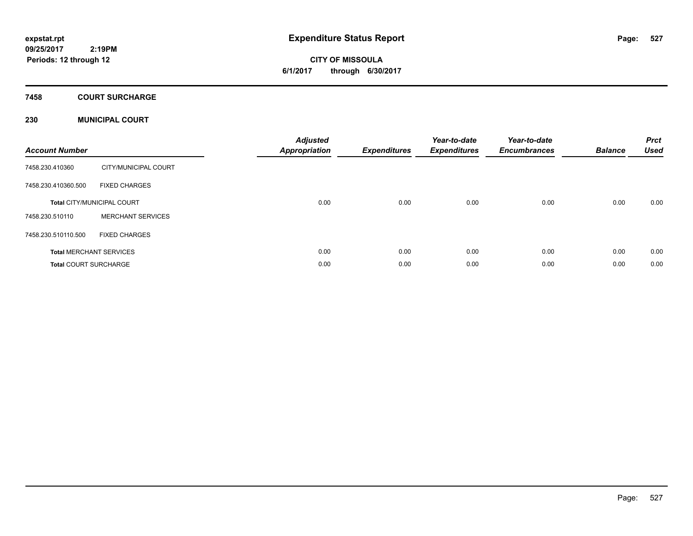# **CITY OF MISSOULA 6/1/2017 through 6/30/2017**

### **7458 COURT SURCHARGE**

### **230 MUNICIPAL COURT**

| <b>Account Number</b>        |                                   | <b>Adjusted</b><br>Appropriation | <b>Expenditures</b> | Year-to-date<br><b>Expenditures</b> | Year-to-date<br><b>Encumbrances</b> | <b>Balance</b> | <b>Prct</b><br><b>Used</b> |
|------------------------------|-----------------------------------|----------------------------------|---------------------|-------------------------------------|-------------------------------------|----------------|----------------------------|
| 7458.230.410360              | CITY/MUNICIPAL COURT              |                                  |                     |                                     |                                     |                |                            |
| 7458.230.410360.500          | <b>FIXED CHARGES</b>              |                                  |                     |                                     |                                     |                |                            |
|                              | <b>Total CITY/MUNICIPAL COURT</b> | 0.00                             | 0.00                | 0.00                                | 0.00                                | 0.00           | 0.00                       |
| 7458.230.510110              | <b>MERCHANT SERVICES</b>          |                                  |                     |                                     |                                     |                |                            |
| 7458.230.510110.500          | <b>FIXED CHARGES</b>              |                                  |                     |                                     |                                     |                |                            |
|                              | <b>Total MERCHANT SERVICES</b>    | 0.00                             | 0.00                | 0.00                                | 0.00                                | 0.00           | 0.00                       |
| <b>Total COURT SURCHARGE</b> |                                   | 0.00                             | 0.00                | 0.00                                | 0.00                                | 0.00           | 0.00                       |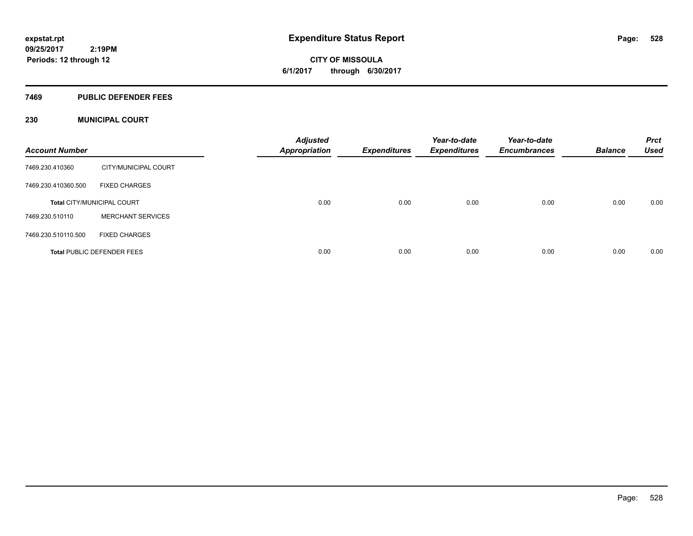**CITY OF MISSOULA 6/1/2017 through 6/30/2017**

### **7469 PUBLIC DEFENDER FEES**

### **230 MUNICIPAL COURT**

| <b>Account Number</b> |                                   | <b>Adjusted</b><br><b>Appropriation</b> | Expenditures | Year-to-date<br><b>Expenditures</b> | Year-to-date<br><b>Encumbrances</b> | <b>Balance</b> | <b>Prct</b><br><b>Used</b> |
|-----------------------|-----------------------------------|-----------------------------------------|--------------|-------------------------------------|-------------------------------------|----------------|----------------------------|
| 7469.230.410360       | CITY/MUNICIPAL COURT              |                                         |              |                                     |                                     |                |                            |
| 7469.230.410360.500   | <b>FIXED CHARGES</b>              |                                         |              |                                     |                                     |                |                            |
|                       | <b>Total CITY/MUNICIPAL COURT</b> | 0.00                                    | 0.00         | 0.00                                | 0.00                                | 0.00           | 0.00                       |
| 7469.230.510110       | <b>MERCHANT SERVICES</b>          |                                         |              |                                     |                                     |                |                            |
| 7469.230.510110.500   | <b>FIXED CHARGES</b>              |                                         |              |                                     |                                     |                |                            |
|                       | <b>Total PUBLIC DEFENDER FEES</b> | 0.00                                    | 0.00         | 0.00                                | 0.00                                | 0.00           | 0.00                       |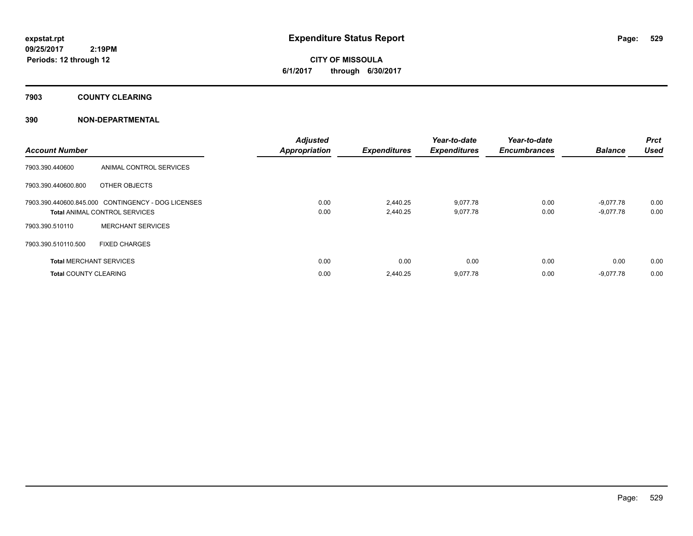**CITY OF MISSOULA 6/1/2017 through 6/30/2017**

**7903 COUNTY CLEARING**

### **390 NON-DEPARTMENTAL**

| <b>Account Number</b>                              |                                      | <b>Adjusted</b><br><b>Appropriation</b> | <b>Expenditures</b> | Year-to-date<br><b>Expenditures</b> | Year-to-date<br><b>Encumbrances</b> | <b>Balance</b> | <b>Prct</b><br><b>Used</b> |
|----------------------------------------------------|--------------------------------------|-----------------------------------------|---------------------|-------------------------------------|-------------------------------------|----------------|----------------------------|
| 7903.390.440600                                    | ANIMAL CONTROL SERVICES              |                                         |                     |                                     |                                     |                |                            |
| 7903.390.440600.800                                | OTHER OBJECTS                        |                                         |                     |                                     |                                     |                |                            |
| 7903.390.440600.845.000 CONTINGENCY - DOG LICENSES |                                      | 0.00                                    | 2,440.25            | 9,077.78                            | 0.00                                | $-9,077.78$    | 0.00                       |
|                                                    | <b>Total ANIMAL CONTROL SERVICES</b> | 0.00                                    | 2,440.25            | 9,077.78                            | 0.00                                | $-9,077.78$    | 0.00                       |
| 7903.390.510110                                    | <b>MERCHANT SERVICES</b>             |                                         |                     |                                     |                                     |                |                            |
| 7903.390.510110.500                                | <b>FIXED CHARGES</b>                 |                                         |                     |                                     |                                     |                |                            |
| <b>Total MERCHANT SERVICES</b>                     |                                      | 0.00                                    | 0.00                | 0.00                                | 0.00                                | 0.00           | 0.00                       |
| <b>Total COUNTY CLEARING</b>                       |                                      | 0.00                                    | 2.440.25            | 9,077.78                            | 0.00                                | $-9,077.78$    | 0.00                       |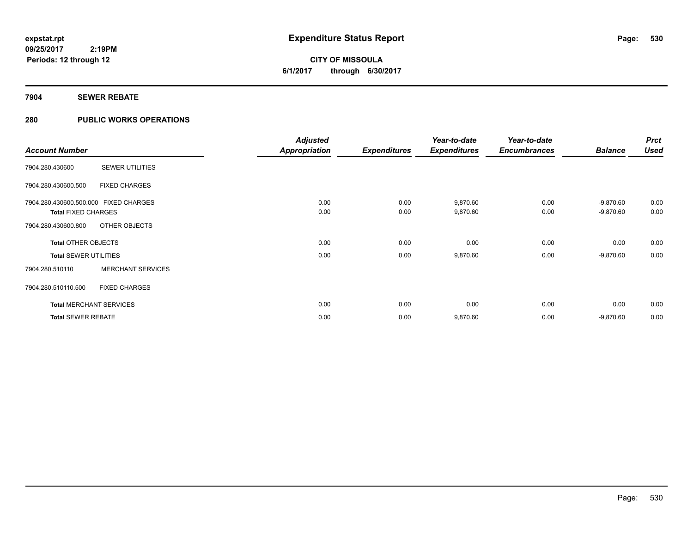# **CITY OF MISSOULA 6/1/2017 through 6/30/2017**

### **7904 SEWER REBATE**

### **280 PUBLIC WORKS OPERATIONS**

|                                       |                          | <b>Adjusted</b>      |                     | Year-to-date        | Year-to-date        |                | <b>Prct</b> |
|---------------------------------------|--------------------------|----------------------|---------------------|---------------------|---------------------|----------------|-------------|
| <b>Account Number</b>                 |                          | <b>Appropriation</b> | <b>Expenditures</b> | <b>Expenditures</b> | <b>Encumbrances</b> | <b>Balance</b> | <b>Used</b> |
| 7904.280.430600                       | <b>SEWER UTILITIES</b>   |                      |                     |                     |                     |                |             |
| 7904.280.430600.500                   | <b>FIXED CHARGES</b>     |                      |                     |                     |                     |                |             |
| 7904.280.430600.500.000 FIXED CHARGES |                          | 0.00                 | 0.00                | 9,870.60            | 0.00                | $-9,870.60$    | 0.00        |
| <b>Total FIXED CHARGES</b>            |                          | 0.00                 | 0.00                | 9,870.60            | 0.00                | $-9,870.60$    | 0.00        |
| 7904.280.430600.800                   | OTHER OBJECTS            |                      |                     |                     |                     |                |             |
| <b>Total OTHER OBJECTS</b>            |                          | 0.00                 | 0.00                | 0.00                | 0.00                | 0.00           | 0.00        |
| <b>Total SEWER UTILITIES</b>          |                          | 0.00                 | 0.00                | 9,870.60            | 0.00                | $-9,870.60$    | 0.00        |
| 7904.280.510110                       | <b>MERCHANT SERVICES</b> |                      |                     |                     |                     |                |             |
| 7904.280.510110.500                   | <b>FIXED CHARGES</b>     |                      |                     |                     |                     |                |             |
| <b>Total MERCHANT SERVICES</b>        |                          | 0.00                 | 0.00                | 0.00                | 0.00                | 0.00           | 0.00        |
| <b>Total SEWER REBATE</b>             |                          | 0.00                 | 0.00                | 9,870.60            | 0.00                | $-9,870.60$    | 0.00        |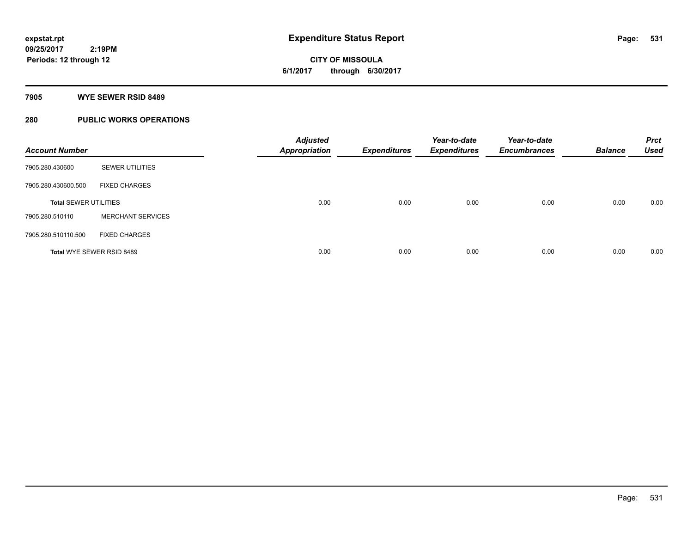# **CITY OF MISSOULA 6/1/2017 through 6/30/2017**

### **7905 WYE SEWER RSID 8489**

### **280 PUBLIC WORKS OPERATIONS**

| <b>Account Number</b>        |                          | <b>Adjusted</b><br><b>Appropriation</b> | <b>Expenditures</b> | Year-to-date<br><b>Expenditures</b> | Year-to-date<br><b>Encumbrances</b> | <b>Balance</b> | <b>Prct</b><br><b>Used</b> |
|------------------------------|--------------------------|-----------------------------------------|---------------------|-------------------------------------|-------------------------------------|----------------|----------------------------|
| 7905.280.430600              | <b>SEWER UTILITIES</b>   |                                         |                     |                                     |                                     |                |                            |
| 7905.280.430600.500          | <b>FIXED CHARGES</b>     |                                         |                     |                                     |                                     |                |                            |
| <b>Total SEWER UTILITIES</b> |                          | 0.00                                    | 0.00                | 0.00                                | 0.00                                | 0.00           | 0.00                       |
| 7905.280.510110              | <b>MERCHANT SERVICES</b> |                                         |                     |                                     |                                     |                |                            |
| 7905.280.510110.500          | <b>FIXED CHARGES</b>     |                                         |                     |                                     |                                     |                |                            |
| Total WYE SEWER RSID 8489    |                          | 0.00                                    | 0.00                | 0.00                                | 0.00                                | 0.00           | 0.00                       |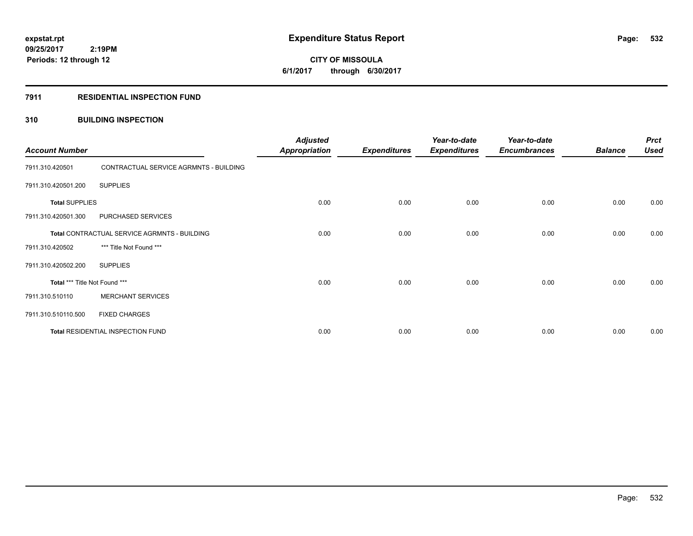# **CITY OF MISSOULA 6/1/2017 through 6/30/2017**

### **7911 RESIDENTIAL INSPECTION FUND**

### **310 BUILDING INSPECTION**

| <b>Account Number</b>                        |                                        | <b>Adjusted</b><br><b>Appropriation</b> | <b>Expenditures</b> | Year-to-date<br><b>Expenditures</b> | Year-to-date<br><b>Encumbrances</b> | <b>Balance</b> | <b>Prct</b><br><b>Used</b> |
|----------------------------------------------|----------------------------------------|-----------------------------------------|---------------------|-------------------------------------|-------------------------------------|----------------|----------------------------|
| 7911.310.420501                              | CONTRACTUAL SERVICE AGRMNTS - BUILDING |                                         |                     |                                     |                                     |                |                            |
| 7911.310.420501.200                          | <b>SUPPLIES</b>                        |                                         |                     |                                     |                                     |                |                            |
| <b>Total SUPPLIES</b>                        |                                        | 0.00                                    | 0.00                | 0.00                                | 0.00                                | 0.00           | 0.00                       |
| 7911.310.420501.300                          | PURCHASED SERVICES                     |                                         |                     |                                     |                                     |                |                            |
| Total CONTRACTUAL SERVICE AGRMNTS - BUILDING |                                        | 0.00                                    | 0.00                | 0.00                                | 0.00                                | 0.00           | 0.00                       |
| 7911.310.420502                              | *** Title Not Found ***                |                                         |                     |                                     |                                     |                |                            |
| 7911.310.420502.200                          | <b>SUPPLIES</b>                        |                                         |                     |                                     |                                     |                |                            |
| Total *** Title Not Found ***                |                                        | 0.00                                    | 0.00                | 0.00                                | 0.00                                | 0.00           | 0.00                       |
| 7911.310.510110                              | <b>MERCHANT SERVICES</b>               |                                         |                     |                                     |                                     |                |                            |
| 7911.310.510110.500                          | <b>FIXED CHARGES</b>                   |                                         |                     |                                     |                                     |                |                            |
|                                              | Total RESIDENTIAL INSPECTION FUND      | 0.00                                    | 0.00                | 0.00                                | 0.00                                | 0.00           | 0.00                       |